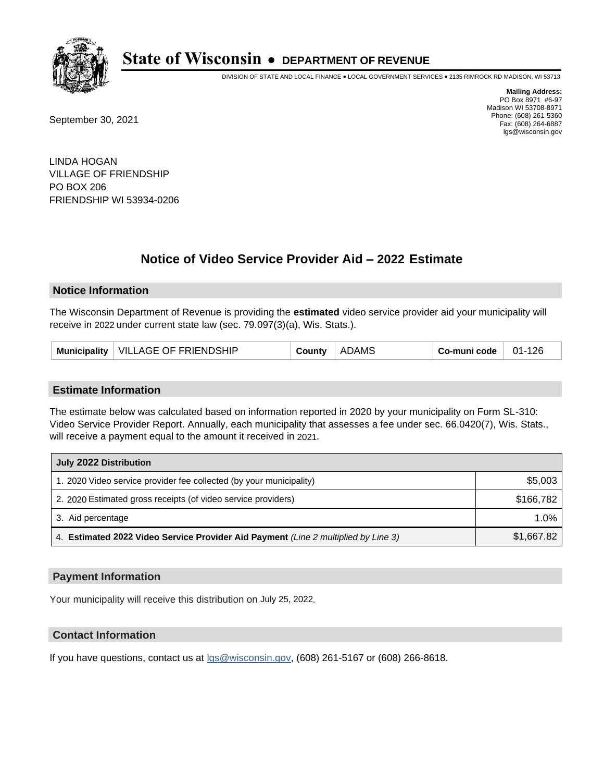

DIVISION OF STATE AND LOCAL FINANCE • LOCAL GOVERNMENT SERVICES • 2135 RIMROCK RD MADISON, WI 53713

September 30, 2021

**Mailing Address:** PO Box 8971 #6-97 Madison WI 53708-8971 Phone: (608) 261-5360 Fax: (608) 264-6887 lgs@wisconsin.gov

LINDA HOGAN VILLAGE OF FRIENDSHIP PO BOX 206 FRIENDSHIP WI 53934-0206

# **Notice of Video Service Provider Aid - 2022 Estimate**

### **Notice Information**

The Wisconsin Department of Revenue is providing the **estimated** video service provider aid your municipality will receive in 2022 under current state law (sec. 79.097(3)(a), Wis. Stats.).

| Municipality   VILLAGE OF FRIENDSHIP<br>County | <b>ADAMS</b> | Co-muni code | 01-126 |
|------------------------------------------------|--------------|--------------|--------|
|------------------------------------------------|--------------|--------------|--------|

#### **Estimate Information**

The estimate below was calculated based on information reported in 2020 by your municipality on Form SL-310: Video Service Provider Report. Annually, each municipality that assesses a fee under sec. 66.0420(7), Wis. Stats., will receive a payment equal to the amount it received in 2021.

| July 2022 Distribution                                                             |            |
|------------------------------------------------------------------------------------|------------|
| 1. 2020 Video service provider fee collected (by your municipality)                | \$5,003    |
| 2. 2020 Estimated gross receipts (of video service providers)                      | \$166.782  |
| 3. Aid percentage                                                                  | 1.0%       |
| 4. Estimated 2022 Video Service Provider Aid Payment (Line 2 multiplied by Line 3) | \$1,667.82 |

#### **Payment Information**

Your municipality will receive this distribution on July 25, 2022.

## **Contact Information**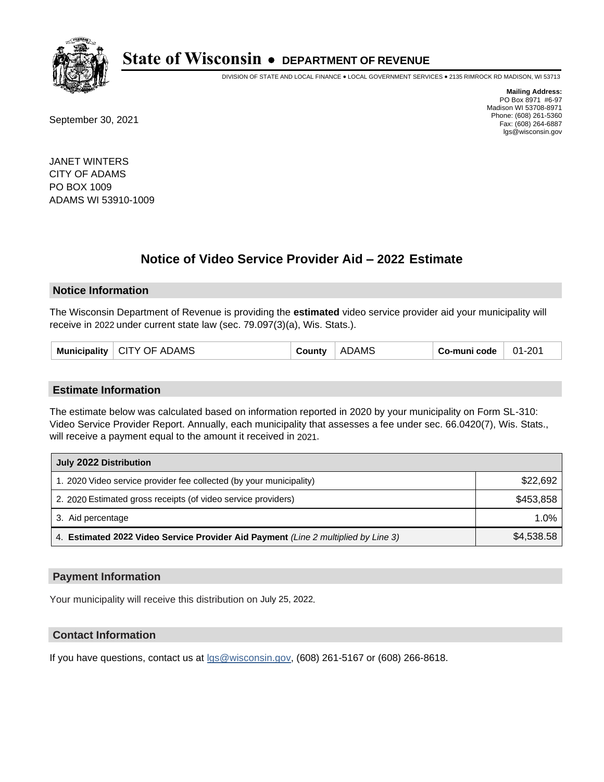

DIVISION OF STATE AND LOCAL FINANCE • LOCAL GOVERNMENT SERVICES • 2135 RIMROCK RD MADISON, WI 53713

September 30, 2021

**Mailing Address:** PO Box 8971 #6-97 Madison WI 53708-8971 Phone: (608) 261-5360 Fax: (608) 264-6887 lgs@wisconsin.gov

JANET WINTERS CITY OF ADAMS PO BOX 1009 ADAMS WI 53910-1009

## **Notice of Video Service Provider Aid - 2022 Estimate**

#### **Notice Information**

The Wisconsin Department of Revenue is providing the **estimated** video service provider aid your municipality will receive in 2022 under current state law (sec. 79.097(3)(a), Wis. Stats.).

| Municipality | <b>CITY OF ADAMS</b> | County | <b>ADAMS</b> | Co-muni code | $01 - 201$ |
|--------------|----------------------|--------|--------------|--------------|------------|
|--------------|----------------------|--------|--------------|--------------|------------|

#### **Estimate Information**

The estimate below was calculated based on information reported in 2020 by your municipality on Form SL-310: Video Service Provider Report. Annually, each municipality that assesses a fee under sec. 66.0420(7), Wis. Stats., will receive a payment equal to the amount it received in 2021.

| July 2022 Distribution                                                             |            |
|------------------------------------------------------------------------------------|------------|
| 1. 2020 Video service provider fee collected (by your municipality)                | \$22,692   |
| 2. 2020 Estimated gross receipts (of video service providers)                      | \$453,858  |
| 3. Aid percentage                                                                  | $1.0\%$    |
| 4. Estimated 2022 Video Service Provider Aid Payment (Line 2 multiplied by Line 3) | \$4,538,58 |

#### **Payment Information**

Your municipality will receive this distribution on July 25, 2022.

## **Contact Information**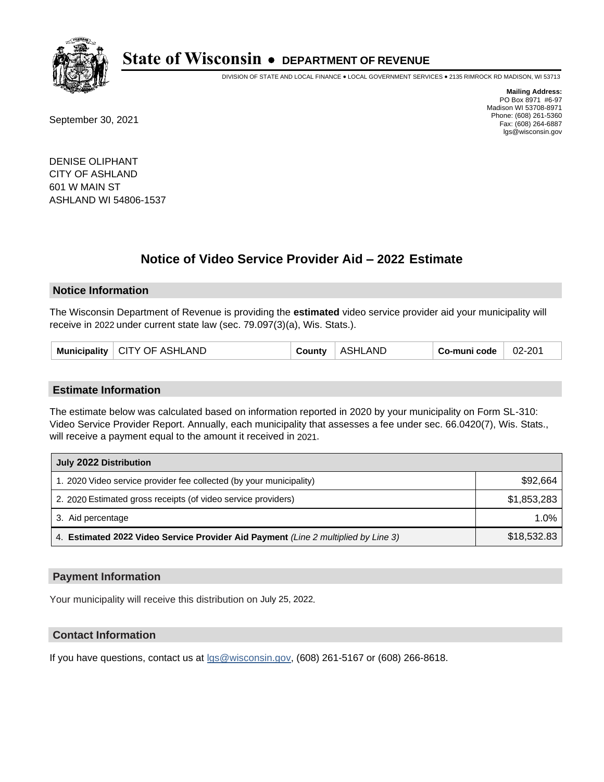

DIVISION OF STATE AND LOCAL FINANCE • LOCAL GOVERNMENT SERVICES • 2135 RIMROCK RD MADISON, WI 53713

September 30, 2021

**Mailing Address:** PO Box 8971 #6-97 Madison WI 53708-8971 Phone: (608) 261-5360 Fax: (608) 264-6887 lgs@wisconsin.gov

DENISE OLIPHANT CITY OF ASHLAND 601 W MAIN ST ASHLAND WI 54806-1537

## **Notice of Video Service Provider Aid - 2022 Estimate**

#### **Notice Information**

The Wisconsin Department of Revenue is providing the **estimated** video service provider aid your municipality will receive in 2022 under current state law (sec. 79.097(3)(a), Wis. Stats.).

| Municipality   CITY OF ASHLAND | County | ASHLAND | Co-muni code | 02-201 |
|--------------------------------|--------|---------|--------------|--------|
|--------------------------------|--------|---------|--------------|--------|

#### **Estimate Information**

The estimate below was calculated based on information reported in 2020 by your municipality on Form SL-310: Video Service Provider Report. Annually, each municipality that assesses a fee under sec. 66.0420(7), Wis. Stats., will receive a payment equal to the amount it received in 2021.

| July 2022 Distribution                                                             |             |
|------------------------------------------------------------------------------------|-------------|
| 1. 2020 Video service provider fee collected (by your municipality)                | \$92,664    |
| 2. 2020 Estimated gross receipts (of video service providers)                      | \$1,853,283 |
| 3. Aid percentage                                                                  | 1.0%        |
| 4. Estimated 2022 Video Service Provider Aid Payment (Line 2 multiplied by Line 3) | \$18,532.83 |

#### **Payment Information**

Your municipality will receive this distribution on July 25, 2022.

## **Contact Information**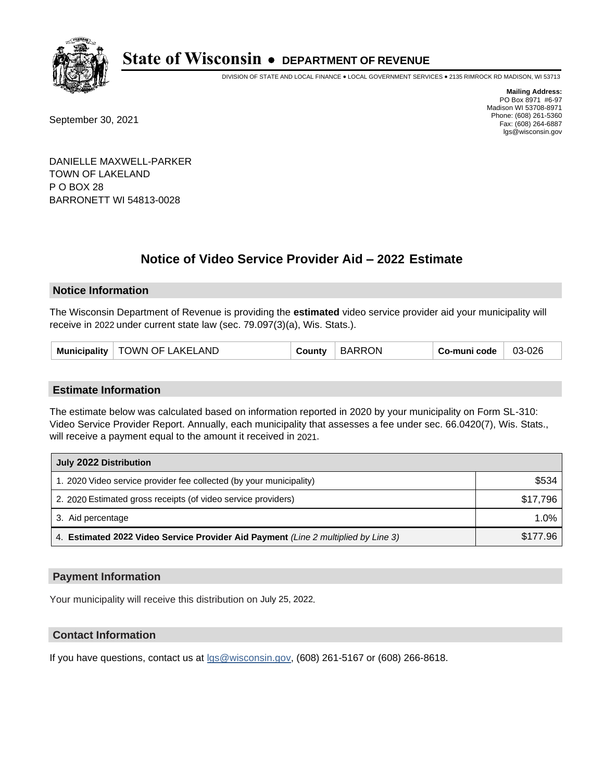

DIVISION OF STATE AND LOCAL FINANCE • LOCAL GOVERNMENT SERVICES • 2135 RIMROCK RD MADISON, WI 53713

September 30, 2021

**Mailing Address:** PO Box 8971 #6-97 Madison WI 53708-8971 Phone: (608) 261-5360 Fax: (608) 264-6887 lgs@wisconsin.gov

DANIELLE MAXWELL-PARKER TOWN OF LAKELAND P O BOX 28 BARRONETT WI 54813-0028

## **Notice of Video Service Provider Aid - 2022 Estimate**

### **Notice Information**

The Wisconsin Department of Revenue is providing the **estimated** video service provider aid your municipality will receive in 2022 under current state law (sec. 79.097(3)(a), Wis. Stats.).

| TOWN OF LAKELAND<br><b>Municipality</b> | County | <b>BARRON</b> | Co-muni code | 03-026 |
|-----------------------------------------|--------|---------------|--------------|--------|
|-----------------------------------------|--------|---------------|--------------|--------|

#### **Estimate Information**

The estimate below was calculated based on information reported in 2020 by your municipality on Form SL-310: Video Service Provider Report. Annually, each municipality that assesses a fee under sec. 66.0420(7), Wis. Stats., will receive a payment equal to the amount it received in 2021.

| July 2022 Distribution                                                             |          |  |
|------------------------------------------------------------------------------------|----------|--|
| 1. 2020 Video service provider fee collected (by your municipality)                | \$534    |  |
| 2. 2020 Estimated gross receipts (of video service providers)                      | \$17,796 |  |
| 3. Aid percentage                                                                  | $1.0\%$  |  |
| 4. Estimated 2022 Video Service Provider Aid Payment (Line 2 multiplied by Line 3) | \$177.96 |  |

#### **Payment Information**

Your municipality will receive this distribution on July 25, 2022.

## **Contact Information**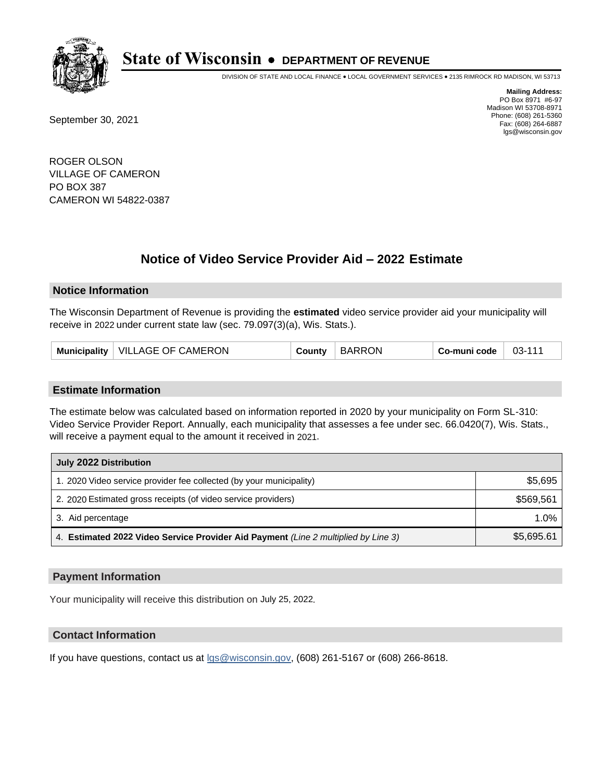

DIVISION OF STATE AND LOCAL FINANCE • LOCAL GOVERNMENT SERVICES • 2135 RIMROCK RD MADISON, WI 53713

September 30, 2021

**Mailing Address:** PO Box 8971 #6-97 Madison WI 53708-8971 Phone: (608) 261-5360 Fax: (608) 264-6887 lgs@wisconsin.gov

ROGER OLSON VILLAGE OF CAMERON PO BOX 387 CAMERON WI 54822-0387

## **Notice of Video Service Provider Aid - 2022 Estimate**

#### **Notice Information**

The Wisconsin Department of Revenue is providing the **estimated** video service provider aid your municipality will receive in 2022 under current state law (sec. 79.097(3)(a), Wis. Stats.).

| Municipality   VILLAGE OF CAMERON | <b>BARRON</b><br>County | Co-muni code | 03-111 |
|-----------------------------------|-------------------------|--------------|--------|
|-----------------------------------|-------------------------|--------------|--------|

#### **Estimate Information**

The estimate below was calculated based on information reported in 2020 by your municipality on Form SL-310: Video Service Provider Report. Annually, each municipality that assesses a fee under sec. 66.0420(7), Wis. Stats., will receive a payment equal to the amount it received in 2021.

| July 2022 Distribution                                                             |            |
|------------------------------------------------------------------------------------|------------|
| 1. 2020 Video service provider fee collected (by your municipality)                | \$5,695    |
| 2. 2020 Estimated gross receipts (of video service providers)                      | \$569.561  |
| 3. Aid percentage                                                                  | $1.0\%$    |
| 4. Estimated 2022 Video Service Provider Aid Payment (Line 2 multiplied by Line 3) | \$5,695.61 |

#### **Payment Information**

Your municipality will receive this distribution on July 25, 2022.

## **Contact Information**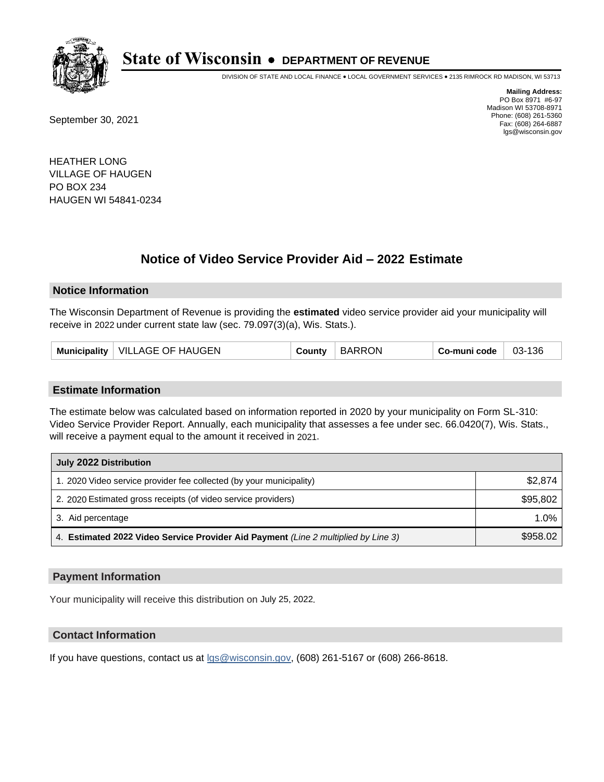

DIVISION OF STATE AND LOCAL FINANCE • LOCAL GOVERNMENT SERVICES • 2135 RIMROCK RD MADISON, WI 53713

September 30, 2021

**Mailing Address:** PO Box 8971 #6-97 Madison WI 53708-8971 Phone: (608) 261-5360 Fax: (608) 264-6887 lgs@wisconsin.gov

HEATHER LONG VILLAGE OF HAUGEN PO BOX 234 HAUGEN WI 54841-0234

## **Notice of Video Service Provider Aid - 2022 Estimate**

#### **Notice Information**

The Wisconsin Department of Revenue is providing the **estimated** video service provider aid your municipality will receive in 2022 under current state law (sec. 79.097(3)(a), Wis. Stats.).

| Municipality   VILLAGE OF HAUGEN | County | <b>BARRON</b> | Co-muni code | 03-136 |
|----------------------------------|--------|---------------|--------------|--------|
|----------------------------------|--------|---------------|--------------|--------|

#### **Estimate Information**

The estimate below was calculated based on information reported in 2020 by your municipality on Form SL-310: Video Service Provider Report. Annually, each municipality that assesses a fee under sec. 66.0420(7), Wis. Stats., will receive a payment equal to the amount it received in 2021.

| July 2022 Distribution                                                             |          |
|------------------------------------------------------------------------------------|----------|
| 1. 2020 Video service provider fee collected (by your municipality)                | \$2,874  |
| 2. 2020 Estimated gross receipts (of video service providers)                      | \$95,802 |
| 3. Aid percentage                                                                  | 1.0%     |
| 4. Estimated 2022 Video Service Provider Aid Payment (Line 2 multiplied by Line 3) | \$958.02 |

#### **Payment Information**

Your municipality will receive this distribution on July 25, 2022.

## **Contact Information**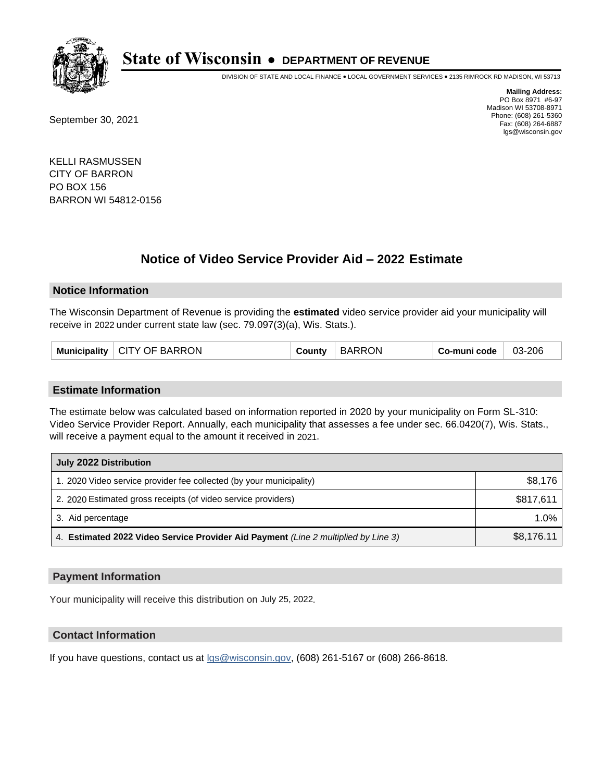

DIVISION OF STATE AND LOCAL FINANCE • LOCAL GOVERNMENT SERVICES • 2135 RIMROCK RD MADISON, WI 53713

September 30, 2021

**Mailing Address:** PO Box 8971 #6-97 Madison WI 53708-8971 Phone: (608) 261-5360 Fax: (608) 264-6887 lgs@wisconsin.gov

KELLI RASMUSSEN CITY OF BARRON PO BOX 156 BARRON WI 54812-0156

# **Notice of Video Service Provider Aid - 2022 Estimate**

### **Notice Information**

The Wisconsin Department of Revenue is providing the **estimated** video service provider aid your municipality will receive in 2022 under current state law (sec. 79.097(3)(a), Wis. Stats.).

|  | Municipality   CITY OF BARRON | County | <b>BARRON</b> | Co-muni code | 03-206 |
|--|-------------------------------|--------|---------------|--------------|--------|
|--|-------------------------------|--------|---------------|--------------|--------|

#### **Estimate Information**

The estimate below was calculated based on information reported in 2020 by your municipality on Form SL-310: Video Service Provider Report. Annually, each municipality that assesses a fee under sec. 66.0420(7), Wis. Stats., will receive a payment equal to the amount it received in 2021.

| July 2022 Distribution                                                             |            |
|------------------------------------------------------------------------------------|------------|
| 1. 2020 Video service provider fee collected (by your municipality)                | \$8,176    |
| 2. 2020 Estimated gross receipts (of video service providers)                      | \$817.611  |
| 3. Aid percentage                                                                  | 1.0%       |
| 4. Estimated 2022 Video Service Provider Aid Payment (Line 2 multiplied by Line 3) | \$8,176.11 |

#### **Payment Information**

Your municipality will receive this distribution on July 25, 2022.

## **Contact Information**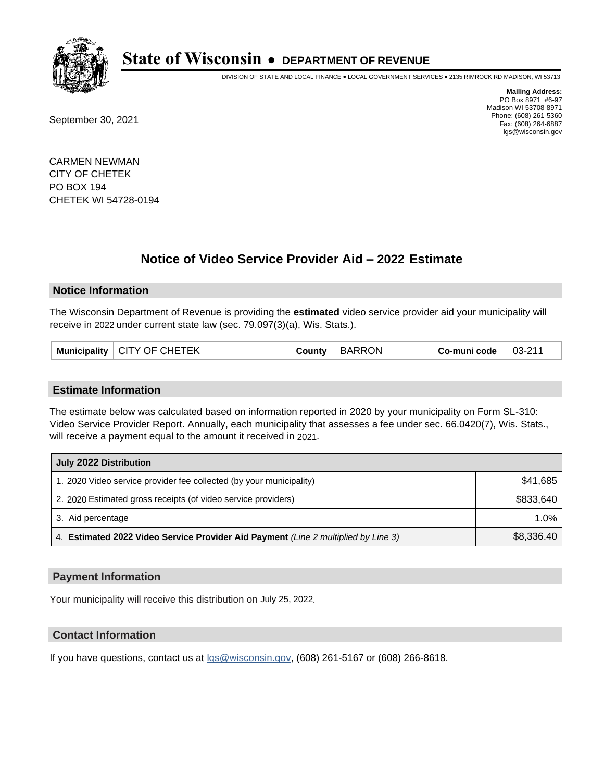

DIVISION OF STATE AND LOCAL FINANCE • LOCAL GOVERNMENT SERVICES • 2135 RIMROCK RD MADISON, WI 53713

September 30, 2021

**Mailing Address:** PO Box 8971 #6-97 Madison WI 53708-8971 Phone: (608) 261-5360 Fax: (608) 264-6887 lgs@wisconsin.gov

CARMEN NEWMAN CITY OF CHETEK PO BOX 194 CHETEK WI 54728-0194

# **Notice of Video Service Provider Aid - 2022 Estimate**

#### **Notice Information**

The Wisconsin Department of Revenue is providing the **estimated** video service provider aid your municipality will receive in 2022 under current state law (sec. 79.097(3)(a), Wis. Stats.).

| └ CITY OF CHETEK<br>Municipality $ $ | County | <b>BARRON</b> | Co-muni code | 03-211 |
|--------------------------------------|--------|---------------|--------------|--------|
|--------------------------------------|--------|---------------|--------------|--------|

#### **Estimate Information**

The estimate below was calculated based on information reported in 2020 by your municipality on Form SL-310: Video Service Provider Report. Annually, each municipality that assesses a fee under sec. 66.0420(7), Wis. Stats., will receive a payment equal to the amount it received in 2021.

| July 2022 Distribution                                                             |            |  |  |
|------------------------------------------------------------------------------------|------------|--|--|
| 1. 2020 Video service provider fee collected (by your municipality)                | \$41,685   |  |  |
| 2. 2020 Estimated gross receipts (of video service providers)                      | \$833.640  |  |  |
| 3. Aid percentage                                                                  | $1.0\%$    |  |  |
| 4. Estimated 2022 Video Service Provider Aid Payment (Line 2 multiplied by Line 3) | \$8,336.40 |  |  |

#### **Payment Information**

Your municipality will receive this distribution on July 25, 2022.

## **Contact Information**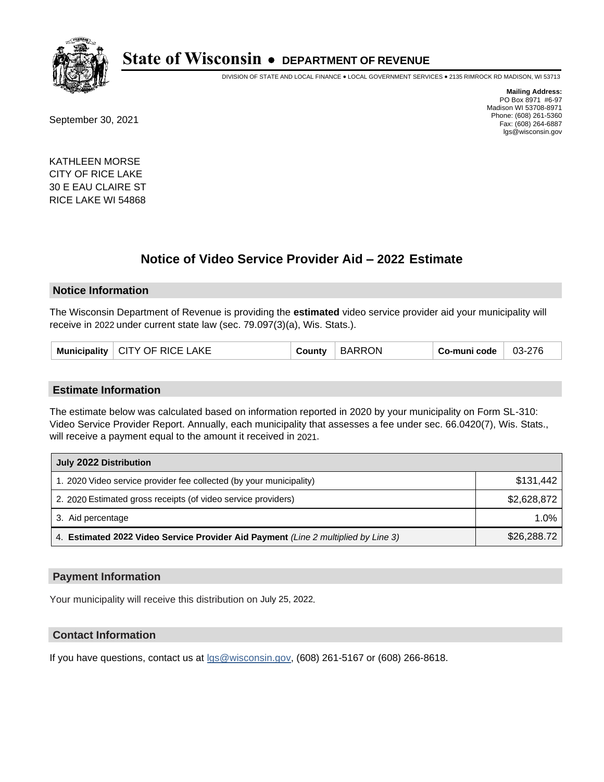

DIVISION OF STATE AND LOCAL FINANCE • LOCAL GOVERNMENT SERVICES • 2135 RIMROCK RD MADISON, WI 53713

September 30, 2021

**Mailing Address:** PO Box 8971 #6-97 Madison WI 53708-8971 Phone: (608) 261-5360 Fax: (608) 264-6887 lgs@wisconsin.gov

KATHLEEN MORSE CITY OF RICE LAKE 30 E EAU CLAIRE ST RICE LAKE WI 54868

## **Notice of Video Service Provider Aid - 2022 Estimate**

#### **Notice Information**

The Wisconsin Department of Revenue is providing the **estimated** video service provider aid your municipality will receive in 2022 under current state law (sec. 79.097(3)(a), Wis. Stats.).

| Municipality   CITY OF RICE LAKE | County | <b>BARRON</b> | Co-muni code | 03-276 |
|----------------------------------|--------|---------------|--------------|--------|
|----------------------------------|--------|---------------|--------------|--------|

#### **Estimate Information**

The estimate below was calculated based on information reported in 2020 by your municipality on Form SL-310: Video Service Provider Report. Annually, each municipality that assesses a fee under sec. 66.0420(7), Wis. Stats., will receive a payment equal to the amount it received in 2021.

| July 2022 Distribution                                                             |             |
|------------------------------------------------------------------------------------|-------------|
| 1. 2020 Video service provider fee collected (by your municipality)                | \$131.442   |
| 2. 2020 Estimated gross receipts (of video service providers)                      | \$2,628,872 |
| 3. Aid percentage                                                                  | 1.0%        |
| 4. Estimated 2022 Video Service Provider Aid Payment (Line 2 multiplied by Line 3) | \$26,288.72 |

### **Payment Information**

Your municipality will receive this distribution on July 25, 2022.

## **Contact Information**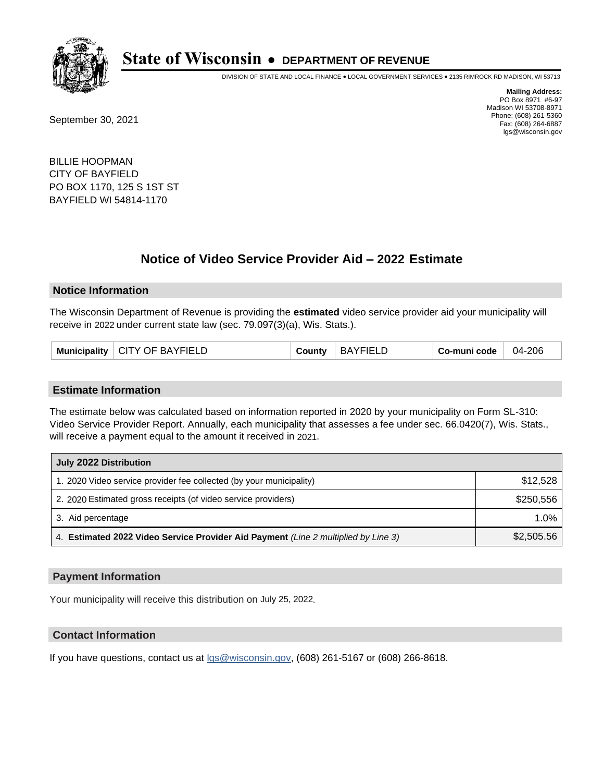

DIVISION OF STATE AND LOCAL FINANCE • LOCAL GOVERNMENT SERVICES • 2135 RIMROCK RD MADISON, WI 53713

September 30, 2021

**Mailing Address:** PO Box 8971 #6-97 Madison WI 53708-8971 Phone: (608) 261-5360 Fax: (608) 264-6887 lgs@wisconsin.gov

BILLIE HOOPMAN CITY OF BAYFIELD PO BOX 1170, 125 S 1ST ST BAYFIELD WI 54814-1170

## **Notice of Video Service Provider Aid - 2022 Estimate**

#### **Notice Information**

The Wisconsin Department of Revenue is providing the **estimated** video service provider aid your municipality will receive in 2022 under current state law (sec. 79.097(3)(a), Wis. Stats.).

| Municipality   CITY OF BAYFIELD | County | BAYFIELD | Co-muni code | 04-206 |
|---------------------------------|--------|----------|--------------|--------|
|---------------------------------|--------|----------|--------------|--------|

#### **Estimate Information**

The estimate below was calculated based on information reported in 2020 by your municipality on Form SL-310: Video Service Provider Report. Annually, each municipality that assesses a fee under sec. 66.0420(7), Wis. Stats., will receive a payment equal to the amount it received in 2021.

| July 2022 Distribution                                                             |            |
|------------------------------------------------------------------------------------|------------|
| 1. 2020 Video service provider fee collected (by your municipality)                | \$12,528   |
| 2. 2020 Estimated gross receipts (of video service providers)                      | \$250,556  |
| 3. Aid percentage                                                                  | 1.0%       |
| 4. Estimated 2022 Video Service Provider Aid Payment (Line 2 multiplied by Line 3) | \$2,505.56 |

#### **Payment Information**

Your municipality will receive this distribution on July 25, 2022.

## **Contact Information**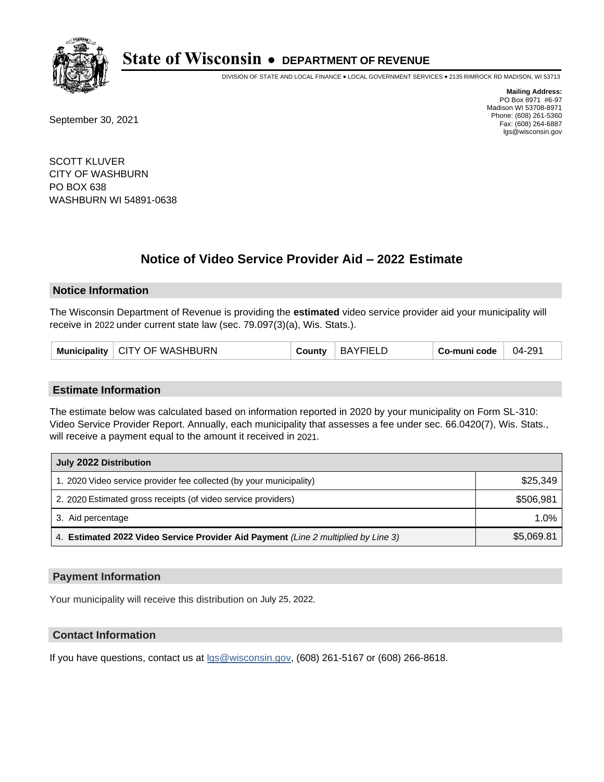

DIVISION OF STATE AND LOCAL FINANCE • LOCAL GOVERNMENT SERVICES • 2135 RIMROCK RD MADISON, WI 53713

September 30, 2021

**Mailing Address:** PO Box 8971 #6-97 Madison WI 53708-8971 Phone: (608) 261-5360 Fax: (608) 264-6887 lgs@wisconsin.gov

SCOTT KLUVER CITY OF WASHBURN PO BOX 638 WASHBURN WI 54891-0638

# **Notice of Video Service Provider Aid - 2022 Estimate**

#### **Notice Information**

The Wisconsin Department of Revenue is providing the **estimated** video service provider aid your municipality will receive in 2022 under current state law (sec. 79.097(3)(a), Wis. Stats.).

| Municipality   CITY OF WASHBURN | County | BAYFIELD | Co-muni code | 04-291 |
|---------------------------------|--------|----------|--------------|--------|
|---------------------------------|--------|----------|--------------|--------|

#### **Estimate Information**

The estimate below was calculated based on information reported in 2020 by your municipality on Form SL-310: Video Service Provider Report. Annually, each municipality that assesses a fee under sec. 66.0420(7), Wis. Stats., will receive a payment equal to the amount it received in 2021.

| July 2022 Distribution                                                             |            |  |  |
|------------------------------------------------------------------------------------|------------|--|--|
| 1. 2020 Video service provider fee collected (by your municipality)                | \$25,349   |  |  |
| 2. 2020 Estimated gross receipts (of video service providers)                      | \$506.981  |  |  |
| 3. Aid percentage                                                                  | $1.0\%$    |  |  |
| 4. Estimated 2022 Video Service Provider Aid Payment (Line 2 multiplied by Line 3) | \$5,069.81 |  |  |

#### **Payment Information**

Your municipality will receive this distribution on July 25, 2022.

## **Contact Information**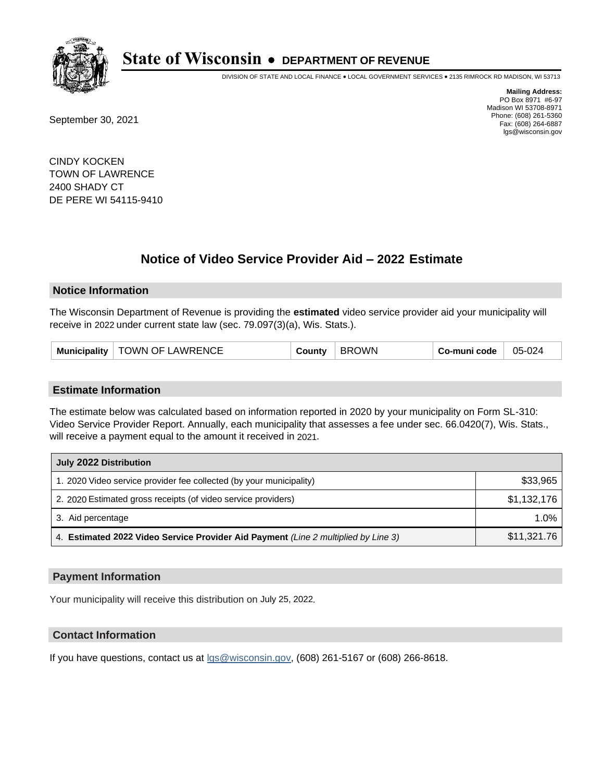

DIVISION OF STATE AND LOCAL FINANCE • LOCAL GOVERNMENT SERVICES • 2135 RIMROCK RD MADISON, WI 53713

September 30, 2021

**Mailing Address:** PO Box 8971 #6-97 Madison WI 53708-8971 Phone: (608) 261-5360 Fax: (608) 264-6887 lgs@wisconsin.gov

CINDY KOCKEN TOWN OF LAWRENCE 2400 SHADY CT DE PERE WI 54115-9410

## **Notice of Video Service Provider Aid - 2022 Estimate**

#### **Notice Information**

The Wisconsin Department of Revenue is providing the **estimated** video service provider aid your municipality will receive in 2022 under current state law (sec. 79.097(3)(a), Wis. Stats.).

|  | Municipality   TOWN OF LAWRENCE | County | BROWN | Co-muni code | 05-024 |
|--|---------------------------------|--------|-------|--------------|--------|
|--|---------------------------------|--------|-------|--------------|--------|

#### **Estimate Information**

The estimate below was calculated based on information reported in 2020 by your municipality on Form SL-310: Video Service Provider Report. Annually, each municipality that assesses a fee under sec. 66.0420(7), Wis. Stats., will receive a payment equal to the amount it received in 2021.

| July 2022 Distribution                                                             |             |
|------------------------------------------------------------------------------------|-------------|
| 1. 2020 Video service provider fee collected (by your municipality)                | \$33,965    |
| 2. 2020 Estimated gross receipts (of video service providers)                      | \$1,132,176 |
| 3. Aid percentage                                                                  | 1.0%        |
| 4. Estimated 2022 Video Service Provider Aid Payment (Line 2 multiplied by Line 3) | \$11,321.76 |

#### **Payment Information**

Your municipality will receive this distribution on July 25, 2022.

## **Contact Information**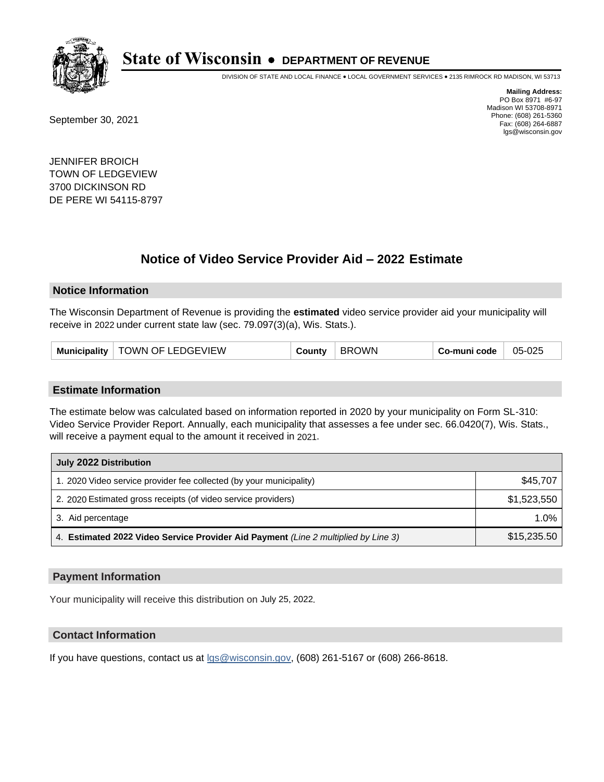

DIVISION OF STATE AND LOCAL FINANCE • LOCAL GOVERNMENT SERVICES • 2135 RIMROCK RD MADISON, WI 53713

September 30, 2021

**Mailing Address:** PO Box 8971 #6-97 Madison WI 53708-8971 Phone: (608) 261-5360 Fax: (608) 264-6887 lgs@wisconsin.gov

JENNIFER BROICH TOWN OF LEDGEVIEW 3700 DICKINSON RD DE PERE WI 54115-8797

## **Notice of Video Service Provider Aid - 2022 Estimate**

#### **Notice Information**

The Wisconsin Department of Revenue is providing the **estimated** video service provider aid your municipality will receive in 2022 under current state law (sec. 79.097(3)(a), Wis. Stats.).

| Municipality   TOWN OF LEDGEVIEW | County | <b>BROWN</b> | Co-muni code | 05-025 |
|----------------------------------|--------|--------------|--------------|--------|
|----------------------------------|--------|--------------|--------------|--------|

#### **Estimate Information**

The estimate below was calculated based on information reported in 2020 by your municipality on Form SL-310: Video Service Provider Report. Annually, each municipality that assesses a fee under sec. 66.0420(7), Wis. Stats., will receive a payment equal to the amount it received in 2021.

| July 2022 Distribution                                                             |             |
|------------------------------------------------------------------------------------|-------------|
| 1. 2020 Video service provider fee collected (by your municipality)                | \$45,707    |
| 2. 2020 Estimated gross receipts (of video service providers)                      | \$1,523,550 |
| 3. Aid percentage                                                                  | 1.0%        |
| 4. Estimated 2022 Video Service Provider Aid Payment (Line 2 multiplied by Line 3) | \$15,235.50 |

#### **Payment Information**

Your municipality will receive this distribution on July 25, 2022.

## **Contact Information**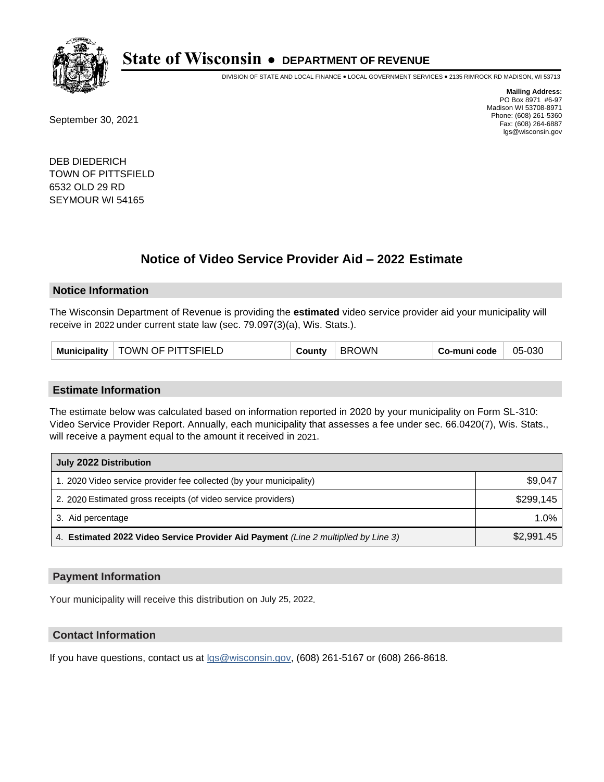

DIVISION OF STATE AND LOCAL FINANCE • LOCAL GOVERNMENT SERVICES • 2135 RIMROCK RD MADISON, WI 53713

September 30, 2021

**Mailing Address:** PO Box 8971 #6-97 Madison WI 53708-8971 Phone: (608) 261-5360 Fax: (608) 264-6887 lgs@wisconsin.gov

DEB DIEDERICH TOWN OF PITTSFIELD 6532 OLD 29 RD SEYMOUR WI 54165

## **Notice of Video Service Provider Aid - 2022 Estimate**

#### **Notice Information**

The Wisconsin Department of Revenue is providing the **estimated** video service provider aid your municipality will receive in 2022 under current state law (sec. 79.097(3)(a), Wis. Stats.).

| TOWN OF PITTSFIELD<br><b>Municipality</b> | County | <b>BROWN</b> | Co-muni code | 05-030 |
|-------------------------------------------|--------|--------------|--------------|--------|
|-------------------------------------------|--------|--------------|--------------|--------|

#### **Estimate Information**

The estimate below was calculated based on information reported in 2020 by your municipality on Form SL-310: Video Service Provider Report. Annually, each municipality that assesses a fee under sec. 66.0420(7), Wis. Stats., will receive a payment equal to the amount it received in 2021.

| July 2022 Distribution                                                             |            |
|------------------------------------------------------------------------------------|------------|
| 1. 2020 Video service provider fee collected (by your municipality)                | \$9,047    |
| 2. 2020 Estimated gross receipts (of video service providers)                      | \$299,145  |
| 3. Aid percentage                                                                  | 1.0%       |
| 4. Estimated 2022 Video Service Provider Aid Payment (Line 2 multiplied by Line 3) | \$2,991.45 |

#### **Payment Information**

Your municipality will receive this distribution on July 25, 2022.

## **Contact Information**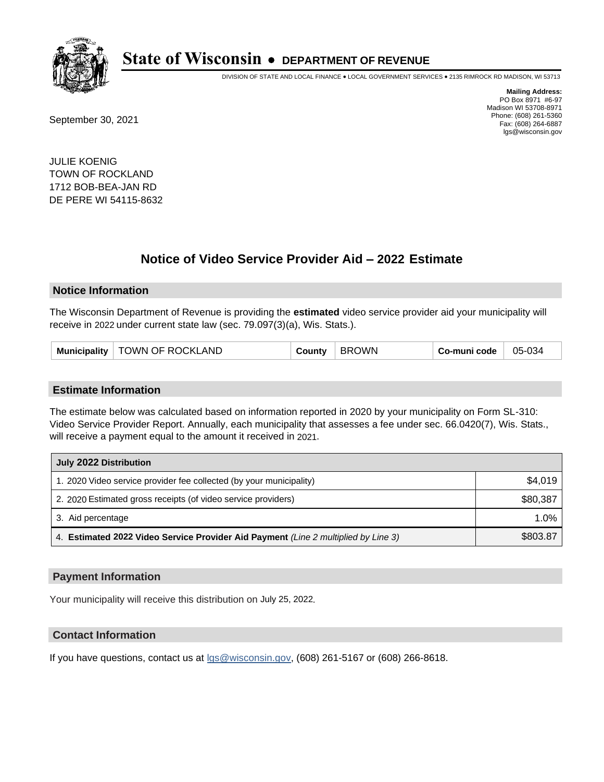

DIVISION OF STATE AND LOCAL FINANCE • LOCAL GOVERNMENT SERVICES • 2135 RIMROCK RD MADISON, WI 53713

September 30, 2021

**Mailing Address:** PO Box 8971 #6-97 Madison WI 53708-8971 Phone: (608) 261-5360 Fax: (608) 264-6887 lgs@wisconsin.gov

JULIE KOENIG TOWN OF ROCKLAND 1712 BOB-BEA-JAN RD DE PERE WI 54115-8632

## **Notice of Video Service Provider Aid - 2022 Estimate**

#### **Notice Information**

The Wisconsin Department of Revenue is providing the **estimated** video service provider aid your municipality will receive in 2022 under current state law (sec. 79.097(3)(a), Wis. Stats.).

| Municipality | TOWN OF ROCKLAND | شount∨ | <b>OWN</b><br>BRC | Co-muni code | 05-034 |
|--------------|------------------|--------|-------------------|--------------|--------|
|--------------|------------------|--------|-------------------|--------------|--------|

#### **Estimate Information**

The estimate below was calculated based on information reported in 2020 by your municipality on Form SL-310: Video Service Provider Report. Annually, each municipality that assesses a fee under sec. 66.0420(7), Wis. Stats., will receive a payment equal to the amount it received in 2021.

| July 2022 Distribution                                                             |          |
|------------------------------------------------------------------------------------|----------|
| 1. 2020 Video service provider fee collected (by your municipality)                | \$4,019  |
| 2. 2020 Estimated gross receipts (of video service providers)                      | \$80.387 |
| 3. Aid percentage                                                                  | $1.0\%$  |
| 4. Estimated 2022 Video Service Provider Aid Payment (Line 2 multiplied by Line 3) | \$803.87 |

#### **Payment Information**

Your municipality will receive this distribution on July 25, 2022.

## **Contact Information**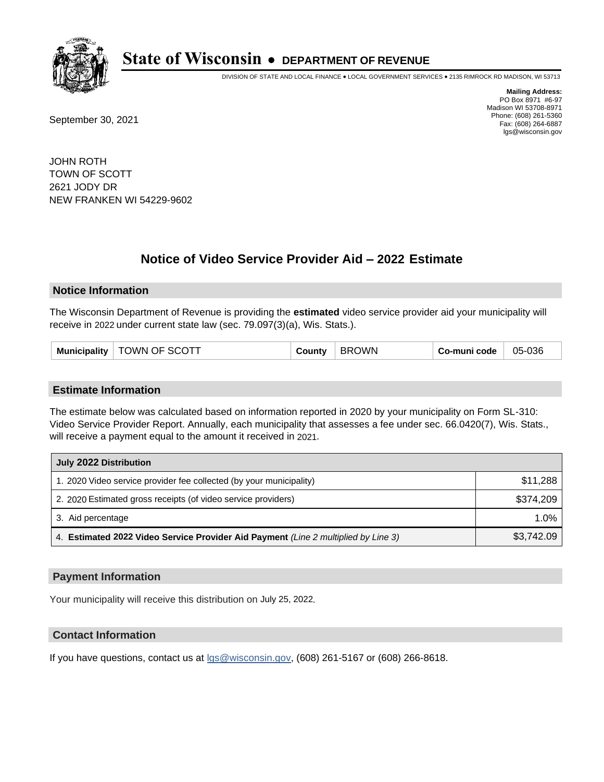

DIVISION OF STATE AND LOCAL FINANCE • LOCAL GOVERNMENT SERVICES • 2135 RIMROCK RD MADISON, WI 53713

September 30, 2021

**Mailing Address:** PO Box 8971 #6-97 Madison WI 53708-8971 Phone: (608) 261-5360 Fax: (608) 264-6887 lgs@wisconsin.gov

JOHN ROTH TOWN OF SCOTT 2621 JODY DR NEW FRANKEN WI 54229-9602

# **Notice of Video Service Provider Aid - 2022 Estimate**

#### **Notice Information**

The Wisconsin Department of Revenue is providing the **estimated** video service provider aid your municipality will receive in 2022 under current state law (sec. 79.097(3)(a), Wis. Stats.).

| TOWN OF SCOTT<br>Municipality $ $ | County | <b>BROWN</b> | Co-muni code | 05-036 |
|-----------------------------------|--------|--------------|--------------|--------|
|-----------------------------------|--------|--------------|--------------|--------|

#### **Estimate Information**

The estimate below was calculated based on information reported in 2020 by your municipality on Form SL-310: Video Service Provider Report. Annually, each municipality that assesses a fee under sec. 66.0420(7), Wis. Stats., will receive a payment equal to the amount it received in 2021.

| July 2022 Distribution                                                             |            |  |  |  |
|------------------------------------------------------------------------------------|------------|--|--|--|
| 1. 2020 Video service provider fee collected (by your municipality)                | \$11,288   |  |  |  |
| 2. 2020 Estimated gross receipts (of video service providers)                      | \$374.209  |  |  |  |
| 3. Aid percentage                                                                  | $1.0\%$    |  |  |  |
| 4. Estimated 2022 Video Service Provider Aid Payment (Line 2 multiplied by Line 3) | \$3,742.09 |  |  |  |

#### **Payment Information**

Your municipality will receive this distribution on July 25, 2022.

## **Contact Information**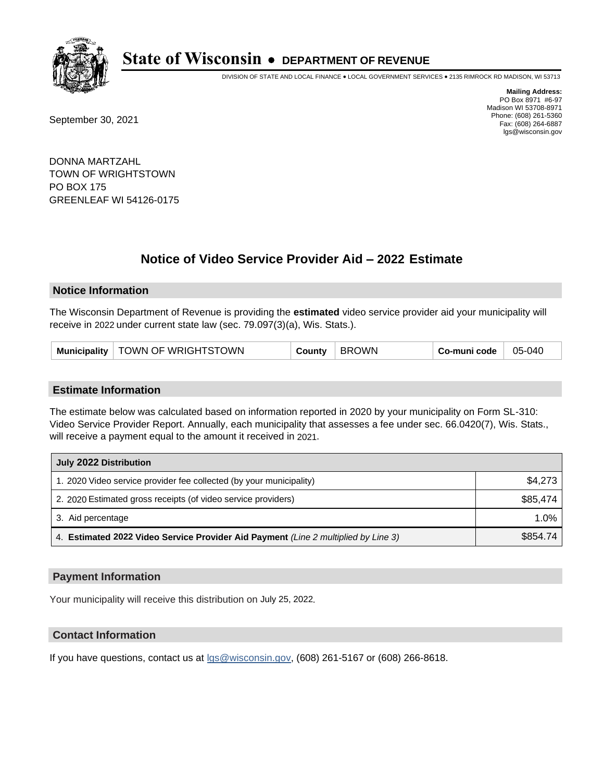

DIVISION OF STATE AND LOCAL FINANCE • LOCAL GOVERNMENT SERVICES • 2135 RIMROCK RD MADISON, WI 53713

September 30, 2021

**Mailing Address:** PO Box 8971 #6-97 Madison WI 53708-8971 Phone: (608) 261-5360 Fax: (608) 264-6887 lgs@wisconsin.gov

DONNA MARTZAHL TOWN OF WRIGHTSTOWN PO BOX 175 GREENLEAF WI 54126-0175

## **Notice of Video Service Provider Aid - 2022 Estimate**

#### **Notice Information**

The Wisconsin Department of Revenue is providing the **estimated** video service provider aid your municipality will receive in 2022 under current state law (sec. 79.097(3)(a), Wis. Stats.).

| Municipality   TOWN OF WRIGHTSTOWN |  | County | BROWN | Co-muni code | 05-040 |
|------------------------------------|--|--------|-------|--------------|--------|
|------------------------------------|--|--------|-------|--------------|--------|

#### **Estimate Information**

The estimate below was calculated based on information reported in 2020 by your municipality on Form SL-310: Video Service Provider Report. Annually, each municipality that assesses a fee under sec. 66.0420(7), Wis. Stats., will receive a payment equal to the amount it received in 2021.

| July 2022 Distribution                                                             |          |
|------------------------------------------------------------------------------------|----------|
| 1. 2020 Video service provider fee collected (by your municipality)                | \$4,273  |
| 2. 2020 Estimated gross receipts (of video service providers)                      | \$85,474 |
| 3. Aid percentage                                                                  | 1.0%     |
| 4. Estimated 2022 Video Service Provider Aid Payment (Line 2 multiplied by Line 3) | \$854.74 |

#### **Payment Information**

Your municipality will receive this distribution on July 25, 2022.

## **Contact Information**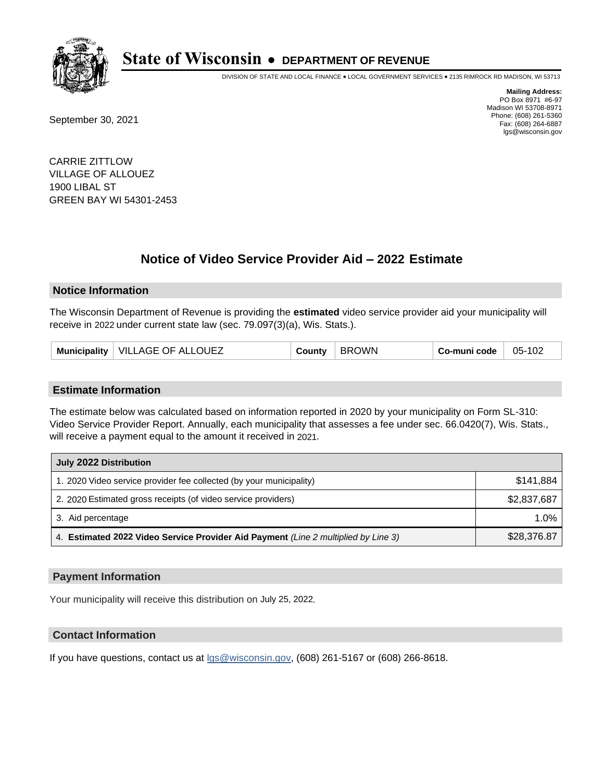

DIVISION OF STATE AND LOCAL FINANCE • LOCAL GOVERNMENT SERVICES • 2135 RIMROCK RD MADISON, WI 53713

September 30, 2021

**Mailing Address:** PO Box 8971 #6-97 Madison WI 53708-8971 Phone: (608) 261-5360 Fax: (608) 264-6887 lgs@wisconsin.gov

CARRIE ZITTLOW VILLAGE OF ALLOUEZ 1900 LIBAL ST GREEN BAY WI 54301-2453

## **Notice of Video Service Provider Aid - 2022 Estimate**

#### **Notice Information**

The Wisconsin Department of Revenue is providing the **estimated** video service provider aid your municipality will receive in 2022 under current state law (sec. 79.097(3)(a), Wis. Stats.).

| Municipality   VILLAGE OF ALLOUEZ | Sountγ | <b>BROWN</b> | Co-muni code | 05-102 |
|-----------------------------------|--------|--------------|--------------|--------|
|-----------------------------------|--------|--------------|--------------|--------|

#### **Estimate Information**

The estimate below was calculated based on information reported in 2020 by your municipality on Form SL-310: Video Service Provider Report. Annually, each municipality that assesses a fee under sec. 66.0420(7), Wis. Stats., will receive a payment equal to the amount it received in 2021.

| July 2022 Distribution                                                             |             |
|------------------------------------------------------------------------------------|-------------|
| 1. 2020 Video service provider fee collected (by your municipality)                | \$141.884   |
| 2. 2020 Estimated gross receipts (of video service providers)                      | \$2,837,687 |
| 3. Aid percentage                                                                  | 1.0%        |
| 4. Estimated 2022 Video Service Provider Aid Payment (Line 2 multiplied by Line 3) | \$28,376.87 |

#### **Payment Information**

Your municipality will receive this distribution on July 25, 2022.

## **Contact Information**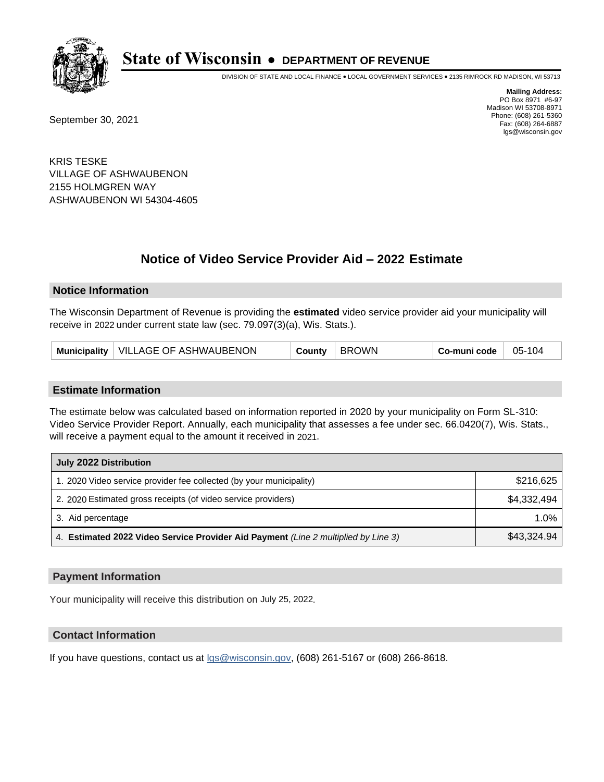

DIVISION OF STATE AND LOCAL FINANCE • LOCAL GOVERNMENT SERVICES • 2135 RIMROCK RD MADISON, WI 53713

September 30, 2021

**Mailing Address:** PO Box 8971 #6-97 Madison WI 53708-8971 Phone: (608) 261-5360 Fax: (608) 264-6887 lgs@wisconsin.gov

KRIS TESKE VILLAGE OF ASHWAUBENON 2155 HOLMGREN WAY ASHWAUBENON WI 54304-4605

# **Notice of Video Service Provider Aid - 2022 Estimate**

#### **Notice Information**

The Wisconsin Department of Revenue is providing the **estimated** video service provider aid your municipality will receive in 2022 under current state law (sec. 79.097(3)(a), Wis. Stats.).

| Municipality   VILLAGE OF ASHWAUBENON | <b>BROWN</b><br>County | Co-muni code<br>05-104 |
|---------------------------------------|------------------------|------------------------|
|---------------------------------------|------------------------|------------------------|

#### **Estimate Information**

The estimate below was calculated based on information reported in 2020 by your municipality on Form SL-310: Video Service Provider Report. Annually, each municipality that assesses a fee under sec. 66.0420(7), Wis. Stats., will receive a payment equal to the amount it received in 2021.

| July 2022 Distribution                                                             |             |
|------------------------------------------------------------------------------------|-------------|
| 1. 2020 Video service provider fee collected (by your municipality)                | \$216,625   |
| 2. 2020 Estimated gross receipts (of video service providers)                      | \$4,332,494 |
| 3. Aid percentage                                                                  | 1.0%        |
| 4. Estimated 2022 Video Service Provider Aid Payment (Line 2 multiplied by Line 3) | \$43,324.94 |

#### **Payment Information**

Your municipality will receive this distribution on July 25, 2022.

## **Contact Information**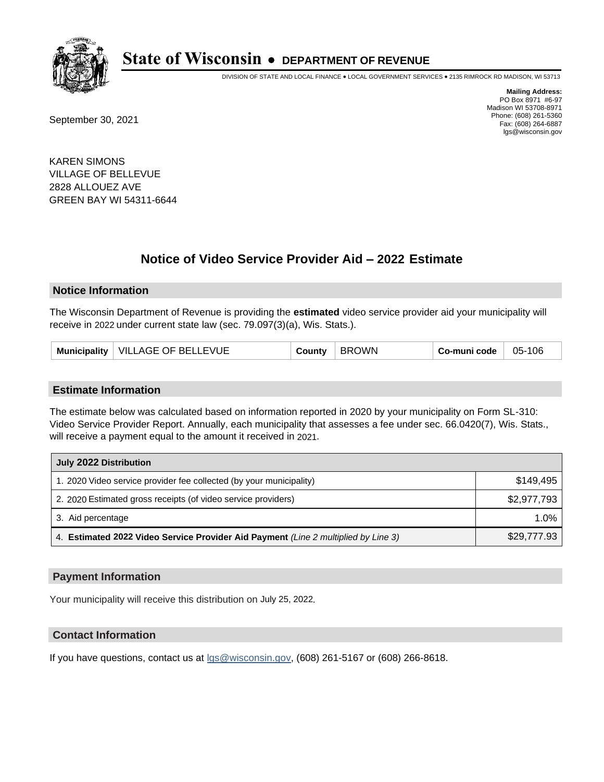

DIVISION OF STATE AND LOCAL FINANCE • LOCAL GOVERNMENT SERVICES • 2135 RIMROCK RD MADISON, WI 53713

September 30, 2021

**Mailing Address:** PO Box 8971 #6-97 Madison WI 53708-8971 Phone: (608) 261-5360 Fax: (608) 264-6887 lgs@wisconsin.gov

KAREN SIMONS VILLAGE OF BELLEVUE 2828 ALLOUEZ AVE GREEN BAY WI 54311-6644

## **Notice of Video Service Provider Aid - 2022 Estimate**

#### **Notice Information**

The Wisconsin Department of Revenue is providing the **estimated** video service provider aid your municipality will receive in 2022 under current state law (sec. 79.097(3)(a), Wis. Stats.).

| Municipality   VILLAGE OF BELLEVUE | County | <b>BROWN</b> | Co-muni code | 05-106 |
|------------------------------------|--------|--------------|--------------|--------|
|------------------------------------|--------|--------------|--------------|--------|

#### **Estimate Information**

The estimate below was calculated based on information reported in 2020 by your municipality on Form SL-310: Video Service Provider Report. Annually, each municipality that assesses a fee under sec. 66.0420(7), Wis. Stats., will receive a payment equal to the amount it received in 2021.

| July 2022 Distribution                                                             |             |
|------------------------------------------------------------------------------------|-------------|
| 1. 2020 Video service provider fee collected (by your municipality)                | \$149.495   |
| 2. 2020 Estimated gross receipts (of video service providers)                      | \$2,977,793 |
| 3. Aid percentage                                                                  | 1.0%        |
| 4. Estimated 2022 Video Service Provider Aid Payment (Line 2 multiplied by Line 3) | \$29,777.93 |

#### **Payment Information**

Your municipality will receive this distribution on July 25, 2022.

## **Contact Information**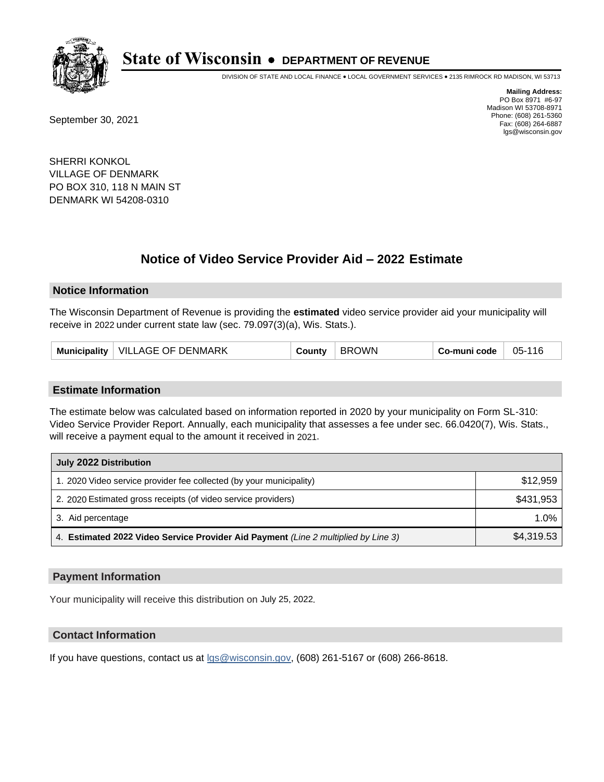

DIVISION OF STATE AND LOCAL FINANCE • LOCAL GOVERNMENT SERVICES • 2135 RIMROCK RD MADISON, WI 53713

September 30, 2021

**Mailing Address:** PO Box 8971 #6-97 Madison WI 53708-8971 Phone: (608) 261-5360 Fax: (608) 264-6887 lgs@wisconsin.gov

SHERRI KONKOL VILLAGE OF DENMARK PO BOX 310, 118 N MAIN ST DENMARK WI 54208-0310

## **Notice of Video Service Provider Aid - 2022 Estimate**

#### **Notice Information**

The Wisconsin Department of Revenue is providing the **estimated** video service provider aid your municipality will receive in 2022 under current state law (sec. 79.097(3)(a), Wis. Stats.).

| <b>Municipality</b> | VILLAGE OF DENMARK | ;ountv | <b>OWN</b><br>-RRC | Co-muni code | 05-116 |
|---------------------|--------------------|--------|--------------------|--------------|--------|
|---------------------|--------------------|--------|--------------------|--------------|--------|

#### **Estimate Information**

The estimate below was calculated based on information reported in 2020 by your municipality on Form SL-310: Video Service Provider Report. Annually, each municipality that assesses a fee under sec. 66.0420(7), Wis. Stats., will receive a payment equal to the amount it received in 2021.

| July 2022 Distribution                                                             |            |
|------------------------------------------------------------------------------------|------------|
| 1. 2020 Video service provider fee collected (by your municipality)                | \$12,959   |
| 2. 2020 Estimated gross receipts (of video service providers)                      | \$431,953  |
| 3. Aid percentage                                                                  | $1.0\%$    |
| 4. Estimated 2022 Video Service Provider Aid Payment (Line 2 multiplied by Line 3) | \$4,319.53 |

#### **Payment Information**

Your municipality will receive this distribution on July 25, 2022.

## **Contact Information**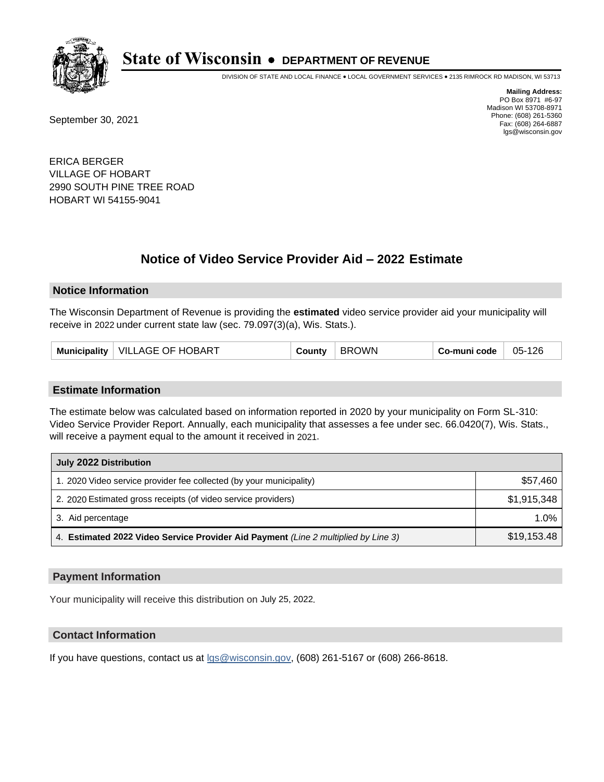

DIVISION OF STATE AND LOCAL FINANCE • LOCAL GOVERNMENT SERVICES • 2135 RIMROCK RD MADISON, WI 53713

September 30, 2021

**Mailing Address:** PO Box 8971 #6-97 Madison WI 53708-8971 Phone: (608) 261-5360 Fax: (608) 264-6887 lgs@wisconsin.gov

ERICA BERGER VILLAGE OF HOBART 2990 SOUTH PINE TREE ROAD HOBART WI 54155-9041

# **Notice of Video Service Provider Aid - 2022 Estimate**

#### **Notice Information**

The Wisconsin Department of Revenue is providing the **estimated** video service provider aid your municipality will receive in 2022 under current state law (sec. 79.097(3)(a), Wis. Stats.).

| VILLAGE OF HOBART<br><b>Municipality</b> | County | <b>BROWN</b> | Co-muni code | 05-126 |
|------------------------------------------|--------|--------------|--------------|--------|
|------------------------------------------|--------|--------------|--------------|--------|

#### **Estimate Information**

The estimate below was calculated based on information reported in 2020 by your municipality on Form SL-310: Video Service Provider Report. Annually, each municipality that assesses a fee under sec. 66.0420(7), Wis. Stats., will receive a payment equal to the amount it received in 2021.

| July 2022 Distribution                                                             |             |
|------------------------------------------------------------------------------------|-------------|
| 1. 2020 Video service provider fee collected (by your municipality)                | \$57,460    |
| 2. 2020 Estimated gross receipts (of video service providers)                      | \$1,915,348 |
| 3. Aid percentage                                                                  | $1.0\%$     |
| 4. Estimated 2022 Video Service Provider Aid Payment (Line 2 multiplied by Line 3) | \$19,153.48 |

#### **Payment Information**

Your municipality will receive this distribution on July 25, 2022.

## **Contact Information**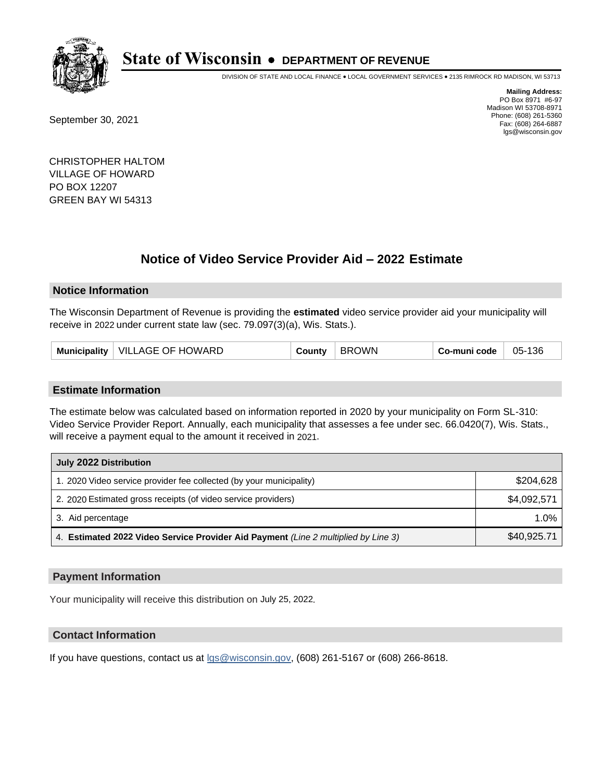

DIVISION OF STATE AND LOCAL FINANCE • LOCAL GOVERNMENT SERVICES • 2135 RIMROCK RD MADISON, WI 53713

September 30, 2021

**Mailing Address:** PO Box 8971 #6-97 Madison WI 53708-8971 Phone: (608) 261-5360 Fax: (608) 264-6887 lgs@wisconsin.gov

CHRISTOPHER HALTOM VILLAGE OF HOWARD PO BOX 12207 GREEN BAY WI 54313

## **Notice of Video Service Provider Aid - 2022 Estimate**

#### **Notice Information**

The Wisconsin Department of Revenue is providing the **estimated** video service provider aid your municipality will receive in 2022 under current state law (sec. 79.097(3)(a), Wis. Stats.).

| Municipality   VILLAGE OF HOWARD | County | <b>BROWN</b> | Co-muni code | 05-136 |
|----------------------------------|--------|--------------|--------------|--------|
|----------------------------------|--------|--------------|--------------|--------|

#### **Estimate Information**

The estimate below was calculated based on information reported in 2020 by your municipality on Form SL-310: Video Service Provider Report. Annually, each municipality that assesses a fee under sec. 66.0420(7), Wis. Stats., will receive a payment equal to the amount it received in 2021.

| July 2022 Distribution                                                             |             |
|------------------------------------------------------------------------------------|-------------|
| 1. 2020 Video service provider fee collected (by your municipality)                | \$204,628   |
| 2. 2020 Estimated gross receipts (of video service providers)                      | \$4,092,571 |
| 3. Aid percentage                                                                  | 1.0%        |
| 4. Estimated 2022 Video Service Provider Aid Payment (Line 2 multiplied by Line 3) | \$40,925.71 |

#### **Payment Information**

Your municipality will receive this distribution on July 25, 2022.

## **Contact Information**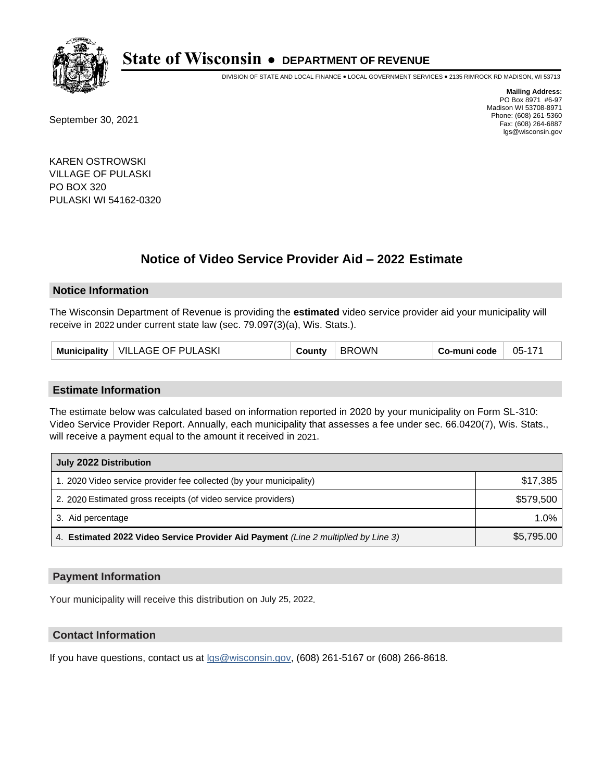

DIVISION OF STATE AND LOCAL FINANCE • LOCAL GOVERNMENT SERVICES • 2135 RIMROCK RD MADISON, WI 53713

September 30, 2021

**Mailing Address:** PO Box 8971 #6-97 Madison WI 53708-8971 Phone: (608) 261-5360 Fax: (608) 264-6887 lgs@wisconsin.gov

KAREN OSTROWSKI VILLAGE OF PULASKI PO BOX 320 PULASKI WI 54162-0320

## **Notice of Video Service Provider Aid - 2022 Estimate**

### **Notice Information**

The Wisconsin Department of Revenue is providing the **estimated** video service provider aid your municipality will receive in 2022 under current state law (sec. 79.097(3)(a), Wis. Stats.).

| Municipality   VILLAGE OF PULASKI | Sountγ | <b>BROWN</b> | Co-muni code | 05-171 |
|-----------------------------------|--------|--------------|--------------|--------|
|-----------------------------------|--------|--------------|--------------|--------|

#### **Estimate Information**

The estimate below was calculated based on information reported in 2020 by your municipality on Form SL-310: Video Service Provider Report. Annually, each municipality that assesses a fee under sec. 66.0420(7), Wis. Stats., will receive a payment equal to the amount it received in 2021.

| July 2022 Distribution                                                             |            |
|------------------------------------------------------------------------------------|------------|
| 1. 2020 Video service provider fee collected (by your municipality)                | \$17,385   |
| 2. 2020 Estimated gross receipts (of video service providers)                      | \$579,500  |
| 3. Aid percentage                                                                  | $1.0\%$    |
| 4. Estimated 2022 Video Service Provider Aid Payment (Line 2 multiplied by Line 3) | \$5,795.00 |

#### **Payment Information**

Your municipality will receive this distribution on July 25, 2022.

## **Contact Information**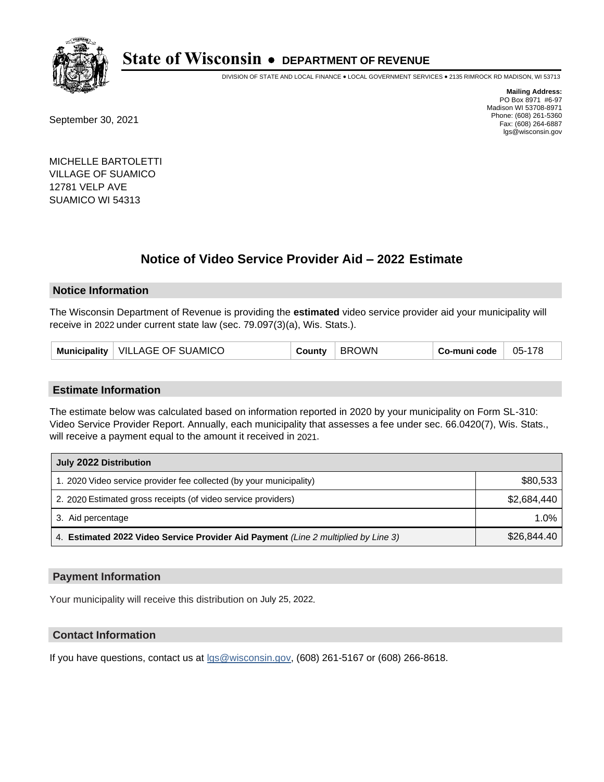

DIVISION OF STATE AND LOCAL FINANCE • LOCAL GOVERNMENT SERVICES • 2135 RIMROCK RD MADISON, WI 53713

September 30, 2021

**Mailing Address:** PO Box 8971 #6-97 Madison WI 53708-8971 Phone: (608) 261-5360 Fax: (608) 264-6887 lgs@wisconsin.gov

MICHELLE BARTOLETTI VILLAGE OF SUAMICO 12781 VELP AVE SUAMICO WI 54313

## **Notice of Video Service Provider Aid - 2022 Estimate**

#### **Notice Information**

The Wisconsin Department of Revenue is providing the **estimated** video service provider aid your municipality will receive in 2022 under current state law (sec. 79.097(3)(a), Wis. Stats.).

| Municipality   VILLAGE OF SUAMICO | County | BROWN | Co-muni code | 05-178 |
|-----------------------------------|--------|-------|--------------|--------|
|-----------------------------------|--------|-------|--------------|--------|

#### **Estimate Information**

The estimate below was calculated based on information reported in 2020 by your municipality on Form SL-310: Video Service Provider Report. Annually, each municipality that assesses a fee under sec. 66.0420(7), Wis. Stats., will receive a payment equal to the amount it received in 2021.

| July 2022 Distribution                                                             |             |
|------------------------------------------------------------------------------------|-------------|
| 1. 2020 Video service provider fee collected (by your municipality)                | \$80,533    |
| 2. 2020 Estimated gross receipts (of video service providers)                      | \$2.684.440 |
| 3. Aid percentage                                                                  | 1.0%        |
| 4. Estimated 2022 Video Service Provider Aid Payment (Line 2 multiplied by Line 3) | \$26,844.40 |

#### **Payment Information**

Your municipality will receive this distribution on July 25, 2022.

## **Contact Information**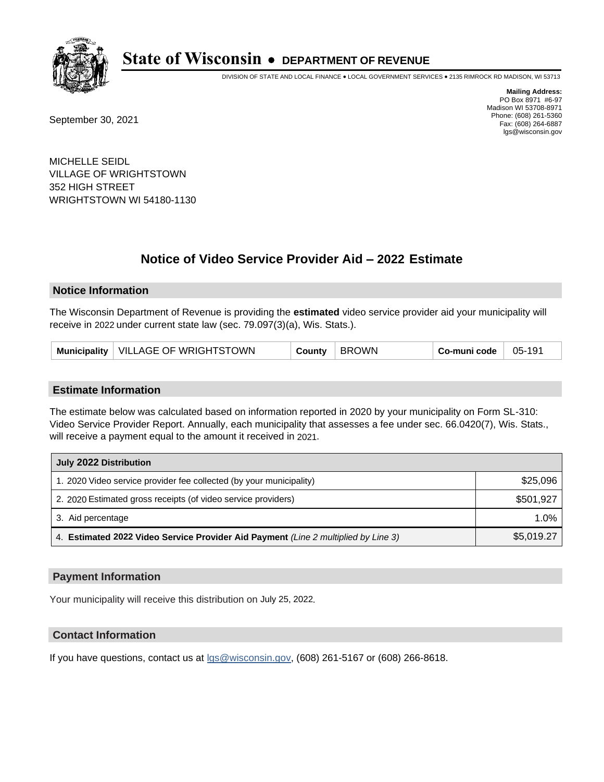

DIVISION OF STATE AND LOCAL FINANCE • LOCAL GOVERNMENT SERVICES • 2135 RIMROCK RD MADISON, WI 53713

September 30, 2021

**Mailing Address:** PO Box 8971 #6-97 Madison WI 53708-8971 Phone: (608) 261-5360 Fax: (608) 264-6887 lgs@wisconsin.gov

MICHELLE SEIDL VILLAGE OF WRIGHTSTOWN 352 HIGH STREET WRIGHTSTOWN WI 54180-1130

# **Notice of Video Service Provider Aid - 2022 Estimate**

#### **Notice Information**

The Wisconsin Department of Revenue is providing the **estimated** video service provider aid your municipality will receive in 2022 under current state law (sec. 79.097(3)(a), Wis. Stats.).

| Municipality   VILLAGE OF WRIGHTSTOWN | County | <b>BROWN</b> | Co-muni code | 05-191 |
|---------------------------------------|--------|--------------|--------------|--------|
|---------------------------------------|--------|--------------|--------------|--------|

#### **Estimate Information**

The estimate below was calculated based on information reported in 2020 by your municipality on Form SL-310: Video Service Provider Report. Annually, each municipality that assesses a fee under sec. 66.0420(7), Wis. Stats., will receive a payment equal to the amount it received in 2021.

| July 2022 Distribution                                                             |            |  |  |
|------------------------------------------------------------------------------------|------------|--|--|
| 1. 2020 Video service provider fee collected (by your municipality)                | \$25,096   |  |  |
| 2. 2020 Estimated gross receipts (of video service providers)                      | \$501.927  |  |  |
| 3. Aid percentage                                                                  | 1.0%       |  |  |
| 4. Estimated 2022 Video Service Provider Aid Payment (Line 2 multiplied by Line 3) | \$5,019.27 |  |  |

#### **Payment Information**

Your municipality will receive this distribution on July 25, 2022.

## **Contact Information**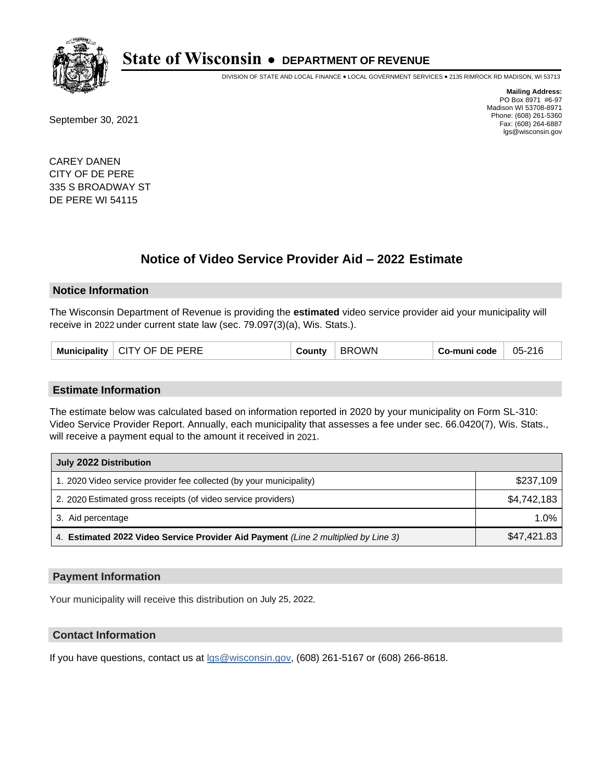

DIVISION OF STATE AND LOCAL FINANCE • LOCAL GOVERNMENT SERVICES • 2135 RIMROCK RD MADISON, WI 53713

September 30, 2021

**Mailing Address:** PO Box 8971 #6-97 Madison WI 53708-8971 Phone: (608) 261-5360 Fax: (608) 264-6887 lgs@wisconsin.gov

CAREY DANEN CITY OF DE PERE 335 S BROADWAY ST DE PERE WI 54115

## **Notice of Video Service Provider Aid - 2022 Estimate**

#### **Notice Information**

The Wisconsin Department of Revenue is providing the **estimated** video service provider aid your municipality will receive in 2022 under current state law (sec. 79.097(3)(a), Wis. Stats.).

| CITY OF DE PERE<br>Municipality | County | <b>OWN</b><br>BRC | Co-muni code | 05-216 |
|---------------------------------|--------|-------------------|--------------|--------|
|---------------------------------|--------|-------------------|--------------|--------|

#### **Estimate Information**

The estimate below was calculated based on information reported in 2020 by your municipality on Form SL-310: Video Service Provider Report. Annually, each municipality that assesses a fee under sec. 66.0420(7), Wis. Stats., will receive a payment equal to the amount it received in 2021.

| July 2022 Distribution                                                             |             |
|------------------------------------------------------------------------------------|-------------|
| 1. 2020 Video service provider fee collected (by your municipality)                | \$237,109   |
| 2. 2020 Estimated gross receipts (of video service providers)                      | \$4,742,183 |
| 3. Aid percentage                                                                  | 1.0%        |
| 4. Estimated 2022 Video Service Provider Aid Payment (Line 2 multiplied by Line 3) | \$47,421.83 |

#### **Payment Information**

Your municipality will receive this distribution on July 25, 2022.

## **Contact Information**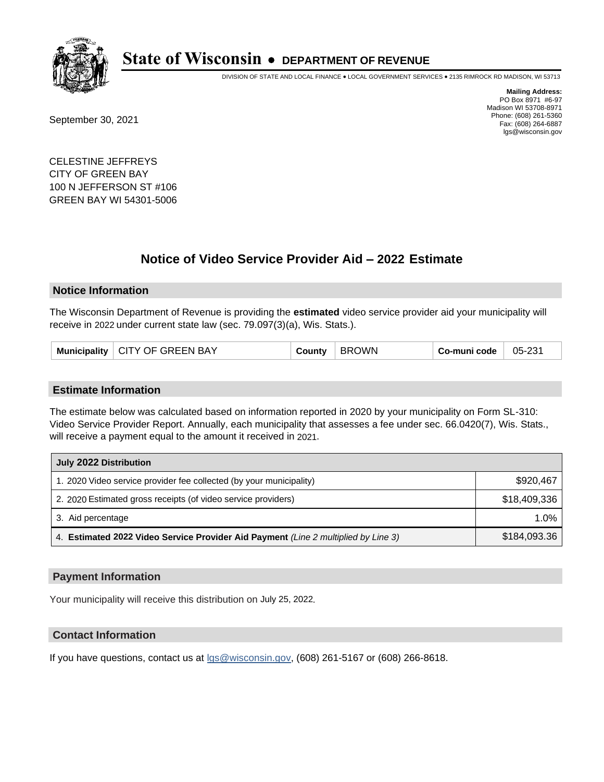

DIVISION OF STATE AND LOCAL FINANCE • LOCAL GOVERNMENT SERVICES • 2135 RIMROCK RD MADISON, WI 53713

September 30, 2021

**Mailing Address:** PO Box 8971 #6-97 Madison WI 53708-8971 Phone: (608) 261-5360 Fax: (608) 264-6887 lgs@wisconsin.gov

CELESTINE JEFFREYS CITY OF GREEN BAY 100 N JEFFERSON ST #106 GREEN BAY WI 54301-5006

## **Notice of Video Service Provider Aid - 2022 Estimate**

#### **Notice Information**

The Wisconsin Department of Revenue is providing the **estimated** video service provider aid your municipality will receive in 2022 under current state law (sec. 79.097(3)(a), Wis. Stats.).

|  | Municipality   CITY OF GREEN BAY | County | <b>BROWN</b> | Co-muni code | 05-231 |
|--|----------------------------------|--------|--------------|--------------|--------|
|--|----------------------------------|--------|--------------|--------------|--------|

### **Estimate Information**

The estimate below was calculated based on information reported in 2020 by your municipality on Form SL-310: Video Service Provider Report. Annually, each municipality that assesses a fee under sec. 66.0420(7), Wis. Stats., will receive a payment equal to the amount it received in 2021.

| July 2022 Distribution                                                             |              |  |  |  |
|------------------------------------------------------------------------------------|--------------|--|--|--|
| 1. 2020 Video service provider fee collected (by your municipality)                | \$920.467    |  |  |  |
| 2. 2020 Estimated gross receipts (of video service providers)                      | \$18,409,336 |  |  |  |
| 3. Aid percentage                                                                  | $1.0\%$      |  |  |  |
| 4. Estimated 2022 Video Service Provider Aid Payment (Line 2 multiplied by Line 3) | \$184,093.36 |  |  |  |

#### **Payment Information**

Your municipality will receive this distribution on July 25, 2022.

## **Contact Information**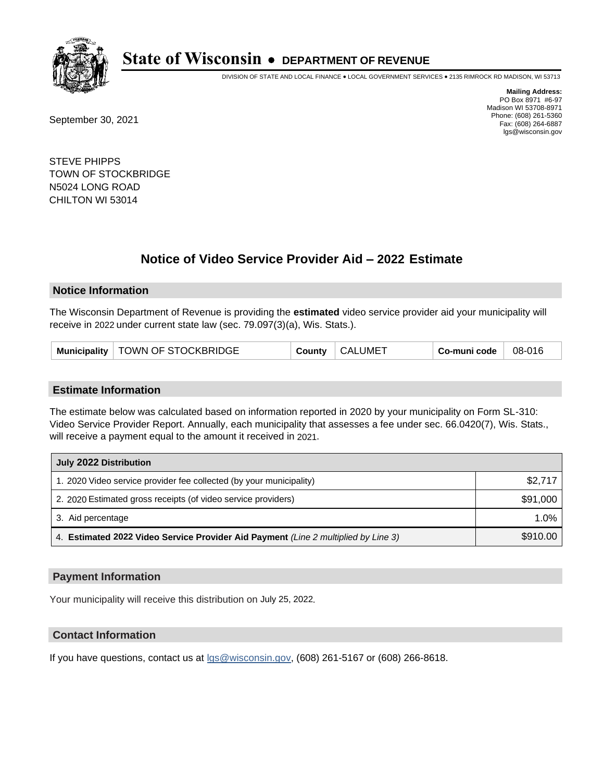

DIVISION OF STATE AND LOCAL FINANCE • LOCAL GOVERNMENT SERVICES • 2135 RIMROCK RD MADISON, WI 53713

September 30, 2021

**Mailing Address:** PO Box 8971 #6-97 Madison WI 53708-8971 Phone: (608) 261-5360 Fax: (608) 264-6887 lgs@wisconsin.gov

STEVE PHIPPS TOWN OF STOCKBRIDGE N5024 LONG ROAD CHILTON WI 53014

## **Notice of Video Service Provider Aid - 2022 Estimate**

#### **Notice Information**

The Wisconsin Department of Revenue is providing the **estimated** video service provider aid your municipality will receive in 2022 under current state law (sec. 79.097(3)(a), Wis. Stats.).

#### **Estimate Information**

The estimate below was calculated based on information reported in 2020 by your municipality on Form SL-310: Video Service Provider Report. Annually, each municipality that assesses a fee under sec. 66.0420(7), Wis. Stats., will receive a payment equal to the amount it received in 2021.

| July 2022 Distribution                                                             |          |  |  |
|------------------------------------------------------------------------------------|----------|--|--|
| 1. 2020 Video service provider fee collected (by your municipality)                | \$2,717  |  |  |
| 2. 2020 Estimated gross receipts (of video service providers)                      | \$91,000 |  |  |
| 3. Aid percentage                                                                  | $1.0\%$  |  |  |
| 4. Estimated 2022 Video Service Provider Aid Payment (Line 2 multiplied by Line 3) | \$910.00 |  |  |

#### **Payment Information**

Your municipality will receive this distribution on July 25, 2022.

## **Contact Information**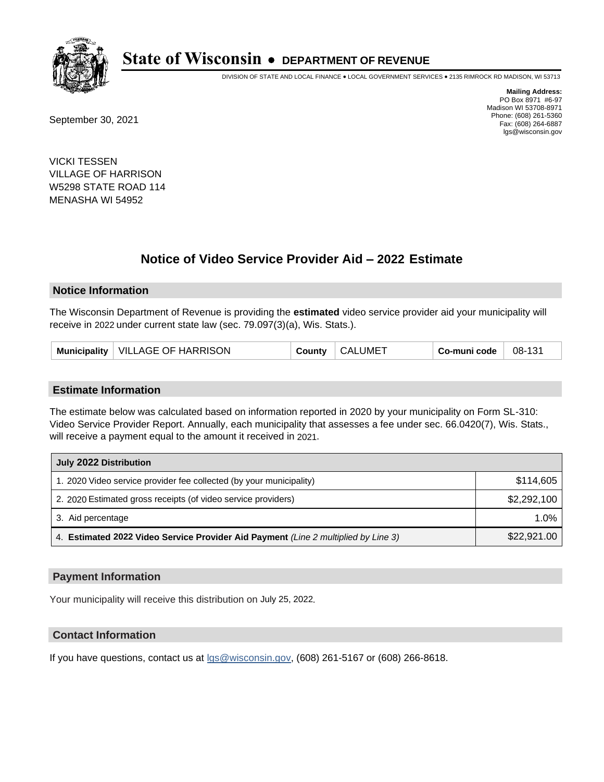

DIVISION OF STATE AND LOCAL FINANCE • LOCAL GOVERNMENT SERVICES • 2135 RIMROCK RD MADISON, WI 53713

September 30, 2021

**Mailing Address:** PO Box 8971 #6-97 Madison WI 53708-8971 Phone: (608) 261-5360 Fax: (608) 264-6887 lgs@wisconsin.gov

VICKI TESSEN VILLAGE OF HARRISON W5298 STATE ROAD 114 MENASHA WI 54952

## **Notice of Video Service Provider Aid - 2022 Estimate**

#### **Notice Information**

The Wisconsin Department of Revenue is providing the **estimated** video service provider aid your municipality will receive in 2022 under current state law (sec. 79.097(3)(a), Wis. Stats.).

| Municipality   VILLAGE OF HARRISON | County | <b>CALUMET</b> | Co-muni code | 08-131 |
|------------------------------------|--------|----------------|--------------|--------|
|------------------------------------|--------|----------------|--------------|--------|

#### **Estimate Information**

The estimate below was calculated based on information reported in 2020 by your municipality on Form SL-310: Video Service Provider Report. Annually, each municipality that assesses a fee under sec. 66.0420(7), Wis. Stats., will receive a payment equal to the amount it received in 2021.

| July 2022 Distribution                                                             |             |
|------------------------------------------------------------------------------------|-------------|
| 1. 2020 Video service provider fee collected (by your municipality)                | \$114.605   |
| 2. 2020 Estimated gross receipts (of video service providers)                      | \$2,292,100 |
| 3. Aid percentage                                                                  | 1.0%        |
| 4. Estimated 2022 Video Service Provider Aid Payment (Line 2 multiplied by Line 3) | \$22,921.00 |

### **Payment Information**

Your municipality will receive this distribution on July 25, 2022.

## **Contact Information**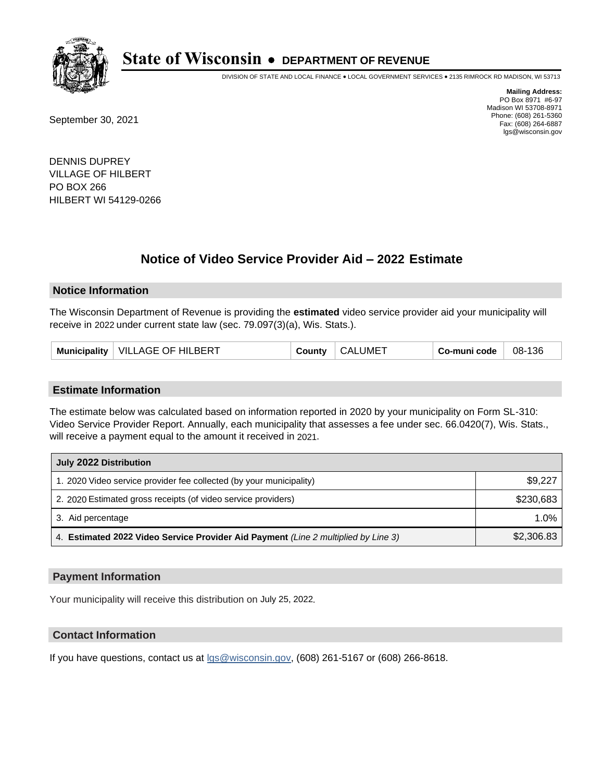

DIVISION OF STATE AND LOCAL FINANCE • LOCAL GOVERNMENT SERVICES • 2135 RIMROCK RD MADISON, WI 53713

September 30, 2021

**Mailing Address:** PO Box 8971 #6-97 Madison WI 53708-8971 Phone: (608) 261-5360 Fax: (608) 264-6887 lgs@wisconsin.gov

DENNIS DUPREY VILLAGE OF HILBERT PO BOX 266 HILBERT WI 54129-0266

## **Notice of Video Service Provider Aid - 2022 Estimate**

#### **Notice Information**

The Wisconsin Department of Revenue is providing the **estimated** video service provider aid your municipality will receive in 2022 under current state law (sec. 79.097(3)(a), Wis. Stats.).

| VILLAGE OF HILBERT<br><b>Municipality</b> | County | <b>CALUMET</b> | Co-muni code | 08-136 |
|-------------------------------------------|--------|----------------|--------------|--------|
|-------------------------------------------|--------|----------------|--------------|--------|

#### **Estimate Information**

The estimate below was calculated based on information reported in 2020 by your municipality on Form SL-310: Video Service Provider Report. Annually, each municipality that assesses a fee under sec. 66.0420(7), Wis. Stats., will receive a payment equal to the amount it received in 2021.

| July 2022 Distribution                                                             |            |
|------------------------------------------------------------------------------------|------------|
| 1. 2020 Video service provider fee collected (by your municipality)                | \$9,227    |
| 2. 2020 Estimated gross receipts (of video service providers)                      | \$230.683  |
| 3. Aid percentage                                                                  | $1.0\%$    |
| 4. Estimated 2022 Video Service Provider Aid Payment (Line 2 multiplied by Line 3) | \$2,306.83 |

#### **Payment Information**

Your municipality will receive this distribution on July 25, 2022.

## **Contact Information**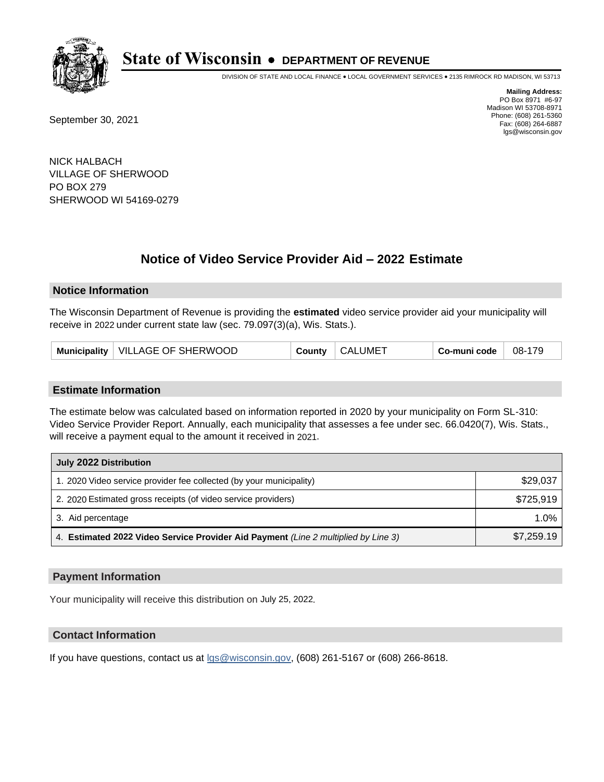

DIVISION OF STATE AND LOCAL FINANCE • LOCAL GOVERNMENT SERVICES • 2135 RIMROCK RD MADISON, WI 53713

September 30, 2021

**Mailing Address:** PO Box 8971 #6-97 Madison WI 53708-8971 Phone: (608) 261-5360 Fax: (608) 264-6887 lgs@wisconsin.gov

NICK HALBACH VILLAGE OF SHERWOOD PO BOX 279 SHERWOOD WI 54169-0279

## **Notice of Video Service Provider Aid - 2022 Estimate**

### **Notice Information**

The Wisconsin Department of Revenue is providing the **estimated** video service provider aid your municipality will receive in 2022 under current state law (sec. 79.097(3)(a), Wis. Stats.).

| Municipality   VILLAGE OF SHERWOOD<br>County | <b>CALUMET</b> | Co-muni code | 08-179 |
|----------------------------------------------|----------------|--------------|--------|
|----------------------------------------------|----------------|--------------|--------|

#### **Estimate Information**

The estimate below was calculated based on information reported in 2020 by your municipality on Form SL-310: Video Service Provider Report. Annually, each municipality that assesses a fee under sec. 66.0420(7), Wis. Stats., will receive a payment equal to the amount it received in 2021.

| July 2022 Distribution                                                             |            |
|------------------------------------------------------------------------------------|------------|
| 1. 2020 Video service provider fee collected (by your municipality)                | \$29,037   |
| 2. 2020 Estimated gross receipts (of video service providers)                      | \$725.919  |
| 3. Aid percentage                                                                  | 1.0%       |
| 4. Estimated 2022 Video Service Provider Aid Payment (Line 2 multiplied by Line 3) | \$7,259.19 |

#### **Payment Information**

Your municipality will receive this distribution on July 25, 2022.

## **Contact Information**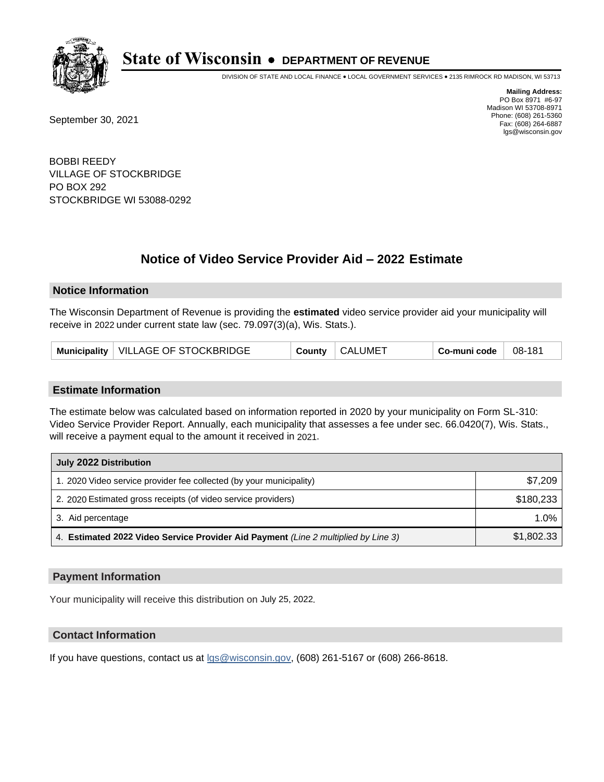

DIVISION OF STATE AND LOCAL FINANCE • LOCAL GOVERNMENT SERVICES • 2135 RIMROCK RD MADISON, WI 53713

September 30, 2021

**Mailing Address:** PO Box 8971 #6-97 Madison WI 53708-8971 Phone: (608) 261-5360 Fax: (608) 264-6887 lgs@wisconsin.gov

BOBBI REEDY VILLAGE OF STOCKBRIDGE PO BOX 292 STOCKBRIDGE WI 53088-0292

# **Notice of Video Service Provider Aid - 2022 Estimate**

### **Notice Information**

The Wisconsin Department of Revenue is providing the **estimated** video service provider aid your municipality will receive in 2022 under current state law (sec. 79.097(3)(a), Wis. Stats.).

| Municipality   VILLAGE OF STOCKBRIDGE<br>County | <b>CALUMET</b> | Co-muni code | 08-181 |
|-------------------------------------------------|----------------|--------------|--------|
|-------------------------------------------------|----------------|--------------|--------|

#### **Estimate Information**

The estimate below was calculated based on information reported in 2020 by your municipality on Form SL-310: Video Service Provider Report. Annually, each municipality that assesses a fee under sec. 66.0420(7), Wis. Stats., will receive a payment equal to the amount it received in 2021.

| July 2022 Distribution                                                             |            |
|------------------------------------------------------------------------------------|------------|
| 1. 2020 Video service provider fee collected (by your municipality)                | \$7,209    |
| 2. 2020 Estimated gross receipts (of video service providers)                      | \$180,233  |
| 3. Aid percentage                                                                  | $1.0\%$    |
| 4. Estimated 2022 Video Service Provider Aid Payment (Line 2 multiplied by Line 3) | \$1,802.33 |

#### **Payment Information**

Your municipality will receive this distribution on July 25, 2022.

## **Contact Information**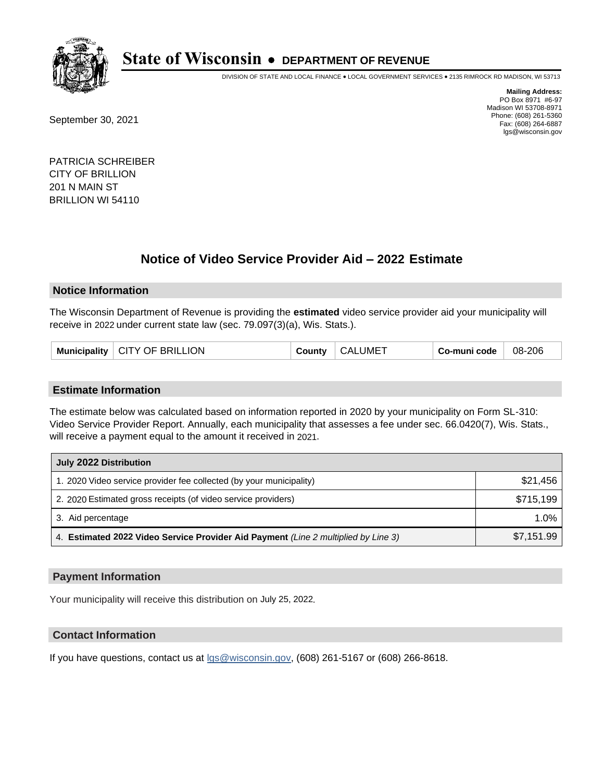

DIVISION OF STATE AND LOCAL FINANCE • LOCAL GOVERNMENT SERVICES • 2135 RIMROCK RD MADISON, WI 53713

September 30, 2021

**Mailing Address:** PO Box 8971 #6-97 Madison WI 53708-8971 Phone: (608) 261-5360 Fax: (608) 264-6887 lgs@wisconsin.gov

PATRICIA SCHREIBER CITY OF BRILLION 201 N MAIN ST BRILLION WI 54110

## **Notice of Video Service Provider Aid - 2022 Estimate**

### **Notice Information**

The Wisconsin Department of Revenue is providing the **estimated** video service provider aid your municipality will receive in 2022 under current state law (sec. 79.097(3)(a), Wis. Stats.).

| Municipality | <b>CITY OF BRILLION</b> | County | <b>CALUMET</b> | Co-muni code | 08-206 |
|--------------|-------------------------|--------|----------------|--------------|--------|
|--------------|-------------------------|--------|----------------|--------------|--------|

#### **Estimate Information**

The estimate below was calculated based on information reported in 2020 by your municipality on Form SL-310: Video Service Provider Report. Annually, each municipality that assesses a fee under sec. 66.0420(7), Wis. Stats., will receive a payment equal to the amount it received in 2021.

| July 2022 Distribution                                                             |            |
|------------------------------------------------------------------------------------|------------|
| 1. 2020 Video service provider fee collected (by your municipality)                | \$21,456   |
| 2. 2020 Estimated gross receipts (of video service providers)                      | \$715.199  |
| 3. Aid percentage                                                                  | $1.0\%$    |
| 4. Estimated 2022 Video Service Provider Aid Payment (Line 2 multiplied by Line 3) | \$7,151.99 |

#### **Payment Information**

Your municipality will receive this distribution on July 25, 2022.

## **Contact Information**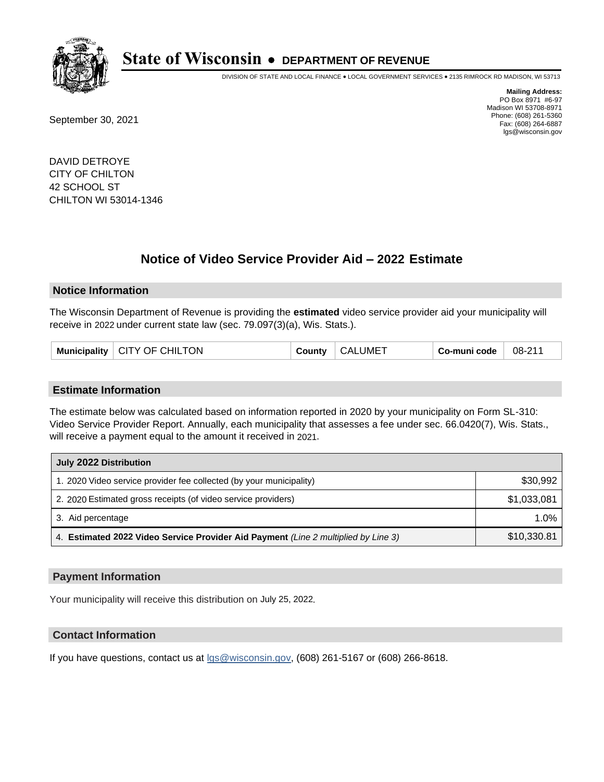

DIVISION OF STATE AND LOCAL FINANCE • LOCAL GOVERNMENT SERVICES • 2135 RIMROCK RD MADISON, WI 53713

September 30, 2021

**Mailing Address:** PO Box 8971 #6-97 Madison WI 53708-8971 Phone: (608) 261-5360 Fax: (608) 264-6887 lgs@wisconsin.gov

DAVID DETROYE CITY OF CHILTON 42 SCHOOL ST CHILTON WI 53014-1346

## **Notice of Video Service Provider Aid - 2022 Estimate**

#### **Notice Information**

The Wisconsin Department of Revenue is providing the **estimated** video service provider aid your municipality will receive in 2022 under current state law (sec. 79.097(3)(a), Wis. Stats.).

|  | Municipality   CITY OF CHILTON | County | <b>CALUMET</b> | Co-muni code | 08-211 |
|--|--------------------------------|--------|----------------|--------------|--------|
|--|--------------------------------|--------|----------------|--------------|--------|

#### **Estimate Information**

The estimate below was calculated based on information reported in 2020 by your municipality on Form SL-310: Video Service Provider Report. Annually, each municipality that assesses a fee under sec. 66.0420(7), Wis. Stats., will receive a payment equal to the amount it received in 2021.

| July 2022 Distribution                                                             |             |
|------------------------------------------------------------------------------------|-------------|
| 1. 2020 Video service provider fee collected (by your municipality)                | \$30,992    |
| 2. 2020 Estimated gross receipts (of video service providers)                      | \$1,033,081 |
| 3. Aid percentage                                                                  | 1.0%        |
| 4. Estimated 2022 Video Service Provider Aid Payment (Line 2 multiplied by Line 3) | \$10,330.81 |

#### **Payment Information**

Your municipality will receive this distribution on July 25, 2022.

## **Contact Information**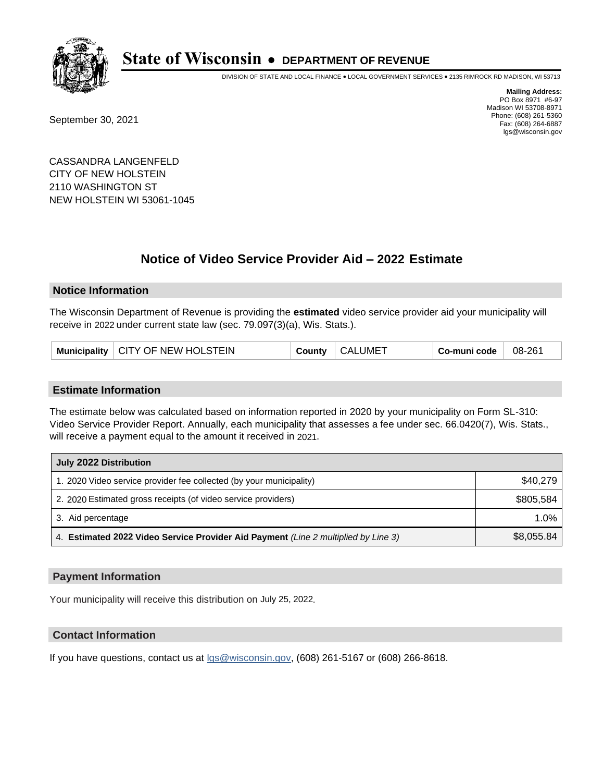

DIVISION OF STATE AND LOCAL FINANCE • LOCAL GOVERNMENT SERVICES • 2135 RIMROCK RD MADISON, WI 53713

September 30, 2021

**Mailing Address:** PO Box 8971 #6-97 Madison WI 53708-8971 Phone: (608) 261-5360 Fax: (608) 264-6887 lgs@wisconsin.gov

CASSANDRA LANGENFELD CITY OF NEW HOLSTEIN 2110 WASHINGTON ST NEW HOLSTEIN WI 53061-1045

# **Notice of Video Service Provider Aid - 2022 Estimate**

### **Notice Information**

The Wisconsin Department of Revenue is providing the **estimated** video service provider aid your municipality will receive in 2022 under current state law (sec. 79.097(3)(a), Wis. Stats.).

|  | Municipality   CITY OF NEW HOLSTEIN | County | <b>CALUMET</b> | Co-muni code | 08-261 |
|--|-------------------------------------|--------|----------------|--------------|--------|
|--|-------------------------------------|--------|----------------|--------------|--------|

#### **Estimate Information**

The estimate below was calculated based on information reported in 2020 by your municipality on Form SL-310: Video Service Provider Report. Annually, each municipality that assesses a fee under sec. 66.0420(7), Wis. Stats., will receive a payment equal to the amount it received in 2021.

| July 2022 Distribution                                                             |            |
|------------------------------------------------------------------------------------|------------|
| 1. 2020 Video service provider fee collected (by your municipality)                | \$40,279   |
| 2. 2020 Estimated gross receipts (of video service providers)                      | \$805.584  |
| 3. Aid percentage                                                                  | 1.0%       |
| 4. Estimated 2022 Video Service Provider Aid Payment (Line 2 multiplied by Line 3) | \$8,055.84 |

#### **Payment Information**

Your municipality will receive this distribution on July 25, 2022.

## **Contact Information**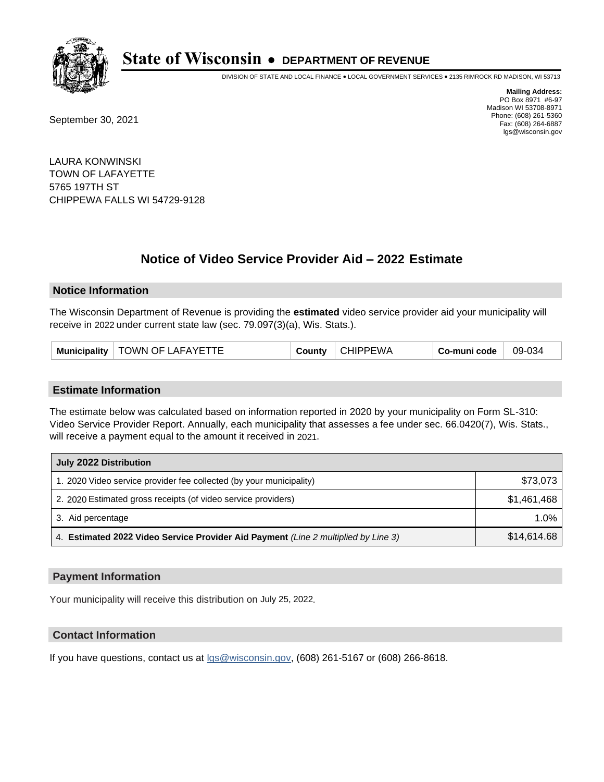

DIVISION OF STATE AND LOCAL FINANCE • LOCAL GOVERNMENT SERVICES • 2135 RIMROCK RD MADISON, WI 53713

September 30, 2021

**Mailing Address:** PO Box 8971 #6-97 Madison WI 53708-8971 Phone: (608) 261-5360 Fax: (608) 264-6887 lgs@wisconsin.gov

LAURA KONWINSKI TOWN OF LAFAYETTE 5765 197TH ST CHIPPEWA FALLS WI 54729-9128

## **Notice of Video Service Provider Aid - 2022 Estimate**

#### **Notice Information**

The Wisconsin Department of Revenue is providing the **estimated** video service provider aid your municipality will receive in 2022 under current state law (sec. 79.097(3)(a), Wis. Stats.).

| TOWN OF LAFAYETTE<br><b>Municipality</b> | <b>Jount∨</b> | CHIPPEWA | Co-muni code | 09-034 |
|------------------------------------------|---------------|----------|--------------|--------|
|------------------------------------------|---------------|----------|--------------|--------|

#### **Estimate Information**

The estimate below was calculated based on information reported in 2020 by your municipality on Form SL-310: Video Service Provider Report. Annually, each municipality that assesses a fee under sec. 66.0420(7), Wis. Stats., will receive a payment equal to the amount it received in 2021.

| July 2022 Distribution                                                             |             |  |  |  |
|------------------------------------------------------------------------------------|-------------|--|--|--|
| 1. 2020 Video service provider fee collected (by your municipality)                | \$73,073    |  |  |  |
| 2. 2020 Estimated gross receipts (of video service providers)                      | \$1.461.468 |  |  |  |
| 3. Aid percentage                                                                  | 1.0%        |  |  |  |
| 4. Estimated 2022 Video Service Provider Aid Payment (Line 2 multiplied by Line 3) | \$14,614.68 |  |  |  |

#### **Payment Information**

Your municipality will receive this distribution on July 25, 2022.

## **Contact Information**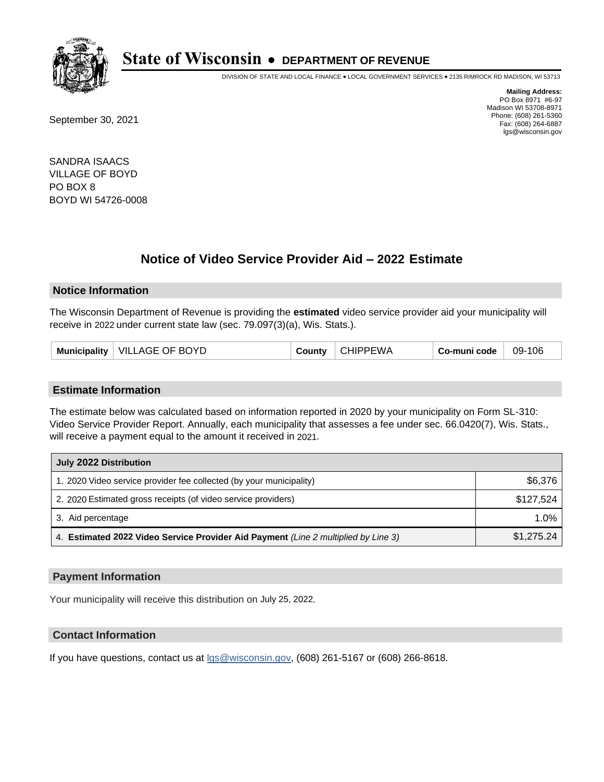

DIVISION OF STATE AND LOCAL FINANCE • LOCAL GOVERNMENT SERVICES • 2135 RIMROCK RD MADISON, WI 53713

September 30, 2021

**Mailing Address:** PO Box 8971 #6-97 Madison WI 53708-8971 Phone: (608) 261-5360 Fax: (608) 264-6887 lgs@wisconsin.gov

SANDRA ISAACS VILLAGE OF BOYD PO BOX 8 BOYD WI 54726-0008

## **Notice of Video Service Provider Aid - 2022 Estimate**

#### **Notice Information**

The Wisconsin Department of Revenue is providing the **estimated** video service provider aid your municipality will receive in 2022 under current state law (sec. 79.097(3)(a), Wis. Stats.).

#### **Estimate Information**

The estimate below was calculated based on information reported in 2020 by your municipality on Form SL-310: Video Service Provider Report. Annually, each municipality that assesses a fee under sec. 66.0420(7), Wis. Stats., will receive a payment equal to the amount it received in 2021.

| July 2022 Distribution                                                             |            |  |  |  |
|------------------------------------------------------------------------------------|------------|--|--|--|
| 1. 2020 Video service provider fee collected (by your municipality)                | \$6,376    |  |  |  |
| 2. 2020 Estimated gross receipts (of video service providers)                      | \$127.524  |  |  |  |
| 3. Aid percentage                                                                  | $1.0\%$    |  |  |  |
| 4. Estimated 2022 Video Service Provider Aid Payment (Line 2 multiplied by Line 3) | \$1,275.24 |  |  |  |

#### **Payment Information**

Your municipality will receive this distribution on July 25, 2022.

## **Contact Information**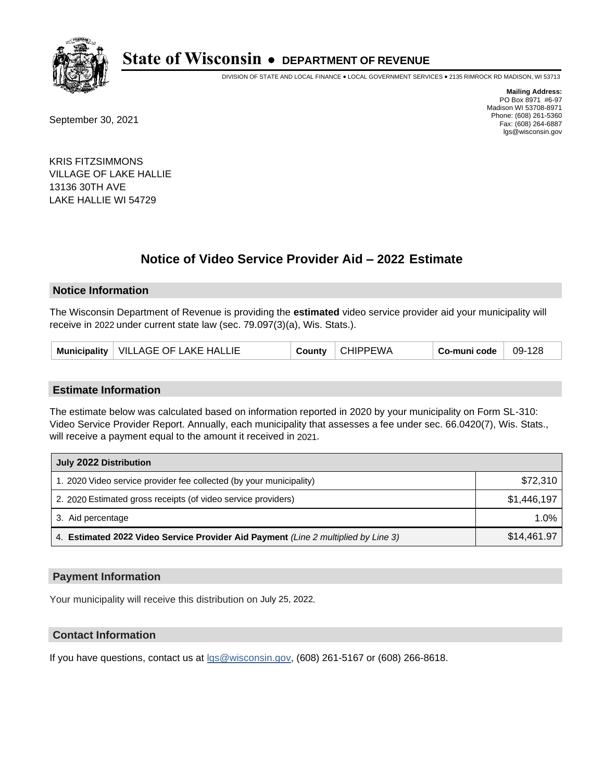

DIVISION OF STATE AND LOCAL FINANCE • LOCAL GOVERNMENT SERVICES • 2135 RIMROCK RD MADISON, WI 53713

September 30, 2021

**Mailing Address:** PO Box 8971 #6-97 Madison WI 53708-8971 Phone: (608) 261-5360 Fax: (608) 264-6887 lgs@wisconsin.gov

KRIS FITZSIMMONS VILLAGE OF LAKE HALLIE 13136 30TH AVE LAKE HALLIE WI 54729

## **Notice of Video Service Provider Aid - 2022 Estimate**

#### **Notice Information**

The Wisconsin Department of Revenue is providing the **estimated** video service provider aid your municipality will receive in 2022 under current state law (sec. 79.097(3)(a), Wis. Stats.).

#### **Estimate Information**

The estimate below was calculated based on information reported in 2020 by your municipality on Form SL-310: Video Service Provider Report. Annually, each municipality that assesses a fee under sec. 66.0420(7), Wis. Stats., will receive a payment equal to the amount it received in 2021.

| July 2022 Distribution                                                             |             |  |  |
|------------------------------------------------------------------------------------|-------------|--|--|
| 1. 2020 Video service provider fee collected (by your municipality)                | \$72,310    |  |  |
| 2. 2020 Estimated gross receipts (of video service providers)                      | \$1,446,197 |  |  |
| 3. Aid percentage                                                                  | 1.0%        |  |  |
| 4. Estimated 2022 Video Service Provider Aid Payment (Line 2 multiplied by Line 3) | \$14,461.97 |  |  |

#### **Payment Information**

Your municipality will receive this distribution on July 25, 2022.

## **Contact Information**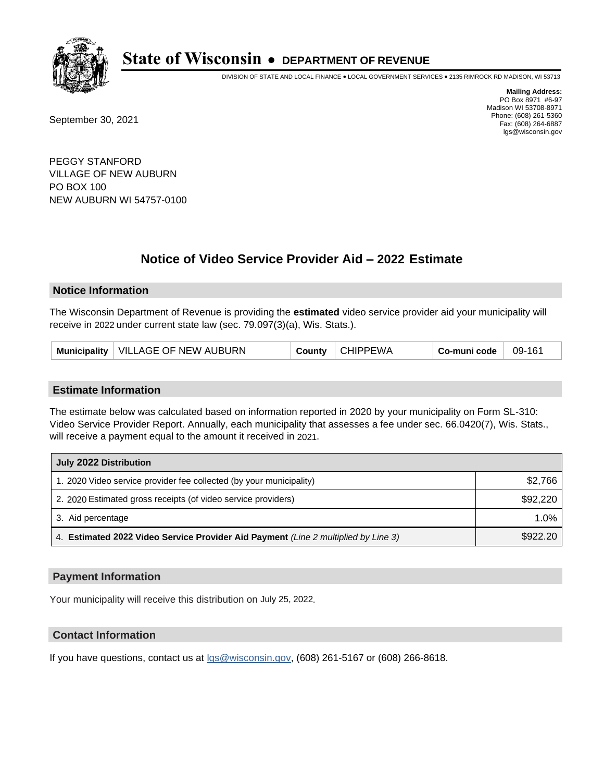

DIVISION OF STATE AND LOCAL FINANCE • LOCAL GOVERNMENT SERVICES • 2135 RIMROCK RD MADISON, WI 53713

September 30, 2021

**Mailing Address:** PO Box 8971 #6-97 Madison WI 53708-8971 Phone: (608) 261-5360 Fax: (608) 264-6887 lgs@wisconsin.gov

PEGGY STANFORD VILLAGE OF NEW AUBURN PO BOX 100 NEW AUBURN WI 54757-0100

# **Notice of Video Service Provider Aid - 2022 Estimate**

### **Notice Information**

The Wisconsin Department of Revenue is providing the **estimated** video service provider aid your municipality will receive in 2022 under current state law (sec. 79.097(3)(a), Wis. Stats.).

|  | Municipality | VILLAGE OF NEW AUBURN | Countv | <b>CHIPPEWA</b> | Co-muni code | 09-161 |
|--|--------------|-----------------------|--------|-----------------|--------------|--------|
|--|--------------|-----------------------|--------|-----------------|--------------|--------|

#### **Estimate Information**

The estimate below was calculated based on information reported in 2020 by your municipality on Form SL-310: Video Service Provider Report. Annually, each municipality that assesses a fee under sec. 66.0420(7), Wis. Stats., will receive a payment equal to the amount it received in 2021.

| July 2022 Distribution                                                             |          |  |  |  |
|------------------------------------------------------------------------------------|----------|--|--|--|
| 1. 2020 Video service provider fee collected (by your municipality)                | \$2,766  |  |  |  |
| 2. 2020 Estimated gross receipts (of video service providers)                      | \$92,220 |  |  |  |
| 3. Aid percentage                                                                  | 1.0%     |  |  |  |
| 4. Estimated 2022 Video Service Provider Aid Payment (Line 2 multiplied by Line 3) | \$922.20 |  |  |  |

#### **Payment Information**

Your municipality will receive this distribution on July 25, 2022.

## **Contact Information**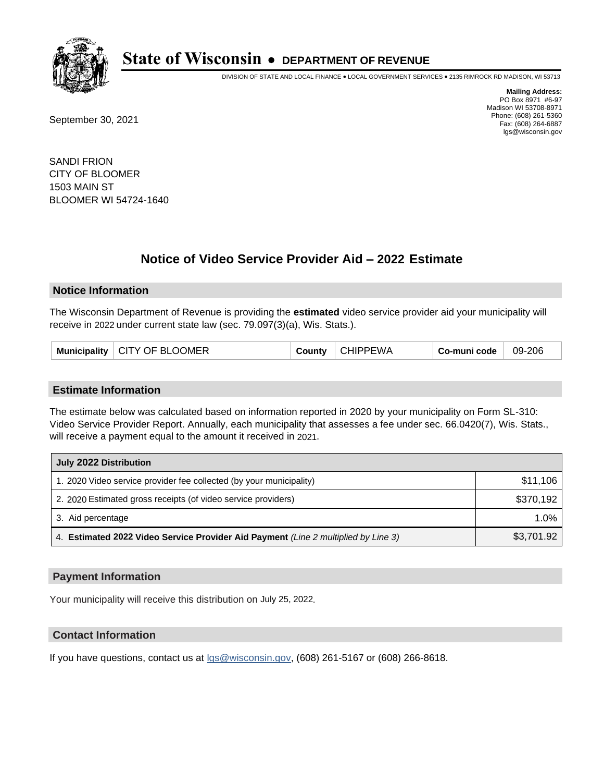

DIVISION OF STATE AND LOCAL FINANCE • LOCAL GOVERNMENT SERVICES • 2135 RIMROCK RD MADISON, WI 53713

September 30, 2021

**Mailing Address:** PO Box 8971 #6-97 Madison WI 53708-8971 Phone: (608) 261-5360 Fax: (608) 264-6887 lgs@wisconsin.gov

SANDI FRION CITY OF BLOOMER 1503 MAIN ST BLOOMER WI 54724-1640

## **Notice of Video Service Provider Aid - 2022 Estimate**

#### **Notice Information**

The Wisconsin Department of Revenue is providing the **estimated** video service provider aid your municipality will receive in 2022 under current state law (sec. 79.097(3)(a), Wis. Stats.).

| Municipality   CITY OF BLOOMER | County | <b>CHIPPEWA</b> | Co-muni code | 09-206 |
|--------------------------------|--------|-----------------|--------------|--------|
|--------------------------------|--------|-----------------|--------------|--------|

#### **Estimate Information**

The estimate below was calculated based on information reported in 2020 by your municipality on Form SL-310: Video Service Provider Report. Annually, each municipality that assesses a fee under sec. 66.0420(7), Wis. Stats., will receive a payment equal to the amount it received in 2021.

| July 2022 Distribution                                                             |            |  |  |  |
|------------------------------------------------------------------------------------|------------|--|--|--|
| 1. 2020 Video service provider fee collected (by your municipality)                | \$11,106   |  |  |  |
| 2. 2020 Estimated gross receipts (of video service providers)                      | \$370.192  |  |  |  |
| 3. Aid percentage                                                                  | $1.0\%$    |  |  |  |
| 4. Estimated 2022 Video Service Provider Aid Payment (Line 2 multiplied by Line 3) | \$3,701.92 |  |  |  |

#### **Payment Information**

Your municipality will receive this distribution on July 25, 2022.

## **Contact Information**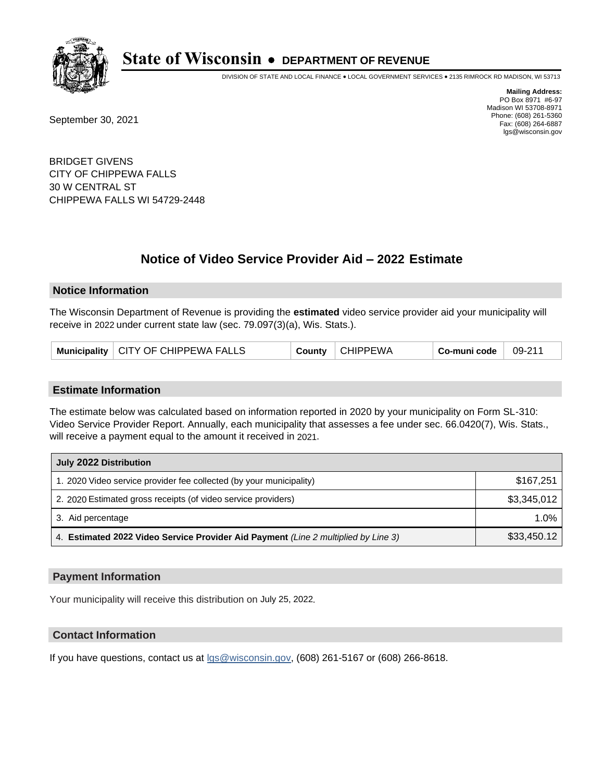

DIVISION OF STATE AND LOCAL FINANCE • LOCAL GOVERNMENT SERVICES • 2135 RIMROCK RD MADISON, WI 53713

September 30, 2021

**Mailing Address:** PO Box 8971 #6-97 Madison WI 53708-8971 Phone: (608) 261-5360 Fax: (608) 264-6887 lgs@wisconsin.gov

BRIDGET GIVENS CITY OF CHIPPEWA FALLS 30 W CENTRAL ST CHIPPEWA FALLS WI 54729-2448

## **Notice of Video Service Provider Aid - 2022 Estimate**

#### **Notice Information**

The Wisconsin Department of Revenue is providing the **estimated** video service provider aid your municipality will receive in 2022 under current state law (sec. 79.097(3)(a), Wis. Stats.).

| Municipality   CITY OF CHIPPEWA FALLS | County | <b>CHIPPEWA</b> | Co-muni code | 09-211 |
|---------------------------------------|--------|-----------------|--------------|--------|
|---------------------------------------|--------|-----------------|--------------|--------|

#### **Estimate Information**

The estimate below was calculated based on information reported in 2020 by your municipality on Form SL-310: Video Service Provider Report. Annually, each municipality that assesses a fee under sec. 66.0420(7), Wis. Stats., will receive a payment equal to the amount it received in 2021.

| July 2022 Distribution                                                             |             |  |  |
|------------------------------------------------------------------------------------|-------------|--|--|
| 1. 2020 Video service provider fee collected (by your municipality)                | \$167.251   |  |  |
| 2. 2020 Estimated gross receipts (of video service providers)                      | \$3,345,012 |  |  |
| 3. Aid percentage                                                                  | $1.0\%$     |  |  |
| 4. Estimated 2022 Video Service Provider Aid Payment (Line 2 multiplied by Line 3) | \$33,450.12 |  |  |

#### **Payment Information**

Your municipality will receive this distribution on July 25, 2022.

## **Contact Information**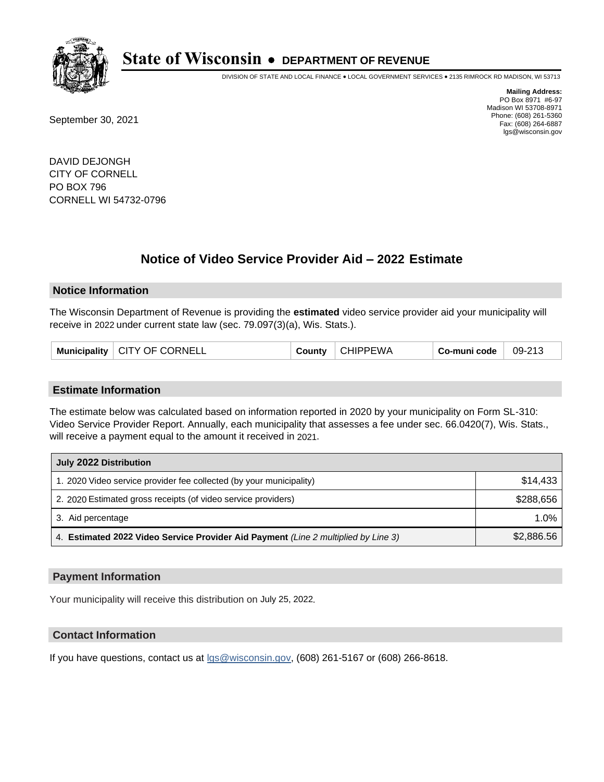

DIVISION OF STATE AND LOCAL FINANCE • LOCAL GOVERNMENT SERVICES • 2135 RIMROCK RD MADISON, WI 53713

September 30, 2021

**Mailing Address:** PO Box 8971 #6-97 Madison WI 53708-8971 Phone: (608) 261-5360 Fax: (608) 264-6887 lgs@wisconsin.gov

DAVID DEJONGH CITY OF CORNELL PO BOX 796 CORNELL WI 54732-0796

## **Notice of Video Service Provider Aid - 2022 Estimate**

#### **Notice Information**

The Wisconsin Department of Revenue is providing the **estimated** video service provider aid your municipality will receive in 2022 under current state law (sec. 79.097(3)(a), Wis. Stats.).

| Municipality   CITY OF CORNELL | County | <b>CHIPPEWA</b> | Co-muni code | 09-213 |
|--------------------------------|--------|-----------------|--------------|--------|
|--------------------------------|--------|-----------------|--------------|--------|

#### **Estimate Information**

The estimate below was calculated based on information reported in 2020 by your municipality on Form SL-310: Video Service Provider Report. Annually, each municipality that assesses a fee under sec. 66.0420(7), Wis. Stats., will receive a payment equal to the amount it received in 2021.

| July 2022 Distribution                                                             |            |  |
|------------------------------------------------------------------------------------|------------|--|
| 1. 2020 Video service provider fee collected (by your municipality)                | \$14,433   |  |
| 2. 2020 Estimated gross receipts (of video service providers)                      | \$288.656  |  |
| 3. Aid percentage                                                                  | $1.0\%$    |  |
| 4. Estimated 2022 Video Service Provider Aid Payment (Line 2 multiplied by Line 3) | \$2,886.56 |  |

#### **Payment Information**

Your municipality will receive this distribution on July 25, 2022.

## **Contact Information**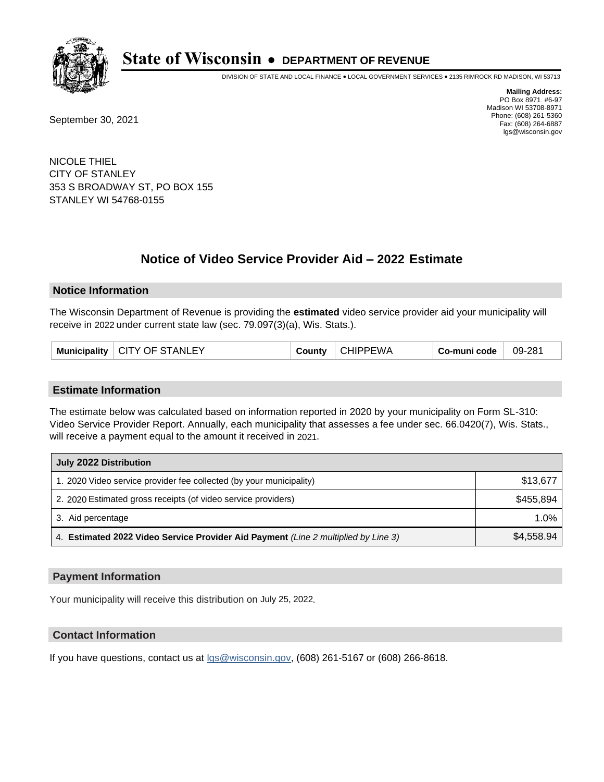

DIVISION OF STATE AND LOCAL FINANCE • LOCAL GOVERNMENT SERVICES • 2135 RIMROCK RD MADISON, WI 53713

September 30, 2021

**Mailing Address:** PO Box 8971 #6-97 Madison WI 53708-8971 Phone: (608) 261-5360 Fax: (608) 264-6887 lgs@wisconsin.gov

NICOLE THIEL CITY OF STANLEY 353 S BROADWAY ST, PO BOX 155 STANLEY WI 54768-0155

# **Notice of Video Service Provider Aid - 2022 Estimate**

#### **Notice Information**

The Wisconsin Department of Revenue is providing the **estimated** video service provider aid your municipality will receive in 2022 under current state law (sec. 79.097(3)(a), Wis. Stats.).

| Municipality   CITY OF STANLEY | County | <b>CHIPPEWA</b> | Co-muni code | 09-281 |
|--------------------------------|--------|-----------------|--------------|--------|
|--------------------------------|--------|-----------------|--------------|--------|

#### **Estimate Information**

The estimate below was calculated based on information reported in 2020 by your municipality on Form SL-310: Video Service Provider Report. Annually, each municipality that assesses a fee under sec. 66.0420(7), Wis. Stats., will receive a payment equal to the amount it received in 2021.

| July 2022 Distribution                                                             |            |
|------------------------------------------------------------------------------------|------------|
| 1. 2020 Video service provider fee collected (by your municipality)                | \$13,677   |
| 2. 2020 Estimated gross receipts (of video service providers)                      | \$455.894  |
| 3. Aid percentage                                                                  | $1.0\%$    |
| 4. Estimated 2022 Video Service Provider Aid Payment (Line 2 multiplied by Line 3) | \$4,558.94 |

#### **Payment Information**

Your municipality will receive this distribution on July 25, 2022.

## **Contact Information**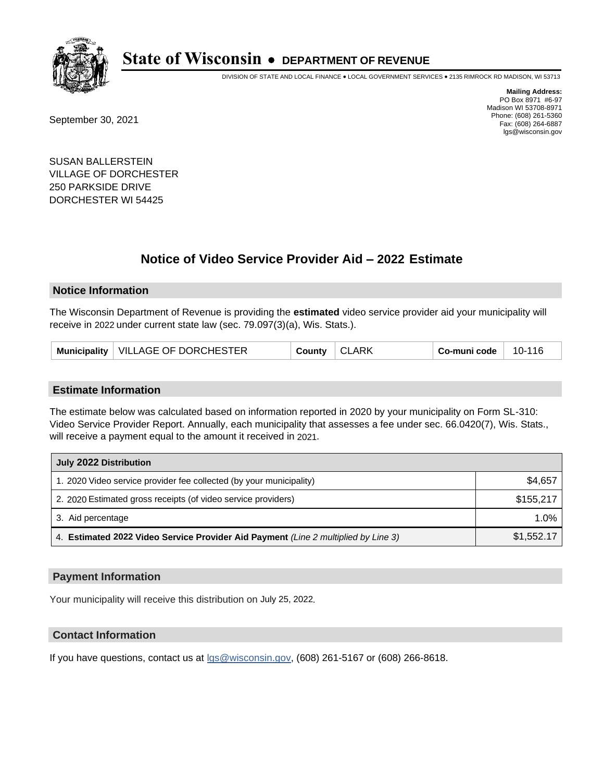

DIVISION OF STATE AND LOCAL FINANCE • LOCAL GOVERNMENT SERVICES • 2135 RIMROCK RD MADISON, WI 53713

September 30, 2021

**Mailing Address:** PO Box 8971 #6-97 Madison WI 53708-8971 Phone: (608) 261-5360 Fax: (608) 264-6887 lgs@wisconsin.gov

SUSAN BALLERSTEIN VILLAGE OF DORCHESTER 250 PARKSIDE DRIVE DORCHESTER WI 54425

## **Notice of Video Service Provider Aid - 2022 Estimate**

#### **Notice Information**

The Wisconsin Department of Revenue is providing the **estimated** video service provider aid your municipality will receive in 2022 under current state law (sec. 79.097(3)(a), Wis. Stats.).

|  | Municipality   VILLAGE OF DORCHESTER | County | <b>CLARK</b> | Co-muni code | 10-116 |
|--|--------------------------------------|--------|--------------|--------------|--------|
|--|--------------------------------------|--------|--------------|--------------|--------|

#### **Estimate Information**

The estimate below was calculated based on information reported in 2020 by your municipality on Form SL-310: Video Service Provider Report. Annually, each municipality that assesses a fee under sec. 66.0420(7), Wis. Stats., will receive a payment equal to the amount it received in 2021.

| July 2022 Distribution                                                             |            |
|------------------------------------------------------------------------------------|------------|
| 1. 2020 Video service provider fee collected (by your municipality)                | \$4,657    |
| 2. 2020 Estimated gross receipts (of video service providers)                      | \$155.217  |
| 3. Aid percentage                                                                  | 1.0%       |
| 4. Estimated 2022 Video Service Provider Aid Payment (Line 2 multiplied by Line 3) | \$1,552.17 |

#### **Payment Information**

Your municipality will receive this distribution on July 25, 2022.

## **Contact Information**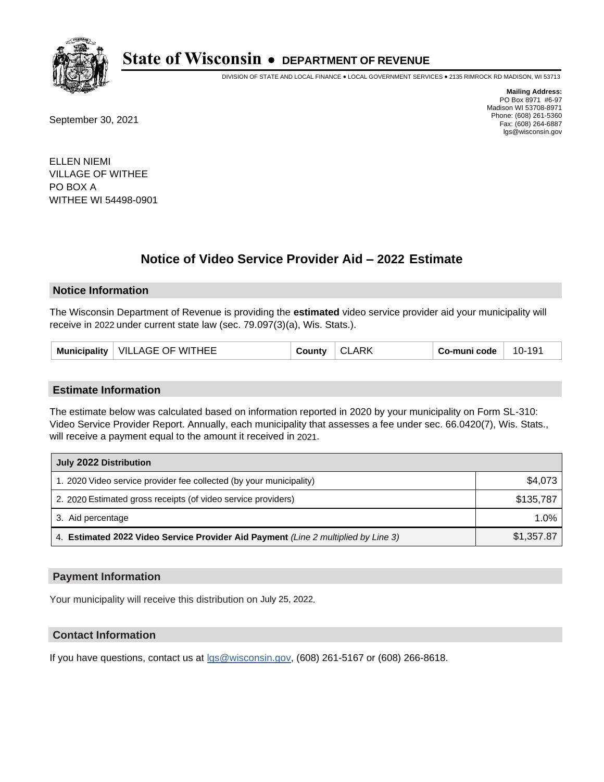

DIVISION OF STATE AND LOCAL FINANCE • LOCAL GOVERNMENT SERVICES • 2135 RIMROCK RD MADISON, WI 53713

September 30, 2021

**Mailing Address:** PO Box 8971 #6-97 Madison WI 53708-8971 Phone: (608) 261-5360 Fax: (608) 264-6887 lgs@wisconsin.gov

ELLEN NIEMI VILLAGE OF WITHEE PO BOX A WITHEE WI 54498-0901

## **Notice of Video Service Provider Aid - 2022 Estimate**

#### **Notice Information**

The Wisconsin Department of Revenue is providing the **estimated** video service provider aid your municipality will receive in 2022 under current state law (sec. 79.097(3)(a), Wis. Stats.).

| VILLAGE OF WITHEE<br><b>Municipality</b><br>ا∨ount∨ | <b>ARK</b><br>◡∟ | Co-muni code | 10-191 |
|-----------------------------------------------------|------------------|--------------|--------|
|-----------------------------------------------------|------------------|--------------|--------|

#### **Estimate Information**

The estimate below was calculated based on information reported in 2020 by your municipality on Form SL-310: Video Service Provider Report. Annually, each municipality that assesses a fee under sec. 66.0420(7), Wis. Stats., will receive a payment equal to the amount it received in 2021.

| July 2022 Distribution                                                             |            |
|------------------------------------------------------------------------------------|------------|
| 1. 2020 Video service provider fee collected (by your municipality)                | \$4,073    |
| 2. 2020 Estimated gross receipts (of video service providers)                      | \$135.787  |
| 3. Aid percentage                                                                  | $1.0\%$    |
| 4. Estimated 2022 Video Service Provider Aid Payment (Line 2 multiplied by Line 3) | \$1,357.87 |

#### **Payment Information**

Your municipality will receive this distribution on July 25, 2022.

## **Contact Information**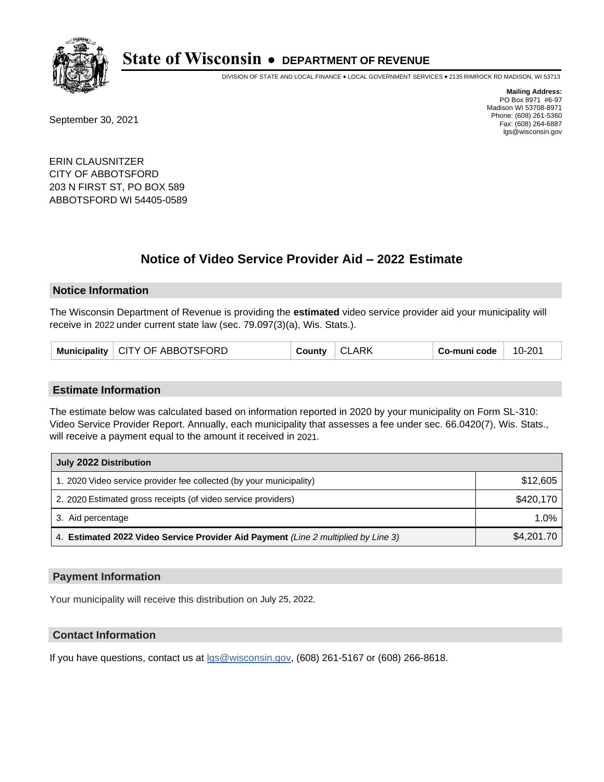

DIVISION OF STATE AND LOCAL FINANCE • LOCAL GOVERNMENT SERVICES • 2135 RIMROCK RD MADISON, WI 53713

September 30, 2021

**Mailing Address:** PO Box 8971 #6-97 Madison WI 53708-8971 Phone: (608) 261-5360 Fax: (608) 264-6887 lgs@wisconsin.gov

ERIN CLAUSNITZER CITY OF ABBOTSFORD 203 N FIRST ST, PO BOX 589 ABBOTSFORD WI 54405-0589

## **Notice of Video Service Provider Aid - 2022 Estimate**

#### **Notice Information**

The Wisconsin Department of Revenue is providing the **estimated** video service provider aid your municipality will receive in 2022 under current state law (sec. 79.097(3)(a), Wis. Stats.).

|  | Municipality   CITY OF ABBOTSFORD | <b>County</b> | CLARK | ∣ Co-muni code <sup>∣</sup> | 10-201 |
|--|-----------------------------------|---------------|-------|-----------------------------|--------|
|--|-----------------------------------|---------------|-------|-----------------------------|--------|

#### **Estimate Information**

The estimate below was calculated based on information reported in 2020 by your municipality on Form SL-310: Video Service Provider Report. Annually, each municipality that assesses a fee under sec. 66.0420(7), Wis. Stats., will receive a payment equal to the amount it received in 2021.

| July 2022 Distribution                                                             |            |
|------------------------------------------------------------------------------------|------------|
| 1. 2020 Video service provider fee collected (by your municipality)                | \$12,605   |
| 2. 2020 Estimated gross receipts (of video service providers)                      | \$420,170  |
| 3. Aid percentage                                                                  | $1.0\%$    |
| 4. Estimated 2022 Video Service Provider Aid Payment (Line 2 multiplied by Line 3) | \$4,201.70 |

#### **Payment Information**

Your municipality will receive this distribution on July 25, 2022.

## **Contact Information**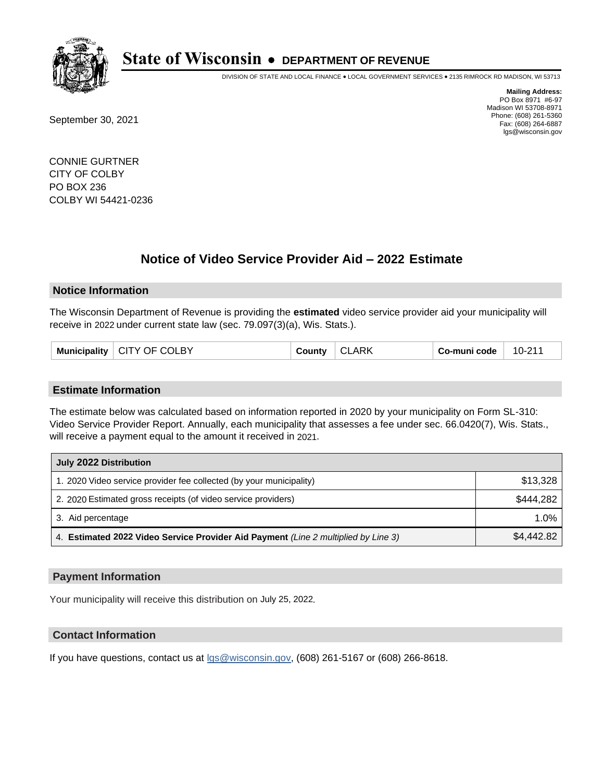

DIVISION OF STATE AND LOCAL FINANCE • LOCAL GOVERNMENT SERVICES • 2135 RIMROCK RD MADISON, WI 53713

September 30, 2021

**Mailing Address:** PO Box 8971 #6-97 Madison WI 53708-8971 Phone: (608) 261-5360 Fax: (608) 264-6887 lgs@wisconsin.gov

CONNIE GURTNER CITY OF COLBY PO BOX 236 COLBY WI 54421-0236

## **Notice of Video Service Provider Aid - 2022 Estimate**

#### **Notice Information**

The Wisconsin Department of Revenue is providing the **estimated** video service provider aid your municipality will receive in 2022 under current state law (sec. 79.097(3)(a), Wis. Stats.).

| CITY OF COLBY<br>Municipality<br>County | <b>ARK</b><br>Co-muni code<br>CL. | 10-211 |
|-----------------------------------------|-----------------------------------|--------|
|-----------------------------------------|-----------------------------------|--------|

#### **Estimate Information**

The estimate below was calculated based on information reported in 2020 by your municipality on Form SL-310: Video Service Provider Report. Annually, each municipality that assesses a fee under sec. 66.0420(7), Wis. Stats., will receive a payment equal to the amount it received in 2021.

| July 2022 Distribution                                                             |            |
|------------------------------------------------------------------------------------|------------|
| 1. 2020 Video service provider fee collected (by your municipality)                | \$13,328   |
| 2. 2020 Estimated gross receipts (of video service providers)                      | \$444,282  |
| 3. Aid percentage                                                                  | 1.0%       |
| 4. Estimated 2022 Video Service Provider Aid Payment (Line 2 multiplied by Line 3) | \$4,442.82 |

#### **Payment Information**

Your municipality will receive this distribution on July 25, 2022.

## **Contact Information**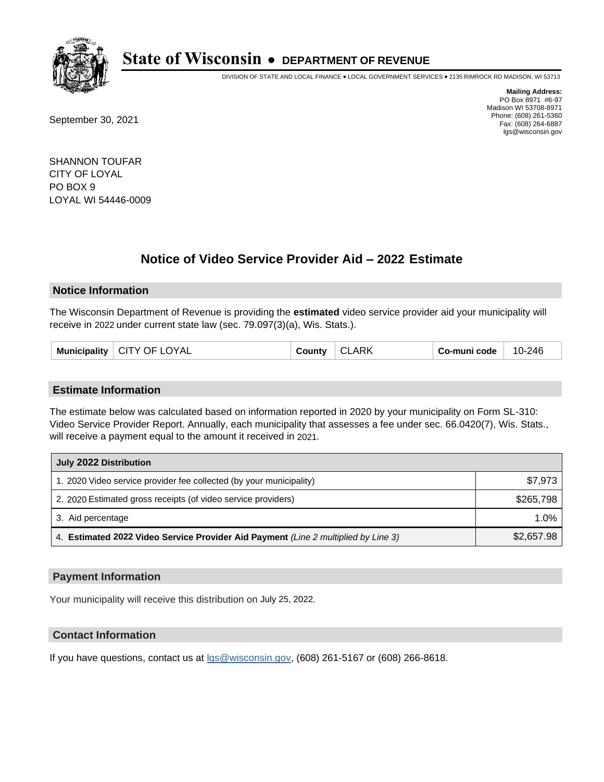

DIVISION OF STATE AND LOCAL FINANCE • LOCAL GOVERNMENT SERVICES • 2135 RIMROCK RD MADISON, WI 53713

September 30, 2021

**Mailing Address:** PO Box 8971 #6-97 Madison WI 53708-8971 Phone: (608) 261-5360 Fax: (608) 264-6887 lgs@wisconsin.gov

SHANNON TOUFAR CITY OF LOYAL PO BOX 9 LOYAL WI 54446-0009

## **Notice of Video Service Provider Aid - 2022 Estimate**

#### **Notice Information**

The Wisconsin Department of Revenue is providing the **estimated** video service provider aid your municipality will receive in 2022 under current state law (sec. 79.097(3)(a), Wis. Stats.).

| Municipality   CITY OF LOYAL | County | $\cap$<br><b>CLARK</b> | Co-muni code | 10-246 |
|------------------------------|--------|------------------------|--------------|--------|
|------------------------------|--------|------------------------|--------------|--------|

#### **Estimate Information**

The estimate below was calculated based on information reported in 2020 by your municipality on Form SL-310: Video Service Provider Report. Annually, each municipality that assesses a fee under sec. 66.0420(7), Wis. Stats., will receive a payment equal to the amount it received in 2021.

| July 2022 Distribution                                                             |            |
|------------------------------------------------------------------------------------|------------|
| 1. 2020 Video service provider fee collected (by your municipality)                | \$7,973    |
| 2. 2020 Estimated gross receipts (of video service providers)                      | \$265.798  |
| 3. Aid percentage                                                                  | 1.0%       |
| 4. Estimated 2022 Video Service Provider Aid Payment (Line 2 multiplied by Line 3) | \$2,657.98 |

#### **Payment Information**

Your municipality will receive this distribution on July 25, 2022.

## **Contact Information**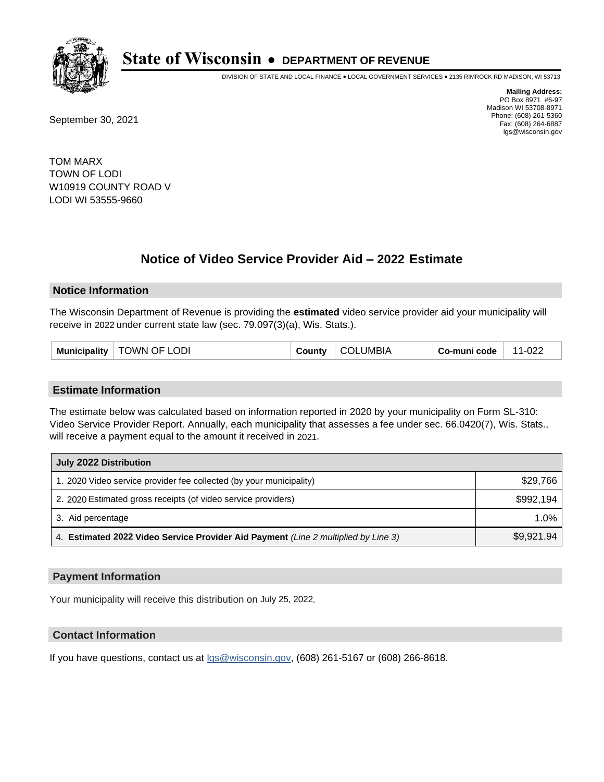

DIVISION OF STATE AND LOCAL FINANCE • LOCAL GOVERNMENT SERVICES • 2135 RIMROCK RD MADISON, WI 53713

September 30, 2021

**Mailing Address:** PO Box 8971 #6-97 Madison WI 53708-8971 Phone: (608) 261-5360 Fax: (608) 264-6887 lgs@wisconsin.gov

TOM MARX TOWN OF LODI W10919 COUNTY ROAD V LODI WI 53555-9660

## **Notice of Video Service Provider Aid - 2022 Estimate**

#### **Notice Information**

The Wisconsin Department of Revenue is providing the **estimated** video service provider aid your municipality will receive in 2022 under current state law (sec. 79.097(3)(a), Wis. Stats.).

|--|

#### **Estimate Information**

The estimate below was calculated based on information reported in 2020 by your municipality on Form SL-310: Video Service Provider Report. Annually, each municipality that assesses a fee under sec. 66.0420(7), Wis. Stats., will receive a payment equal to the amount it received in 2021.

| July 2022 Distribution                                                             |            |
|------------------------------------------------------------------------------------|------------|
| 1. 2020 Video service provider fee collected (by your municipality)                | \$29,766   |
| 2. 2020 Estimated gross receipts (of video service providers)                      | \$992,194  |
| 3. Aid percentage                                                                  | $1.0\%$    |
| 4. Estimated 2022 Video Service Provider Aid Payment (Line 2 multiplied by Line 3) | \$9,921.94 |

#### **Payment Information**

Your municipality will receive this distribution on July 25, 2022.

## **Contact Information**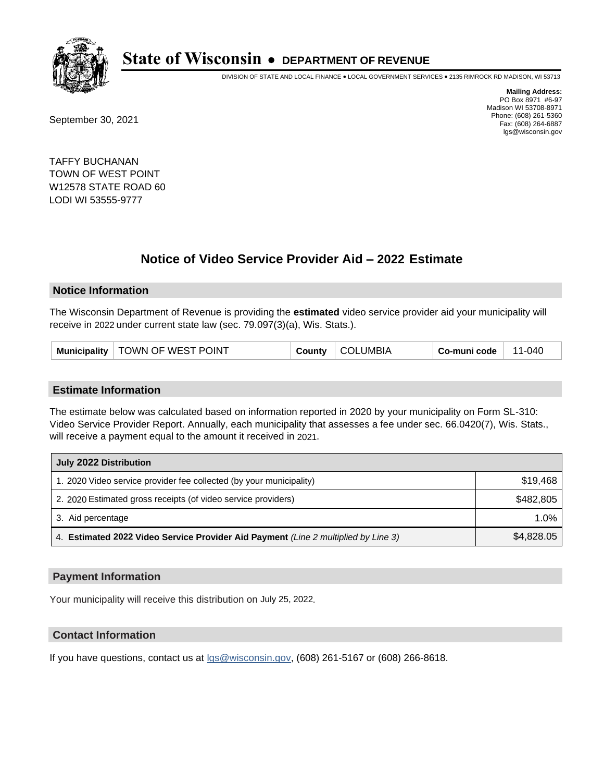

DIVISION OF STATE AND LOCAL FINANCE • LOCAL GOVERNMENT SERVICES • 2135 RIMROCK RD MADISON, WI 53713

September 30, 2021

**Mailing Address:** PO Box 8971 #6-97 Madison WI 53708-8971 Phone: (608) 261-5360 Fax: (608) 264-6887 lgs@wisconsin.gov

TAFFY BUCHANAN TOWN OF WEST POINT W12578 STATE ROAD 60 LODI WI 53555-9777

## **Notice of Video Service Provider Aid - 2022 Estimate**

#### **Notice Information**

The Wisconsin Department of Revenue is providing the **estimated** video service provider aid your municipality will receive in 2022 under current state law (sec. 79.097(3)(a), Wis. Stats.).

| Municipality   TOWN OF WEST POINT | <b>County</b> | COLUMBIA | Co-muni code | 11-040 |
|-----------------------------------|---------------|----------|--------------|--------|
|-----------------------------------|---------------|----------|--------------|--------|

#### **Estimate Information**

The estimate below was calculated based on information reported in 2020 by your municipality on Form SL-310: Video Service Provider Report. Annually, each municipality that assesses a fee under sec. 66.0420(7), Wis. Stats., will receive a payment equal to the amount it received in 2021.

| July 2022 Distribution                                                             |            |
|------------------------------------------------------------------------------------|------------|
| 1. 2020 Video service provider fee collected (by your municipality)                | \$19,468   |
| 2. 2020 Estimated gross receipts (of video service providers)                      | \$482,805  |
| 3. Aid percentage                                                                  | 1.0%       |
| 4. Estimated 2022 Video Service Provider Aid Payment (Line 2 multiplied by Line 3) | \$4,828.05 |

#### **Payment Information**

Your municipality will receive this distribution on July 25, 2022.

## **Contact Information**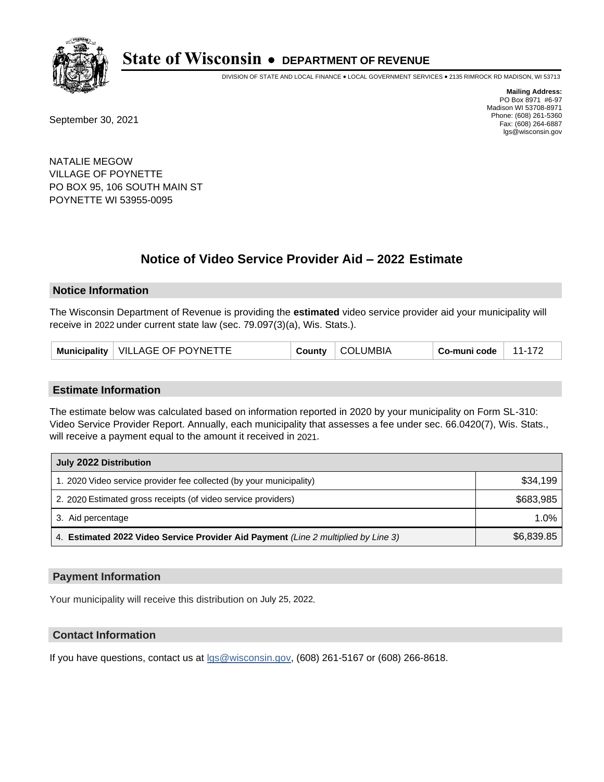

DIVISION OF STATE AND LOCAL FINANCE • LOCAL GOVERNMENT SERVICES • 2135 RIMROCK RD MADISON, WI 53713

September 30, 2021

**Mailing Address:** PO Box 8971 #6-97 Madison WI 53708-8971 Phone: (608) 261-5360 Fax: (608) 264-6887 lgs@wisconsin.gov

NATALIE MEGOW VILLAGE OF POYNETTE PO BOX 95, 106 SOUTH MAIN ST POYNETTE WI 53955-0095

## **Notice of Video Service Provider Aid - 2022 Estimate**

#### **Notice Information**

The Wisconsin Department of Revenue is providing the **estimated** video service provider aid your municipality will receive in 2022 under current state law (sec. 79.097(3)(a), Wis. Stats.).

#### **Estimate Information**

The estimate below was calculated based on information reported in 2020 by your municipality on Form SL-310: Video Service Provider Report. Annually, each municipality that assesses a fee under sec. 66.0420(7), Wis. Stats., will receive a payment equal to the amount it received in 2021.

| July 2022 Distribution                                                             |            |
|------------------------------------------------------------------------------------|------------|
| 1. 2020 Video service provider fee collected (by your municipality)                | \$34.199   |
| 2. 2020 Estimated gross receipts (of video service providers)                      | \$683.985  |
| 3. Aid percentage                                                                  | $1.0\%$    |
| 4. Estimated 2022 Video Service Provider Aid Payment (Line 2 multiplied by Line 3) | \$6,839.85 |

#### **Payment Information**

Your municipality will receive this distribution on July 25, 2022.

## **Contact Information**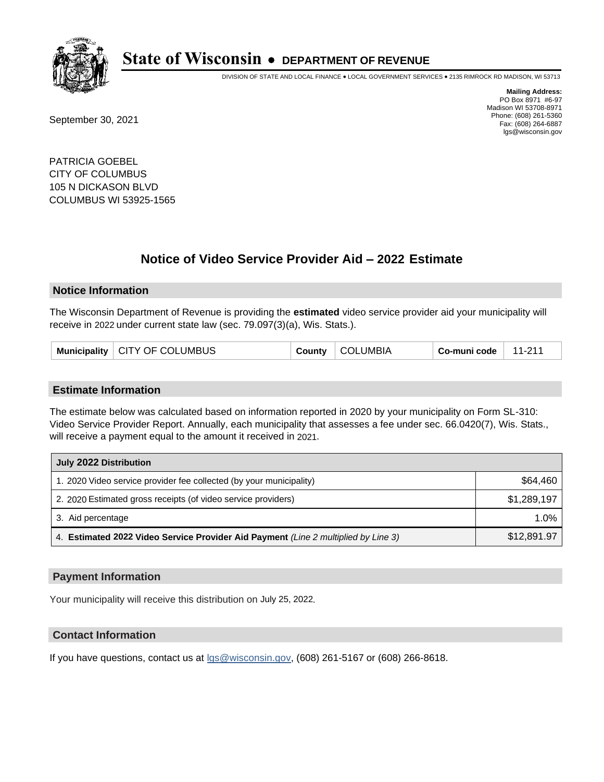

DIVISION OF STATE AND LOCAL FINANCE • LOCAL GOVERNMENT SERVICES • 2135 RIMROCK RD MADISON, WI 53713

September 30, 2021

**Mailing Address:** PO Box 8971 #6-97 Madison WI 53708-8971 Phone: (608) 261-5360 Fax: (608) 264-6887 lgs@wisconsin.gov

PATRICIA GOEBEL CITY OF COLUMBUS 105 N DICKASON BLVD COLUMBUS WI 53925-1565

## **Notice of Video Service Provider Aid - 2022 Estimate**

#### **Notice Information**

The Wisconsin Department of Revenue is providing the **estimated** video service provider aid your municipality will receive in 2022 under current state law (sec. 79.097(3)(a), Wis. Stats.).

| Municipality   CITY OF COLUMBUS | County | <b>COLUMBIA</b> | Co-muni code | $11-211$ |
|---------------------------------|--------|-----------------|--------------|----------|
|---------------------------------|--------|-----------------|--------------|----------|

#### **Estimate Information**

The estimate below was calculated based on information reported in 2020 by your municipality on Form SL-310: Video Service Provider Report. Annually, each municipality that assesses a fee under sec. 66.0420(7), Wis. Stats., will receive a payment equal to the amount it received in 2021.

| July 2022 Distribution                                                             |             |
|------------------------------------------------------------------------------------|-------------|
| 1. 2020 Video service provider fee collected (by your municipality)                | \$64.460    |
| 2. 2020 Estimated gross receipts (of video service providers)                      | \$1,289,197 |
| 3. Aid percentage                                                                  | 1.0%        |
| 4. Estimated 2022 Video Service Provider Aid Payment (Line 2 multiplied by Line 3) | \$12,891.97 |

#### **Payment Information**

Your municipality will receive this distribution on July 25, 2022.

## **Contact Information**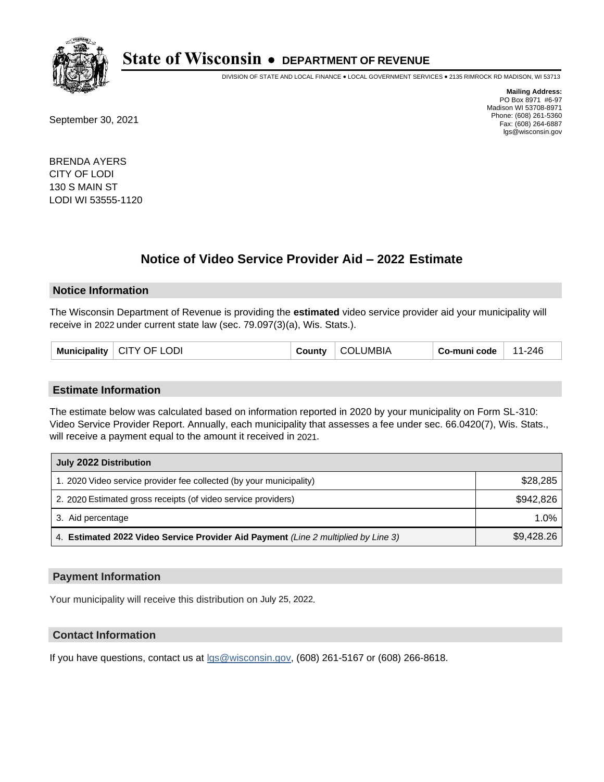

DIVISION OF STATE AND LOCAL FINANCE • LOCAL GOVERNMENT SERVICES • 2135 RIMROCK RD MADISON, WI 53713

September 30, 2021

**Mailing Address:** PO Box 8971 #6-97 Madison WI 53708-8971 Phone: (608) 261-5360 Fax: (608) 264-6887 lgs@wisconsin.gov

BRENDA AYERS CITY OF LODI 130 S MAIN ST LODI WI 53555-1120

## **Notice of Video Service Provider Aid - 2022 Estimate**

#### **Notice Information**

The Wisconsin Department of Revenue is providing the **estimated** video service provider aid your municipality will receive in 2022 under current state law (sec. 79.097(3)(a), Wis. Stats.).

|  | <b>Municipality</b> | <b>LODI</b><br>CITY OF L | County | UMBIA<br>- (301- | Co-muni code | 11-246 |
|--|---------------------|--------------------------|--------|------------------|--------------|--------|
|--|---------------------|--------------------------|--------|------------------|--------------|--------|

#### **Estimate Information**

The estimate below was calculated based on information reported in 2020 by your municipality on Form SL-310: Video Service Provider Report. Annually, each municipality that assesses a fee under sec. 66.0420(7), Wis. Stats., will receive a payment equal to the amount it received in 2021.

| July 2022 Distribution                                                             |            |
|------------------------------------------------------------------------------------|------------|
| 1. 2020 Video service provider fee collected (by your municipality)                | \$28,285   |
| 2. 2020 Estimated gross receipts (of video service providers)                      | \$942.826  |
| 3. Aid percentage                                                                  | 1.0%       |
| 4. Estimated 2022 Video Service Provider Aid Payment (Line 2 multiplied by Line 3) | \$9,428.26 |

#### **Payment Information**

Your municipality will receive this distribution on July 25, 2022.

### **Contact Information**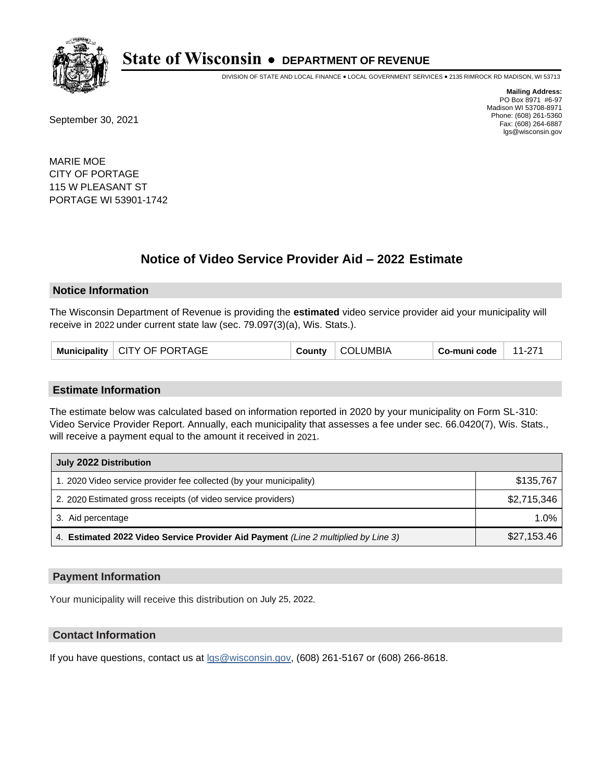

DIVISION OF STATE AND LOCAL FINANCE • LOCAL GOVERNMENT SERVICES • 2135 RIMROCK RD MADISON, WI 53713

September 30, 2021

**Mailing Address:** PO Box 8971 #6-97 Madison WI 53708-8971 Phone: (608) 261-5360 Fax: (608) 264-6887 lgs@wisconsin.gov

MARIE MOE CITY OF PORTAGE 115 W PLEASANT ST PORTAGE WI 53901-1742

## **Notice of Video Service Provider Aid - 2022 Estimate**

#### **Notice Information**

The Wisconsin Department of Revenue is providing the **estimated** video service provider aid your municipality will receive in 2022 under current state law (sec. 79.097(3)(a), Wis. Stats.).

| Municipality   CITY OF PORTAGE | County | <b>COLUMBIA</b> | Co-muni code | 11-271 |
|--------------------------------|--------|-----------------|--------------|--------|
|--------------------------------|--------|-----------------|--------------|--------|

#### **Estimate Information**

The estimate below was calculated based on information reported in 2020 by your municipality on Form SL-310: Video Service Provider Report. Annually, each municipality that assesses a fee under sec. 66.0420(7), Wis. Stats., will receive a payment equal to the amount it received in 2021.

| July 2022 Distribution                                                             |             |
|------------------------------------------------------------------------------------|-------------|
| 1. 2020 Video service provider fee collected (by your municipality)                | \$135,767   |
| 2. 2020 Estimated gross receipts (of video service providers)                      | \$2,715,346 |
| 3. Aid percentage                                                                  | 1.0%        |
| 4. Estimated 2022 Video Service Provider Aid Payment (Line 2 multiplied by Line 3) | \$27,153.46 |

#### **Payment Information**

Your municipality will receive this distribution on July 25, 2022.

## **Contact Information**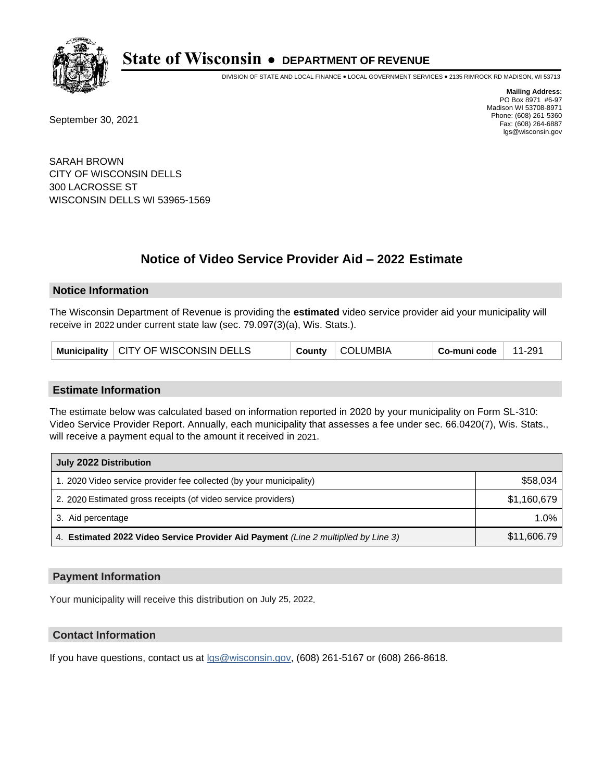

DIVISION OF STATE AND LOCAL FINANCE • LOCAL GOVERNMENT SERVICES • 2135 RIMROCK RD MADISON, WI 53713

September 30, 2021

**Mailing Address:** PO Box 8971 #6-97 Madison WI 53708-8971 Phone: (608) 261-5360 Fax: (608) 264-6887 lgs@wisconsin.gov

SARAH BROWN CITY OF WISCONSIN DELLS 300 LACROSSE ST WISCONSIN DELLS WI 53965-1569

# **Notice of Video Service Provider Aid - 2022 Estimate**

#### **Notice Information**

The Wisconsin Department of Revenue is providing the **estimated** video service provider aid your municipality will receive in 2022 under current state law (sec. 79.097(3)(a), Wis. Stats.).

| Municipality   CITY OF WISCONSIN DELLS | County | <b>COLUMBIA</b> | Co-muni code | 11-291 |
|----------------------------------------|--------|-----------------|--------------|--------|
|----------------------------------------|--------|-----------------|--------------|--------|

#### **Estimate Information**

The estimate below was calculated based on information reported in 2020 by your municipality on Form SL-310: Video Service Provider Report. Annually, each municipality that assesses a fee under sec. 66.0420(7), Wis. Stats., will receive a payment equal to the amount it received in 2021.

| July 2022 Distribution                                                             |             |
|------------------------------------------------------------------------------------|-------------|
| 1. 2020 Video service provider fee collected (by your municipality)                | \$58,034    |
| 2. 2020 Estimated gross receipts (of video service providers)                      | \$1,160,679 |
| 3. Aid percentage                                                                  | 1.0%        |
| 4. Estimated 2022 Video Service Provider Aid Payment (Line 2 multiplied by Line 3) | \$11,606.79 |

#### **Payment Information**

Your municipality will receive this distribution on July 25, 2022.

## **Contact Information**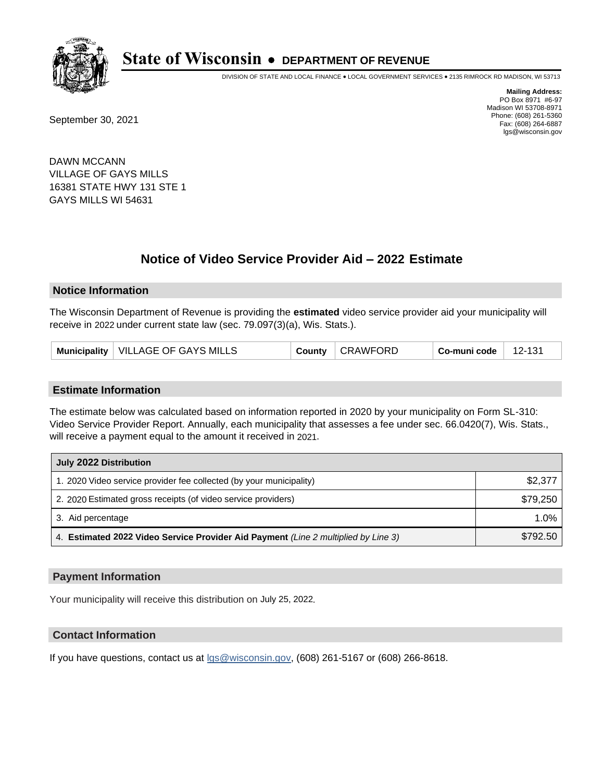

DIVISION OF STATE AND LOCAL FINANCE • LOCAL GOVERNMENT SERVICES • 2135 RIMROCK RD MADISON, WI 53713

September 30, 2021

**Mailing Address:** PO Box 8971 #6-97 Madison WI 53708-8971 Phone: (608) 261-5360 Fax: (608) 264-6887 lgs@wisconsin.gov

DAWN MCCANN VILLAGE OF GAYS MILLS 16381 STATE HWY 131 STE 1 GAYS MILLS WI 54631

## **Notice of Video Service Provider Aid - 2022 Estimate**

#### **Notice Information**

The Wisconsin Department of Revenue is providing the **estimated** video service provider aid your municipality will receive in 2022 under current state law (sec. 79.097(3)(a), Wis. Stats.).

| VILLAGE OF GAYS MILLS<br><b>Municipality</b> | County | ' CRAWFORD | Co-muni code | 12-131 |
|----------------------------------------------|--------|------------|--------------|--------|
|----------------------------------------------|--------|------------|--------------|--------|

#### **Estimate Information**

The estimate below was calculated based on information reported in 2020 by your municipality on Form SL-310: Video Service Provider Report. Annually, each municipality that assesses a fee under sec. 66.0420(7), Wis. Stats., will receive a payment equal to the amount it received in 2021.

| July 2022 Distribution                                                             |          |
|------------------------------------------------------------------------------------|----------|
| 1. 2020 Video service provider fee collected (by your municipality)                | \$2,377  |
| 2. 2020 Estimated gross receipts (of video service providers)                      | \$79,250 |
| 3. Aid percentage                                                                  | 1.0%     |
| 4. Estimated 2022 Video Service Provider Aid Payment (Line 2 multiplied by Line 3) | \$792.50 |

#### **Payment Information**

Your municipality will receive this distribution on July 25, 2022.

## **Contact Information**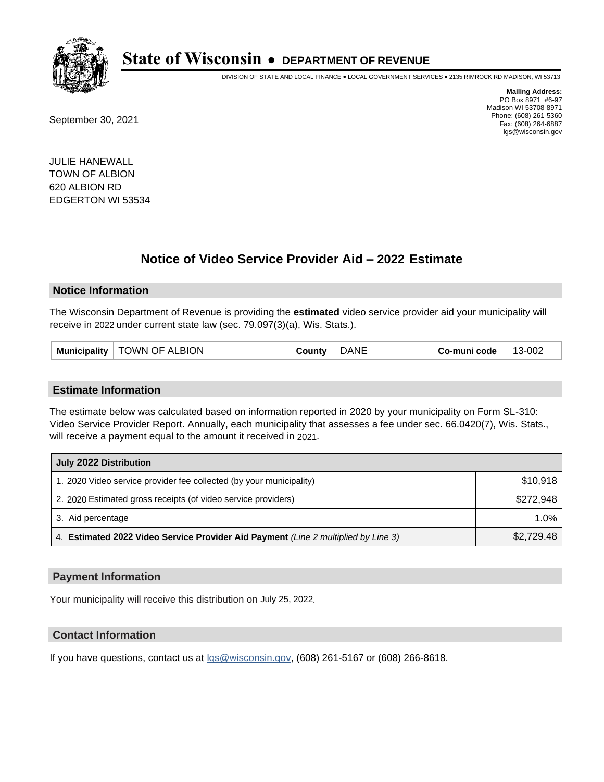

DIVISION OF STATE AND LOCAL FINANCE • LOCAL GOVERNMENT SERVICES • 2135 RIMROCK RD MADISON, WI 53713

September 30, 2021

**Mailing Address:** PO Box 8971 #6-97 Madison WI 53708-8971 Phone: (608) 261-5360 Fax: (608) 264-6887 lgs@wisconsin.gov

JULIE HANEWALL TOWN OF ALBION 620 ALBION RD EDGERTON WI 53534

## **Notice of Video Service Provider Aid - 2022 Estimate**

#### **Notice Information**

The Wisconsin Department of Revenue is providing the **estimated** video service provider aid your municipality will receive in 2022 under current state law (sec. 79.097(3)(a), Wis. Stats.).

| Municipality $ $ | <b>TOWN OF ALBION</b> | ountvٽ | <b>DANE</b> | Co-muni code | 13-002 |
|------------------|-----------------------|--------|-------------|--------------|--------|
|------------------|-----------------------|--------|-------------|--------------|--------|

#### **Estimate Information**

The estimate below was calculated based on information reported in 2020 by your municipality on Form SL-310: Video Service Provider Report. Annually, each municipality that assesses a fee under sec. 66.0420(7), Wis. Stats., will receive a payment equal to the amount it received in 2021.

| July 2022 Distribution                                                             |            |
|------------------------------------------------------------------------------------|------------|
| 1. 2020 Video service provider fee collected (by your municipality)                | \$10,918   |
| 2. 2020 Estimated gross receipts (of video service providers)                      | \$272.948  |
| 3. Aid percentage                                                                  | $1.0\%$    |
| 4. Estimated 2022 Video Service Provider Aid Payment (Line 2 multiplied by Line 3) | \$2,729.48 |

#### **Payment Information**

Your municipality will receive this distribution on July 25, 2022.

## **Contact Information**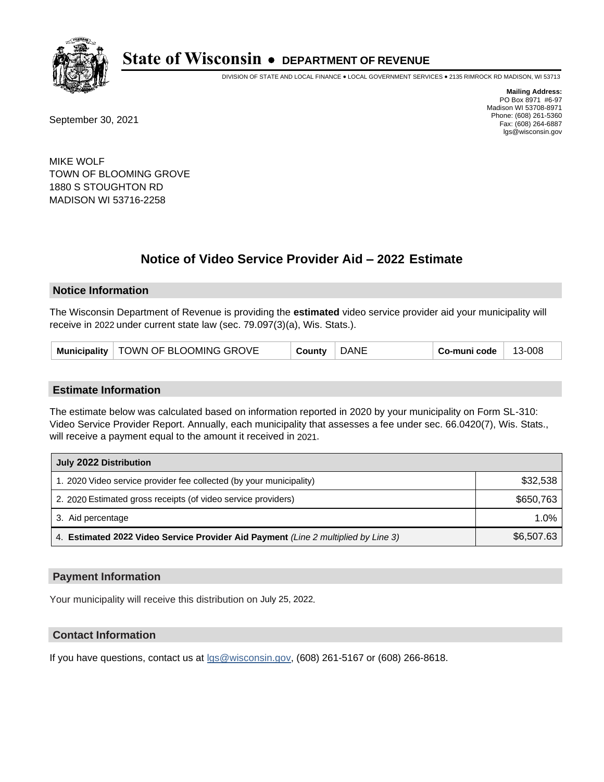

DIVISION OF STATE AND LOCAL FINANCE • LOCAL GOVERNMENT SERVICES • 2135 RIMROCK RD MADISON, WI 53713

September 30, 2021

**Mailing Address:** PO Box 8971 #6-97 Madison WI 53708-8971 Phone: (608) 261-5360 Fax: (608) 264-6887 lgs@wisconsin.gov

MIKE WOLF TOWN OF BLOOMING GROVE 1880 S STOUGHTON RD MADISON WI 53716-2258

# **Notice of Video Service Provider Aid - 2022 Estimate**

### **Notice Information**

The Wisconsin Department of Revenue is providing the **estimated** video service provider aid your municipality will receive in 2022 under current state law (sec. 79.097(3)(a), Wis. Stats.).

| TOWN OF BLOOMING GROVE<br>Municipality | County | <b>DANE</b> | Co-muni code | 13-008 |
|----------------------------------------|--------|-------------|--------------|--------|
|----------------------------------------|--------|-------------|--------------|--------|

#### **Estimate Information**

The estimate below was calculated based on information reported in 2020 by your municipality on Form SL-310: Video Service Provider Report. Annually, each municipality that assesses a fee under sec. 66.0420(7), Wis. Stats., will receive a payment equal to the amount it received in 2021.

| July 2022 Distribution                                                             |            |
|------------------------------------------------------------------------------------|------------|
| 1. 2020 Video service provider fee collected (by your municipality)                | \$32,538   |
| 2. 2020 Estimated gross receipts (of video service providers)                      | \$650.763  |
| 3. Aid percentage                                                                  | 1.0%       |
| 4. Estimated 2022 Video Service Provider Aid Payment (Line 2 multiplied by Line 3) | \$6,507.63 |

#### **Payment Information**

Your municipality will receive this distribution on July 25, 2022.

## **Contact Information**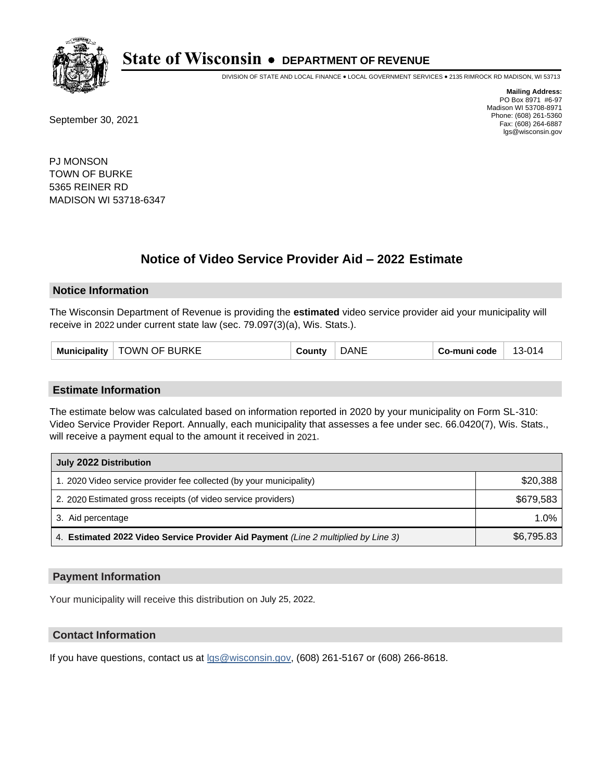

DIVISION OF STATE AND LOCAL FINANCE • LOCAL GOVERNMENT SERVICES • 2135 RIMROCK RD MADISON, WI 53713

September 30, 2021

**Mailing Address:** PO Box 8971 #6-97 Madison WI 53708-8971 Phone: (608) 261-5360 Fax: (608) 264-6887 lgs@wisconsin.gov

PJ MONSON TOWN OF BURKE 5365 REINER RD MADISON WI 53718-6347

## **Notice of Video Service Provider Aid - 2022 Estimate**

#### **Notice Information**

The Wisconsin Department of Revenue is providing the **estimated** video service provider aid your municipality will receive in 2022 under current state law (sec. 79.097(3)(a), Wis. Stats.).

| <b>TOWN OF BURKE</b><br><b>Municipality</b> | `ountv | <b>NF</b><br>۵Α | Co-muni code | 13-014 |
|---------------------------------------------|--------|-----------------|--------------|--------|
|---------------------------------------------|--------|-----------------|--------------|--------|

#### **Estimate Information**

The estimate below was calculated based on information reported in 2020 by your municipality on Form SL-310: Video Service Provider Report. Annually, each municipality that assesses a fee under sec. 66.0420(7), Wis. Stats., will receive a payment equal to the amount it received in 2021.

| July 2022 Distribution                                                             |            |
|------------------------------------------------------------------------------------|------------|
| 1. 2020 Video service provider fee collected (by your municipality)                | \$20,388   |
| 2. 2020 Estimated gross receipts (of video service providers)                      | \$679.583  |
| 3. Aid percentage                                                                  | $1.0\%$    |
| 4. Estimated 2022 Video Service Provider Aid Payment (Line 2 multiplied by Line 3) | \$6,795.83 |

#### **Payment Information**

Your municipality will receive this distribution on July 25, 2022.

## **Contact Information**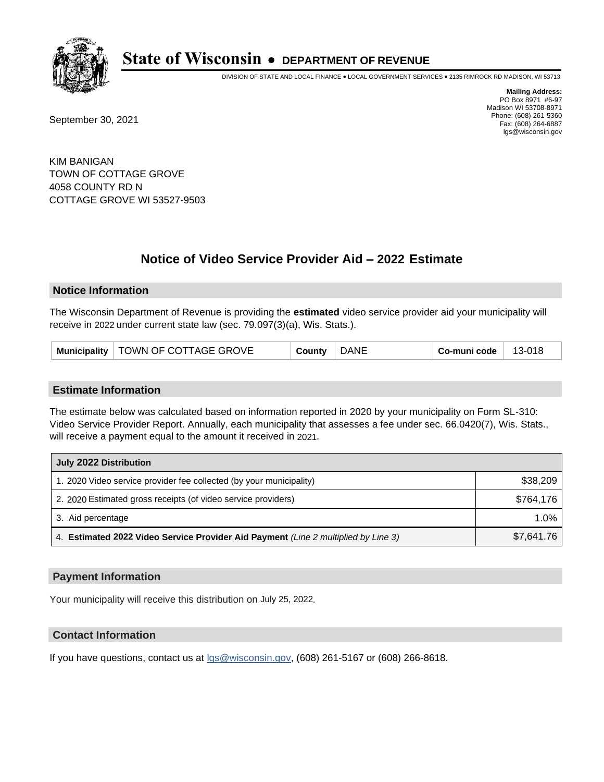

DIVISION OF STATE AND LOCAL FINANCE • LOCAL GOVERNMENT SERVICES • 2135 RIMROCK RD MADISON, WI 53713

September 30, 2021

**Mailing Address:** PO Box 8971 #6-97 Madison WI 53708-8971 Phone: (608) 261-5360 Fax: (608) 264-6887 lgs@wisconsin.gov

KIM BANIGAN TOWN OF COTTAGE GROVE 4058 COUNTY RD N COTTAGE GROVE WI 53527-9503

## **Notice of Video Service Provider Aid - 2022 Estimate**

#### **Notice Information**

The Wisconsin Department of Revenue is providing the **estimated** video service provider aid your municipality will receive in 2022 under current state law (sec. 79.097(3)(a), Wis. Stats.).

| Municipality   TOWN OF COTTAGE GROVE | County | <b>DANE</b> | Co-muni code | 13-018 |
|--------------------------------------|--------|-------------|--------------|--------|
|--------------------------------------|--------|-------------|--------------|--------|

#### **Estimate Information**

The estimate below was calculated based on information reported in 2020 by your municipality on Form SL-310: Video Service Provider Report. Annually, each municipality that assesses a fee under sec. 66.0420(7), Wis. Stats., will receive a payment equal to the amount it received in 2021.

| July 2022 Distribution                                                             |            |
|------------------------------------------------------------------------------------|------------|
| 1. 2020 Video service provider fee collected (by your municipality)                | \$38,209   |
| 2. 2020 Estimated gross receipts (of video service providers)                      | \$764.176  |
| 3. Aid percentage                                                                  | $1.0\%$    |
| 4. Estimated 2022 Video Service Provider Aid Payment (Line 2 multiplied by Line 3) | \$7,641.76 |

#### **Payment Information**

Your municipality will receive this distribution on July 25, 2022.

## **Contact Information**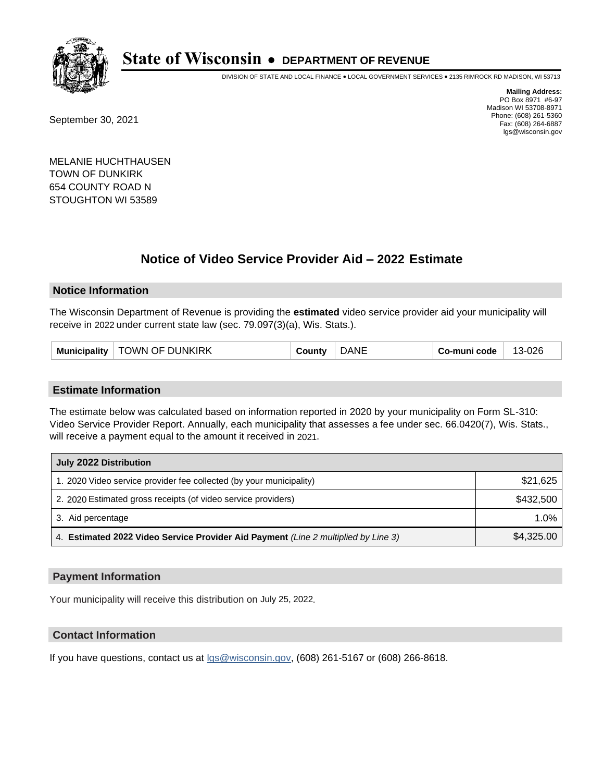

DIVISION OF STATE AND LOCAL FINANCE • LOCAL GOVERNMENT SERVICES • 2135 RIMROCK RD MADISON, WI 53713

September 30, 2021

**Mailing Address:** PO Box 8971 #6-97 Madison WI 53708-8971 Phone: (608) 261-5360 Fax: (608) 264-6887 lgs@wisconsin.gov

MELANIE HUCHTHAUSEN TOWN OF DUNKIRK 654 COUNTY ROAD N STOUGHTON WI 53589

## **Notice of Video Service Provider Aid - 2022 Estimate**

### **Notice Information**

The Wisconsin Department of Revenue is providing the **estimated** video service provider aid your municipality will receive in 2022 under current state law (sec. 79.097(3)(a), Wis. Stats.).

| TOWN OF DUNKIRK<br><b>Municipality</b> | `ountv | <b>NF</b> | Co-muni code | 13-026 |
|----------------------------------------|--------|-----------|--------------|--------|
|----------------------------------------|--------|-----------|--------------|--------|

#### **Estimate Information**

The estimate below was calculated based on information reported in 2020 by your municipality on Form SL-310: Video Service Provider Report. Annually, each municipality that assesses a fee under sec. 66.0420(7), Wis. Stats., will receive a payment equal to the amount it received in 2021.

| July 2022 Distribution                                                             |            |
|------------------------------------------------------------------------------------|------------|
| 1. 2020 Video service provider fee collected (by your municipality)                | \$21,625   |
| 2. 2020 Estimated gross receipts (of video service providers)                      | \$432,500  |
| 3. Aid percentage                                                                  | $1.0\%$    |
| 4. Estimated 2022 Video Service Provider Aid Payment (Line 2 multiplied by Line 3) | \$4,325.00 |

#### **Payment Information**

Your municipality will receive this distribution on July 25, 2022.

## **Contact Information**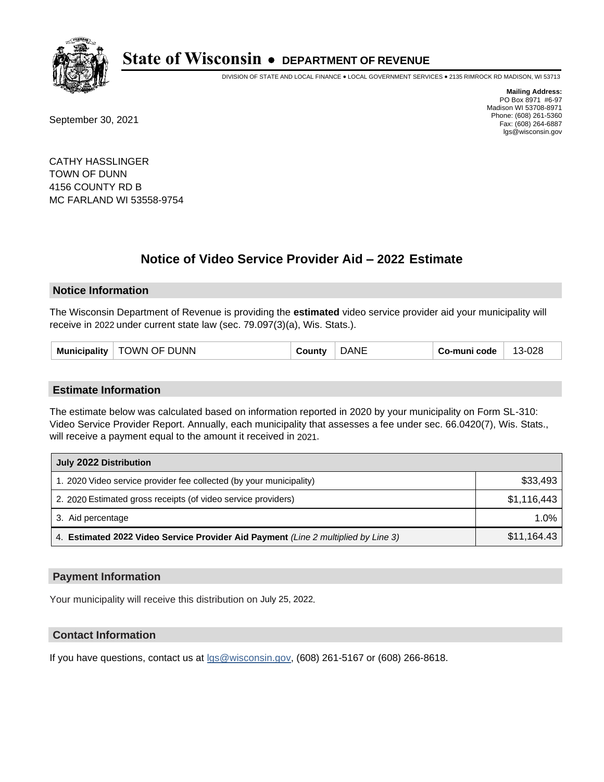

DIVISION OF STATE AND LOCAL FINANCE • LOCAL GOVERNMENT SERVICES • 2135 RIMROCK RD MADISON, WI 53713

September 30, 2021

**Mailing Address:** PO Box 8971 #6-97 Madison WI 53708-8971 Phone: (608) 261-5360 Fax: (608) 264-6887 lgs@wisconsin.gov

CATHY HASSLINGER TOWN OF DUNN 4156 COUNTY RD B MC FARLAND WI 53558-9754

## **Notice of Video Service Provider Aid - 2022 Estimate**

#### **Notice Information**

The Wisconsin Department of Revenue is providing the **estimated** video service provider aid your municipality will receive in 2022 under current state law (sec. 79.097(3)(a), Wis. Stats.).

| TOWN OF DUNN<br>Municipality $ $ | `ountv | <b>DANE</b> | Co-muni code | 13-028 |
|----------------------------------|--------|-------------|--------------|--------|
|----------------------------------|--------|-------------|--------------|--------|

#### **Estimate Information**

The estimate below was calculated based on information reported in 2020 by your municipality on Form SL-310: Video Service Provider Report. Annually, each municipality that assesses a fee under sec. 66.0420(7), Wis. Stats., will receive a payment equal to the amount it received in 2021.

| July 2022 Distribution                                                             |             |
|------------------------------------------------------------------------------------|-------------|
| 1. 2020 Video service provider fee collected (by your municipality)                | \$33,493    |
| 2. 2020 Estimated gross receipts (of video service providers)                      | \$1,116,443 |
| 3. Aid percentage                                                                  | $1.0\%$     |
| 4. Estimated 2022 Video Service Provider Aid Payment (Line 2 multiplied by Line 3) | \$11,164.43 |

#### **Payment Information**

Your municipality will receive this distribution on July 25, 2022.

## **Contact Information**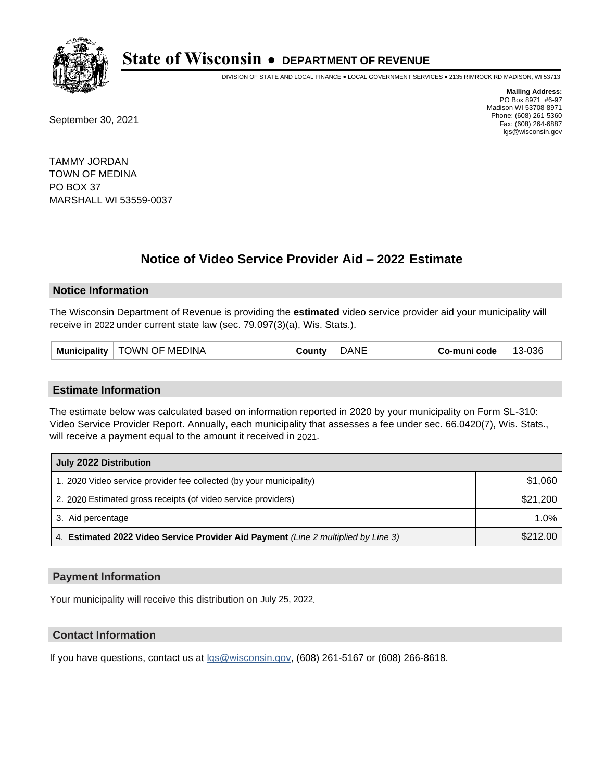

DIVISION OF STATE AND LOCAL FINANCE • LOCAL GOVERNMENT SERVICES • 2135 RIMROCK RD MADISON, WI 53713

September 30, 2021

**Mailing Address:** PO Box 8971 #6-97 Madison WI 53708-8971 Phone: (608) 261-5360 Fax: (608) 264-6887 lgs@wisconsin.gov

TAMMY JORDAN TOWN OF MEDINA PO BOX 37 MARSHALL WI 53559-0037

## **Notice of Video Service Provider Aid - 2022 Estimate**

#### **Notice Information**

The Wisconsin Department of Revenue is providing the **estimated** video service provider aid your municipality will receive in 2022 under current state law (sec. 79.097(3)(a), Wis. Stats.).

| <b>TOWN OF MEDINA</b><br>Municipality | `ountv | <b>JANF</b> | Co-muni code | 13-036 |
|---------------------------------------|--------|-------------|--------------|--------|
|---------------------------------------|--------|-------------|--------------|--------|

#### **Estimate Information**

The estimate below was calculated based on information reported in 2020 by your municipality on Form SL-310: Video Service Provider Report. Annually, each municipality that assesses a fee under sec. 66.0420(7), Wis. Stats., will receive a payment equal to the amount it received in 2021.

| July 2022 Distribution                                                             |          |
|------------------------------------------------------------------------------------|----------|
| 1. 2020 Video service provider fee collected (by your municipality)                | \$1,060  |
| 2. 2020 Estimated gross receipts (of video service providers)                      | \$21,200 |
| 3. Aid percentage                                                                  | 1.0%     |
| 4. Estimated 2022 Video Service Provider Aid Payment (Line 2 multiplied by Line 3) | \$212.00 |

#### **Payment Information**

Your municipality will receive this distribution on July 25, 2022.

## **Contact Information**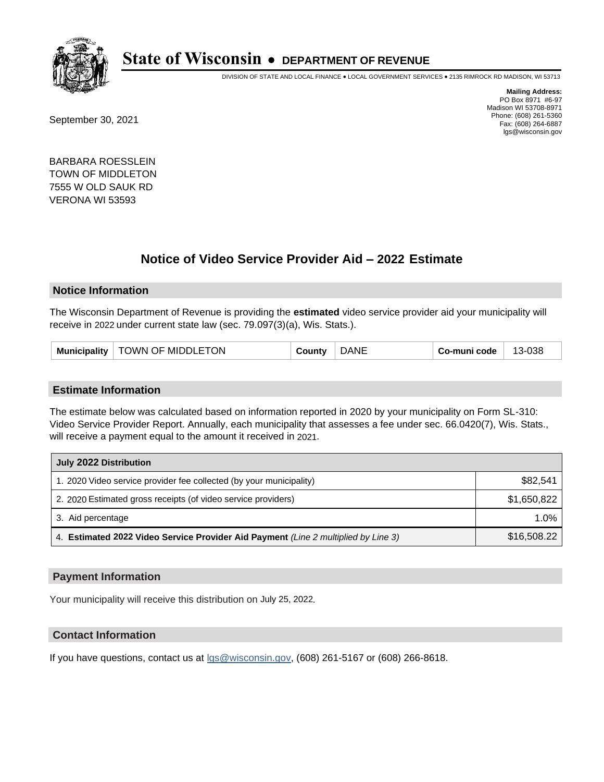

DIVISION OF STATE AND LOCAL FINANCE • LOCAL GOVERNMENT SERVICES • 2135 RIMROCK RD MADISON, WI 53713

September 30, 2021

**Mailing Address:** PO Box 8971 #6-97 Madison WI 53708-8971 Phone: (608) 261-5360 Fax: (608) 264-6887 lgs@wisconsin.gov

BARBARA ROESSLEIN TOWN OF MIDDLETON 7555 W OLD SAUK RD VERONA WI 53593

## **Notice of Video Service Provider Aid - 2022 Estimate**

#### **Notice Information**

The Wisconsin Department of Revenue is providing the **estimated** video service provider aid your municipality will receive in 2022 under current state law (sec. 79.097(3)(a), Wis. Stats.).

| <b>Municipality</b> | OWN OF MIDDLETON | ∴∩⊔n* | <b>NE</b> | ·muni code | 038<br>. .<br>∴ ا−د. |
|---------------------|------------------|-------|-----------|------------|----------------------|
|---------------------|------------------|-------|-----------|------------|----------------------|

#### **Estimate Information**

The estimate below was calculated based on information reported in 2020 by your municipality on Form SL-310: Video Service Provider Report. Annually, each municipality that assesses a fee under sec. 66.0420(7), Wis. Stats., will receive a payment equal to the amount it received in 2021.

| July 2022 Distribution                                                             |             |
|------------------------------------------------------------------------------------|-------------|
| 1. 2020 Video service provider fee collected (by your municipality)                | \$82.541    |
| 2. 2020 Estimated gross receipts (of video service providers)                      | \$1,650,822 |
| 3. Aid percentage                                                                  | $1.0\%$     |
| 4. Estimated 2022 Video Service Provider Aid Payment (Line 2 multiplied by Line 3) | \$16,508.22 |

#### **Payment Information**

Your municipality will receive this distribution on July 25, 2022.

## **Contact Information**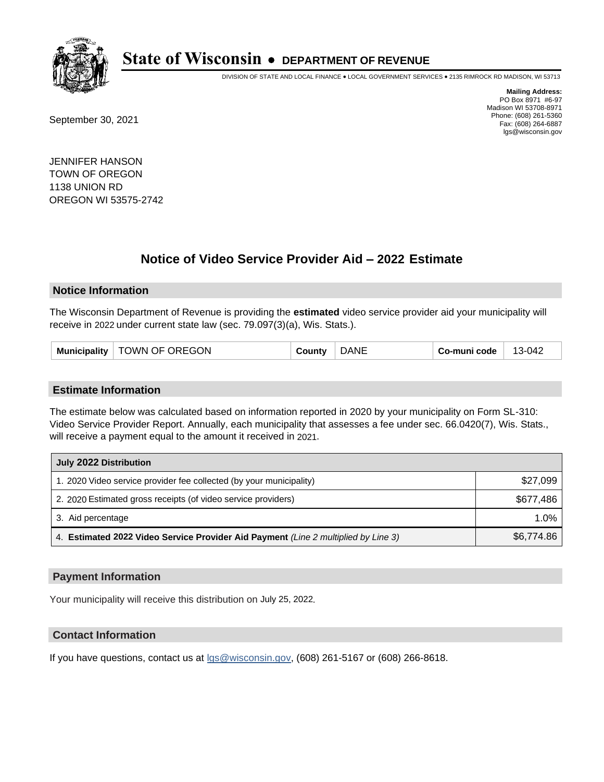

DIVISION OF STATE AND LOCAL FINANCE • LOCAL GOVERNMENT SERVICES • 2135 RIMROCK RD MADISON, WI 53713

September 30, 2021

**Mailing Address:** PO Box 8971 #6-97 Madison WI 53708-8971 Phone: (608) 261-5360 Fax: (608) 264-6887 lgs@wisconsin.gov

JENNIFER HANSON TOWN OF OREGON 1138 UNION RD OREGON WI 53575-2742

## **Notice of Video Service Provider Aid - 2022 Estimate**

#### **Notice Information**

The Wisconsin Department of Revenue is providing the **estimated** video service provider aid your municipality will receive in 2022 under current state law (sec. 79.097(3)(a), Wis. Stats.).

| TOWN OF OREGON<br>Municipality | ا ount∨ | <b>DANE</b> | Co-muni code | 13-042 |
|--------------------------------|---------|-------------|--------------|--------|
|--------------------------------|---------|-------------|--------------|--------|

#### **Estimate Information**

The estimate below was calculated based on information reported in 2020 by your municipality on Form SL-310: Video Service Provider Report. Annually, each municipality that assesses a fee under sec. 66.0420(7), Wis. Stats., will receive a payment equal to the amount it received in 2021.

| July 2022 Distribution                                                             |            |
|------------------------------------------------------------------------------------|------------|
| 1. 2020 Video service provider fee collected (by your municipality)                | \$27,099   |
| 2. 2020 Estimated gross receipts (of video service providers)                      | \$677.486  |
| 3. Aid percentage                                                                  | $1.0\%$    |
| 4. Estimated 2022 Video Service Provider Aid Payment (Line 2 multiplied by Line 3) | \$6,774.86 |

#### **Payment Information**

Your municipality will receive this distribution on July 25, 2022.

## **Contact Information**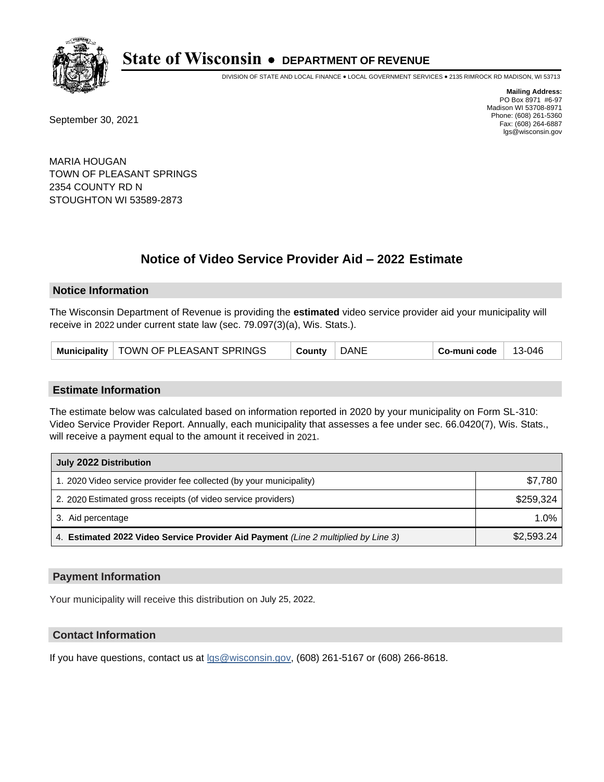

DIVISION OF STATE AND LOCAL FINANCE • LOCAL GOVERNMENT SERVICES • 2135 RIMROCK RD MADISON, WI 53713

September 30, 2021

**Mailing Address:** PO Box 8971 #6-97 Madison WI 53708-8971 Phone: (608) 261-5360 Fax: (608) 264-6887 lgs@wisconsin.gov

MARIA HOUGAN TOWN OF PLEASANT SPRINGS 2354 COUNTY RD N STOUGHTON WI 53589-2873

## **Notice of Video Service Provider Aid - 2022 Estimate**

#### **Notice Information**

The Wisconsin Department of Revenue is providing the **estimated** video service provider aid your municipality will receive in 2022 under current state law (sec. 79.097(3)(a), Wis. Stats.).

#### **Estimate Information**

The estimate below was calculated based on information reported in 2020 by your municipality on Form SL-310: Video Service Provider Report. Annually, each municipality that assesses a fee under sec. 66.0420(7), Wis. Stats., will receive a payment equal to the amount it received in 2021.

| July 2022 Distribution                                                             |            |
|------------------------------------------------------------------------------------|------------|
| 1. 2020 Video service provider fee collected (by your municipality)                | \$7.780    |
| 2. 2020 Estimated gross receipts (of video service providers)                      | \$259.324  |
| 3. Aid percentage                                                                  | $1.0\%$    |
| 4. Estimated 2022 Video Service Provider Aid Payment (Line 2 multiplied by Line 3) | \$2,593.24 |

#### **Payment Information**

Your municipality will receive this distribution on July 25, 2022.

## **Contact Information**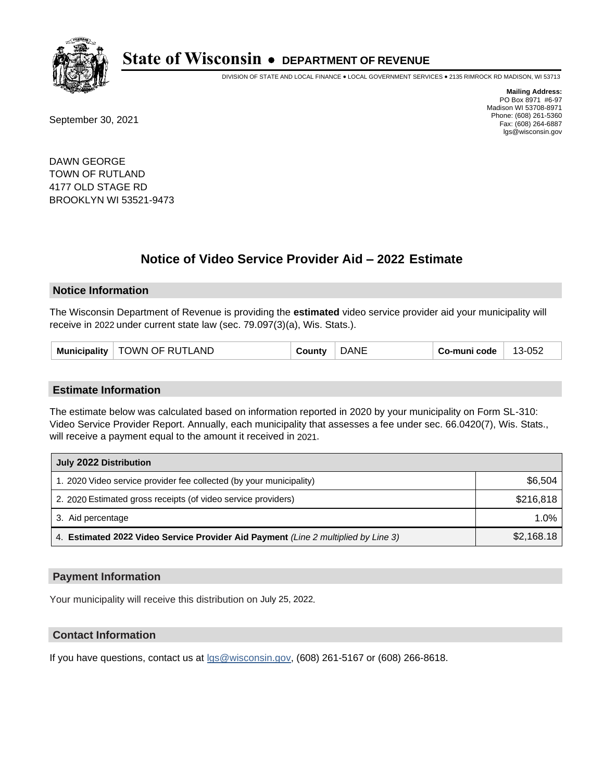

DIVISION OF STATE AND LOCAL FINANCE • LOCAL GOVERNMENT SERVICES • 2135 RIMROCK RD MADISON, WI 53713

September 30, 2021

**Mailing Address:** PO Box 8971 #6-97 Madison WI 53708-8971 Phone: (608) 261-5360 Fax: (608) 264-6887 lgs@wisconsin.gov

DAWN GEORGE TOWN OF RUTLAND 4177 OLD STAGE RD BROOKLYN WI 53521-9473

## **Notice of Video Service Provider Aid - 2022 Estimate**

#### **Notice Information**

The Wisconsin Department of Revenue is providing the **estimated** video service provider aid your municipality will receive in 2022 under current state law (sec. 79.097(3)(a), Wis. Stats.).

| Municipality $ $ | TOWN OF RUTLAND | ountvٽ | <b>DANE</b> | Co-muni code | 13-052 |
|------------------|-----------------|--------|-------------|--------------|--------|
|------------------|-----------------|--------|-------------|--------------|--------|

#### **Estimate Information**

The estimate below was calculated based on information reported in 2020 by your municipality on Form SL-310: Video Service Provider Report. Annually, each municipality that assesses a fee under sec. 66.0420(7), Wis. Stats., will receive a payment equal to the amount it received in 2021.

| July 2022 Distribution                                                             |            |
|------------------------------------------------------------------------------------|------------|
| 1. 2020 Video service provider fee collected (by your municipality)                | \$6,504    |
| 2. 2020 Estimated gross receipts (of video service providers)                      | \$216.818  |
| 3. Aid percentage                                                                  | 1.0%       |
| 4. Estimated 2022 Video Service Provider Aid Payment (Line 2 multiplied by Line 3) | \$2,168.18 |

#### **Payment Information**

Your municipality will receive this distribution on July 25, 2022.

## **Contact Information**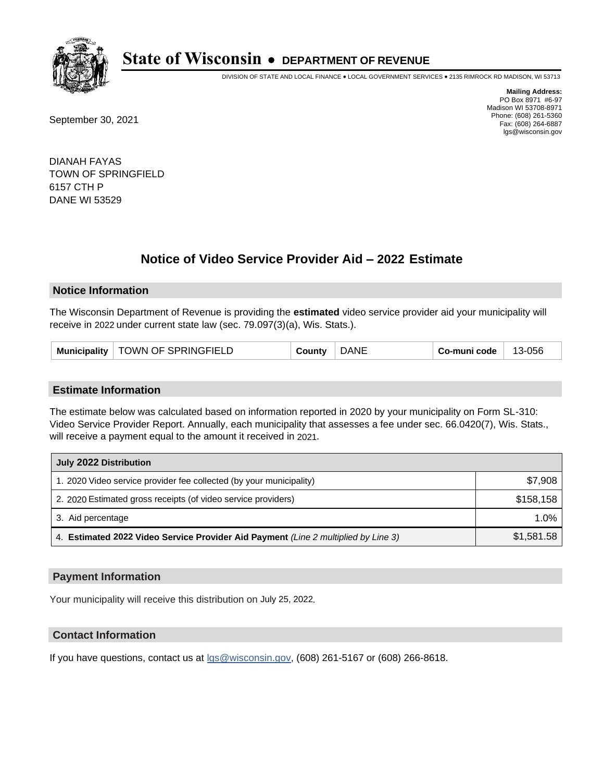

DIVISION OF STATE AND LOCAL FINANCE • LOCAL GOVERNMENT SERVICES • 2135 RIMROCK RD MADISON, WI 53713

September 30, 2021

**Mailing Address:** PO Box 8971 #6-97 Madison WI 53708-8971 Phone: (608) 261-5360 Fax: (608) 264-6887 lgs@wisconsin.gov

DIANAH FAYAS TOWN OF SPRINGFIELD 6157 CTH P DANE WI 53529

## **Notice of Video Service Provider Aid - 2022 Estimate**

#### **Notice Information**

The Wisconsin Department of Revenue is providing the **estimated** video service provider aid your municipality will receive in 2022 under current state law (sec. 79.097(3)(a), Wis. Stats.).

| Municipality | TOWN OF SPRINGFIELD | .ountvث | <b>DANE</b> | Co-muni code | 13-056 |
|--------------|---------------------|---------|-------------|--------------|--------|
|--------------|---------------------|---------|-------------|--------------|--------|

#### **Estimate Information**

The estimate below was calculated based on information reported in 2020 by your municipality on Form SL-310: Video Service Provider Report. Annually, each municipality that assesses a fee under sec. 66.0420(7), Wis. Stats., will receive a payment equal to the amount it received in 2021.

| July 2022 Distribution                                                             |            |
|------------------------------------------------------------------------------------|------------|
| 1. 2020 Video service provider fee collected (by your municipality)                | \$7,908    |
| 2. 2020 Estimated gross receipts (of video service providers)                      | \$158,158  |
| 3. Aid percentage                                                                  | 1.0%       |
| 4. Estimated 2022 Video Service Provider Aid Payment (Line 2 multiplied by Line 3) | \$1,581.58 |

#### **Payment Information**

Your municipality will receive this distribution on July 25, 2022.

## **Contact Information**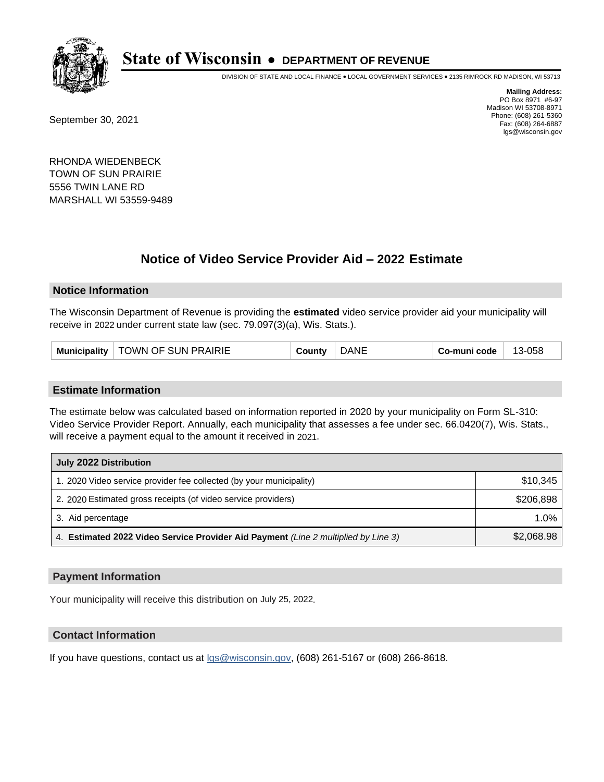

DIVISION OF STATE AND LOCAL FINANCE • LOCAL GOVERNMENT SERVICES • 2135 RIMROCK RD MADISON, WI 53713

September 30, 2021

**Mailing Address:** PO Box 8971 #6-97 Madison WI 53708-8971 Phone: (608) 261-5360 Fax: (608) 264-6887 lgs@wisconsin.gov

RHONDA WIEDENBECK TOWN OF SUN PRAIRIE 5556 TWIN LANE RD MARSHALL WI 53559-9489

## **Notice of Video Service Provider Aid - 2022 Estimate**

### **Notice Information**

The Wisconsin Department of Revenue is providing the **estimated** video service provider aid your municipality will receive in 2022 under current state law (sec. 79.097(3)(a), Wis. Stats.).

#### **Estimate Information**

The estimate below was calculated based on information reported in 2020 by your municipality on Form SL-310: Video Service Provider Report. Annually, each municipality that assesses a fee under sec. 66.0420(7), Wis. Stats., will receive a payment equal to the amount it received in 2021.

| July 2022 Distribution                                                             |            |
|------------------------------------------------------------------------------------|------------|
| 1. 2020 Video service provider fee collected (by your municipality)                | \$10,345   |
| 2. 2020 Estimated gross receipts (of video service providers)                      | \$206,898  |
| 3. Aid percentage                                                                  | 1.0%       |
| 4. Estimated 2022 Video Service Provider Aid Payment (Line 2 multiplied by Line 3) | \$2,068.98 |

#### **Payment Information**

Your municipality will receive this distribution on July 25, 2022.

## **Contact Information**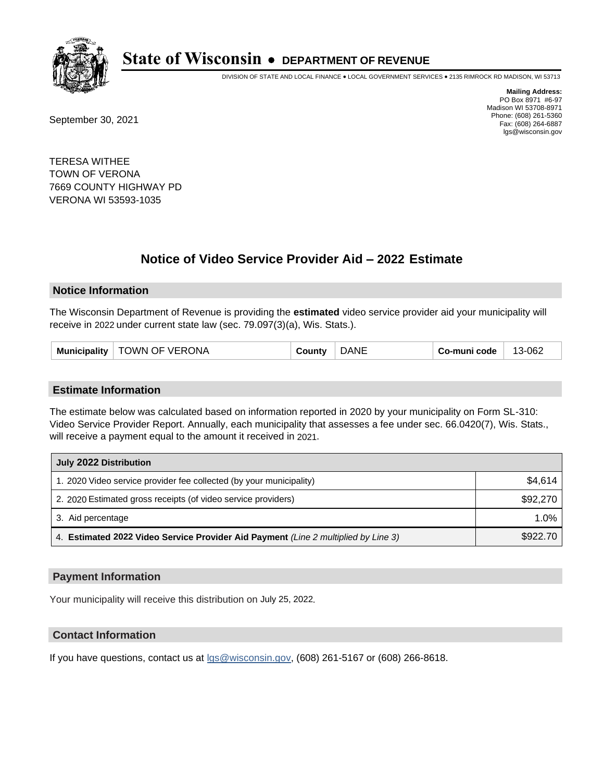

DIVISION OF STATE AND LOCAL FINANCE • LOCAL GOVERNMENT SERVICES • 2135 RIMROCK RD MADISON, WI 53713

September 30, 2021

**Mailing Address:** PO Box 8971 #6-97 Madison WI 53708-8971 Phone: (608) 261-5360 Fax: (608) 264-6887 lgs@wisconsin.gov

TERESA WITHEE TOWN OF VERONA 7669 COUNTY HIGHWAY PD VERONA WI 53593-1035

## **Notice of Video Service Provider Aid - 2022 Estimate**

#### **Notice Information**

The Wisconsin Department of Revenue is providing the **estimated** video service provider aid your municipality will receive in 2022 under current state law (sec. 79.097(3)(a), Wis. Stats.).

| <b>Municipality</b><br>TOWN OF VERONA<br>County | <b>DANE</b> | ⊦ Co-muni code | 13-062 |
|-------------------------------------------------|-------------|----------------|--------|
|-------------------------------------------------|-------------|----------------|--------|

#### **Estimate Information**

The estimate below was calculated based on information reported in 2020 by your municipality on Form SL-310: Video Service Provider Report. Annually, each municipality that assesses a fee under sec. 66.0420(7), Wis. Stats., will receive a payment equal to the amount it received in 2021.

| July 2022 Distribution                                                             |          |
|------------------------------------------------------------------------------------|----------|
| 1. 2020 Video service provider fee collected (by your municipality)                | \$4.614  |
| 2. 2020 Estimated gross receipts (of video service providers)                      | \$92,270 |
| 3. Aid percentage                                                                  | 1.0%     |
| 4. Estimated 2022 Video Service Provider Aid Payment (Line 2 multiplied by Line 3) | \$922.70 |

### **Payment Information**

Your municipality will receive this distribution on July 25, 2022.

## **Contact Information**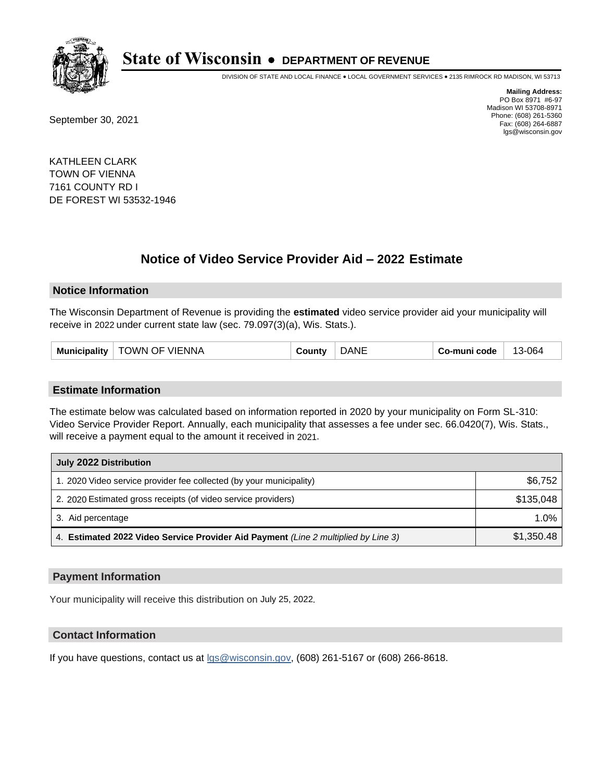

DIVISION OF STATE AND LOCAL FINANCE • LOCAL GOVERNMENT SERVICES • 2135 RIMROCK RD MADISON, WI 53713

September 30, 2021

**Mailing Address:** PO Box 8971 #6-97 Madison WI 53708-8971 Phone: (608) 261-5360 Fax: (608) 264-6887 lgs@wisconsin.gov

KATHLEEN CLARK TOWN OF VIENNA 7161 COUNTY RD I DE FOREST WI 53532-1946

## **Notice of Video Service Provider Aid - 2022 Estimate**

#### **Notice Information**

The Wisconsin Department of Revenue is providing the **estimated** video service provider aid your municipality will receive in 2022 under current state law (sec. 79.097(3)(a), Wis. Stats.).

#### **Estimate Information**

The estimate below was calculated based on information reported in 2020 by your municipality on Form SL-310: Video Service Provider Report. Annually, each municipality that assesses a fee under sec. 66.0420(7), Wis. Stats., will receive a payment equal to the amount it received in 2021.

| July 2022 Distribution                                                             |            |
|------------------------------------------------------------------------------------|------------|
| 1. 2020 Video service provider fee collected (by your municipality)                | \$6,752    |
| 2. 2020 Estimated gross receipts (of video service providers)                      | \$135,048  |
| 3. Aid percentage                                                                  | $1.0\%$    |
| 4. Estimated 2022 Video Service Provider Aid Payment (Line 2 multiplied by Line 3) | \$1,350.48 |

#### **Payment Information**

Your municipality will receive this distribution on July 25, 2022.

## **Contact Information**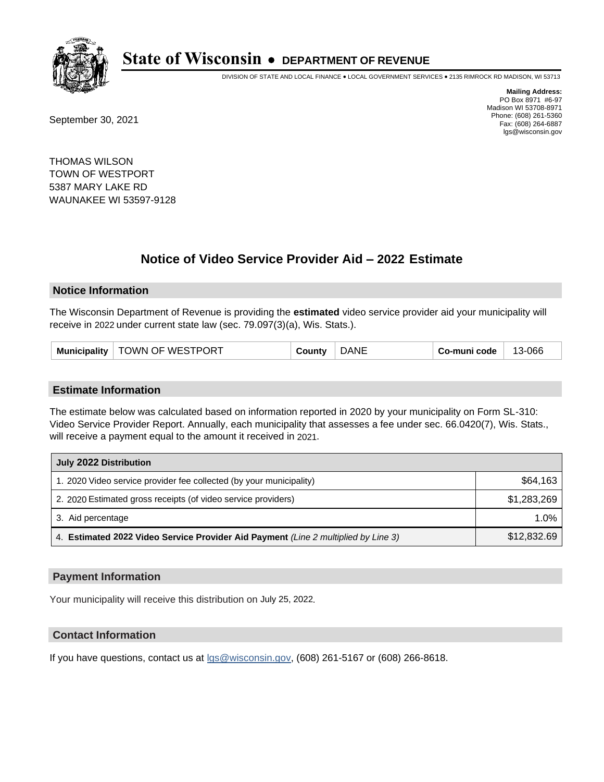

DIVISION OF STATE AND LOCAL FINANCE • LOCAL GOVERNMENT SERVICES • 2135 RIMROCK RD MADISON, WI 53713

September 30, 2021

**Mailing Address:** PO Box 8971 #6-97 Madison WI 53708-8971 Phone: (608) 261-5360 Fax: (608) 264-6887 lgs@wisconsin.gov

THOMAS WILSON TOWN OF WESTPORT 5387 MARY LAKE RD WAUNAKEE WI 53597-9128

# **Notice of Video Service Provider Aid - 2022 Estimate**

#### **Notice Information**

The Wisconsin Department of Revenue is providing the **estimated** video service provider aid your municipality will receive in 2022 under current state law (sec. 79.097(3)(a), Wis. Stats.).

| <b>Municipality</b> | TOWN OF WESTPORT | ≀ountv | ۸IF | Co-muni code | 13-066 |
|---------------------|------------------|--------|-----|--------------|--------|
|---------------------|------------------|--------|-----|--------------|--------|

#### **Estimate Information**

The estimate below was calculated based on information reported in 2020 by your municipality on Form SL-310: Video Service Provider Report. Annually, each municipality that assesses a fee under sec. 66.0420(7), Wis. Stats., will receive a payment equal to the amount it received in 2021.

| July 2022 Distribution                                                             |             |  |  |
|------------------------------------------------------------------------------------|-------------|--|--|
| 1. 2020 Video service provider fee collected (by your municipality)                | \$64,163    |  |  |
| 2. 2020 Estimated gross receipts (of video service providers)                      | \$1,283,269 |  |  |
| 3. Aid percentage                                                                  | 1.0%        |  |  |
| 4. Estimated 2022 Video Service Provider Aid Payment (Line 2 multiplied by Line 3) | \$12,832.69 |  |  |

#### **Payment Information**

Your municipality will receive this distribution on July 25, 2022.

## **Contact Information**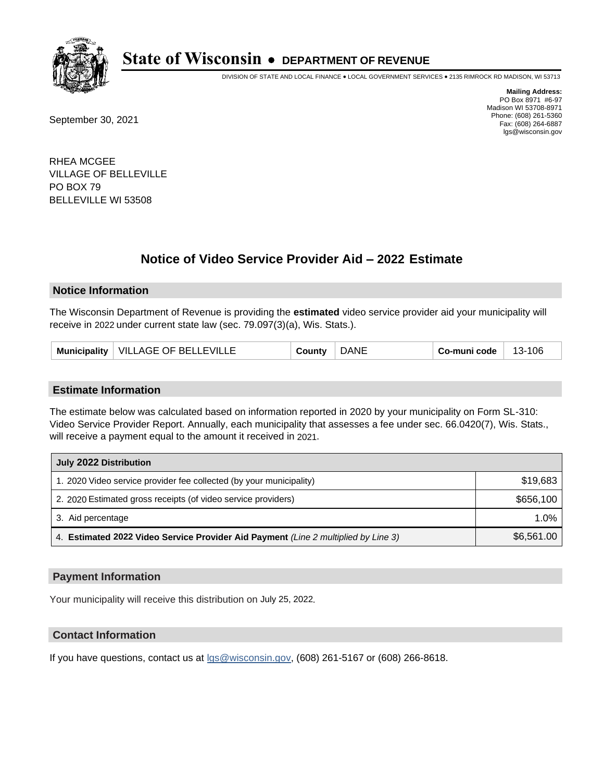

DIVISION OF STATE AND LOCAL FINANCE • LOCAL GOVERNMENT SERVICES • 2135 RIMROCK RD MADISON, WI 53713

September 30, 2021

**Mailing Address:** PO Box 8971 #6-97 Madison WI 53708-8971 Phone: (608) 261-5360 Fax: (608) 264-6887 lgs@wisconsin.gov

RHEA MCGEE VILLAGE OF BELLEVILLE PO BOX 79 BELLEVILLE WI 53508

# **Notice of Video Service Provider Aid - 2022 Estimate**

### **Notice Information**

The Wisconsin Department of Revenue is providing the **estimated** video service provider aid your municipality will receive in 2022 under current state law (sec. 79.097(3)(a), Wis. Stats.).

| <b>DANE</b><br>Municipality   VILLAGE OF BELLEVILLE<br>County | Co-muni code<br>13-106 |
|---------------------------------------------------------------|------------------------|
|---------------------------------------------------------------|------------------------|

#### **Estimate Information**

The estimate below was calculated based on information reported in 2020 by your municipality on Form SL-310: Video Service Provider Report. Annually, each municipality that assesses a fee under sec. 66.0420(7), Wis. Stats., will receive a payment equal to the amount it received in 2021.

| July 2022 Distribution                                                             |            |  |  |
|------------------------------------------------------------------------------------|------------|--|--|
| 1. 2020 Video service provider fee collected (by your municipality)                | \$19,683   |  |  |
| 2. 2020 Estimated gross receipts (of video service providers)                      | \$656,100  |  |  |
| 3. Aid percentage                                                                  | $1.0\%$    |  |  |
| 4. Estimated 2022 Video Service Provider Aid Payment (Line 2 multiplied by Line 3) | \$6,561.00 |  |  |

#### **Payment Information**

Your municipality will receive this distribution on July 25, 2022.

## **Contact Information**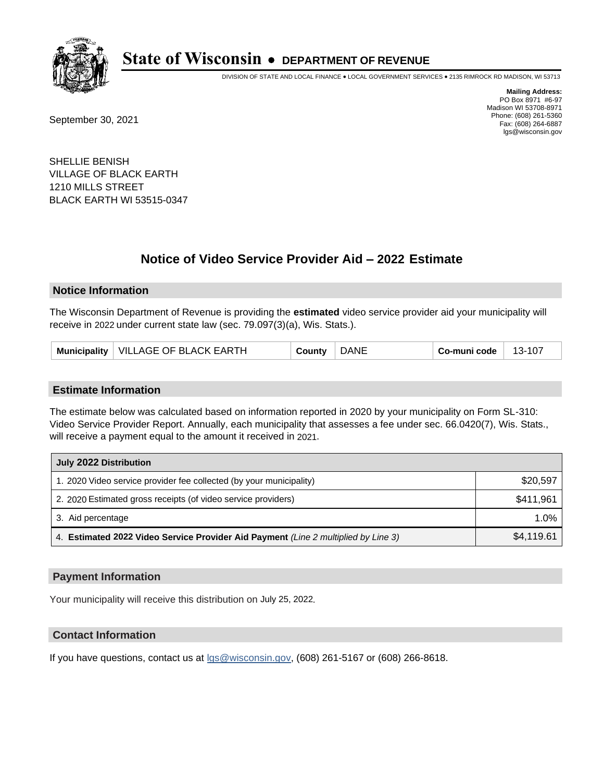

DIVISION OF STATE AND LOCAL FINANCE • LOCAL GOVERNMENT SERVICES • 2135 RIMROCK RD MADISON, WI 53713

September 30, 2021

**Mailing Address:** PO Box 8971 #6-97 Madison WI 53708-8971 Phone: (608) 261-5360 Fax: (608) 264-6887 lgs@wisconsin.gov

SHELLIE BENISH VILLAGE OF BLACK EARTH 1210 MILLS STREET BLACK EARTH WI 53515-0347

# **Notice of Video Service Provider Aid - 2022 Estimate**

#### **Notice Information**

The Wisconsin Department of Revenue is providing the **estimated** video service provider aid your municipality will receive in 2022 under current state law (sec. 79.097(3)(a), Wis. Stats.).

|  | Municipality   VILLAGE OF BLACK EARTH | County | <b>DANE</b> | Co-muni code | 13-107 |
|--|---------------------------------------|--------|-------------|--------------|--------|
|--|---------------------------------------|--------|-------------|--------------|--------|

#### **Estimate Information**

The estimate below was calculated based on information reported in 2020 by your municipality on Form SL-310: Video Service Provider Report. Annually, each municipality that assesses a fee under sec. 66.0420(7), Wis. Stats., will receive a payment equal to the amount it received in 2021.

| July 2022 Distribution                                                             |            |  |  |
|------------------------------------------------------------------------------------|------------|--|--|
| 1. 2020 Video service provider fee collected (by your municipality)                | \$20,597   |  |  |
| 2. 2020 Estimated gross receipts (of video service providers)                      | \$411,961  |  |  |
| 3. Aid percentage                                                                  | 1.0%       |  |  |
| 4. Estimated 2022 Video Service Provider Aid Payment (Line 2 multiplied by Line 3) | \$4,119.61 |  |  |

#### **Payment Information**

Your municipality will receive this distribution on July 25, 2022.

## **Contact Information**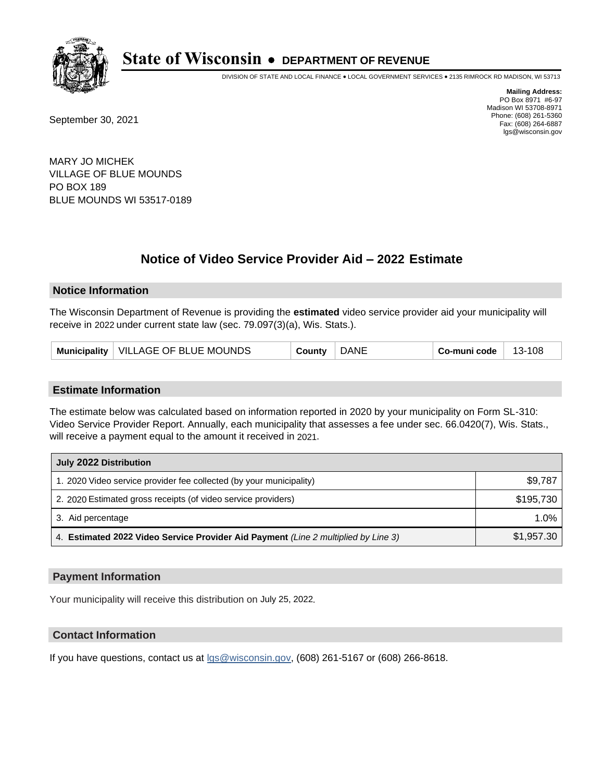

DIVISION OF STATE AND LOCAL FINANCE • LOCAL GOVERNMENT SERVICES • 2135 RIMROCK RD MADISON, WI 53713

September 30, 2021

**Mailing Address:** PO Box 8971 #6-97 Madison WI 53708-8971 Phone: (608) 261-5360 Fax: (608) 264-6887 lgs@wisconsin.gov

MARY JO MICHEK VILLAGE OF BLUE MOUNDS PO BOX 189 BLUE MOUNDS WI 53517-0189

# **Notice of Video Service Provider Aid - 2022 Estimate**

#### **Notice Information**

The Wisconsin Department of Revenue is providing the **estimated** video service provider aid your municipality will receive in 2022 under current state law (sec. 79.097(3)(a), Wis. Stats.).

| Municipality   VILLAGE OF BLUE MOUNDS | County | <b>DANE</b> | Co-muni code | 13-108 |
|---------------------------------------|--------|-------------|--------------|--------|
|---------------------------------------|--------|-------------|--------------|--------|

#### **Estimate Information**

The estimate below was calculated based on information reported in 2020 by your municipality on Form SL-310: Video Service Provider Report. Annually, each municipality that assesses a fee under sec. 66.0420(7), Wis. Stats., will receive a payment equal to the amount it received in 2021.

| July 2022 Distribution                                                             |            |  |  |
|------------------------------------------------------------------------------------|------------|--|--|
| 1. 2020 Video service provider fee collected (by your municipality)                | \$9,787    |  |  |
| 2. 2020 Estimated gross receipts (of video service providers)                      | \$195.730  |  |  |
| 3. Aid percentage                                                                  | 1.0%       |  |  |
| 4. Estimated 2022 Video Service Provider Aid Payment (Line 2 multiplied by Line 3) | \$1,957.30 |  |  |

#### **Payment Information**

Your municipality will receive this distribution on July 25, 2022.

## **Contact Information**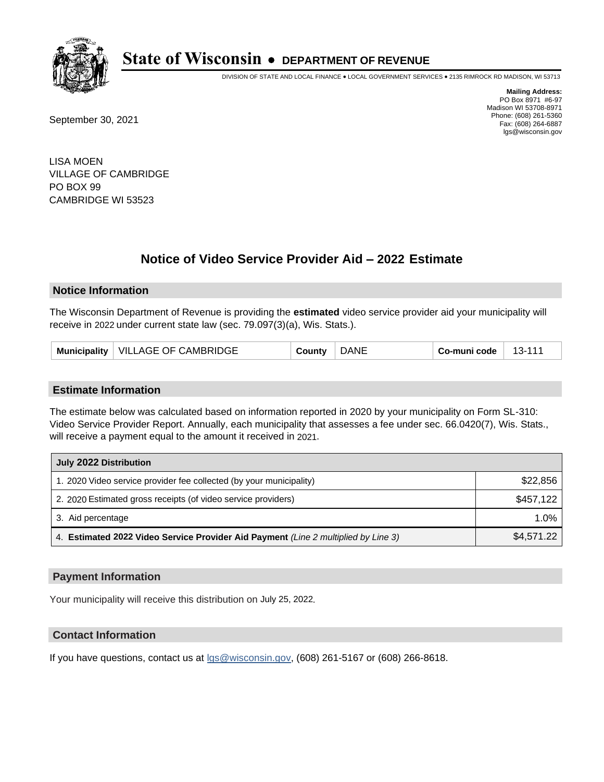

DIVISION OF STATE AND LOCAL FINANCE • LOCAL GOVERNMENT SERVICES • 2135 RIMROCK RD MADISON, WI 53713

September 30, 2021

**Mailing Address:** PO Box 8971 #6-97 Madison WI 53708-8971 Phone: (608) 261-5360 Fax: (608) 264-6887 lgs@wisconsin.gov

LISA MOEN VILLAGE OF CAMBRIDGE PO BOX 99 CAMBRIDGE WI 53523

# **Notice of Video Service Provider Aid - 2022 Estimate**

#### **Notice Information**

The Wisconsin Department of Revenue is providing the **estimated** video service provider aid your municipality will receive in 2022 under current state law (sec. 79.097(3)(a), Wis. Stats.).

| <b>DANE</b><br>Municipality   VILLAGE OF CAMBRIDGE<br>Co-muni code<br>County | $13-111$ |  |
|------------------------------------------------------------------------------|----------|--|
|------------------------------------------------------------------------------|----------|--|

#### **Estimate Information**

The estimate below was calculated based on information reported in 2020 by your municipality on Form SL-310: Video Service Provider Report. Annually, each municipality that assesses a fee under sec. 66.0420(7), Wis. Stats., will receive a payment equal to the amount it received in 2021.

| July 2022 Distribution                                                             |            |  |  |
|------------------------------------------------------------------------------------|------------|--|--|
| 1. 2020 Video service provider fee collected (by your municipality)                | \$22,856   |  |  |
| 2. 2020 Estimated gross receipts (of video service providers)                      | \$457,122  |  |  |
| 3. Aid percentage                                                                  | $1.0\%$    |  |  |
| 4. Estimated 2022 Video Service Provider Aid Payment (Line 2 multiplied by Line 3) | \$4,571.22 |  |  |

#### **Payment Information**

Your municipality will receive this distribution on July 25, 2022.

## **Contact Information**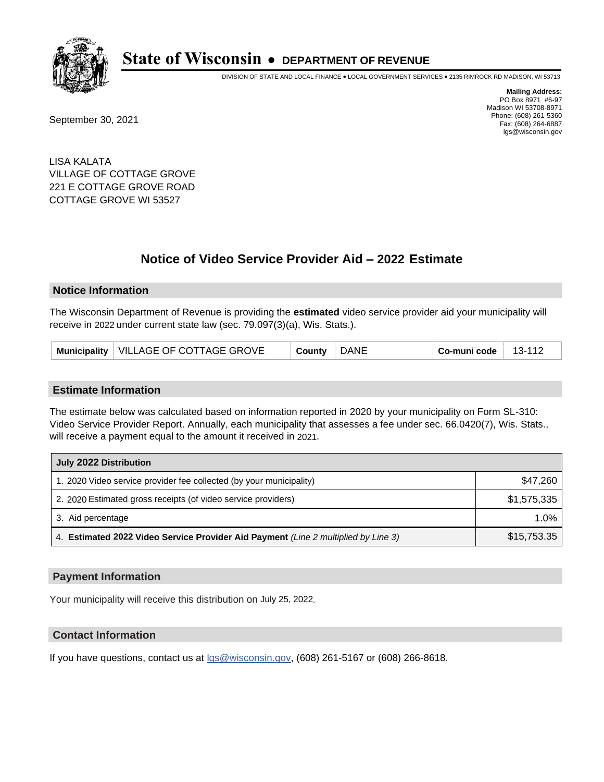

DIVISION OF STATE AND LOCAL FINANCE • LOCAL GOVERNMENT SERVICES • 2135 RIMROCK RD MADISON, WI 53713

September 30, 2021

**Mailing Address:** PO Box 8971 #6-97 Madison WI 53708-8971 Phone: (608) 261-5360 Fax: (608) 264-6887 lgs@wisconsin.gov

LISA KALATA VILLAGE OF COTTAGE GROVE 221 E COTTAGE GROVE ROAD COTTAGE GROVE WI 53527

# **Notice of Video Service Provider Aid - 2022 Estimate**

### **Notice Information**

The Wisconsin Department of Revenue is providing the **estimated** video service provider aid your municipality will receive in 2022 under current state law (sec. 79.097(3)(a), Wis. Stats.).

| <b>DANE</b><br>Municipality   VILLAGE OF COTTAGE GROVE<br>Co-muni code<br>County |  |  |  |  |  | 13-112 |  |
|----------------------------------------------------------------------------------|--|--|--|--|--|--------|--|
|----------------------------------------------------------------------------------|--|--|--|--|--|--------|--|

#### **Estimate Information**

The estimate below was calculated based on information reported in 2020 by your municipality on Form SL-310: Video Service Provider Report. Annually, each municipality that assesses a fee under sec. 66.0420(7), Wis. Stats., will receive a payment equal to the amount it received in 2021.

| July 2022 Distribution                                                             |             |  |  |
|------------------------------------------------------------------------------------|-------------|--|--|
| 1. 2020 Video service provider fee collected (by your municipality)                | \$47,260    |  |  |
| 2. 2020 Estimated gross receipts (of video service providers)                      | \$1,575,335 |  |  |
| 3. Aid percentage                                                                  | 1.0%        |  |  |
| 4. Estimated 2022 Video Service Provider Aid Payment (Line 2 multiplied by Line 3) | \$15,753.35 |  |  |

#### **Payment Information**

Your municipality will receive this distribution on July 25, 2022.

## **Contact Information**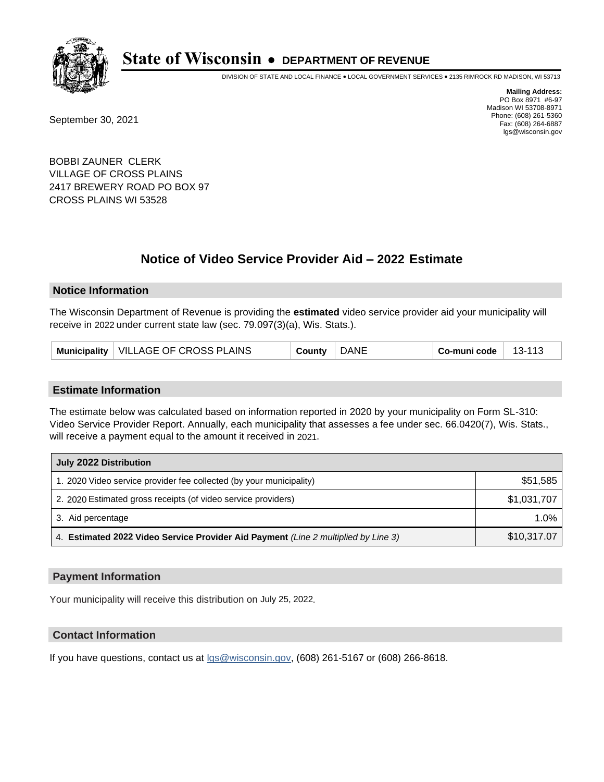

DIVISION OF STATE AND LOCAL FINANCE • LOCAL GOVERNMENT SERVICES • 2135 RIMROCK RD MADISON, WI 53713

September 30, 2021

**Mailing Address:** PO Box 8971 #6-97 Madison WI 53708-8971 Phone: (608) 261-5360 Fax: (608) 264-6887 lgs@wisconsin.gov

BOBBI ZAUNER CLERK VILLAGE OF CROSS PLAINS 2417 BREWERY ROAD PO BOX 97 CROSS PLAINS WI 53528

# **Notice of Video Service Provider Aid - 2022 Estimate**

### **Notice Information**

The Wisconsin Department of Revenue is providing the **estimated** video service provider aid your municipality will receive in 2022 under current state law (sec. 79.097(3)(a), Wis. Stats.).

| <b>DANE</b><br>VILLAGE OF CROSS PLAINS<br>Municipality<br>$13 - 113$<br>Co-muni code<br>County |
|------------------------------------------------------------------------------------------------|
|------------------------------------------------------------------------------------------------|

#### **Estimate Information**

The estimate below was calculated based on information reported in 2020 by your municipality on Form SL-310: Video Service Provider Report. Annually, each municipality that assesses a fee under sec. 66.0420(7), Wis. Stats., will receive a payment equal to the amount it received in 2021.

| July 2022 Distribution                                                             |             |
|------------------------------------------------------------------------------------|-------------|
| 1. 2020 Video service provider fee collected (by your municipality)                | \$51,585    |
| 2. 2020 Estimated gross receipts (of video service providers)                      | \$1,031,707 |
| 3. Aid percentage                                                                  | 1.0%        |
| 4. Estimated 2022 Video Service Provider Aid Payment (Line 2 multiplied by Line 3) | \$10,317.07 |

#### **Payment Information**

Your municipality will receive this distribution on July 25, 2022.

## **Contact Information**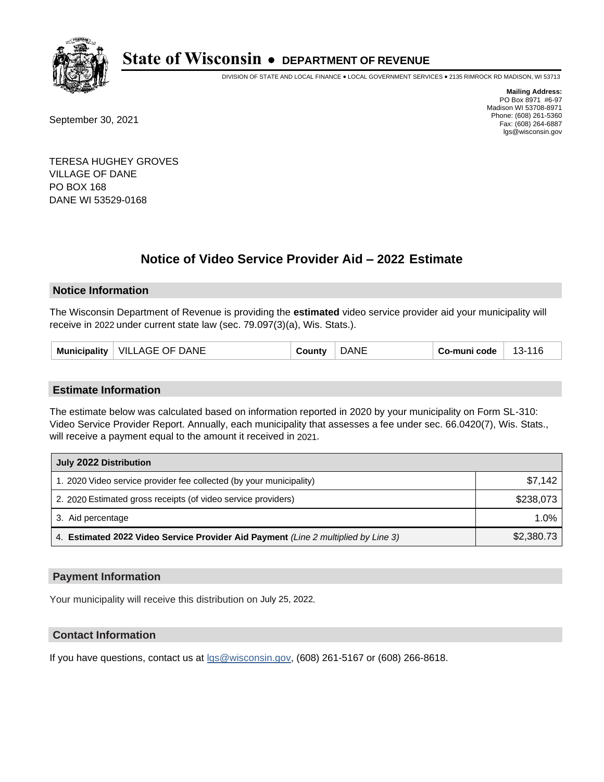

DIVISION OF STATE AND LOCAL FINANCE • LOCAL GOVERNMENT SERVICES • 2135 RIMROCK RD MADISON, WI 53713

September 30, 2021

**Mailing Address:** PO Box 8971 #6-97 Madison WI 53708-8971 Phone: (608) 261-5360 Fax: (608) 264-6887 lgs@wisconsin.gov

TERESA HUGHEY GROVES VILLAGE OF DANE PO BOX 168 DANE WI 53529-0168

# **Notice of Video Service Provider Aid - 2022 Estimate**

### **Notice Information**

The Wisconsin Department of Revenue is providing the **estimated** video service provider aid your municipality will receive in 2022 under current state law (sec. 79.097(3)(a), Wis. Stats.).

| <b>VILLAGE OF DANE</b><br><b>Municipality</b> | `ำ⊔ntv | <b>NE</b> | َ o-muni code | -116<br>-13- . |
|-----------------------------------------------|--------|-----------|---------------|----------------|
|-----------------------------------------------|--------|-----------|---------------|----------------|

#### **Estimate Information**

The estimate below was calculated based on information reported in 2020 by your municipality on Form SL-310: Video Service Provider Report. Annually, each municipality that assesses a fee under sec. 66.0420(7), Wis. Stats., will receive a payment equal to the amount it received in 2021.

| July 2022 Distribution                                                             |            |
|------------------------------------------------------------------------------------|------------|
| 1. 2020 Video service provider fee collected (by your municipality)                | \$7.142    |
| 2. 2020 Estimated gross receipts (of video service providers)                      | \$238,073  |
| 3. Aid percentage                                                                  | $1.0\%$    |
| 4. Estimated 2022 Video Service Provider Aid Payment (Line 2 multiplied by Line 3) | \$2,380.73 |

#### **Payment Information**

Your municipality will receive this distribution on July 25, 2022.

## **Contact Information**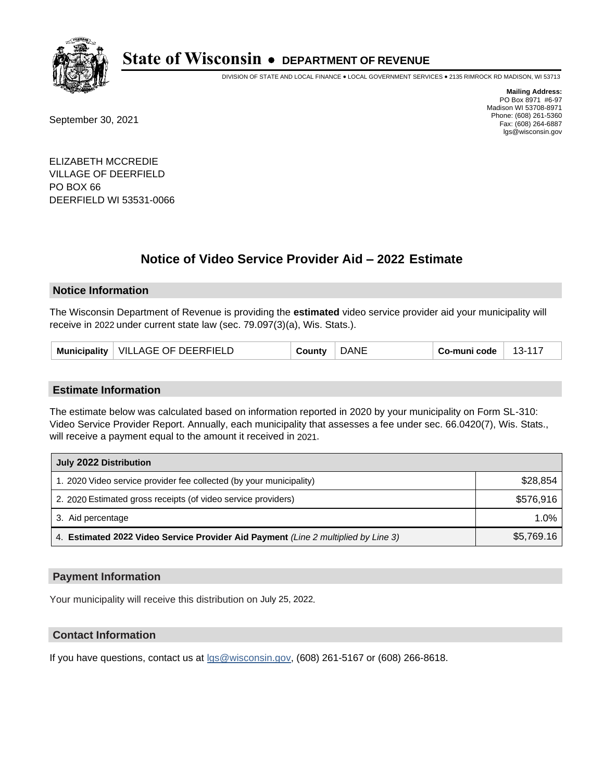

DIVISION OF STATE AND LOCAL FINANCE • LOCAL GOVERNMENT SERVICES • 2135 RIMROCK RD MADISON, WI 53713

September 30, 2021

**Mailing Address:** PO Box 8971 #6-97 Madison WI 53708-8971 Phone: (608) 261-5360 Fax: (608) 264-6887 lgs@wisconsin.gov

ELIZABETH MCCREDIE VILLAGE OF DEERFIELD PO BOX 66 DEERFIELD WI 53531-0066

# **Notice of Video Service Provider Aid - 2022 Estimate**

### **Notice Information**

The Wisconsin Department of Revenue is providing the **estimated** video service provider aid your municipality will receive in 2022 under current state law (sec. 79.097(3)(a), Wis. Stats.).

| $13 - 11^{-7}$<br>Co-muni code<br>County | Municipality   VILLAGE OF DEERFIELD | DANE |  |
|------------------------------------------|-------------------------------------|------|--|
|------------------------------------------|-------------------------------------|------|--|

#### **Estimate Information**

The estimate below was calculated based on information reported in 2020 by your municipality on Form SL-310: Video Service Provider Report. Annually, each municipality that assesses a fee under sec. 66.0420(7), Wis. Stats., will receive a payment equal to the amount it received in 2021.

| July 2022 Distribution                                                             |            |  |
|------------------------------------------------------------------------------------|------------|--|
| 1. 2020 Video service provider fee collected (by your municipality)                | \$28,854   |  |
| 2. 2020 Estimated gross receipts (of video service providers)                      | \$576,916  |  |
| 3. Aid percentage                                                                  | $1.0\%$    |  |
| 4. Estimated 2022 Video Service Provider Aid Payment (Line 2 multiplied by Line 3) | \$5,769.16 |  |

#### **Payment Information**

Your municipality will receive this distribution on July 25, 2022.

## **Contact Information**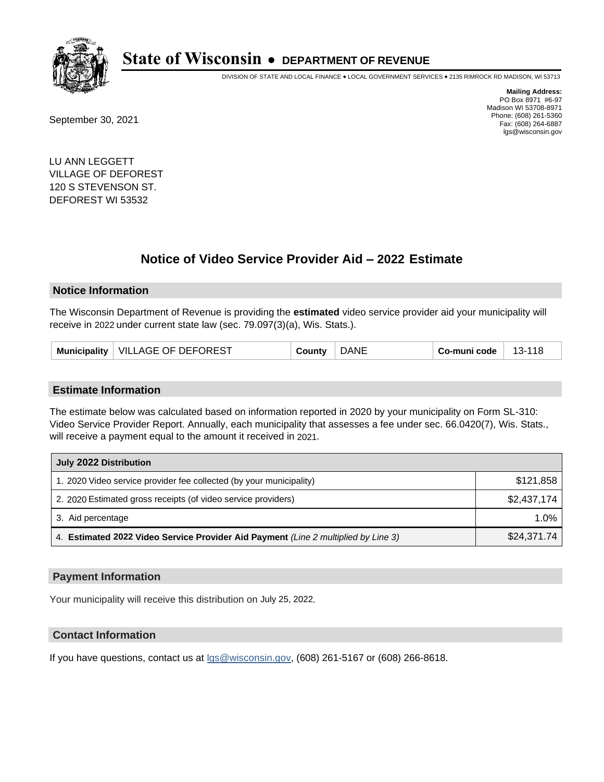

DIVISION OF STATE AND LOCAL FINANCE • LOCAL GOVERNMENT SERVICES • 2135 RIMROCK RD MADISON, WI 53713

September 30, 2021

**Mailing Address:** PO Box 8971 #6-97 Madison WI 53708-8971 Phone: (608) 261-5360 Fax: (608) 264-6887 lgs@wisconsin.gov

LU ANN LEGGETT VILLAGE OF DEFOREST 120 S STEVENSON ST. DEFOREST WI 53532

# **Notice of Video Service Provider Aid - 2022 Estimate**

#### **Notice Information**

The Wisconsin Department of Revenue is providing the **estimated** video service provider aid your municipality will receive in 2022 under current state law (sec. 79.097(3)(a), Wis. Stats.).

| <b>DANE</b><br>Municipality   VILLAGE OF DEFOREST<br>County | Co-muni code<br>- 13-118 |
|-------------------------------------------------------------|--------------------------|
|-------------------------------------------------------------|--------------------------|

#### **Estimate Information**

The estimate below was calculated based on information reported in 2020 by your municipality on Form SL-310: Video Service Provider Report. Annually, each municipality that assesses a fee under sec. 66.0420(7), Wis. Stats., will receive a payment equal to the amount it received in 2021.

| July 2022 Distribution                                                             |             |
|------------------------------------------------------------------------------------|-------------|
| 1. 2020 Video service provider fee collected (by your municipality)                | \$121,858   |
| 2. 2020 Estimated gross receipts (of video service providers)                      | \$2,437,174 |
| 3. Aid percentage                                                                  | 1.0%        |
| 4. Estimated 2022 Video Service Provider Aid Payment (Line 2 multiplied by Line 3) | \$24,371.74 |

#### **Payment Information**

Your municipality will receive this distribution on July 25, 2022.

## **Contact Information**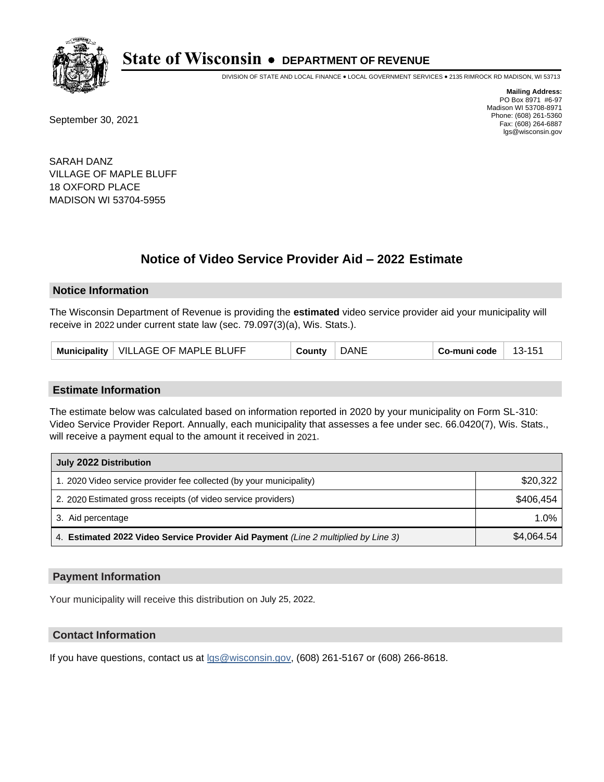

DIVISION OF STATE AND LOCAL FINANCE • LOCAL GOVERNMENT SERVICES • 2135 RIMROCK RD MADISON, WI 53713

September 30, 2021

**Mailing Address:** PO Box 8971 #6-97 Madison WI 53708-8971 Phone: (608) 261-5360 Fax: (608) 264-6887 lgs@wisconsin.gov

SARAH DANZ VILLAGE OF MAPLE BLUFF 18 OXFORD PLACE MADISON WI 53704-5955

# **Notice of Video Service Provider Aid - 2022 Estimate**

### **Notice Information**

The Wisconsin Department of Revenue is providing the **estimated** video service provider aid your municipality will receive in 2022 under current state law (sec. 79.097(3)(a), Wis. Stats.).

| VILLAGE OF MAPLE BLUFF<br>Municipality | County | <b>DANE</b> | Co-muni code | 13-151 |
|----------------------------------------|--------|-------------|--------------|--------|
|----------------------------------------|--------|-------------|--------------|--------|

#### **Estimate Information**

The estimate below was calculated based on information reported in 2020 by your municipality on Form SL-310: Video Service Provider Report. Annually, each municipality that assesses a fee under sec. 66.0420(7), Wis. Stats., will receive a payment equal to the amount it received in 2021.

| July 2022 Distribution                                                             |            |  |  |
|------------------------------------------------------------------------------------|------------|--|--|
| 1. 2020 Video service provider fee collected (by your municipality)                | \$20,322   |  |  |
| 2. 2020 Estimated gross receipts (of video service providers)                      | \$406.454  |  |  |
| 3. Aid percentage                                                                  | 1.0%       |  |  |
| 4. Estimated 2022 Video Service Provider Aid Payment (Line 2 multiplied by Line 3) | \$4,064.54 |  |  |

#### **Payment Information**

Your municipality will receive this distribution on July 25, 2022.

## **Contact Information**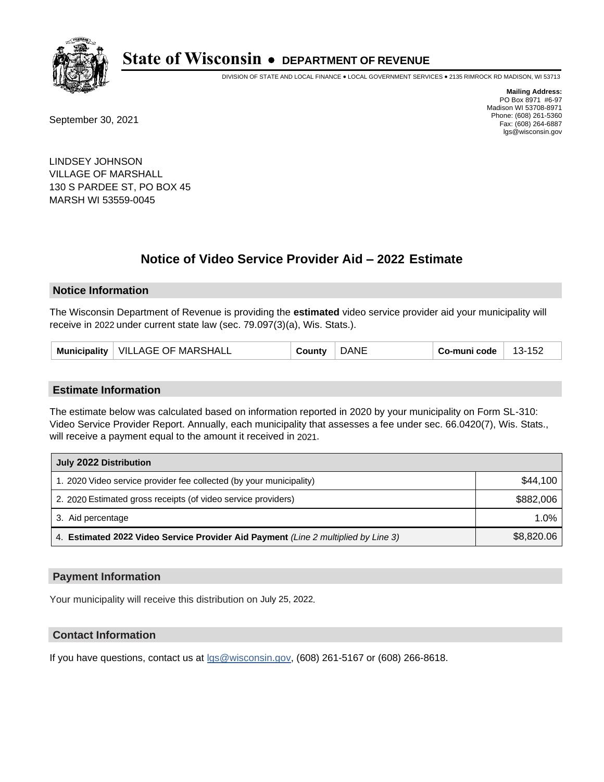

DIVISION OF STATE AND LOCAL FINANCE • LOCAL GOVERNMENT SERVICES • 2135 RIMROCK RD MADISON, WI 53713

September 30, 2021

**Mailing Address:** PO Box 8971 #6-97 Madison WI 53708-8971 Phone: (608) 261-5360 Fax: (608) 264-6887 lgs@wisconsin.gov

LINDSEY JOHNSON VILLAGE OF MARSHALL 130 S PARDEE ST, PO BOX 45 MARSH WI 53559-0045

# **Notice of Video Service Provider Aid - 2022 Estimate**

#### **Notice Information**

The Wisconsin Department of Revenue is providing the **estimated** video service provider aid your municipality will receive in 2022 under current state law (sec. 79.097(3)(a), Wis. Stats.).

| <b>MARSHALL</b><br><b>VILLAGE OF</b><br>.NF<br><b>Municipality</b><br>152<br>. 1 km<br>`ountv<br>-muni code<br>. |
|------------------------------------------------------------------------------------------------------------------|
|------------------------------------------------------------------------------------------------------------------|

#### **Estimate Information**

The estimate below was calculated based on information reported in 2020 by your municipality on Form SL-310: Video Service Provider Report. Annually, each municipality that assesses a fee under sec. 66.0420(7), Wis. Stats., will receive a payment equal to the amount it received in 2021.

| July 2022 Distribution                                                             |            |  |  |
|------------------------------------------------------------------------------------|------------|--|--|
| 1. 2020 Video service provider fee collected (by your municipality)                | \$44.100   |  |  |
| 2. 2020 Estimated gross receipts (of video service providers)                      | \$882,006  |  |  |
| 3. Aid percentage                                                                  | 1.0%       |  |  |
| 4. Estimated 2022 Video Service Provider Aid Payment (Line 2 multiplied by Line 3) | \$8,820.06 |  |  |

#### **Payment Information**

Your municipality will receive this distribution on July 25, 2022.

## **Contact Information**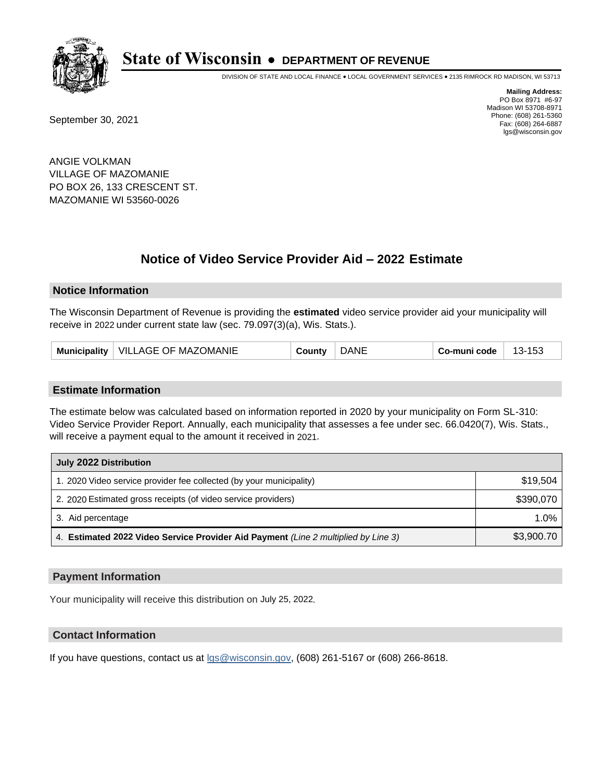

DIVISION OF STATE AND LOCAL FINANCE • LOCAL GOVERNMENT SERVICES • 2135 RIMROCK RD MADISON, WI 53713

September 30, 2021

**Mailing Address:** PO Box 8971 #6-97 Madison WI 53708-8971 Phone: (608) 261-5360 Fax: (608) 264-6887 lgs@wisconsin.gov

ANGIE VOLKMAN VILLAGE OF MAZOMANIE PO BOX 26, 133 CRESCENT ST. MAZOMANIE WI 53560-0026

# **Notice of Video Service Provider Aid - 2022 Estimate**

#### **Notice Information**

The Wisconsin Department of Revenue is providing the **estimated** video service provider aid your municipality will receive in 2022 under current state law (sec. 79.097(3)(a), Wis. Stats.).

| Municipality   VILLAGE OF MAZOMANIE | County | <b>DANE</b> | Co-muni code | 13-153 |
|-------------------------------------|--------|-------------|--------------|--------|
|-------------------------------------|--------|-------------|--------------|--------|

#### **Estimate Information**

The estimate below was calculated based on information reported in 2020 by your municipality on Form SL-310: Video Service Provider Report. Annually, each municipality that assesses a fee under sec. 66.0420(7), Wis. Stats., will receive a payment equal to the amount it received in 2021.

| July 2022 Distribution                                                             |            |  |  |
|------------------------------------------------------------------------------------|------------|--|--|
| 1. 2020 Video service provider fee collected (by your municipality)                | \$19.504   |  |  |
| 2. 2020 Estimated gross receipts (of video service providers)                      | \$390.070  |  |  |
| 3. Aid percentage                                                                  | $1.0\%$    |  |  |
| 4. Estimated 2022 Video Service Provider Aid Payment (Line 2 multiplied by Line 3) | \$3,900.70 |  |  |

#### **Payment Information**

Your municipality will receive this distribution on July 25, 2022.

## **Contact Information**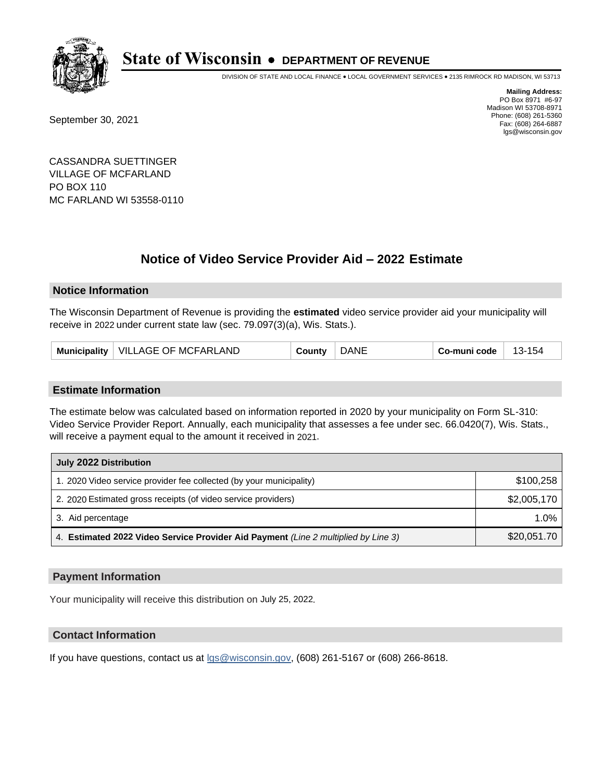

DIVISION OF STATE AND LOCAL FINANCE • LOCAL GOVERNMENT SERVICES • 2135 RIMROCK RD MADISON, WI 53713

September 30, 2021

**Mailing Address:** PO Box 8971 #6-97 Madison WI 53708-8971 Phone: (608) 261-5360 Fax: (608) 264-6887 lgs@wisconsin.gov

CASSANDRA SUETTINGER VILLAGE OF MCFARLAND PO BOX 110 MC FARLAND WI 53558-0110

# **Notice of Video Service Provider Aid - 2022 Estimate**

### **Notice Information**

The Wisconsin Department of Revenue is providing the **estimated** video service provider aid your municipality will receive in 2022 under current state law (sec. 79.097(3)(a), Wis. Stats.).

#### **Estimate Information**

The estimate below was calculated based on information reported in 2020 by your municipality on Form SL-310: Video Service Provider Report. Annually, each municipality that assesses a fee under sec. 66.0420(7), Wis. Stats., will receive a payment equal to the amount it received in 2021.

| July 2022 Distribution                                                             |             |  |  |
|------------------------------------------------------------------------------------|-------------|--|--|
| 1. 2020 Video service provider fee collected (by your municipality)                | \$100,258   |  |  |
| 2. 2020 Estimated gross receipts (of video service providers)                      | \$2,005,170 |  |  |
| 3. Aid percentage                                                                  | 1.0%        |  |  |
| 4. Estimated 2022 Video Service Provider Aid Payment (Line 2 multiplied by Line 3) | \$20,051.70 |  |  |

#### **Payment Information**

Your municipality will receive this distribution on July 25, 2022.

## **Contact Information**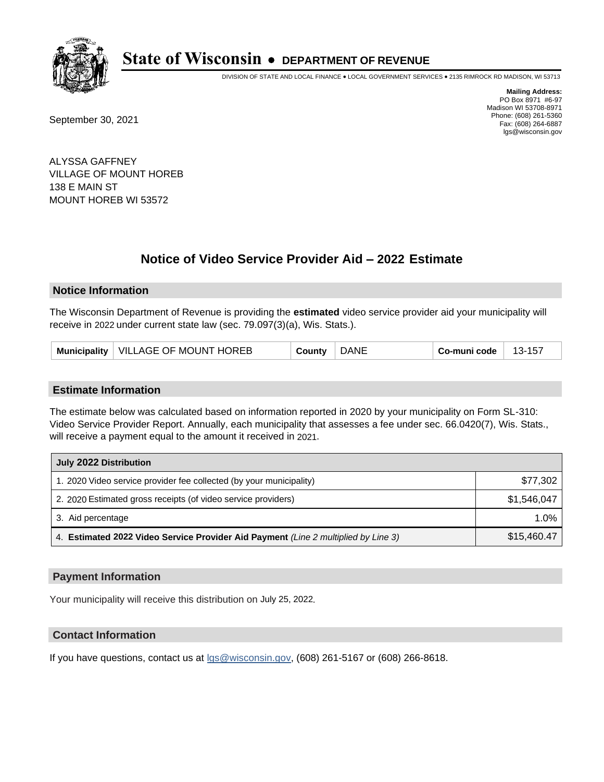

DIVISION OF STATE AND LOCAL FINANCE • LOCAL GOVERNMENT SERVICES • 2135 RIMROCK RD MADISON, WI 53713

September 30, 2021

**Mailing Address:** PO Box 8971 #6-97 Madison WI 53708-8971 Phone: (608) 261-5360 Fax: (608) 264-6887 lgs@wisconsin.gov

ALYSSA GAFFNEY VILLAGE OF MOUNT HOREB 138 E MAIN ST MOUNT HOREB WI 53572

# **Notice of Video Service Provider Aid - 2022 Estimate**

#### **Notice Information**

The Wisconsin Department of Revenue is providing the **estimated** video service provider aid your municipality will receive in 2022 under current state law (sec. 79.097(3)(a), Wis. Stats.).

| VILLAGE OF MOUNT HOREB<br><b>Municipality</b> | County | <b>DANE</b> | Co-muni code | 13-157 |
|-----------------------------------------------|--------|-------------|--------------|--------|
|-----------------------------------------------|--------|-------------|--------------|--------|

#### **Estimate Information**

The estimate below was calculated based on information reported in 2020 by your municipality on Form SL-310: Video Service Provider Report. Annually, each municipality that assesses a fee under sec. 66.0420(7), Wis. Stats., will receive a payment equal to the amount it received in 2021.

| July 2022 Distribution                                                             |             |  |  |
|------------------------------------------------------------------------------------|-------------|--|--|
| 1. 2020 Video service provider fee collected (by your municipality)                | \$77,302    |  |  |
| 2. 2020 Estimated gross receipts (of video service providers)                      | \$1.546.047 |  |  |
| 3. Aid percentage                                                                  | 1.0%        |  |  |
| 4. Estimated 2022 Video Service Provider Aid Payment (Line 2 multiplied by Line 3) | \$15,460.47 |  |  |

#### **Payment Information**

Your municipality will receive this distribution on July 25, 2022.

## **Contact Information**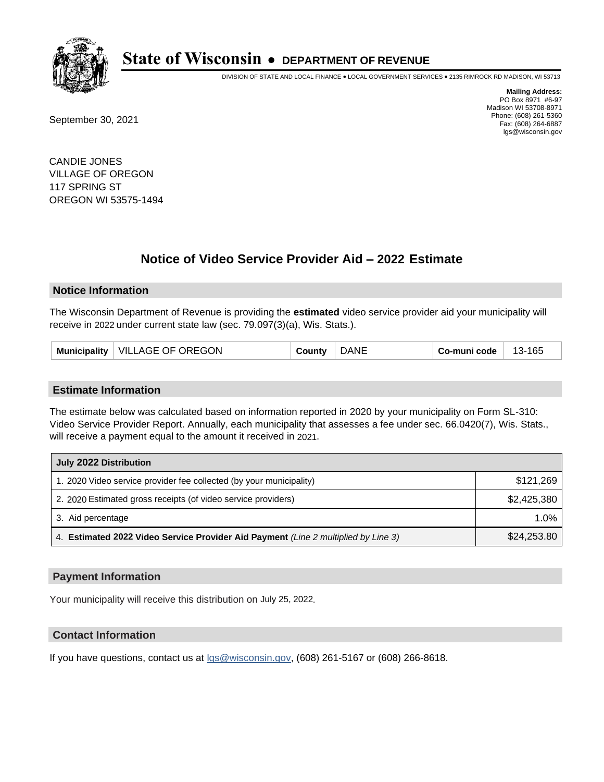

DIVISION OF STATE AND LOCAL FINANCE • LOCAL GOVERNMENT SERVICES • 2135 RIMROCK RD MADISON, WI 53713

September 30, 2021

**Mailing Address:** PO Box 8971 #6-97 Madison WI 53708-8971 Phone: (608) 261-5360 Fax: (608) 264-6887 lgs@wisconsin.gov

CANDIE JONES VILLAGE OF OREGON 117 SPRING ST OREGON WI 53575-1494

# **Notice of Video Service Provider Aid - 2022 Estimate**

#### **Notice Information**

The Wisconsin Department of Revenue is providing the **estimated** video service provider aid your municipality will receive in 2022 under current state law (sec. 79.097(3)(a), Wis. Stats.).

| VILLAGE OF OREGON<br>Municipality | Count∨ | DANE | Co-muni code | 13-165 |
|-----------------------------------|--------|------|--------------|--------|
|-----------------------------------|--------|------|--------------|--------|

#### **Estimate Information**

The estimate below was calculated based on information reported in 2020 by your municipality on Form SL-310: Video Service Provider Report. Annually, each municipality that assesses a fee under sec. 66.0420(7), Wis. Stats., will receive a payment equal to the amount it received in 2021.

| July 2022 Distribution                                                             |             |  |
|------------------------------------------------------------------------------------|-------------|--|
| 1. 2020 Video service provider fee collected (by your municipality)                | \$121,269   |  |
| 2. 2020 Estimated gross receipts (of video service providers)                      | \$2,425,380 |  |
| 3. Aid percentage                                                                  | $1.0\%$     |  |
| 4. Estimated 2022 Video Service Provider Aid Payment (Line 2 multiplied by Line 3) | \$24,253.80 |  |

#### **Payment Information**

Your municipality will receive this distribution on July 25, 2022.

## **Contact Information**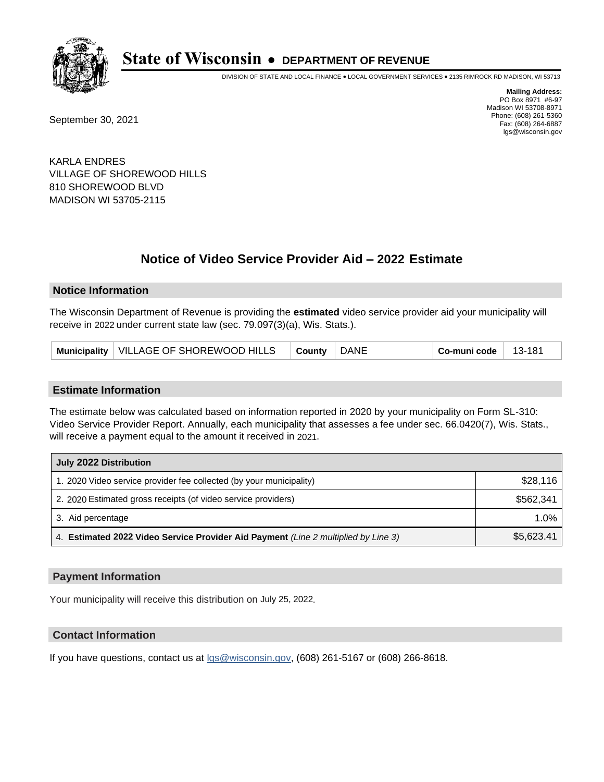

DIVISION OF STATE AND LOCAL FINANCE • LOCAL GOVERNMENT SERVICES • 2135 RIMROCK RD MADISON, WI 53713

September 30, 2021

**Mailing Address:** PO Box 8971 #6-97 Madison WI 53708-8971 Phone: (608) 261-5360 Fax: (608) 264-6887 lgs@wisconsin.gov

KARLA ENDRES VILLAGE OF SHOREWOOD HILLS 810 SHOREWOOD BLVD MADISON WI 53705-2115

# **Notice of Video Service Provider Aid - 2022 Estimate**

#### **Notice Information**

The Wisconsin Department of Revenue is providing the **estimated** video service provider aid your municipality will receive in 2022 under current state law (sec. 79.097(3)(a), Wis. Stats.).

| <b>DANE</b><br>Municipality   VILLAGE OF SHOREWOOD HILLS<br>County | Co-muni code<br>13-181 |  |
|--------------------------------------------------------------------|------------------------|--|
|--------------------------------------------------------------------|------------------------|--|

#### **Estimate Information**

The estimate below was calculated based on information reported in 2020 by your municipality on Form SL-310: Video Service Provider Report. Annually, each municipality that assesses a fee under sec. 66.0420(7), Wis. Stats., will receive a payment equal to the amount it received in 2021.

| July 2022 Distribution                                                             |            |  |
|------------------------------------------------------------------------------------|------------|--|
| 1. 2020 Video service provider fee collected (by your municipality)                | \$28,116   |  |
| 2. 2020 Estimated gross receipts (of video service providers)                      | \$562.341  |  |
| 3. Aid percentage                                                                  | 1.0%       |  |
| 4. Estimated 2022 Video Service Provider Aid Payment (Line 2 multiplied by Line 3) | \$5,623.41 |  |

#### **Payment Information**

Your municipality will receive this distribution on July 25, 2022.

## **Contact Information**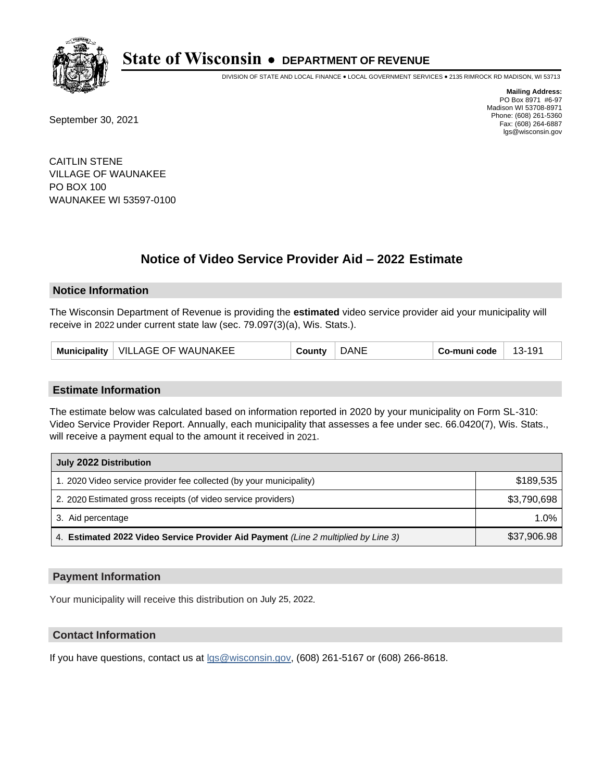

DIVISION OF STATE AND LOCAL FINANCE • LOCAL GOVERNMENT SERVICES • 2135 RIMROCK RD MADISON, WI 53713

September 30, 2021

**Mailing Address:** PO Box 8971 #6-97 Madison WI 53708-8971 Phone: (608) 261-5360 Fax: (608) 264-6887 lgs@wisconsin.gov

CAITLIN STENE VILLAGE OF WAUNAKEE PO BOX 100 WAUNAKEE WI 53597-0100

# **Notice of Video Service Provider Aid - 2022 Estimate**

### **Notice Information**

The Wisconsin Department of Revenue is providing the **estimated** video service provider aid your municipality will receive in 2022 under current state law (sec. 79.097(3)(a), Wis. Stats.).

| VILLAGE OF WAUNAKEE<br>Municipality | County | <b>DANE</b> | Co-muni code | 191-<br>$13-$ |
|-------------------------------------|--------|-------------|--------------|---------------|
|-------------------------------------|--------|-------------|--------------|---------------|

#### **Estimate Information**

The estimate below was calculated based on information reported in 2020 by your municipality on Form SL-310: Video Service Provider Report. Annually, each municipality that assesses a fee under sec. 66.0420(7), Wis. Stats., will receive a payment equal to the amount it received in 2021.

| July 2022 Distribution                                                             |             |  |
|------------------------------------------------------------------------------------|-------------|--|
| 1. 2020 Video service provider fee collected (by your municipality)                | \$189,535   |  |
| 2. 2020 Estimated gross receipts (of video service providers)                      | \$3,790,698 |  |
| 3. Aid percentage                                                                  | 1.0%        |  |
| 4. Estimated 2022 Video Service Provider Aid Payment (Line 2 multiplied by Line 3) | \$37,906.98 |  |

#### **Payment Information**

Your municipality will receive this distribution on July 25, 2022.

## **Contact Information**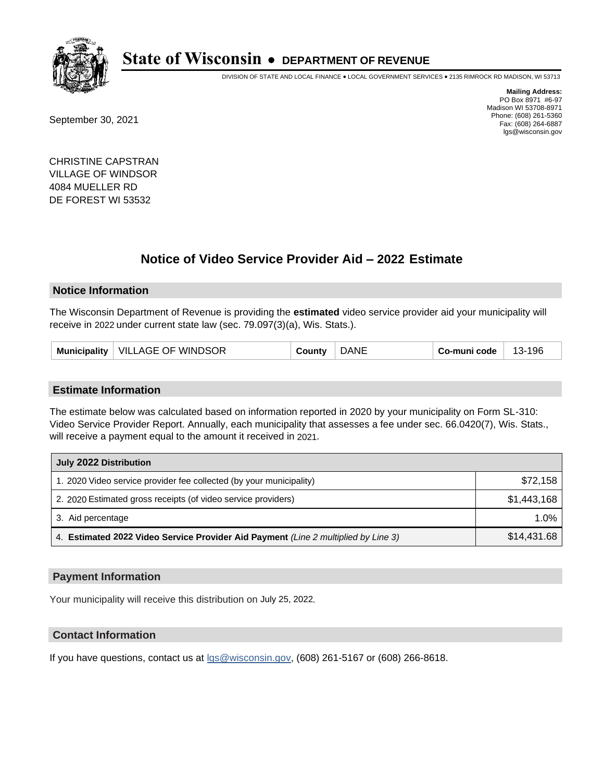

DIVISION OF STATE AND LOCAL FINANCE • LOCAL GOVERNMENT SERVICES • 2135 RIMROCK RD MADISON, WI 53713

September 30, 2021

**Mailing Address:** PO Box 8971 #6-97 Madison WI 53708-8971 Phone: (608) 261-5360 Fax: (608) 264-6887 lgs@wisconsin.gov

CHRISTINE CAPSTRAN VILLAGE OF WINDSOR 4084 MUELLER RD DE FOREST WI 53532

# **Notice of Video Service Provider Aid - 2022 Estimate**

### **Notice Information**

The Wisconsin Department of Revenue is providing the **estimated** video service provider aid your municipality will receive in 2022 under current state law (sec. 79.097(3)(a), Wis. Stats.).

| Municipality   VILLAGE OF WINDSOR | Count∨ | <b>DANE</b> | Co-muni code | 13-196 |
|-----------------------------------|--------|-------------|--------------|--------|
|-----------------------------------|--------|-------------|--------------|--------|

#### **Estimate Information**

The estimate below was calculated based on information reported in 2020 by your municipality on Form SL-310: Video Service Provider Report. Annually, each municipality that assesses a fee under sec. 66.0420(7), Wis. Stats., will receive a payment equal to the amount it received in 2021.

| July 2022 Distribution                                                             |             |  |  |  |
|------------------------------------------------------------------------------------|-------------|--|--|--|
| 1. 2020 Video service provider fee collected (by your municipality)                | \$72.158    |  |  |  |
| 2. 2020 Estimated gross receipts (of video service providers)                      | \$1.443.168 |  |  |  |
| 3. Aid percentage                                                                  | 1.0%        |  |  |  |
| 4. Estimated 2022 Video Service Provider Aid Payment (Line 2 multiplied by Line 3) | \$14,431.68 |  |  |  |

#### **Payment Information**

Your municipality will receive this distribution on July 25, 2022.

## **Contact Information**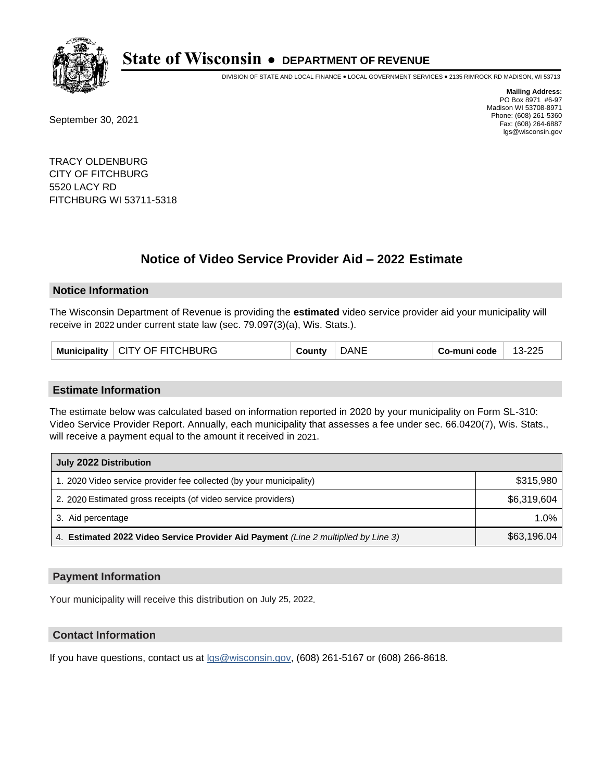

DIVISION OF STATE AND LOCAL FINANCE • LOCAL GOVERNMENT SERVICES • 2135 RIMROCK RD MADISON, WI 53713

September 30, 2021

**Mailing Address:** PO Box 8971 #6-97 Madison WI 53708-8971 Phone: (608) 261-5360 Fax: (608) 264-6887 lgs@wisconsin.gov

TRACY OLDENBURG CITY OF FITCHBURG 5520 LACY RD FITCHBURG WI 53711-5318

# **Notice of Video Service Provider Aid - 2022 Estimate**

#### **Notice Information**

The Wisconsin Department of Revenue is providing the **estimated** video service provider aid your municipality will receive in 2022 under current state law (sec. 79.097(3)(a), Wis. Stats.).

|  | Municipality   CITY OF FITCHBURG | County | <b>DANE</b> | Co-muni code | 13-225 |
|--|----------------------------------|--------|-------------|--------------|--------|
|--|----------------------------------|--------|-------------|--------------|--------|

#### **Estimate Information**

The estimate below was calculated based on information reported in 2020 by your municipality on Form SL-310: Video Service Provider Report. Annually, each municipality that assesses a fee under sec. 66.0420(7), Wis. Stats., will receive a payment equal to the amount it received in 2021.

| July 2022 Distribution                                                             |             |  |  |  |
|------------------------------------------------------------------------------------|-------------|--|--|--|
| 1. 2020 Video service provider fee collected (by your municipality)                | \$315,980   |  |  |  |
| 2. 2020 Estimated gross receipts (of video service providers)                      | \$6,319,604 |  |  |  |
| 3. Aid percentage                                                                  | 1.0%        |  |  |  |
| 4. Estimated 2022 Video Service Provider Aid Payment (Line 2 multiplied by Line 3) | \$63,196.04 |  |  |  |

#### **Payment Information**

Your municipality will receive this distribution on July 25, 2022.

### **Contact Information**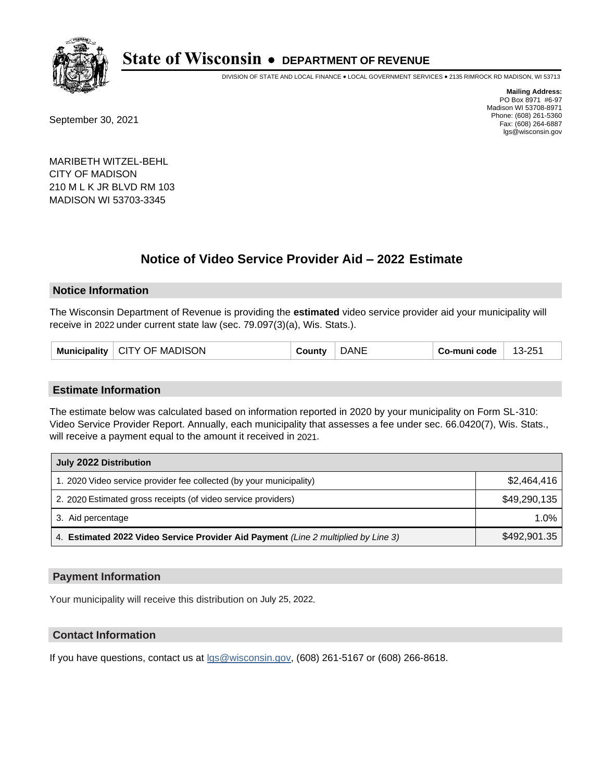

DIVISION OF STATE AND LOCAL FINANCE • LOCAL GOVERNMENT SERVICES • 2135 RIMROCK RD MADISON, WI 53713

September 30, 2021

**Mailing Address:** PO Box 8971 #6-97 Madison WI 53708-8971 Phone: (608) 261-5360 Fax: (608) 264-6887 lgs@wisconsin.gov

MARIBETH WITZEL-BEHL CITY OF MADISON 210 M L K JR BLVD RM 103 MADISON WI 53703-3345

# **Notice of Video Service Provider Aid - 2022 Estimate**

#### **Notice Information**

The Wisconsin Department of Revenue is providing the **estimated** video service provider aid your municipality will receive in 2022 under current state law (sec. 79.097(3)(a), Wis. Stats.).

|  | Municipality   CITY OF MADISON | County | <b>DANE</b> | Co-muni code | 13-251 |
|--|--------------------------------|--------|-------------|--------------|--------|
|--|--------------------------------|--------|-------------|--------------|--------|

#### **Estimate Information**

The estimate below was calculated based on information reported in 2020 by your municipality on Form SL-310: Video Service Provider Report. Annually, each municipality that assesses a fee under sec. 66.0420(7), Wis. Stats., will receive a payment equal to the amount it received in 2021.

| July 2022 Distribution                                                             |              |  |  |  |
|------------------------------------------------------------------------------------|--------------|--|--|--|
| 1. 2020 Video service provider fee collected (by your municipality)                | \$2.464.416  |  |  |  |
| 2. 2020 Estimated gross receipts (of video service providers)                      | \$49,290,135 |  |  |  |
| 3. Aid percentage                                                                  | $1.0\%$      |  |  |  |
| 4. Estimated 2022 Video Service Provider Aid Payment (Line 2 multiplied by Line 3) | \$492,901.35 |  |  |  |

#### **Payment Information**

Your municipality will receive this distribution on July 25, 2022.

## **Contact Information**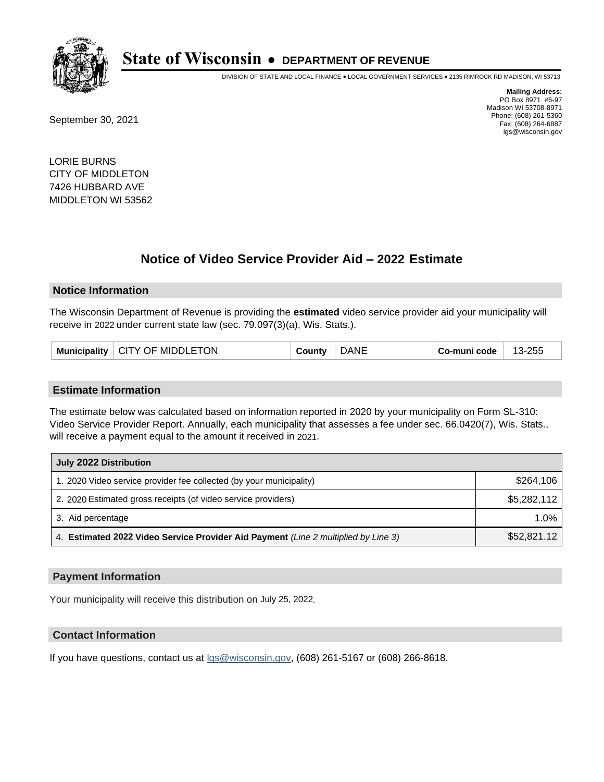

DIVISION OF STATE AND LOCAL FINANCE • LOCAL GOVERNMENT SERVICES • 2135 RIMROCK RD MADISON, WI 53713

September 30, 2021

**Mailing Address:** PO Box 8971 #6-97 Madison WI 53708-8971 Phone: (608) 261-5360 Fax: (608) 264-6887 lgs@wisconsin.gov

LORIE BURNS CITY OF MIDDLETON 7426 HUBBARD AVE MIDDLETON WI 53562

# **Notice of Video Service Provider Aid - 2022 Estimate**

#### **Notice Information**

The Wisconsin Department of Revenue is providing the **estimated** video service provider aid your municipality will receive in 2022 under current state law (sec. 79.097(3)(a), Wis. Stats.).

|  | Municipality   CITY OF MIDDLETON | County | <b>DANE</b> | Co-muni code | 13-255 |
|--|----------------------------------|--------|-------------|--------------|--------|
|--|----------------------------------|--------|-------------|--------------|--------|

#### **Estimate Information**

The estimate below was calculated based on information reported in 2020 by your municipality on Form SL-310: Video Service Provider Report. Annually, each municipality that assesses a fee under sec. 66.0420(7), Wis. Stats., will receive a payment equal to the amount it received in 2021.

| July 2022 Distribution                                                             |             |
|------------------------------------------------------------------------------------|-------------|
| 1. 2020 Video service provider fee collected (by your municipality)                | \$264.106   |
| 2. 2020 Estimated gross receipts (of video service providers)                      | \$5,282,112 |
| 3. Aid percentage                                                                  | $1.0\%$     |
| 4. Estimated 2022 Video Service Provider Aid Payment (Line 2 multiplied by Line 3) | \$52,821.12 |

#### **Payment Information**

Your municipality will receive this distribution on July 25, 2022.

## **Contact Information**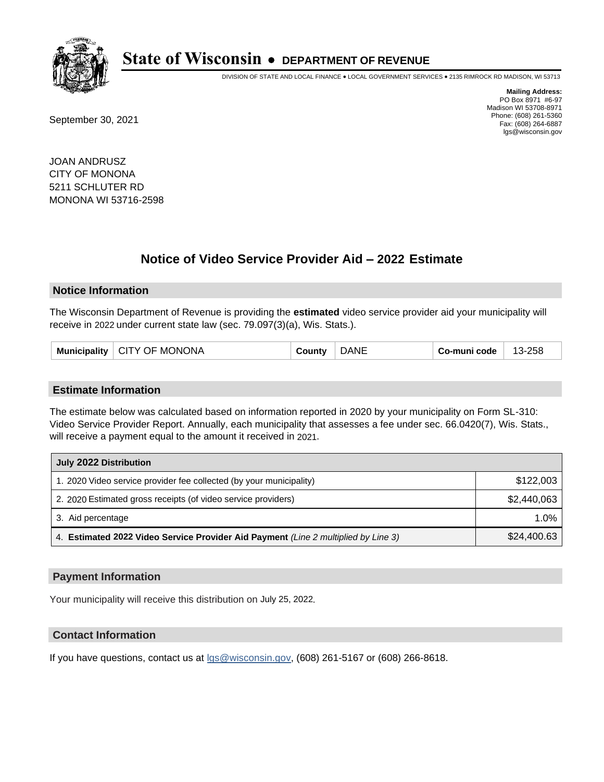

DIVISION OF STATE AND LOCAL FINANCE • LOCAL GOVERNMENT SERVICES • 2135 RIMROCK RD MADISON, WI 53713

September 30, 2021

**Mailing Address:** PO Box 8971 #6-97 Madison WI 53708-8971 Phone: (608) 261-5360 Fax: (608) 264-6887 lgs@wisconsin.gov

JOAN ANDRUSZ CITY OF MONONA 5211 SCHLUTER RD MONONA WI 53716-2598

# **Notice of Video Service Provider Aid - 2022 Estimate**

#### **Notice Information**

The Wisconsin Department of Revenue is providing the **estimated** video service provider aid your municipality will receive in 2022 under current state law (sec. 79.097(3)(a), Wis. Stats.).

|  | Municipality   CITY OF MONONA | County | <b>ANE</b> | Co-muni code | 13-258 |
|--|-------------------------------|--------|------------|--------------|--------|
|--|-------------------------------|--------|------------|--------------|--------|

#### **Estimate Information**

The estimate below was calculated based on information reported in 2020 by your municipality on Form SL-310: Video Service Provider Report. Annually, each municipality that assesses a fee under sec. 66.0420(7), Wis. Stats., will receive a payment equal to the amount it received in 2021.

| July 2022 Distribution                                                             |             |  |  |  |
|------------------------------------------------------------------------------------|-------------|--|--|--|
| 1. 2020 Video service provider fee collected (by your municipality)                | \$122,003   |  |  |  |
| 2. 2020 Estimated gross receipts (of video service providers)                      | \$2,440,063 |  |  |  |
| 3. Aid percentage                                                                  | 1.0%        |  |  |  |
| 4. Estimated 2022 Video Service Provider Aid Payment (Line 2 multiplied by Line 3) | \$24,400.63 |  |  |  |

#### **Payment Information**

Your municipality will receive this distribution on July 25, 2022.

## **Contact Information**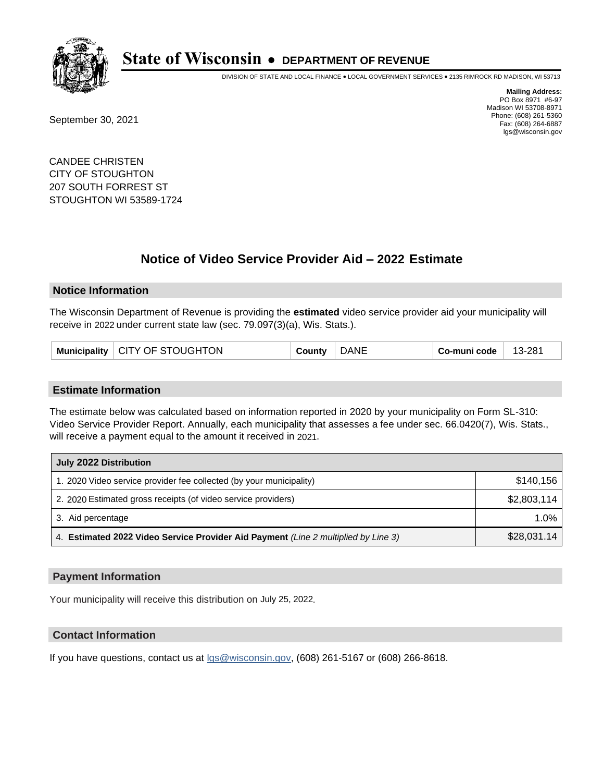

DIVISION OF STATE AND LOCAL FINANCE • LOCAL GOVERNMENT SERVICES • 2135 RIMROCK RD MADISON, WI 53713

September 30, 2021

**Mailing Address:** PO Box 8971 #6-97 Madison WI 53708-8971 Phone: (608) 261-5360 Fax: (608) 264-6887 lgs@wisconsin.gov

CANDEE CHRISTEN CITY OF STOUGHTON 207 SOUTH FORREST ST STOUGHTON WI 53589-1724

# **Notice of Video Service Provider Aid - 2022 Estimate**

#### **Notice Information**

The Wisconsin Department of Revenue is providing the **estimated** video service provider aid your municipality will receive in 2022 under current state law (sec. 79.097(3)(a), Wis. Stats.).

| Municipality   CITY OF STOUGHTON |  | County | <b>DANE</b> | ⊺ Co-muni code $^+$ | 13-281 |
|----------------------------------|--|--------|-------------|---------------------|--------|
|----------------------------------|--|--------|-------------|---------------------|--------|

#### **Estimate Information**

The estimate below was calculated based on information reported in 2020 by your municipality on Form SL-310: Video Service Provider Report. Annually, each municipality that assesses a fee under sec. 66.0420(7), Wis. Stats., will receive a payment equal to the amount it received in 2021.

| July 2022 Distribution                                                             |             |  |  |  |
|------------------------------------------------------------------------------------|-------------|--|--|--|
| 1. 2020 Video service provider fee collected (by your municipality)                | \$140.156   |  |  |  |
| 2. 2020 Estimated gross receipts (of video service providers)                      | \$2,803,114 |  |  |  |
| 3. Aid percentage                                                                  | $1.0\%$     |  |  |  |
| 4. Estimated 2022 Video Service Provider Aid Payment (Line 2 multiplied by Line 3) | \$28,031.14 |  |  |  |

#### **Payment Information**

Your municipality will receive this distribution on July 25, 2022.

## **Contact Information**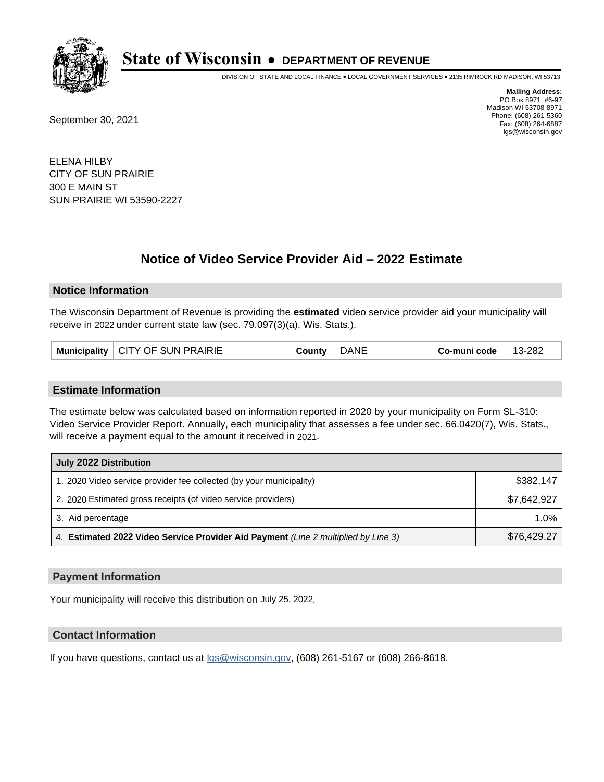

DIVISION OF STATE AND LOCAL FINANCE • LOCAL GOVERNMENT SERVICES • 2135 RIMROCK RD MADISON, WI 53713

September 30, 2021

**Mailing Address:** PO Box 8971 #6-97 Madison WI 53708-8971 Phone: (608) 261-5360 Fax: (608) 264-6887 lgs@wisconsin.gov

ELENA HILBY CITY OF SUN PRAIRIE 300 E MAIN ST SUN PRAIRIE WI 53590-2227

# **Notice of Video Service Provider Aid - 2022 Estimate**

#### **Notice Information**

The Wisconsin Department of Revenue is providing the **estimated** video service provider aid your municipality will receive in 2022 under current state law (sec. 79.097(3)(a), Wis. Stats.).

| Municipality | CITY OF SUN PRAIRIE | `ountv | λNΓ | o-muni codeٽ | $-282$<br>$13 - 1$ |
|--------------|---------------------|--------|-----|--------------|--------------------|
|--------------|---------------------|--------|-----|--------------|--------------------|

#### **Estimate Information**

The estimate below was calculated based on information reported in 2020 by your municipality on Form SL-310: Video Service Provider Report. Annually, each municipality that assesses a fee under sec. 66.0420(7), Wis. Stats., will receive a payment equal to the amount it received in 2021.

| July 2022 Distribution                                                             |             |  |  |  |
|------------------------------------------------------------------------------------|-------------|--|--|--|
| 1. 2020 Video service provider fee collected (by your municipality)                | \$382.147   |  |  |  |
| 2. 2020 Estimated gross receipts (of video service providers)                      | \$7.642.927 |  |  |  |
| 3. Aid percentage                                                                  | 1.0%        |  |  |  |
| 4. Estimated 2022 Video Service Provider Aid Payment (Line 2 multiplied by Line 3) | \$76,429.27 |  |  |  |

#### **Payment Information**

Your municipality will receive this distribution on July 25, 2022.

## **Contact Information**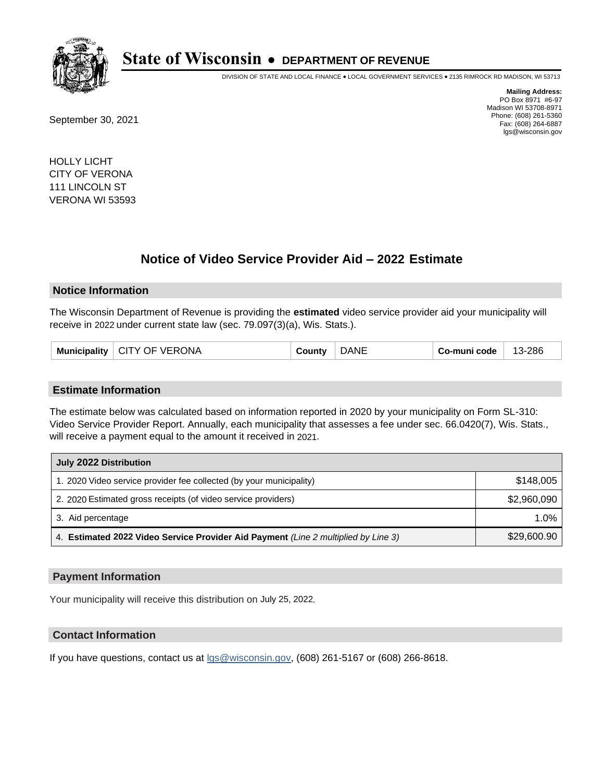

DIVISION OF STATE AND LOCAL FINANCE • LOCAL GOVERNMENT SERVICES • 2135 RIMROCK RD MADISON, WI 53713

September 30, 2021

**Mailing Address:** PO Box 8971 #6-97 Madison WI 53708-8971 Phone: (608) 261-5360 Fax: (608) 264-6887 lgs@wisconsin.gov

HOLLY LICHT CITY OF VERONA 111 LINCOLN ST VERONA WI 53593

# **Notice of Video Service Provider Aid - 2022 Estimate**

#### **Notice Information**

The Wisconsin Department of Revenue is providing the **estimated** video service provider aid your municipality will receive in 2022 under current state law (sec. 79.097(3)(a), Wis. Stats.).

| CITY OF VERONA<br>Municipality | County | ۱NE<br>ΙА | Co-muni code | 13-286 |
|--------------------------------|--------|-----------|--------------|--------|
|--------------------------------|--------|-----------|--------------|--------|

#### **Estimate Information**

The estimate below was calculated based on information reported in 2020 by your municipality on Form SL-310: Video Service Provider Report. Annually, each municipality that assesses a fee under sec. 66.0420(7), Wis. Stats., will receive a payment equal to the amount it received in 2021.

| July 2022 Distribution                                                             |             |  |  |  |
|------------------------------------------------------------------------------------|-------------|--|--|--|
| 1. 2020 Video service provider fee collected (by your municipality)                | \$148.005   |  |  |  |
| 2. 2020 Estimated gross receipts (of video service providers)                      | \$2,960,090 |  |  |  |
| 3. Aid percentage                                                                  | $1.0\%$     |  |  |  |
| 4. Estimated 2022 Video Service Provider Aid Payment (Line 2 multiplied by Line 3) | \$29,600.90 |  |  |  |

### **Payment Information**

Your municipality will receive this distribution on July 25, 2022.

### **Contact Information**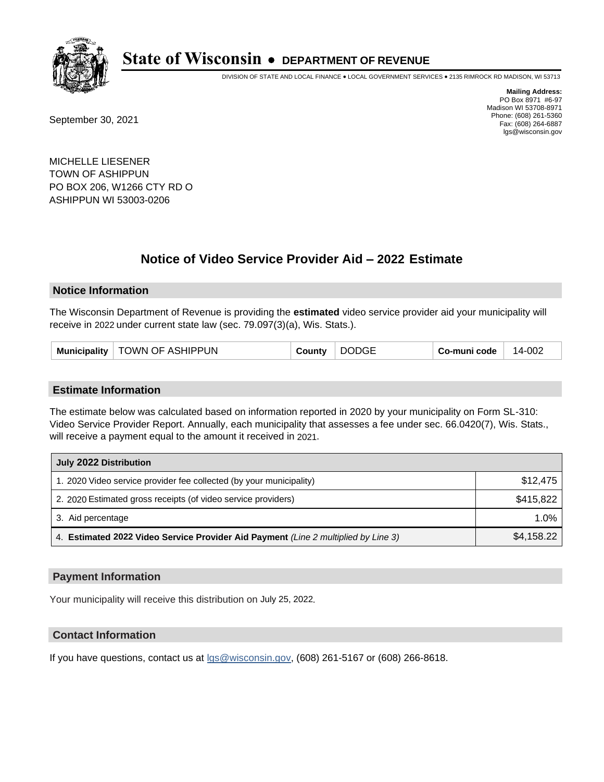

DIVISION OF STATE AND LOCAL FINANCE • LOCAL GOVERNMENT SERVICES • 2135 RIMROCK RD MADISON, WI 53713

September 30, 2021

**Mailing Address:** PO Box 8971 #6-97 Madison WI 53708-8971 Phone: (608) 261-5360 Fax: (608) 264-6887 lgs@wisconsin.gov

MICHELLE LIESENER TOWN OF ASHIPPUN PO BOX 206, W1266 CTY RD O ASHIPPUN WI 53003-0206

# **Notice of Video Service Provider Aid - 2022 Estimate**

#### **Notice Information**

The Wisconsin Department of Revenue is providing the **estimated** video service provider aid your municipality will receive in 2022 under current state law (sec. 79.097(3)(a), Wis. Stats.).

| <b>DODGE</b><br>TOWN OF ASHIPPUN<br><b>Municipality</b><br>Co-muni code<br>County | 14-002 |
|-----------------------------------------------------------------------------------|--------|
|-----------------------------------------------------------------------------------|--------|

#### **Estimate Information**

The estimate below was calculated based on information reported in 2020 by your municipality on Form SL-310: Video Service Provider Report. Annually, each municipality that assesses a fee under sec. 66.0420(7), Wis. Stats., will receive a payment equal to the amount it received in 2021.

| July 2022 Distribution                                                             |            |  |  |  |
|------------------------------------------------------------------------------------|------------|--|--|--|
| 1. 2020 Video service provider fee collected (by your municipality)                | \$12,475   |  |  |  |
| 2. 2020 Estimated gross receipts (of video service providers)                      | \$415,822  |  |  |  |
| 3. Aid percentage                                                                  | $1.0\%$    |  |  |  |
| 4. Estimated 2022 Video Service Provider Aid Payment (Line 2 multiplied by Line 3) | \$4,158.22 |  |  |  |

#### **Payment Information**

Your municipality will receive this distribution on July 25, 2022.

## **Contact Information**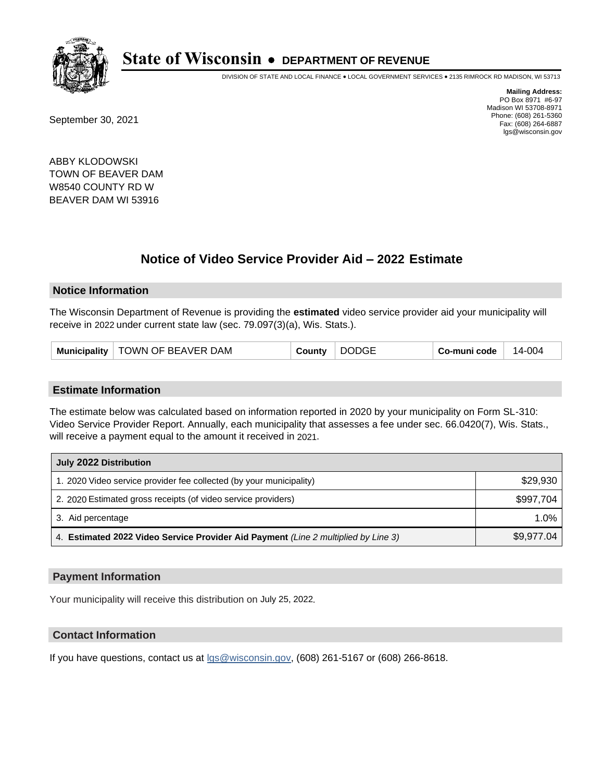

DIVISION OF STATE AND LOCAL FINANCE • LOCAL GOVERNMENT SERVICES • 2135 RIMROCK RD MADISON, WI 53713

September 30, 2021

**Mailing Address:** PO Box 8971 #6-97 Madison WI 53708-8971 Phone: (608) 261-5360 Fax: (608) 264-6887 lgs@wisconsin.gov

ABBY KLODOWSKI TOWN OF BEAVER DAM W8540 COUNTY RD W BEAVER DAM WI 53916

# **Notice of Video Service Provider Aid - 2022 Estimate**

#### **Notice Information**

The Wisconsin Department of Revenue is providing the **estimated** video service provider aid your municipality will receive in 2022 under current state law (sec. 79.097(3)(a), Wis. Stats.).

#### **Estimate Information**

The estimate below was calculated based on information reported in 2020 by your municipality on Form SL-310: Video Service Provider Report. Annually, each municipality that assesses a fee under sec. 66.0420(7), Wis. Stats., will receive a payment equal to the amount it received in 2021.

| July 2022 Distribution                                                             |            |  |  |  |
|------------------------------------------------------------------------------------|------------|--|--|--|
| 1. 2020 Video service provider fee collected (by your municipality)                | \$29,930   |  |  |  |
| 2. 2020 Estimated gross receipts (of video service providers)                      | \$997.704  |  |  |  |
| 3. Aid percentage                                                                  | $1.0\%$    |  |  |  |
| 4. Estimated 2022 Video Service Provider Aid Payment (Line 2 multiplied by Line 3) | \$9,977.04 |  |  |  |

#### **Payment Information**

Your municipality will receive this distribution on July 25, 2022.

## **Contact Information**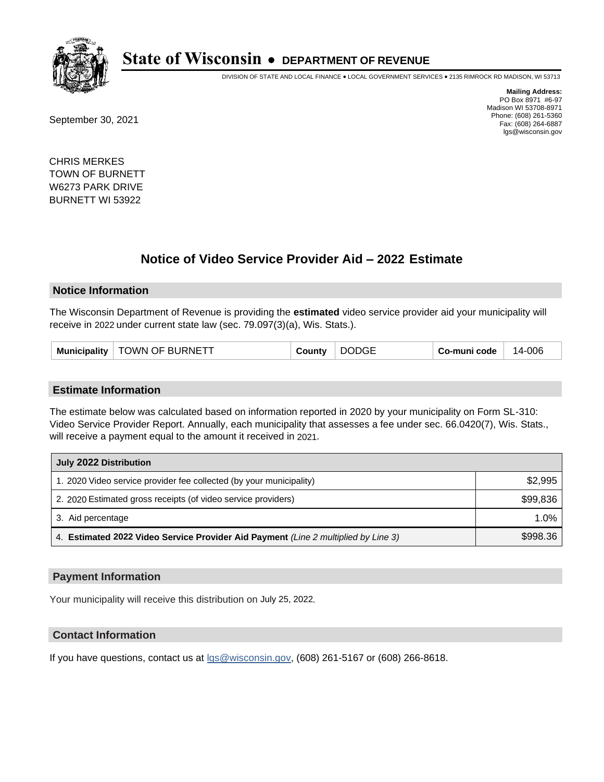

DIVISION OF STATE AND LOCAL FINANCE • LOCAL GOVERNMENT SERVICES • 2135 RIMROCK RD MADISON, WI 53713

September 30, 2021

**Mailing Address:** PO Box 8971 #6-97 Madison WI 53708-8971 Phone: (608) 261-5360 Fax: (608) 264-6887 lgs@wisconsin.gov

CHRIS MERKES TOWN OF BURNETT W6273 PARK DRIVE BURNETT WI 53922

# **Notice of Video Service Provider Aid - 2022 Estimate**

#### **Notice Information**

The Wisconsin Department of Revenue is providing the **estimated** video service provider aid your municipality will receive in 2022 under current state law (sec. 79.097(3)(a), Wis. Stats.).

| <b>Municipality</b> | TOWN OF BURNETT | Σountv | <b>DODGE</b> | Co-muni code | 14-006 |
|---------------------|-----------------|--------|--------------|--------------|--------|
|---------------------|-----------------|--------|--------------|--------------|--------|

#### **Estimate Information**

The estimate below was calculated based on information reported in 2020 by your municipality on Form SL-310: Video Service Provider Report. Annually, each municipality that assesses a fee under sec. 66.0420(7), Wis. Stats., will receive a payment equal to the amount it received in 2021.

| July 2022 Distribution                                                             |          |  |  |  |
|------------------------------------------------------------------------------------|----------|--|--|--|
| 1. 2020 Video service provider fee collected (by your municipality)                | \$2,995  |  |  |  |
| 2. 2020 Estimated gross receipts (of video service providers)                      | \$99,836 |  |  |  |
| 3. Aid percentage                                                                  | $1.0\%$  |  |  |  |
| 4. Estimated 2022 Video Service Provider Aid Payment (Line 2 multiplied by Line 3) | \$998.36 |  |  |  |

#### **Payment Information**

Your municipality will receive this distribution on July 25, 2022.

## **Contact Information**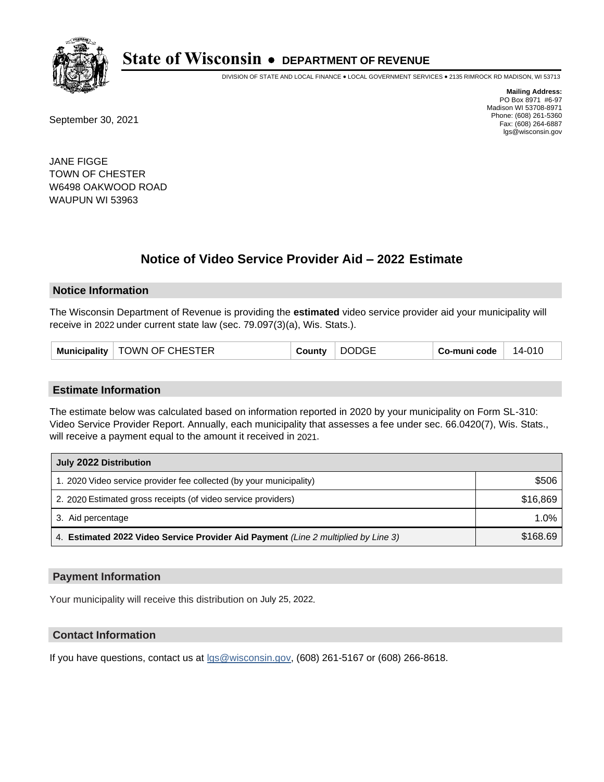

DIVISION OF STATE AND LOCAL FINANCE • LOCAL GOVERNMENT SERVICES • 2135 RIMROCK RD MADISON, WI 53713

September 30, 2021

**Mailing Address:** PO Box 8971 #6-97 Madison WI 53708-8971 Phone: (608) 261-5360 Fax: (608) 264-6887 lgs@wisconsin.gov

JANE FIGGE TOWN OF CHESTER W6498 OAKWOOD ROAD WAUPUN WI 53963

# **Notice of Video Service Provider Aid - 2022 Estimate**

#### **Notice Information**

The Wisconsin Department of Revenue is providing the **estimated** video service provider aid your municipality will receive in 2022 under current state law (sec. 79.097(3)(a), Wis. Stats.).

#### **Estimate Information**

The estimate below was calculated based on information reported in 2020 by your municipality on Form SL-310: Video Service Provider Report. Annually, each municipality that assesses a fee under sec. 66.0420(7), Wis. Stats., will receive a payment equal to the amount it received in 2021.

| July 2022 Distribution                                                             |          |  |  |  |
|------------------------------------------------------------------------------------|----------|--|--|--|
| 1. 2020 Video service provider fee collected (by your municipality)                | \$506    |  |  |  |
| 2. 2020 Estimated gross receipts (of video service providers)                      | \$16,869 |  |  |  |
| 3. Aid percentage                                                                  | $1.0\%$  |  |  |  |
| 4. Estimated 2022 Video Service Provider Aid Payment (Line 2 multiplied by Line 3) | \$168.69 |  |  |  |

#### **Payment Information**

Your municipality will receive this distribution on July 25, 2022.

## **Contact Information**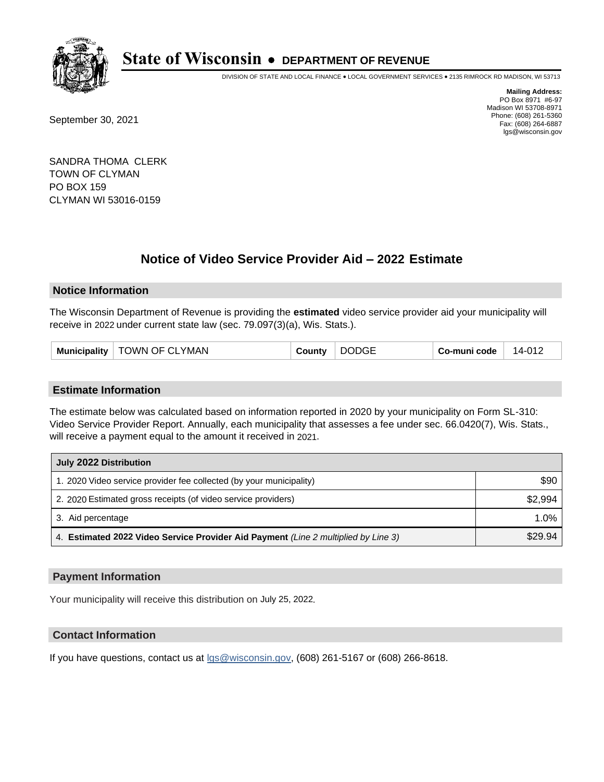

DIVISION OF STATE AND LOCAL FINANCE • LOCAL GOVERNMENT SERVICES • 2135 RIMROCK RD MADISON, WI 53713

September 30, 2021

**Mailing Address:** PO Box 8971 #6-97 Madison WI 53708-8971 Phone: (608) 261-5360 Fax: (608) 264-6887 lgs@wisconsin.gov

SANDRA THOMA CLERK TOWN OF CLYMAN PO BOX 159 CLYMAN WI 53016-0159

# **Notice of Video Service Provider Aid - 2022 Estimate**

#### **Notice Information**

The Wisconsin Department of Revenue is providing the **estimated** video service provider aid your municipality will receive in 2022 under current state law (sec. 79.097(3)(a), Wis. Stats.).

| Municipality   TOWN OF CLYMAN<br>County | <b>DODGE</b> | Co-muni code | 14-012 |
|-----------------------------------------|--------------|--------------|--------|
|-----------------------------------------|--------------|--------------|--------|

#### **Estimate Information**

The estimate below was calculated based on information reported in 2020 by your municipality on Form SL-310: Video Service Provider Report. Annually, each municipality that assesses a fee under sec. 66.0420(7), Wis. Stats., will receive a payment equal to the amount it received in 2021.

| July 2022 Distribution                                                             |         |  |
|------------------------------------------------------------------------------------|---------|--|
| 1. 2020 Video service provider fee collected (by your municipality)                | \$90    |  |
| 2. 2020 Estimated gross receipts (of video service providers)                      | \$2.994 |  |
| 3. Aid percentage                                                                  | $1.0\%$ |  |
| 4. Estimated 2022 Video Service Provider Aid Payment (Line 2 multiplied by Line 3) | \$29.94 |  |

#### **Payment Information**

Your municipality will receive this distribution on July 25, 2022.

## **Contact Information**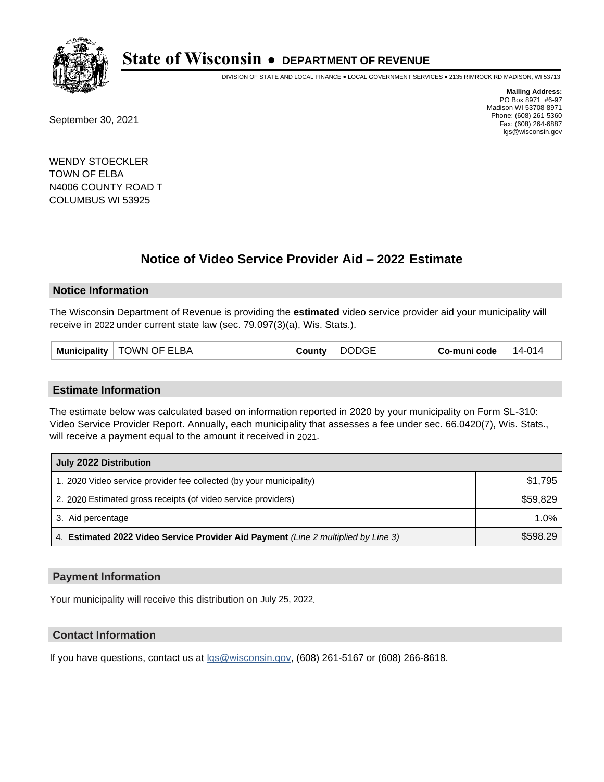

DIVISION OF STATE AND LOCAL FINANCE • LOCAL GOVERNMENT SERVICES • 2135 RIMROCK RD MADISON, WI 53713

September 30, 2021

**Mailing Address:** PO Box 8971 #6-97 Madison WI 53708-8971 Phone: (608) 261-5360 Fax: (608) 264-6887 lgs@wisconsin.gov

WENDY STOECKLER TOWN OF ELBA N4006 COUNTY ROAD T COLUMBUS WI 53925

# **Notice of Video Service Provider Aid - 2022 Estimate**

#### **Notice Information**

The Wisconsin Department of Revenue is providing the **estimated** video service provider aid your municipality will receive in 2022 under current state law (sec. 79.097(3)(a), Wis. Stats.).

| <b>DODGE</b><br><b>TOWN OF ELBA</b><br><b>Municipality</b><br>County | Co-muni code<br>14-014 |
|----------------------------------------------------------------------|------------------------|
|----------------------------------------------------------------------|------------------------|

#### **Estimate Information**

The estimate below was calculated based on information reported in 2020 by your municipality on Form SL-310: Video Service Provider Report. Annually, each municipality that assesses a fee under sec. 66.0420(7), Wis. Stats., will receive a payment equal to the amount it received in 2021.

| July 2022 Distribution                                                             |          |  |
|------------------------------------------------------------------------------------|----------|--|
| 1. 2020 Video service provider fee collected (by your municipality)                | \$1.795  |  |
| 2. 2020 Estimated gross receipts (of video service providers)                      | \$59,829 |  |
| 3. Aid percentage                                                                  | 1.0%     |  |
| 4. Estimated 2022 Video Service Provider Aid Payment (Line 2 multiplied by Line 3) | \$598.29 |  |

#### **Payment Information**

Your municipality will receive this distribution on July 25, 2022.

## **Contact Information**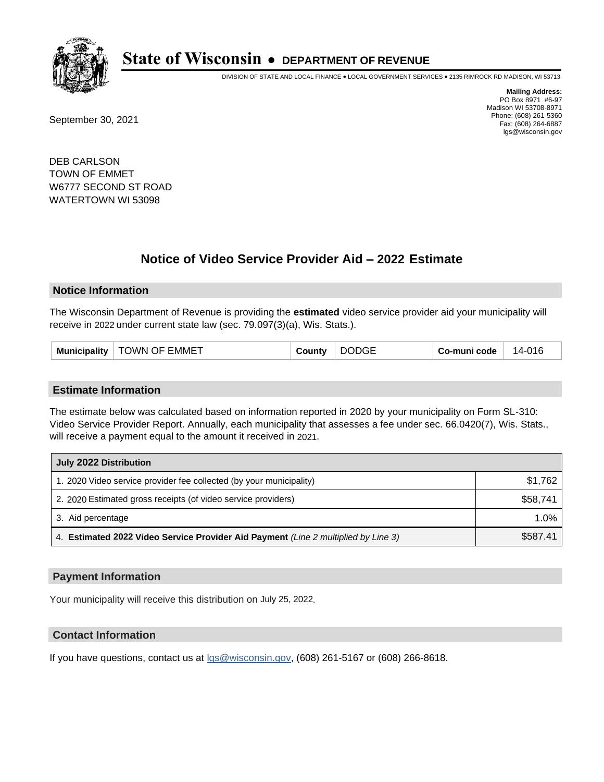

DIVISION OF STATE AND LOCAL FINANCE • LOCAL GOVERNMENT SERVICES • 2135 RIMROCK RD MADISON, WI 53713

September 30, 2021

**Mailing Address:** PO Box 8971 #6-97 Madison WI 53708-8971 Phone: (608) 261-5360 Fax: (608) 264-6887 lgs@wisconsin.gov

DEB CARLSON TOWN OF EMMET W6777 SECOND ST ROAD WATERTOWN WI 53098

# **Notice of Video Service Provider Aid - 2022 Estimate**

#### **Notice Information**

The Wisconsin Department of Revenue is providing the **estimated** video service provider aid your municipality will receive in 2022 under current state law (sec. 79.097(3)(a), Wis. Stats.).

#### **Estimate Information**

The estimate below was calculated based on information reported in 2020 by your municipality on Form SL-310: Video Service Provider Report. Annually, each municipality that assesses a fee under sec. 66.0420(7), Wis. Stats., will receive a payment equal to the amount it received in 2021.

| July 2022 Distribution                                                             |          |  |
|------------------------------------------------------------------------------------|----------|--|
| 1. 2020 Video service provider fee collected (by your municipality)                | \$1.762  |  |
| 2. 2020 Estimated gross receipts (of video service providers)                      | \$58.741 |  |
| 3. Aid percentage                                                                  | 1.0%     |  |
| 4. Estimated 2022 Video Service Provider Aid Payment (Line 2 multiplied by Line 3) | \$587.41 |  |

#### **Payment Information**

Your municipality will receive this distribution on July 25, 2022.

## **Contact Information**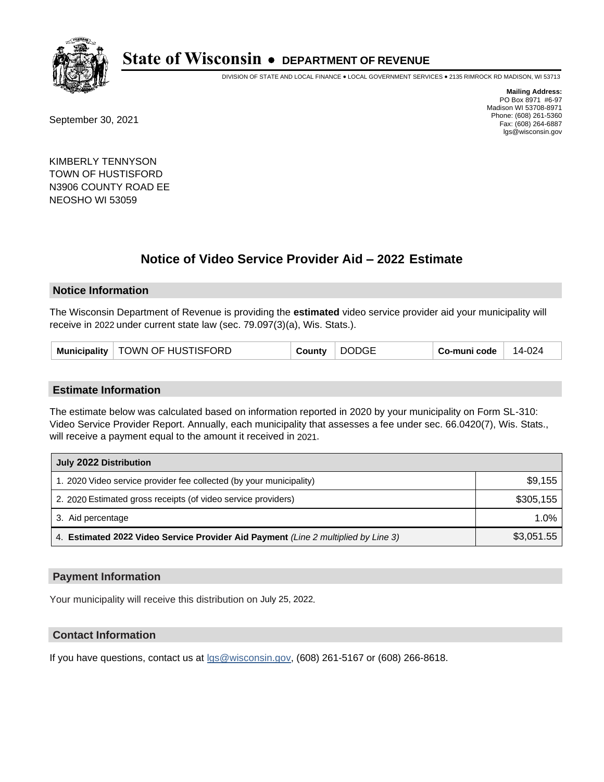

DIVISION OF STATE AND LOCAL FINANCE • LOCAL GOVERNMENT SERVICES • 2135 RIMROCK RD MADISON, WI 53713

September 30, 2021

**Mailing Address:** PO Box 8971 #6-97 Madison WI 53708-8971 Phone: (608) 261-5360 Fax: (608) 264-6887 lgs@wisconsin.gov

KIMBERLY TENNYSON TOWN OF HUSTISFORD N3906 COUNTY ROAD EE NEOSHO WI 53059

# **Notice of Video Service Provider Aid - 2022 Estimate**

#### **Notice Information**

The Wisconsin Department of Revenue is providing the **estimated** video service provider aid your municipality will receive in 2022 under current state law (sec. 79.097(3)(a), Wis. Stats.).

#### **Estimate Information**

The estimate below was calculated based on information reported in 2020 by your municipality on Form SL-310: Video Service Provider Report. Annually, each municipality that assesses a fee under sec. 66.0420(7), Wis. Stats., will receive a payment equal to the amount it received in 2021.

| July 2022 Distribution                                                             |            |  |
|------------------------------------------------------------------------------------|------------|--|
| 1. 2020 Video service provider fee collected (by your municipality)                | \$9,155    |  |
| 2. 2020 Estimated gross receipts (of video service providers)                      | \$305,155  |  |
| 3. Aid percentage                                                                  | 1.0%       |  |
| 4. Estimated 2022 Video Service Provider Aid Payment (Line 2 multiplied by Line 3) | \$3,051.55 |  |

#### **Payment Information**

Your municipality will receive this distribution on July 25, 2022.

## **Contact Information**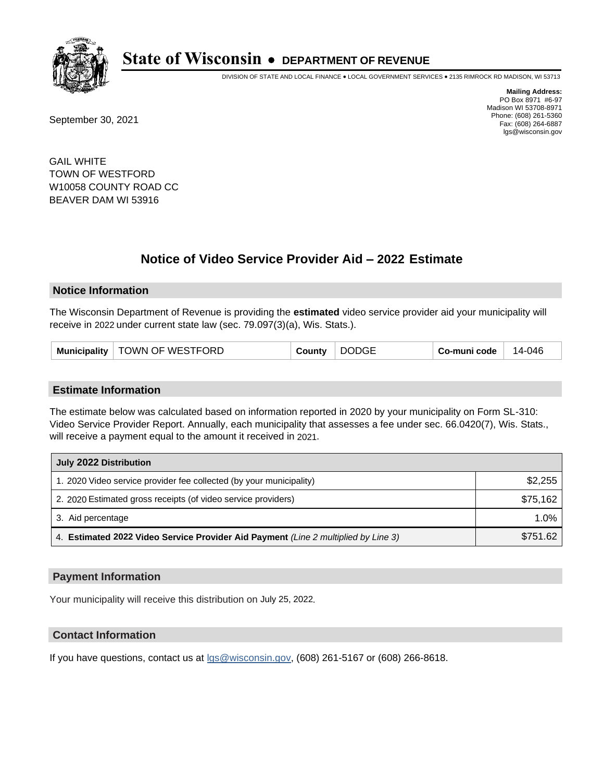

DIVISION OF STATE AND LOCAL FINANCE • LOCAL GOVERNMENT SERVICES • 2135 RIMROCK RD MADISON, WI 53713

September 30, 2021

**Mailing Address:** PO Box 8971 #6-97 Madison WI 53708-8971 Phone: (608) 261-5360 Fax: (608) 264-6887 lgs@wisconsin.gov

GAIL WHITE TOWN OF WESTFORD W10058 COUNTY ROAD CC BEAVER DAM WI 53916

# **Notice of Video Service Provider Aid - 2022 Estimate**

#### **Notice Information**

The Wisconsin Department of Revenue is providing the **estimated** video service provider aid your municipality will receive in 2022 under current state law (sec. 79.097(3)(a), Wis. Stats.).

| <b>DODGE</b><br>Municipality   TOWN OF WESTFORD<br>Co-muni code<br>County | 14-046 |
|---------------------------------------------------------------------------|--------|
|---------------------------------------------------------------------------|--------|

#### **Estimate Information**

The estimate below was calculated based on information reported in 2020 by your municipality on Form SL-310: Video Service Provider Report. Annually, each municipality that assesses a fee under sec. 66.0420(7), Wis. Stats., will receive a payment equal to the amount it received in 2021.

| July 2022 Distribution                                                             |          |  |
|------------------------------------------------------------------------------------|----------|--|
| 1. 2020 Video service provider fee collected (by your municipality)                | \$2,255  |  |
| 2. 2020 Estimated gross receipts (of video service providers)                      | \$75,162 |  |
| 3. Aid percentage                                                                  | 1.0%     |  |
| 4. Estimated 2022 Video Service Provider Aid Payment (Line 2 multiplied by Line 3) | \$751.62 |  |

#### **Payment Information**

Your municipality will receive this distribution on July 25, 2022.

## **Contact Information**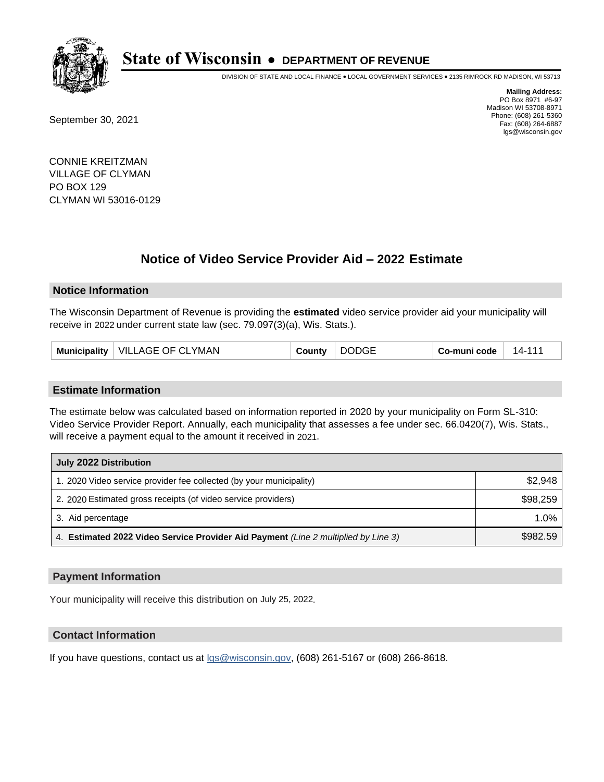

DIVISION OF STATE AND LOCAL FINANCE • LOCAL GOVERNMENT SERVICES • 2135 RIMROCK RD MADISON, WI 53713

September 30, 2021

**Mailing Address:** PO Box 8971 #6-97 Madison WI 53708-8971 Phone: (608) 261-5360 Fax: (608) 264-6887 lgs@wisconsin.gov

CONNIE KREITZMAN VILLAGE OF CLYMAN PO BOX 129 CLYMAN WI 53016-0129

# **Notice of Video Service Provider Aid - 2022 Estimate**

#### **Notice Information**

The Wisconsin Department of Revenue is providing the **estimated** video service provider aid your municipality will receive in 2022 under current state law (sec. 79.097(3)(a), Wis. Stats.).

| VILLAGE OF CLYMAN<br>Municipality | County | <b>DODGE</b> | Co-muni code | $14-11$ |
|-----------------------------------|--------|--------------|--------------|---------|
|-----------------------------------|--------|--------------|--------------|---------|

#### **Estimate Information**

The estimate below was calculated based on information reported in 2020 by your municipality on Form SL-310: Video Service Provider Report. Annually, each municipality that assesses a fee under sec. 66.0420(7), Wis. Stats., will receive a payment equal to the amount it received in 2021.

| July 2022 Distribution                                                             |          |  |
|------------------------------------------------------------------------------------|----------|--|
| 1. 2020 Video service provider fee collected (by your municipality)                | \$2,948  |  |
| 2. 2020 Estimated gross receipts (of video service providers)                      | \$98,259 |  |
| 3. Aid percentage                                                                  | 1.0%     |  |
| 4. Estimated 2022 Video Service Provider Aid Payment (Line 2 multiplied by Line 3) | \$982.59 |  |

#### **Payment Information**

Your municipality will receive this distribution on July 25, 2022.

## **Contact Information**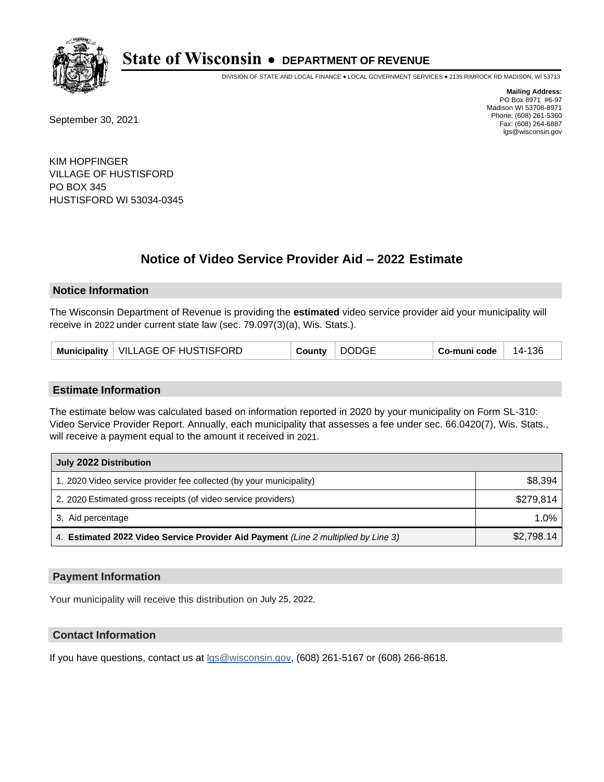

DIVISION OF STATE AND LOCAL FINANCE • LOCAL GOVERNMENT SERVICES • 2135 RIMROCK RD MADISON, WI 53713

September 30, 2021

**Mailing Address:** PO Box 8971 #6-97 Madison WI 53708-8971 Phone: (608) 261-5360 Fax: (608) 264-6887 lgs@wisconsin.gov

KIM HOPFINGER VILLAGE OF HUSTISFORD PO BOX 345 HUSTISFORD WI 53034-0345

# **Notice of Video Service Provider Aid - 2022 Estimate**

#### **Notice Information**

The Wisconsin Department of Revenue is providing the **estimated** video service provider aid your municipality will receive in 2022 under current state law (sec. 79.097(3)(a), Wis. Stats.).

#### **Estimate Information**

The estimate below was calculated based on information reported in 2020 by your municipality on Form SL-310: Video Service Provider Report. Annually, each municipality that assesses a fee under sec. 66.0420(7), Wis. Stats., will receive a payment equal to the amount it received in 2021.

| July 2022 Distribution                                                             |            |  |  |
|------------------------------------------------------------------------------------|------------|--|--|
| 1. 2020 Video service provider fee collected (by your municipality)                | \$8,394    |  |  |
| 2. 2020 Estimated gross receipts (of video service providers)                      | \$279.814  |  |  |
| 3. Aid percentage                                                                  | $1.0\%$    |  |  |
| 4. Estimated 2022 Video Service Provider Aid Payment (Line 2 multiplied by Line 3) | \$2,798.14 |  |  |

#### **Payment Information**

Your municipality will receive this distribution on July 25, 2022.

## **Contact Information**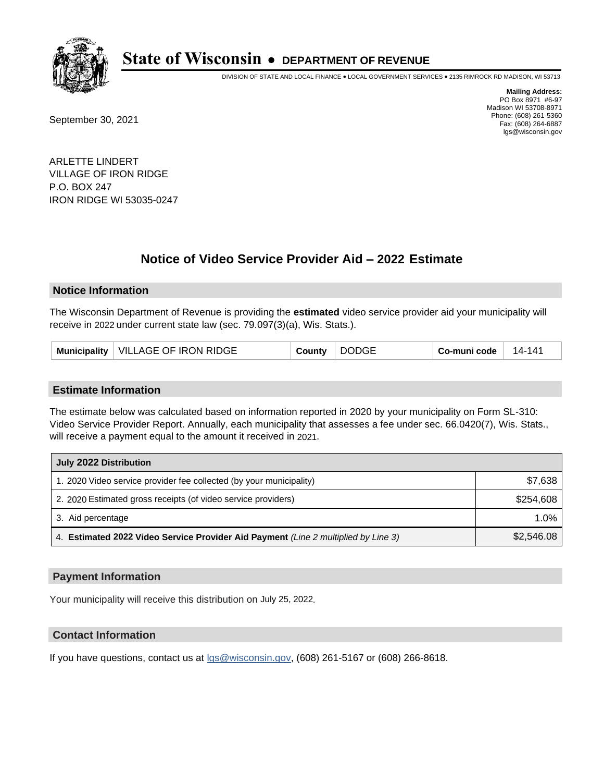

DIVISION OF STATE AND LOCAL FINANCE • LOCAL GOVERNMENT SERVICES • 2135 RIMROCK RD MADISON, WI 53713

September 30, 2021

**Mailing Address:** PO Box 8971 #6-97 Madison WI 53708-8971 Phone: (608) 261-5360 Fax: (608) 264-6887 lgs@wisconsin.gov

ARLETTE LINDERT VILLAGE OF IRON RIDGE P.O. BOX 247 IRON RIDGE WI 53035-0247

# **Notice of Video Service Provider Aid - 2022 Estimate**

### **Notice Information**

The Wisconsin Department of Revenue is providing the **estimated** video service provider aid your municipality will receive in 2022 under current state law (sec. 79.097(3)(a), Wis. Stats.).

| <b>DODGE</b><br>Municipality   VILLAGE OF IRON RIDGE<br>Co-muni code<br>County | 14-141 |
|--------------------------------------------------------------------------------|--------|
|--------------------------------------------------------------------------------|--------|

#### **Estimate Information**

The estimate below was calculated based on information reported in 2020 by your municipality on Form SL-310: Video Service Provider Report. Annually, each municipality that assesses a fee under sec. 66.0420(7), Wis. Stats., will receive a payment equal to the amount it received in 2021.

| July 2022 Distribution                                                             |            |  |
|------------------------------------------------------------------------------------|------------|--|
| 1. 2020 Video service provider fee collected (by your municipality)                | \$7,638    |  |
| 2. 2020 Estimated gross receipts (of video service providers)                      | \$254,608  |  |
| 3. Aid percentage                                                                  | $1.0\%$    |  |
| 4. Estimated 2022 Video Service Provider Aid Payment (Line 2 multiplied by Line 3) | \$2,546.08 |  |

#### **Payment Information**

Your municipality will receive this distribution on July 25, 2022.

## **Contact Information**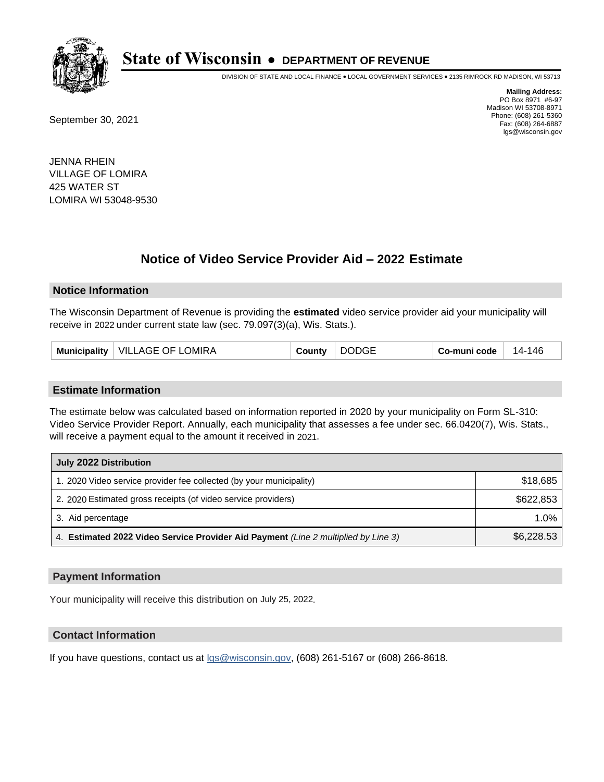

DIVISION OF STATE AND LOCAL FINANCE • LOCAL GOVERNMENT SERVICES • 2135 RIMROCK RD MADISON, WI 53713

September 30, 2021

**Mailing Address:** PO Box 8971 #6-97 Madison WI 53708-8971 Phone: (608) 261-5360 Fax: (608) 264-6887 lgs@wisconsin.gov

JENNA RHEIN VILLAGE OF LOMIRA 425 WATER ST LOMIRA WI 53048-9530

# **Notice of Video Service Provider Aid - 2022 Estimate**

#### **Notice Information**

The Wisconsin Department of Revenue is providing the **estimated** video service provider aid your municipality will receive in 2022 under current state law (sec. 79.097(3)(a), Wis. Stats.).

| <b>VILLAGE OF LOMIRA</b><br><b>Municipality</b> | ا ounty⊲ | <b>DODGE</b> | Co-muni code | -146<br>- 14 |
|-------------------------------------------------|----------|--------------|--------------|--------------|
|-------------------------------------------------|----------|--------------|--------------|--------------|

#### **Estimate Information**

The estimate below was calculated based on information reported in 2020 by your municipality on Form SL-310: Video Service Provider Report. Annually, each municipality that assesses a fee under sec. 66.0420(7), Wis. Stats., will receive a payment equal to the amount it received in 2021.

| July 2022 Distribution                                                             |            |  |
|------------------------------------------------------------------------------------|------------|--|
| 1. 2020 Video service provider fee collected (by your municipality)                | \$18,685   |  |
| 2. 2020 Estimated gross receipts (of video service providers)                      | \$622,853  |  |
| 3. Aid percentage                                                                  | $1.0\%$    |  |
| 4. Estimated 2022 Video Service Provider Aid Payment (Line 2 multiplied by Line 3) | \$6,228.53 |  |

#### **Payment Information**

Your municipality will receive this distribution on July 25, 2022.

## **Contact Information**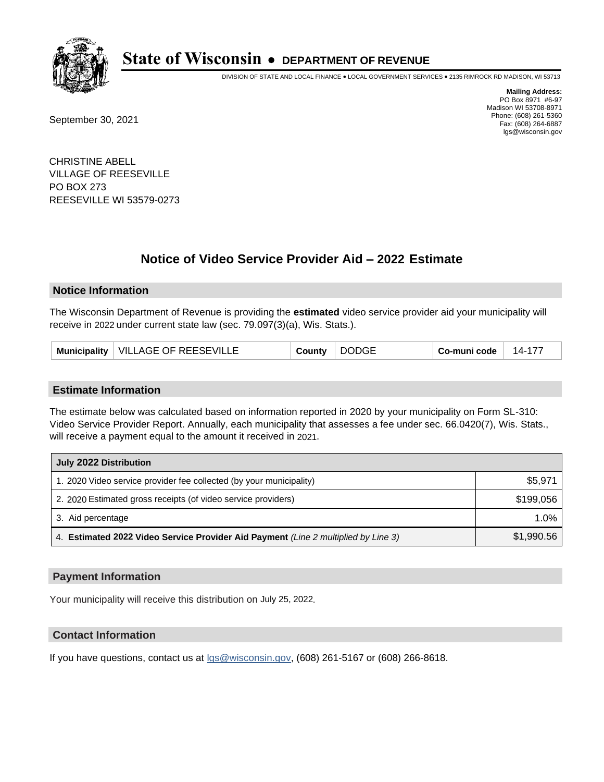

DIVISION OF STATE AND LOCAL FINANCE • LOCAL GOVERNMENT SERVICES • 2135 RIMROCK RD MADISON, WI 53713

September 30, 2021

**Mailing Address:** PO Box 8971 #6-97 Madison WI 53708-8971 Phone: (608) 261-5360 Fax: (608) 264-6887 lgs@wisconsin.gov

CHRISTINE ABELL VILLAGE OF REESEVILLE PO BOX 273 REESEVILLE WI 53579-0273

# **Notice of Video Service Provider Aid - 2022 Estimate**

#### **Notice Information**

The Wisconsin Department of Revenue is providing the **estimated** video service provider aid your municipality will receive in 2022 under current state law (sec. 79.097(3)(a), Wis. Stats.).

| <b>DODGE</b><br>Municipality   VILLAGE OF REESEVILLE<br>County | Co-muni code<br>14-177 |
|----------------------------------------------------------------|------------------------|
|----------------------------------------------------------------|------------------------|

#### **Estimate Information**

The estimate below was calculated based on information reported in 2020 by your municipality on Form SL-310: Video Service Provider Report. Annually, each municipality that assesses a fee under sec. 66.0420(7), Wis. Stats., will receive a payment equal to the amount it received in 2021.

| July 2022 Distribution                                                             |            |  |  |
|------------------------------------------------------------------------------------|------------|--|--|
| 1. 2020 Video service provider fee collected (by your municipality)                | \$5,971    |  |  |
| 2. 2020 Estimated gross receipts (of video service providers)                      | \$199.056  |  |  |
| 3. Aid percentage                                                                  | $1.0\%$    |  |  |
| 4. Estimated 2022 Video Service Provider Aid Payment (Line 2 multiplied by Line 3) | \$1,990.56 |  |  |

#### **Payment Information**

Your municipality will receive this distribution on July 25, 2022.

## **Contact Information**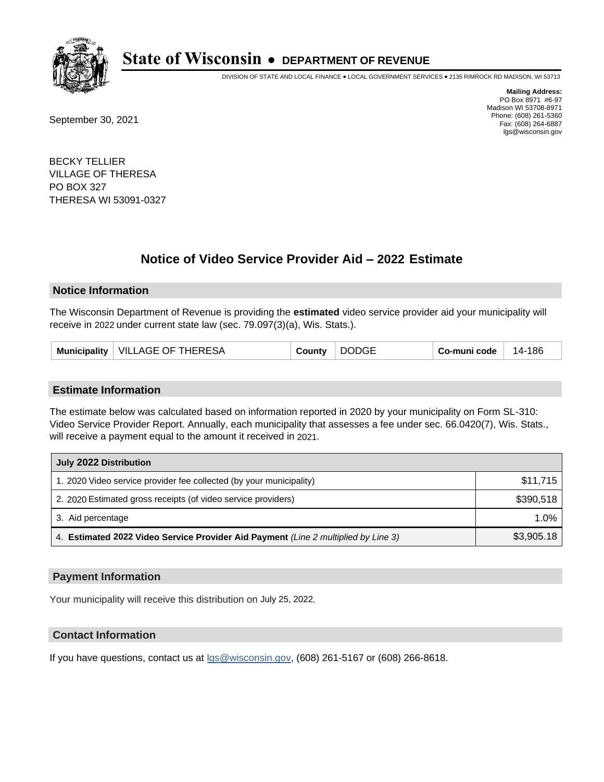

DIVISION OF STATE AND LOCAL FINANCE • LOCAL GOVERNMENT SERVICES • 2135 RIMROCK RD MADISON, WI 53713

September 30, 2021

**Mailing Address:** PO Box 8971 #6-97 Madison WI 53708-8971 Phone: (608) 261-5360 Fax: (608) 264-6887 lgs@wisconsin.gov

BECKY TELLIER VILLAGE OF THERESA PO BOX 327 THERESA WI 53091-0327

# **Notice of Video Service Provider Aid - 2022 Estimate**

#### **Notice Information**

The Wisconsin Department of Revenue is providing the **estimated** video service provider aid your municipality will receive in 2022 under current state law (sec. 79.097(3)(a), Wis. Stats.).

| Municipality   VILLAGE OF THERESA | County | <b>DODGE</b> | Co-muni code | 14-186 |
|-----------------------------------|--------|--------------|--------------|--------|
|-----------------------------------|--------|--------------|--------------|--------|

#### **Estimate Information**

The estimate below was calculated based on information reported in 2020 by your municipality on Form SL-310: Video Service Provider Report. Annually, each municipality that assesses a fee under sec. 66.0420(7), Wis. Stats., will receive a payment equal to the amount it received in 2021.

| July 2022 Distribution                                                             |            |  |
|------------------------------------------------------------------------------------|------------|--|
| 1. 2020 Video service provider fee collected (by your municipality)                | \$11.715   |  |
| 2. 2020 Estimated gross receipts (of video service providers)                      | \$390.518  |  |
| 3. Aid percentage                                                                  | 1.0%       |  |
| 4. Estimated 2022 Video Service Provider Aid Payment (Line 2 multiplied by Line 3) | \$3,905.18 |  |

#### **Payment Information**

Your municipality will receive this distribution on July 25, 2022.

## **Contact Information**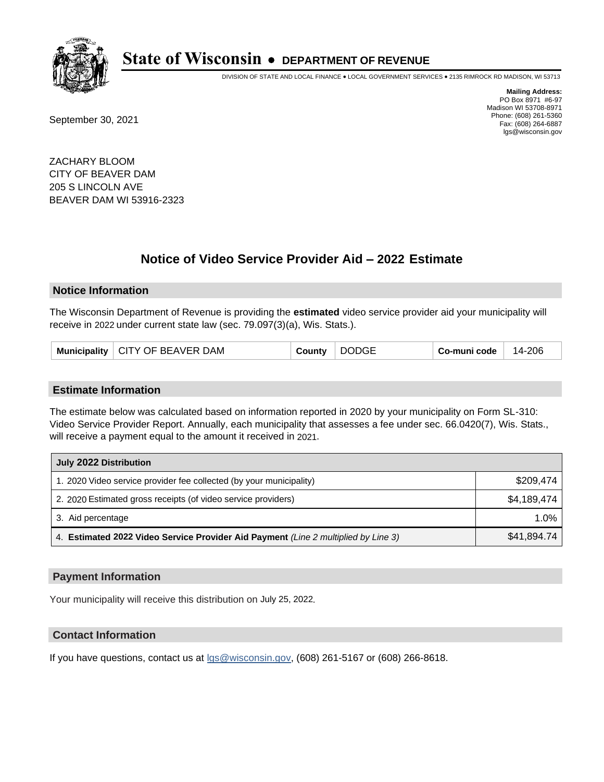

DIVISION OF STATE AND LOCAL FINANCE • LOCAL GOVERNMENT SERVICES • 2135 RIMROCK RD MADISON, WI 53713

September 30, 2021

**Mailing Address:** PO Box 8971 #6-97 Madison WI 53708-8971 Phone: (608) 261-5360 Fax: (608) 264-6887 lgs@wisconsin.gov

ZACHARY BLOOM CITY OF BEAVER DAM 205 S LINCOLN AVE BEAVER DAM WI 53916-2323

# **Notice of Video Service Provider Aid - 2022 Estimate**

#### **Notice Information**

The Wisconsin Department of Revenue is providing the **estimated** video service provider aid your municipality will receive in 2022 under current state law (sec. 79.097(3)(a), Wis. Stats.).

|  | Municipality   CITY OF BEAVER DAM | County | <b>DODGE</b> | Co-muni code | 14-206 |
|--|-----------------------------------|--------|--------------|--------------|--------|
|--|-----------------------------------|--------|--------------|--------------|--------|

#### **Estimate Information**

The estimate below was calculated based on information reported in 2020 by your municipality on Form SL-310: Video Service Provider Report. Annually, each municipality that assesses a fee under sec. 66.0420(7), Wis. Stats., will receive a payment equal to the amount it received in 2021.

| July 2022 Distribution                                                             |             |  |  |
|------------------------------------------------------------------------------------|-------------|--|--|
| 1. 2020 Video service provider fee collected (by your municipality)                | \$209.474   |  |  |
| 2. 2020 Estimated gross receipts (of video service providers)                      | \$4,189,474 |  |  |
| 3. Aid percentage                                                                  | 1.0%        |  |  |
| 4. Estimated 2022 Video Service Provider Aid Payment (Line 2 multiplied by Line 3) | \$41,894.74 |  |  |

#### **Payment Information**

Your municipality will receive this distribution on July 25, 2022.

## **Contact Information**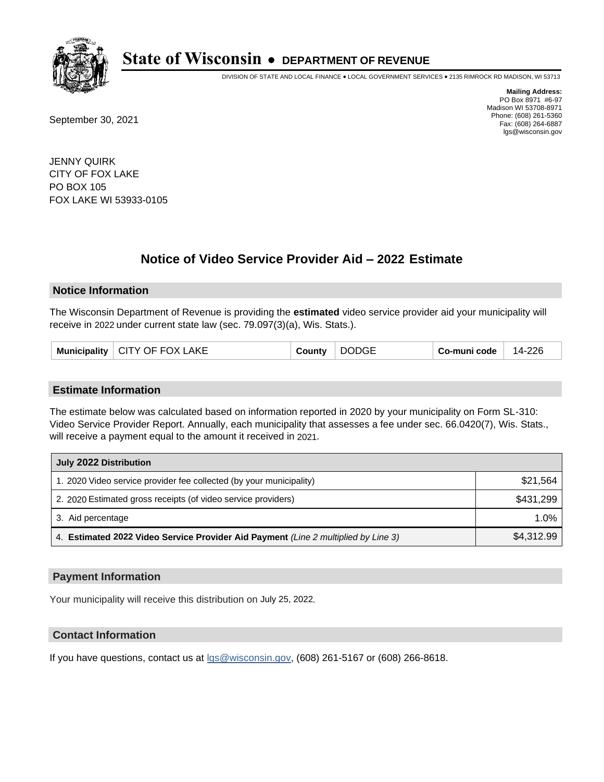

DIVISION OF STATE AND LOCAL FINANCE • LOCAL GOVERNMENT SERVICES • 2135 RIMROCK RD MADISON, WI 53713

September 30, 2021

**Mailing Address:** PO Box 8971 #6-97 Madison WI 53708-8971 Phone: (608) 261-5360 Fax: (608) 264-6887 lgs@wisconsin.gov

JENNY QUIRK CITY OF FOX LAKE PO BOX 105 FOX LAKE WI 53933-0105

# **Notice of Video Service Provider Aid - 2022 Estimate**

#### **Notice Information**

The Wisconsin Department of Revenue is providing the **estimated** video service provider aid your municipality will receive in 2022 under current state law (sec. 79.097(3)(a), Wis. Stats.).

|  | Municipality   CITY OF FOX LAKE | County | <b>DODGE</b> | Co-muni code | 14-226 |
|--|---------------------------------|--------|--------------|--------------|--------|
|--|---------------------------------|--------|--------------|--------------|--------|

#### **Estimate Information**

The estimate below was calculated based on information reported in 2020 by your municipality on Form SL-310: Video Service Provider Report. Annually, each municipality that assesses a fee under sec. 66.0420(7), Wis. Stats., will receive a payment equal to the amount it received in 2021.

| July 2022 Distribution                                                             |            |  |  |
|------------------------------------------------------------------------------------|------------|--|--|
| 1. 2020 Video service provider fee collected (by your municipality)                | \$21,564   |  |  |
| 2. 2020 Estimated gross receipts (of video service providers)                      | \$431,299  |  |  |
| 3. Aid percentage                                                                  | $1.0\%$    |  |  |
| 4. Estimated 2022 Video Service Provider Aid Payment (Line 2 multiplied by Line 3) | \$4,312.99 |  |  |

#### **Payment Information**

Your municipality will receive this distribution on July 25, 2022.

## **Contact Information**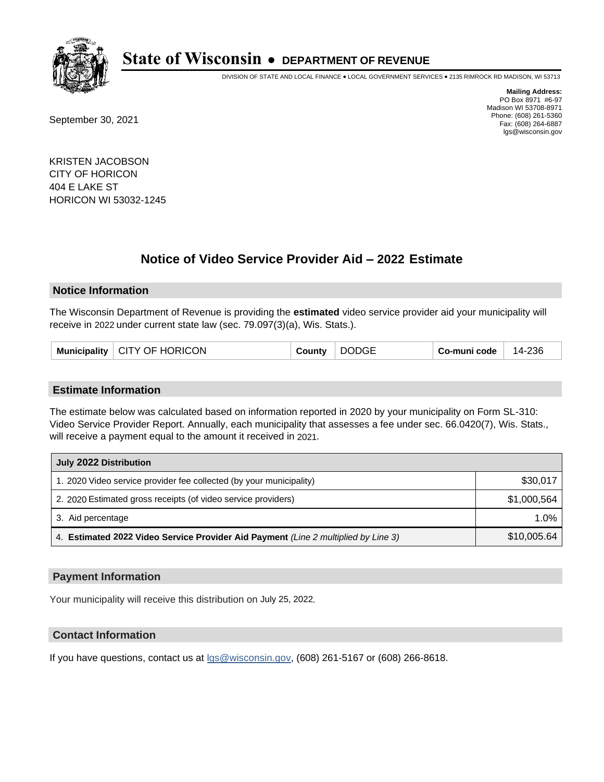

DIVISION OF STATE AND LOCAL FINANCE • LOCAL GOVERNMENT SERVICES • 2135 RIMROCK RD MADISON, WI 53713

September 30, 2021

**Mailing Address:** PO Box 8971 #6-97 Madison WI 53708-8971 Phone: (608) 261-5360 Fax: (608) 264-6887 lgs@wisconsin.gov

KRISTEN JACOBSON CITY OF HORICON 404 E LAKE ST HORICON WI 53032-1245

# **Notice of Video Service Provider Aid - 2022 Estimate**

### **Notice Information**

The Wisconsin Department of Revenue is providing the **estimated** video service provider aid your municipality will receive in 2022 under current state law (sec. 79.097(3)(a), Wis. Stats.).

|  | Municipality   CITY OF HORICON | County | <b>DODGE</b> | Co-muni code | 14-236 |
|--|--------------------------------|--------|--------------|--------------|--------|
|--|--------------------------------|--------|--------------|--------------|--------|

#### **Estimate Information**

The estimate below was calculated based on information reported in 2020 by your municipality on Form SL-310: Video Service Provider Report. Annually, each municipality that assesses a fee under sec. 66.0420(7), Wis. Stats., will receive a payment equal to the amount it received in 2021.

| July 2022 Distribution                                                             |             |  |  |
|------------------------------------------------------------------------------------|-------------|--|--|
| 1. 2020 Video service provider fee collected (by your municipality)                | \$30,017    |  |  |
| 2. 2020 Estimated gross receipts (of video service providers)                      | \$1,000,564 |  |  |
| 3. Aid percentage                                                                  | 1.0%        |  |  |
| 4. Estimated 2022 Video Service Provider Aid Payment (Line 2 multiplied by Line 3) | \$10,005.64 |  |  |

#### **Payment Information**

Your municipality will receive this distribution on July 25, 2022.

## **Contact Information**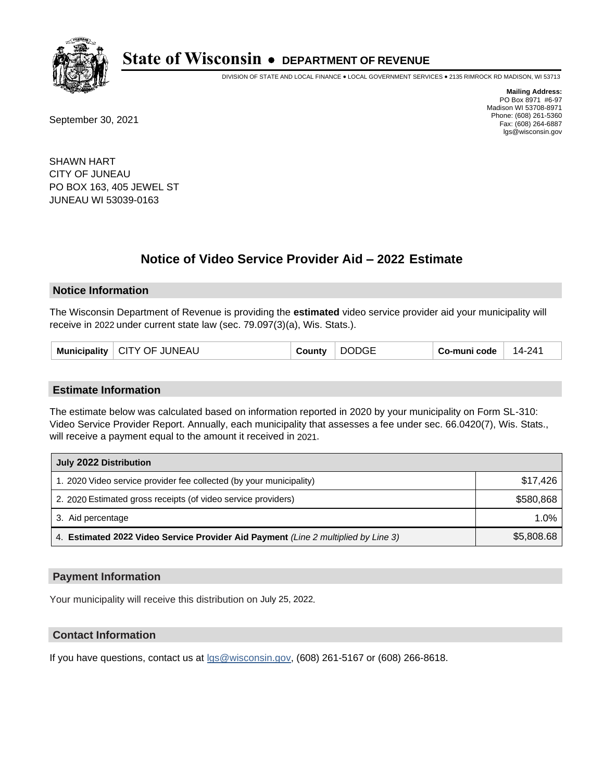

DIVISION OF STATE AND LOCAL FINANCE • LOCAL GOVERNMENT SERVICES • 2135 RIMROCK RD MADISON, WI 53713

September 30, 2021

**Mailing Address:** PO Box 8971 #6-97 Madison WI 53708-8971 Phone: (608) 261-5360 Fax: (608) 264-6887 lgs@wisconsin.gov

SHAWN HART CITY OF JUNEAU PO BOX 163, 405 JEWEL ST JUNEAU WI 53039-0163

# **Notice of Video Service Provider Aid - 2022 Estimate**

#### **Notice Information**

The Wisconsin Department of Revenue is providing the **estimated** video service provider aid your municipality will receive in 2022 under current state law (sec. 79.097(3)(a), Wis. Stats.).

| Municipality   CITY OF JUNEAU | County | <b>DODGE</b> | Co-muni code | 14-241 |
|-------------------------------|--------|--------------|--------------|--------|
|-------------------------------|--------|--------------|--------------|--------|

#### **Estimate Information**

The estimate below was calculated based on information reported in 2020 by your municipality on Form SL-310: Video Service Provider Report. Annually, each municipality that assesses a fee under sec. 66.0420(7), Wis. Stats., will receive a payment equal to the amount it received in 2021.

| July 2022 Distribution                                                             |            |  |  |
|------------------------------------------------------------------------------------|------------|--|--|
| 1. 2020 Video service provider fee collected (by your municipality)                | \$17.426   |  |  |
| 2. 2020 Estimated gross receipts (of video service providers)                      | \$580.868  |  |  |
| 3. Aid percentage                                                                  | 1.0%       |  |  |
| 4. Estimated 2022 Video Service Provider Aid Payment (Line 2 multiplied by Line 3) | \$5,808.68 |  |  |

#### **Payment Information**

Your municipality will receive this distribution on July 25, 2022.

## **Contact Information**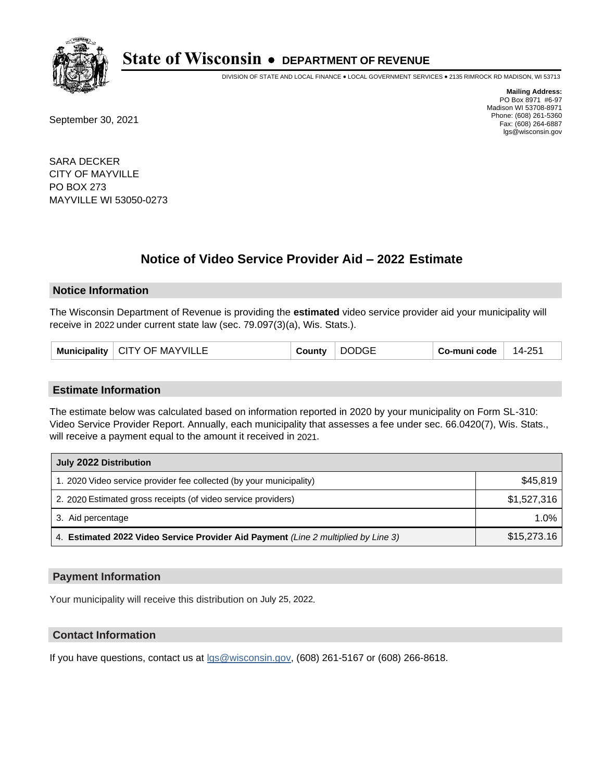

DIVISION OF STATE AND LOCAL FINANCE • LOCAL GOVERNMENT SERVICES • 2135 RIMROCK RD MADISON, WI 53713

September 30, 2021

**Mailing Address:** PO Box 8971 #6-97 Madison WI 53708-8971 Phone: (608) 261-5360 Fax: (608) 264-6887 lgs@wisconsin.gov

SARA DECKER CITY OF MAYVILLE PO BOX 273 MAYVILLE WI 53050-0273

# **Notice of Video Service Provider Aid - 2022 Estimate**

#### **Notice Information**

The Wisconsin Department of Revenue is providing the **estimated** video service provider aid your municipality will receive in 2022 under current state law (sec. 79.097(3)(a), Wis. Stats.).

| Municipality   CITY OF MAYVILLE | County | <b>DODGE</b> | Co-muni code | 14-251 |
|---------------------------------|--------|--------------|--------------|--------|
|---------------------------------|--------|--------------|--------------|--------|

#### **Estimate Information**

The estimate below was calculated based on information reported in 2020 by your municipality on Form SL-310: Video Service Provider Report. Annually, each municipality that assesses a fee under sec. 66.0420(7), Wis. Stats., will receive a payment equal to the amount it received in 2021.

| July 2022 Distribution                                                             |             |  |  |
|------------------------------------------------------------------------------------|-------------|--|--|
| 1. 2020 Video service provider fee collected (by your municipality)                | \$45.819    |  |  |
| 2. 2020 Estimated gross receipts (of video service providers)                      | \$1,527,316 |  |  |
| 3. Aid percentage                                                                  | $1.0\%$     |  |  |
| 4. Estimated 2022 Video Service Provider Aid Payment (Line 2 multiplied by Line 3) | \$15,273.16 |  |  |

#### **Payment Information**

Your municipality will receive this distribution on July 25, 2022.

## **Contact Information**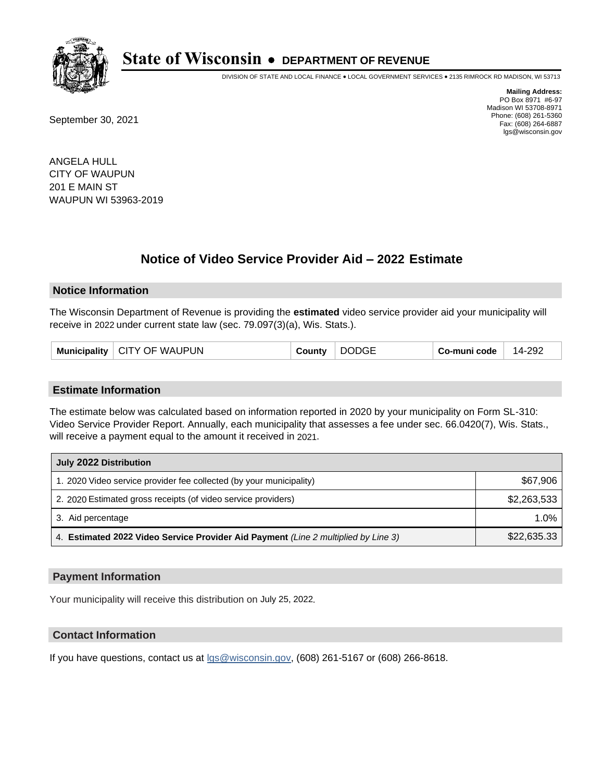

DIVISION OF STATE AND LOCAL FINANCE • LOCAL GOVERNMENT SERVICES • 2135 RIMROCK RD MADISON, WI 53713

September 30, 2021

**Mailing Address:** PO Box 8971 #6-97 Madison WI 53708-8971 Phone: (608) 261-5360 Fax: (608) 264-6887 lgs@wisconsin.gov

ANGELA HULL CITY OF WAUPUN 201 E MAIN ST WAUPUN WI 53963-2019

# **Notice of Video Service Provider Aid - 2022 Estimate**

#### **Notice Information**

The Wisconsin Department of Revenue is providing the **estimated** video service provider aid your municipality will receive in 2022 under current state law (sec. 79.097(3)(a), Wis. Stats.).

| Municipality   CITY OF WAUPUN | <b>DODGE</b><br>County | 14-292<br>Co-muni code |  |
|-------------------------------|------------------------|------------------------|--|
|-------------------------------|------------------------|------------------------|--|

#### **Estimate Information**

The estimate below was calculated based on information reported in 2020 by your municipality on Form SL-310: Video Service Provider Report. Annually, each municipality that assesses a fee under sec. 66.0420(7), Wis. Stats., will receive a payment equal to the amount it received in 2021.

| July 2022 Distribution                                                             |             |  |  |
|------------------------------------------------------------------------------------|-------------|--|--|
| 1. 2020 Video service provider fee collected (by your municipality)                | \$67,906    |  |  |
| 2. 2020 Estimated gross receipts (of video service providers)                      | \$2,263,533 |  |  |
| 3. Aid percentage                                                                  | $1.0\%$     |  |  |
| 4. Estimated 2022 Video Service Provider Aid Payment (Line 2 multiplied by Line 3) | \$22,635.33 |  |  |

#### **Payment Information**

Your municipality will receive this distribution on July 25, 2022.

## **Contact Information**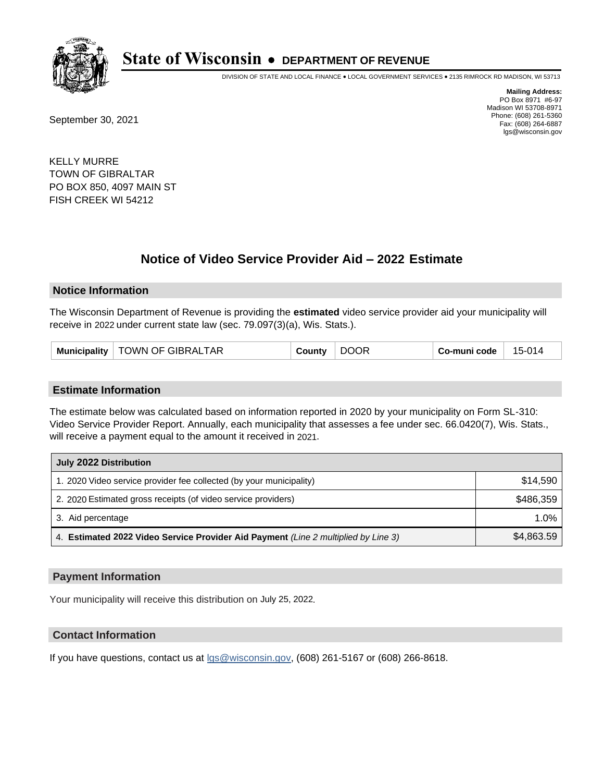

DIVISION OF STATE AND LOCAL FINANCE • LOCAL GOVERNMENT SERVICES • 2135 RIMROCK RD MADISON, WI 53713

September 30, 2021

**Mailing Address:** PO Box 8971 #6-97 Madison WI 53708-8971 Phone: (608) 261-5360 Fax: (608) 264-6887 lgs@wisconsin.gov

KELLY MURRE TOWN OF GIBRALTAR PO BOX 850, 4097 MAIN ST FISH CREEK WI 54212

# **Notice of Video Service Provider Aid - 2022 Estimate**

#### **Notice Information**

The Wisconsin Department of Revenue is providing the **estimated** video service provider aid your municipality will receive in 2022 under current state law (sec. 79.097(3)(a), Wis. Stats.).

| Municipality | TOWN OF GIBRALTAR | Count∨ | <b>DOOR</b> | Co-muni code | 15-014 |
|--------------|-------------------|--------|-------------|--------------|--------|
|--------------|-------------------|--------|-------------|--------------|--------|

#### **Estimate Information**

The estimate below was calculated based on information reported in 2020 by your municipality on Form SL-310: Video Service Provider Report. Annually, each municipality that assesses a fee under sec. 66.0420(7), Wis. Stats., will receive a payment equal to the amount it received in 2021.

| July 2022 Distribution                                                             |            |  |  |
|------------------------------------------------------------------------------------|------------|--|--|
| 1. 2020 Video service provider fee collected (by your municipality)                | \$14.590   |  |  |
| 2. 2020 Estimated gross receipts (of video service providers)                      | \$486,359  |  |  |
| 3. Aid percentage                                                                  | 1.0%       |  |  |
| 4. Estimated 2022 Video Service Provider Aid Payment (Line 2 multiplied by Line 3) | \$4,863.59 |  |  |

#### **Payment Information**

Your municipality will receive this distribution on July 25, 2022.

## **Contact Information**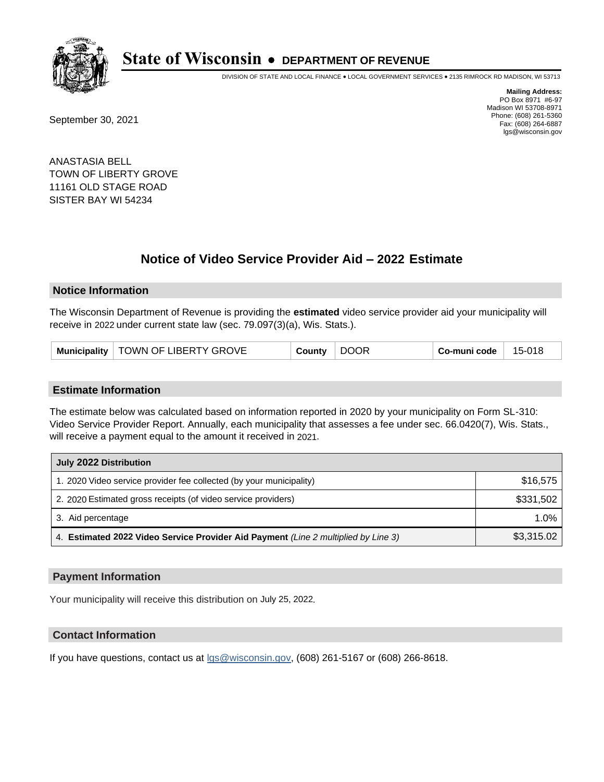

DIVISION OF STATE AND LOCAL FINANCE • LOCAL GOVERNMENT SERVICES • 2135 RIMROCK RD MADISON, WI 53713

September 30, 2021

**Mailing Address:** PO Box 8971 #6-97 Madison WI 53708-8971 Phone: (608) 261-5360 Fax: (608) 264-6887 lgs@wisconsin.gov

ANASTASIA BELL TOWN OF LIBERTY GROVE 11161 OLD STAGE ROAD SISTER BAY WI 54234

# **Notice of Video Service Provider Aid - 2022 Estimate**

#### **Notice Information**

The Wisconsin Department of Revenue is providing the **estimated** video service provider aid your municipality will receive in 2022 under current state law (sec. 79.097(3)(a), Wis. Stats.).

| Municipality   TOWN OF LIBERTY GROVE | County | <b>DOOR</b> | Co-muni code | 15-018 |
|--------------------------------------|--------|-------------|--------------|--------|
|--------------------------------------|--------|-------------|--------------|--------|

#### **Estimate Information**

The estimate below was calculated based on information reported in 2020 by your municipality on Form SL-310: Video Service Provider Report. Annually, each municipality that assesses a fee under sec. 66.0420(7), Wis. Stats., will receive a payment equal to the amount it received in 2021.

| July 2022 Distribution                                                             |            |  |  |
|------------------------------------------------------------------------------------|------------|--|--|
| 1. 2020 Video service provider fee collected (by your municipality)                | \$16,575   |  |  |
| 2. 2020 Estimated gross receipts (of video service providers)                      | \$331,502  |  |  |
| 3. Aid percentage                                                                  | 1.0%       |  |  |
| 4. Estimated 2022 Video Service Provider Aid Payment (Line 2 multiplied by Line 3) | \$3,315.02 |  |  |

#### **Payment Information**

Your municipality will receive this distribution on July 25, 2022.

## **Contact Information**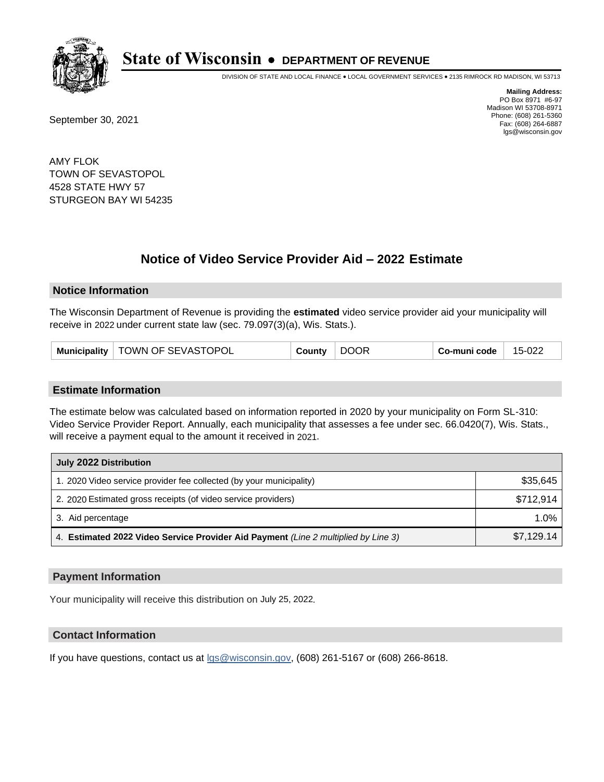

DIVISION OF STATE AND LOCAL FINANCE • LOCAL GOVERNMENT SERVICES • 2135 RIMROCK RD MADISON, WI 53713

September 30, 2021

**Mailing Address:** PO Box 8971 #6-97 Madison WI 53708-8971 Phone: (608) 261-5360 Fax: (608) 264-6887 lgs@wisconsin.gov

AMY FLOK TOWN OF SEVASTOPOL 4528 STATE HWY 57 STURGEON BAY WI 54235

# **Notice of Video Service Provider Aid - 2022 Estimate**

### **Notice Information**

The Wisconsin Department of Revenue is providing the **estimated** video service provider aid your municipality will receive in 2022 under current state law (sec. 79.097(3)(a), Wis. Stats.).

| Municipality   TOWN OF SEVASTOPOL | <b>DOOR</b><br>County | Co-muni code<br>15-022 |
|-----------------------------------|-----------------------|------------------------|
|-----------------------------------|-----------------------|------------------------|

#### **Estimate Information**

The estimate below was calculated based on information reported in 2020 by your municipality on Form SL-310: Video Service Provider Report. Annually, each municipality that assesses a fee under sec. 66.0420(7), Wis. Stats., will receive a payment equal to the amount it received in 2021.

| July 2022 Distribution                                                             |            |  |  |
|------------------------------------------------------------------------------------|------------|--|--|
| 1. 2020 Video service provider fee collected (by your municipality)                | \$35,645   |  |  |
| 2. 2020 Estimated gross receipts (of video service providers)                      | \$712.914  |  |  |
| 3. Aid percentage                                                                  | 1.0%       |  |  |
| 4. Estimated 2022 Video Service Provider Aid Payment (Line 2 multiplied by Line 3) | \$7,129.14 |  |  |

#### **Payment Information**

Your municipality will receive this distribution on July 25, 2022.

## **Contact Information**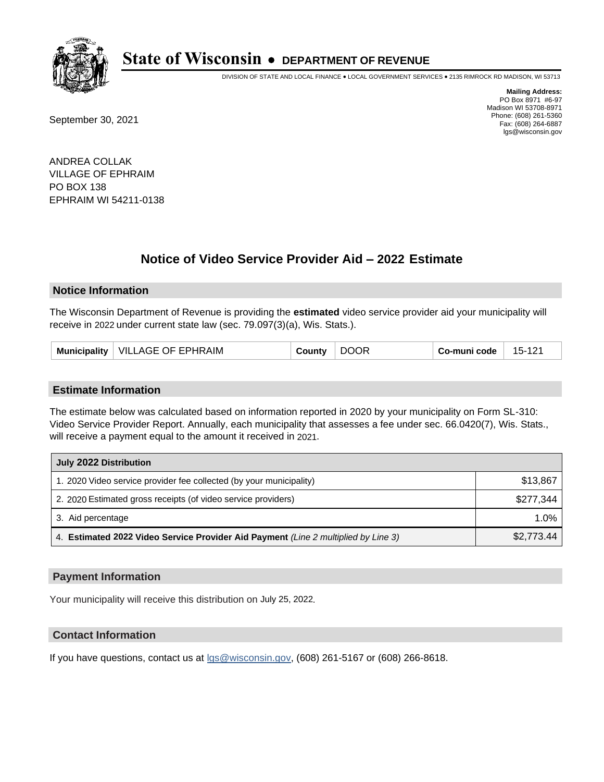

DIVISION OF STATE AND LOCAL FINANCE • LOCAL GOVERNMENT SERVICES • 2135 RIMROCK RD MADISON, WI 53713

September 30, 2021

**Mailing Address:** PO Box 8971 #6-97 Madison WI 53708-8971 Phone: (608) 261-5360 Fax: (608) 264-6887 lgs@wisconsin.gov

ANDREA COLLAK VILLAGE OF EPHRAIM PO BOX 138 EPHRAIM WI 54211-0138

# **Notice of Video Service Provider Aid - 2022 Estimate**

#### **Notice Information**

The Wisconsin Department of Revenue is providing the **estimated** video service provider aid your municipality will receive in 2022 under current state law (sec. 79.097(3)(a), Wis. Stats.).

| VILLAGE OF EPHRAIM<br><b>Municipality</b><br>วountv | <b>DOOR</b> | 15-121<br>Co-muni code |
|-----------------------------------------------------|-------------|------------------------|
|-----------------------------------------------------|-------------|------------------------|

#### **Estimate Information**

The estimate below was calculated based on information reported in 2020 by your municipality on Form SL-310: Video Service Provider Report. Annually, each municipality that assesses a fee under sec. 66.0420(7), Wis. Stats., will receive a payment equal to the amount it received in 2021.

| July 2022 Distribution                                                             |            |  |  |
|------------------------------------------------------------------------------------|------------|--|--|
| 1. 2020 Video service provider fee collected (by your municipality)                | \$13,867   |  |  |
| 2. 2020 Estimated gross receipts (of video service providers)                      | \$277.344  |  |  |
| 3. Aid percentage                                                                  | 1.0%       |  |  |
| 4. Estimated 2022 Video Service Provider Aid Payment (Line 2 multiplied by Line 3) | \$2,773.44 |  |  |

#### **Payment Information**

Your municipality will receive this distribution on July 25, 2022.

## **Contact Information**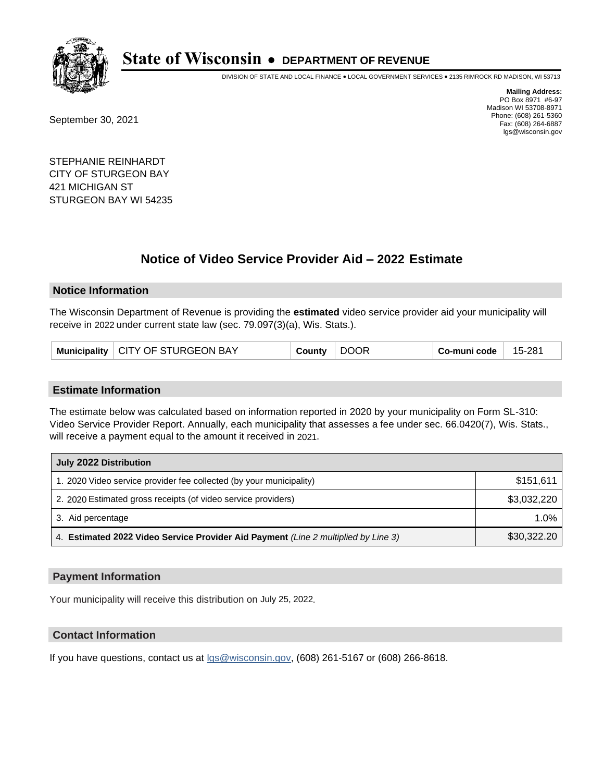

DIVISION OF STATE AND LOCAL FINANCE • LOCAL GOVERNMENT SERVICES • 2135 RIMROCK RD MADISON, WI 53713

September 30, 2021

**Mailing Address:** PO Box 8971 #6-97 Madison WI 53708-8971 Phone: (608) 261-5360 Fax: (608) 264-6887 lgs@wisconsin.gov

STEPHANIE REINHARDT CITY OF STURGEON BAY 421 MICHIGAN ST STURGEON BAY WI 54235

# **Notice of Video Service Provider Aid - 2022 Estimate**

### **Notice Information**

The Wisconsin Department of Revenue is providing the **estimated** video service provider aid your municipality will receive in 2022 under current state law (sec. 79.097(3)(a), Wis. Stats.).

|  | Municipality   CITY OF STURGEON BAY | County | <b>DOOR</b> | Co-muni code | 15-281 |
|--|-------------------------------------|--------|-------------|--------------|--------|
|--|-------------------------------------|--------|-------------|--------------|--------|

#### **Estimate Information**

The estimate below was calculated based on information reported in 2020 by your municipality on Form SL-310: Video Service Provider Report. Annually, each municipality that assesses a fee under sec. 66.0420(7), Wis. Stats., will receive a payment equal to the amount it received in 2021.

| July 2022 Distribution                                                             |             |  |  |
|------------------------------------------------------------------------------------|-------------|--|--|
| 1. 2020 Video service provider fee collected (by your municipality)                | \$151,611   |  |  |
| 2. 2020 Estimated gross receipts (of video service providers)                      | \$3,032,220 |  |  |
| 3. Aid percentage                                                                  | $1.0\%$     |  |  |
| 4. Estimated 2022 Video Service Provider Aid Payment (Line 2 multiplied by Line 3) | \$30,322.20 |  |  |

#### **Payment Information**

Your municipality will receive this distribution on July 25, 2022.

## **Contact Information**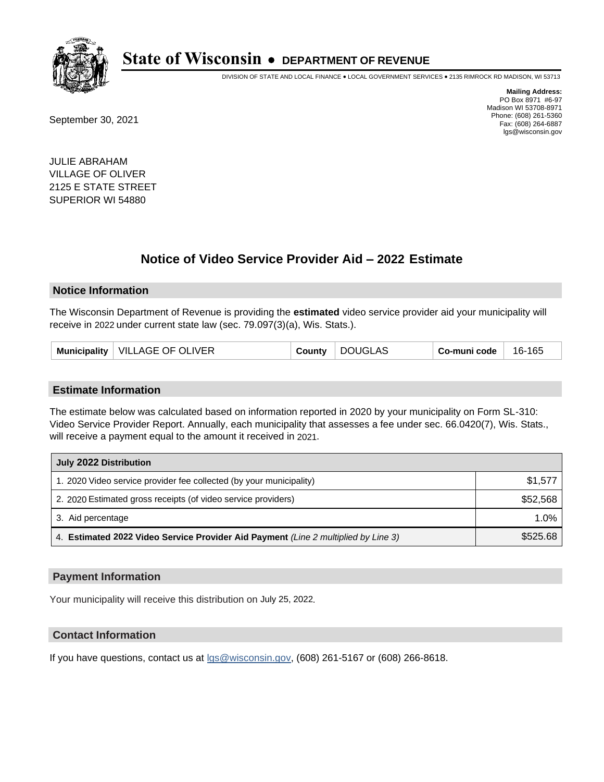

DIVISION OF STATE AND LOCAL FINANCE • LOCAL GOVERNMENT SERVICES • 2135 RIMROCK RD MADISON, WI 53713

September 30, 2021

**Mailing Address:** PO Box 8971 #6-97 Madison WI 53708-8971 Phone: (608) 261-5360 Fax: (608) 264-6887 lgs@wisconsin.gov

JULIE ABRAHAM VILLAGE OF OLIVER 2125 E STATE STREET SUPERIOR WI 54880

# **Notice of Video Service Provider Aid - 2022 Estimate**

#### **Notice Information**

The Wisconsin Department of Revenue is providing the **estimated** video service provider aid your municipality will receive in 2022 under current state law (sec. 79.097(3)(a), Wis. Stats.).

| Municipality   VILLAGE OF OLIVER | County | <b>DOUGLAS</b> | Co-muni code | 16-165 |
|----------------------------------|--------|----------------|--------------|--------|
|----------------------------------|--------|----------------|--------------|--------|

#### **Estimate Information**

The estimate below was calculated based on information reported in 2020 by your municipality on Form SL-310: Video Service Provider Report. Annually, each municipality that assesses a fee under sec. 66.0420(7), Wis. Stats., will receive a payment equal to the amount it received in 2021.

| July 2022 Distribution                                                             |          |  |  |  |
|------------------------------------------------------------------------------------|----------|--|--|--|
| 1. 2020 Video service provider fee collected (by your municipality)                | \$1,577  |  |  |  |
| 2. 2020 Estimated gross receipts (of video service providers)                      | \$52,568 |  |  |  |
| 3. Aid percentage                                                                  | 1.0%     |  |  |  |
| 4. Estimated 2022 Video Service Provider Aid Payment (Line 2 multiplied by Line 3) | \$525.68 |  |  |  |

### **Payment Information**

Your municipality will receive this distribution on July 25, 2022.

## **Contact Information**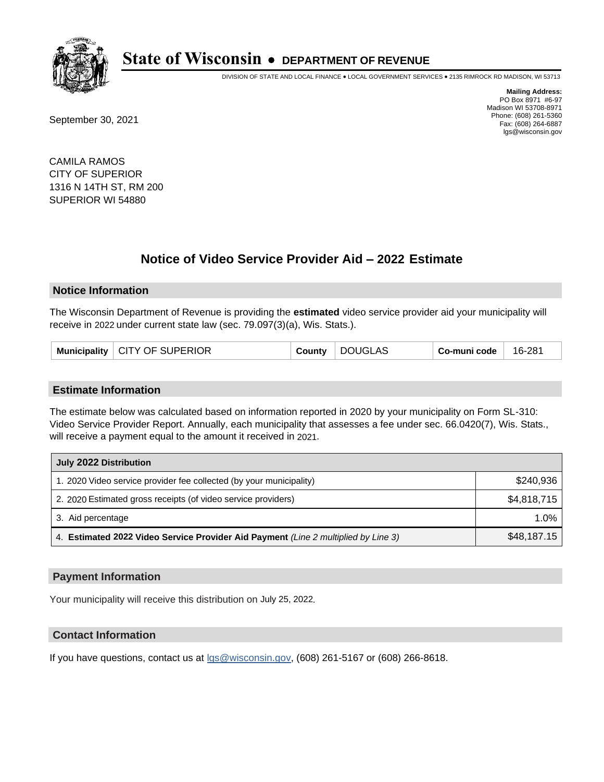

DIVISION OF STATE AND LOCAL FINANCE • LOCAL GOVERNMENT SERVICES • 2135 RIMROCK RD MADISON, WI 53713

September 30, 2021

**Mailing Address:** PO Box 8971 #6-97 Madison WI 53708-8971 Phone: (608) 261-5360 Fax: (608) 264-6887 lgs@wisconsin.gov

CAMILA RAMOS CITY OF SUPERIOR 1316 N 14TH ST, RM 200 SUPERIOR WI 54880

# **Notice of Video Service Provider Aid - 2022 Estimate**

#### **Notice Information**

The Wisconsin Department of Revenue is providing the **estimated** video service provider aid your municipality will receive in 2022 under current state law (sec. 79.097(3)(a), Wis. Stats.).

| Municipality   CITY OF SUPERIOR | County | DOUGLAS | Co-muni code | 16-281 |
|---------------------------------|--------|---------|--------------|--------|
|---------------------------------|--------|---------|--------------|--------|

#### **Estimate Information**

The estimate below was calculated based on information reported in 2020 by your municipality on Form SL-310: Video Service Provider Report. Annually, each municipality that assesses a fee under sec. 66.0420(7), Wis. Stats., will receive a payment equal to the amount it received in 2021.

| July 2022 Distribution                                                             |             |  |  |
|------------------------------------------------------------------------------------|-------------|--|--|
| 1. 2020 Video service provider fee collected (by your municipality)                | \$240.936   |  |  |
| 2. 2020 Estimated gross receipts (of video service providers)                      | \$4,818,715 |  |  |
| 3. Aid percentage                                                                  | $1.0\%$     |  |  |
| 4. Estimated 2022 Video Service Provider Aid Payment (Line 2 multiplied by Line 3) | \$48,187.15 |  |  |

#### **Payment Information**

Your municipality will receive this distribution on July 25, 2022.

## **Contact Information**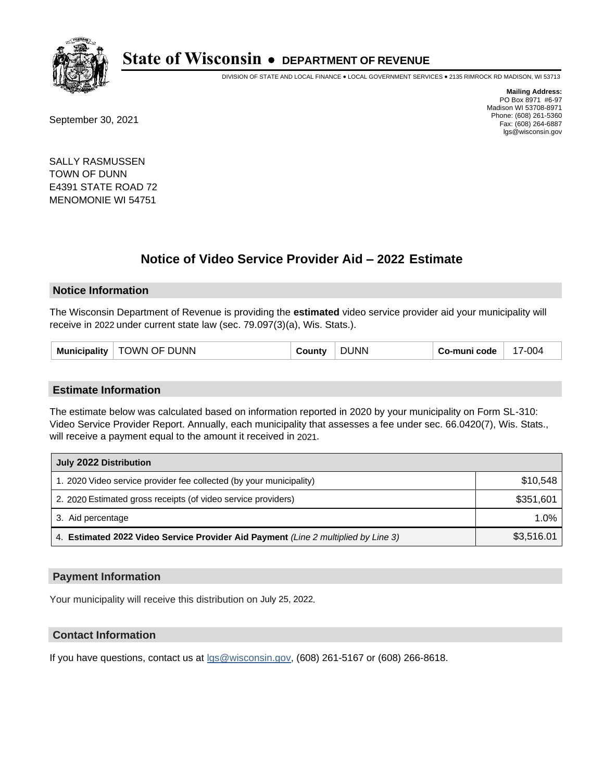

DIVISION OF STATE AND LOCAL FINANCE • LOCAL GOVERNMENT SERVICES • 2135 RIMROCK RD MADISON, WI 53713

September 30, 2021

**Mailing Address:** PO Box 8971 #6-97 Madison WI 53708-8971 Phone: (608) 261-5360 Fax: (608) 264-6887 lgs@wisconsin.gov

SALLY RASMUSSEN TOWN OF DUNN E4391 STATE ROAD 72 MENOMONIE WI 54751

# **Notice of Video Service Provider Aid - 2022 Estimate**

#### **Notice Information**

The Wisconsin Department of Revenue is providing the **estimated** video service provider aid your municipality will receive in 2022 under current state law (sec. 79.097(3)(a), Wis. Stats.).

| TOWN OF DUNN<br>Municipality | ວountv | <b>DUNN</b> | Co-muni code | 17-004 |
|------------------------------|--------|-------------|--------------|--------|
|------------------------------|--------|-------------|--------------|--------|

#### **Estimate Information**

The estimate below was calculated based on information reported in 2020 by your municipality on Form SL-310: Video Service Provider Report. Annually, each municipality that assesses a fee under sec. 66.0420(7), Wis. Stats., will receive a payment equal to the amount it received in 2021.

| July 2022 Distribution                                                             |            |
|------------------------------------------------------------------------------------|------------|
| 1. 2020 Video service provider fee collected (by your municipality)                | \$10,548   |
| 2. 2020 Estimated gross receipts (of video service providers)                      | \$351,601  |
| 3. Aid percentage                                                                  | 1.0%       |
| 4. Estimated 2022 Video Service Provider Aid Payment (Line 2 multiplied by Line 3) | \$3,516.01 |

#### **Payment Information**

Your municipality will receive this distribution on July 25, 2022.

## **Contact Information**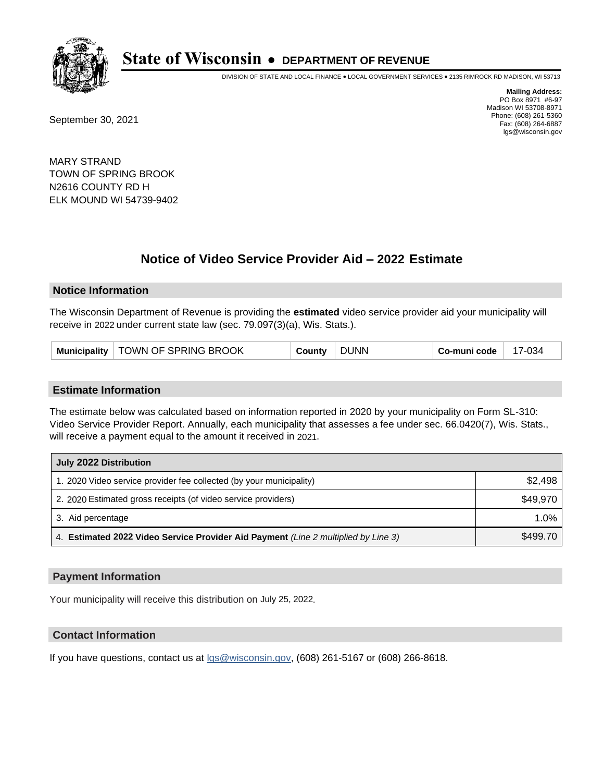

DIVISION OF STATE AND LOCAL FINANCE • LOCAL GOVERNMENT SERVICES • 2135 RIMROCK RD MADISON, WI 53713

September 30, 2021

**Mailing Address:** PO Box 8971 #6-97 Madison WI 53708-8971 Phone: (608) 261-5360 Fax: (608) 264-6887 lgs@wisconsin.gov

MARY STRAND TOWN OF SPRING BROOK N2616 COUNTY RD H ELK MOUND WI 54739-9402

# **Notice of Video Service Provider Aid - 2022 Estimate**

#### **Notice Information**

The Wisconsin Department of Revenue is providing the **estimated** video service provider aid your municipality will receive in 2022 under current state law (sec. 79.097(3)(a), Wis. Stats.).

#### **Estimate Information**

The estimate below was calculated based on information reported in 2020 by your municipality on Form SL-310: Video Service Provider Report. Annually, each municipality that assesses a fee under sec. 66.0420(7), Wis. Stats., will receive a payment equal to the amount it received in 2021.

| July 2022 Distribution                                                             |          |  |  |  |
|------------------------------------------------------------------------------------|----------|--|--|--|
| 1. 2020 Video service provider fee collected (by your municipality)                | \$2,498  |  |  |  |
| 2. 2020 Estimated gross receipts (of video service providers)                      | \$49,970 |  |  |  |
| 3. Aid percentage                                                                  | $1.0\%$  |  |  |  |
| 4. Estimated 2022 Video Service Provider Aid Payment (Line 2 multiplied by Line 3) | \$499.70 |  |  |  |

#### **Payment Information**

Your municipality will receive this distribution on July 25, 2022.

## **Contact Information**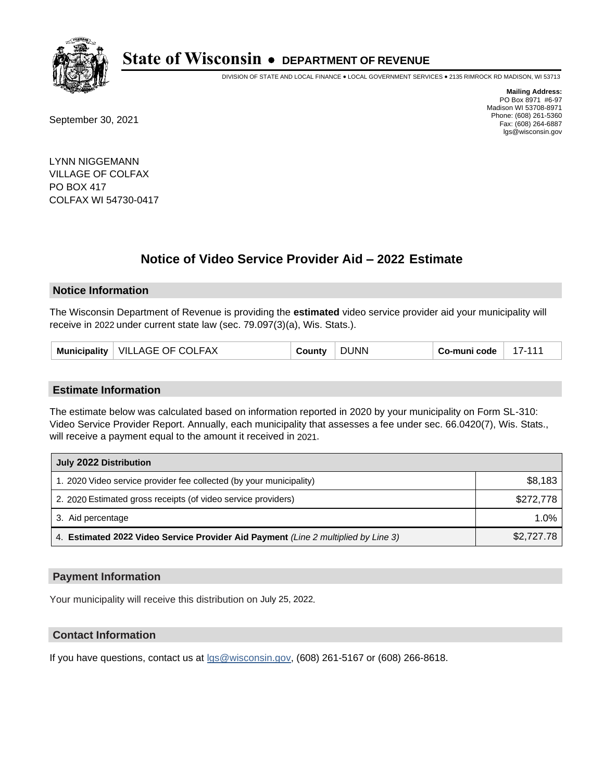

DIVISION OF STATE AND LOCAL FINANCE • LOCAL GOVERNMENT SERVICES • 2135 RIMROCK RD MADISON, WI 53713

September 30, 2021

**Mailing Address:** PO Box 8971 #6-97 Madison WI 53708-8971 Phone: (608) 261-5360 Fax: (608) 264-6887 lgs@wisconsin.gov

LYNN NIGGEMANN VILLAGE OF COLFAX PO BOX 417 COLFAX WI 54730-0417

# **Notice of Video Service Provider Aid - 2022 Estimate**

#### **Notice Information**

The Wisconsin Department of Revenue is providing the **estimated** video service provider aid your municipality will receive in 2022 under current state law (sec. 79.097(3)(a), Wis. Stats.).

| Municipality   VILLAGE OF COLFAX<br>County | <b>DUNN</b> | Co-muni code | $17 - 11$ |
|--------------------------------------------|-------------|--------------|-----------|
|--------------------------------------------|-------------|--------------|-----------|

#### **Estimate Information**

The estimate below was calculated based on information reported in 2020 by your municipality on Form SL-310: Video Service Provider Report. Annually, each municipality that assesses a fee under sec. 66.0420(7), Wis. Stats., will receive a payment equal to the amount it received in 2021.

| July 2022 Distribution                                                             |            |  |  |
|------------------------------------------------------------------------------------|------------|--|--|
| 1. 2020 Video service provider fee collected (by your municipality)                | \$8,183    |  |  |
| 2. 2020 Estimated gross receipts (of video service providers)                      | \$272,778  |  |  |
| 3. Aid percentage                                                                  | $1.0\%$    |  |  |
| 4. Estimated 2022 Video Service Provider Aid Payment (Line 2 multiplied by Line 3) | \$2,727.78 |  |  |

#### **Payment Information**

Your municipality will receive this distribution on July 25, 2022.

## **Contact Information**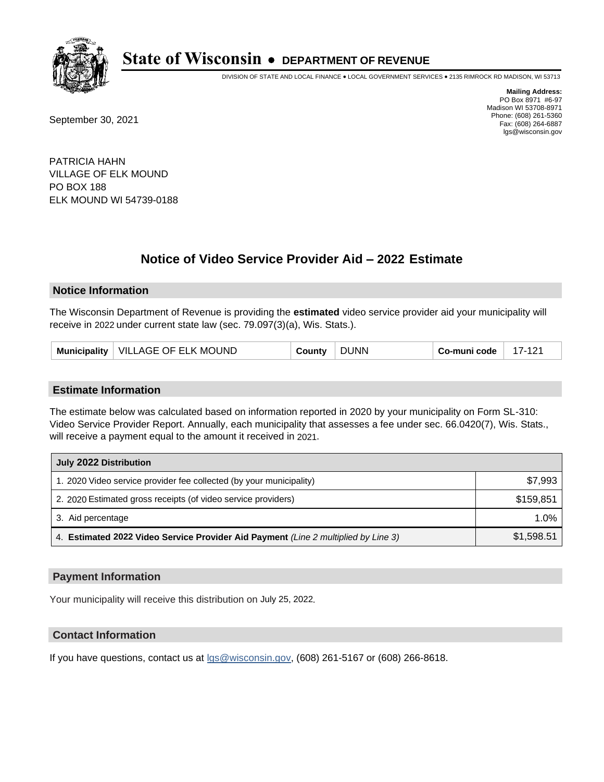

DIVISION OF STATE AND LOCAL FINANCE • LOCAL GOVERNMENT SERVICES • 2135 RIMROCK RD MADISON, WI 53713

September 30, 2021

**Mailing Address:** PO Box 8971 #6-97 Madison WI 53708-8971 Phone: (608) 261-5360 Fax: (608) 264-6887 lgs@wisconsin.gov

PATRICIA HAHN VILLAGE OF ELK MOUND PO BOX 188 ELK MOUND WI 54739-0188

# **Notice of Video Service Provider Aid - 2022 Estimate**

#### **Notice Information**

The Wisconsin Department of Revenue is providing the **estimated** video service provider aid your municipality will receive in 2022 under current state law (sec. 79.097(3)(a), Wis. Stats.).

| VILLAGE OF ELK MOUND<br><b>Municipality</b> | County | <b>DUNN</b> | Co-muni code | 47 |
|---------------------------------------------|--------|-------------|--------------|----|
|---------------------------------------------|--------|-------------|--------------|----|

#### **Estimate Information**

The estimate below was calculated based on information reported in 2020 by your municipality on Form SL-310: Video Service Provider Report. Annually, each municipality that assesses a fee under sec. 66.0420(7), Wis. Stats., will receive a payment equal to the amount it received in 2021.

| July 2022 Distribution                                                             |            |
|------------------------------------------------------------------------------------|------------|
| 1. 2020 Video service provider fee collected (by your municipality)                | \$7,993    |
| 2. 2020 Estimated gross receipts (of video service providers)                      | \$159.851  |
| 3. Aid percentage                                                                  | $1.0\%$    |
| 4. Estimated 2022 Video Service Provider Aid Payment (Line 2 multiplied by Line 3) | \$1,598.51 |

#### **Payment Information**

Your municipality will receive this distribution on July 25, 2022.

## **Contact Information**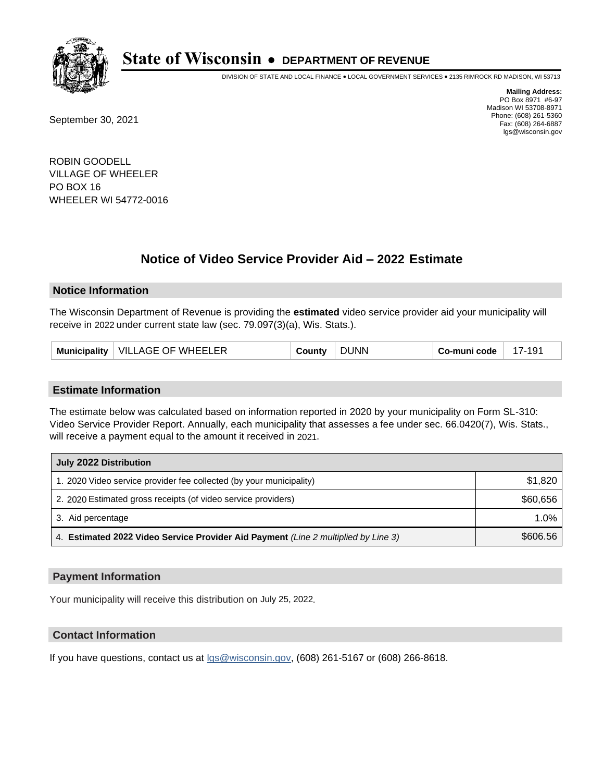

DIVISION OF STATE AND LOCAL FINANCE • LOCAL GOVERNMENT SERVICES • 2135 RIMROCK RD MADISON, WI 53713

September 30, 2021

**Mailing Address:** PO Box 8971 #6-97 Madison WI 53708-8971 Phone: (608) 261-5360 Fax: (608) 264-6887 lgs@wisconsin.gov

ROBIN GOODELL VILLAGE OF WHEELER PO BOX 16 WHEELER WI 54772-0016

# **Notice of Video Service Provider Aid - 2022 Estimate**

#### **Notice Information**

The Wisconsin Department of Revenue is providing the **estimated** video service provider aid your municipality will receive in 2022 under current state law (sec. 79.097(3)(a), Wis. Stats.).

| VILLAGE OF WHEELER<br>Municipality | `ountv | ר UNN | Co-muni code | 17-191 |
|------------------------------------|--------|-------|--------------|--------|
|------------------------------------|--------|-------|--------------|--------|

#### **Estimate Information**

The estimate below was calculated based on information reported in 2020 by your municipality on Form SL-310: Video Service Provider Report. Annually, each municipality that assesses a fee under sec. 66.0420(7), Wis. Stats., will receive a payment equal to the amount it received in 2021.

| July 2022 Distribution                                                             |          |
|------------------------------------------------------------------------------------|----------|
| 1. 2020 Video service provider fee collected (by your municipality)                | \$1,820  |
| 2. 2020 Estimated gross receipts (of video service providers)                      | \$60,656 |
| 3. Aid percentage                                                                  | 1.0%     |
| 4. Estimated 2022 Video Service Provider Aid Payment (Line 2 multiplied by Line 3) | \$606.56 |

#### **Payment Information**

Your municipality will receive this distribution on July 25, 2022.

## **Contact Information**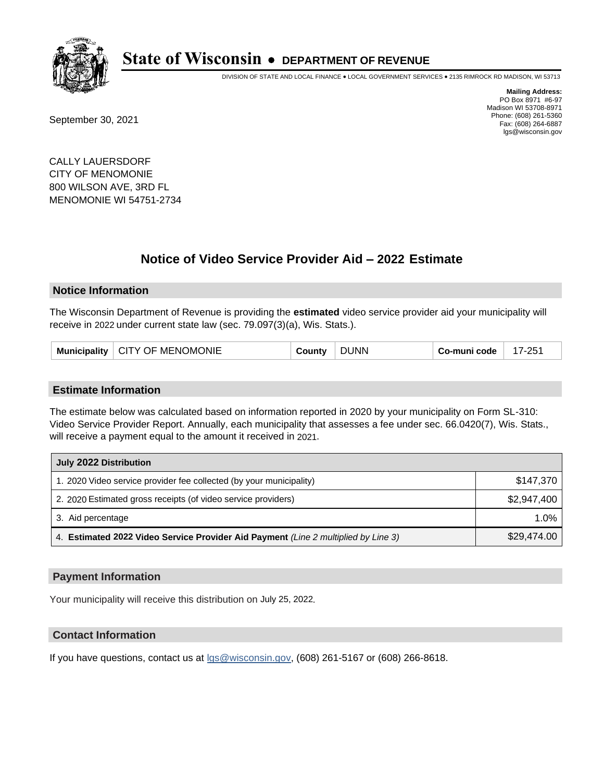

DIVISION OF STATE AND LOCAL FINANCE • LOCAL GOVERNMENT SERVICES • 2135 RIMROCK RD MADISON, WI 53713

September 30, 2021

**Mailing Address:** PO Box 8971 #6-97 Madison WI 53708-8971 Phone: (608) 261-5360 Fax: (608) 264-6887 lgs@wisconsin.gov

CALLY LAUERSDORF CITY OF MENOMONIE 800 WILSON AVE, 3RD FL MENOMONIE WI 54751-2734

# **Notice of Video Service Provider Aid - 2022 Estimate**

#### **Notice Information**

The Wisconsin Department of Revenue is providing the **estimated** video service provider aid your municipality will receive in 2022 under current state law (sec. 79.097(3)(a), Wis. Stats.).

| <b>CITY OF MENOMONIE</b><br><b>Municipality</b> | ≀ountv | ' INN | -muni code | $7 - 251$ |
|-------------------------------------------------|--------|-------|------------|-----------|
|-------------------------------------------------|--------|-------|------------|-----------|

#### **Estimate Information**

The estimate below was calculated based on information reported in 2020 by your municipality on Form SL-310: Video Service Provider Report. Annually, each municipality that assesses a fee under sec. 66.0420(7), Wis. Stats., will receive a payment equal to the amount it received in 2021.

| July 2022 Distribution                                                             |             |
|------------------------------------------------------------------------------------|-------------|
| 1. 2020 Video service provider fee collected (by your municipality)                | \$147,370   |
| 2. 2020 Estimated gross receipts (of video service providers)                      | \$2,947,400 |
| 3. Aid percentage                                                                  | 1.0%        |
| 4. Estimated 2022 Video Service Provider Aid Payment (Line 2 multiplied by Line 3) | \$29,474.00 |

#### **Payment Information**

Your municipality will receive this distribution on July 25, 2022.

## **Contact Information**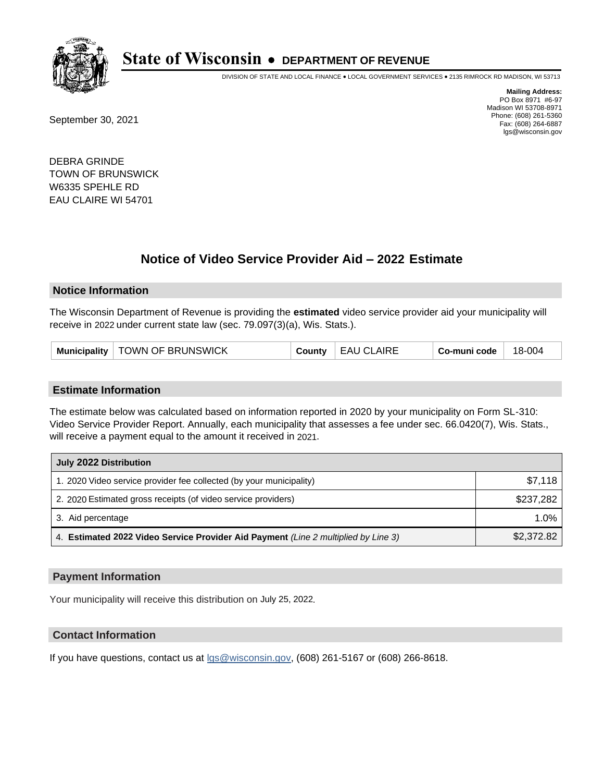

DIVISION OF STATE AND LOCAL FINANCE • LOCAL GOVERNMENT SERVICES • 2135 RIMROCK RD MADISON, WI 53713

September 30, 2021

**Mailing Address:** PO Box 8971 #6-97 Madison WI 53708-8971 Phone: (608) 261-5360 Fax: (608) 264-6887 lgs@wisconsin.gov

DEBRA GRINDE TOWN OF BRUNSWICK W6335 SPEHLE RD EAU CLAIRE WI 54701

# **Notice of Video Service Provider Aid - 2022 Estimate**

### **Notice Information**

The Wisconsin Department of Revenue is providing the **estimated** video service provider aid your municipality will receive in 2022 under current state law (sec. 79.097(3)(a), Wis. Stats.).

#### **Estimate Information**

The estimate below was calculated based on information reported in 2020 by your municipality on Form SL-310: Video Service Provider Report. Annually, each municipality that assesses a fee under sec. 66.0420(7), Wis. Stats., will receive a payment equal to the amount it received in 2021.

| July 2022 Distribution                                                             |            |  |
|------------------------------------------------------------------------------------|------------|--|
| 1. 2020 Video service provider fee collected (by your municipality)                | \$7,118    |  |
| 2. 2020 Estimated gross receipts (of video service providers)                      | \$237.282  |  |
| 3. Aid percentage                                                                  | $1.0\%$    |  |
| 4. Estimated 2022 Video Service Provider Aid Payment (Line 2 multiplied by Line 3) | \$2,372.82 |  |

#### **Payment Information**

Your municipality will receive this distribution on July 25, 2022.

## **Contact Information**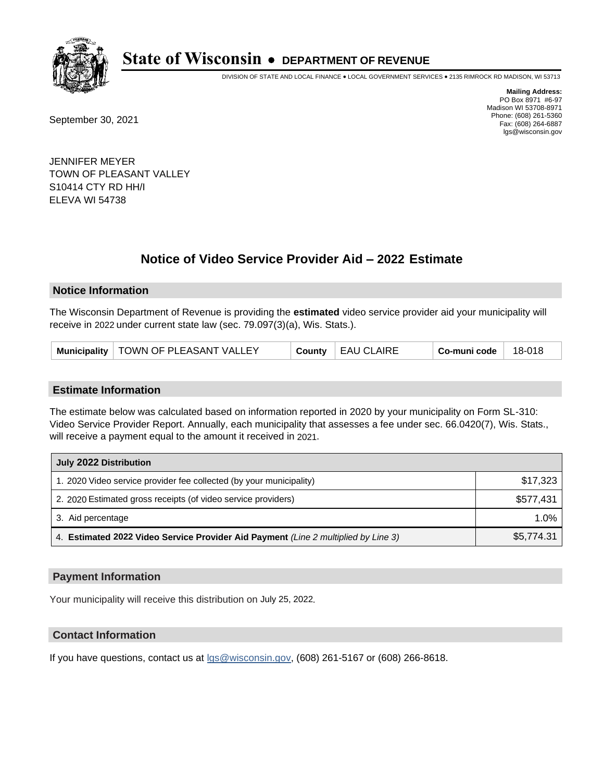

DIVISION OF STATE AND LOCAL FINANCE • LOCAL GOVERNMENT SERVICES • 2135 RIMROCK RD MADISON, WI 53713

September 30, 2021

**Mailing Address:** PO Box 8971 #6-97 Madison WI 53708-8971 Phone: (608) 261-5360 Fax: (608) 264-6887 lgs@wisconsin.gov

JENNIFER MEYER TOWN OF PLEASANT VALLEY S10414 CTY RD HH/I ELEVA WI 54738

# **Notice of Video Service Provider Aid - 2022 Estimate**

### **Notice Information**

The Wisconsin Department of Revenue is providing the **estimated** video service provider aid your municipality will receive in 2022 under current state law (sec. 79.097(3)(a), Wis. Stats.).

| Municipality   TOWN OF PLEASANT VALLEY<br><b>EAU CLAIRE</b><br>18-018<br>Co-muni code<br>County |
|-------------------------------------------------------------------------------------------------|
|-------------------------------------------------------------------------------------------------|

#### **Estimate Information**

The estimate below was calculated based on information reported in 2020 by your municipality on Form SL-310: Video Service Provider Report. Annually, each municipality that assesses a fee under sec. 66.0420(7), Wis. Stats., will receive a payment equal to the amount it received in 2021.

| July 2022 Distribution                                                             |            |  |
|------------------------------------------------------------------------------------|------------|--|
| 1. 2020 Video service provider fee collected (by your municipality)                | \$17,323   |  |
| 2. 2020 Estimated gross receipts (of video service providers)                      | \$577.431  |  |
| 3. Aid percentage                                                                  | $1.0\%$    |  |
| 4. Estimated 2022 Video Service Provider Aid Payment (Line 2 multiplied by Line 3) | \$5,774.31 |  |

#### **Payment Information**

Your municipality will receive this distribution on July 25, 2022.

## **Contact Information**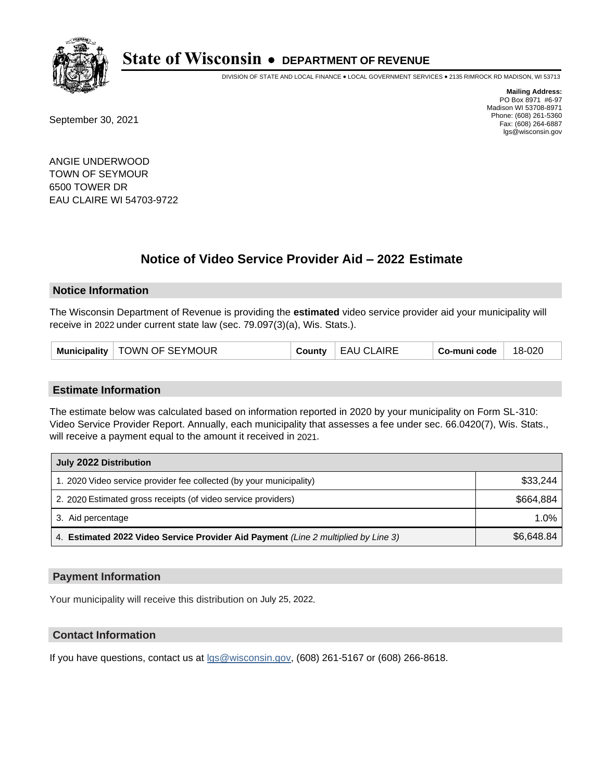

DIVISION OF STATE AND LOCAL FINANCE • LOCAL GOVERNMENT SERVICES • 2135 RIMROCK RD MADISON, WI 53713

September 30, 2021

**Mailing Address:** PO Box 8971 #6-97 Madison WI 53708-8971 Phone: (608) 261-5360 Fax: (608) 264-6887 lgs@wisconsin.gov

ANGIE UNDERWOOD TOWN OF SEYMOUR 6500 TOWER DR EAU CLAIRE WI 54703-9722

# **Notice of Video Service Provider Aid - 2022 Estimate**

#### **Notice Information**

The Wisconsin Department of Revenue is providing the **estimated** video service provider aid your municipality will receive in 2022 under current state law (sec. 79.097(3)(a), Wis. Stats.).

| Municipality   TOWN OF SEYMOUR | County | <b>EAU CLAIRE</b> | Co-muni code | 18-020 |
|--------------------------------|--------|-------------------|--------------|--------|
|--------------------------------|--------|-------------------|--------------|--------|

#### **Estimate Information**

The estimate below was calculated based on information reported in 2020 by your municipality on Form SL-310: Video Service Provider Report. Annually, each municipality that assesses a fee under sec. 66.0420(7), Wis. Stats., will receive a payment equal to the amount it received in 2021.

| July 2022 Distribution                                                             |            |  |
|------------------------------------------------------------------------------------|------------|--|
| 1. 2020 Video service provider fee collected (by your municipality)                | \$33,244   |  |
| 2. 2020 Estimated gross receipts (of video service providers)                      | \$664.884  |  |
| 3. Aid percentage                                                                  | $1.0\%$    |  |
| 4. Estimated 2022 Video Service Provider Aid Payment (Line 2 multiplied by Line 3) | \$6,648.84 |  |

#### **Payment Information**

Your municipality will receive this distribution on July 25, 2022.

## **Contact Information**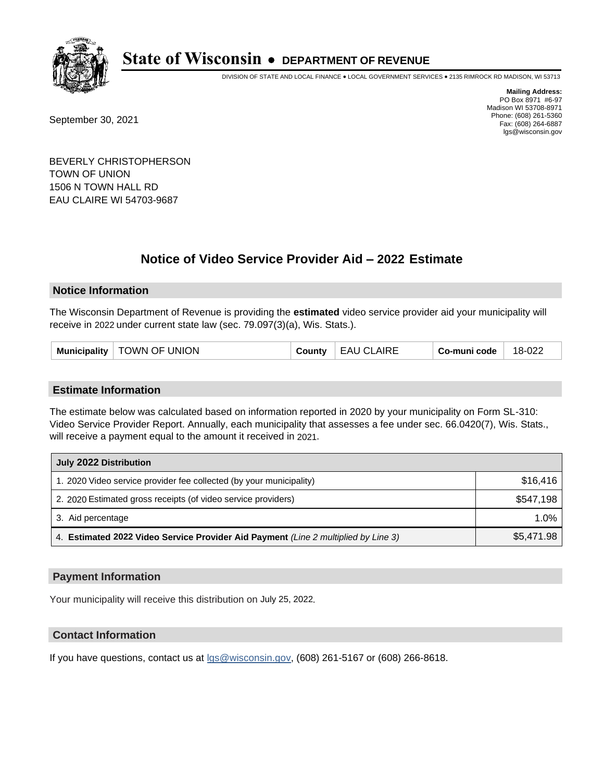

DIVISION OF STATE AND LOCAL FINANCE • LOCAL GOVERNMENT SERVICES • 2135 RIMROCK RD MADISON, WI 53713

September 30, 2021

**Mailing Address:** PO Box 8971 #6-97 Madison WI 53708-8971 Phone: (608) 261-5360 Fax: (608) 264-6887 lgs@wisconsin.gov

BEVERLY CHRISTOPHERSON TOWN OF UNION 1506 N TOWN HALL RD EAU CLAIRE WI 54703-9687

# **Notice of Video Service Provider Aid - 2022 Estimate**

### **Notice Information**

The Wisconsin Department of Revenue is providing the **estimated** video service provider aid your municipality will receive in 2022 under current state law (sec. 79.097(3)(a), Wis. Stats.).

#### **Estimate Information**

The estimate below was calculated based on information reported in 2020 by your municipality on Form SL-310: Video Service Provider Report. Annually, each municipality that assesses a fee under sec. 66.0420(7), Wis. Stats., will receive a payment equal to the amount it received in 2021.

| July 2022 Distribution                                                             |            |  |
|------------------------------------------------------------------------------------|------------|--|
| 1. 2020 Video service provider fee collected (by your municipality)                | \$16.416   |  |
| 2. 2020 Estimated gross receipts (of video service providers)                      | \$547.198  |  |
| 3. Aid percentage                                                                  | $1.0\%$    |  |
| 4. Estimated 2022 Video Service Provider Aid Payment (Line 2 multiplied by Line 3) | \$5,471.98 |  |

#### **Payment Information**

Your municipality will receive this distribution on July 25, 2022.

## **Contact Information**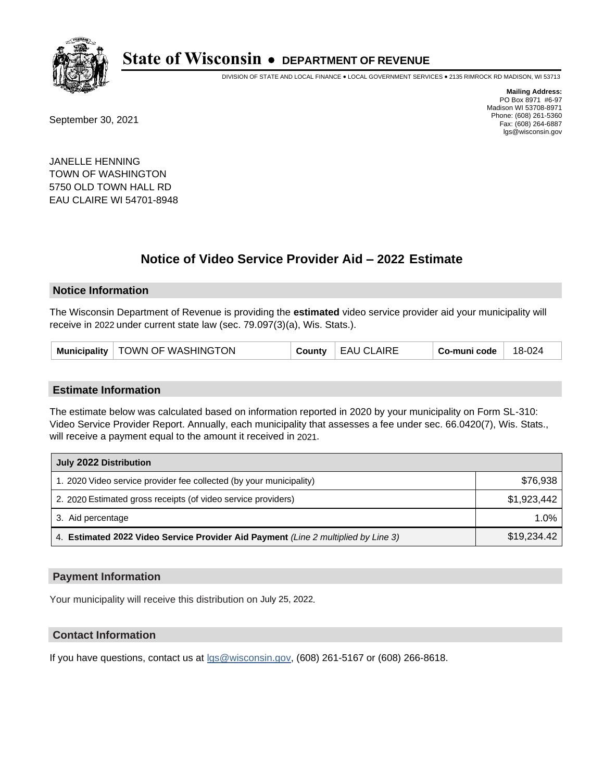

DIVISION OF STATE AND LOCAL FINANCE • LOCAL GOVERNMENT SERVICES • 2135 RIMROCK RD MADISON, WI 53713

September 30, 2021

**Mailing Address:** PO Box 8971 #6-97 Madison WI 53708-8971 Phone: (608) 261-5360 Fax: (608) 264-6887 lgs@wisconsin.gov

JANELLE HENNING TOWN OF WASHINGTON 5750 OLD TOWN HALL RD EAU CLAIRE WI 54701-8948

# **Notice of Video Service Provider Aid - 2022 Estimate**

#### **Notice Information**

The Wisconsin Department of Revenue is providing the **estimated** video service provider aid your municipality will receive in 2022 under current state law (sec. 79.097(3)(a), Wis. Stats.).

#### **Estimate Information**

The estimate below was calculated based on information reported in 2020 by your municipality on Form SL-310: Video Service Provider Report. Annually, each municipality that assesses a fee under sec. 66.0420(7), Wis. Stats., will receive a payment equal to the amount it received in 2021.

| July 2022 Distribution                                                             |             |  |
|------------------------------------------------------------------------------------|-------------|--|
| 1. 2020 Video service provider fee collected (by your municipality)                | \$76,938    |  |
| 2. 2020 Estimated gross receipts (of video service providers)                      | \$1,923,442 |  |
| 3. Aid percentage                                                                  | $1.0\%$     |  |
| 4. Estimated 2022 Video Service Provider Aid Payment (Line 2 multiplied by Line 3) | \$19,234.42 |  |

#### **Payment Information**

Your municipality will receive this distribution on July 25, 2022.

## **Contact Information**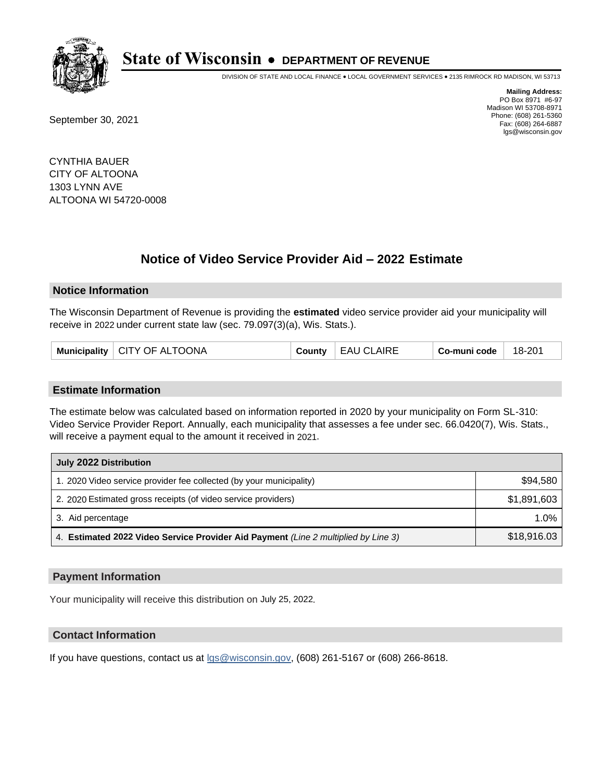

DIVISION OF STATE AND LOCAL FINANCE • LOCAL GOVERNMENT SERVICES • 2135 RIMROCK RD MADISON, WI 53713

September 30, 2021

**Mailing Address:** PO Box 8971 #6-97 Madison WI 53708-8971 Phone: (608) 261-5360 Fax: (608) 264-6887 lgs@wisconsin.gov

CYNTHIA BAUER CITY OF ALTOONA 1303 LYNN AVE ALTOONA WI 54720-0008

# **Notice of Video Service Provider Aid - 2022 Estimate**

#### **Notice Information**

The Wisconsin Department of Revenue is providing the **estimated** video service provider aid your municipality will receive in 2022 under current state law (sec. 79.097(3)(a), Wis. Stats.).

| Municipality   CITY OF ALTOONA | County | EAU CLAIRE | Co-muni code | 18-201 |
|--------------------------------|--------|------------|--------------|--------|
|--------------------------------|--------|------------|--------------|--------|

#### **Estimate Information**

The estimate below was calculated based on information reported in 2020 by your municipality on Form SL-310: Video Service Provider Report. Annually, each municipality that assesses a fee under sec. 66.0420(7), Wis. Stats., will receive a payment equal to the amount it received in 2021.

| July 2022 Distribution                                                             |             |  |
|------------------------------------------------------------------------------------|-------------|--|
| 1. 2020 Video service provider fee collected (by your municipality)                | \$94,580    |  |
| 2. 2020 Estimated gross receipts (of video service providers)                      | \$1,891,603 |  |
| 3. Aid percentage                                                                  | 1.0%        |  |
| 4. Estimated 2022 Video Service Provider Aid Payment (Line 2 multiplied by Line 3) | \$18,916.03 |  |

#### **Payment Information**

Your municipality will receive this distribution on July 25, 2022.

## **Contact Information**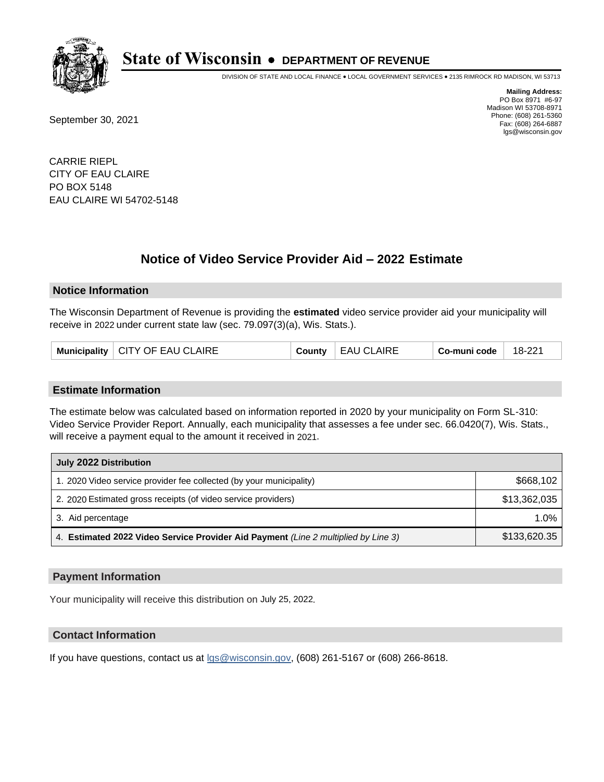

DIVISION OF STATE AND LOCAL FINANCE • LOCAL GOVERNMENT SERVICES • 2135 RIMROCK RD MADISON, WI 53713

September 30, 2021

**Mailing Address:** PO Box 8971 #6-97 Madison WI 53708-8971 Phone: (608) 261-5360 Fax: (608) 264-6887 lgs@wisconsin.gov

CARRIE RIEPL CITY OF EAU CLAIRE PO BOX 5148 EAU CLAIRE WI 54702-5148

# **Notice of Video Service Provider Aid - 2022 Estimate**

#### **Notice Information**

The Wisconsin Department of Revenue is providing the **estimated** video service provider aid your municipality will receive in 2022 under current state law (sec. 79.097(3)(a), Wis. Stats.).

| Municipality   CITY OF EAU CLAIRE |  | County | EAU CLAIRE | Co-muni code | 18-221 |
|-----------------------------------|--|--------|------------|--------------|--------|
|-----------------------------------|--|--------|------------|--------------|--------|

#### **Estimate Information**

The estimate below was calculated based on information reported in 2020 by your municipality on Form SL-310: Video Service Provider Report. Annually, each municipality that assesses a fee under sec. 66.0420(7), Wis. Stats., will receive a payment equal to the amount it received in 2021.

| July 2022 Distribution                                                             |              |  |  |
|------------------------------------------------------------------------------------|--------------|--|--|
| 1. 2020 Video service provider fee collected (by your municipality)                | \$668,102    |  |  |
| 2. 2020 Estimated gross receipts (of video service providers)                      | \$13,362,035 |  |  |
| 3. Aid percentage                                                                  | $1.0\%$      |  |  |
| 4. Estimated 2022 Video Service Provider Aid Payment (Line 2 multiplied by Line 3) | \$133,620.35 |  |  |

#### **Payment Information**

Your municipality will receive this distribution on July 25, 2022.

## **Contact Information**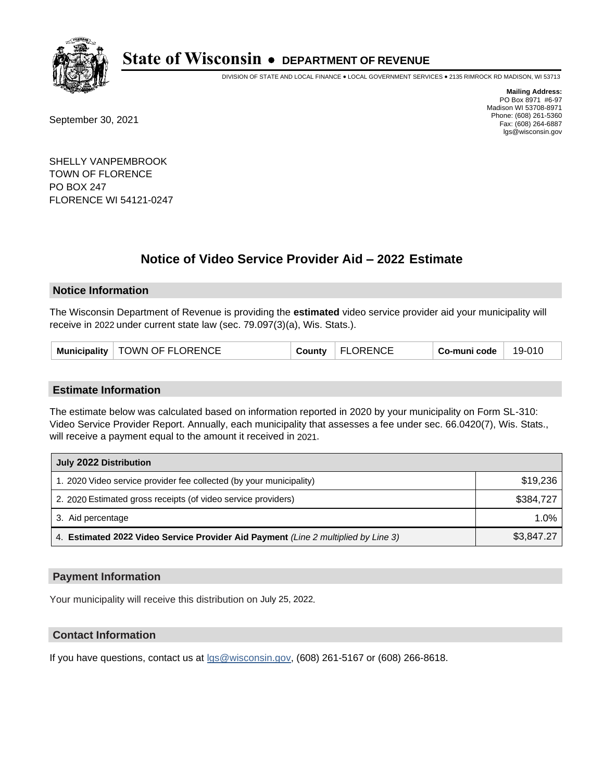

DIVISION OF STATE AND LOCAL FINANCE • LOCAL GOVERNMENT SERVICES • 2135 RIMROCK RD MADISON, WI 53713

September 30, 2021

**Mailing Address:** PO Box 8971 #6-97 Madison WI 53708-8971 Phone: (608) 261-5360 Fax: (608) 264-6887 lgs@wisconsin.gov

SHELLY VANPEMBROOK TOWN OF FLORENCE PO BOX 247 FLORENCE WI 54121-0247

# **Notice of Video Service Provider Aid - 2022 Estimate**

### **Notice Information**

The Wisconsin Department of Revenue is providing the **estimated** video service provider aid your municipality will receive in 2022 under current state law (sec. 79.097(3)(a), Wis. Stats.).

| Municipality   TOWN OF FLORENCE | County | FLORENCE | Co-muni code | 19-010 |
|---------------------------------|--------|----------|--------------|--------|
|---------------------------------|--------|----------|--------------|--------|

#### **Estimate Information**

The estimate below was calculated based on information reported in 2020 by your municipality on Form SL-310: Video Service Provider Report. Annually, each municipality that assesses a fee under sec. 66.0420(7), Wis. Stats., will receive a payment equal to the amount it received in 2021.

| July 2022 Distribution                                                             |            |  |  |
|------------------------------------------------------------------------------------|------------|--|--|
| 1. 2020 Video service provider fee collected (by your municipality)                | \$19,236   |  |  |
| 2. 2020 Estimated gross receipts (of video service providers)                      | \$384.727  |  |  |
| 3. Aid percentage                                                                  | 1.0%       |  |  |
| 4. Estimated 2022 Video Service Provider Aid Payment (Line 2 multiplied by Line 3) | \$3,847.27 |  |  |

#### **Payment Information**

Your municipality will receive this distribution on July 25, 2022.

## **Contact Information**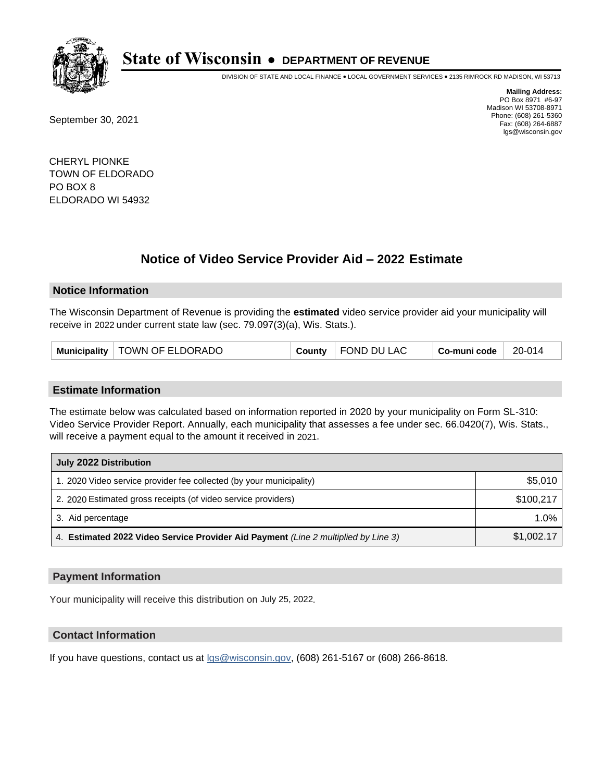

DIVISION OF STATE AND LOCAL FINANCE • LOCAL GOVERNMENT SERVICES • 2135 RIMROCK RD MADISON, WI 53713

September 30, 2021

**Mailing Address:** PO Box 8971 #6-97 Madison WI 53708-8971 Phone: (608) 261-5360 Fax: (608) 264-6887 lgs@wisconsin.gov

CHERYL PIONKE TOWN OF ELDORADO PO BOX 8 ELDORADO WI 54932

# **Notice of Video Service Provider Aid - 2022 Estimate**

#### **Notice Information**

The Wisconsin Department of Revenue is providing the **estimated** video service provider aid your municipality will receive in 2022 under current state law (sec. 79.097(3)(a), Wis. Stats.).

|  | Municipality   TOWN OF ELDORADO | County | FOND DU LAC | Co-muni code | 20-014 |
|--|---------------------------------|--------|-------------|--------------|--------|
|--|---------------------------------|--------|-------------|--------------|--------|

#### **Estimate Information**

The estimate below was calculated based on information reported in 2020 by your municipality on Form SL-310: Video Service Provider Report. Annually, each municipality that assesses a fee under sec. 66.0420(7), Wis. Stats., will receive a payment equal to the amount it received in 2021.

| July 2022 Distribution                                                             |            |  |  |
|------------------------------------------------------------------------------------|------------|--|--|
| 1. 2020 Video service provider fee collected (by your municipality)                | \$5,010    |  |  |
| 2. 2020 Estimated gross receipts (of video service providers)                      | \$100.217  |  |  |
| 3. Aid percentage                                                                  | 1.0%       |  |  |
| 4. Estimated 2022 Video Service Provider Aid Payment (Line 2 multiplied by Line 3) | \$1,002.17 |  |  |

#### **Payment Information**

Your municipality will receive this distribution on July 25, 2022.

## **Contact Information**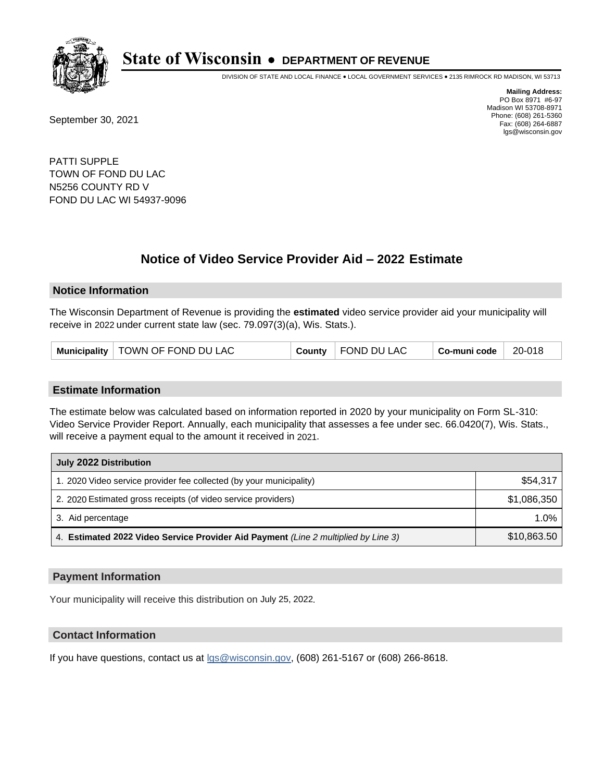

DIVISION OF STATE AND LOCAL FINANCE • LOCAL GOVERNMENT SERVICES • 2135 RIMROCK RD MADISON, WI 53713

September 30, 2021

**Mailing Address:** PO Box 8971 #6-97 Madison WI 53708-8971 Phone: (608) 261-5360 Fax: (608) 264-6887 lgs@wisconsin.gov

PATTI SUPPLE TOWN OF FOND DU LAC N5256 COUNTY RD V FOND DU LAC WI 54937-9096

# **Notice of Video Service Provider Aid - 2022 Estimate**

#### **Notice Information**

The Wisconsin Department of Revenue is providing the **estimated** video service provider aid your municipality will receive in 2022 under current state law (sec. 79.097(3)(a), Wis. Stats.).

#### **Estimate Information**

The estimate below was calculated based on information reported in 2020 by your municipality on Form SL-310: Video Service Provider Report. Annually, each municipality that assesses a fee under sec. 66.0420(7), Wis. Stats., will receive a payment equal to the amount it received in 2021.

| July 2022 Distribution                                                             |             |  |  |
|------------------------------------------------------------------------------------|-------------|--|--|
| 1. 2020 Video service provider fee collected (by your municipality)                | \$54,317    |  |  |
| 2. 2020 Estimated gross receipts (of video service providers)                      | \$1,086,350 |  |  |
| 3. Aid percentage                                                                  | $1.0\%$     |  |  |
| 4. Estimated 2022 Video Service Provider Aid Payment (Line 2 multiplied by Line 3) | \$10,863.50 |  |  |

#### **Payment Information**

Your municipality will receive this distribution on July 25, 2022.

## **Contact Information**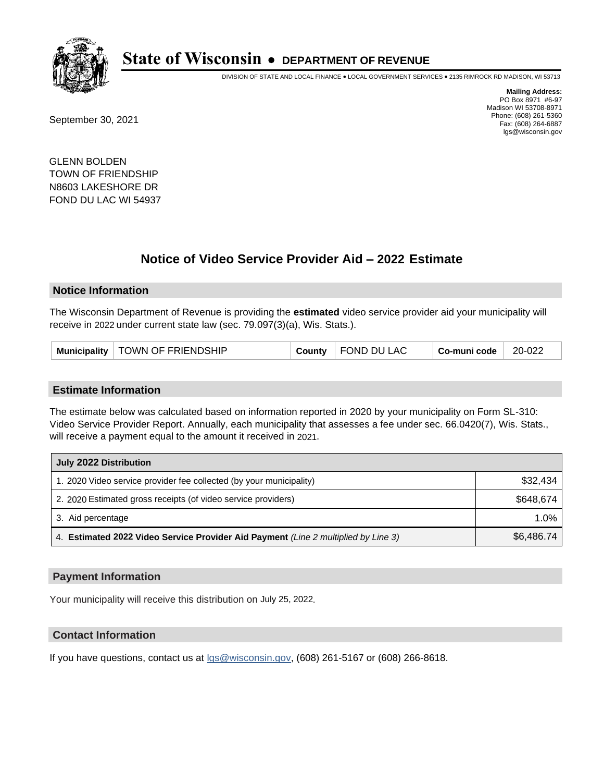

DIVISION OF STATE AND LOCAL FINANCE • LOCAL GOVERNMENT SERVICES • 2135 RIMROCK RD MADISON, WI 53713

September 30, 2021

**Mailing Address:** PO Box 8971 #6-97 Madison WI 53708-8971 Phone: (608) 261-5360 Fax: (608) 264-6887 lgs@wisconsin.gov

GLENN BOLDEN TOWN OF FRIENDSHIP N8603 LAKESHORE DR FOND DU LAC WI 54937

# **Notice of Video Service Provider Aid - 2022 Estimate**

#### **Notice Information**

The Wisconsin Department of Revenue is providing the **estimated** video service provider aid your municipality will receive in 2022 under current state law (sec. 79.097(3)(a), Wis. Stats.).

| Municipality   TOWN OF FRIENDSHIP | County | FOND DU LAC | Co-muni code | 20-022 |
|-----------------------------------|--------|-------------|--------------|--------|
|-----------------------------------|--------|-------------|--------------|--------|

#### **Estimate Information**

The estimate below was calculated based on information reported in 2020 by your municipality on Form SL-310: Video Service Provider Report. Annually, each municipality that assesses a fee under sec. 66.0420(7), Wis. Stats., will receive a payment equal to the amount it received in 2021.

| July 2022 Distribution                                                             |            |  |  |
|------------------------------------------------------------------------------------|------------|--|--|
| 1. 2020 Video service provider fee collected (by your municipality)                | \$32,434   |  |  |
| 2. 2020 Estimated gross receipts (of video service providers)                      | \$648.674  |  |  |
| 3. Aid percentage                                                                  | $1.0\%$    |  |  |
| 4. Estimated 2022 Video Service Provider Aid Payment (Line 2 multiplied by Line 3) | \$6,486.74 |  |  |

#### **Payment Information**

Your municipality will receive this distribution on July 25, 2022.

## **Contact Information**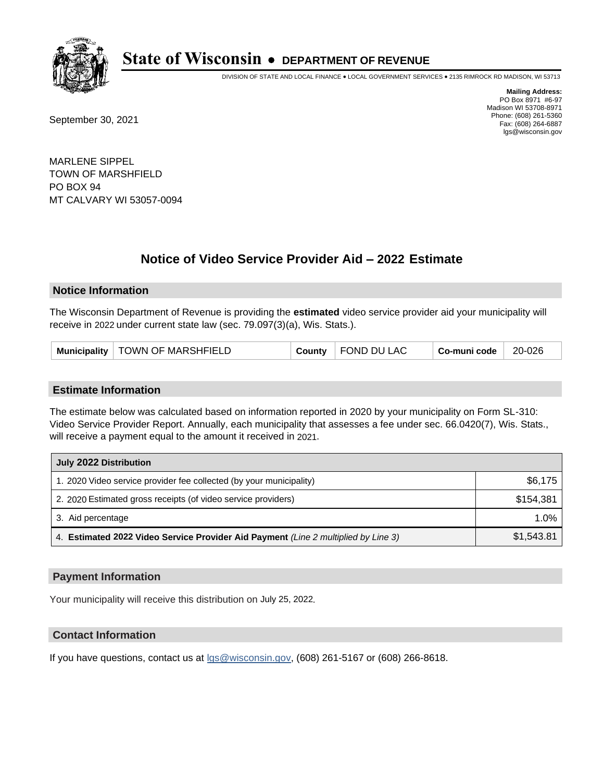

DIVISION OF STATE AND LOCAL FINANCE • LOCAL GOVERNMENT SERVICES • 2135 RIMROCK RD MADISON, WI 53713

September 30, 2021

**Mailing Address:** PO Box 8971 #6-97 Madison WI 53708-8971 Phone: (608) 261-5360 Fax: (608) 264-6887 lgs@wisconsin.gov

MARLENE SIPPEL TOWN OF MARSHFIELD PO BOX 94 MT CALVARY WI 53057-0094

# **Notice of Video Service Provider Aid - 2022 Estimate**

#### **Notice Information**

The Wisconsin Department of Revenue is providing the **estimated** video service provider aid your municipality will receive in 2022 under current state law (sec. 79.097(3)(a), Wis. Stats.).

#### **Estimate Information**

The estimate below was calculated based on information reported in 2020 by your municipality on Form SL-310: Video Service Provider Report. Annually, each municipality that assesses a fee under sec. 66.0420(7), Wis. Stats., will receive a payment equal to the amount it received in 2021.

| July 2022 Distribution                                                             |            |  |  |
|------------------------------------------------------------------------------------|------------|--|--|
| 1. 2020 Video service provider fee collected (by your municipality)                | \$6,175    |  |  |
| 2. 2020 Estimated gross receipts (of video service providers)                      | \$154,381  |  |  |
| 3. Aid percentage                                                                  | 1.0%       |  |  |
| 4. Estimated 2022 Video Service Provider Aid Payment (Line 2 multiplied by Line 3) | \$1,543.81 |  |  |

#### **Payment Information**

Your municipality will receive this distribution on July 25, 2022.

## **Contact Information**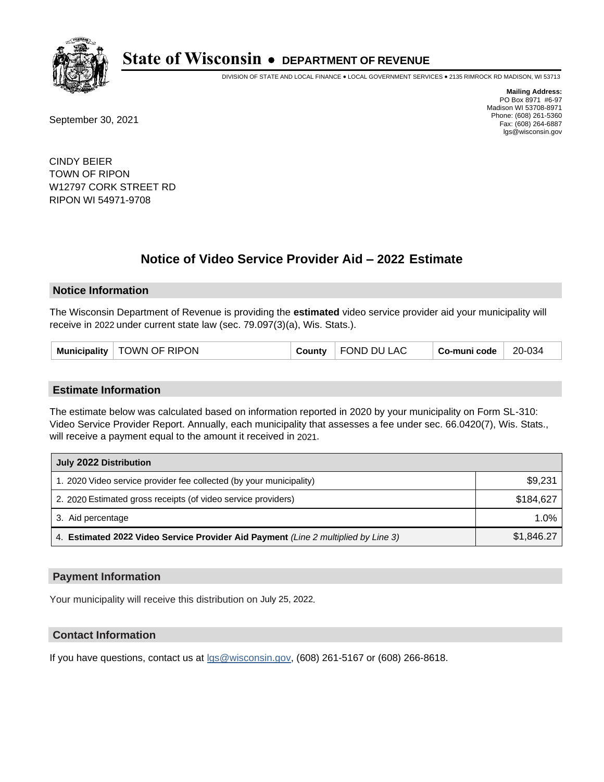

DIVISION OF STATE AND LOCAL FINANCE • LOCAL GOVERNMENT SERVICES • 2135 RIMROCK RD MADISON, WI 53713

September 30, 2021

**Mailing Address:** PO Box 8971 #6-97 Madison WI 53708-8971 Phone: (608) 261-5360 Fax: (608) 264-6887 lgs@wisconsin.gov

CINDY BEIER TOWN OF RIPON W12797 CORK STREET RD RIPON WI 54971-9708

## **Notice of Video Service Provider Aid - 2022 Estimate**

#### **Notice Information**

The Wisconsin Department of Revenue is providing the **estimated** video service provider aid your municipality will receive in 2022 under current state law (sec. 79.097(3)(a), Wis. Stats.).

#### **Estimate Information**

The estimate below was calculated based on information reported in 2020 by your municipality on Form SL-310: Video Service Provider Report. Annually, each municipality that assesses a fee under sec. 66.0420(7), Wis. Stats., will receive a payment equal to the amount it received in 2021.

| July 2022 Distribution                                                             |            |  |
|------------------------------------------------------------------------------------|------------|--|
| 1. 2020 Video service provider fee collected (by your municipality)                | \$9,231    |  |
| 2. 2020 Estimated gross receipts (of video service providers)                      | \$184.627  |  |
| 3. Aid percentage                                                                  | $1.0\%$    |  |
| 4. Estimated 2022 Video Service Provider Aid Payment (Line 2 multiplied by Line 3) | \$1,846.27 |  |

#### **Payment Information**

Your municipality will receive this distribution on July 25, 2022.

## **Contact Information**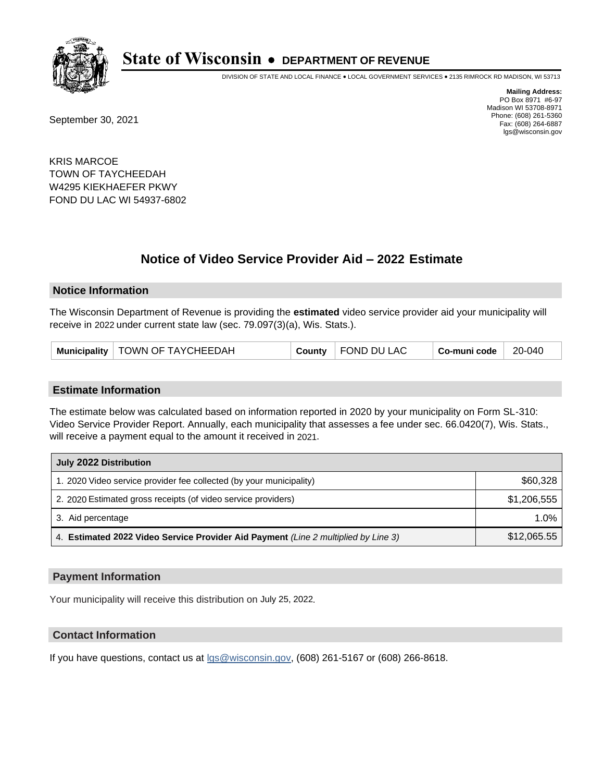

DIVISION OF STATE AND LOCAL FINANCE • LOCAL GOVERNMENT SERVICES • 2135 RIMROCK RD MADISON, WI 53713

September 30, 2021

**Mailing Address:** PO Box 8971 #6-97 Madison WI 53708-8971 Phone: (608) 261-5360 Fax: (608) 264-6887 lgs@wisconsin.gov

KRIS MARCOE TOWN OF TAYCHEEDAH W4295 KIEKHAEFER PKWY FOND DU LAC WI 54937-6802

## **Notice of Video Service Provider Aid - 2022 Estimate**

#### **Notice Information**

The Wisconsin Department of Revenue is providing the **estimated** video service provider aid your municipality will receive in 2022 under current state law (sec. 79.097(3)(a), Wis. Stats.).

#### **Estimate Information**

The estimate below was calculated based on information reported in 2020 by your municipality on Form SL-310: Video Service Provider Report. Annually, each municipality that assesses a fee under sec. 66.0420(7), Wis. Stats., will receive a payment equal to the amount it received in 2021.

| July 2022 Distribution                                                             |             |
|------------------------------------------------------------------------------------|-------------|
| 1. 2020 Video service provider fee collected (by your municipality)                | \$60,328    |
| 2. 2020 Estimated gross receipts (of video service providers)                      | \$1,206,555 |
| 3. Aid percentage                                                                  | $1.0\%$     |
| 4. Estimated 2022 Video Service Provider Aid Payment (Line 2 multiplied by Line 3) | \$12,065.55 |

#### **Payment Information**

Your municipality will receive this distribution on July 25, 2022.

## **Contact Information**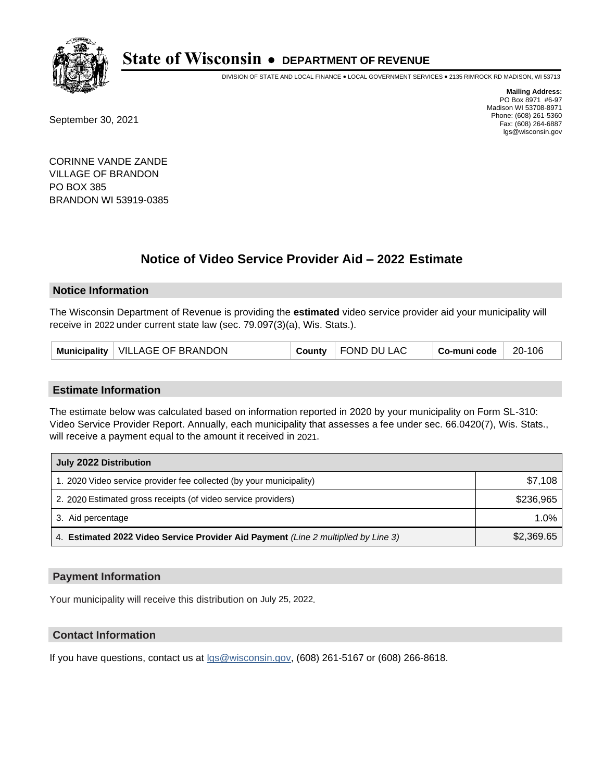

DIVISION OF STATE AND LOCAL FINANCE • LOCAL GOVERNMENT SERVICES • 2135 RIMROCK RD MADISON, WI 53713

September 30, 2021

**Mailing Address:** PO Box 8971 #6-97 Madison WI 53708-8971 Phone: (608) 261-5360 Fax: (608) 264-6887 lgs@wisconsin.gov

CORINNE VANDE ZANDE VILLAGE OF BRANDON PO BOX 385 BRANDON WI 53919-0385

## **Notice of Video Service Provider Aid - 2022 Estimate**

### **Notice Information**

The Wisconsin Department of Revenue is providing the **estimated** video service provider aid your municipality will receive in 2022 under current state law (sec. 79.097(3)(a), Wis. Stats.).

| Municipality   VILLAGE OF BRANDON |  | County   FOND DU LAC | Co-muni code | 20-106 |
|-----------------------------------|--|----------------------|--------------|--------|
|-----------------------------------|--|----------------------|--------------|--------|

#### **Estimate Information**

The estimate below was calculated based on information reported in 2020 by your municipality on Form SL-310: Video Service Provider Report. Annually, each municipality that assesses a fee under sec. 66.0420(7), Wis. Stats., will receive a payment equal to the amount it received in 2021.

| July 2022 Distribution                                                             |            |
|------------------------------------------------------------------------------------|------------|
| 1. 2020 Video service provider fee collected (by your municipality)                | \$7.108    |
| 2. 2020 Estimated gross receipts (of video service providers)                      | \$236,965  |
| 3. Aid percentage                                                                  | 1.0%       |
| 4. Estimated 2022 Video Service Provider Aid Payment (Line 2 multiplied by Line 3) | \$2,369.65 |

#### **Payment Information**

Your municipality will receive this distribution on July 25, 2022.

## **Contact Information**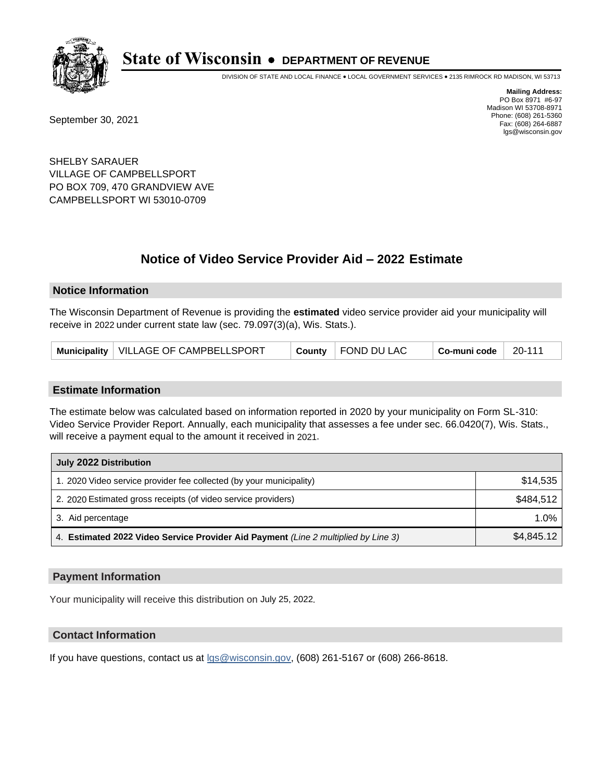

DIVISION OF STATE AND LOCAL FINANCE • LOCAL GOVERNMENT SERVICES • 2135 RIMROCK RD MADISON, WI 53713

September 30, 2021

**Mailing Address:** PO Box 8971 #6-97 Madison WI 53708-8971 Phone: (608) 261-5360 Fax: (608) 264-6887 lgs@wisconsin.gov

SHELBY SARAUER VILLAGE OF CAMPBELLSPORT PO BOX 709, 470 GRANDVIEW AVE CAMPBELLSPORT WI 53010-0709

# **Notice of Video Service Provider Aid - 2022 Estimate**

#### **Notice Information**

The Wisconsin Department of Revenue is providing the **estimated** video service provider aid your municipality will receive in 2022 under current state law (sec. 79.097(3)(a), Wis. Stats.).

|--|

#### **Estimate Information**

The estimate below was calculated based on information reported in 2020 by your municipality on Form SL-310: Video Service Provider Report. Annually, each municipality that assesses a fee under sec. 66.0420(7), Wis. Stats., will receive a payment equal to the amount it received in 2021.

| July 2022 Distribution                                                             |            |
|------------------------------------------------------------------------------------|------------|
| 1. 2020 Video service provider fee collected (by your municipality)                | \$14,535   |
| 2. 2020 Estimated gross receipts (of video service providers)                      | \$484.512  |
| 3. Aid percentage                                                                  | 1.0%       |
| 4. Estimated 2022 Video Service Provider Aid Payment (Line 2 multiplied by Line 3) | \$4,845.12 |

#### **Payment Information**

Your municipality will receive this distribution on July 25, 2022.

## **Contact Information**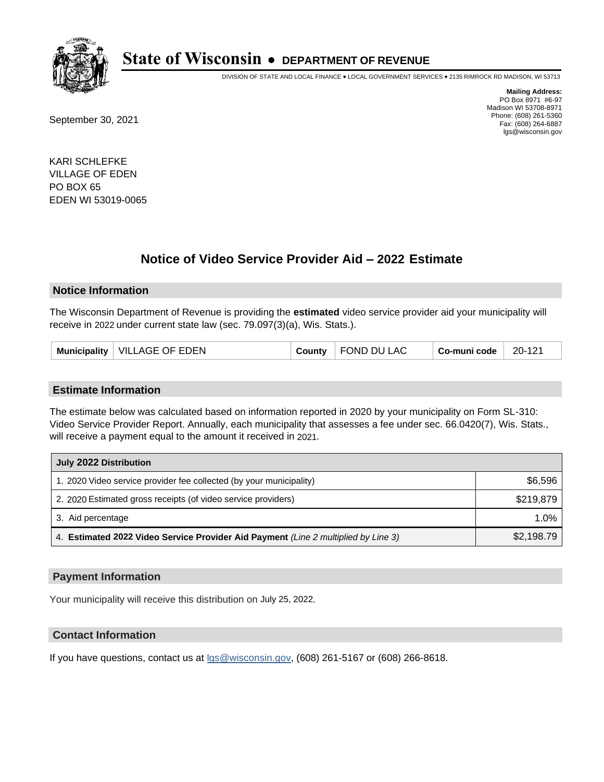

DIVISION OF STATE AND LOCAL FINANCE • LOCAL GOVERNMENT SERVICES • 2135 RIMROCK RD MADISON, WI 53713

September 30, 2021

**Mailing Address:** PO Box 8971 #6-97 Madison WI 53708-8971 Phone: (608) 261-5360 Fax: (608) 264-6887 lgs@wisconsin.gov

KARI SCHLEFKE VILLAGE OF EDEN PO BOX 65 EDEN WI 53019-0065

## **Notice of Video Service Provider Aid - 2022 Estimate**

#### **Notice Information**

The Wisconsin Department of Revenue is providing the **estimated** video service provider aid your municipality will receive in 2022 under current state law (sec. 79.097(3)(a), Wis. Stats.).

| <b>VILLAGE OF EDEN</b><br>FOND DU L<br>20-121<br><b>Municipality</b><br>LAC<br>Co-muni code<br>County |
|-------------------------------------------------------------------------------------------------------|
|-------------------------------------------------------------------------------------------------------|

#### **Estimate Information**

The estimate below was calculated based on information reported in 2020 by your municipality on Form SL-310: Video Service Provider Report. Annually, each municipality that assesses a fee under sec. 66.0420(7), Wis. Stats., will receive a payment equal to the amount it received in 2021.

| July 2022 Distribution                                                             |            |
|------------------------------------------------------------------------------------|------------|
| 1. 2020 Video service provider fee collected (by your municipality)                | \$6,596    |
| 2. 2020 Estimated gross receipts (of video service providers)                      | \$219.879  |
| 3. Aid percentage                                                                  | 1.0%       |
| 4. Estimated 2022 Video Service Provider Aid Payment (Line 2 multiplied by Line 3) | \$2,198.79 |

#### **Payment Information**

Your municipality will receive this distribution on July 25, 2022.

## **Contact Information**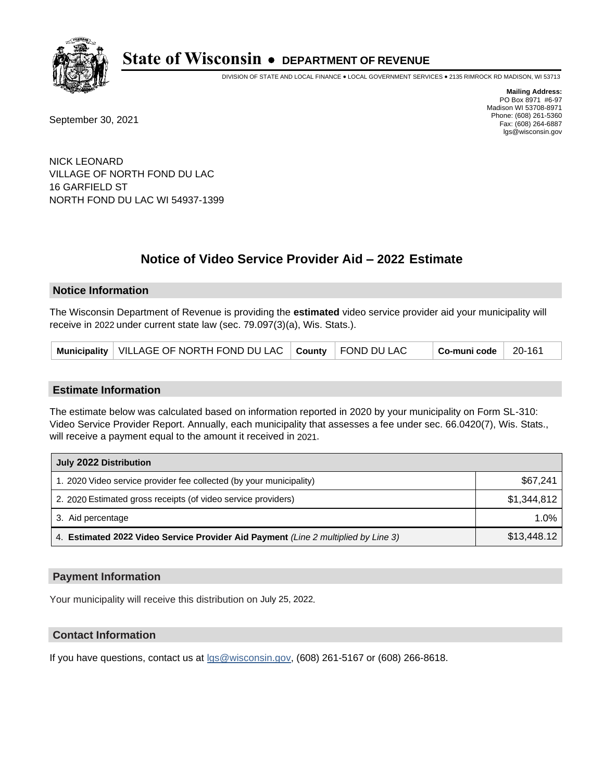

DIVISION OF STATE AND LOCAL FINANCE • LOCAL GOVERNMENT SERVICES • 2135 RIMROCK RD MADISON, WI 53713

September 30, 2021

**Mailing Address:** PO Box 8971 #6-97 Madison WI 53708-8971 Phone: (608) 261-5360 Fax: (608) 264-6887 lgs@wisconsin.gov

NICK LEONARD VILLAGE OF NORTH FOND DU LAC 16 GARFIELD ST NORTH FOND DU LAC WI 54937-1399

# **Notice of Video Service Provider Aid - 2022 Estimate**

#### **Notice Information**

The Wisconsin Department of Revenue is providing the **estimated** video service provider aid your municipality will receive in 2022 under current state law (sec. 79.097(3)(a), Wis. Stats.).

|--|

#### **Estimate Information**

The estimate below was calculated based on information reported in 2020 by your municipality on Form SL-310: Video Service Provider Report. Annually, each municipality that assesses a fee under sec. 66.0420(7), Wis. Stats., will receive a payment equal to the amount it received in 2021.

| July 2022 Distribution                                                             |             |
|------------------------------------------------------------------------------------|-------------|
| 1. 2020 Video service provider fee collected (by your municipality)                | \$67.241    |
| 2. 2020 Estimated gross receipts (of video service providers)                      | \$1.344.812 |
| 3. Aid percentage                                                                  | $1.0\%$     |
| 4. Estimated 2022 Video Service Provider Aid Payment (Line 2 multiplied by Line 3) | \$13,448.12 |

#### **Payment Information**

Your municipality will receive this distribution on July 25, 2022.

## **Contact Information**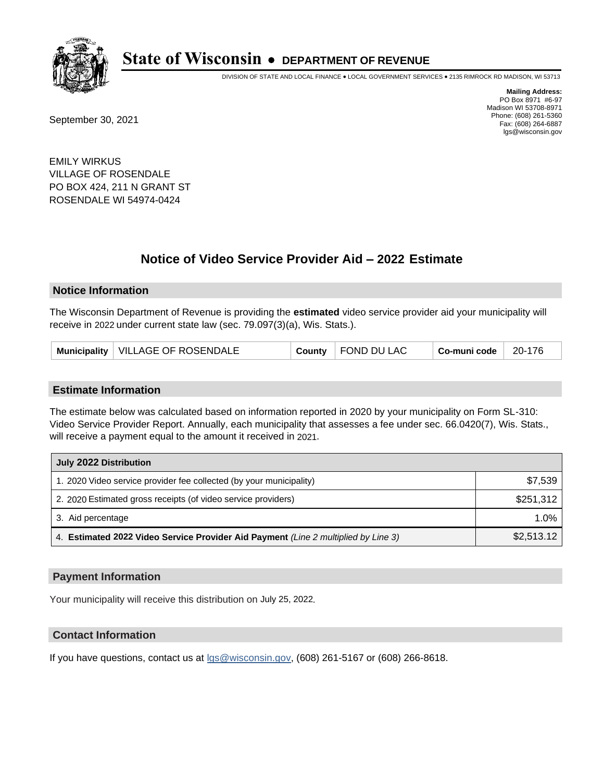

DIVISION OF STATE AND LOCAL FINANCE • LOCAL GOVERNMENT SERVICES • 2135 RIMROCK RD MADISON, WI 53713

September 30, 2021

**Mailing Address:** PO Box 8971 #6-97 Madison WI 53708-8971 Phone: (608) 261-5360 Fax: (608) 264-6887 lgs@wisconsin.gov

EMILY WIRKUS VILLAGE OF ROSENDALE PO BOX 424, 211 N GRANT ST ROSENDALE WI 54974-0424

## **Notice of Video Service Provider Aid - 2022 Estimate**

#### **Notice Information**

The Wisconsin Department of Revenue is providing the **estimated** video service provider aid your municipality will receive in 2022 under current state law (sec. 79.097(3)(a), Wis. Stats.).

| Municipality   VILLAGE OF ROSENDALE |  | County   FOND DU LAC | Co-muni code | 20-176 |
|-------------------------------------|--|----------------------|--------------|--------|
|-------------------------------------|--|----------------------|--------------|--------|

#### **Estimate Information**

The estimate below was calculated based on information reported in 2020 by your municipality on Form SL-310: Video Service Provider Report. Annually, each municipality that assesses a fee under sec. 66.0420(7), Wis. Stats., will receive a payment equal to the amount it received in 2021.

| July 2022 Distribution                                                             |            |
|------------------------------------------------------------------------------------|------------|
| 1. 2020 Video service provider fee collected (by your municipality)                | \$7,539    |
| 2. 2020 Estimated gross receipts (of video service providers)                      | \$251,312  |
| 3. Aid percentage                                                                  | $1.0\%$    |
| 4. Estimated 2022 Video Service Provider Aid Payment (Line 2 multiplied by Line 3) | \$2,513.12 |

#### **Payment Information**

Your municipality will receive this distribution on July 25, 2022.

## **Contact Information**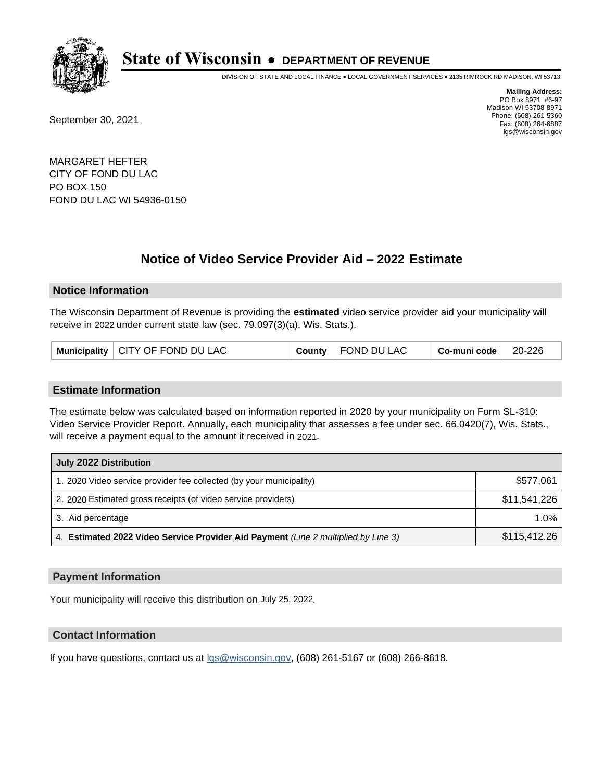

DIVISION OF STATE AND LOCAL FINANCE • LOCAL GOVERNMENT SERVICES • 2135 RIMROCK RD MADISON, WI 53713

September 30, 2021

**Mailing Address:** PO Box 8971 #6-97 Madison WI 53708-8971 Phone: (608) 261-5360 Fax: (608) 264-6887 lgs@wisconsin.gov

MARGARET HEFTER CITY OF FOND DU LAC PO BOX 150 FOND DU LAC WI 54936-0150

# **Notice of Video Service Provider Aid - 2022 Estimate**

### **Notice Information**

The Wisconsin Department of Revenue is providing the **estimated** video service provider aid your municipality will receive in 2022 under current state law (sec. 79.097(3)(a), Wis. Stats.).

| Municipality   CITY OF FOND DU LAC |  | County   FOND DU LAC | Co-muni code | 20-226 |
|------------------------------------|--|----------------------|--------------|--------|
|------------------------------------|--|----------------------|--------------|--------|

#### **Estimate Information**

The estimate below was calculated based on information reported in 2020 by your municipality on Form SL-310: Video Service Provider Report. Annually, each municipality that assesses a fee under sec. 66.0420(7), Wis. Stats., will receive a payment equal to the amount it received in 2021.

| July 2022 Distribution                                                             |              |  |
|------------------------------------------------------------------------------------|--------------|--|
| 1. 2020 Video service provider fee collected (by your municipality)                | \$577,061    |  |
| 2. 2020 Estimated gross receipts (of video service providers)                      | \$11,541,226 |  |
| 3. Aid percentage                                                                  | $1.0\%$      |  |
| 4. Estimated 2022 Video Service Provider Aid Payment (Line 2 multiplied by Line 3) | \$115,412.26 |  |

#### **Payment Information**

Your municipality will receive this distribution on July 25, 2022.

## **Contact Information**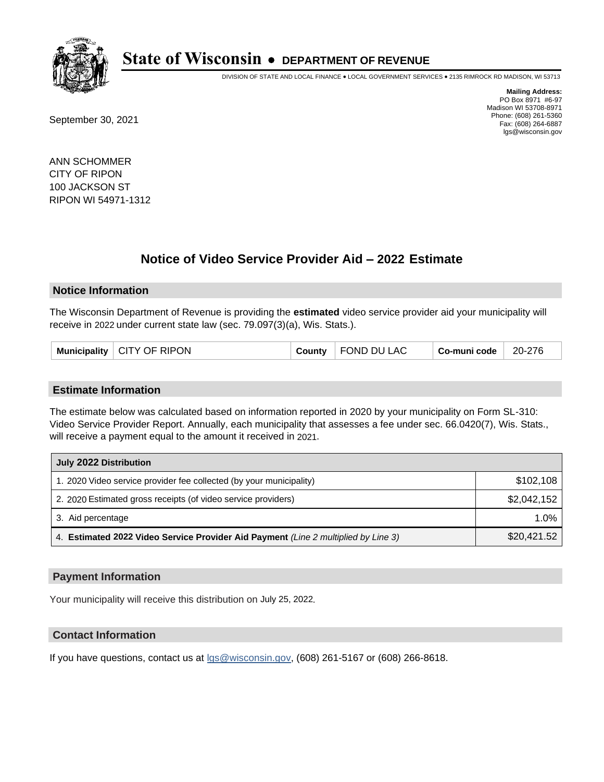

DIVISION OF STATE AND LOCAL FINANCE • LOCAL GOVERNMENT SERVICES • 2135 RIMROCK RD MADISON, WI 53713

September 30, 2021

**Mailing Address:** PO Box 8971 #6-97 Madison WI 53708-8971 Phone: (608) 261-5360 Fax: (608) 264-6887 lgs@wisconsin.gov

ANN SCHOMMER CITY OF RIPON 100 JACKSON ST RIPON WI 54971-1312

## **Notice of Video Service Provider Aid - 2022 Estimate**

#### **Notice Information**

The Wisconsin Department of Revenue is providing the **estimated** video service provider aid your municipality will receive in 2022 under current state law (sec. 79.097(3)(a), Wis. Stats.).

| FOND DU LAC<br>Municipality   CITY OF RIPON<br>20-276<br>⊦ Co-muni code<br>County |
|-----------------------------------------------------------------------------------|
|-----------------------------------------------------------------------------------|

#### **Estimate Information**

The estimate below was calculated based on information reported in 2020 by your municipality on Form SL-310: Video Service Provider Report. Annually, each municipality that assesses a fee under sec. 66.0420(7), Wis. Stats., will receive a payment equal to the amount it received in 2021.

| July 2022 Distribution                                                             |             |  |
|------------------------------------------------------------------------------------|-------------|--|
| 1. 2020 Video service provider fee collected (by your municipality)                | \$102,108   |  |
| 2. 2020 Estimated gross receipts (of video service providers)                      | \$2,042,152 |  |
| 3. Aid percentage                                                                  | $1.0\%$     |  |
| 4. Estimated 2022 Video Service Provider Aid Payment (Line 2 multiplied by Line 3) | \$20,421.52 |  |

#### **Payment Information**

Your municipality will receive this distribution on July 25, 2022.

## **Contact Information**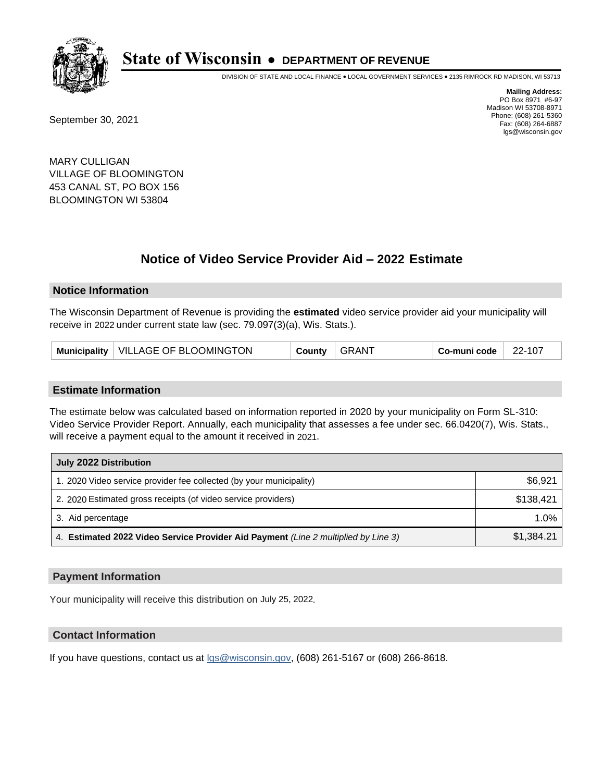

DIVISION OF STATE AND LOCAL FINANCE • LOCAL GOVERNMENT SERVICES • 2135 RIMROCK RD MADISON, WI 53713

September 30, 2021

**Mailing Address:** PO Box 8971 #6-97 Madison WI 53708-8971 Phone: (608) 261-5360 Fax: (608) 264-6887 lgs@wisconsin.gov

MARY CULLIGAN VILLAGE OF BLOOMINGTON 453 CANAL ST, PO BOX 156 BLOOMINGTON WI 53804

## **Notice of Video Service Provider Aid - 2022 Estimate**

#### **Notice Information**

The Wisconsin Department of Revenue is providing the **estimated** video service provider aid your municipality will receive in 2022 under current state law (sec. 79.097(3)(a), Wis. Stats.).

| Municipality   VILLAGE OF BLOOMINGTON | County | <b>GRANT</b> | Co-muni code | 22-107 |
|---------------------------------------|--------|--------------|--------------|--------|
|---------------------------------------|--------|--------------|--------------|--------|

#### **Estimate Information**

The estimate below was calculated based on information reported in 2020 by your municipality on Form SL-310: Video Service Provider Report. Annually, each municipality that assesses a fee under sec. 66.0420(7), Wis. Stats., will receive a payment equal to the amount it received in 2021.

| July 2022 Distribution                                                             |            |  |
|------------------------------------------------------------------------------------|------------|--|
| 1. 2020 Video service provider fee collected (by your municipality)                | \$6,921    |  |
| 2. 2020 Estimated gross receipts (of video service providers)                      | \$138.421  |  |
| 3. Aid percentage                                                                  | $1.0\%$    |  |
| 4. Estimated 2022 Video Service Provider Aid Payment (Line 2 multiplied by Line 3) | \$1.384.21 |  |

#### **Payment Information**

Your municipality will receive this distribution on July 25, 2022.

## **Contact Information**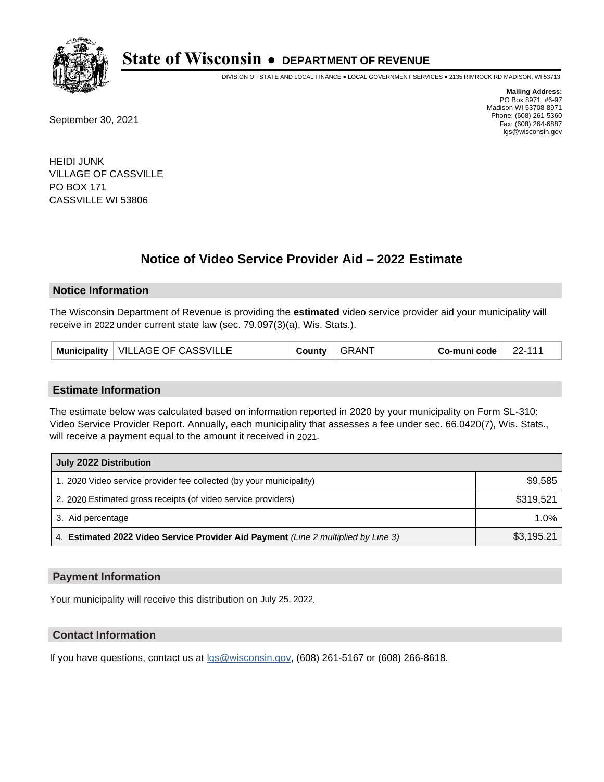

DIVISION OF STATE AND LOCAL FINANCE • LOCAL GOVERNMENT SERVICES • 2135 RIMROCK RD MADISON, WI 53713

September 30, 2021

**Mailing Address:** PO Box 8971 #6-97 Madison WI 53708-8971 Phone: (608) 261-5360 Fax: (608) 264-6887 lgs@wisconsin.gov

HEIDI JUNK VILLAGE OF CASSVILLE PO BOX 171 CASSVILLE WI 53806

# **Notice of Video Service Provider Aid - 2022 Estimate**

### **Notice Information**

The Wisconsin Department of Revenue is providing the **estimated** video service provider aid your municipality will receive in 2022 under current state law (sec. 79.097(3)(a), Wis. Stats.).

| Municipality   VILLAGE OF CASSVILLE | County | <b>GRANT</b> | Co-muni code | 22-111 |
|-------------------------------------|--------|--------------|--------------|--------|
|-------------------------------------|--------|--------------|--------------|--------|

#### **Estimate Information**

The estimate below was calculated based on information reported in 2020 by your municipality on Form SL-310: Video Service Provider Report. Annually, each municipality that assesses a fee under sec. 66.0420(7), Wis. Stats., will receive a payment equal to the amount it received in 2021.

| July 2022 Distribution                                                             |            |  |
|------------------------------------------------------------------------------------|------------|--|
| 1. 2020 Video service provider fee collected (by your municipality)                | \$9,585    |  |
| 2. 2020 Estimated gross receipts (of video service providers)                      | \$319,521  |  |
| 3. Aid percentage                                                                  | 1.0%       |  |
| 4. Estimated 2022 Video Service Provider Aid Payment (Line 2 multiplied by Line 3) | \$3,195.21 |  |

#### **Payment Information**

Your municipality will receive this distribution on July 25, 2022.

## **Contact Information**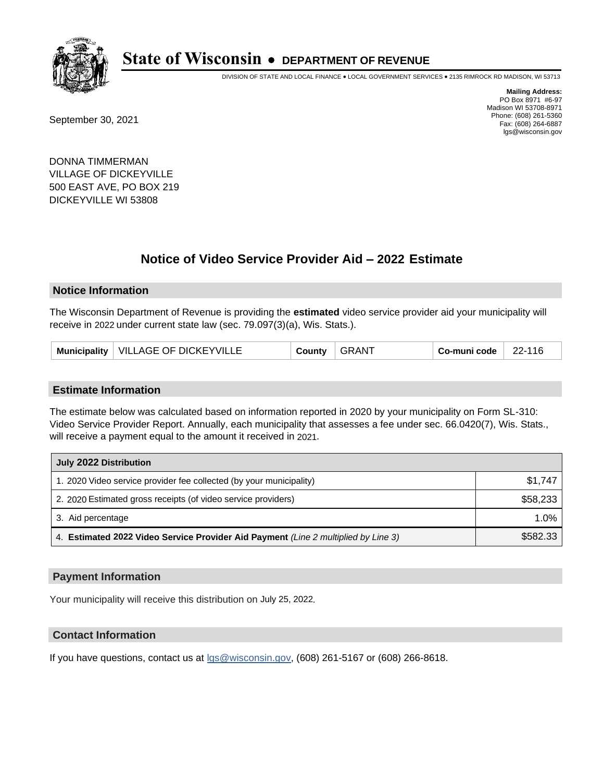

DIVISION OF STATE AND LOCAL FINANCE • LOCAL GOVERNMENT SERVICES • 2135 RIMROCK RD MADISON, WI 53713

September 30, 2021

**Mailing Address:** PO Box 8971 #6-97 Madison WI 53708-8971 Phone: (608) 261-5360 Fax: (608) 264-6887 lgs@wisconsin.gov

DONNA TIMMERMAN VILLAGE OF DICKEYVILLE 500 EAST AVE, PO BOX 219 DICKEYVILLE WI 53808

## **Notice of Video Service Provider Aid - 2022 Estimate**

#### **Notice Information**

The Wisconsin Department of Revenue is providing the **estimated** video service provider aid your municipality will receive in 2022 under current state law (sec. 79.097(3)(a), Wis. Stats.).

#### **Estimate Information**

The estimate below was calculated based on information reported in 2020 by your municipality on Form SL-310: Video Service Provider Report. Annually, each municipality that assesses a fee under sec. 66.0420(7), Wis. Stats., will receive a payment equal to the amount it received in 2021.

| July 2022 Distribution                                                             |          |  |
|------------------------------------------------------------------------------------|----------|--|
| 1. 2020 Video service provider fee collected (by your municipality)                | \$1.747  |  |
| 2. 2020 Estimated gross receipts (of video service providers)                      | \$58,233 |  |
| 3. Aid percentage                                                                  | 1.0%     |  |
| 4. Estimated 2022 Video Service Provider Aid Payment (Line 2 multiplied by Line 3) | \$582.33 |  |

#### **Payment Information**

Your municipality will receive this distribution on July 25, 2022.

### **Contact Information**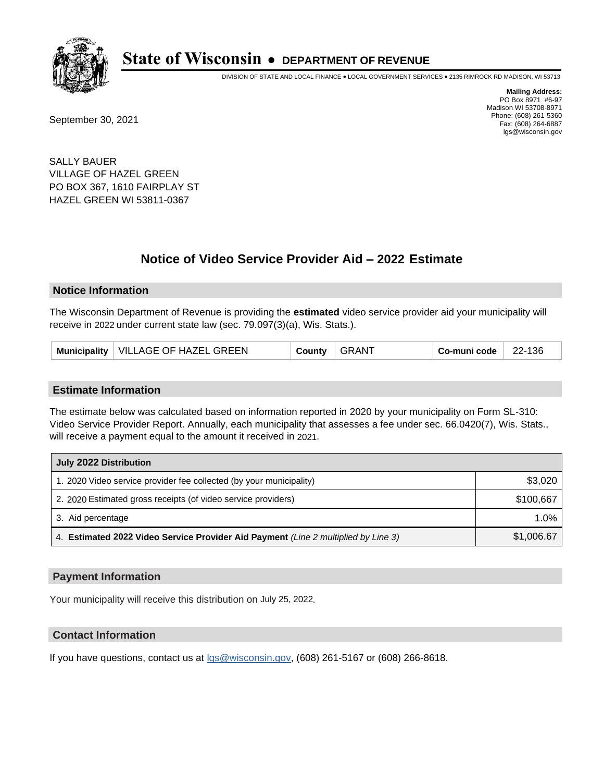

DIVISION OF STATE AND LOCAL FINANCE • LOCAL GOVERNMENT SERVICES • 2135 RIMROCK RD MADISON, WI 53713

September 30, 2021

**Mailing Address:** PO Box 8971 #6-97 Madison WI 53708-8971 Phone: (608) 261-5360 Fax: (608) 264-6887 lgs@wisconsin.gov

SALLY BAUER VILLAGE OF HAZEL GREEN PO BOX 367, 1610 FAIRPLAY ST HAZEL GREEN WI 53811-0367

## **Notice of Video Service Provider Aid - 2022 Estimate**

#### **Notice Information**

The Wisconsin Department of Revenue is providing the **estimated** video service provider aid your municipality will receive in 2022 under current state law (sec. 79.097(3)(a), Wis. Stats.).

| Municipality   VILLAGE OF HAZEL GREEN | County | <b>GRANT</b> | Co-muni code | 22-136 |
|---------------------------------------|--------|--------------|--------------|--------|
|---------------------------------------|--------|--------------|--------------|--------|

#### **Estimate Information**

The estimate below was calculated based on information reported in 2020 by your municipality on Form SL-310: Video Service Provider Report. Annually, each municipality that assesses a fee under sec. 66.0420(7), Wis. Stats., will receive a payment equal to the amount it received in 2021.

| July 2022 Distribution                                                             |            |
|------------------------------------------------------------------------------------|------------|
| 1. 2020 Video service provider fee collected (by your municipality)                | \$3,020    |
| 2. 2020 Estimated gross receipts (of video service providers)                      | \$100.667  |
| 3. Aid percentage                                                                  | $1.0\%$    |
| 4. Estimated 2022 Video Service Provider Aid Payment (Line 2 multiplied by Line 3) | \$1,006.67 |

#### **Payment Information**

Your municipality will receive this distribution on July 25, 2022.

## **Contact Information**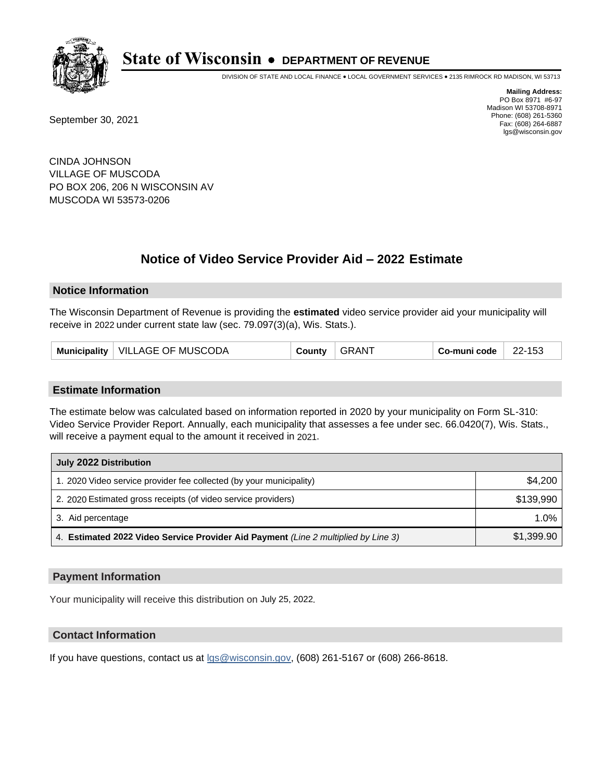

DIVISION OF STATE AND LOCAL FINANCE • LOCAL GOVERNMENT SERVICES • 2135 RIMROCK RD MADISON, WI 53713

September 30, 2021

**Mailing Address:** PO Box 8971 #6-97 Madison WI 53708-8971 Phone: (608) 261-5360 Fax: (608) 264-6887 lgs@wisconsin.gov

CINDA JOHNSON VILLAGE OF MUSCODA PO BOX 206, 206 N WISCONSIN AV MUSCODA WI 53573-0206

# **Notice of Video Service Provider Aid - 2022 Estimate**

#### **Notice Information**

The Wisconsin Department of Revenue is providing the **estimated** video service provider aid your municipality will receive in 2022 under current state law (sec. 79.097(3)(a), Wis. Stats.).

| Municipality   VILLAGE OF MUSCODA | County | <b>GRANT</b> | Co-muni code | 22-153 |
|-----------------------------------|--------|--------------|--------------|--------|
|-----------------------------------|--------|--------------|--------------|--------|

#### **Estimate Information**

The estimate below was calculated based on information reported in 2020 by your municipality on Form SL-310: Video Service Provider Report. Annually, each municipality that assesses a fee under sec. 66.0420(7), Wis. Stats., will receive a payment equal to the amount it received in 2021.

| July 2022 Distribution                                                             |            |  |  |
|------------------------------------------------------------------------------------|------------|--|--|
| 1. 2020 Video service provider fee collected (by your municipality)                | \$4,200    |  |  |
| 2. 2020 Estimated gross receipts (of video service providers)                      | \$139.990  |  |  |
| 3. Aid percentage                                                                  | 1.0%       |  |  |
| 4. Estimated 2022 Video Service Provider Aid Payment (Line 2 multiplied by Line 3) | \$1,399.90 |  |  |

#### **Payment Information**

Your municipality will receive this distribution on July 25, 2022.

## **Contact Information**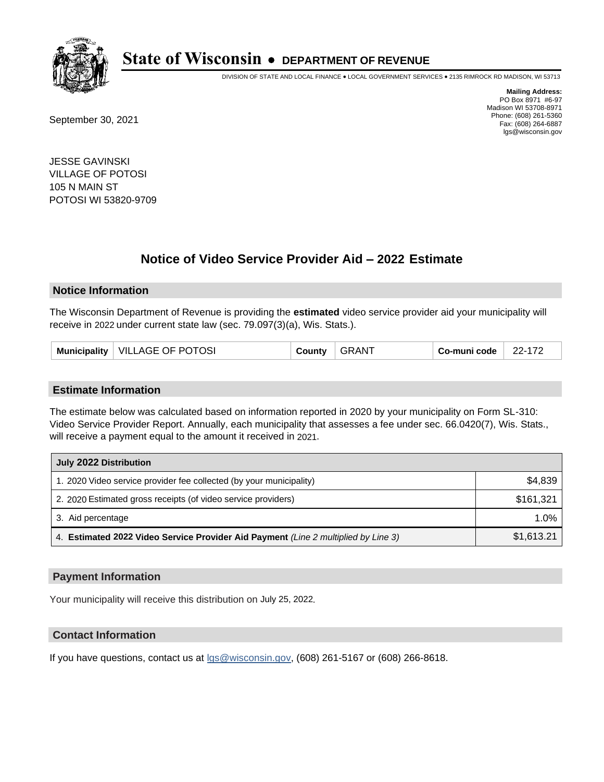

DIVISION OF STATE AND LOCAL FINANCE • LOCAL GOVERNMENT SERVICES • 2135 RIMROCK RD MADISON, WI 53713

September 30, 2021

**Mailing Address:** PO Box 8971 #6-97 Madison WI 53708-8971 Phone: (608) 261-5360 Fax: (608) 264-6887 lgs@wisconsin.gov

JESSE GAVINSKI VILLAGE OF POTOSI 105 N MAIN ST POTOSI WI 53820-9709

## **Notice of Video Service Provider Aid - 2022 Estimate**

#### **Notice Information**

The Wisconsin Department of Revenue is providing the **estimated** video service provider aid your municipality will receive in 2022 under current state law (sec. 79.097(3)(a), Wis. Stats.).

| Municipality   VILLAGE OF POTOSI | County | <b>GRANT</b> | Co-muni code | 22-172 |
|----------------------------------|--------|--------------|--------------|--------|
|----------------------------------|--------|--------------|--------------|--------|

#### **Estimate Information**

The estimate below was calculated based on information reported in 2020 by your municipality on Form SL-310: Video Service Provider Report. Annually, each municipality that assesses a fee under sec. 66.0420(7), Wis. Stats., will receive a payment equal to the amount it received in 2021.

| July 2022 Distribution                                                             |            |
|------------------------------------------------------------------------------------|------------|
| 1. 2020 Video service provider fee collected (by your municipality)                | \$4,839    |
| 2. 2020 Estimated gross receipts (of video service providers)                      | \$161.321  |
| 3. Aid percentage                                                                  | $1.0\%$    |
| 4. Estimated 2022 Video Service Provider Aid Payment (Line 2 multiplied by Line 3) | \$1,613.21 |

#### **Payment Information**

Your municipality will receive this distribution on July 25, 2022.

## **Contact Information**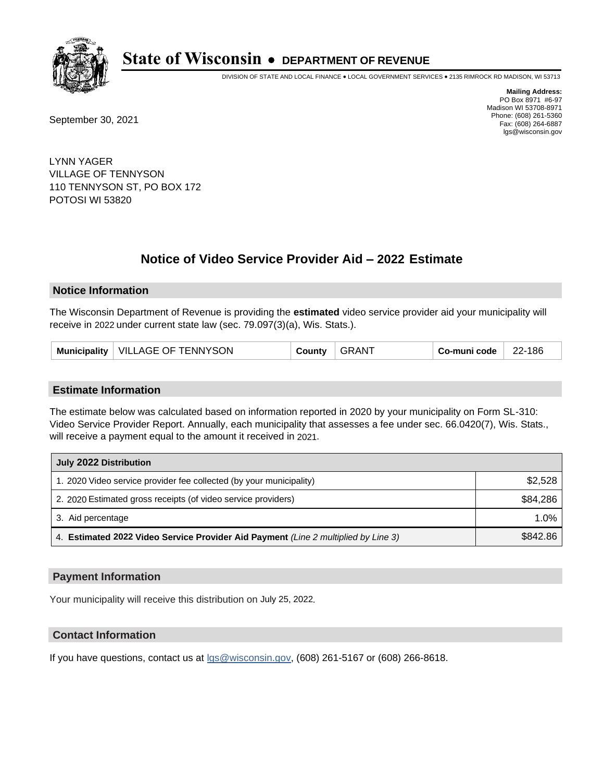

DIVISION OF STATE AND LOCAL FINANCE • LOCAL GOVERNMENT SERVICES • 2135 RIMROCK RD MADISON, WI 53713

September 30, 2021

**Mailing Address:** PO Box 8971 #6-97 Madison WI 53708-8971 Phone: (608) 261-5360 Fax: (608) 264-6887 lgs@wisconsin.gov

LYNN YAGER VILLAGE OF TENNYSON 110 TENNYSON ST, PO BOX 172 POTOSI WI 53820

# **Notice of Video Service Provider Aid - 2022 Estimate**

#### **Notice Information**

The Wisconsin Department of Revenue is providing the **estimated** video service provider aid your municipality will receive in 2022 under current state law (sec. 79.097(3)(a), Wis. Stats.).

| Municipality   VILLAGE OF TENNYSON<br>County | <b>GRANT</b> | 22-186<br>Co-muni code |  |
|----------------------------------------------|--------------|------------------------|--|
|----------------------------------------------|--------------|------------------------|--|

#### **Estimate Information**

The estimate below was calculated based on information reported in 2020 by your municipality on Form SL-310: Video Service Provider Report. Annually, each municipality that assesses a fee under sec. 66.0420(7), Wis. Stats., will receive a payment equal to the amount it received in 2021.

| July 2022 Distribution                                                             |          |  |  |
|------------------------------------------------------------------------------------|----------|--|--|
| 1. 2020 Video service provider fee collected (by your municipality)                | \$2,528  |  |  |
| 2. 2020 Estimated gross receipts (of video service providers)                      | \$84,286 |  |  |
| 3. Aid percentage                                                                  | 1.0%     |  |  |
| 4. Estimated 2022 Video Service Provider Aid Payment (Line 2 multiplied by Line 3) | \$842.86 |  |  |

#### **Payment Information**

Your municipality will receive this distribution on July 25, 2022.

## **Contact Information**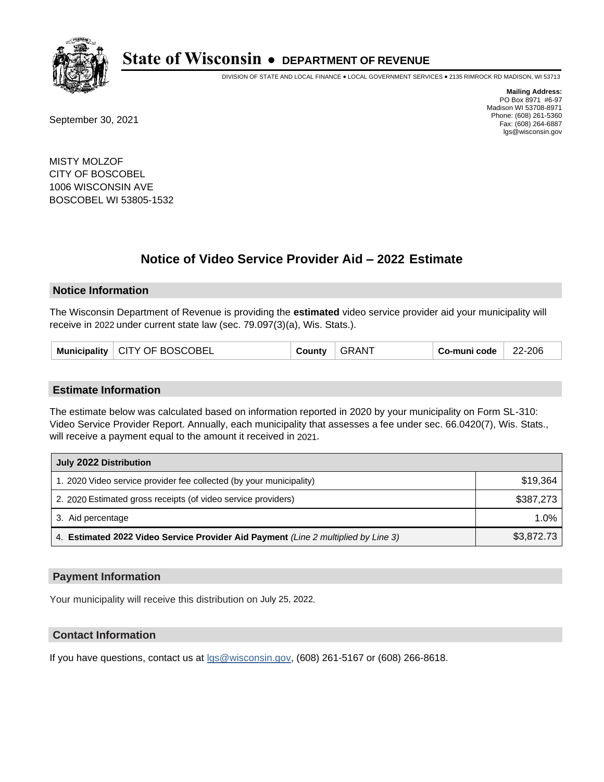

DIVISION OF STATE AND LOCAL FINANCE • LOCAL GOVERNMENT SERVICES • 2135 RIMROCK RD MADISON, WI 53713

September 30, 2021

**Mailing Address:** PO Box 8971 #6-97 Madison WI 53708-8971 Phone: (608) 261-5360 Fax: (608) 264-6887 lgs@wisconsin.gov

MISTY MOLZOF CITY OF BOSCOBEL 1006 WISCONSIN AVE BOSCOBEL WI 53805-1532

## **Notice of Video Service Provider Aid - 2022 Estimate**

#### **Notice Information**

The Wisconsin Department of Revenue is providing the **estimated** video service provider aid your municipality will receive in 2022 under current state law (sec. 79.097(3)(a), Wis. Stats.).

|  | Municipality   CITY OF BOSCOBEL | County | <b>GRANT</b> | Co-muni code | 22-206 |
|--|---------------------------------|--------|--------------|--------------|--------|
|--|---------------------------------|--------|--------------|--------------|--------|

#### **Estimate Information**

The estimate below was calculated based on information reported in 2020 by your municipality on Form SL-310: Video Service Provider Report. Annually, each municipality that assesses a fee under sec. 66.0420(7), Wis. Stats., will receive a payment equal to the amount it received in 2021.

| July 2022 Distribution                                                             |            |
|------------------------------------------------------------------------------------|------------|
| 1. 2020 Video service provider fee collected (by your municipality)                | \$19.364   |
| 2. 2020 Estimated gross receipts (of video service providers)                      | \$387.273  |
| 3. Aid percentage                                                                  | 1.0%       |
| 4. Estimated 2022 Video Service Provider Aid Payment (Line 2 multiplied by Line 3) | \$3,872.73 |

#### **Payment Information**

Your municipality will receive this distribution on July 25, 2022.

## **Contact Information**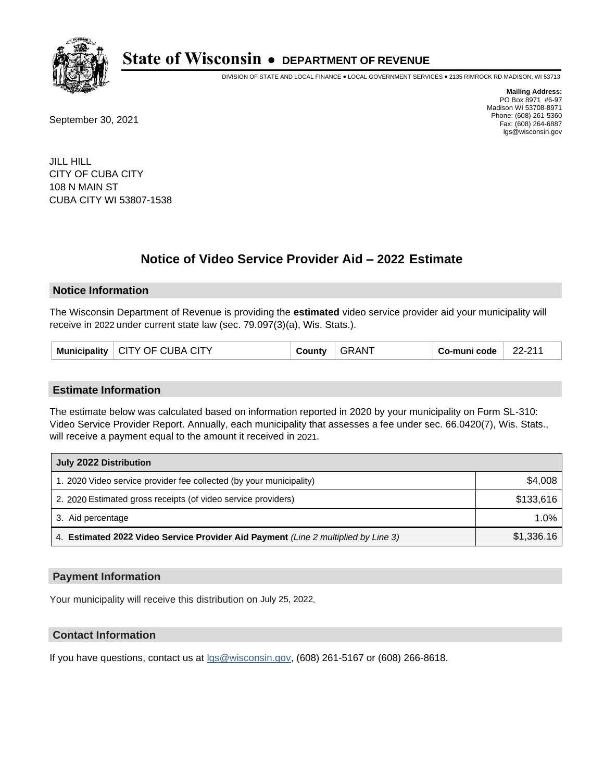

DIVISION OF STATE AND LOCAL FINANCE • LOCAL GOVERNMENT SERVICES • 2135 RIMROCK RD MADISON, WI 53713

September 30, 2021

**Mailing Address:** PO Box 8971 #6-97 Madison WI 53708-8971 Phone: (608) 261-5360 Fax: (608) 264-6887 lgs@wisconsin.gov

JILL HILL CITY OF CUBA CITY 108 N MAIN ST CUBA CITY WI 53807-1538

# **Notice of Video Service Provider Aid - 2022 Estimate**

### **Notice Information**

The Wisconsin Department of Revenue is providing the **estimated** video service provider aid your municipality will receive in 2022 under current state law (sec. 79.097(3)(a), Wis. Stats.).

| Municipality   CITY OF CUBA CITY | County | <b>GRANT</b> | Co-muni code | $22-21'$ |
|----------------------------------|--------|--------------|--------------|----------|
|----------------------------------|--------|--------------|--------------|----------|

#### **Estimate Information**

The estimate below was calculated based on information reported in 2020 by your municipality on Form SL-310: Video Service Provider Report. Annually, each municipality that assesses a fee under sec. 66.0420(7), Wis. Stats., will receive a payment equal to the amount it received in 2021.

| July 2022 Distribution                                                             |            |
|------------------------------------------------------------------------------------|------------|
| 1. 2020 Video service provider fee collected (by your municipality)                | \$4,008    |
| 2. 2020 Estimated gross receipts (of video service providers)                      | \$133.616  |
| 3. Aid percentage                                                                  | 1.0%       |
| 4. Estimated 2022 Video Service Provider Aid Payment (Line 2 multiplied by Line 3) | \$1,336.16 |

#### **Payment Information**

Your municipality will receive this distribution on July 25, 2022.

## **Contact Information**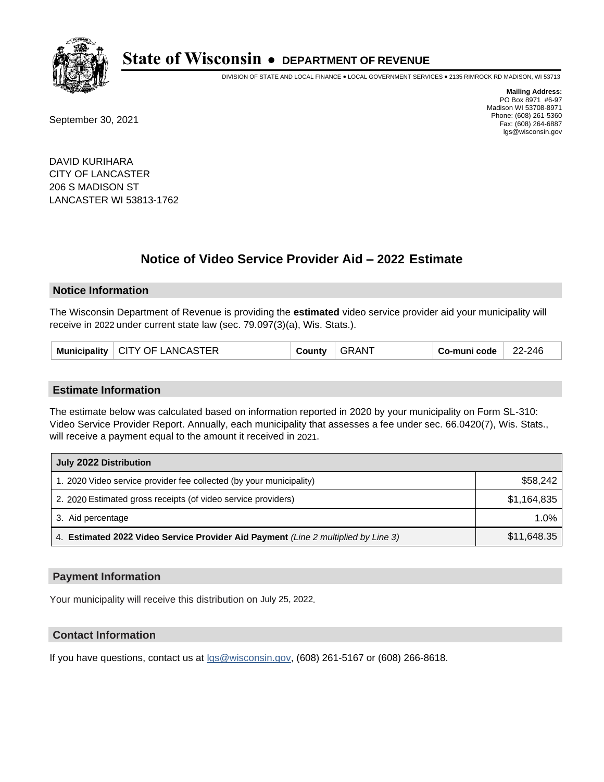

DIVISION OF STATE AND LOCAL FINANCE • LOCAL GOVERNMENT SERVICES • 2135 RIMROCK RD MADISON, WI 53713

September 30, 2021

**Mailing Address:** PO Box 8971 #6-97 Madison WI 53708-8971 Phone: (608) 261-5360 Fax: (608) 264-6887 lgs@wisconsin.gov

DAVID KURIHARA CITY OF LANCASTER 206 S MADISON ST LANCASTER WI 53813-1762

## **Notice of Video Service Provider Aid - 2022 Estimate**

#### **Notice Information**

The Wisconsin Department of Revenue is providing the **estimated** video service provider aid your municipality will receive in 2022 under current state law (sec. 79.097(3)(a), Wis. Stats.).

|  | Municipality   CITY OF LANCASTER | County | <b>GRANT</b> | Co-muni code | 22-246 |
|--|----------------------------------|--------|--------------|--------------|--------|
|--|----------------------------------|--------|--------------|--------------|--------|

#### **Estimate Information**

The estimate below was calculated based on information reported in 2020 by your municipality on Form SL-310: Video Service Provider Report. Annually, each municipality that assesses a fee under sec. 66.0420(7), Wis. Stats., will receive a payment equal to the amount it received in 2021.

| July 2022 Distribution                                                             |             |  |  |  |
|------------------------------------------------------------------------------------|-------------|--|--|--|
| 1. 2020 Video service provider fee collected (by your municipality)                | \$58,242    |  |  |  |
| 2. 2020 Estimated gross receipts (of video service providers)                      | \$1,164,835 |  |  |  |
| 3. Aid percentage                                                                  | 1.0%        |  |  |  |
| 4. Estimated 2022 Video Service Provider Aid Payment (Line 2 multiplied by Line 3) | \$11,648.35 |  |  |  |

#### **Payment Information**

Your municipality will receive this distribution on July 25, 2022.

## **Contact Information**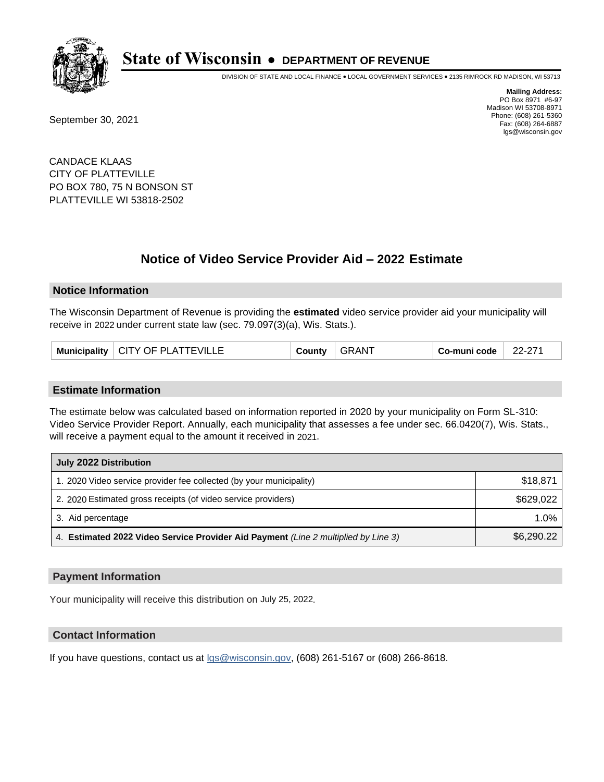

DIVISION OF STATE AND LOCAL FINANCE • LOCAL GOVERNMENT SERVICES • 2135 RIMROCK RD MADISON, WI 53713

September 30, 2021

**Mailing Address:** PO Box 8971 #6-97 Madison WI 53708-8971 Phone: (608) 261-5360 Fax: (608) 264-6887 lgs@wisconsin.gov

CANDACE KLAAS CITY OF PLATTEVILLE PO BOX 780, 75 N BONSON ST PLATTEVILLE WI 53818-2502

## **Notice of Video Service Provider Aid - 2022 Estimate**

#### **Notice Information**

The Wisconsin Department of Revenue is providing the **estimated** video service provider aid your municipality will receive in 2022 under current state law (sec. 79.097(3)(a), Wis. Stats.).

|  | Municipality   CITY OF PLATTEVILLE | County | <b>GRANT</b> | Co-muni code | 22-271 |
|--|------------------------------------|--------|--------------|--------------|--------|
|--|------------------------------------|--------|--------------|--------------|--------|

#### **Estimate Information**

The estimate below was calculated based on information reported in 2020 by your municipality on Form SL-310: Video Service Provider Report. Annually, each municipality that assesses a fee under sec. 66.0420(7), Wis. Stats., will receive a payment equal to the amount it received in 2021.

| July 2022 Distribution                                                             |            |  |  |  |
|------------------------------------------------------------------------------------|------------|--|--|--|
| 1. 2020 Video service provider fee collected (by your municipality)                | \$18,871   |  |  |  |
| 2. 2020 Estimated gross receipts (of video service providers)                      | \$629,022  |  |  |  |
| 3. Aid percentage                                                                  | $1.0\%$    |  |  |  |
| 4. Estimated 2022 Video Service Provider Aid Payment (Line 2 multiplied by Line 3) | \$6,290.22 |  |  |  |

#### **Payment Information**

Your municipality will receive this distribution on July 25, 2022.

## **Contact Information**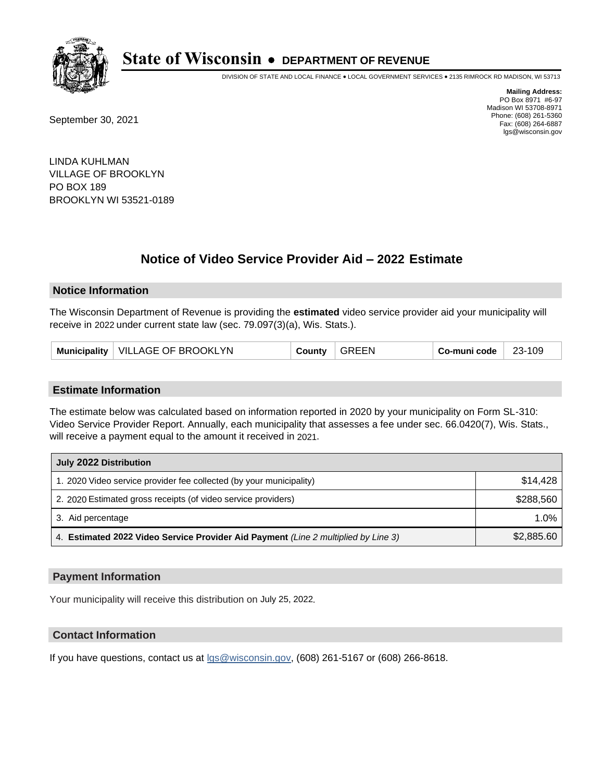

DIVISION OF STATE AND LOCAL FINANCE • LOCAL GOVERNMENT SERVICES • 2135 RIMROCK RD MADISON, WI 53713

September 30, 2021

**Mailing Address:** PO Box 8971 #6-97 Madison WI 53708-8971 Phone: (608) 261-5360 Fax: (608) 264-6887 lgs@wisconsin.gov

LINDA KUHLMAN VILLAGE OF BROOKLYN PO BOX 189 BROOKLYN WI 53521-0189

# **Notice of Video Service Provider Aid - 2022 Estimate**

### **Notice Information**

The Wisconsin Department of Revenue is providing the **estimated** video service provider aid your municipality will receive in 2022 under current state law (sec. 79.097(3)(a), Wis. Stats.).

| Municipality   VILLAGE OF BROOKLYN | County | $^{\circ}$ GREEN | Co-muni code | 23-109 |
|------------------------------------|--------|------------------|--------------|--------|
|------------------------------------|--------|------------------|--------------|--------|

#### **Estimate Information**

The estimate below was calculated based on information reported in 2020 by your municipality on Form SL-310: Video Service Provider Report. Annually, each municipality that assesses a fee under sec. 66.0420(7), Wis. Stats., will receive a payment equal to the amount it received in 2021.

| July 2022 Distribution                                                             |            |  |  |  |
|------------------------------------------------------------------------------------|------------|--|--|--|
| 1. 2020 Video service provider fee collected (by your municipality)                | \$14,428   |  |  |  |
| 2. 2020 Estimated gross receipts (of video service providers)                      | \$288.560  |  |  |  |
| 3. Aid percentage                                                                  | $1.0\%$    |  |  |  |
| 4. Estimated 2022 Video Service Provider Aid Payment (Line 2 multiplied by Line 3) | \$2,885.60 |  |  |  |

#### **Payment Information**

Your municipality will receive this distribution on July 25, 2022.

## **Contact Information**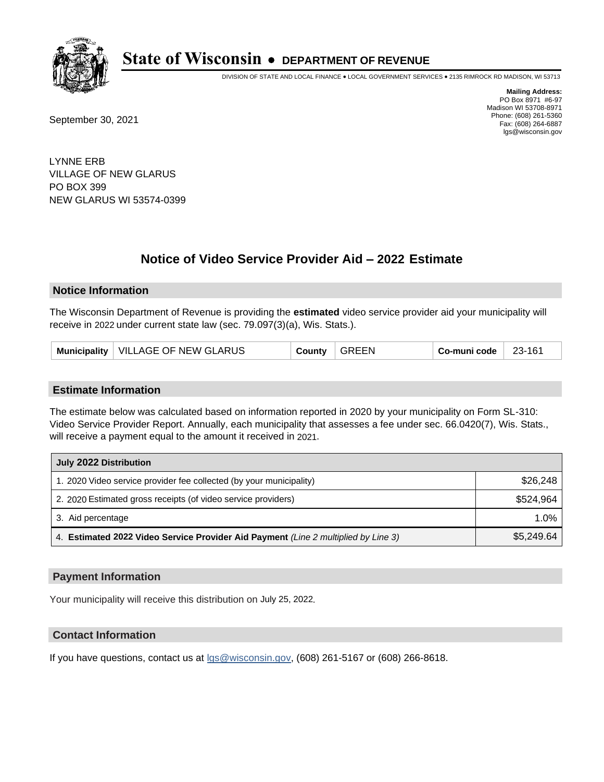

DIVISION OF STATE AND LOCAL FINANCE • LOCAL GOVERNMENT SERVICES • 2135 RIMROCK RD MADISON, WI 53713

September 30, 2021

**Mailing Address:** PO Box 8971 #6-97 Madison WI 53708-8971 Phone: (608) 261-5360 Fax: (608) 264-6887 lgs@wisconsin.gov

LYNNE ERB VILLAGE OF NEW GLARUS PO BOX 399 NEW GLARUS WI 53574-0399

# **Notice of Video Service Provider Aid - 2022 Estimate**

### **Notice Information**

The Wisconsin Department of Revenue is providing the **estimated** video service provider aid your municipality will receive in 2022 under current state law (sec. 79.097(3)(a), Wis. Stats.).

| Municipality   VILLAGE OF NEW GLARUS | County | $\overline{\phantom{a}}$ GREEN | $Co$ -muni code $\overline{\phantom{a}}$ | $23-161$ |
|--------------------------------------|--------|--------------------------------|------------------------------------------|----------|
|--------------------------------------|--------|--------------------------------|------------------------------------------|----------|

#### **Estimate Information**

The estimate below was calculated based on information reported in 2020 by your municipality on Form SL-310: Video Service Provider Report. Annually, each municipality that assesses a fee under sec. 66.0420(7), Wis. Stats., will receive a payment equal to the amount it received in 2021.

| July 2022 Distribution                                                             |            |  |  |  |
|------------------------------------------------------------------------------------|------------|--|--|--|
| 1. 2020 Video service provider fee collected (by your municipality)                | \$26,248   |  |  |  |
| 2. 2020 Estimated gross receipts (of video service providers)                      | \$524.964  |  |  |  |
| 3. Aid percentage                                                                  | $1.0\%$    |  |  |  |
| 4. Estimated 2022 Video Service Provider Aid Payment (Line 2 multiplied by Line 3) | \$5,249.64 |  |  |  |

#### **Payment Information**

Your municipality will receive this distribution on July 25, 2022.

## **Contact Information**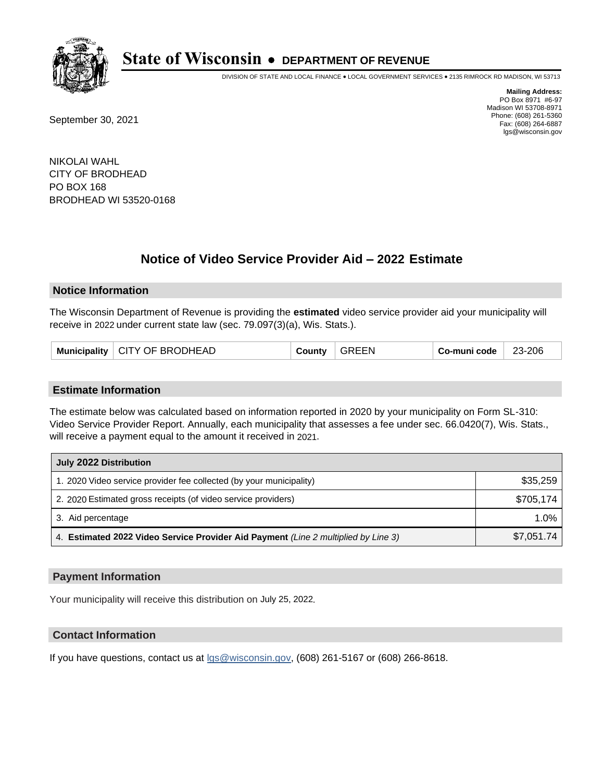

DIVISION OF STATE AND LOCAL FINANCE • LOCAL GOVERNMENT SERVICES • 2135 RIMROCK RD MADISON, WI 53713

September 30, 2021

**Mailing Address:** PO Box 8971 #6-97 Madison WI 53708-8971 Phone: (608) 261-5360 Fax: (608) 264-6887 lgs@wisconsin.gov

NIKOLAI WAHL CITY OF BRODHEAD PO BOX 168 BRODHEAD WI 53520-0168

## **Notice of Video Service Provider Aid - 2022 Estimate**

#### **Notice Information**

The Wisconsin Department of Revenue is providing the **estimated** video service provider aid your municipality will receive in 2022 under current state law (sec. 79.097(3)(a), Wis. Stats.).

|  | Municipality   CITY OF BRODHEAD | County | GREEN | Co-muni code | 23-206 |
|--|---------------------------------|--------|-------|--------------|--------|
|--|---------------------------------|--------|-------|--------------|--------|

#### **Estimate Information**

The estimate below was calculated based on information reported in 2020 by your municipality on Form SL-310: Video Service Provider Report. Annually, each municipality that assesses a fee under sec. 66.0420(7), Wis. Stats., will receive a payment equal to the amount it received in 2021.

| July 2022 Distribution                                                             |            |  |  |  |
|------------------------------------------------------------------------------------|------------|--|--|--|
| 1. 2020 Video service provider fee collected (by your municipality)                | \$35,259   |  |  |  |
| 2. 2020 Estimated gross receipts (of video service providers)                      | \$705.174  |  |  |  |
| 3. Aid percentage                                                                  | 1.0%       |  |  |  |
| 4. Estimated 2022 Video Service Provider Aid Payment (Line 2 multiplied by Line 3) | \$7,051.74 |  |  |  |

### **Payment Information**

Your municipality will receive this distribution on July 25, 2022.

## **Contact Information**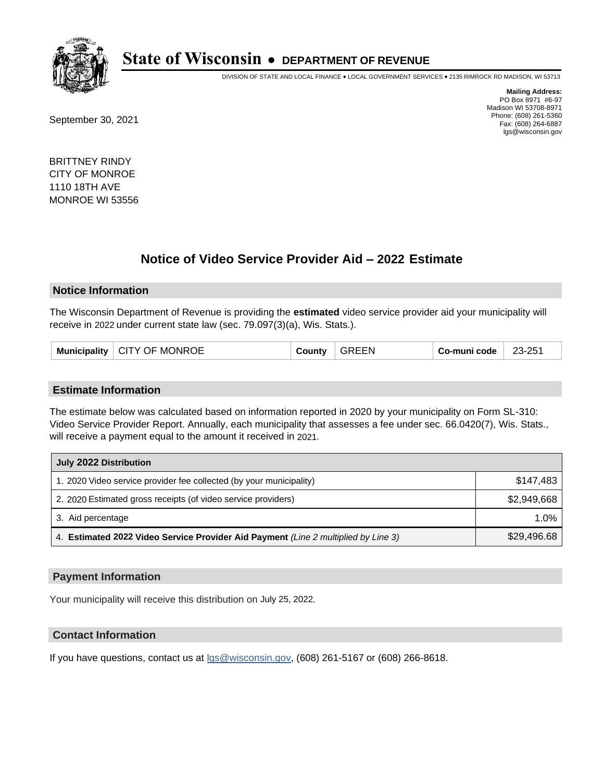

DIVISION OF STATE AND LOCAL FINANCE • LOCAL GOVERNMENT SERVICES • 2135 RIMROCK RD MADISON, WI 53713

September 30, 2021

**Mailing Address:** PO Box 8971 #6-97 Madison WI 53708-8971 Phone: (608) 261-5360 Fax: (608) 264-6887 lgs@wisconsin.gov

BRITTNEY RINDY CITY OF MONROE 1110 18TH AVE MONROE WI 53556

## **Notice of Video Service Provider Aid - 2022 Estimate**

#### **Notice Information**

The Wisconsin Department of Revenue is providing the **estimated** video service provider aid your municipality will receive in 2022 under current state law (sec. 79.097(3)(a), Wis. Stats.).

| Municipality | <b>CITY OF MONROE</b> | County | GREEN | Co-muni code | 23-251 |
|--------------|-----------------------|--------|-------|--------------|--------|
|--------------|-----------------------|--------|-------|--------------|--------|

#### **Estimate Information**

The estimate below was calculated based on information reported in 2020 by your municipality on Form SL-310: Video Service Provider Report. Annually, each municipality that assesses a fee under sec. 66.0420(7), Wis. Stats., will receive a payment equal to the amount it received in 2021.

| July 2022 Distribution                                                             |             |  |  |  |
|------------------------------------------------------------------------------------|-------------|--|--|--|
| 1. 2020 Video service provider fee collected (by your municipality)                | \$147.483   |  |  |  |
| 2. 2020 Estimated gross receipts (of video service providers)                      | \$2,949,668 |  |  |  |
| 3. Aid percentage                                                                  | 1.0%        |  |  |  |
| 4. Estimated 2022 Video Service Provider Aid Payment (Line 2 multiplied by Line 3) | \$29,496.68 |  |  |  |

#### **Payment Information**

Your municipality will receive this distribution on July 25, 2022.

## **Contact Information**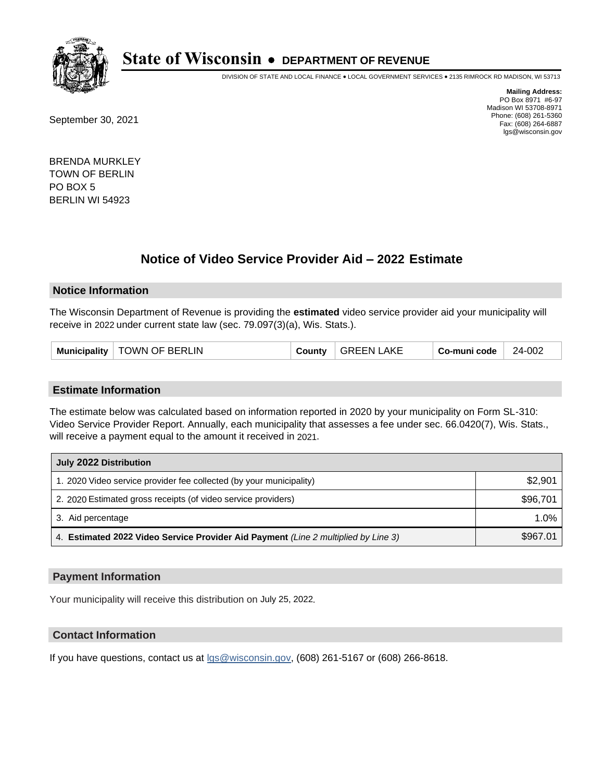

DIVISION OF STATE AND LOCAL FINANCE • LOCAL GOVERNMENT SERVICES • 2135 RIMROCK RD MADISON, WI 53713

September 30, 2021

**Mailing Address:** PO Box 8971 #6-97 Madison WI 53708-8971 Phone: (608) 261-5360 Fax: (608) 264-6887 lgs@wisconsin.gov

BRENDA MURKLEY TOWN OF BERLIN PO BOX 5 BERLIN WI 54923

## **Notice of Video Service Provider Aid - 2022 Estimate**

#### **Notice Information**

The Wisconsin Department of Revenue is providing the **estimated** video service provider aid your municipality will receive in 2022 under current state law (sec. 79.097(3)(a), Wis. Stats.).

| TOWN OF BERLIN<br><b>Municipality</b><br>Countv | .AKE<br>GREEN I | Co-muni code | 24-002 |
|-------------------------------------------------|-----------------|--------------|--------|
|-------------------------------------------------|-----------------|--------------|--------|

#### **Estimate Information**

The estimate below was calculated based on information reported in 2020 by your municipality on Form SL-310: Video Service Provider Report. Annually, each municipality that assesses a fee under sec. 66.0420(7), Wis. Stats., will receive a payment equal to the amount it received in 2021.

| July 2022 Distribution                                                             |          |
|------------------------------------------------------------------------------------|----------|
| 1. 2020 Video service provider fee collected (by your municipality)                | \$2,901  |
| 2. 2020 Estimated gross receipts (of video service providers)                      | \$96,701 |
| 3. Aid percentage                                                                  | $1.0\%$  |
| 4. Estimated 2022 Video Service Provider Aid Payment (Line 2 multiplied by Line 3) | \$967.01 |

#### **Payment Information**

Your municipality will receive this distribution on July 25, 2022.

## **Contact Information**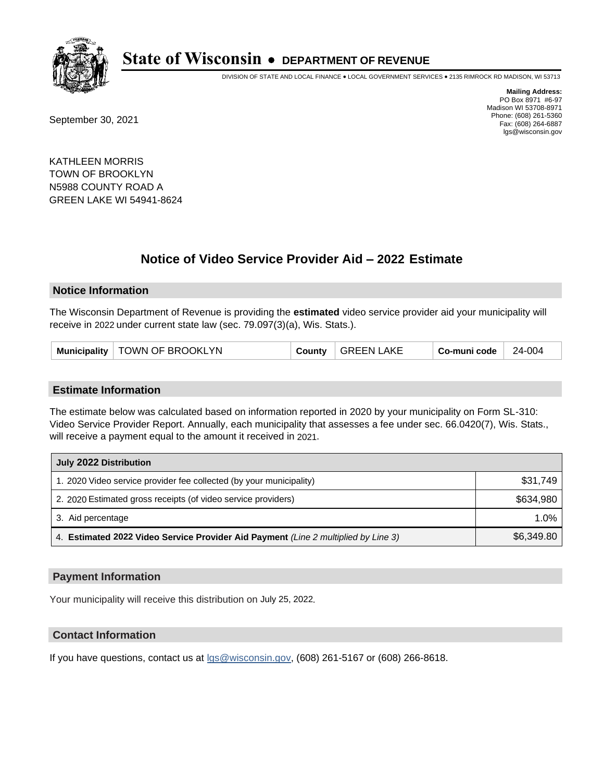

DIVISION OF STATE AND LOCAL FINANCE • LOCAL GOVERNMENT SERVICES • 2135 RIMROCK RD MADISON, WI 53713

September 30, 2021

**Mailing Address:** PO Box 8971 #6-97 Madison WI 53708-8971 Phone: (608) 261-5360 Fax: (608) 264-6887 lgs@wisconsin.gov

KATHLEEN MORRIS TOWN OF BROOKLYN N5988 COUNTY ROAD A GREEN LAKE WI 54941-8624

## **Notice of Video Service Provider Aid - 2022 Estimate**

#### **Notice Information**

The Wisconsin Department of Revenue is providing the **estimated** video service provider aid your municipality will receive in 2022 under current state law (sec. 79.097(3)(a), Wis. Stats.).

| Municipality   TOWN OF BROOKLYN |  | County   GREEN LAKE | $\overline{\phantom{a}}$ Co-muni code $\overline{\phantom{a}}$ | 24-004 |
|---------------------------------|--|---------------------|----------------------------------------------------------------|--------|
|---------------------------------|--|---------------------|----------------------------------------------------------------|--------|

#### **Estimate Information**

The estimate below was calculated based on information reported in 2020 by your municipality on Form SL-310: Video Service Provider Report. Annually, each municipality that assesses a fee under sec. 66.0420(7), Wis. Stats., will receive a payment equal to the amount it received in 2021.

| July 2022 Distribution                                                             |            |
|------------------------------------------------------------------------------------|------------|
| 1. 2020 Video service provider fee collected (by your municipality)                | \$31.749   |
| 2. 2020 Estimated gross receipts (of video service providers)                      | \$634.980  |
| 3. Aid percentage                                                                  | 1.0%       |
| 4. Estimated 2022 Video Service Provider Aid Payment (Line 2 multiplied by Line 3) | \$6,349.80 |

#### **Payment Information**

Your municipality will receive this distribution on July 25, 2022.

## **Contact Information**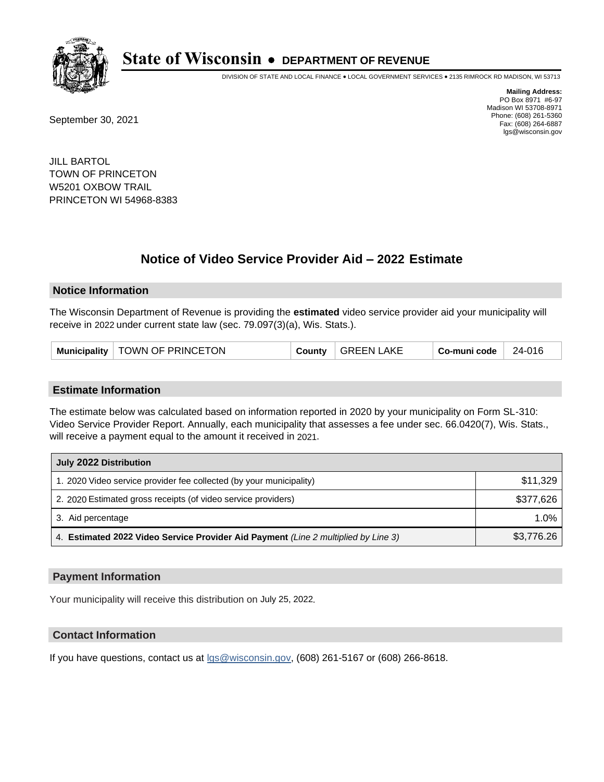

DIVISION OF STATE AND LOCAL FINANCE • LOCAL GOVERNMENT SERVICES • 2135 RIMROCK RD MADISON, WI 53713

September 30, 2021

**Mailing Address:** PO Box 8971 #6-97 Madison WI 53708-8971 Phone: (608) 261-5360 Fax: (608) 264-6887 lgs@wisconsin.gov

JILL BARTOL TOWN OF PRINCETON W5201 OXBOW TRAIL PRINCETON WI 54968-8383

## **Notice of Video Service Provider Aid - 2022 Estimate**

#### **Notice Information**

The Wisconsin Department of Revenue is providing the **estimated** video service provider aid your municipality will receive in 2022 under current state law (sec. 79.097(3)(a), Wis. Stats.).

| <b>Municipality</b> | <b>ETON</b><br>OWN OF PRINCETU | $\sim$ 0.11 <sup>o</sup> $\sim$ | .AKE<br>GREEN | code<br>ക്ക-muni | 010<br>- רכ |
|---------------------|--------------------------------|---------------------------------|---------------|------------------|-------------|
|---------------------|--------------------------------|---------------------------------|---------------|------------------|-------------|

#### **Estimate Information**

The estimate below was calculated based on information reported in 2020 by your municipality on Form SL-310: Video Service Provider Report. Annually, each municipality that assesses a fee under sec. 66.0420(7), Wis. Stats., will receive a payment equal to the amount it received in 2021.

| July 2022 Distribution                                                             |            |
|------------------------------------------------------------------------------------|------------|
| 1. 2020 Video service provider fee collected (by your municipality)                | \$11,329   |
| 2. 2020 Estimated gross receipts (of video service providers)                      | \$377,626  |
| 3. Aid percentage                                                                  | $1.0\%$    |
| 4. Estimated 2022 Video Service Provider Aid Payment (Line 2 multiplied by Line 3) | \$3,776.26 |

### **Payment Information**

Your municipality will receive this distribution on July 25, 2022.

## **Contact Information**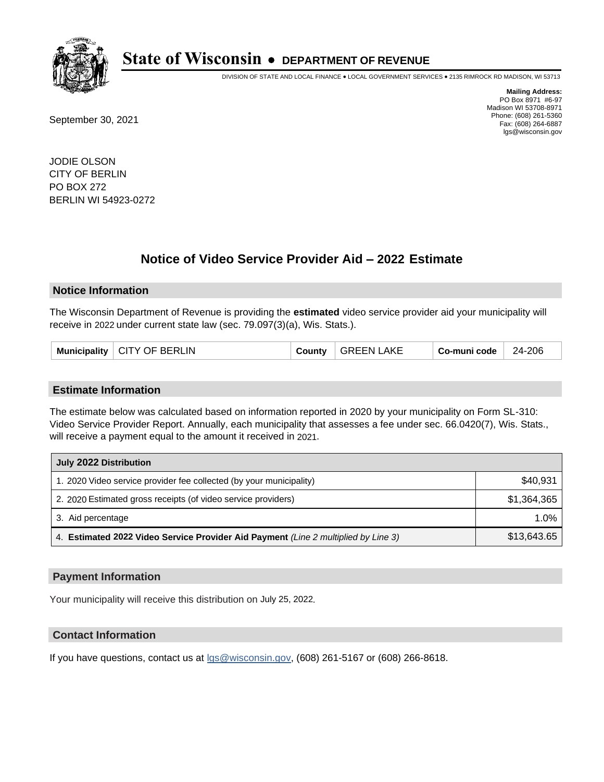

DIVISION OF STATE AND LOCAL FINANCE • LOCAL GOVERNMENT SERVICES • 2135 RIMROCK RD MADISON, WI 53713

September 30, 2021

**Mailing Address:** PO Box 8971 #6-97 Madison WI 53708-8971 Phone: (608) 261-5360 Fax: (608) 264-6887 lgs@wisconsin.gov

JODIE OLSON CITY OF BERLIN PO BOX 272 BERLIN WI 54923-0272

## **Notice of Video Service Provider Aid - 2022 Estimate**

#### **Notice Information**

The Wisconsin Department of Revenue is providing the **estimated** video service provider aid your municipality will receive in 2022 under current state law (sec. 79.097(3)(a), Wis. Stats.).

| <b>CITY OF BERLIN</b><br>Municipality | County | <b>GREEN LAKE</b> | Co-muni code | 24-206 |
|---------------------------------------|--------|-------------------|--------------|--------|
|---------------------------------------|--------|-------------------|--------------|--------|

#### **Estimate Information**

The estimate below was calculated based on information reported in 2020 by your municipality on Form SL-310: Video Service Provider Report. Annually, each municipality that assesses a fee under sec. 66.0420(7), Wis. Stats., will receive a payment equal to the amount it received in 2021.

| July 2022 Distribution                                                             |             |
|------------------------------------------------------------------------------------|-------------|
| 1. 2020 Video service provider fee collected (by your municipality)                | \$40,931    |
| 2. 2020 Estimated gross receipts (of video service providers)                      | \$1.364.365 |
| 3. Aid percentage                                                                  | 1.0%        |
| 4. Estimated 2022 Video Service Provider Aid Payment (Line 2 multiplied by Line 3) | \$13,643.65 |

### **Payment Information**

Your municipality will receive this distribution on July 25, 2022.

### **Contact Information**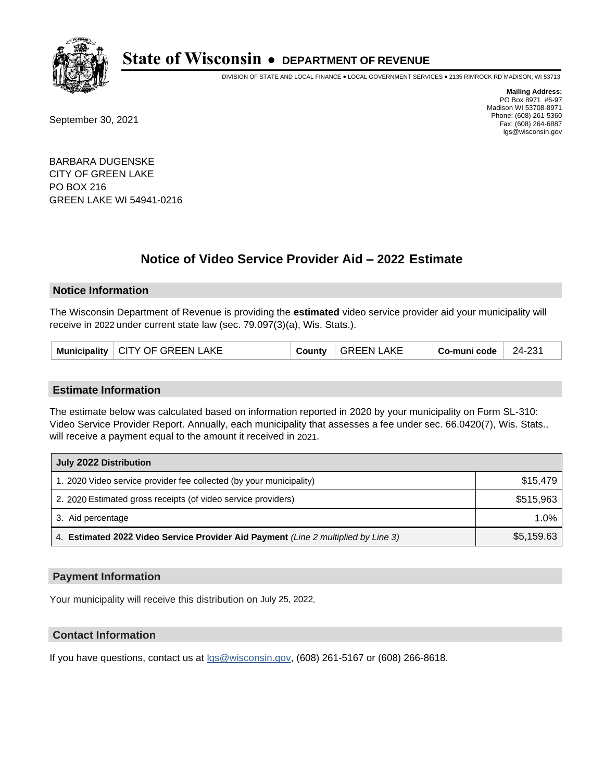

DIVISION OF STATE AND LOCAL FINANCE • LOCAL GOVERNMENT SERVICES • 2135 RIMROCK RD MADISON, WI 53713

September 30, 2021

**Mailing Address:** PO Box 8971 #6-97 Madison WI 53708-8971 Phone: (608) 261-5360 Fax: (608) 264-6887 lgs@wisconsin.gov

BARBARA DUGENSKE CITY OF GREEN LAKE PO BOX 216 GREEN LAKE WI 54941-0216

## **Notice of Video Service Provider Aid - 2022 Estimate**

#### **Notice Information**

The Wisconsin Department of Revenue is providing the **estimated** video service provider aid your municipality will receive in 2022 under current state law (sec. 79.097(3)(a), Wis. Stats.).

|  | Municipality   CITY OF GREEN LAKE |  | County   GREEN LAKE | Co-muni code | 24-231 |
|--|-----------------------------------|--|---------------------|--------------|--------|
|--|-----------------------------------|--|---------------------|--------------|--------|

#### **Estimate Information**

The estimate below was calculated based on information reported in 2020 by your municipality on Form SL-310: Video Service Provider Report. Annually, each municipality that assesses a fee under sec. 66.0420(7), Wis. Stats., will receive a payment equal to the amount it received in 2021.

| July 2022 Distribution                                                             |            |
|------------------------------------------------------------------------------------|------------|
| 1. 2020 Video service provider fee collected (by your municipality)                | \$15,479   |
| 2. 2020 Estimated gross receipts (of video service providers)                      | \$515,963  |
| 3. Aid percentage                                                                  | 1.0%       |
| 4. Estimated 2022 Video Service Provider Aid Payment (Line 2 multiplied by Line 3) | \$5,159.63 |

#### **Payment Information**

Your municipality will receive this distribution on July 25, 2022.

## **Contact Information**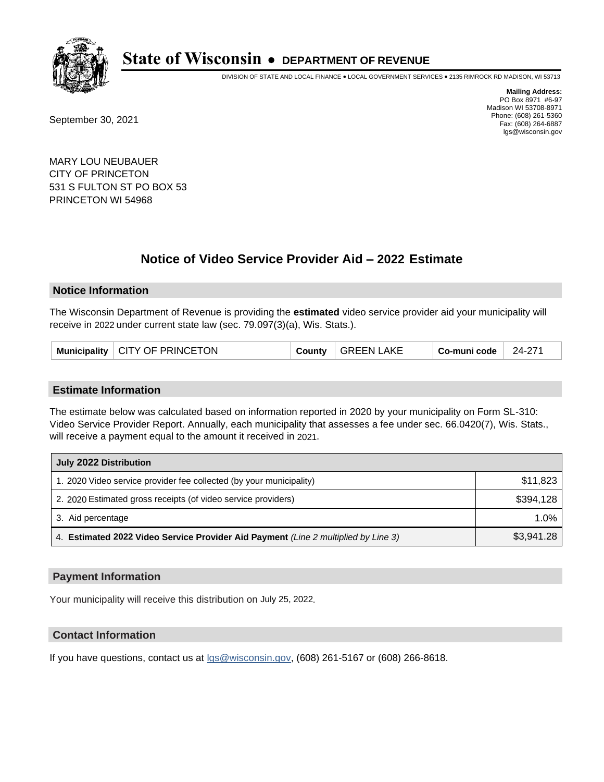

DIVISION OF STATE AND LOCAL FINANCE • LOCAL GOVERNMENT SERVICES • 2135 RIMROCK RD MADISON, WI 53713

September 30, 2021

**Mailing Address:** PO Box 8971 #6-97 Madison WI 53708-8971 Phone: (608) 261-5360 Fax: (608) 264-6887 lgs@wisconsin.gov

MARY LOU NEUBAUER CITY OF PRINCETON 531 S FULTON ST PO BOX 53 PRINCETON WI 54968

## **Notice of Video Service Provider Aid - 2022 Estimate**

#### **Notice Information**

The Wisconsin Department of Revenue is providing the **estimated** video service provider aid your municipality will receive in 2022 under current state law (sec. 79.097(3)(a), Wis. Stats.).

| Municipality   CITY OF PRINCETON | County | $^{\mathrm{+}}$ GREEN LAKE | Co-muni code | 24-271 |
|----------------------------------|--------|----------------------------|--------------|--------|
|----------------------------------|--------|----------------------------|--------------|--------|

#### **Estimate Information**

The estimate below was calculated based on information reported in 2020 by your municipality on Form SL-310: Video Service Provider Report. Annually, each municipality that assesses a fee under sec. 66.0420(7), Wis. Stats., will receive a payment equal to the amount it received in 2021.

| July 2022 Distribution                                                             |            |
|------------------------------------------------------------------------------------|------------|
| 1. 2020 Video service provider fee collected (by your municipality)                | \$11,823   |
| 2. 2020 Estimated gross receipts (of video service providers)                      | \$394,128  |
| 3. Aid percentage                                                                  | $1.0\%$    |
| 4. Estimated 2022 Video Service Provider Aid Payment (Line 2 multiplied by Line 3) | \$3,941.28 |

#### **Payment Information**

Your municipality will receive this distribution on July 25, 2022.

## **Contact Information**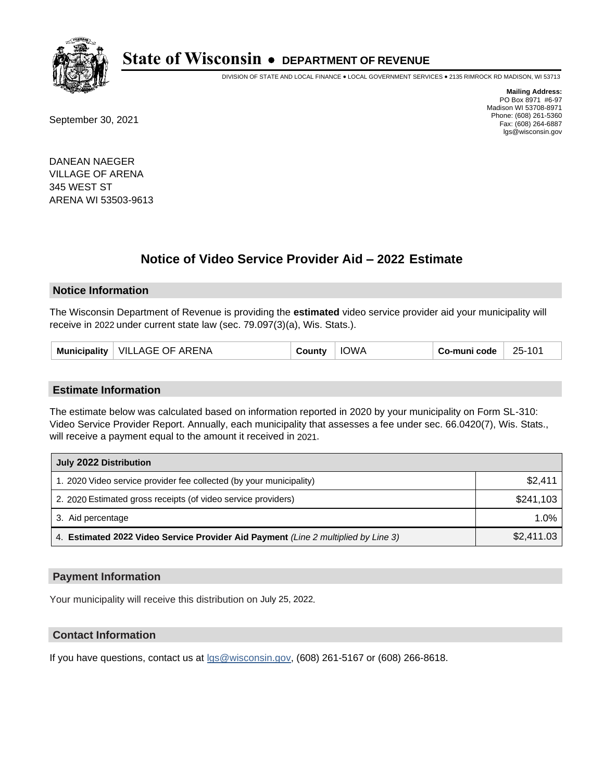

DIVISION OF STATE AND LOCAL FINANCE • LOCAL GOVERNMENT SERVICES • 2135 RIMROCK RD MADISON, WI 53713

September 30, 2021

**Mailing Address:** PO Box 8971 #6-97 Madison WI 53708-8971 Phone: (608) 261-5360 Fax: (608) 264-6887 lgs@wisconsin.gov

DANEAN NAEGER VILLAGE OF ARENA 345 WEST ST ARENA WI 53503-9613

## **Notice of Video Service Provider Aid - 2022 Estimate**

#### **Notice Information**

The Wisconsin Department of Revenue is providing the **estimated** video service provider aid your municipality will receive in 2022 under current state law (sec. 79.097(3)(a), Wis. Stats.).

| <b>IOWA</b><br>Municipality   VILLAGE OF ARENA<br>County | 25-101<br>∈Co-muni code |
|----------------------------------------------------------|-------------------------|
|----------------------------------------------------------|-------------------------|

#### **Estimate Information**

The estimate below was calculated based on information reported in 2020 by your municipality on Form SL-310: Video Service Provider Report. Annually, each municipality that assesses a fee under sec. 66.0420(7), Wis. Stats., will receive a payment equal to the amount it received in 2021.

| July 2022 Distribution                                                             |            |  |  |  |
|------------------------------------------------------------------------------------|------------|--|--|--|
| 1. 2020 Video service provider fee collected (by your municipality)                | \$2,411    |  |  |  |
| 2. 2020 Estimated gross receipts (of video service providers)                      | \$241.103  |  |  |  |
| 3. Aid percentage                                                                  | $1.0\%$    |  |  |  |
| 4. Estimated 2022 Video Service Provider Aid Payment (Line 2 multiplied by Line 3) | \$2,411.03 |  |  |  |

#### **Payment Information**

Your municipality will receive this distribution on July 25, 2022.

## **Contact Information**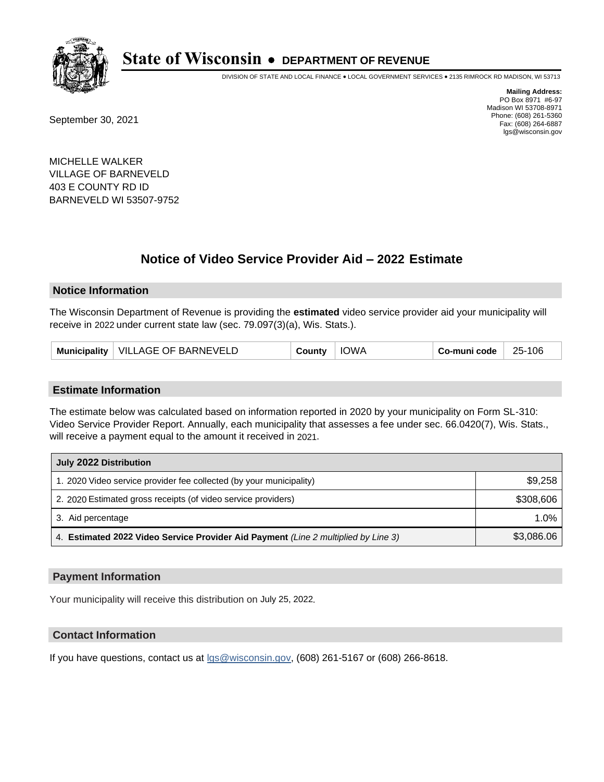

DIVISION OF STATE AND LOCAL FINANCE • LOCAL GOVERNMENT SERVICES • 2135 RIMROCK RD MADISON, WI 53713

September 30, 2021

**Mailing Address:** PO Box 8971 #6-97 Madison WI 53708-8971 Phone: (608) 261-5360 Fax: (608) 264-6887 lgs@wisconsin.gov

MICHELLE WALKER VILLAGE OF BARNEVELD 403 E COUNTY RD ID BARNEVELD WI 53507-9752

## **Notice of Video Service Provider Aid - 2022 Estimate**

#### **Notice Information**

The Wisconsin Department of Revenue is providing the **estimated** video service provider aid your municipality will receive in 2022 under current state law (sec. 79.097(3)(a), Wis. Stats.).

| <b>IOWA</b><br>Municipality   VILLAGE OF BARNEVELD<br>County | Co-muni code<br>25-106 |
|--------------------------------------------------------------|------------------------|
|--------------------------------------------------------------|------------------------|

#### **Estimate Information**

The estimate below was calculated based on information reported in 2020 by your municipality on Form SL-310: Video Service Provider Report. Annually, each municipality that assesses a fee under sec. 66.0420(7), Wis. Stats., will receive a payment equal to the amount it received in 2021.

| July 2022 Distribution                                                             |            |
|------------------------------------------------------------------------------------|------------|
| 1. 2020 Video service provider fee collected (by your municipality)                | \$9,258    |
| 2. 2020 Estimated gross receipts (of video service providers)                      | \$308,606  |
| 3. Aid percentage                                                                  | $1.0\%$    |
| 4. Estimated 2022 Video Service Provider Aid Payment (Line 2 multiplied by Line 3) | \$3,086.06 |

#### **Payment Information**

Your municipality will receive this distribution on July 25, 2022.

## **Contact Information**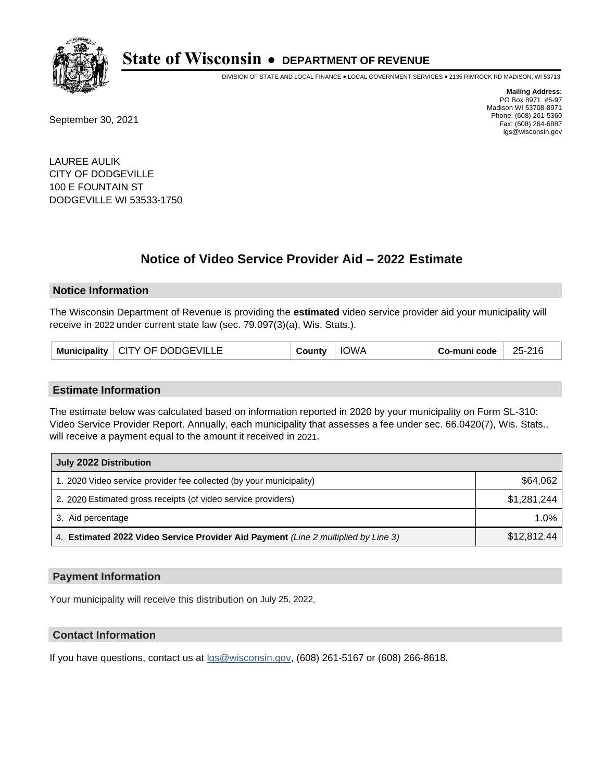

DIVISION OF STATE AND LOCAL FINANCE • LOCAL GOVERNMENT SERVICES • 2135 RIMROCK RD MADISON, WI 53713

September 30, 2021

**Mailing Address:** PO Box 8971 #6-97 Madison WI 53708-8971 Phone: (608) 261-5360 Fax: (608) 264-6887 lgs@wisconsin.gov

LAUREE AULIK CITY OF DODGEVILLE 100 E FOUNTAIN ST DODGEVILLE WI 53533-1750

## **Notice of Video Service Provider Aid - 2022 Estimate**

#### **Notice Information**

The Wisconsin Department of Revenue is providing the **estimated** video service provider aid your municipality will receive in 2022 under current state law (sec. 79.097(3)(a), Wis. Stats.).

|  | Municipality   CITY OF DODGEVILLE | County | <b>IOWA</b> | Co-muni code | 25-216 |
|--|-----------------------------------|--------|-------------|--------------|--------|
|--|-----------------------------------|--------|-------------|--------------|--------|

#### **Estimate Information**

The estimate below was calculated based on information reported in 2020 by your municipality on Form SL-310: Video Service Provider Report. Annually, each municipality that assesses a fee under sec. 66.0420(7), Wis. Stats., will receive a payment equal to the amount it received in 2021.

| July 2022 Distribution                                                             |             |
|------------------------------------------------------------------------------------|-------------|
| 1. 2020 Video service provider fee collected (by your municipality)                | \$64,062    |
| 2. 2020 Estimated gross receipts (of video service providers)                      | \$1,281,244 |
| 3. Aid percentage                                                                  | $1.0\%$     |
| 4. Estimated 2022 Video Service Provider Aid Payment (Line 2 multiplied by Line 3) | \$12,812.44 |

#### **Payment Information**

Your municipality will receive this distribution on July 25, 2022.

## **Contact Information**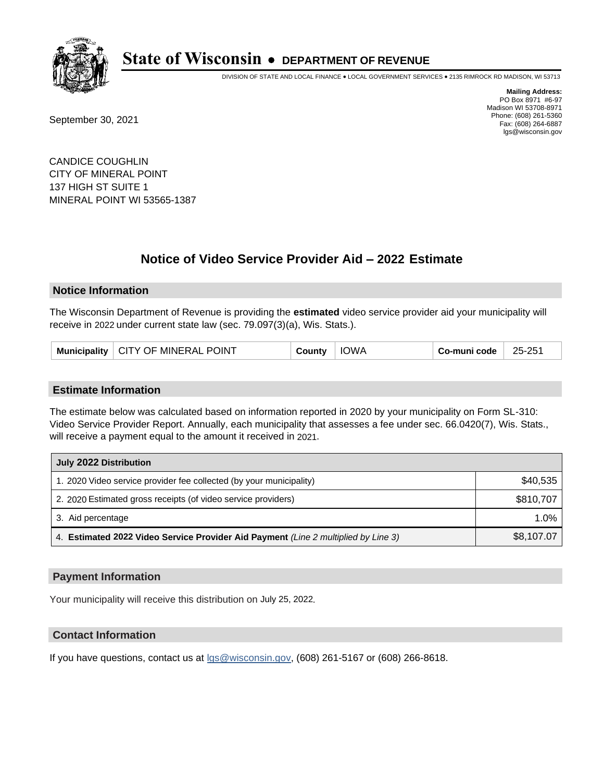

DIVISION OF STATE AND LOCAL FINANCE • LOCAL GOVERNMENT SERVICES • 2135 RIMROCK RD MADISON, WI 53713

September 30, 2021

**Mailing Address:** PO Box 8971 #6-97 Madison WI 53708-8971 Phone: (608) 261-5360 Fax: (608) 264-6887 lgs@wisconsin.gov

CANDICE COUGHLIN CITY OF MINERAL POINT 137 HIGH ST SUITE 1 MINERAL POINT WI 53565-1387

# **Notice of Video Service Provider Aid - 2022 Estimate**

#### **Notice Information**

The Wisconsin Department of Revenue is providing the **estimated** video service provider aid your municipality will receive in 2022 under current state law (sec. 79.097(3)(a), Wis. Stats.).

| Municipality   CITY OF MINERAL POINT | County | <b>IOWA</b> | Co-muni code | 25-251 |
|--------------------------------------|--------|-------------|--------------|--------|
|--------------------------------------|--------|-------------|--------------|--------|

#### **Estimate Information**

The estimate below was calculated based on information reported in 2020 by your municipality on Form SL-310: Video Service Provider Report. Annually, each municipality that assesses a fee under sec. 66.0420(7), Wis. Stats., will receive a payment equal to the amount it received in 2021.

| July 2022 Distribution                                                             |            |  |  |  |
|------------------------------------------------------------------------------------|------------|--|--|--|
| 1. 2020 Video service provider fee collected (by your municipality)                | \$40,535   |  |  |  |
| 2. 2020 Estimated gross receipts (of video service providers)                      | \$810,707  |  |  |  |
| 3. Aid percentage                                                                  | 1.0%       |  |  |  |
| 4. Estimated 2022 Video Service Provider Aid Payment (Line 2 multiplied by Line 3) | \$8,107.07 |  |  |  |

#### **Payment Information**

Your municipality will receive this distribution on July 25, 2022.

## **Contact Information**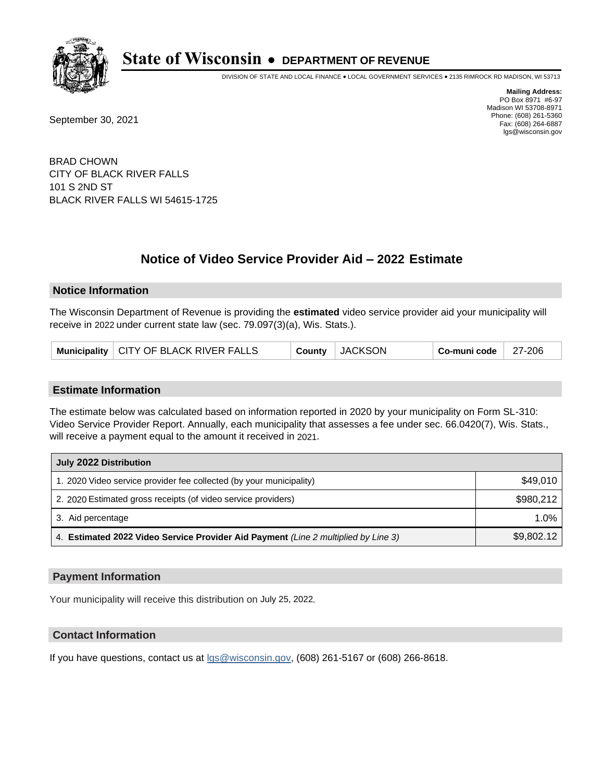

DIVISION OF STATE AND LOCAL FINANCE • LOCAL GOVERNMENT SERVICES • 2135 RIMROCK RD MADISON, WI 53713

September 30, 2021

**Mailing Address:** PO Box 8971 #6-97 Madison WI 53708-8971 Phone: (608) 261-5360 Fax: (608) 264-6887 lgs@wisconsin.gov

BRAD CHOWN CITY OF BLACK RIVER FALLS 101 S 2ND ST BLACK RIVER FALLS WI 54615-1725

# **Notice of Video Service Provider Aid - 2022 Estimate**

#### **Notice Information**

The Wisconsin Department of Revenue is providing the **estimated** video service provider aid your municipality will receive in 2022 under current state law (sec. 79.097(3)(a), Wis. Stats.).

|  | Municipality   CITY OF BLACK RIVER FALLS |  | County JACKSON | $\, \overline{\phantom{a}}$ Co-muni code $\, \overline{\phantom{a}}$ 27-206 |  |
|--|------------------------------------------|--|----------------|-----------------------------------------------------------------------------|--|
|--|------------------------------------------|--|----------------|-----------------------------------------------------------------------------|--|

#### **Estimate Information**

The estimate below was calculated based on information reported in 2020 by your municipality on Form SL-310: Video Service Provider Report. Annually, each municipality that assesses a fee under sec. 66.0420(7), Wis. Stats., will receive a payment equal to the amount it received in 2021.

| July 2022 Distribution                                                             |            |
|------------------------------------------------------------------------------------|------------|
| 1. 2020 Video service provider fee collected (by your municipality)                | \$49.010   |
| 2. 2020 Estimated gross receipts (of video service providers)                      | \$980.212  |
| 3. Aid percentage                                                                  | 1.0%       |
| 4. Estimated 2022 Video Service Provider Aid Payment (Line 2 multiplied by Line 3) | \$9,802.12 |

#### **Payment Information**

Your municipality will receive this distribution on July 25, 2022.

## **Contact Information**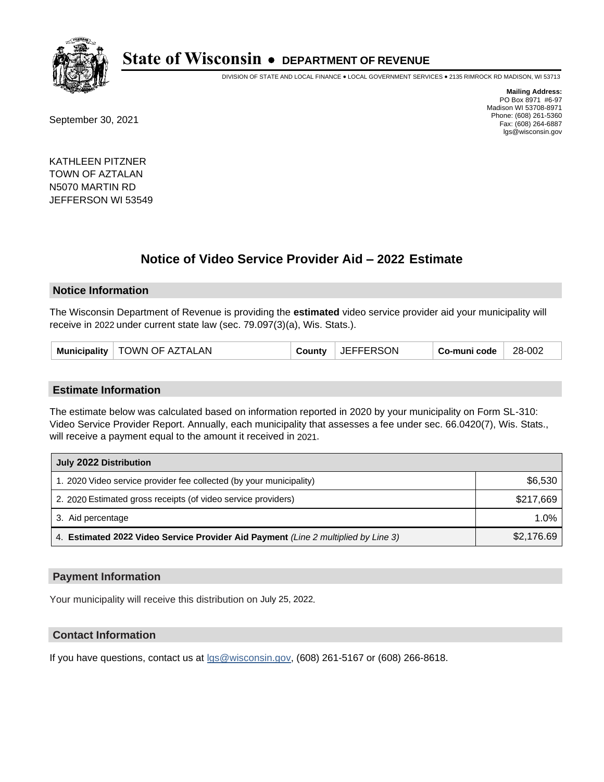

DIVISION OF STATE AND LOCAL FINANCE • LOCAL GOVERNMENT SERVICES • 2135 RIMROCK RD MADISON, WI 53713

September 30, 2021

**Mailing Address:** PO Box 8971 #6-97 Madison WI 53708-8971 Phone: (608) 261-5360 Fax: (608) 264-6887 lgs@wisconsin.gov

KATHLEEN PITZNER TOWN OF AZTALAN N5070 MARTIN RD JEFFERSON WI 53549

## **Notice of Video Service Provider Aid - 2022 Estimate**

#### **Notice Information**

The Wisconsin Department of Revenue is providing the **estimated** video service provider aid your municipality will receive in 2022 under current state law (sec. 79.097(3)(a), Wis. Stats.).

| Municipality   TOWN OF AZTALAN | County | <b>JEFFERSON</b> | Co-muni code | 28-002 |
|--------------------------------|--------|------------------|--------------|--------|
|--------------------------------|--------|------------------|--------------|--------|

#### **Estimate Information**

The estimate below was calculated based on information reported in 2020 by your municipality on Form SL-310: Video Service Provider Report. Annually, each municipality that assesses a fee under sec. 66.0420(7), Wis. Stats., will receive a payment equal to the amount it received in 2021.

| July 2022 Distribution                                                             |            |
|------------------------------------------------------------------------------------|------------|
| 1. 2020 Video service provider fee collected (by your municipality)                | \$6,530    |
| 2. 2020 Estimated gross receipts (of video service providers)                      | \$217,669  |
| 3. Aid percentage                                                                  | 1.0%       |
| 4. Estimated 2022 Video Service Provider Aid Payment (Line 2 multiplied by Line 3) | \$2,176.69 |

### **Payment Information**

Your municipality will receive this distribution on July 25, 2022.

## **Contact Information**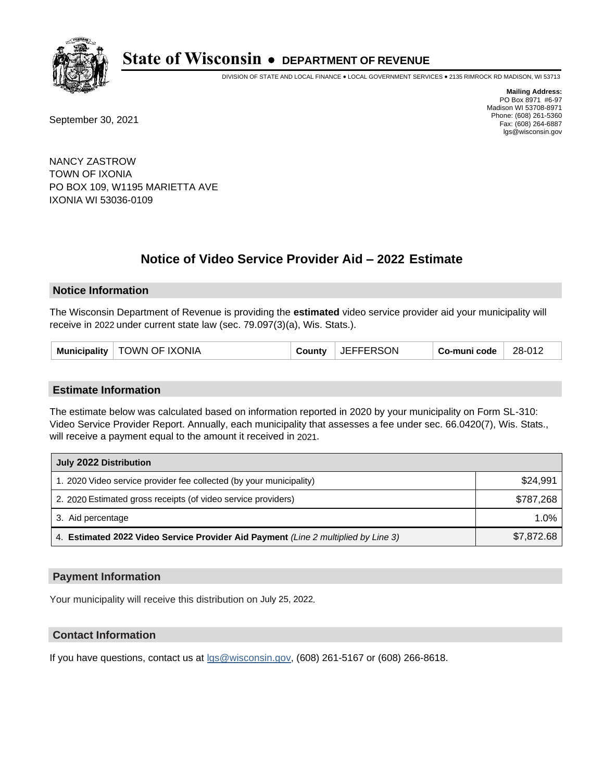

DIVISION OF STATE AND LOCAL FINANCE • LOCAL GOVERNMENT SERVICES • 2135 RIMROCK RD MADISON, WI 53713

September 30, 2021

**Mailing Address:** PO Box 8971 #6-97 Madison WI 53708-8971 Phone: (608) 261-5360 Fax: (608) 264-6887 lgs@wisconsin.gov

NANCY ZASTROW TOWN OF IXONIA PO BOX 109, W1195 MARIETTA AVE IXONIA WI 53036-0109

# **Notice of Video Service Provider Aid - 2022 Estimate**

#### **Notice Information**

The Wisconsin Department of Revenue is providing the **estimated** video service provider aid your municipality will receive in 2022 under current state law (sec. 79.097(3)(a), Wis. Stats.).

| <b>TOWN OF IXONIA</b><br><b>JEFFERSON</b><br>28-012<br><b>Municipality</b><br>Co-muni code<br>County |
|------------------------------------------------------------------------------------------------------|
|------------------------------------------------------------------------------------------------------|

#### **Estimate Information**

The estimate below was calculated based on information reported in 2020 by your municipality on Form SL-310: Video Service Provider Report. Annually, each municipality that assesses a fee under sec. 66.0420(7), Wis. Stats., will receive a payment equal to the amount it received in 2021.

| July 2022 Distribution                                                             |            |  |  |
|------------------------------------------------------------------------------------|------------|--|--|
| 1. 2020 Video service provider fee collected (by your municipality)                | \$24.991   |  |  |
| 2. 2020 Estimated gross receipts (of video service providers)                      | \$787.268  |  |  |
| 3. Aid percentage                                                                  | $1.0\%$    |  |  |
| 4. Estimated 2022 Video Service Provider Aid Payment (Line 2 multiplied by Line 3) | \$7,872.68 |  |  |

#### **Payment Information**

Your municipality will receive this distribution on July 25, 2022.

## **Contact Information**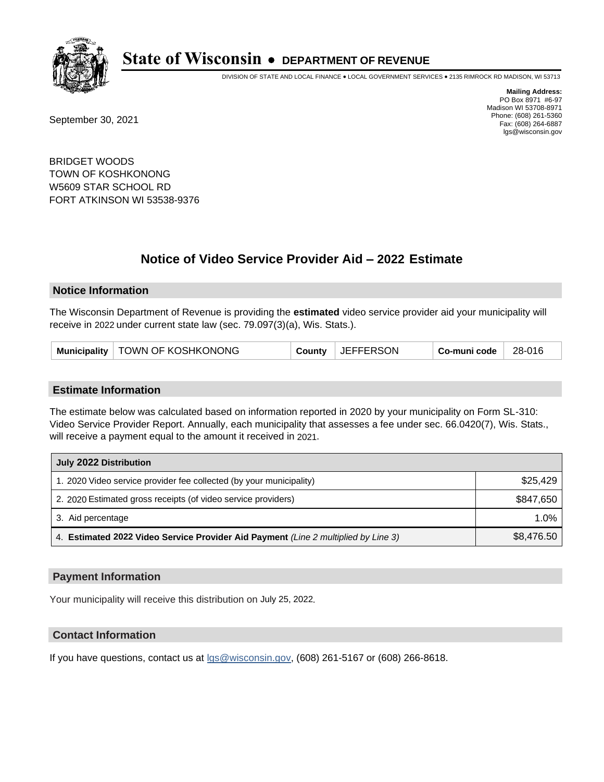

DIVISION OF STATE AND LOCAL FINANCE • LOCAL GOVERNMENT SERVICES • 2135 RIMROCK RD MADISON, WI 53713

September 30, 2021

**Mailing Address:** PO Box 8971 #6-97 Madison WI 53708-8971 Phone: (608) 261-5360 Fax: (608) 264-6887 lgs@wisconsin.gov

BRIDGET WOODS TOWN OF KOSHKONONG W5609 STAR SCHOOL RD FORT ATKINSON WI 53538-9376

# **Notice of Video Service Provider Aid - 2022 Estimate**

#### **Notice Information**

The Wisconsin Department of Revenue is providing the **estimated** video service provider aid your municipality will receive in 2022 under current state law (sec. 79.097(3)(a), Wis. Stats.).

#### **Estimate Information**

The estimate below was calculated based on information reported in 2020 by your municipality on Form SL-310: Video Service Provider Report. Annually, each municipality that assesses a fee under sec. 66.0420(7), Wis. Stats., will receive a payment equal to the amount it received in 2021.

| July 2022 Distribution                                                             |            |  |  |
|------------------------------------------------------------------------------------|------------|--|--|
| 1. 2020 Video service provider fee collected (by your municipality)                | \$25,429   |  |  |
| 2. 2020 Estimated gross receipts (of video service providers)                      | \$847,650  |  |  |
| 3. Aid percentage                                                                  | 1.0%       |  |  |
| 4. Estimated 2022 Video Service Provider Aid Payment (Line 2 multiplied by Line 3) | \$8,476.50 |  |  |

#### **Payment Information**

Your municipality will receive this distribution on July 25, 2022.

## **Contact Information**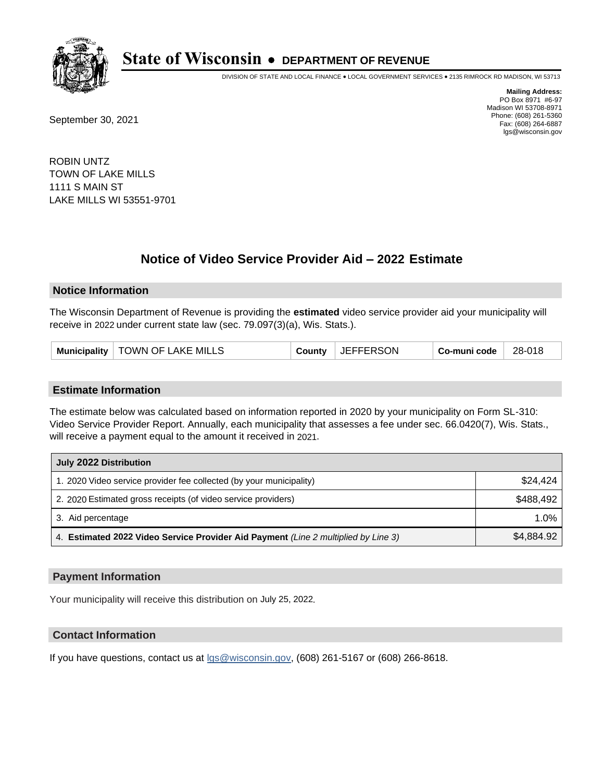

DIVISION OF STATE AND LOCAL FINANCE • LOCAL GOVERNMENT SERVICES • 2135 RIMROCK RD MADISON, WI 53713

September 30, 2021

**Mailing Address:** PO Box 8971 #6-97 Madison WI 53708-8971 Phone: (608) 261-5360 Fax: (608) 264-6887 lgs@wisconsin.gov

ROBIN UNTZ TOWN OF LAKE MILLS 1111 S MAIN ST LAKE MILLS WI 53551-9701

# **Notice of Video Service Provider Aid - 2022 Estimate**

#### **Notice Information**

The Wisconsin Department of Revenue is providing the **estimated** video service provider aid your municipality will receive in 2022 under current state law (sec. 79.097(3)(a), Wis. Stats.).

#### **Estimate Information**

The estimate below was calculated based on information reported in 2020 by your municipality on Form SL-310: Video Service Provider Report. Annually, each municipality that assesses a fee under sec. 66.0420(7), Wis. Stats., will receive a payment equal to the amount it received in 2021.

| July 2022 Distribution                                                             |            |  |  |
|------------------------------------------------------------------------------------|------------|--|--|
| 1. 2020 Video service provider fee collected (by your municipality)                | \$24.424   |  |  |
| 2. 2020 Estimated gross receipts (of video service providers)                      | \$488.492  |  |  |
| 3. Aid percentage                                                                  | $1.0\%$    |  |  |
| 4. Estimated 2022 Video Service Provider Aid Payment (Line 2 multiplied by Line 3) | \$4.884.92 |  |  |

#### **Payment Information**

Your municipality will receive this distribution on July 25, 2022.

## **Contact Information**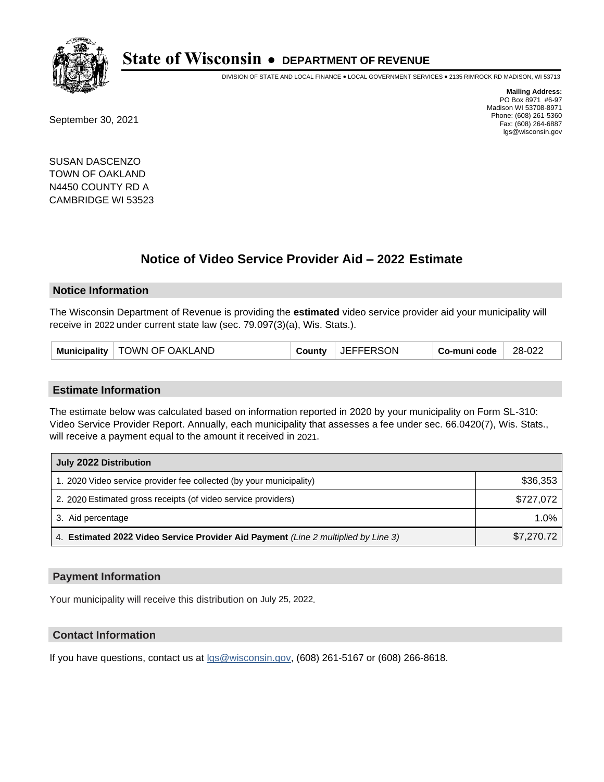

DIVISION OF STATE AND LOCAL FINANCE • LOCAL GOVERNMENT SERVICES • 2135 RIMROCK RD MADISON, WI 53713

September 30, 2021

**Mailing Address:** PO Box 8971 #6-97 Madison WI 53708-8971 Phone: (608) 261-5360 Fax: (608) 264-6887 lgs@wisconsin.gov

SUSAN DASCENZO TOWN OF OAKLAND N4450 COUNTY RD A CAMBRIDGE WI 53523

# **Notice of Video Service Provider Aid - 2022 Estimate**

#### **Notice Information**

The Wisconsin Department of Revenue is providing the **estimated** video service provider aid your municipality will receive in 2022 under current state law (sec. 79.097(3)(a), Wis. Stats.).

| Municipality   TOWN OF OAKLAND | County | <b>JEFFERSON</b> | Co-muni code | 28-022 |
|--------------------------------|--------|------------------|--------------|--------|
|--------------------------------|--------|------------------|--------------|--------|

#### **Estimate Information**

The estimate below was calculated based on information reported in 2020 by your municipality on Form SL-310: Video Service Provider Report. Annually, each municipality that assesses a fee under sec. 66.0420(7), Wis. Stats., will receive a payment equal to the amount it received in 2021.

| July 2022 Distribution                                                             |            |  |  |
|------------------------------------------------------------------------------------|------------|--|--|
| 1. 2020 Video service provider fee collected (by your municipality)                | \$36,353   |  |  |
| 2. 2020 Estimated gross receipts (of video service providers)                      | \$727,072  |  |  |
| 3. Aid percentage                                                                  | $1.0\%$    |  |  |
| 4. Estimated 2022 Video Service Provider Aid Payment (Line 2 multiplied by Line 3) | \$7,270.72 |  |  |

#### **Payment Information**

Your municipality will receive this distribution on July 25, 2022.

## **Contact Information**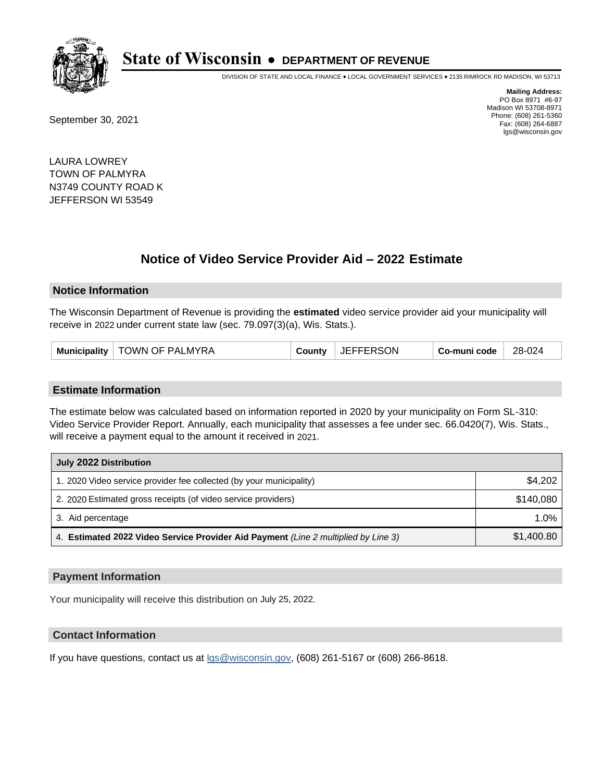

DIVISION OF STATE AND LOCAL FINANCE • LOCAL GOVERNMENT SERVICES • 2135 RIMROCK RD MADISON, WI 53713

September 30, 2021

**Mailing Address:** PO Box 8971 #6-97 Madison WI 53708-8971 Phone: (608) 261-5360 Fax: (608) 264-6887 lgs@wisconsin.gov

LAURA LOWREY TOWN OF PALMYRA N3749 COUNTY ROAD K JEFFERSON WI 53549

# **Notice of Video Service Provider Aid - 2022 Estimate**

#### **Notice Information**

The Wisconsin Department of Revenue is providing the **estimated** video service provider aid your municipality will receive in 2022 under current state law (sec. 79.097(3)(a), Wis. Stats.).

| Municipality   TOWN OF PALMYRA<br>County | JEFFERSON | Co-muni code | 28-024 |
|------------------------------------------|-----------|--------------|--------|
|------------------------------------------|-----------|--------------|--------|

#### **Estimate Information**

The estimate below was calculated based on information reported in 2020 by your municipality on Form SL-310: Video Service Provider Report. Annually, each municipality that assesses a fee under sec. 66.0420(7), Wis. Stats., will receive a payment equal to the amount it received in 2021.

| July 2022 Distribution                                                             |            |  |  |
|------------------------------------------------------------------------------------|------------|--|--|
| 1. 2020 Video service provider fee collected (by your municipality)                | \$4,202    |  |  |
| 2. 2020 Estimated gross receipts (of video service providers)                      | \$140.080  |  |  |
| 3. Aid percentage                                                                  | 1.0%       |  |  |
| 4. Estimated 2022 Video Service Provider Aid Payment (Line 2 multiplied by Line 3) | \$1,400.80 |  |  |

### **Payment Information**

Your municipality will receive this distribution on July 25, 2022.

## **Contact Information**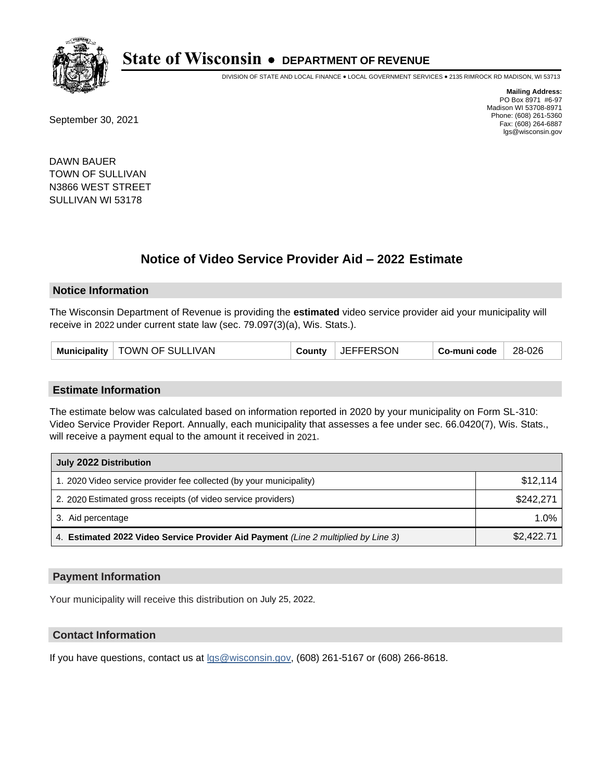

DIVISION OF STATE AND LOCAL FINANCE • LOCAL GOVERNMENT SERVICES • 2135 RIMROCK RD MADISON, WI 53713

September 30, 2021

**Mailing Address:** PO Box 8971 #6-97 Madison WI 53708-8971 Phone: (608) 261-5360 Fax: (608) 264-6887 lgs@wisconsin.gov

DAWN BAUER TOWN OF SULLIVAN N3866 WEST STREET SULLIVAN WI 53178

# **Notice of Video Service Provider Aid - 2022 Estimate**

#### **Notice Information**

The Wisconsin Department of Revenue is providing the **estimated** video service provider aid your municipality will receive in 2022 under current state law (sec. 79.097(3)(a), Wis. Stats.).

| Municipality   TOWN OF SULLIVAN |  | County JEFFERSON | Co-muni code | 28-026 |
|---------------------------------|--|------------------|--------------|--------|
|---------------------------------|--|------------------|--------------|--------|

#### **Estimate Information**

The estimate below was calculated based on information reported in 2020 by your municipality on Form SL-310: Video Service Provider Report. Annually, each municipality that assesses a fee under sec. 66.0420(7), Wis. Stats., will receive a payment equal to the amount it received in 2021.

| July 2022 Distribution                                                             |            |  |  |
|------------------------------------------------------------------------------------|------------|--|--|
| 1. 2020 Video service provider fee collected (by your municipality)                | \$12.114   |  |  |
| 2. 2020 Estimated gross receipts (of video service providers)                      | \$242.271  |  |  |
| 3. Aid percentage                                                                  | 1.0%       |  |  |
| 4. Estimated 2022 Video Service Provider Aid Payment (Line 2 multiplied by Line 3) | \$2,422.71 |  |  |

### **Payment Information**

Your municipality will receive this distribution on July 25, 2022.

## **Contact Information**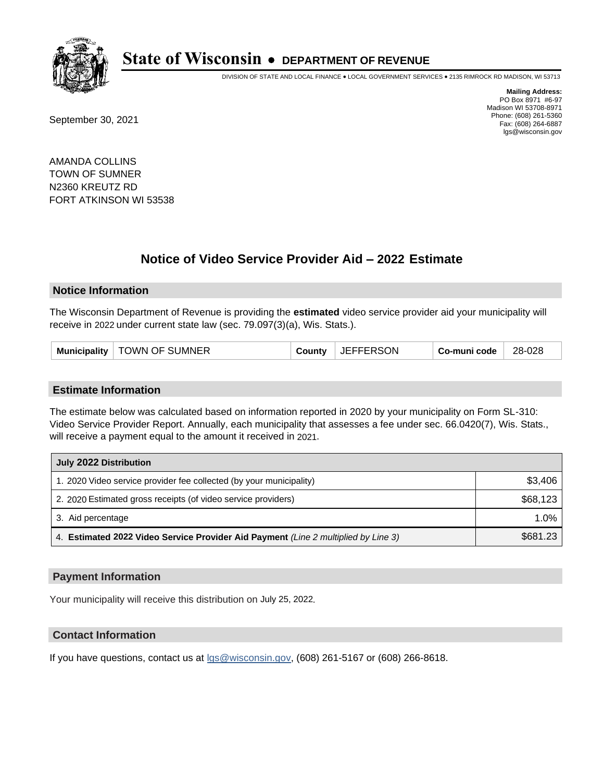

DIVISION OF STATE AND LOCAL FINANCE • LOCAL GOVERNMENT SERVICES • 2135 RIMROCK RD MADISON, WI 53713

September 30, 2021

**Mailing Address:** PO Box 8971 #6-97 Madison WI 53708-8971 Phone: (608) 261-5360 Fax: (608) 264-6887 lgs@wisconsin.gov

AMANDA COLLINS TOWN OF SUMNER N2360 KREUTZ RD FORT ATKINSON WI 53538

# **Notice of Video Service Provider Aid - 2022 Estimate**

#### **Notice Information**

The Wisconsin Department of Revenue is providing the **estimated** video service provider aid your municipality will receive in 2022 under current state law (sec. 79.097(3)(a), Wis. Stats.).

#### **Estimate Information**

The estimate below was calculated based on information reported in 2020 by your municipality on Form SL-310: Video Service Provider Report. Annually, each municipality that assesses a fee under sec. 66.0420(7), Wis. Stats., will receive a payment equal to the amount it received in 2021.

| July 2022 Distribution                                                             |          |
|------------------------------------------------------------------------------------|----------|
| 1. 2020 Video service provider fee collected (by your municipality)                | \$3,406  |
| 2. 2020 Estimated gross receipts (of video service providers)                      | \$68,123 |
| 3. Aid percentage                                                                  | 1.0%     |
| 4. Estimated 2022 Video Service Provider Aid Payment (Line 2 multiplied by Line 3) | \$681.23 |

#### **Payment Information**

Your municipality will receive this distribution on July 25, 2022.

## **Contact Information**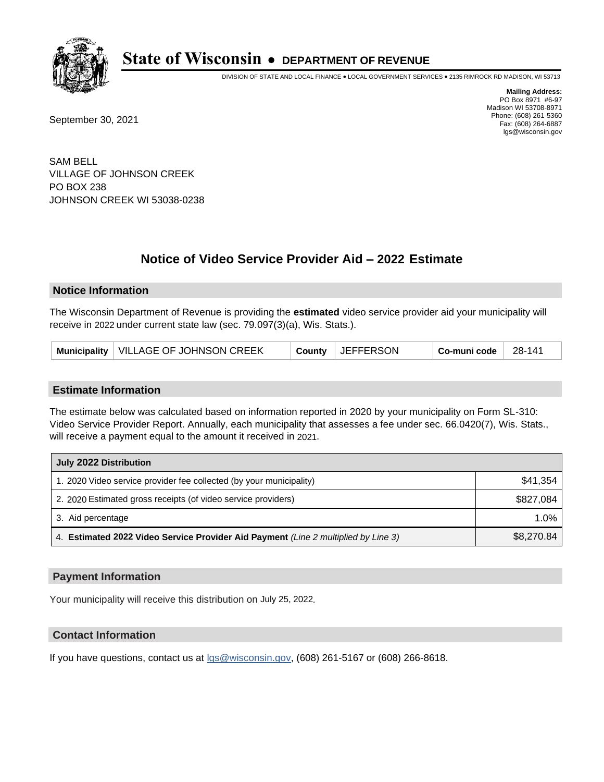

DIVISION OF STATE AND LOCAL FINANCE • LOCAL GOVERNMENT SERVICES • 2135 RIMROCK RD MADISON, WI 53713

September 30, 2021

**Mailing Address:** PO Box 8971 #6-97 Madison WI 53708-8971 Phone: (608) 261-5360 Fax: (608) 264-6887 lgs@wisconsin.gov

SAM BELL VILLAGE OF JOHNSON CREEK PO BOX 238 JOHNSON CREEK WI 53038-0238

# **Notice of Video Service Provider Aid - 2022 Estimate**

### **Notice Information**

The Wisconsin Department of Revenue is providing the **estimated** video service provider aid your municipality will receive in 2022 under current state law (sec. 79.097(3)(a), Wis. Stats.).

| Municipality   VILLAGE OF JOHNSON CREEK |  | County JEFFERSON | Co-muni code | 28-141 |
|-----------------------------------------|--|------------------|--------------|--------|
|-----------------------------------------|--|------------------|--------------|--------|

#### **Estimate Information**

The estimate below was calculated based on information reported in 2020 by your municipality on Form SL-310: Video Service Provider Report. Annually, each municipality that assesses a fee under sec. 66.0420(7), Wis. Stats., will receive a payment equal to the amount it received in 2021.

| July 2022 Distribution                                                             |            |
|------------------------------------------------------------------------------------|------------|
| 1. 2020 Video service provider fee collected (by your municipality)                | \$41.354   |
| 2. 2020 Estimated gross receipts (of video service providers)                      | \$827,084  |
| 3. Aid percentage                                                                  | $1.0\%$    |
| 4. Estimated 2022 Video Service Provider Aid Payment (Line 2 multiplied by Line 3) | \$8,270.84 |

#### **Payment Information**

Your municipality will receive this distribution on July 25, 2022.

## **Contact Information**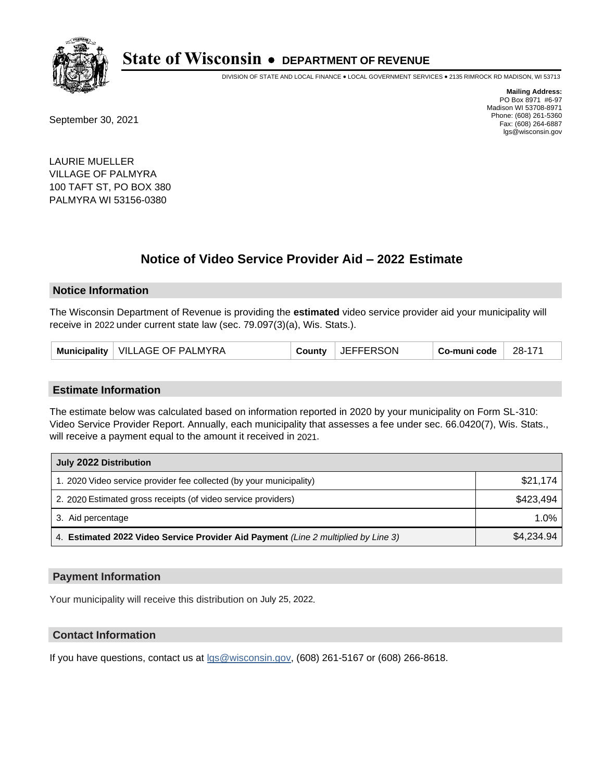

DIVISION OF STATE AND LOCAL FINANCE • LOCAL GOVERNMENT SERVICES • 2135 RIMROCK RD MADISON, WI 53713

September 30, 2021

**Mailing Address:** PO Box 8971 #6-97 Madison WI 53708-8971 Phone: (608) 261-5360 Fax: (608) 264-6887 lgs@wisconsin.gov

LAURIE MUELLER VILLAGE OF PALMYRA 100 TAFT ST, PO BOX 380 PALMYRA WI 53156-0380

# **Notice of Video Service Provider Aid - 2022 Estimate**

#### **Notice Information**

The Wisconsin Department of Revenue is providing the **estimated** video service provider aid your municipality will receive in 2022 under current state law (sec. 79.097(3)(a), Wis. Stats.).

| Municipality   VILLAGE OF PALMYRA | County | <b>JEFFERSON</b> | Co-muni code | 28-171 |
|-----------------------------------|--------|------------------|--------------|--------|
|-----------------------------------|--------|------------------|--------------|--------|

#### **Estimate Information**

The estimate below was calculated based on information reported in 2020 by your municipality on Form SL-310: Video Service Provider Report. Annually, each municipality that assesses a fee under sec. 66.0420(7), Wis. Stats., will receive a payment equal to the amount it received in 2021.

| July 2022 Distribution                                                             |            |
|------------------------------------------------------------------------------------|------------|
| 1. 2020 Video service provider fee collected (by your municipality)                | \$21,174   |
| 2. 2020 Estimated gross receipts (of video service providers)                      | \$423,494  |
| 3. Aid percentage                                                                  | $1.0\%$    |
| 4. Estimated 2022 Video Service Provider Aid Payment (Line 2 multiplied by Line 3) | \$4,234.94 |

#### **Payment Information**

Your municipality will receive this distribution on July 25, 2022.

## **Contact Information**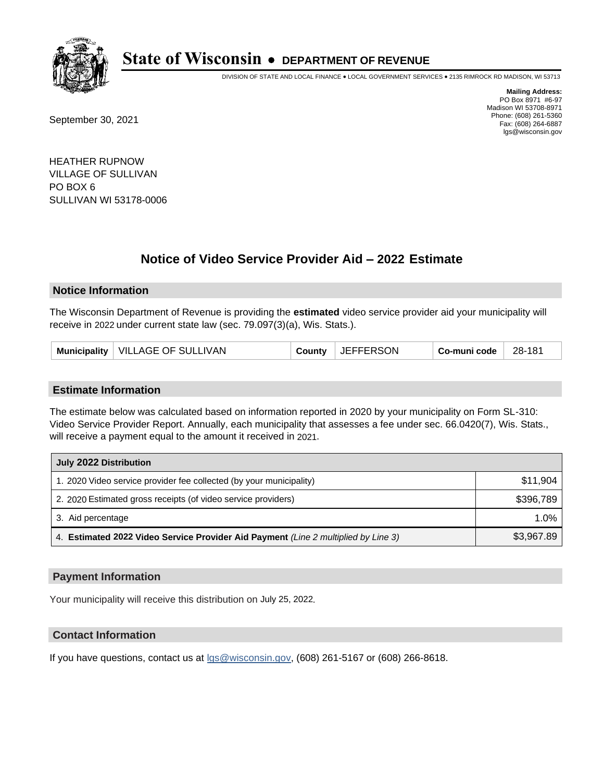

DIVISION OF STATE AND LOCAL FINANCE • LOCAL GOVERNMENT SERVICES • 2135 RIMROCK RD MADISON, WI 53713

September 30, 2021

**Mailing Address:** PO Box 8971 #6-97 Madison WI 53708-8971 Phone: (608) 261-5360 Fax: (608) 264-6887 lgs@wisconsin.gov

HEATHER RUPNOW VILLAGE OF SULLIVAN PO BOX 6 SULLIVAN WI 53178-0006

# **Notice of Video Service Provider Aid - 2022 Estimate**

#### **Notice Information**

The Wisconsin Department of Revenue is providing the **estimated** video service provider aid your municipality will receive in 2022 under current state law (sec. 79.097(3)(a), Wis. Stats.).

| Municipality   VILLAGE OF SULLIVAN |  | County JEFFERSON | Co-muni code | 28-181 |
|------------------------------------|--|------------------|--------------|--------|
|------------------------------------|--|------------------|--------------|--------|

#### **Estimate Information**

The estimate below was calculated based on information reported in 2020 by your municipality on Form SL-310: Video Service Provider Report. Annually, each municipality that assesses a fee under sec. 66.0420(7), Wis. Stats., will receive a payment equal to the amount it received in 2021.

| July 2022 Distribution                                                             |            |
|------------------------------------------------------------------------------------|------------|
| 1. 2020 Video service provider fee collected (by your municipality)                | \$11.904   |
| 2. 2020 Estimated gross receipts (of video service providers)                      | \$396.789  |
| 3. Aid percentage                                                                  | $1.0\%$    |
| 4. Estimated 2022 Video Service Provider Aid Payment (Line 2 multiplied by Line 3) | \$3,967.89 |

#### **Payment Information**

Your municipality will receive this distribution on July 25, 2022.

## **Contact Information**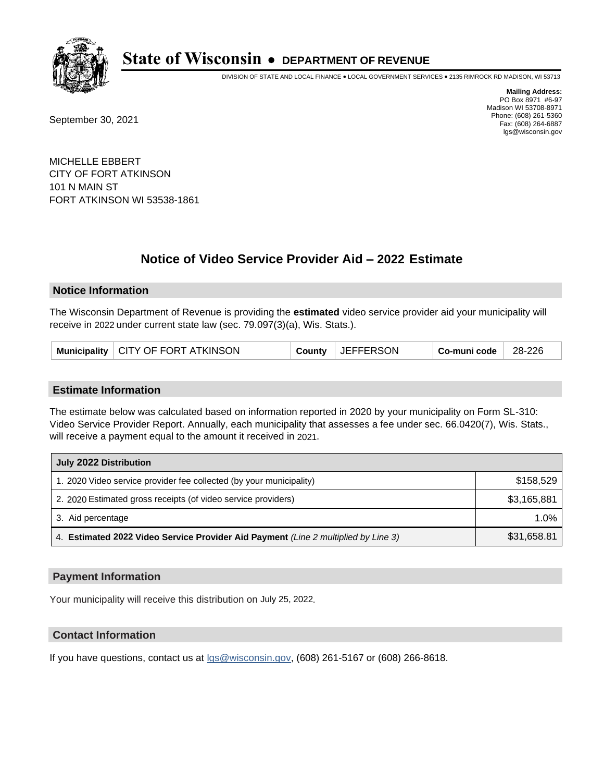

DIVISION OF STATE AND LOCAL FINANCE • LOCAL GOVERNMENT SERVICES • 2135 RIMROCK RD MADISON, WI 53713

September 30, 2021

**Mailing Address:** PO Box 8971 #6-97 Madison WI 53708-8971 Phone: (608) 261-5360 Fax: (608) 264-6887 lgs@wisconsin.gov

MICHELLE EBBERT CITY OF FORT ATKINSON 101 N MAIN ST FORT ATKINSON WI 53538-1861

# **Notice of Video Service Provider Aid - 2022 Estimate**

### **Notice Information**

The Wisconsin Department of Revenue is providing the **estimated** video service provider aid your municipality will receive in 2022 under current state law (sec. 79.097(3)(a), Wis. Stats.).

| Municipality   CITY OF FORT ATKINSON | County | UEFFERSON | Co-muni code | 28-226 |
|--------------------------------------|--------|-----------|--------------|--------|
|--------------------------------------|--------|-----------|--------------|--------|

#### **Estimate Information**

The estimate below was calculated based on information reported in 2020 by your municipality on Form SL-310: Video Service Provider Report. Annually, each municipality that assesses a fee under sec. 66.0420(7), Wis. Stats., will receive a payment equal to the amount it received in 2021.

| July 2022 Distribution                                                             |             |
|------------------------------------------------------------------------------------|-------------|
| 1. 2020 Video service provider fee collected (by your municipality)                | \$158,529   |
| 2. 2020 Estimated gross receipts (of video service providers)                      | \$3,165,881 |
| 3. Aid percentage                                                                  | $1.0\%$     |
| 4. Estimated 2022 Video Service Provider Aid Payment (Line 2 multiplied by Line 3) | \$31,658.81 |

#### **Payment Information**

Your municipality will receive this distribution on July 25, 2022.

## **Contact Information**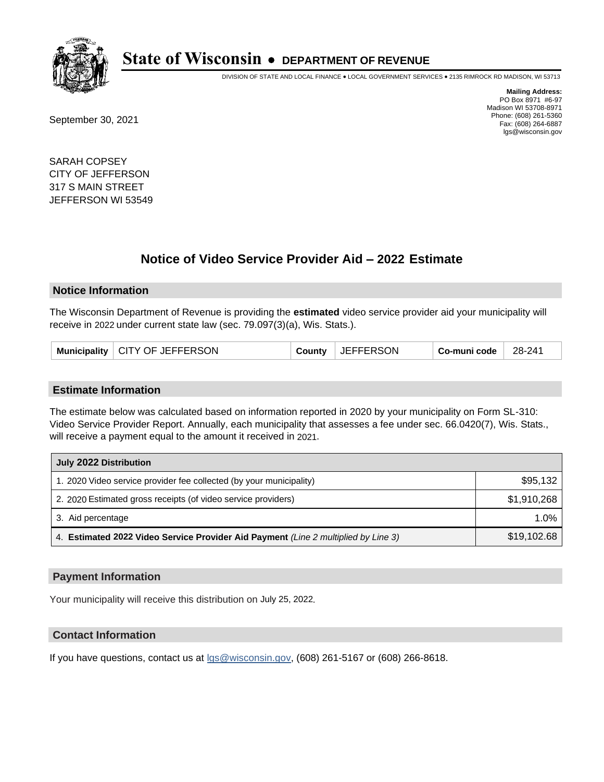

DIVISION OF STATE AND LOCAL FINANCE • LOCAL GOVERNMENT SERVICES • 2135 RIMROCK RD MADISON, WI 53713

September 30, 2021

**Mailing Address:** PO Box 8971 #6-97 Madison WI 53708-8971 Phone: (608) 261-5360 Fax: (608) 264-6887 lgs@wisconsin.gov

SARAH COPSEY CITY OF JEFFERSON 317 S MAIN STREET JEFFERSON WI 53549

# **Notice of Video Service Provider Aid - 2022 Estimate**

#### **Notice Information**

The Wisconsin Department of Revenue is providing the **estimated** video service provider aid your municipality will receive in 2022 under current state law (sec. 79.097(3)(a), Wis. Stats.).

| Municipality   CITY OF JEFFERSON | County | JEFFERSON | Co-muni code | 28-241 |
|----------------------------------|--------|-----------|--------------|--------|
|----------------------------------|--------|-----------|--------------|--------|

#### **Estimate Information**

The estimate below was calculated based on information reported in 2020 by your municipality on Form SL-310: Video Service Provider Report. Annually, each municipality that assesses a fee under sec. 66.0420(7), Wis. Stats., will receive a payment equal to the amount it received in 2021.

| July 2022 Distribution                                                             |             |
|------------------------------------------------------------------------------------|-------------|
| 1. 2020 Video service provider fee collected (by your municipality)                | \$95,132    |
| 2. 2020 Estimated gross receipts (of video service providers)                      | \$1,910,268 |
| 3. Aid percentage                                                                  | $1.0\%$     |
| 4. Estimated 2022 Video Service Provider Aid Payment (Line 2 multiplied by Line 3) | \$19,102.68 |

### **Payment Information**

Your municipality will receive this distribution on July 25, 2022.

## **Contact Information**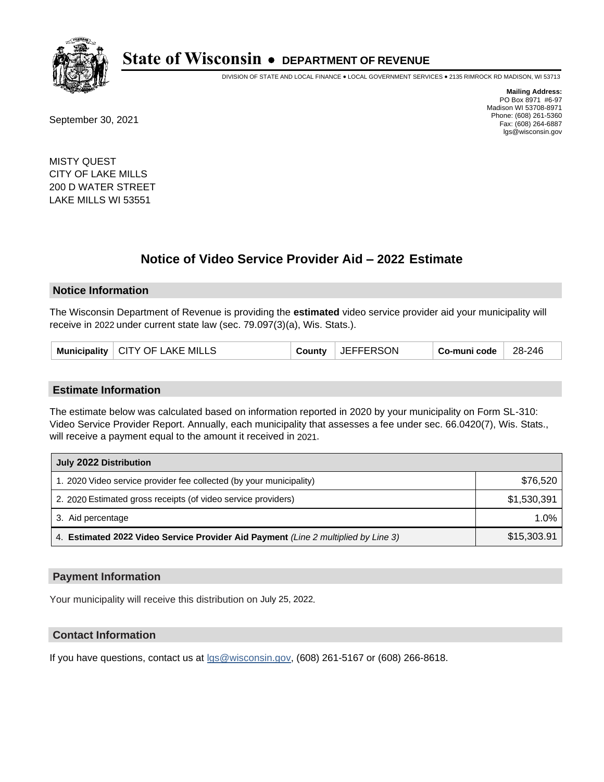

DIVISION OF STATE AND LOCAL FINANCE • LOCAL GOVERNMENT SERVICES • 2135 RIMROCK RD MADISON, WI 53713

September 30, 2021

**Mailing Address:** PO Box 8971 #6-97 Madison WI 53708-8971 Phone: (608) 261-5360 Fax: (608) 264-6887 lgs@wisconsin.gov

MISTY QUEST CITY OF LAKE MILLS 200 D WATER STREET LAKE MILLS WI 53551

# **Notice of Video Service Provider Aid - 2022 Estimate**

#### **Notice Information**

The Wisconsin Department of Revenue is providing the **estimated** video service provider aid your municipality will receive in 2022 under current state law (sec. 79.097(3)(a), Wis. Stats.).

| Municipality   CITY OF LAKE MILLS | <b>JEFFERSON</b><br>County | Co-muni code | 28-246 |
|-----------------------------------|----------------------------|--------------|--------|
|-----------------------------------|----------------------------|--------------|--------|

#### **Estimate Information**

The estimate below was calculated based on information reported in 2020 by your municipality on Form SL-310: Video Service Provider Report. Annually, each municipality that assesses a fee under sec. 66.0420(7), Wis. Stats., will receive a payment equal to the amount it received in 2021.

| July 2022 Distribution                                                             |             |  |  |  |
|------------------------------------------------------------------------------------|-------------|--|--|--|
| 1. 2020 Video service provider fee collected (by your municipality)                | \$76,520    |  |  |  |
| 2. 2020 Estimated gross receipts (of video service providers)                      | \$1,530,391 |  |  |  |
| 3. Aid percentage                                                                  | $1.0\%$     |  |  |  |
| 4. Estimated 2022 Video Service Provider Aid Payment (Line 2 multiplied by Line 3) | \$15,303.91 |  |  |  |

### **Payment Information**

Your municipality will receive this distribution on July 25, 2022.

### **Contact Information**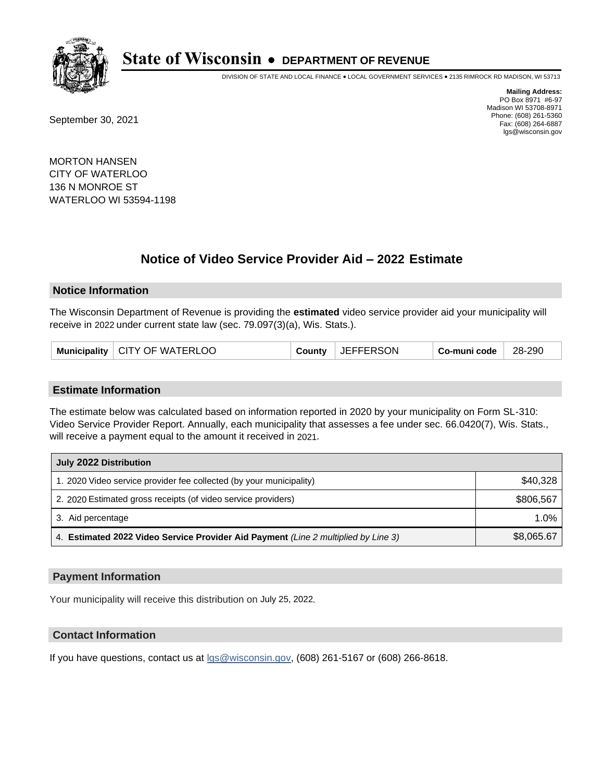

DIVISION OF STATE AND LOCAL FINANCE • LOCAL GOVERNMENT SERVICES • 2135 RIMROCK RD MADISON, WI 53713

September 30, 2021

**Mailing Address:** PO Box 8971 #6-97 Madison WI 53708-8971 Phone: (608) 261-5360 Fax: (608) 264-6887 lgs@wisconsin.gov

MORTON HANSEN CITY OF WATERLOO 136 N MONROE ST WATERLOO WI 53594-1198

# **Notice of Video Service Provider Aid - 2022 Estimate**

#### **Notice Information**

The Wisconsin Department of Revenue is providing the **estimated** video service provider aid your municipality will receive in 2022 under current state law (sec. 79.097(3)(a), Wis. Stats.).

| Municipality   CITY OF WATERLOO | County | UEFFERSON | Co-muni code | 28-290 |
|---------------------------------|--------|-----------|--------------|--------|
|---------------------------------|--------|-----------|--------------|--------|

#### **Estimate Information**

The estimate below was calculated based on information reported in 2020 by your municipality on Form SL-310: Video Service Provider Report. Annually, each municipality that assesses a fee under sec. 66.0420(7), Wis. Stats., will receive a payment equal to the amount it received in 2021.

| July 2022 Distribution                                                             |            |  |  |
|------------------------------------------------------------------------------------|------------|--|--|
| 1. 2020 Video service provider fee collected (by your municipality)                | \$40,328   |  |  |
| 2. 2020 Estimated gross receipts (of video service providers)                      | \$806.567  |  |  |
| 3. Aid percentage                                                                  | 1.0%       |  |  |
| 4. Estimated 2022 Video Service Provider Aid Payment (Line 2 multiplied by Line 3) | \$8,065.67 |  |  |

#### **Payment Information**

Your municipality will receive this distribution on July 25, 2022.

## **Contact Information**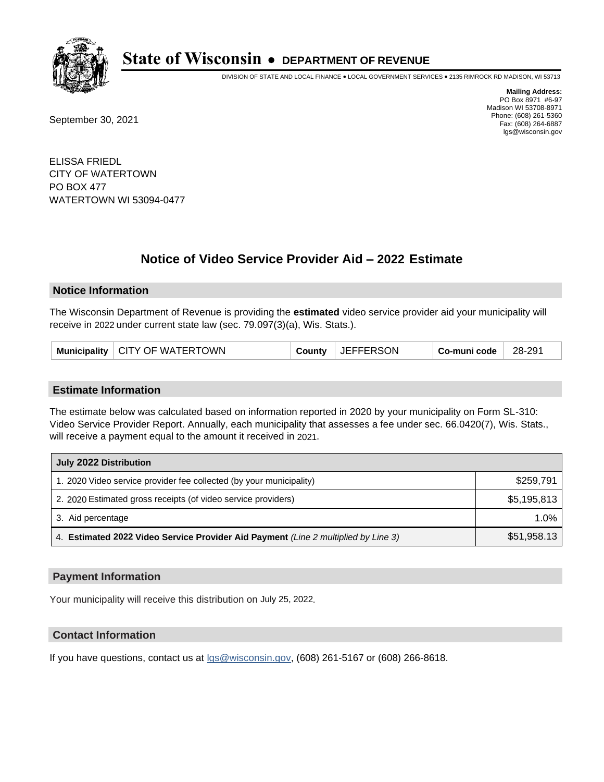

DIVISION OF STATE AND LOCAL FINANCE • LOCAL GOVERNMENT SERVICES • 2135 RIMROCK RD MADISON, WI 53713

September 30, 2021

**Mailing Address:** PO Box 8971 #6-97 Madison WI 53708-8971 Phone: (608) 261-5360 Fax: (608) 264-6887 lgs@wisconsin.gov

ELISSA FRIEDL CITY OF WATERTOWN PO BOX 477 WATERTOWN WI 53094-0477

# **Notice of Video Service Provider Aid - 2022 Estimate**

#### **Notice Information**

The Wisconsin Department of Revenue is providing the **estimated** video service provider aid your municipality will receive in 2022 under current state law (sec. 79.097(3)(a), Wis. Stats.).

|  | Municipality   CITY OF WATERTOWN | County | <b>JEFFERSON</b> | Co-muni code | 28-291 |
|--|----------------------------------|--------|------------------|--------------|--------|
|--|----------------------------------|--------|------------------|--------------|--------|

#### **Estimate Information**

The estimate below was calculated based on information reported in 2020 by your municipality on Form SL-310: Video Service Provider Report. Annually, each municipality that assesses a fee under sec. 66.0420(7), Wis. Stats., will receive a payment equal to the amount it received in 2021.

| July 2022 Distribution                                                             |             |  |  |  |
|------------------------------------------------------------------------------------|-------------|--|--|--|
| 1. 2020 Video service provider fee collected (by your municipality)                | \$259,791   |  |  |  |
| 2. 2020 Estimated gross receipts (of video service providers)                      | \$5,195,813 |  |  |  |
| 3. Aid percentage                                                                  | 1.0%        |  |  |  |
| 4. Estimated 2022 Video Service Provider Aid Payment (Line 2 multiplied by Line 3) | \$51,958.13 |  |  |  |

#### **Payment Information**

Your municipality will receive this distribution on July 25, 2022.

## **Contact Information**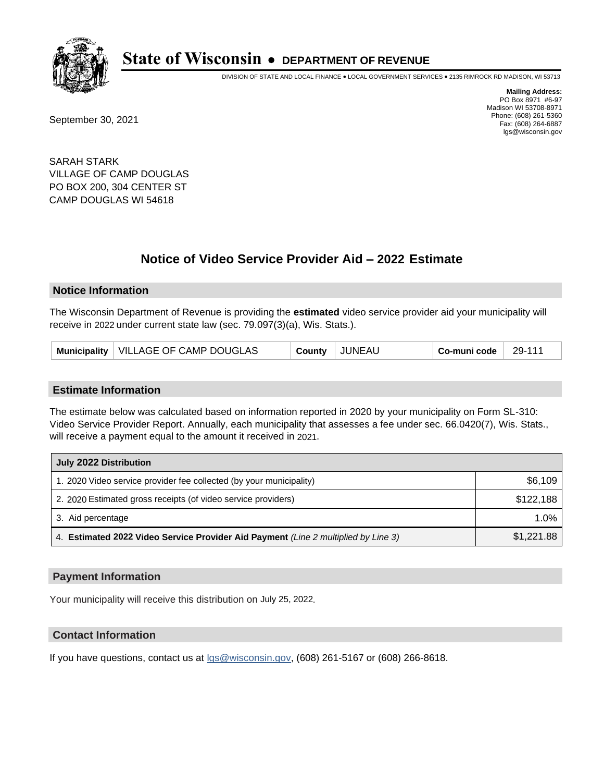

DIVISION OF STATE AND LOCAL FINANCE • LOCAL GOVERNMENT SERVICES • 2135 RIMROCK RD MADISON, WI 53713

September 30, 2021

**Mailing Address:** PO Box 8971 #6-97 Madison WI 53708-8971 Phone: (608) 261-5360 Fax: (608) 264-6887 lgs@wisconsin.gov

SARAH STARK VILLAGE OF CAMP DOUGLAS PO BOX 200, 304 CENTER ST CAMP DOUGLAS WI 54618

# **Notice of Video Service Provider Aid - 2022 Estimate**

#### **Notice Information**

The Wisconsin Department of Revenue is providing the **estimated** video service provider aid your municipality will receive in 2022 under current state law (sec. 79.097(3)(a), Wis. Stats.).

| Municipality   VILLAGE OF CAMP DOUGLAS |  | County | JUNEAU | Co-muni code | 29-111 |
|----------------------------------------|--|--------|--------|--------------|--------|
|----------------------------------------|--|--------|--------|--------------|--------|

#### **Estimate Information**

The estimate below was calculated based on information reported in 2020 by your municipality on Form SL-310: Video Service Provider Report. Annually, each municipality that assesses a fee under sec. 66.0420(7), Wis. Stats., will receive a payment equal to the amount it received in 2021.

| July 2022 Distribution                                                             |            |  |  |
|------------------------------------------------------------------------------------|------------|--|--|
| 1. 2020 Video service provider fee collected (by your municipality)                | \$6,109    |  |  |
| 2. 2020 Estimated gross receipts (of video service providers)                      | \$122,188  |  |  |
| 3. Aid percentage                                                                  | $1.0\%$    |  |  |
| 4. Estimated 2022 Video Service Provider Aid Payment (Line 2 multiplied by Line 3) | \$1,221.88 |  |  |

#### **Payment Information**

Your municipality will receive this distribution on July 25, 2022.

## **Contact Information**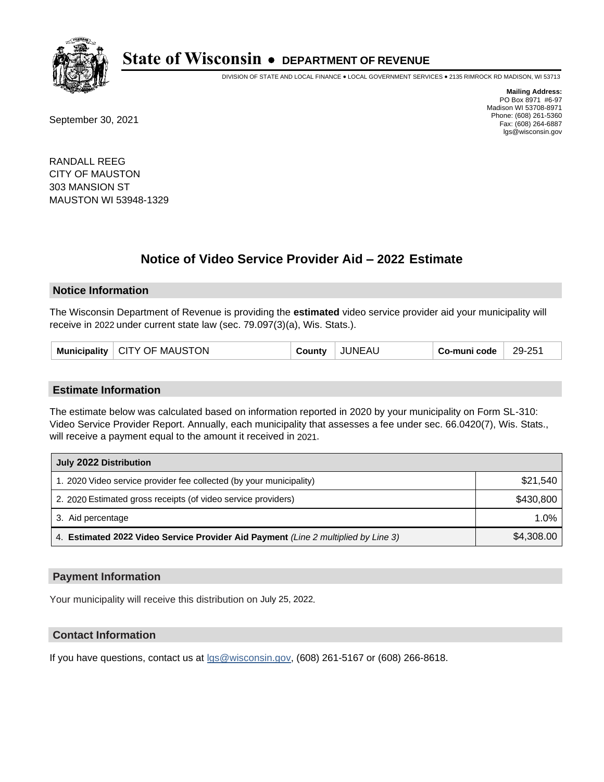

DIVISION OF STATE AND LOCAL FINANCE • LOCAL GOVERNMENT SERVICES • 2135 RIMROCK RD MADISON, WI 53713

September 30, 2021

**Mailing Address:** PO Box 8971 #6-97 Madison WI 53708-8971 Phone: (608) 261-5360 Fax: (608) 264-6887 lgs@wisconsin.gov

RANDALL REEG CITY OF MAUSTON 303 MANSION ST MAUSTON WI 53948-1329

# **Notice of Video Service Provider Aid - 2022 Estimate**

#### **Notice Information**

The Wisconsin Department of Revenue is providing the **estimated** video service provider aid your municipality will receive in 2022 under current state law (sec. 79.097(3)(a), Wis. Stats.).

| Municipality   CITY OF MAUSTON | County | <b>JUNEAU</b> | Co-muni code | 29-251 |
|--------------------------------|--------|---------------|--------------|--------|
|--------------------------------|--------|---------------|--------------|--------|

#### **Estimate Information**

The estimate below was calculated based on information reported in 2020 by your municipality on Form SL-310: Video Service Provider Report. Annually, each municipality that assesses a fee under sec. 66.0420(7), Wis. Stats., will receive a payment equal to the amount it received in 2021.

| July 2022 Distribution                                                             |            |  |  |
|------------------------------------------------------------------------------------|------------|--|--|
| 1. 2020 Video service provider fee collected (by your municipality)                | \$21,540   |  |  |
| 2. 2020 Estimated gross receipts (of video service providers)                      | \$430,800  |  |  |
| 3. Aid percentage                                                                  | 1.0%       |  |  |
| 4. Estimated 2022 Video Service Provider Aid Payment (Line 2 multiplied by Line 3) | \$4,308.00 |  |  |

#### **Payment Information**

Your municipality will receive this distribution on July 25, 2022.

## **Contact Information**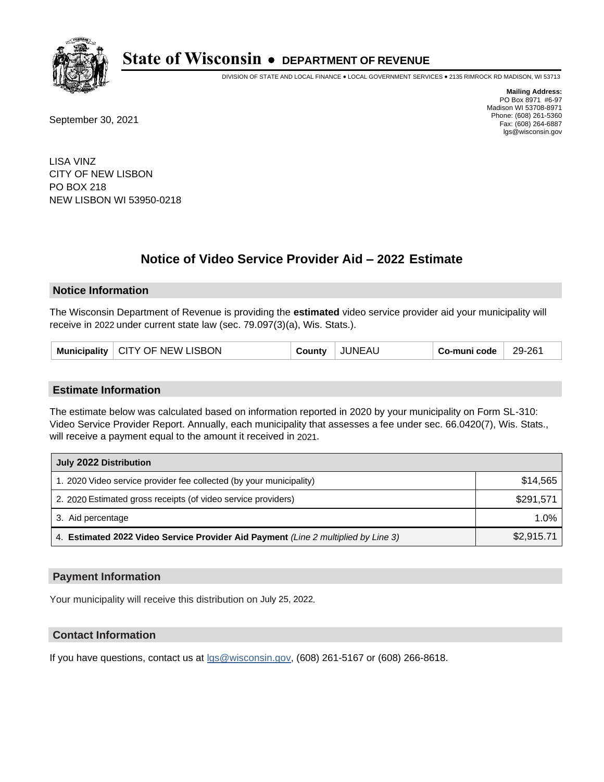

DIVISION OF STATE AND LOCAL FINANCE • LOCAL GOVERNMENT SERVICES • 2135 RIMROCK RD MADISON, WI 53713

September 30, 2021

**Mailing Address:** PO Box 8971 #6-97 Madison WI 53708-8971 Phone: (608) 261-5360 Fax: (608) 264-6887 lgs@wisconsin.gov

LISA VINZ CITY OF NEW LISBON PO BOX 218 NEW LISBON WI 53950-0218

# **Notice of Video Service Provider Aid - 2022 Estimate**

### **Notice Information**

The Wisconsin Department of Revenue is providing the **estimated** video service provider aid your municipality will receive in 2022 under current state law (sec. 79.097(3)(a), Wis. Stats.).

| Municipality   CITY OF NEW LISBON | County | JUNEAU | Co-muni code | 29-261 |
|-----------------------------------|--------|--------|--------------|--------|
|-----------------------------------|--------|--------|--------------|--------|

#### **Estimate Information**

The estimate below was calculated based on information reported in 2020 by your municipality on Form SL-310: Video Service Provider Report. Annually, each municipality that assesses a fee under sec. 66.0420(7), Wis. Stats., will receive a payment equal to the amount it received in 2021.

| July 2022 Distribution                                                             |            |  |  |  |
|------------------------------------------------------------------------------------|------------|--|--|--|
| 1. 2020 Video service provider fee collected (by your municipality)                | \$14.565   |  |  |  |
| 2. 2020 Estimated gross receipts (of video service providers)                      | \$291.571  |  |  |  |
| 3. Aid percentage                                                                  | 1.0%       |  |  |  |
| 4. Estimated 2022 Video Service Provider Aid Payment (Line 2 multiplied by Line 3) | \$2,915.71 |  |  |  |

#### **Payment Information**

Your municipality will receive this distribution on July 25, 2022.

## **Contact Information**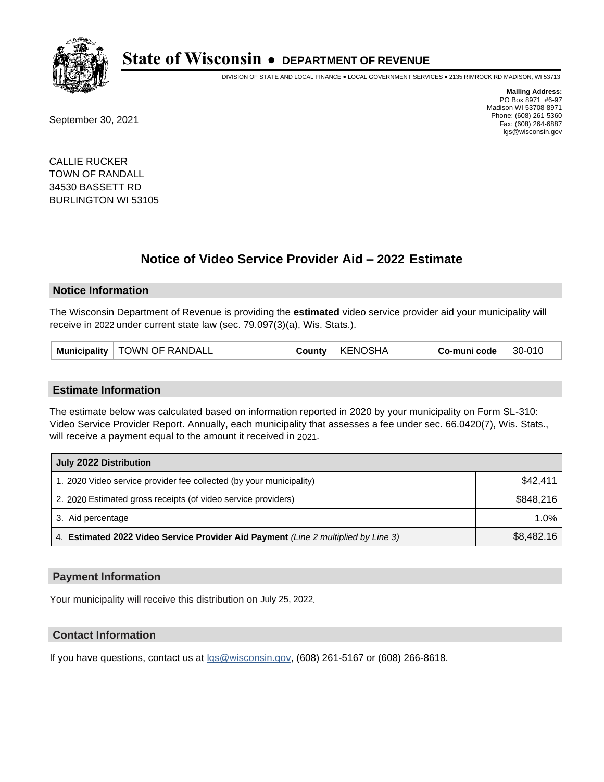

DIVISION OF STATE AND LOCAL FINANCE • LOCAL GOVERNMENT SERVICES • 2135 RIMROCK RD MADISON, WI 53713

September 30, 2021

**Mailing Address:** PO Box 8971 #6-97 Madison WI 53708-8971 Phone: (608) 261-5360 Fax: (608) 264-6887 lgs@wisconsin.gov

CALLIE RUCKER TOWN OF RANDALL 34530 BASSETT RD BURLINGTON WI 53105

# **Notice of Video Service Provider Aid - 2022 Estimate**

#### **Notice Information**

The Wisconsin Department of Revenue is providing the **estimated** video service provider aid your municipality will receive in 2022 under current state law (sec. 79.097(3)(a), Wis. Stats.).

| Municipality   TOWN OF RANDALL | County | <b>KENOSHA</b> | Co-muni code | 30-010 |
|--------------------------------|--------|----------------|--------------|--------|
|--------------------------------|--------|----------------|--------------|--------|

#### **Estimate Information**

The estimate below was calculated based on information reported in 2020 by your municipality on Form SL-310: Video Service Provider Report. Annually, each municipality that assesses a fee under sec. 66.0420(7), Wis. Stats., will receive a payment equal to the amount it received in 2021.

| July 2022 Distribution                                                             |            |
|------------------------------------------------------------------------------------|------------|
| 1. 2020 Video service provider fee collected (by your municipality)                | \$42.411   |
| 2. 2020 Estimated gross receipts (of video service providers)                      | \$848.216  |
| 3. Aid percentage                                                                  | 1.0%       |
| 4. Estimated 2022 Video Service Provider Aid Payment (Line 2 multiplied by Line 3) | \$8,482.16 |

#### **Payment Information**

Your municipality will receive this distribution on July 25, 2022.

## **Contact Information**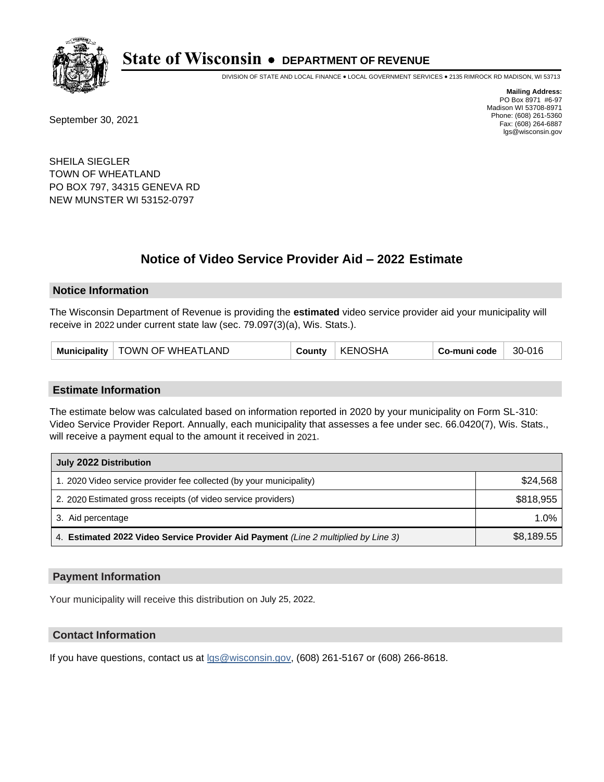

DIVISION OF STATE AND LOCAL FINANCE • LOCAL GOVERNMENT SERVICES • 2135 RIMROCK RD MADISON, WI 53713

September 30, 2021

**Mailing Address:** PO Box 8971 #6-97 Madison WI 53708-8971 Phone: (608) 261-5360 Fax: (608) 264-6887 lgs@wisconsin.gov

SHEILA SIEGLER TOWN OF WHEATLAND PO BOX 797, 34315 GENEVA RD NEW MUNSTER WI 53152-0797

# **Notice of Video Service Provider Aid - 2022 Estimate**

#### **Notice Information**

The Wisconsin Department of Revenue is providing the **estimated** video service provider aid your municipality will receive in 2022 under current state law (sec. 79.097(3)(a), Wis. Stats.).

| Municipality   TOWN OF WHEATLAND | County | KENOSHA | Co-muni code | 30-016 |
|----------------------------------|--------|---------|--------------|--------|
|----------------------------------|--------|---------|--------------|--------|

#### **Estimate Information**

The estimate below was calculated based on information reported in 2020 by your municipality on Form SL-310: Video Service Provider Report. Annually, each municipality that assesses a fee under sec. 66.0420(7), Wis. Stats., will receive a payment equal to the amount it received in 2021.

| July 2022 Distribution                                                             |            |
|------------------------------------------------------------------------------------|------------|
| 1. 2020 Video service provider fee collected (by your municipality)                | \$24,568   |
| 2. 2020 Estimated gross receipts (of video service providers)                      | \$818,955  |
| 3. Aid percentage                                                                  | 1.0%       |
| 4. Estimated 2022 Video Service Provider Aid Payment (Line 2 multiplied by Line 3) | \$8,189.55 |

#### **Payment Information**

Your municipality will receive this distribution on July 25, 2022.

## **Contact Information**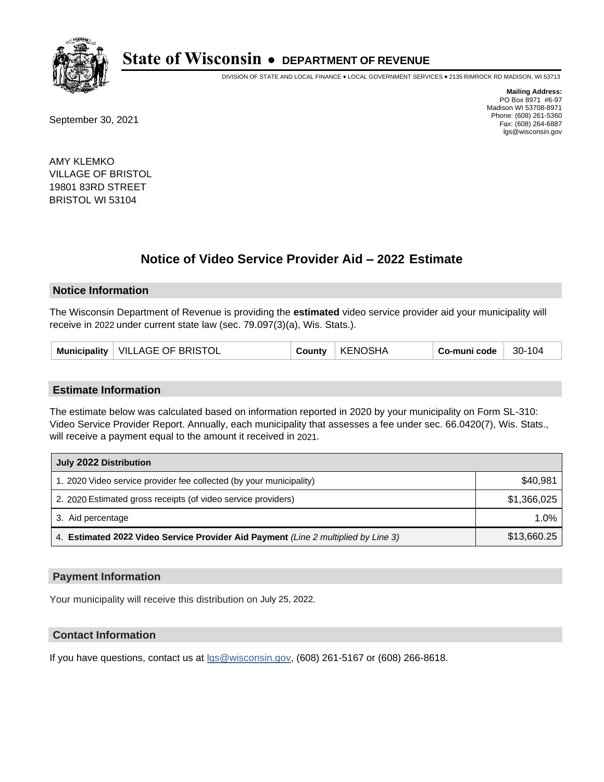

DIVISION OF STATE AND LOCAL FINANCE • LOCAL GOVERNMENT SERVICES • 2135 RIMROCK RD MADISON, WI 53713

September 30, 2021

**Mailing Address:** PO Box 8971 #6-97 Madison WI 53708-8971 Phone: (608) 261-5360 Fax: (608) 264-6887 lgs@wisconsin.gov

AMY KLEMKO VILLAGE OF BRISTOL 19801 83RD STREET BRISTOL WI 53104

# **Notice of Video Service Provider Aid - 2022 Estimate**

#### **Notice Information**

The Wisconsin Department of Revenue is providing the **estimated** video service provider aid your municipality will receive in 2022 under current state law (sec. 79.097(3)(a), Wis. Stats.).

| Municipality   VILLAGE OF BRISTOL<br>County | <b>KENOSHA</b> | Co-muni code | 30-104 |
|---------------------------------------------|----------------|--------------|--------|
|---------------------------------------------|----------------|--------------|--------|

#### **Estimate Information**

The estimate below was calculated based on information reported in 2020 by your municipality on Form SL-310: Video Service Provider Report. Annually, each municipality that assesses a fee under sec. 66.0420(7), Wis. Stats., will receive a payment equal to the amount it received in 2021.

| July 2022 Distribution                                                             |             |
|------------------------------------------------------------------------------------|-------------|
| 1. 2020 Video service provider fee collected (by your municipality)                | \$40,981    |
| 2. 2020 Estimated gross receipts (of video service providers)                      | \$1.366.025 |
| 3. Aid percentage                                                                  | 1.0%        |
| 4. Estimated 2022 Video Service Provider Aid Payment (Line 2 multiplied by Line 3) | \$13,660.25 |

#### **Payment Information**

Your municipality will receive this distribution on July 25, 2022.

## **Contact Information**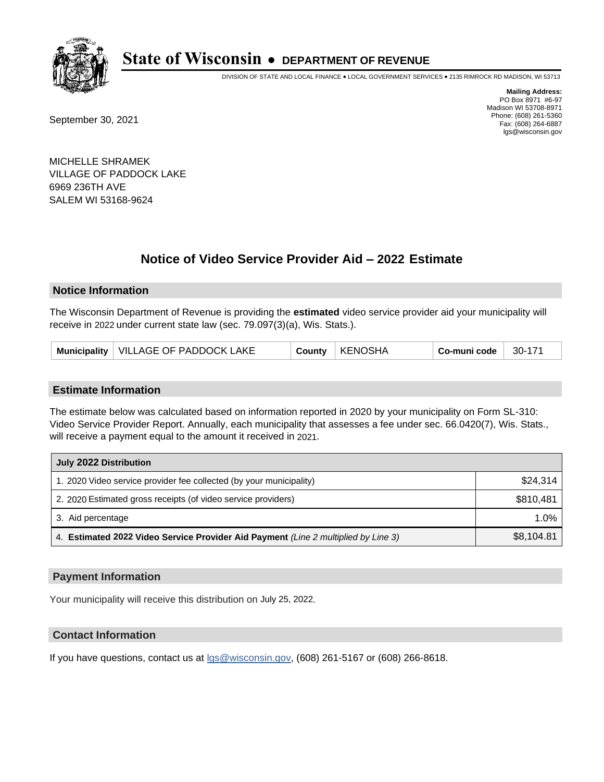

DIVISION OF STATE AND LOCAL FINANCE • LOCAL GOVERNMENT SERVICES • 2135 RIMROCK RD MADISON, WI 53713

September 30, 2021

**Mailing Address:** PO Box 8971 #6-97 Madison WI 53708-8971 Phone: (608) 261-5360 Fax: (608) 264-6887 lgs@wisconsin.gov

MICHELLE SHRAMEK VILLAGE OF PADDOCK LAKE 6969 236TH AVE SALEM WI 53168-9624

# **Notice of Video Service Provider Aid - 2022 Estimate**

### **Notice Information**

The Wisconsin Department of Revenue is providing the **estimated** video service provider aid your municipality will receive in 2022 under current state law (sec. 79.097(3)(a), Wis. Stats.).

| Municipality   VILLAGE OF PADDOCK LAKE | County | KENOSHA | Co-muni code | 30-171 |
|----------------------------------------|--------|---------|--------------|--------|
|----------------------------------------|--------|---------|--------------|--------|

#### **Estimate Information**

The estimate below was calculated based on information reported in 2020 by your municipality on Form SL-310: Video Service Provider Report. Annually, each municipality that assesses a fee under sec. 66.0420(7), Wis. Stats., will receive a payment equal to the amount it received in 2021.

| July 2022 Distribution                                                             |            |
|------------------------------------------------------------------------------------|------------|
| 1. 2020 Video service provider fee collected (by your municipality)                | \$24.314   |
| 2. 2020 Estimated gross receipts (of video service providers)                      | \$810,481  |
| 3. Aid percentage                                                                  | 1.0%       |
| 4. Estimated 2022 Video Service Provider Aid Payment (Line 2 multiplied by Line 3) | \$8,104.81 |

#### **Payment Information**

Your municipality will receive this distribution on July 25, 2022.

## **Contact Information**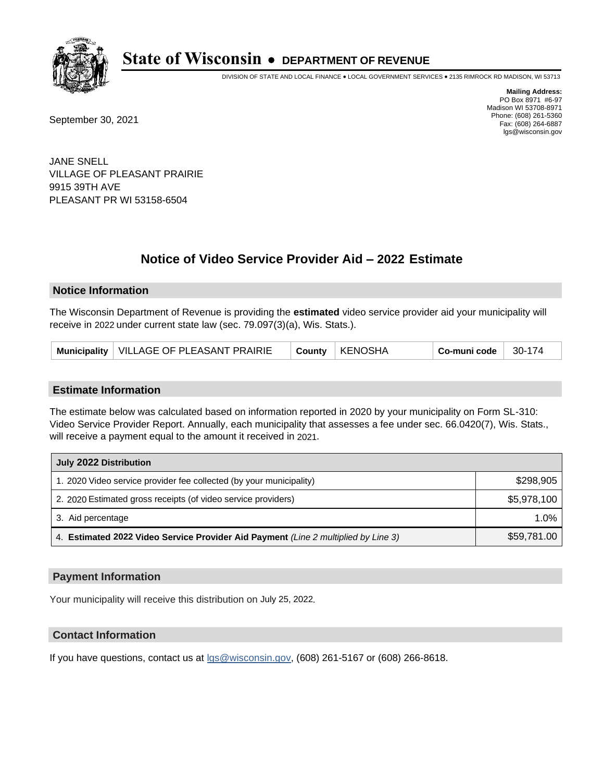

DIVISION OF STATE AND LOCAL FINANCE • LOCAL GOVERNMENT SERVICES • 2135 RIMROCK RD MADISON, WI 53713

September 30, 2021

**Mailing Address:** PO Box 8971 #6-97 Madison WI 53708-8971 Phone: (608) 261-5360 Fax: (608) 264-6887 lgs@wisconsin.gov

JANE SNELL VILLAGE OF PLEASANT PRAIRIE 9915 39TH AVE PLEASANT PR WI 53158-6504

# **Notice of Video Service Provider Aid - 2022 Estimate**

#### **Notice Information**

The Wisconsin Department of Revenue is providing the **estimated** video service provider aid your municipality will receive in 2022 under current state law (sec. 79.097(3)(a), Wis. Stats.).

|--|

#### **Estimate Information**

The estimate below was calculated based on information reported in 2020 by your municipality on Form SL-310: Video Service Provider Report. Annually, each municipality that assesses a fee under sec. 66.0420(7), Wis. Stats., will receive a payment equal to the amount it received in 2021.

| July 2022 Distribution                                                             |             |
|------------------------------------------------------------------------------------|-------------|
| 1. 2020 Video service provider fee collected (by your municipality)                | \$298,905   |
| 2. 2020 Estimated gross receipts (of video service providers)                      | \$5,978,100 |
| 3. Aid percentage                                                                  | 1.0%        |
| 4. Estimated 2022 Video Service Provider Aid Payment (Line 2 multiplied by Line 3) | \$59,781.00 |

#### **Payment Information**

Your municipality will receive this distribution on July 25, 2022.

## **Contact Information**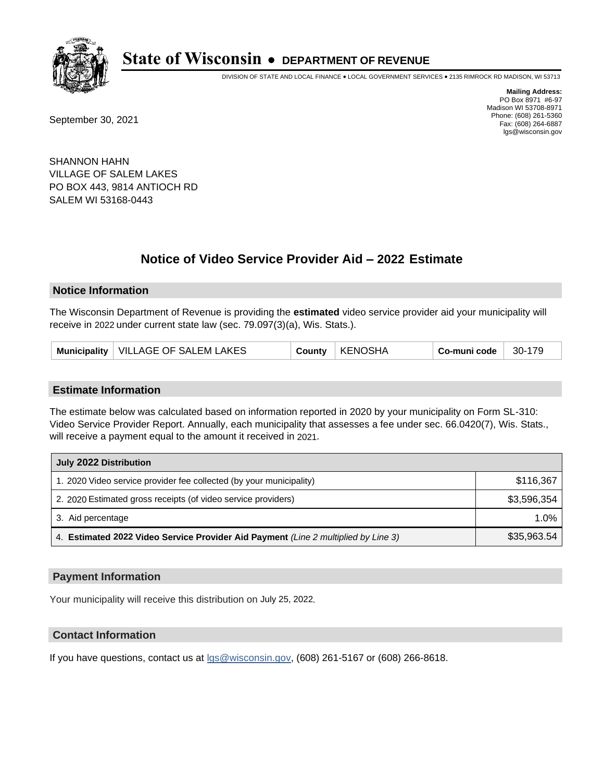

DIVISION OF STATE AND LOCAL FINANCE • LOCAL GOVERNMENT SERVICES • 2135 RIMROCK RD MADISON, WI 53713

September 30, 2021

**Mailing Address:** PO Box 8971 #6-97 Madison WI 53708-8971 Phone: (608) 261-5360 Fax: (608) 264-6887 lgs@wisconsin.gov

SHANNON HAHN VILLAGE OF SALEM LAKES PO BOX 443, 9814 ANTIOCH RD SALEM WI 53168-0443

# **Notice of Video Service Provider Aid - 2022 Estimate**

#### **Notice Information**

The Wisconsin Department of Revenue is providing the **estimated** video service provider aid your municipality will receive in 2022 under current state law (sec. 79.097(3)(a), Wis. Stats.).

| Municipality   VILLAGE OF SALEM LAKES | <b>County</b> | KENOSHA | Co-muni code | $30-179$ |
|---------------------------------------|---------------|---------|--------------|----------|
|---------------------------------------|---------------|---------|--------------|----------|

#### **Estimate Information**

The estimate below was calculated based on information reported in 2020 by your municipality on Form SL-310: Video Service Provider Report. Annually, each municipality that assesses a fee under sec. 66.0420(7), Wis. Stats., will receive a payment equal to the amount it received in 2021.

| July 2022 Distribution                                                             |             |  |  |
|------------------------------------------------------------------------------------|-------------|--|--|
| 1. 2020 Video service provider fee collected (by your municipality)                | \$116,367   |  |  |
| 2. 2020 Estimated gross receipts (of video service providers)                      | \$3,596,354 |  |  |
| 3. Aid percentage                                                                  | $1.0\%$     |  |  |
| 4. Estimated 2022 Video Service Provider Aid Payment (Line 2 multiplied by Line 3) | \$35,963.54 |  |  |

#### **Payment Information**

Your municipality will receive this distribution on July 25, 2022.

## **Contact Information**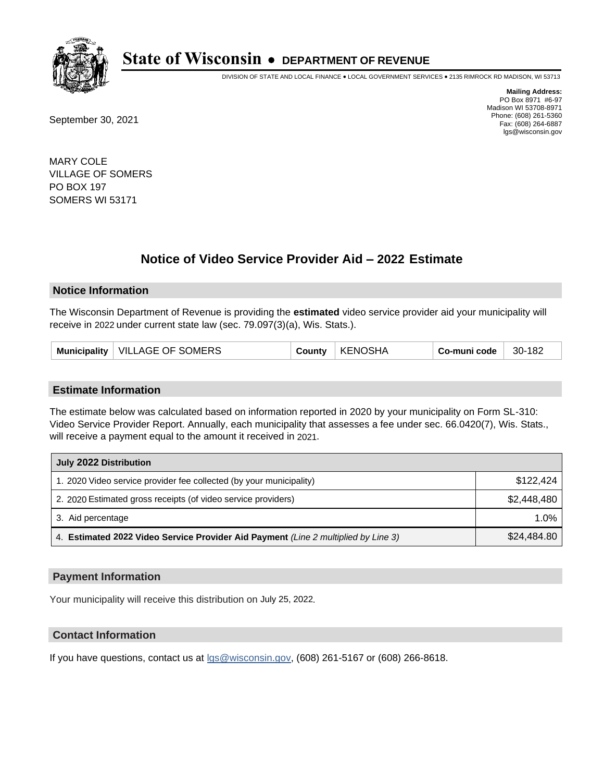

DIVISION OF STATE AND LOCAL FINANCE • LOCAL GOVERNMENT SERVICES • 2135 RIMROCK RD MADISON, WI 53713

September 30, 2021

**Mailing Address:** PO Box 8971 #6-97 Madison WI 53708-8971 Phone: (608) 261-5360 Fax: (608) 264-6887 lgs@wisconsin.gov

MARY COLE VILLAGE OF SOMERS PO BOX 197 SOMERS WI 53171

# **Notice of Video Service Provider Aid - 2022 Estimate**

#### **Notice Information**

The Wisconsin Department of Revenue is providing the **estimated** video service provider aid your municipality will receive in 2022 under current state law (sec. 79.097(3)(a), Wis. Stats.).

| Municipality   VILLAGE OF SOMERS | County | KENOSHA | Co-muni code | 30-182 |
|----------------------------------|--------|---------|--------------|--------|
|----------------------------------|--------|---------|--------------|--------|

#### **Estimate Information**

The estimate below was calculated based on information reported in 2020 by your municipality on Form SL-310: Video Service Provider Report. Annually, each municipality that assesses a fee under sec. 66.0420(7), Wis. Stats., will receive a payment equal to the amount it received in 2021.

| July 2022 Distribution                                                             |             |
|------------------------------------------------------------------------------------|-------------|
| 1. 2020 Video service provider fee collected (by your municipality)                | \$122.424   |
| 2. 2020 Estimated gross receipts (of video service providers)                      | \$2.448.480 |
| 3. Aid percentage                                                                  | 1.0%        |
| 4. Estimated 2022 Video Service Provider Aid Payment (Line 2 multiplied by Line 3) | \$24,484.80 |

#### **Payment Information**

Your municipality will receive this distribution on July 25, 2022.

## **Contact Information**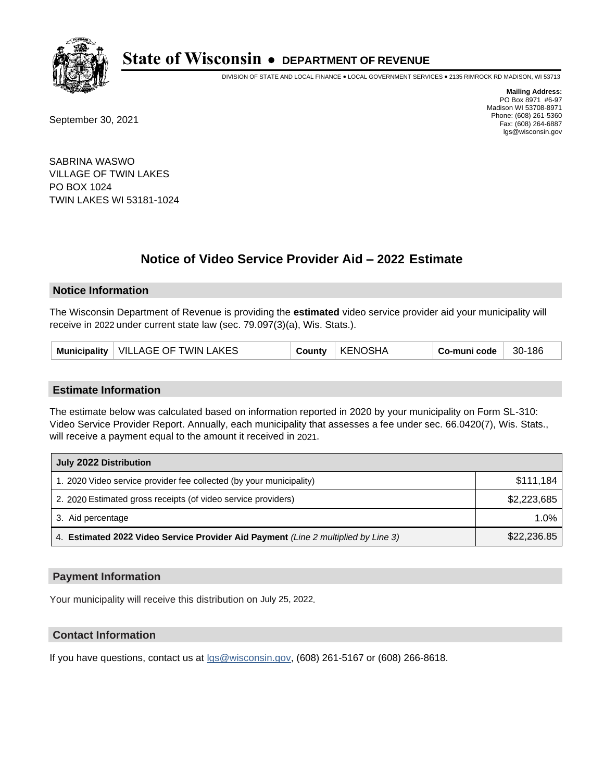

DIVISION OF STATE AND LOCAL FINANCE • LOCAL GOVERNMENT SERVICES • 2135 RIMROCK RD MADISON, WI 53713

September 30, 2021

**Mailing Address:** PO Box 8971 #6-97 Madison WI 53708-8971 Phone: (608) 261-5360 Fax: (608) 264-6887 lgs@wisconsin.gov

SABRINA WASWO VILLAGE OF TWIN LAKES PO BOX 1024 TWIN LAKES WI 53181-1024

# **Notice of Video Service Provider Aid - 2022 Estimate**

### **Notice Information**

The Wisconsin Department of Revenue is providing the **estimated** video service provider aid your municipality will receive in 2022 under current state law (sec. 79.097(3)(a), Wis. Stats.).

#### **Estimate Information**

The estimate below was calculated based on information reported in 2020 by your municipality on Form SL-310: Video Service Provider Report. Annually, each municipality that assesses a fee under sec. 66.0420(7), Wis. Stats., will receive a payment equal to the amount it received in 2021.

| July 2022 Distribution                                                             |             |  |  |
|------------------------------------------------------------------------------------|-------------|--|--|
| 1. 2020 Video service provider fee collected (by your municipality)                | \$111,184   |  |  |
| 2. 2020 Estimated gross receipts (of video service providers)                      | \$2,223,685 |  |  |
| 3. Aid percentage                                                                  | $1.0\%$     |  |  |
| 4. Estimated 2022 Video Service Provider Aid Payment (Line 2 multiplied by Line 3) | \$22,236.85 |  |  |

#### **Payment Information**

Your municipality will receive this distribution on July 25, 2022.

## **Contact Information**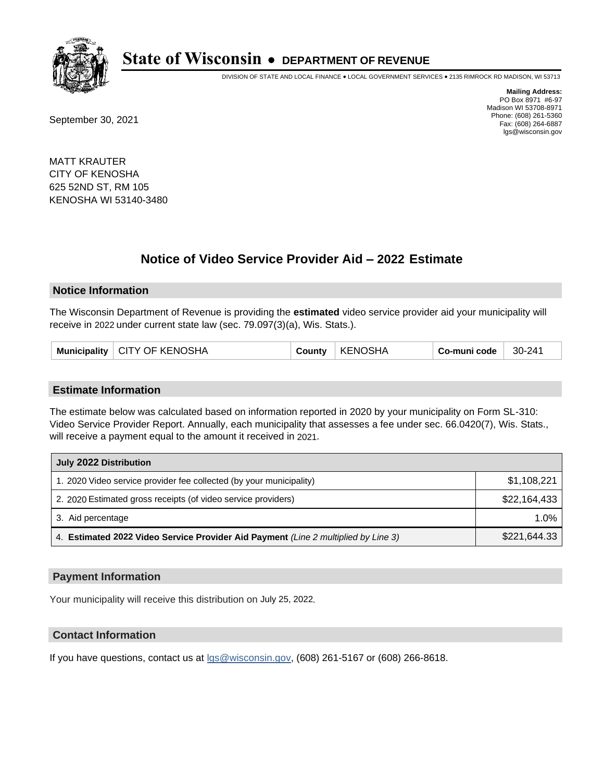

DIVISION OF STATE AND LOCAL FINANCE • LOCAL GOVERNMENT SERVICES • 2135 RIMROCK RD MADISON, WI 53713

September 30, 2021

**Mailing Address:** PO Box 8971 #6-97 Madison WI 53708-8971 Phone: (608) 261-5360 Fax: (608) 264-6887 lgs@wisconsin.gov

MATT KRAUTER CITY OF KENOSHA 625 52ND ST, RM 105 KENOSHA WI 53140-3480

# **Notice of Video Service Provider Aid - 2022 Estimate**

#### **Notice Information**

The Wisconsin Department of Revenue is providing the **estimated** video service provider aid your municipality will receive in 2022 under current state law (sec. 79.097(3)(a), Wis. Stats.).

|  | Municipality   CITY OF KENOSHA | County | <b>KENOSHA</b> | ⊦ Co-muni code | 30-241 |
|--|--------------------------------|--------|----------------|----------------|--------|
|--|--------------------------------|--------|----------------|----------------|--------|

#### **Estimate Information**

The estimate below was calculated based on information reported in 2020 by your municipality on Form SL-310: Video Service Provider Report. Annually, each municipality that assesses a fee under sec. 66.0420(7), Wis. Stats., will receive a payment equal to the amount it received in 2021.

| July 2022 Distribution                                                             |              |  |  |
|------------------------------------------------------------------------------------|--------------|--|--|
| 1. 2020 Video service provider fee collected (by your municipality)                | \$1,108,221  |  |  |
| 2. 2020 Estimated gross receipts (of video service providers)                      | \$22,164,433 |  |  |
| 3. Aid percentage                                                                  | $1.0\%$      |  |  |
| 4. Estimated 2022 Video Service Provider Aid Payment (Line 2 multiplied by Line 3) | \$221,644.33 |  |  |

#### **Payment Information**

Your municipality will receive this distribution on July 25, 2022.

## **Contact Information**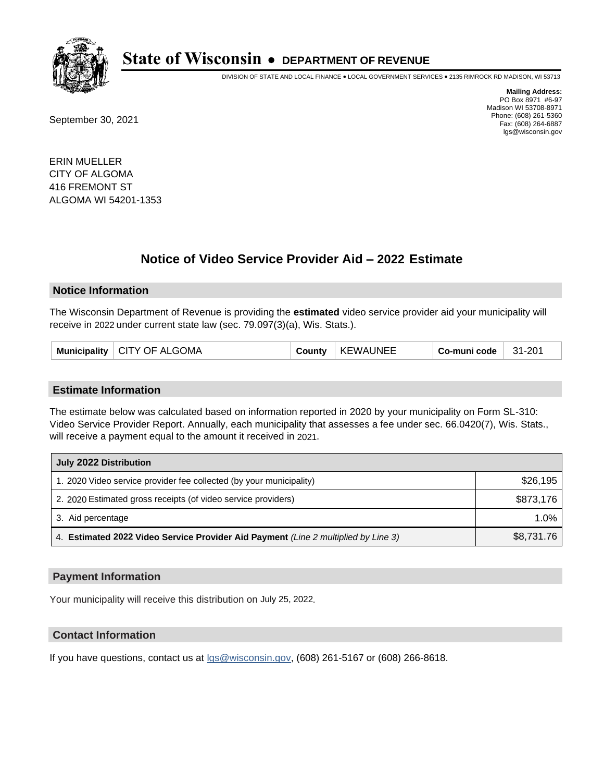

DIVISION OF STATE AND LOCAL FINANCE • LOCAL GOVERNMENT SERVICES • 2135 RIMROCK RD MADISON, WI 53713

September 30, 2021

**Mailing Address:** PO Box 8971 #6-97 Madison WI 53708-8971 Phone: (608) 261-5360 Fax: (608) 264-6887 lgs@wisconsin.gov

ERIN MUELLER CITY OF ALGOMA 416 FREMONT ST ALGOMA WI 54201-1353

# **Notice of Video Service Provider Aid - 2022 Estimate**

#### **Notice Information**

The Wisconsin Department of Revenue is providing the **estimated** video service provider aid your municipality will receive in 2022 under current state law (sec. 79.097(3)(a), Wis. Stats.).

| Municipality   CITY OF ALGOMA | County | <b>KEWAUNEE</b> | Co-muni code | 31-201 |
|-------------------------------|--------|-----------------|--------------|--------|
|-------------------------------|--------|-----------------|--------------|--------|

#### **Estimate Information**

The estimate below was calculated based on information reported in 2020 by your municipality on Form SL-310: Video Service Provider Report. Annually, each municipality that assesses a fee under sec. 66.0420(7), Wis. Stats., will receive a payment equal to the amount it received in 2021.

| July 2022 Distribution                                                             |            |  |  |
|------------------------------------------------------------------------------------|------------|--|--|
| 1. 2020 Video service provider fee collected (by your municipality)                | \$26,195   |  |  |
| 2. 2020 Estimated gross receipts (of video service providers)                      | \$873,176  |  |  |
| 3. Aid percentage                                                                  | $1.0\%$    |  |  |
| 4. Estimated 2022 Video Service Provider Aid Payment (Line 2 multiplied by Line 3) | \$8,731.76 |  |  |

#### **Payment Information**

Your municipality will receive this distribution on July 25, 2022.

## **Contact Information**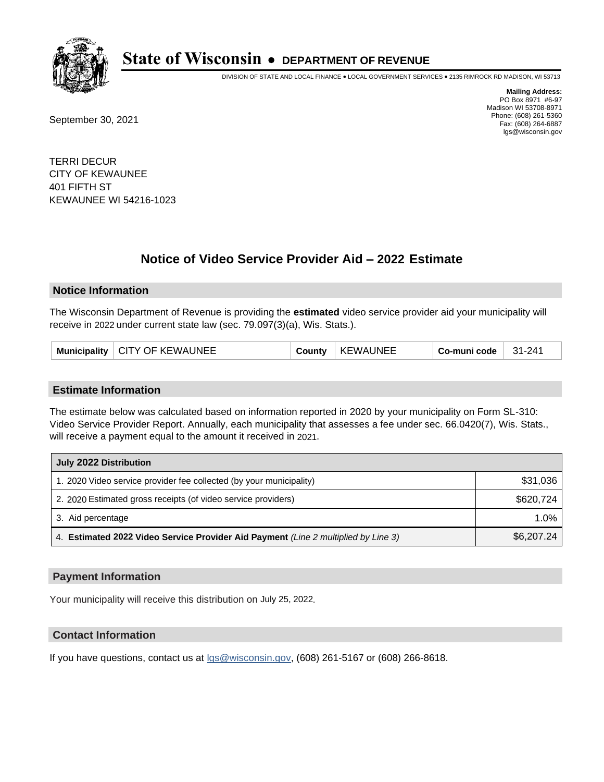

DIVISION OF STATE AND LOCAL FINANCE • LOCAL GOVERNMENT SERVICES • 2135 RIMROCK RD MADISON, WI 53713

September 30, 2021

**Mailing Address:** PO Box 8971 #6-97 Madison WI 53708-8971 Phone: (608) 261-5360 Fax: (608) 264-6887 lgs@wisconsin.gov

TERRI DECUR CITY OF KEWAUNEE 401 FIFTH ST KEWAUNEE WI 54216-1023

# **Notice of Video Service Provider Aid - 2022 Estimate**

#### **Notice Information**

The Wisconsin Department of Revenue is providing the **estimated** video service provider aid your municipality will receive in 2022 under current state law (sec. 79.097(3)(a), Wis. Stats.).

| CITY OF KEWAUNEE<br><b>Municipality</b> | ∹ountv | WAUNEE:<br>KE | Co-muni code | $31 - 241$ |
|-----------------------------------------|--------|---------------|--------------|------------|
|-----------------------------------------|--------|---------------|--------------|------------|

#### **Estimate Information**

The estimate below was calculated based on information reported in 2020 by your municipality on Form SL-310: Video Service Provider Report. Annually, each municipality that assesses a fee under sec. 66.0420(7), Wis. Stats., will receive a payment equal to the amount it received in 2021.

| July 2022 Distribution                                                             |            |
|------------------------------------------------------------------------------------|------------|
| 1. 2020 Video service provider fee collected (by your municipality)                | \$31,036   |
| 2. 2020 Estimated gross receipts (of video service providers)                      | \$620.724  |
| 3. Aid percentage                                                                  | 1.0%       |
| 4. Estimated 2022 Video Service Provider Aid Payment (Line 2 multiplied by Line 3) | \$6,207.24 |

#### **Payment Information**

Your municipality will receive this distribution on July 25, 2022.

## **Contact Information**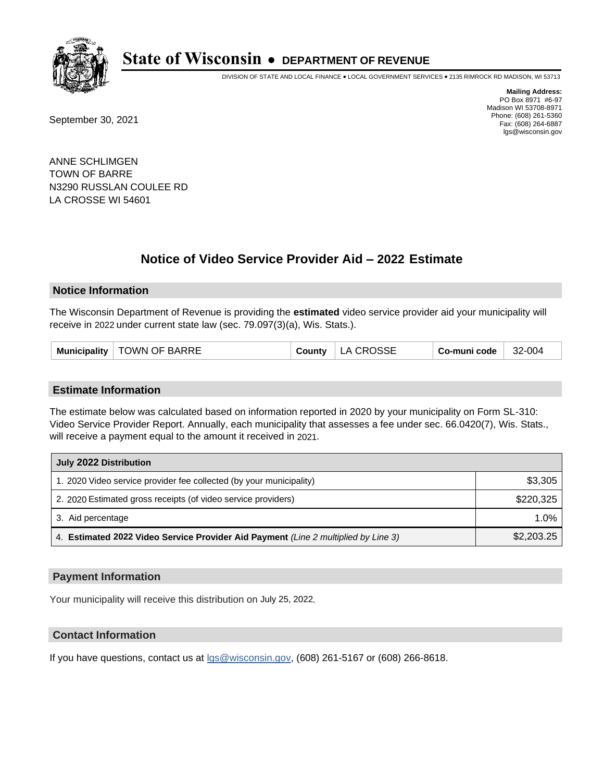

DIVISION OF STATE AND LOCAL FINANCE • LOCAL GOVERNMENT SERVICES • 2135 RIMROCK RD MADISON, WI 53713

September 30, 2021

**Mailing Address:** PO Box 8971 #6-97 Madison WI 53708-8971 Phone: (608) 261-5360 Fax: (608) 264-6887 lgs@wisconsin.gov

ANNE SCHLIMGEN TOWN OF BARRE N3290 RUSSLAN COULEE RD LA CROSSE WI 54601

# **Notice of Video Service Provider Aid - 2022 Estimate**

#### **Notice Information**

The Wisconsin Department of Revenue is providing the **estimated** video service provider aid your municipality will receive in 2022 under current state law (sec. 79.097(3)(a), Wis. Stats.).

| Municipality   TOWN OF BARRE | County | LA CROSSE | Co-muni code | 32-004 |
|------------------------------|--------|-----------|--------------|--------|
|------------------------------|--------|-----------|--------------|--------|

#### **Estimate Information**

The estimate below was calculated based on information reported in 2020 by your municipality on Form SL-310: Video Service Provider Report. Annually, each municipality that assesses a fee under sec. 66.0420(7), Wis. Stats., will receive a payment equal to the amount it received in 2021.

| July 2022 Distribution                                                             |            |
|------------------------------------------------------------------------------------|------------|
| 1. 2020 Video service provider fee collected (by your municipality)                | \$3,305    |
| 2. 2020 Estimated gross receipts (of video service providers)                      | \$220.325  |
| 3. Aid percentage                                                                  | 1.0%       |
| 4. Estimated 2022 Video Service Provider Aid Payment (Line 2 multiplied by Line 3) | \$2,203.25 |

#### **Payment Information**

Your municipality will receive this distribution on July 25, 2022.

## **Contact Information**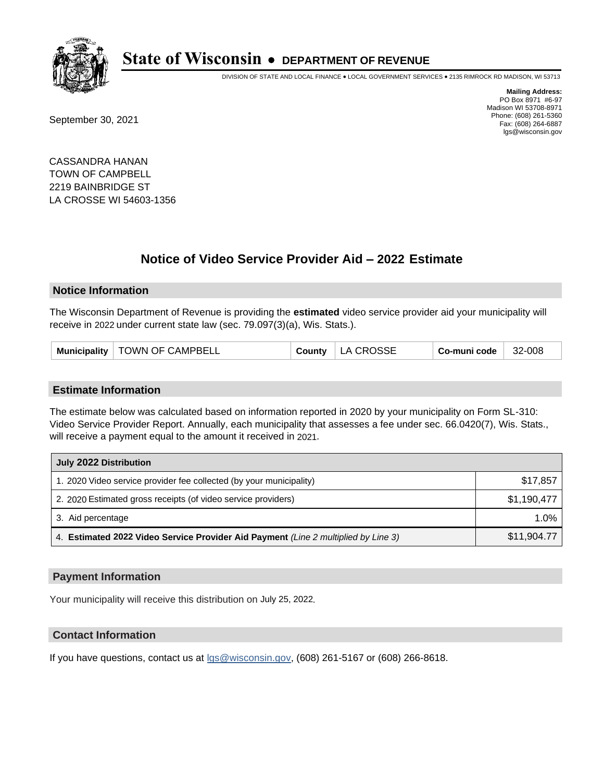

DIVISION OF STATE AND LOCAL FINANCE • LOCAL GOVERNMENT SERVICES • 2135 RIMROCK RD MADISON, WI 53713

September 30, 2021

**Mailing Address:** PO Box 8971 #6-97 Madison WI 53708-8971 Phone: (608) 261-5360 Fax: (608) 264-6887 lgs@wisconsin.gov

CASSANDRA HANAN TOWN OF CAMPBELL 2219 BAINBRIDGE ST LA CROSSE WI 54603-1356

# **Notice of Video Service Provider Aid - 2022 Estimate**

#### **Notice Information**

The Wisconsin Department of Revenue is providing the **estimated** video service provider aid your municipality will receive in 2022 under current state law (sec. 79.097(3)(a), Wis. Stats.).

| Municipality   TOWN OF CAMPBELL | <b>County</b> | LA CROSSE | Co-muni code | 32-008 |
|---------------------------------|---------------|-----------|--------------|--------|
|---------------------------------|---------------|-----------|--------------|--------|

#### **Estimate Information**

The estimate below was calculated based on information reported in 2020 by your municipality on Form SL-310: Video Service Provider Report. Annually, each municipality that assesses a fee under sec. 66.0420(7), Wis. Stats., will receive a payment equal to the amount it received in 2021.

| July 2022 Distribution                                                             |             |
|------------------------------------------------------------------------------------|-------------|
| 1. 2020 Video service provider fee collected (by your municipality)                | \$17,857    |
| 2. 2020 Estimated gross receipts (of video service providers)                      | \$1.190.477 |
| 3. Aid percentage                                                                  | 1.0%        |
| 4. Estimated 2022 Video Service Provider Aid Payment (Line 2 multiplied by Line 3) | \$11,904.77 |

#### **Payment Information**

Your municipality will receive this distribution on July 25, 2022.

## **Contact Information**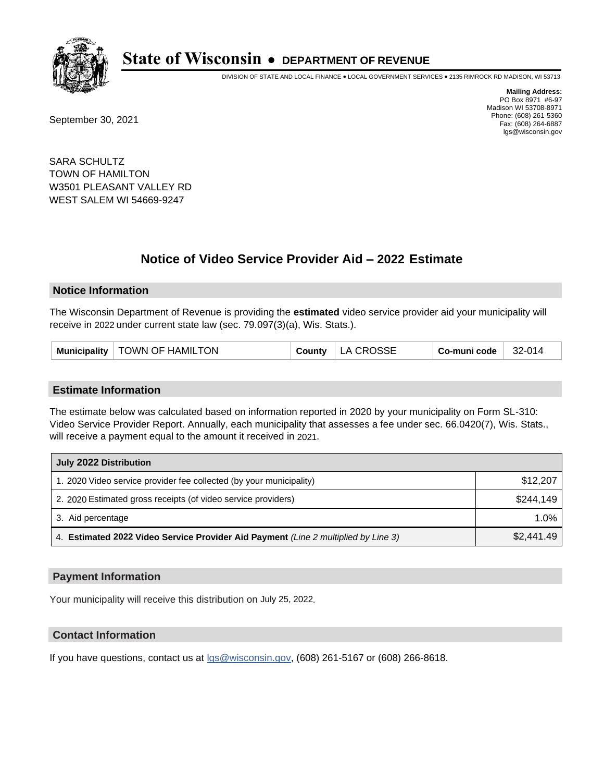

DIVISION OF STATE AND LOCAL FINANCE • LOCAL GOVERNMENT SERVICES • 2135 RIMROCK RD MADISON, WI 53713

September 30, 2021

**Mailing Address:** PO Box 8971 #6-97 Madison WI 53708-8971 Phone: (608) 261-5360 Fax: (608) 264-6887 lgs@wisconsin.gov

SARA SCHULTZ TOWN OF HAMILTON W3501 PLEASANT VALLEY RD WEST SALEM WI 54669-9247

# **Notice of Video Service Provider Aid - 2022 Estimate**

#### **Notice Information**

The Wisconsin Department of Revenue is providing the **estimated** video service provider aid your municipality will receive in 2022 under current state law (sec. 79.097(3)(a), Wis. Stats.).

|  |  | Municipality   TOWN OF HAMILTON | County | LA CROSSE | Co-muni code | 32-014 |
|--|--|---------------------------------|--------|-----------|--------------|--------|
|--|--|---------------------------------|--------|-----------|--------------|--------|

#### **Estimate Information**

The estimate below was calculated based on information reported in 2020 by your municipality on Form SL-310: Video Service Provider Report. Annually, each municipality that assesses a fee under sec. 66.0420(7), Wis. Stats., will receive a payment equal to the amount it received in 2021.

| July 2022 Distribution                                                             |            |
|------------------------------------------------------------------------------------|------------|
| 1. 2020 Video service provider fee collected (by your municipality)                | \$12,207   |
| 2. 2020 Estimated gross receipts (of video service providers)                      | \$244.149  |
| 3. Aid percentage                                                                  | 1.0%       |
| 4. Estimated 2022 Video Service Provider Aid Payment (Line 2 multiplied by Line 3) | \$2,441.49 |

#### **Payment Information**

Your municipality will receive this distribution on July 25, 2022.

## **Contact Information**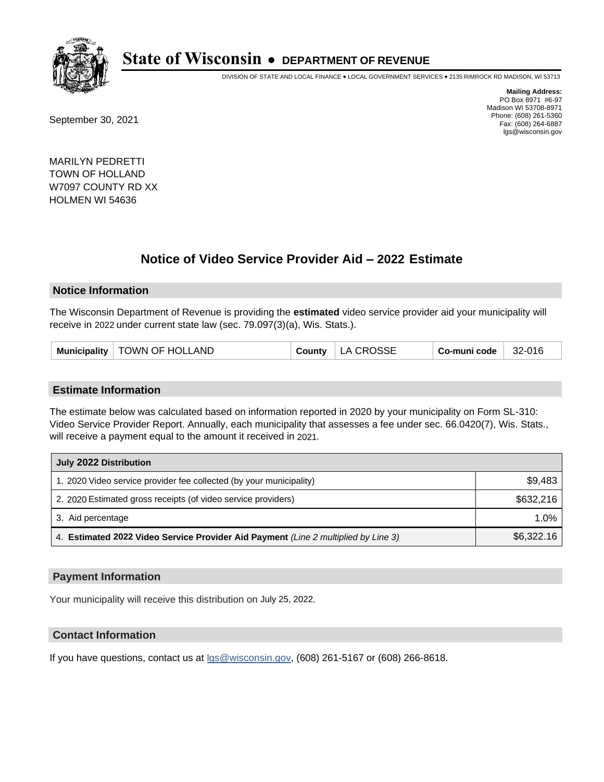

DIVISION OF STATE AND LOCAL FINANCE • LOCAL GOVERNMENT SERVICES • 2135 RIMROCK RD MADISON, WI 53713

September 30, 2021

**Mailing Address:** PO Box 8971 #6-97 Madison WI 53708-8971 Phone: (608) 261-5360 Fax: (608) 264-6887 lgs@wisconsin.gov

MARILYN PEDRETTI TOWN OF HOLLAND W7097 COUNTY RD XX HOLMEN WI 54636

# **Notice of Video Service Provider Aid - 2022 Estimate**

#### **Notice Information**

The Wisconsin Department of Revenue is providing the **estimated** video service provider aid your municipality will receive in 2022 under current state law (sec. 79.097(3)(a), Wis. Stats.).

| Municipality   TOWN OF HOLLAND | County | LA CROSSE | Co-muni code | 32-016 |
|--------------------------------|--------|-----------|--------------|--------|
|--------------------------------|--------|-----------|--------------|--------|

#### **Estimate Information**

The estimate below was calculated based on information reported in 2020 by your municipality on Form SL-310: Video Service Provider Report. Annually, each municipality that assesses a fee under sec. 66.0420(7), Wis. Stats., will receive a payment equal to the amount it received in 2021.

| July 2022 Distribution                                                             |            |
|------------------------------------------------------------------------------------|------------|
| 1. 2020 Video service provider fee collected (by your municipality)                | \$9,483    |
| 2. 2020 Estimated gross receipts (of video service providers)                      | \$632,216  |
| 3. Aid percentage                                                                  | 1.0%       |
| 4. Estimated 2022 Video Service Provider Aid Payment (Line 2 multiplied by Line 3) | \$6,322.16 |

#### **Payment Information**

Your municipality will receive this distribution on July 25, 2022.

## **Contact Information**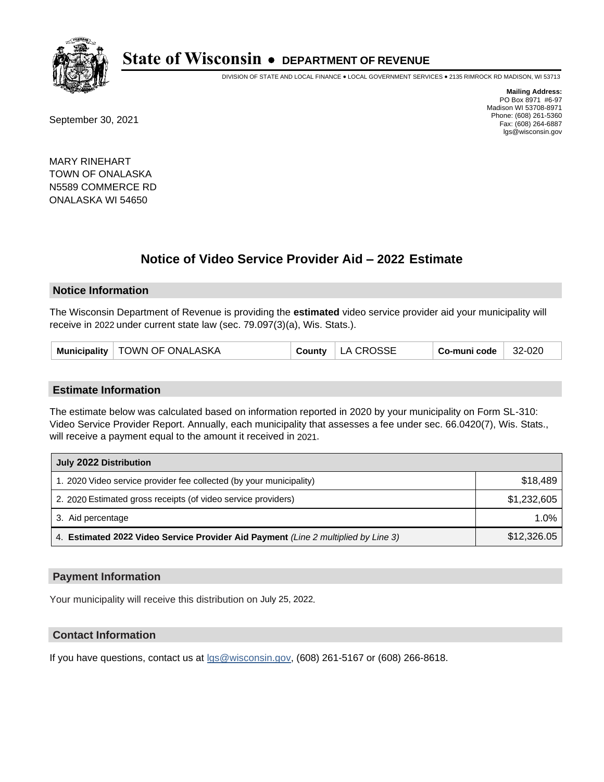

DIVISION OF STATE AND LOCAL FINANCE • LOCAL GOVERNMENT SERVICES • 2135 RIMROCK RD MADISON, WI 53713

September 30, 2021

**Mailing Address:** PO Box 8971 #6-97 Madison WI 53708-8971 Phone: (608) 261-5360 Fax: (608) 264-6887 lgs@wisconsin.gov

MARY RINEHART TOWN OF ONALASKA N5589 COMMERCE RD ONALASKA WI 54650

# **Notice of Video Service Provider Aid - 2022 Estimate**

#### **Notice Information**

The Wisconsin Department of Revenue is providing the **estimated** video service provider aid your municipality will receive in 2022 under current state law (sec. 79.097(3)(a), Wis. Stats.).

| Municipality   TOWN OF ONALASKA |  | County   LA CROSSE | Co-muni code | 32-020 |
|---------------------------------|--|--------------------|--------------|--------|
|---------------------------------|--|--------------------|--------------|--------|

#### **Estimate Information**

The estimate below was calculated based on information reported in 2020 by your municipality on Form SL-310: Video Service Provider Report. Annually, each municipality that assesses a fee under sec. 66.0420(7), Wis. Stats., will receive a payment equal to the amount it received in 2021.

| July 2022 Distribution                                                             |             |
|------------------------------------------------------------------------------------|-------------|
| 1. 2020 Video service provider fee collected (by your municipality)                | \$18,489    |
| 2. 2020 Estimated gross receipts (of video service providers)                      | \$1,232,605 |
| 3. Aid percentage                                                                  | 1.0%        |
| 4. Estimated 2022 Video Service Provider Aid Payment (Line 2 multiplied by Line 3) | \$12,326.05 |

#### **Payment Information**

Your municipality will receive this distribution on July 25, 2022.

## **Contact Information**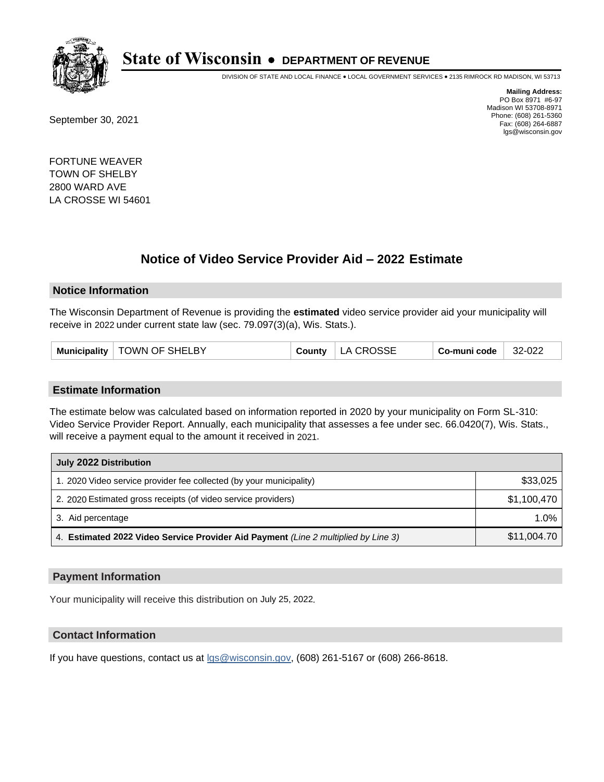

DIVISION OF STATE AND LOCAL FINANCE • LOCAL GOVERNMENT SERVICES • 2135 RIMROCK RD MADISON, WI 53713

September 30, 2021

**Mailing Address:** PO Box 8971 #6-97 Madison WI 53708-8971 Phone: (608) 261-5360 Fax: (608) 264-6887 lgs@wisconsin.gov

FORTUNE WEAVER TOWN OF SHELBY 2800 WARD AVE LA CROSSE WI 54601

# **Notice of Video Service Provider Aid - 2022 Estimate**

#### **Notice Information**

The Wisconsin Department of Revenue is providing the **estimated** video service provider aid your municipality will receive in 2022 under current state law (sec. 79.097(3)(a), Wis. Stats.).

| Municipality   TOWN OF SHELBY | County | LA CROSSE | Co-muni code | 32-022 |
|-------------------------------|--------|-----------|--------------|--------|
|-------------------------------|--------|-----------|--------------|--------|

#### **Estimate Information**

The estimate below was calculated based on information reported in 2020 by your municipality on Form SL-310: Video Service Provider Report. Annually, each municipality that assesses a fee under sec. 66.0420(7), Wis. Stats., will receive a payment equal to the amount it received in 2021.

| July 2022 Distribution                                                             |             |
|------------------------------------------------------------------------------------|-------------|
| 1. 2020 Video service provider fee collected (by your municipality)                | \$33,025    |
| 2. 2020 Estimated gross receipts (of video service providers)                      | \$1,100,470 |
| 3. Aid percentage                                                                  | 1.0%        |
| 4. Estimated 2022 Video Service Provider Aid Payment (Line 2 multiplied by Line 3) | \$11,004.70 |

#### **Payment Information**

Your municipality will receive this distribution on July 25, 2022.

## **Contact Information**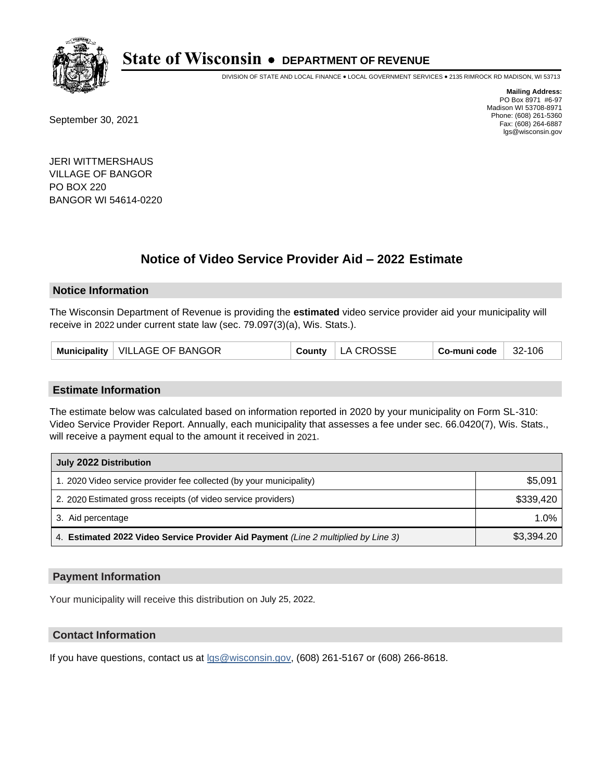

DIVISION OF STATE AND LOCAL FINANCE • LOCAL GOVERNMENT SERVICES • 2135 RIMROCK RD MADISON, WI 53713

September 30, 2021

**Mailing Address:** PO Box 8971 #6-97 Madison WI 53708-8971 Phone: (608) 261-5360 Fax: (608) 264-6887 lgs@wisconsin.gov

JERI WITTMERSHAUS VILLAGE OF BANGOR PO BOX 220 BANGOR WI 54614-0220

# **Notice of Video Service Provider Aid - 2022 Estimate**

#### **Notice Information**

The Wisconsin Department of Revenue is providing the **estimated** video service provider aid your municipality will receive in 2022 under current state law (sec. 79.097(3)(a), Wis. Stats.).

| Municipality   VILLAGE OF BANGOR | County $\vert$ | LA CROSSE | Co-muni code | 32-106 |
|----------------------------------|----------------|-----------|--------------|--------|
|----------------------------------|----------------|-----------|--------------|--------|

#### **Estimate Information**

The estimate below was calculated based on information reported in 2020 by your municipality on Form SL-310: Video Service Provider Report. Annually, each municipality that assesses a fee under sec. 66.0420(7), Wis. Stats., will receive a payment equal to the amount it received in 2021.

| July 2022 Distribution                                                             |            |  |  |  |
|------------------------------------------------------------------------------------|------------|--|--|--|
| 1. 2020 Video service provider fee collected (by your municipality)                | \$5,091    |  |  |  |
| 2. 2020 Estimated gross receipts (of video service providers)                      | \$339.420  |  |  |  |
| 3. Aid percentage                                                                  | $1.0\%$    |  |  |  |
| 4. Estimated 2022 Video Service Provider Aid Payment (Line 2 multiplied by Line 3) | \$3,394.20 |  |  |  |

#### **Payment Information**

Your municipality will receive this distribution on July 25, 2022.

## **Contact Information**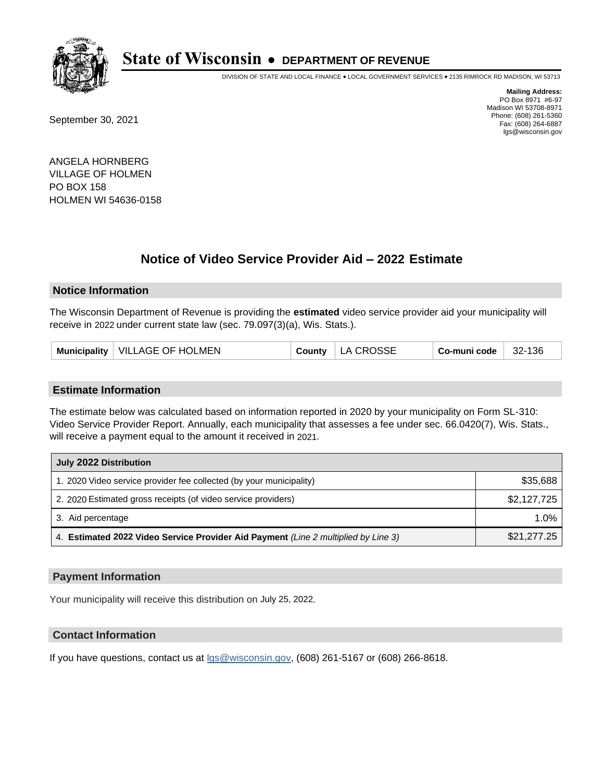

DIVISION OF STATE AND LOCAL FINANCE • LOCAL GOVERNMENT SERVICES • 2135 RIMROCK RD MADISON, WI 53713

September 30, 2021

**Mailing Address:** PO Box 8971 #6-97 Madison WI 53708-8971 Phone: (608) 261-5360 Fax: (608) 264-6887 lgs@wisconsin.gov

ANGELA HORNBERG VILLAGE OF HOLMEN PO BOX 158 HOLMEN WI 54636-0158

## **Notice of Video Service Provider Aid - 2022 Estimate**

#### **Notice Information**

The Wisconsin Department of Revenue is providing the **estimated** video service provider aid your municipality will receive in 2022 under current state law (sec. 79.097(3)(a), Wis. Stats.).

| Municipality   VILLAGE OF HOLMEN |  | County   LA CROSSE | $^{\shortmid}$ Co-muni code $\mid$ | $32-136$ |
|----------------------------------|--|--------------------|------------------------------------|----------|
|----------------------------------|--|--------------------|------------------------------------|----------|

#### **Estimate Information**

The estimate below was calculated based on information reported in 2020 by your municipality on Form SL-310: Video Service Provider Report. Annually, each municipality that assesses a fee under sec. 66.0420(7), Wis. Stats., will receive a payment equal to the amount it received in 2021.

| July 2022 Distribution                                                             |             |
|------------------------------------------------------------------------------------|-------------|
| 1. 2020 Video service provider fee collected (by your municipality)                | \$35,688    |
| 2. 2020 Estimated gross receipts (of video service providers)                      | \$2,127,725 |
| 3. Aid percentage                                                                  | 1.0%        |
| 4. Estimated 2022 Video Service Provider Aid Payment (Line 2 multiplied by Line 3) | \$21,277.25 |

#### **Payment Information**

Your municipality will receive this distribution on July 25, 2022.

## **Contact Information**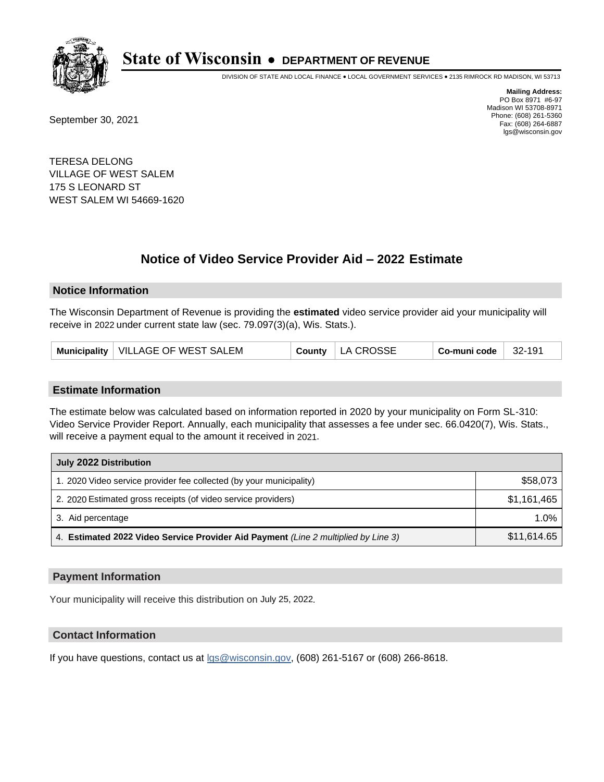

DIVISION OF STATE AND LOCAL FINANCE • LOCAL GOVERNMENT SERVICES • 2135 RIMROCK RD MADISON, WI 53713

September 30, 2021

**Mailing Address:** PO Box 8971 #6-97 Madison WI 53708-8971 Phone: (608) 261-5360 Fax: (608) 264-6887 lgs@wisconsin.gov

TERESA DELONG VILLAGE OF WEST SALEM 175 S LEONARD ST WEST SALEM WI 54669-1620

## **Notice of Video Service Provider Aid - 2022 Estimate**

#### **Notice Information**

The Wisconsin Department of Revenue is providing the **estimated** video service provider aid your municipality will receive in 2022 under current state law (sec. 79.097(3)(a), Wis. Stats.).

|  | Co-muni code<br>Municipality   VILLAGE OF WEST SALEM<br>County $ $ LA CROSSE<br>$32-191$ |  |  |
|--|------------------------------------------------------------------------------------------|--|--|
|--|------------------------------------------------------------------------------------------|--|--|

#### **Estimate Information**

The estimate below was calculated based on information reported in 2020 by your municipality on Form SL-310: Video Service Provider Report. Annually, each municipality that assesses a fee under sec. 66.0420(7), Wis. Stats., will receive a payment equal to the amount it received in 2021.

| July 2022 Distribution                                                             |             |
|------------------------------------------------------------------------------------|-------------|
| 1. 2020 Video service provider fee collected (by your municipality)                | \$58,073    |
| 2. 2020 Estimated gross receipts (of video service providers)                      | \$1,161,465 |
| 3. Aid percentage                                                                  | 1.0%        |
| 4. Estimated 2022 Video Service Provider Aid Payment (Line 2 multiplied by Line 3) | \$11,614.65 |

#### **Payment Information**

Your municipality will receive this distribution on July 25, 2022.

## **Contact Information**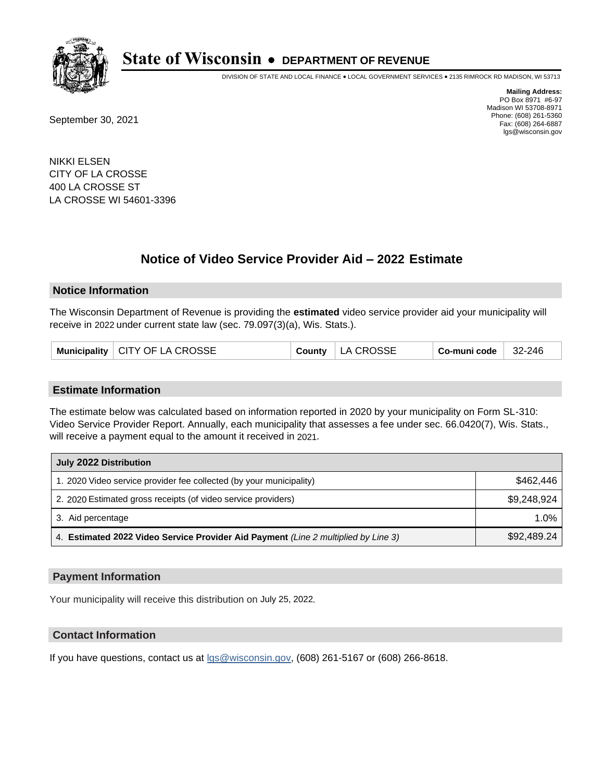

DIVISION OF STATE AND LOCAL FINANCE • LOCAL GOVERNMENT SERVICES • 2135 RIMROCK RD MADISON, WI 53713

September 30, 2021

**Mailing Address:** PO Box 8971 #6-97 Madison WI 53708-8971 Phone: (608) 261-5360 Fax: (608) 264-6887 lgs@wisconsin.gov

NIKKI ELSEN CITY OF LA CROSSE 400 LA CROSSE ST LA CROSSE WI 54601-3396

## **Notice of Video Service Provider Aid - 2022 Estimate**

### **Notice Information**

The Wisconsin Department of Revenue is providing the **estimated** video service provider aid your municipality will receive in 2022 under current state law (sec. 79.097(3)(a), Wis. Stats.).

| Municipality   CITY OF LA CROSSE | County | LA CROSSE | Co-muni code | 32-246 |
|----------------------------------|--------|-----------|--------------|--------|
|----------------------------------|--------|-----------|--------------|--------|

#### **Estimate Information**

The estimate below was calculated based on information reported in 2020 by your municipality on Form SL-310: Video Service Provider Report. Annually, each municipality that assesses a fee under sec. 66.0420(7), Wis. Stats., will receive a payment equal to the amount it received in 2021.

| July 2022 Distribution                                                             |             |
|------------------------------------------------------------------------------------|-------------|
| 1. 2020 Video service provider fee collected (by your municipality)                | \$462.446   |
| 2. 2020 Estimated gross receipts (of video service providers)                      | \$9,248,924 |
| 3. Aid percentage                                                                  | $1.0\%$     |
| 4. Estimated 2022 Video Service Provider Aid Payment (Line 2 multiplied by Line 3) | \$92,489.24 |

#### **Payment Information**

Your municipality will receive this distribution on July 25, 2022.

## **Contact Information**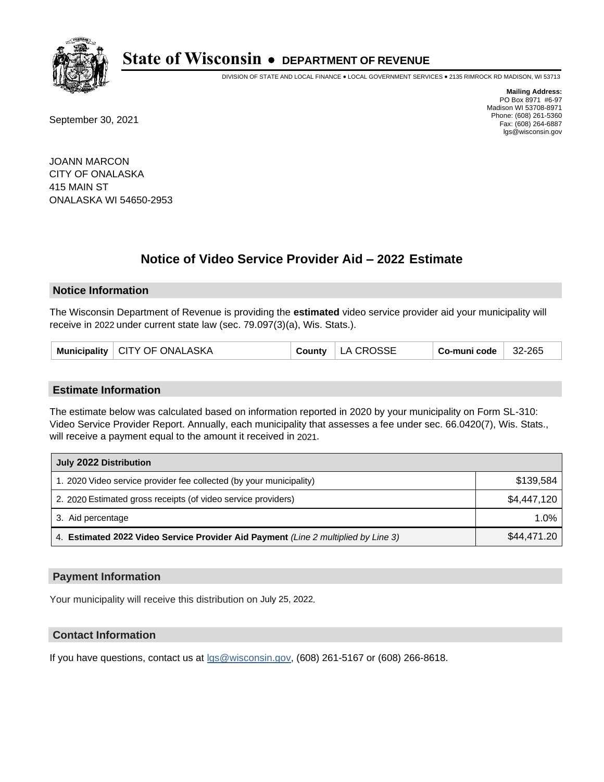

DIVISION OF STATE AND LOCAL FINANCE • LOCAL GOVERNMENT SERVICES • 2135 RIMROCK RD MADISON, WI 53713

September 30, 2021

**Mailing Address:** PO Box 8971 #6-97 Madison WI 53708-8971 Phone: (608) 261-5360 Fax: (608) 264-6887 lgs@wisconsin.gov

JOANN MARCON CITY OF ONALASKA 415 MAIN ST ONALASKA WI 54650-2953

# **Notice of Video Service Provider Aid - 2022 Estimate**

### **Notice Information**

The Wisconsin Department of Revenue is providing the **estimated** video service provider aid your municipality will receive in 2022 under current state law (sec. 79.097(3)(a), Wis. Stats.).

| Municipality   CITY OF ONALASKA | County | LA CROSSE | Co-muni code | 32-265 |
|---------------------------------|--------|-----------|--------------|--------|
|---------------------------------|--------|-----------|--------------|--------|

#### **Estimate Information**

The estimate below was calculated based on information reported in 2020 by your municipality on Form SL-310: Video Service Provider Report. Annually, each municipality that assesses a fee under sec. 66.0420(7), Wis. Stats., will receive a payment equal to the amount it received in 2021.

| July 2022 Distribution                                                             |             |
|------------------------------------------------------------------------------------|-------------|
| 1. 2020 Video service provider fee collected (by your municipality)                | \$139.584   |
| 2. 2020 Estimated gross receipts (of video service providers)                      | \$4,447,120 |
| 3. Aid percentage                                                                  | 1.0%        |
| 4. Estimated 2022 Video Service Provider Aid Payment (Line 2 multiplied by Line 3) | \$44,471.20 |

#### **Payment Information**

Your municipality will receive this distribution on July 25, 2022.

## **Contact Information**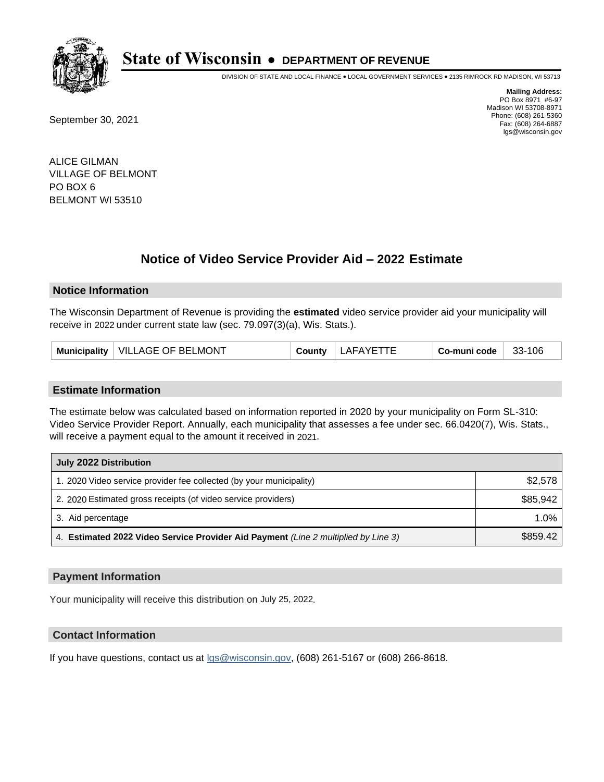

DIVISION OF STATE AND LOCAL FINANCE • LOCAL GOVERNMENT SERVICES • 2135 RIMROCK RD MADISON, WI 53713

September 30, 2021

**Mailing Address:** PO Box 8971 #6-97 Madison WI 53708-8971 Phone: (608) 261-5360 Fax: (608) 264-6887 lgs@wisconsin.gov

ALICE GILMAN VILLAGE OF BELMONT PO BOX 6 BELMONT WI 53510

## **Notice of Video Service Provider Aid - 2022 Estimate**

#### **Notice Information**

The Wisconsin Department of Revenue is providing the **estimated** video service provider aid your municipality will receive in 2022 under current state law (sec. 79.097(3)(a), Wis. Stats.).

| Municipality | VILLAGE OF BELMONT |  | ∟AFA≚ | Co-muni code | -106<br>$33-$ |
|--------------|--------------------|--|-------|--------------|---------------|
|--------------|--------------------|--|-------|--------------|---------------|

#### **Estimate Information**

The estimate below was calculated based on information reported in 2020 by your municipality on Form SL-310: Video Service Provider Report. Annually, each municipality that assesses a fee under sec. 66.0420(7), Wis. Stats., will receive a payment equal to the amount it received in 2021.

| July 2022 Distribution                                                             |          |
|------------------------------------------------------------------------------------|----------|
| 1. 2020 Video service provider fee collected (by your municipality)                | \$2,578  |
| 2. 2020 Estimated gross receipts (of video service providers)                      | \$85.942 |
| 3. Aid percentage                                                                  | 1.0%     |
| 4. Estimated 2022 Video Service Provider Aid Payment (Line 2 multiplied by Line 3) | \$859.42 |

#### **Payment Information**

Your municipality will receive this distribution on July 25, 2022.

## **Contact Information**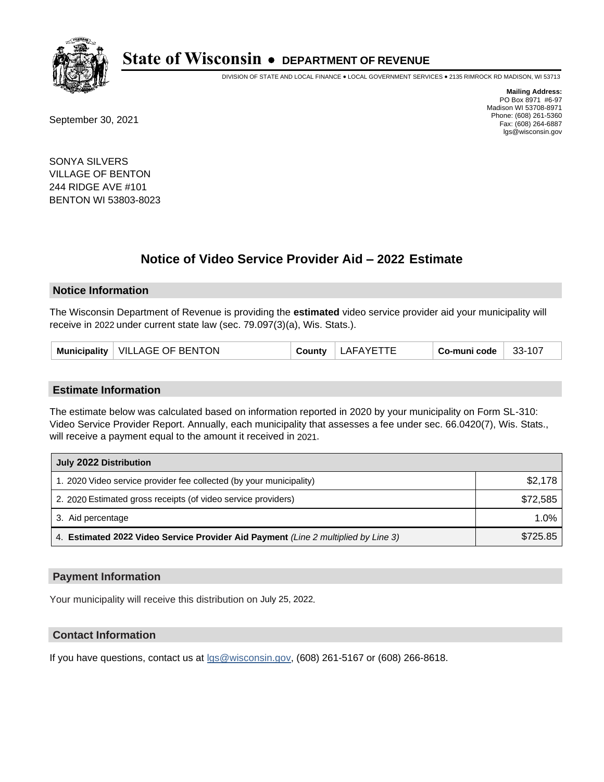

DIVISION OF STATE AND LOCAL FINANCE • LOCAL GOVERNMENT SERVICES • 2135 RIMROCK RD MADISON, WI 53713

September 30, 2021

**Mailing Address:** PO Box 8971 #6-97 Madison WI 53708-8971 Phone: (608) 261-5360 Fax: (608) 264-6887 lgs@wisconsin.gov

SONYA SILVERS VILLAGE OF BENTON 244 RIDGE AVE #101 BENTON WI 53803-8023

## **Notice of Video Service Provider Aid - 2022 Estimate**

#### **Notice Information**

The Wisconsin Department of Revenue is providing the **estimated** video service provider aid your municipality will receive in 2022 under current state law (sec. 79.097(3)(a), Wis. Stats.).

| Municipality | <b>VILLAGE OF BENTON</b> |  | AFA | Co-muni code | 33-107 |
|--------------|--------------------------|--|-----|--------------|--------|
|--------------|--------------------------|--|-----|--------------|--------|

#### **Estimate Information**

The estimate below was calculated based on information reported in 2020 by your municipality on Form SL-310: Video Service Provider Report. Annually, each municipality that assesses a fee under sec. 66.0420(7), Wis. Stats., will receive a payment equal to the amount it received in 2021.

| July 2022 Distribution                                                             |          |
|------------------------------------------------------------------------------------|----------|
| 1. 2020 Video service provider fee collected (by your municipality)                | \$2,178  |
| 2. 2020 Estimated gross receipts (of video service providers)                      | \$72,585 |
| 3. Aid percentage                                                                  | 1.0%     |
| 4. Estimated 2022 Video Service Provider Aid Payment (Line 2 multiplied by Line 3) | \$725.85 |

#### **Payment Information**

Your municipality will receive this distribution on July 25, 2022.

## **Contact Information**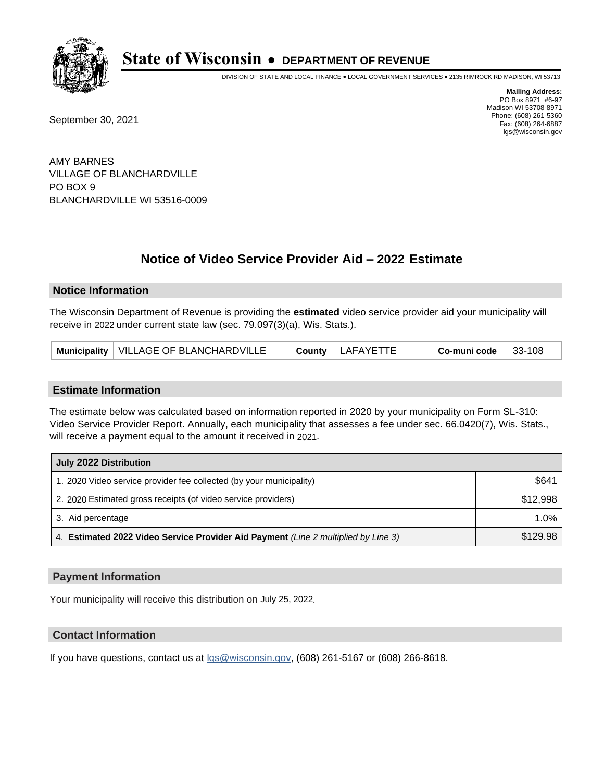

DIVISION OF STATE AND LOCAL FINANCE • LOCAL GOVERNMENT SERVICES • 2135 RIMROCK RD MADISON, WI 53713

September 30, 2021

**Mailing Address:** PO Box 8971 #6-97 Madison WI 53708-8971 Phone: (608) 261-5360 Fax: (608) 264-6887 lgs@wisconsin.gov

AMY BARNES VILLAGE OF BLANCHARDVILLE PO BOX 9 BLANCHARDVILLE WI 53516-0009

# **Notice of Video Service Provider Aid - 2022 Estimate**

#### **Notice Information**

The Wisconsin Department of Revenue is providing the **estimated** video service provider aid your municipality will receive in 2022 under current state law (sec. 79.097(3)(a), Wis. Stats.).

| Municipality   VILLAGE OF BLANCHARDVILLE | County | LAFAYETTE | ⊩ Co-muni code <sup>√</sup> | 33-108 |
|------------------------------------------|--------|-----------|-----------------------------|--------|
|------------------------------------------|--------|-----------|-----------------------------|--------|

#### **Estimate Information**

The estimate below was calculated based on information reported in 2020 by your municipality on Form SL-310: Video Service Provider Report. Annually, each municipality that assesses a fee under sec. 66.0420(7), Wis. Stats., will receive a payment equal to the amount it received in 2021.

| July 2022 Distribution                                                             |          |  |  |
|------------------------------------------------------------------------------------|----------|--|--|
| 1. 2020 Video service provider fee collected (by your municipality)                | \$641    |  |  |
| 2. 2020 Estimated gross receipts (of video service providers)                      | \$12,998 |  |  |
| 3. Aid percentage                                                                  | $1.0\%$  |  |  |
| 4. Estimated 2022 Video Service Provider Aid Payment (Line 2 multiplied by Line 3) | \$129.98 |  |  |

#### **Payment Information**

Your municipality will receive this distribution on July 25, 2022.

## **Contact Information**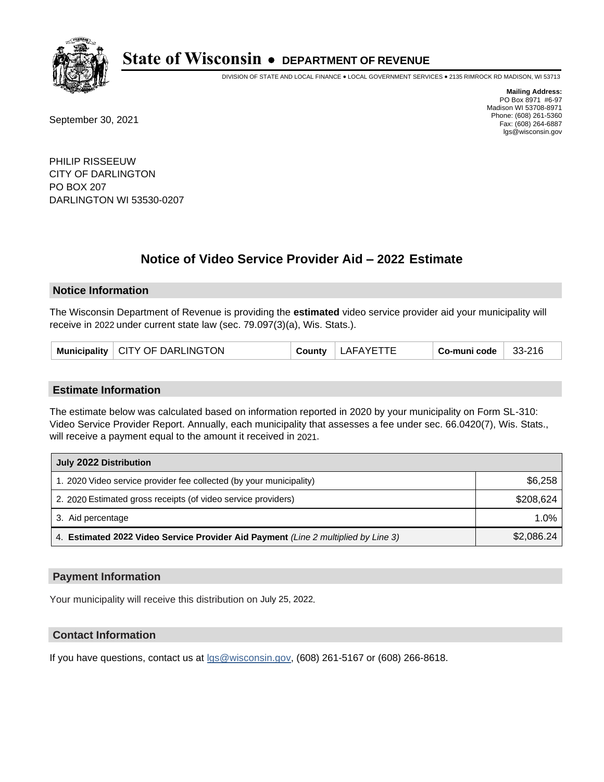

DIVISION OF STATE AND LOCAL FINANCE • LOCAL GOVERNMENT SERVICES • 2135 RIMROCK RD MADISON, WI 53713

September 30, 2021

**Mailing Address:** PO Box 8971 #6-97 Madison WI 53708-8971 Phone: (608) 261-5360 Fax: (608) 264-6887 lgs@wisconsin.gov

PHILIP RISSEEUW CITY OF DARLINGTON PO BOX 207 DARLINGTON WI 53530-0207

# **Notice of Video Service Provider Aid - 2022 Estimate**

#### **Notice Information**

The Wisconsin Department of Revenue is providing the **estimated** video service provider aid your municipality will receive in 2022 under current state law (sec. 79.097(3)(a), Wis. Stats.).

|  | Municipality   CITY OF DARLINGTON | County | LAFAYETTE | ⊦ Co-muni code | 33-216 |
|--|-----------------------------------|--------|-----------|----------------|--------|
|--|-----------------------------------|--------|-----------|----------------|--------|

#### **Estimate Information**

The estimate below was calculated based on information reported in 2020 by your municipality on Form SL-310: Video Service Provider Report. Annually, each municipality that assesses a fee under sec. 66.0420(7), Wis. Stats., will receive a payment equal to the amount it received in 2021.

| July 2022 Distribution                                                             |            |  |  |
|------------------------------------------------------------------------------------|------------|--|--|
| 1. 2020 Video service provider fee collected (by your municipality)                | \$6,258    |  |  |
| 2. 2020 Estimated gross receipts (of video service providers)                      | \$208.624  |  |  |
| 3. Aid percentage                                                                  | 1.0%       |  |  |
| 4. Estimated 2022 Video Service Provider Aid Payment (Line 2 multiplied by Line 3) | \$2,086.24 |  |  |

#### **Payment Information**

Your municipality will receive this distribution on July 25, 2022.

## **Contact Information**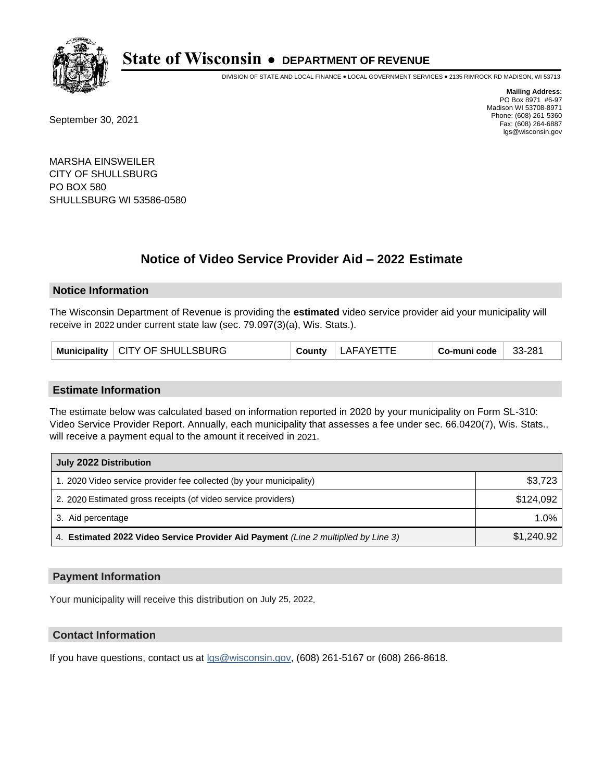

DIVISION OF STATE AND LOCAL FINANCE • LOCAL GOVERNMENT SERVICES • 2135 RIMROCK RD MADISON, WI 53713

September 30, 2021

**Mailing Address:** PO Box 8971 #6-97 Madison WI 53708-8971 Phone: (608) 261-5360 Fax: (608) 264-6887 lgs@wisconsin.gov

MARSHA EINSWEILER CITY OF SHULLSBURG PO BOX 580 SHULLSBURG WI 53586-0580

# **Notice of Video Service Provider Aid - 2022 Estimate**

### **Notice Information**

The Wisconsin Department of Revenue is providing the **estimated** video service provider aid your municipality will receive in 2022 under current state law (sec. 79.097(3)(a), Wis. Stats.).

|  | Municipality   CITY OF SHULLSBURG | County | LAFAYETTE | Co-muni code | 33-281 |
|--|-----------------------------------|--------|-----------|--------------|--------|
|--|-----------------------------------|--------|-----------|--------------|--------|

#### **Estimate Information**

The estimate below was calculated based on information reported in 2020 by your municipality on Form SL-310: Video Service Provider Report. Annually, each municipality that assesses a fee under sec. 66.0420(7), Wis. Stats., will receive a payment equal to the amount it received in 2021.

| July 2022 Distribution                                                             |            |  |  |
|------------------------------------------------------------------------------------|------------|--|--|
| 1. 2020 Video service provider fee collected (by your municipality)                | \$3,723    |  |  |
| 2. 2020 Estimated gross receipts (of video service providers)                      | \$124.092  |  |  |
| 3. Aid percentage                                                                  | 1.0%       |  |  |
| 4. Estimated 2022 Video Service Provider Aid Payment (Line 2 multiplied by Line 3) | \$1,240.92 |  |  |

#### **Payment Information**

Your municipality will receive this distribution on July 25, 2022.

## **Contact Information**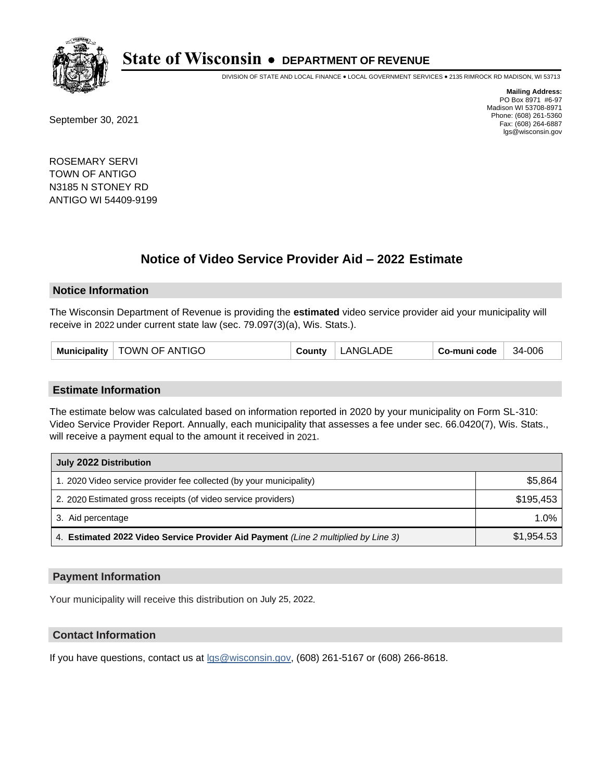

DIVISION OF STATE AND LOCAL FINANCE • LOCAL GOVERNMENT SERVICES • 2135 RIMROCK RD MADISON, WI 53713

September 30, 2021

**Mailing Address:** PO Box 8971 #6-97 Madison WI 53708-8971 Phone: (608) 261-5360 Fax: (608) 264-6887 lgs@wisconsin.gov

ROSEMARY SERVI TOWN OF ANTIGO N3185 N STONEY RD ANTIGO WI 54409-9199

## **Notice of Video Service Provider Aid - 2022 Estimate**

#### **Notice Information**

The Wisconsin Department of Revenue is providing the **estimated** video service provider aid your municipality will receive in 2022 under current state law (sec. 79.097(3)(a), Wis. Stats.).

| Municipality   TOWN OF ANTIGO | County | LANGLADE | Co-muni code | 34-006 |
|-------------------------------|--------|----------|--------------|--------|
|-------------------------------|--------|----------|--------------|--------|

#### **Estimate Information**

The estimate below was calculated based on information reported in 2020 by your municipality on Form SL-310: Video Service Provider Report. Annually, each municipality that assesses a fee under sec. 66.0420(7), Wis. Stats., will receive a payment equal to the amount it received in 2021.

| July 2022 Distribution                                                             |            |  |  |
|------------------------------------------------------------------------------------|------------|--|--|
| 1. 2020 Video service provider fee collected (by your municipality)                | \$5,864    |  |  |
| 2. 2020 Estimated gross receipts (of video service providers)                      | \$195.453  |  |  |
| 3. Aid percentage                                                                  | 1.0%       |  |  |
| 4. Estimated 2022 Video Service Provider Aid Payment (Line 2 multiplied by Line 3) | \$1,954.53 |  |  |

#### **Payment Information**

Your municipality will receive this distribution on July 25, 2022.

## **Contact Information**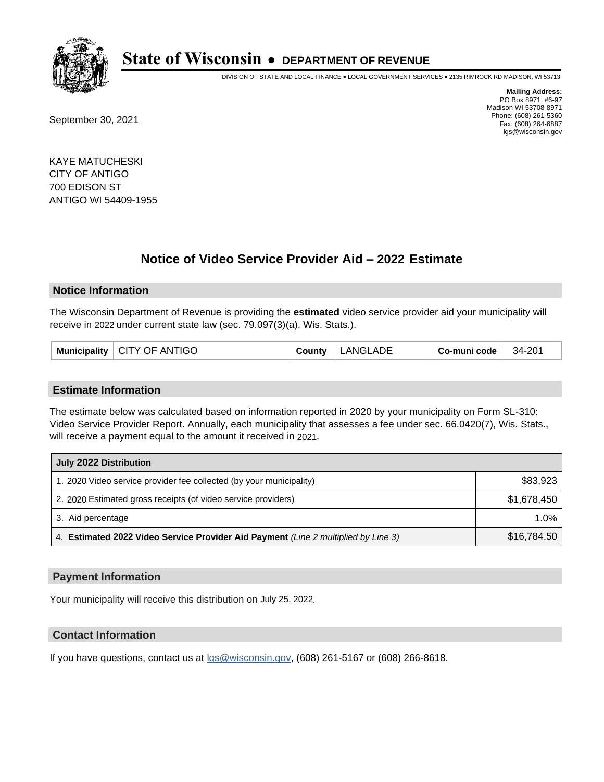

DIVISION OF STATE AND LOCAL FINANCE • LOCAL GOVERNMENT SERVICES • 2135 RIMROCK RD MADISON, WI 53713

September 30, 2021

**Mailing Address:** PO Box 8971 #6-97 Madison WI 53708-8971 Phone: (608) 261-5360 Fax: (608) 264-6887 lgs@wisconsin.gov

KAYE MATUCHESKI CITY OF ANTIGO 700 EDISON ST ANTIGO WI 54409-1955

## **Notice of Video Service Provider Aid - 2022 Estimate**

#### **Notice Information**

The Wisconsin Department of Revenue is providing the **estimated** video service provider aid your municipality will receive in 2022 under current state law (sec. 79.097(3)(a), Wis. Stats.).

| Municipality   CITY OF ANTIGO<br>LANGLADE<br>Co-muni code<br>County | 34-201 |
|---------------------------------------------------------------------|--------|
|---------------------------------------------------------------------|--------|

#### **Estimate Information**

The estimate below was calculated based on information reported in 2020 by your municipality on Form SL-310: Video Service Provider Report. Annually, each municipality that assesses a fee under sec. 66.0420(7), Wis. Stats., will receive a payment equal to the amount it received in 2021.

| July 2022 Distribution                                                             |             |  |  |
|------------------------------------------------------------------------------------|-------------|--|--|
| 1. 2020 Video service provider fee collected (by your municipality)                | \$83,923    |  |  |
| 2. 2020 Estimated gross receipts (of video service providers)                      | \$1,678,450 |  |  |
| 3. Aid percentage                                                                  | $1.0\%$     |  |  |
| 4. Estimated 2022 Video Service Provider Aid Payment (Line 2 multiplied by Line 3) | \$16,784.50 |  |  |

#### **Payment Information**

Your municipality will receive this distribution on July 25, 2022.

## **Contact Information**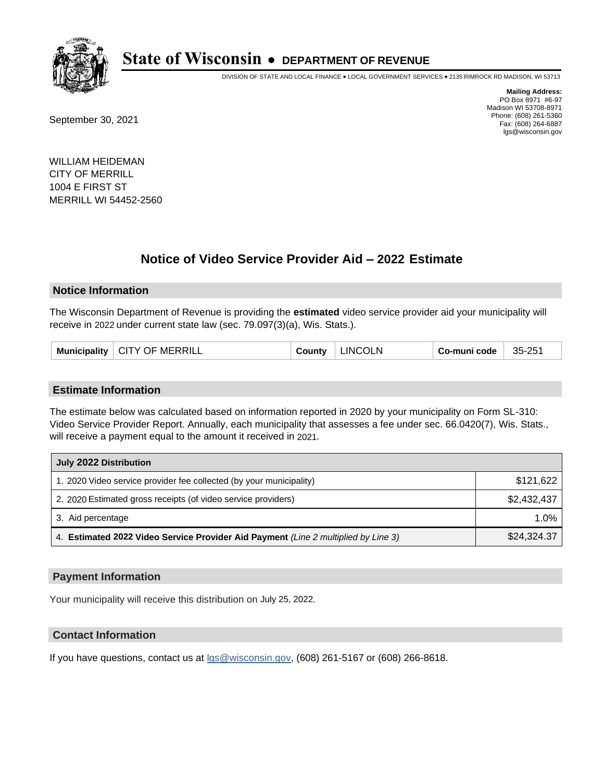

DIVISION OF STATE AND LOCAL FINANCE • LOCAL GOVERNMENT SERVICES • 2135 RIMROCK RD MADISON, WI 53713

September 30, 2021

**Mailing Address:** PO Box 8971 #6-97 Madison WI 53708-8971 Phone: (608) 261-5360 Fax: (608) 264-6887 lgs@wisconsin.gov

WILLIAM HEIDEMAN CITY OF MERRILL 1004 E FIRST ST MERRILL WI 54452-2560

## **Notice of Video Service Provider Aid - 2022 Estimate**

#### **Notice Information**

The Wisconsin Department of Revenue is providing the **estimated** video service provider aid your municipality will receive in 2022 under current state law (sec. 79.097(3)(a), Wis. Stats.).

| Municipality   CITY OF MERRILL | County | <b>LINCOLN</b> | Co-muni code | 35-251 |
|--------------------------------|--------|----------------|--------------|--------|
|--------------------------------|--------|----------------|--------------|--------|

#### **Estimate Information**

The estimate below was calculated based on information reported in 2020 by your municipality on Form SL-310: Video Service Provider Report. Annually, each municipality that assesses a fee under sec. 66.0420(7), Wis. Stats., will receive a payment equal to the amount it received in 2021.

| July 2022 Distribution                                                             |             |  |  |
|------------------------------------------------------------------------------------|-------------|--|--|
| 1. 2020 Video service provider fee collected (by your municipality)                | \$121,622   |  |  |
| 2. 2020 Estimated gross receipts (of video service providers)                      | \$2.432.437 |  |  |
| 3. Aid percentage                                                                  | 1.0%        |  |  |
| 4. Estimated 2022 Video Service Provider Aid Payment (Line 2 multiplied by Line 3) | \$24,324.37 |  |  |

#### **Payment Information**

Your municipality will receive this distribution on July 25, 2022.

## **Contact Information**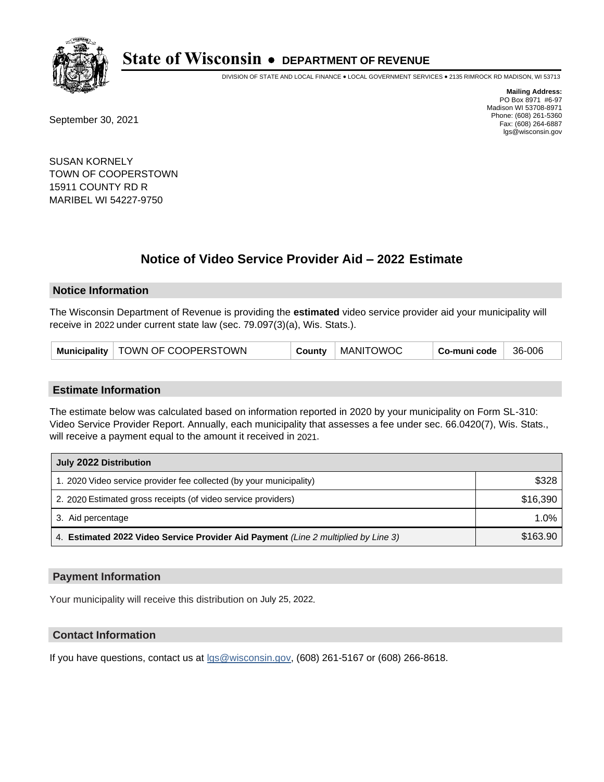

DIVISION OF STATE AND LOCAL FINANCE • LOCAL GOVERNMENT SERVICES • 2135 RIMROCK RD MADISON, WI 53713

September 30, 2021

**Mailing Address:** PO Box 8971 #6-97 Madison WI 53708-8971 Phone: (608) 261-5360 Fax: (608) 264-6887 lgs@wisconsin.gov

SUSAN KORNELY TOWN OF COOPERSTOWN 15911 COUNTY RD R MARIBEL WI 54227-9750

## **Notice of Video Service Provider Aid - 2022 Estimate**

### **Notice Information**

The Wisconsin Department of Revenue is providing the **estimated** video service provider aid your municipality will receive in 2022 under current state law (sec. 79.097(3)(a), Wis. Stats.).

| Municipality   TOWN OF COOPERSTOWN | County | <b>MANITOWOC</b> | Co-muni code | 36-006 |
|------------------------------------|--------|------------------|--------------|--------|
|------------------------------------|--------|------------------|--------------|--------|

#### **Estimate Information**

The estimate below was calculated based on information reported in 2020 by your municipality on Form SL-310: Video Service Provider Report. Annually, each municipality that assesses a fee under sec. 66.0420(7), Wis. Stats., will receive a payment equal to the amount it received in 2021.

| July 2022 Distribution                                                             |          |  |
|------------------------------------------------------------------------------------|----------|--|
| 1. 2020 Video service provider fee collected (by your municipality)                | \$328    |  |
| 2. 2020 Estimated gross receipts (of video service providers)                      | \$16,390 |  |
| 3. Aid percentage                                                                  | $1.0\%$  |  |
| 4. Estimated 2022 Video Service Provider Aid Payment (Line 2 multiplied by Line 3) | \$163.90 |  |

#### **Payment Information**

Your municipality will receive this distribution on July 25, 2022.

## **Contact Information**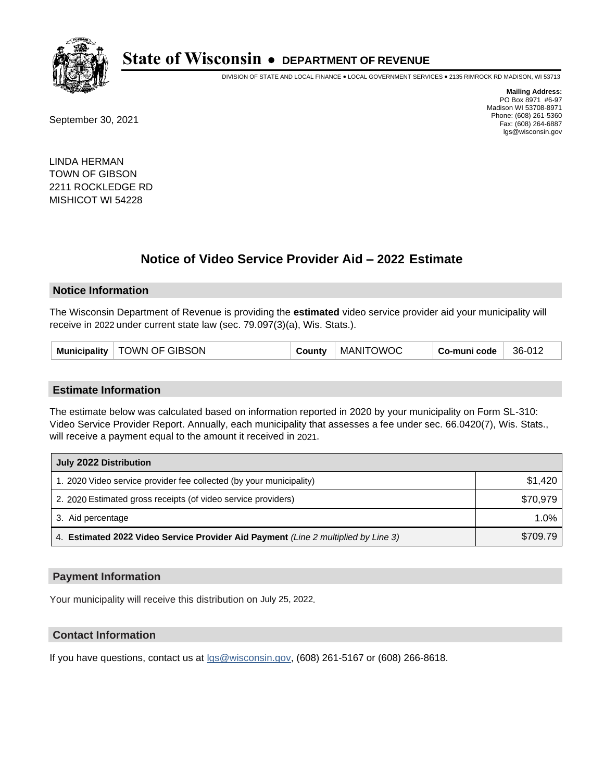

DIVISION OF STATE AND LOCAL FINANCE • LOCAL GOVERNMENT SERVICES • 2135 RIMROCK RD MADISON, WI 53713

September 30, 2021

**Mailing Address:** PO Box 8971 #6-97 Madison WI 53708-8971 Phone: (608) 261-5360 Fax: (608) 264-6887 lgs@wisconsin.gov

LINDA HERMAN TOWN OF GIBSON 2211 ROCKLEDGE RD MISHICOT WI 54228

## **Notice of Video Service Provider Aid - 2022 Estimate**

#### **Notice Information**

The Wisconsin Department of Revenue is providing the **estimated** video service provider aid your municipality will receive in 2022 under current state law (sec. 79.097(3)(a), Wis. Stats.).

| Municipality   TOWN OF GIBSON | <b>MANITOWOC</b><br>County | Co-muni code<br>36-012 |
|-------------------------------|----------------------------|------------------------|
|-------------------------------|----------------------------|------------------------|

#### **Estimate Information**

The estimate below was calculated based on information reported in 2020 by your municipality on Form SL-310: Video Service Provider Report. Annually, each municipality that assesses a fee under sec. 66.0420(7), Wis. Stats., will receive a payment equal to the amount it received in 2021.

| July 2022 Distribution                                                             |          |  |  |
|------------------------------------------------------------------------------------|----------|--|--|
| 1. 2020 Video service provider fee collected (by your municipality)                | \$1.420  |  |  |
| 2. 2020 Estimated gross receipts (of video service providers)                      | \$70.979 |  |  |
| 3. Aid percentage                                                                  | 1.0%     |  |  |
| 4. Estimated 2022 Video Service Provider Aid Payment (Line 2 multiplied by Line 3) | \$709.79 |  |  |

#### **Payment Information**

Your municipality will receive this distribution on July 25, 2022.

## **Contact Information**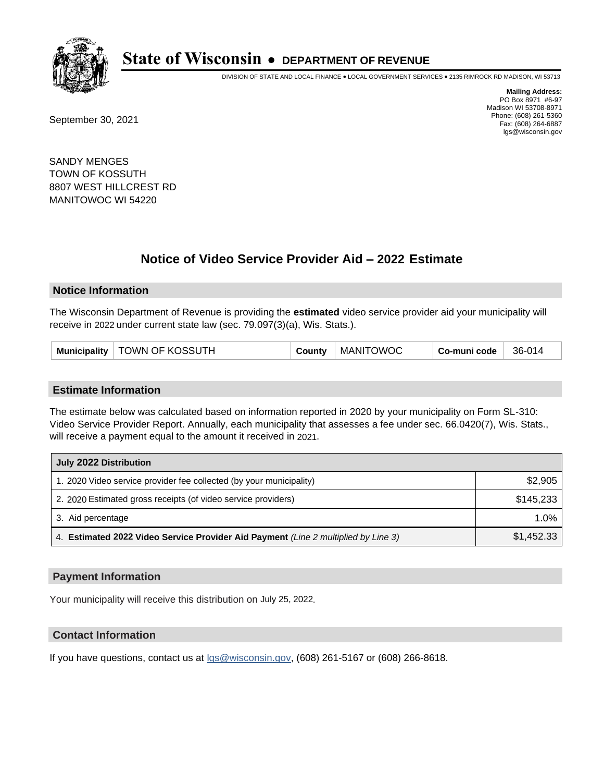

DIVISION OF STATE AND LOCAL FINANCE • LOCAL GOVERNMENT SERVICES • 2135 RIMROCK RD MADISON, WI 53713

September 30, 2021

**Mailing Address:** PO Box 8971 #6-97 Madison WI 53708-8971 Phone: (608) 261-5360 Fax: (608) 264-6887 lgs@wisconsin.gov

SANDY MENGES TOWN OF KOSSUTH 8807 WEST HILLCREST RD MANITOWOC WI 54220

## **Notice of Video Service Provider Aid - 2022 Estimate**

#### **Notice Information**

The Wisconsin Department of Revenue is providing the **estimated** video service provider aid your municipality will receive in 2022 under current state law (sec. 79.097(3)(a), Wis. Stats.).

| Municipality   TOWN OF KOSSUTH | County | <b>MANITOWOC</b> | Co-muni code | 36-014 |
|--------------------------------|--------|------------------|--------------|--------|
|--------------------------------|--------|------------------|--------------|--------|

#### **Estimate Information**

The estimate below was calculated based on information reported in 2020 by your municipality on Form SL-310: Video Service Provider Report. Annually, each municipality that assesses a fee under sec. 66.0420(7), Wis. Stats., will receive a payment equal to the amount it received in 2021.

| July 2022 Distribution                                                             |            |  |
|------------------------------------------------------------------------------------|------------|--|
| 1. 2020 Video service provider fee collected (by your municipality)                | \$2,905    |  |
| 2. 2020 Estimated gross receipts (of video service providers)                      | \$145,233  |  |
| 3. Aid percentage                                                                  | $1.0\%$    |  |
| 4. Estimated 2022 Video Service Provider Aid Payment (Line 2 multiplied by Line 3) | \$1,452.33 |  |

#### **Payment Information**

Your municipality will receive this distribution on July 25, 2022.

## **Contact Information**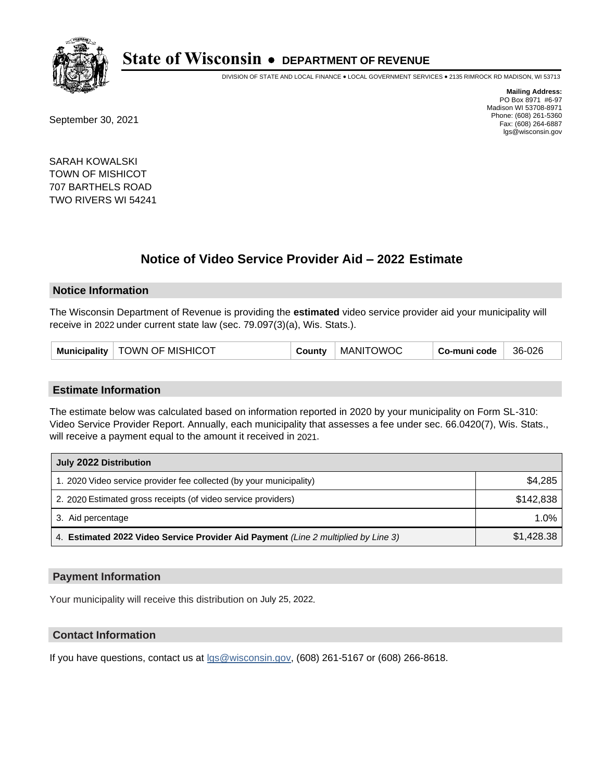

DIVISION OF STATE AND LOCAL FINANCE • LOCAL GOVERNMENT SERVICES • 2135 RIMROCK RD MADISON, WI 53713

September 30, 2021

**Mailing Address:** PO Box 8971 #6-97 Madison WI 53708-8971 Phone: (608) 261-5360 Fax: (608) 264-6887 lgs@wisconsin.gov

SARAH KOWALSKI TOWN OF MISHICOT 707 BARTHELS ROAD TWO RIVERS WI 54241

## **Notice of Video Service Provider Aid - 2022 Estimate**

#### **Notice Information**

The Wisconsin Department of Revenue is providing the **estimated** video service provider aid your municipality will receive in 2022 under current state law (sec. 79.097(3)(a), Wis. Stats.).

| Municipality   TOWN OF MISHICOT | County | <b>MANITOWOC</b> | Co-muni code | 36-026 |
|---------------------------------|--------|------------------|--------------|--------|
|---------------------------------|--------|------------------|--------------|--------|

#### **Estimate Information**

The estimate below was calculated based on information reported in 2020 by your municipality on Form SL-310: Video Service Provider Report. Annually, each municipality that assesses a fee under sec. 66.0420(7), Wis. Stats., will receive a payment equal to the amount it received in 2021.

| July 2022 Distribution                                                             |            |
|------------------------------------------------------------------------------------|------------|
| 1. 2020 Video service provider fee collected (by your municipality)                | \$4.285    |
| 2. 2020 Estimated gross receipts (of video service providers)                      | \$142.838  |
| 3. Aid percentage                                                                  | 1.0%       |
| 4. Estimated 2022 Video Service Provider Aid Payment (Line 2 multiplied by Line 3) | \$1,428.38 |

#### **Payment Information**

Your municipality will receive this distribution on July 25, 2022.

## **Contact Information**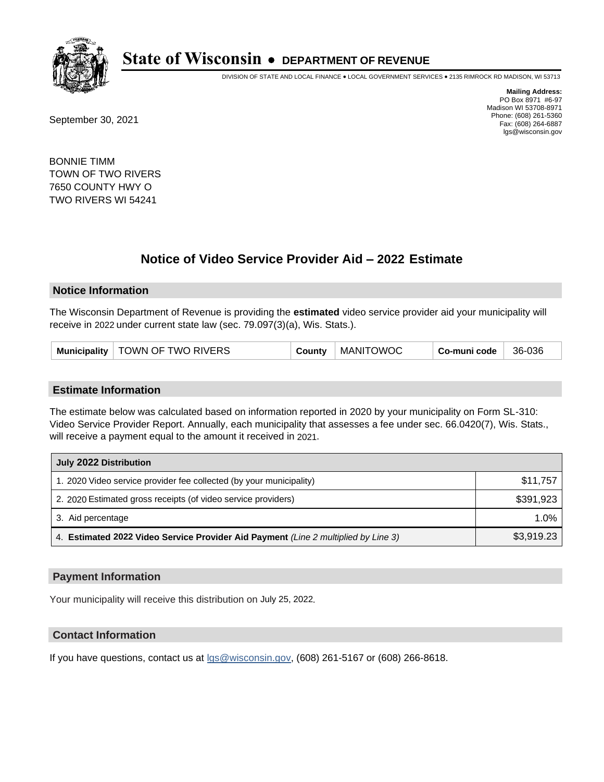

DIVISION OF STATE AND LOCAL FINANCE • LOCAL GOVERNMENT SERVICES • 2135 RIMROCK RD MADISON, WI 53713

September 30, 2021

**Mailing Address:** PO Box 8971 #6-97 Madison WI 53708-8971 Phone: (608) 261-5360 Fax: (608) 264-6887 lgs@wisconsin.gov

BONNIE TIMM TOWN OF TWO RIVERS 7650 COUNTY HWY O TWO RIVERS WI 54241

## **Notice of Video Service Provider Aid - 2022 Estimate**

#### **Notice Information**

The Wisconsin Department of Revenue is providing the **estimated** video service provider aid your municipality will receive in 2022 under current state law (sec. 79.097(3)(a), Wis. Stats.).

| Municipality   TOWN OF TWO RIVERS | <b>MANITOWOC</b><br>County | Co-muni code<br>36-036 |
|-----------------------------------|----------------------------|------------------------|
|-----------------------------------|----------------------------|------------------------|

#### **Estimate Information**

The estimate below was calculated based on information reported in 2020 by your municipality on Form SL-310: Video Service Provider Report. Annually, each municipality that assesses a fee under sec. 66.0420(7), Wis. Stats., will receive a payment equal to the amount it received in 2021.

| July 2022 Distribution                                                             |            |  |
|------------------------------------------------------------------------------------|------------|--|
| 1. 2020 Video service provider fee collected (by your municipality)                | \$11,757   |  |
| 2. 2020 Estimated gross receipts (of video service providers)                      | \$391,923  |  |
| 3. Aid percentage                                                                  | $1.0\%$    |  |
| 4. Estimated 2022 Video Service Provider Aid Payment (Line 2 multiplied by Line 3) | \$3,919.23 |  |

#### **Payment Information**

Your municipality will receive this distribution on July 25, 2022.

## **Contact Information**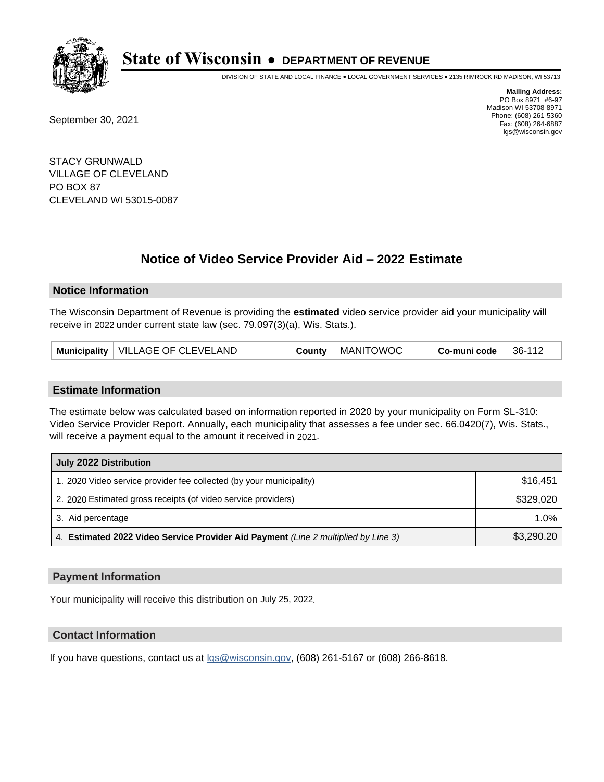

DIVISION OF STATE AND LOCAL FINANCE • LOCAL GOVERNMENT SERVICES • 2135 RIMROCK RD MADISON, WI 53713

September 30, 2021

**Mailing Address:** PO Box 8971 #6-97 Madison WI 53708-8971 Phone: (608) 261-5360 Fax: (608) 264-6887 lgs@wisconsin.gov

STACY GRUNWALD VILLAGE OF CLEVELAND PO BOX 87 CLEVELAND WI 53015-0087

## **Notice of Video Service Provider Aid - 2022 Estimate**

#### **Notice Information**

The Wisconsin Department of Revenue is providing the **estimated** video service provider aid your municipality will receive in 2022 under current state law (sec. 79.097(3)(a), Wis. Stats.).

| Municipality   VILLAGE OF CLEVELAND | County | MANITOWOC | Co-muni code | 36-112 |
|-------------------------------------|--------|-----------|--------------|--------|
|-------------------------------------|--------|-----------|--------------|--------|

#### **Estimate Information**

The estimate below was calculated based on information reported in 2020 by your municipality on Form SL-310: Video Service Provider Report. Annually, each municipality that assesses a fee under sec. 66.0420(7), Wis. Stats., will receive a payment equal to the amount it received in 2021.

| July 2022 Distribution                                                             |            |  |
|------------------------------------------------------------------------------------|------------|--|
| 1. 2020 Video service provider fee collected (by your municipality)                | \$16,451   |  |
| 2. 2020 Estimated gross receipts (of video service providers)                      | \$329.020  |  |
| 3. Aid percentage                                                                  | $1.0\%$    |  |
| 4. Estimated 2022 Video Service Provider Aid Payment (Line 2 multiplied by Line 3) | \$3,290.20 |  |

#### **Payment Information**

Your municipality will receive this distribution on July 25, 2022.

## **Contact Information**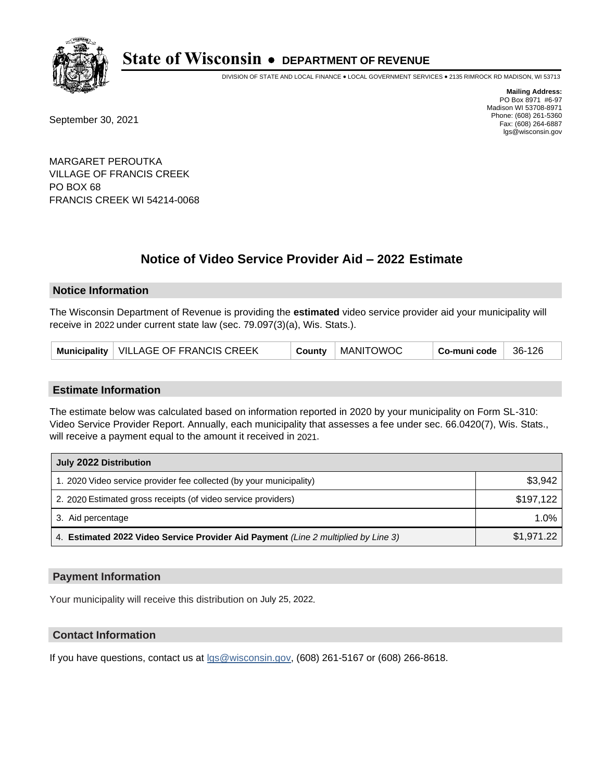

DIVISION OF STATE AND LOCAL FINANCE • LOCAL GOVERNMENT SERVICES • 2135 RIMROCK RD MADISON, WI 53713

September 30, 2021

**Mailing Address:** PO Box 8971 #6-97 Madison WI 53708-8971 Phone: (608) 261-5360 Fax: (608) 264-6887 lgs@wisconsin.gov

MARGARET PEROUTKA VILLAGE OF FRANCIS CREEK PO BOX 68 FRANCIS CREEK WI 54214-0068

# **Notice of Video Service Provider Aid - 2022 Estimate**

### **Notice Information**

The Wisconsin Department of Revenue is providing the **estimated** video service provider aid your municipality will receive in 2022 under current state law (sec. 79.097(3)(a), Wis. Stats.).

| Municipality   VILLAGE OF FRANCIS CREEK<br><b>MANITOWOC</b><br>Co-muni code<br>County | 36-126 |
|---------------------------------------------------------------------------------------|--------|
|---------------------------------------------------------------------------------------|--------|

#### **Estimate Information**

The estimate below was calculated based on information reported in 2020 by your municipality on Form SL-310: Video Service Provider Report. Annually, each municipality that assesses a fee under sec. 66.0420(7), Wis. Stats., will receive a payment equal to the amount it received in 2021.

| July 2022 Distribution                                                             |            |
|------------------------------------------------------------------------------------|------------|
| 1. 2020 Video service provider fee collected (by your municipality)                | \$3,942    |
| 2. 2020 Estimated gross receipts (of video service providers)                      | \$197.122  |
| 3. Aid percentage                                                                  | 1.0%       |
| 4. Estimated 2022 Video Service Provider Aid Payment (Line 2 multiplied by Line 3) | \$1,971.22 |

#### **Payment Information**

Your municipality will receive this distribution on July 25, 2022.

## **Contact Information**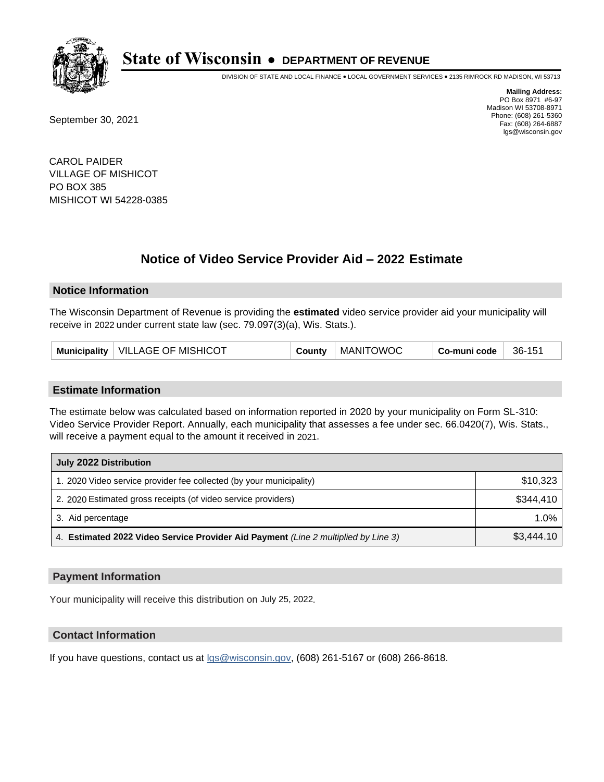

DIVISION OF STATE AND LOCAL FINANCE • LOCAL GOVERNMENT SERVICES • 2135 RIMROCK RD MADISON, WI 53713

September 30, 2021

**Mailing Address:** PO Box 8971 #6-97 Madison WI 53708-8971 Phone: (608) 261-5360 Fax: (608) 264-6887 lgs@wisconsin.gov

CAROL PAIDER VILLAGE OF MISHICOT PO BOX 385 MISHICOT WI 54228-0385

## **Notice of Video Service Provider Aid - 2022 Estimate**

#### **Notice Information**

The Wisconsin Department of Revenue is providing the **estimated** video service provider aid your municipality will receive in 2022 under current state law (sec. 79.097(3)(a), Wis. Stats.).

| Municipality   VILLAGE OF MISHICOT<br>County | <b>MANITOWOC</b> | Co-muni code | 36-151 |
|----------------------------------------------|------------------|--------------|--------|
|----------------------------------------------|------------------|--------------|--------|

#### **Estimate Information**

The estimate below was calculated based on information reported in 2020 by your municipality on Form SL-310: Video Service Provider Report. Annually, each municipality that assesses a fee under sec. 66.0420(7), Wis. Stats., will receive a payment equal to the amount it received in 2021.

| July 2022 Distribution                                                             |            |
|------------------------------------------------------------------------------------|------------|
| 1. 2020 Video service provider fee collected (by your municipality)                | \$10,323   |
| 2. 2020 Estimated gross receipts (of video service providers)                      | \$344,410  |
| 3. Aid percentage                                                                  | $1.0\%$    |
| 4. Estimated 2022 Video Service Provider Aid Payment (Line 2 multiplied by Line 3) | \$3,444.10 |

#### **Payment Information**

Your municipality will receive this distribution on July 25, 2022.

## **Contact Information**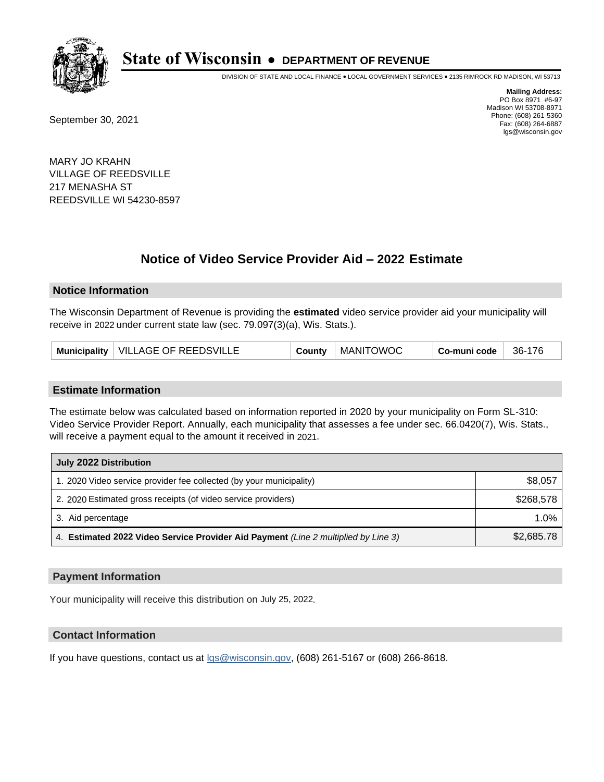

DIVISION OF STATE AND LOCAL FINANCE • LOCAL GOVERNMENT SERVICES • 2135 RIMROCK RD MADISON, WI 53713

September 30, 2021

**Mailing Address:** PO Box 8971 #6-97 Madison WI 53708-8971 Phone: (608) 261-5360 Fax: (608) 264-6887 lgs@wisconsin.gov

MARY JO KRAHN VILLAGE OF REEDSVILLE 217 MENASHA ST REEDSVILLE WI 54230-8597

# **Notice of Video Service Provider Aid - 2022 Estimate**

#### **Notice Information**

The Wisconsin Department of Revenue is providing the **estimated** video service provider aid your municipality will receive in 2022 under current state law (sec. 79.097(3)(a), Wis. Stats.).

| Municipality   VILLAGE OF REEDSVILLE | County | MANITOWOC | Co-muni code | 36-176 |
|--------------------------------------|--------|-----------|--------------|--------|
|--------------------------------------|--------|-----------|--------------|--------|

#### **Estimate Information**

The estimate below was calculated based on information reported in 2020 by your municipality on Form SL-310: Video Service Provider Report. Annually, each municipality that assesses a fee under sec. 66.0420(7), Wis. Stats., will receive a payment equal to the amount it received in 2021.

| July 2022 Distribution                                                             |            |
|------------------------------------------------------------------------------------|------------|
| 1. 2020 Video service provider fee collected (by your municipality)                | \$8,057    |
| 2. 2020 Estimated gross receipts (of video service providers)                      | \$268.578  |
| 3. Aid percentage                                                                  | $1.0\%$    |
| 4. Estimated 2022 Video Service Provider Aid Payment (Line 2 multiplied by Line 3) | \$2,685.78 |

#### **Payment Information**

Your municipality will receive this distribution on July 25, 2022.

## **Contact Information**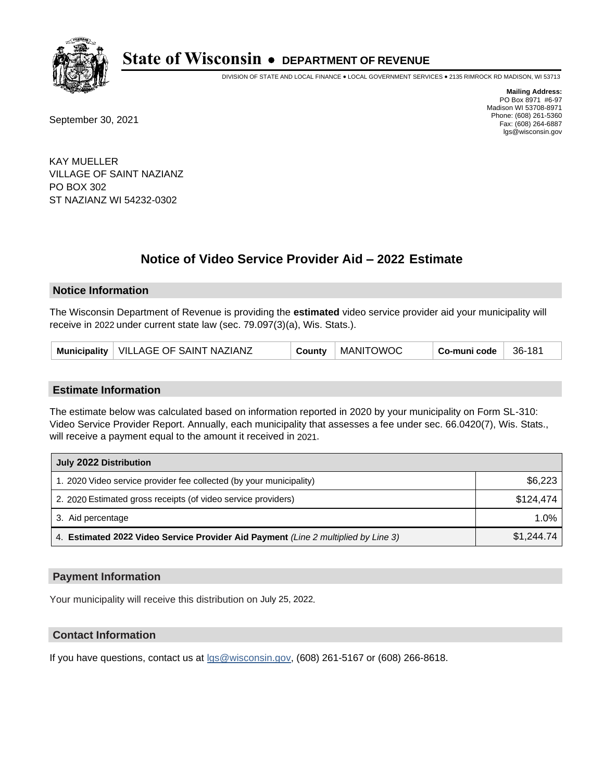

DIVISION OF STATE AND LOCAL FINANCE • LOCAL GOVERNMENT SERVICES • 2135 RIMROCK RD MADISON, WI 53713

September 30, 2021

**Mailing Address:** PO Box 8971 #6-97 Madison WI 53708-8971 Phone: (608) 261-5360 Fax: (608) 264-6887 lgs@wisconsin.gov

KAY MUELLER VILLAGE OF SAINT NAZIANZ PO BOX 302 ST NAZIANZ WI 54232-0302

# **Notice of Video Service Provider Aid - 2022 Estimate**

#### **Notice Information**

The Wisconsin Department of Revenue is providing the **estimated** video service provider aid your municipality will receive in 2022 under current state law (sec. 79.097(3)(a), Wis. Stats.).

| Municipality   VILLAGE OF SAINT NAZIANZ | County | MANITOWOC | Co-muni code | 36-181 |
|-----------------------------------------|--------|-----------|--------------|--------|
|-----------------------------------------|--------|-----------|--------------|--------|

#### **Estimate Information**

The estimate below was calculated based on information reported in 2020 by your municipality on Form SL-310: Video Service Provider Report. Annually, each municipality that assesses a fee under sec. 66.0420(7), Wis. Stats., will receive a payment equal to the amount it received in 2021.

| July 2022 Distribution                                                             |            |
|------------------------------------------------------------------------------------|------------|
| 1. 2020 Video service provider fee collected (by your municipality)                | \$6,223    |
| 2. 2020 Estimated gross receipts (of video service providers)                      | \$124,474  |
| 3. Aid percentage                                                                  | $1.0\%$    |
| 4. Estimated 2022 Video Service Provider Aid Payment (Line 2 multiplied by Line 3) | \$1,244.74 |

#### **Payment Information**

Your municipality will receive this distribution on July 25, 2022.

## **Contact Information**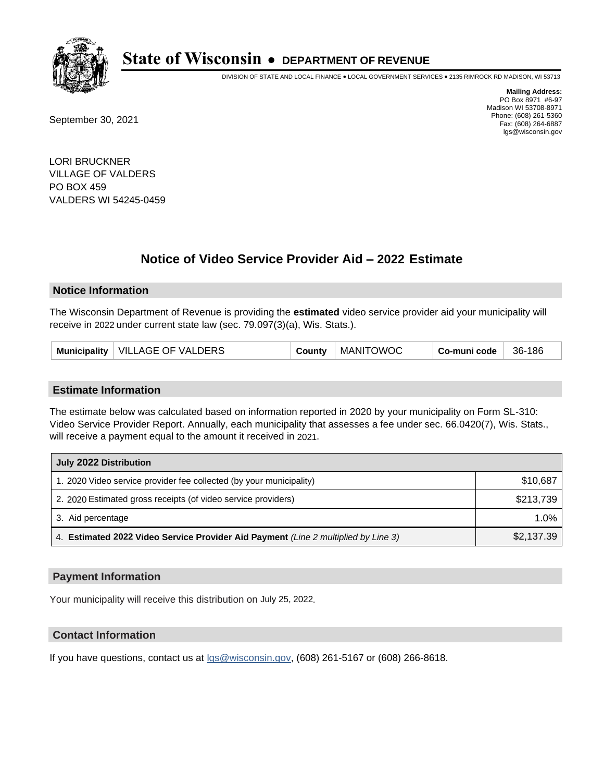

DIVISION OF STATE AND LOCAL FINANCE • LOCAL GOVERNMENT SERVICES • 2135 RIMROCK RD MADISON, WI 53713

September 30, 2021

**Mailing Address:** PO Box 8971 #6-97 Madison WI 53708-8971 Phone: (608) 261-5360 Fax: (608) 264-6887 lgs@wisconsin.gov

LORI BRUCKNER VILLAGE OF VALDERS PO BOX 459 VALDERS WI 54245-0459

## **Notice of Video Service Provider Aid - 2022 Estimate**

#### **Notice Information**

The Wisconsin Department of Revenue is providing the **estimated** video service provider aid your municipality will receive in 2022 under current state law (sec. 79.097(3)(a), Wis. Stats.).

| Municipality   VILLAGE OF VALDERS | County | <b>MANITOWOC</b> | Co-muni code | 36-186 |
|-----------------------------------|--------|------------------|--------------|--------|
|-----------------------------------|--------|------------------|--------------|--------|

#### **Estimate Information**

The estimate below was calculated based on information reported in 2020 by your municipality on Form SL-310: Video Service Provider Report. Annually, each municipality that assesses a fee under sec. 66.0420(7), Wis. Stats., will receive a payment equal to the amount it received in 2021.

| July 2022 Distribution                                                             |            |
|------------------------------------------------------------------------------------|------------|
| 1. 2020 Video service provider fee collected (by your municipality)                | \$10,687   |
| 2. 2020 Estimated gross receipts (of video service providers)                      | \$213,739  |
| 3. Aid percentage                                                                  | $1.0\%$    |
| 4. Estimated 2022 Video Service Provider Aid Payment (Line 2 multiplied by Line 3) | \$2,137.39 |

#### **Payment Information**

Your municipality will receive this distribution on July 25, 2022.

## **Contact Information**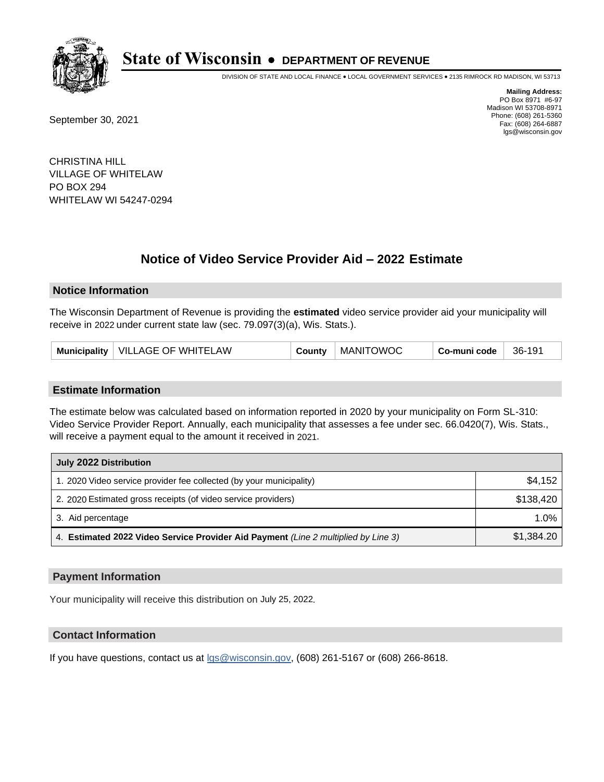

DIVISION OF STATE AND LOCAL FINANCE • LOCAL GOVERNMENT SERVICES • 2135 RIMROCK RD MADISON, WI 53713

September 30, 2021

**Mailing Address:** PO Box 8971 #6-97 Madison WI 53708-8971 Phone: (608) 261-5360 Fax: (608) 264-6887 lgs@wisconsin.gov

CHRISTINA HILL VILLAGE OF WHITELAW PO BOX 294 WHITELAW WI 54247-0294

## **Notice of Video Service Provider Aid - 2022 Estimate**

#### **Notice Information**

The Wisconsin Department of Revenue is providing the **estimated** video service provider aid your municipality will receive in 2022 under current state law (sec. 79.097(3)(a), Wis. Stats.).

| Municipality   VILLAGE OF WHITELAW | County | <b>MANITOWOC</b> | Co-muni code | 36-191 |
|------------------------------------|--------|------------------|--------------|--------|
|------------------------------------|--------|------------------|--------------|--------|

#### **Estimate Information**

The estimate below was calculated based on information reported in 2020 by your municipality on Form SL-310: Video Service Provider Report. Annually, each municipality that assesses a fee under sec. 66.0420(7), Wis. Stats., will receive a payment equal to the amount it received in 2021.

| July 2022 Distribution                                                             |            |
|------------------------------------------------------------------------------------|------------|
| 1. 2020 Video service provider fee collected (by your municipality)                | \$4,152    |
| 2. 2020 Estimated gross receipts (of video service providers)                      | \$138.420  |
| 3. Aid percentage                                                                  | $1.0\%$    |
| 4. Estimated 2022 Video Service Provider Aid Payment (Line 2 multiplied by Line 3) | \$1,384.20 |

#### **Payment Information**

Your municipality will receive this distribution on July 25, 2022.

## **Contact Information**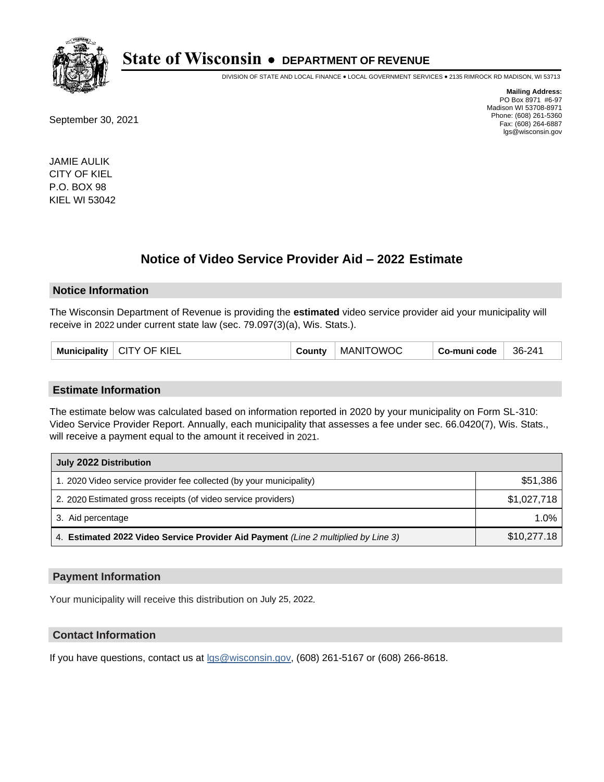

DIVISION OF STATE AND LOCAL FINANCE • LOCAL GOVERNMENT SERVICES • 2135 RIMROCK RD MADISON, WI 53713

September 30, 2021

**Mailing Address:** PO Box 8971 #6-97 Madison WI 53708-8971 Phone: (608) 261-5360 Fax: (608) 264-6887 lgs@wisconsin.gov

JAMIE AULIK CITY OF KIEL P.O. BOX 98 KIEL WI 53042

## **Notice of Video Service Provider Aid - 2022 Estimate**

#### **Notice Information**

The Wisconsin Department of Revenue is providing the **estimated** video service provider aid your municipality will receive in 2022 under current state law (sec. 79.097(3)(a), Wis. Stats.).

|  | <b>Municipality</b> | <sup>-</sup> KIEL<br>CITY OF | County | <b>MANITOWOC</b> | Co-muni code | 36-241 |
|--|---------------------|------------------------------|--------|------------------|--------------|--------|
|--|---------------------|------------------------------|--------|------------------|--------------|--------|

#### **Estimate Information**

The estimate below was calculated based on information reported in 2020 by your municipality on Form SL-310: Video Service Provider Report. Annually, each municipality that assesses a fee under sec. 66.0420(7), Wis. Stats., will receive a payment equal to the amount it received in 2021.

| July 2022 Distribution                                                             |             |  |  |
|------------------------------------------------------------------------------------|-------------|--|--|
| 1. 2020 Video service provider fee collected (by your municipality)                | \$51,386    |  |  |
| 2. 2020 Estimated gross receipts (of video service providers)                      | \$1,027,718 |  |  |
| 3. Aid percentage                                                                  | 1.0%        |  |  |
| 4. Estimated 2022 Video Service Provider Aid Payment (Line 2 multiplied by Line 3) | \$10,277.18 |  |  |

#### **Payment Information**

Your municipality will receive this distribution on July 25, 2022.

#### **Contact Information**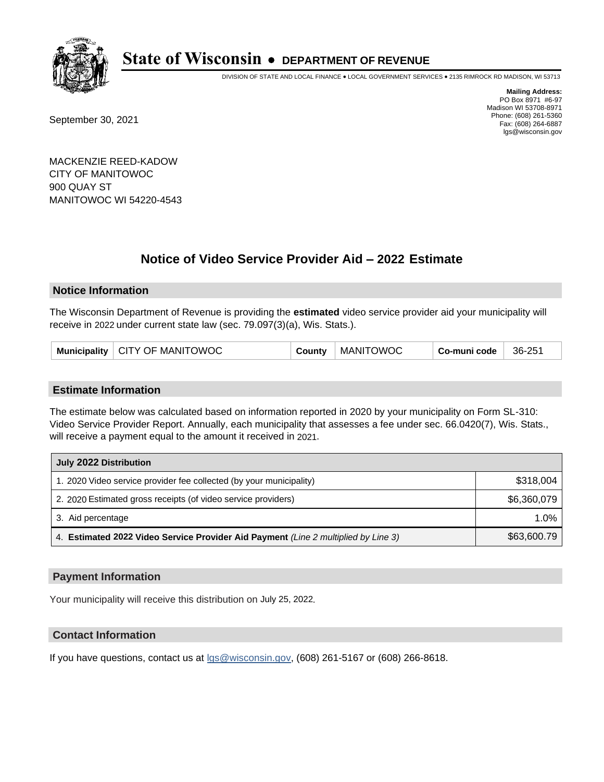

DIVISION OF STATE AND LOCAL FINANCE • LOCAL GOVERNMENT SERVICES • 2135 RIMROCK RD MADISON, WI 53713

September 30, 2021

**Mailing Address:** PO Box 8971 #6-97 Madison WI 53708-8971 Phone: (608) 261-5360 Fax: (608) 264-6887 lgs@wisconsin.gov

MACKENZIE REED-KADOW CITY OF MANITOWOC 900 QUAY ST MANITOWOC WI 54220-4543

# **Notice of Video Service Provider Aid - 2022 Estimate**

### **Notice Information**

The Wisconsin Department of Revenue is providing the **estimated** video service provider aid your municipality will receive in 2022 under current state law (sec. 79.097(3)(a), Wis. Stats.).

| Municipality   CITY OF MANITOWOC | County | <b>MANITOWOC</b> | Co-muni code | 36-251 |
|----------------------------------|--------|------------------|--------------|--------|
|----------------------------------|--------|------------------|--------------|--------|

#### **Estimate Information**

The estimate below was calculated based on information reported in 2020 by your municipality on Form SL-310: Video Service Provider Report. Annually, each municipality that assesses a fee under sec. 66.0420(7), Wis. Stats., will receive a payment equal to the amount it received in 2021.

| July 2022 Distribution                                                             |             |  |  |
|------------------------------------------------------------------------------------|-------------|--|--|
| 1. 2020 Video service provider fee collected (by your municipality)                | \$318,004   |  |  |
| 2. 2020 Estimated gross receipts (of video service providers)                      | \$6,360,079 |  |  |
| 3. Aid percentage                                                                  | $1.0\%$     |  |  |
| 4. Estimated 2022 Video Service Provider Aid Payment (Line 2 multiplied by Line 3) | \$63,600.79 |  |  |

#### **Payment Information**

Your municipality will receive this distribution on July 25, 2022.

## **Contact Information**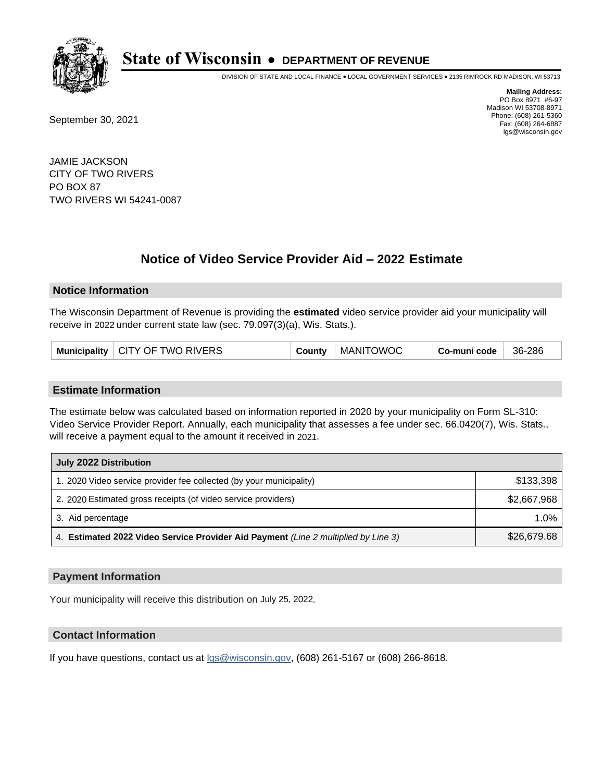

DIVISION OF STATE AND LOCAL FINANCE • LOCAL GOVERNMENT SERVICES • 2135 RIMROCK RD MADISON, WI 53713

September 30, 2021

**Mailing Address:** PO Box 8971 #6-97 Madison WI 53708-8971 Phone: (608) 261-5360 Fax: (608) 264-6887 lgs@wisconsin.gov

JAMIE JACKSON CITY OF TWO RIVERS PO BOX 87 TWO RIVERS WI 54241-0087

## **Notice of Video Service Provider Aid - 2022 Estimate**

#### **Notice Information**

The Wisconsin Department of Revenue is providing the **estimated** video service provider aid your municipality will receive in 2022 under current state law (sec. 79.097(3)(a), Wis. Stats.).

|  | Municipality   CITY OF TWO RIVERS | County | MANITOWOC | Co-muni code | 36-286 |
|--|-----------------------------------|--------|-----------|--------------|--------|
|--|-----------------------------------|--------|-----------|--------------|--------|

#### **Estimate Information**

The estimate below was calculated based on information reported in 2020 by your municipality on Form SL-310: Video Service Provider Report. Annually, each municipality that assesses a fee under sec. 66.0420(7), Wis. Stats., will receive a payment equal to the amount it received in 2021.

| July 2022 Distribution                                                             |             |  |  |
|------------------------------------------------------------------------------------|-------------|--|--|
| 1. 2020 Video service provider fee collected (by your municipality)                | \$133,398   |  |  |
| 2. 2020 Estimated gross receipts (of video service providers)                      | \$2,667,968 |  |  |
| 3. Aid percentage                                                                  | 1.0%        |  |  |
| 4. Estimated 2022 Video Service Provider Aid Payment (Line 2 multiplied by Line 3) | \$26,679.68 |  |  |

#### **Payment Information**

Your municipality will receive this distribution on July 25, 2022.

## **Contact Information**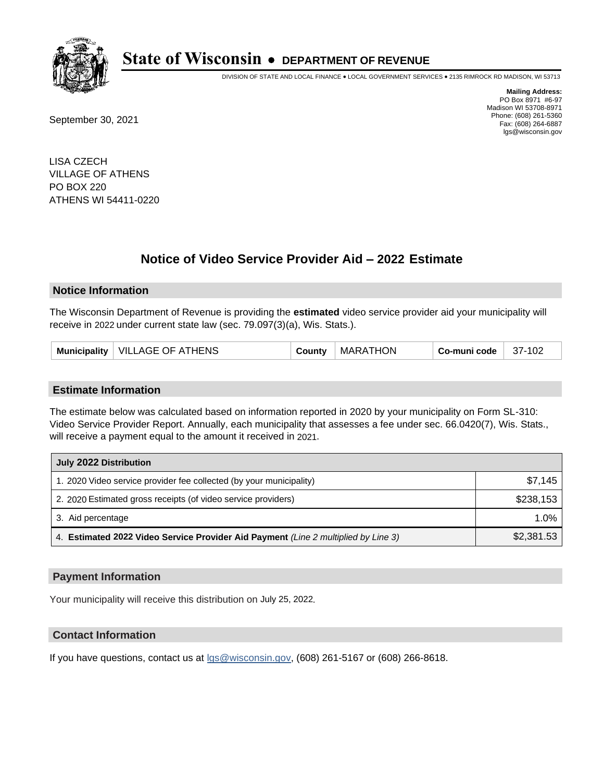

DIVISION OF STATE AND LOCAL FINANCE • LOCAL GOVERNMENT SERVICES • 2135 RIMROCK RD MADISON, WI 53713

September 30, 2021

**Mailing Address:** PO Box 8971 #6-97 Madison WI 53708-8971 Phone: (608) 261-5360 Fax: (608) 264-6887 lgs@wisconsin.gov

LISA CZECH VILLAGE OF ATHENS PO BOX 220 ATHENS WI 54411-0220

# **Notice of Video Service Provider Aid - 2022 Estimate**

#### **Notice Information**

The Wisconsin Department of Revenue is providing the **estimated** video service provider aid your municipality will receive in 2022 under current state law (sec. 79.097(3)(a), Wis. Stats.).

| Municipality   VILLAGE OF ATHENS | County | MARATHON | Co-muni code | 37-102 |
|----------------------------------|--------|----------|--------------|--------|
|----------------------------------|--------|----------|--------------|--------|

#### **Estimate Information**

The estimate below was calculated based on information reported in 2020 by your municipality on Form SL-310: Video Service Provider Report. Annually, each municipality that assesses a fee under sec. 66.0420(7), Wis. Stats., will receive a payment equal to the amount it received in 2021.

| July 2022 Distribution                                                             |            |  |  |
|------------------------------------------------------------------------------------|------------|--|--|
| 1. 2020 Video service provider fee collected (by your municipality)                | \$7.145    |  |  |
| 2. 2020 Estimated gross receipts (of video service providers)                      | \$238.153  |  |  |
| 3. Aid percentage                                                                  | 1.0%       |  |  |
| 4. Estimated 2022 Video Service Provider Aid Payment (Line 2 multiplied by Line 3) | \$2,381.53 |  |  |

#### **Payment Information**

Your municipality will receive this distribution on July 25, 2022.

## **Contact Information**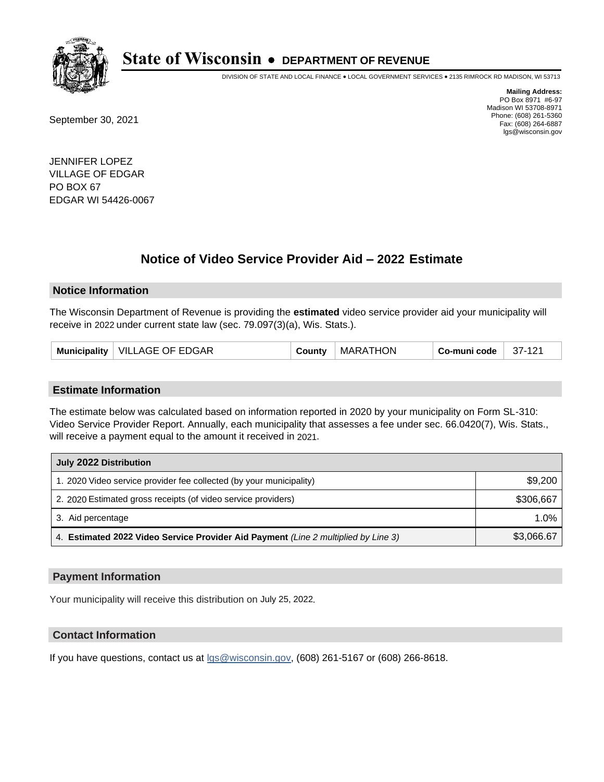

DIVISION OF STATE AND LOCAL FINANCE • LOCAL GOVERNMENT SERVICES • 2135 RIMROCK RD MADISON, WI 53713

September 30, 2021

**Mailing Address:** PO Box 8971 #6-97 Madison WI 53708-8971 Phone: (608) 261-5360 Fax: (608) 264-6887 lgs@wisconsin.gov

JENNIFER LOPEZ VILLAGE OF EDGAR PO BOX 67 EDGAR WI 54426-0067

## **Notice of Video Service Provider Aid - 2022 Estimate**

#### **Notice Information**

The Wisconsin Department of Revenue is providing the **estimated** video service provider aid your municipality will receive in 2022 under current state law (sec. 79.097(3)(a), Wis. Stats.).

| Municipality   VILLAGE OF EDGAR | County | <b>MARATHON</b> | Co-muni code | $37-121$ |
|---------------------------------|--------|-----------------|--------------|----------|
|---------------------------------|--------|-----------------|--------------|----------|

#### **Estimate Information**

The estimate below was calculated based on information reported in 2020 by your municipality on Form SL-310: Video Service Provider Report. Annually, each municipality that assesses a fee under sec. 66.0420(7), Wis. Stats., will receive a payment equal to the amount it received in 2021.

| July 2022 Distribution                                                             |            |  |  |
|------------------------------------------------------------------------------------|------------|--|--|
| 1. 2020 Video service provider fee collected (by your municipality)                | \$9,200    |  |  |
| 2. 2020 Estimated gross receipts (of video service providers)                      | \$306.667  |  |  |
| 3. Aid percentage                                                                  | 1.0%       |  |  |
| 4. Estimated 2022 Video Service Provider Aid Payment (Line 2 multiplied by Line 3) | \$3,066.67 |  |  |

#### **Payment Information**

Your municipality will receive this distribution on July 25, 2022.

## **Contact Information**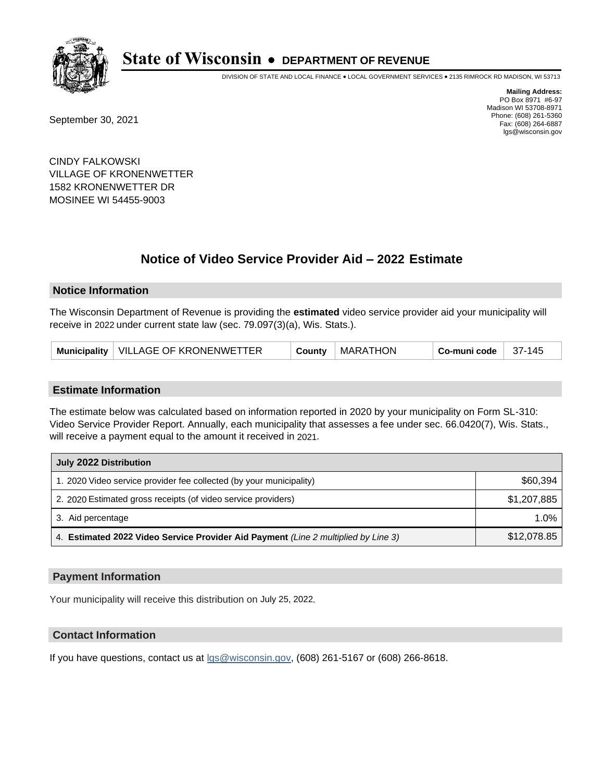

DIVISION OF STATE AND LOCAL FINANCE • LOCAL GOVERNMENT SERVICES • 2135 RIMROCK RD MADISON, WI 53713

September 30, 2021

**Mailing Address:** PO Box 8971 #6-97 Madison WI 53708-8971 Phone: (608) 261-5360 Fax: (608) 264-6887 lgs@wisconsin.gov

CINDY FALKOWSKI VILLAGE OF KRONENWETTER 1582 KRONENWETTER DR MOSINEE WI 54455-9003

## **Notice of Video Service Provider Aid - 2022 Estimate**

#### **Notice Information**

The Wisconsin Department of Revenue is providing the **estimated** video service provider aid your municipality will receive in 2022 under current state law (sec. 79.097(3)(a), Wis. Stats.).

| Municipality   VILLAGE OF KRONENWETTER<br><b>MARATHON</b><br>-37-145<br>Co-muni code<br>County |
|------------------------------------------------------------------------------------------------|
|------------------------------------------------------------------------------------------------|

#### **Estimate Information**

The estimate below was calculated based on information reported in 2020 by your municipality on Form SL-310: Video Service Provider Report. Annually, each municipality that assesses a fee under sec. 66.0420(7), Wis. Stats., will receive a payment equal to the amount it received in 2021.

| July 2022 Distribution                                                             |             |  |  |
|------------------------------------------------------------------------------------|-------------|--|--|
| 1. 2020 Video service provider fee collected (by your municipality)                | \$60,394    |  |  |
| 2. 2020 Estimated gross receipts (of video service providers)                      | \$1,207,885 |  |  |
| 3. Aid percentage                                                                  | $1.0\%$     |  |  |
| 4. Estimated 2022 Video Service Provider Aid Payment (Line 2 multiplied by Line 3) | \$12,078.85 |  |  |

#### **Payment Information**

Your municipality will receive this distribution on July 25, 2022.

## **Contact Information**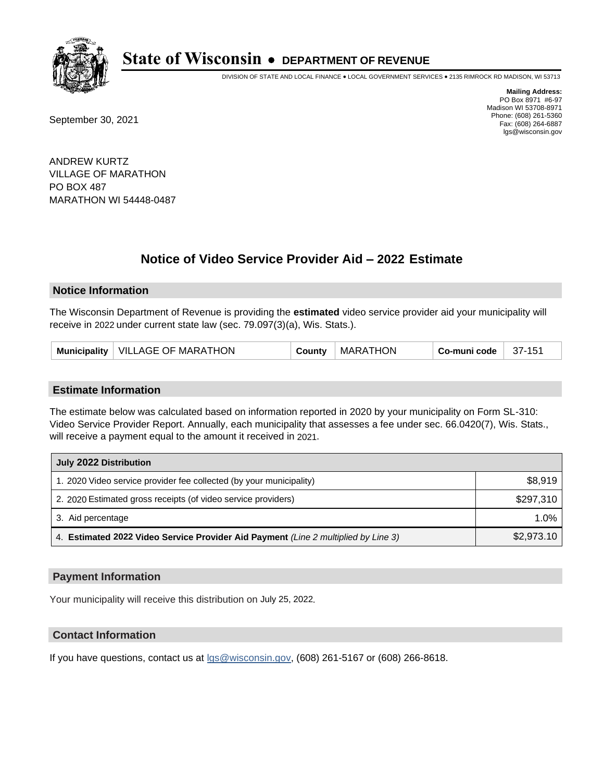

DIVISION OF STATE AND LOCAL FINANCE • LOCAL GOVERNMENT SERVICES • 2135 RIMROCK RD MADISON, WI 53713

September 30, 2021

**Mailing Address:** PO Box 8971 #6-97 Madison WI 53708-8971 Phone: (608) 261-5360 Fax: (608) 264-6887 lgs@wisconsin.gov

ANDREW KURTZ VILLAGE OF MARATHON PO BOX 487 MARATHON WI 54448-0487

# **Notice of Video Service Provider Aid - 2022 Estimate**

### **Notice Information**

The Wisconsin Department of Revenue is providing the **estimated** video service provider aid your municipality will receive in 2022 under current state law (sec. 79.097(3)(a), Wis. Stats.).

#### **Estimate Information**

The estimate below was calculated based on information reported in 2020 by your municipality on Form SL-310: Video Service Provider Report. Annually, each municipality that assesses a fee under sec. 66.0420(7), Wis. Stats., will receive a payment equal to the amount it received in 2021.

| July 2022 Distribution                                                             |            |  |  |
|------------------------------------------------------------------------------------|------------|--|--|
| 1. 2020 Video service provider fee collected (by your municipality)                | \$8,919    |  |  |
| 2. 2020 Estimated gross receipts (of video service providers)                      | \$297.310  |  |  |
| 3. Aid percentage                                                                  | $1.0\%$    |  |  |
| 4. Estimated 2022 Video Service Provider Aid Payment (Line 2 multiplied by Line 3) | \$2,973.10 |  |  |

#### **Payment Information**

Your municipality will receive this distribution on July 25, 2022.

## **Contact Information**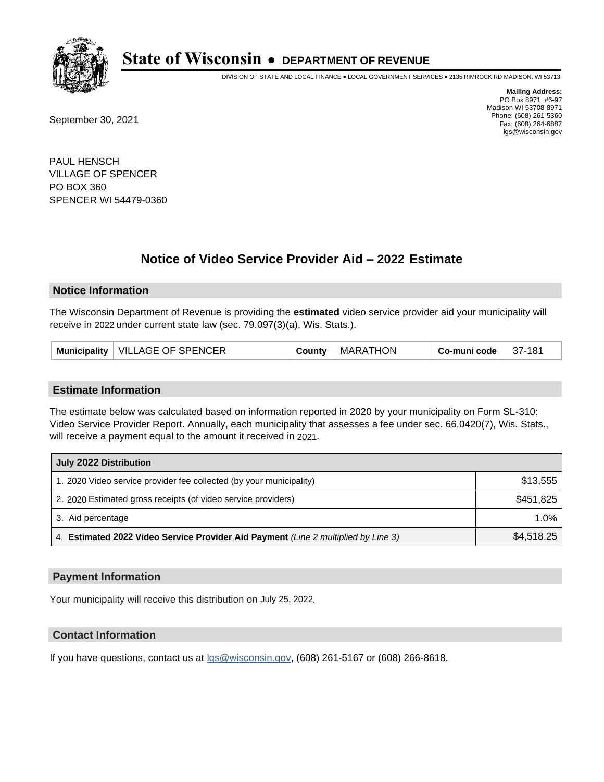

DIVISION OF STATE AND LOCAL FINANCE • LOCAL GOVERNMENT SERVICES • 2135 RIMROCK RD MADISON, WI 53713

September 30, 2021

**Mailing Address:** PO Box 8971 #6-97 Madison WI 53708-8971 Phone: (608) 261-5360 Fax: (608) 264-6887 lgs@wisconsin.gov

PAUL HENSCH VILLAGE OF SPENCER PO BOX 360 SPENCER WI 54479-0360

# **Notice of Video Service Provider Aid - 2022 Estimate**

#### **Notice Information**

The Wisconsin Department of Revenue is providing the **estimated** video service provider aid your municipality will receive in 2022 under current state law (sec. 79.097(3)(a), Wis. Stats.).

| Municipality   VILLAGE OF SPENCER | County | <b>MARATHON</b> | Co-muni code | 37-181 |
|-----------------------------------|--------|-----------------|--------------|--------|
|-----------------------------------|--------|-----------------|--------------|--------|

#### **Estimate Information**

The estimate below was calculated based on information reported in 2020 by your municipality on Form SL-310: Video Service Provider Report. Annually, each municipality that assesses a fee under sec. 66.0420(7), Wis. Stats., will receive a payment equal to the amount it received in 2021.

| July 2022 Distribution                                                             |            |  |  |
|------------------------------------------------------------------------------------|------------|--|--|
| 1. 2020 Video service provider fee collected (by your municipality)                | \$13,555   |  |  |
| 2. 2020 Estimated gross receipts (of video service providers)                      | \$451,825  |  |  |
| 3. Aid percentage                                                                  | $1.0\%$    |  |  |
| 4. Estimated 2022 Video Service Provider Aid Payment (Line 2 multiplied by Line 3) | \$4,518.25 |  |  |

#### **Payment Information**

Your municipality will receive this distribution on July 25, 2022.

## **Contact Information**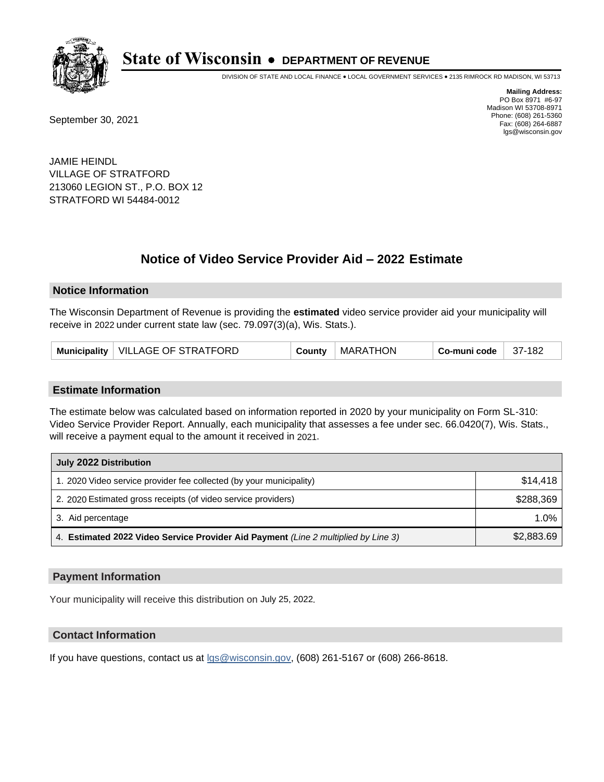

DIVISION OF STATE AND LOCAL FINANCE • LOCAL GOVERNMENT SERVICES • 2135 RIMROCK RD MADISON, WI 53713

September 30, 2021

**Mailing Address:** PO Box 8971 #6-97 Madison WI 53708-8971 Phone: (608) 261-5360 Fax: (608) 264-6887 lgs@wisconsin.gov

JAMIE HEINDL VILLAGE OF STRATFORD 213060 LEGION ST., P.O. BOX 12 STRATFORD WI 54484-0012

# **Notice of Video Service Provider Aid - 2022 Estimate**

#### **Notice Information**

The Wisconsin Department of Revenue is providing the **estimated** video service provider aid your municipality will receive in 2022 under current state law (sec. 79.097(3)(a), Wis. Stats.).

| Municipality   VILLAGE OF STRATFORD<br>  MARATHON<br>County | Co-muni code<br>$37-182$ |
|-------------------------------------------------------------|--------------------------|
|-------------------------------------------------------------|--------------------------|

#### **Estimate Information**

The estimate below was calculated based on information reported in 2020 by your municipality on Form SL-310: Video Service Provider Report. Annually, each municipality that assesses a fee under sec. 66.0420(7), Wis. Stats., will receive a payment equal to the amount it received in 2021.

| July 2022 Distribution                                                             |            |  |  |
|------------------------------------------------------------------------------------|------------|--|--|
| 1. 2020 Video service provider fee collected (by your municipality)                | \$14,418   |  |  |
| 2. 2020 Estimated gross receipts (of video service providers)                      | \$288.369  |  |  |
| 3. Aid percentage                                                                  | 1.0%       |  |  |
| 4. Estimated 2022 Video Service Provider Aid Payment (Line 2 multiplied by Line 3) | \$2,883.69 |  |  |

#### **Payment Information**

Your municipality will receive this distribution on July 25, 2022.

## **Contact Information**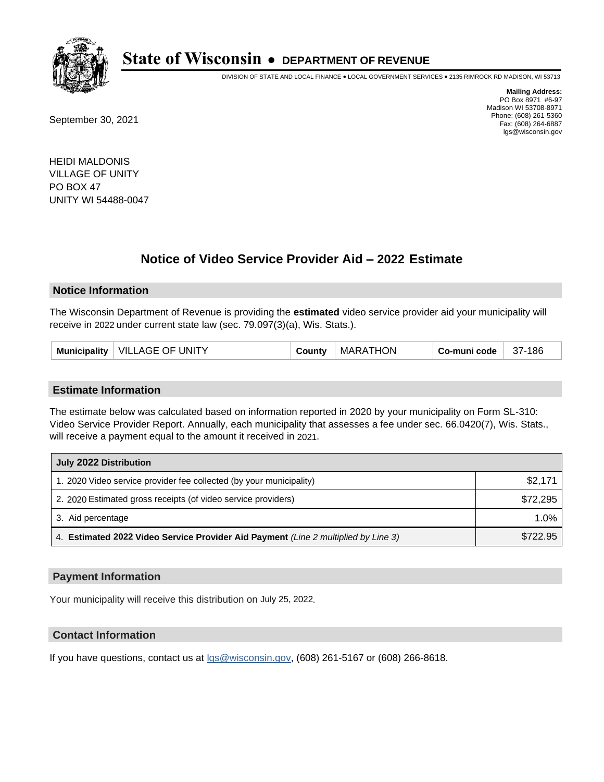

DIVISION OF STATE AND LOCAL FINANCE • LOCAL GOVERNMENT SERVICES • 2135 RIMROCK RD MADISON, WI 53713

September 30, 2021

**Mailing Address:** PO Box 8971 #6-97 Madison WI 53708-8971 Phone: (608) 261-5360 Fax: (608) 264-6887 lgs@wisconsin.gov

HEIDI MALDONIS VILLAGE OF UNITY PO BOX 47 UNITY WI 54488-0047

## **Notice of Video Service Provider Aid - 2022 Estimate**

#### **Notice Information**

The Wisconsin Department of Revenue is providing the **estimated** video service provider aid your municipality will receive in 2022 under current state law (sec. 79.097(3)(a), Wis. Stats.).

#### **Estimate Information**

The estimate below was calculated based on information reported in 2020 by your municipality on Form SL-310: Video Service Provider Report. Annually, each municipality that assesses a fee under sec. 66.0420(7), Wis. Stats., will receive a payment equal to the amount it received in 2021.

| July 2022 Distribution                                                             |          |  |  |
|------------------------------------------------------------------------------------|----------|--|--|
| 1. 2020 Video service provider fee collected (by your municipality)                | \$2,171  |  |  |
| 2. 2020 Estimated gross receipts (of video service providers)                      | \$72,295 |  |  |
| 3. Aid percentage                                                                  | 1.0%     |  |  |
| 4. Estimated 2022 Video Service Provider Aid Payment (Line 2 multiplied by Line 3) | \$722.95 |  |  |

#### **Payment Information**

Your municipality will receive this distribution on July 25, 2022.

## **Contact Information**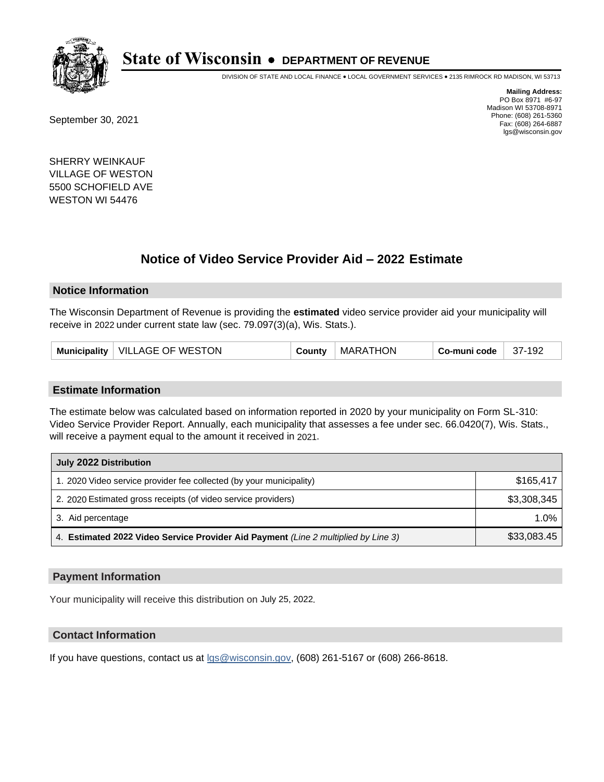

DIVISION OF STATE AND LOCAL FINANCE • LOCAL GOVERNMENT SERVICES • 2135 RIMROCK RD MADISON, WI 53713

September 30, 2021

**Mailing Address:** PO Box 8971 #6-97 Madison WI 53708-8971 Phone: (608) 261-5360 Fax: (608) 264-6887 lgs@wisconsin.gov

SHERRY WEINKAUF VILLAGE OF WESTON 5500 SCHOFIELD AVE WESTON WI 54476

## **Notice of Video Service Provider Aid - 2022 Estimate**

#### **Notice Information**

The Wisconsin Department of Revenue is providing the **estimated** video service provider aid your municipality will receive in 2022 under current state law (sec. 79.097(3)(a), Wis. Stats.).

| Municipality   VILLAGE OF WESTON | County | <b>MARATHON</b> | Co-muni code | 37-192 |
|----------------------------------|--------|-----------------|--------------|--------|
|----------------------------------|--------|-----------------|--------------|--------|

#### **Estimate Information**

The estimate below was calculated based on information reported in 2020 by your municipality on Form SL-310: Video Service Provider Report. Annually, each municipality that assesses a fee under sec. 66.0420(7), Wis. Stats., will receive a payment equal to the amount it received in 2021.

| July 2022 Distribution                                                             |             |  |  |
|------------------------------------------------------------------------------------|-------------|--|--|
| 1. 2020 Video service provider fee collected (by your municipality)                | \$165,417   |  |  |
| 2. 2020 Estimated gross receipts (of video service providers)                      | \$3,308,345 |  |  |
| 3. Aid percentage                                                                  | 1.0%        |  |  |
| 4. Estimated 2022 Video Service Provider Aid Payment (Line 2 multiplied by Line 3) | \$33,083.45 |  |  |

#### **Payment Information**

Your municipality will receive this distribution on July 25, 2022.

## **Contact Information**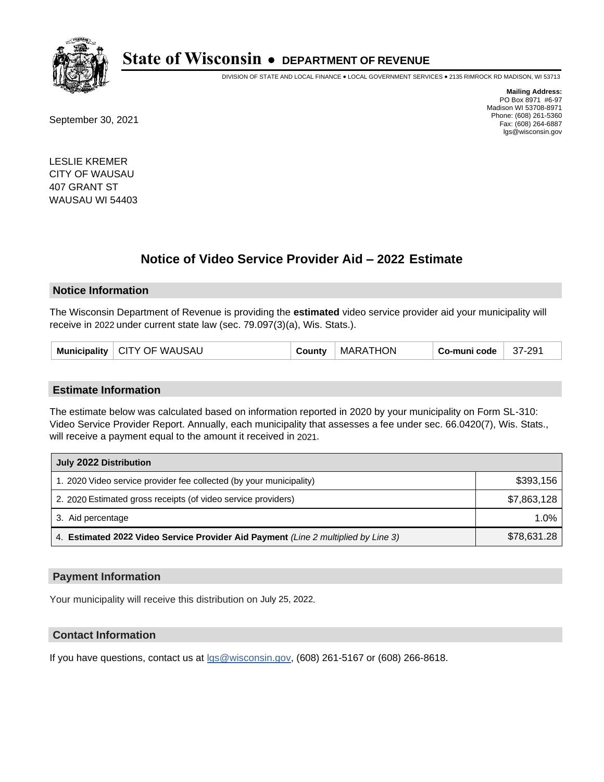

DIVISION OF STATE AND LOCAL FINANCE • LOCAL GOVERNMENT SERVICES • 2135 RIMROCK RD MADISON, WI 53713

September 30, 2021

**Mailing Address:** PO Box 8971 #6-97 Madison WI 53708-8971 Phone: (608) 261-5360 Fax: (608) 264-6887 lgs@wisconsin.gov

LESLIE KREMER CITY OF WAUSAU 407 GRANT ST WAUSAU WI 54403

## **Notice of Video Service Provider Aid - 2022 Estimate**

#### **Notice Information**

The Wisconsin Department of Revenue is providing the **estimated** video service provider aid your municipality will receive in 2022 under current state law (sec. 79.097(3)(a), Wis. Stats.).

| Municipality   CITY OF WAUSAU | County | <b>MARATHON</b> | Co-muni code | 37-291 |
|-------------------------------|--------|-----------------|--------------|--------|
|-------------------------------|--------|-----------------|--------------|--------|

#### **Estimate Information**

The estimate below was calculated based on information reported in 2020 by your municipality on Form SL-310: Video Service Provider Report. Annually, each municipality that assesses a fee under sec. 66.0420(7), Wis. Stats., will receive a payment equal to the amount it received in 2021.

| July 2022 Distribution                                                             |             |  |  |
|------------------------------------------------------------------------------------|-------------|--|--|
| 1. 2020 Video service provider fee collected (by your municipality)                | \$393,156   |  |  |
| 2. 2020 Estimated gross receipts (of video service providers)                      | \$7,863,128 |  |  |
| 3. Aid percentage                                                                  | $1.0\%$     |  |  |
| 4. Estimated 2022 Video Service Provider Aid Payment (Line 2 multiplied by Line 3) | \$78,631.28 |  |  |

#### **Payment Information**

Your municipality will receive this distribution on July 25, 2022.

## **Contact Information**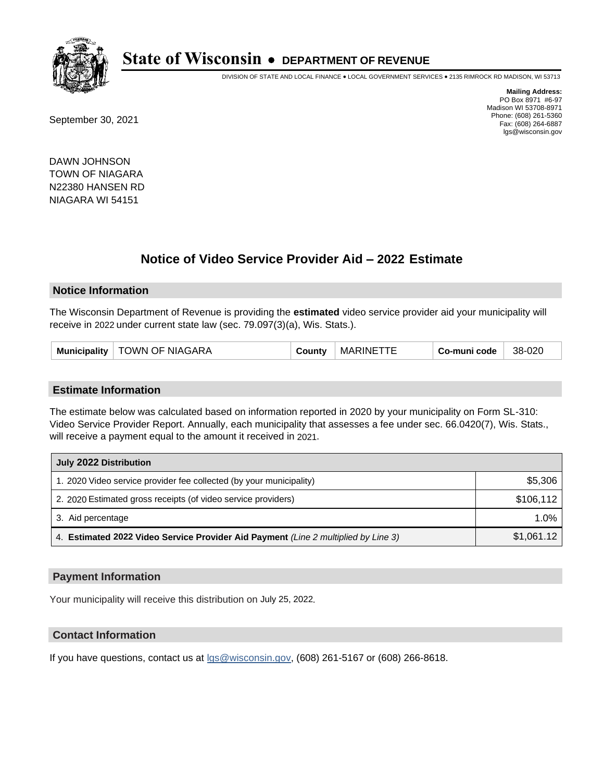

DIVISION OF STATE AND LOCAL FINANCE • LOCAL GOVERNMENT SERVICES • 2135 RIMROCK RD MADISON, WI 53713

September 30, 2021

**Mailing Address:** PO Box 8971 #6-97 Madison WI 53708-8971 Phone: (608) 261-5360 Fax: (608) 264-6887 lgs@wisconsin.gov

DAWN JOHNSON TOWN OF NIAGARA N22380 HANSEN RD NIAGARA WI 54151

# **Notice of Video Service Provider Aid - 2022 Estimate**

#### **Notice Information**

The Wisconsin Department of Revenue is providing the **estimated** video service provider aid your municipality will receive in 2022 under current state law (sec. 79.097(3)(a), Wis. Stats.).

| Municipality   TOWN OF NIAGARA | County | MARINETTE | Co-muni code | 38-020 |
|--------------------------------|--------|-----------|--------------|--------|
|--------------------------------|--------|-----------|--------------|--------|

#### **Estimate Information**

The estimate below was calculated based on information reported in 2020 by your municipality on Form SL-310: Video Service Provider Report. Annually, each municipality that assesses a fee under sec. 66.0420(7), Wis. Stats., will receive a payment equal to the amount it received in 2021.

| July 2022 Distribution                                                             |            |
|------------------------------------------------------------------------------------|------------|
| 1. 2020 Video service provider fee collected (by your municipality)                | \$5,306    |
| 2. 2020 Estimated gross receipts (of video service providers)                      | \$106,112  |
| 3. Aid percentage                                                                  | 1.0%       |
| 4. Estimated 2022 Video Service Provider Aid Payment (Line 2 multiplied by Line 3) | \$1,061.12 |

#### **Payment Information**

Your municipality will receive this distribution on July 25, 2022.

## **Contact Information**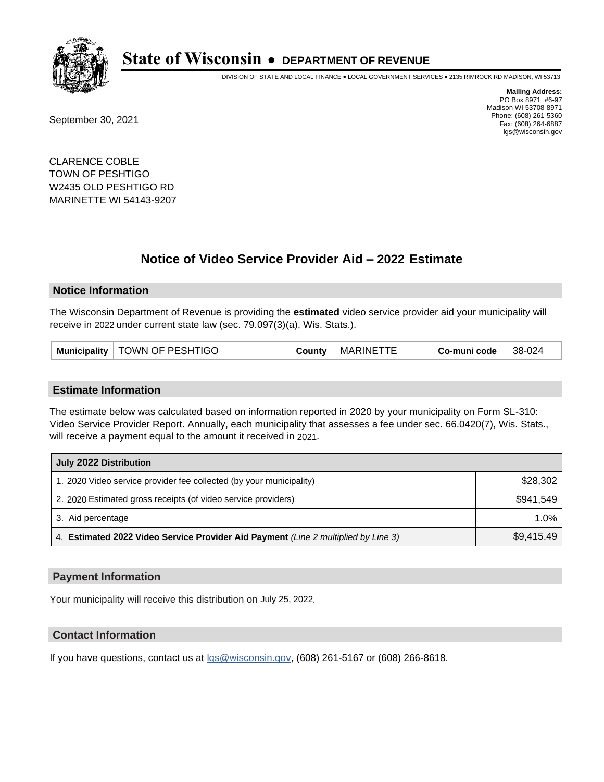

DIVISION OF STATE AND LOCAL FINANCE • LOCAL GOVERNMENT SERVICES • 2135 RIMROCK RD MADISON, WI 53713

September 30, 2021

**Mailing Address:** PO Box 8971 #6-97 Madison WI 53708-8971 Phone: (608) 261-5360 Fax: (608) 264-6887 lgs@wisconsin.gov

CLARENCE COBLE TOWN OF PESHTIGO W2435 OLD PESHTIGO RD MARINETTE WI 54143-9207

# **Notice of Video Service Provider Aid - 2022 Estimate**

#### **Notice Information**

The Wisconsin Department of Revenue is providing the **estimated** video service provider aid your municipality will receive in 2022 under current state law (sec. 79.097(3)(a), Wis. Stats.).

| <b>Municipality</b> | TOWN OF PESHTIGO | ∴ountv | MARINE <sup>-</sup><br>ГTЕ | Co-muni code | 38-024 |
|---------------------|------------------|--------|----------------------------|--------------|--------|
|---------------------|------------------|--------|----------------------------|--------------|--------|

#### **Estimate Information**

The estimate below was calculated based on information reported in 2020 by your municipality on Form SL-310: Video Service Provider Report. Annually, each municipality that assesses a fee under sec. 66.0420(7), Wis. Stats., will receive a payment equal to the amount it received in 2021.

| July 2022 Distribution                                                             |            |
|------------------------------------------------------------------------------------|------------|
| 1. 2020 Video service provider fee collected (by your municipality)                | \$28,302   |
| 2. 2020 Estimated gross receipts (of video service providers)                      | \$941.549  |
| 3. Aid percentage                                                                  | 1.0%       |
| 4. Estimated 2022 Video Service Provider Aid Payment (Line 2 multiplied by Line 3) | \$9,415.49 |

### **Payment Information**

Your municipality will receive this distribution on July 25, 2022.

### **Contact Information**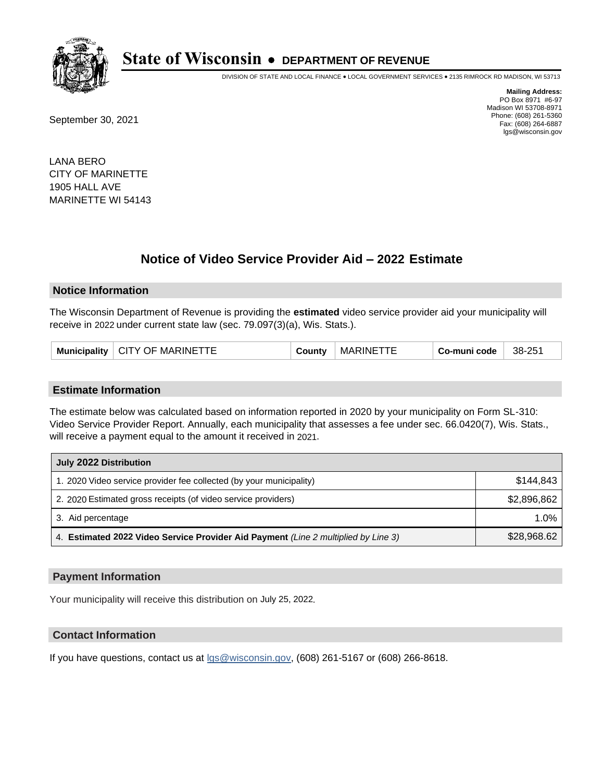

DIVISION OF STATE AND LOCAL FINANCE • LOCAL GOVERNMENT SERVICES • 2135 RIMROCK RD MADISON, WI 53713

September 30, 2021

**Mailing Address:** PO Box 8971 #6-97 Madison WI 53708-8971 Phone: (608) 261-5360 Fax: (608) 264-6887 lgs@wisconsin.gov

LANA BERO CITY OF MARINETTE 1905 HALL AVE MARINETTE WI 54143

# **Notice of Video Service Provider Aid - 2022 Estimate**

#### **Notice Information**

The Wisconsin Department of Revenue is providing the **estimated** video service provider aid your municipality will receive in 2022 under current state law (sec. 79.097(3)(a), Wis. Stats.).

| Municipality | CITY OF MARINETTE | ∶ountv | MARINE | o-muni code، ن | 38-251 |
|--------------|-------------------|--------|--------|----------------|--------|
|--------------|-------------------|--------|--------|----------------|--------|

#### **Estimate Information**

The estimate below was calculated based on information reported in 2020 by your municipality on Form SL-310: Video Service Provider Report. Annually, each municipality that assesses a fee under sec. 66.0420(7), Wis. Stats., will receive a payment equal to the amount it received in 2021.

| July 2022 Distribution                                                             |             |  |
|------------------------------------------------------------------------------------|-------------|--|
| 1. 2020 Video service provider fee collected (by your municipality)                | \$144.843   |  |
| 2. 2020 Estimated gross receipts (of video service providers)                      | \$2,896,862 |  |
| 3. Aid percentage                                                                  | $1.0\%$     |  |
| 4. Estimated 2022 Video Service Provider Aid Payment (Line 2 multiplied by Line 3) | \$28,968.62 |  |

#### **Payment Information**

Your municipality will receive this distribution on July 25, 2022.

## **Contact Information**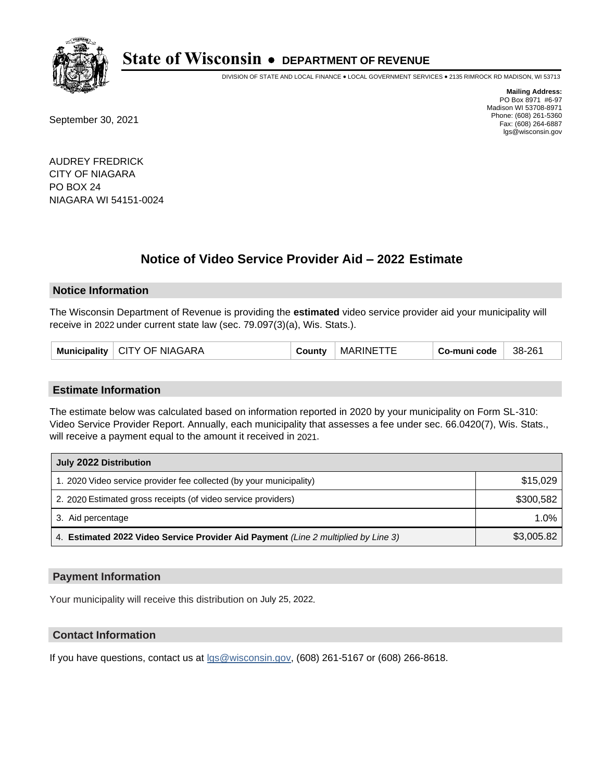

DIVISION OF STATE AND LOCAL FINANCE • LOCAL GOVERNMENT SERVICES • 2135 RIMROCK RD MADISON, WI 53713

September 30, 2021

**Mailing Address:** PO Box 8971 #6-97 Madison WI 53708-8971 Phone: (608) 261-5360 Fax: (608) 264-6887 lgs@wisconsin.gov

AUDREY FREDRICK CITY OF NIAGARA PO BOX 24 NIAGARA WI 54151-0024

# **Notice of Video Service Provider Aid - 2022 Estimate**

#### **Notice Information**

The Wisconsin Department of Revenue is providing the **estimated** video service provider aid your municipality will receive in 2022 under current state law (sec. 79.097(3)(a), Wis. Stats.).

| Municipality   CITY OF NIAGARA |  | County | MARINETTE | Co-muni code | 38-261 |
|--------------------------------|--|--------|-----------|--------------|--------|
|--------------------------------|--|--------|-----------|--------------|--------|

#### **Estimate Information**

The estimate below was calculated based on information reported in 2020 by your municipality on Form SL-310: Video Service Provider Report. Annually, each municipality that assesses a fee under sec. 66.0420(7), Wis. Stats., will receive a payment equal to the amount it received in 2021.

| July 2022 Distribution                                                             |            |  |  |
|------------------------------------------------------------------------------------|------------|--|--|
| 1. 2020 Video service provider fee collected (by your municipality)                | \$15,029   |  |  |
| 2. 2020 Estimated gross receipts (of video service providers)                      | \$300.582  |  |  |
| 3. Aid percentage                                                                  | $1.0\%$    |  |  |
| 4. Estimated 2022 Video Service Provider Aid Payment (Line 2 multiplied by Line 3) | \$3,005.82 |  |  |

#### **Payment Information**

Your municipality will receive this distribution on July 25, 2022.

## **Contact Information**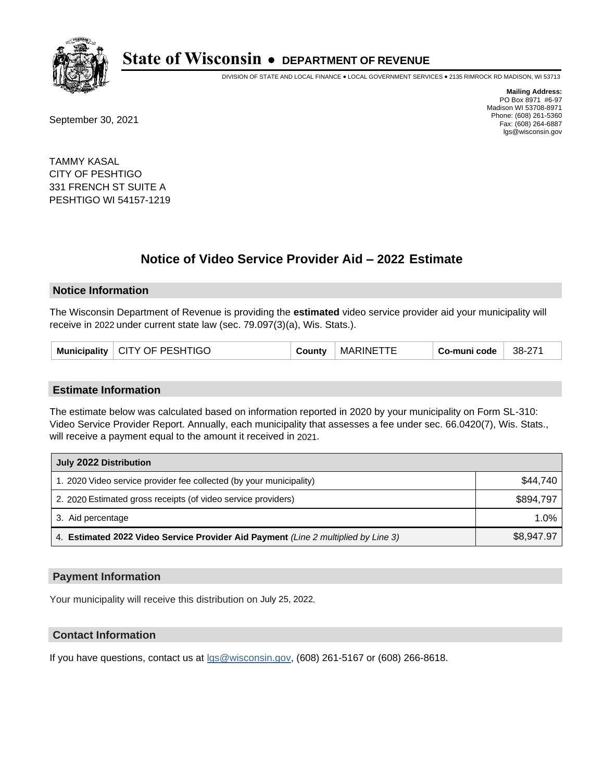

DIVISION OF STATE AND LOCAL FINANCE • LOCAL GOVERNMENT SERVICES • 2135 RIMROCK RD MADISON, WI 53713

September 30, 2021

**Mailing Address:** PO Box 8971 #6-97 Madison WI 53708-8971 Phone: (608) 261-5360 Fax: (608) 264-6887 lgs@wisconsin.gov

TAMMY KASAL CITY OF PESHTIGO 331 FRENCH ST SUITE A PESHTIGO WI 54157-1219

# **Notice of Video Service Provider Aid - 2022 Estimate**

#### **Notice Information**

The Wisconsin Department of Revenue is providing the **estimated** video service provider aid your municipality will receive in 2022 under current state law (sec. 79.097(3)(a), Wis. Stats.).

| Municipality   CITY OF PESHTIGO | County | MARINETTE | Co-muni code | 38-271 |
|---------------------------------|--------|-----------|--------------|--------|
|---------------------------------|--------|-----------|--------------|--------|

#### **Estimate Information**

The estimate below was calculated based on information reported in 2020 by your municipality on Form SL-310: Video Service Provider Report. Annually, each municipality that assesses a fee under sec. 66.0420(7), Wis. Stats., will receive a payment equal to the amount it received in 2021.

| July 2022 Distribution                                                             |            |  |  |
|------------------------------------------------------------------------------------|------------|--|--|
| 1. 2020 Video service provider fee collected (by your municipality)                | \$44.740   |  |  |
| 2. 2020 Estimated gross receipts (of video service providers)                      | \$894.797  |  |  |
| 3. Aid percentage                                                                  | 1.0%       |  |  |
| 4. Estimated 2022 Video Service Provider Aid Payment (Line 2 multiplied by Line 3) | \$8,947.97 |  |  |

#### **Payment Information**

Your municipality will receive this distribution on July 25, 2022.

## **Contact Information**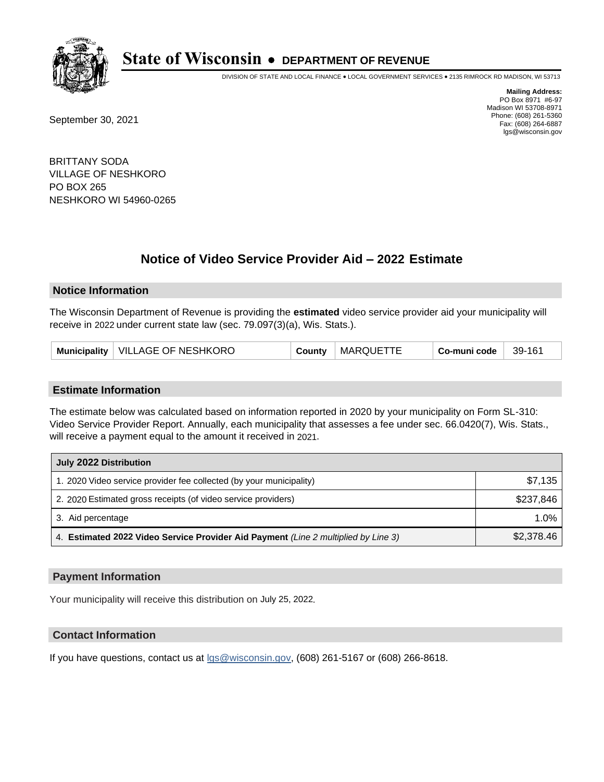

DIVISION OF STATE AND LOCAL FINANCE • LOCAL GOVERNMENT SERVICES • 2135 RIMROCK RD MADISON, WI 53713

September 30, 2021

**Mailing Address:** PO Box 8971 #6-97 Madison WI 53708-8971 Phone: (608) 261-5360 Fax: (608) 264-6887 lgs@wisconsin.gov

BRITTANY SODA VILLAGE OF NESHKORO PO BOX 265 NESHKORO WI 54960-0265

# **Notice of Video Service Provider Aid - 2022 Estimate**

#### **Notice Information**

The Wisconsin Department of Revenue is providing the **estimated** video service provider aid your municipality will receive in 2022 under current state law (sec. 79.097(3)(a), Wis. Stats.).

| VILLAGE OF NESHKORO<br><b>MARQUE</b><br>Municipality<br>39-161<br>Co-muni code<br>County |
|------------------------------------------------------------------------------------------|
|------------------------------------------------------------------------------------------|

#### **Estimate Information**

The estimate below was calculated based on information reported in 2020 by your municipality on Form SL-310: Video Service Provider Report. Annually, each municipality that assesses a fee under sec. 66.0420(7), Wis. Stats., will receive a payment equal to the amount it received in 2021.

| July 2022 Distribution                                                             |            |  |  |
|------------------------------------------------------------------------------------|------------|--|--|
| 1. 2020 Video service provider fee collected (by your municipality)                | \$7,135    |  |  |
| 2. 2020 Estimated gross receipts (of video service providers)                      | \$237.846  |  |  |
| 3. Aid percentage                                                                  | $1.0\%$    |  |  |
| 4. Estimated 2022 Video Service Provider Aid Payment (Line 2 multiplied by Line 3) | \$2,378.46 |  |  |

#### **Payment Information**

Your municipality will receive this distribution on July 25, 2022.

## **Contact Information**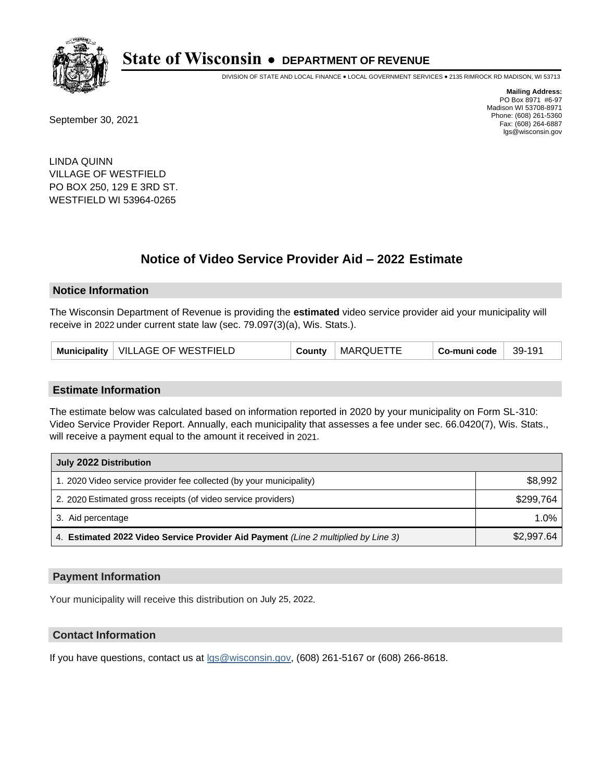

DIVISION OF STATE AND LOCAL FINANCE • LOCAL GOVERNMENT SERVICES • 2135 RIMROCK RD MADISON, WI 53713

September 30, 2021

**Mailing Address:** PO Box 8971 #6-97 Madison WI 53708-8971 Phone: (608) 261-5360 Fax: (608) 264-6887 lgs@wisconsin.gov

LINDA QUINN VILLAGE OF WESTFIELD PO BOX 250, 129 E 3RD ST. WESTFIELD WI 53964-0265

# **Notice of Video Service Provider Aid - 2022 Estimate**

#### **Notice Information**

The Wisconsin Department of Revenue is providing the **estimated** video service provider aid your municipality will receive in 2022 under current state law (sec. 79.097(3)(a), Wis. Stats.).

| Municipality   VILLAGE OF WESTFIELD | County | <b>MARQUETTE</b> | Co-muni code | 39-191 |
|-------------------------------------|--------|------------------|--------------|--------|
|-------------------------------------|--------|------------------|--------------|--------|

#### **Estimate Information**

The estimate below was calculated based on information reported in 2020 by your municipality on Form SL-310: Video Service Provider Report. Annually, each municipality that assesses a fee under sec. 66.0420(7), Wis. Stats., will receive a payment equal to the amount it received in 2021.

| July 2022 Distribution                                                             |            |  |  |
|------------------------------------------------------------------------------------|------------|--|--|
| 1. 2020 Video service provider fee collected (by your municipality)                | \$8,992    |  |  |
| 2. 2020 Estimated gross receipts (of video service providers)                      | \$299.764  |  |  |
| 3. Aid percentage                                                                  | $1.0\%$    |  |  |
| 4. Estimated 2022 Video Service Provider Aid Payment (Line 2 multiplied by Line 3) | \$2,997.64 |  |  |

#### **Payment Information**

Your municipality will receive this distribution on July 25, 2022.

## **Contact Information**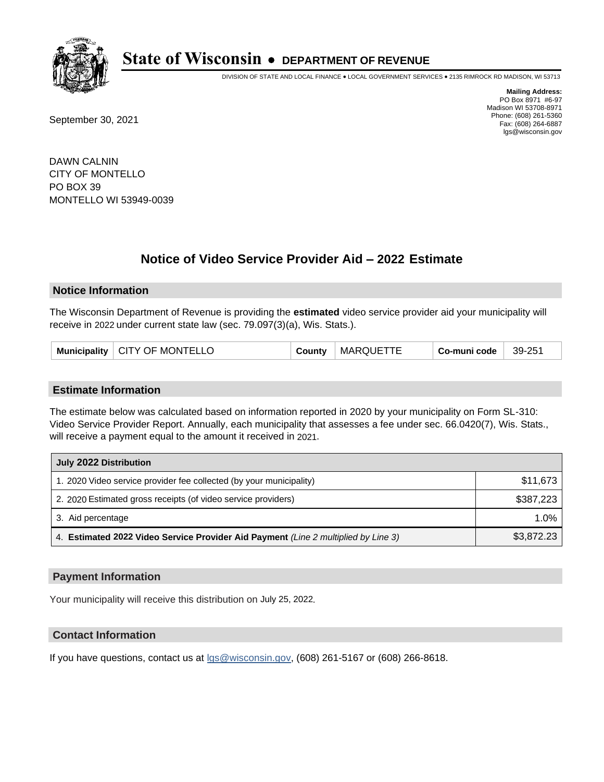

DIVISION OF STATE AND LOCAL FINANCE • LOCAL GOVERNMENT SERVICES • 2135 RIMROCK RD MADISON, WI 53713

September 30, 2021

**Mailing Address:** PO Box 8971 #6-97 Madison WI 53708-8971 Phone: (608) 261-5360 Fax: (608) 264-6887 lgs@wisconsin.gov

DAWN CALNIN CITY OF MONTELLO PO BOX 39 MONTELLO WI 53949-0039

# **Notice of Video Service Provider Aid - 2022 Estimate**

### **Notice Information**

The Wisconsin Department of Revenue is providing the **estimated** video service provider aid your municipality will receive in 2022 under current state law (sec. 79.097(3)(a), Wis. Stats.).

| Municipality   CITY OF MONTELLO | County | <b>MARQUETTE</b> | Co-muni code | 39-251 |
|---------------------------------|--------|------------------|--------------|--------|
|---------------------------------|--------|------------------|--------------|--------|

#### **Estimate Information**

The estimate below was calculated based on information reported in 2020 by your municipality on Form SL-310: Video Service Provider Report. Annually, each municipality that assesses a fee under sec. 66.0420(7), Wis. Stats., will receive a payment equal to the amount it received in 2021.

| July 2022 Distribution                                                             |            |
|------------------------------------------------------------------------------------|------------|
| 1. 2020 Video service provider fee collected (by your municipality)                | \$11,673   |
| 2. 2020 Estimated gross receipts (of video service providers)                      | \$387,223  |
| 3. Aid percentage                                                                  | 1.0%       |
| 4. Estimated 2022 Video Service Provider Aid Payment (Line 2 multiplied by Line 3) | \$3,872.23 |

#### **Payment Information**

Your municipality will receive this distribution on July 25, 2022.

## **Contact Information**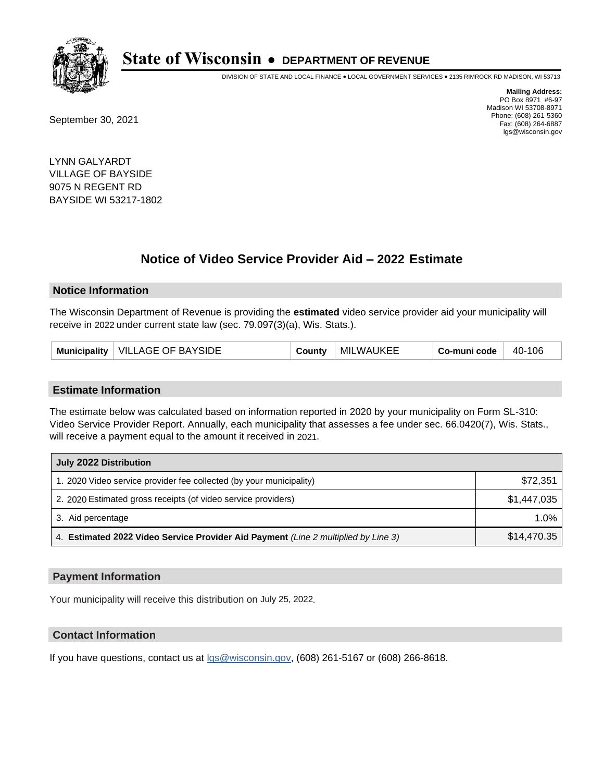

DIVISION OF STATE AND LOCAL FINANCE • LOCAL GOVERNMENT SERVICES • 2135 RIMROCK RD MADISON, WI 53713

September 30, 2021

**Mailing Address:** PO Box 8971 #6-97 Madison WI 53708-8971 Phone: (608) 261-5360 Fax: (608) 264-6887 lgs@wisconsin.gov

LYNN GALYARDT VILLAGE OF BAYSIDE 9075 N REGENT RD BAYSIDE WI 53217-1802

# **Notice of Video Service Provider Aid - 2022 Estimate**

#### **Notice Information**

The Wisconsin Department of Revenue is providing the **estimated** video service provider aid your municipality will receive in 2022 under current state law (sec. 79.097(3)(a), Wis. Stats.).

| Municipality   VILLAGE OF BAYSIDE | County | MILWAUKEE | Co-muni code | $40-106$ |
|-----------------------------------|--------|-----------|--------------|----------|
|-----------------------------------|--------|-----------|--------------|----------|

#### **Estimate Information**

The estimate below was calculated based on information reported in 2020 by your municipality on Form SL-310: Video Service Provider Report. Annually, each municipality that assesses a fee under sec. 66.0420(7), Wis. Stats., will receive a payment equal to the amount it received in 2021.

| July 2022 Distribution                                                             |             |
|------------------------------------------------------------------------------------|-------------|
| 1. 2020 Video service provider fee collected (by your municipality)                | \$72.351    |
| 2. 2020 Estimated gross receipts (of video service providers)                      | \$1,447,035 |
| 3. Aid percentage                                                                  | $1.0\%$     |
| 4. Estimated 2022 Video Service Provider Aid Payment (Line 2 multiplied by Line 3) | \$14,470.35 |

#### **Payment Information**

Your municipality will receive this distribution on July 25, 2022.

## **Contact Information**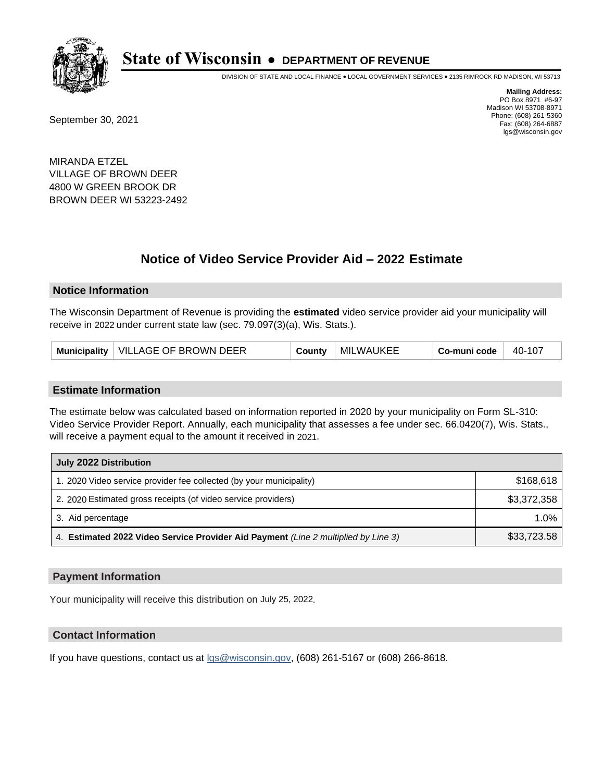

DIVISION OF STATE AND LOCAL FINANCE • LOCAL GOVERNMENT SERVICES • 2135 RIMROCK RD MADISON, WI 53713

September 30, 2021

**Mailing Address:** PO Box 8971 #6-97 Madison WI 53708-8971 Phone: (608) 261-5360 Fax: (608) 264-6887 lgs@wisconsin.gov

MIRANDA ETZEL VILLAGE OF BROWN DEER 4800 W GREEN BROOK DR BROWN DEER WI 53223-2492

# **Notice of Video Service Provider Aid - 2022 Estimate**

#### **Notice Information**

The Wisconsin Department of Revenue is providing the **estimated** video service provider aid your municipality will receive in 2022 under current state law (sec. 79.097(3)(a), Wis. Stats.).

| Municipality   VILLAGE OF BROWN DEER | County | MILWAUKEE | Co-muni code | $-40-107$ |
|--------------------------------------|--------|-----------|--------------|-----------|
|--------------------------------------|--------|-----------|--------------|-----------|

#### **Estimate Information**

The estimate below was calculated based on information reported in 2020 by your municipality on Form SL-310: Video Service Provider Report. Annually, each municipality that assesses a fee under sec. 66.0420(7), Wis. Stats., will receive a payment equal to the amount it received in 2021.

| July 2022 Distribution                                                             |             |  |  |
|------------------------------------------------------------------------------------|-------------|--|--|
| 1. 2020 Video service provider fee collected (by your municipality)                | \$168,618   |  |  |
| 2. 2020 Estimated gross receipts (of video service providers)                      | \$3,372,358 |  |  |
| 3. Aid percentage                                                                  | $1.0\%$     |  |  |
| 4. Estimated 2022 Video Service Provider Aid Payment (Line 2 multiplied by Line 3) | \$33,723.58 |  |  |

#### **Payment Information**

Your municipality will receive this distribution on July 25, 2022.

## **Contact Information**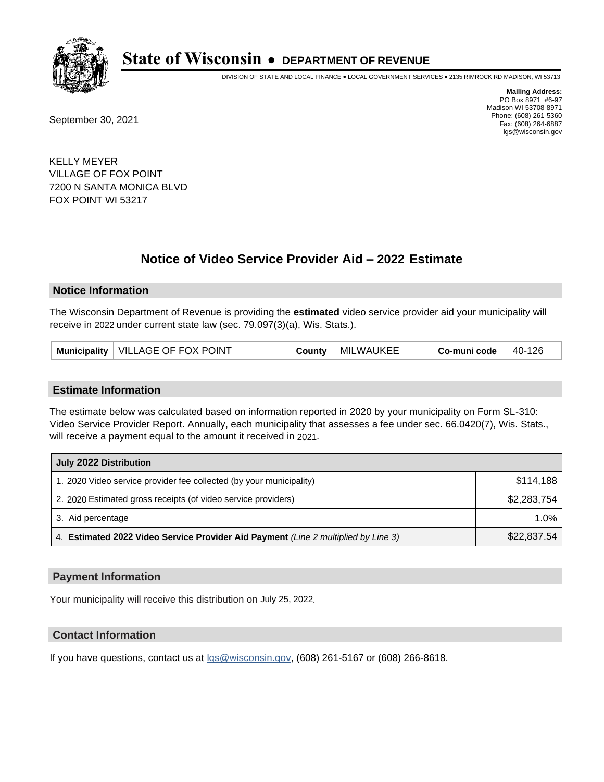

DIVISION OF STATE AND LOCAL FINANCE • LOCAL GOVERNMENT SERVICES • 2135 RIMROCK RD MADISON, WI 53713

September 30, 2021

**Mailing Address:** PO Box 8971 #6-97 Madison WI 53708-8971 Phone: (608) 261-5360 Fax: (608) 264-6887 lgs@wisconsin.gov

KELLY MEYER VILLAGE OF FOX POINT 7200 N SANTA MONICA BLVD FOX POINT WI 53217

# **Notice of Video Service Provider Aid - 2022 Estimate**

#### **Notice Information**

The Wisconsin Department of Revenue is providing the **estimated** video service provider aid your municipality will receive in 2022 under current state law (sec. 79.097(3)(a), Wis. Stats.).

| Municipality   VILLAGE OF FOX POINT | County | MILWAUKEE | Co-muni code | 40-126 |
|-------------------------------------|--------|-----------|--------------|--------|
|-------------------------------------|--------|-----------|--------------|--------|

#### **Estimate Information**

The estimate below was calculated based on information reported in 2020 by your municipality on Form SL-310: Video Service Provider Report. Annually, each municipality that assesses a fee under sec. 66.0420(7), Wis. Stats., will receive a payment equal to the amount it received in 2021.

| July 2022 Distribution                                                             |             |  |  |
|------------------------------------------------------------------------------------|-------------|--|--|
| 1. 2020 Video service provider fee collected (by your municipality)                | \$114,188   |  |  |
| 2. 2020 Estimated gross receipts (of video service providers)                      | \$2,283,754 |  |  |
| 3. Aid percentage                                                                  | $1.0\%$     |  |  |
| 4. Estimated 2022 Video Service Provider Aid Payment (Line 2 multiplied by Line 3) | \$22,837.54 |  |  |

#### **Payment Information**

Your municipality will receive this distribution on July 25, 2022.

## **Contact Information**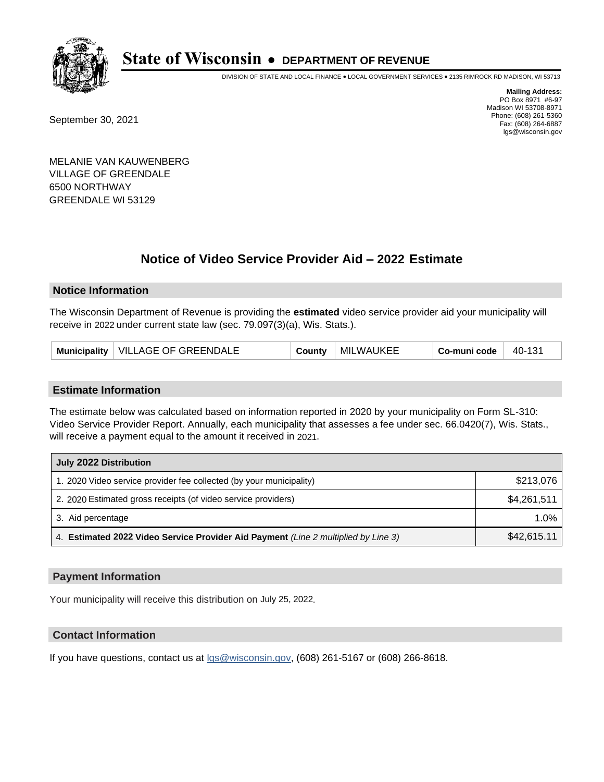

DIVISION OF STATE AND LOCAL FINANCE • LOCAL GOVERNMENT SERVICES • 2135 RIMROCK RD MADISON, WI 53713

September 30, 2021

**Mailing Address:** PO Box 8971 #6-97 Madison WI 53708-8971 Phone: (608) 261-5360 Fax: (608) 264-6887 lgs@wisconsin.gov

MELANIE VAN KAUWENBERG VILLAGE OF GREENDALE 6500 NORTHWAY GREENDALE WI 53129

# **Notice of Video Service Provider Aid - 2022 Estimate**

### **Notice Information**

The Wisconsin Department of Revenue is providing the **estimated** video service provider aid your municipality will receive in 2022 under current state law (sec. 79.097(3)(a), Wis. Stats.).

#### **Estimate Information**

The estimate below was calculated based on information reported in 2020 by your municipality on Form SL-310: Video Service Provider Report. Annually, each municipality that assesses a fee under sec. 66.0420(7), Wis. Stats., will receive a payment equal to the amount it received in 2021.

| July 2022 Distribution                                                             |             |
|------------------------------------------------------------------------------------|-------------|
| 1. 2020 Video service provider fee collected (by your municipality)                | \$213,076   |
| 2. 2020 Estimated gross receipts (of video service providers)                      | \$4,261,511 |
| 3. Aid percentage                                                                  | $1.0\%$     |
| 4. Estimated 2022 Video Service Provider Aid Payment (Line 2 multiplied by Line 3) | \$42,615.11 |

#### **Payment Information**

Your municipality will receive this distribution on July 25, 2022.

## **Contact Information**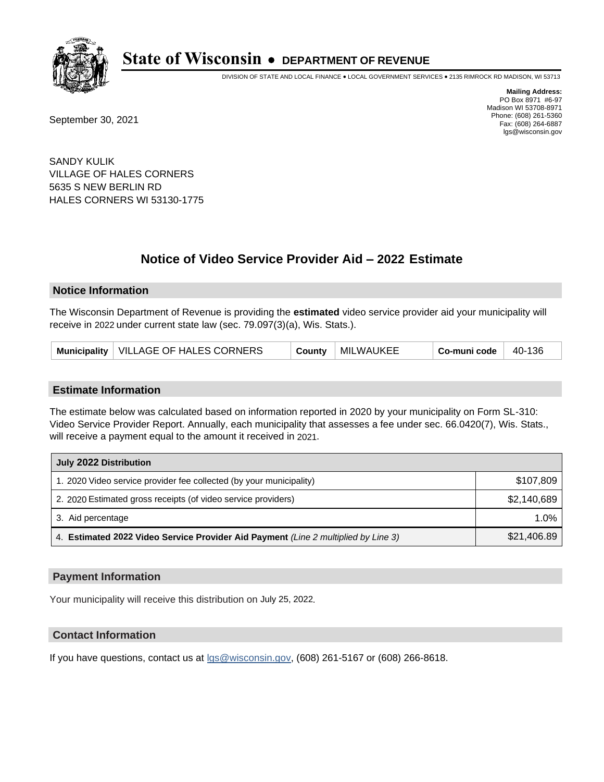

DIVISION OF STATE AND LOCAL FINANCE • LOCAL GOVERNMENT SERVICES • 2135 RIMROCK RD MADISON, WI 53713

September 30, 2021

**Mailing Address:** PO Box 8971 #6-97 Madison WI 53708-8971 Phone: (608) 261-5360 Fax: (608) 264-6887 lgs@wisconsin.gov

SANDY KULIK VILLAGE OF HALES CORNERS 5635 S NEW BERLIN RD HALES CORNERS WI 53130-1775

# **Notice of Video Service Provider Aid - 2022 Estimate**

#### **Notice Information**

The Wisconsin Department of Revenue is providing the **estimated** video service provider aid your municipality will receive in 2022 under current state law (sec. 79.097(3)(a), Wis. Stats.).

| Municipality   VILLAGE OF HALES CORNERS | County | MILWAUKEE | Co-muni code | 40-136 |
|-----------------------------------------|--------|-----------|--------------|--------|
|-----------------------------------------|--------|-----------|--------------|--------|

#### **Estimate Information**

The estimate below was calculated based on information reported in 2020 by your municipality on Form SL-310: Video Service Provider Report. Annually, each municipality that assesses a fee under sec. 66.0420(7), Wis. Stats., will receive a payment equal to the amount it received in 2021.

| July 2022 Distribution                                                             |             |  |  |
|------------------------------------------------------------------------------------|-------------|--|--|
| 1. 2020 Video service provider fee collected (by your municipality)                | \$107,809   |  |  |
| 2. 2020 Estimated gross receipts (of video service providers)                      | \$2,140,689 |  |  |
| 3. Aid percentage                                                                  | $1.0\%$     |  |  |
| 4. Estimated 2022 Video Service Provider Aid Payment (Line 2 multiplied by Line 3) | \$21,406.89 |  |  |

#### **Payment Information**

Your municipality will receive this distribution on July 25, 2022.

## **Contact Information**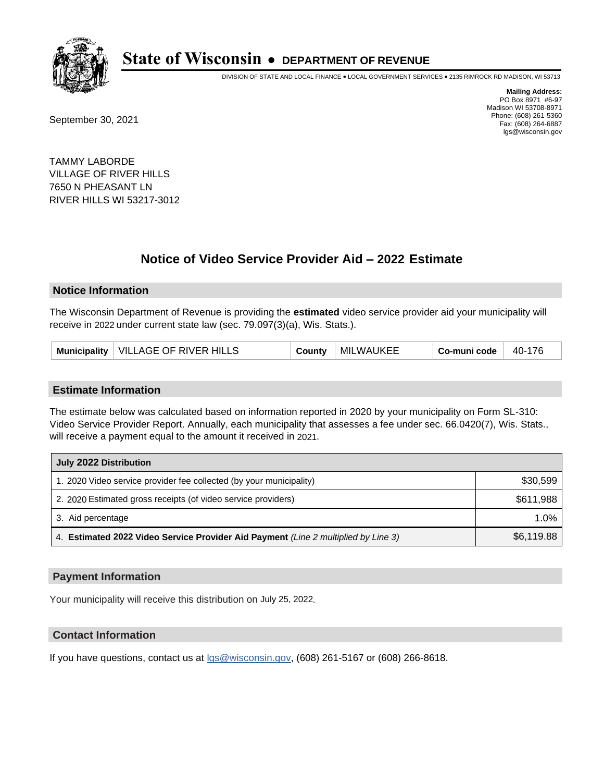

DIVISION OF STATE AND LOCAL FINANCE • LOCAL GOVERNMENT SERVICES • 2135 RIMROCK RD MADISON, WI 53713

September 30, 2021

**Mailing Address:** PO Box 8971 #6-97 Madison WI 53708-8971 Phone: (608) 261-5360 Fax: (608) 264-6887 lgs@wisconsin.gov

TAMMY LABORDE VILLAGE OF RIVER HILLS 7650 N PHEASANT LN RIVER HILLS WI 53217-3012

# **Notice of Video Service Provider Aid - 2022 Estimate**

#### **Notice Information**

The Wisconsin Department of Revenue is providing the **estimated** video service provider aid your municipality will receive in 2022 under current state law (sec. 79.097(3)(a), Wis. Stats.).

#### **Estimate Information**

The estimate below was calculated based on information reported in 2020 by your municipality on Form SL-310: Video Service Provider Report. Annually, each municipality that assesses a fee under sec. 66.0420(7), Wis. Stats., will receive a payment equal to the amount it received in 2021.

| July 2022 Distribution                                                             |            |  |  |
|------------------------------------------------------------------------------------|------------|--|--|
| 1. 2020 Video service provider fee collected (by your municipality)                | \$30,599   |  |  |
| 2. 2020 Estimated gross receipts (of video service providers)                      | \$611,988  |  |  |
| 3. Aid percentage                                                                  | $1.0\%$    |  |  |
| 4. Estimated 2022 Video Service Provider Aid Payment (Line 2 multiplied by Line 3) | \$6,119.88 |  |  |

#### **Payment Information**

Your municipality will receive this distribution on July 25, 2022.

## **Contact Information**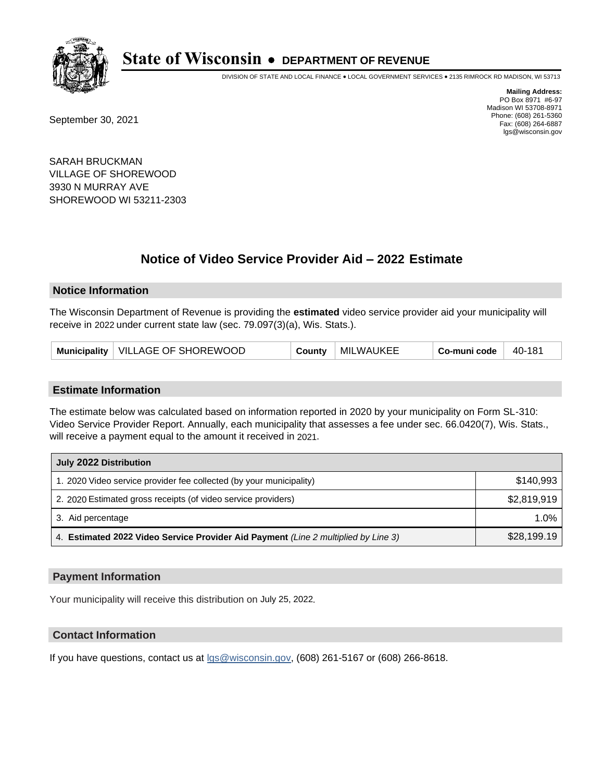

DIVISION OF STATE AND LOCAL FINANCE • LOCAL GOVERNMENT SERVICES • 2135 RIMROCK RD MADISON, WI 53713

September 30, 2021

**Mailing Address:** PO Box 8971 #6-97 Madison WI 53708-8971 Phone: (608) 261-5360 Fax: (608) 264-6887 lgs@wisconsin.gov

SARAH BRUCKMAN VILLAGE OF SHOREWOOD 3930 N MURRAY AVE SHOREWOOD WI 53211-2303

# **Notice of Video Service Provider Aid - 2022 Estimate**

#### **Notice Information**

The Wisconsin Department of Revenue is providing the **estimated** video service provider aid your municipality will receive in 2022 under current state law (sec. 79.097(3)(a), Wis. Stats.).

| Municipality   VILLAGE OF SHOREWOOD | County | MILWAUKEE | Co-muni code | $ 40-181$ |
|-------------------------------------|--------|-----------|--------------|-----------|
|-------------------------------------|--------|-----------|--------------|-----------|

#### **Estimate Information**

The estimate below was calculated based on information reported in 2020 by your municipality on Form SL-310: Video Service Provider Report. Annually, each municipality that assesses a fee under sec. 66.0420(7), Wis. Stats., will receive a payment equal to the amount it received in 2021.

| July 2022 Distribution                                                             |             |  |  |
|------------------------------------------------------------------------------------|-------------|--|--|
| 1. 2020 Video service provider fee collected (by your municipality)                | \$140.993   |  |  |
| 2. 2020 Estimated gross receipts (of video service providers)                      | \$2,819,919 |  |  |
| 3. Aid percentage                                                                  | $1.0\%$     |  |  |
| 4. Estimated 2022 Video Service Provider Aid Payment (Line 2 multiplied by Line 3) | \$28,199.19 |  |  |

#### **Payment Information**

Your municipality will receive this distribution on July 25, 2022.

## **Contact Information**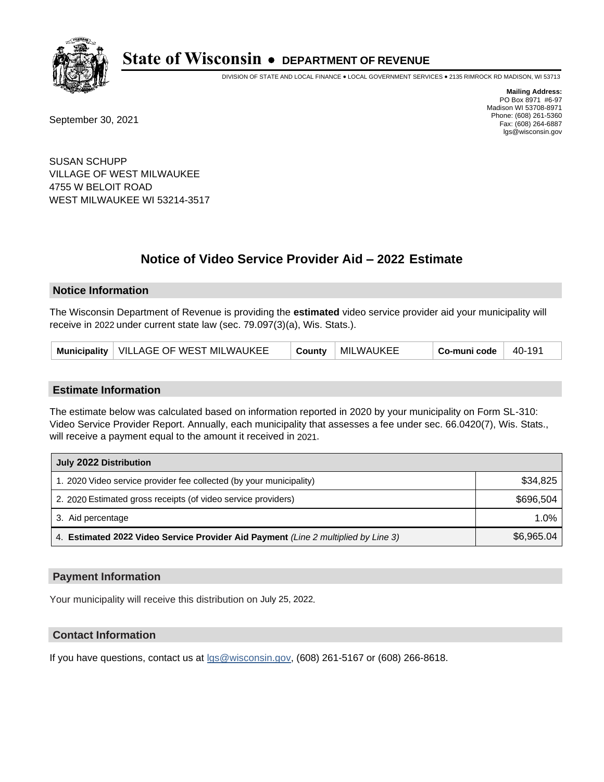

DIVISION OF STATE AND LOCAL FINANCE • LOCAL GOVERNMENT SERVICES • 2135 RIMROCK RD MADISON, WI 53713

September 30, 2021

**Mailing Address:** PO Box 8971 #6-97 Madison WI 53708-8971 Phone: (608) 261-5360 Fax: (608) 264-6887 lgs@wisconsin.gov

SUSAN SCHUPP VILLAGE OF WEST MILWAUKEE 4755 W BELOIT ROAD WEST MILWAUKEE WI 53214-3517

# **Notice of Video Service Provider Aid - 2022 Estimate**

#### **Notice Information**

The Wisconsin Department of Revenue is providing the **estimated** video service provider aid your municipality will receive in 2022 under current state law (sec. 79.097(3)(a), Wis. Stats.).

|--|

#### **Estimate Information**

The estimate below was calculated based on information reported in 2020 by your municipality on Form SL-310: Video Service Provider Report. Annually, each municipality that assesses a fee under sec. 66.0420(7), Wis. Stats., will receive a payment equal to the amount it received in 2021.

| July 2022 Distribution                                                             |            |  |  |
|------------------------------------------------------------------------------------|------------|--|--|
| 1. 2020 Video service provider fee collected (by your municipality)                | \$34,825   |  |  |
| 2. 2020 Estimated gross receipts (of video service providers)                      | \$696.504  |  |  |
| 3. Aid percentage                                                                  | 1.0%       |  |  |
| 4. Estimated 2022 Video Service Provider Aid Payment (Line 2 multiplied by Line 3) | \$6,965.04 |  |  |

#### **Payment Information**

Your municipality will receive this distribution on July 25, 2022.

## **Contact Information**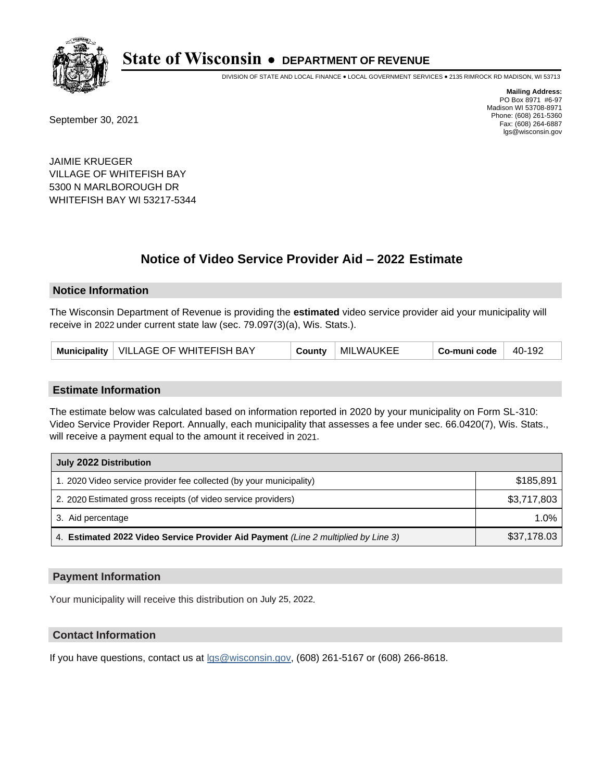

DIVISION OF STATE AND LOCAL FINANCE • LOCAL GOVERNMENT SERVICES • 2135 RIMROCK RD MADISON, WI 53713

September 30, 2021

**Mailing Address:** PO Box 8971 #6-97 Madison WI 53708-8971 Phone: (608) 261-5360 Fax: (608) 264-6887 lgs@wisconsin.gov

JAIMIE KRUEGER VILLAGE OF WHITEFISH BAY 5300 N MARLBOROUGH DR WHITEFISH BAY WI 53217-5344

# **Notice of Video Service Provider Aid - 2022 Estimate**

#### **Notice Information**

The Wisconsin Department of Revenue is providing the **estimated** video service provider aid your municipality will receive in 2022 under current state law (sec. 79.097(3)(a), Wis. Stats.).

|  | Municipality   VILLAGE OF WHITEFISH BAY | County | <b>MILWAUKEE</b> | Co-muni code | - 40-192 |
|--|-----------------------------------------|--------|------------------|--------------|----------|
|--|-----------------------------------------|--------|------------------|--------------|----------|

#### **Estimate Information**

The estimate below was calculated based on information reported in 2020 by your municipality on Form SL-310: Video Service Provider Report. Annually, each municipality that assesses a fee under sec. 66.0420(7), Wis. Stats., will receive a payment equal to the amount it received in 2021.

| July 2022 Distribution                                                             |             |  |  |
|------------------------------------------------------------------------------------|-------------|--|--|
| 1. 2020 Video service provider fee collected (by your municipality)                | \$185,891   |  |  |
| 2. 2020 Estimated gross receipts (of video service providers)                      | \$3,717,803 |  |  |
| 3. Aid percentage                                                                  | $1.0\%$     |  |  |
| 4. Estimated 2022 Video Service Provider Aid Payment (Line 2 multiplied by Line 3) | \$37,178.03 |  |  |

#### **Payment Information**

Your municipality will receive this distribution on July 25, 2022.

## **Contact Information**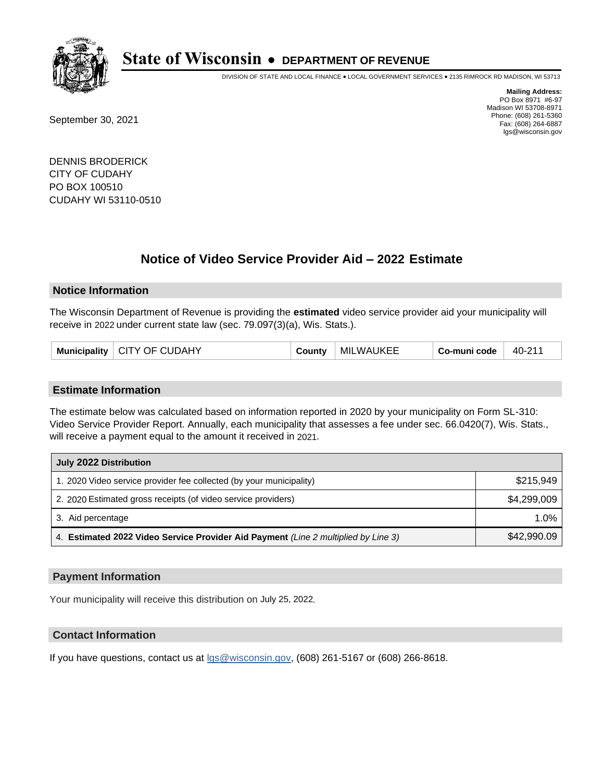

DIVISION OF STATE AND LOCAL FINANCE • LOCAL GOVERNMENT SERVICES • 2135 RIMROCK RD MADISON, WI 53713

September 30, 2021

**Mailing Address:** PO Box 8971 #6-97 Madison WI 53708-8971 Phone: (608) 261-5360 Fax: (608) 264-6887 lgs@wisconsin.gov

DENNIS BRODERICK CITY OF CUDAHY PO BOX 100510 CUDAHY WI 53110-0510

# **Notice of Video Service Provider Aid - 2022 Estimate**

#### **Notice Information**

The Wisconsin Department of Revenue is providing the **estimated** video service provider aid your municipality will receive in 2022 under current state law (sec. 79.097(3)(a), Wis. Stats.).

| Municipality   CITY OF CUDAHY |  |  | County | <b>MILWAUKEE</b> | Co-muni code | 40-211 |
|-------------------------------|--|--|--------|------------------|--------------|--------|
|-------------------------------|--|--|--------|------------------|--------------|--------|

#### **Estimate Information**

The estimate below was calculated based on information reported in 2020 by your municipality on Form SL-310: Video Service Provider Report. Annually, each municipality that assesses a fee under sec. 66.0420(7), Wis. Stats., will receive a payment equal to the amount it received in 2021.

| July 2022 Distribution                                                             |             |
|------------------------------------------------------------------------------------|-------------|
| 1. 2020 Video service provider fee collected (by your municipality)                | \$215.949   |
| 2. 2020 Estimated gross receipts (of video service providers)                      | \$4.299.009 |
| 3. Aid percentage                                                                  | 1.0%        |
| 4. Estimated 2022 Video Service Provider Aid Payment (Line 2 multiplied by Line 3) | \$42,990.09 |

#### **Payment Information**

Your municipality will receive this distribution on July 25, 2022.

## **Contact Information**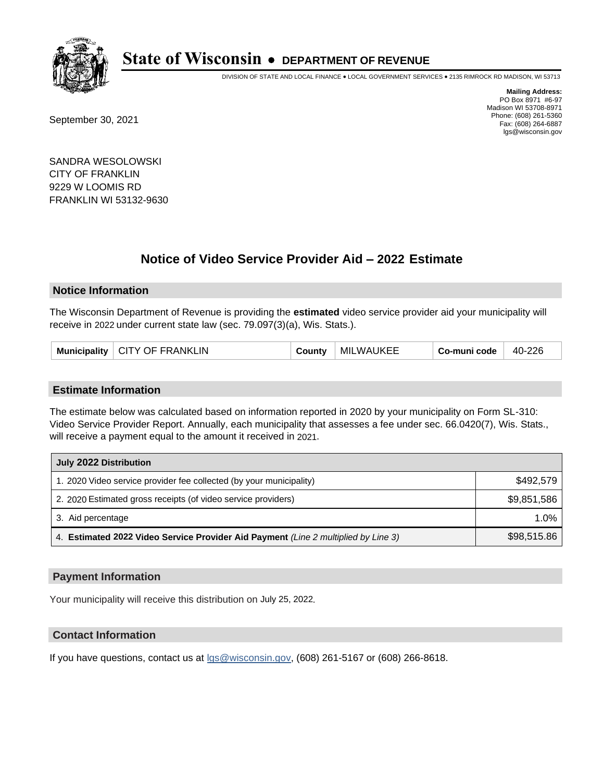

DIVISION OF STATE AND LOCAL FINANCE • LOCAL GOVERNMENT SERVICES • 2135 RIMROCK RD MADISON, WI 53713

September 30, 2021

**Mailing Address:** PO Box 8971 #6-97 Madison WI 53708-8971 Phone: (608) 261-5360 Fax: (608) 264-6887 lgs@wisconsin.gov

SANDRA WESOLOWSKI CITY OF FRANKLIN 9229 W LOOMIS RD FRANKLIN WI 53132-9630

# **Notice of Video Service Provider Aid - 2022 Estimate**

### **Notice Information**

The Wisconsin Department of Revenue is providing the **estimated** video service provider aid your municipality will receive in 2022 under current state law (sec. 79.097(3)(a), Wis. Stats.).

| Municipality   CITY OF FRANKLIN | County | <b>MILWAUKEE</b> | Co-muni code | 40-226 |
|---------------------------------|--------|------------------|--------------|--------|
|---------------------------------|--------|------------------|--------------|--------|

#### **Estimate Information**

The estimate below was calculated based on information reported in 2020 by your municipality on Form SL-310: Video Service Provider Report. Annually, each municipality that assesses a fee under sec. 66.0420(7), Wis. Stats., will receive a payment equal to the amount it received in 2021.

| July 2022 Distribution                                                             |             |
|------------------------------------------------------------------------------------|-------------|
| 1. 2020 Video service provider fee collected (by your municipality)                | \$492.579   |
| 2. 2020 Estimated gross receipts (of video service providers)                      | \$9,851,586 |
| 3. Aid percentage                                                                  | $1.0\%$     |
| 4. Estimated 2022 Video Service Provider Aid Payment (Line 2 multiplied by Line 3) | \$98,515.86 |

#### **Payment Information**

Your municipality will receive this distribution on July 25, 2022.

## **Contact Information**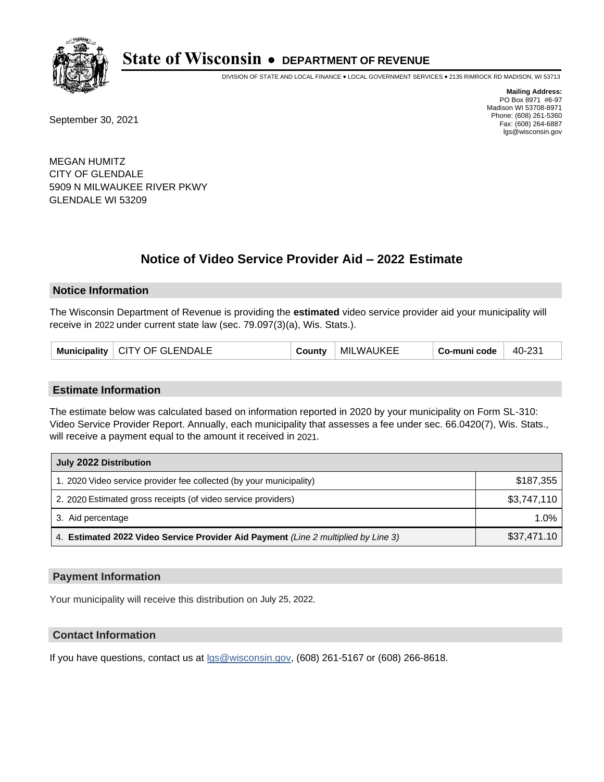

DIVISION OF STATE AND LOCAL FINANCE • LOCAL GOVERNMENT SERVICES • 2135 RIMROCK RD MADISON, WI 53713

September 30, 2021

**Mailing Address:** PO Box 8971 #6-97 Madison WI 53708-8971 Phone: (608) 261-5360 Fax: (608) 264-6887 lgs@wisconsin.gov

MEGAN HUMITZ CITY OF GLENDALE 5909 N MILWAUKEE RIVER PKWY GLENDALE WI 53209

# **Notice of Video Service Provider Aid - 2022 Estimate**

#### **Notice Information**

The Wisconsin Department of Revenue is providing the **estimated** video service provider aid your municipality will receive in 2022 under current state law (sec. 79.097(3)(a), Wis. Stats.).

| Municipality   CITY OF GLENDALE | County | <b>MILWAUKEE</b> | Co-muni code | 40-231 |
|---------------------------------|--------|------------------|--------------|--------|
|---------------------------------|--------|------------------|--------------|--------|

#### **Estimate Information**

The estimate below was calculated based on information reported in 2020 by your municipality on Form SL-310: Video Service Provider Report. Annually, each municipality that assesses a fee under sec. 66.0420(7), Wis. Stats., will receive a payment equal to the amount it received in 2021.

| July 2022 Distribution                                                             |             |
|------------------------------------------------------------------------------------|-------------|
| 1. 2020 Video service provider fee collected (by your municipality)                | \$187,355   |
| 2. 2020 Estimated gross receipts (of video service providers)                      | \$3,747,110 |
| 3. Aid percentage                                                                  | 1.0%        |
| 4. Estimated 2022 Video Service Provider Aid Payment (Line 2 multiplied by Line 3) | \$37,471.10 |

#### **Payment Information**

Your municipality will receive this distribution on July 25, 2022.

## **Contact Information**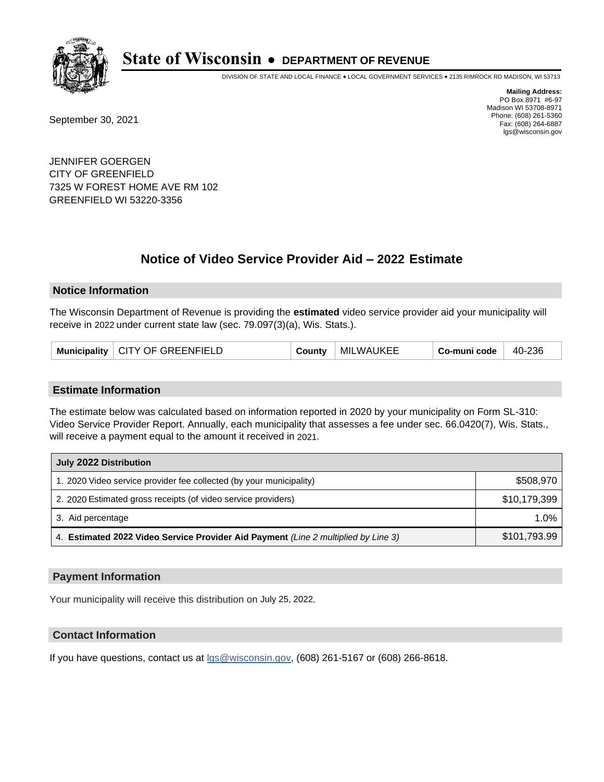

DIVISION OF STATE AND LOCAL FINANCE • LOCAL GOVERNMENT SERVICES • 2135 RIMROCK RD MADISON, WI 53713

September 30, 2021

**Mailing Address:** PO Box 8971 #6-97 Madison WI 53708-8971 Phone: (608) 261-5360 Fax: (608) 264-6887 lgs@wisconsin.gov

JENNIFER GOERGEN CITY OF GREENFIELD 7325 W FOREST HOME AVE RM 102 GREENFIELD WI 53220-3356

# **Notice of Video Service Provider Aid - 2022 Estimate**

### **Notice Information**

The Wisconsin Department of Revenue is providing the **estimated** video service provider aid your municipality will receive in 2022 under current state law (sec. 79.097(3)(a), Wis. Stats.).

| Municipality   CITY OF GREENFIELD | County | MILWAUKEE | Co-muni code | 40-236 |
|-----------------------------------|--------|-----------|--------------|--------|
|-----------------------------------|--------|-----------|--------------|--------|

#### **Estimate Information**

The estimate below was calculated based on information reported in 2020 by your municipality on Form SL-310: Video Service Provider Report. Annually, each municipality that assesses a fee under sec. 66.0420(7), Wis. Stats., will receive a payment equal to the amount it received in 2021.

| July 2022 Distribution                                                             |              |
|------------------------------------------------------------------------------------|--------------|
| 1. 2020 Video service provider fee collected (by your municipality)                | \$508,970    |
| 2. 2020 Estimated gross receipts (of video service providers)                      | \$10,179,399 |
| 3. Aid percentage                                                                  | $1.0\%$      |
| 4. Estimated 2022 Video Service Provider Aid Payment (Line 2 multiplied by Line 3) | \$101,793.99 |

#### **Payment Information**

Your municipality will receive this distribution on July 25, 2022.

## **Contact Information**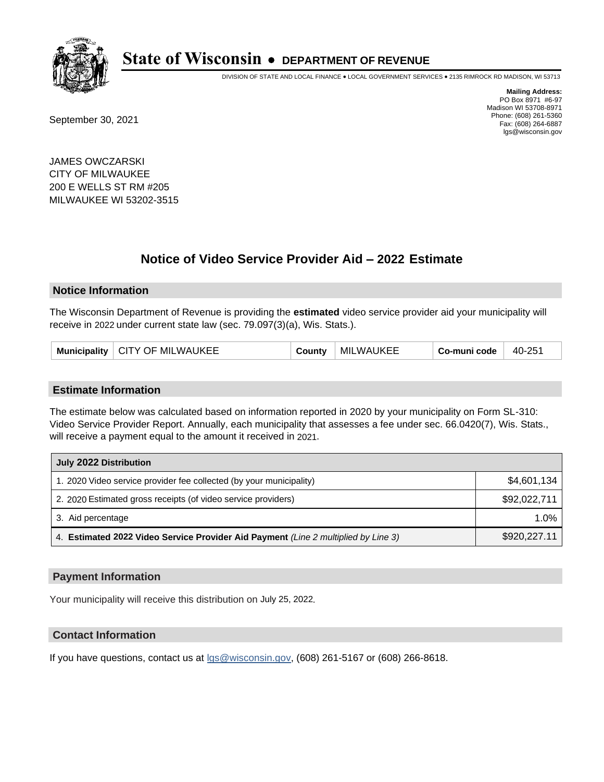

DIVISION OF STATE AND LOCAL FINANCE • LOCAL GOVERNMENT SERVICES • 2135 RIMROCK RD MADISON, WI 53713

September 30, 2021

**Mailing Address:** PO Box 8971 #6-97 Madison WI 53708-8971 Phone: (608) 261-5360 Fax: (608) 264-6887 lgs@wisconsin.gov

JAMES OWCZARSKI CITY OF MILWAUKEE 200 E WELLS ST RM #205 MILWAUKEE WI 53202-3515

# **Notice of Video Service Provider Aid - 2022 Estimate**

#### **Notice Information**

The Wisconsin Department of Revenue is providing the **estimated** video service provider aid your municipality will receive in 2022 under current state law (sec. 79.097(3)(a), Wis. Stats.).

| Municipality   CITY OF MILWAUKEE | County | <b>MILWAUKEE</b> | Co-muni code | 40-251 |
|----------------------------------|--------|------------------|--------------|--------|
|----------------------------------|--------|------------------|--------------|--------|

#### **Estimate Information**

The estimate below was calculated based on information reported in 2020 by your municipality on Form SL-310: Video Service Provider Report. Annually, each municipality that assesses a fee under sec. 66.0420(7), Wis. Stats., will receive a payment equal to the amount it received in 2021.

| July 2022 Distribution                                                             |              |
|------------------------------------------------------------------------------------|--------------|
| 1. 2020 Video service provider fee collected (by your municipality)                | \$4,601,134  |
| 2. 2020 Estimated gross receipts (of video service providers)                      | \$92,022,711 |
| 3. Aid percentage                                                                  | 1.0%         |
| 4. Estimated 2022 Video Service Provider Aid Payment (Line 2 multiplied by Line 3) | \$920,227.11 |

#### **Payment Information**

Your municipality will receive this distribution on July 25, 2022.

## **Contact Information**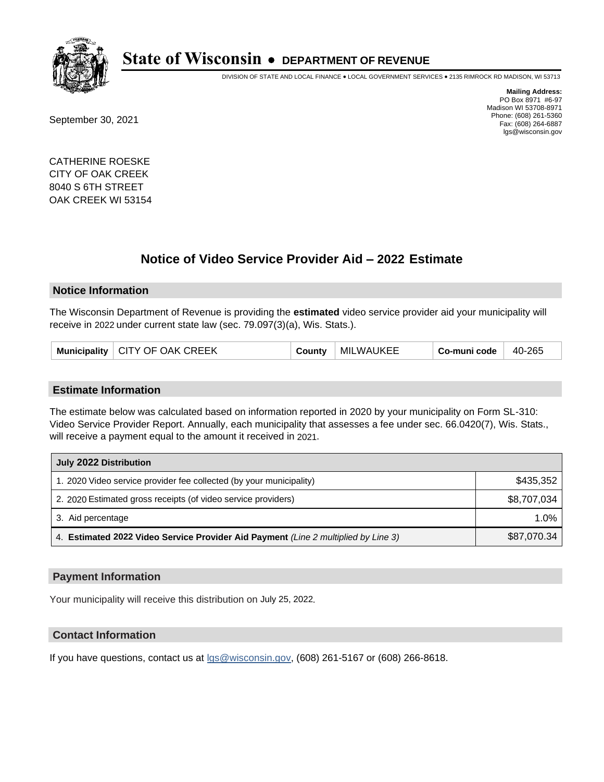

DIVISION OF STATE AND LOCAL FINANCE • LOCAL GOVERNMENT SERVICES • 2135 RIMROCK RD MADISON, WI 53713

September 30, 2021

**Mailing Address:** PO Box 8971 #6-97 Madison WI 53708-8971 Phone: (608) 261-5360 Fax: (608) 264-6887 lgs@wisconsin.gov

CATHERINE ROESKE CITY OF OAK CREEK 8040 S 6TH STREET OAK CREEK WI 53154

## **Notice of Video Service Provider Aid - 2022 Estimate**

#### **Notice Information**

The Wisconsin Department of Revenue is providing the **estimated** video service provider aid your municipality will receive in 2022 under current state law (sec. 79.097(3)(a), Wis. Stats.).

| Municipality   CITY OF OAK CREEK | County | <b>MILWAUKEE</b> | Co-muni code | 40-265 |
|----------------------------------|--------|------------------|--------------|--------|
|----------------------------------|--------|------------------|--------------|--------|

#### **Estimate Information**

The estimate below was calculated based on information reported in 2020 by your municipality on Form SL-310: Video Service Provider Report. Annually, each municipality that assesses a fee under sec. 66.0420(7), Wis. Stats., will receive a payment equal to the amount it received in 2021.

| July 2022 Distribution                                                             |             |
|------------------------------------------------------------------------------------|-------------|
| 1. 2020 Video service provider fee collected (by your municipality)                | \$435,352   |
| 2. 2020 Estimated gross receipts (of video service providers)                      | \$8,707,034 |
| 3. Aid percentage                                                                  | $1.0\%$     |
| 4. Estimated 2022 Video Service Provider Aid Payment (Line 2 multiplied by Line 3) | \$87,070.34 |

### **Payment Information**

Your municipality will receive this distribution on July 25, 2022.

## **Contact Information**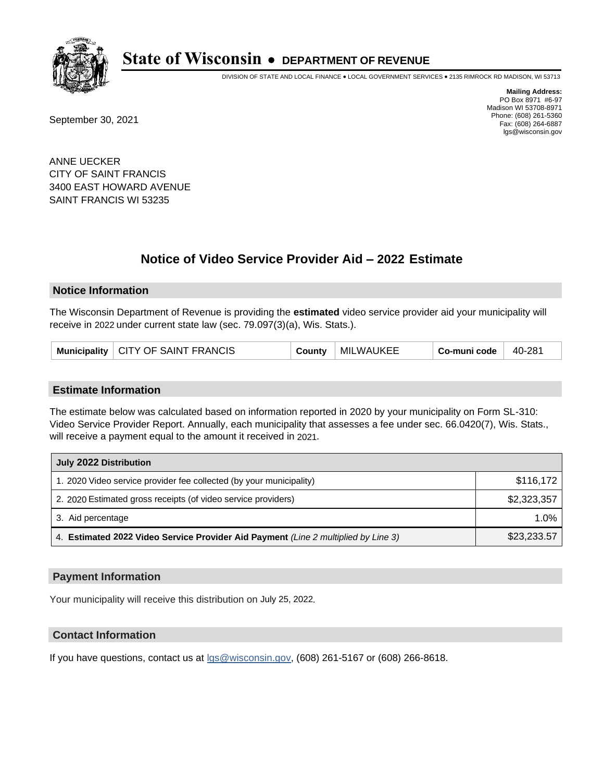

DIVISION OF STATE AND LOCAL FINANCE • LOCAL GOVERNMENT SERVICES • 2135 RIMROCK RD MADISON, WI 53713

September 30, 2021

**Mailing Address:** PO Box 8971 #6-97 Madison WI 53708-8971 Phone: (608) 261-5360 Fax: (608) 264-6887 lgs@wisconsin.gov

ANNE UECKER CITY OF SAINT FRANCIS 3400 EAST HOWARD AVENUE SAINT FRANCIS WI 53235

# **Notice of Video Service Provider Aid - 2022 Estimate**

### **Notice Information**

The Wisconsin Department of Revenue is providing the **estimated** video service provider aid your municipality will receive in 2022 under current state law (sec. 79.097(3)(a), Wis. Stats.).

| Municipality   CITY OF SAINT FRANCIS | County | MILWAUKEE | Co-muni code | $40-281$ |
|--------------------------------------|--------|-----------|--------------|----------|
|--------------------------------------|--------|-----------|--------------|----------|

#### **Estimate Information**

The estimate below was calculated based on information reported in 2020 by your municipality on Form SL-310: Video Service Provider Report. Annually, each municipality that assesses a fee under sec. 66.0420(7), Wis. Stats., will receive a payment equal to the amount it received in 2021.

| July 2022 Distribution                                                             |             |
|------------------------------------------------------------------------------------|-------------|
| 1. 2020 Video service provider fee collected (by your municipality)                | \$116,172   |
| 2. 2020 Estimated gross receipts (of video service providers)                      | \$2,323,357 |
| 3. Aid percentage                                                                  | $1.0\%$     |
| 4. Estimated 2022 Video Service Provider Aid Payment (Line 2 multiplied by Line 3) | \$23,233.57 |

#### **Payment Information**

Your municipality will receive this distribution on July 25, 2022.

## **Contact Information**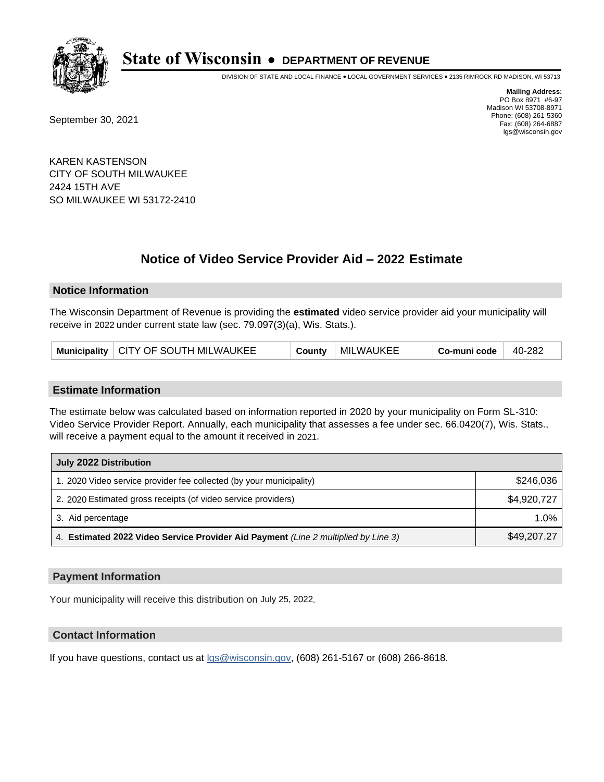

DIVISION OF STATE AND LOCAL FINANCE • LOCAL GOVERNMENT SERVICES • 2135 RIMROCK RD MADISON, WI 53713

September 30, 2021

**Mailing Address:** PO Box 8971 #6-97 Madison WI 53708-8971 Phone: (608) 261-5360 Fax: (608) 264-6887 lgs@wisconsin.gov

KAREN KASTENSON CITY OF SOUTH MILWAUKEE 2424 15TH AVE SO MILWAUKEE WI 53172-2410

# **Notice of Video Service Provider Aid - 2022 Estimate**

### **Notice Information**

The Wisconsin Department of Revenue is providing the **estimated** video service provider aid your municipality will receive in 2022 under current state law (sec. 79.097(3)(a), Wis. Stats.).

|  | Municipality   CITY OF SOUTH MILWAUKEE | County | MILWAUKEE | Co-muni code | 40-282 |
|--|----------------------------------------|--------|-----------|--------------|--------|
|--|----------------------------------------|--------|-----------|--------------|--------|

#### **Estimate Information**

The estimate below was calculated based on information reported in 2020 by your municipality on Form SL-310: Video Service Provider Report. Annually, each municipality that assesses a fee under sec. 66.0420(7), Wis. Stats., will receive a payment equal to the amount it received in 2021.

| July 2022 Distribution                                                             |             |  |  |
|------------------------------------------------------------------------------------|-------------|--|--|
| 1. 2020 Video service provider fee collected (by your municipality)                | \$246,036   |  |  |
| 2. 2020 Estimated gross receipts (of video service providers)                      | \$4,920,727 |  |  |
| 3. Aid percentage                                                                  | $1.0\%$     |  |  |
| 4. Estimated 2022 Video Service Provider Aid Payment (Line 2 multiplied by Line 3) | \$49,207.27 |  |  |

#### **Payment Information**

Your municipality will receive this distribution on July 25, 2022.

## **Contact Information**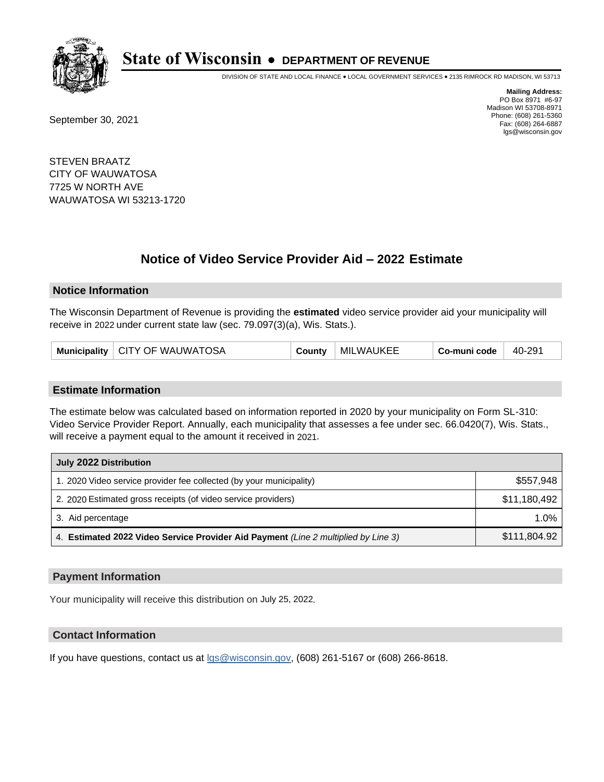

DIVISION OF STATE AND LOCAL FINANCE • LOCAL GOVERNMENT SERVICES • 2135 RIMROCK RD MADISON, WI 53713

September 30, 2021

**Mailing Address:** PO Box 8971 #6-97 Madison WI 53708-8971 Phone: (608) 261-5360 Fax: (608) 264-6887 lgs@wisconsin.gov

STEVEN BRAATZ CITY OF WAUWATOSA 7725 W NORTH AVE WAUWATOSA WI 53213-1720

# **Notice of Video Service Provider Aid - 2022 Estimate**

#### **Notice Information**

The Wisconsin Department of Revenue is providing the **estimated** video service provider aid your municipality will receive in 2022 under current state law (sec. 79.097(3)(a), Wis. Stats.).

|  | Municipality   CITY OF WAUWATOSA | County | MILWAUKEE | Co-muni code | 40-291 |
|--|----------------------------------|--------|-----------|--------------|--------|
|--|----------------------------------|--------|-----------|--------------|--------|

#### **Estimate Information**

The estimate below was calculated based on information reported in 2020 by your municipality on Form SL-310: Video Service Provider Report. Annually, each municipality that assesses a fee under sec. 66.0420(7), Wis. Stats., will receive a payment equal to the amount it received in 2021.

| July 2022 Distribution                                                             |              |  |  |
|------------------------------------------------------------------------------------|--------------|--|--|
| 1. 2020 Video service provider fee collected (by your municipality)                | \$557,948    |  |  |
| 2. 2020 Estimated gross receipts (of video service providers)                      | \$11,180,492 |  |  |
| 3. Aid percentage                                                                  | $1.0\%$      |  |  |
| 4. Estimated 2022 Video Service Provider Aid Payment (Line 2 multiplied by Line 3) | \$111,804.92 |  |  |

#### **Payment Information**

Your municipality will receive this distribution on July 25, 2022.

## **Contact Information**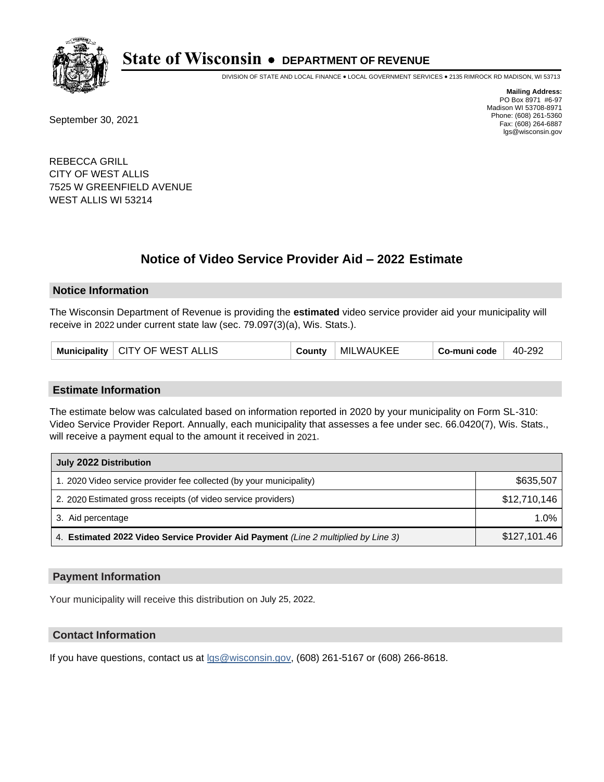

DIVISION OF STATE AND LOCAL FINANCE • LOCAL GOVERNMENT SERVICES • 2135 RIMROCK RD MADISON, WI 53713

September 30, 2021

**Mailing Address:** PO Box 8971 #6-97 Madison WI 53708-8971 Phone: (608) 261-5360 Fax: (608) 264-6887 lgs@wisconsin.gov

REBECCA GRILL CITY OF WEST ALLIS 7525 W GREENFIELD AVENUE WEST ALLIS WI 53214

# **Notice of Video Service Provider Aid - 2022 Estimate**

### **Notice Information**

The Wisconsin Department of Revenue is providing the **estimated** video service provider aid your municipality will receive in 2022 under current state law (sec. 79.097(3)(a), Wis. Stats.).

| <b>MILWAUKEE</b><br>Municipality   CITY OF WEST ALLIS<br>Co-muni code<br>40-292<br>County |
|-------------------------------------------------------------------------------------------|
|-------------------------------------------------------------------------------------------|

#### **Estimate Information**

The estimate below was calculated based on information reported in 2020 by your municipality on Form SL-310: Video Service Provider Report. Annually, each municipality that assesses a fee under sec. 66.0420(7), Wis. Stats., will receive a payment equal to the amount it received in 2021.

| July 2022 Distribution                                                             |              |  |  |
|------------------------------------------------------------------------------------|--------------|--|--|
| 1. 2020 Video service provider fee collected (by your municipality)                | \$635,507    |  |  |
| 2. 2020 Estimated gross receipts (of video service providers)                      | \$12,710,146 |  |  |
| 3. Aid percentage                                                                  | $1.0\%$      |  |  |
| 4. Estimated 2022 Video Service Provider Aid Payment (Line 2 multiplied by Line 3) | \$127,101.46 |  |  |

#### **Payment Information**

Your municipality will receive this distribution on July 25, 2022.

## **Contact Information**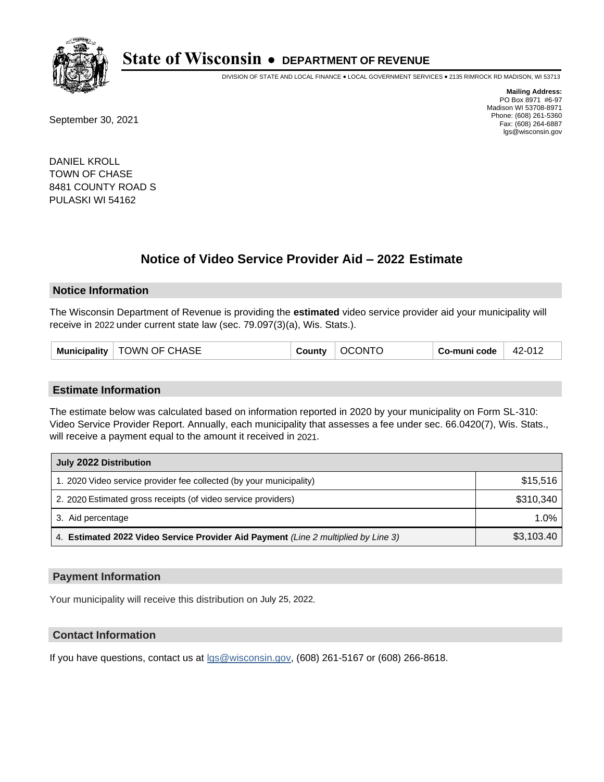

DIVISION OF STATE AND LOCAL FINANCE • LOCAL GOVERNMENT SERVICES • 2135 RIMROCK RD MADISON, WI 53713

September 30, 2021

**Mailing Address:** PO Box 8971 #6-97 Madison WI 53708-8971 Phone: (608) 261-5360 Fax: (608) 264-6887 lgs@wisconsin.gov

DANIEL KROLL TOWN OF CHASE 8481 COUNTY ROAD S PULASKI WI 54162

# **Notice of Video Service Provider Aid - 2022 Estimate**

#### **Notice Information**

The Wisconsin Department of Revenue is providing the **estimated** video service provider aid your municipality will receive in 2022 under current state law (sec. 79.097(3)(a), Wis. Stats.).

#### **Estimate Information**

The estimate below was calculated based on information reported in 2020 by your municipality on Form SL-310: Video Service Provider Report. Annually, each municipality that assesses a fee under sec. 66.0420(7), Wis. Stats., will receive a payment equal to the amount it received in 2021.

| July 2022 Distribution                                                             |            |  |  |
|------------------------------------------------------------------------------------|------------|--|--|
| 1. 2020 Video service provider fee collected (by your municipality)                | \$15,516   |  |  |
| 2. 2020 Estimated gross receipts (of video service providers)                      | \$310.340  |  |  |
| 3. Aid percentage                                                                  | 1.0%       |  |  |
| 4. Estimated 2022 Video Service Provider Aid Payment (Line 2 multiplied by Line 3) | \$3,103.40 |  |  |

#### **Payment Information**

Your municipality will receive this distribution on July 25, 2022.

## **Contact Information**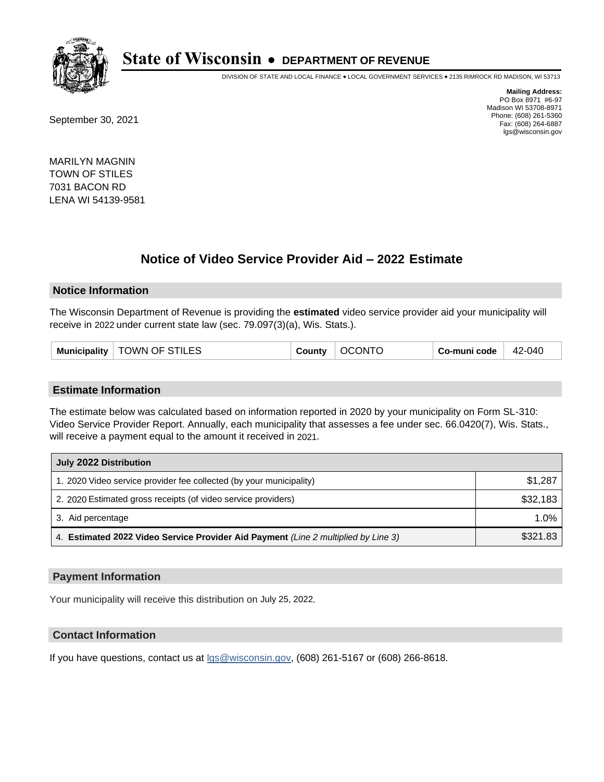

DIVISION OF STATE AND LOCAL FINANCE • LOCAL GOVERNMENT SERVICES • 2135 RIMROCK RD MADISON, WI 53713

September 30, 2021

**Mailing Address:** PO Box 8971 #6-97 Madison WI 53708-8971 Phone: (608) 261-5360 Fax: (608) 264-6887 lgs@wisconsin.gov

MARILYN MAGNIN TOWN OF STILES 7031 BACON RD LENA WI 54139-9581

# **Notice of Video Service Provider Aid - 2022 Estimate**

#### **Notice Information**

The Wisconsin Department of Revenue is providing the **estimated** video service provider aid your municipality will receive in 2022 under current state law (sec. 79.097(3)(a), Wis. Stats.).

#### **Estimate Information**

The estimate below was calculated based on information reported in 2020 by your municipality on Form SL-310: Video Service Provider Report. Annually, each municipality that assesses a fee under sec. 66.0420(7), Wis. Stats., will receive a payment equal to the amount it received in 2021.

| July 2022 Distribution                                                             |          |  |  |
|------------------------------------------------------------------------------------|----------|--|--|
| 1. 2020 Video service provider fee collected (by your municipality)                | \$1,287  |  |  |
| 2. 2020 Estimated gross receipts (of video service providers)                      | \$32,183 |  |  |
| 3. Aid percentage                                                                  | 1.0%     |  |  |
| 4. Estimated 2022 Video Service Provider Aid Payment (Line 2 multiplied by Line 3) | \$321.83 |  |  |

### **Payment Information**

Your municipality will receive this distribution on July 25, 2022.

## **Contact Information**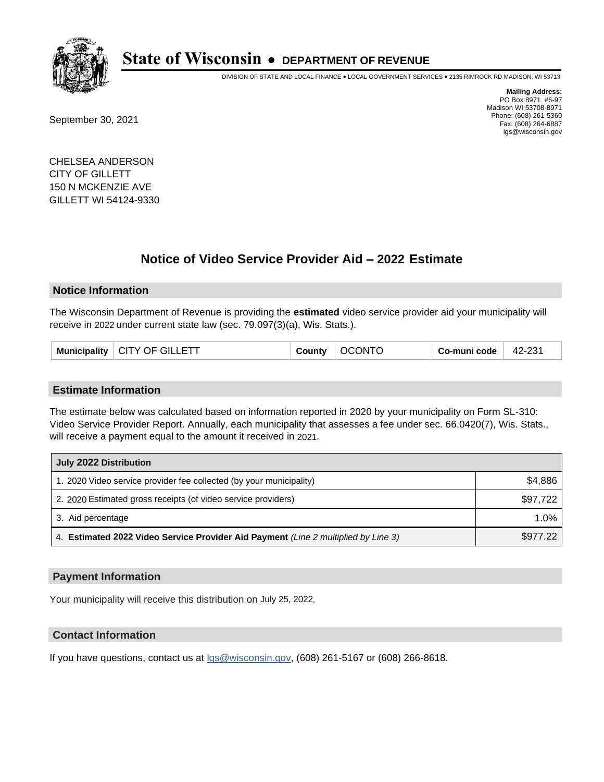

DIVISION OF STATE AND LOCAL FINANCE • LOCAL GOVERNMENT SERVICES • 2135 RIMROCK RD MADISON, WI 53713

September 30, 2021

**Mailing Address:** PO Box 8971 #6-97 Madison WI 53708-8971 Phone: (608) 261-5360 Fax: (608) 264-6887 lgs@wisconsin.gov

CHELSEA ANDERSON CITY OF GILLETT 150 N MCKENZIE AVE GILLETT WI 54124-9330

# **Notice of Video Service Provider Aid - 2022 Estimate**

### **Notice Information**

The Wisconsin Department of Revenue is providing the **estimated** video service provider aid your municipality will receive in 2022 under current state law (sec. 79.097(3)(a), Wis. Stats.).

| Municipality   CITY OF GILLETT | County | OCONTO | Co-muni code | 42-231 |
|--------------------------------|--------|--------|--------------|--------|
|--------------------------------|--------|--------|--------------|--------|

#### **Estimate Information**

The estimate below was calculated based on information reported in 2020 by your municipality on Form SL-310: Video Service Provider Report. Annually, each municipality that assesses a fee under sec. 66.0420(7), Wis. Stats., will receive a payment equal to the amount it received in 2021.

| July 2022 Distribution                                                             |          |  |  |
|------------------------------------------------------------------------------------|----------|--|--|
| 1. 2020 Video service provider fee collected (by your municipality)                | \$4,886  |  |  |
| 2. 2020 Estimated gross receipts (of video service providers)                      | \$97,722 |  |  |
| 3. Aid percentage                                                                  | $1.0\%$  |  |  |
| 4. Estimated 2022 Video Service Provider Aid Payment (Line 2 multiplied by Line 3) | \$977.22 |  |  |

#### **Payment Information**

Your municipality will receive this distribution on July 25, 2022.

## **Contact Information**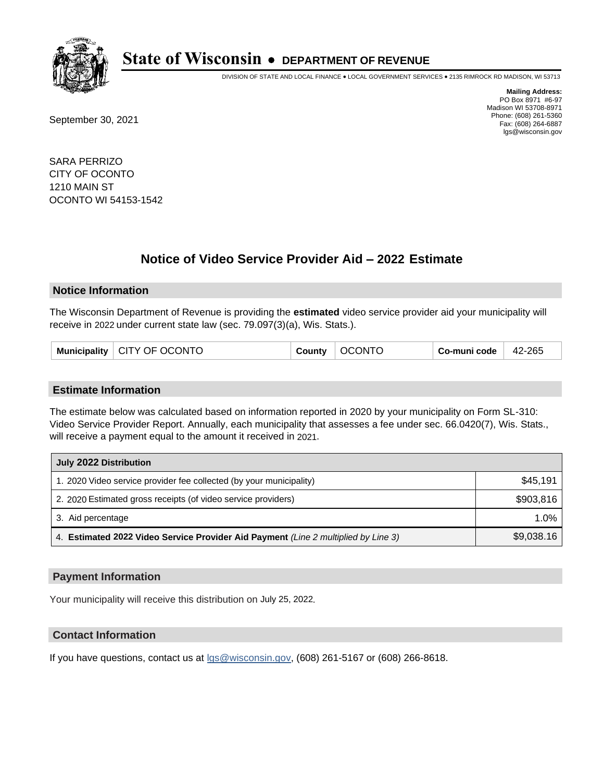

DIVISION OF STATE AND LOCAL FINANCE • LOCAL GOVERNMENT SERVICES • 2135 RIMROCK RD MADISON, WI 53713

September 30, 2021

**Mailing Address:** PO Box 8971 #6-97 Madison WI 53708-8971 Phone: (608) 261-5360 Fax: (608) 264-6887 lgs@wisconsin.gov

SARA PERRIZO CITY OF OCONTO 1210 MAIN ST OCONTO WI 54153-1542

# **Notice of Video Service Provider Aid - 2022 Estimate**

#### **Notice Information**

The Wisconsin Department of Revenue is providing the **estimated** video service provider aid your municipality will receive in 2022 under current state law (sec. 79.097(3)(a), Wis. Stats.).

| Municipality   CITY OF OCONTO | <b>OCONTO</b><br><b>County</b> | Co-muni code | $42 - 265$ |
|-------------------------------|--------------------------------|--------------|------------|
|-------------------------------|--------------------------------|--------------|------------|

#### **Estimate Information**

The estimate below was calculated based on information reported in 2020 by your municipality on Form SL-310: Video Service Provider Report. Annually, each municipality that assesses a fee under sec. 66.0420(7), Wis. Stats., will receive a payment equal to the amount it received in 2021.

| July 2022 Distribution                                                             |            |
|------------------------------------------------------------------------------------|------------|
| 1. 2020 Video service provider fee collected (by your municipality)                | \$45.191   |
| 2. 2020 Estimated gross receipts (of video service providers)                      | \$903,816  |
| 3. Aid percentage                                                                  | $1.0\%$    |
| 4. Estimated 2022 Video Service Provider Aid Payment (Line 2 multiplied by Line 3) | \$9,038.16 |

#### **Payment Information**

Your municipality will receive this distribution on July 25, 2022.

## **Contact Information**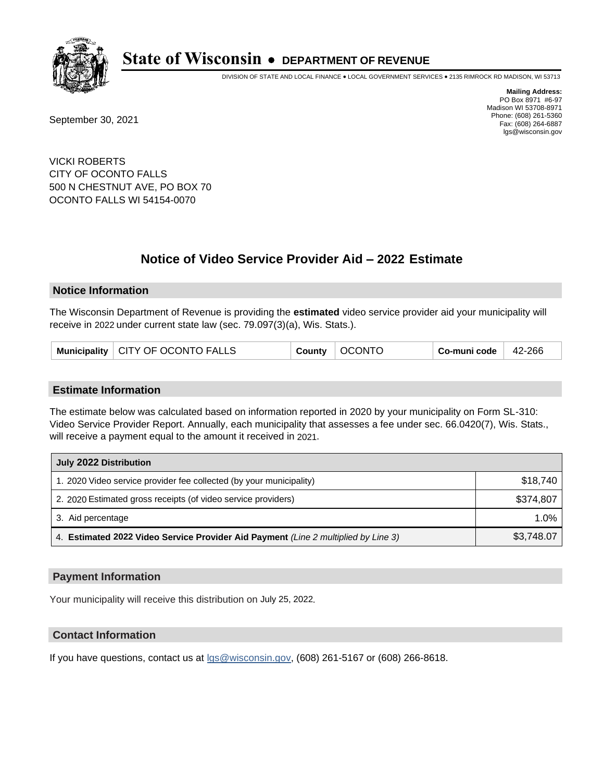

DIVISION OF STATE AND LOCAL FINANCE • LOCAL GOVERNMENT SERVICES • 2135 RIMROCK RD MADISON, WI 53713

September 30, 2021

**Mailing Address:** PO Box 8971 #6-97 Madison WI 53708-8971 Phone: (608) 261-5360 Fax: (608) 264-6887 lgs@wisconsin.gov

VICKI ROBERTS CITY OF OCONTO FALLS 500 N CHESTNUT AVE, PO BOX 70 OCONTO FALLS WI 54154-0070

# **Notice of Video Service Provider Aid - 2022 Estimate**

#### **Notice Information**

The Wisconsin Department of Revenue is providing the **estimated** video service provider aid your municipality will receive in 2022 under current state law (sec. 79.097(3)(a), Wis. Stats.).

|  | Municipality   CITY OF OCONTO FALLS |  | County   OCONTO | $^{\shortmid}$ Co-muni code $\mid$ 42-266 |  |
|--|-------------------------------------|--|-----------------|-------------------------------------------|--|
|--|-------------------------------------|--|-----------------|-------------------------------------------|--|

#### **Estimate Information**

The estimate below was calculated based on information reported in 2020 by your municipality on Form SL-310: Video Service Provider Report. Annually, each municipality that assesses a fee under sec. 66.0420(7), Wis. Stats., will receive a payment equal to the amount it received in 2021.

| July 2022 Distribution                                                             |            |
|------------------------------------------------------------------------------------|------------|
| 1. 2020 Video service provider fee collected (by your municipality)                | \$18.740   |
| 2. 2020 Estimated gross receipts (of video service providers)                      | \$374,807  |
| 3. Aid percentage                                                                  | 1.0%       |
| 4. Estimated 2022 Video Service Provider Aid Payment (Line 2 multiplied by Line 3) | \$3,748.07 |

#### **Payment Information**

Your municipality will receive this distribution on July 25, 2022.

## **Contact Information**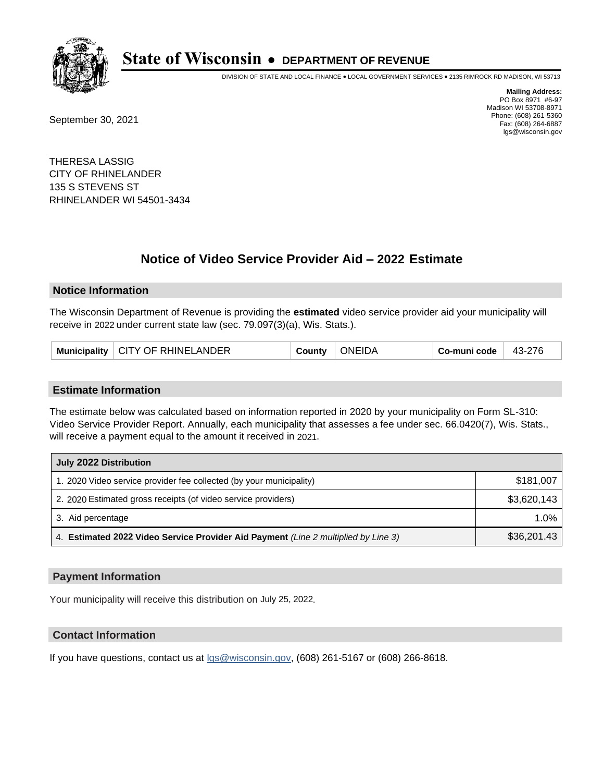

DIVISION OF STATE AND LOCAL FINANCE • LOCAL GOVERNMENT SERVICES • 2135 RIMROCK RD MADISON, WI 53713

September 30, 2021

**Mailing Address:** PO Box 8971 #6-97 Madison WI 53708-8971 Phone: (608) 261-5360 Fax: (608) 264-6887 lgs@wisconsin.gov

THERESA LASSIG CITY OF RHINELANDER 135 S STEVENS ST RHINELANDER WI 54501-3434

# **Notice of Video Service Provider Aid - 2022 Estimate**

#### **Notice Information**

The Wisconsin Department of Revenue is providing the **estimated** video service provider aid your municipality will receive in 2022 under current state law (sec. 79.097(3)(a), Wis. Stats.).

|  | Municipality   CITY OF RHINELANDER | County | <b>ONEIDA</b> | Co-muni code | 43-276 |
|--|------------------------------------|--------|---------------|--------------|--------|
|--|------------------------------------|--------|---------------|--------------|--------|

#### **Estimate Information**

The estimate below was calculated based on information reported in 2020 by your municipality on Form SL-310: Video Service Provider Report. Annually, each municipality that assesses a fee under sec. 66.0420(7), Wis. Stats., will receive a payment equal to the amount it received in 2021.

| July 2022 Distribution                                                             |             |
|------------------------------------------------------------------------------------|-------------|
| 1. 2020 Video service provider fee collected (by your municipality)                | \$181,007   |
| 2. 2020 Estimated gross receipts (of video service providers)                      | \$3,620,143 |
| 3. Aid percentage                                                                  | 1.0%        |
| 4. Estimated 2022 Video Service Provider Aid Payment (Line 2 multiplied by Line 3) | \$36,201.43 |

#### **Payment Information**

Your municipality will receive this distribution on July 25, 2022.

## **Contact Information**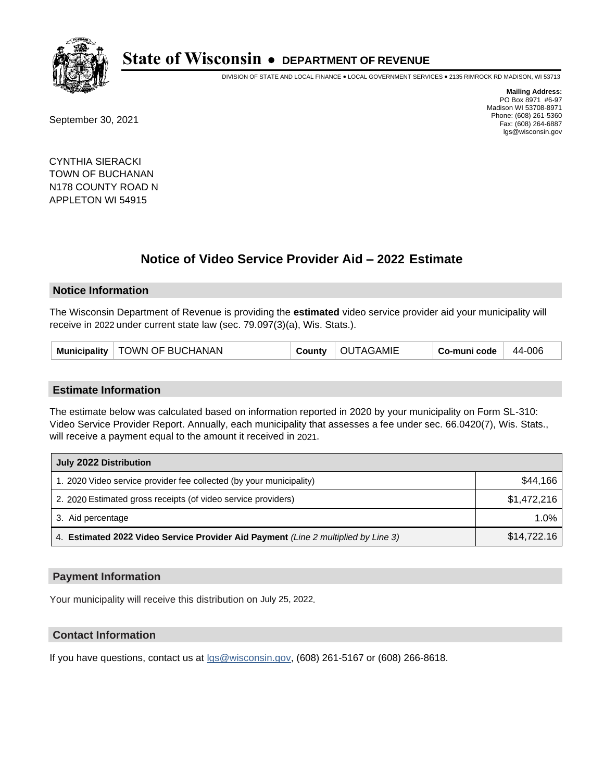

DIVISION OF STATE AND LOCAL FINANCE • LOCAL GOVERNMENT SERVICES • 2135 RIMROCK RD MADISON, WI 53713

September 30, 2021

**Mailing Address:** PO Box 8971 #6-97 Madison WI 53708-8971 Phone: (608) 261-5360 Fax: (608) 264-6887 lgs@wisconsin.gov

CYNTHIA SIERACKI TOWN OF BUCHANAN N178 COUNTY ROAD N APPLETON WI 54915

# **Notice of Video Service Provider Aid - 2022 Estimate**

#### **Notice Information**

The Wisconsin Department of Revenue is providing the **estimated** video service provider aid your municipality will receive in 2022 under current state law (sec. 79.097(3)(a), Wis. Stats.).

| Municipality   TOWN OF BUCHANAN | <b>County</b> | OUTAGAMIE | Co-muni code | $44-006$ |
|---------------------------------|---------------|-----------|--------------|----------|
|---------------------------------|---------------|-----------|--------------|----------|

#### **Estimate Information**

The estimate below was calculated based on information reported in 2020 by your municipality on Form SL-310: Video Service Provider Report. Annually, each municipality that assesses a fee under sec. 66.0420(7), Wis. Stats., will receive a payment equal to the amount it received in 2021.

| July 2022 Distribution                                                             |             |
|------------------------------------------------------------------------------------|-------------|
| 1. 2020 Video service provider fee collected (by your municipality)                | \$44,166    |
| 2. 2020 Estimated gross receipts (of video service providers)                      | \$1.472.216 |
| 3. Aid percentage                                                                  | 1.0%        |
| 4. Estimated 2022 Video Service Provider Aid Payment (Line 2 multiplied by Line 3) | \$14,722.16 |

#### **Payment Information**

Your municipality will receive this distribution on July 25, 2022.

## **Contact Information**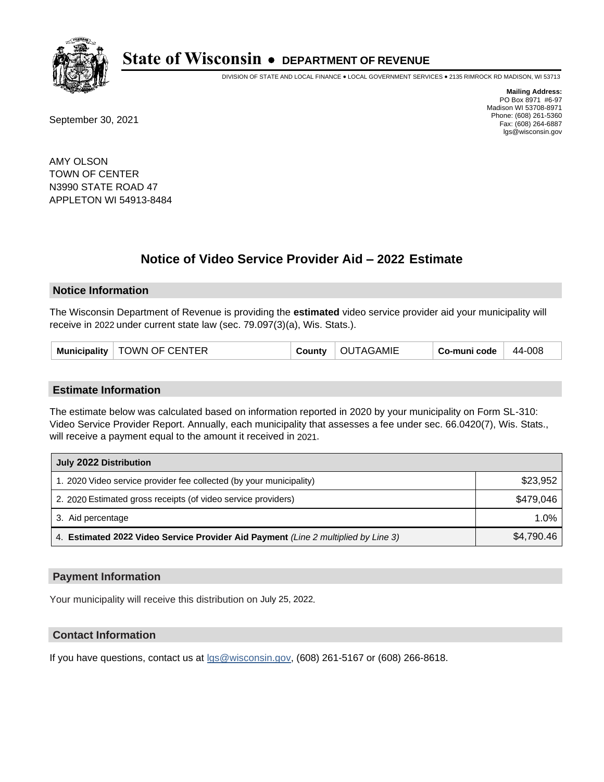

DIVISION OF STATE AND LOCAL FINANCE • LOCAL GOVERNMENT SERVICES • 2135 RIMROCK RD MADISON, WI 53713

September 30, 2021

**Mailing Address:** PO Box 8971 #6-97 Madison WI 53708-8971 Phone: (608) 261-5360 Fax: (608) 264-6887 lgs@wisconsin.gov

AMY OLSON TOWN OF CENTER N3990 STATE ROAD 47 APPLETON WI 54913-8484

# **Notice of Video Service Provider Aid - 2022 Estimate**

#### **Notice Information**

The Wisconsin Department of Revenue is providing the **estimated** video service provider aid your municipality will receive in 2022 under current state law (sec. 79.097(3)(a), Wis. Stats.).

| Municipality   TOWN OF CENTER<br>County | OUTAGAMIE | Co-muni code | 44-008 |
|-----------------------------------------|-----------|--------------|--------|
|-----------------------------------------|-----------|--------------|--------|

#### **Estimate Information**

The estimate below was calculated based on information reported in 2020 by your municipality on Form SL-310: Video Service Provider Report. Annually, each municipality that assesses a fee under sec. 66.0420(7), Wis. Stats., will receive a payment equal to the amount it received in 2021.

| July 2022 Distribution                                                             |            |
|------------------------------------------------------------------------------------|------------|
| 1. 2020 Video service provider fee collected (by your municipality)                | \$23,952   |
| 2. 2020 Estimated gross receipts (of video service providers)                      | \$479.046  |
| 3. Aid percentage                                                                  | 1.0%       |
| 4. Estimated 2022 Video Service Provider Aid Payment (Line 2 multiplied by Line 3) | \$4,790.46 |

### **Payment Information**

Your municipality will receive this distribution on July 25, 2022.

## **Contact Information**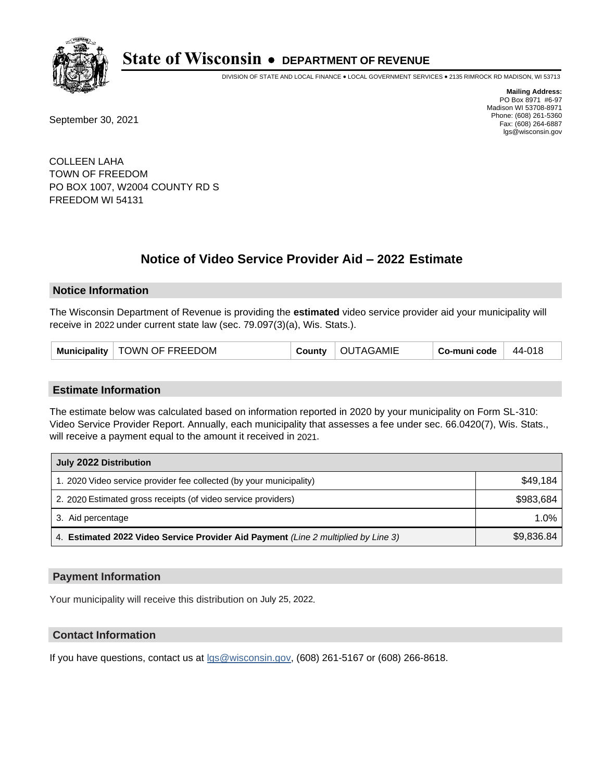

DIVISION OF STATE AND LOCAL FINANCE • LOCAL GOVERNMENT SERVICES • 2135 RIMROCK RD MADISON, WI 53713

September 30, 2021

**Mailing Address:** PO Box 8971 #6-97 Madison WI 53708-8971 Phone: (608) 261-5360 Fax: (608) 264-6887 lgs@wisconsin.gov

COLLEEN LAHA TOWN OF FREEDOM PO BOX 1007, W2004 COUNTY RD S FREEDOM WI 54131

# **Notice of Video Service Provider Aid - 2022 Estimate**

#### **Notice Information**

The Wisconsin Department of Revenue is providing the **estimated** video service provider aid your municipality will receive in 2022 under current state law (sec. 79.097(3)(a), Wis. Stats.).

| Municipality   TOWN OF FREEDOM | <b>County</b> | OUTAGAMIE | Co-muni code | 44-018 |
|--------------------------------|---------------|-----------|--------------|--------|
|--------------------------------|---------------|-----------|--------------|--------|

#### **Estimate Information**

The estimate below was calculated based on information reported in 2020 by your municipality on Form SL-310: Video Service Provider Report. Annually, each municipality that assesses a fee under sec. 66.0420(7), Wis. Stats., will receive a payment equal to the amount it received in 2021.

| July 2022 Distribution                                                             |            |
|------------------------------------------------------------------------------------|------------|
| 1. 2020 Video service provider fee collected (by your municipality)                | \$49.184   |
| 2. 2020 Estimated gross receipts (of video service providers)                      | \$983.684  |
| 3. Aid percentage                                                                  | $1.0\%$    |
| 4. Estimated 2022 Video Service Provider Aid Payment (Line 2 multiplied by Line 3) | \$9,836.84 |

#### **Payment Information**

Your municipality will receive this distribution on July 25, 2022.

## **Contact Information**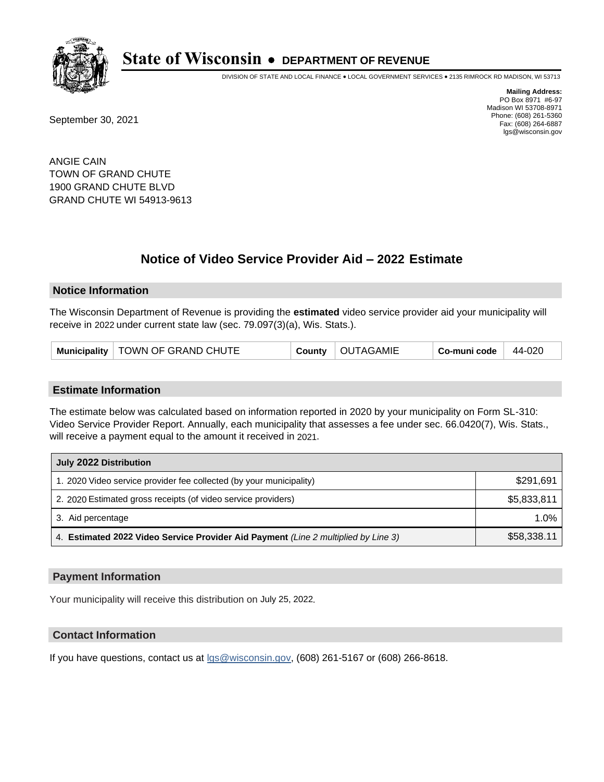

DIVISION OF STATE AND LOCAL FINANCE • LOCAL GOVERNMENT SERVICES • 2135 RIMROCK RD MADISON, WI 53713

September 30, 2021

**Mailing Address:** PO Box 8971 #6-97 Madison WI 53708-8971 Phone: (608) 261-5360 Fax: (608) 264-6887 lgs@wisconsin.gov

ANGIE CAIN TOWN OF GRAND CHUTE 1900 GRAND CHUTE BLVD GRAND CHUTE WI 54913-9613

## **Notice of Video Service Provider Aid - 2022 Estimate**

#### **Notice Information**

The Wisconsin Department of Revenue is providing the **estimated** video service provider aid your municipality will receive in 2022 under current state law (sec. 79.097(3)(a), Wis. Stats.).

#### **Estimate Information**

The estimate below was calculated based on information reported in 2020 by your municipality on Form SL-310: Video Service Provider Report. Annually, each municipality that assesses a fee under sec. 66.0420(7), Wis. Stats., will receive a payment equal to the amount it received in 2021.

| July 2022 Distribution                                                             |             |
|------------------------------------------------------------------------------------|-------------|
| 1. 2020 Video service provider fee collected (by your municipality)                | \$291,691   |
| 2. 2020 Estimated gross receipts (of video service providers)                      | \$5,833,811 |
| 3. Aid percentage                                                                  | $1.0\%$     |
| 4. Estimated 2022 Video Service Provider Aid Payment (Line 2 multiplied by Line 3) | \$58,338.11 |

#### **Payment Information**

Your municipality will receive this distribution on July 25, 2022.

## **Contact Information**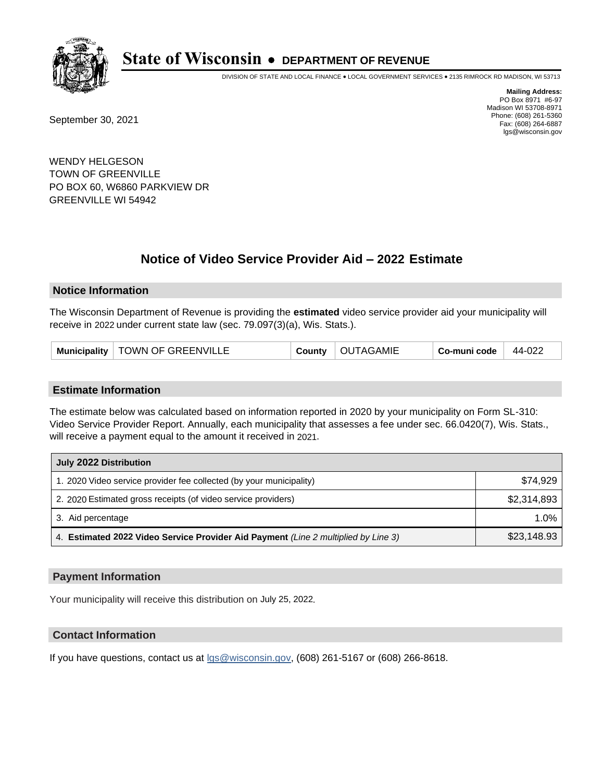

DIVISION OF STATE AND LOCAL FINANCE • LOCAL GOVERNMENT SERVICES • 2135 RIMROCK RD MADISON, WI 53713

September 30, 2021

**Mailing Address:** PO Box 8971 #6-97 Madison WI 53708-8971 Phone: (608) 261-5360 Fax: (608) 264-6887 lgs@wisconsin.gov

WENDY HELGESON TOWN OF GREENVILLE PO BOX 60, W6860 PARKVIEW DR GREENVILLE WI 54942

# **Notice of Video Service Provider Aid - 2022 Estimate**

#### **Notice Information**

The Wisconsin Department of Revenue is providing the **estimated** video service provider aid your municipality will receive in 2022 under current state law (sec. 79.097(3)(a), Wis. Stats.).

| Municipality   TOWN OF GREENVILLE | <b>County</b> | OUTAGAMIE | Co-muni code | 44-022 |
|-----------------------------------|---------------|-----------|--------------|--------|
|-----------------------------------|---------------|-----------|--------------|--------|

#### **Estimate Information**

The estimate below was calculated based on information reported in 2020 by your municipality on Form SL-310: Video Service Provider Report. Annually, each municipality that assesses a fee under sec. 66.0420(7), Wis. Stats., will receive a payment equal to the amount it received in 2021.

| July 2022 Distribution                                                             |             |
|------------------------------------------------------------------------------------|-------------|
| 1. 2020 Video service provider fee collected (by your municipality)                | \$74.929    |
| 2. 2020 Estimated gross receipts (of video service providers)                      | \$2,314,893 |
| 3. Aid percentage                                                                  | 1.0%        |
| 4. Estimated 2022 Video Service Provider Aid Payment (Line 2 multiplied by Line 3) | \$23,148.93 |

#### **Payment Information**

Your municipality will receive this distribution on July 25, 2022.

## **Contact Information**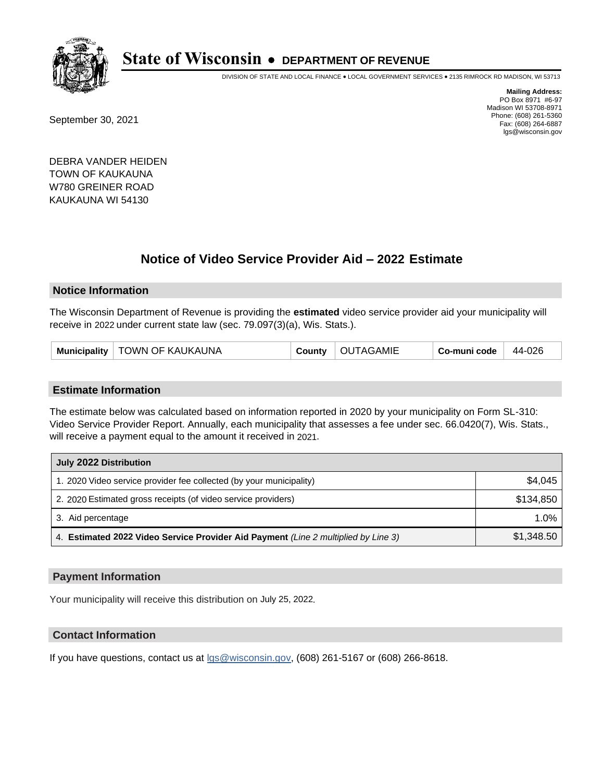

DIVISION OF STATE AND LOCAL FINANCE • LOCAL GOVERNMENT SERVICES • 2135 RIMROCK RD MADISON, WI 53713

September 30, 2021

**Mailing Address:** PO Box 8971 #6-97 Madison WI 53708-8971 Phone: (608) 261-5360 Fax: (608) 264-6887 lgs@wisconsin.gov

DEBRA VANDER HEIDEN TOWN OF KAUKAUNA W780 GREINER ROAD KAUKAUNA WI 54130

## **Notice of Video Service Provider Aid - 2022 Estimate**

#### **Notice Information**

The Wisconsin Department of Revenue is providing the **estimated** video service provider aid your municipality will receive in 2022 under current state law (sec. 79.097(3)(a), Wis. Stats.).

| Municipality   TOWN OF KAUKAUNA |  | County   OUTAGAMIE | Co-muni code | 44-026 |
|---------------------------------|--|--------------------|--------------|--------|
|---------------------------------|--|--------------------|--------------|--------|

#### **Estimate Information**

The estimate below was calculated based on information reported in 2020 by your municipality on Form SL-310: Video Service Provider Report. Annually, each municipality that assesses a fee under sec. 66.0420(7), Wis. Stats., will receive a payment equal to the amount it received in 2021.

| July 2022 Distribution                                                             |            |
|------------------------------------------------------------------------------------|------------|
| 1. 2020 Video service provider fee collected (by your municipality)                | \$4,045    |
| 2. 2020 Estimated gross receipts (of video service providers)                      | \$134.850  |
| 3. Aid percentage                                                                  | 1.0%       |
| 4. Estimated 2022 Video Service Provider Aid Payment (Line 2 multiplied by Line 3) | \$1,348.50 |

#### **Payment Information**

Your municipality will receive this distribution on July 25, 2022.

## **Contact Information**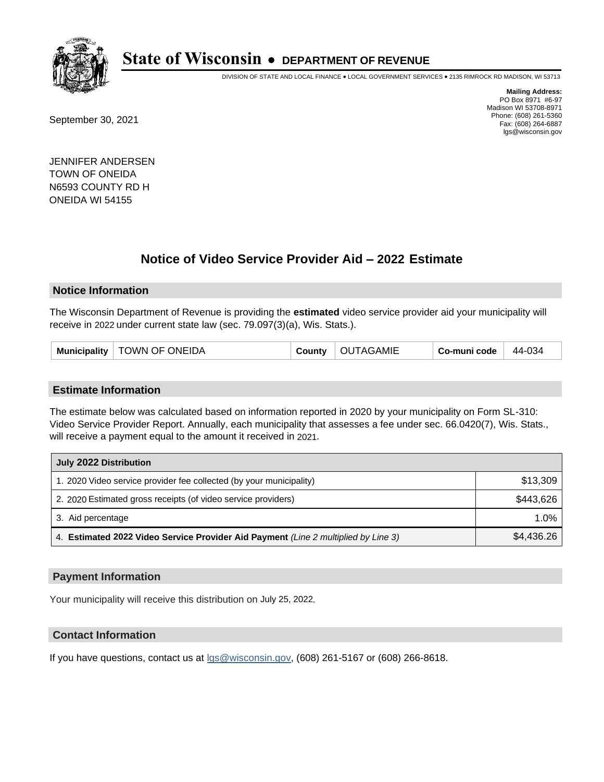

DIVISION OF STATE AND LOCAL FINANCE • LOCAL GOVERNMENT SERVICES • 2135 RIMROCK RD MADISON, WI 53713

September 30, 2021

**Mailing Address:** PO Box 8971 #6-97 Madison WI 53708-8971 Phone: (608) 261-5360 Fax: (608) 264-6887 lgs@wisconsin.gov

JENNIFER ANDERSEN TOWN OF ONEIDA N6593 COUNTY RD H ONEIDA WI 54155

## **Notice of Video Service Provider Aid - 2022 Estimate**

#### **Notice Information**

The Wisconsin Department of Revenue is providing the **estimated** video service provider aid your municipality will receive in 2022 under current state law (sec. 79.097(3)(a), Wis. Stats.).

| <b>TOWN OF ONEIDA</b><br><b>OUTAGAMIE</b><br><b>Municipality</b><br>County | 44-034<br>Co-muni code |
|----------------------------------------------------------------------------|------------------------|
|----------------------------------------------------------------------------|------------------------|

#### **Estimate Information**

The estimate below was calculated based on information reported in 2020 by your municipality on Form SL-310: Video Service Provider Report. Annually, each municipality that assesses a fee under sec. 66.0420(7), Wis. Stats., will receive a payment equal to the amount it received in 2021.

| July 2022 Distribution                                                             |            |
|------------------------------------------------------------------------------------|------------|
| 1. 2020 Video service provider fee collected (by your municipality)                | \$13,309   |
| 2. 2020 Estimated gross receipts (of video service providers)                      | \$443.626  |
| 3. Aid percentage                                                                  | 1.0%       |
| 4. Estimated 2022 Video Service Provider Aid Payment (Line 2 multiplied by Line 3) | \$4.436.26 |

#### **Payment Information**

Your municipality will receive this distribution on July 25, 2022.

## **Contact Information**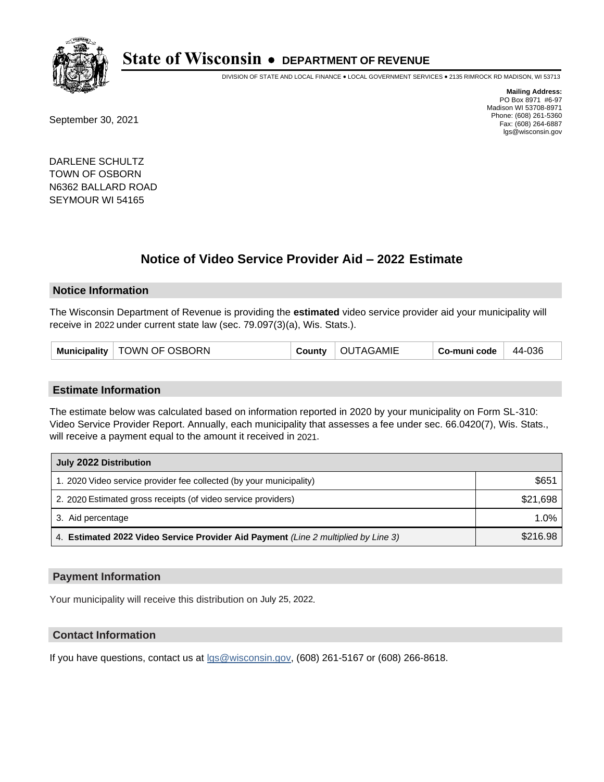

DIVISION OF STATE AND LOCAL FINANCE • LOCAL GOVERNMENT SERVICES • 2135 RIMROCK RD MADISON, WI 53713

September 30, 2021

**Mailing Address:** PO Box 8971 #6-97 Madison WI 53708-8971 Phone: (608) 261-5360 Fax: (608) 264-6887 lgs@wisconsin.gov

DARLENE SCHULTZ TOWN OF OSBORN N6362 BALLARD ROAD SEYMOUR WI 54165

## **Notice of Video Service Provider Aid - 2022 Estimate**

#### **Notice Information**

The Wisconsin Department of Revenue is providing the **estimated** video service provider aid your municipality will receive in 2022 under current state law (sec. 79.097(3)(a), Wis. Stats.).

| Municipality   TOWN OF OSBORN | <b>County</b> | OUTAGAMIE | Co-muni code | 44-036 |
|-------------------------------|---------------|-----------|--------------|--------|
|-------------------------------|---------------|-----------|--------------|--------|

#### **Estimate Information**

The estimate below was calculated based on information reported in 2020 by your municipality on Form SL-310: Video Service Provider Report. Annually, each municipality that assesses a fee under sec. 66.0420(7), Wis. Stats., will receive a payment equal to the amount it received in 2021.

| July 2022 Distribution                                                             |          |  |
|------------------------------------------------------------------------------------|----------|--|
| 1. 2020 Video service provider fee collected (by your municipality)                | \$651    |  |
| 2. 2020 Estimated gross receipts (of video service providers)                      | \$21,698 |  |
| 3. Aid percentage                                                                  | $1.0\%$  |  |
| 4. Estimated 2022 Video Service Provider Aid Payment (Line 2 multiplied by Line 3) | \$216.98 |  |

### **Payment Information**

Your municipality will receive this distribution on July 25, 2022.

## **Contact Information**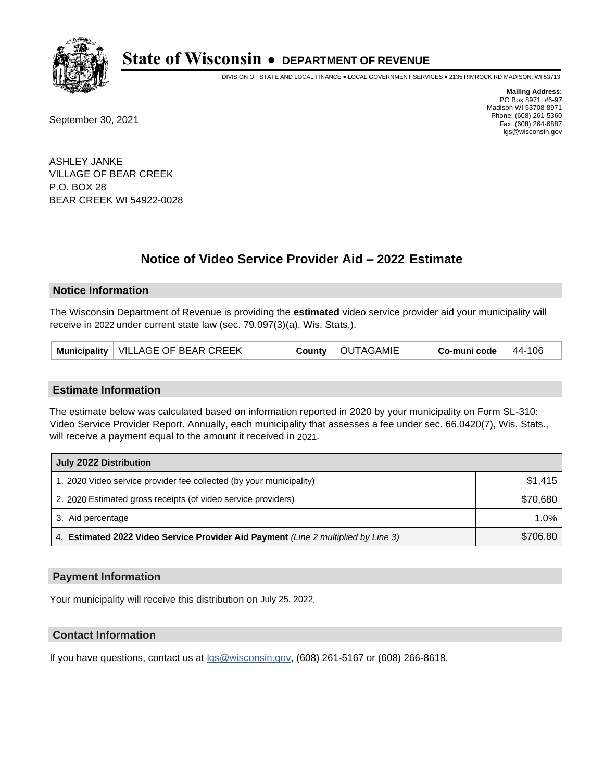

DIVISION OF STATE AND LOCAL FINANCE • LOCAL GOVERNMENT SERVICES • 2135 RIMROCK RD MADISON, WI 53713

September 30, 2021

**Mailing Address:** PO Box 8971 #6-97 Madison WI 53708-8971 Phone: (608) 261-5360 Fax: (608) 264-6887 lgs@wisconsin.gov

ASHLEY JANKE VILLAGE OF BEAR CREEK P.O. BOX 28 BEAR CREEK WI 54922-0028

## **Notice of Video Service Provider Aid - 2022 Estimate**

#### **Notice Information**

The Wisconsin Department of Revenue is providing the **estimated** video service provider aid your municipality will receive in 2022 under current state law (sec. 79.097(3)(a), Wis. Stats.).

| Municipality   VILLAGE OF BEAR CREEK |  | County   OUTAGAMIE | Co-muni code $\vert$ 44-106 |  |
|--------------------------------------|--|--------------------|-----------------------------|--|
|--------------------------------------|--|--------------------|-----------------------------|--|

#### **Estimate Information**

The estimate below was calculated based on information reported in 2020 by your municipality on Form SL-310: Video Service Provider Report. Annually, each municipality that assesses a fee under sec. 66.0420(7), Wis. Stats., will receive a payment equal to the amount it received in 2021.

| July 2022 Distribution                                                             |          |  |
|------------------------------------------------------------------------------------|----------|--|
| 1. 2020 Video service provider fee collected (by your municipality)                | \$1,415  |  |
| 2. 2020 Estimated gross receipts (of video service providers)                      | \$70,680 |  |
| 3. Aid percentage                                                                  | $1.0\%$  |  |
| 4. Estimated 2022 Video Service Provider Aid Payment (Line 2 multiplied by Line 3) | \$706.80 |  |

#### **Payment Information**

Your municipality will receive this distribution on July 25, 2022.

## **Contact Information**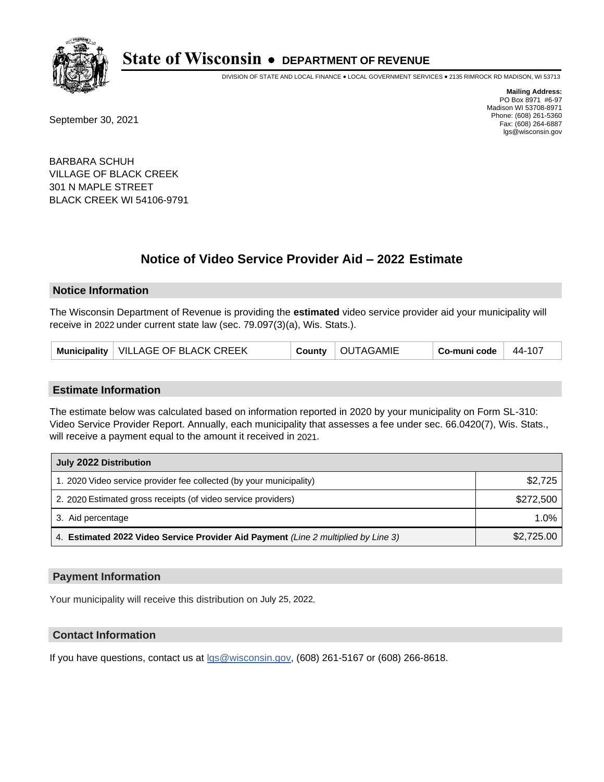

DIVISION OF STATE AND LOCAL FINANCE • LOCAL GOVERNMENT SERVICES • 2135 RIMROCK RD MADISON, WI 53713

September 30, 2021

**Mailing Address:** PO Box 8971 #6-97 Madison WI 53708-8971 Phone: (608) 261-5360 Fax: (608) 264-6887 lgs@wisconsin.gov

BARBARA SCHUH VILLAGE OF BLACK CREEK 301 N MAPLE STREET BLACK CREEK WI 54106-9791

## **Notice of Video Service Provider Aid - 2022 Estimate**

#### **Notice Information**

The Wisconsin Department of Revenue is providing the **estimated** video service provider aid your municipality will receive in 2022 under current state law (sec. 79.097(3)(a), Wis. Stats.).

| Municipality   VILLAGE OF BLACK CREEK |  | County   OUTAGAMIE | Co-muni code | $44-107$ |
|---------------------------------------|--|--------------------|--------------|----------|
|---------------------------------------|--|--------------------|--------------|----------|

#### **Estimate Information**

The estimate below was calculated based on information reported in 2020 by your municipality on Form SL-310: Video Service Provider Report. Annually, each municipality that assesses a fee under sec. 66.0420(7), Wis. Stats., will receive a payment equal to the amount it received in 2021.

| July 2022 Distribution                                                             |            |  |
|------------------------------------------------------------------------------------|------------|--|
| 1. 2020 Video service provider fee collected (by your municipality)                | \$2.725    |  |
| 2. 2020 Estimated gross receipts (of video service providers)                      | \$272,500  |  |
| 3. Aid percentage                                                                  | 1.0%       |  |
| 4. Estimated 2022 Video Service Provider Aid Payment (Line 2 multiplied by Line 3) | \$2,725.00 |  |

#### **Payment Information**

Your municipality will receive this distribution on July 25, 2022.

## **Contact Information**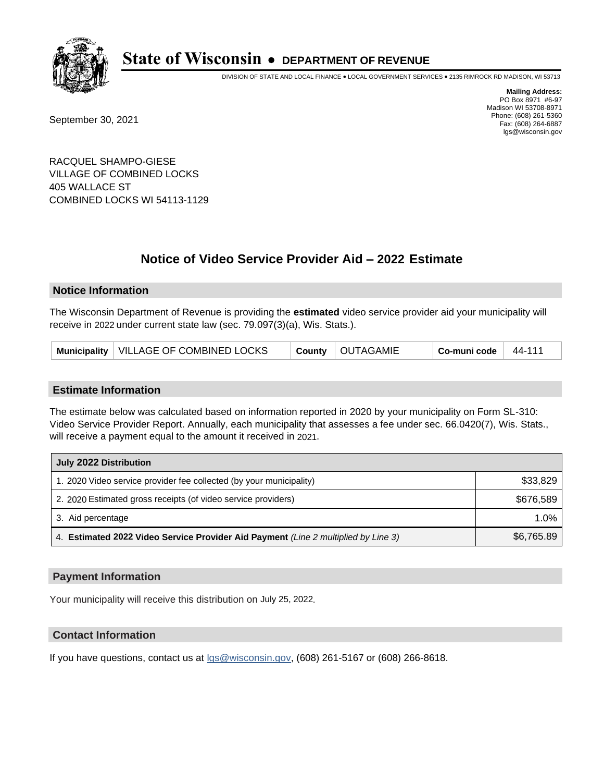

DIVISION OF STATE AND LOCAL FINANCE • LOCAL GOVERNMENT SERVICES • 2135 RIMROCK RD MADISON, WI 53713

September 30, 2021

**Mailing Address:** PO Box 8971 #6-97 Madison WI 53708-8971 Phone: (608) 261-5360 Fax: (608) 264-6887 lgs@wisconsin.gov

RACQUEL SHAMPO-GIESE VILLAGE OF COMBINED LOCKS 405 WALLACE ST COMBINED LOCKS WI 54113-1129

# **Notice of Video Service Provider Aid - 2022 Estimate**

### **Notice Information**

The Wisconsin Department of Revenue is providing the **estimated** video service provider aid your municipality will receive in 2022 under current state law (sec. 79.097(3)(a), Wis. Stats.).

| Municipality   VILLAGE OF COMBINED LOCKS | County   OUTAGAMIE | Co-muni code | 44-111 |
|------------------------------------------|--------------------|--------------|--------|
|------------------------------------------|--------------------|--------------|--------|

#### **Estimate Information**

The estimate below was calculated based on information reported in 2020 by your municipality on Form SL-310: Video Service Provider Report. Annually, each municipality that assesses a fee under sec. 66.0420(7), Wis. Stats., will receive a payment equal to the amount it received in 2021.

| July 2022 Distribution                                                             |            |  |
|------------------------------------------------------------------------------------|------------|--|
| 1. 2020 Video service provider fee collected (by your municipality)                | \$33,829   |  |
| 2. 2020 Estimated gross receipts (of video service providers)                      | \$676.589  |  |
| 3. Aid percentage                                                                  | 1.0%       |  |
| 4. Estimated 2022 Video Service Provider Aid Payment (Line 2 multiplied by Line 3) | \$6,765.89 |  |

#### **Payment Information**

Your municipality will receive this distribution on July 25, 2022.

## **Contact Information**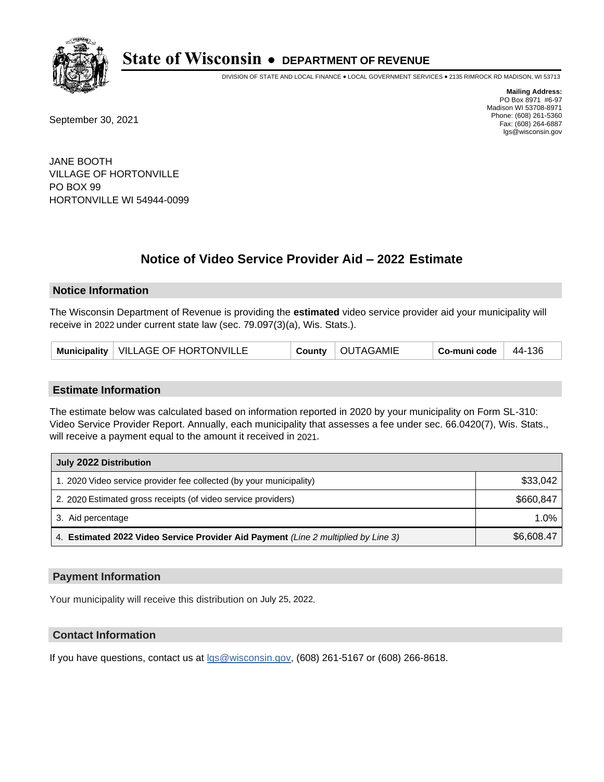

DIVISION OF STATE AND LOCAL FINANCE • LOCAL GOVERNMENT SERVICES • 2135 RIMROCK RD MADISON, WI 53713

September 30, 2021

**Mailing Address:** PO Box 8971 #6-97 Madison WI 53708-8971 Phone: (608) 261-5360 Fax: (608) 264-6887 lgs@wisconsin.gov

JANE BOOTH VILLAGE OF HORTONVILLE PO BOX 99 HORTONVILLE WI 54944-0099

# **Notice of Video Service Provider Aid - 2022 Estimate**

### **Notice Information**

The Wisconsin Department of Revenue is providing the **estimated** video service provider aid your municipality will receive in 2022 under current state law (sec. 79.097(3)(a), Wis. Stats.).

| Municipality   VILLAGE OF HORTONVILLE |  | County   OUTAGAMIE | $Co$ -muni code | 44-136 |
|---------------------------------------|--|--------------------|-----------------|--------|
|---------------------------------------|--|--------------------|-----------------|--------|

#### **Estimate Information**

The estimate below was calculated based on information reported in 2020 by your municipality on Form SL-310: Video Service Provider Report. Annually, each municipality that assesses a fee under sec. 66.0420(7), Wis. Stats., will receive a payment equal to the amount it received in 2021.

| July 2022 Distribution                                                             |            |  |
|------------------------------------------------------------------------------------|------------|--|
| 1. 2020 Video service provider fee collected (by your municipality)                | \$33,042   |  |
| 2. 2020 Estimated gross receipts (of video service providers)                      | \$660.847  |  |
| 3. Aid percentage                                                                  | 1.0%       |  |
| 4. Estimated 2022 Video Service Provider Aid Payment (Line 2 multiplied by Line 3) | \$6,608.47 |  |

#### **Payment Information**

Your municipality will receive this distribution on July 25, 2022.

## **Contact Information**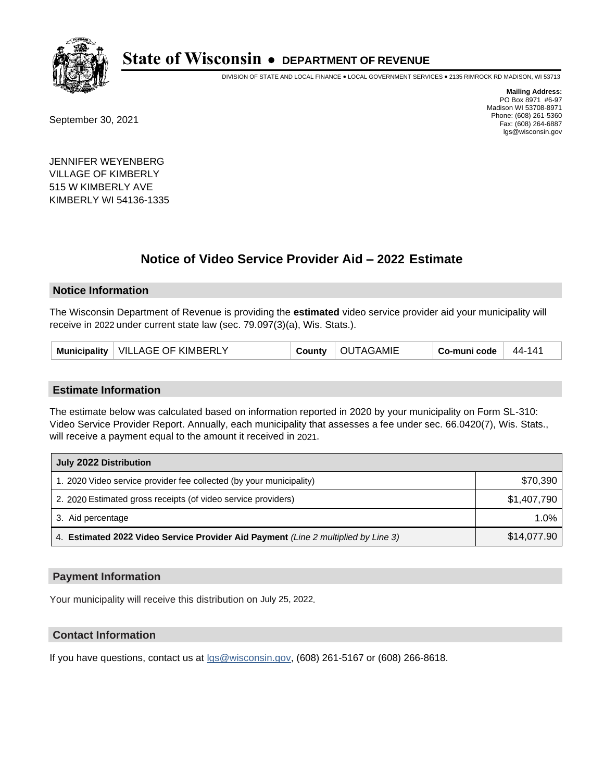

DIVISION OF STATE AND LOCAL FINANCE • LOCAL GOVERNMENT SERVICES • 2135 RIMROCK RD MADISON, WI 53713

September 30, 2021

**Mailing Address:** PO Box 8971 #6-97 Madison WI 53708-8971 Phone: (608) 261-5360 Fax: (608) 264-6887 lgs@wisconsin.gov

JENNIFER WEYENBERG VILLAGE OF KIMBERLY 515 W KIMBERLY AVE KIMBERLY WI 54136-1335

## **Notice of Video Service Provider Aid - 2022 Estimate**

#### **Notice Information**

The Wisconsin Department of Revenue is providing the **estimated** video service provider aid your municipality will receive in 2022 under current state law (sec. 79.097(3)(a), Wis. Stats.).

| <b>VILLAGE OF KIMBERLY</b><br><b>Municipality</b><br>м | 44-141<br>`AGAMIE<br>Co-muni code |  |
|--------------------------------------------------------|-----------------------------------|--|
|--------------------------------------------------------|-----------------------------------|--|

#### **Estimate Information**

The estimate below was calculated based on information reported in 2020 by your municipality on Form SL-310: Video Service Provider Report. Annually, each municipality that assesses a fee under sec. 66.0420(7), Wis. Stats., will receive a payment equal to the amount it received in 2021.

| July 2022 Distribution                                                             |             |  |
|------------------------------------------------------------------------------------|-------------|--|
| 1. 2020 Video service provider fee collected (by your municipality)                | \$70,390    |  |
| 2. 2020 Estimated gross receipts (of video service providers)                      | \$1,407,790 |  |
| 3. Aid percentage                                                                  | $1.0\%$     |  |
| 4. Estimated 2022 Video Service Provider Aid Payment (Line 2 multiplied by Line 3) | \$14,077.90 |  |

#### **Payment Information**

Your municipality will receive this distribution on July 25, 2022.

## **Contact Information**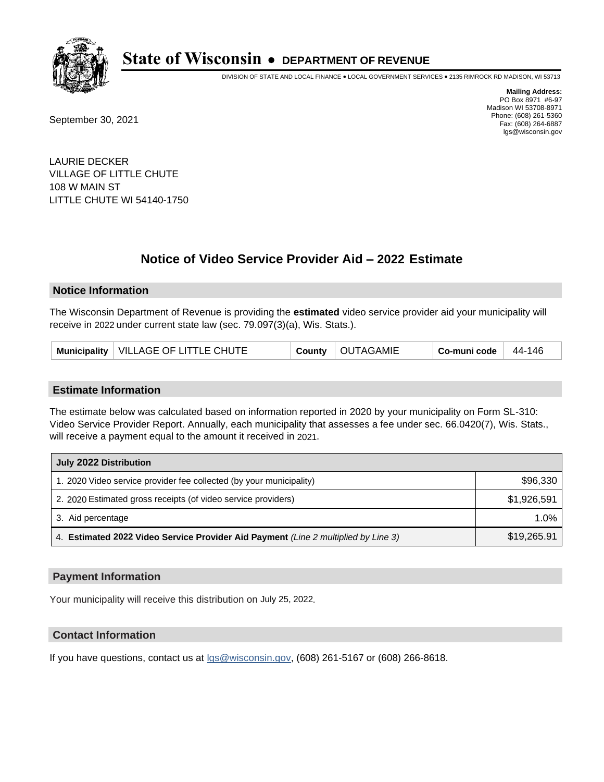

DIVISION OF STATE AND LOCAL FINANCE • LOCAL GOVERNMENT SERVICES • 2135 RIMROCK RD MADISON, WI 53713

September 30, 2021

**Mailing Address:** PO Box 8971 #6-97 Madison WI 53708-8971 Phone: (608) 261-5360 Fax: (608) 264-6887 lgs@wisconsin.gov

LAURIE DECKER VILLAGE OF LITTLE CHUTE 108 W MAIN ST LITTLE CHUTE WI 54140-1750

## **Notice of Video Service Provider Aid - 2022 Estimate**

#### **Notice Information**

The Wisconsin Department of Revenue is providing the **estimated** video service provider aid your municipality will receive in 2022 under current state law (sec. 79.097(3)(a), Wis. Stats.).

| Municipality   VILLAGE OF LITTLE CHUTE |  | County   OUTAGAMIE | $\vert$ Co-muni code $\vert$ 44-146 |  |
|----------------------------------------|--|--------------------|-------------------------------------|--|
|----------------------------------------|--|--------------------|-------------------------------------|--|

#### **Estimate Information**

The estimate below was calculated based on information reported in 2020 by your municipality on Form SL-310: Video Service Provider Report. Annually, each municipality that assesses a fee under sec. 66.0420(7), Wis. Stats., will receive a payment equal to the amount it received in 2021.

| July 2022 Distribution                                                             |             |  |
|------------------------------------------------------------------------------------|-------------|--|
| 1. 2020 Video service provider fee collected (by your municipality)                | \$96,330    |  |
| 2. 2020 Estimated gross receipts (of video service providers)                      | \$1.926.591 |  |
| 3. Aid percentage                                                                  | $1.0\%$     |  |
| 4. Estimated 2022 Video Service Provider Aid Payment (Line 2 multiplied by Line 3) | \$19,265.91 |  |

#### **Payment Information**

Your municipality will receive this distribution on July 25, 2022.

## **Contact Information**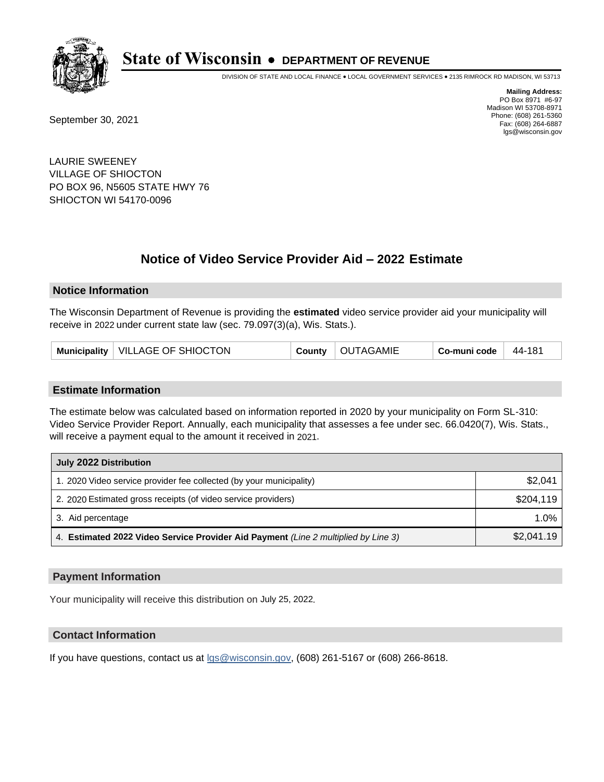

DIVISION OF STATE AND LOCAL FINANCE • LOCAL GOVERNMENT SERVICES • 2135 RIMROCK RD MADISON, WI 53713

September 30, 2021

**Mailing Address:** PO Box 8971 #6-97 Madison WI 53708-8971 Phone: (608) 261-5360 Fax: (608) 264-6887 lgs@wisconsin.gov

LAURIE SWEENEY VILLAGE OF SHIOCTON PO BOX 96, N5605 STATE HWY 76 SHIOCTON WI 54170-0096

# **Notice of Video Service Provider Aid - 2022 Estimate**

#### **Notice Information**

The Wisconsin Department of Revenue is providing the **estimated** video service provider aid your municipality will receive in 2022 under current state law (sec. 79.097(3)(a), Wis. Stats.).

| Municipality   VILLAGE OF SHIOCTON | County | OUTAGAMIE | Co-muni code | $44 - 181$ |
|------------------------------------|--------|-----------|--------------|------------|
|------------------------------------|--------|-----------|--------------|------------|

#### **Estimate Information**

The estimate below was calculated based on information reported in 2020 by your municipality on Form SL-310: Video Service Provider Report. Annually, each municipality that assesses a fee under sec. 66.0420(7), Wis. Stats., will receive a payment equal to the amount it received in 2021.

| July 2022 Distribution                                                             |            |  |
|------------------------------------------------------------------------------------|------------|--|
| 1. 2020 Video service provider fee collected (by your municipality)                | \$2,041    |  |
| 2. 2020 Estimated gross receipts (of video service providers)                      | \$204,119  |  |
| 3. Aid percentage                                                                  | $1.0\%$    |  |
| 4. Estimated 2022 Video Service Provider Aid Payment (Line 2 multiplied by Line 3) | \$2,041.19 |  |

#### **Payment Information**

Your municipality will receive this distribution on July 25, 2022.

## **Contact Information**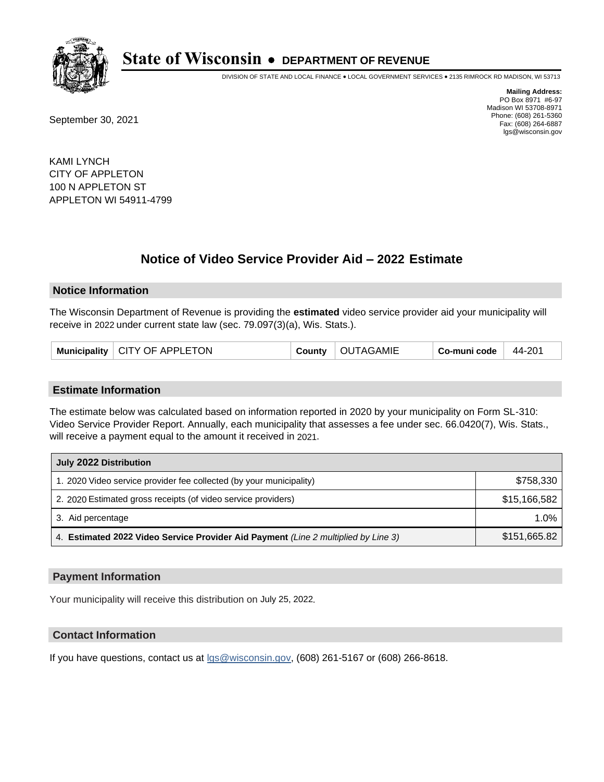

DIVISION OF STATE AND LOCAL FINANCE • LOCAL GOVERNMENT SERVICES • 2135 RIMROCK RD MADISON, WI 53713

September 30, 2021

**Mailing Address:** PO Box 8971 #6-97 Madison WI 53708-8971 Phone: (608) 261-5360 Fax: (608) 264-6887 lgs@wisconsin.gov

KAMI LYNCH CITY OF APPLETON 100 N APPLETON ST APPLETON WI 54911-4799

## **Notice of Video Service Provider Aid - 2022 Estimate**

#### **Notice Information**

The Wisconsin Department of Revenue is providing the **estimated** video service provider aid your municipality will receive in 2022 under current state law (sec. 79.097(3)(a), Wis. Stats.).

| Municipality   CITY OF APPLETON |  | County   OUTAGAMIE | Co-muni code | 44-201 |
|---------------------------------|--|--------------------|--------------|--------|
|---------------------------------|--|--------------------|--------------|--------|

#### **Estimate Information**

The estimate below was calculated based on information reported in 2020 by your municipality on Form SL-310: Video Service Provider Report. Annually, each municipality that assesses a fee under sec. 66.0420(7), Wis. Stats., will receive a payment equal to the amount it received in 2021.

| July 2022 Distribution                                                             |              |
|------------------------------------------------------------------------------------|--------------|
| 1. 2020 Video service provider fee collected (by your municipality)                | \$758,330    |
| 2. 2020 Estimated gross receipts (of video service providers)                      | \$15,166,582 |
| 3. Aid percentage                                                                  | 1.0%         |
| 4. Estimated 2022 Video Service Provider Aid Payment (Line 2 multiplied by Line 3) | \$151,665.82 |

#### **Payment Information**

Your municipality will receive this distribution on July 25, 2022.

## **Contact Information**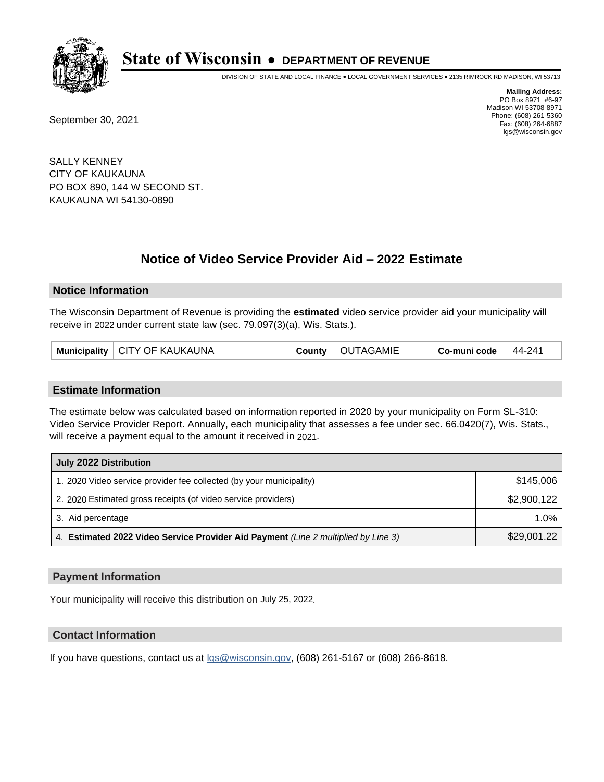

DIVISION OF STATE AND LOCAL FINANCE • LOCAL GOVERNMENT SERVICES • 2135 RIMROCK RD MADISON, WI 53713

September 30, 2021

**Mailing Address:** PO Box 8971 #6-97 Madison WI 53708-8971 Phone: (608) 261-5360 Fax: (608) 264-6887 lgs@wisconsin.gov

SALLY KENNEY CITY OF KAUKAUNA PO BOX 890, 144 W SECOND ST. KAUKAUNA WI 54130-0890

# **Notice of Video Service Provider Aid - 2022 Estimate**

#### **Notice Information**

The Wisconsin Department of Revenue is providing the **estimated** video service provider aid your municipality will receive in 2022 under current state law (sec. 79.097(3)(a), Wis. Stats.).

| Municipality   CITY OF KAUKAUNA |  | County   OUTAGAMIE | Co-muni code | 44-241 |
|---------------------------------|--|--------------------|--------------|--------|
|---------------------------------|--|--------------------|--------------|--------|

#### **Estimate Information**

The estimate below was calculated based on information reported in 2020 by your municipality on Form SL-310: Video Service Provider Report. Annually, each municipality that assesses a fee under sec. 66.0420(7), Wis. Stats., will receive a payment equal to the amount it received in 2021.

| July 2022 Distribution                                                             |             |
|------------------------------------------------------------------------------------|-------------|
| 1. 2020 Video service provider fee collected (by your municipality)                | \$145,006   |
| 2. 2020 Estimated gross receipts (of video service providers)                      | \$2,900,122 |
| 3. Aid percentage                                                                  | 1.0%        |
| 4. Estimated 2022 Video Service Provider Aid Payment (Line 2 multiplied by Line 3) | \$29,001.22 |

#### **Payment Information**

Your municipality will receive this distribution on July 25, 2022.

## **Contact Information**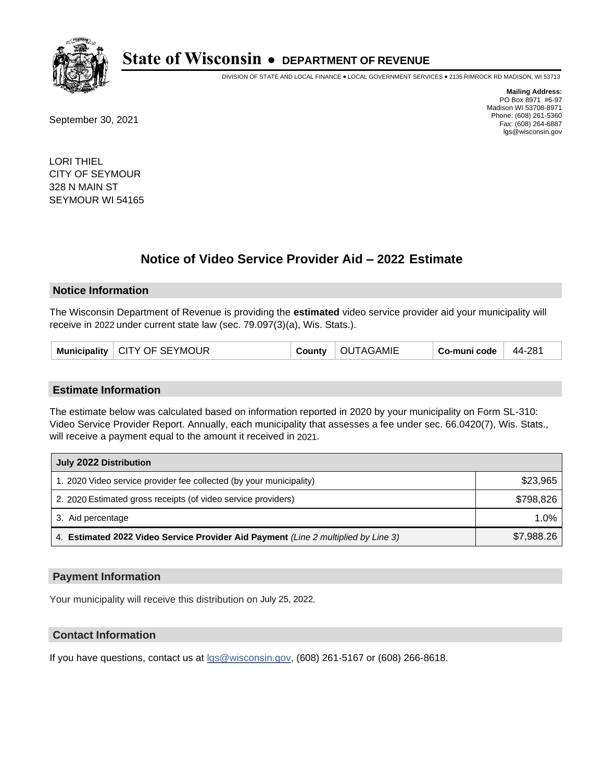

DIVISION OF STATE AND LOCAL FINANCE • LOCAL GOVERNMENT SERVICES • 2135 RIMROCK RD MADISON, WI 53713

September 30, 2021

**Mailing Address:** PO Box 8971 #6-97 Madison WI 53708-8971 Phone: (608) 261-5360 Fax: (608) 264-6887 lgs@wisconsin.gov

LORI THIEL CITY OF SEYMOUR 328 N MAIN ST SEYMOUR WI 54165

# **Notice of Video Service Provider Aid - 2022 Estimate**

#### **Notice Information**

The Wisconsin Department of Revenue is providing the **estimated** video service provider aid your municipality will receive in 2022 under current state law (sec. 79.097(3)(a), Wis. Stats.).

| Municipality   CITY OF SEYMOUR | County | OUTAGAMIE | Co-muni code | 44-281 |
|--------------------------------|--------|-----------|--------------|--------|
|--------------------------------|--------|-----------|--------------|--------|

#### **Estimate Information**

The estimate below was calculated based on information reported in 2020 by your municipality on Form SL-310: Video Service Provider Report. Annually, each municipality that assesses a fee under sec. 66.0420(7), Wis. Stats., will receive a payment equal to the amount it received in 2021.

| July 2022 Distribution                                                             |            |
|------------------------------------------------------------------------------------|------------|
| 1. 2020 Video service provider fee collected (by your municipality)                | \$23,965   |
| 2. 2020 Estimated gross receipts (of video service providers)                      | \$798.826  |
| 3. Aid percentage                                                                  | 1.0%       |
| 4. Estimated 2022 Video Service Provider Aid Payment (Line 2 multiplied by Line 3) | \$7,988.26 |

#### **Payment Information**

Your municipality will receive this distribution on July 25, 2022.

## **Contact Information**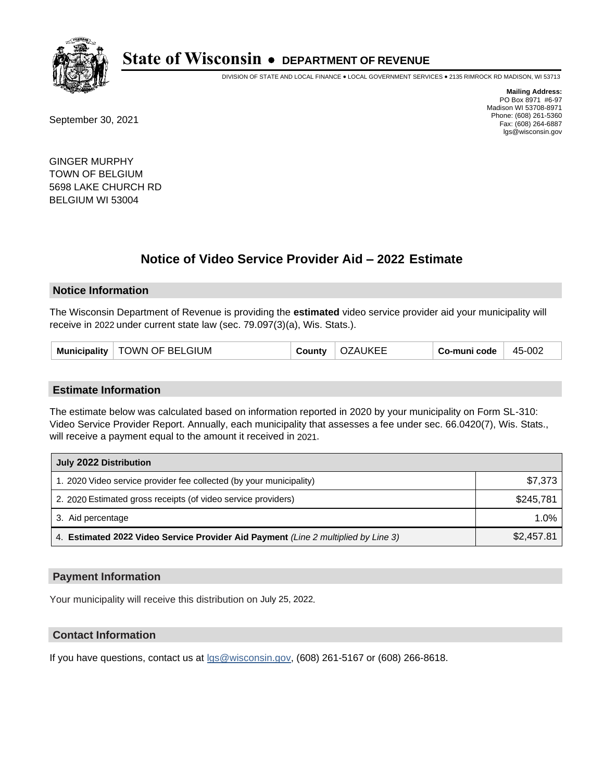

DIVISION OF STATE AND LOCAL FINANCE • LOCAL GOVERNMENT SERVICES • 2135 RIMROCK RD MADISON, WI 53713

September 30, 2021

**Mailing Address:** PO Box 8971 #6-97 Madison WI 53708-8971 Phone: (608) 261-5360 Fax: (608) 264-6887 lgs@wisconsin.gov

GINGER MURPHY TOWN OF BELGIUM 5698 LAKE CHURCH RD BELGIUM WI 53004

## **Notice of Video Service Provider Aid - 2022 Estimate**

#### **Notice Information**

The Wisconsin Department of Revenue is providing the **estimated** video service provider aid your municipality will receive in 2022 under current state law (sec. 79.097(3)(a), Wis. Stats.).

| Municipality   TOWN OF BELGIUM | County | <b>OZAUKEE</b> | Co-muni code | 45-002 |
|--------------------------------|--------|----------------|--------------|--------|
|--------------------------------|--------|----------------|--------------|--------|

#### **Estimate Information**

The estimate below was calculated based on information reported in 2020 by your municipality on Form SL-310: Video Service Provider Report. Annually, each municipality that assesses a fee under sec. 66.0420(7), Wis. Stats., will receive a payment equal to the amount it received in 2021.

| July 2022 Distribution                                                             |            |
|------------------------------------------------------------------------------------|------------|
| 1. 2020 Video service provider fee collected (by your municipality)                | \$7,373    |
| 2. 2020 Estimated gross receipts (of video service providers)                      | \$245.781  |
| 3. Aid percentage                                                                  | $1.0\%$    |
| 4. Estimated 2022 Video Service Provider Aid Payment (Line 2 multiplied by Line 3) | \$2,457.81 |

#### **Payment Information**

Your municipality will receive this distribution on July 25, 2022.

## **Contact Information**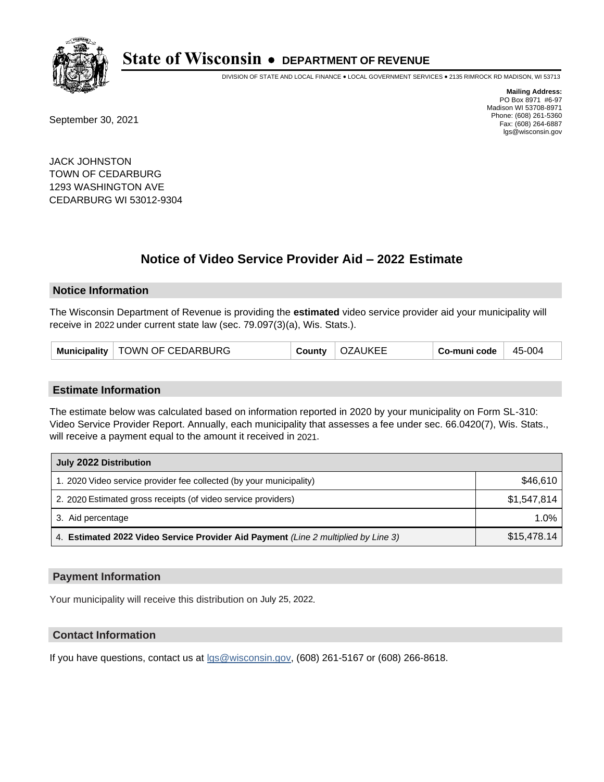

DIVISION OF STATE AND LOCAL FINANCE • LOCAL GOVERNMENT SERVICES • 2135 RIMROCK RD MADISON, WI 53713

September 30, 2021

**Mailing Address:** PO Box 8971 #6-97 Madison WI 53708-8971 Phone: (608) 261-5360 Fax: (608) 264-6887 lgs@wisconsin.gov

JACK JOHNSTON TOWN OF CEDARBURG 1293 WASHINGTON AVE CEDARBURG WI 53012-9304

## **Notice of Video Service Provider Aid - 2022 Estimate**

#### **Notice Information**

The Wisconsin Department of Revenue is providing the **estimated** video service provider aid your municipality will receive in 2022 under current state law (sec. 79.097(3)(a), Wis. Stats.).

|  | Municipality   TOWN OF CEDARBURG | County | <b>OZAUKEE</b> | Co-muni code | 45-004 |
|--|----------------------------------|--------|----------------|--------------|--------|
|--|----------------------------------|--------|----------------|--------------|--------|

#### **Estimate Information**

The estimate below was calculated based on information reported in 2020 by your municipality on Form SL-310: Video Service Provider Report. Annually, each municipality that assesses a fee under sec. 66.0420(7), Wis. Stats., will receive a payment equal to the amount it received in 2021.

| July 2022 Distribution                                                             |             |
|------------------------------------------------------------------------------------|-------------|
| 1. 2020 Video service provider fee collected (by your municipality)                | \$46,610    |
| 2. 2020 Estimated gross receipts (of video service providers)                      | \$1.547.814 |
| 3. Aid percentage                                                                  | $1.0\%$     |
| 4. Estimated 2022 Video Service Provider Aid Payment (Line 2 multiplied by Line 3) | \$15,478.14 |

#### **Payment Information**

Your municipality will receive this distribution on July 25, 2022.

## **Contact Information**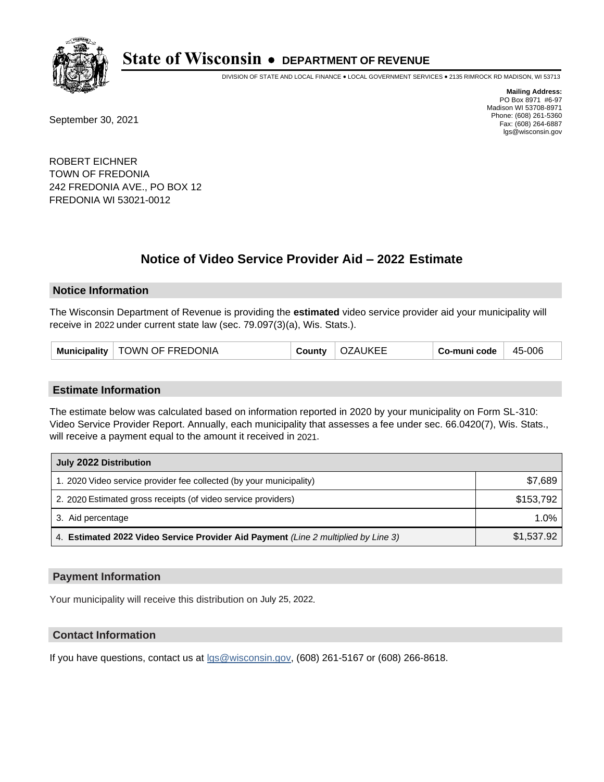

DIVISION OF STATE AND LOCAL FINANCE • LOCAL GOVERNMENT SERVICES • 2135 RIMROCK RD MADISON, WI 53713

September 30, 2021

**Mailing Address:** PO Box 8971 #6-97 Madison WI 53708-8971 Phone: (608) 261-5360 Fax: (608) 264-6887 lgs@wisconsin.gov

ROBERT EICHNER TOWN OF FREDONIA 242 FREDONIA AVE., PO BOX 12 FREDONIA WI 53021-0012

## **Notice of Video Service Provider Aid - 2022 Estimate**

#### **Notice Information**

The Wisconsin Department of Revenue is providing the **estimated** video service provider aid your municipality will receive in 2022 under current state law (sec. 79.097(3)(a), Wis. Stats.).

| Municipality   TOWN OF FREDONIA | County | <b>OZAUKEE</b> | Co-muni code | 45-006 |
|---------------------------------|--------|----------------|--------------|--------|
|---------------------------------|--------|----------------|--------------|--------|

#### **Estimate Information**

The estimate below was calculated based on information reported in 2020 by your municipality on Form SL-310: Video Service Provider Report. Annually, each municipality that assesses a fee under sec. 66.0420(7), Wis. Stats., will receive a payment equal to the amount it received in 2021.

| July 2022 Distribution                                                             |            |
|------------------------------------------------------------------------------------|------------|
| 1. 2020 Video service provider fee collected (by your municipality)                | \$7,689    |
| 2. 2020 Estimated gross receipts (of video service providers)                      | \$153.792  |
| 3. Aid percentage                                                                  | $1.0\%$    |
| 4. Estimated 2022 Video Service Provider Aid Payment (Line 2 multiplied by Line 3) | \$1,537.92 |

#### **Payment Information**

Your municipality will receive this distribution on July 25, 2022.

## **Contact Information**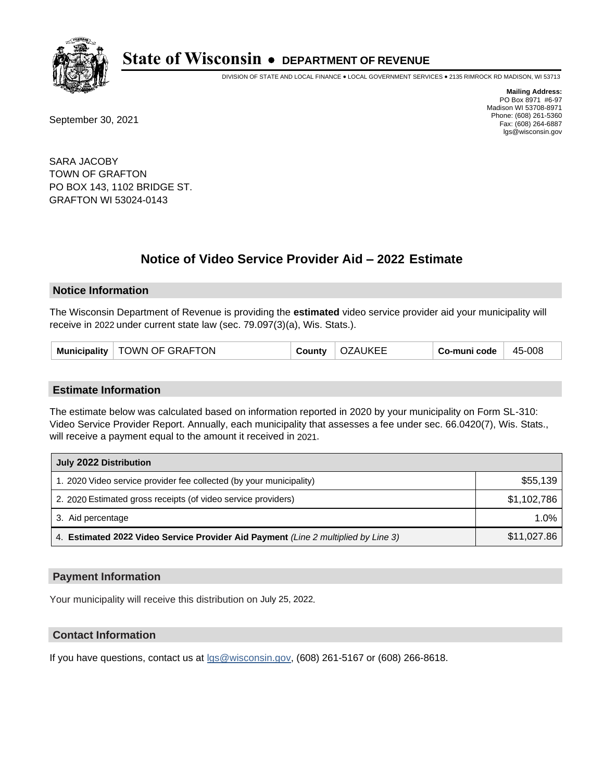

DIVISION OF STATE AND LOCAL FINANCE • LOCAL GOVERNMENT SERVICES • 2135 RIMROCK RD MADISON, WI 53713

September 30, 2021

**Mailing Address:** PO Box 8971 #6-97 Madison WI 53708-8971 Phone: (608) 261-5360 Fax: (608) 264-6887 lgs@wisconsin.gov

SARA JACOBY TOWN OF GRAFTON PO BOX 143, 1102 BRIDGE ST. GRAFTON WI 53024-0143

# **Notice of Video Service Provider Aid - 2022 Estimate**

### **Notice Information**

The Wisconsin Department of Revenue is providing the **estimated** video service provider aid your municipality will receive in 2022 under current state law (sec. 79.097(3)(a), Wis. Stats.).

| Municipality   TOWN OF GRAFTON | County | <b>OZAUKEE</b> | Co-muni code | 45-008 |
|--------------------------------|--------|----------------|--------------|--------|
|--------------------------------|--------|----------------|--------------|--------|

#### **Estimate Information**

The estimate below was calculated based on information reported in 2020 by your municipality on Form SL-310: Video Service Provider Report. Annually, each municipality that assesses a fee under sec. 66.0420(7), Wis. Stats., will receive a payment equal to the amount it received in 2021.

| July 2022 Distribution                                                             |             |
|------------------------------------------------------------------------------------|-------------|
| 1. 2020 Video service provider fee collected (by your municipality)                | \$55,139    |
| 2. 2020 Estimated gross receipts (of video service providers)                      | \$1,102,786 |
| 3. Aid percentage                                                                  | $1.0\%$     |
| 4. Estimated 2022 Video Service Provider Aid Payment (Line 2 multiplied by Line 3) | \$11,027.86 |

#### **Payment Information**

Your municipality will receive this distribution on July 25, 2022.

## **Contact Information**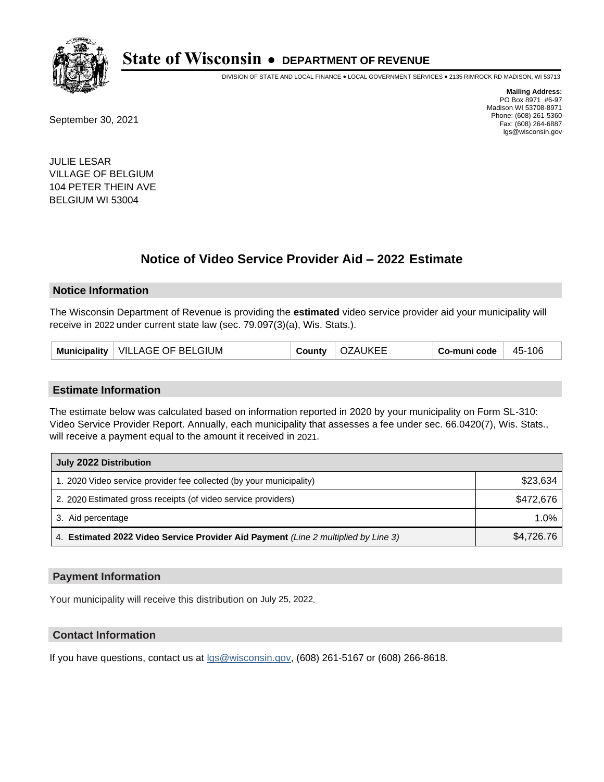

DIVISION OF STATE AND LOCAL FINANCE • LOCAL GOVERNMENT SERVICES • 2135 RIMROCK RD MADISON, WI 53713

September 30, 2021

**Mailing Address:** PO Box 8971 #6-97 Madison WI 53708-8971 Phone: (608) 261-5360 Fax: (608) 264-6887 lgs@wisconsin.gov

JULIE LESAR VILLAGE OF BELGIUM 104 PETER THEIN AVE BELGIUM WI 53004

## **Notice of Video Service Provider Aid - 2022 Estimate**

#### **Notice Information**

The Wisconsin Department of Revenue is providing the **estimated** video service provider aid your municipality will receive in 2022 under current state law (sec. 79.097(3)(a), Wis. Stats.).

| Municipality   VILLAGE OF BELGIUM | County | <b>OZAUKEE</b> | Co-muni code | 45-106 |
|-----------------------------------|--------|----------------|--------------|--------|
|-----------------------------------|--------|----------------|--------------|--------|

#### **Estimate Information**

The estimate below was calculated based on information reported in 2020 by your municipality on Form SL-310: Video Service Provider Report. Annually, each municipality that assesses a fee under sec. 66.0420(7), Wis. Stats., will receive a payment equal to the amount it received in 2021.

| July 2022 Distribution                                                             |            |
|------------------------------------------------------------------------------------|------------|
| 1. 2020 Video service provider fee collected (by your municipality)                | \$23,634   |
| 2. 2020 Estimated gross receipts (of video service providers)                      | \$472.676  |
| 3. Aid percentage                                                                  | 1.0%       |
| 4. Estimated 2022 Video Service Provider Aid Payment (Line 2 multiplied by Line 3) | \$4,726.76 |

#### **Payment Information**

Your municipality will receive this distribution on July 25, 2022.

## **Contact Information**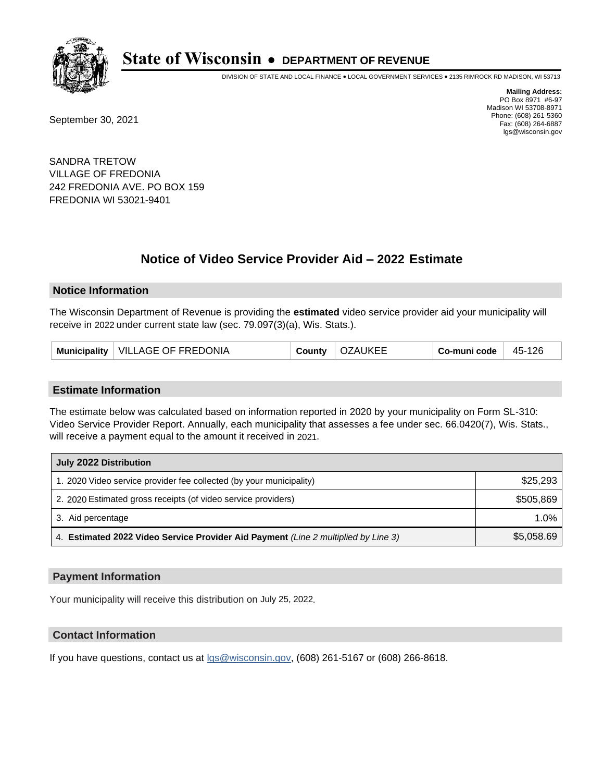

DIVISION OF STATE AND LOCAL FINANCE • LOCAL GOVERNMENT SERVICES • 2135 RIMROCK RD MADISON, WI 53713

September 30, 2021

**Mailing Address:** PO Box 8971 #6-97 Madison WI 53708-8971 Phone: (608) 261-5360 Fax: (608) 264-6887 lgs@wisconsin.gov

SANDRA TRETOW VILLAGE OF FREDONIA 242 FREDONIA AVE. PO BOX 159 FREDONIA WI 53021-9401

# **Notice of Video Service Provider Aid - 2022 Estimate**

#### **Notice Information**

The Wisconsin Department of Revenue is providing the **estimated** video service provider aid your municipality will receive in 2022 under current state law (sec. 79.097(3)(a), Wis. Stats.).

| Municipality   VILLAGE OF FREDONIA | County | <b>OZAUKEE</b> | Co-muni code | 45-126 |
|------------------------------------|--------|----------------|--------------|--------|
|------------------------------------|--------|----------------|--------------|--------|

#### **Estimate Information**

The estimate below was calculated based on information reported in 2020 by your municipality on Form SL-310: Video Service Provider Report. Annually, each municipality that assesses a fee under sec. 66.0420(7), Wis. Stats., will receive a payment equal to the amount it received in 2021.

| July 2022 Distribution                                                             |            |
|------------------------------------------------------------------------------------|------------|
| 1. 2020 Video service provider fee collected (by your municipality)                | \$25,293   |
| 2. 2020 Estimated gross receipts (of video service providers)                      | \$505.869  |
| 3. Aid percentage                                                                  | 1.0%       |
| 4. Estimated 2022 Video Service Provider Aid Payment (Line 2 multiplied by Line 3) | \$5,058.69 |

#### **Payment Information**

Your municipality will receive this distribution on July 25, 2022.

## **Contact Information**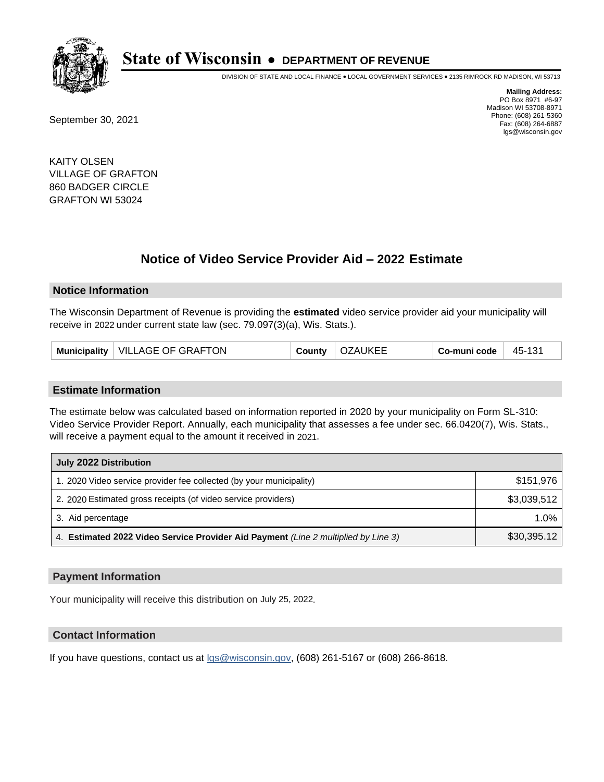

DIVISION OF STATE AND LOCAL FINANCE • LOCAL GOVERNMENT SERVICES • 2135 RIMROCK RD MADISON, WI 53713

September 30, 2021

**Mailing Address:** PO Box 8971 #6-97 Madison WI 53708-8971 Phone: (608) 261-5360 Fax: (608) 264-6887 lgs@wisconsin.gov

KAITY OLSEN VILLAGE OF GRAFTON 860 BADGER CIRCLE GRAFTON WI 53024

## **Notice of Video Service Provider Aid - 2022 Estimate**

#### **Notice Information**

The Wisconsin Department of Revenue is providing the **estimated** video service provider aid your municipality will receive in 2022 under current state law (sec. 79.097(3)(a), Wis. Stats.).

|  | Municipality   VILLAGE OF GRAFTON | County | <b>OZAUKEE</b> | Co-muni code | 45-131 |
|--|-----------------------------------|--------|----------------|--------------|--------|
|--|-----------------------------------|--------|----------------|--------------|--------|

#### **Estimate Information**

The estimate below was calculated based on information reported in 2020 by your municipality on Form SL-310: Video Service Provider Report. Annually, each municipality that assesses a fee under sec. 66.0420(7), Wis. Stats., will receive a payment equal to the amount it received in 2021.

| July 2022 Distribution                                                             |             |
|------------------------------------------------------------------------------------|-------------|
| 1. 2020 Video service provider fee collected (by your municipality)                | \$151,976   |
| 2. 2020 Estimated gross receipts (of video service providers)                      | \$3,039,512 |
| 3. Aid percentage                                                                  | $1.0\%$     |
| 4. Estimated 2022 Video Service Provider Aid Payment (Line 2 multiplied by Line 3) | \$30,395.12 |

### **Payment Information**

Your municipality will receive this distribution on July 25, 2022.

## **Contact Information**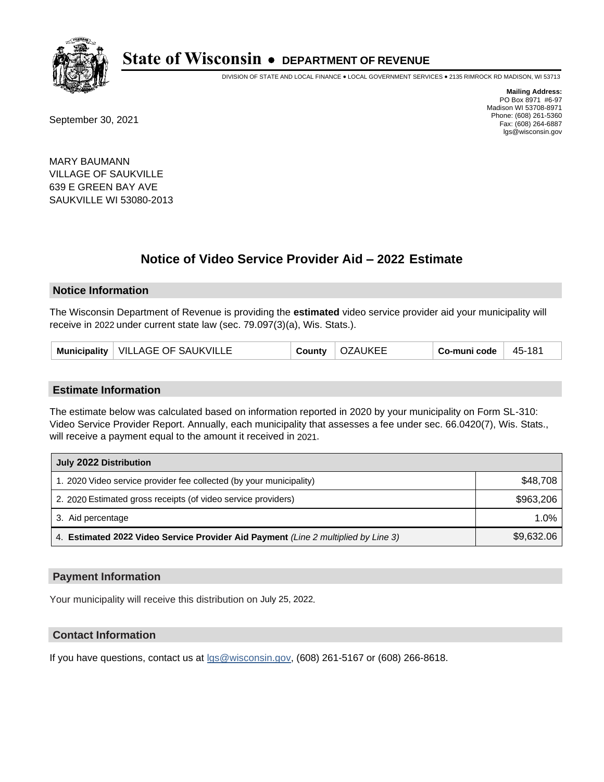

DIVISION OF STATE AND LOCAL FINANCE • LOCAL GOVERNMENT SERVICES • 2135 RIMROCK RD MADISON, WI 53713

September 30, 2021

**Mailing Address:** PO Box 8971 #6-97 Madison WI 53708-8971 Phone: (608) 261-5360 Fax: (608) 264-6887 lgs@wisconsin.gov

MARY BAUMANN VILLAGE OF SAUKVILLE 639 E GREEN BAY AVE SAUKVILLE WI 53080-2013

# **Notice of Video Service Provider Aid - 2022 Estimate**

#### **Notice Information**

The Wisconsin Department of Revenue is providing the **estimated** video service provider aid your municipality will receive in 2022 under current state law (sec. 79.097(3)(a), Wis. Stats.).

| Municipality   VILLAGE OF SAUKVILLE | County | <b>OZAUKEE</b> | Co-muni code | 45-181 |
|-------------------------------------|--------|----------------|--------------|--------|
|-------------------------------------|--------|----------------|--------------|--------|

#### **Estimate Information**

The estimate below was calculated based on information reported in 2020 by your municipality on Form SL-310: Video Service Provider Report. Annually, each municipality that assesses a fee under sec. 66.0420(7), Wis. Stats., will receive a payment equal to the amount it received in 2021.

| July 2022 Distribution                                                             |            |
|------------------------------------------------------------------------------------|------------|
| 1. 2020 Video service provider fee collected (by your municipality)                | \$48.708   |
| 2. 2020 Estimated gross receipts (of video service providers)                      | \$963,206  |
| 3. Aid percentage                                                                  | 1.0%       |
| 4. Estimated 2022 Video Service Provider Aid Payment (Line 2 multiplied by Line 3) | \$9,632.06 |

#### **Payment Information**

Your municipality will receive this distribution on July 25, 2022.

## **Contact Information**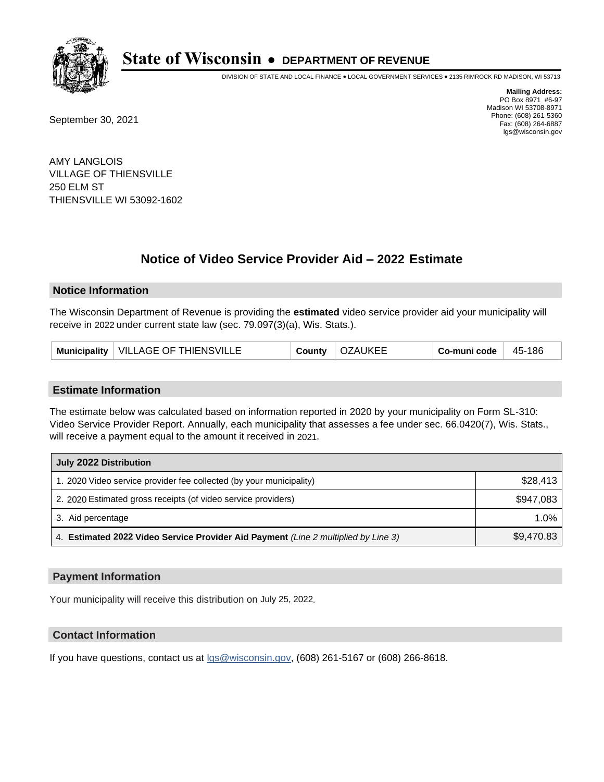

DIVISION OF STATE AND LOCAL FINANCE • LOCAL GOVERNMENT SERVICES • 2135 RIMROCK RD MADISON, WI 53713

September 30, 2021

**Mailing Address:** PO Box 8971 #6-97 Madison WI 53708-8971 Phone: (608) 261-5360 Fax: (608) 264-6887 lgs@wisconsin.gov

AMY LANGLOIS VILLAGE OF THIENSVILLE 250 ELM ST THIENSVILLE WI 53092-1602

## **Notice of Video Service Provider Aid - 2022 Estimate**

### **Notice Information**

The Wisconsin Department of Revenue is providing the **estimated** video service provider aid your municipality will receive in 2022 under current state law (sec. 79.097(3)(a), Wis. Stats.).

| Municipality   VILLAGE OF THIENSVILLE<br>County | OZAUKEE | Co-muni code | 45-186 |
|-------------------------------------------------|---------|--------------|--------|
|-------------------------------------------------|---------|--------------|--------|

#### **Estimate Information**

The estimate below was calculated based on information reported in 2020 by your municipality on Form SL-310: Video Service Provider Report. Annually, each municipality that assesses a fee under sec. 66.0420(7), Wis. Stats., will receive a payment equal to the amount it received in 2021.

| July 2022 Distribution                                                             |            |
|------------------------------------------------------------------------------------|------------|
| 1. 2020 Video service provider fee collected (by your municipality)                | \$28,413   |
| 2. 2020 Estimated gross receipts (of video service providers)                      | \$947,083  |
| 3. Aid percentage                                                                  | 1.0%       |
| 4. Estimated 2022 Video Service Provider Aid Payment (Line 2 multiplied by Line 3) | \$9,470.83 |

#### **Payment Information**

Your municipality will receive this distribution on July 25, 2022.

## **Contact Information**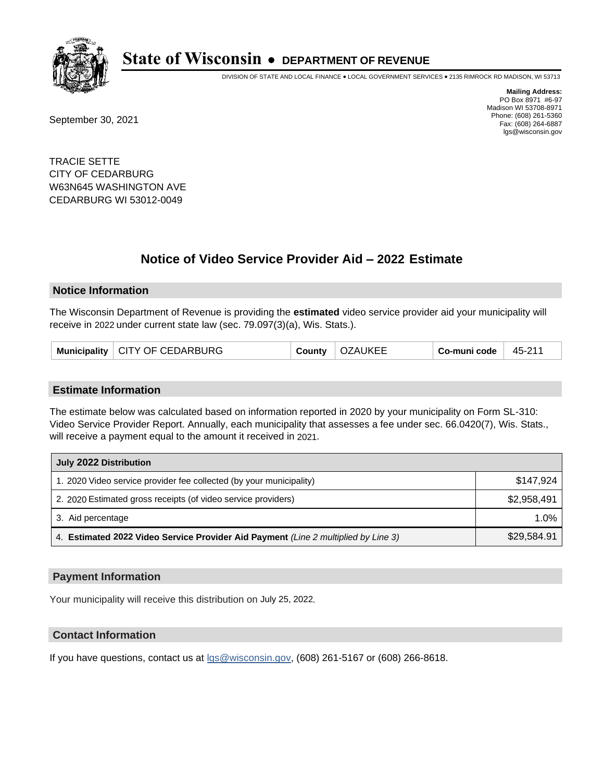

DIVISION OF STATE AND LOCAL FINANCE • LOCAL GOVERNMENT SERVICES • 2135 RIMROCK RD MADISON, WI 53713

September 30, 2021

**Mailing Address:** PO Box 8971 #6-97 Madison WI 53708-8971 Phone: (608) 261-5360 Fax: (608) 264-6887 lgs@wisconsin.gov

TRACIE SETTE CITY OF CEDARBURG W63N645 WASHINGTON AVE CEDARBURG WI 53012-0049

## **Notice of Video Service Provider Aid - 2022 Estimate**

#### **Notice Information**

The Wisconsin Department of Revenue is providing the **estimated** video service provider aid your municipality will receive in 2022 under current state law (sec. 79.097(3)(a), Wis. Stats.).

| Municipality   CITY OF CEDARBURG | County | <b>OZAUKEE</b> | Co-muni code | $+45-21$ |
|----------------------------------|--------|----------------|--------------|----------|
|----------------------------------|--------|----------------|--------------|----------|

#### **Estimate Information**

The estimate below was calculated based on information reported in 2020 by your municipality on Form SL-310: Video Service Provider Report. Annually, each municipality that assesses a fee under sec. 66.0420(7), Wis. Stats., will receive a payment equal to the amount it received in 2021.

| July 2022 Distribution                                                             |             |
|------------------------------------------------------------------------------------|-------------|
| 1. 2020 Video service provider fee collected (by your municipality)                | \$147.924   |
| 2. 2020 Estimated gross receipts (of video service providers)                      | \$2,958,491 |
| 3. Aid percentage                                                                  | 1.0%        |
| 4. Estimated 2022 Video Service Provider Aid Payment (Line 2 multiplied by Line 3) | \$29,584.91 |

#### **Payment Information**

Your municipality will receive this distribution on July 25, 2022.

## **Contact Information**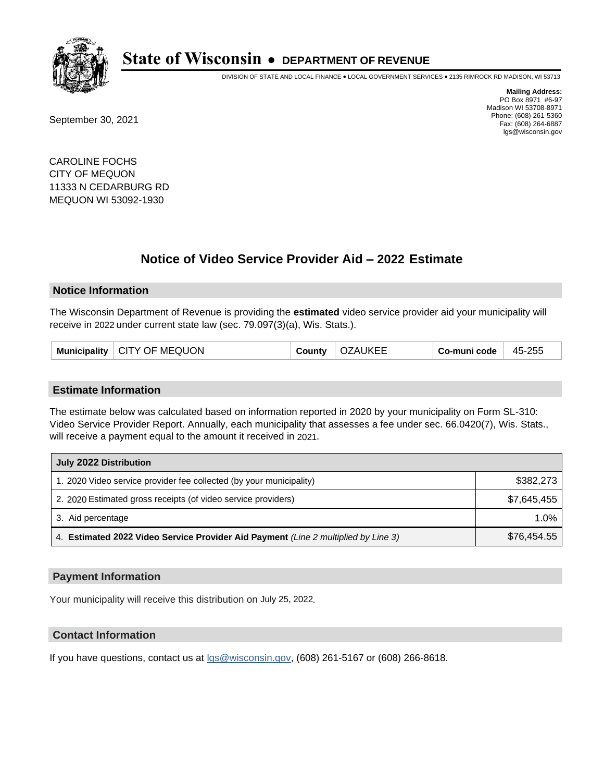

DIVISION OF STATE AND LOCAL FINANCE • LOCAL GOVERNMENT SERVICES • 2135 RIMROCK RD MADISON, WI 53713

September 30, 2021

**Mailing Address:** PO Box 8971 #6-97 Madison WI 53708-8971 Phone: (608) 261-5360 Fax: (608) 264-6887 lgs@wisconsin.gov

CAROLINE FOCHS CITY OF MEQUON 11333 N CEDARBURG RD MEQUON WI 53092-1930

## **Notice of Video Service Provider Aid - 2022 Estimate**

#### **Notice Information**

The Wisconsin Department of Revenue is providing the **estimated** video service provider aid your municipality will receive in 2022 under current state law (sec. 79.097(3)(a), Wis. Stats.).

|  | Municipality   CITY OF MEQUON | County | <b>OZAUKEE</b> | Co-muni code | 45-255 |
|--|-------------------------------|--------|----------------|--------------|--------|
|--|-------------------------------|--------|----------------|--------------|--------|

#### **Estimate Information**

The estimate below was calculated based on information reported in 2020 by your municipality on Form SL-310: Video Service Provider Report. Annually, each municipality that assesses a fee under sec. 66.0420(7), Wis. Stats., will receive a payment equal to the amount it received in 2021.

| July 2022 Distribution                                                             |             |  |  |  |
|------------------------------------------------------------------------------------|-------------|--|--|--|
| 1. 2020 Video service provider fee collected (by your municipality)                | \$382,273   |  |  |  |
| 2. 2020 Estimated gross receipts (of video service providers)                      | \$7.645.455 |  |  |  |
| 3. Aid percentage                                                                  | $1.0\%$     |  |  |  |
| 4. Estimated 2022 Video Service Provider Aid Payment (Line 2 multiplied by Line 3) | \$76,454.55 |  |  |  |

#### **Payment Information**

Your municipality will receive this distribution on July 25, 2022.

## **Contact Information**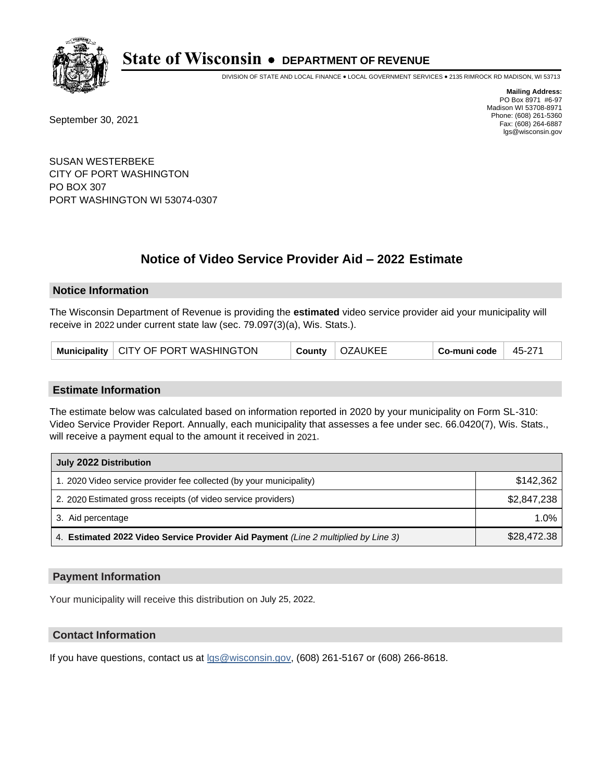

DIVISION OF STATE AND LOCAL FINANCE • LOCAL GOVERNMENT SERVICES • 2135 RIMROCK RD MADISON, WI 53713

September 30, 2021

**Mailing Address:** PO Box 8971 #6-97 Madison WI 53708-8971 Phone: (608) 261-5360 Fax: (608) 264-6887 lgs@wisconsin.gov

SUSAN WESTERBEKE CITY OF PORT WASHINGTON PO BOX 307 PORT WASHINGTON WI 53074-0307

# **Notice of Video Service Provider Aid - 2022 Estimate**

### **Notice Information**

The Wisconsin Department of Revenue is providing the **estimated** video service provider aid your municipality will receive in 2022 under current state law (sec. 79.097(3)(a), Wis. Stats.).

|  | Municipality   CITY OF PORT WASHINGTON |  | County   OZAUKEE | $_{\rm \shortmid}$ Co-muni code $^{\shortmid}$ | $+45-27$ |
|--|----------------------------------------|--|------------------|------------------------------------------------|----------|
|--|----------------------------------------|--|------------------|------------------------------------------------|----------|

#### **Estimate Information**

The estimate below was calculated based on information reported in 2020 by your municipality on Form SL-310: Video Service Provider Report. Annually, each municipality that assesses a fee under sec. 66.0420(7), Wis. Stats., will receive a payment equal to the amount it received in 2021.

| July 2022 Distribution                                                             |             |  |  |  |
|------------------------------------------------------------------------------------|-------------|--|--|--|
| 1. 2020 Video service provider fee collected (by your municipality)                | \$142.362   |  |  |  |
| 2. 2020 Estimated gross receipts (of video service providers)                      | \$2,847,238 |  |  |  |
| 3. Aid percentage                                                                  | $1.0\%$     |  |  |  |
| 4. Estimated 2022 Video Service Provider Aid Payment (Line 2 multiplied by Line 3) | \$28,472.38 |  |  |  |

#### **Payment Information**

Your municipality will receive this distribution on July 25, 2022.

## **Contact Information**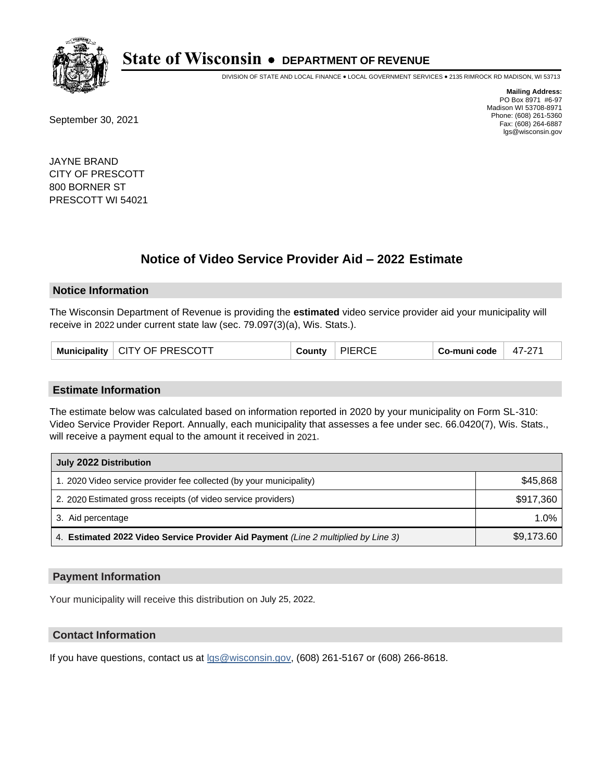

DIVISION OF STATE AND LOCAL FINANCE • LOCAL GOVERNMENT SERVICES • 2135 RIMROCK RD MADISON, WI 53713

September 30, 2021

**Mailing Address:** PO Box 8971 #6-97 Madison WI 53708-8971 Phone: (608) 261-5360 Fax: (608) 264-6887 lgs@wisconsin.gov

JAYNE BRAND CITY OF PRESCOTT 800 BORNER ST PRESCOTT WI 54021

## **Notice of Video Service Provider Aid - 2022 Estimate**

#### **Notice Information**

The Wisconsin Department of Revenue is providing the **estimated** video service provider aid your municipality will receive in 2022 under current state law (sec. 79.097(3)(a), Wis. Stats.).

| Municipality   CITY OF PRESCOTT |  | County | <b>PIERCE</b> | Co-muni code | 47-271 |
|---------------------------------|--|--------|---------------|--------------|--------|
|---------------------------------|--|--------|---------------|--------------|--------|

#### **Estimate Information**

The estimate below was calculated based on information reported in 2020 by your municipality on Form SL-310: Video Service Provider Report. Annually, each municipality that assesses a fee under sec. 66.0420(7), Wis. Stats., will receive a payment equal to the amount it received in 2021.

| July 2022 Distribution                                                             |            |  |  |  |
|------------------------------------------------------------------------------------|------------|--|--|--|
| 1. 2020 Video service provider fee collected (by your municipality)                | \$45,868   |  |  |  |
| 2. 2020 Estimated gross receipts (of video service providers)                      | \$917,360  |  |  |  |
| 3. Aid percentage                                                                  | 1.0%       |  |  |  |
| 4. Estimated 2022 Video Service Provider Aid Payment (Line 2 multiplied by Line 3) | \$9,173.60 |  |  |  |

#### **Payment Information**

Your municipality will receive this distribution on July 25, 2022.

## **Contact Information**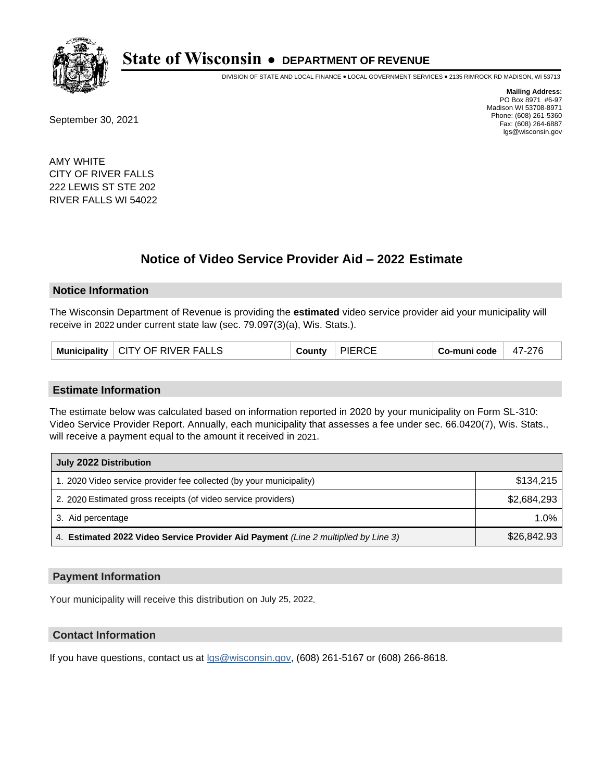

DIVISION OF STATE AND LOCAL FINANCE • LOCAL GOVERNMENT SERVICES • 2135 RIMROCK RD MADISON, WI 53713

September 30, 2021

**Mailing Address:** PO Box 8971 #6-97 Madison WI 53708-8971 Phone: (608) 261-5360 Fax: (608) 264-6887 lgs@wisconsin.gov

AMY WHITE CITY OF RIVER FALLS 222 LEWIS ST STE 202 RIVER FALLS WI 54022

## **Notice of Video Service Provider Aid - 2022 Estimate**

#### **Notice Information**

The Wisconsin Department of Revenue is providing the **estimated** video service provider aid your municipality will receive in 2022 under current state law (sec. 79.097(3)(a), Wis. Stats.).

| Municipality   CITY OF RIVER FALLS | County | <b>PIERCE</b> | Co-muni code | 47-276 |
|------------------------------------|--------|---------------|--------------|--------|
|------------------------------------|--------|---------------|--------------|--------|

#### **Estimate Information**

The estimate below was calculated based on information reported in 2020 by your municipality on Form SL-310: Video Service Provider Report. Annually, each municipality that assesses a fee under sec. 66.0420(7), Wis. Stats., will receive a payment equal to the amount it received in 2021.

| July 2022 Distribution                                                             |             |  |  |  |
|------------------------------------------------------------------------------------|-------------|--|--|--|
| 1. 2020 Video service provider fee collected (by your municipality)                | \$134.215   |  |  |  |
| 2. 2020 Estimated gross receipts (of video service providers)                      | \$2.684.293 |  |  |  |
| 3. Aid percentage                                                                  | $1.0\%$     |  |  |  |
| 4. Estimated 2022 Video Service Provider Aid Payment (Line 2 multiplied by Line 3) | \$26,842.93 |  |  |  |

### **Payment Information**

Your municipality will receive this distribution on July 25, 2022.

### **Contact Information**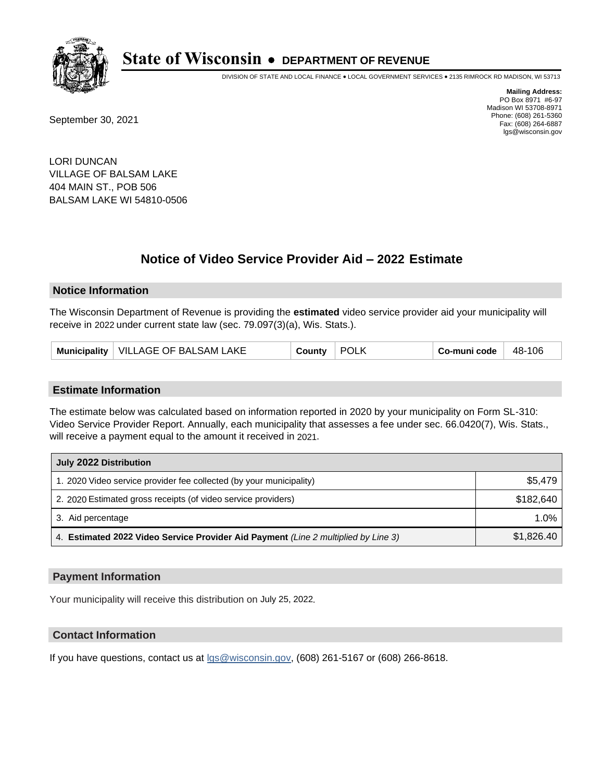

DIVISION OF STATE AND LOCAL FINANCE • LOCAL GOVERNMENT SERVICES • 2135 RIMROCK RD MADISON, WI 53713

September 30, 2021

**Mailing Address:** PO Box 8971 #6-97 Madison WI 53708-8971 Phone: (608) 261-5360 Fax: (608) 264-6887 lgs@wisconsin.gov

LORI DUNCAN VILLAGE OF BALSAM LAKE 404 MAIN ST., POB 506 BALSAM LAKE WI 54810-0506

# **Notice of Video Service Provider Aid - 2022 Estimate**

#### **Notice Information**

The Wisconsin Department of Revenue is providing the **estimated** video service provider aid your municipality will receive in 2022 under current state law (sec. 79.097(3)(a), Wis. Stats.).

| Municipality   VILLAGE OF BALSAM LAKE | County | <b>POLK</b> | Co-muni code | 48-106 |
|---------------------------------------|--------|-------------|--------------|--------|
|---------------------------------------|--------|-------------|--------------|--------|

#### **Estimate Information**

The estimate below was calculated based on information reported in 2020 by your municipality on Form SL-310: Video Service Provider Report. Annually, each municipality that assesses a fee under sec. 66.0420(7), Wis. Stats., will receive a payment equal to the amount it received in 2021.

| July 2022 Distribution                                                             |            |  |  |  |
|------------------------------------------------------------------------------------|------------|--|--|--|
| 1. 2020 Video service provider fee collected (by your municipality)                | \$5,479    |  |  |  |
| 2. 2020 Estimated gross receipts (of video service providers)                      | \$182.640  |  |  |  |
| 3. Aid percentage                                                                  | $1.0\%$    |  |  |  |
| 4. Estimated 2022 Video Service Provider Aid Payment (Line 2 multiplied by Line 3) | \$1,826.40 |  |  |  |

#### **Payment Information**

Your municipality will receive this distribution on July 25, 2022.

## **Contact Information**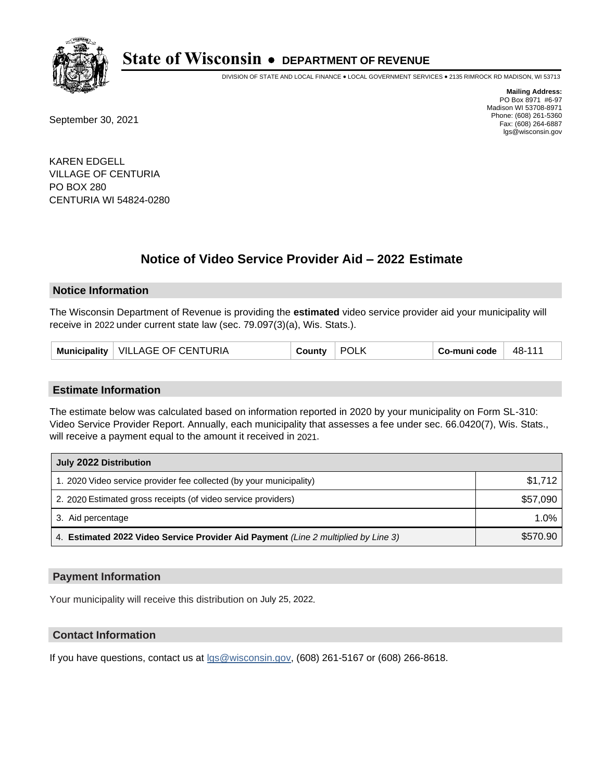

DIVISION OF STATE AND LOCAL FINANCE • LOCAL GOVERNMENT SERVICES • 2135 RIMROCK RD MADISON, WI 53713

September 30, 2021

**Mailing Address:** PO Box 8971 #6-97 Madison WI 53708-8971 Phone: (608) 261-5360 Fax: (608) 264-6887 lgs@wisconsin.gov

KAREN EDGELL VILLAGE OF CENTURIA PO BOX 280 CENTURIA WI 54824-0280

## **Notice of Video Service Provider Aid - 2022 Estimate**

### **Notice Information**

The Wisconsin Department of Revenue is providing the **estimated** video service provider aid your municipality will receive in 2022 under current state law (sec. 79.097(3)(a), Wis. Stats.).

#### **Estimate Information**

The estimate below was calculated based on information reported in 2020 by your municipality on Form SL-310: Video Service Provider Report. Annually, each municipality that assesses a fee under sec. 66.0420(7), Wis. Stats., will receive a payment equal to the amount it received in 2021.

| July 2022 Distribution                                                             |          |
|------------------------------------------------------------------------------------|----------|
| 1. 2020 Video service provider fee collected (by your municipality)                | \$1.712  |
| 2. 2020 Estimated gross receipts (of video service providers)                      | \$57,090 |
| 3. Aid percentage                                                                  | $1.0\%$  |
| 4. Estimated 2022 Video Service Provider Aid Payment (Line 2 multiplied by Line 3) | \$570.90 |

#### **Payment Information**

Your municipality will receive this distribution on July 25, 2022.

## **Contact Information**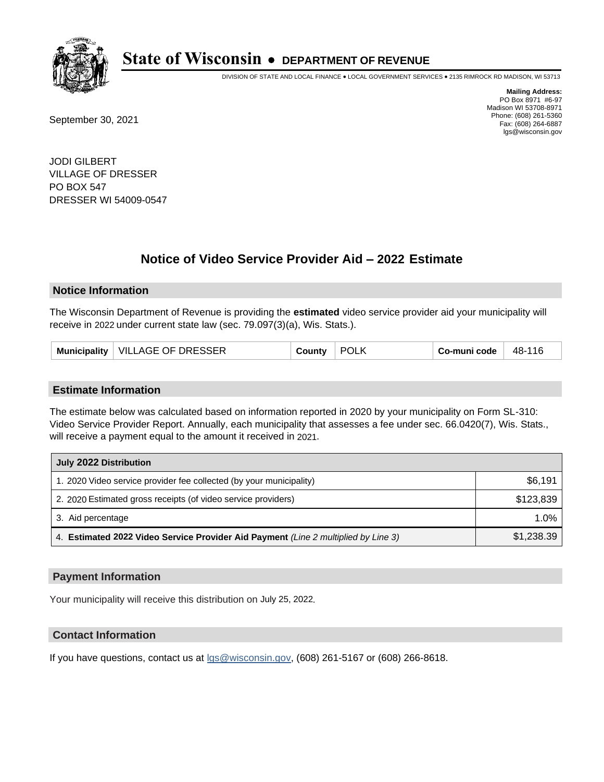

DIVISION OF STATE AND LOCAL FINANCE • LOCAL GOVERNMENT SERVICES • 2135 RIMROCK RD MADISON, WI 53713

September 30, 2021

**Mailing Address:** PO Box 8971 #6-97 Madison WI 53708-8971 Phone: (608) 261-5360 Fax: (608) 264-6887 lgs@wisconsin.gov

JODI GILBERT VILLAGE OF DRESSER PO BOX 547 DRESSER WI 54009-0547

## **Notice of Video Service Provider Aid - 2022 Estimate**

#### **Notice Information**

The Wisconsin Department of Revenue is providing the **estimated** video service provider aid your municipality will receive in 2022 under current state law (sec. 79.097(3)(a), Wis. Stats.).

| Municipality   VILLAGE OF DRESSER<br>County | <b>POLK</b> | Co-muni code | - 48-116 |
|---------------------------------------------|-------------|--------------|----------|
|---------------------------------------------|-------------|--------------|----------|

#### **Estimate Information**

The estimate below was calculated based on information reported in 2020 by your municipality on Form SL-310: Video Service Provider Report. Annually, each municipality that assesses a fee under sec. 66.0420(7), Wis. Stats., will receive a payment equal to the amount it received in 2021.

| July 2022 Distribution                                                             |            |
|------------------------------------------------------------------------------------|------------|
| 1. 2020 Video service provider fee collected (by your municipality)                | \$6,191    |
| 2. 2020 Estimated gross receipts (of video service providers)                      | \$123.839  |
| 3. Aid percentage                                                                  | 1.0%       |
| 4. Estimated 2022 Video Service Provider Aid Payment (Line 2 multiplied by Line 3) | \$1,238.39 |

#### **Payment Information**

Your municipality will receive this distribution on July 25, 2022.

## **Contact Information**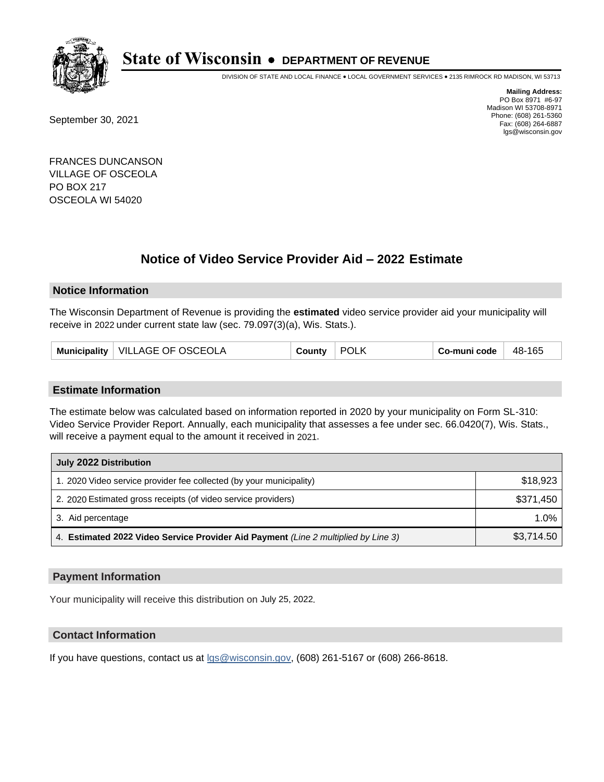

DIVISION OF STATE AND LOCAL FINANCE • LOCAL GOVERNMENT SERVICES • 2135 RIMROCK RD MADISON, WI 53713

September 30, 2021

**Mailing Address:** PO Box 8971 #6-97 Madison WI 53708-8971 Phone: (608) 261-5360 Fax: (608) 264-6887 lgs@wisconsin.gov

FRANCES DUNCANSON VILLAGE OF OSCEOLA PO BOX 217 OSCEOLA WI 54020

## **Notice of Video Service Provider Aid - 2022 Estimate**

### **Notice Information**

The Wisconsin Department of Revenue is providing the **estimated** video service provider aid your municipality will receive in 2022 under current state law (sec. 79.097(3)(a), Wis. Stats.).

| VILLAGE OF OSCEOLA<br><b>Municipality</b> | בountν | <b>POLK</b> | Co-muni code | 48-165 |
|-------------------------------------------|--------|-------------|--------------|--------|
|-------------------------------------------|--------|-------------|--------------|--------|

#### **Estimate Information**

The estimate below was calculated based on information reported in 2020 by your municipality on Form SL-310: Video Service Provider Report. Annually, each municipality that assesses a fee under sec. 66.0420(7), Wis. Stats., will receive a payment equal to the amount it received in 2021.

| July 2022 Distribution                                                             |            |
|------------------------------------------------------------------------------------|------------|
| 1. 2020 Video service provider fee collected (by your municipality)                | \$18,923   |
| 2. 2020 Estimated gross receipts (of video service providers)                      | \$371.450  |
| 3. Aid percentage                                                                  | 1.0%       |
| 4. Estimated 2022 Video Service Provider Aid Payment (Line 2 multiplied by Line 3) | \$3,714.50 |

#### **Payment Information**

Your municipality will receive this distribution on July 25, 2022.

## **Contact Information**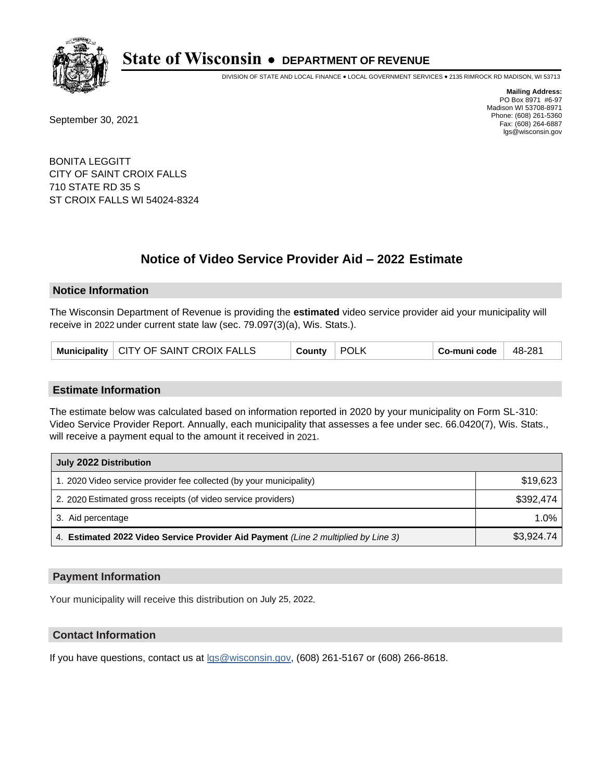

DIVISION OF STATE AND LOCAL FINANCE • LOCAL GOVERNMENT SERVICES • 2135 RIMROCK RD MADISON, WI 53713

September 30, 2021

**Mailing Address:** PO Box 8971 #6-97 Madison WI 53708-8971 Phone: (608) 261-5360 Fax: (608) 264-6887 lgs@wisconsin.gov

BONITA LEGGITT CITY OF SAINT CROIX FALLS 710 STATE RD 35 S ST CROIX FALLS WI 54024-8324

# **Notice of Video Service Provider Aid - 2022 Estimate**

#### **Notice Information**

The Wisconsin Department of Revenue is providing the **estimated** video service provider aid your municipality will receive in 2022 under current state law (sec. 79.097(3)(a), Wis. Stats.).

| Municipality   CITY OF SAINT CROIX FALLS | County | POLK | Co-muni code | 48-281 |
|------------------------------------------|--------|------|--------------|--------|
|------------------------------------------|--------|------|--------------|--------|

#### **Estimate Information**

The estimate below was calculated based on information reported in 2020 by your municipality on Form SL-310: Video Service Provider Report. Annually, each municipality that assesses a fee under sec. 66.0420(7), Wis. Stats., will receive a payment equal to the amount it received in 2021.

| July 2022 Distribution                                                             |            |
|------------------------------------------------------------------------------------|------------|
| 1. 2020 Video service provider fee collected (by your municipality)                | \$19,623   |
| 2. 2020 Estimated gross receipts (of video service providers)                      | \$392.474  |
| 3. Aid percentage                                                                  | 1.0%       |
| 4. Estimated 2022 Video Service Provider Aid Payment (Line 2 multiplied by Line 3) | \$3,924.74 |

#### **Payment Information**

Your municipality will receive this distribution on July 25, 2022.

## **Contact Information**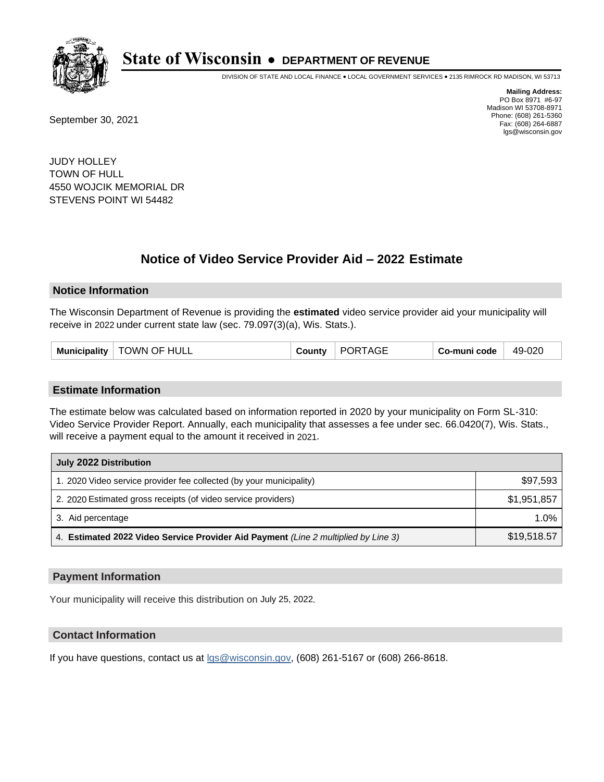

DIVISION OF STATE AND LOCAL FINANCE • LOCAL GOVERNMENT SERVICES • 2135 RIMROCK RD MADISON, WI 53713

September 30, 2021

**Mailing Address:** PO Box 8971 #6-97 Madison WI 53708-8971 Phone: (608) 261-5360 Fax: (608) 264-6887 lgs@wisconsin.gov

JUDY HOLLEY TOWN OF HULL 4550 WOJCIK MEMORIAL DR STEVENS POINT WI 54482

## **Notice of Video Service Provider Aid - 2022 Estimate**

#### **Notice Information**

The Wisconsin Department of Revenue is providing the **estimated** video service provider aid your municipality will receive in 2022 under current state law (sec. 79.097(3)(a), Wis. Stats.).

#### **Estimate Information**

The estimate below was calculated based on information reported in 2020 by your municipality on Form SL-310: Video Service Provider Report. Annually, each municipality that assesses a fee under sec. 66.0420(7), Wis. Stats., will receive a payment equal to the amount it received in 2021.

| July 2022 Distribution                                                             |             |  |  |
|------------------------------------------------------------------------------------|-------------|--|--|
| 1. 2020 Video service provider fee collected (by your municipality)                | \$97,593    |  |  |
| 2. 2020 Estimated gross receipts (of video service providers)                      | \$1,951,857 |  |  |
| 3. Aid percentage                                                                  | $1.0\%$     |  |  |
| 4. Estimated 2022 Video Service Provider Aid Payment (Line 2 multiplied by Line 3) | \$19,518.57 |  |  |

#### **Payment Information**

Your municipality will receive this distribution on July 25, 2022.

## **Contact Information**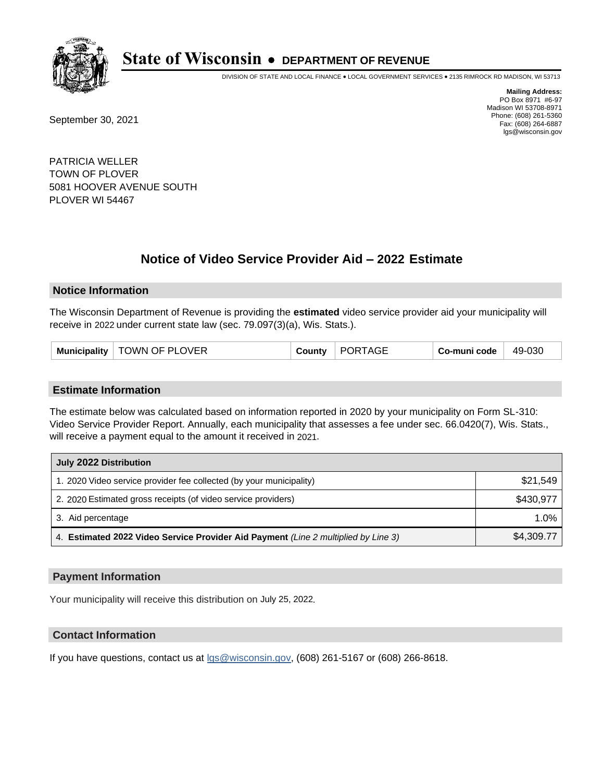

DIVISION OF STATE AND LOCAL FINANCE • LOCAL GOVERNMENT SERVICES • 2135 RIMROCK RD MADISON, WI 53713

September 30, 2021

**Mailing Address:** PO Box 8971 #6-97 Madison WI 53708-8971 Phone: (608) 261-5360 Fax: (608) 264-6887 lgs@wisconsin.gov

PATRICIA WELLER TOWN OF PLOVER 5081 HOOVER AVENUE SOUTH PLOVER WI 54467

## **Notice of Video Service Provider Aid - 2022 Estimate**

#### **Notice Information**

The Wisconsin Department of Revenue is providing the **estimated** video service provider aid your municipality will receive in 2022 under current state law (sec. 79.097(3)(a), Wis. Stats.).

| Municipality   TOWN OF PLOVER | County | <b>PORTAGE</b> | Co-muni code | 49-030 |
|-------------------------------|--------|----------------|--------------|--------|
|-------------------------------|--------|----------------|--------------|--------|

#### **Estimate Information**

The estimate below was calculated based on information reported in 2020 by your municipality on Form SL-310: Video Service Provider Report. Annually, each municipality that assesses a fee under sec. 66.0420(7), Wis. Stats., will receive a payment equal to the amount it received in 2021.

| July 2022 Distribution                                                             |            |
|------------------------------------------------------------------------------------|------------|
| 1. 2020 Video service provider fee collected (by your municipality)                | \$21,549   |
| 2. 2020 Estimated gross receipts (of video service providers)                      | \$430.977  |
| 3. Aid percentage                                                                  | 1.0%       |
| 4. Estimated 2022 Video Service Provider Aid Payment (Line 2 multiplied by Line 3) | \$4,309.77 |

#### **Payment Information**

Your municipality will receive this distribution on July 25, 2022.

## **Contact Information**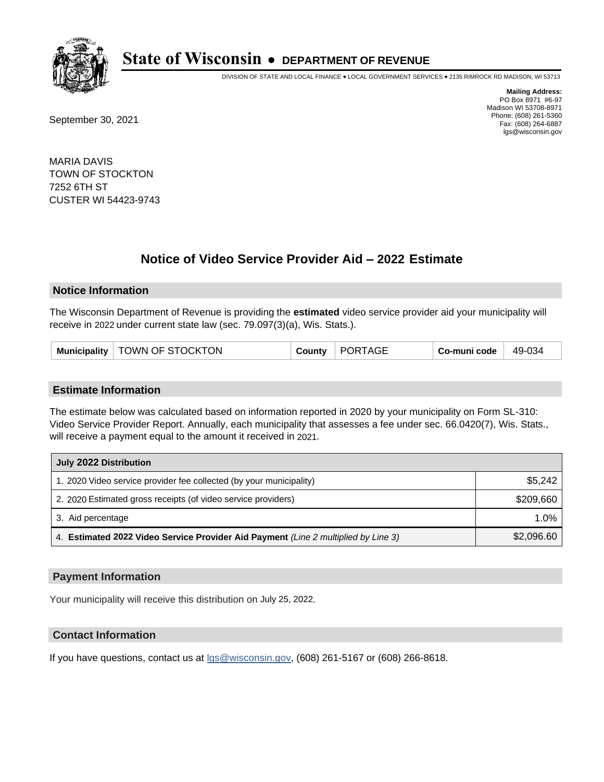

DIVISION OF STATE AND LOCAL FINANCE • LOCAL GOVERNMENT SERVICES • 2135 RIMROCK RD MADISON, WI 53713

September 30, 2021

**Mailing Address:** PO Box 8971 #6-97 Madison WI 53708-8971 Phone: (608) 261-5360 Fax: (608) 264-6887 lgs@wisconsin.gov

MARIA DAVIS TOWN OF STOCKTON 7252 6TH ST CUSTER WI 54423-9743

# **Notice of Video Service Provider Aid - 2022 Estimate**

#### **Notice Information**

The Wisconsin Department of Revenue is providing the **estimated** video service provider aid your municipality will receive in 2022 under current state law (sec. 79.097(3)(a), Wis. Stats.).

| PORTAGE<br>Municipality   TOWN OF STOCKTON<br>Co-muni code<br>County | 49-034 |
|----------------------------------------------------------------------|--------|
|----------------------------------------------------------------------|--------|

#### **Estimate Information**

The estimate below was calculated based on information reported in 2020 by your municipality on Form SL-310: Video Service Provider Report. Annually, each municipality that assesses a fee under sec. 66.0420(7), Wis. Stats., will receive a payment equal to the amount it received in 2021.

| July 2022 Distribution                                                             |            |  |  |
|------------------------------------------------------------------------------------|------------|--|--|
| 1. 2020 Video service provider fee collected (by your municipality)                | \$5,242    |  |  |
| 2. 2020 Estimated gross receipts (of video service providers)                      | \$209.660  |  |  |
| 3. Aid percentage                                                                  | $1.0\%$    |  |  |
| 4. Estimated 2022 Video Service Provider Aid Payment (Line 2 multiplied by Line 3) | \$2,096.60 |  |  |

#### **Payment Information**

Your municipality will receive this distribution on July 25, 2022.

## **Contact Information**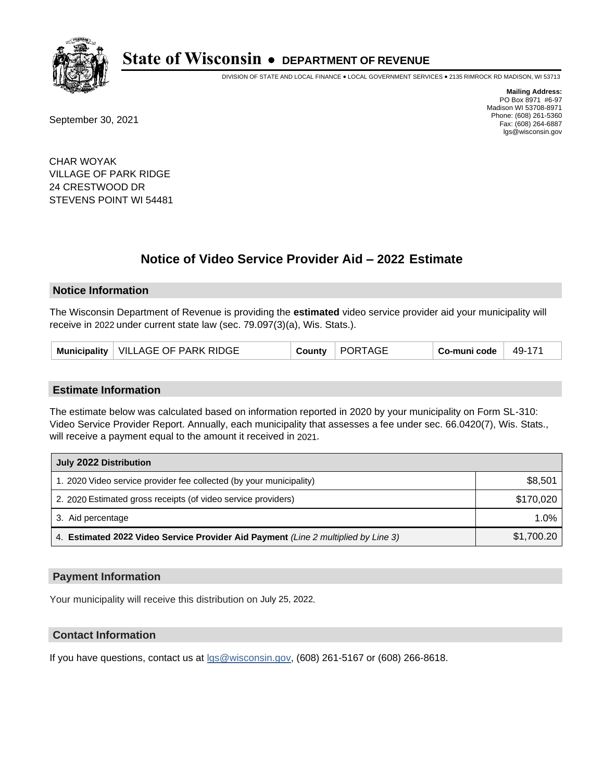

DIVISION OF STATE AND LOCAL FINANCE • LOCAL GOVERNMENT SERVICES • 2135 RIMROCK RD MADISON, WI 53713

September 30, 2021

**Mailing Address:** PO Box 8971 #6-97 Madison WI 53708-8971 Phone: (608) 261-5360 Fax: (608) 264-6887 lgs@wisconsin.gov

CHAR WOYAK VILLAGE OF PARK RIDGE 24 CRESTWOOD DR STEVENS POINT WI 54481

# **Notice of Video Service Provider Aid - 2022 Estimate**

#### **Notice Information**

The Wisconsin Department of Revenue is providing the **estimated** video service provider aid your municipality will receive in 2022 under current state law (sec. 79.097(3)(a), Wis. Stats.).

| VILLAGE OF PARK RIDGE<br>PORTAGE<br>Municipality<br>49-171<br>Co-muni code<br>Countv |
|--------------------------------------------------------------------------------------|
|--------------------------------------------------------------------------------------|

#### **Estimate Information**

The estimate below was calculated based on information reported in 2020 by your municipality on Form SL-310: Video Service Provider Report. Annually, each municipality that assesses a fee under sec. 66.0420(7), Wis. Stats., will receive a payment equal to the amount it received in 2021.

| July 2022 Distribution                                                             |            |  |  |
|------------------------------------------------------------------------------------|------------|--|--|
| 1. 2020 Video service provider fee collected (by your municipality)                | \$8,501    |  |  |
| 2. 2020 Estimated gross receipts (of video service providers)                      | \$170,020  |  |  |
| 3. Aid percentage                                                                  | $1.0\%$    |  |  |
| 4. Estimated 2022 Video Service Provider Aid Payment (Line 2 multiplied by Line 3) | \$1,700.20 |  |  |

#### **Payment Information**

Your municipality will receive this distribution on July 25, 2022.

## **Contact Information**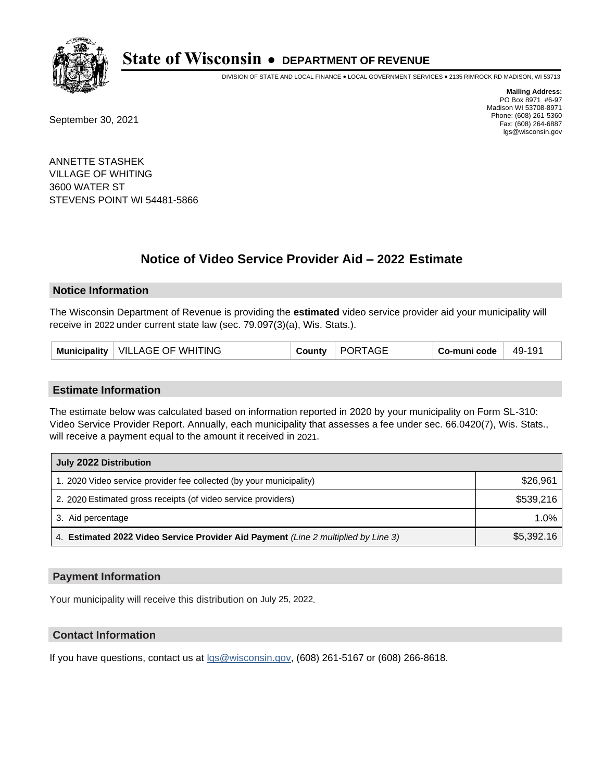

DIVISION OF STATE AND LOCAL FINANCE • LOCAL GOVERNMENT SERVICES • 2135 RIMROCK RD MADISON, WI 53713

September 30, 2021

**Mailing Address:** PO Box 8971 #6-97 Madison WI 53708-8971 Phone: (608) 261-5360 Fax: (608) 264-6887 lgs@wisconsin.gov

ANNETTE STASHEK VILLAGE OF WHITING 3600 WATER ST STEVENS POINT WI 54481-5866

# **Notice of Video Service Provider Aid - 2022 Estimate**

#### **Notice Information**

The Wisconsin Department of Revenue is providing the **estimated** video service provider aid your municipality will receive in 2022 under current state law (sec. 79.097(3)(a), Wis. Stats.).

| Municipality   VILLAGE OF WHITING | County | <b>PORTAGE</b> | Co-muni code | 49-191 |
|-----------------------------------|--------|----------------|--------------|--------|
|-----------------------------------|--------|----------------|--------------|--------|

#### **Estimate Information**

The estimate below was calculated based on information reported in 2020 by your municipality on Form SL-310: Video Service Provider Report. Annually, each municipality that assesses a fee under sec. 66.0420(7), Wis. Stats., will receive a payment equal to the amount it received in 2021.

| July 2022 Distribution                                                             |            |  |  |
|------------------------------------------------------------------------------------|------------|--|--|
| 1. 2020 Video service provider fee collected (by your municipality)                | \$26,961   |  |  |
| 2. 2020 Estimated gross receipts (of video service providers)                      | \$539.216  |  |  |
| 3. Aid percentage                                                                  | 1.0%       |  |  |
| 4. Estimated 2022 Video Service Provider Aid Payment (Line 2 multiplied by Line 3) | \$5,392.16 |  |  |

#### **Payment Information**

Your municipality will receive this distribution on July 25, 2022.

## **Contact Information**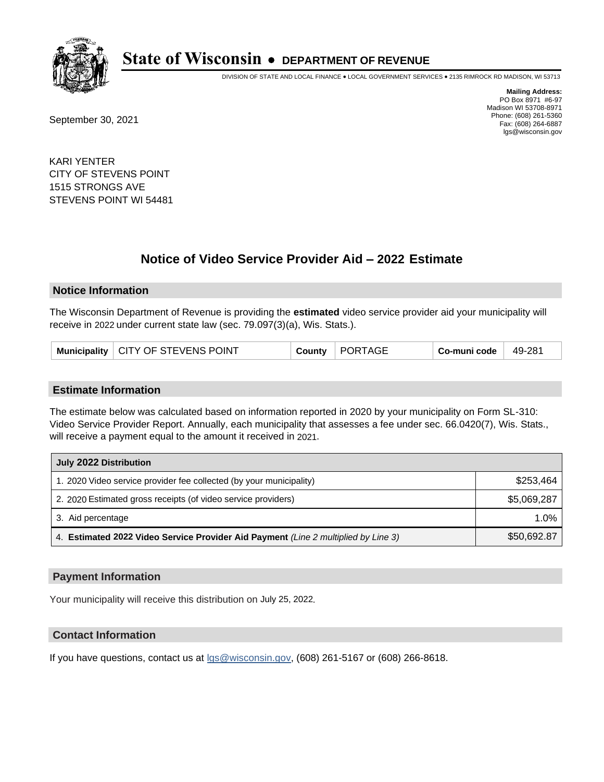

DIVISION OF STATE AND LOCAL FINANCE • LOCAL GOVERNMENT SERVICES • 2135 RIMROCK RD MADISON, WI 53713

September 30, 2021

**Mailing Address:** PO Box 8971 #6-97 Madison WI 53708-8971 Phone: (608) 261-5360 Fax: (608) 264-6887 lgs@wisconsin.gov

KARI YENTER CITY OF STEVENS POINT 1515 STRONGS AVE STEVENS POINT WI 54481

# **Notice of Video Service Provider Aid - 2022 Estimate**

### **Notice Information**

The Wisconsin Department of Revenue is providing the **estimated** video service provider aid your municipality will receive in 2022 under current state law (sec. 79.097(3)(a), Wis. Stats.).

|  | Municipality   CITY OF STEVENS POINT | <b>County</b> | PORTAGE | Co-muni code | 49-281 |
|--|--------------------------------------|---------------|---------|--------------|--------|
|--|--------------------------------------|---------------|---------|--------------|--------|

#### **Estimate Information**

The estimate below was calculated based on information reported in 2020 by your municipality on Form SL-310: Video Service Provider Report. Annually, each municipality that assesses a fee under sec. 66.0420(7), Wis. Stats., will receive a payment equal to the amount it received in 2021.

| July 2022 Distribution                                                             |             |  |  |
|------------------------------------------------------------------------------------|-------------|--|--|
| 1. 2020 Video service provider fee collected (by your municipality)                | \$253,464   |  |  |
| 2. 2020 Estimated gross receipts (of video service providers)                      | \$5,069,287 |  |  |
| 3. Aid percentage                                                                  | 1.0%        |  |  |
| 4. Estimated 2022 Video Service Provider Aid Payment (Line 2 multiplied by Line 3) | \$50,692.87 |  |  |

#### **Payment Information**

Your municipality will receive this distribution on July 25, 2022.

## **Contact Information**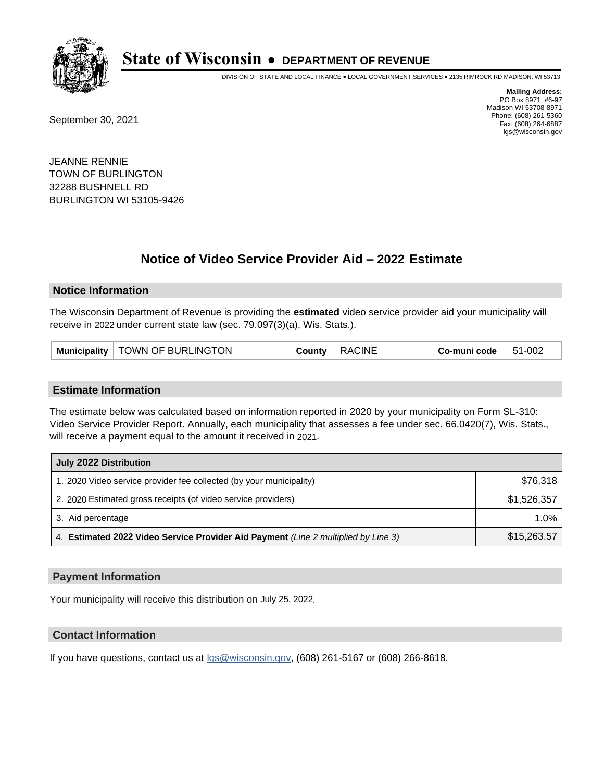

DIVISION OF STATE AND LOCAL FINANCE • LOCAL GOVERNMENT SERVICES • 2135 RIMROCK RD MADISON, WI 53713

September 30, 2021

**Mailing Address:** PO Box 8971 #6-97 Madison WI 53708-8971 Phone: (608) 261-5360 Fax: (608) 264-6887 lgs@wisconsin.gov

JEANNE RENNIE TOWN OF BURLINGTON 32288 BUSHNELL RD BURLINGTON WI 53105-9426

# **Notice of Video Service Provider Aid - 2022 Estimate**

### **Notice Information**

The Wisconsin Department of Revenue is providing the **estimated** video service provider aid your municipality will receive in 2022 under current state law (sec. 79.097(3)(a), Wis. Stats.).

#### **Estimate Information**

The estimate below was calculated based on information reported in 2020 by your municipality on Form SL-310: Video Service Provider Report. Annually, each municipality that assesses a fee under sec. 66.0420(7), Wis. Stats., will receive a payment equal to the amount it received in 2021.

| July 2022 Distribution                                                             |             |  |  |
|------------------------------------------------------------------------------------|-------------|--|--|
| 1. 2020 Video service provider fee collected (by your municipality)                | \$76,318    |  |  |
| 2. 2020 Estimated gross receipts (of video service providers)                      | \$1,526,357 |  |  |
| 3. Aid percentage                                                                  | $1.0\%$     |  |  |
| 4. Estimated 2022 Video Service Provider Aid Payment (Line 2 multiplied by Line 3) | \$15,263.57 |  |  |

#### **Payment Information**

Your municipality will receive this distribution on July 25, 2022.

## **Contact Information**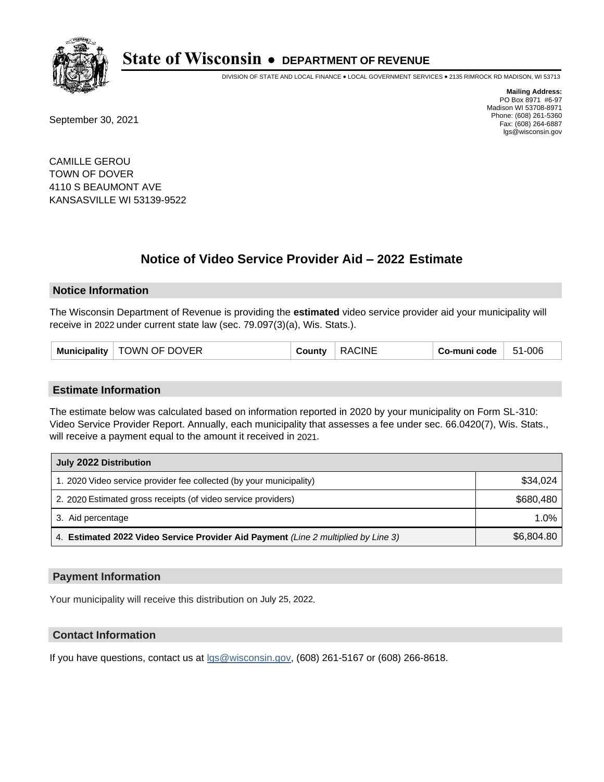

DIVISION OF STATE AND LOCAL FINANCE • LOCAL GOVERNMENT SERVICES • 2135 RIMROCK RD MADISON, WI 53713

September 30, 2021

**Mailing Address:** PO Box 8971 #6-97 Madison WI 53708-8971 Phone: (608) 261-5360 Fax: (608) 264-6887 lgs@wisconsin.gov

CAMILLE GEROU TOWN OF DOVER 4110 S BEAUMONT AVE KANSASVILLE WI 53139-9522

# **Notice of Video Service Provider Aid - 2022 Estimate**

#### **Notice Information**

The Wisconsin Department of Revenue is providing the **estimated** video service provider aid your municipality will receive in 2022 under current state law (sec. 79.097(3)(a), Wis. Stats.).

| TOWN OF DOVER<br>Municipality $ $ | County | <b>RACINE</b> | Co-muni code | 51-006 |
|-----------------------------------|--------|---------------|--------------|--------|
|-----------------------------------|--------|---------------|--------------|--------|

#### **Estimate Information**

The estimate below was calculated based on information reported in 2020 by your municipality on Form SL-310: Video Service Provider Report. Annually, each municipality that assesses a fee under sec. 66.0420(7), Wis. Stats., will receive a payment equal to the amount it received in 2021.

| July 2022 Distribution                                                             |            |  |  |
|------------------------------------------------------------------------------------|------------|--|--|
| 1. 2020 Video service provider fee collected (by your municipality)                | \$34.024   |  |  |
| 2. 2020 Estimated gross receipts (of video service providers)                      | \$680.480  |  |  |
| 3. Aid percentage                                                                  | $1.0\%$    |  |  |
| 4. Estimated 2022 Video Service Provider Aid Payment (Line 2 multiplied by Line 3) | \$6,804.80 |  |  |

#### **Payment Information**

Your municipality will receive this distribution on July 25, 2022.

## **Contact Information**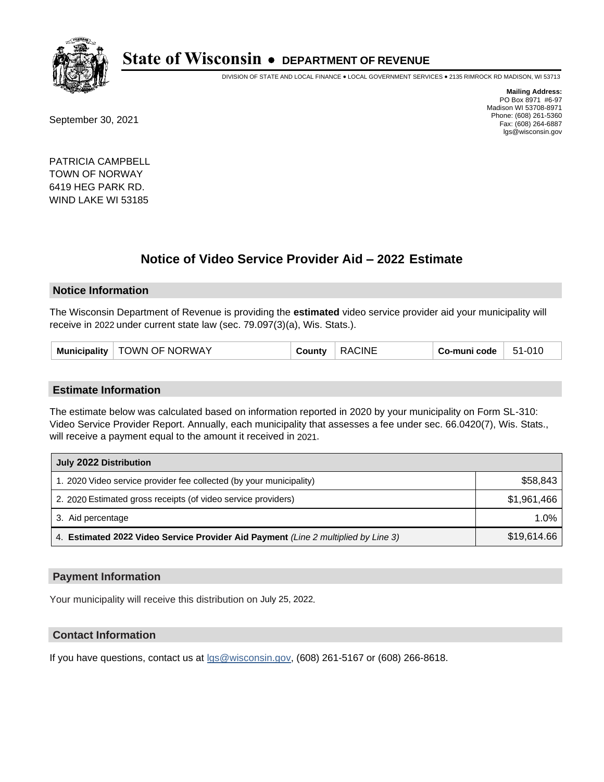

DIVISION OF STATE AND LOCAL FINANCE • LOCAL GOVERNMENT SERVICES • 2135 RIMROCK RD MADISON, WI 53713

September 30, 2021

**Mailing Address:** PO Box 8971 #6-97 Madison WI 53708-8971 Phone: (608) 261-5360 Fax: (608) 264-6887 lgs@wisconsin.gov

PATRICIA CAMPBELL TOWN OF NORWAY 6419 HEG PARK RD. WIND LAKE WI 53185

# **Notice of Video Service Provider Aid - 2022 Estimate**

#### **Notice Information**

The Wisconsin Department of Revenue is providing the **estimated** video service provider aid your municipality will receive in 2022 under current state law (sec. 79.097(3)(a), Wis. Stats.).

| Municipality   TOWN OF NORWAY<br>County | <b>RACINE</b> | Co-muni code | 51-010 |
|-----------------------------------------|---------------|--------------|--------|
|-----------------------------------------|---------------|--------------|--------|

#### **Estimate Information**

The estimate below was calculated based on information reported in 2020 by your municipality on Form SL-310: Video Service Provider Report. Annually, each municipality that assesses a fee under sec. 66.0420(7), Wis. Stats., will receive a payment equal to the amount it received in 2021.

| July 2022 Distribution                                                             |             |  |
|------------------------------------------------------------------------------------|-------------|--|
| 1. 2020 Video service provider fee collected (by your municipality)                | \$58,843    |  |
| 2. 2020 Estimated gross receipts (of video service providers)                      | \$1.961.466 |  |
| 3. Aid percentage                                                                  | 1.0%        |  |
| 4. Estimated 2022 Video Service Provider Aid Payment (Line 2 multiplied by Line 3) | \$19,614.66 |  |

#### **Payment Information**

Your municipality will receive this distribution on July 25, 2022.

## **Contact Information**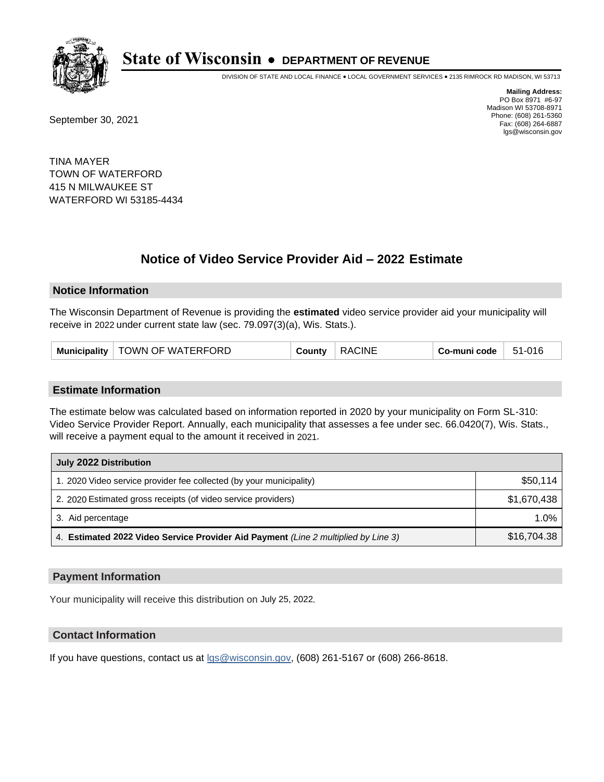

DIVISION OF STATE AND LOCAL FINANCE • LOCAL GOVERNMENT SERVICES • 2135 RIMROCK RD MADISON, WI 53713

September 30, 2021

**Mailing Address:** PO Box 8971 #6-97 Madison WI 53708-8971 Phone: (608) 261-5360 Fax: (608) 264-6887 lgs@wisconsin.gov

TINA MAYER TOWN OF WATERFORD 415 N MILWAUKEE ST WATERFORD WI 53185-4434

# **Notice of Video Service Provider Aid - 2022 Estimate**

#### **Notice Information**

The Wisconsin Department of Revenue is providing the **estimated** video service provider aid your municipality will receive in 2022 under current state law (sec. 79.097(3)(a), Wis. Stats.).

| <b>Municipality</b> | <b>TOWN OF WATERFORD</b> | 'ountٽ | CINE<br>∶ו∆נ | co-muni code، | 51-016 |
|---------------------|--------------------------|--------|--------------|---------------|--------|
|---------------------|--------------------------|--------|--------------|---------------|--------|

#### **Estimate Information**

The estimate below was calculated based on information reported in 2020 by your municipality on Form SL-310: Video Service Provider Report. Annually, each municipality that assesses a fee under sec. 66.0420(7), Wis. Stats., will receive a payment equal to the amount it received in 2021.

| July 2022 Distribution                                                             |             |  |
|------------------------------------------------------------------------------------|-------------|--|
| 1. 2020 Video service provider fee collected (by your municipality)                | \$50.114    |  |
| 2. 2020 Estimated gross receipts (of video service providers)                      | \$1.670.438 |  |
| 3. Aid percentage                                                                  | 1.0%        |  |
| 4. Estimated 2022 Video Service Provider Aid Payment (Line 2 multiplied by Line 3) | \$16,704.38 |  |

#### **Payment Information**

Your municipality will receive this distribution on July 25, 2022.

## **Contact Information**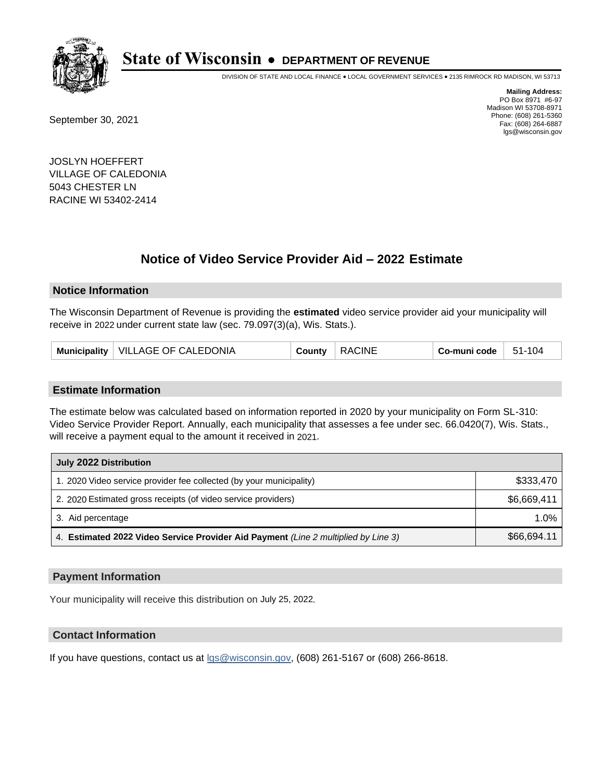

DIVISION OF STATE AND LOCAL FINANCE • LOCAL GOVERNMENT SERVICES • 2135 RIMROCK RD MADISON, WI 53713

September 30, 2021

**Mailing Address:** PO Box 8971 #6-97 Madison WI 53708-8971 Phone: (608) 261-5360 Fax: (608) 264-6887 lgs@wisconsin.gov

JOSLYN HOEFFERT VILLAGE OF CALEDONIA 5043 CHESTER LN RACINE WI 53402-2414

# **Notice of Video Service Provider Aid - 2022 Estimate**

#### **Notice Information**

The Wisconsin Department of Revenue is providing the **estimated** video service provider aid your municipality will receive in 2022 under current state law (sec. 79.097(3)(a), Wis. Stats.).

| Municipality   VILLAGE OF CALEDONIA | County | <b>RACINE</b> | Co-muni code | 51-104 |
|-------------------------------------|--------|---------------|--------------|--------|
|-------------------------------------|--------|---------------|--------------|--------|

#### **Estimate Information**

The estimate below was calculated based on information reported in 2020 by your municipality on Form SL-310: Video Service Provider Report. Annually, each municipality that assesses a fee under sec. 66.0420(7), Wis. Stats., will receive a payment equal to the amount it received in 2021.

| July 2022 Distribution                                                             |             |  |
|------------------------------------------------------------------------------------|-------------|--|
| 1. 2020 Video service provider fee collected (by your municipality)                | \$333,470   |  |
| 2. 2020 Estimated gross receipts (of video service providers)                      | \$6.669.411 |  |
| 3. Aid percentage                                                                  | 1.0%        |  |
| 4. Estimated 2022 Video Service Provider Aid Payment (Line 2 multiplied by Line 3) | \$66,694.11 |  |

#### **Payment Information**

Your municipality will receive this distribution on July 25, 2022.

## **Contact Information**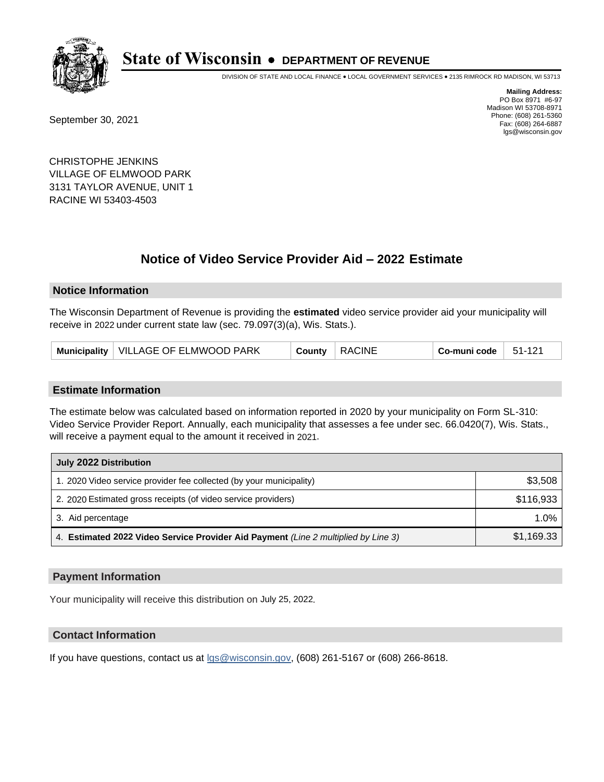

DIVISION OF STATE AND LOCAL FINANCE • LOCAL GOVERNMENT SERVICES • 2135 RIMROCK RD MADISON, WI 53713

September 30, 2021

**Mailing Address:** PO Box 8971 #6-97 Madison WI 53708-8971 Phone: (608) 261-5360 Fax: (608) 264-6887 lgs@wisconsin.gov

CHRISTOPHE JENKINS VILLAGE OF ELMWOOD PARK 3131 TAYLOR AVENUE, UNIT 1 RACINE WI 53403-4503

# **Notice of Video Service Provider Aid - 2022 Estimate**

### **Notice Information**

The Wisconsin Department of Revenue is providing the **estimated** video service provider aid your municipality will receive in 2022 under current state law (sec. 79.097(3)(a), Wis. Stats.).

| Municipality   VILLAGE OF ELMWOOD PARK | County | <b>RACINE</b> | Co-muni code | 51-121 |
|----------------------------------------|--------|---------------|--------------|--------|
|----------------------------------------|--------|---------------|--------------|--------|

#### **Estimate Information**

The estimate below was calculated based on information reported in 2020 by your municipality on Form SL-310: Video Service Provider Report. Annually, each municipality that assesses a fee under sec. 66.0420(7), Wis. Stats., will receive a payment equal to the amount it received in 2021.

| July 2022 Distribution                                                             |            |  |
|------------------------------------------------------------------------------------|------------|--|
| 1. 2020 Video service provider fee collected (by your municipality)                | \$3,508    |  |
| 2. 2020 Estimated gross receipts (of video service providers)                      | \$116.933  |  |
| 3. Aid percentage                                                                  | 1.0%       |  |
| 4. Estimated 2022 Video Service Provider Aid Payment (Line 2 multiplied by Line 3) | \$1,169.33 |  |

#### **Payment Information**

Your municipality will receive this distribution on July 25, 2022.

## **Contact Information**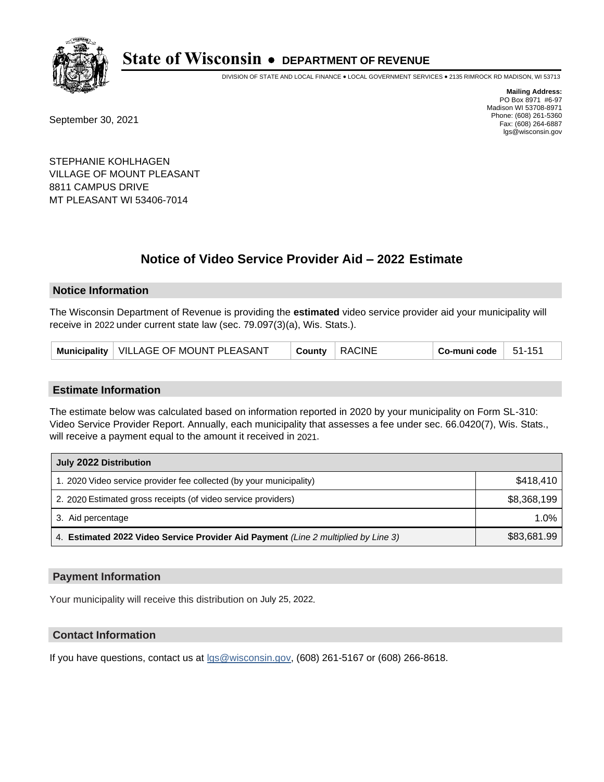

DIVISION OF STATE AND LOCAL FINANCE • LOCAL GOVERNMENT SERVICES • 2135 RIMROCK RD MADISON, WI 53713

September 30, 2021

**Mailing Address:** PO Box 8971 #6-97 Madison WI 53708-8971 Phone: (608) 261-5360 Fax: (608) 264-6887 lgs@wisconsin.gov

STEPHANIE KOHLHAGEN VILLAGE OF MOUNT PLEASANT 8811 CAMPUS DRIVE MT PLEASANT WI 53406-7014

# **Notice of Video Service Provider Aid - 2022 Estimate**

### **Notice Information**

The Wisconsin Department of Revenue is providing the **estimated** video service provider aid your municipality will receive in 2022 under current state law (sec. 79.097(3)(a), Wis. Stats.).

| Municipality   VILLAGE OF MOUNT PLEASANT<br><b>RACINE</b><br>County | 51-151<br>Co-muni code |
|---------------------------------------------------------------------|------------------------|
|---------------------------------------------------------------------|------------------------|

#### **Estimate Information**

The estimate below was calculated based on information reported in 2020 by your municipality on Form SL-310: Video Service Provider Report. Annually, each municipality that assesses a fee under sec. 66.0420(7), Wis. Stats., will receive a payment equal to the amount it received in 2021.

| July 2022 Distribution                                                             |             |  |
|------------------------------------------------------------------------------------|-------------|--|
| 1. 2020 Video service provider fee collected (by your municipality)                | \$418.410   |  |
| 2. 2020 Estimated gross receipts (of video service providers)                      | \$8,368,199 |  |
| 3. Aid percentage                                                                  | 1.0%        |  |
| 4. Estimated 2022 Video Service Provider Aid Payment (Line 2 multiplied by Line 3) | \$83,681.99 |  |

#### **Payment Information**

Your municipality will receive this distribution on July 25, 2022.

## **Contact Information**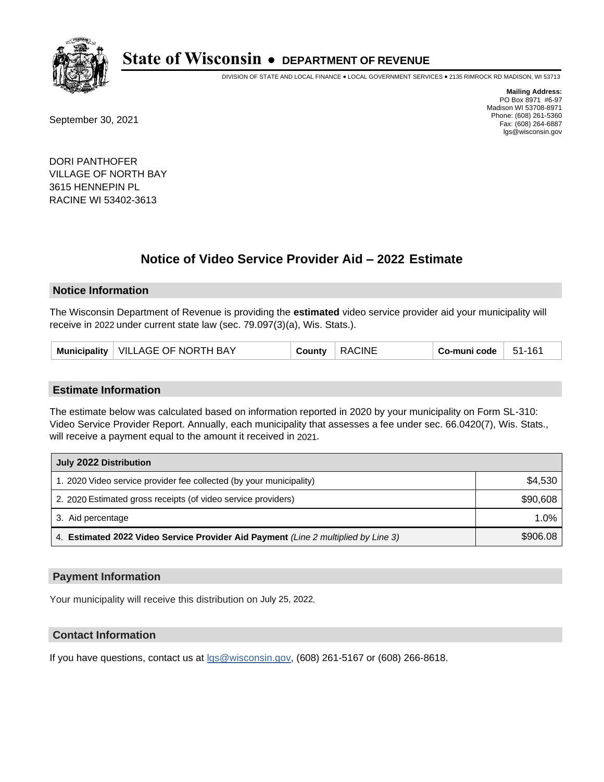

DIVISION OF STATE AND LOCAL FINANCE • LOCAL GOVERNMENT SERVICES • 2135 RIMROCK RD MADISON, WI 53713

September 30, 2021

**Mailing Address:** PO Box 8971 #6-97 Madison WI 53708-8971 Phone: (608) 261-5360 Fax: (608) 264-6887 lgs@wisconsin.gov

DORI PANTHOFER VILLAGE OF NORTH BAY 3615 HENNEPIN PL RACINE WI 53402-3613

# **Notice of Video Service Provider Aid - 2022 Estimate**

### **Notice Information**

The Wisconsin Department of Revenue is providing the **estimated** video service provider aid your municipality will receive in 2022 under current state law (sec. 79.097(3)(a), Wis. Stats.).

| Municipality   VILLAGE OF NORTH BAY<br>County | <b>RACINE</b> | $Co$ -muni code<br>51-161 |  |
|-----------------------------------------------|---------------|---------------------------|--|
|-----------------------------------------------|---------------|---------------------------|--|

#### **Estimate Information**

The estimate below was calculated based on information reported in 2020 by your municipality on Form SL-310: Video Service Provider Report. Annually, each municipality that assesses a fee under sec. 66.0420(7), Wis. Stats., will receive a payment equal to the amount it received in 2021.

| July 2022 Distribution                                                             |          |  |  |
|------------------------------------------------------------------------------------|----------|--|--|
| 1. 2020 Video service provider fee collected (by your municipality)                | \$4,530  |  |  |
| 2. 2020 Estimated gross receipts (of video service providers)                      | \$90,608 |  |  |
| 3. Aid percentage                                                                  | 1.0%     |  |  |
| 4. Estimated 2022 Video Service Provider Aid Payment (Line 2 multiplied by Line 3) | \$906.08 |  |  |

#### **Payment Information**

Your municipality will receive this distribution on July 25, 2022.

## **Contact Information**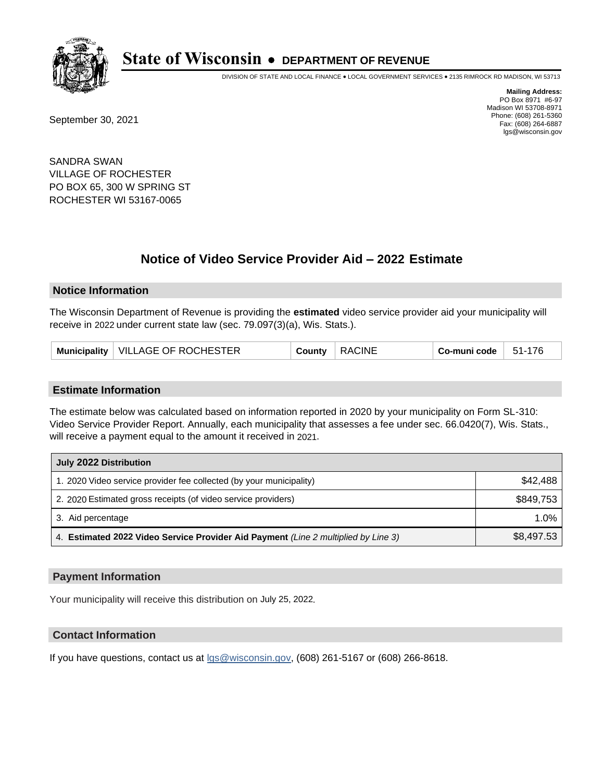

DIVISION OF STATE AND LOCAL FINANCE • LOCAL GOVERNMENT SERVICES • 2135 RIMROCK RD MADISON, WI 53713

September 30, 2021

**Mailing Address:** PO Box 8971 #6-97 Madison WI 53708-8971 Phone: (608) 261-5360 Fax: (608) 264-6887 lgs@wisconsin.gov

SANDRA SWAN VILLAGE OF ROCHESTER PO BOX 65, 300 W SPRING ST ROCHESTER WI 53167-0065

# **Notice of Video Service Provider Aid - 2022 Estimate**

#### **Notice Information**

The Wisconsin Department of Revenue is providing the **estimated** video service provider aid your municipality will receive in 2022 under current state law (sec. 79.097(3)(a), Wis. Stats.).

#### **Estimate Information**

The estimate below was calculated based on information reported in 2020 by your municipality on Form SL-310: Video Service Provider Report. Annually, each municipality that assesses a fee under sec. 66.0420(7), Wis. Stats., will receive a payment equal to the amount it received in 2021.

| July 2022 Distribution                                                             |            |
|------------------------------------------------------------------------------------|------------|
| 1. 2020 Video service provider fee collected (by your municipality)                | \$42,488   |
| 2. 2020 Estimated gross receipts (of video service providers)                      | \$849.753  |
| 3. Aid percentage                                                                  | 1.0%       |
| 4. Estimated 2022 Video Service Provider Aid Payment (Line 2 multiplied by Line 3) | \$8,497.53 |

#### **Payment Information**

Your municipality will receive this distribution on July 25, 2022.

## **Contact Information**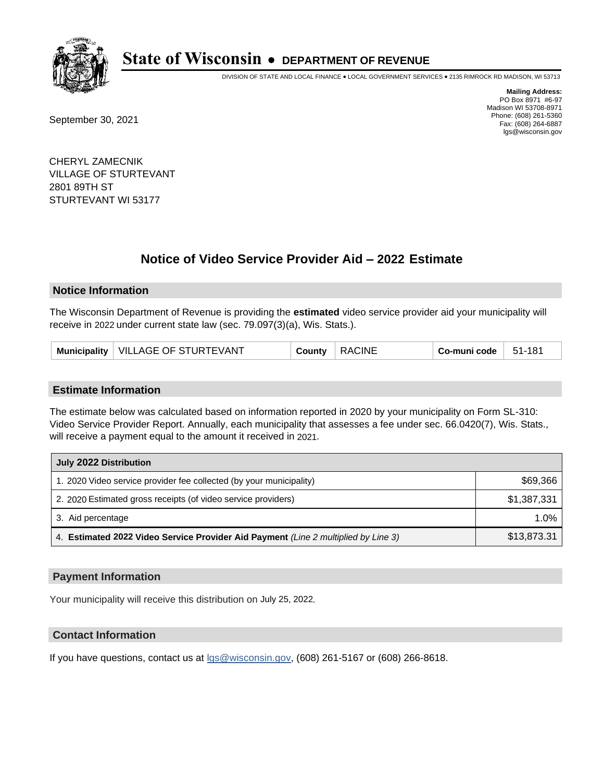

DIVISION OF STATE AND LOCAL FINANCE • LOCAL GOVERNMENT SERVICES • 2135 RIMROCK RD MADISON, WI 53713

September 30, 2021

**Mailing Address:** PO Box 8971 #6-97 Madison WI 53708-8971 Phone: (608) 261-5360 Fax: (608) 264-6887 lgs@wisconsin.gov

CHERYL ZAMECNIK VILLAGE OF STURTEVANT 2801 89TH ST STURTEVANT WI 53177

# **Notice of Video Service Provider Aid - 2022 Estimate**

#### **Notice Information**

The Wisconsin Department of Revenue is providing the **estimated** video service provider aid your municipality will receive in 2022 under current state law (sec. 79.097(3)(a), Wis. Stats.).

| Municipality   VILLAGE OF STURTEVANT | County | <b>RACINE</b><br>Co-muni code | $51-181$ |
|--------------------------------------|--------|-------------------------------|----------|
|--------------------------------------|--------|-------------------------------|----------|

#### **Estimate Information**

The estimate below was calculated based on information reported in 2020 by your municipality on Form SL-310: Video Service Provider Report. Annually, each municipality that assesses a fee under sec. 66.0420(7), Wis. Stats., will receive a payment equal to the amount it received in 2021.

| July 2022 Distribution                                                             |             |
|------------------------------------------------------------------------------------|-------------|
| 1. 2020 Video service provider fee collected (by your municipality)                | \$69,366    |
| 2. 2020 Estimated gross receipts (of video service providers)                      | \$1,387,331 |
| 3. Aid percentage                                                                  | 1.0%        |
| 4. Estimated 2022 Video Service Provider Aid Payment (Line 2 multiplied by Line 3) | \$13,873.31 |

#### **Payment Information**

Your municipality will receive this distribution on July 25, 2022.

## **Contact Information**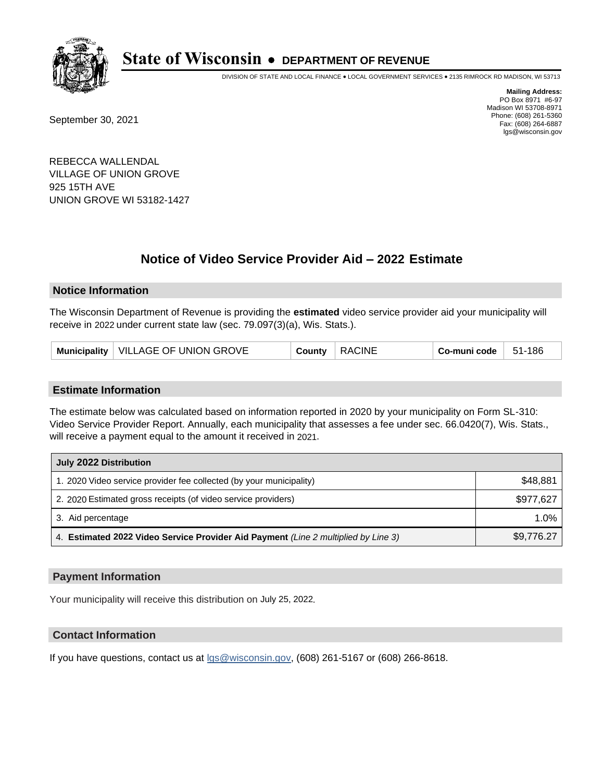

DIVISION OF STATE AND LOCAL FINANCE • LOCAL GOVERNMENT SERVICES • 2135 RIMROCK RD MADISON, WI 53713

September 30, 2021

**Mailing Address:** PO Box 8971 #6-97 Madison WI 53708-8971 Phone: (608) 261-5360 Fax: (608) 264-6887 lgs@wisconsin.gov

REBECCA WALLENDAL VILLAGE OF UNION GROVE 925 15TH AVE UNION GROVE WI 53182-1427

# **Notice of Video Service Provider Aid - 2022 Estimate**

### **Notice Information**

The Wisconsin Department of Revenue is providing the **estimated** video service provider aid your municipality will receive in 2022 under current state law (sec. 79.097(3)(a), Wis. Stats.).

| Municipality   VILLAGE OF UNION GROVE | County | <b>RACINE</b> | $Co$ -muni code $\,$ | $-51-186$ |
|---------------------------------------|--------|---------------|----------------------|-----------|
|---------------------------------------|--------|---------------|----------------------|-----------|

#### **Estimate Information**

The estimate below was calculated based on information reported in 2020 by your municipality on Form SL-310: Video Service Provider Report. Annually, each municipality that assesses a fee under sec. 66.0420(7), Wis. Stats., will receive a payment equal to the amount it received in 2021.

| July 2022 Distribution                                                             |            |
|------------------------------------------------------------------------------------|------------|
| 1. 2020 Video service provider fee collected (by your municipality)                | \$48,881   |
| 2. 2020 Estimated gross receipts (of video service providers)                      | \$977,627  |
| 3. Aid percentage                                                                  | $1.0\%$    |
| 4. Estimated 2022 Video Service Provider Aid Payment (Line 2 multiplied by Line 3) | \$9,776.27 |

#### **Payment Information**

Your municipality will receive this distribution on July 25, 2022.

## **Contact Information**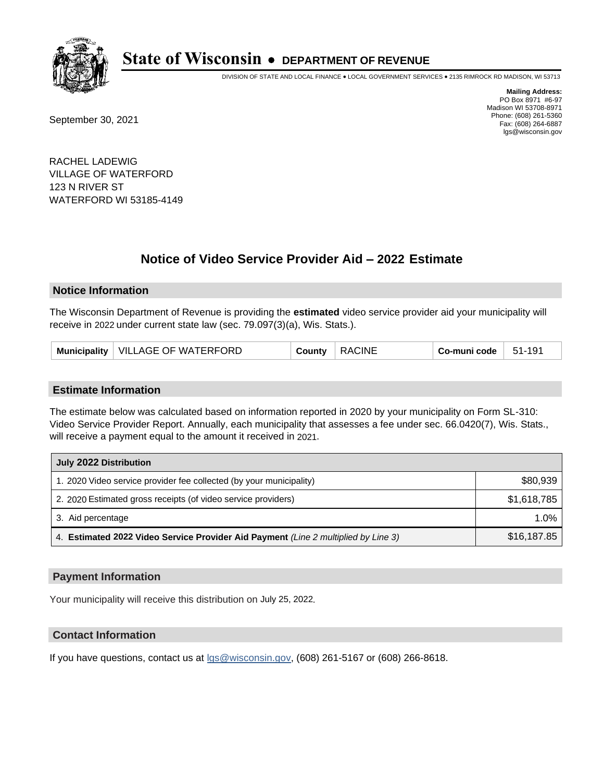

DIVISION OF STATE AND LOCAL FINANCE • LOCAL GOVERNMENT SERVICES • 2135 RIMROCK RD MADISON, WI 53713

September 30, 2021

**Mailing Address:** PO Box 8971 #6-97 Madison WI 53708-8971 Phone: (608) 261-5360 Fax: (608) 264-6887 lgs@wisconsin.gov

RACHEL LADEWIG VILLAGE OF WATERFORD 123 N RIVER ST WATERFORD WI 53185-4149

# **Notice of Video Service Provider Aid - 2022 Estimate**

#### **Notice Information**

The Wisconsin Department of Revenue is providing the **estimated** video service provider aid your municipality will receive in 2022 under current state law (sec. 79.097(3)(a), Wis. Stats.).

| Municipality   VILLAGE OF WATERFORD | County | <b>RACINE</b> | Co-muni code | $-51-191$ |
|-------------------------------------|--------|---------------|--------------|-----------|
|-------------------------------------|--------|---------------|--------------|-----------|

#### **Estimate Information**

The estimate below was calculated based on information reported in 2020 by your municipality on Form SL-310: Video Service Provider Report. Annually, each municipality that assesses a fee under sec. 66.0420(7), Wis. Stats., will receive a payment equal to the amount it received in 2021.

| July 2022 Distribution                                                             |             |  |
|------------------------------------------------------------------------------------|-------------|--|
| 1. 2020 Video service provider fee collected (by your municipality)                | \$80,939    |  |
| 2. 2020 Estimated gross receipts (of video service providers)                      | \$1,618,785 |  |
| 3. Aid percentage                                                                  | $1.0\%$     |  |
| 4. Estimated 2022 Video Service Provider Aid Payment (Line 2 multiplied by Line 3) | \$16,187.85 |  |

#### **Payment Information**

Your municipality will receive this distribution on July 25, 2022.

## **Contact Information**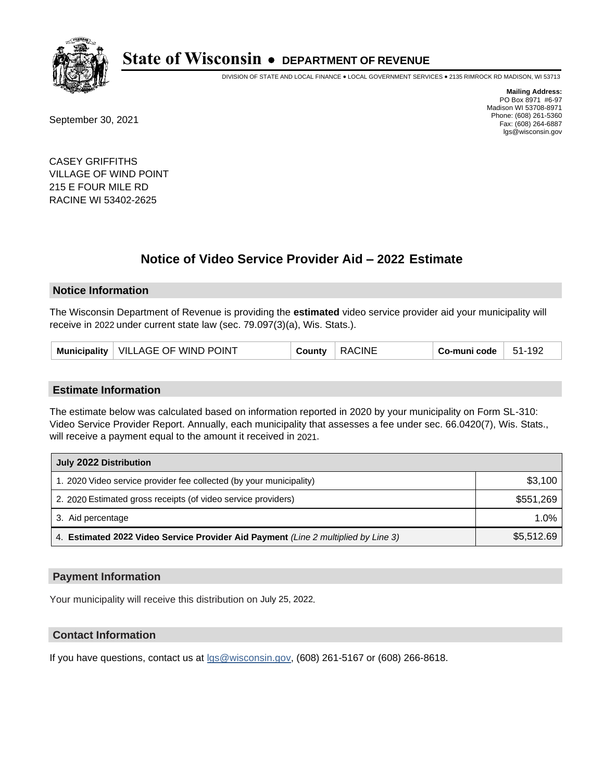

DIVISION OF STATE AND LOCAL FINANCE • LOCAL GOVERNMENT SERVICES • 2135 RIMROCK RD MADISON, WI 53713

September 30, 2021

**Mailing Address:** PO Box 8971 #6-97 Madison WI 53708-8971 Phone: (608) 261-5360 Fax: (608) 264-6887 lgs@wisconsin.gov

CASEY GRIFFITHS VILLAGE OF WIND POINT 215 E FOUR MILE RD RACINE WI 53402-2625

# **Notice of Video Service Provider Aid - 2022 Estimate**

#### **Notice Information**

The Wisconsin Department of Revenue is providing the **estimated** video service provider aid your municipality will receive in 2022 under current state law (sec. 79.097(3)(a), Wis. Stats.).

|  | <b>Municipality</b> | VILLAGE OF WIND POINT | شcunt∨ | CINE<br>۸۵ ب | Co-muni code | -192<br>51- |
|--|---------------------|-----------------------|--------|--------------|--------------|-------------|
|--|---------------------|-----------------------|--------|--------------|--------------|-------------|

#### **Estimate Information**

The estimate below was calculated based on information reported in 2020 by your municipality on Form SL-310: Video Service Provider Report. Annually, each municipality that assesses a fee under sec. 66.0420(7), Wis. Stats., will receive a payment equal to the amount it received in 2021.

| July 2022 Distribution                                                             |            |
|------------------------------------------------------------------------------------|------------|
| 1. 2020 Video service provider fee collected (by your municipality)                | \$3,100    |
| 2. 2020 Estimated gross receipts (of video service providers)                      | \$551,269  |
| 3. Aid percentage                                                                  | 1.0%       |
| 4. Estimated 2022 Video Service Provider Aid Payment (Line 2 multiplied by Line 3) | \$5,512.69 |

#### **Payment Information**

Your municipality will receive this distribution on July 25, 2022.

## **Contact Information**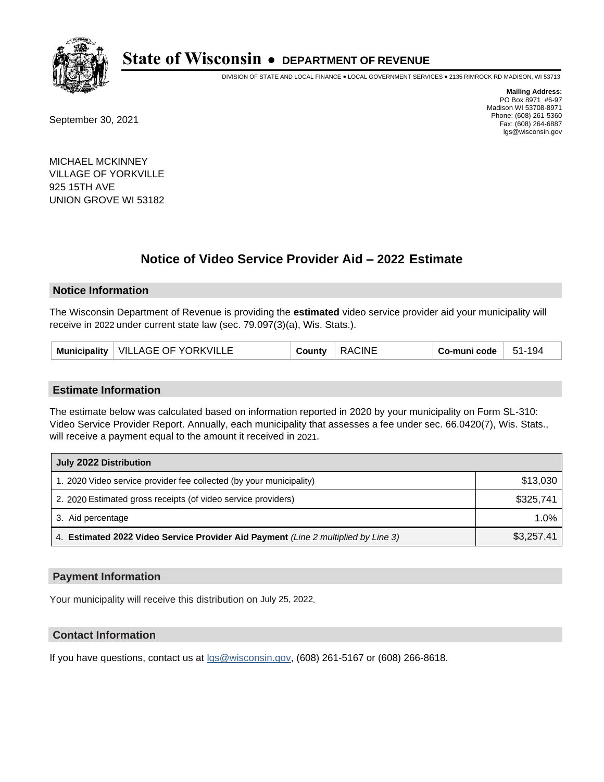

DIVISION OF STATE AND LOCAL FINANCE • LOCAL GOVERNMENT SERVICES • 2135 RIMROCK RD MADISON, WI 53713

September 30, 2021

**Mailing Address:** PO Box 8971 #6-97 Madison WI 53708-8971 Phone: (608) 261-5360 Fax: (608) 264-6887 lgs@wisconsin.gov

MICHAEL MCKINNEY VILLAGE OF YORKVILLE 925 15TH AVE UNION GROVE WI 53182

# **Notice of Video Service Provider Aid - 2022 Estimate**

### **Notice Information**

The Wisconsin Department of Revenue is providing the **estimated** video service provider aid your municipality will receive in 2022 under current state law (sec. 79.097(3)(a), Wis. Stats.).

| Municipality   VILLAGE OF YORKVILLE | County | <b>RACINE</b> | Co-muni code | 51-194 |
|-------------------------------------|--------|---------------|--------------|--------|
|-------------------------------------|--------|---------------|--------------|--------|

#### **Estimate Information**

The estimate below was calculated based on information reported in 2020 by your municipality on Form SL-310: Video Service Provider Report. Annually, each municipality that assesses a fee under sec. 66.0420(7), Wis. Stats., will receive a payment equal to the amount it received in 2021.

| July 2022 Distribution                                                             |            |  |
|------------------------------------------------------------------------------------|------------|--|
| 1. 2020 Video service provider fee collected (by your municipality)                | \$13,030   |  |
| 2. 2020 Estimated gross receipts (of video service providers)                      | \$325.741  |  |
| 3. Aid percentage                                                                  | $1.0\%$    |  |
| 4. Estimated 2022 Video Service Provider Aid Payment (Line 2 multiplied by Line 3) | \$3,257.41 |  |

#### **Payment Information**

Your municipality will receive this distribution on July 25, 2022.

## **Contact Information**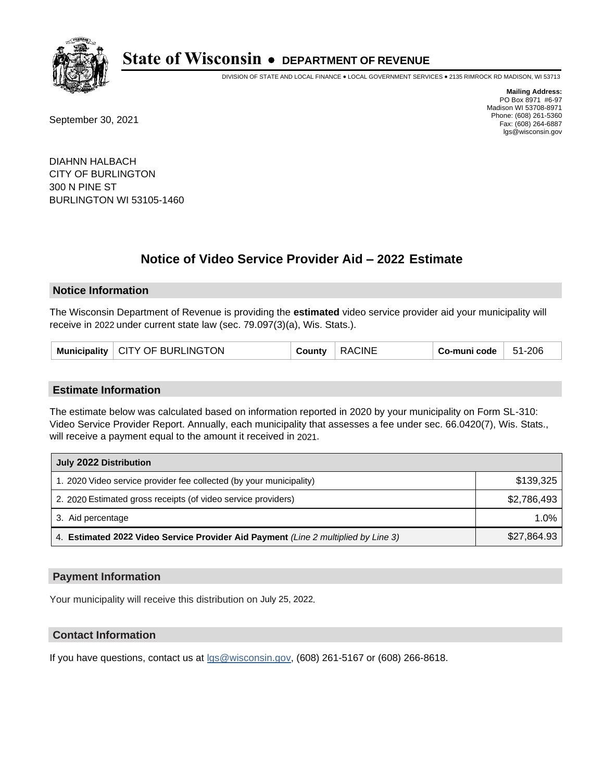

DIVISION OF STATE AND LOCAL FINANCE • LOCAL GOVERNMENT SERVICES • 2135 RIMROCK RD MADISON, WI 53713

September 30, 2021

**Mailing Address:** PO Box 8971 #6-97 Madison WI 53708-8971 Phone: (608) 261-5360 Fax: (608) 264-6887 lgs@wisconsin.gov

DIAHNN HALBACH CITY OF BURLINGTON 300 N PINE ST BURLINGTON WI 53105-1460

# **Notice of Video Service Provider Aid - 2022 Estimate**

### **Notice Information**

The Wisconsin Department of Revenue is providing the **estimated** video service provider aid your municipality will receive in 2022 under current state law (sec. 79.097(3)(a), Wis. Stats.).

|  | Municipality   CITY OF BURLINGTON | County | <b>RACINE</b> | ⊦ Co-muni code | 51-206 |
|--|-----------------------------------|--------|---------------|----------------|--------|
|--|-----------------------------------|--------|---------------|----------------|--------|

#### **Estimate Information**

The estimate below was calculated based on information reported in 2020 by your municipality on Form SL-310: Video Service Provider Report. Annually, each municipality that assesses a fee under sec. 66.0420(7), Wis. Stats., will receive a payment equal to the amount it received in 2021.

| July 2022 Distribution                                                             |             |  |  |
|------------------------------------------------------------------------------------|-------------|--|--|
| 1. 2020 Video service provider fee collected (by your municipality)                | \$139.325   |  |  |
| 2. 2020 Estimated gross receipts (of video service providers)                      | \$2.786.493 |  |  |
| 3. Aid percentage                                                                  | 1.0%        |  |  |
| 4. Estimated 2022 Video Service Provider Aid Payment (Line 2 multiplied by Line 3) | \$27,864.93 |  |  |

#### **Payment Information**

Your municipality will receive this distribution on July 25, 2022.

## **Contact Information**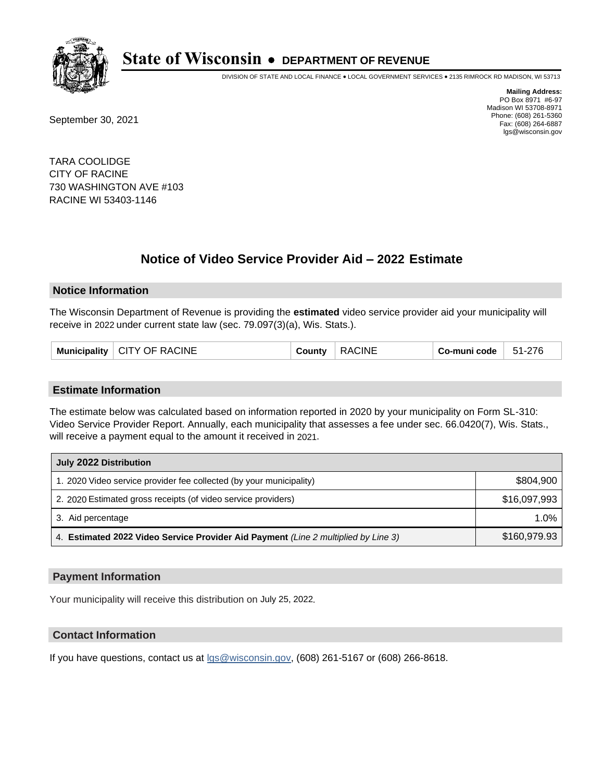

DIVISION OF STATE AND LOCAL FINANCE • LOCAL GOVERNMENT SERVICES • 2135 RIMROCK RD MADISON, WI 53713

September 30, 2021

**Mailing Address:** PO Box 8971 #6-97 Madison WI 53708-8971 Phone: (608) 261-5360 Fax: (608) 264-6887 lgs@wisconsin.gov

TARA COOLIDGE CITY OF RACINE 730 WASHINGTON AVE #103 RACINE WI 53403-1146

# **Notice of Video Service Provider Aid - 2022 Estimate**

#### **Notice Information**

The Wisconsin Department of Revenue is providing the **estimated** video service provider aid your municipality will receive in 2022 under current state law (sec. 79.097(3)(a), Wis. Stats.).

| Municipality | <b>CITY OF RACINE</b> | County | <b>RACINE</b> | Co-muni code | 51-276 |
|--------------|-----------------------|--------|---------------|--------------|--------|
|--------------|-----------------------|--------|---------------|--------------|--------|

#### **Estimate Information**

The estimate below was calculated based on information reported in 2020 by your municipality on Form SL-310: Video Service Provider Report. Annually, each municipality that assesses a fee under sec. 66.0420(7), Wis. Stats., will receive a payment equal to the amount it received in 2021.

| July 2022 Distribution                                                             |              |  |  |
|------------------------------------------------------------------------------------|--------------|--|--|
| 1. 2020 Video service provider fee collected (by your municipality)                | \$804,900    |  |  |
| 2. 2020 Estimated gross receipts (of video service providers)                      | \$16,097,993 |  |  |
| 3. Aid percentage                                                                  | $1.0\%$      |  |  |
| 4. Estimated 2022 Video Service Provider Aid Payment (Line 2 multiplied by Line 3) | \$160,979.93 |  |  |

#### **Payment Information**

Your municipality will receive this distribution on July 25, 2022.

## **Contact Information**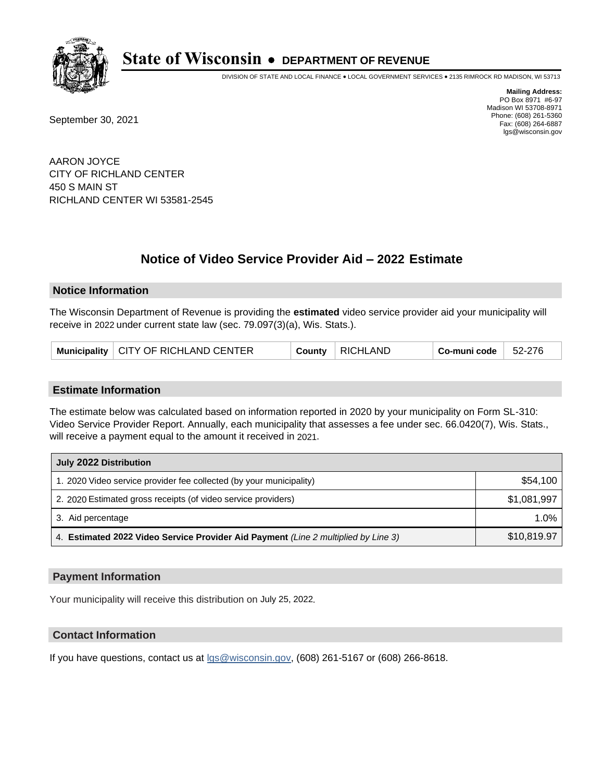

DIVISION OF STATE AND LOCAL FINANCE • LOCAL GOVERNMENT SERVICES • 2135 RIMROCK RD MADISON, WI 53713

September 30, 2021

**Mailing Address:** PO Box 8971 #6-97 Madison WI 53708-8971 Phone: (608) 261-5360 Fax: (608) 264-6887 lgs@wisconsin.gov

AARON JOYCE CITY OF RICHLAND CENTER 450 S MAIN ST RICHLAND CENTER WI 53581-2545

# **Notice of Video Service Provider Aid - 2022 Estimate**

#### **Notice Information**

The Wisconsin Department of Revenue is providing the **estimated** video service provider aid your municipality will receive in 2022 under current state law (sec. 79.097(3)(a), Wis. Stats.).

|  | Municipality   CITY OF RICHLAND CENTER | County | RICHLAND | Co-muni code | 52-276 |
|--|----------------------------------------|--------|----------|--------------|--------|
|--|----------------------------------------|--------|----------|--------------|--------|

#### **Estimate Information**

The estimate below was calculated based on information reported in 2020 by your municipality on Form SL-310: Video Service Provider Report. Annually, each municipality that assesses a fee under sec. 66.0420(7), Wis. Stats., will receive a payment equal to the amount it received in 2021.

| July 2022 Distribution                                                             |             |  |  |
|------------------------------------------------------------------------------------|-------------|--|--|
| 1. 2020 Video service provider fee collected (by your municipality)                | \$54,100    |  |  |
| 2. 2020 Estimated gross receipts (of video service providers)                      | \$1,081,997 |  |  |
| 3. Aid percentage                                                                  | 1.0%        |  |  |
| 4. Estimated 2022 Video Service Provider Aid Payment (Line 2 multiplied by Line 3) | \$10,819.97 |  |  |

#### **Payment Information**

Your municipality will receive this distribution on July 25, 2022.

## **Contact Information**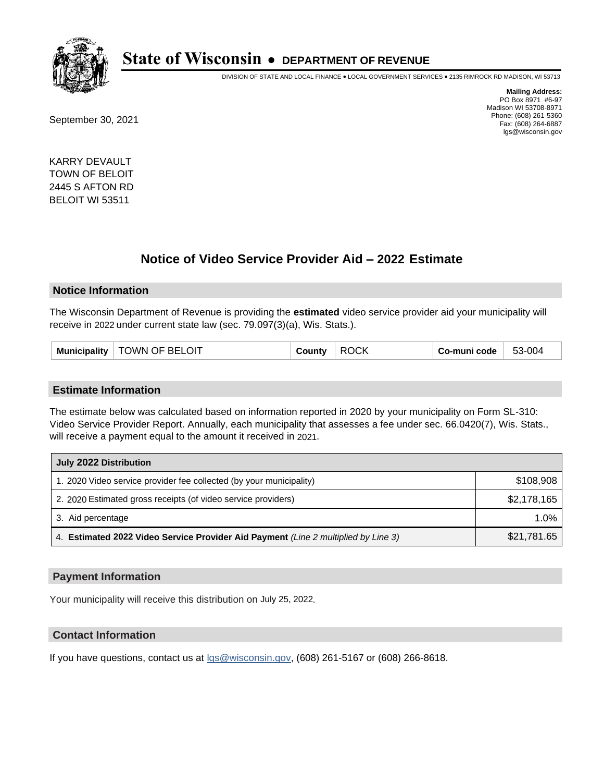

DIVISION OF STATE AND LOCAL FINANCE • LOCAL GOVERNMENT SERVICES • 2135 RIMROCK RD MADISON, WI 53713

September 30, 2021

**Mailing Address:** PO Box 8971 #6-97 Madison WI 53708-8971 Phone: (608) 261-5360 Fax: (608) 264-6887 lgs@wisconsin.gov

KARRY DEVAULT TOWN OF BELOIT 2445 S AFTON RD BELOIT WI 53511

# **Notice of Video Service Provider Aid - 2022 Estimate**

#### **Notice Information**

The Wisconsin Department of Revenue is providing the **estimated** video service provider aid your municipality will receive in 2022 under current state law (sec. 79.097(3)(a), Wis. Stats.).

| TOWN OF BELOIT<br>Municipality | County | <b>ROCK</b> | Co-muni code | 53-004 |
|--------------------------------|--------|-------------|--------------|--------|
|--------------------------------|--------|-------------|--------------|--------|

#### **Estimate Information**

The estimate below was calculated based on information reported in 2020 by your municipality on Form SL-310: Video Service Provider Report. Annually, each municipality that assesses a fee under sec. 66.0420(7), Wis. Stats., will receive a payment equal to the amount it received in 2021.

| July 2022 Distribution                                                             |             |  |  |
|------------------------------------------------------------------------------------|-------------|--|--|
| 1. 2020 Video service provider fee collected (by your municipality)                | \$108,908   |  |  |
| 2. 2020 Estimated gross receipts (of video service providers)                      | \$2,178,165 |  |  |
| 3. Aid percentage                                                                  | $1.0\%$     |  |  |
| 4. Estimated 2022 Video Service Provider Aid Payment (Line 2 multiplied by Line 3) | \$21,781.65 |  |  |

#### **Payment Information**

Your municipality will receive this distribution on July 25, 2022.

## **Contact Information**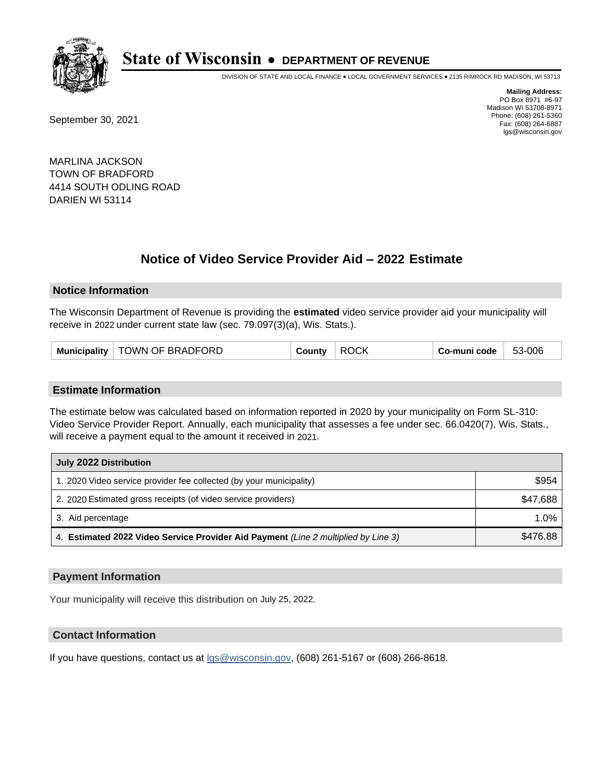

DIVISION OF STATE AND LOCAL FINANCE • LOCAL GOVERNMENT SERVICES • 2135 RIMROCK RD MADISON, WI 53713

September 30, 2021

**Mailing Address:** PO Box 8971 #6-97 Madison WI 53708-8971 Phone: (608) 261-5360 Fax: (608) 264-6887 lgs@wisconsin.gov

MARLINA JACKSON TOWN OF BRADFORD 4414 SOUTH ODLING ROAD DARIEN WI 53114

# **Notice of Video Service Provider Aid - 2022 Estimate**

#### **Notice Information**

The Wisconsin Department of Revenue is providing the **estimated** video service provider aid your municipality will receive in 2022 under current state law (sec. 79.097(3)(a), Wis. Stats.).

| Municipality | TOWN OF BRADFORD | County | <b>ROCK</b> | Co-muni code | 53-006 |
|--------------|------------------|--------|-------------|--------------|--------|
|--------------|------------------|--------|-------------|--------------|--------|

#### **Estimate Information**

The estimate below was calculated based on information reported in 2020 by your municipality on Form SL-310: Video Service Provider Report. Annually, each municipality that assesses a fee under sec. 66.0420(7), Wis. Stats., will receive a payment equal to the amount it received in 2021.

| July 2022 Distribution                                                             |          |  |  |
|------------------------------------------------------------------------------------|----------|--|--|
| 1. 2020 Video service provider fee collected (by your municipality)                | \$954    |  |  |
| 2. 2020 Estimated gross receipts (of video service providers)                      | \$47,688 |  |  |
| 3. Aid percentage                                                                  | $1.0\%$  |  |  |
| 4. Estimated 2022 Video Service Provider Aid Payment (Line 2 multiplied by Line 3) | \$476.88 |  |  |

#### **Payment Information**

Your municipality will receive this distribution on July 25, 2022.

## **Contact Information**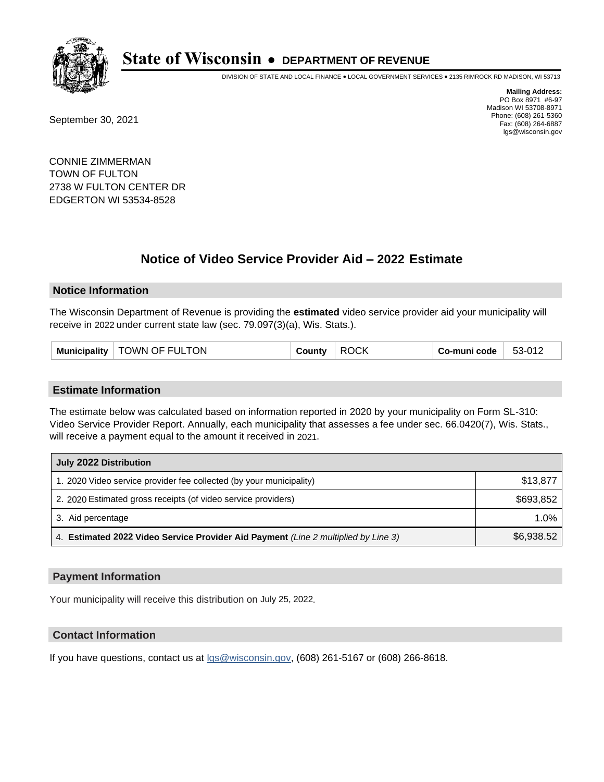

DIVISION OF STATE AND LOCAL FINANCE • LOCAL GOVERNMENT SERVICES • 2135 RIMROCK RD MADISON, WI 53713

September 30, 2021

**Mailing Address:** PO Box 8971 #6-97 Madison WI 53708-8971 Phone: (608) 261-5360 Fax: (608) 264-6887 lgs@wisconsin.gov

CONNIE ZIMMERMAN TOWN OF FULTON 2738 W FULTON CENTER DR EDGERTON WI 53534-8528

# **Notice of Video Service Provider Aid - 2022 Estimate**

#### **Notice Information**

The Wisconsin Department of Revenue is providing the **estimated** video service provider aid your municipality will receive in 2022 under current state law (sec. 79.097(3)(a), Wis. Stats.).

#### **Estimate Information**

The estimate below was calculated based on information reported in 2020 by your municipality on Form SL-310: Video Service Provider Report. Annually, each municipality that assesses a fee under sec. 66.0420(7), Wis. Stats., will receive a payment equal to the amount it received in 2021.

| July 2022 Distribution                                                             |            |  |  |
|------------------------------------------------------------------------------------|------------|--|--|
| 1. 2020 Video service provider fee collected (by your municipality)                | \$13,877   |  |  |
| 2. 2020 Estimated gross receipts (of video service providers)                      | \$693,852  |  |  |
| 3. Aid percentage                                                                  | $1.0\%$    |  |  |
| 4. Estimated 2022 Video Service Provider Aid Payment (Line 2 multiplied by Line 3) | \$6,938.52 |  |  |

#### **Payment Information**

Your municipality will receive this distribution on July 25, 2022.

## **Contact Information**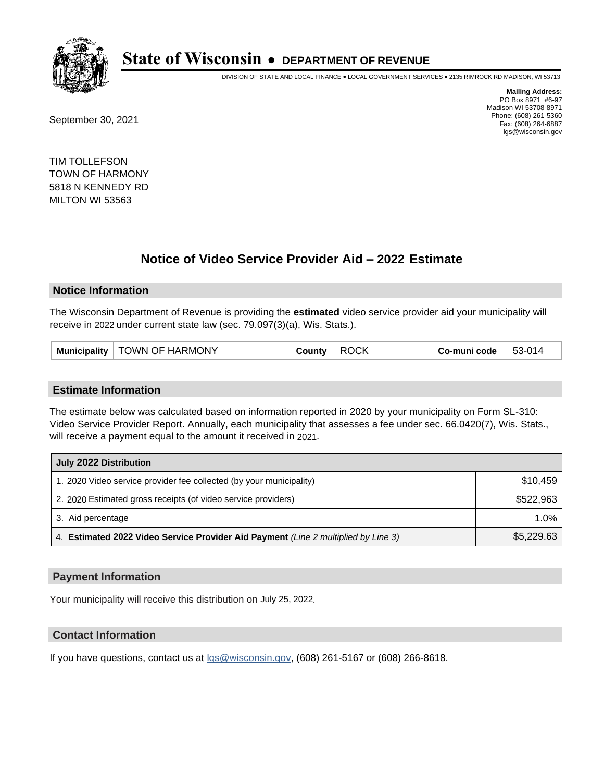

DIVISION OF STATE AND LOCAL FINANCE • LOCAL GOVERNMENT SERVICES • 2135 RIMROCK RD MADISON, WI 53713

September 30, 2021

**Mailing Address:** PO Box 8971 #6-97 Madison WI 53708-8971 Phone: (608) 261-5360 Fax: (608) 264-6887 lgs@wisconsin.gov

TIM TOLLEFSON TOWN OF HARMONY 5818 N KENNEDY RD MILTON WI 53563

# **Notice of Video Service Provider Aid - 2022 Estimate**

#### **Notice Information**

The Wisconsin Department of Revenue is providing the **estimated** video service provider aid your municipality will receive in 2022 under current state law (sec. 79.097(3)(a), Wis. Stats.).

#### **Estimate Information**

The estimate below was calculated based on information reported in 2020 by your municipality on Form SL-310: Video Service Provider Report. Annually, each municipality that assesses a fee under sec. 66.0420(7), Wis. Stats., will receive a payment equal to the amount it received in 2021.

| July 2022 Distribution                                                             |            |  |
|------------------------------------------------------------------------------------|------------|--|
| 1. 2020 Video service provider fee collected (by your municipality)                | \$10.459   |  |
| 2. 2020 Estimated gross receipts (of video service providers)                      | \$522,963  |  |
| 3. Aid percentage                                                                  | 1.0%       |  |
| 4. Estimated 2022 Video Service Provider Aid Payment (Line 2 multiplied by Line 3) | \$5,229.63 |  |

#### **Payment Information**

Your municipality will receive this distribution on July 25, 2022.

## **Contact Information**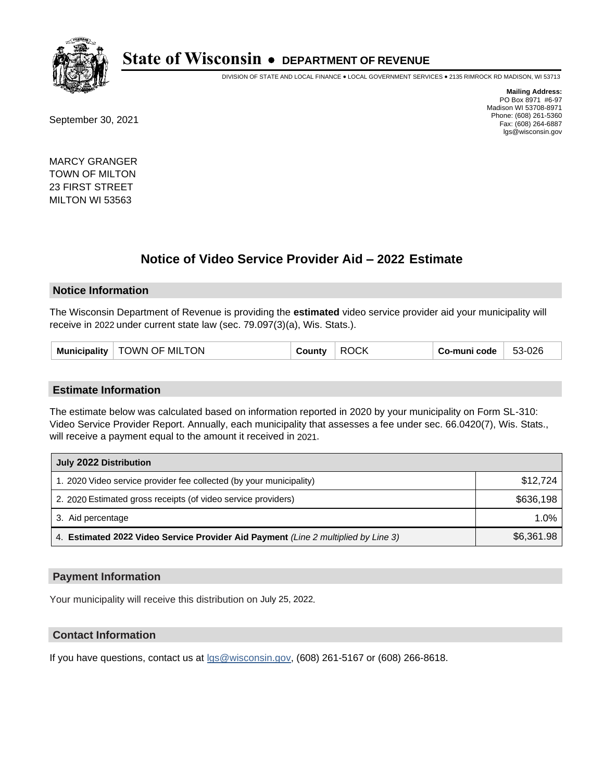

DIVISION OF STATE AND LOCAL FINANCE • LOCAL GOVERNMENT SERVICES • 2135 RIMROCK RD MADISON, WI 53713

September 30, 2021

**Mailing Address:** PO Box 8971 #6-97 Madison WI 53708-8971 Phone: (608) 261-5360 Fax: (608) 264-6887 lgs@wisconsin.gov

MARCY GRANGER TOWN OF MILTON 23 FIRST STREET MILTON WI 53563

# **Notice of Video Service Provider Aid - 2022 Estimate**

#### **Notice Information**

The Wisconsin Department of Revenue is providing the **estimated** video service provider aid your municipality will receive in 2022 under current state law (sec. 79.097(3)(a), Wis. Stats.).

| <b>ROCK</b><br><b>Municipality</b><br>TOWN OF MILTON<br>County | 53-026<br>Co-muni code |
|----------------------------------------------------------------|------------------------|
|----------------------------------------------------------------|------------------------|

#### **Estimate Information**

The estimate below was calculated based on information reported in 2020 by your municipality on Form SL-310: Video Service Provider Report. Annually, each municipality that assesses a fee under sec. 66.0420(7), Wis. Stats., will receive a payment equal to the amount it received in 2021.

| July 2022 Distribution                                                             |            |  |
|------------------------------------------------------------------------------------|------------|--|
| 1. 2020 Video service provider fee collected (by your municipality)                | \$12,724   |  |
| 2. 2020 Estimated gross receipts (of video service providers)                      | \$636.198  |  |
| 3. Aid percentage                                                                  | 1.0%       |  |
| 4. Estimated 2022 Video Service Provider Aid Payment (Line 2 multiplied by Line 3) | \$6,361.98 |  |

#### **Payment Information**

Your municipality will receive this distribution on July 25, 2022.

## **Contact Information**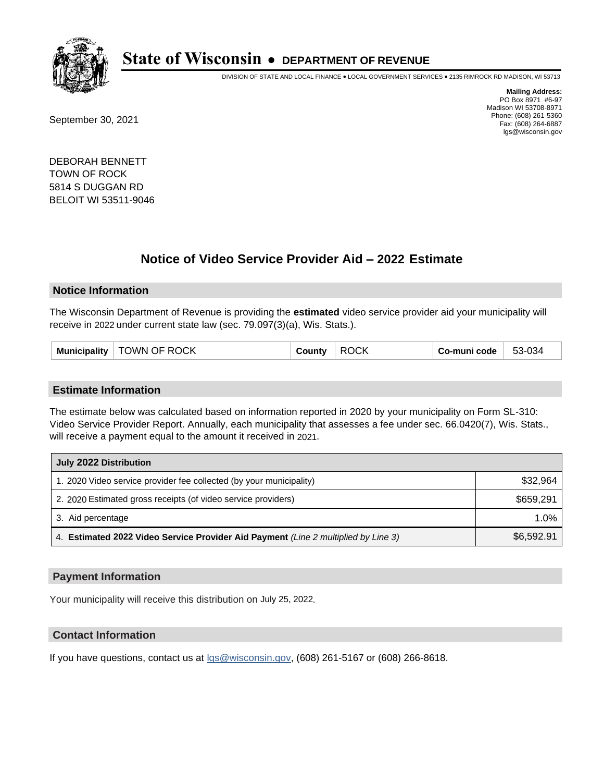

DIVISION OF STATE AND LOCAL FINANCE • LOCAL GOVERNMENT SERVICES • 2135 RIMROCK RD MADISON, WI 53713

September 30, 2021

**Mailing Address:** PO Box 8971 #6-97 Madison WI 53708-8971 Phone: (608) 261-5360 Fax: (608) 264-6887 lgs@wisconsin.gov

DEBORAH BENNETT TOWN OF ROCK 5814 S DUGGAN RD BELOIT WI 53511-9046

# **Notice of Video Service Provider Aid - 2022 Estimate**

#### **Notice Information**

The Wisconsin Department of Revenue is providing the **estimated** video service provider aid your municipality will receive in 2022 under current state law (sec. 79.097(3)(a), Wis. Stats.).

| Municipality   TOWN OF ROCK<br>County | <b>ROCK</b> | Co-muni code | 53-034 |
|---------------------------------------|-------------|--------------|--------|
|---------------------------------------|-------------|--------------|--------|

#### **Estimate Information**

The estimate below was calculated based on information reported in 2020 by your municipality on Form SL-310: Video Service Provider Report. Annually, each municipality that assesses a fee under sec. 66.0420(7), Wis. Stats., will receive a payment equal to the amount it received in 2021.

| July 2022 Distribution                                                             |            |  |
|------------------------------------------------------------------------------------|------------|--|
| 1. 2020 Video service provider fee collected (by your municipality)                | \$32,964   |  |
| 2. 2020 Estimated gross receipts (of video service providers)                      | \$659.291  |  |
| 3. Aid percentage                                                                  | 1.0%       |  |
| 4. Estimated 2022 Video Service Provider Aid Payment (Line 2 multiplied by Line 3) | \$6,592.91 |  |

#### **Payment Information**

Your municipality will receive this distribution on July 25, 2022.

## **Contact Information**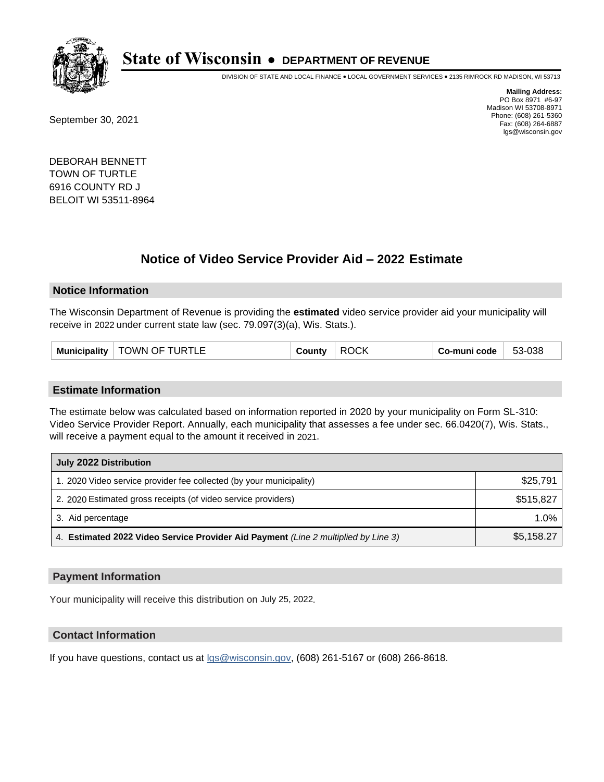

DIVISION OF STATE AND LOCAL FINANCE • LOCAL GOVERNMENT SERVICES • 2135 RIMROCK RD MADISON, WI 53713

September 30, 2021

**Mailing Address:** PO Box 8971 #6-97 Madison WI 53708-8971 Phone: (608) 261-5360 Fax: (608) 264-6887 lgs@wisconsin.gov

DEBORAH BENNETT TOWN OF TURTLE 6916 COUNTY RD J BELOIT WI 53511-8964

# **Notice of Video Service Provider Aid - 2022 Estimate**

#### **Notice Information**

The Wisconsin Department of Revenue is providing the **estimated** video service provider aid your municipality will receive in 2022 under current state law (sec. 79.097(3)(a), Wis. Stats.).

#### **Estimate Information**

The estimate below was calculated based on information reported in 2020 by your municipality on Form SL-310: Video Service Provider Report. Annually, each municipality that assesses a fee under sec. 66.0420(7), Wis. Stats., will receive a payment equal to the amount it received in 2021.

| July 2022 Distribution                                                             |            |  |
|------------------------------------------------------------------------------------|------------|--|
| 1. 2020 Video service provider fee collected (by your municipality)                | \$25,791   |  |
| 2. 2020 Estimated gross receipts (of video service providers)                      | \$515,827  |  |
| 3. Aid percentage                                                                  | 1.0%       |  |
| 4. Estimated 2022 Video Service Provider Aid Payment (Line 2 multiplied by Line 3) | \$5,158.27 |  |

#### **Payment Information**

Your municipality will receive this distribution on July 25, 2022.

## **Contact Information**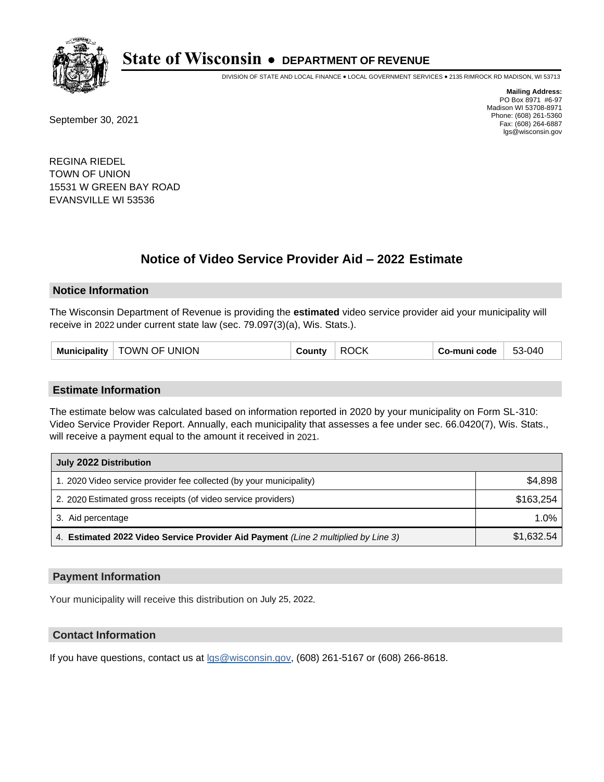

DIVISION OF STATE AND LOCAL FINANCE • LOCAL GOVERNMENT SERVICES • 2135 RIMROCK RD MADISON, WI 53713

September 30, 2021

**Mailing Address:** PO Box 8971 #6-97 Madison WI 53708-8971 Phone: (608) 261-5360 Fax: (608) 264-6887 lgs@wisconsin.gov

REGINA RIEDEL TOWN OF UNION 15531 W GREEN BAY ROAD EVANSVILLE WI 53536

# **Notice of Video Service Provider Aid - 2022 Estimate**

#### **Notice Information**

The Wisconsin Department of Revenue is providing the **estimated** video service provider aid your municipality will receive in 2022 under current state law (sec. 79.097(3)(a), Wis. Stats.).

| <b>TOWN OF UNION</b><br>Municipality | County | <b>ROCK</b> | Co-muni code | 53-040 |
|--------------------------------------|--------|-------------|--------------|--------|
|--------------------------------------|--------|-------------|--------------|--------|

#### **Estimate Information**

The estimate below was calculated based on information reported in 2020 by your municipality on Form SL-310: Video Service Provider Report. Annually, each municipality that assesses a fee under sec. 66.0420(7), Wis. Stats., will receive a payment equal to the amount it received in 2021.

| July 2022 Distribution                                                             |            |  |
|------------------------------------------------------------------------------------|------------|--|
| 1. 2020 Video service provider fee collected (by your municipality)                | \$4.898    |  |
| 2. 2020 Estimated gross receipts (of video service providers)                      | \$163.254  |  |
| 3. Aid percentage                                                                  | 1.0%       |  |
| 4. Estimated 2022 Video Service Provider Aid Payment (Line 2 multiplied by Line 3) | \$1,632.54 |  |

#### **Payment Information**

Your municipality will receive this distribution on July 25, 2022.

## **Contact Information**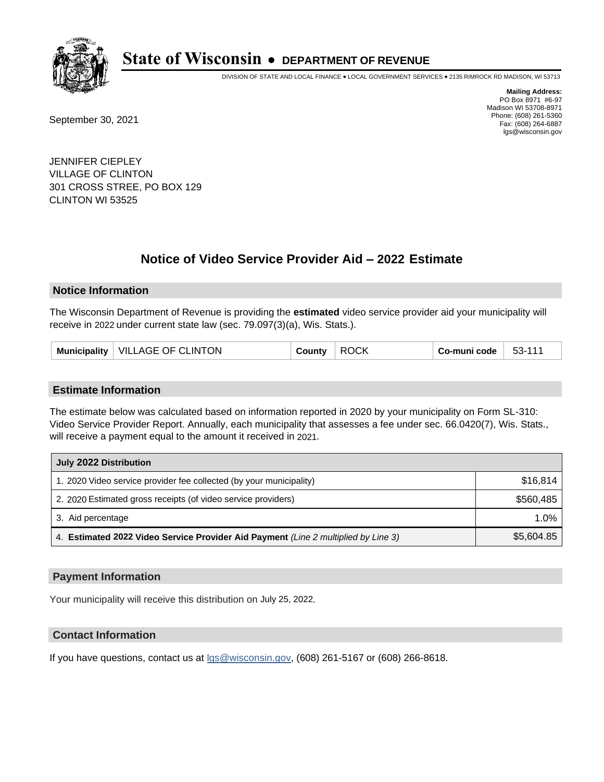

DIVISION OF STATE AND LOCAL FINANCE • LOCAL GOVERNMENT SERVICES • 2135 RIMROCK RD MADISON, WI 53713

September 30, 2021

**Mailing Address:** PO Box 8971 #6-97 Madison WI 53708-8971 Phone: (608) 261-5360 Fax: (608) 264-6887 lgs@wisconsin.gov

JENNIFER CIEPLEY VILLAGE OF CLINTON 301 CROSS STREE, PO BOX 129 CLINTON WI 53525

# **Notice of Video Service Provider Aid - 2022 Estimate**

#### **Notice Information**

The Wisconsin Department of Revenue is providing the **estimated** video service provider aid your municipality will receive in 2022 under current state law (sec. 79.097(3)(a), Wis. Stats.).

#### **Estimate Information**

The estimate below was calculated based on information reported in 2020 by your municipality on Form SL-310: Video Service Provider Report. Annually, each municipality that assesses a fee under sec. 66.0420(7), Wis. Stats., will receive a payment equal to the amount it received in 2021.

| July 2022 Distribution                                                             |            |  |
|------------------------------------------------------------------------------------|------------|--|
| 1. 2020 Video service provider fee collected (by your municipality)                | \$16,814   |  |
| 2. 2020 Estimated gross receipts (of video service providers)                      | \$560.485  |  |
| 3. Aid percentage                                                                  | $1.0\%$    |  |
| 4. Estimated 2022 Video Service Provider Aid Payment (Line 2 multiplied by Line 3) | \$5,604.85 |  |

#### **Payment Information**

Your municipality will receive this distribution on July 25, 2022.

## **Contact Information**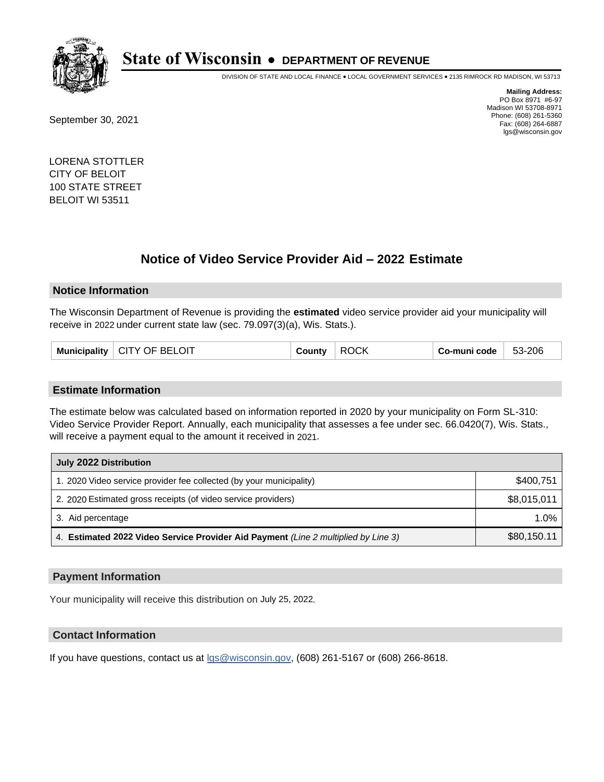

DIVISION OF STATE AND LOCAL FINANCE • LOCAL GOVERNMENT SERVICES • 2135 RIMROCK RD MADISON, WI 53713

September 30, 2021

**Mailing Address:** PO Box 8971 #6-97 Madison WI 53708-8971 Phone: (608) 261-5360 Fax: (608) 264-6887 lgs@wisconsin.gov

LORENA STOTTLER CITY OF BELOIT 100 STATE STREET BELOIT WI 53511

# **Notice of Video Service Provider Aid - 2022 Estimate**

#### **Notice Information**

The Wisconsin Department of Revenue is providing the **estimated** video service provider aid your municipality will receive in 2022 under current state law (sec. 79.097(3)(a), Wis. Stats.).

| Municipality   CITY OF BELOIT<br>County | <b>ROCK</b> | Co-muni code | 53-206 |
|-----------------------------------------|-------------|--------------|--------|
|-----------------------------------------|-------------|--------------|--------|

#### **Estimate Information**

The estimate below was calculated based on information reported in 2020 by your municipality on Form SL-310: Video Service Provider Report. Annually, each municipality that assesses a fee under sec. 66.0420(7), Wis. Stats., will receive a payment equal to the amount it received in 2021.

| July 2022 Distribution                                                             |             |  |  |
|------------------------------------------------------------------------------------|-------------|--|--|
| 1. 2020 Video service provider fee collected (by your municipality)                | \$400,751   |  |  |
| 2. 2020 Estimated gross receipts (of video service providers)                      | \$8,015,011 |  |  |
| 3. Aid percentage                                                                  | 1.0%        |  |  |
| 4. Estimated 2022 Video Service Provider Aid Payment (Line 2 multiplied by Line 3) | \$80,150.11 |  |  |

### **Payment Information**

Your municipality will receive this distribution on July 25, 2022.

## **Contact Information**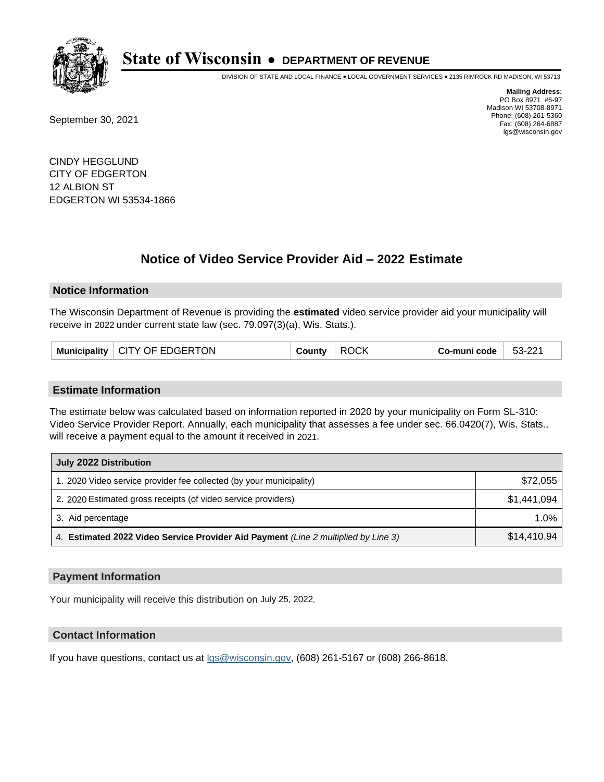

DIVISION OF STATE AND LOCAL FINANCE • LOCAL GOVERNMENT SERVICES • 2135 RIMROCK RD MADISON, WI 53713

September 30, 2021

**Mailing Address:** PO Box 8971 #6-97 Madison WI 53708-8971 Phone: (608) 261-5360 Fax: (608) 264-6887 lgs@wisconsin.gov

CINDY HEGGLUND CITY OF EDGERTON 12 ALBION ST EDGERTON WI 53534-1866

# **Notice of Video Service Provider Aid - 2022 Estimate**

#### **Notice Information**

The Wisconsin Department of Revenue is providing the **estimated** video service provider aid your municipality will receive in 2022 under current state law (sec. 79.097(3)(a), Wis. Stats.).

| Municipality   CITY OF EDGERTON | County | <b>ROCK</b> | Co-muni code | 53-221 |
|---------------------------------|--------|-------------|--------------|--------|
|---------------------------------|--------|-------------|--------------|--------|

#### **Estimate Information**

The estimate below was calculated based on information reported in 2020 by your municipality on Form SL-310: Video Service Provider Report. Annually, each municipality that assesses a fee under sec. 66.0420(7), Wis. Stats., will receive a payment equal to the amount it received in 2021.

| July 2022 Distribution                                                             |             |  |  |
|------------------------------------------------------------------------------------|-------------|--|--|
| 1. 2020 Video service provider fee collected (by your municipality)                | \$72,055    |  |  |
| 2. 2020 Estimated gross receipts (of video service providers)                      | \$1,441,094 |  |  |
| 3. Aid percentage                                                                  | 1.0%        |  |  |
| 4. Estimated 2022 Video Service Provider Aid Payment (Line 2 multiplied by Line 3) | \$14,410.94 |  |  |

#### **Payment Information**

Your municipality will receive this distribution on July 25, 2022.

## **Contact Information**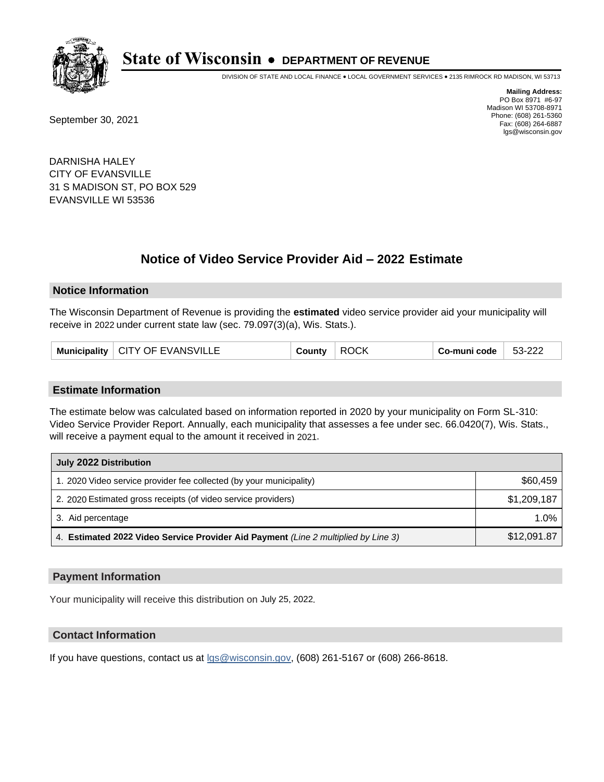

DIVISION OF STATE AND LOCAL FINANCE • LOCAL GOVERNMENT SERVICES • 2135 RIMROCK RD MADISON, WI 53713

September 30, 2021

**Mailing Address:** PO Box 8971 #6-97 Madison WI 53708-8971 Phone: (608) 261-5360 Fax: (608) 264-6887 lgs@wisconsin.gov

DARNISHA HALEY CITY OF EVANSVILLE 31 S MADISON ST, PO BOX 529 EVANSVILLE WI 53536

# **Notice of Video Service Provider Aid - 2022 Estimate**

#### **Notice Information**

The Wisconsin Department of Revenue is providing the **estimated** video service provider aid your municipality will receive in 2022 under current state law (sec. 79.097(3)(a), Wis. Stats.).

| Municipality   CITY OF EVANSVILLE | County | <b>ROCK</b> | Co-muni code | 53-222 |
|-----------------------------------|--------|-------------|--------------|--------|
|-----------------------------------|--------|-------------|--------------|--------|

#### **Estimate Information**

The estimate below was calculated based on information reported in 2020 by your municipality on Form SL-310: Video Service Provider Report. Annually, each municipality that assesses a fee under sec. 66.0420(7), Wis. Stats., will receive a payment equal to the amount it received in 2021.

| July 2022 Distribution                                                             |             |  |
|------------------------------------------------------------------------------------|-------------|--|
| 1. 2020 Video service provider fee collected (by your municipality)                | \$60,459    |  |
| 2. 2020 Estimated gross receipts (of video service providers)                      | \$1,209,187 |  |
| 3. Aid percentage                                                                  | 1.0%        |  |
| 4. Estimated 2022 Video Service Provider Aid Payment (Line 2 multiplied by Line 3) | \$12,091.87 |  |

#### **Payment Information**

Your municipality will receive this distribution on July 25, 2022.

## **Contact Information**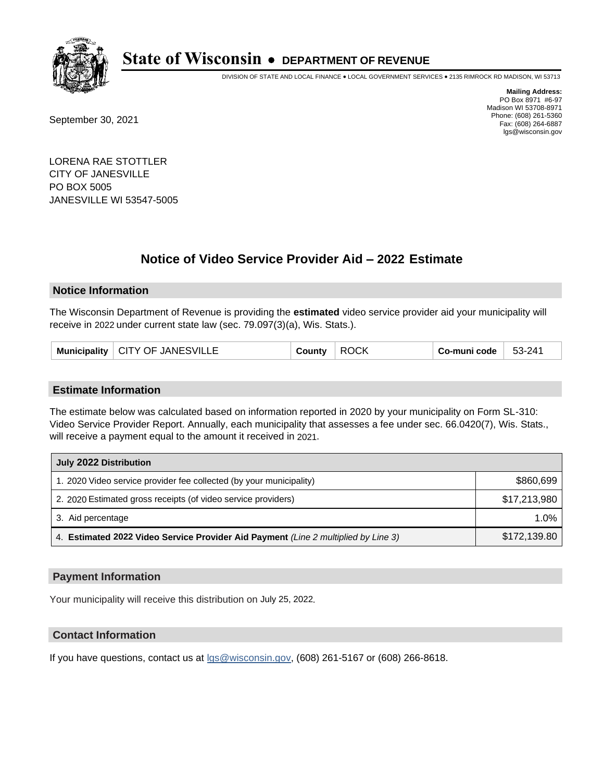

DIVISION OF STATE AND LOCAL FINANCE • LOCAL GOVERNMENT SERVICES • 2135 RIMROCK RD MADISON, WI 53713

September 30, 2021

**Mailing Address:** PO Box 8971 #6-97 Madison WI 53708-8971 Phone: (608) 261-5360 Fax: (608) 264-6887 lgs@wisconsin.gov

LORENA RAE STOTTLER CITY OF JANESVILLE PO BOX 5005 JANESVILLE WI 53547-5005

# **Notice of Video Service Provider Aid - 2022 Estimate**

### **Notice Information**

The Wisconsin Department of Revenue is providing the **estimated** video service provider aid your municipality will receive in 2022 under current state law (sec. 79.097(3)(a), Wis. Stats.).

| Municipality   CITY OF JANESVILLE | County<br>ROCK | Co-muni code | $53 - 241$ |
|-----------------------------------|----------------|--------------|------------|
|-----------------------------------|----------------|--------------|------------|

#### **Estimate Information**

The estimate below was calculated based on information reported in 2020 by your municipality on Form SL-310: Video Service Provider Report. Annually, each municipality that assesses a fee under sec. 66.0420(7), Wis. Stats., will receive a payment equal to the amount it received in 2021.

| July 2022 Distribution                                                             |              |  |  |
|------------------------------------------------------------------------------------|--------------|--|--|
| 1. 2020 Video service provider fee collected (by your municipality)                | \$860,699    |  |  |
| 2. 2020 Estimated gross receipts (of video service providers)                      | \$17,213,980 |  |  |
| 3. Aid percentage                                                                  | $1.0\%$      |  |  |
| 4. Estimated 2022 Video Service Provider Aid Payment (Line 2 multiplied by Line 3) | \$172,139.80 |  |  |

#### **Payment Information**

Your municipality will receive this distribution on July 25, 2022.

## **Contact Information**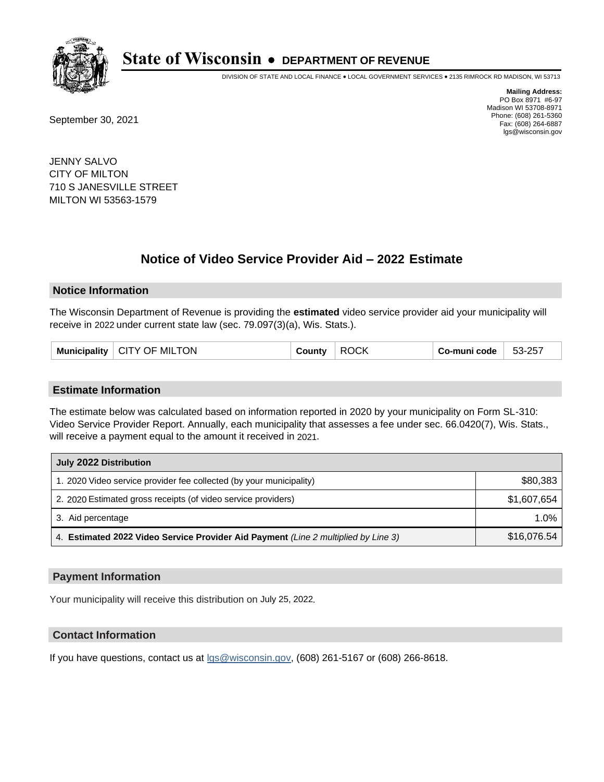

DIVISION OF STATE AND LOCAL FINANCE • LOCAL GOVERNMENT SERVICES • 2135 RIMROCK RD MADISON, WI 53713

September 30, 2021

**Mailing Address:** PO Box 8971 #6-97 Madison WI 53708-8971 Phone: (608) 261-5360 Fax: (608) 264-6887 lgs@wisconsin.gov

JENNY SALVO CITY OF MILTON 710 S JANESVILLE STREET MILTON WI 53563-1579

# **Notice of Video Service Provider Aid - 2022 Estimate**

#### **Notice Information**

The Wisconsin Department of Revenue is providing the **estimated** video service provider aid your municipality will receive in 2022 under current state law (sec. 79.097(3)(a), Wis. Stats.).

| <b>CITY OF MILTON</b><br>Municipality | County | שמר<br>R(<br>7 U.N | Co-muni code | 53-257 |
|---------------------------------------|--------|--------------------|--------------|--------|
|---------------------------------------|--------|--------------------|--------------|--------|

#### **Estimate Information**

The estimate below was calculated based on information reported in 2020 by your municipality on Form SL-310: Video Service Provider Report. Annually, each municipality that assesses a fee under sec. 66.0420(7), Wis. Stats., will receive a payment equal to the amount it received in 2021.

| July 2022 Distribution                                                             |             |  |  |
|------------------------------------------------------------------------------------|-------------|--|--|
| 1. 2020 Video service provider fee collected (by your municipality)                | \$80,383    |  |  |
| 2. 2020 Estimated gross receipts (of video service providers)                      | \$1,607,654 |  |  |
| 3. Aid percentage                                                                  | 1.0%        |  |  |
| 4. Estimated 2022 Video Service Provider Aid Payment (Line 2 multiplied by Line 3) | \$16,076.54 |  |  |

#### **Payment Information**

Your municipality will receive this distribution on July 25, 2022.

## **Contact Information**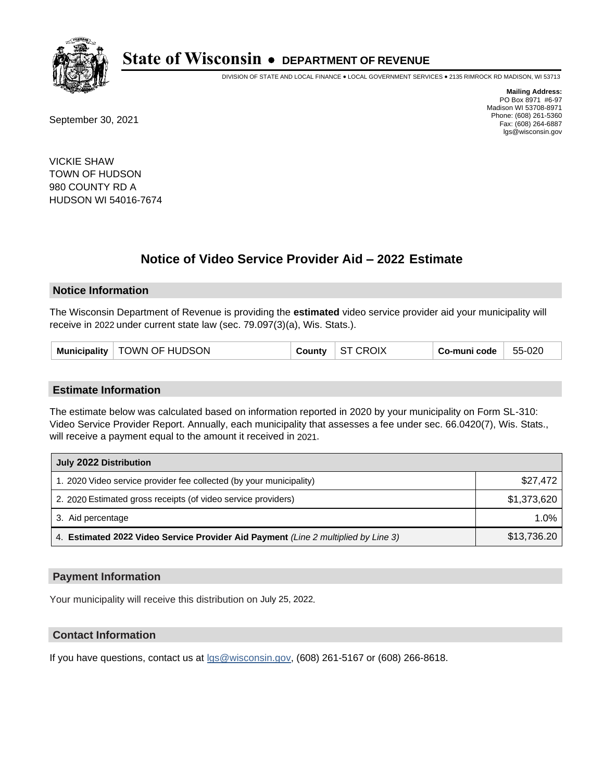

DIVISION OF STATE AND LOCAL FINANCE • LOCAL GOVERNMENT SERVICES • 2135 RIMROCK RD MADISON, WI 53713

September 30, 2021

**Mailing Address:** PO Box 8971 #6-97 Madison WI 53708-8971 Phone: (608) 261-5360 Fax: (608) 264-6887 lgs@wisconsin.gov

VICKIE SHAW TOWN OF HUDSON 980 COUNTY RD A HUDSON WI 54016-7674

# **Notice of Video Service Provider Aid - 2022 Estimate**

#### **Notice Information**

The Wisconsin Department of Revenue is providing the **estimated** video service provider aid your municipality will receive in 2022 under current state law (sec. 79.097(3)(a), Wis. Stats.).

| Municipality   TOWN OF HUDSON | <b>County</b> | $\vert$ ST CROIX | Co-muni code | 55-020 |
|-------------------------------|---------------|------------------|--------------|--------|
|-------------------------------|---------------|------------------|--------------|--------|

#### **Estimate Information**

The estimate below was calculated based on information reported in 2020 by your municipality on Form SL-310: Video Service Provider Report. Annually, each municipality that assesses a fee under sec. 66.0420(7), Wis. Stats., will receive a payment equal to the amount it received in 2021.

| July 2022 Distribution                                                             |             |  |  |
|------------------------------------------------------------------------------------|-------------|--|--|
| 1. 2020 Video service provider fee collected (by your municipality)                | \$27,472    |  |  |
| 2. 2020 Estimated gross receipts (of video service providers)                      | \$1,373,620 |  |  |
| 3. Aid percentage                                                                  | 1.0%        |  |  |
| 4. Estimated 2022 Video Service Provider Aid Payment (Line 2 multiplied by Line 3) | \$13,736.20 |  |  |

#### **Payment Information**

Your municipality will receive this distribution on July 25, 2022.

## **Contact Information**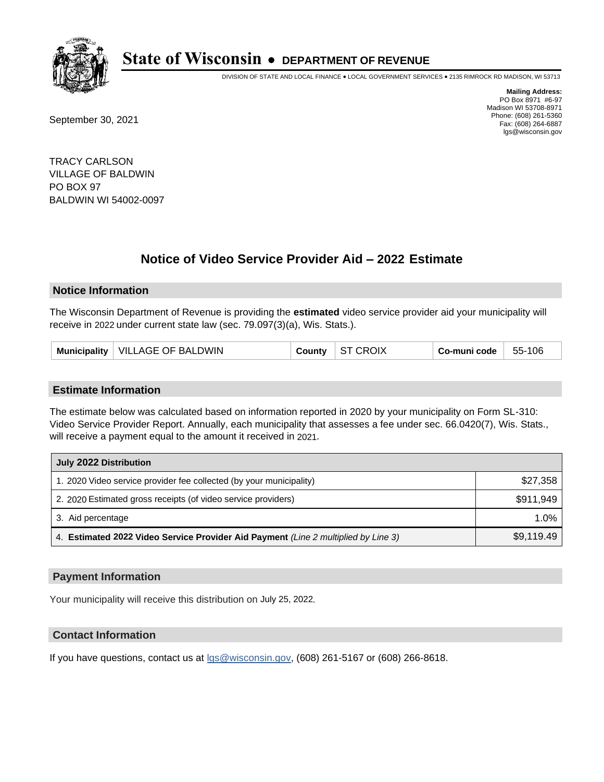

DIVISION OF STATE AND LOCAL FINANCE • LOCAL GOVERNMENT SERVICES • 2135 RIMROCK RD MADISON, WI 53713

September 30, 2021

**Mailing Address:** PO Box 8971 #6-97 Madison WI 53708-8971 Phone: (608) 261-5360 Fax: (608) 264-6887 lgs@wisconsin.gov

TRACY CARLSON VILLAGE OF BALDWIN PO BOX 97 BALDWIN WI 54002-0097

# **Notice of Video Service Provider Aid - 2022 Estimate**

### **Notice Information**

The Wisconsin Department of Revenue is providing the **estimated** video service provider aid your municipality will receive in 2022 under current state law (sec. 79.097(3)(a), Wis. Stats.).

| Municipality   VILLAGE OF BALDWIN | County | ST CROIX | Co-muni code | 55-106 |
|-----------------------------------|--------|----------|--------------|--------|
|-----------------------------------|--------|----------|--------------|--------|

#### **Estimate Information**

The estimate below was calculated based on information reported in 2020 by your municipality on Form SL-310: Video Service Provider Report. Annually, each municipality that assesses a fee under sec. 66.0420(7), Wis. Stats., will receive a payment equal to the amount it received in 2021.

| July 2022 Distribution                                                             |            |  |
|------------------------------------------------------------------------------------|------------|--|
| 1. 2020 Video service provider fee collected (by your municipality)                | \$27,358   |  |
| 2. 2020 Estimated gross receipts (of video service providers)                      | \$911.949  |  |
| 3. Aid percentage                                                                  | 1.0%       |  |
| 4. Estimated 2022 Video Service Provider Aid Payment (Line 2 multiplied by Line 3) | \$9,119.49 |  |

#### **Payment Information**

Your municipality will receive this distribution on July 25, 2022.

## **Contact Information**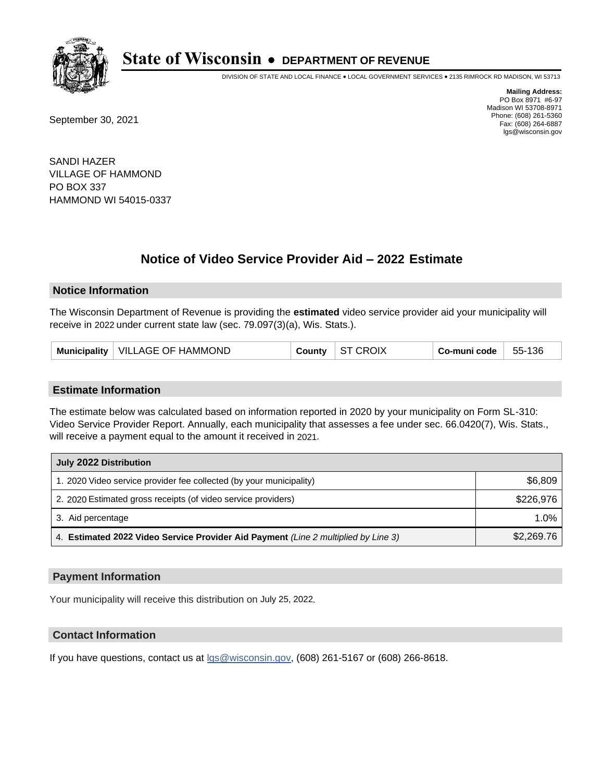

DIVISION OF STATE AND LOCAL FINANCE • LOCAL GOVERNMENT SERVICES • 2135 RIMROCK RD MADISON, WI 53713

September 30, 2021

**Mailing Address:** PO Box 8971 #6-97 Madison WI 53708-8971 Phone: (608) 261-5360 Fax: (608) 264-6887 lgs@wisconsin.gov

SANDI HAZER VILLAGE OF HAMMOND PO BOX 337 HAMMOND WI 54015-0337

# **Notice of Video Service Provider Aid - 2022 Estimate**

### **Notice Information**

The Wisconsin Department of Revenue is providing the **estimated** video service provider aid your municipality will receive in 2022 under current state law (sec. 79.097(3)(a), Wis. Stats.).

| Municipality   VILLAGE OF HAMMOND | County | ST CROIX | Co-muni code | 55-136 |
|-----------------------------------|--------|----------|--------------|--------|
|-----------------------------------|--------|----------|--------------|--------|

#### **Estimate Information**

The estimate below was calculated based on information reported in 2020 by your municipality on Form SL-310: Video Service Provider Report. Annually, each municipality that assesses a fee under sec. 66.0420(7), Wis. Stats., will receive a payment equal to the amount it received in 2021.

| July 2022 Distribution                                                             |            |  |  |
|------------------------------------------------------------------------------------|------------|--|--|
| 1. 2020 Video service provider fee collected (by your municipality)                | \$6,809    |  |  |
| 2. 2020 Estimated gross receipts (of video service providers)                      | \$226.976  |  |  |
| 3. Aid percentage                                                                  | 1.0%       |  |  |
| 4. Estimated 2022 Video Service Provider Aid Payment (Line 2 multiplied by Line 3) | \$2,269.76 |  |  |

#### **Payment Information**

Your municipality will receive this distribution on July 25, 2022.

## **Contact Information**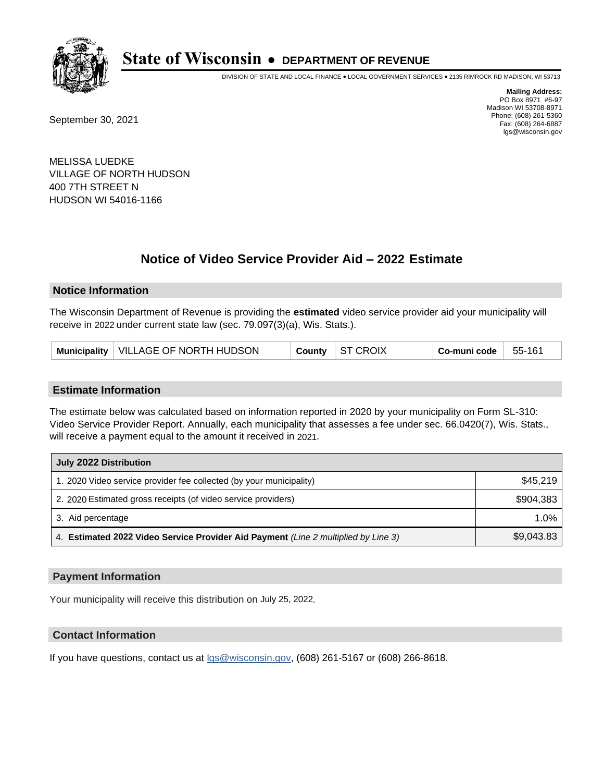

DIVISION OF STATE AND LOCAL FINANCE • LOCAL GOVERNMENT SERVICES • 2135 RIMROCK RD MADISON, WI 53713

September 30, 2021

**Mailing Address:** PO Box 8971 #6-97 Madison WI 53708-8971 Phone: (608) 261-5360 Fax: (608) 264-6887 lgs@wisconsin.gov

MELISSA LUEDKE VILLAGE OF NORTH HUDSON 400 7TH STREET N HUDSON WI 54016-1166

# **Notice of Video Service Provider Aid - 2022 Estimate**

### **Notice Information**

The Wisconsin Department of Revenue is providing the **estimated** video service provider aid your municipality will receive in 2022 under current state law (sec. 79.097(3)(a), Wis. Stats.).

| Municipality   VILLAGE OF NORTH HUDSON |  | County ST CROIX | Co-muni code | $55 - 161$ |
|----------------------------------------|--|-----------------|--------------|------------|
|----------------------------------------|--|-----------------|--------------|------------|

#### **Estimate Information**

The estimate below was calculated based on information reported in 2020 by your municipality on Form SL-310: Video Service Provider Report. Annually, each municipality that assesses a fee under sec. 66.0420(7), Wis. Stats., will receive a payment equal to the amount it received in 2021.

| July 2022 Distribution                                                             |            |  |  |
|------------------------------------------------------------------------------------|------------|--|--|
| 1. 2020 Video service provider fee collected (by your municipality)                | \$45.219   |  |  |
| 2. 2020 Estimated gross receipts (of video service providers)                      | \$904.383  |  |  |
| 3. Aid percentage                                                                  | 1.0%       |  |  |
| 4. Estimated 2022 Video Service Provider Aid Payment (Line 2 multiplied by Line 3) | \$9,043.83 |  |  |

#### **Payment Information**

Your municipality will receive this distribution on July 25, 2022.

## **Contact Information**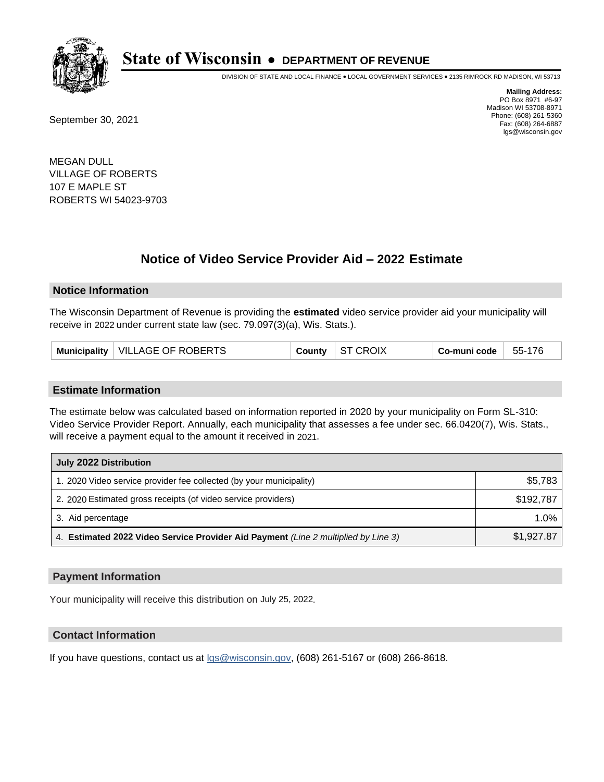

DIVISION OF STATE AND LOCAL FINANCE • LOCAL GOVERNMENT SERVICES • 2135 RIMROCK RD MADISON, WI 53713

September 30, 2021

**Mailing Address:** PO Box 8971 #6-97 Madison WI 53708-8971 Phone: (608) 261-5360 Fax: (608) 264-6887 lgs@wisconsin.gov

MEGAN DULL VILLAGE OF ROBERTS 107 E MAPLE ST ROBERTS WI 54023-9703

# **Notice of Video Service Provider Aid - 2022 Estimate**

#### **Notice Information**

The Wisconsin Department of Revenue is providing the **estimated** video service provider aid your municipality will receive in 2022 under current state law (sec. 79.097(3)(a), Wis. Stats.).

| Municipality   VILLAGE OF ROBERTS | County $\vert$ ST CROIX | Co-muni code | 55-176 |
|-----------------------------------|-------------------------|--------------|--------|
|-----------------------------------|-------------------------|--------------|--------|

#### **Estimate Information**

The estimate below was calculated based on information reported in 2020 by your municipality on Form SL-310: Video Service Provider Report. Annually, each municipality that assesses a fee under sec. 66.0420(7), Wis. Stats., will receive a payment equal to the amount it received in 2021.

| July 2022 Distribution                                                             |            |  |  |
|------------------------------------------------------------------------------------|------------|--|--|
| 1. 2020 Video service provider fee collected (by your municipality)                | \$5,783    |  |  |
| 2. 2020 Estimated gross receipts (of video service providers)                      | \$192.787  |  |  |
| 3. Aid percentage                                                                  | 1.0%       |  |  |
| 4. Estimated 2022 Video Service Provider Aid Payment (Line 2 multiplied by Line 3) | \$1,927.87 |  |  |

#### **Payment Information**

Your municipality will receive this distribution on July 25, 2022.

## **Contact Information**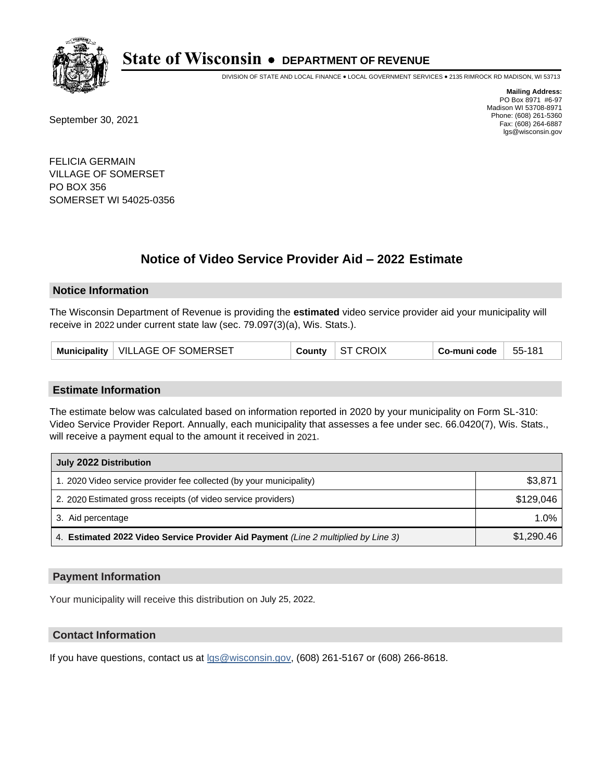

DIVISION OF STATE AND LOCAL FINANCE • LOCAL GOVERNMENT SERVICES • 2135 RIMROCK RD MADISON, WI 53713

September 30, 2021

**Mailing Address:** PO Box 8971 #6-97 Madison WI 53708-8971 Phone: (608) 261-5360 Fax: (608) 264-6887 lgs@wisconsin.gov

FELICIA GERMAIN VILLAGE OF SOMERSET PO BOX 356 SOMERSET WI 54025-0356

# **Notice of Video Service Provider Aid - 2022 Estimate**

### **Notice Information**

The Wisconsin Department of Revenue is providing the **estimated** video service provider aid your municipality will receive in 2022 under current state law (sec. 79.097(3)(a), Wis. Stats.).

| Municipality   VILLAGE OF SOMERSET | <b>ST CROIX</b><br>County | Co-muni code<br>55-181 |
|------------------------------------|---------------------------|------------------------|
|------------------------------------|---------------------------|------------------------|

#### **Estimate Information**

The estimate below was calculated based on information reported in 2020 by your municipality on Form SL-310: Video Service Provider Report. Annually, each municipality that assesses a fee under sec. 66.0420(7), Wis. Stats., will receive a payment equal to the amount it received in 2021.

| July 2022 Distribution                                                             |            |  |  |
|------------------------------------------------------------------------------------|------------|--|--|
| 1. 2020 Video service provider fee collected (by your municipality)                | \$3,871    |  |  |
| 2. 2020 Estimated gross receipts (of video service providers)                      | \$129.046  |  |  |
| 3. Aid percentage                                                                  | $1.0\%$    |  |  |
| 4. Estimated 2022 Video Service Provider Aid Payment (Line 2 multiplied by Line 3) | \$1,290.46 |  |  |

#### **Payment Information**

Your municipality will receive this distribution on July 25, 2022.

## **Contact Information**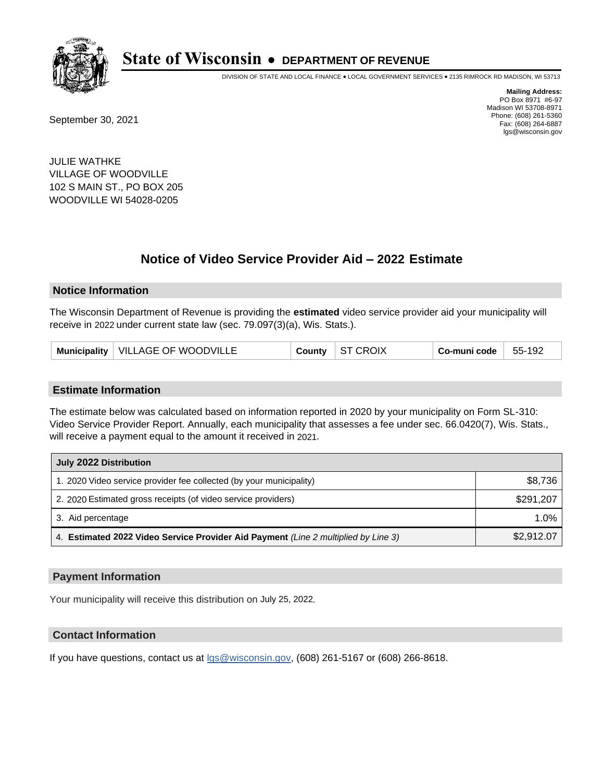

DIVISION OF STATE AND LOCAL FINANCE • LOCAL GOVERNMENT SERVICES • 2135 RIMROCK RD MADISON, WI 53713

September 30, 2021

**Mailing Address:** PO Box 8971 #6-97 Madison WI 53708-8971 Phone: (608) 261-5360 Fax: (608) 264-6887 lgs@wisconsin.gov

JULIE WATHKE VILLAGE OF WOODVILLE 102 S MAIN ST., PO BOX 205 WOODVILLE WI 54028-0205

# **Notice of Video Service Provider Aid - 2022 Estimate**

#### **Notice Information**

The Wisconsin Department of Revenue is providing the **estimated** video service provider aid your municipality will receive in 2022 under current state law (sec. 79.097(3)(a), Wis. Stats.).

| Municipality   VILLAGE OF WOODVILLE |  | County $\vert$ ST CROIX | Co-muni code | 55-192 |
|-------------------------------------|--|-------------------------|--------------|--------|
|-------------------------------------|--|-------------------------|--------------|--------|

#### **Estimate Information**

The estimate below was calculated based on information reported in 2020 by your municipality on Form SL-310: Video Service Provider Report. Annually, each municipality that assesses a fee under sec. 66.0420(7), Wis. Stats., will receive a payment equal to the amount it received in 2021.

| July 2022 Distribution                                                             |            |  |  |
|------------------------------------------------------------------------------------|------------|--|--|
| 1. 2020 Video service provider fee collected (by your municipality)                | \$8,736    |  |  |
| 2. 2020 Estimated gross receipts (of video service providers)                      | \$291.207  |  |  |
| 3. Aid percentage                                                                  | 1.0%       |  |  |
| 4. Estimated 2022 Video Service Provider Aid Payment (Line 2 multiplied by Line 3) | \$2,912.07 |  |  |

#### **Payment Information**

Your municipality will receive this distribution on July 25, 2022.

## **Contact Information**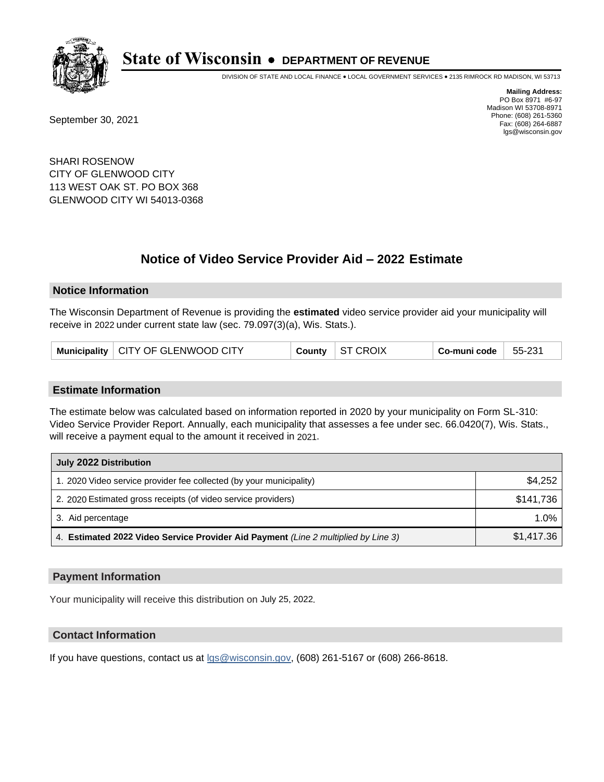

DIVISION OF STATE AND LOCAL FINANCE • LOCAL GOVERNMENT SERVICES • 2135 RIMROCK RD MADISON, WI 53713

September 30, 2021

**Mailing Address:** PO Box 8971 #6-97 Madison WI 53708-8971 Phone: (608) 261-5360 Fax: (608) 264-6887 lgs@wisconsin.gov

SHARI ROSENOW CITY OF GLENWOOD CITY 113 WEST OAK ST. PO BOX 368 GLENWOOD CITY WI 54013-0368

# **Notice of Video Service Provider Aid - 2022 Estimate**

#### **Notice Information**

The Wisconsin Department of Revenue is providing the **estimated** video service provider aid your municipality will receive in 2022 under current state law (sec. 79.097(3)(a), Wis. Stats.).

| County   ST CROIX<br>$\,$ Co-muni code $\,$ $\,$<br>Municipality   CITY OF GLENWOOD CITY | 55-231 |
|------------------------------------------------------------------------------------------|--------|
|------------------------------------------------------------------------------------------|--------|

#### **Estimate Information**

The estimate below was calculated based on information reported in 2020 by your municipality on Form SL-310: Video Service Provider Report. Annually, each municipality that assesses a fee under sec. 66.0420(7), Wis. Stats., will receive a payment equal to the amount it received in 2021.

| July 2022 Distribution                                                             |            |  |  |
|------------------------------------------------------------------------------------|------------|--|--|
| 1. 2020 Video service provider fee collected (by your municipality)                | \$4,252    |  |  |
| 2. 2020 Estimated gross receipts (of video service providers)                      | \$141,736  |  |  |
| 3. Aid percentage                                                                  | $1.0\%$    |  |  |
| 4. Estimated 2022 Video Service Provider Aid Payment (Line 2 multiplied by Line 3) | \$1,417.36 |  |  |

#### **Payment Information**

Your municipality will receive this distribution on July 25, 2022.

## **Contact Information**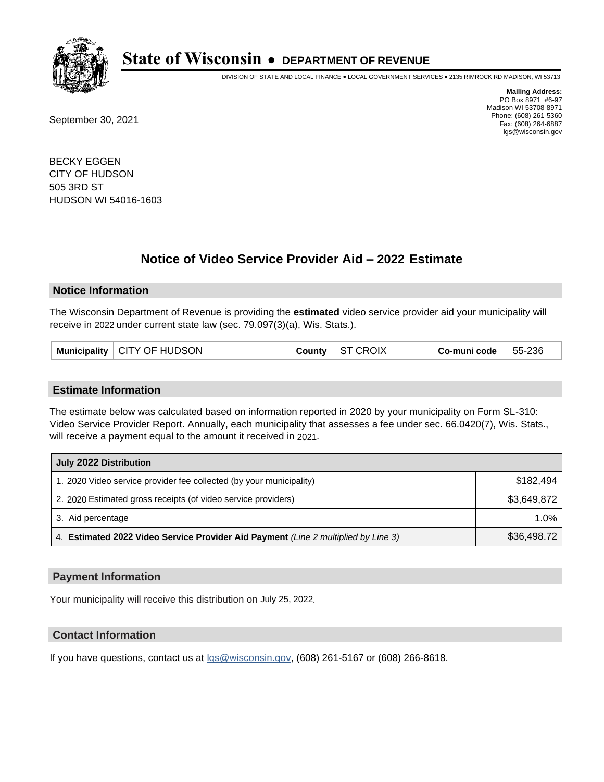

DIVISION OF STATE AND LOCAL FINANCE • LOCAL GOVERNMENT SERVICES • 2135 RIMROCK RD MADISON, WI 53713

September 30, 2021

**Mailing Address:** PO Box 8971 #6-97 Madison WI 53708-8971 Phone: (608) 261-5360 Fax: (608) 264-6887 lgs@wisconsin.gov

BECKY EGGEN CITY OF HUDSON 505 3RD ST HUDSON WI 54016-1603

# **Notice of Video Service Provider Aid - 2022 Estimate**

### **Notice Information**

The Wisconsin Department of Revenue is providing the **estimated** video service provider aid your municipality will receive in 2022 under current state law (sec. 79.097(3)(a), Wis. Stats.).

|  | Municipality   CITY OF HUDSON | <b>County</b> | ST CROIX | Co-muni code | 55-236 |
|--|-------------------------------|---------------|----------|--------------|--------|
|--|-------------------------------|---------------|----------|--------------|--------|

#### **Estimate Information**

The estimate below was calculated based on information reported in 2020 by your municipality on Form SL-310: Video Service Provider Report. Annually, each municipality that assesses a fee under sec. 66.0420(7), Wis. Stats., will receive a payment equal to the amount it received in 2021.

| July 2022 Distribution                                                             |             |
|------------------------------------------------------------------------------------|-------------|
| 1. 2020 Video service provider fee collected (by your municipality)                | \$182.494   |
| 2. 2020 Estimated gross receipts (of video service providers)                      | \$3,649,872 |
| 3. Aid percentage                                                                  | $1.0\%$     |
| 4. Estimated 2022 Video Service Provider Aid Payment (Line 2 multiplied by Line 3) | \$36,498.72 |

#### **Payment Information**

Your municipality will receive this distribution on July 25, 2022.

## **Contact Information**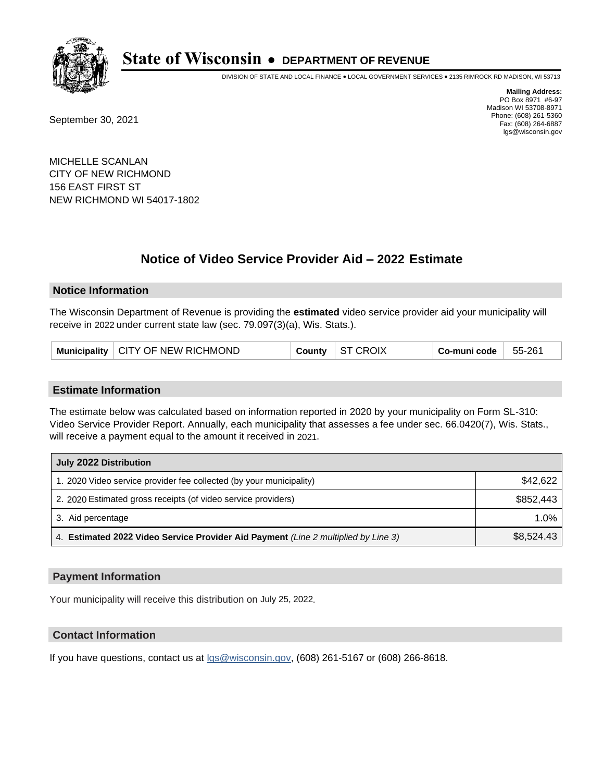

DIVISION OF STATE AND LOCAL FINANCE • LOCAL GOVERNMENT SERVICES • 2135 RIMROCK RD MADISON, WI 53713

September 30, 2021

**Mailing Address:** PO Box 8971 #6-97 Madison WI 53708-8971 Phone: (608) 261-5360 Fax: (608) 264-6887 lgs@wisconsin.gov

MICHELLE SCANLAN CITY OF NEW RICHMOND 156 EAST FIRST ST NEW RICHMOND WI 54017-1802

# **Notice of Video Service Provider Aid - 2022 Estimate**

#### **Notice Information**

The Wisconsin Department of Revenue is providing the **estimated** video service provider aid your municipality will receive in 2022 under current state law (sec. 79.097(3)(a), Wis. Stats.).

|  | Municipality   CITY OF NEW RICHMOND | County | ST CROIX | ⊦ Co-muni code | 55-261 |
|--|-------------------------------------|--------|----------|----------------|--------|
|--|-------------------------------------|--------|----------|----------------|--------|

#### **Estimate Information**

The estimate below was calculated based on information reported in 2020 by your municipality on Form SL-310: Video Service Provider Report. Annually, each municipality that assesses a fee under sec. 66.0420(7), Wis. Stats., will receive a payment equal to the amount it received in 2021.

| July 2022 Distribution                                                             |            |
|------------------------------------------------------------------------------------|------------|
| 1. 2020 Video service provider fee collected (by your municipality)                | \$42,622   |
| 2. 2020 Estimated gross receipts (of video service providers)                      | \$852.443  |
| 3. Aid percentage                                                                  | 1.0%       |
| 4. Estimated 2022 Video Service Provider Aid Payment (Line 2 multiplied by Line 3) | \$8,524.43 |

#### **Payment Information**

Your municipality will receive this distribution on July 25, 2022.

## **Contact Information**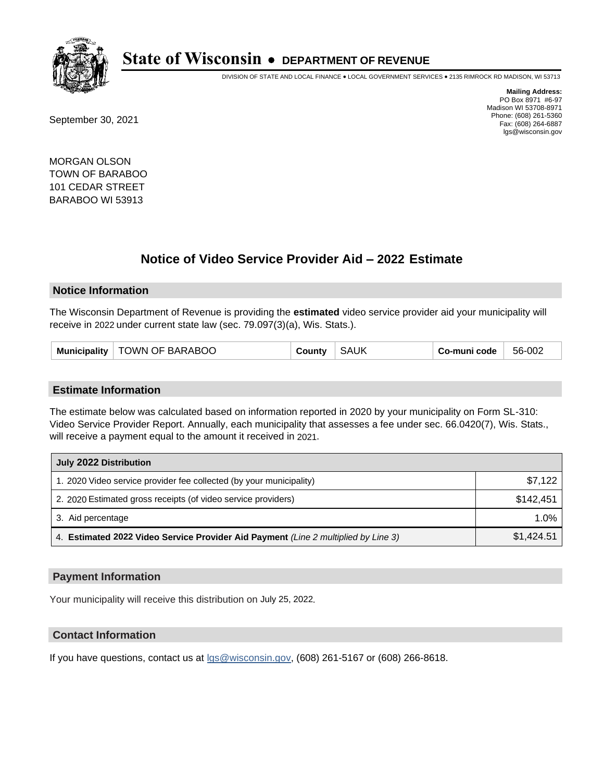

DIVISION OF STATE AND LOCAL FINANCE • LOCAL GOVERNMENT SERVICES • 2135 RIMROCK RD MADISON, WI 53713

September 30, 2021

**Mailing Address:** PO Box 8971 #6-97 Madison WI 53708-8971 Phone: (608) 261-5360 Fax: (608) 264-6887 lgs@wisconsin.gov

MORGAN OLSON TOWN OF BARABOO 101 CEDAR STREET BARABOO WI 53913

# **Notice of Video Service Provider Aid - 2022 Estimate**

#### **Notice Information**

The Wisconsin Department of Revenue is providing the **estimated** video service provider aid your municipality will receive in 2022 under current state law (sec. 79.097(3)(a), Wis. Stats.).

#### **Estimate Information**

The estimate below was calculated based on information reported in 2020 by your municipality on Form SL-310: Video Service Provider Report. Annually, each municipality that assesses a fee under sec. 66.0420(7), Wis. Stats., will receive a payment equal to the amount it received in 2021.

| July 2022 Distribution                                                             |            |  |  |
|------------------------------------------------------------------------------------|------------|--|--|
| 1. 2020 Video service provider fee collected (by your municipality)                | \$7.122    |  |  |
| 2. 2020 Estimated gross receipts (of video service providers)                      | \$142.451  |  |  |
| 3. Aid percentage                                                                  | $1.0\%$    |  |  |
| 4. Estimated 2022 Video Service Provider Aid Payment (Line 2 multiplied by Line 3) | \$1,424.51 |  |  |

#### **Payment Information**

Your municipality will receive this distribution on July 25, 2022.

## **Contact Information**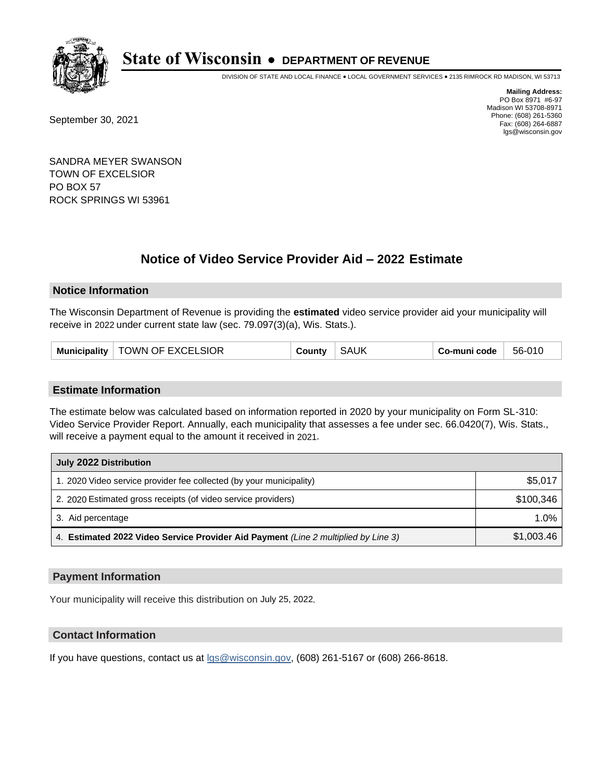

DIVISION OF STATE AND LOCAL FINANCE • LOCAL GOVERNMENT SERVICES • 2135 RIMROCK RD MADISON, WI 53713

September 30, 2021

**Mailing Address:** PO Box 8971 #6-97 Madison WI 53708-8971 Phone: (608) 261-5360 Fax: (608) 264-6887 lgs@wisconsin.gov

SANDRA MEYER SWANSON TOWN OF EXCELSIOR PO BOX 57 ROCK SPRINGS WI 53961

# **Notice of Video Service Provider Aid - 2022 Estimate**

### **Notice Information**

The Wisconsin Department of Revenue is providing the **estimated** video service provider aid your municipality will receive in 2022 under current state law (sec. 79.097(3)(a), Wis. Stats.).

| <b>Municipality</b> | TOWN OF EXCELSIOR | ountvٽ | <b>SAUK</b> | Co-muni code | 56-010 |
|---------------------|-------------------|--------|-------------|--------------|--------|
|---------------------|-------------------|--------|-------------|--------------|--------|

#### **Estimate Information**

The estimate below was calculated based on information reported in 2020 by your municipality on Form SL-310: Video Service Provider Report. Annually, each municipality that assesses a fee under sec. 66.0420(7), Wis. Stats., will receive a payment equal to the amount it received in 2021.

| July 2022 Distribution                                                             |            |
|------------------------------------------------------------------------------------|------------|
| 1. 2020 Video service provider fee collected (by your municipality)                | \$5,017    |
| 2. 2020 Estimated gross receipts (of video service providers)                      | \$100.346  |
| 3. Aid percentage                                                                  | $1.0\%$    |
| 4. Estimated 2022 Video Service Provider Aid Payment (Line 2 multiplied by Line 3) | \$1,003.46 |

#### **Payment Information**

Your municipality will receive this distribution on July 25, 2022.

## **Contact Information**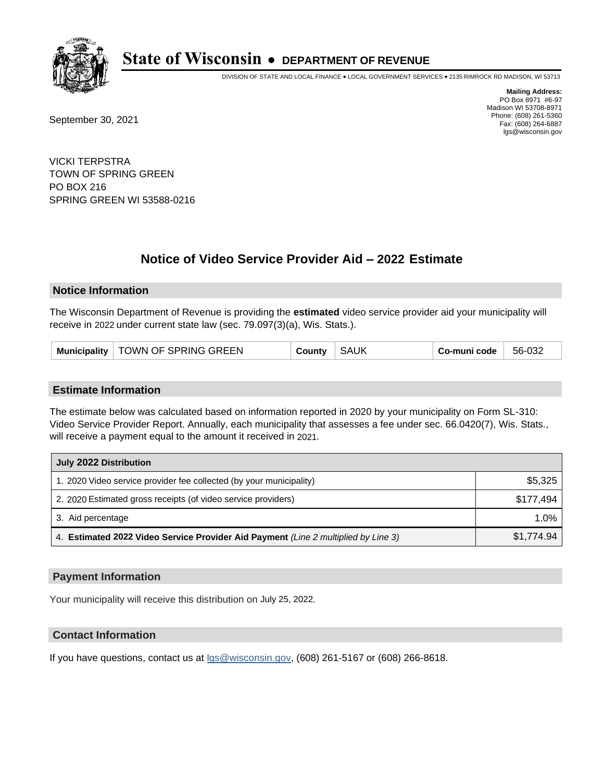

DIVISION OF STATE AND LOCAL FINANCE • LOCAL GOVERNMENT SERVICES • 2135 RIMROCK RD MADISON, WI 53713

September 30, 2021

**Mailing Address:** PO Box 8971 #6-97 Madison WI 53708-8971 Phone: (608) 261-5360 Fax: (608) 264-6887 lgs@wisconsin.gov

VICKI TERPSTRA TOWN OF SPRING GREEN PO BOX 216 SPRING GREEN WI 53588-0216

# **Notice of Video Service Provider Aid - 2022 Estimate**

### **Notice Information**

The Wisconsin Department of Revenue is providing the **estimated** video service provider aid your municipality will receive in 2022 under current state law (sec. 79.097(3)(a), Wis. Stats.).

#### **Estimate Information**

The estimate below was calculated based on information reported in 2020 by your municipality on Form SL-310: Video Service Provider Report. Annually, each municipality that assesses a fee under sec. 66.0420(7), Wis. Stats., will receive a payment equal to the amount it received in 2021.

| July 2022 Distribution                                                             |            |  |  |
|------------------------------------------------------------------------------------|------------|--|--|
| 1. 2020 Video service provider fee collected (by your municipality)                | \$5,325    |  |  |
| 2. 2020 Estimated gross receipts (of video service providers)                      | \$177.494  |  |  |
| 3. Aid percentage                                                                  | $1.0\%$    |  |  |
| 4. Estimated 2022 Video Service Provider Aid Payment (Line 2 multiplied by Line 3) | \$1.774.94 |  |  |

#### **Payment Information**

Your municipality will receive this distribution on July 25, 2022.

## **Contact Information**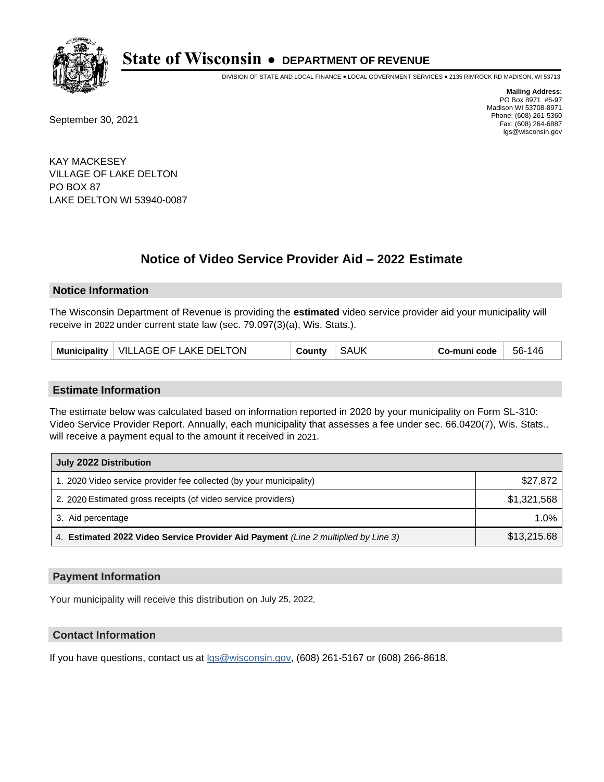

DIVISION OF STATE AND LOCAL FINANCE • LOCAL GOVERNMENT SERVICES • 2135 RIMROCK RD MADISON, WI 53713

September 30, 2021

**Mailing Address:** PO Box 8971 #6-97 Madison WI 53708-8971 Phone: (608) 261-5360 Fax: (608) 264-6887 lgs@wisconsin.gov

KAY MACKESEY VILLAGE OF LAKE DELTON PO BOX 87 LAKE DELTON WI 53940-0087

# **Notice of Video Service Provider Aid - 2022 Estimate**

### **Notice Information**

The Wisconsin Department of Revenue is providing the **estimated** video service provider aid your municipality will receive in 2022 under current state law (sec. 79.097(3)(a), Wis. Stats.).

|  | Municipality   VILLAGE OF LAKE DELTON | County | <b>SAUK</b> | Co-muni code | 56-146 |
|--|---------------------------------------|--------|-------------|--------------|--------|
|--|---------------------------------------|--------|-------------|--------------|--------|

#### **Estimate Information**

The estimate below was calculated based on information reported in 2020 by your municipality on Form SL-310: Video Service Provider Report. Annually, each municipality that assesses a fee under sec. 66.0420(7), Wis. Stats., will receive a payment equal to the amount it received in 2021.

| July 2022 Distribution                                                             |             |  |
|------------------------------------------------------------------------------------|-------------|--|
| 1. 2020 Video service provider fee collected (by your municipality)                | \$27,872    |  |
| 2. 2020 Estimated gross receipts (of video service providers)                      | \$1,321,568 |  |
| 3. Aid percentage                                                                  | $1.0\%$     |  |
| 4. Estimated 2022 Video Service Provider Aid Payment (Line 2 multiplied by Line 3) | \$13,215.68 |  |

#### **Payment Information**

Your municipality will receive this distribution on July 25, 2022.

## **Contact Information**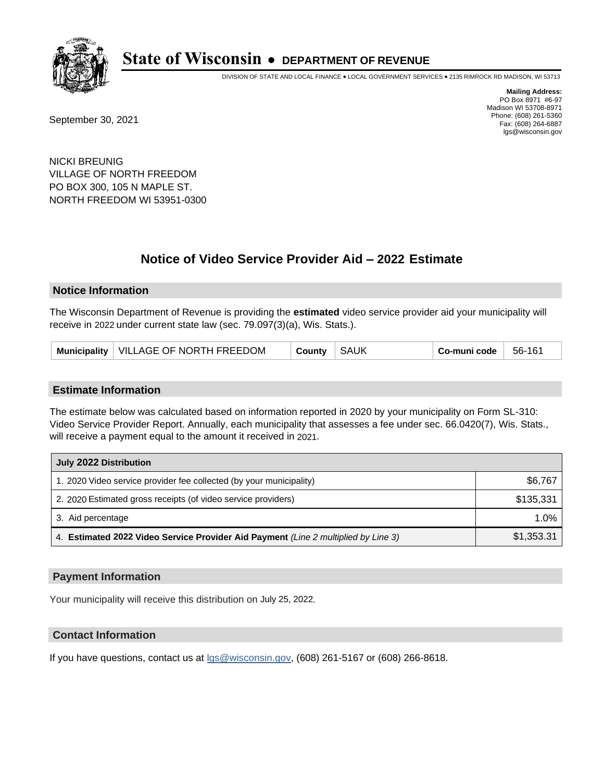

DIVISION OF STATE AND LOCAL FINANCE • LOCAL GOVERNMENT SERVICES • 2135 RIMROCK RD MADISON, WI 53713

September 30, 2021

**Mailing Address:** PO Box 8971 #6-97 Madison WI 53708-8971 Phone: (608) 261-5360 Fax: (608) 264-6887 lgs@wisconsin.gov

NICKI BREUNIG VILLAGE OF NORTH FREEDOM PO BOX 300, 105 N MAPLE ST. NORTH FREEDOM WI 53951-0300

# **Notice of Video Service Provider Aid - 2022 Estimate**

#### **Notice Information**

The Wisconsin Department of Revenue is providing the **estimated** video service provider aid your municipality will receive in 2022 under current state law (sec. 79.097(3)(a), Wis. Stats.).

| <b>SAUK</b><br>Municipality   VILLAGE OF NORTH FREEDOM<br>County | 56-161<br>Co-muni code |
|------------------------------------------------------------------|------------------------|
|------------------------------------------------------------------|------------------------|

#### **Estimate Information**

The estimate below was calculated based on information reported in 2020 by your municipality on Form SL-310: Video Service Provider Report. Annually, each municipality that assesses a fee under sec. 66.0420(7), Wis. Stats., will receive a payment equal to the amount it received in 2021.

| July 2022 Distribution                                                             |            |  |
|------------------------------------------------------------------------------------|------------|--|
| 1. 2020 Video service provider fee collected (by your municipality)                | \$6,767    |  |
| 2. 2020 Estimated gross receipts (of video service providers)                      | \$135.331  |  |
| 3. Aid percentage                                                                  | $1.0\%$    |  |
| 4. Estimated 2022 Video Service Provider Aid Payment (Line 2 multiplied by Line 3) | \$1,353.31 |  |

#### **Payment Information**

Your municipality will receive this distribution on July 25, 2022.

## **Contact Information**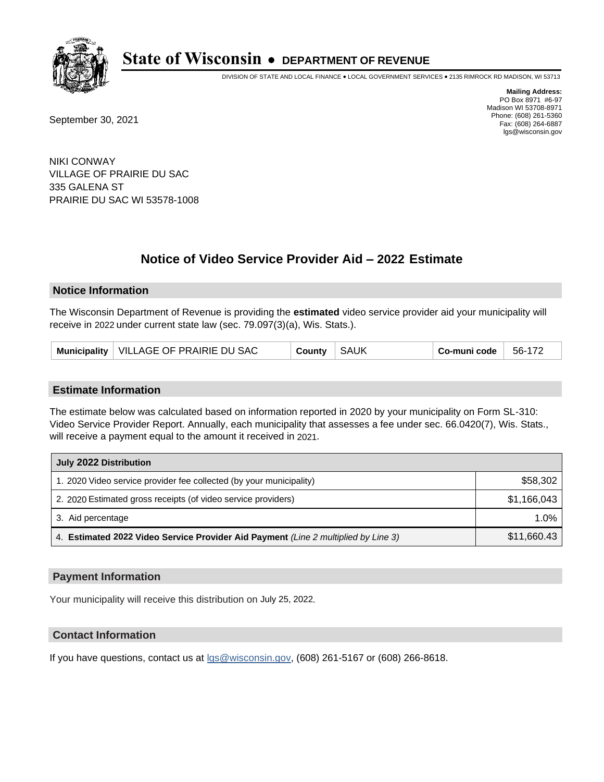

DIVISION OF STATE AND LOCAL FINANCE • LOCAL GOVERNMENT SERVICES • 2135 RIMROCK RD MADISON, WI 53713

September 30, 2021

**Mailing Address:** PO Box 8971 #6-97 Madison WI 53708-8971 Phone: (608) 261-5360 Fax: (608) 264-6887 lgs@wisconsin.gov

NIKI CONWAY VILLAGE OF PRAIRIE DU SAC 335 GALENA ST PRAIRIE DU SAC WI 53578-1008

# **Notice of Video Service Provider Aid - 2022 Estimate**

#### **Notice Information**

The Wisconsin Department of Revenue is providing the **estimated** video service provider aid your municipality will receive in 2022 under current state law (sec. 79.097(3)(a), Wis. Stats.).

|  |  | Municipality   VILLAGE OF PRAIRIE DU SAC | County | <b>SAUK</b> | Co-muni code | 56-172 |
|--|--|------------------------------------------|--------|-------------|--------------|--------|
|--|--|------------------------------------------|--------|-------------|--------------|--------|

#### **Estimate Information**

The estimate below was calculated based on information reported in 2020 by your municipality on Form SL-310: Video Service Provider Report. Annually, each municipality that assesses a fee under sec. 66.0420(7), Wis. Stats., will receive a payment equal to the amount it received in 2021.

| July 2022 Distribution                                                             |             |  |
|------------------------------------------------------------------------------------|-------------|--|
| 1. 2020 Video service provider fee collected (by your municipality)                | \$58,302    |  |
| 2. 2020 Estimated gross receipts (of video service providers)                      | \$1,166,043 |  |
| 3. Aid percentage                                                                  | 1.0%        |  |
| 4. Estimated 2022 Video Service Provider Aid Payment (Line 2 multiplied by Line 3) | \$11,660.43 |  |

#### **Payment Information**

Your municipality will receive this distribution on July 25, 2022.

## **Contact Information**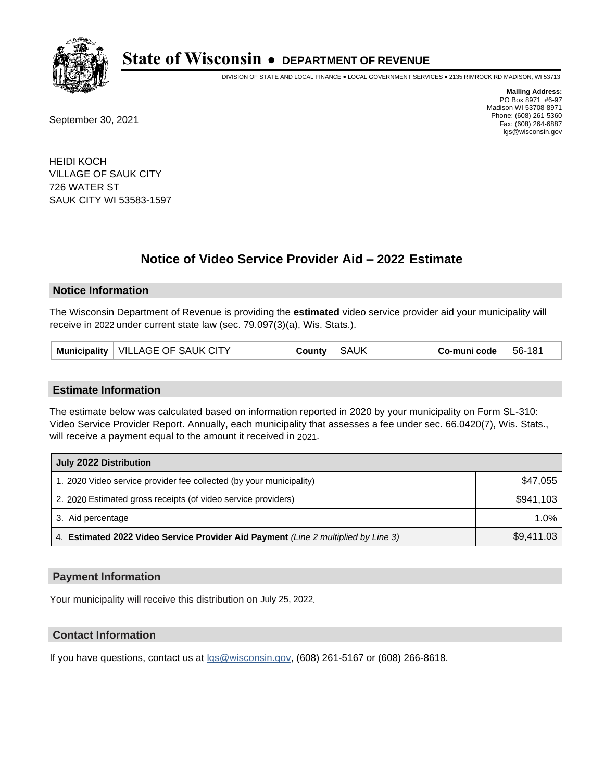

DIVISION OF STATE AND LOCAL FINANCE • LOCAL GOVERNMENT SERVICES • 2135 RIMROCK RD MADISON, WI 53713

September 30, 2021

**Mailing Address:** PO Box 8971 #6-97 Madison WI 53708-8971 Phone: (608) 261-5360 Fax: (608) 264-6887 lgs@wisconsin.gov

HEIDI KOCH VILLAGE OF SAUK CITY 726 WATER ST SAUK CITY WI 53583-1597

# **Notice of Video Service Provider Aid - 2022 Estimate**

### **Notice Information**

The Wisconsin Department of Revenue is providing the **estimated** video service provider aid your municipality will receive in 2022 under current state law (sec. 79.097(3)(a), Wis. Stats.).

| VILLAGE OF SAUK CITY<br><b>Municipality</b> | شcunt∨ | <b>SAUK</b> | Co-muni code | 56-181 |
|---------------------------------------------|--------|-------------|--------------|--------|
|---------------------------------------------|--------|-------------|--------------|--------|

#### **Estimate Information**

The estimate below was calculated based on information reported in 2020 by your municipality on Form SL-310: Video Service Provider Report. Annually, each municipality that assesses a fee under sec. 66.0420(7), Wis. Stats., will receive a payment equal to the amount it received in 2021.

| July 2022 Distribution                                                             |            |  |
|------------------------------------------------------------------------------------|------------|--|
| 1. 2020 Video service provider fee collected (by your municipality)                | \$47,055   |  |
| 2. 2020 Estimated gross receipts (of video service providers)                      | \$941.103  |  |
| 3. Aid percentage                                                                  | 1.0%       |  |
| 4. Estimated 2022 Video Service Provider Aid Payment (Line 2 multiplied by Line 3) | \$9,411.03 |  |

#### **Payment Information**

Your municipality will receive this distribution on July 25, 2022.

## **Contact Information**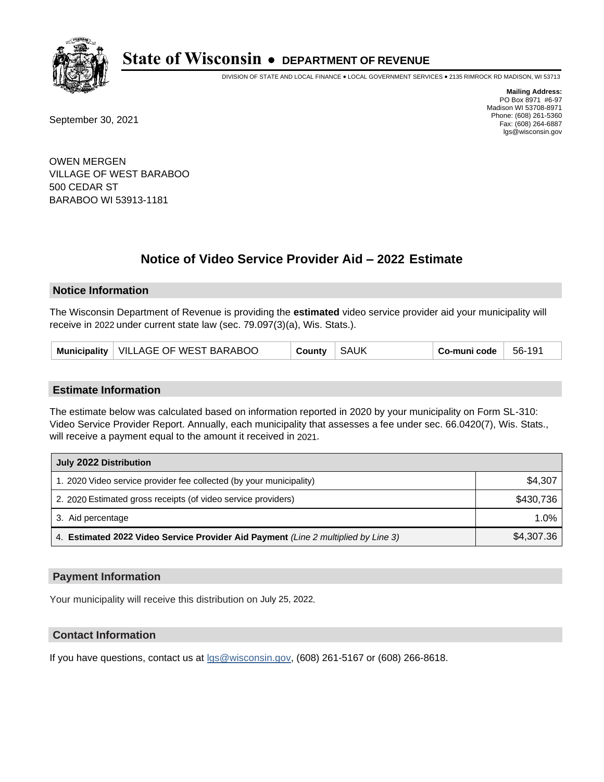

DIVISION OF STATE AND LOCAL FINANCE • LOCAL GOVERNMENT SERVICES • 2135 RIMROCK RD MADISON, WI 53713

September 30, 2021

**Mailing Address:** PO Box 8971 #6-97 Madison WI 53708-8971 Phone: (608) 261-5360 Fax: (608) 264-6887 lgs@wisconsin.gov

OWEN MERGEN VILLAGE OF WEST BARABOO 500 CEDAR ST BARABOO WI 53913-1181

# **Notice of Video Service Provider Aid - 2022 Estimate**

### **Notice Information**

The Wisconsin Department of Revenue is providing the **estimated** video service provider aid your municipality will receive in 2022 under current state law (sec. 79.097(3)(a), Wis. Stats.).

| <b>SAUK</b><br>Municipality   VILLAGE OF WEST BARABOO<br>County | 56-191<br>Co-muni code |
|-----------------------------------------------------------------|------------------------|
|-----------------------------------------------------------------|------------------------|

#### **Estimate Information**

The estimate below was calculated based on information reported in 2020 by your municipality on Form SL-310: Video Service Provider Report. Annually, each municipality that assesses a fee under sec. 66.0420(7), Wis. Stats., will receive a payment equal to the amount it received in 2021.

| July 2022 Distribution                                                             |            |  |
|------------------------------------------------------------------------------------|------------|--|
| 1. 2020 Video service provider fee collected (by your municipality)                | \$4,307    |  |
| 2. 2020 Estimated gross receipts (of video service providers)                      | \$430.736  |  |
| 3. Aid percentage                                                                  | 1.0%       |  |
| 4. Estimated 2022 Video Service Provider Aid Payment (Line 2 multiplied by Line 3) | \$4,307.36 |  |

#### **Payment Information**

Your municipality will receive this distribution on July 25, 2022.

## **Contact Information**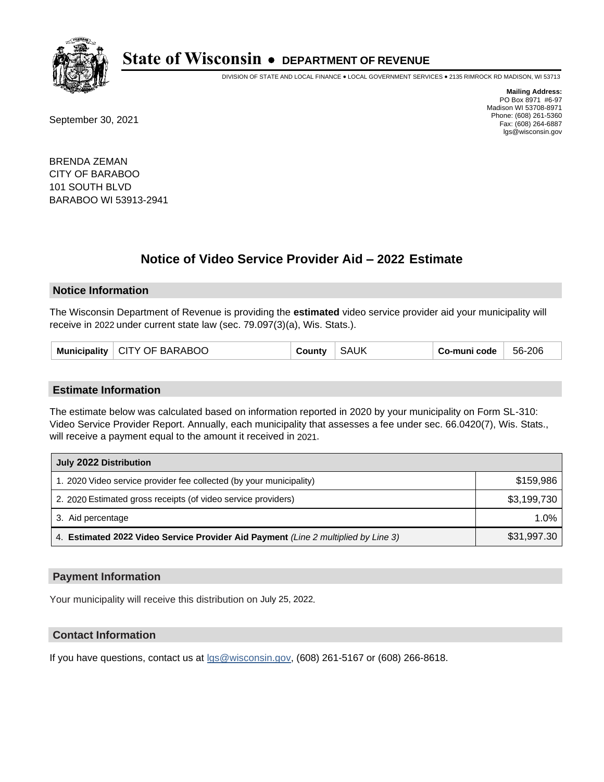

DIVISION OF STATE AND LOCAL FINANCE • LOCAL GOVERNMENT SERVICES • 2135 RIMROCK RD MADISON, WI 53713

September 30, 2021

**Mailing Address:** PO Box 8971 #6-97 Madison WI 53708-8971 Phone: (608) 261-5360 Fax: (608) 264-6887 lgs@wisconsin.gov

BRENDA ZEMAN CITY OF BARABOO 101 SOUTH BLVD BARABOO WI 53913-2941

# **Notice of Video Service Provider Aid - 2022 Estimate**

#### **Notice Information**

The Wisconsin Department of Revenue is providing the **estimated** video service provider aid your municipality will receive in 2022 under current state law (sec. 79.097(3)(a), Wis. Stats.).

| Municipality   CITY OF BARABOO | County | <b>SAUK</b> | . Co-muni code | 56-206 |
|--------------------------------|--------|-------------|----------------|--------|
|--------------------------------|--------|-------------|----------------|--------|

#### **Estimate Information**

The estimate below was calculated based on information reported in 2020 by your municipality on Form SL-310: Video Service Provider Report. Annually, each municipality that assesses a fee under sec. 66.0420(7), Wis. Stats., will receive a payment equal to the amount it received in 2021.

| July 2022 Distribution                                                             |             |  |
|------------------------------------------------------------------------------------|-------------|--|
| 1. 2020 Video service provider fee collected (by your municipality)                | \$159.986   |  |
| 2. 2020 Estimated gross receipts (of video service providers)                      | \$3,199,730 |  |
| 3. Aid percentage                                                                  | 1.0%        |  |
| 4. Estimated 2022 Video Service Provider Aid Payment (Line 2 multiplied by Line 3) | \$31,997.30 |  |

#### **Payment Information**

Your municipality will receive this distribution on July 25, 2022.

## **Contact Information**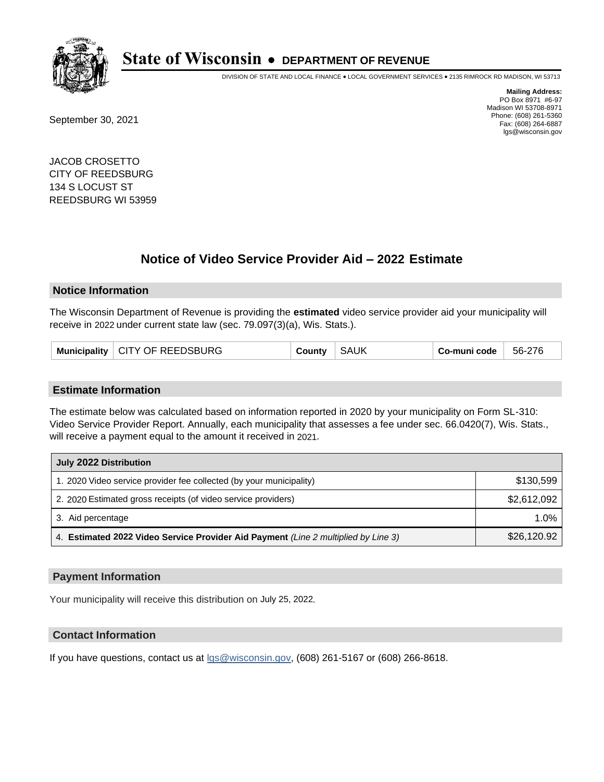

DIVISION OF STATE AND LOCAL FINANCE • LOCAL GOVERNMENT SERVICES • 2135 RIMROCK RD MADISON, WI 53713

September 30, 2021

**Mailing Address:** PO Box 8971 #6-97 Madison WI 53708-8971 Phone: (608) 261-5360 Fax: (608) 264-6887 lgs@wisconsin.gov

JACOB CROSETTO CITY OF REEDSBURG 134 S LOCUST ST REEDSBURG WI 53959

# **Notice of Video Service Provider Aid - 2022 Estimate**

#### **Notice Information**

The Wisconsin Department of Revenue is providing the **estimated** video service provider aid your municipality will receive in 2022 under current state law (sec. 79.097(3)(a), Wis. Stats.).

| Municipality | <b>CITY OF REEDSBURG</b> | ountvٹ | <b>SAUK</b> | Co-muni code | 56-276 |
|--------------|--------------------------|--------|-------------|--------------|--------|
|--------------|--------------------------|--------|-------------|--------------|--------|

#### **Estimate Information**

The estimate below was calculated based on information reported in 2020 by your municipality on Form SL-310: Video Service Provider Report. Annually, each municipality that assesses a fee under sec. 66.0420(7), Wis. Stats., will receive a payment equal to the amount it received in 2021.

| July 2022 Distribution                                                             |             |
|------------------------------------------------------------------------------------|-------------|
| 1. 2020 Video service provider fee collected (by your municipality)                | \$130.599   |
| 2. 2020 Estimated gross receipts (of video service providers)                      | \$2,612,092 |
| 3. Aid percentage                                                                  | 1.0%        |
| 4. Estimated 2022 Video Service Provider Aid Payment (Line 2 multiplied by Line 3) | \$26,120.92 |

#### **Payment Information**

Your municipality will receive this distribution on July 25, 2022.

## **Contact Information**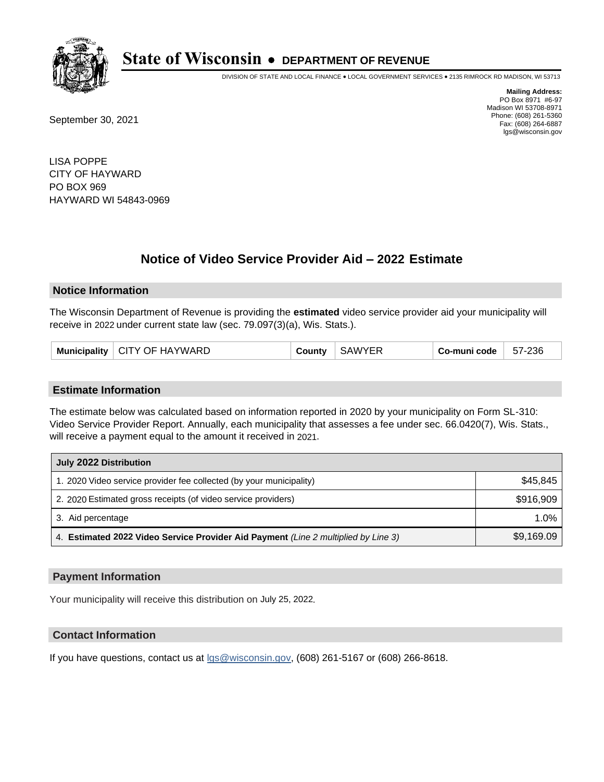

DIVISION OF STATE AND LOCAL FINANCE • LOCAL GOVERNMENT SERVICES • 2135 RIMROCK RD MADISON, WI 53713

September 30, 2021

**Mailing Address:** PO Box 8971 #6-97 Madison WI 53708-8971 Phone: (608) 261-5360 Fax: (608) 264-6887 lgs@wisconsin.gov

LISA POPPE CITY OF HAYWARD PO BOX 969 HAYWARD WI 54843-0969

# **Notice of Video Service Provider Aid - 2022 Estimate**

#### **Notice Information**

The Wisconsin Department of Revenue is providing the **estimated** video service provider aid your municipality will receive in 2022 under current state law (sec. 79.097(3)(a), Wis. Stats.).

|  | Municipality   CITY OF HAYWARD | County | <b>SAWYER</b> | Co-muni code | 57-236 |
|--|--------------------------------|--------|---------------|--------------|--------|
|--|--------------------------------|--------|---------------|--------------|--------|

#### **Estimate Information**

The estimate below was calculated based on information reported in 2020 by your municipality on Form SL-310: Video Service Provider Report. Annually, each municipality that assesses a fee under sec. 66.0420(7), Wis. Stats., will receive a payment equal to the amount it received in 2021.

| July 2022 Distribution                                                             |            |  |  |
|------------------------------------------------------------------------------------|------------|--|--|
| 1. 2020 Video service provider fee collected (by your municipality)                | \$45.845   |  |  |
| 2. 2020 Estimated gross receipts (of video service providers)                      | \$916,909  |  |  |
| 3. Aid percentage                                                                  | 1.0%       |  |  |
| 4. Estimated 2022 Video Service Provider Aid Payment (Line 2 multiplied by Line 3) | \$9,169.09 |  |  |

#### **Payment Information**

Your municipality will receive this distribution on July 25, 2022.

## **Contact Information**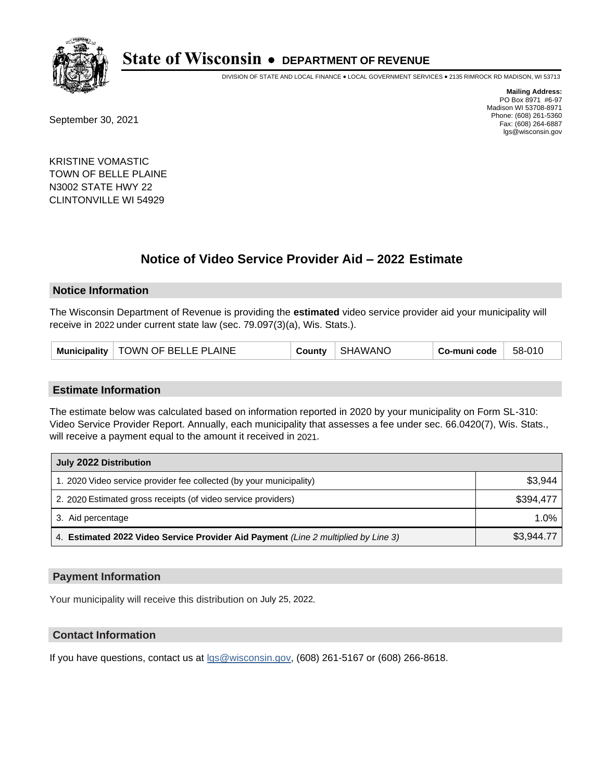

DIVISION OF STATE AND LOCAL FINANCE • LOCAL GOVERNMENT SERVICES • 2135 RIMROCK RD MADISON, WI 53713

September 30, 2021

**Mailing Address:** PO Box 8971 #6-97 Madison WI 53708-8971 Phone: (608) 261-5360 Fax: (608) 264-6887 lgs@wisconsin.gov

KRISTINE VOMASTIC TOWN OF BELLE PLAINE N3002 STATE HWY 22 CLINTONVILLE WI 54929

# **Notice of Video Service Provider Aid - 2022 Estimate**

#### **Notice Information**

The Wisconsin Department of Revenue is providing the **estimated** video service provider aid your municipality will receive in 2022 under current state law (sec. 79.097(3)(a), Wis. Stats.).

#### **Estimate Information**

The estimate below was calculated based on information reported in 2020 by your municipality on Form SL-310: Video Service Provider Report. Annually, each municipality that assesses a fee under sec. 66.0420(7), Wis. Stats., will receive a payment equal to the amount it received in 2021.

| July 2022 Distribution                                                             |            |  |  |
|------------------------------------------------------------------------------------|------------|--|--|
| 1. 2020 Video service provider fee collected (by your municipality)                | \$3,944    |  |  |
| 2. 2020 Estimated gross receipts (of video service providers)                      | \$394.477  |  |  |
| 3. Aid percentage                                                                  | 1.0%       |  |  |
| 4. Estimated 2022 Video Service Provider Aid Payment (Line 2 multiplied by Line 3) | \$3,944.77 |  |  |

#### **Payment Information**

Your municipality will receive this distribution on July 25, 2022.

## **Contact Information**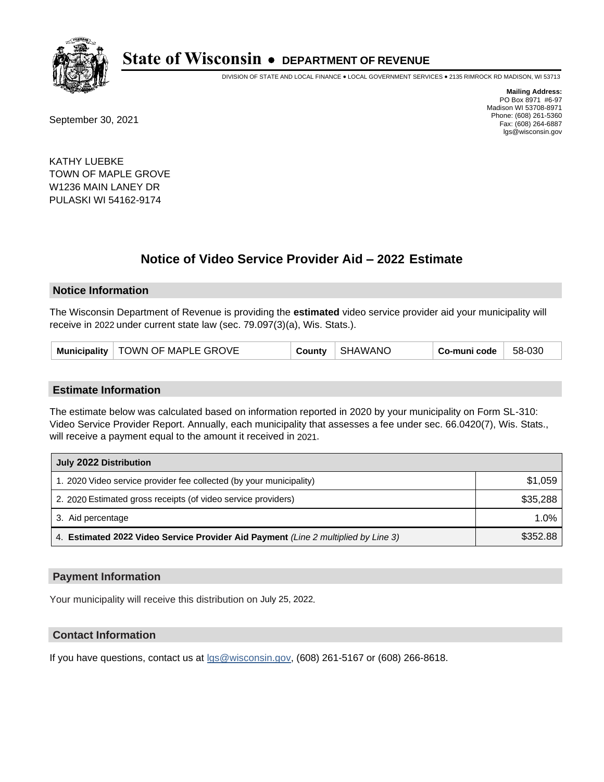

DIVISION OF STATE AND LOCAL FINANCE • LOCAL GOVERNMENT SERVICES • 2135 RIMROCK RD MADISON, WI 53713

September 30, 2021

**Mailing Address:** PO Box 8971 #6-97 Madison WI 53708-8971 Phone: (608) 261-5360 Fax: (608) 264-6887 lgs@wisconsin.gov

KATHY LUEBKE TOWN OF MAPLE GROVE W1236 MAIN LANEY DR PULASKI WI 54162-9174

# **Notice of Video Service Provider Aid - 2022 Estimate**

#### **Notice Information**

The Wisconsin Department of Revenue is providing the **estimated** video service provider aid your municipality will receive in 2022 under current state law (sec. 79.097(3)(a), Wis. Stats.).

#### **Estimate Information**

The estimate below was calculated based on information reported in 2020 by your municipality on Form SL-310: Video Service Provider Report. Annually, each municipality that assesses a fee under sec. 66.0420(7), Wis. Stats., will receive a payment equal to the amount it received in 2021.

| July 2022 Distribution                                                             |          |  |  |
|------------------------------------------------------------------------------------|----------|--|--|
| 1. 2020 Video service provider fee collected (by your municipality)                | \$1,059  |  |  |
| 2. 2020 Estimated gross receipts (of video service providers)                      | \$35,288 |  |  |
| 3. Aid percentage                                                                  | 1.0%     |  |  |
| 4. Estimated 2022 Video Service Provider Aid Payment (Line 2 multiplied by Line 3) | \$352.88 |  |  |

#### **Payment Information**

Your municipality will receive this distribution on July 25, 2022.

## **Contact Information**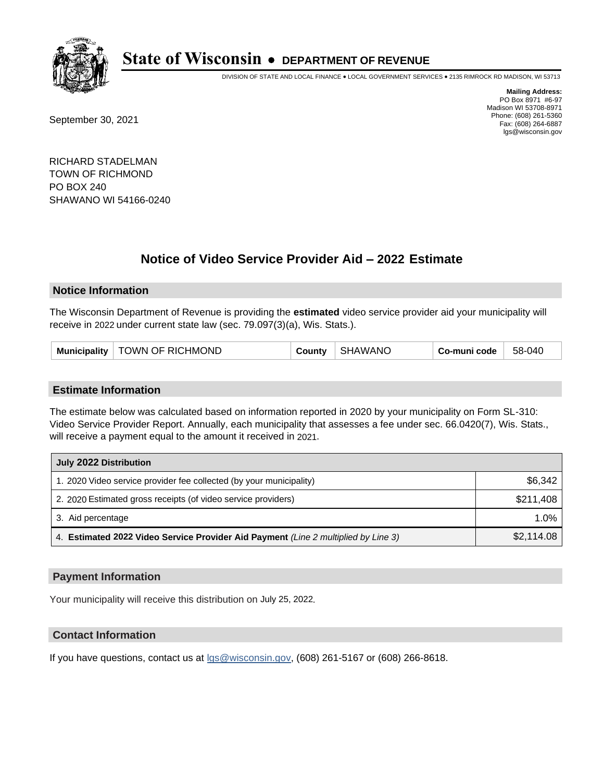

DIVISION OF STATE AND LOCAL FINANCE • LOCAL GOVERNMENT SERVICES • 2135 RIMROCK RD MADISON, WI 53713

September 30, 2021

**Mailing Address:** PO Box 8971 #6-97 Madison WI 53708-8971 Phone: (608) 261-5360 Fax: (608) 264-6887 lgs@wisconsin.gov

RICHARD STADELMAN TOWN OF RICHMOND PO BOX 240 SHAWANO WI 54166-0240

# **Notice of Video Service Provider Aid - 2022 Estimate**

#### **Notice Information**

The Wisconsin Department of Revenue is providing the **estimated** video service provider aid your municipality will receive in 2022 under current state law (sec. 79.097(3)(a), Wis. Stats.).

| Municipality   TOWN OF RICHMOND | County | SHAWANC | Co-muni code | 58-040 |
|---------------------------------|--------|---------|--------------|--------|
|---------------------------------|--------|---------|--------------|--------|

#### **Estimate Information**

The estimate below was calculated based on information reported in 2020 by your municipality on Form SL-310: Video Service Provider Report. Annually, each municipality that assesses a fee under sec. 66.0420(7), Wis. Stats., will receive a payment equal to the amount it received in 2021.

| July 2022 Distribution                                                             |            |  |  |
|------------------------------------------------------------------------------------|------------|--|--|
| 1. 2020 Video service provider fee collected (by your municipality)                | \$6,342    |  |  |
| 2. 2020 Estimated gross receipts (of video service providers)                      | \$211.408  |  |  |
| 3. Aid percentage                                                                  | 1.0%       |  |  |
| 4. Estimated 2022 Video Service Provider Aid Payment (Line 2 multiplied by Line 3) | \$2,114.08 |  |  |

#### **Payment Information**

Your municipality will receive this distribution on July 25, 2022.

## **Contact Information**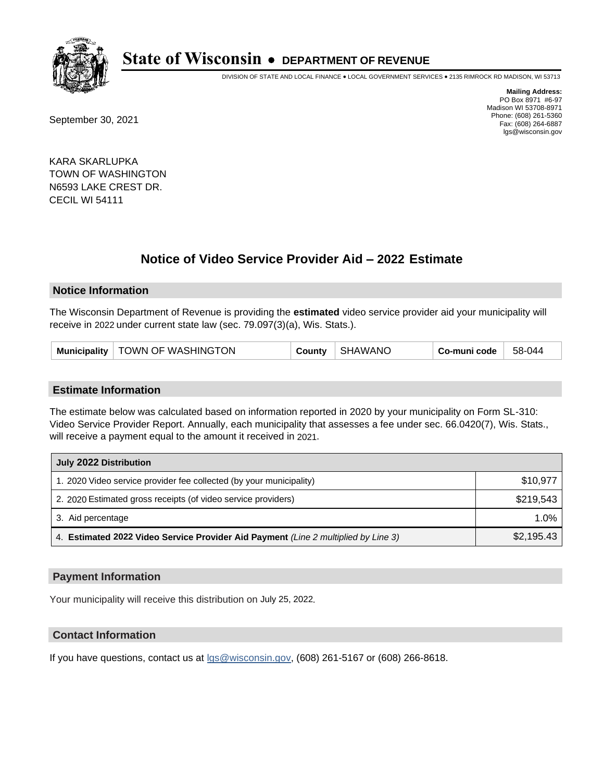

DIVISION OF STATE AND LOCAL FINANCE • LOCAL GOVERNMENT SERVICES • 2135 RIMROCK RD MADISON, WI 53713

September 30, 2021

**Mailing Address:** PO Box 8971 #6-97 Madison WI 53708-8971 Phone: (608) 261-5360 Fax: (608) 264-6887 lgs@wisconsin.gov

KARA SKARLUPKA TOWN OF WASHINGTON N6593 LAKE CREST DR. CECIL WI 54111

# **Notice of Video Service Provider Aid - 2022 Estimate**

#### **Notice Information**

The Wisconsin Department of Revenue is providing the **estimated** video service provider aid your municipality will receive in 2022 under current state law (sec. 79.097(3)(a), Wis. Stats.).

#### **Estimate Information**

The estimate below was calculated based on information reported in 2020 by your municipality on Form SL-310: Video Service Provider Report. Annually, each municipality that assesses a fee under sec. 66.0420(7), Wis. Stats., will receive a payment equal to the amount it received in 2021.

| July 2022 Distribution                                                             |            |  |  |
|------------------------------------------------------------------------------------|------------|--|--|
| 1. 2020 Video service provider fee collected (by your municipality)                | \$10,977   |  |  |
| 2. 2020 Estimated gross receipts (of video service providers)                      | \$219.543  |  |  |
| 3. Aid percentage                                                                  | 1.0%       |  |  |
| 4. Estimated 2022 Video Service Provider Aid Payment (Line 2 multiplied by Line 3) | \$2,195.43 |  |  |

### **Payment Information**

Your municipality will receive this distribution on July 25, 2022.

## **Contact Information**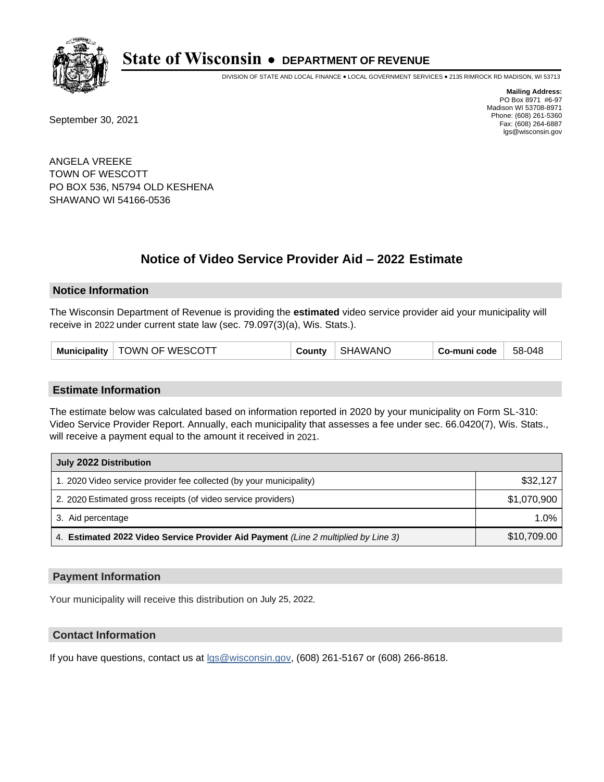

DIVISION OF STATE AND LOCAL FINANCE • LOCAL GOVERNMENT SERVICES • 2135 RIMROCK RD MADISON, WI 53713

September 30, 2021

**Mailing Address:** PO Box 8971 #6-97 Madison WI 53708-8971 Phone: (608) 261-5360 Fax: (608) 264-6887 lgs@wisconsin.gov

ANGELA VREEKE TOWN OF WESCOTT PO BOX 536, N5794 OLD KESHENA SHAWANO WI 54166-0536

# **Notice of Video Service Provider Aid - 2022 Estimate**

#### **Notice Information**

The Wisconsin Department of Revenue is providing the **estimated** video service provider aid your municipality will receive in 2022 under current state law (sec. 79.097(3)(a), Wis. Stats.).

| Municipality | TOWN OF WESCOTT | County | SHAWANC | Co-muni code | 58-048 |
|--------------|-----------------|--------|---------|--------------|--------|
|--------------|-----------------|--------|---------|--------------|--------|

#### **Estimate Information**

The estimate below was calculated based on information reported in 2020 by your municipality on Form SL-310: Video Service Provider Report. Annually, each municipality that assesses a fee under sec. 66.0420(7), Wis. Stats., will receive a payment equal to the amount it received in 2021.

| July 2022 Distribution                                                             |             |  |  |
|------------------------------------------------------------------------------------|-------------|--|--|
| 1. 2020 Video service provider fee collected (by your municipality)                | \$32,127    |  |  |
| 2. 2020 Estimated gross receipts (of video service providers)                      | \$1,070,900 |  |  |
| 3. Aid percentage                                                                  | $1.0\%$     |  |  |
| 4. Estimated 2022 Video Service Provider Aid Payment (Line 2 multiplied by Line 3) | \$10,709.00 |  |  |

#### **Payment Information**

Your municipality will receive this distribution on July 25, 2022.

## **Contact Information**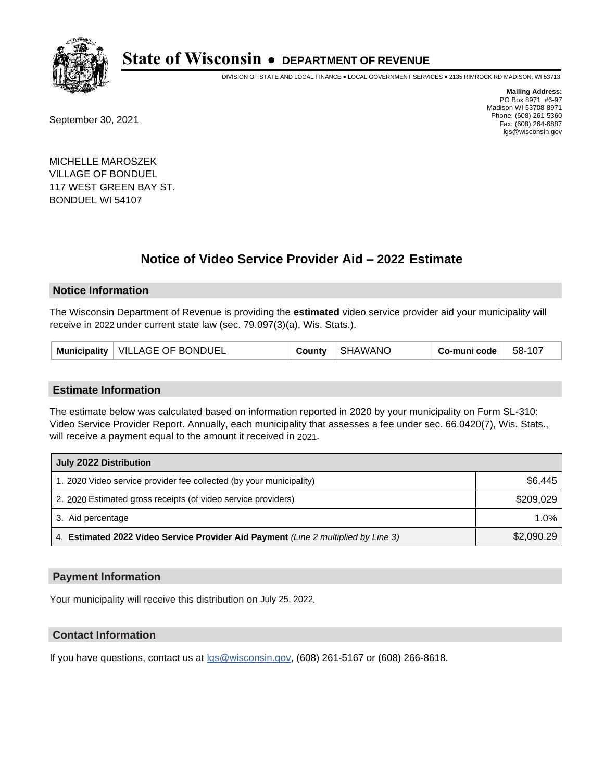

DIVISION OF STATE AND LOCAL FINANCE • LOCAL GOVERNMENT SERVICES • 2135 RIMROCK RD MADISON, WI 53713

September 30, 2021

**Mailing Address:** PO Box 8971 #6-97 Madison WI 53708-8971 Phone: (608) 261-5360 Fax: (608) 264-6887 lgs@wisconsin.gov

MICHELLE MAROSZEK VILLAGE OF BONDUEL 117 WEST GREEN BAY ST. BONDUEL WI 54107

# **Notice of Video Service Provider Aid - 2022 Estimate**

#### **Notice Information**

The Wisconsin Department of Revenue is providing the **estimated** video service provider aid your municipality will receive in 2022 under current state law (sec. 79.097(3)(a), Wis. Stats.).

#### **Estimate Information**

The estimate below was calculated based on information reported in 2020 by your municipality on Form SL-310: Video Service Provider Report. Annually, each municipality that assesses a fee under sec. 66.0420(7), Wis. Stats., will receive a payment equal to the amount it received in 2021.

| July 2022 Distribution                                                             |            |  |  |
|------------------------------------------------------------------------------------|------------|--|--|
| 1. 2020 Video service provider fee collected (by your municipality)                | \$6,445    |  |  |
| 2. 2020 Estimated gross receipts (of video service providers)                      | \$209.029  |  |  |
| 3. Aid percentage                                                                  | 1.0%       |  |  |
| 4. Estimated 2022 Video Service Provider Aid Payment (Line 2 multiplied by Line 3) | \$2,090.29 |  |  |

#### **Payment Information**

Your municipality will receive this distribution on July 25, 2022.

## **Contact Information**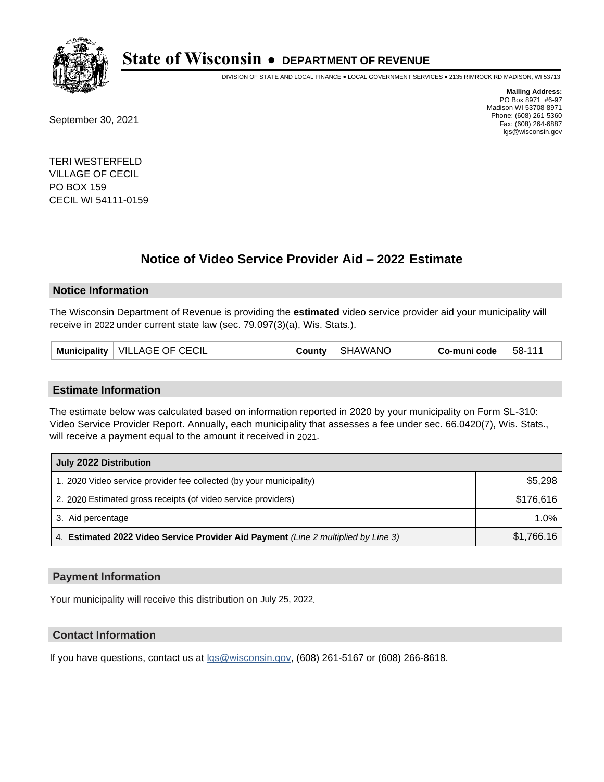

DIVISION OF STATE AND LOCAL FINANCE • LOCAL GOVERNMENT SERVICES • 2135 RIMROCK RD MADISON, WI 53713

September 30, 2021

**Mailing Address:** PO Box 8971 #6-97 Madison WI 53708-8971 Phone: (608) 261-5360 Fax: (608) 264-6887 lgs@wisconsin.gov

TERI WESTERFELD VILLAGE OF CECIL PO BOX 159 CECIL WI 54111-0159

# **Notice of Video Service Provider Aid - 2022 Estimate**

#### **Notice Information**

The Wisconsin Department of Revenue is providing the **estimated** video service provider aid your municipality will receive in 2022 under current state law (sec. 79.097(3)(a), Wis. Stats.).

#### **Estimate Information**

The estimate below was calculated based on information reported in 2020 by your municipality on Form SL-310: Video Service Provider Report. Annually, each municipality that assesses a fee under sec. 66.0420(7), Wis. Stats., will receive a payment equal to the amount it received in 2021.

| July 2022 Distribution                                                             |            |  |  |
|------------------------------------------------------------------------------------|------------|--|--|
| 1. 2020 Video service provider fee collected (by your municipality)                | \$5,298    |  |  |
| 2. 2020 Estimated gross receipts (of video service providers)                      | \$176.616  |  |  |
| 3. Aid percentage                                                                  | 1.0%       |  |  |
| 4. Estimated 2022 Video Service Provider Aid Payment (Line 2 multiplied by Line 3) | \$1,766.16 |  |  |

#### **Payment Information**

Your municipality will receive this distribution on July 25, 2022.

## **Contact Information**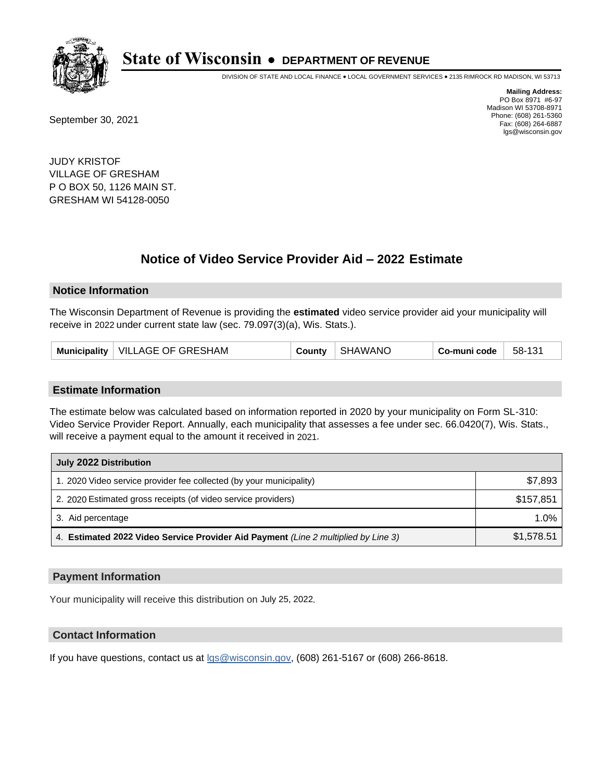

DIVISION OF STATE AND LOCAL FINANCE • LOCAL GOVERNMENT SERVICES • 2135 RIMROCK RD MADISON, WI 53713

September 30, 2021

**Mailing Address:** PO Box 8971 #6-97 Madison WI 53708-8971 Phone: (608) 261-5360 Fax: (608) 264-6887 lgs@wisconsin.gov

JUDY KRISTOF VILLAGE OF GRESHAM P O BOX 50, 1126 MAIN ST. GRESHAM WI 54128-0050

# **Notice of Video Service Provider Aid - 2022 Estimate**

#### **Notice Information**

The Wisconsin Department of Revenue is providing the **estimated** video service provider aid your municipality will receive in 2022 under current state law (sec. 79.097(3)(a), Wis. Stats.).

| Municipality   VILLAGE OF GRESHAM | County | SHAWANO | Co-muni code | 58-131 |
|-----------------------------------|--------|---------|--------------|--------|
|-----------------------------------|--------|---------|--------------|--------|

#### **Estimate Information**

The estimate below was calculated based on information reported in 2020 by your municipality on Form SL-310: Video Service Provider Report. Annually, each municipality that assesses a fee under sec. 66.0420(7), Wis. Stats., will receive a payment equal to the amount it received in 2021.

| July 2022 Distribution                                                             |            |  |  |
|------------------------------------------------------------------------------------|------------|--|--|
| 1. 2020 Video service provider fee collected (by your municipality)                | \$7,893    |  |  |
| 2. 2020 Estimated gross receipts (of video service providers)                      | \$157.851  |  |  |
| 3. Aid percentage                                                                  | 1.0%       |  |  |
| 4. Estimated 2022 Video Service Provider Aid Payment (Line 2 multiplied by Line 3) | \$1,578.51 |  |  |

#### **Payment Information**

Your municipality will receive this distribution on July 25, 2022.

## **Contact Information**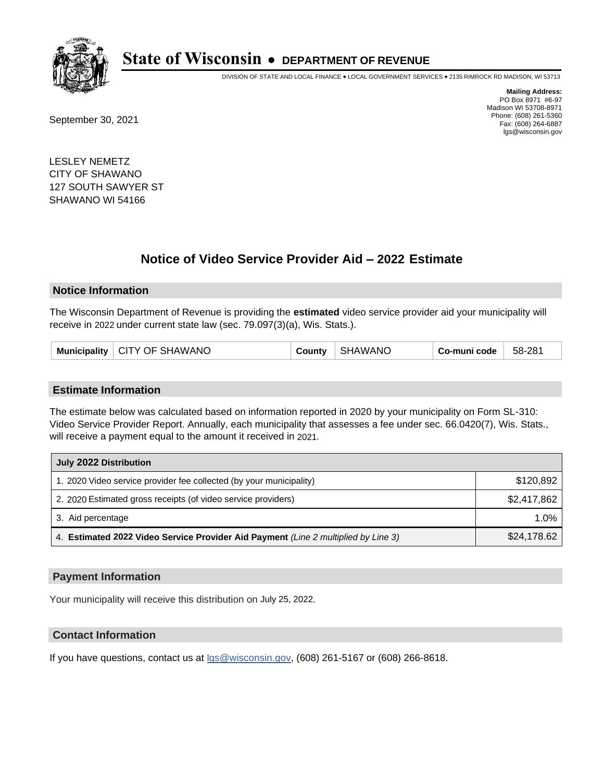

DIVISION OF STATE AND LOCAL FINANCE • LOCAL GOVERNMENT SERVICES • 2135 RIMROCK RD MADISON, WI 53713

September 30, 2021

**Mailing Address:** PO Box 8971 #6-97 Madison WI 53708-8971 Phone: (608) 261-5360 Fax: (608) 264-6887 lgs@wisconsin.gov

LESLEY NEMETZ CITY OF SHAWANO 127 SOUTH SAWYER ST SHAWANO WI 54166

# **Notice of Video Service Provider Aid - 2022 Estimate**

#### **Notice Information**

The Wisconsin Department of Revenue is providing the **estimated** video service provider aid your municipality will receive in 2022 under current state law (sec. 79.097(3)(a), Wis. Stats.).

|  | Municipality   CITY OF SHAWANO | County | SHAWANO | ⊦ Co-muni code | 58-281 |
|--|--------------------------------|--------|---------|----------------|--------|
|--|--------------------------------|--------|---------|----------------|--------|

#### **Estimate Information**

The estimate below was calculated based on information reported in 2020 by your municipality on Form SL-310: Video Service Provider Report. Annually, each municipality that assesses a fee under sec. 66.0420(7), Wis. Stats., will receive a payment equal to the amount it received in 2021.

| July 2022 Distribution                                                             |             |  |  |
|------------------------------------------------------------------------------------|-------------|--|--|
| 1. 2020 Video service provider fee collected (by your municipality)                | \$120,892   |  |  |
| 2. 2020 Estimated gross receipts (of video service providers)                      | \$2.417.862 |  |  |
| 3. Aid percentage                                                                  | 1.0%        |  |  |
| 4. Estimated 2022 Video Service Provider Aid Payment (Line 2 multiplied by Line 3) | \$24,178.62 |  |  |

### **Payment Information**

Your municipality will receive this distribution on July 25, 2022.

## **Contact Information**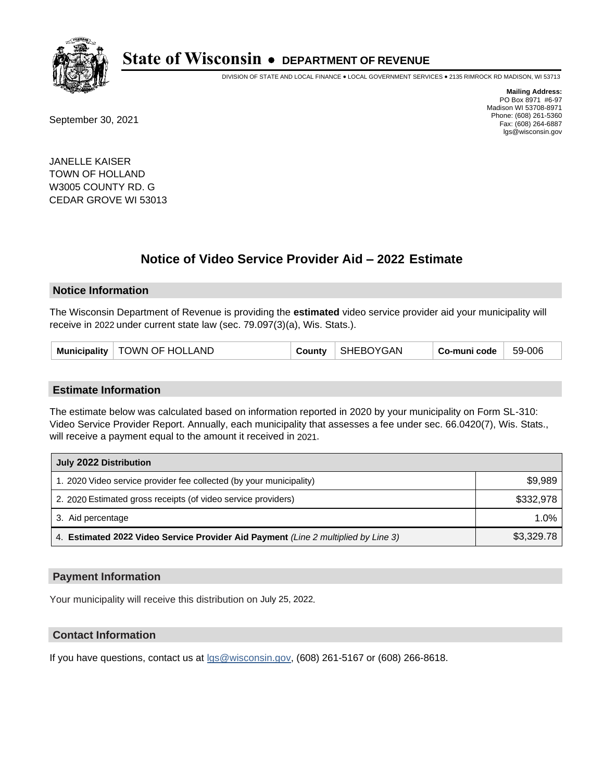

DIVISION OF STATE AND LOCAL FINANCE • LOCAL GOVERNMENT SERVICES • 2135 RIMROCK RD MADISON, WI 53713

September 30, 2021

**Mailing Address:** PO Box 8971 #6-97 Madison WI 53708-8971 Phone: (608) 261-5360 Fax: (608) 264-6887 lgs@wisconsin.gov

JANELLE KAISER TOWN OF HOLLAND W3005 COUNTY RD. G CEDAR GROVE WI 53013

# **Notice of Video Service Provider Aid - 2022 Estimate**

#### **Notice Information**

The Wisconsin Department of Revenue is providing the **estimated** video service provider aid your municipality will receive in 2022 under current state law (sec. 79.097(3)(a), Wis. Stats.).

#### **Estimate Information**

The estimate below was calculated based on information reported in 2020 by your municipality on Form SL-310: Video Service Provider Report. Annually, each municipality that assesses a fee under sec. 66.0420(7), Wis. Stats., will receive a payment equal to the amount it received in 2021.

| July 2022 Distribution                                                             |            |  |  |
|------------------------------------------------------------------------------------|------------|--|--|
| 1. 2020 Video service provider fee collected (by your municipality)                | \$9,989    |  |  |
| 2. 2020 Estimated gross receipts (of video service providers)                      | \$332.978  |  |  |
| 3. Aid percentage                                                                  | $1.0\%$    |  |  |
| 4. Estimated 2022 Video Service Provider Aid Payment (Line 2 multiplied by Line 3) | \$3,329.78 |  |  |

#### **Payment Information**

Your municipality will receive this distribution on July 25, 2022.

## **Contact Information**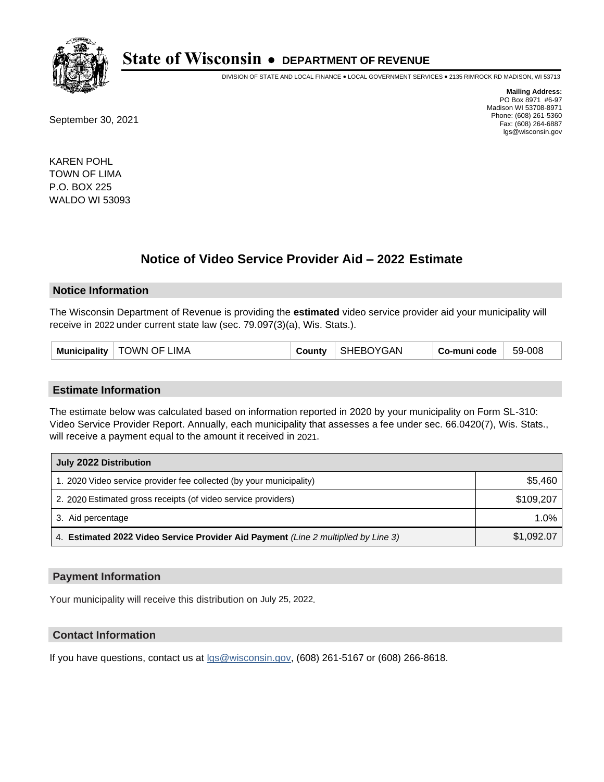

DIVISION OF STATE AND LOCAL FINANCE • LOCAL GOVERNMENT SERVICES • 2135 RIMROCK RD MADISON, WI 53713

September 30, 2021

**Mailing Address:** PO Box 8971 #6-97 Madison WI 53708-8971 Phone: (608) 261-5360 Fax: (608) 264-6887 lgs@wisconsin.gov

KAREN POHL TOWN OF LIMA P.O. BOX 225 WALDO WI 53093

# **Notice of Video Service Provider Aid - 2022 Estimate**

#### **Notice Information**

The Wisconsin Department of Revenue is providing the **estimated** video service provider aid your municipality will receive in 2022 under current state law (sec. 79.097(3)(a), Wis. Stats.).

| <b>Munic</b><br>908<br>-50.<br><b>IVALITY</b><br>`-ì A N<br>.IMA<br>()⊢<br>.011 <sup>1</sup><br>----<br>:oc<br>сюанту<br>ີ |
|----------------------------------------------------------------------------------------------------------------------------|
|----------------------------------------------------------------------------------------------------------------------------|

#### **Estimate Information**

The estimate below was calculated based on information reported in 2020 by your municipality on Form SL-310: Video Service Provider Report. Annually, each municipality that assesses a fee under sec. 66.0420(7), Wis. Stats., will receive a payment equal to the amount it received in 2021.

| July 2022 Distribution                                                             |            |
|------------------------------------------------------------------------------------|------------|
| 1. 2020 Video service provider fee collected (by your municipality)                | \$5,460    |
| 2. 2020 Estimated gross receipts (of video service providers)                      | \$109,207  |
| 3. Aid percentage                                                                  | 1.0%       |
| 4. Estimated 2022 Video Service Provider Aid Payment (Line 2 multiplied by Line 3) | \$1,092.07 |

#### **Payment Information**

Your municipality will receive this distribution on July 25, 2022.

## **Contact Information**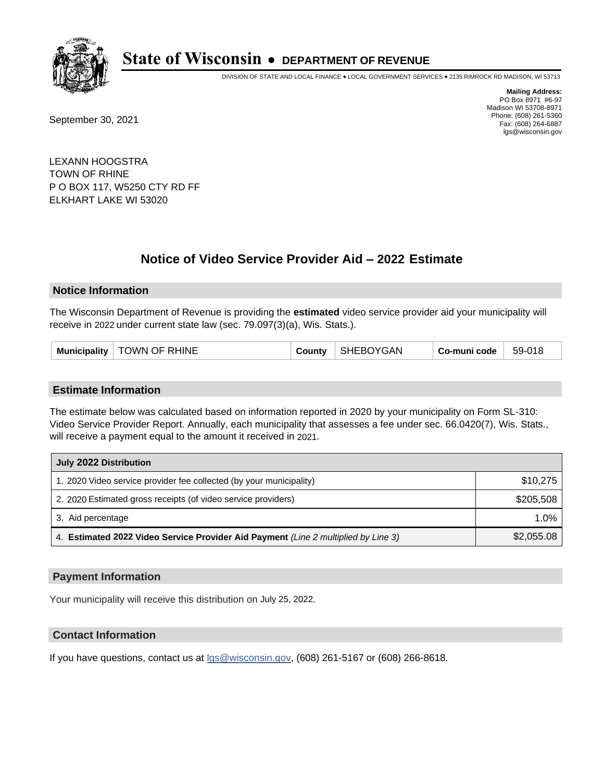

DIVISION OF STATE AND LOCAL FINANCE • LOCAL GOVERNMENT SERVICES • 2135 RIMROCK RD MADISON, WI 53713

September 30, 2021

**Mailing Address:** PO Box 8971 #6-97 Madison WI 53708-8971 Phone: (608) 261-5360 Fax: (608) 264-6887 lgs@wisconsin.gov

LEXANN HOOGSTRA TOWN OF RHINE P O BOX 117, W5250 CTY RD FF ELKHART LAKE WI 53020

# **Notice of Video Service Provider Aid - 2022 Estimate**

#### **Notice Information**

The Wisconsin Department of Revenue is providing the **estimated** video service provider aid your municipality will receive in 2022 under current state law (sec. 79.097(3)(a), Wis. Stats.).

| <b>TOWN OF RHINE</b><br><b>Municipality</b><br>∶ountv | SHEBOYGAN | Co-muni code | 59-018 |
|-------------------------------------------------------|-----------|--------------|--------|
|-------------------------------------------------------|-----------|--------------|--------|

#### **Estimate Information**

The estimate below was calculated based on information reported in 2020 by your municipality on Form SL-310: Video Service Provider Report. Annually, each municipality that assesses a fee under sec. 66.0420(7), Wis. Stats., will receive a payment equal to the amount it received in 2021.

| July 2022 Distribution                                                             |            |
|------------------------------------------------------------------------------------|------------|
| 1. 2020 Video service provider fee collected (by your municipality)                | \$10,275   |
| 2. 2020 Estimated gross receipts (of video service providers)                      | \$205,508  |
| 3. Aid percentage                                                                  | $1.0\%$    |
| 4. Estimated 2022 Video Service Provider Aid Payment (Line 2 multiplied by Line 3) | \$2,055.08 |

#### **Payment Information**

Your municipality will receive this distribution on July 25, 2022.

## **Contact Information**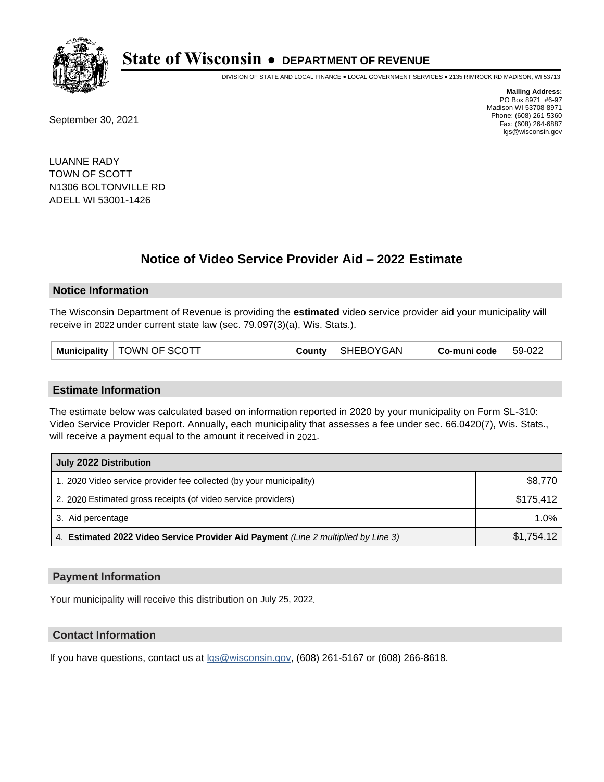

DIVISION OF STATE AND LOCAL FINANCE • LOCAL GOVERNMENT SERVICES • 2135 RIMROCK RD MADISON, WI 53713

September 30, 2021

**Mailing Address:** PO Box 8971 #6-97 Madison WI 53708-8971 Phone: (608) 261-5360 Fax: (608) 264-6887 lgs@wisconsin.gov

LUANNE RADY TOWN OF SCOTT N1306 BOLTONVILLE RD ADELL WI 53001-1426

# **Notice of Video Service Provider Aid - 2022 Estimate**

#### **Notice Information**

The Wisconsin Department of Revenue is providing the **estimated** video service provider aid your municipality will receive in 2022 under current state law (sec. 79.097(3)(a), Wis. Stats.).

#### **Estimate Information**

The estimate below was calculated based on information reported in 2020 by your municipality on Form SL-310: Video Service Provider Report. Annually, each municipality that assesses a fee under sec. 66.0420(7), Wis. Stats., will receive a payment equal to the amount it received in 2021.

| July 2022 Distribution                                                             |            |
|------------------------------------------------------------------------------------|------------|
| 1. 2020 Video service provider fee collected (by your municipality)                | \$8,770    |
| 2. 2020 Estimated gross receipts (of video service providers)                      | \$175,412  |
| 3. Aid percentage                                                                  | $1.0\%$    |
| 4. Estimated 2022 Video Service Provider Aid Payment (Line 2 multiplied by Line 3) | \$1,754.12 |

#### **Payment Information**

Your municipality will receive this distribution on July 25, 2022.

## **Contact Information**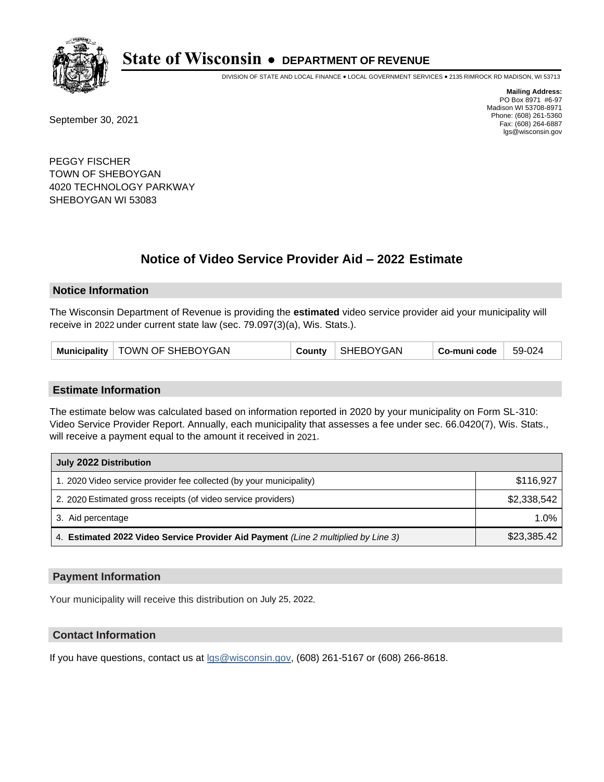

DIVISION OF STATE AND LOCAL FINANCE • LOCAL GOVERNMENT SERVICES • 2135 RIMROCK RD MADISON, WI 53713

September 30, 2021

**Mailing Address:** PO Box 8971 #6-97 Madison WI 53708-8971 Phone: (608) 261-5360 Fax: (608) 264-6887 lgs@wisconsin.gov

PEGGY FISCHER TOWN OF SHEBOYGAN 4020 TECHNOLOGY PARKWAY SHEBOYGAN WI 53083

# **Notice of Video Service Provider Aid - 2022 Estimate**

#### **Notice Information**

The Wisconsin Department of Revenue is providing the **estimated** video service provider aid your municipality will receive in 2022 under current state law (sec. 79.097(3)(a), Wis. Stats.).

| Municipality   TOWN OF SHEBOYGAN |  | County   SHEBOYGAN | $\vert$ Co-muni code $\vert$ | 59-024 |
|----------------------------------|--|--------------------|------------------------------|--------|
|----------------------------------|--|--------------------|------------------------------|--------|

#### **Estimate Information**

The estimate below was calculated based on information reported in 2020 by your municipality on Form SL-310: Video Service Provider Report. Annually, each municipality that assesses a fee under sec. 66.0420(7), Wis. Stats., will receive a payment equal to the amount it received in 2021.

| July 2022 Distribution                                                             |             |
|------------------------------------------------------------------------------------|-------------|
| 1. 2020 Video service provider fee collected (by your municipality)                | \$116,927   |
| 2. 2020 Estimated gross receipts (of video service providers)                      | \$2,338,542 |
| 3. Aid percentage                                                                  | $1.0\%$     |
| 4. Estimated 2022 Video Service Provider Aid Payment (Line 2 multiplied by Line 3) | \$23,385.42 |

#### **Payment Information**

Your municipality will receive this distribution on July 25, 2022.

## **Contact Information**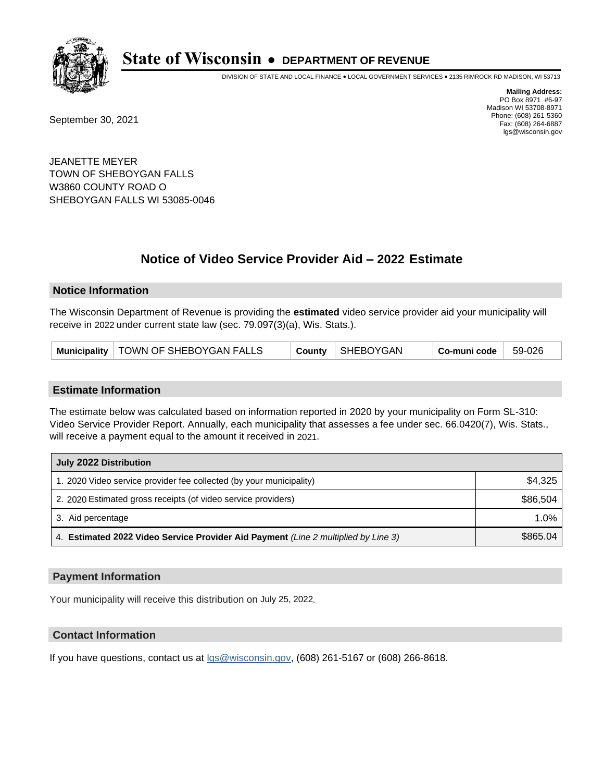

DIVISION OF STATE AND LOCAL FINANCE • LOCAL GOVERNMENT SERVICES • 2135 RIMROCK RD MADISON, WI 53713

September 30, 2021

**Mailing Address:** PO Box 8971 #6-97 Madison WI 53708-8971 Phone: (608) 261-5360 Fax: (608) 264-6887 lgs@wisconsin.gov

JEANETTE MEYER TOWN OF SHEBOYGAN FALLS W3860 COUNTY ROAD O SHEBOYGAN FALLS WI 53085-0046

# **Notice of Video Service Provider Aid - 2022 Estimate**

#### **Notice Information**

The Wisconsin Department of Revenue is providing the **estimated** video service provider aid your municipality will receive in 2022 under current state law (sec. 79.097(3)(a), Wis. Stats.).

| Municipality   TOWN OF SHEBOYGAN FALLS |  | County SHEBOYGAN | $Co$ -muni code $\parallel$ | $59-026$ |
|----------------------------------------|--|------------------|-----------------------------|----------|
|----------------------------------------|--|------------------|-----------------------------|----------|

#### **Estimate Information**

The estimate below was calculated based on information reported in 2020 by your municipality on Form SL-310: Video Service Provider Report. Annually, each municipality that assesses a fee under sec. 66.0420(7), Wis. Stats., will receive a payment equal to the amount it received in 2021.

| July 2022 Distribution                                                             |          |
|------------------------------------------------------------------------------------|----------|
| 1. 2020 Video service provider fee collected (by your municipality)                | \$4,325  |
| 2. 2020 Estimated gross receipts (of video service providers)                      | \$86,504 |
| 3. Aid percentage                                                                  | 1.0%     |
| 4. Estimated 2022 Video Service Provider Aid Payment (Line 2 multiplied by Line 3) | \$865.04 |

#### **Payment Information**

Your municipality will receive this distribution on July 25, 2022.

## **Contact Information**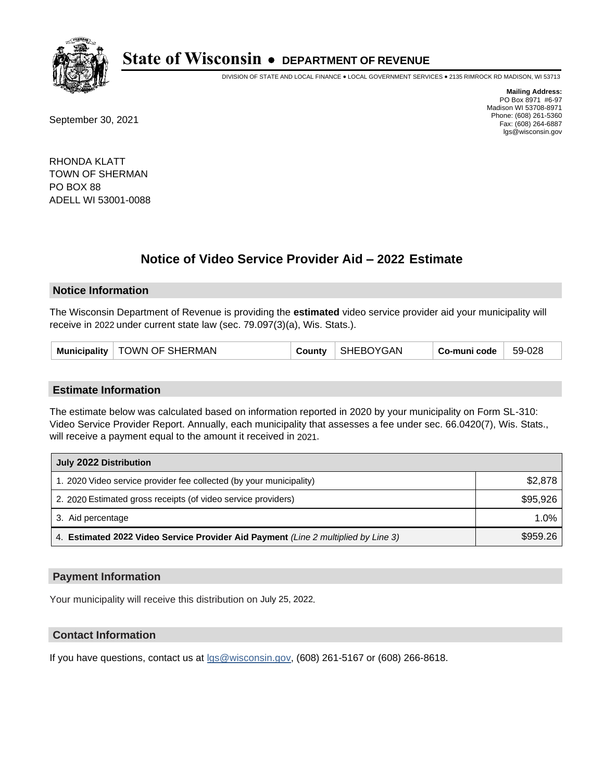

DIVISION OF STATE AND LOCAL FINANCE • LOCAL GOVERNMENT SERVICES • 2135 RIMROCK RD MADISON, WI 53713

September 30, 2021

**Mailing Address:** PO Box 8971 #6-97 Madison WI 53708-8971 Phone: (608) 261-5360 Fax: (608) 264-6887 lgs@wisconsin.gov

RHONDA KLATT TOWN OF SHERMAN PO BOX 88 ADELL WI 53001-0088

# **Notice of Video Service Provider Aid - 2022 Estimate**

#### **Notice Information**

The Wisconsin Department of Revenue is providing the **estimated** video service provider aid your municipality will receive in 2022 under current state law (sec. 79.097(3)(a), Wis. Stats.).

| Municipality   TOWN OF SHERMAN | <b>County</b> | SHEBOYGAN | Co-muni code | 59-028 |
|--------------------------------|---------------|-----------|--------------|--------|
|--------------------------------|---------------|-----------|--------------|--------|

#### **Estimate Information**

The estimate below was calculated based on information reported in 2020 by your municipality on Form SL-310: Video Service Provider Report. Annually, each municipality that assesses a fee under sec. 66.0420(7), Wis. Stats., will receive a payment equal to the amount it received in 2021.

| July 2022 Distribution                                                             |          |
|------------------------------------------------------------------------------------|----------|
| 1. 2020 Video service provider fee collected (by your municipality)                | \$2,878  |
| 2. 2020 Estimated gross receipts (of video service providers)                      | \$95,926 |
| 3. Aid percentage                                                                  | 1.0%     |
| 4. Estimated 2022 Video Service Provider Aid Payment (Line 2 multiplied by Line 3) | \$959.26 |

#### **Payment Information**

Your municipality will receive this distribution on July 25, 2022.

## **Contact Information**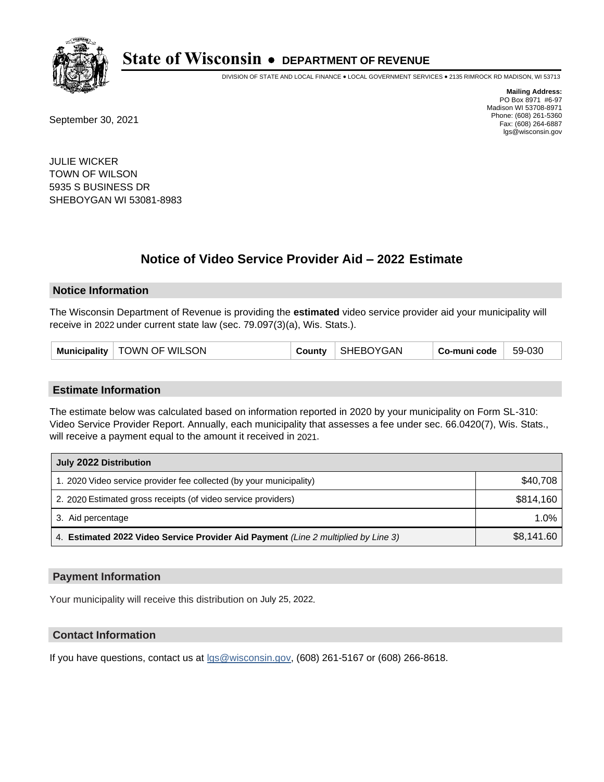

DIVISION OF STATE AND LOCAL FINANCE • LOCAL GOVERNMENT SERVICES • 2135 RIMROCK RD MADISON, WI 53713

September 30, 2021

**Mailing Address:** PO Box 8971 #6-97 Madison WI 53708-8971 Phone: (608) 261-5360 Fax: (608) 264-6887 lgs@wisconsin.gov

JULIE WICKER TOWN OF WILSON 5935 S BUSINESS DR SHEBOYGAN WI 53081-8983

# **Notice of Video Service Provider Aid - 2022 Estimate**

#### **Notice Information**

The Wisconsin Department of Revenue is providing the **estimated** video service provider aid your municipality will receive in 2022 under current state law (sec. 79.097(3)(a), Wis. Stats.).

| TOWN OF WILSON<br>Municipality | Countv | SHEBOYGAN | Co-muni code | 59-030 |
|--------------------------------|--------|-----------|--------------|--------|
|--------------------------------|--------|-----------|--------------|--------|

#### **Estimate Information**

The estimate below was calculated based on information reported in 2020 by your municipality on Form SL-310: Video Service Provider Report. Annually, each municipality that assesses a fee under sec. 66.0420(7), Wis. Stats., will receive a payment equal to the amount it received in 2021.

| July 2022 Distribution                                                             |            |
|------------------------------------------------------------------------------------|------------|
| 1. 2020 Video service provider fee collected (by your municipality)                | \$40.708   |
| 2. 2020 Estimated gross receipts (of video service providers)                      | \$814.160  |
| 3. Aid percentage                                                                  | 1.0%       |
| 4. Estimated 2022 Video Service Provider Aid Payment (Line 2 multiplied by Line 3) | \$8,141.60 |

#### **Payment Information**

Your municipality will receive this distribution on July 25, 2022.

## **Contact Information**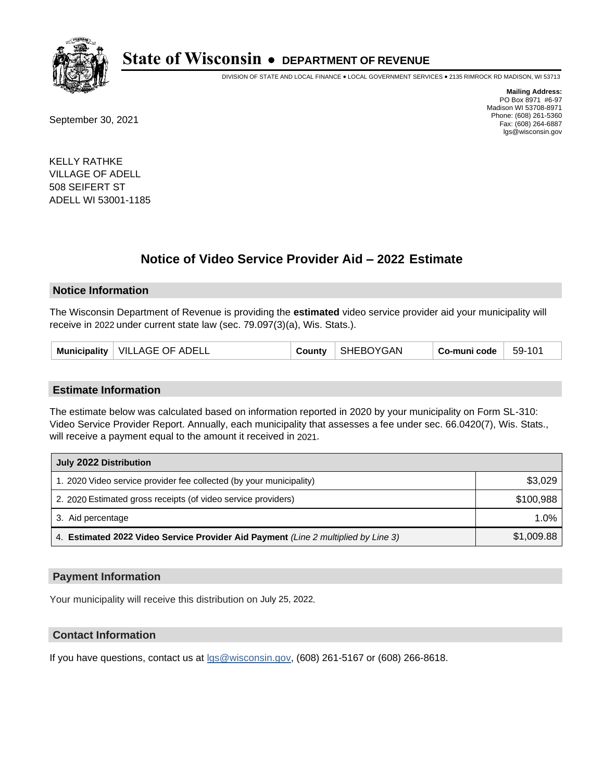

DIVISION OF STATE AND LOCAL FINANCE • LOCAL GOVERNMENT SERVICES • 2135 RIMROCK RD MADISON, WI 53713

September 30, 2021

**Mailing Address:** PO Box 8971 #6-97 Madison WI 53708-8971 Phone: (608) 261-5360 Fax: (608) 264-6887 lgs@wisconsin.gov

KELLY RATHKE VILLAGE OF ADELL 508 SEIFERT ST ADELL WI 53001-1185

# **Notice of Video Service Provider Aid - 2022 Estimate**

#### **Notice Information**

The Wisconsin Department of Revenue is providing the **estimated** video service provider aid your municipality will receive in 2022 under current state law (sec. 79.097(3)(a), Wis. Stats.).

| VILLAGE OF ADELL<br>Municipality | Count∨∟ | SHEBOYGAN | Co-muni code | 59-101 |
|----------------------------------|---------|-----------|--------------|--------|
|----------------------------------|---------|-----------|--------------|--------|

#### **Estimate Information**

The estimate below was calculated based on information reported in 2020 by your municipality on Form SL-310: Video Service Provider Report. Annually, each municipality that assesses a fee under sec. 66.0420(7), Wis. Stats., will receive a payment equal to the amount it received in 2021.

| July 2022 Distribution                                                             |            |  |  |
|------------------------------------------------------------------------------------|------------|--|--|
| 1. 2020 Video service provider fee collected (by your municipality)                | \$3,029    |  |  |
| 2. 2020 Estimated gross receipts (of video service providers)                      | \$100.988  |  |  |
| 3. Aid percentage                                                                  | 1.0%       |  |  |
| 4. Estimated 2022 Video Service Provider Aid Payment (Line 2 multiplied by Line 3) | \$1,009.88 |  |  |

#### **Payment Information**

Your municipality will receive this distribution on July 25, 2022.

## **Contact Information**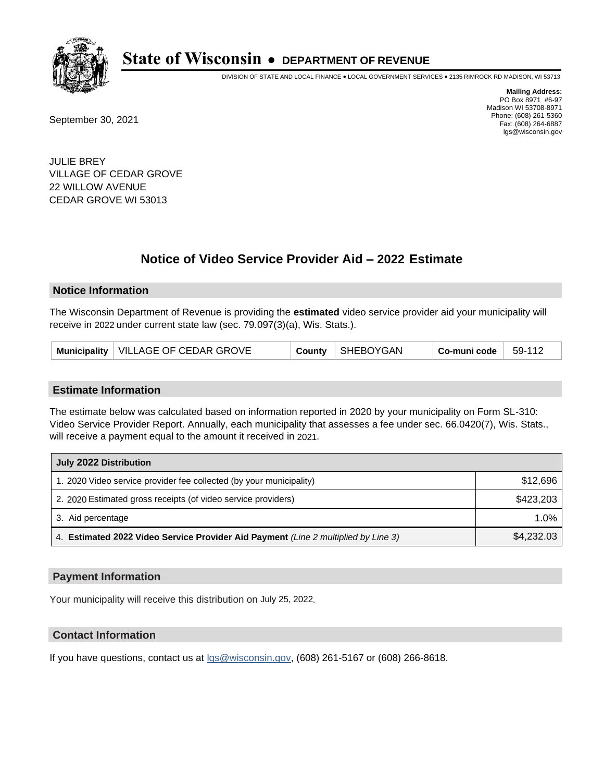

DIVISION OF STATE AND LOCAL FINANCE • LOCAL GOVERNMENT SERVICES • 2135 RIMROCK RD MADISON, WI 53713

September 30, 2021

**Mailing Address:** PO Box 8971 #6-97 Madison WI 53708-8971 Phone: (608) 261-5360 Fax: (608) 264-6887 lgs@wisconsin.gov

JULIE BREY VILLAGE OF CEDAR GROVE 22 WILLOW AVENUE CEDAR GROVE WI 53013

# **Notice of Video Service Provider Aid - 2022 Estimate**

### **Notice Information**

The Wisconsin Department of Revenue is providing the **estimated** video service provider aid your municipality will receive in 2022 under current state law (sec. 79.097(3)(a), Wis. Stats.).

#### **Estimate Information**

The estimate below was calculated based on information reported in 2020 by your municipality on Form SL-310: Video Service Provider Report. Annually, each municipality that assesses a fee under sec. 66.0420(7), Wis. Stats., will receive a payment equal to the amount it received in 2021.

| July 2022 Distribution                                                             |            |  |  |
|------------------------------------------------------------------------------------|------------|--|--|
| 1. 2020 Video service provider fee collected (by your municipality)                | \$12,696   |  |  |
| 2. 2020 Estimated gross receipts (of video service providers)                      | \$423,203  |  |  |
| 3. Aid percentage                                                                  | 1.0%       |  |  |
| 4. Estimated 2022 Video Service Provider Aid Payment (Line 2 multiplied by Line 3) | \$4,232.03 |  |  |

#### **Payment Information**

Your municipality will receive this distribution on July 25, 2022.

## **Contact Information**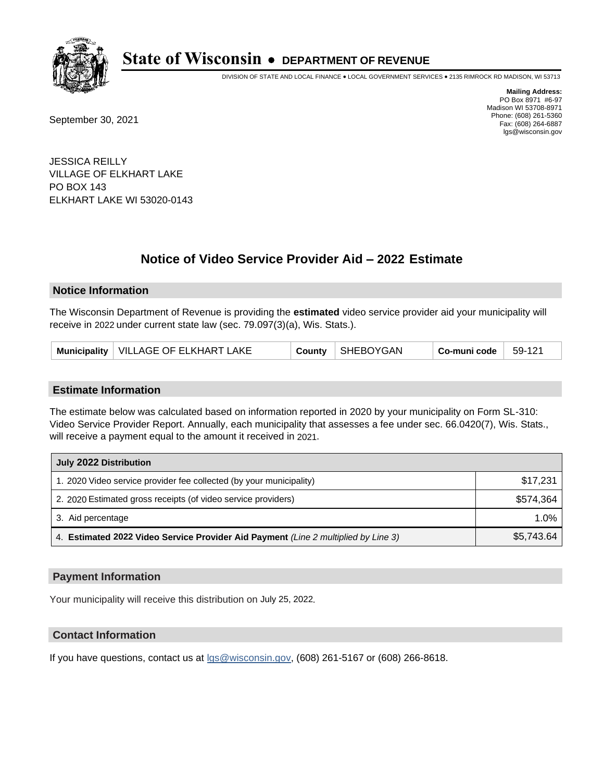

DIVISION OF STATE AND LOCAL FINANCE • LOCAL GOVERNMENT SERVICES • 2135 RIMROCK RD MADISON, WI 53713

September 30, 2021

**Mailing Address:** PO Box 8971 #6-97 Madison WI 53708-8971 Phone: (608) 261-5360 Fax: (608) 264-6887 lgs@wisconsin.gov

JESSICA REILLY VILLAGE OF ELKHART LAKE PO BOX 143 ELKHART LAKE WI 53020-0143

# **Notice of Video Service Provider Aid - 2022 Estimate**

### **Notice Information**

The Wisconsin Department of Revenue is providing the **estimated** video service provider aid your municipality will receive in 2022 under current state law (sec. 79.097(3)(a), Wis. Stats.).

| Municipality   VILLAGE OF ELKHART LAKE |  | County   SHEBOYGAN | $Co$ -muni code $\parallel$ | $-59-121$ |
|----------------------------------------|--|--------------------|-----------------------------|-----------|
|----------------------------------------|--|--------------------|-----------------------------|-----------|

#### **Estimate Information**

The estimate below was calculated based on information reported in 2020 by your municipality on Form SL-310: Video Service Provider Report. Annually, each municipality that assesses a fee under sec. 66.0420(7), Wis. Stats., will receive a payment equal to the amount it received in 2021.

| July 2022 Distribution                                                             |            |  |  |
|------------------------------------------------------------------------------------|------------|--|--|
| 1. 2020 Video service provider fee collected (by your municipality)                | \$17,231   |  |  |
| 2. 2020 Estimated gross receipts (of video service providers)                      | \$574.364  |  |  |
| 3. Aid percentage                                                                  | $1.0\%$    |  |  |
| 4. Estimated 2022 Video Service Provider Aid Payment (Line 2 multiplied by Line 3) | \$5,743.64 |  |  |

#### **Payment Information**

Your municipality will receive this distribution on July 25, 2022.

## **Contact Information**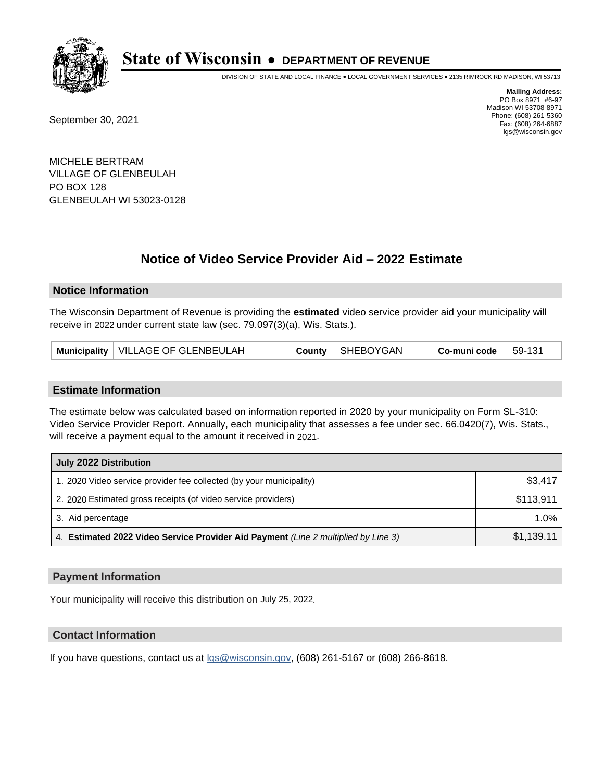

DIVISION OF STATE AND LOCAL FINANCE • LOCAL GOVERNMENT SERVICES • 2135 RIMROCK RD MADISON, WI 53713

September 30, 2021

**Mailing Address:** PO Box 8971 #6-97 Madison WI 53708-8971 Phone: (608) 261-5360 Fax: (608) 264-6887 lgs@wisconsin.gov

MICHELE BERTRAM VILLAGE OF GLENBEULAH PO BOX 128 GLENBEULAH WI 53023-0128

# **Notice of Video Service Provider Aid - 2022 Estimate**

### **Notice Information**

The Wisconsin Department of Revenue is providing the **estimated** video service provider aid your municipality will receive in 2022 under current state law (sec. 79.097(3)(a), Wis. Stats.).

| Municipality   VILLAGE OF GLENBEULAH |  | County   SHEBOYGAN | $Co$ -muni code | $ 59-131$ |
|--------------------------------------|--|--------------------|-----------------|-----------|
|--------------------------------------|--|--------------------|-----------------|-----------|

#### **Estimate Information**

The estimate below was calculated based on information reported in 2020 by your municipality on Form SL-310: Video Service Provider Report. Annually, each municipality that assesses a fee under sec. 66.0420(7), Wis. Stats., will receive a payment equal to the amount it received in 2021.

| July 2022 Distribution                                                             |            |  |  |
|------------------------------------------------------------------------------------|------------|--|--|
| 1. 2020 Video service provider fee collected (by your municipality)                | \$3,417    |  |  |
| 2. 2020 Estimated gross receipts (of video service providers)                      | \$113,911  |  |  |
| 3. Aid percentage                                                                  | $1.0\%$    |  |  |
| 4. Estimated 2022 Video Service Provider Aid Payment (Line 2 multiplied by Line 3) | \$1,139.11 |  |  |

#### **Payment Information**

Your municipality will receive this distribution on July 25, 2022.

## **Contact Information**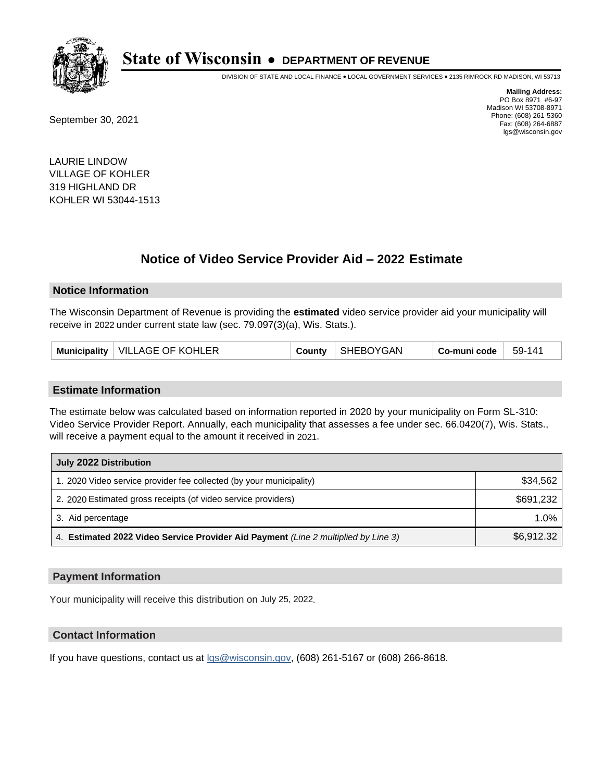

DIVISION OF STATE AND LOCAL FINANCE • LOCAL GOVERNMENT SERVICES • 2135 RIMROCK RD MADISON, WI 53713

September 30, 2021

**Mailing Address:** PO Box 8971 #6-97 Madison WI 53708-8971 Phone: (608) 261-5360 Fax: (608) 264-6887 lgs@wisconsin.gov

LAURIE LINDOW VILLAGE OF KOHLER 319 HIGHLAND DR KOHLER WI 53044-1513

# **Notice of Video Service Provider Aid - 2022 Estimate**

#### **Notice Information**

The Wisconsin Department of Revenue is providing the **estimated** video service provider aid your municipality will receive in 2022 under current state law (sec. 79.097(3)(a), Wis. Stats.).

| Municipality   VILLAGE OF KOHLER | County | SHEBOYGAN | Co-muni code | 59-141 |
|----------------------------------|--------|-----------|--------------|--------|
|----------------------------------|--------|-----------|--------------|--------|

#### **Estimate Information**

The estimate below was calculated based on information reported in 2020 by your municipality on Form SL-310: Video Service Provider Report. Annually, each municipality that assesses a fee under sec. 66.0420(7), Wis. Stats., will receive a payment equal to the amount it received in 2021.

| July 2022 Distribution                                                             |            |  |  |
|------------------------------------------------------------------------------------|------------|--|--|
| 1. 2020 Video service provider fee collected (by your municipality)                | \$34,562   |  |  |
| 2. 2020 Estimated gross receipts (of video service providers)                      | \$691,232  |  |  |
| 3. Aid percentage                                                                  | $1.0\%$    |  |  |
| 4. Estimated 2022 Video Service Provider Aid Payment (Line 2 multiplied by Line 3) | \$6,912.32 |  |  |

#### **Payment Information**

Your municipality will receive this distribution on July 25, 2022.

## **Contact Information**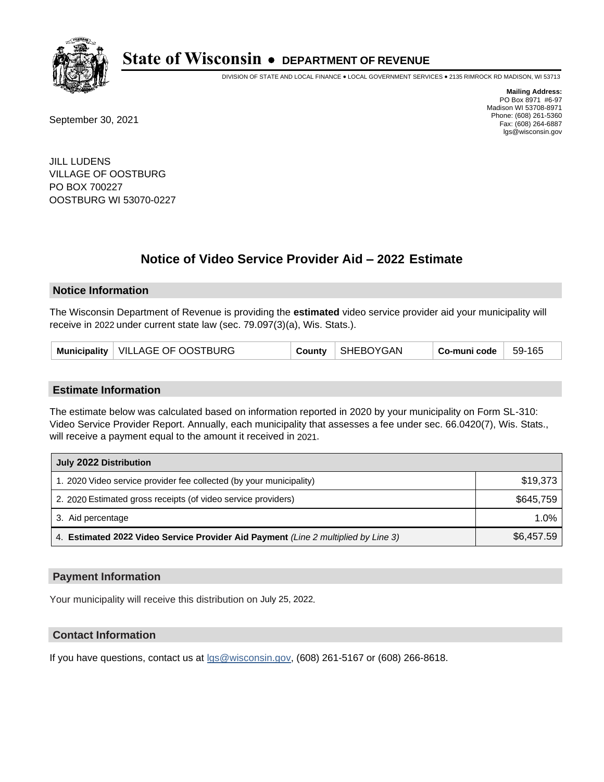

DIVISION OF STATE AND LOCAL FINANCE • LOCAL GOVERNMENT SERVICES • 2135 RIMROCK RD MADISON, WI 53713

September 30, 2021

**Mailing Address:** PO Box 8971 #6-97 Madison WI 53708-8971 Phone: (608) 261-5360 Fax: (608) 264-6887 lgs@wisconsin.gov

JILL LUDENS VILLAGE OF OOSTBURG PO BOX 700227 OOSTBURG WI 53070-0227

# **Notice of Video Service Provider Aid - 2022 Estimate**

#### **Notice Information**

The Wisconsin Department of Revenue is providing the **estimated** video service provider aid your municipality will receive in 2022 under current state law (sec. 79.097(3)(a), Wis. Stats.).

| Municipality   VILLAGE OF OOSTBURG |  | County   SHEBOYGAN | $^\top$ Co-muni code $\parallel$ 59-165 |  |
|------------------------------------|--|--------------------|-----------------------------------------|--|
|------------------------------------|--|--------------------|-----------------------------------------|--|

#### **Estimate Information**

The estimate below was calculated based on information reported in 2020 by your municipality on Form SL-310: Video Service Provider Report. Annually, each municipality that assesses a fee under sec. 66.0420(7), Wis. Stats., will receive a payment equal to the amount it received in 2021.

| July 2022 Distribution                                                             |            |
|------------------------------------------------------------------------------------|------------|
| 1. 2020 Video service provider fee collected (by your municipality)                | \$19,373   |
| 2. 2020 Estimated gross receipts (of video service providers)                      | \$645.759  |
| 3. Aid percentage                                                                  | $1.0\%$    |
| 4. Estimated 2022 Video Service Provider Aid Payment (Line 2 multiplied by Line 3) | \$6,457.59 |

#### **Payment Information**

Your municipality will receive this distribution on July 25, 2022.

## **Contact Information**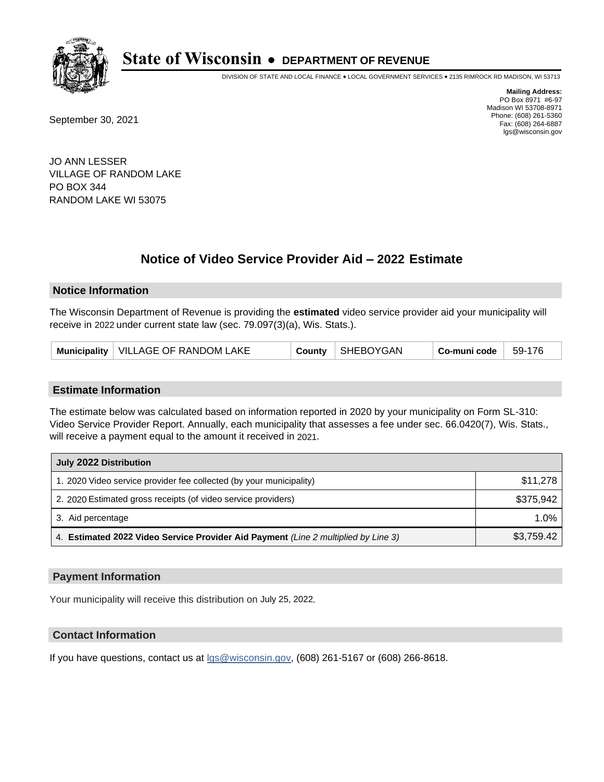

DIVISION OF STATE AND LOCAL FINANCE • LOCAL GOVERNMENT SERVICES • 2135 RIMROCK RD MADISON, WI 53713

September 30, 2021

**Mailing Address:** PO Box 8971 #6-97 Madison WI 53708-8971 Phone: (608) 261-5360 Fax: (608) 264-6887 lgs@wisconsin.gov

JO ANN LESSER VILLAGE OF RANDOM LAKE PO BOX 344 RANDOM LAKE WI 53075

# **Notice of Video Service Provider Aid - 2022 Estimate**

### **Notice Information**

The Wisconsin Department of Revenue is providing the **estimated** video service provider aid your municipality will receive in 2022 under current state law (sec. 79.097(3)(a), Wis. Stats.).

| Municipality   VILLAGE OF RANDOM LAKE |  | County   SHEBOYGAN | $^{\circ}$ Co-muni code $\,$ $\,$ 59-176 $\,$ |  |
|---------------------------------------|--|--------------------|-----------------------------------------------|--|
|---------------------------------------|--|--------------------|-----------------------------------------------|--|

#### **Estimate Information**

The estimate below was calculated based on information reported in 2020 by your municipality on Form SL-310: Video Service Provider Report. Annually, each municipality that assesses a fee under sec. 66.0420(7), Wis. Stats., will receive a payment equal to the amount it received in 2021.

| July 2022 Distribution                                                             |            |
|------------------------------------------------------------------------------------|------------|
| 1. 2020 Video service provider fee collected (by your municipality)                | \$11,278   |
| 2. 2020 Estimated gross receipts (of video service providers)                      | \$375.942  |
| 3. Aid percentage                                                                  | $1.0\%$    |
| 4. Estimated 2022 Video Service Provider Aid Payment (Line 2 multiplied by Line 3) | \$3,759.42 |

#### **Payment Information**

Your municipality will receive this distribution on July 25, 2022.

## **Contact Information**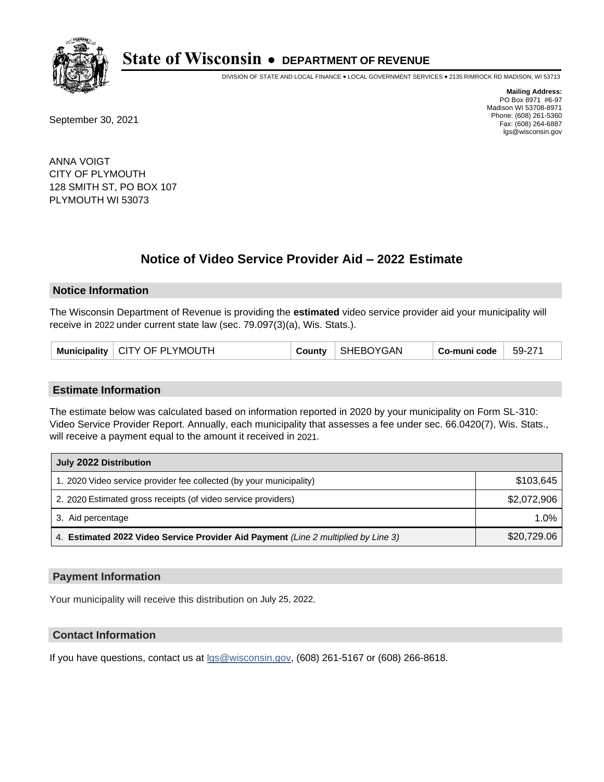

DIVISION OF STATE AND LOCAL FINANCE • LOCAL GOVERNMENT SERVICES • 2135 RIMROCK RD MADISON, WI 53713

September 30, 2021

**Mailing Address:** PO Box 8971 #6-97 Madison WI 53708-8971 Phone: (608) 261-5360 Fax: (608) 264-6887 lgs@wisconsin.gov

ANNA VOIGT CITY OF PLYMOUTH 128 SMITH ST, PO BOX 107 PLYMOUTH WI 53073

# **Notice of Video Service Provider Aid - 2022 Estimate**

#### **Notice Information**

The Wisconsin Department of Revenue is providing the **estimated** video service provider aid your municipality will receive in 2022 under current state law (sec. 79.097(3)(a), Wis. Stats.).

| Municipality   CITY OF PLYMOUTH | County | SHEBOYGAN | Co-muni code | 59-271 |
|---------------------------------|--------|-----------|--------------|--------|
|---------------------------------|--------|-----------|--------------|--------|

#### **Estimate Information**

The estimate below was calculated based on information reported in 2020 by your municipality on Form SL-310: Video Service Provider Report. Annually, each municipality that assesses a fee under sec. 66.0420(7), Wis. Stats., will receive a payment equal to the amount it received in 2021.

| July 2022 Distribution                                                             |             |  |  |  |
|------------------------------------------------------------------------------------|-------------|--|--|--|
| 1. 2020 Video service provider fee collected (by your municipality)                | \$103,645   |  |  |  |
| 2. 2020 Estimated gross receipts (of video service providers)                      | \$2,072,906 |  |  |  |
| 3. Aid percentage                                                                  | $1.0\%$     |  |  |  |
| 4. Estimated 2022 Video Service Provider Aid Payment (Line 2 multiplied by Line 3) | \$20,729.06 |  |  |  |

#### **Payment Information**

Your municipality will receive this distribution on July 25, 2022.

### **Contact Information**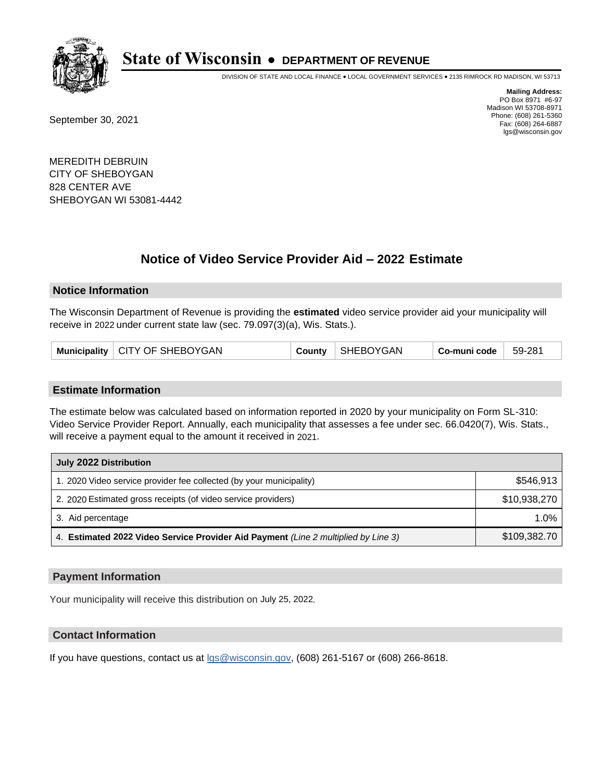

DIVISION OF STATE AND LOCAL FINANCE • LOCAL GOVERNMENT SERVICES • 2135 RIMROCK RD MADISON, WI 53713

September 30, 2021

**Mailing Address:** PO Box 8971 #6-97 Madison WI 53708-8971 Phone: (608) 261-5360 Fax: (608) 264-6887 lgs@wisconsin.gov

MEREDITH DEBRUIN CITY OF SHEBOYGAN 828 CENTER AVE SHEBOYGAN WI 53081-4442

# **Notice of Video Service Provider Aid - 2022 Estimate**

### **Notice Information**

The Wisconsin Department of Revenue is providing the **estimated** video service provider aid your municipality will receive in 2022 under current state law (sec. 79.097(3)(a), Wis. Stats.).

|  | Municipality   CITY OF SHEBOYGAN |  | County   SHEBOYGAN | Co-muni code | 59-281 |
|--|----------------------------------|--|--------------------|--------------|--------|
|--|----------------------------------|--|--------------------|--------------|--------|

#### **Estimate Information**

The estimate below was calculated based on information reported in 2020 by your municipality on Form SL-310: Video Service Provider Report. Annually, each municipality that assesses a fee under sec. 66.0420(7), Wis. Stats., will receive a payment equal to the amount it received in 2021.

| July 2022 Distribution                                                             |              |  |  |  |
|------------------------------------------------------------------------------------|--------------|--|--|--|
| 1. 2020 Video service provider fee collected (by your municipality)                | \$546,913    |  |  |  |
| 2. 2020 Estimated gross receipts (of video service providers)                      | \$10,938,270 |  |  |  |
| 3. Aid percentage                                                                  | $1.0\%$      |  |  |  |
| 4. Estimated 2022 Video Service Provider Aid Payment (Line 2 multiplied by Line 3) | \$109,382.70 |  |  |  |

#### **Payment Information**

Your municipality will receive this distribution on July 25, 2022.

## **Contact Information**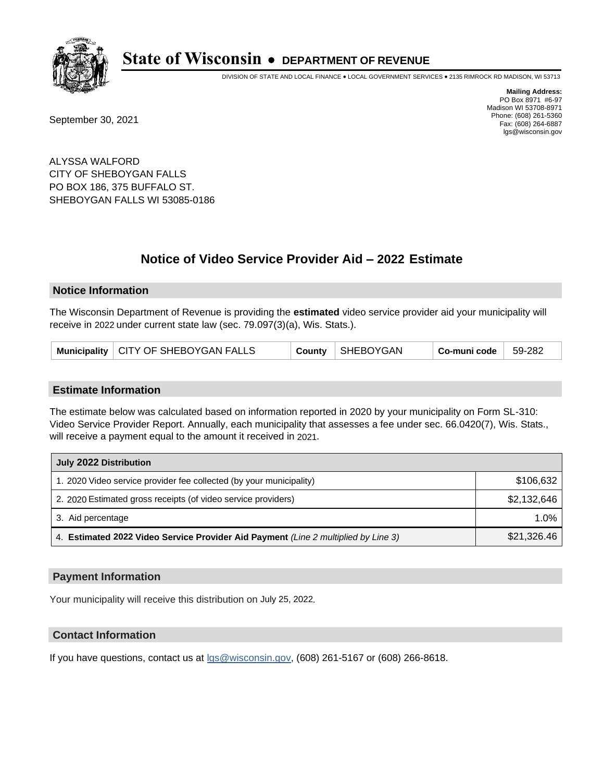

DIVISION OF STATE AND LOCAL FINANCE • LOCAL GOVERNMENT SERVICES • 2135 RIMROCK RD MADISON, WI 53713

September 30, 2021

**Mailing Address:** PO Box 8971 #6-97 Madison WI 53708-8971 Phone: (608) 261-5360 Fax: (608) 264-6887 lgs@wisconsin.gov

ALYSSA WALFORD CITY OF SHEBOYGAN FALLS PO BOX 186, 375 BUFFALO ST. SHEBOYGAN FALLS WI 53085-0186

# **Notice of Video Service Provider Aid - 2022 Estimate**

#### **Notice Information**

The Wisconsin Department of Revenue is providing the **estimated** video service provider aid your municipality will receive in 2022 under current state law (sec. 79.097(3)(a), Wis. Stats.).

|  | Municipality   CITY OF SHEBOYGAN FALLS |  | County   SHEBOYGAN | Co-muni code | 59-282 |
|--|----------------------------------------|--|--------------------|--------------|--------|
|--|----------------------------------------|--|--------------------|--------------|--------|

#### **Estimate Information**

The estimate below was calculated based on information reported in 2020 by your municipality on Form SL-310: Video Service Provider Report. Annually, each municipality that assesses a fee under sec. 66.0420(7), Wis. Stats., will receive a payment equal to the amount it received in 2021.

| July 2022 Distribution                                                             |             |  |  |  |
|------------------------------------------------------------------------------------|-------------|--|--|--|
| 1. 2020 Video service provider fee collected (by your municipality)                | \$106,632   |  |  |  |
| 2. 2020 Estimated gross receipts (of video service providers)                      | \$2,132,646 |  |  |  |
| 3. Aid percentage                                                                  | $1.0\%$     |  |  |  |
| 4. Estimated 2022 Video Service Provider Aid Payment (Line 2 multiplied by Line 3) | \$21,326.46 |  |  |  |

#### **Payment Information**

Your municipality will receive this distribution on July 25, 2022.

## **Contact Information**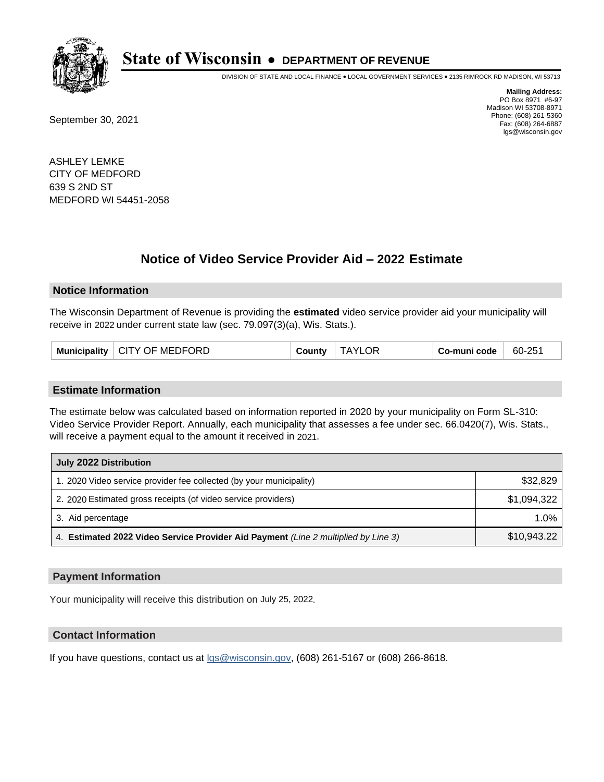

DIVISION OF STATE AND LOCAL FINANCE • LOCAL GOVERNMENT SERVICES • 2135 RIMROCK RD MADISON, WI 53713

September 30, 2021

**Mailing Address:** PO Box 8971 #6-97 Madison WI 53708-8971 Phone: (608) 261-5360 Fax: (608) 264-6887 lgs@wisconsin.gov

ASHLEY LEMKE CITY OF MEDFORD 639 S 2ND ST MEDFORD WI 54451-2058

# **Notice of Video Service Provider Aid - 2022 Estimate**

#### **Notice Information**

The Wisconsin Department of Revenue is providing the **estimated** video service provider aid your municipality will receive in 2022 under current state law (sec. 79.097(3)(a), Wis. Stats.).

| Municipality   CITY OF MEDFORD | County | <b>TAYLC</b> | Co-muni code | 60-251 |
|--------------------------------|--------|--------------|--------------|--------|
|--------------------------------|--------|--------------|--------------|--------|

#### **Estimate Information**

The estimate below was calculated based on information reported in 2020 by your municipality on Form SL-310: Video Service Provider Report. Annually, each municipality that assesses a fee under sec. 66.0420(7), Wis. Stats., will receive a payment equal to the amount it received in 2021.

| July 2022 Distribution                                                             |             |
|------------------------------------------------------------------------------------|-------------|
| 1. 2020 Video service provider fee collected (by your municipality)                | \$32,829    |
| 2. 2020 Estimated gross receipts (of video service providers)                      | \$1,094,322 |
| 3. Aid percentage                                                                  | 1.0%        |
| 4. Estimated 2022 Video Service Provider Aid Payment (Line 2 multiplied by Line 3) | \$10,943.22 |

#### **Payment Information**

Your municipality will receive this distribution on July 25, 2022.

## **Contact Information**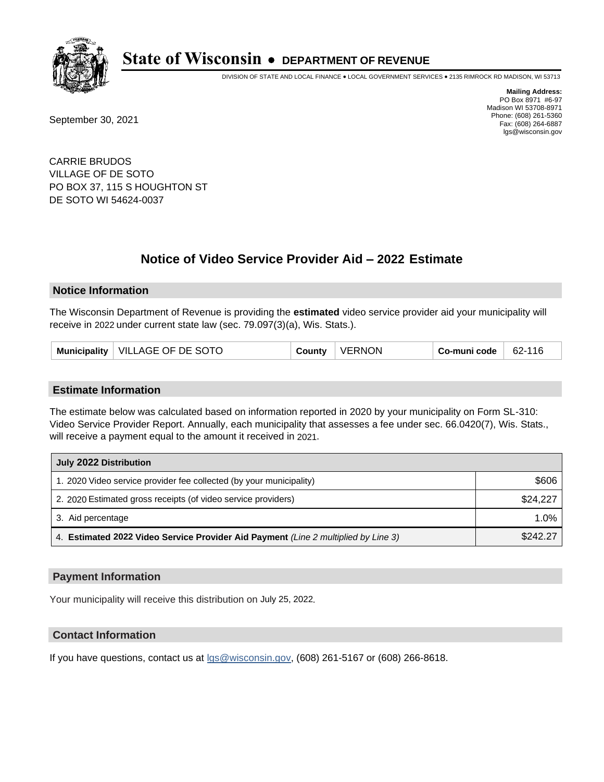

DIVISION OF STATE AND LOCAL FINANCE • LOCAL GOVERNMENT SERVICES • 2135 RIMROCK RD MADISON, WI 53713

September 30, 2021

**Mailing Address:** PO Box 8971 #6-97 Madison WI 53708-8971 Phone: (608) 261-5360 Fax: (608) 264-6887 lgs@wisconsin.gov

CARRIE BRUDOS VILLAGE OF DE SOTO PO BOX 37, 115 S HOUGHTON ST DE SOTO WI 54624-0037

# **Notice of Video Service Provider Aid - 2022 Estimate**

### **Notice Information**

The Wisconsin Department of Revenue is providing the **estimated** video service provider aid your municipality will receive in 2022 under current state law (sec. 79.097(3)(a), Wis. Stats.).

| <b>Municipality</b> | <b>VILLAGE OF DE SOTO</b> | County | <b>VERNON</b> | Co-muni code | 62-116 |
|---------------------|---------------------------|--------|---------------|--------------|--------|
|---------------------|---------------------------|--------|---------------|--------------|--------|

#### **Estimate Information**

The estimate below was calculated based on information reported in 2020 by your municipality on Form SL-310: Video Service Provider Report. Annually, each municipality that assesses a fee under sec. 66.0420(7), Wis. Stats., will receive a payment equal to the amount it received in 2021.

| July 2022 Distribution                                                             |          |  |  |
|------------------------------------------------------------------------------------|----------|--|--|
| 1. 2020 Video service provider fee collected (by your municipality)                | \$606    |  |  |
| 2. 2020 Estimated gross receipts (of video service providers)                      | \$24,227 |  |  |
| 3. Aid percentage                                                                  | 1.0%     |  |  |
| 4. Estimated 2022 Video Service Provider Aid Payment (Line 2 multiplied by Line 3) | \$242.27 |  |  |

#### **Payment Information**

Your municipality will receive this distribution on July 25, 2022.

## **Contact Information**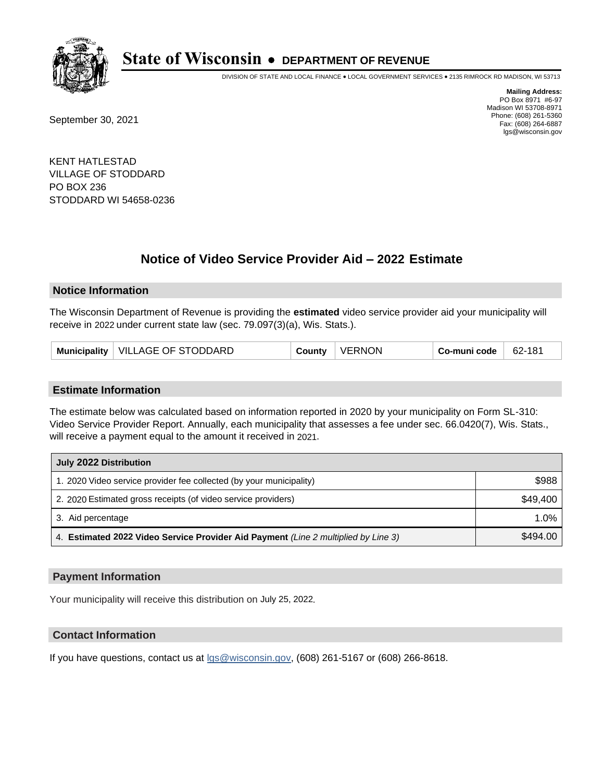

DIVISION OF STATE AND LOCAL FINANCE • LOCAL GOVERNMENT SERVICES • 2135 RIMROCK RD MADISON, WI 53713

September 30, 2021

**Mailing Address:** PO Box 8971 #6-97 Madison WI 53708-8971 Phone: (608) 261-5360 Fax: (608) 264-6887 lgs@wisconsin.gov

KENT HATLESTAD VILLAGE OF STODDARD PO BOX 236 STODDARD WI 54658-0236

# **Notice of Video Service Provider Aid - 2022 Estimate**

#### **Notice Information**

The Wisconsin Department of Revenue is providing the **estimated** video service provider aid your municipality will receive in 2022 under current state law (sec. 79.097(3)(a), Wis. Stats.).

| Municipality   VILLAGE OF STODDARD | County | <b>VERNON</b> | Co-muni code | 62-181 |
|------------------------------------|--------|---------------|--------------|--------|
|------------------------------------|--------|---------------|--------------|--------|

#### **Estimate Information**

The estimate below was calculated based on information reported in 2020 by your municipality on Form SL-310: Video Service Provider Report. Annually, each municipality that assesses a fee under sec. 66.0420(7), Wis. Stats., will receive a payment equal to the amount it received in 2021.

| July 2022 Distribution                                                             |          |  |  |
|------------------------------------------------------------------------------------|----------|--|--|
| 1. 2020 Video service provider fee collected (by your municipality)                | \$988    |  |  |
| 2. 2020 Estimated gross receipts (of video service providers)                      | \$49,400 |  |  |
| 3. Aid percentage                                                                  | $1.0\%$  |  |  |
| 4. Estimated 2022 Video Service Provider Aid Payment (Line 2 multiplied by Line 3) | \$494.00 |  |  |

#### **Payment Information**

Your municipality will receive this distribution on July 25, 2022.

## **Contact Information**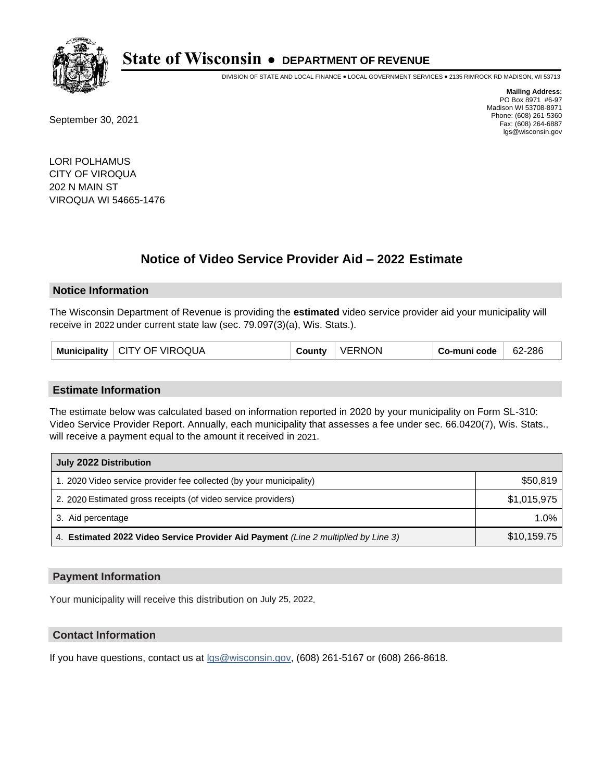

DIVISION OF STATE AND LOCAL FINANCE • LOCAL GOVERNMENT SERVICES • 2135 RIMROCK RD MADISON, WI 53713

September 30, 2021

**Mailing Address:** PO Box 8971 #6-97 Madison WI 53708-8971 Phone: (608) 261-5360 Fax: (608) 264-6887 lgs@wisconsin.gov

LORI POLHAMUS CITY OF VIROQUA 202 N MAIN ST VIROQUA WI 54665-1476

# **Notice of Video Service Provider Aid - 2022 Estimate**

#### **Notice Information**

The Wisconsin Department of Revenue is providing the **estimated** video service provider aid your municipality will receive in 2022 under current state law (sec. 79.097(3)(a), Wis. Stats.).

|  | Municipality   CITY OF VIROQUA | County | <b>VERNON</b> | Co-muni code | 62-286 |
|--|--------------------------------|--------|---------------|--------------|--------|
|--|--------------------------------|--------|---------------|--------------|--------|

#### **Estimate Information**

The estimate below was calculated based on information reported in 2020 by your municipality on Form SL-310: Video Service Provider Report. Annually, each municipality that assesses a fee under sec. 66.0420(7), Wis. Stats., will receive a payment equal to the amount it received in 2021.

| July 2022 Distribution                                                             |             |  |  |
|------------------------------------------------------------------------------------|-------------|--|--|
| 1. 2020 Video service provider fee collected (by your municipality)                | \$50,819    |  |  |
| 2. 2020 Estimated gross receipts (of video service providers)                      | \$1,015,975 |  |  |
| 3. Aid percentage                                                                  | 1.0%        |  |  |
| 4. Estimated 2022 Video Service Provider Aid Payment (Line 2 multiplied by Line 3) | \$10,159.75 |  |  |

#### **Payment Information**

Your municipality will receive this distribution on July 25, 2022.

## **Contact Information**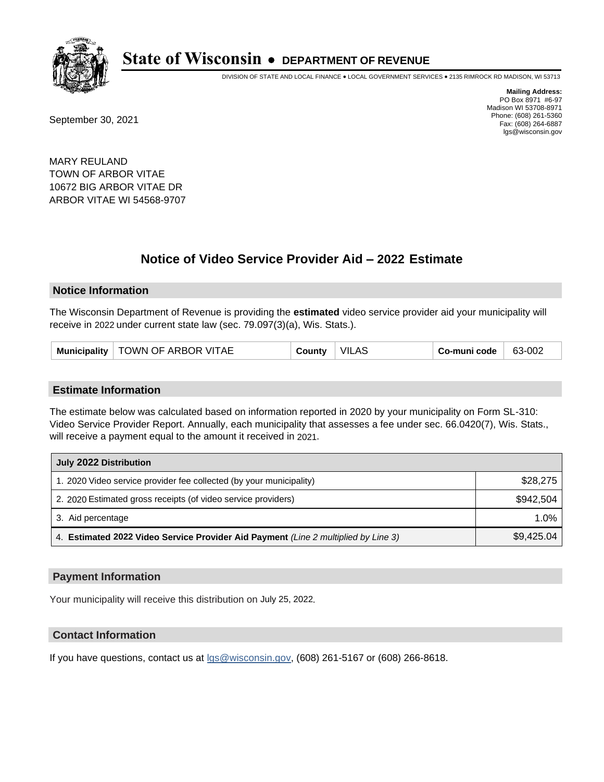

DIVISION OF STATE AND LOCAL FINANCE • LOCAL GOVERNMENT SERVICES • 2135 RIMROCK RD MADISON, WI 53713

September 30, 2021

**Mailing Address:** PO Box 8971 #6-97 Madison WI 53708-8971 Phone: (608) 261-5360 Fax: (608) 264-6887 lgs@wisconsin.gov

MARY REULAND TOWN OF ARBOR VITAE 10672 BIG ARBOR VITAE DR ARBOR VITAE WI 54568-9707

# **Notice of Video Service Provider Aid - 2022 Estimate**

#### **Notice Information**

The Wisconsin Department of Revenue is providing the **estimated** video service provider aid your municipality will receive in 2022 under current state law (sec. 79.097(3)(a), Wis. Stats.).

#### **Estimate Information**

The estimate below was calculated based on information reported in 2020 by your municipality on Form SL-310: Video Service Provider Report. Annually, each municipality that assesses a fee under sec. 66.0420(7), Wis. Stats., will receive a payment equal to the amount it received in 2021.

| July 2022 Distribution                                                             |            |  |  |
|------------------------------------------------------------------------------------|------------|--|--|
| 1. 2020 Video service provider fee collected (by your municipality)                | \$28,275   |  |  |
| 2. 2020 Estimated gross receipts (of video service providers)                      | \$942.504  |  |  |
| 3. Aid percentage                                                                  | 1.0%       |  |  |
| 4. Estimated 2022 Video Service Provider Aid Payment (Line 2 multiplied by Line 3) | \$9,425.04 |  |  |

#### **Payment Information**

Your municipality will receive this distribution on July 25, 2022.

## **Contact Information**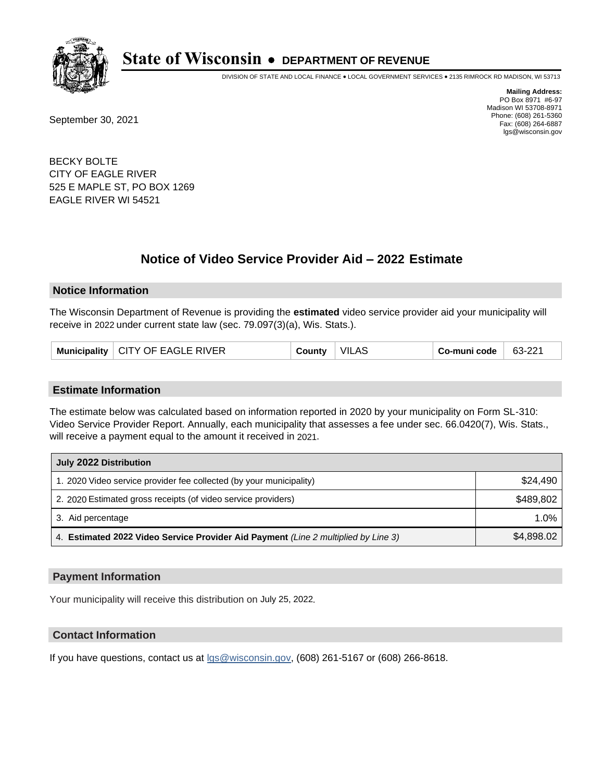

DIVISION OF STATE AND LOCAL FINANCE • LOCAL GOVERNMENT SERVICES • 2135 RIMROCK RD MADISON, WI 53713

September 30, 2021

**Mailing Address:** PO Box 8971 #6-97 Madison WI 53708-8971 Phone: (608) 261-5360 Fax: (608) 264-6887 lgs@wisconsin.gov

BECKY BOLTE CITY OF EAGLE RIVER 525 E MAPLE ST, PO BOX 1269 EAGLE RIVER WI 54521

# **Notice of Video Service Provider Aid - 2022 Estimate**

#### **Notice Information**

The Wisconsin Department of Revenue is providing the **estimated** video service provider aid your municipality will receive in 2022 under current state law (sec. 79.097(3)(a), Wis. Stats.).

| Municipality   CITY OF EAGLE RIVER | County | <b>VILAS</b> | Co-muni code | 63-221 |
|------------------------------------|--------|--------------|--------------|--------|
|------------------------------------|--------|--------------|--------------|--------|

#### **Estimate Information**

The estimate below was calculated based on information reported in 2020 by your municipality on Form SL-310: Video Service Provider Report. Annually, each municipality that assesses a fee under sec. 66.0420(7), Wis. Stats., will receive a payment equal to the amount it received in 2021.

| July 2022 Distribution                                                             |            |  |  |
|------------------------------------------------------------------------------------|------------|--|--|
| 1. 2020 Video service provider fee collected (by your municipality)                | \$24,490   |  |  |
| 2. 2020 Estimated gross receipts (of video service providers)                      | \$489,802  |  |  |
| 3. Aid percentage                                                                  | 1.0%       |  |  |
| 4. Estimated 2022 Video Service Provider Aid Payment (Line 2 multiplied by Line 3) | \$4,898.02 |  |  |

#### **Payment Information**

Your municipality will receive this distribution on July 25, 2022.

## **Contact Information**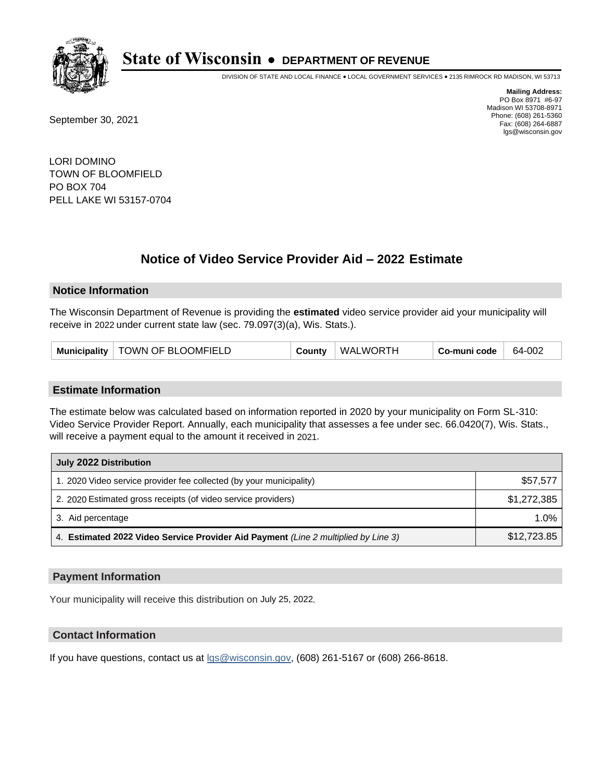

DIVISION OF STATE AND LOCAL FINANCE • LOCAL GOVERNMENT SERVICES • 2135 RIMROCK RD MADISON, WI 53713

September 30, 2021

**Mailing Address:** PO Box 8971 #6-97 Madison WI 53708-8971 Phone: (608) 261-5360 Fax: (608) 264-6887 lgs@wisconsin.gov

LORI DOMINO TOWN OF BLOOMFIELD PO BOX 704 PELL LAKE WI 53157-0704

# **Notice of Video Service Provider Aid - 2022 Estimate**

#### **Notice Information**

The Wisconsin Department of Revenue is providing the **estimated** video service provider aid your municipality will receive in 2022 under current state law (sec. 79.097(3)(a), Wis. Stats.).

| Municipality | TOWN OF BLOOMFIELD | County | WALWORTH | ่ Co-muni code | 64-002 |
|--------------|--------------------|--------|----------|----------------|--------|
|--------------|--------------------|--------|----------|----------------|--------|

#### **Estimate Information**

The estimate below was calculated based on information reported in 2020 by your municipality on Form SL-310: Video Service Provider Report. Annually, each municipality that assesses a fee under sec. 66.0420(7), Wis. Stats., will receive a payment equal to the amount it received in 2021.

| July 2022 Distribution                                                             |             |  |  |
|------------------------------------------------------------------------------------|-------------|--|--|
| 1. 2020 Video service provider fee collected (by your municipality)                | \$57,577    |  |  |
| 2. 2020 Estimated gross receipts (of video service providers)                      | \$1,272,385 |  |  |
| 3. Aid percentage                                                                  | 1.0%        |  |  |
| 4. Estimated 2022 Video Service Provider Aid Payment (Line 2 multiplied by Line 3) | \$12,723.85 |  |  |

#### **Payment Information**

Your municipality will receive this distribution on July 25, 2022.

## **Contact Information**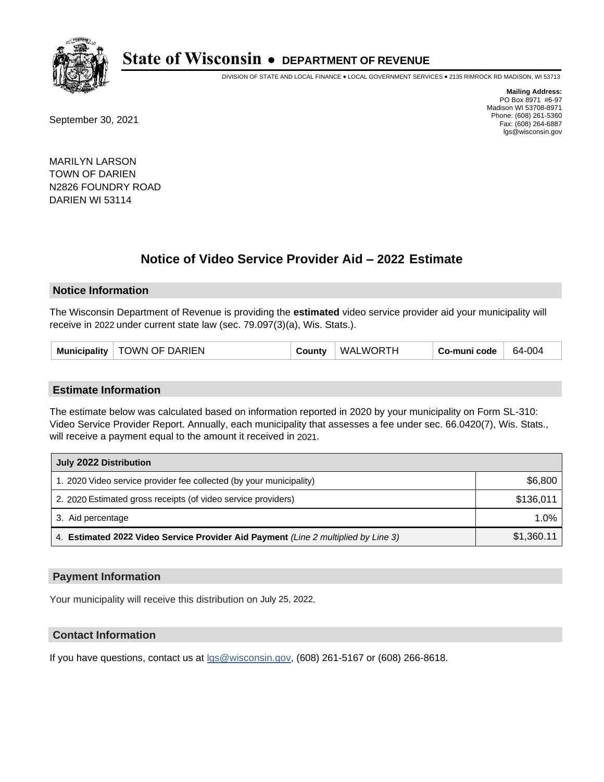

DIVISION OF STATE AND LOCAL FINANCE • LOCAL GOVERNMENT SERVICES • 2135 RIMROCK RD MADISON, WI 53713

September 30, 2021

**Mailing Address:** PO Box 8971 #6-97 Madison WI 53708-8971 Phone: (608) 261-5360 Fax: (608) 264-6887 lgs@wisconsin.gov

MARILYN LARSON TOWN OF DARIEN N2826 FOUNDRY ROAD DARIEN WI 53114

# **Notice of Video Service Provider Aid - 2022 Estimate**

#### **Notice Information**

The Wisconsin Department of Revenue is providing the **estimated** video service provider aid your municipality will receive in 2022 under current state law (sec. 79.097(3)(a), Wis. Stats.).

| Municipality   TOWN OF DARIEN | County | WALWORTH | Co-muni code | 64-004 |
|-------------------------------|--------|----------|--------------|--------|
|-------------------------------|--------|----------|--------------|--------|

#### **Estimate Information**

The estimate below was calculated based on information reported in 2020 by your municipality on Form SL-310: Video Service Provider Report. Annually, each municipality that assesses a fee under sec. 66.0420(7), Wis. Stats., will receive a payment equal to the amount it received in 2021.

| July 2022 Distribution                                                             |            |
|------------------------------------------------------------------------------------|------------|
| 1. 2020 Video service provider fee collected (by your municipality)                | \$6,800    |
| 2. 2020 Estimated gross receipts (of video service providers)                      | \$136.011  |
| 3. Aid percentage                                                                  | 1.0%       |
| 4. Estimated 2022 Video Service Provider Aid Payment (Line 2 multiplied by Line 3) | \$1,360.11 |

#### **Payment Information**

Your municipality will receive this distribution on July 25, 2022.

## **Contact Information**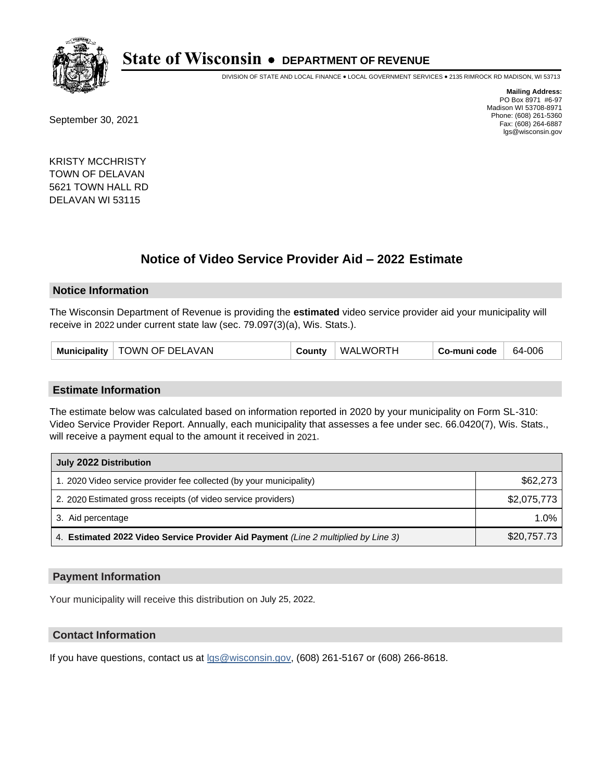

DIVISION OF STATE AND LOCAL FINANCE • LOCAL GOVERNMENT SERVICES • 2135 RIMROCK RD MADISON, WI 53713

September 30, 2021

**Mailing Address:** PO Box 8971 #6-97 Madison WI 53708-8971 Phone: (608) 261-5360 Fax: (608) 264-6887 lgs@wisconsin.gov

KRISTY MCCHRISTY TOWN OF DELAVAN 5621 TOWN HALL RD DELAVAN WI 53115

# **Notice of Video Service Provider Aid - 2022 Estimate**

#### **Notice Information**

The Wisconsin Department of Revenue is providing the **estimated** video service provider aid your municipality will receive in 2022 under current state law (sec. 79.097(3)(a), Wis. Stats.).

| Municipality   TOWN OF DELAVAN | WALWORTH<br>County | 64-006<br>Co-muni code |
|--------------------------------|--------------------|------------------------|
|--------------------------------|--------------------|------------------------|

#### **Estimate Information**

The estimate below was calculated based on information reported in 2020 by your municipality on Form SL-310: Video Service Provider Report. Annually, each municipality that assesses a fee under sec. 66.0420(7), Wis. Stats., will receive a payment equal to the amount it received in 2021.

| July 2022 Distribution                                                             |             |
|------------------------------------------------------------------------------------|-------------|
| 1. 2020 Video service provider fee collected (by your municipality)                | \$62,273    |
| 2. 2020 Estimated gross receipts (of video service providers)                      | \$2,075,773 |
| 3. Aid percentage                                                                  | 1.0%        |
| 4. Estimated 2022 Video Service Provider Aid Payment (Line 2 multiplied by Line 3) | \$20,757.73 |

#### **Payment Information**

Your municipality will receive this distribution on July 25, 2022.

## **Contact Information**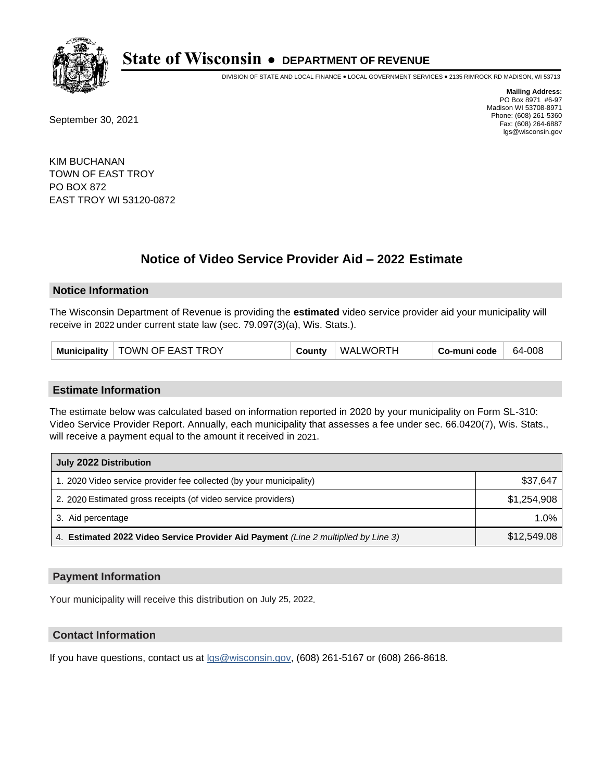

DIVISION OF STATE AND LOCAL FINANCE • LOCAL GOVERNMENT SERVICES • 2135 RIMROCK RD MADISON, WI 53713

September 30, 2021

**Mailing Address:** PO Box 8971 #6-97 Madison WI 53708-8971 Phone: (608) 261-5360 Fax: (608) 264-6887 lgs@wisconsin.gov

KIM BUCHANAN TOWN OF EAST TROY PO BOX 872 EAST TROY WI 53120-0872

# **Notice of Video Service Provider Aid - 2022 Estimate**

### **Notice Information**

The Wisconsin Department of Revenue is providing the **estimated** video service provider aid your municipality will receive in 2022 under current state law (sec. 79.097(3)(a), Wis. Stats.).

| Municipality   TOWN OF EAST TROY<br>County | WALWORTH | Co-muni code | 64-008 |
|--------------------------------------------|----------|--------------|--------|
|--------------------------------------------|----------|--------------|--------|

#### **Estimate Information**

The estimate below was calculated based on information reported in 2020 by your municipality on Form SL-310: Video Service Provider Report. Annually, each municipality that assesses a fee under sec. 66.0420(7), Wis. Stats., will receive a payment equal to the amount it received in 2021.

| July 2022 Distribution                                                             |             |
|------------------------------------------------------------------------------------|-------------|
| 1. 2020 Video service provider fee collected (by your municipality)                | \$37,647    |
| 2. 2020 Estimated gross receipts (of video service providers)                      | \$1.254.908 |
| 3. Aid percentage                                                                  | $1.0\%$     |
| 4. Estimated 2022 Video Service Provider Aid Payment (Line 2 multiplied by Line 3) | \$12,549.08 |

#### **Payment Information**

Your municipality will receive this distribution on July 25, 2022.

## **Contact Information**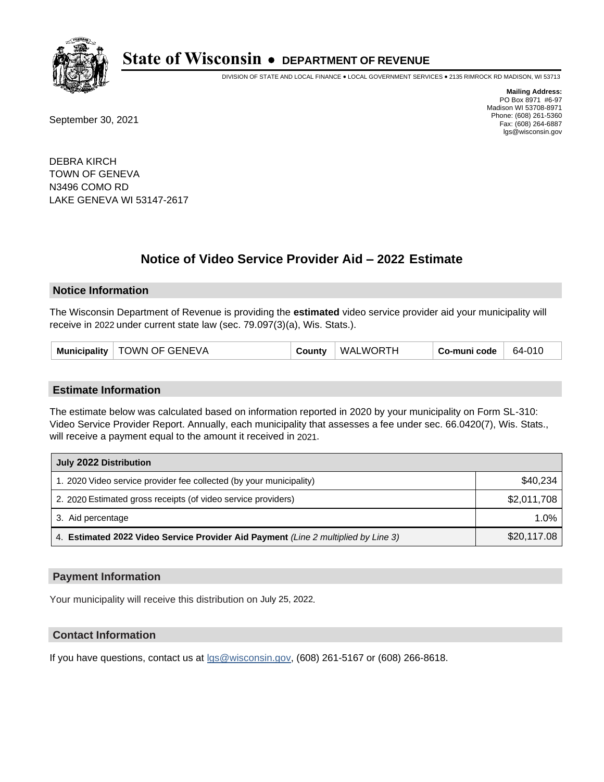

DIVISION OF STATE AND LOCAL FINANCE • LOCAL GOVERNMENT SERVICES • 2135 RIMROCK RD MADISON, WI 53713

September 30, 2021

**Mailing Address:** PO Box 8971 #6-97 Madison WI 53708-8971 Phone: (608) 261-5360 Fax: (608) 264-6887 lgs@wisconsin.gov

DEBRA KIRCH TOWN OF GENEVA N3496 COMO RD LAKE GENEVA WI 53147-2617

# **Notice of Video Service Provider Aid - 2022 Estimate**

#### **Notice Information**

The Wisconsin Department of Revenue is providing the **estimated** video service provider aid your municipality will receive in 2022 under current state law (sec. 79.097(3)(a), Wis. Stats.).

| Municipality   TOWN OF GENEVA<br>County | WALWORTH | ∣ Co-muni code <sup>∣</sup> | 64-010 |
|-----------------------------------------|----------|-----------------------------|--------|
|-----------------------------------------|----------|-----------------------------|--------|

#### **Estimate Information**

The estimate below was calculated based on information reported in 2020 by your municipality on Form SL-310: Video Service Provider Report. Annually, each municipality that assesses a fee under sec. 66.0420(7), Wis. Stats., will receive a payment equal to the amount it received in 2021.

| July 2022 Distribution                                                             |             |
|------------------------------------------------------------------------------------|-------------|
| 1. 2020 Video service provider fee collected (by your municipality)                | \$40,234    |
| 2. 2020 Estimated gross receipts (of video service providers)                      | \$2,011,708 |
| 3. Aid percentage                                                                  | $1.0\%$     |
| 4. Estimated 2022 Video Service Provider Aid Payment (Line 2 multiplied by Line 3) | \$20,117.08 |

#### **Payment Information**

Your municipality will receive this distribution on July 25, 2022.

## **Contact Information**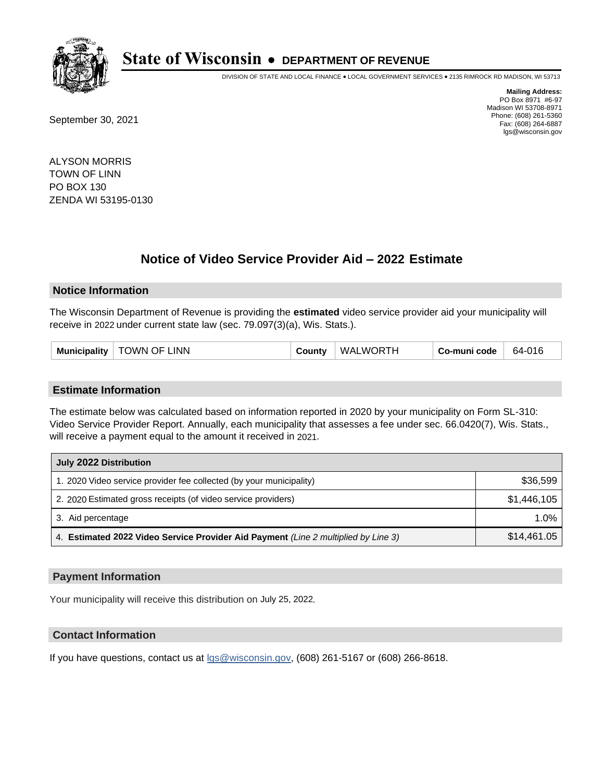

DIVISION OF STATE AND LOCAL FINANCE • LOCAL GOVERNMENT SERVICES • 2135 RIMROCK RD MADISON, WI 53713

September 30, 2021

**Mailing Address:** PO Box 8971 #6-97 Madison WI 53708-8971 Phone: (608) 261-5360 Fax: (608) 264-6887 lgs@wisconsin.gov

ALYSON MORRIS TOWN OF LINN PO BOX 130 ZENDA WI 53195-0130

# **Notice of Video Service Provider Aid - 2022 Estimate**

#### **Notice Information**

The Wisconsin Department of Revenue is providing the **estimated** video service provider aid your municipality will receive in 2022 under current state law (sec. 79.097(3)(a), Wis. Stats.).

#### **Estimate Information**

The estimate below was calculated based on information reported in 2020 by your municipality on Form SL-310: Video Service Provider Report. Annually, each municipality that assesses a fee under sec. 66.0420(7), Wis. Stats., will receive a payment equal to the amount it received in 2021.

| July 2022 Distribution                                                             |             |
|------------------------------------------------------------------------------------|-------------|
| 1. 2020 Video service provider fee collected (by your municipality)                | \$36,599    |
| 2. 2020 Estimated gross receipts (of video service providers)                      | \$1,446,105 |
| 3. Aid percentage                                                                  | 1.0%        |
| 4. Estimated 2022 Video Service Provider Aid Payment (Line 2 multiplied by Line 3) | \$14,461.05 |

#### **Payment Information**

Your municipality will receive this distribution on July 25, 2022.

## **Contact Information**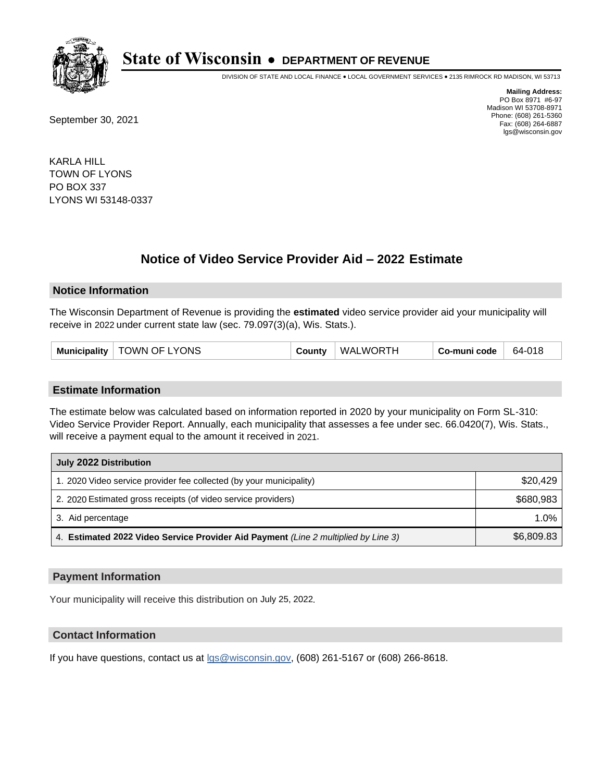

DIVISION OF STATE AND LOCAL FINANCE • LOCAL GOVERNMENT SERVICES • 2135 RIMROCK RD MADISON, WI 53713

September 30, 2021

**Mailing Address:** PO Box 8971 #6-97 Madison WI 53708-8971 Phone: (608) 261-5360 Fax: (608) 264-6887 lgs@wisconsin.gov

KARLA HILL TOWN OF LYONS PO BOX 337 LYONS WI 53148-0337

# **Notice of Video Service Provider Aid - 2022 Estimate**

#### **Notice Information**

The Wisconsin Department of Revenue is providing the **estimated** video service provider aid your municipality will receive in 2022 under current state law (sec. 79.097(3)(a), Wis. Stats.).

| Municipality   TOWN OF LYONS | County | WALWORTH | . Co-muni code | 64-018 |
|------------------------------|--------|----------|----------------|--------|
|------------------------------|--------|----------|----------------|--------|

#### **Estimate Information**

The estimate below was calculated based on information reported in 2020 by your municipality on Form SL-310: Video Service Provider Report. Annually, each municipality that assesses a fee under sec. 66.0420(7), Wis. Stats., will receive a payment equal to the amount it received in 2021.

| July 2022 Distribution                                                             |            |
|------------------------------------------------------------------------------------|------------|
| 1. 2020 Video service provider fee collected (by your municipality)                | \$20,429   |
| 2. 2020 Estimated gross receipts (of video service providers)                      | \$680.983  |
| 3. Aid percentage                                                                  | $1.0\%$    |
| 4. Estimated 2022 Video Service Provider Aid Payment (Line 2 multiplied by Line 3) | \$6,809.83 |

#### **Payment Information**

Your municipality will receive this distribution on July 25, 2022.

## **Contact Information**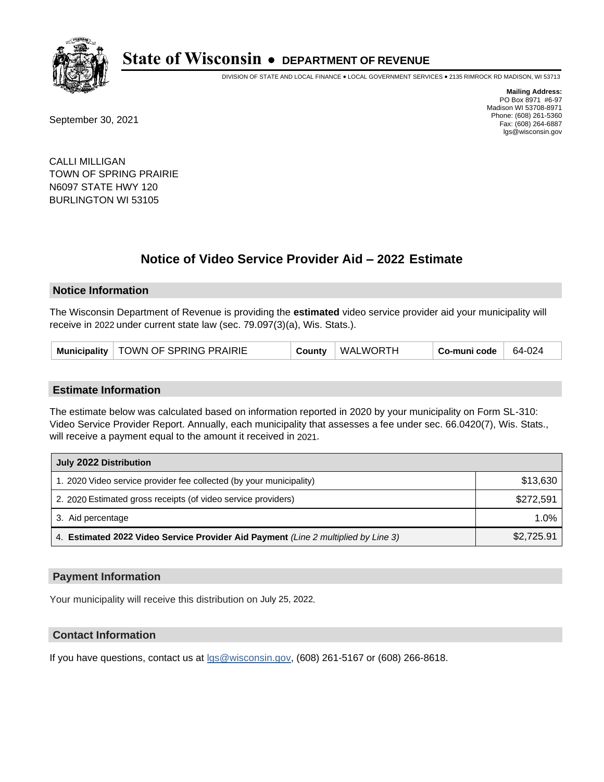

DIVISION OF STATE AND LOCAL FINANCE • LOCAL GOVERNMENT SERVICES • 2135 RIMROCK RD MADISON, WI 53713

September 30, 2021

**Mailing Address:** PO Box 8971 #6-97 Madison WI 53708-8971 Phone: (608) 261-5360 Fax: (608) 264-6887 lgs@wisconsin.gov

CALLI MILLIGAN TOWN OF SPRING PRAIRIE N6097 STATE HWY 120 BURLINGTON WI 53105

# **Notice of Video Service Provider Aid - 2022 Estimate**

#### **Notice Information**

The Wisconsin Department of Revenue is providing the **estimated** video service provider aid your municipality will receive in 2022 under current state law (sec. 79.097(3)(a), Wis. Stats.).

#### **Estimate Information**

The estimate below was calculated based on information reported in 2020 by your municipality on Form SL-310: Video Service Provider Report. Annually, each municipality that assesses a fee under sec. 66.0420(7), Wis. Stats., will receive a payment equal to the amount it received in 2021.

| July 2022 Distribution                                                             |            |  |  |
|------------------------------------------------------------------------------------|------------|--|--|
| 1. 2020 Video service provider fee collected (by your municipality)                | \$13,630   |  |  |
| 2. 2020 Estimated gross receipts (of video service providers)                      | \$272,591  |  |  |
| 3. Aid percentage                                                                  | $1.0\%$    |  |  |
| 4. Estimated 2022 Video Service Provider Aid Payment (Line 2 multiplied by Line 3) | \$2,725.91 |  |  |

#### **Payment Information**

Your municipality will receive this distribution on July 25, 2022.

## **Contact Information**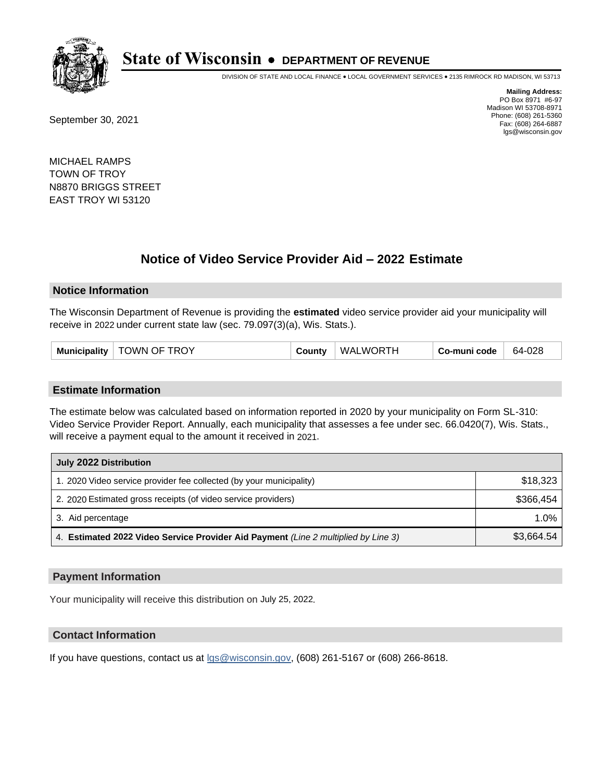

DIVISION OF STATE AND LOCAL FINANCE • LOCAL GOVERNMENT SERVICES • 2135 RIMROCK RD MADISON, WI 53713

September 30, 2021

**Mailing Address:** PO Box 8971 #6-97 Madison WI 53708-8971 Phone: (608) 261-5360 Fax: (608) 264-6887 lgs@wisconsin.gov

MICHAEL RAMPS TOWN OF TROY N8870 BRIGGS STREET EAST TROY WI 53120

# **Notice of Video Service Provider Aid - 2022 Estimate**

#### **Notice Information**

The Wisconsin Department of Revenue is providing the **estimated** video service provider aid your municipality will receive in 2022 under current state law (sec. 79.097(3)(a), Wis. Stats.).

#### **Estimate Information**

The estimate below was calculated based on information reported in 2020 by your municipality on Form SL-310: Video Service Provider Report. Annually, each municipality that assesses a fee under sec. 66.0420(7), Wis. Stats., will receive a payment equal to the amount it received in 2021.

| July 2022 Distribution                                                             |            |
|------------------------------------------------------------------------------------|------------|
| 1. 2020 Video service provider fee collected (by your municipality)                | \$18,323   |
| 2. 2020 Estimated gross receipts (of video service providers)                      | \$366.454  |
| 3. Aid percentage                                                                  | $1.0\%$    |
| 4. Estimated 2022 Video Service Provider Aid Payment (Line 2 multiplied by Line 3) | \$3,664.54 |

#### **Payment Information**

Your municipality will receive this distribution on July 25, 2022.

## **Contact Information**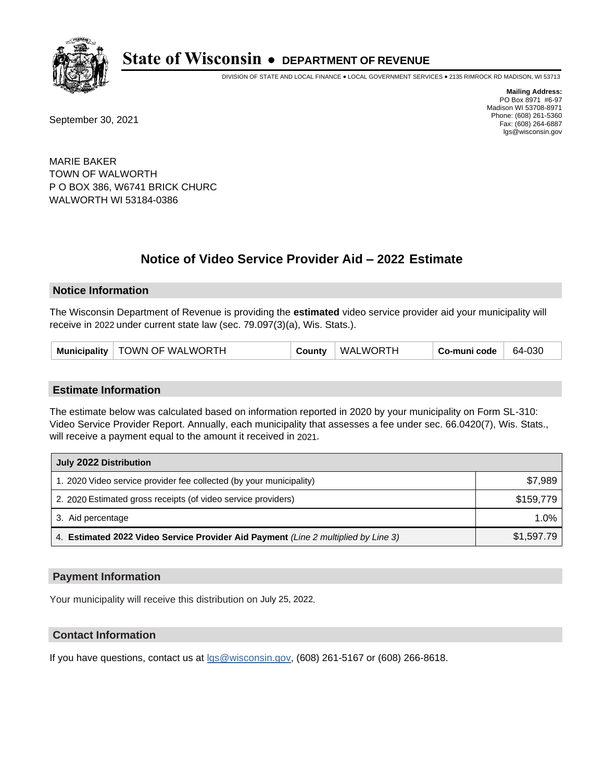

DIVISION OF STATE AND LOCAL FINANCE • LOCAL GOVERNMENT SERVICES • 2135 RIMROCK RD MADISON, WI 53713

September 30, 2021

**Mailing Address:** PO Box 8971 #6-97 Madison WI 53708-8971 Phone: (608) 261-5360 Fax: (608) 264-6887 lgs@wisconsin.gov

MARIE BAKER TOWN OF WALWORTH P O BOX 386, W6741 BRICK CHURC WALWORTH WI 53184-0386

# **Notice of Video Service Provider Aid - 2022 Estimate**

#### **Notice Information**

The Wisconsin Department of Revenue is providing the **estimated** video service provider aid your municipality will receive in 2022 under current state law (sec. 79.097(3)(a), Wis. Stats.).

| Municipality   TOWN OF WALWORTH | County | WALWORTH | Co-muni code | 64-030 |
|---------------------------------|--------|----------|--------------|--------|
|---------------------------------|--------|----------|--------------|--------|

#### **Estimate Information**

The estimate below was calculated based on information reported in 2020 by your municipality on Form SL-310: Video Service Provider Report. Annually, each municipality that assesses a fee under sec. 66.0420(7), Wis. Stats., will receive a payment equal to the amount it received in 2021.

| July 2022 Distribution                                                             |            |
|------------------------------------------------------------------------------------|------------|
| 1. 2020 Video service provider fee collected (by your municipality)                | \$7.989    |
| 2. 2020 Estimated gross receipts (of video service providers)                      | \$159.779  |
| 3. Aid percentage                                                                  | $1.0\%$    |
| 4. Estimated 2022 Video Service Provider Aid Payment (Line 2 multiplied by Line 3) | \$1,597.79 |

#### **Payment Information**

Your municipality will receive this distribution on July 25, 2022.

## **Contact Information**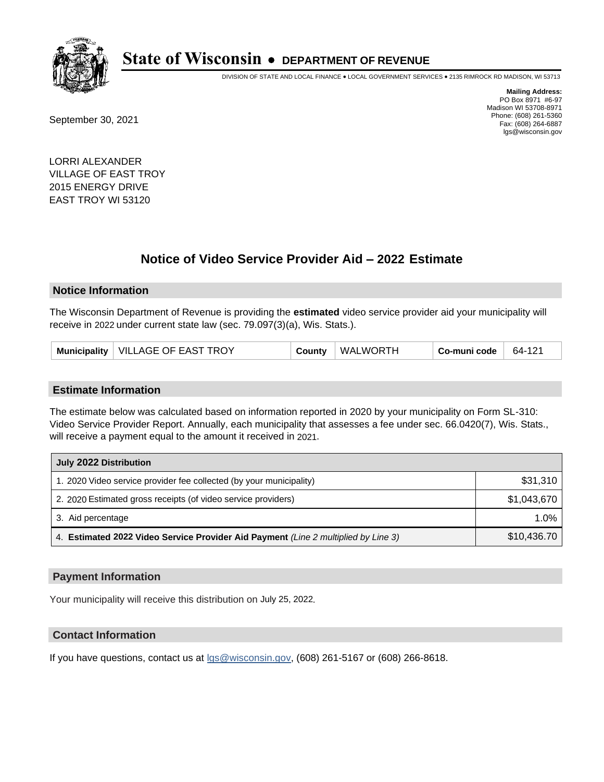

DIVISION OF STATE AND LOCAL FINANCE • LOCAL GOVERNMENT SERVICES • 2135 RIMROCK RD MADISON, WI 53713

September 30, 2021

**Mailing Address:** PO Box 8971 #6-97 Madison WI 53708-8971 Phone: (608) 261-5360 Fax: (608) 264-6887 lgs@wisconsin.gov

LORRI ALEXANDER VILLAGE OF EAST TROY 2015 ENERGY DRIVE EAST TROY WI 53120

# **Notice of Video Service Provider Aid - 2022 Estimate**

#### **Notice Information**

The Wisconsin Department of Revenue is providing the **estimated** video service provider aid your municipality will receive in 2022 under current state law (sec. 79.097(3)(a), Wis. Stats.).

| WALWORTH<br>Municipality   VILLAGE OF EAST TROY<br>County | Co-muni code<br>64-121 |
|-----------------------------------------------------------|------------------------|
|-----------------------------------------------------------|------------------------|

#### **Estimate Information**

The estimate below was calculated based on information reported in 2020 by your municipality on Form SL-310: Video Service Provider Report. Annually, each municipality that assesses a fee under sec. 66.0420(7), Wis. Stats., will receive a payment equal to the amount it received in 2021.

| July 2022 Distribution                                                             |             |
|------------------------------------------------------------------------------------|-------------|
| 1. 2020 Video service provider fee collected (by your municipality)                | \$31,310    |
| 2. 2020 Estimated gross receipts (of video service providers)                      | \$1,043,670 |
| 3. Aid percentage                                                                  | 1.0%        |
| 4. Estimated 2022 Video Service Provider Aid Payment (Line 2 multiplied by Line 3) | \$10,436.70 |

### **Payment Information**

Your municipality will receive this distribution on July 25, 2022.

## **Contact Information**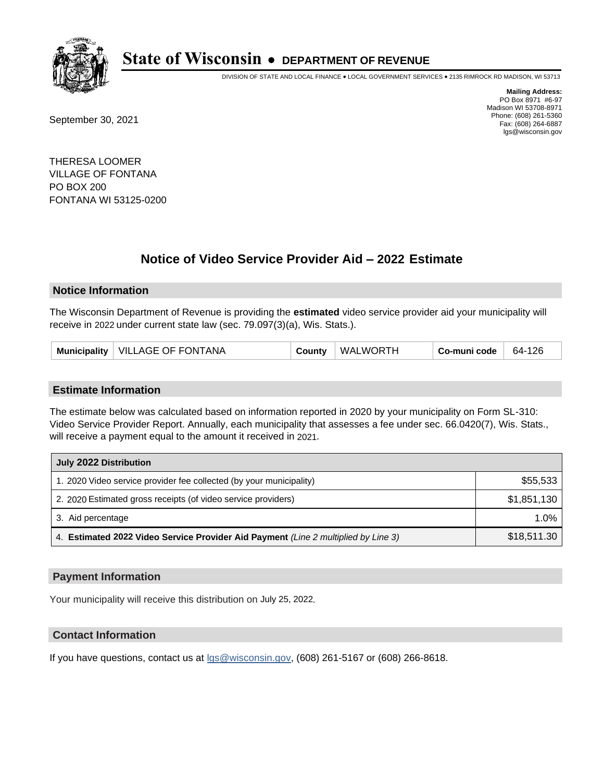

DIVISION OF STATE AND LOCAL FINANCE • LOCAL GOVERNMENT SERVICES • 2135 RIMROCK RD MADISON, WI 53713

September 30, 2021

**Mailing Address:** PO Box 8971 #6-97 Madison WI 53708-8971 Phone: (608) 261-5360 Fax: (608) 264-6887 lgs@wisconsin.gov

THERESA LOOMER VILLAGE OF FONTANA PO BOX 200 FONTANA WI 53125-0200

# **Notice of Video Service Provider Aid - 2022 Estimate**

#### **Notice Information**

The Wisconsin Department of Revenue is providing the **estimated** video service provider aid your municipality will receive in 2022 under current state law (sec. 79.097(3)(a), Wis. Stats.).

| Municipality   VILLAGE OF FONTANA | County | WALWORTH | Co-muni code | 64-126 |
|-----------------------------------|--------|----------|--------------|--------|
|-----------------------------------|--------|----------|--------------|--------|

#### **Estimate Information**

The estimate below was calculated based on information reported in 2020 by your municipality on Form SL-310: Video Service Provider Report. Annually, each municipality that assesses a fee under sec. 66.0420(7), Wis. Stats., will receive a payment equal to the amount it received in 2021.

| July 2022 Distribution                                                             |             |
|------------------------------------------------------------------------------------|-------------|
| 1. 2020 Video service provider fee collected (by your municipality)                | \$55,533    |
| 2. 2020 Estimated gross receipts (of video service providers)                      | \$1,851,130 |
| 3. Aid percentage                                                                  | 1.0%        |
| 4. Estimated 2022 Video Service Provider Aid Payment (Line 2 multiplied by Line 3) | \$18,511.30 |

#### **Payment Information**

Your municipality will receive this distribution on July 25, 2022.

## **Contact Information**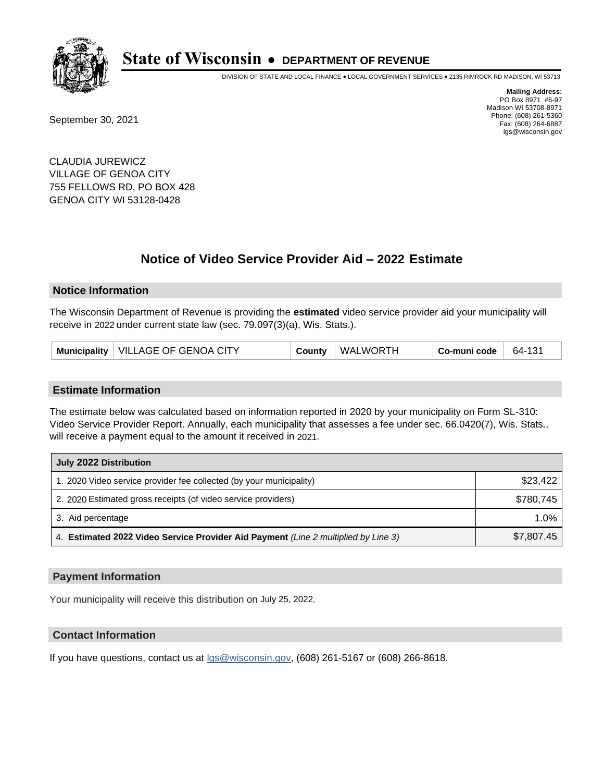

DIVISION OF STATE AND LOCAL FINANCE • LOCAL GOVERNMENT SERVICES • 2135 RIMROCK RD MADISON, WI 53713

September 30, 2021

**Mailing Address:** PO Box 8971 #6-97 Madison WI 53708-8971 Phone: (608) 261-5360 Fax: (608) 264-6887 lgs@wisconsin.gov

CLAUDIA JUREWICZ VILLAGE OF GENOA CITY 755 FELLOWS RD, PO BOX 428 GENOA CITY WI 53128-0428

# **Notice of Video Service Provider Aid - 2022 Estimate**

#### **Notice Information**

The Wisconsin Department of Revenue is providing the **estimated** video service provider aid your municipality will receive in 2022 under current state law (sec. 79.097(3)(a), Wis. Stats.).

| WALWORTH<br>Municipality   VILLAGE OF GENOA CITY<br>Co-muni code<br>County | 64-131 |
|----------------------------------------------------------------------------|--------|
|----------------------------------------------------------------------------|--------|

#### **Estimate Information**

The estimate below was calculated based on information reported in 2020 by your municipality on Form SL-310: Video Service Provider Report. Annually, each municipality that assesses a fee under sec. 66.0420(7), Wis. Stats., will receive a payment equal to the amount it received in 2021.

| July 2022 Distribution                                                             |            |
|------------------------------------------------------------------------------------|------------|
| 1. 2020 Video service provider fee collected (by your municipality)                | \$23,422   |
| 2. 2020 Estimated gross receipts (of video service providers)                      | \$780.745  |
| 3. Aid percentage                                                                  | $1.0\%$    |
| 4. Estimated 2022 Video Service Provider Aid Payment (Line 2 multiplied by Line 3) | \$7,807.45 |

### **Payment Information**

Your municipality will receive this distribution on July 25, 2022.

## **Contact Information**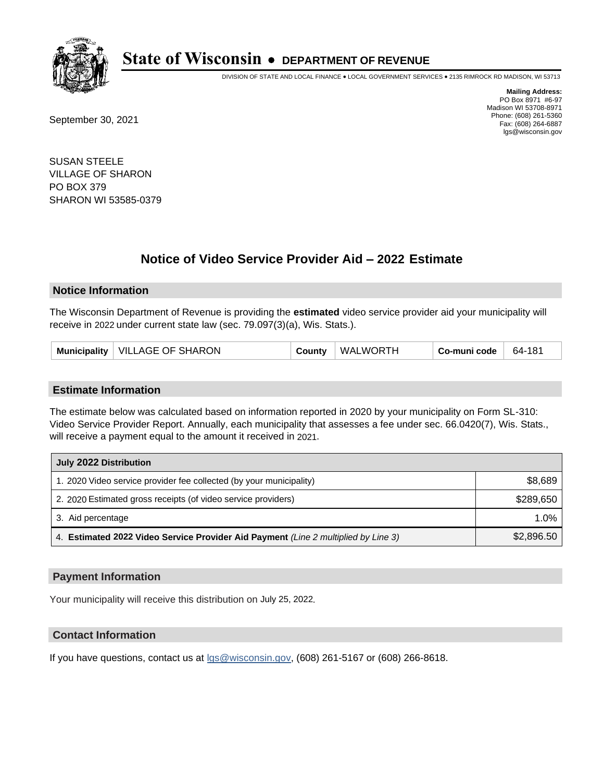

DIVISION OF STATE AND LOCAL FINANCE • LOCAL GOVERNMENT SERVICES • 2135 RIMROCK RD MADISON, WI 53713

September 30, 2021

**Mailing Address:** PO Box 8971 #6-97 Madison WI 53708-8971 Phone: (608) 261-5360 Fax: (608) 264-6887 lgs@wisconsin.gov

SUSAN STEELE VILLAGE OF SHARON PO BOX 379 SHARON WI 53585-0379

# **Notice of Video Service Provider Aid - 2022 Estimate**

#### **Notice Information**

The Wisconsin Department of Revenue is providing the **estimated** video service provider aid your municipality will receive in 2022 under current state law (sec. 79.097(3)(a), Wis. Stats.).

| Municipality   VILLAGE OF SHARON | County | WALWORTH | Co-muni code | 64-181 |
|----------------------------------|--------|----------|--------------|--------|
|----------------------------------|--------|----------|--------------|--------|

#### **Estimate Information**

The estimate below was calculated based on information reported in 2020 by your municipality on Form SL-310: Video Service Provider Report. Annually, each municipality that assesses a fee under sec. 66.0420(7), Wis. Stats., will receive a payment equal to the amount it received in 2021.

| July 2022 Distribution                                                             |            |  |  |  |
|------------------------------------------------------------------------------------|------------|--|--|--|
| 1. 2020 Video service provider fee collected (by your municipality)                | \$8,689    |  |  |  |
| 2. 2020 Estimated gross receipts (of video service providers)                      | \$289.650  |  |  |  |
| 3. Aid percentage                                                                  | $1.0\%$    |  |  |  |
| 4. Estimated 2022 Video Service Provider Aid Payment (Line 2 multiplied by Line 3) | \$2,896.50 |  |  |  |

#### **Payment Information**

Your municipality will receive this distribution on July 25, 2022.

## **Contact Information**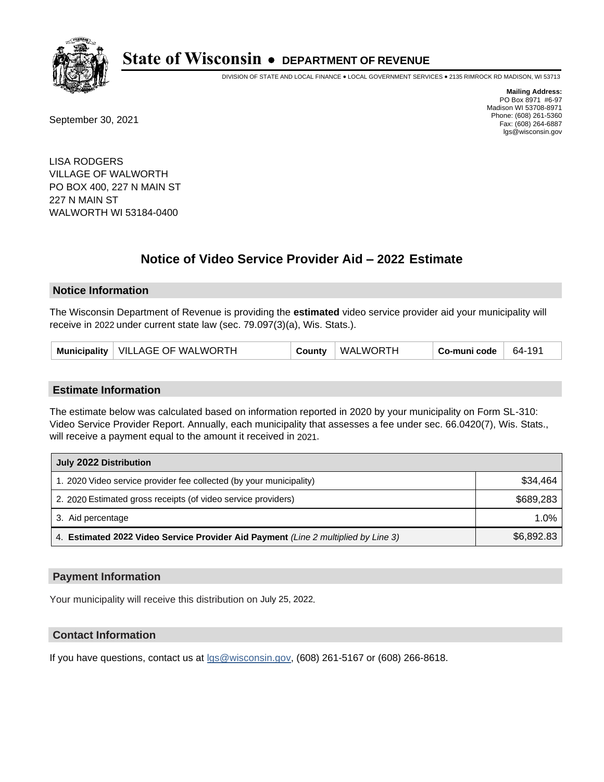

DIVISION OF STATE AND LOCAL FINANCE • LOCAL GOVERNMENT SERVICES • 2135 RIMROCK RD MADISON, WI 53713

September 30, 2021

**Mailing Address:** PO Box 8971 #6-97 Madison WI 53708-8971 Phone: (608) 261-5360 Fax: (608) 264-6887 lgs@wisconsin.gov

LISA RODGERS VILLAGE OF WALWORTH PO BOX 400, 227 N MAIN ST 227 N MAIN ST WALWORTH WI 53184-0400

# **Notice of Video Service Provider Aid - 2022 Estimate**

#### **Notice Information**

The Wisconsin Department of Revenue is providing the **estimated** video service provider aid your municipality will receive in 2022 under current state law (sec. 79.097(3)(a), Wis. Stats.).

| Municipality   VILLAGE OF WALWORTH<br>County | WALWORTH<br>Co-muni code | 64-191 |
|----------------------------------------------|--------------------------|--------|
|----------------------------------------------|--------------------------|--------|

#### **Estimate Information**

The estimate below was calculated based on information reported in 2020 by your municipality on Form SL-310: Video Service Provider Report. Annually, each municipality that assesses a fee under sec. 66.0420(7), Wis. Stats., will receive a payment equal to the amount it received in 2021.

| July 2022 Distribution                                                             |            |  |  |
|------------------------------------------------------------------------------------|------------|--|--|
| 1. 2020 Video service provider fee collected (by your municipality)                | \$34,464   |  |  |
| 2. 2020 Estimated gross receipts (of video service providers)                      | \$689.283  |  |  |
| 3. Aid percentage                                                                  | 1.0%       |  |  |
| 4. Estimated 2022 Video Service Provider Aid Payment (Line 2 multiplied by Line 3) | \$6,892.83 |  |  |

#### **Payment Information**

Your municipality will receive this distribution on July 25, 2022.

## **Contact Information**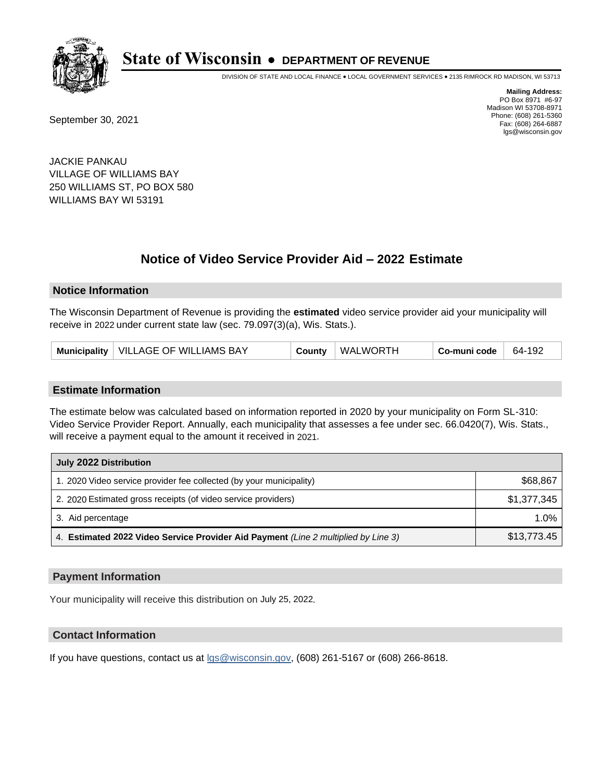

DIVISION OF STATE AND LOCAL FINANCE • LOCAL GOVERNMENT SERVICES • 2135 RIMROCK RD MADISON, WI 53713

September 30, 2021

**Mailing Address:** PO Box 8971 #6-97 Madison WI 53708-8971 Phone: (608) 261-5360 Fax: (608) 264-6887 lgs@wisconsin.gov

JACKIE PANKAU VILLAGE OF WILLIAMS BAY 250 WILLIAMS ST, PO BOX 580 WILLIAMS BAY WI 53191

# **Notice of Video Service Provider Aid - 2022 Estimate**

#### **Notice Information**

The Wisconsin Department of Revenue is providing the **estimated** video service provider aid your municipality will receive in 2022 under current state law (sec. 79.097(3)(a), Wis. Stats.).

| Municipality   VILLAGE OF WILLIAMS BAY | County | WALWORTH | Co-muni code | 64-192 |
|----------------------------------------|--------|----------|--------------|--------|
|----------------------------------------|--------|----------|--------------|--------|

#### **Estimate Information**

The estimate below was calculated based on information reported in 2020 by your municipality on Form SL-310: Video Service Provider Report. Annually, each municipality that assesses a fee under sec. 66.0420(7), Wis. Stats., will receive a payment equal to the amount it received in 2021.

| July 2022 Distribution                                                             |             |
|------------------------------------------------------------------------------------|-------------|
| 1. 2020 Video service provider fee collected (by your municipality)                | \$68,867    |
| 2. 2020 Estimated gross receipts (of video service providers)                      | \$1,377,345 |
| 3. Aid percentage                                                                  | $1.0\%$     |
| 4. Estimated 2022 Video Service Provider Aid Payment (Line 2 multiplied by Line 3) | \$13,773.45 |

#### **Payment Information**

Your municipality will receive this distribution on July 25, 2022.

## **Contact Information**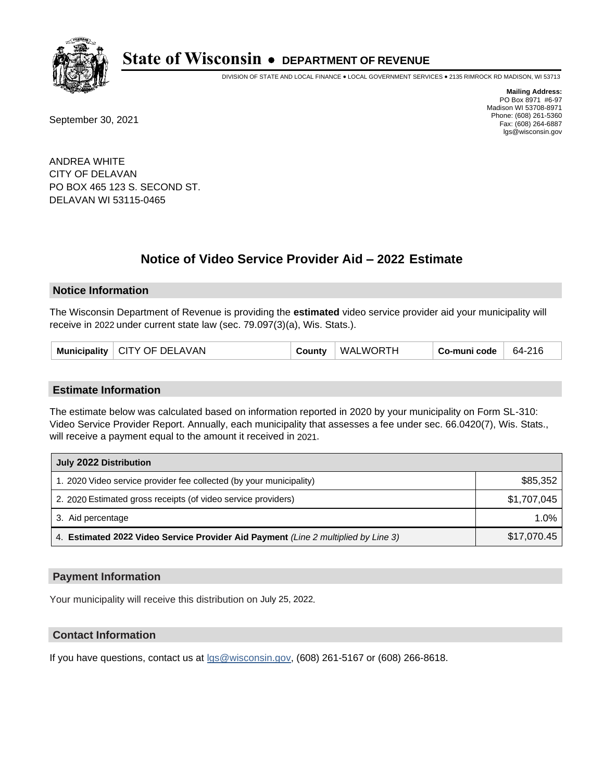

DIVISION OF STATE AND LOCAL FINANCE • LOCAL GOVERNMENT SERVICES • 2135 RIMROCK RD MADISON, WI 53713

September 30, 2021

**Mailing Address:** PO Box 8971 #6-97 Madison WI 53708-8971 Phone: (608) 261-5360 Fax: (608) 264-6887 lgs@wisconsin.gov

ANDREA WHITE CITY OF DELAVAN PO BOX 465 123 S. SECOND ST. DELAVAN WI 53115-0465

# **Notice of Video Service Provider Aid - 2022 Estimate**

#### **Notice Information**

The Wisconsin Department of Revenue is providing the **estimated** video service provider aid your municipality will receive in 2022 under current state law (sec. 79.097(3)(a), Wis. Stats.).

| Municipality   CITY OF DELAVAN | County | WALWORTH | Co-muni code | 64-216 |
|--------------------------------|--------|----------|--------------|--------|
|--------------------------------|--------|----------|--------------|--------|

#### **Estimate Information**

The estimate below was calculated based on information reported in 2020 by your municipality on Form SL-310: Video Service Provider Report. Annually, each municipality that assesses a fee under sec. 66.0420(7), Wis. Stats., will receive a payment equal to the amount it received in 2021.

| July 2022 Distribution                                                             |             |  |  |  |
|------------------------------------------------------------------------------------|-------------|--|--|--|
| 1. 2020 Video service provider fee collected (by your municipality)                | \$85,352    |  |  |  |
| 2. 2020 Estimated gross receipts (of video service providers)                      | \$1,707,045 |  |  |  |
| 3. Aid percentage                                                                  | $1.0\%$     |  |  |  |
| 4. Estimated 2022 Video Service Provider Aid Payment (Line 2 multiplied by Line 3) | \$17,070.45 |  |  |  |

#### **Payment Information**

Your municipality will receive this distribution on July 25, 2022.

## **Contact Information**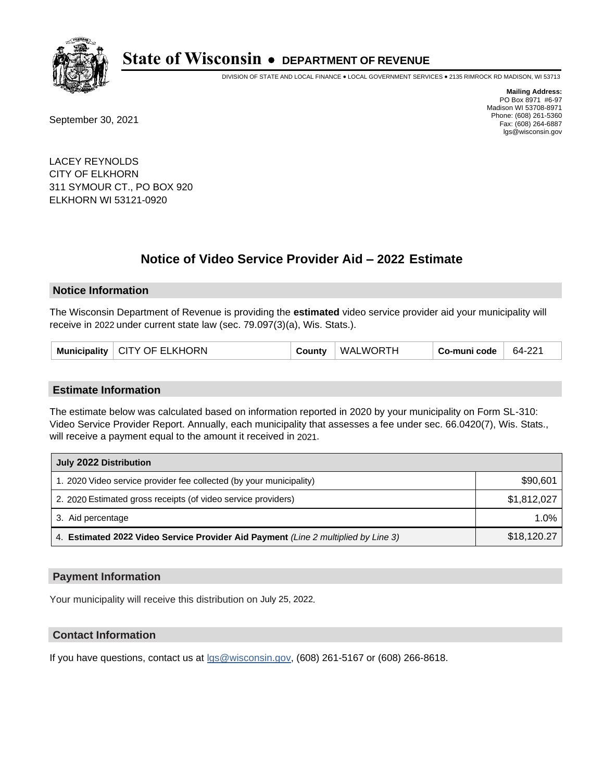

DIVISION OF STATE AND LOCAL FINANCE • LOCAL GOVERNMENT SERVICES • 2135 RIMROCK RD MADISON, WI 53713

September 30, 2021

**Mailing Address:** PO Box 8971 #6-97 Madison WI 53708-8971 Phone: (608) 261-5360 Fax: (608) 264-6887 lgs@wisconsin.gov

LACEY REYNOLDS CITY OF ELKHORN 311 SYMOUR CT., PO BOX 920 ELKHORN WI 53121-0920

# **Notice of Video Service Provider Aid - 2022 Estimate**

#### **Notice Information**

The Wisconsin Department of Revenue is providing the **estimated** video service provider aid your municipality will receive in 2022 under current state law (sec. 79.097(3)(a), Wis. Stats.).

| Municipality   CITY OF ELKHORN | County | WALWORTH | Co-muni code | 64-221 |
|--------------------------------|--------|----------|--------------|--------|
|--------------------------------|--------|----------|--------------|--------|

#### **Estimate Information**

The estimate below was calculated based on information reported in 2020 by your municipality on Form SL-310: Video Service Provider Report. Annually, each municipality that assesses a fee under sec. 66.0420(7), Wis. Stats., will receive a payment equal to the amount it received in 2021.

| July 2022 Distribution                                                             |             |
|------------------------------------------------------------------------------------|-------------|
| 1. 2020 Video service provider fee collected (by your municipality)                | \$90,601    |
| 2. 2020 Estimated gross receipts (of video service providers)                      | \$1,812,027 |
| 3. Aid percentage                                                                  | 1.0%        |
| 4. Estimated 2022 Video Service Provider Aid Payment (Line 2 multiplied by Line 3) | \$18,120.27 |

#### **Payment Information**

Your municipality will receive this distribution on July 25, 2022.

## **Contact Information**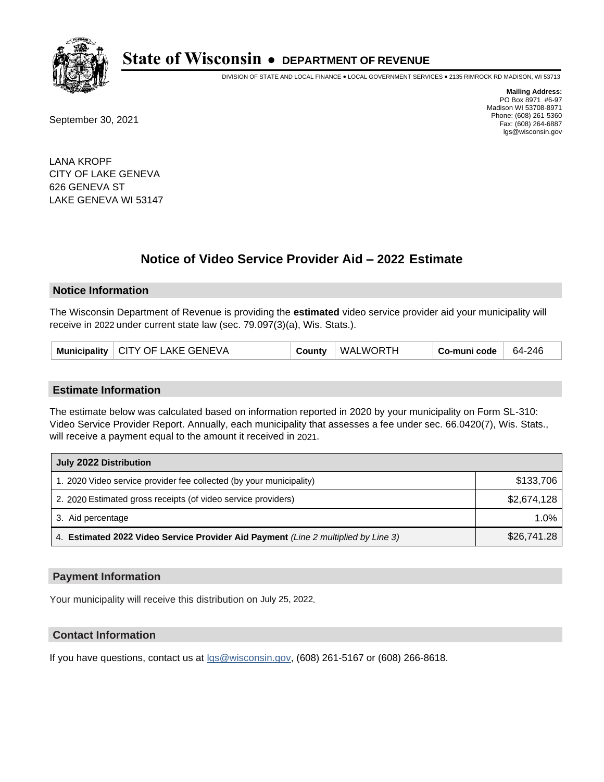

DIVISION OF STATE AND LOCAL FINANCE • LOCAL GOVERNMENT SERVICES • 2135 RIMROCK RD MADISON, WI 53713

September 30, 2021

**Mailing Address:** PO Box 8971 #6-97 Madison WI 53708-8971 Phone: (608) 261-5360 Fax: (608) 264-6887 lgs@wisconsin.gov

LANA KROPF CITY OF LAKE GENEVA 626 GENEVA ST LAKE GENEVA WI 53147

# **Notice of Video Service Provider Aid - 2022 Estimate**

#### **Notice Information**

The Wisconsin Department of Revenue is providing the **estimated** video service provider aid your municipality will receive in 2022 under current state law (sec. 79.097(3)(a), Wis. Stats.).

|  | Municipality   CITY OF LAKE GENEVA | County | WALWORTH | Co-muni code | 64-246 |
|--|------------------------------------|--------|----------|--------------|--------|
|--|------------------------------------|--------|----------|--------------|--------|

#### **Estimate Information**

The estimate below was calculated based on information reported in 2020 by your municipality on Form SL-310: Video Service Provider Report. Annually, each municipality that assesses a fee under sec. 66.0420(7), Wis. Stats., will receive a payment equal to the amount it received in 2021.

| July 2022 Distribution                                                             |             |
|------------------------------------------------------------------------------------|-------------|
| 1. 2020 Video service provider fee collected (by your municipality)                | \$133,706   |
| 2. 2020 Estimated gross receipts (of video service providers)                      | \$2,674,128 |
| 3. Aid percentage                                                                  | $1.0\%$     |
| 4. Estimated 2022 Video Service Provider Aid Payment (Line 2 multiplied by Line 3) | \$26,741.28 |

#### **Payment Information**

Your municipality will receive this distribution on July 25, 2022.

## **Contact Information**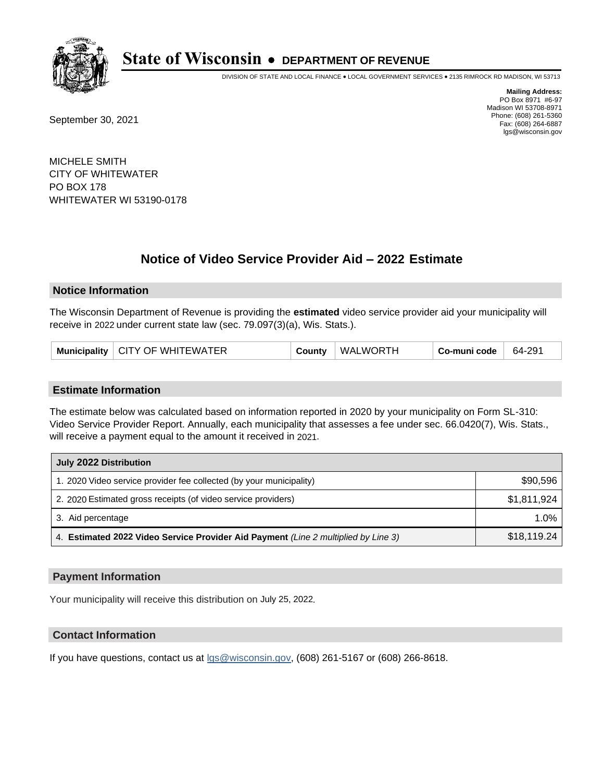

DIVISION OF STATE AND LOCAL FINANCE • LOCAL GOVERNMENT SERVICES • 2135 RIMROCK RD MADISON, WI 53713

September 30, 2021

**Mailing Address:** PO Box 8971 #6-97 Madison WI 53708-8971 Phone: (608) 261-5360 Fax: (608) 264-6887 lgs@wisconsin.gov

MICHELE SMITH CITY OF WHITEWATER PO BOX 178 WHITEWATER WI 53190-0178

# **Notice of Video Service Provider Aid - 2022 Estimate**

## **Notice Information**

The Wisconsin Department of Revenue is providing the **estimated** video service provider aid your municipality will receive in 2022 under current state law (sec. 79.097(3)(a), Wis. Stats.).

|  | Municipality   CITY OF WHITEWATER | County | WALWORTH | Co-muni code | 64-291 |
|--|-----------------------------------|--------|----------|--------------|--------|
|--|-----------------------------------|--------|----------|--------------|--------|

## **Estimate Information**

The estimate below was calculated based on information reported in 2020 by your municipality on Form SL-310: Video Service Provider Report. Annually, each municipality that assesses a fee under sec. 66.0420(7), Wis. Stats., will receive a payment equal to the amount it received in 2021.

| July 2022 Distribution                                                             |             |  |  |
|------------------------------------------------------------------------------------|-------------|--|--|
| 1. 2020 Video service provider fee collected (by your municipality)                | \$90,596    |  |  |
| 2. 2020 Estimated gross receipts (of video service providers)                      | \$1,811,924 |  |  |
| 3. Aid percentage                                                                  | 1.0%        |  |  |
| 4. Estimated 2022 Video Service Provider Aid Payment (Line 2 multiplied by Line 3) | \$18,119.24 |  |  |

## **Payment Information**

Your municipality will receive this distribution on July 25, 2022.

# **Contact Information**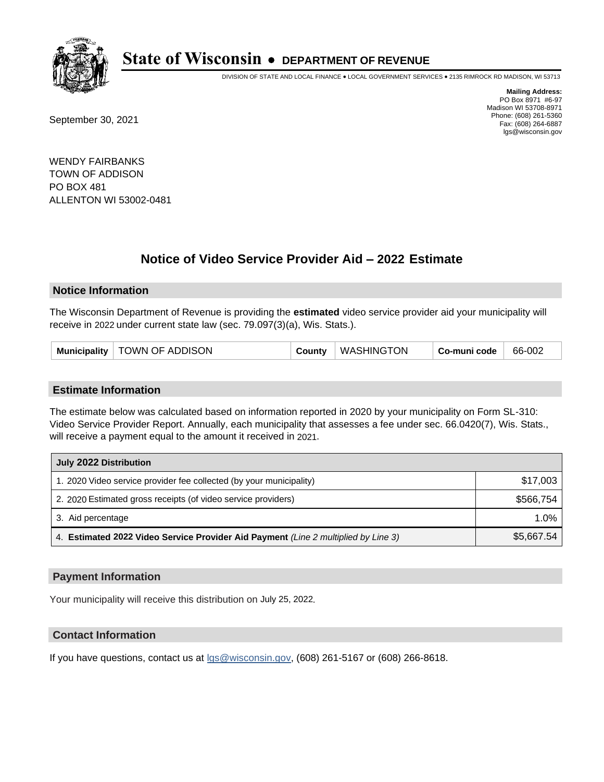

DIVISION OF STATE AND LOCAL FINANCE • LOCAL GOVERNMENT SERVICES • 2135 RIMROCK RD MADISON, WI 53713

September 30, 2021

**Mailing Address:** PO Box 8971 #6-97 Madison WI 53708-8971 Phone: (608) 261-5360 Fax: (608) 264-6887 lgs@wisconsin.gov

WENDY FAIRBANKS TOWN OF ADDISON PO BOX 481 ALLENTON WI 53002-0481

# **Notice of Video Service Provider Aid - 2022 Estimate**

## **Notice Information**

The Wisconsin Department of Revenue is providing the **estimated** video service provider aid your municipality will receive in 2022 under current state law (sec. 79.097(3)(a), Wis. Stats.).

| Municipality   TOWN OF ADDISON<br>County | <b>WASHINGTON</b> | Co-muni code | 66-002 |
|------------------------------------------|-------------------|--------------|--------|
|------------------------------------------|-------------------|--------------|--------|

## **Estimate Information**

The estimate below was calculated based on information reported in 2020 by your municipality on Form SL-310: Video Service Provider Report. Annually, each municipality that assesses a fee under sec. 66.0420(7), Wis. Stats., will receive a payment equal to the amount it received in 2021.

| July 2022 Distribution                                                             |            |  |  |
|------------------------------------------------------------------------------------|------------|--|--|
| 1. 2020 Video service provider fee collected (by your municipality)                | \$17,003   |  |  |
| 2. 2020 Estimated gross receipts (of video service providers)                      | \$566.754  |  |  |
| 3. Aid percentage                                                                  | $1.0\%$    |  |  |
| 4. Estimated 2022 Video Service Provider Aid Payment (Line 2 multiplied by Line 3) | \$5,667.54 |  |  |

## **Payment Information**

Your municipality will receive this distribution on July 25, 2022.

# **Contact Information**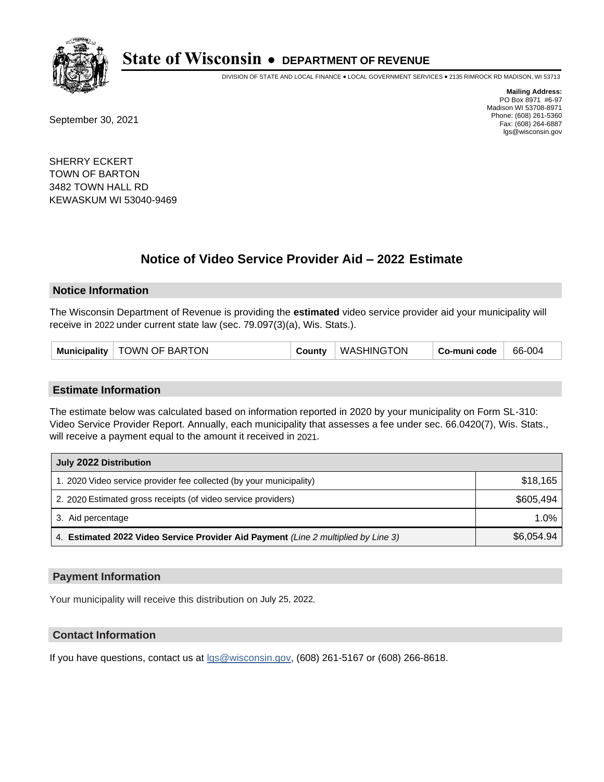

DIVISION OF STATE AND LOCAL FINANCE • LOCAL GOVERNMENT SERVICES • 2135 RIMROCK RD MADISON, WI 53713

September 30, 2021

**Mailing Address:** PO Box 8971 #6-97 Madison WI 53708-8971 Phone: (608) 261-5360 Fax: (608) 264-6887 lgs@wisconsin.gov

SHERRY ECKERT TOWN OF BARTON 3482 TOWN HALL RD KEWASKUM WI 53040-9469

# **Notice of Video Service Provider Aid - 2022 Estimate**

## **Notice Information**

The Wisconsin Department of Revenue is providing the **estimated** video service provider aid your municipality will receive in 2022 under current state law (sec. 79.097(3)(a), Wis. Stats.).

| Municipality   TOWN OF BARTON | County   WASHINGTON<br>Co-muni code<br>66-004 |
|-------------------------------|-----------------------------------------------|
|-------------------------------|-----------------------------------------------|

#### **Estimate Information**

The estimate below was calculated based on information reported in 2020 by your municipality on Form SL-310: Video Service Provider Report. Annually, each municipality that assesses a fee under sec. 66.0420(7), Wis. Stats., will receive a payment equal to the amount it received in 2021.

| July 2022 Distribution                                                             |            |  |  |
|------------------------------------------------------------------------------------|------------|--|--|
| 1. 2020 Video service provider fee collected (by your municipality)                | \$18,165   |  |  |
| 2. 2020 Estimated gross receipts (of video service providers)                      | \$605.494  |  |  |
| 3. Aid percentage                                                                  | $1.0\%$    |  |  |
| 4. Estimated 2022 Video Service Provider Aid Payment (Line 2 multiplied by Line 3) | \$6,054.94 |  |  |

## **Payment Information**

Your municipality will receive this distribution on July 25, 2022.

# **Contact Information**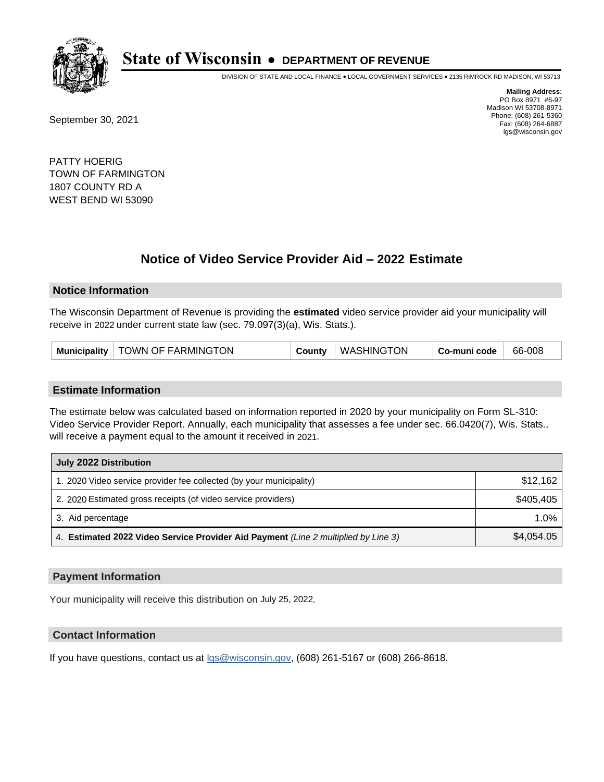

DIVISION OF STATE AND LOCAL FINANCE • LOCAL GOVERNMENT SERVICES • 2135 RIMROCK RD MADISON, WI 53713

September 30, 2021

**Mailing Address:** PO Box 8971 #6-97 Madison WI 53708-8971 Phone: (608) 261-5360 Fax: (608) 264-6887 lgs@wisconsin.gov

PATTY HOERIG TOWN OF FARMINGTON 1807 COUNTY RD A WEST BEND WI 53090

# **Notice of Video Service Provider Aid - 2022 Estimate**

## **Notice Information**

The Wisconsin Department of Revenue is providing the **estimated** video service provider aid your municipality will receive in 2022 under current state law (sec. 79.097(3)(a), Wis. Stats.).

| TOWN OF FARMINGTON<br>Municipality | County | <b>WASHINGTON</b> | Co-muni code | 66-008 |
|------------------------------------|--------|-------------------|--------------|--------|
|------------------------------------|--------|-------------------|--------------|--------|

## **Estimate Information**

The estimate below was calculated based on information reported in 2020 by your municipality on Form SL-310: Video Service Provider Report. Annually, each municipality that assesses a fee under sec. 66.0420(7), Wis. Stats., will receive a payment equal to the amount it received in 2021.

| July 2022 Distribution                                                             |            |  |  |
|------------------------------------------------------------------------------------|------------|--|--|
| 1. 2020 Video service provider fee collected (by your municipality)                | \$12,162   |  |  |
| 2. 2020 Estimated gross receipts (of video service providers)                      | \$405,405  |  |  |
| 3. Aid percentage                                                                  | 1.0%       |  |  |
| 4. Estimated 2022 Video Service Provider Aid Payment (Line 2 multiplied by Line 3) | \$4,054.05 |  |  |

## **Payment Information**

Your municipality will receive this distribution on July 25, 2022.

# **Contact Information**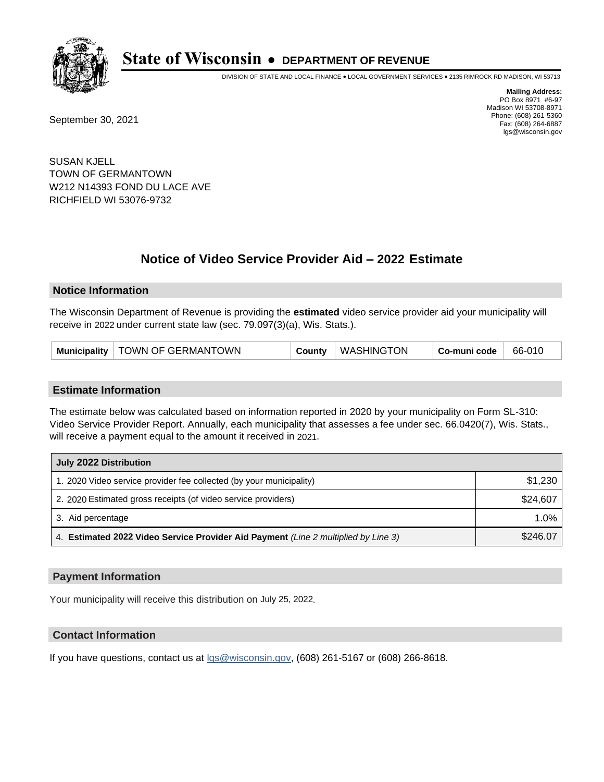

DIVISION OF STATE AND LOCAL FINANCE • LOCAL GOVERNMENT SERVICES • 2135 RIMROCK RD MADISON, WI 53713

September 30, 2021

**Mailing Address:** PO Box 8971 #6-97 Madison WI 53708-8971 Phone: (608) 261-5360 Fax: (608) 264-6887 lgs@wisconsin.gov

SUSAN KJELL TOWN OF GERMANTOWN W212 N14393 FOND DU LACE AVE RICHFIELD WI 53076-9732

# **Notice of Video Service Provider Aid - 2022 Estimate**

## **Notice Information**

The Wisconsin Department of Revenue is providing the **estimated** video service provider aid your municipality will receive in 2022 under current state law (sec. 79.097(3)(a), Wis. Stats.).

| Municipality   TOWN OF GERMANTOWN |  | County   WASHINGTON | Co-muni code | 66-010 |
|-----------------------------------|--|---------------------|--------------|--------|
|-----------------------------------|--|---------------------|--------------|--------|

## **Estimate Information**

The estimate below was calculated based on information reported in 2020 by your municipality on Form SL-310: Video Service Provider Report. Annually, each municipality that assesses a fee under sec. 66.0420(7), Wis. Stats., will receive a payment equal to the amount it received in 2021.

| July 2022 Distribution                                                             |          |  |  |
|------------------------------------------------------------------------------------|----------|--|--|
| 1. 2020 Video service provider fee collected (by your municipality)                | \$1,230  |  |  |
| 2. 2020 Estimated gross receipts (of video service providers)                      | \$24,607 |  |  |
| 3. Aid percentage                                                                  | 1.0%     |  |  |
| 4. Estimated 2022 Video Service Provider Aid Payment (Line 2 multiplied by Line 3) | \$246.07 |  |  |

## **Payment Information**

Your municipality will receive this distribution on July 25, 2022.

# **Contact Information**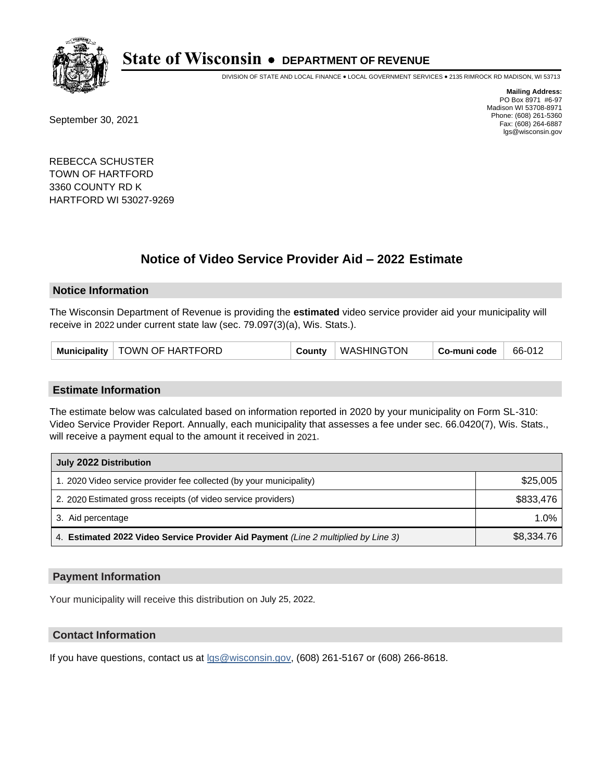

DIVISION OF STATE AND LOCAL FINANCE • LOCAL GOVERNMENT SERVICES • 2135 RIMROCK RD MADISON, WI 53713

September 30, 2021

**Mailing Address:** PO Box 8971 #6-97 Madison WI 53708-8971 Phone: (608) 261-5360 Fax: (608) 264-6887 lgs@wisconsin.gov

REBECCA SCHUSTER TOWN OF HARTFORD 3360 COUNTY RD K HARTFORD WI 53027-9269

# **Notice of Video Service Provider Aid - 2022 Estimate**

## **Notice Information**

The Wisconsin Department of Revenue is providing the **estimated** video service provider aid your municipality will receive in 2022 under current state law (sec. 79.097(3)(a), Wis. Stats.).

|  | Municipality   TOWN OF HARTFORD | County | WASHINGTON | Co-muni code | 66-012 |
|--|---------------------------------|--------|------------|--------------|--------|
|--|---------------------------------|--------|------------|--------------|--------|

## **Estimate Information**

The estimate below was calculated based on information reported in 2020 by your municipality on Form SL-310: Video Service Provider Report. Annually, each municipality that assesses a fee under sec. 66.0420(7), Wis. Stats., will receive a payment equal to the amount it received in 2021.

| July 2022 Distribution                                                             |            |  |  |
|------------------------------------------------------------------------------------|------------|--|--|
| 1. 2020 Video service provider fee collected (by your municipality)                | \$25,005   |  |  |
| 2. 2020 Estimated gross receipts (of video service providers)                      | \$833,476  |  |  |
| 3. Aid percentage                                                                  | 1.0%       |  |  |
| 4. Estimated 2022 Video Service Provider Aid Payment (Line 2 multiplied by Line 3) | \$8,334.76 |  |  |

## **Payment Information**

Your municipality will receive this distribution on July 25, 2022.

# **Contact Information**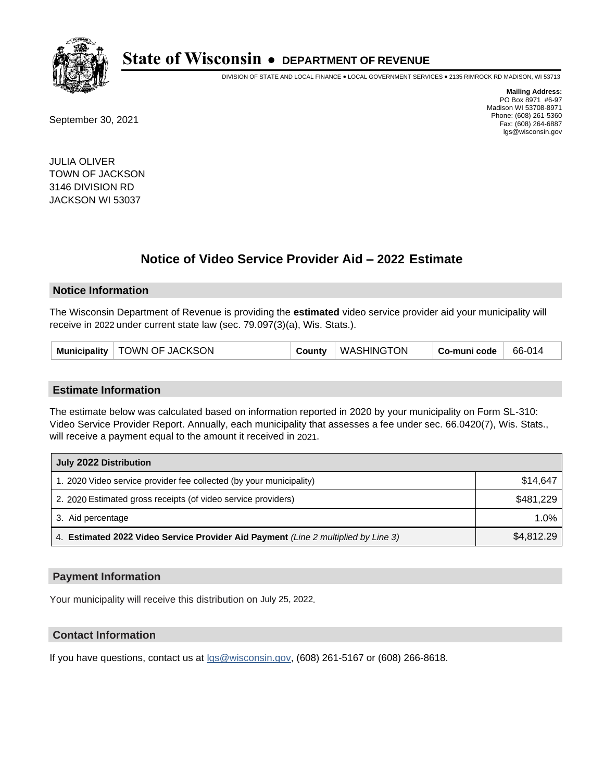

DIVISION OF STATE AND LOCAL FINANCE • LOCAL GOVERNMENT SERVICES • 2135 RIMROCK RD MADISON, WI 53713

September 30, 2021

**Mailing Address:** PO Box 8971 #6-97 Madison WI 53708-8971 Phone: (608) 261-5360 Fax: (608) 264-6887 lgs@wisconsin.gov

JULIA OLIVER TOWN OF JACKSON 3146 DIVISION RD JACKSON WI 53037

# **Notice of Video Service Provider Aid - 2022 Estimate**

## **Notice Information**

The Wisconsin Department of Revenue is providing the **estimated** video service provider aid your municipality will receive in 2022 under current state law (sec. 79.097(3)(a), Wis. Stats.).

| Municipality   TOWN OF JACKSON | County | WASHINGTON | Co-muni code | 66-014 |
|--------------------------------|--------|------------|--------------|--------|
|--------------------------------|--------|------------|--------------|--------|

#### **Estimate Information**

The estimate below was calculated based on information reported in 2020 by your municipality on Form SL-310: Video Service Provider Report. Annually, each municipality that assesses a fee under sec. 66.0420(7), Wis. Stats., will receive a payment equal to the amount it received in 2021.

| July 2022 Distribution                                                             |            |
|------------------------------------------------------------------------------------|------------|
| 1. 2020 Video service provider fee collected (by your municipality)                | \$14.647   |
| 2. 2020 Estimated gross receipts (of video service providers)                      | \$481.229  |
| 3. Aid percentage                                                                  | 1.0%       |
| 4. Estimated 2022 Video Service Provider Aid Payment (Line 2 multiplied by Line 3) | \$4,812.29 |

## **Payment Information**

Your municipality will receive this distribution on July 25, 2022.

# **Contact Information**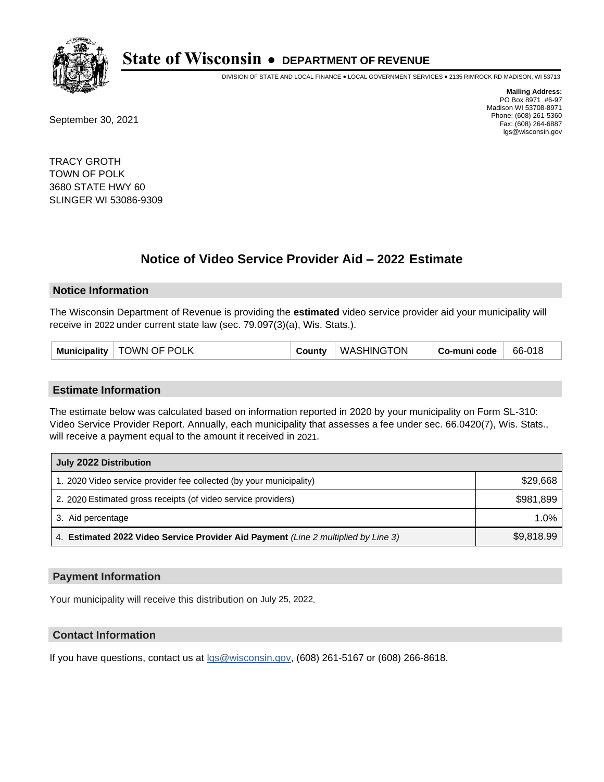

DIVISION OF STATE AND LOCAL FINANCE • LOCAL GOVERNMENT SERVICES • 2135 RIMROCK RD MADISON, WI 53713

September 30, 2021

**Mailing Address:** PO Box 8971 #6-97 Madison WI 53708-8971 Phone: (608) 261-5360 Fax: (608) 264-6887 lgs@wisconsin.gov

TRACY GROTH TOWN OF POLK 3680 STATE HWY 60 SLINGER WI 53086-9309

# **Notice of Video Service Provider Aid - 2022 Estimate**

## **Notice Information**

The Wisconsin Department of Revenue is providing the **estimated** video service provider aid your municipality will receive in 2022 under current state law (sec. 79.097(3)(a), Wis. Stats.).

#### **Estimate Information**

The estimate below was calculated based on information reported in 2020 by your municipality on Form SL-310: Video Service Provider Report. Annually, each municipality that assesses a fee under sec. 66.0420(7), Wis. Stats., will receive a payment equal to the amount it received in 2021.

| July 2022 Distribution                                                             |            |
|------------------------------------------------------------------------------------|------------|
| 1. 2020 Video service provider fee collected (by your municipality)                | \$29,668   |
| 2. 2020 Estimated gross receipts (of video service providers)                      | \$981,899  |
| 3. Aid percentage                                                                  | $1.0\%$    |
| 4. Estimated 2022 Video Service Provider Aid Payment (Line 2 multiplied by Line 3) | \$9,818.99 |

## **Payment Information**

Your municipality will receive this distribution on July 25, 2022.

# **Contact Information**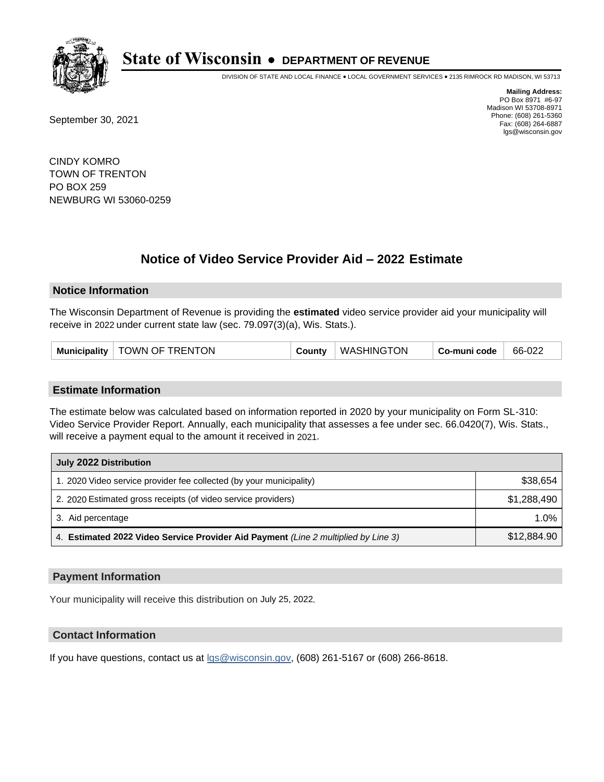

DIVISION OF STATE AND LOCAL FINANCE • LOCAL GOVERNMENT SERVICES • 2135 RIMROCK RD MADISON, WI 53713

September 30, 2021

**Mailing Address:** PO Box 8971 #6-97 Madison WI 53708-8971 Phone: (608) 261-5360 Fax: (608) 264-6887 lgs@wisconsin.gov

CINDY KOMRO TOWN OF TRENTON PO BOX 259 NEWBURG WI 53060-0259

# **Notice of Video Service Provider Aid - 2022 Estimate**

## **Notice Information**

The Wisconsin Department of Revenue is providing the **estimated** video service provider aid your municipality will receive in 2022 under current state law (sec. 79.097(3)(a), Wis. Stats.).

| Municipality   TOWN OF TRENTON | County | WASHINGTON | Co-muni code | 66-022 |
|--------------------------------|--------|------------|--------------|--------|
|--------------------------------|--------|------------|--------------|--------|

## **Estimate Information**

The estimate below was calculated based on information reported in 2020 by your municipality on Form SL-310: Video Service Provider Report. Annually, each municipality that assesses a fee under sec. 66.0420(7), Wis. Stats., will receive a payment equal to the amount it received in 2021.

| July 2022 Distribution                                                             |             |
|------------------------------------------------------------------------------------|-------------|
| 1. 2020 Video service provider fee collected (by your municipality)                | \$38,654    |
| 2. 2020 Estimated gross receipts (of video service providers)                      | \$1.288.490 |
| 3. Aid percentage                                                                  | 1.0%        |
| 4. Estimated 2022 Video Service Provider Aid Payment (Line 2 multiplied by Line 3) | \$12,884.90 |

## **Payment Information**

Your municipality will receive this distribution on July 25, 2022.

# **Contact Information**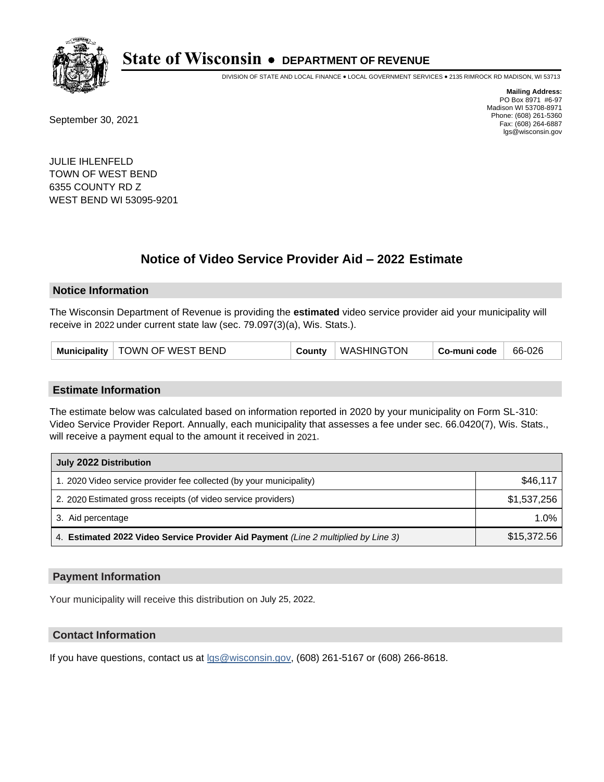

DIVISION OF STATE AND LOCAL FINANCE • LOCAL GOVERNMENT SERVICES • 2135 RIMROCK RD MADISON, WI 53713

September 30, 2021

**Mailing Address:** PO Box 8971 #6-97 Madison WI 53708-8971 Phone: (608) 261-5360 Fax: (608) 264-6887 lgs@wisconsin.gov

JULIE IHLENFELD TOWN OF WEST BEND 6355 COUNTY RD Z WEST BEND WI 53095-9201

# **Notice of Video Service Provider Aid - 2022 Estimate**

## **Notice Information**

The Wisconsin Department of Revenue is providing the **estimated** video service provider aid your municipality will receive in 2022 under current state law (sec. 79.097(3)(a), Wis. Stats.).

| Municipality   TOWN OF WEST BEND | County | WASHINGTON | Co-muni code | 66-026 |
|----------------------------------|--------|------------|--------------|--------|
|----------------------------------|--------|------------|--------------|--------|

## **Estimate Information**

The estimate below was calculated based on information reported in 2020 by your municipality on Form SL-310: Video Service Provider Report. Annually, each municipality that assesses a fee under sec. 66.0420(7), Wis. Stats., will receive a payment equal to the amount it received in 2021.

| July 2022 Distribution                                                             |             |
|------------------------------------------------------------------------------------|-------------|
| 1. 2020 Video service provider fee collected (by your municipality)                | \$46,117    |
| 2. 2020 Estimated gross receipts (of video service providers)                      | \$1,537,256 |
| 3. Aid percentage                                                                  | 1.0%        |
| 4. Estimated 2022 Video Service Provider Aid Payment (Line 2 multiplied by Line 3) | \$15,372.56 |

## **Payment Information**

Your municipality will receive this distribution on July 25, 2022.

# **Contact Information**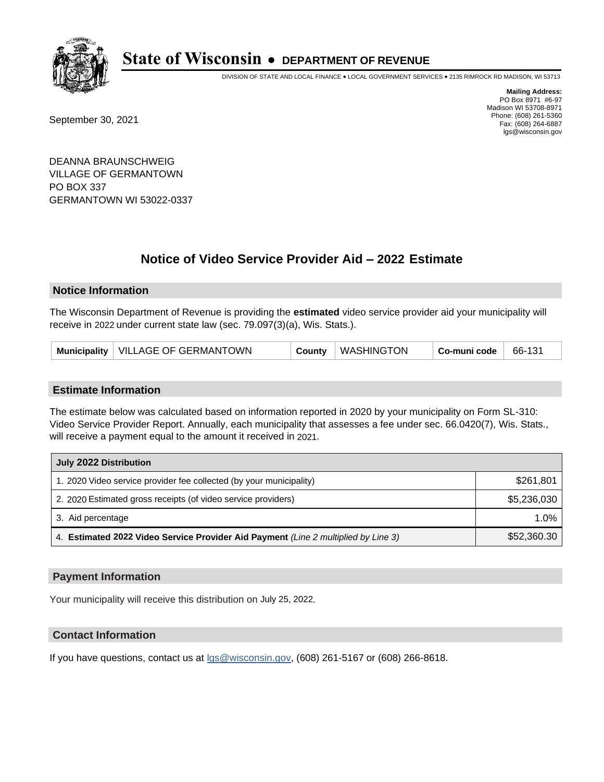

DIVISION OF STATE AND LOCAL FINANCE • LOCAL GOVERNMENT SERVICES • 2135 RIMROCK RD MADISON, WI 53713

September 30, 2021

**Mailing Address:** PO Box 8971 #6-97 Madison WI 53708-8971 Phone: (608) 261-5360 Fax: (608) 264-6887 lgs@wisconsin.gov

DEANNA BRAUNSCHWEIG VILLAGE OF GERMANTOWN PO BOX 337 GERMANTOWN WI 53022-0337

# **Notice of Video Service Provider Aid - 2022 Estimate**

## **Notice Information**

The Wisconsin Department of Revenue is providing the **estimated** video service provider aid your municipality will receive in 2022 under current state law (sec. 79.097(3)(a), Wis. Stats.).

| Municipality   VILLAGE OF GERMANTOWN | County | WASHINGTON | Co-muni code | 66-131 |
|--------------------------------------|--------|------------|--------------|--------|
|--------------------------------------|--------|------------|--------------|--------|

## **Estimate Information**

The estimate below was calculated based on information reported in 2020 by your municipality on Form SL-310: Video Service Provider Report. Annually, each municipality that assesses a fee under sec. 66.0420(7), Wis. Stats., will receive a payment equal to the amount it received in 2021.

| July 2022 Distribution                                                             |             |
|------------------------------------------------------------------------------------|-------------|
| 1. 2020 Video service provider fee collected (by your municipality)                | \$261,801   |
| 2. 2020 Estimated gross receipts (of video service providers)                      | \$5,236,030 |
| 3. Aid percentage                                                                  | $1.0\%$     |
| 4. Estimated 2022 Video Service Provider Aid Payment (Line 2 multiplied by Line 3) | \$52,360.30 |

## **Payment Information**

Your municipality will receive this distribution on July 25, 2022.

# **Contact Information**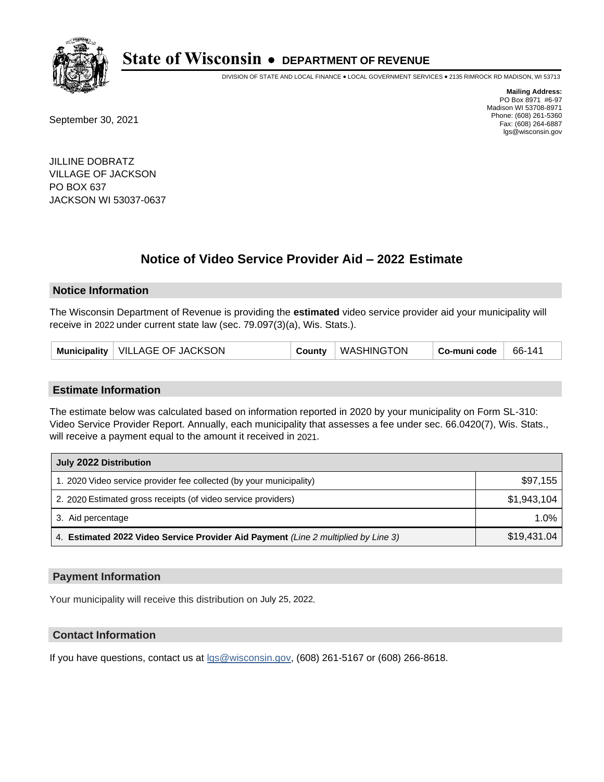

DIVISION OF STATE AND LOCAL FINANCE • LOCAL GOVERNMENT SERVICES • 2135 RIMROCK RD MADISON, WI 53713

September 30, 2021

**Mailing Address:** PO Box 8971 #6-97 Madison WI 53708-8971 Phone: (608) 261-5360 Fax: (608) 264-6887 lgs@wisconsin.gov

JILLINE DOBRATZ VILLAGE OF JACKSON PO BOX 637 JACKSON WI 53037-0637

# **Notice of Video Service Provider Aid - 2022 Estimate**

## **Notice Information**

The Wisconsin Department of Revenue is providing the **estimated** video service provider aid your municipality will receive in 2022 under current state law (sec. 79.097(3)(a), Wis. Stats.).

| Municipality   VILLAGE OF JACKSON | County   WASHINGTON<br>Co-muni code | 66-141 |
|-----------------------------------|-------------------------------------|--------|
|-----------------------------------|-------------------------------------|--------|

## **Estimate Information**

The estimate below was calculated based on information reported in 2020 by your municipality on Form SL-310: Video Service Provider Report. Annually, each municipality that assesses a fee under sec. 66.0420(7), Wis. Stats., will receive a payment equal to the amount it received in 2021.

| July 2022 Distribution                                                             |             |
|------------------------------------------------------------------------------------|-------------|
| 1. 2020 Video service provider fee collected (by your municipality)                | \$97,155    |
| 2. 2020 Estimated gross receipts (of video service providers)                      | \$1,943,104 |
| 3. Aid percentage                                                                  | 1.0%        |
| 4. Estimated 2022 Video Service Provider Aid Payment (Line 2 multiplied by Line 3) | \$19,431.04 |

## **Payment Information**

Your municipality will receive this distribution on July 25, 2022.

# **Contact Information**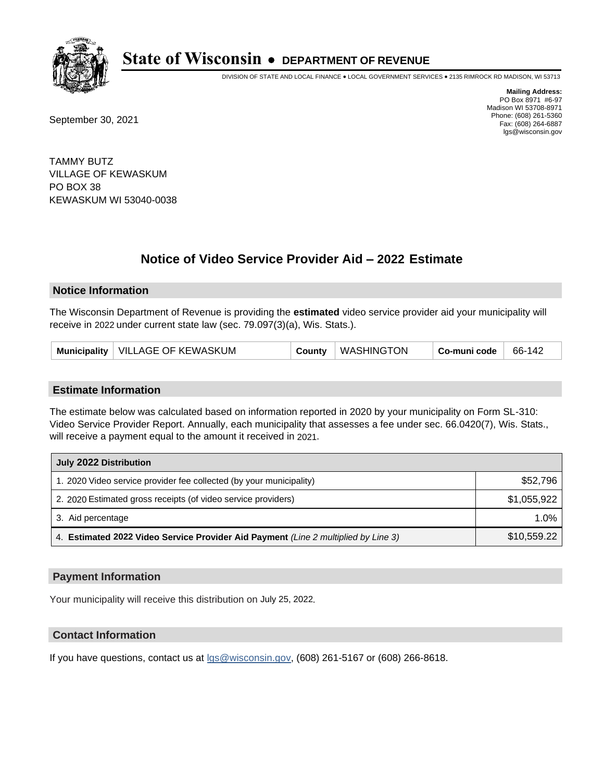

DIVISION OF STATE AND LOCAL FINANCE • LOCAL GOVERNMENT SERVICES • 2135 RIMROCK RD MADISON, WI 53713

September 30, 2021

**Mailing Address:** PO Box 8971 #6-97 Madison WI 53708-8971 Phone: (608) 261-5360 Fax: (608) 264-6887 lgs@wisconsin.gov

TAMMY BUTZ VILLAGE OF KEWASKUM PO BOX 38 KEWASKUM WI 53040-0038

# **Notice of Video Service Provider Aid - 2022 Estimate**

## **Notice Information**

The Wisconsin Department of Revenue is providing the **estimated** video service provider aid your municipality will receive in 2022 under current state law (sec. 79.097(3)(a), Wis. Stats.).

## **Estimate Information**

The estimate below was calculated based on information reported in 2020 by your municipality on Form SL-310: Video Service Provider Report. Annually, each municipality that assesses a fee under sec. 66.0420(7), Wis. Stats., will receive a payment equal to the amount it received in 2021.

| July 2022 Distribution                                                             |             |
|------------------------------------------------------------------------------------|-------------|
| 1. 2020 Video service provider fee collected (by your municipality)                | \$52,796    |
| 2. 2020 Estimated gross receipts (of video service providers)                      | \$1,055,922 |
| 3. Aid percentage                                                                  | $1.0\%$     |
| 4. Estimated 2022 Video Service Provider Aid Payment (Line 2 multiplied by Line 3) | \$10,559.22 |

## **Payment Information**

Your municipality will receive this distribution on July 25, 2022.

# **Contact Information**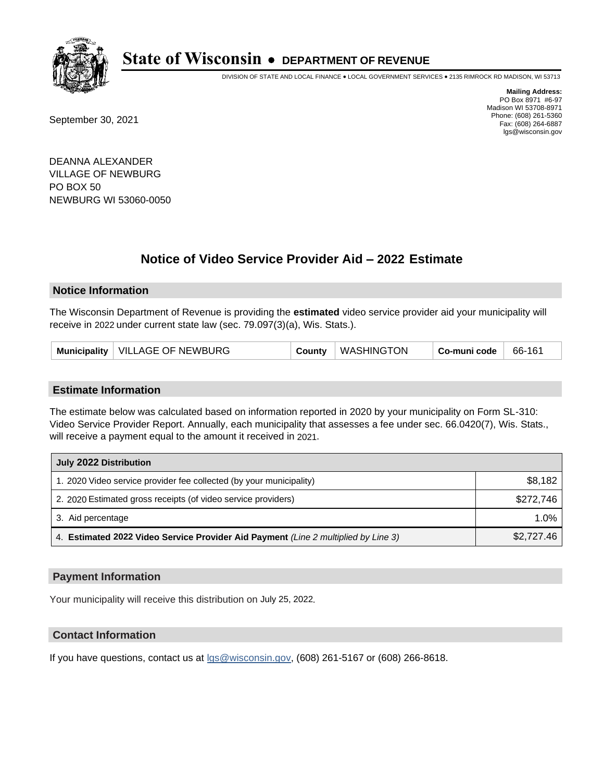

DIVISION OF STATE AND LOCAL FINANCE • LOCAL GOVERNMENT SERVICES • 2135 RIMROCK RD MADISON, WI 53713

September 30, 2021

**Mailing Address:** PO Box 8971 #6-97 Madison WI 53708-8971 Phone: (608) 261-5360 Fax: (608) 264-6887 lgs@wisconsin.gov

DEANNA ALEXANDER VILLAGE OF NEWBURG PO BOX 50 NEWBURG WI 53060-0050

# **Notice of Video Service Provider Aid - 2022 Estimate**

## **Notice Information**

The Wisconsin Department of Revenue is providing the **estimated** video service provider aid your municipality will receive in 2022 under current state law (sec. 79.097(3)(a), Wis. Stats.).

| VILLAGE OF NEWBURG<br><b>Municipality</b><br>County | WASHINGTON | Co-muni code | 66-161 |
|-----------------------------------------------------|------------|--------------|--------|
|-----------------------------------------------------|------------|--------------|--------|

## **Estimate Information**

The estimate below was calculated based on information reported in 2020 by your municipality on Form SL-310: Video Service Provider Report. Annually, each municipality that assesses a fee under sec. 66.0420(7), Wis. Stats., will receive a payment equal to the amount it received in 2021.

| July 2022 Distribution                                                             |            |
|------------------------------------------------------------------------------------|------------|
| 1. 2020 Video service provider fee collected (by your municipality)                | \$8,182    |
| 2. 2020 Estimated gross receipts (of video service providers)                      | \$272.746  |
| 3. Aid percentage                                                                  | $1.0\%$    |
| 4. Estimated 2022 Video Service Provider Aid Payment (Line 2 multiplied by Line 3) | \$2,727.46 |

## **Payment Information**

Your municipality will receive this distribution on July 25, 2022.

# **Contact Information**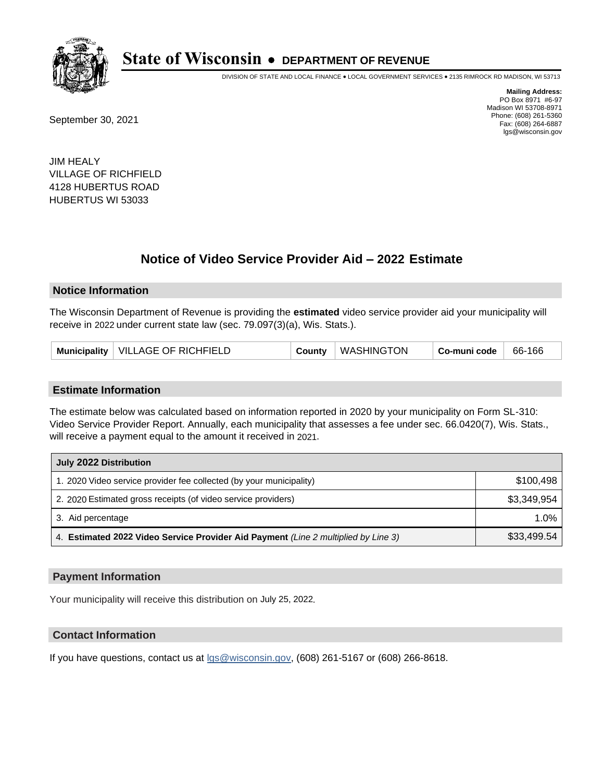

DIVISION OF STATE AND LOCAL FINANCE • LOCAL GOVERNMENT SERVICES • 2135 RIMROCK RD MADISON, WI 53713

September 30, 2021

**Mailing Address:** PO Box 8971 #6-97 Madison WI 53708-8971 Phone: (608) 261-5360 Fax: (608) 264-6887 lgs@wisconsin.gov

JIM HEALY VILLAGE OF RICHFIELD 4128 HUBERTUS ROAD HUBERTUS WI 53033

# **Notice of Video Service Provider Aid - 2022 Estimate**

## **Notice Information**

The Wisconsin Department of Revenue is providing the **estimated** video service provider aid your municipality will receive in 2022 under current state law (sec. 79.097(3)(a), Wis. Stats.).

| Municipality   VILLAGE OF RICHFIELD | County | WASHINGTON | Co-muni code | 66-166 |
|-------------------------------------|--------|------------|--------------|--------|
|-------------------------------------|--------|------------|--------------|--------|

## **Estimate Information**

The estimate below was calculated based on information reported in 2020 by your municipality on Form SL-310: Video Service Provider Report. Annually, each municipality that assesses a fee under sec. 66.0420(7), Wis. Stats., will receive a payment equal to the amount it received in 2021.

| July 2022 Distribution                                                             |             |
|------------------------------------------------------------------------------------|-------------|
| 1. 2020 Video service provider fee collected (by your municipality)                | \$100.498   |
| 2. 2020 Estimated gross receipts (of video service providers)                      | \$3,349,954 |
| 3. Aid percentage                                                                  | 1.0%        |
| 4. Estimated 2022 Video Service Provider Aid Payment (Line 2 multiplied by Line 3) | \$33,499.54 |

## **Payment Information**

Your municipality will receive this distribution on July 25, 2022.

# **Contact Information**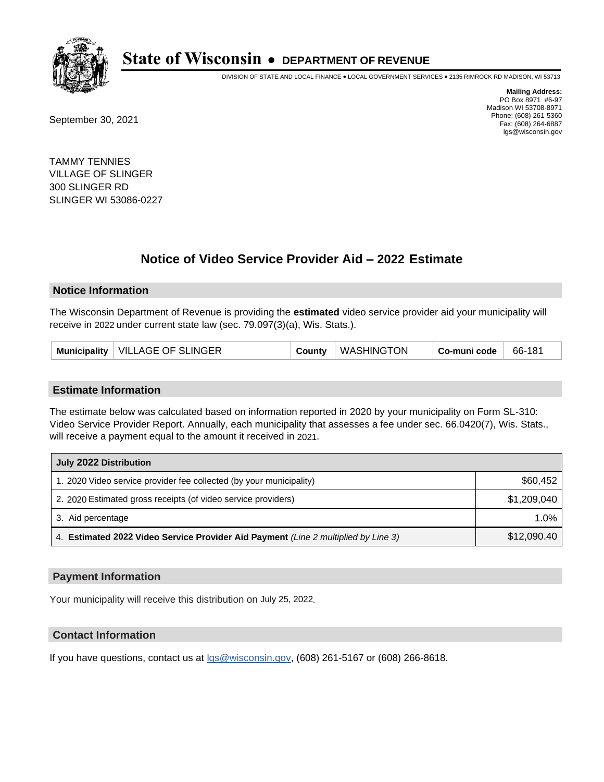

DIVISION OF STATE AND LOCAL FINANCE • LOCAL GOVERNMENT SERVICES • 2135 RIMROCK RD MADISON, WI 53713

September 30, 2021

**Mailing Address:** PO Box 8971 #6-97 Madison WI 53708-8971 Phone: (608) 261-5360 Fax: (608) 264-6887 lgs@wisconsin.gov

TAMMY TENNIES VILLAGE OF SLINGER 300 SLINGER RD SLINGER WI 53086-0227

# **Notice of Video Service Provider Aid - 2022 Estimate**

## **Notice Information**

The Wisconsin Department of Revenue is providing the **estimated** video service provider aid your municipality will receive in 2022 under current state law (sec. 79.097(3)(a), Wis. Stats.).

| Municipality   VILLAGE OF SLINGER | County | WASHINGTON | Co-muni code | 66-181 |
|-----------------------------------|--------|------------|--------------|--------|
|-----------------------------------|--------|------------|--------------|--------|

## **Estimate Information**

The estimate below was calculated based on information reported in 2020 by your municipality on Form SL-310: Video Service Provider Report. Annually, each municipality that assesses a fee under sec. 66.0420(7), Wis. Stats., will receive a payment equal to the amount it received in 2021.

| July 2022 Distribution                                                             |             |
|------------------------------------------------------------------------------------|-------------|
| 1. 2020 Video service provider fee collected (by your municipality)                | \$60,452    |
| 2. 2020 Estimated gross receipts (of video service providers)                      | \$1,209,040 |
| 3. Aid percentage                                                                  | 1.0%        |
| 4. Estimated 2022 Video Service Provider Aid Payment (Line 2 multiplied by Line 3) | \$12,090.40 |

## **Payment Information**

Your municipality will receive this distribution on July 25, 2022.

# **Contact Information**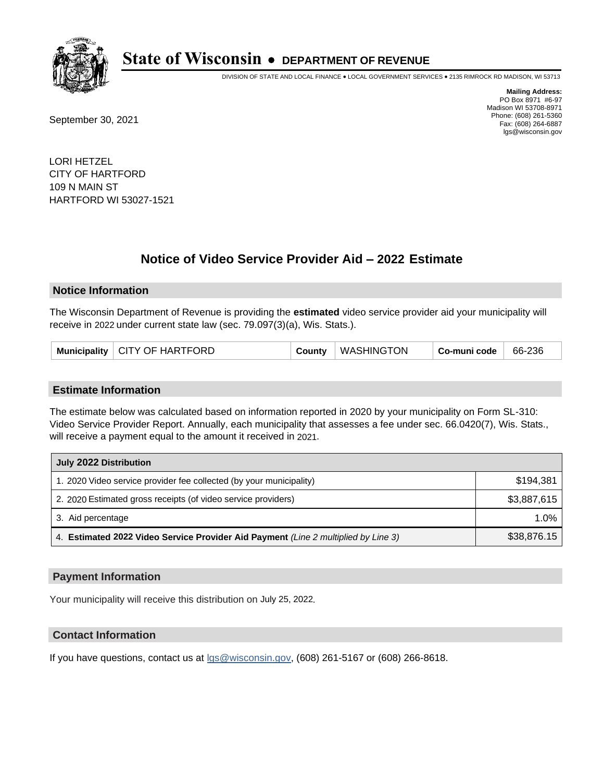

DIVISION OF STATE AND LOCAL FINANCE • LOCAL GOVERNMENT SERVICES • 2135 RIMROCK RD MADISON, WI 53713

September 30, 2021

**Mailing Address:** PO Box 8971 #6-97 Madison WI 53708-8971 Phone: (608) 261-5360 Fax: (608) 264-6887 lgs@wisconsin.gov

LORI HETZEL CITY OF HARTFORD 109 N MAIN ST HARTFORD WI 53027-1521

# **Notice of Video Service Provider Aid - 2022 Estimate**

## **Notice Information**

The Wisconsin Department of Revenue is providing the **estimated** video service provider aid your municipality will receive in 2022 under current state law (sec. 79.097(3)(a), Wis. Stats.).

| Municipality   CITY OF HARTFORD | County | WASHINGTON | Co-muni code | 66-236 |
|---------------------------------|--------|------------|--------------|--------|
|---------------------------------|--------|------------|--------------|--------|

## **Estimate Information**

The estimate below was calculated based on information reported in 2020 by your municipality on Form SL-310: Video Service Provider Report. Annually, each municipality that assesses a fee under sec. 66.0420(7), Wis. Stats., will receive a payment equal to the amount it received in 2021.

| July 2022 Distribution                                                             |             |
|------------------------------------------------------------------------------------|-------------|
| 1. 2020 Video service provider fee collected (by your municipality)                | \$194.381   |
| 2. 2020 Estimated gross receipts (of video service providers)                      | \$3,887,615 |
| 3. Aid percentage                                                                  | 1.0%        |
| 4. Estimated 2022 Video Service Provider Aid Payment (Line 2 multiplied by Line 3) | \$38,876.15 |

## **Payment Information**

Your municipality will receive this distribution on July 25, 2022.

# **Contact Information**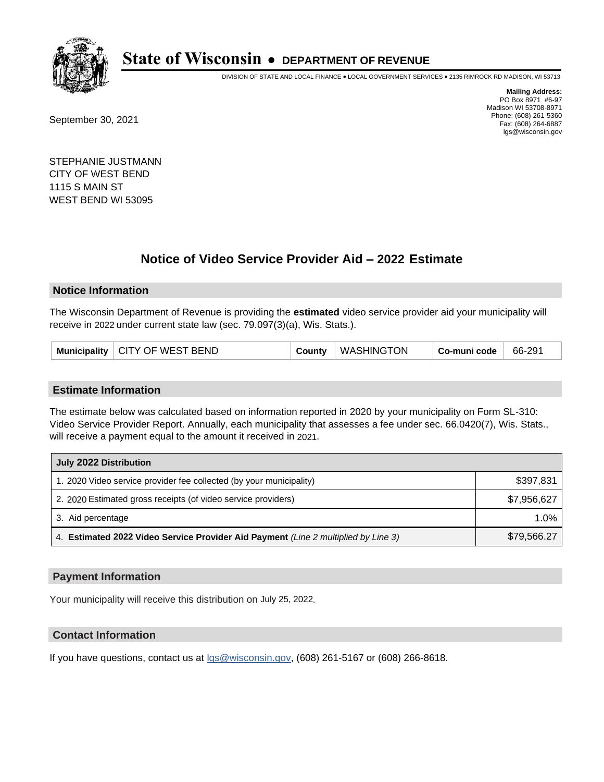

DIVISION OF STATE AND LOCAL FINANCE • LOCAL GOVERNMENT SERVICES • 2135 RIMROCK RD MADISON, WI 53713

September 30, 2021

**Mailing Address:** PO Box 8971 #6-97 Madison WI 53708-8971 Phone: (608) 261-5360 Fax: (608) 264-6887 lgs@wisconsin.gov

STEPHANIE JUSTMANN CITY OF WEST BEND 1115 S MAIN ST WEST BEND WI 53095

# **Notice of Video Service Provider Aid - 2022 Estimate**

## **Notice Information**

The Wisconsin Department of Revenue is providing the **estimated** video service provider aid your municipality will receive in 2022 under current state law (sec. 79.097(3)(a), Wis. Stats.).

| Municipality   CITY OF WEST BEND | $Countv$ | <b>WASHINGTON</b> | Co-muni code | 66-291 |
|----------------------------------|----------|-------------------|--------------|--------|
|----------------------------------|----------|-------------------|--------------|--------|

## **Estimate Information**

The estimate below was calculated based on information reported in 2020 by your municipality on Form SL-310: Video Service Provider Report. Annually, each municipality that assesses a fee under sec. 66.0420(7), Wis. Stats., will receive a payment equal to the amount it received in 2021.

| July 2022 Distribution                                                             |             |
|------------------------------------------------------------------------------------|-------------|
| 1. 2020 Video service provider fee collected (by your municipality)                | \$397,831   |
| 2. 2020 Estimated gross receipts (of video service providers)                      | \$7,956,627 |
| 3. Aid percentage                                                                  | $1.0\%$     |
| 4. Estimated 2022 Video Service Provider Aid Payment (Line 2 multiplied by Line 3) | \$79,566.27 |

## **Payment Information**

Your municipality will receive this distribution on July 25, 2022.

# **Contact Information**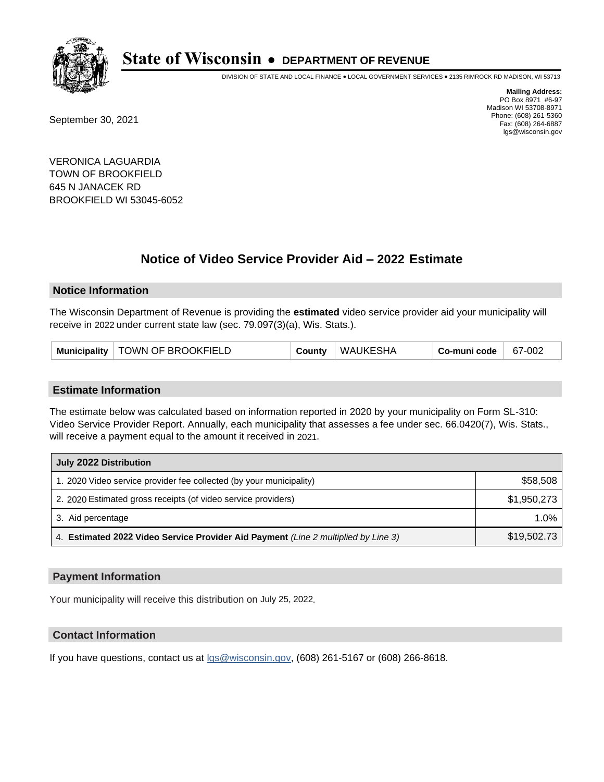

DIVISION OF STATE AND LOCAL FINANCE • LOCAL GOVERNMENT SERVICES • 2135 RIMROCK RD MADISON, WI 53713

September 30, 2021

**Mailing Address:** PO Box 8971 #6-97 Madison WI 53708-8971 Phone: (608) 261-5360 Fax: (608) 264-6887 lgs@wisconsin.gov

VERONICA LAGUARDIA TOWN OF BROOKFIELD 645 N JANACEK RD BROOKFIELD WI 53045-6052

# **Notice of Video Service Provider Aid - 2022 Estimate**

## **Notice Information**

The Wisconsin Department of Revenue is providing the **estimated** video service provider aid your municipality will receive in 2022 under current state law (sec. 79.097(3)(a), Wis. Stats.).

| <b>Municipality</b> | TOWN OF BROOKFIELD | ∴∩unt | WAUKESHA | Co-muni code | 67-002 |
|---------------------|--------------------|-------|----------|--------------|--------|
|---------------------|--------------------|-------|----------|--------------|--------|

## **Estimate Information**

The estimate below was calculated based on information reported in 2020 by your municipality on Form SL-310: Video Service Provider Report. Annually, each municipality that assesses a fee under sec. 66.0420(7), Wis. Stats., will receive a payment equal to the amount it received in 2021.

| July 2022 Distribution                                                             |             |
|------------------------------------------------------------------------------------|-------------|
| 1. 2020 Video service provider fee collected (by your municipality)                | \$58,508    |
| 2. 2020 Estimated gross receipts (of video service providers)                      | \$1.950.273 |
| 3. Aid percentage                                                                  | 1.0%        |
| 4. Estimated 2022 Video Service Provider Aid Payment (Line 2 multiplied by Line 3) | \$19,502.73 |

## **Payment Information**

Your municipality will receive this distribution on July 25, 2022.

# **Contact Information**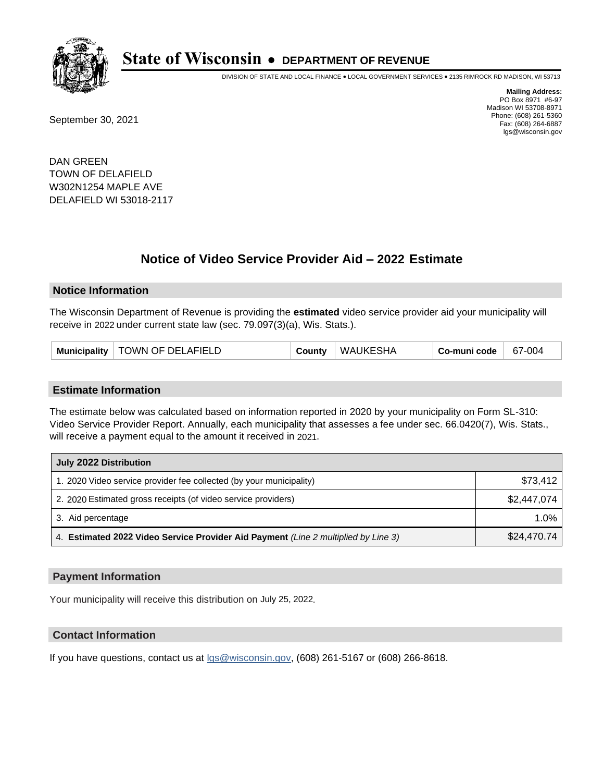

DIVISION OF STATE AND LOCAL FINANCE • LOCAL GOVERNMENT SERVICES • 2135 RIMROCK RD MADISON, WI 53713

September 30, 2021

**Mailing Address:** PO Box 8971 #6-97 Madison WI 53708-8971 Phone: (608) 261-5360 Fax: (608) 264-6887 lgs@wisconsin.gov

DAN GREEN TOWN OF DELAFIELD W302N1254 MAPLE AVE DELAFIELD WI 53018-2117

# **Notice of Video Service Provider Aid - 2022 Estimate**

## **Notice Information**

The Wisconsin Department of Revenue is providing the **estimated** video service provider aid your municipality will receive in 2022 under current state law (sec. 79.097(3)(a), Wis. Stats.).

| Municipality   TOWN OF DELAFIELD | County | WAUKESHA | Co-muni code | 67-004 |
|----------------------------------|--------|----------|--------------|--------|
|----------------------------------|--------|----------|--------------|--------|

#### **Estimate Information**

The estimate below was calculated based on information reported in 2020 by your municipality on Form SL-310: Video Service Provider Report. Annually, each municipality that assesses a fee under sec. 66.0420(7), Wis. Stats., will receive a payment equal to the amount it received in 2021.

| July 2022 Distribution                                                             |             |
|------------------------------------------------------------------------------------|-------------|
| 1. 2020 Video service provider fee collected (by your municipality)                | \$73,412    |
| 2. 2020 Estimated gross receipts (of video service providers)                      | \$2,447,074 |
| 3. Aid percentage                                                                  | 1.0%        |
| 4. Estimated 2022 Video Service Provider Aid Payment (Line 2 multiplied by Line 3) | \$24,470.74 |

## **Payment Information**

Your municipality will receive this distribution on July 25, 2022.

## **Contact Information**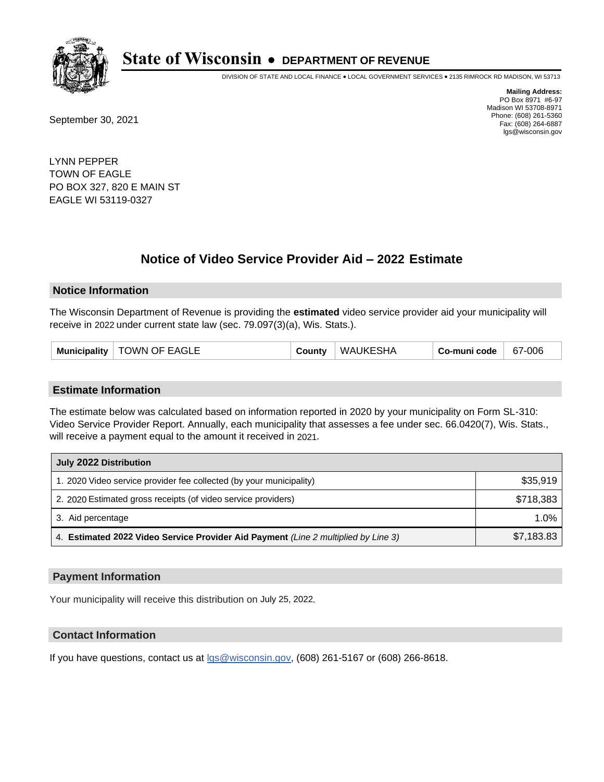

DIVISION OF STATE AND LOCAL FINANCE • LOCAL GOVERNMENT SERVICES • 2135 RIMROCK RD MADISON, WI 53713

September 30, 2021

**Mailing Address:** PO Box 8971 #6-97 Madison WI 53708-8971 Phone: (608) 261-5360 Fax: (608) 264-6887 lgs@wisconsin.gov

LYNN PEPPER TOWN OF EAGLE PO BOX 327, 820 E MAIN ST EAGLE WI 53119-0327

# **Notice of Video Service Provider Aid - 2022 Estimate**

## **Notice Information**

The Wisconsin Department of Revenue is providing the **estimated** video service provider aid your municipality will receive in 2022 under current state law (sec. 79.097(3)(a), Wis. Stats.).

| Municipality   TOWN OF EAGLE | County | WAUKESHA | Co-muni code | 67-006 |
|------------------------------|--------|----------|--------------|--------|
|------------------------------|--------|----------|--------------|--------|

## **Estimate Information**

The estimate below was calculated based on information reported in 2020 by your municipality on Form SL-310: Video Service Provider Report. Annually, each municipality that assesses a fee under sec. 66.0420(7), Wis. Stats., will receive a payment equal to the amount it received in 2021.

| July 2022 Distribution                                                             |            |  |  |
|------------------------------------------------------------------------------------|------------|--|--|
| 1. 2020 Video service provider fee collected (by your municipality)                | \$35,919   |  |  |
| 2. 2020 Estimated gross receipts (of video service providers)                      | \$718,383  |  |  |
| 3. Aid percentage                                                                  | $1.0\%$    |  |  |
| 4. Estimated 2022 Video Service Provider Aid Payment (Line 2 multiplied by Line 3) | \$7,183.83 |  |  |

## **Payment Information**

Your municipality will receive this distribution on July 25, 2022.

# **Contact Information**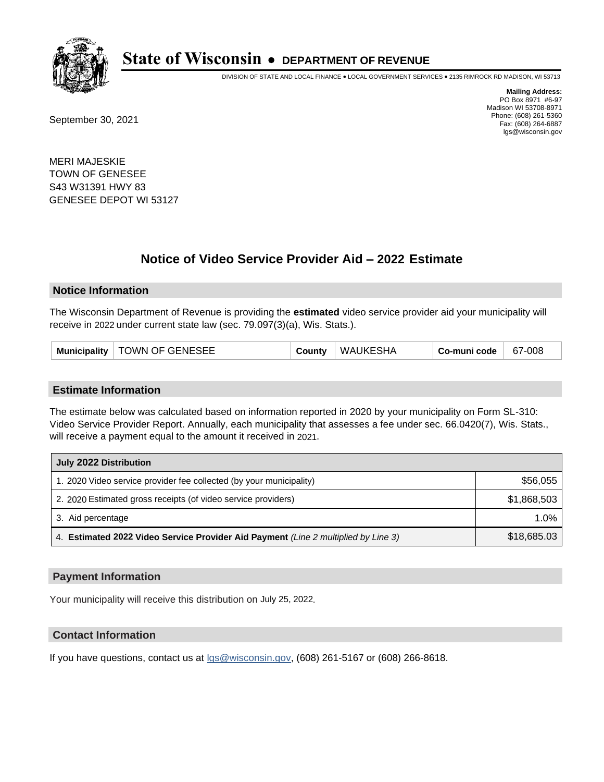

DIVISION OF STATE AND LOCAL FINANCE • LOCAL GOVERNMENT SERVICES • 2135 RIMROCK RD MADISON, WI 53713

September 30, 2021

**Mailing Address:** PO Box 8971 #6-97 Madison WI 53708-8971 Phone: (608) 261-5360 Fax: (608) 264-6887 lgs@wisconsin.gov

MERI MAJESKIE TOWN OF GENESEE S43 W31391 HWY 83 GENESEE DEPOT WI 53127

# **Notice of Video Service Provider Aid - 2022 Estimate**

## **Notice Information**

The Wisconsin Department of Revenue is providing the **estimated** video service provider aid your municipality will receive in 2022 under current state law (sec. 79.097(3)(a), Wis. Stats.).

| Municipality   TOWN OF GENESEE | County | WAUKESHA | Co-muni code | 67-008 |
|--------------------------------|--------|----------|--------------|--------|
|--------------------------------|--------|----------|--------------|--------|

## **Estimate Information**

The estimate below was calculated based on information reported in 2020 by your municipality on Form SL-310: Video Service Provider Report. Annually, each municipality that assesses a fee under sec. 66.0420(7), Wis. Stats., will receive a payment equal to the amount it received in 2021.

| July 2022 Distribution                                                             |             |  |  |
|------------------------------------------------------------------------------------|-------------|--|--|
| 1. 2020 Video service provider fee collected (by your municipality)                | \$56,055    |  |  |
| 2. 2020 Estimated gross receipts (of video service providers)                      | \$1,868,503 |  |  |
| 3. Aid percentage                                                                  | $1.0\%$     |  |  |
| 4. Estimated 2022 Video Service Provider Aid Payment (Line 2 multiplied by Line 3) | \$18,685.03 |  |  |

## **Payment Information**

Your municipality will receive this distribution on July 25, 2022.

# **Contact Information**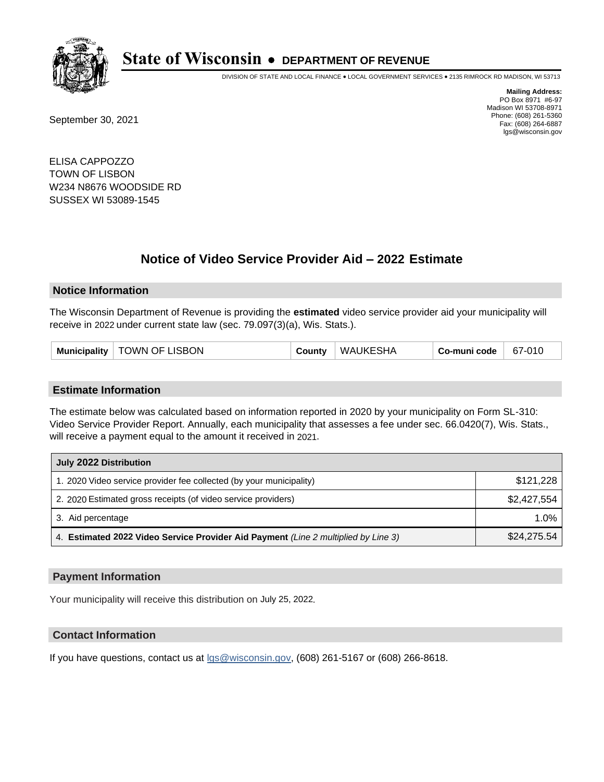

DIVISION OF STATE AND LOCAL FINANCE • LOCAL GOVERNMENT SERVICES • 2135 RIMROCK RD MADISON, WI 53713

September 30, 2021

**Mailing Address:** PO Box 8971 #6-97 Madison WI 53708-8971 Phone: (608) 261-5360 Fax: (608) 264-6887 lgs@wisconsin.gov

ELISA CAPPOZZO TOWN OF LISBON W234 N8676 WOODSIDE RD SUSSEX WI 53089-1545

# **Notice of Video Service Provider Aid - 2022 Estimate**

## **Notice Information**

The Wisconsin Department of Revenue is providing the **estimated** video service provider aid your municipality will receive in 2022 under current state law (sec. 79.097(3)(a), Wis. Stats.).

|  | Municipality   TOWN OF LISBON | County | WAUKESHA | Co-muni code | 67-010 |
|--|-------------------------------|--------|----------|--------------|--------|
|--|-------------------------------|--------|----------|--------------|--------|

## **Estimate Information**

The estimate below was calculated based on information reported in 2020 by your municipality on Form SL-310: Video Service Provider Report. Annually, each municipality that assesses a fee under sec. 66.0420(7), Wis. Stats., will receive a payment equal to the amount it received in 2021.

| July 2022 Distribution                                                             |             |  |  |
|------------------------------------------------------------------------------------|-------------|--|--|
| 1. 2020 Video service provider fee collected (by your municipality)                | \$121,228   |  |  |
| 2. 2020 Estimated gross receipts (of video service providers)                      | \$2,427,554 |  |  |
| 3. Aid percentage                                                                  | $1.0\%$     |  |  |
| 4. Estimated 2022 Video Service Provider Aid Payment (Line 2 multiplied by Line 3) | \$24,275.54 |  |  |

## **Payment Information**

Your municipality will receive this distribution on July 25, 2022.

# **Contact Information**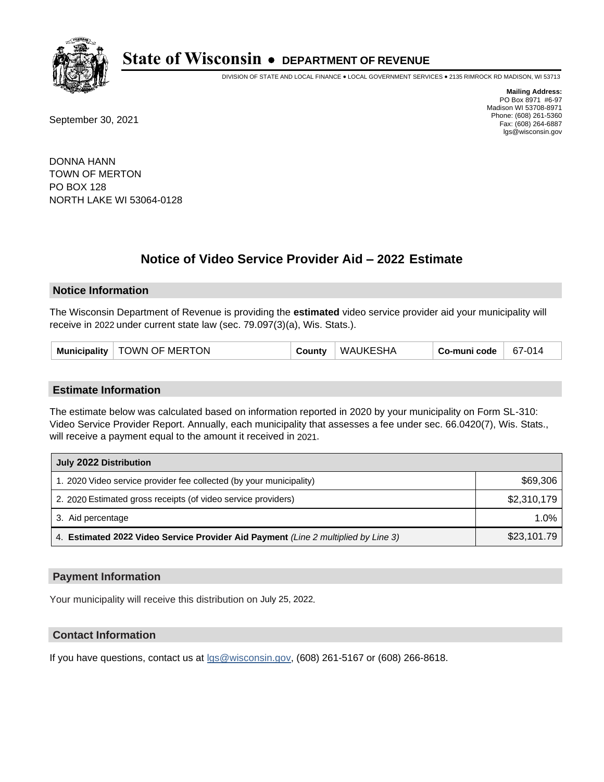

DIVISION OF STATE AND LOCAL FINANCE • LOCAL GOVERNMENT SERVICES • 2135 RIMROCK RD MADISON, WI 53713

September 30, 2021

**Mailing Address:** PO Box 8971 #6-97 Madison WI 53708-8971 Phone: (608) 261-5360 Fax: (608) 264-6887 lgs@wisconsin.gov

DONNA HANN TOWN OF MERTON PO BOX 128 NORTH LAKE WI 53064-0128

# **Notice of Video Service Provider Aid - 2022 Estimate**

## **Notice Information**

The Wisconsin Department of Revenue is providing the **estimated** video service provider aid your municipality will receive in 2022 under current state law (sec. 79.097(3)(a), Wis. Stats.).

| Municipality   TOWN OF MERTON | County | WAUKESHA | Co-muni code | 67-014 |
|-------------------------------|--------|----------|--------------|--------|
|-------------------------------|--------|----------|--------------|--------|

## **Estimate Information**

The estimate below was calculated based on information reported in 2020 by your municipality on Form SL-310: Video Service Provider Report. Annually, each municipality that assesses a fee under sec. 66.0420(7), Wis. Stats., will receive a payment equal to the amount it received in 2021.

| July 2022 Distribution                                                             |             |  |  |
|------------------------------------------------------------------------------------|-------------|--|--|
| 1. 2020 Video service provider fee collected (by your municipality)                | \$69,306    |  |  |
| 2. 2020 Estimated gross receipts (of video service providers)                      | \$2,310,179 |  |  |
| 3. Aid percentage                                                                  | $1.0\%$     |  |  |
| 4. Estimated 2022 Video Service Provider Aid Payment (Line 2 multiplied by Line 3) | \$23,101.79 |  |  |

## **Payment Information**

Your municipality will receive this distribution on July 25, 2022.

# **Contact Information**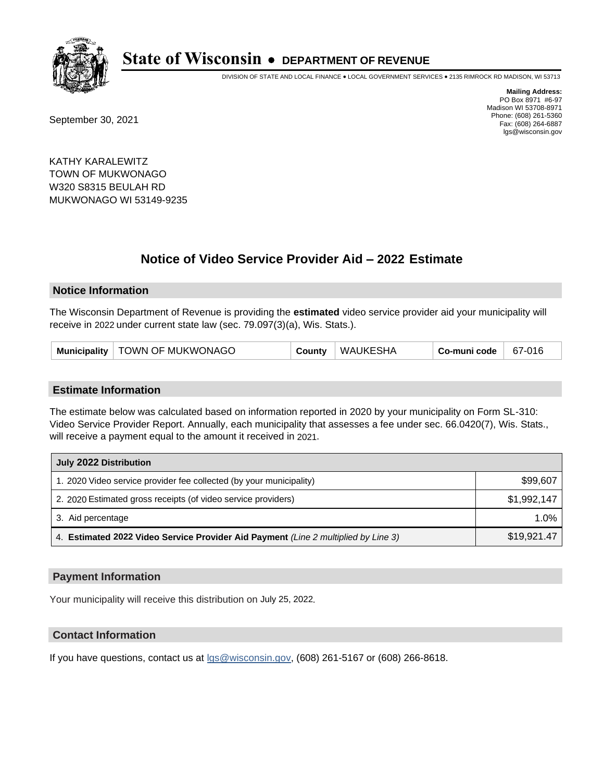

DIVISION OF STATE AND LOCAL FINANCE • LOCAL GOVERNMENT SERVICES • 2135 RIMROCK RD MADISON, WI 53713

September 30, 2021

**Mailing Address:** PO Box 8971 #6-97 Madison WI 53708-8971 Phone: (608) 261-5360 Fax: (608) 264-6887 lgs@wisconsin.gov

KATHY KARALEWITZ TOWN OF MUKWONAGO W320 S8315 BEULAH RD MUKWONAGO WI 53149-9235

# **Notice of Video Service Provider Aid - 2022 Estimate**

## **Notice Information**

The Wisconsin Department of Revenue is providing the **estimated** video service provider aid your municipality will receive in 2022 under current state law (sec. 79.097(3)(a), Wis. Stats.).

## **Estimate Information**

The estimate below was calculated based on information reported in 2020 by your municipality on Form SL-310: Video Service Provider Report. Annually, each municipality that assesses a fee under sec. 66.0420(7), Wis. Stats., will receive a payment equal to the amount it received in 2021.

| July 2022 Distribution                                                             |             |
|------------------------------------------------------------------------------------|-------------|
| 1. 2020 Video service provider fee collected (by your municipality)                | \$99,607    |
| 2. 2020 Estimated gross receipts (of video service providers)                      | \$1,992,147 |
| 3. Aid percentage                                                                  | 1.0%        |
| 4. Estimated 2022 Video Service Provider Aid Payment (Line 2 multiplied by Line 3) | \$19,921.47 |

## **Payment Information**

Your municipality will receive this distribution on July 25, 2022.

# **Contact Information**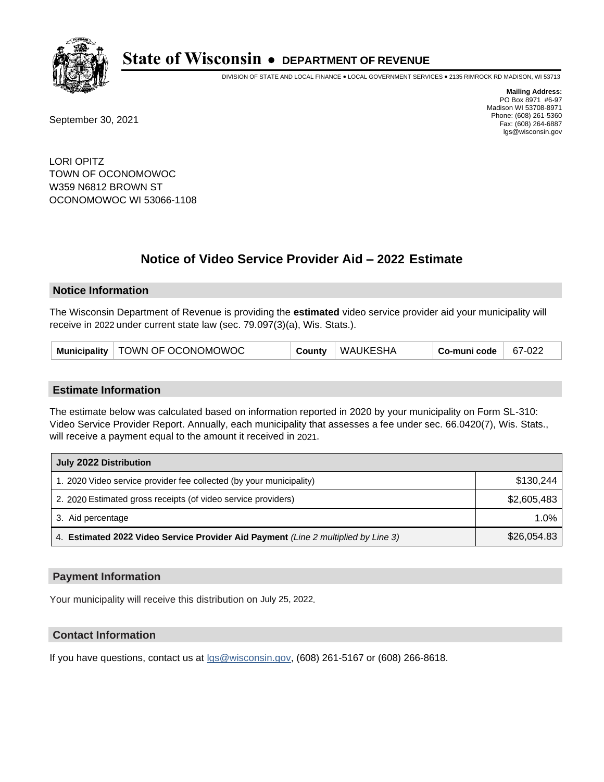

DIVISION OF STATE AND LOCAL FINANCE • LOCAL GOVERNMENT SERVICES • 2135 RIMROCK RD MADISON, WI 53713

September 30, 2021

**Mailing Address:** PO Box 8971 #6-97 Madison WI 53708-8971 Phone: (608) 261-5360 Fax: (608) 264-6887 lgs@wisconsin.gov

LORI OPITZ TOWN OF OCONOMOWOC W359 N6812 BROWN ST OCONOMOWOC WI 53066-1108

# **Notice of Video Service Provider Aid - 2022 Estimate**

## **Notice Information**

The Wisconsin Department of Revenue is providing the **estimated** video service provider aid your municipality will receive in 2022 under current state law (sec. 79.097(3)(a), Wis. Stats.).

| Municipality   TOWN OF OCONOMOWOC | County | WAUKESHA | Co-muni code | 67-022 |
|-----------------------------------|--------|----------|--------------|--------|
|-----------------------------------|--------|----------|--------------|--------|

## **Estimate Information**

The estimate below was calculated based on information reported in 2020 by your municipality on Form SL-310: Video Service Provider Report. Annually, each municipality that assesses a fee under sec. 66.0420(7), Wis. Stats., will receive a payment equal to the amount it received in 2021.

| July 2022 Distribution                                                             |             |
|------------------------------------------------------------------------------------|-------------|
| 1. 2020 Video service provider fee collected (by your municipality)                | \$130.244   |
| 2. 2020 Estimated gross receipts (of video service providers)                      | \$2,605,483 |
| 3. Aid percentage                                                                  | $1.0\%$     |
| 4. Estimated 2022 Video Service Provider Aid Payment (Line 2 multiplied by Line 3) | \$26,054.83 |

## **Payment Information**

Your municipality will receive this distribution on July 25, 2022.

# **Contact Information**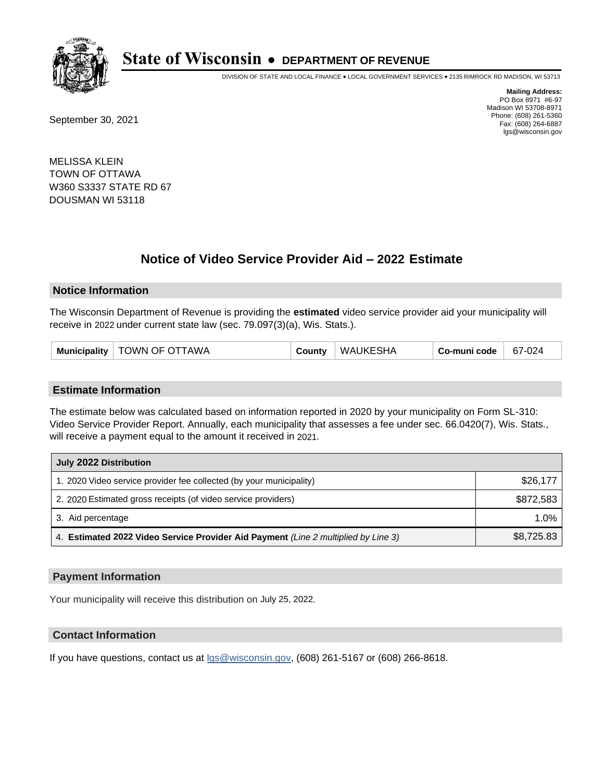

DIVISION OF STATE AND LOCAL FINANCE • LOCAL GOVERNMENT SERVICES • 2135 RIMROCK RD MADISON, WI 53713

September 30, 2021

**Mailing Address:** PO Box 8971 #6-97 Madison WI 53708-8971 Phone: (608) 261-5360 Fax: (608) 264-6887 lgs@wisconsin.gov

MELISSA KLEIN TOWN OF OTTAWA W360 S3337 STATE RD 67 DOUSMAN WI 53118

# **Notice of Video Service Provider Aid - 2022 Estimate**

## **Notice Information**

The Wisconsin Department of Revenue is providing the **estimated** video service provider aid your municipality will receive in 2022 under current state law (sec. 79.097(3)(a), Wis. Stats.).

| Municipality   TOWN OF OTTAWA | County | <b>WAUKESHA</b> | Co-muni code | $67-024$ |
|-------------------------------|--------|-----------------|--------------|----------|
|-------------------------------|--------|-----------------|--------------|----------|

## **Estimate Information**

The estimate below was calculated based on information reported in 2020 by your municipality on Form SL-310: Video Service Provider Report. Annually, each municipality that assesses a fee under sec. 66.0420(7), Wis. Stats., will receive a payment equal to the amount it received in 2021.

| July 2022 Distribution                                                             |            |
|------------------------------------------------------------------------------------|------------|
| 1. 2020 Video service provider fee collected (by your municipality)                | \$26,177   |
| 2. 2020 Estimated gross receipts (of video service providers)                      | \$872.583  |
| 3. Aid percentage                                                                  | $1.0\%$    |
| 4. Estimated 2022 Video Service Provider Aid Payment (Line 2 multiplied by Line 3) | \$8,725.83 |

## **Payment Information**

Your municipality will receive this distribution on July 25, 2022.

# **Contact Information**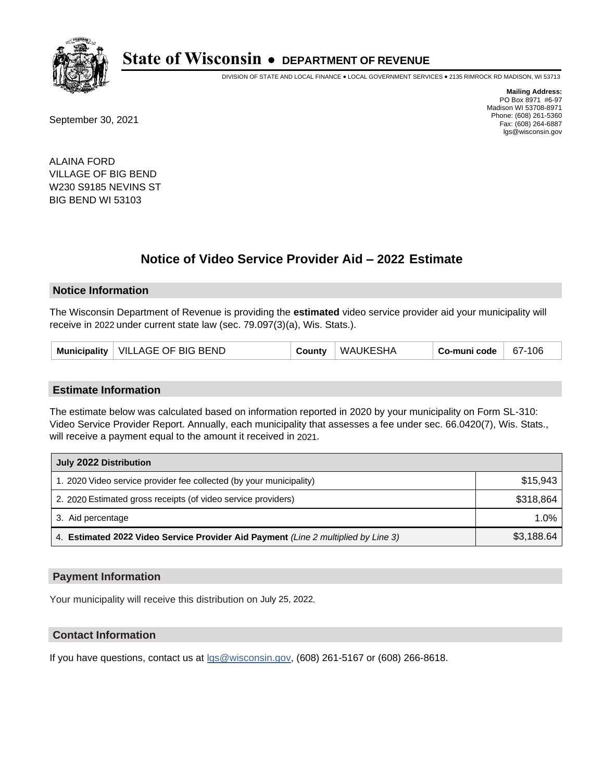

DIVISION OF STATE AND LOCAL FINANCE • LOCAL GOVERNMENT SERVICES • 2135 RIMROCK RD MADISON, WI 53713

September 30, 2021

**Mailing Address:** PO Box 8971 #6-97 Madison WI 53708-8971 Phone: (608) 261-5360 Fax: (608) 264-6887 lgs@wisconsin.gov

ALAINA FORD VILLAGE OF BIG BEND W230 S9185 NEVINS ST BIG BEND WI 53103

# **Notice of Video Service Provider Aid - 2022 Estimate**

## **Notice Information**

The Wisconsin Department of Revenue is providing the **estimated** video service provider aid your municipality will receive in 2022 under current state law (sec. 79.097(3)(a), Wis. Stats.).

| Municipality   VILLAGE OF BIG BEND | County | WAUKESHA | Co-muni code | 67-106 |
|------------------------------------|--------|----------|--------------|--------|
|------------------------------------|--------|----------|--------------|--------|

#### **Estimate Information**

The estimate below was calculated based on information reported in 2020 by your municipality on Form SL-310: Video Service Provider Report. Annually, each municipality that assesses a fee under sec. 66.0420(7), Wis. Stats., will receive a payment equal to the amount it received in 2021.

| July 2022 Distribution                                                             |            |
|------------------------------------------------------------------------------------|------------|
| 1. 2020 Video service provider fee collected (by your municipality)                | \$15.943   |
| 2. 2020 Estimated gross receipts (of video service providers)                      | \$318,864  |
| 3. Aid percentage                                                                  | 1.0%       |
| 4. Estimated 2022 Video Service Provider Aid Payment (Line 2 multiplied by Line 3) | \$3,188.64 |

## **Payment Information**

Your municipality will receive this distribution on July 25, 2022.

# **Contact Information**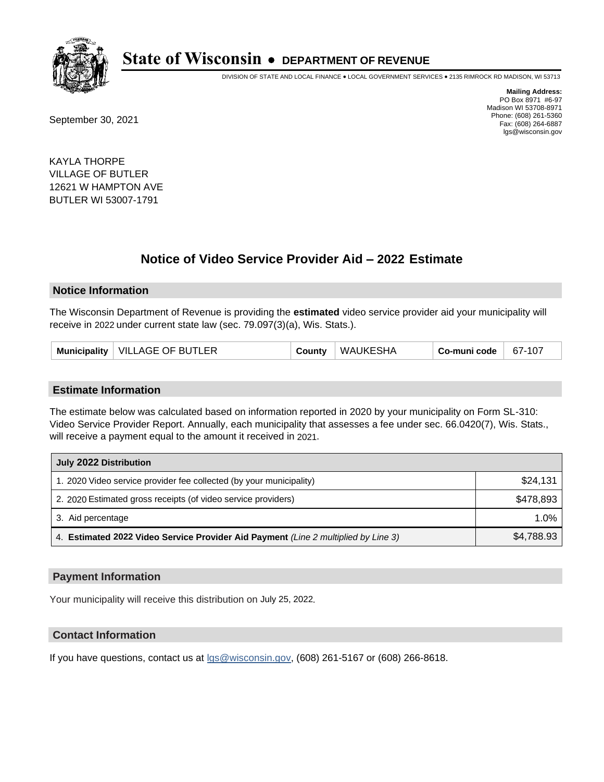

DIVISION OF STATE AND LOCAL FINANCE • LOCAL GOVERNMENT SERVICES • 2135 RIMROCK RD MADISON, WI 53713

September 30, 2021

**Mailing Address:** PO Box 8971 #6-97 Madison WI 53708-8971 Phone: (608) 261-5360 Fax: (608) 264-6887 lgs@wisconsin.gov

KAYLA THORPE VILLAGE OF BUTLER 12621 W HAMPTON AVE BUTLER WI 53007-1791

# **Notice of Video Service Provider Aid - 2022 Estimate**

## **Notice Information**

The Wisconsin Department of Revenue is providing the **estimated** video service provider aid your municipality will receive in 2022 under current state law (sec. 79.097(3)(a), Wis. Stats.).

| Municipality   VILLAGE OF BUTLER | County | WAUKESHA | Co-muni code | 67-107 |
|----------------------------------|--------|----------|--------------|--------|
|----------------------------------|--------|----------|--------------|--------|

## **Estimate Information**

The estimate below was calculated based on information reported in 2020 by your municipality on Form SL-310: Video Service Provider Report. Annually, each municipality that assesses a fee under sec. 66.0420(7), Wis. Stats., will receive a payment equal to the amount it received in 2021.

| July 2022 Distribution                                                             |            |
|------------------------------------------------------------------------------------|------------|
| 1. 2020 Video service provider fee collected (by your municipality)                | \$24,131   |
| 2. 2020 Estimated gross receipts (of video service providers)                      | \$478,893  |
| 3. Aid percentage                                                                  | 1.0%       |
| 4. Estimated 2022 Video Service Provider Aid Payment (Line 2 multiplied by Line 3) | \$4,788.93 |

## **Payment Information**

Your municipality will receive this distribution on July 25, 2022.

# **Contact Information**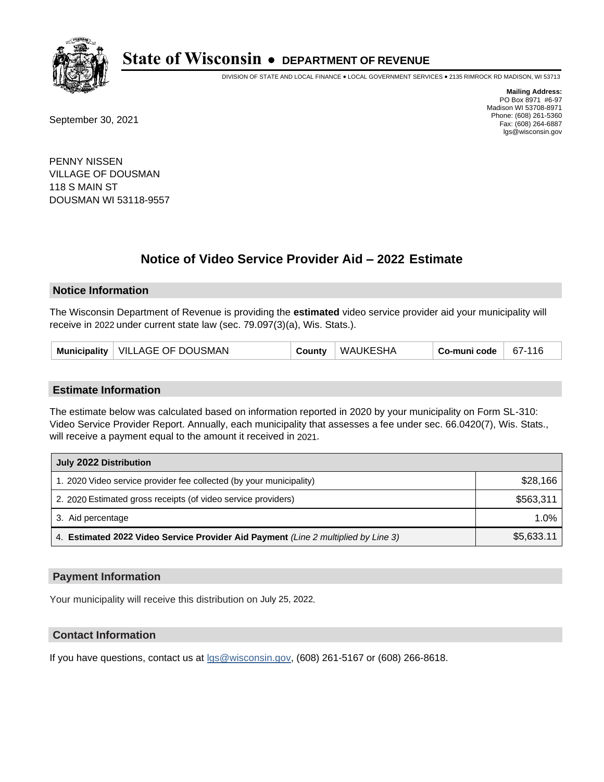

DIVISION OF STATE AND LOCAL FINANCE • LOCAL GOVERNMENT SERVICES • 2135 RIMROCK RD MADISON, WI 53713

September 30, 2021

**Mailing Address:** PO Box 8971 #6-97 Madison WI 53708-8971 Phone: (608) 261-5360 Fax: (608) 264-6887 lgs@wisconsin.gov

PENNY NISSEN VILLAGE OF DOUSMAN 118 S MAIN ST DOUSMAN WI 53118-9557

# **Notice of Video Service Provider Aid - 2022 Estimate**

## **Notice Information**

The Wisconsin Department of Revenue is providing the **estimated** video service provider aid your municipality will receive in 2022 under current state law (sec. 79.097(3)(a), Wis. Stats.).

| Municipality   VILLAGE OF DOUSMAN | County | WAUKESHA | Co-muni code | 67-116 |
|-----------------------------------|--------|----------|--------------|--------|
|-----------------------------------|--------|----------|--------------|--------|

## **Estimate Information**

The estimate below was calculated based on information reported in 2020 by your municipality on Form SL-310: Video Service Provider Report. Annually, each municipality that assesses a fee under sec. 66.0420(7), Wis. Stats., will receive a payment equal to the amount it received in 2021.

| July 2022 Distribution                                                             |            |
|------------------------------------------------------------------------------------|------------|
| 1. 2020 Video service provider fee collected (by your municipality)                | \$28,166   |
| 2. 2020 Estimated gross receipts (of video service providers)                      | \$563,311  |
| 3. Aid percentage                                                                  | 1.0%       |
| 4. Estimated 2022 Video Service Provider Aid Payment (Line 2 multiplied by Line 3) | \$5,633.11 |

## **Payment Information**

Your municipality will receive this distribution on July 25, 2022.

# **Contact Information**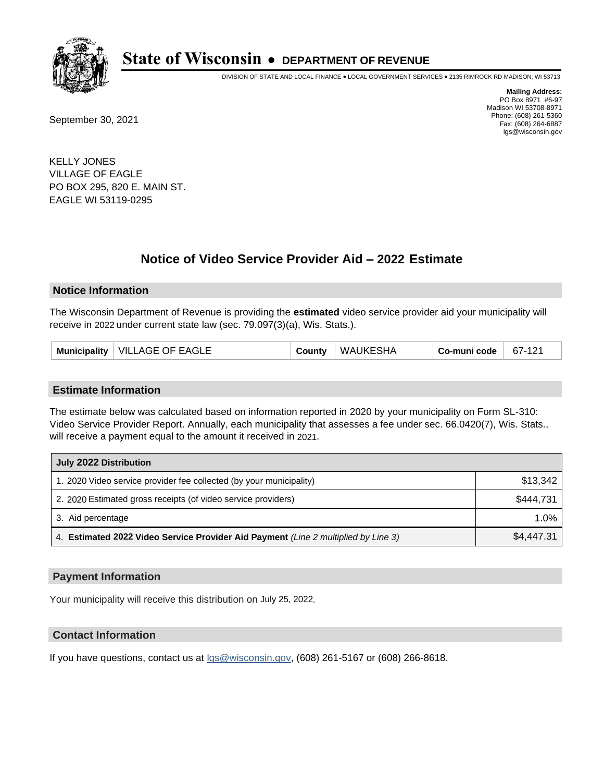

DIVISION OF STATE AND LOCAL FINANCE • LOCAL GOVERNMENT SERVICES • 2135 RIMROCK RD MADISON, WI 53713

September 30, 2021

**Mailing Address:** PO Box 8971 #6-97 Madison WI 53708-8971 Phone: (608) 261-5360 Fax: (608) 264-6887 lgs@wisconsin.gov

KELLY JONES VILLAGE OF EAGLE PO BOX 295, 820 E. MAIN ST. EAGLE WI 53119-0295

# **Notice of Video Service Provider Aid - 2022 Estimate**

## **Notice Information**

The Wisconsin Department of Revenue is providing the **estimated** video service provider aid your municipality will receive in 2022 under current state law (sec. 79.097(3)(a), Wis. Stats.).

## **Estimate Information**

The estimate below was calculated based on information reported in 2020 by your municipality on Form SL-310: Video Service Provider Report. Annually, each municipality that assesses a fee under sec. 66.0420(7), Wis. Stats., will receive a payment equal to the amount it received in 2021.

| July 2022 Distribution                                                             |            |  |  |  |
|------------------------------------------------------------------------------------|------------|--|--|--|
| 1. 2020 Video service provider fee collected (by your municipality)                | \$13,342   |  |  |  |
| 2. 2020 Estimated gross receipts (of video service providers)                      | \$444,731  |  |  |  |
| 3. Aid percentage                                                                  | 1.0%       |  |  |  |
| 4. Estimated 2022 Video Service Provider Aid Payment (Line 2 multiplied by Line 3) | \$4,447.31 |  |  |  |

## **Payment Information**

Your municipality will receive this distribution on July 25, 2022.

# **Contact Information**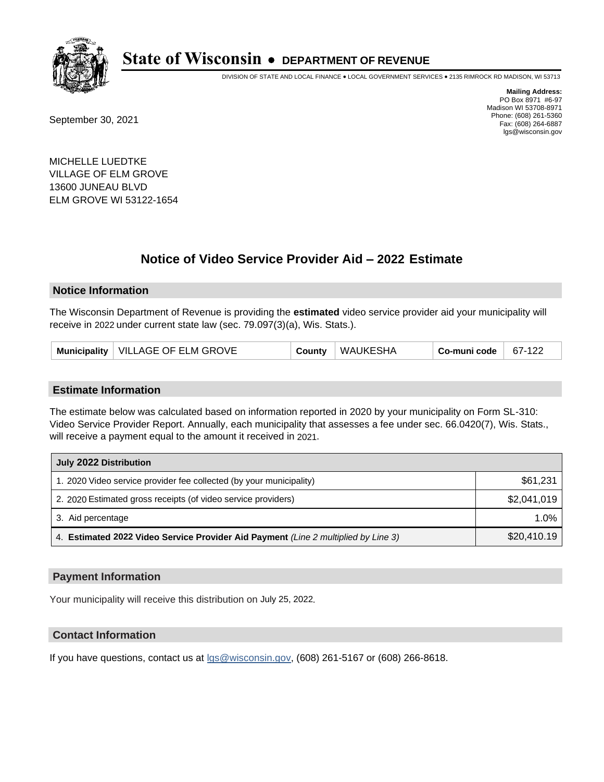

DIVISION OF STATE AND LOCAL FINANCE • LOCAL GOVERNMENT SERVICES • 2135 RIMROCK RD MADISON, WI 53713

September 30, 2021

**Mailing Address:** PO Box 8971 #6-97 Madison WI 53708-8971 Phone: (608) 261-5360 Fax: (608) 264-6887 lgs@wisconsin.gov

MICHELLE LUEDTKE VILLAGE OF ELM GROVE 13600 JUNEAU BLVD ELM GROVE WI 53122-1654

# **Notice of Video Service Provider Aid - 2022 Estimate**

## **Notice Information**

The Wisconsin Department of Revenue is providing the **estimated** video service provider aid your municipality will receive in 2022 under current state law (sec. 79.097(3)(a), Wis. Stats.).

| Municipality   VILLAGE OF ELM GROVE | County | WAUKESHA | $\overline{\phantom{a}}$ Co-muni code $\overline{\phantom{a}}$ | $67-122$ |
|-------------------------------------|--------|----------|----------------------------------------------------------------|----------|
|-------------------------------------|--------|----------|----------------------------------------------------------------|----------|

## **Estimate Information**

The estimate below was calculated based on information reported in 2020 by your municipality on Form SL-310: Video Service Provider Report. Annually, each municipality that assesses a fee under sec. 66.0420(7), Wis. Stats., will receive a payment equal to the amount it received in 2021.

| July 2022 Distribution                                                             |             |
|------------------------------------------------------------------------------------|-------------|
| 1. 2020 Video service provider fee collected (by your municipality)                | \$61,231    |
| 2. 2020 Estimated gross receipts (of video service providers)                      | \$2,041,019 |
| 3. Aid percentage                                                                  | $1.0\%$     |
| 4. Estimated 2022 Video Service Provider Aid Payment (Line 2 multiplied by Line 3) | \$20,410.19 |

## **Payment Information**

Your municipality will receive this distribution on July 25, 2022.

# **Contact Information**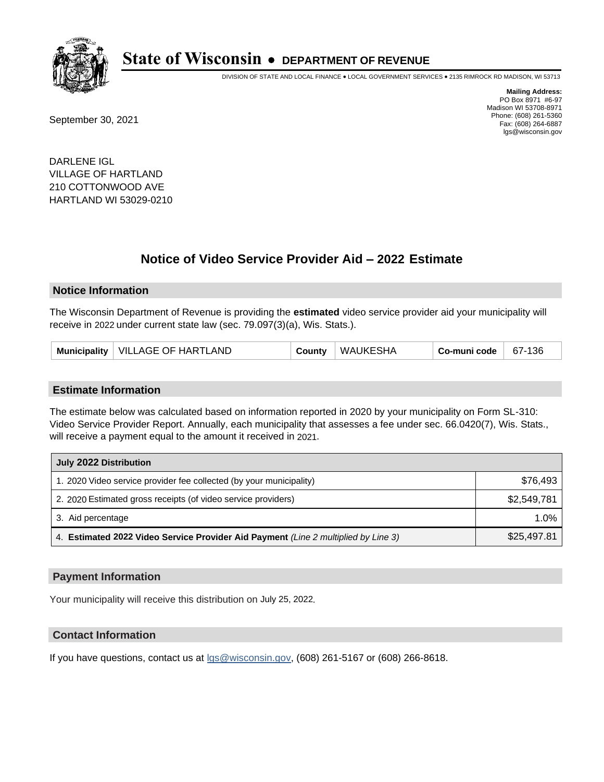

DIVISION OF STATE AND LOCAL FINANCE • LOCAL GOVERNMENT SERVICES • 2135 RIMROCK RD MADISON, WI 53713

September 30, 2021

**Mailing Address:** PO Box 8971 #6-97 Madison WI 53708-8971 Phone: (608) 261-5360 Fax: (608) 264-6887 lgs@wisconsin.gov

DARLENE IGL VILLAGE OF HARTLAND 210 COTTONWOOD AVE HARTLAND WI 53029-0210

# **Notice of Video Service Provider Aid - 2022 Estimate**

## **Notice Information**

The Wisconsin Department of Revenue is providing the **estimated** video service provider aid your municipality will receive in 2022 under current state law (sec. 79.097(3)(a), Wis. Stats.).

| Municipality   VILLAGE OF HARTLAND | County | WAUKESHA | Co-muni code | $67-136$ |
|------------------------------------|--------|----------|--------------|----------|
|------------------------------------|--------|----------|--------------|----------|

## **Estimate Information**

The estimate below was calculated based on information reported in 2020 by your municipality on Form SL-310: Video Service Provider Report. Annually, each municipality that assesses a fee under sec. 66.0420(7), Wis. Stats., will receive a payment equal to the amount it received in 2021.

| July 2022 Distribution                                                             |             |
|------------------------------------------------------------------------------------|-------------|
| 1. 2020 Video service provider fee collected (by your municipality)                | \$76,493    |
| 2. 2020 Estimated gross receipts (of video service providers)                      | \$2,549,781 |
| 3. Aid percentage                                                                  | 1.0%        |
| 4. Estimated 2022 Video Service Provider Aid Payment (Line 2 multiplied by Line 3) | \$25,497.81 |

## **Payment Information**

Your municipality will receive this distribution on July 25, 2022.

# **Contact Information**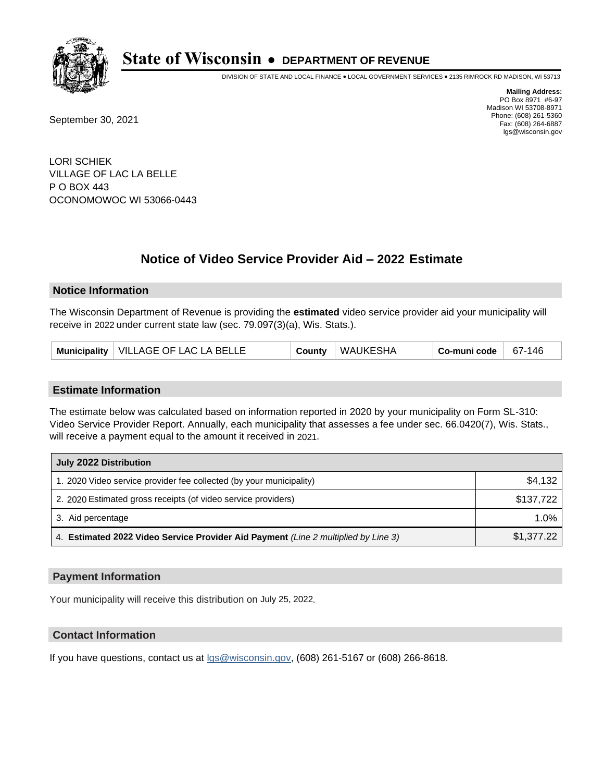

DIVISION OF STATE AND LOCAL FINANCE • LOCAL GOVERNMENT SERVICES • 2135 RIMROCK RD MADISON, WI 53713

September 30, 2021

**Mailing Address:** PO Box 8971 #6-97 Madison WI 53708-8971 Phone: (608) 261-5360 Fax: (608) 264-6887 lgs@wisconsin.gov

LORI SCHIEK VILLAGE OF LAC LA BELLE P O BOX 443 OCONOMOWOC WI 53066-0443

# **Notice of Video Service Provider Aid - 2022 Estimate**

## **Notice Information**

The Wisconsin Department of Revenue is providing the **estimated** video service provider aid your municipality will receive in 2022 under current state law (sec. 79.097(3)(a), Wis. Stats.).

| Municipality   VILLAGE OF LAC LA BELLE | County | ∣ WAUKESHA | Co-muni code | 67-146 |
|----------------------------------------|--------|------------|--------------|--------|
|----------------------------------------|--------|------------|--------------|--------|

## **Estimate Information**

The estimate below was calculated based on information reported in 2020 by your municipality on Form SL-310: Video Service Provider Report. Annually, each municipality that assesses a fee under sec. 66.0420(7), Wis. Stats., will receive a payment equal to the amount it received in 2021.

| July 2022 Distribution                                                             |            |
|------------------------------------------------------------------------------------|------------|
| 1. 2020 Video service provider fee collected (by your municipality)                | \$4,132    |
| 2. 2020 Estimated gross receipts (of video service providers)                      | \$137,722  |
| 3. Aid percentage                                                                  | $1.0\%$    |
| 4. Estimated 2022 Video Service Provider Aid Payment (Line 2 multiplied by Line 3) | \$1,377.22 |

## **Payment Information**

Your municipality will receive this distribution on July 25, 2022.

# **Contact Information**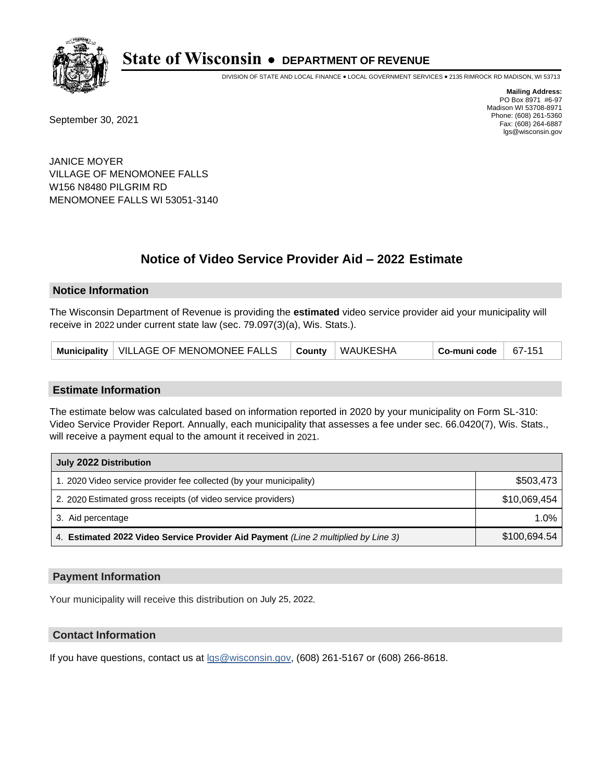

DIVISION OF STATE AND LOCAL FINANCE • LOCAL GOVERNMENT SERVICES • 2135 RIMROCK RD MADISON, WI 53713

September 30, 2021

**Mailing Address:** PO Box 8971 #6-97 Madison WI 53708-8971 Phone: (608) 261-5360 Fax: (608) 264-6887 lgs@wisconsin.gov

JANICE MOYER VILLAGE OF MENOMONEE FALLS W156 N8480 PILGRIM RD MENOMONEE FALLS WI 53051-3140

# **Notice of Video Service Provider Aid - 2022 Estimate**

## **Notice Information**

The Wisconsin Department of Revenue is providing the **estimated** video service provider aid your municipality will receive in 2022 under current state law (sec. 79.097(3)(a), Wis. Stats.).

|  |  | Municipality   VILLAGE OF MENOMONEE FALLS |  | County   WAUKESHA | Co-municode $67-151$ |  |
|--|--|-------------------------------------------|--|-------------------|----------------------|--|
|--|--|-------------------------------------------|--|-------------------|----------------------|--|

## **Estimate Information**

The estimate below was calculated based on information reported in 2020 by your municipality on Form SL-310: Video Service Provider Report. Annually, each municipality that assesses a fee under sec. 66.0420(7), Wis. Stats., will receive a payment equal to the amount it received in 2021.

| July 2022 Distribution                                                             |              |  |  |  |
|------------------------------------------------------------------------------------|--------------|--|--|--|
| 1. 2020 Video service provider fee collected (by your municipality)                | \$503,473    |  |  |  |
| 2. 2020 Estimated gross receipts (of video service providers)                      | \$10.069.454 |  |  |  |
| 3. Aid percentage                                                                  | $1.0\%$      |  |  |  |
| 4. Estimated 2022 Video Service Provider Aid Payment (Line 2 multiplied by Line 3) | \$100,694.54 |  |  |  |

## **Payment Information**

Your municipality will receive this distribution on July 25, 2022.

# **Contact Information**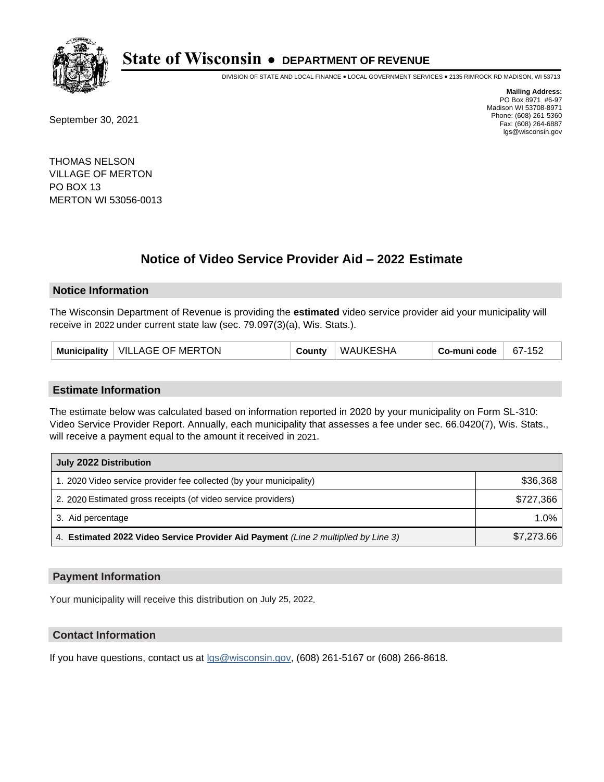

DIVISION OF STATE AND LOCAL FINANCE • LOCAL GOVERNMENT SERVICES • 2135 RIMROCK RD MADISON, WI 53713

September 30, 2021

**Mailing Address:** PO Box 8971 #6-97 Madison WI 53708-8971 Phone: (608) 261-5360 Fax: (608) 264-6887 lgs@wisconsin.gov

THOMAS NELSON VILLAGE OF MERTON PO BOX 13 MERTON WI 53056-0013

# **Notice of Video Service Provider Aid - 2022 Estimate**

## **Notice Information**

The Wisconsin Department of Revenue is providing the **estimated** video service provider aid your municipality will receive in 2022 under current state law (sec. 79.097(3)(a), Wis. Stats.).

| Municipality   VILLAGE OF MERTON | County | WAUKESHA | Co-muni code | 67-152 |
|----------------------------------|--------|----------|--------------|--------|
|----------------------------------|--------|----------|--------------|--------|

## **Estimate Information**

The estimate below was calculated based on information reported in 2020 by your municipality on Form SL-310: Video Service Provider Report. Annually, each municipality that assesses a fee under sec. 66.0420(7), Wis. Stats., will receive a payment equal to the amount it received in 2021.

| July 2022 Distribution                                                             |            |  |  |
|------------------------------------------------------------------------------------|------------|--|--|
| 1. 2020 Video service provider fee collected (by your municipality)                | \$36,368   |  |  |
| 2. 2020 Estimated gross receipts (of video service providers)                      | \$727.366  |  |  |
| 3. Aid percentage                                                                  | $1.0\%$    |  |  |
| 4. Estimated 2022 Video Service Provider Aid Payment (Line 2 multiplied by Line 3) | \$7,273.66 |  |  |

## **Payment Information**

Your municipality will receive this distribution on July 25, 2022.

# **Contact Information**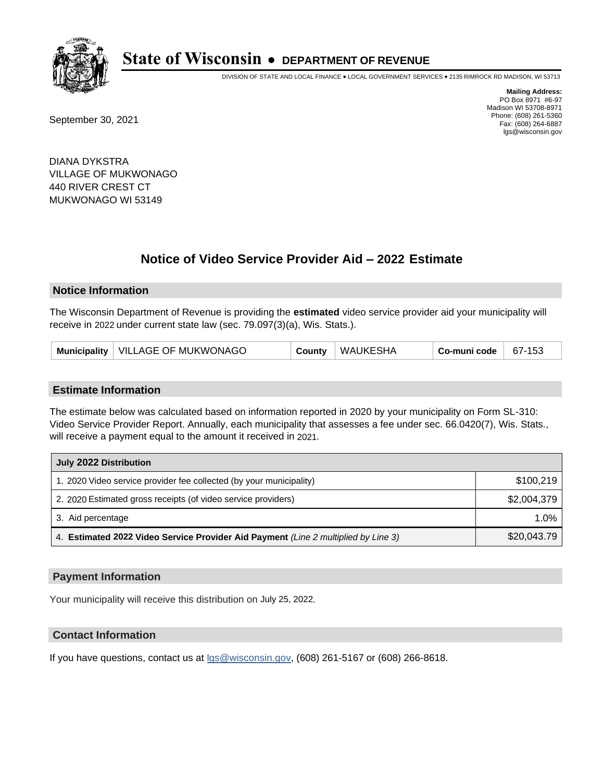

DIVISION OF STATE AND LOCAL FINANCE • LOCAL GOVERNMENT SERVICES • 2135 RIMROCK RD MADISON, WI 53713

September 30, 2021

**Mailing Address:** PO Box 8971 #6-97 Madison WI 53708-8971 Phone: (608) 261-5360 Fax: (608) 264-6887 lgs@wisconsin.gov

DIANA DYKSTRA VILLAGE OF MUKWONAGO 440 RIVER CREST CT MUKWONAGO WI 53149

## **Notice of Video Service Provider Aid - 2022 Estimate**

#### **Notice Information**

The Wisconsin Department of Revenue is providing the **estimated** video service provider aid your municipality will receive in 2022 under current state law (sec. 79.097(3)(a), Wis. Stats.).

#### **Estimate Information**

The estimate below was calculated based on information reported in 2020 by your municipality on Form SL-310: Video Service Provider Report. Annually, each municipality that assesses a fee under sec. 66.0420(7), Wis. Stats., will receive a payment equal to the amount it received in 2021.

| July 2022 Distribution                                                             |             |
|------------------------------------------------------------------------------------|-------------|
| 1. 2020 Video service provider fee collected (by your municipality)                | \$100.219   |
| 2. 2020 Estimated gross receipts (of video service providers)                      | \$2,004,379 |
| 3. Aid percentage                                                                  | $1.0\%$     |
| 4. Estimated 2022 Video Service Provider Aid Payment (Line 2 multiplied by Line 3) | \$20,043.79 |

#### **Payment Information**

Your municipality will receive this distribution on July 25, 2022.

## **Contact Information**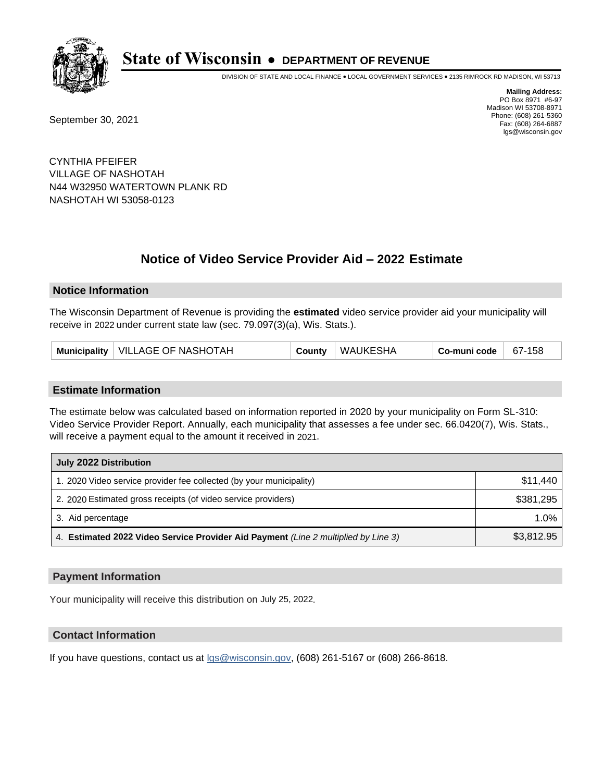

DIVISION OF STATE AND LOCAL FINANCE • LOCAL GOVERNMENT SERVICES • 2135 RIMROCK RD MADISON, WI 53713

September 30, 2021

**Mailing Address:** PO Box 8971 #6-97 Madison WI 53708-8971 Phone: (608) 261-5360 Fax: (608) 264-6887 lgs@wisconsin.gov

CYNTHIA PFEIFER VILLAGE OF NASHOTAH N44 W32950 WATERTOWN PLANK RD NASHOTAH WI 53058-0123

# **Notice of Video Service Provider Aid - 2022 Estimate**

#### **Notice Information**

The Wisconsin Department of Revenue is providing the **estimated** video service provider aid your municipality will receive in 2022 under current state law (sec. 79.097(3)(a), Wis. Stats.).

| Municipality   VILLAGE OF NASHOTAH | WAUKESHA<br>County | Co-muni code<br>$67 - 158$ |
|------------------------------------|--------------------|----------------------------|
|------------------------------------|--------------------|----------------------------|

#### **Estimate Information**

The estimate below was calculated based on information reported in 2020 by your municipality on Form SL-310: Video Service Provider Report. Annually, each municipality that assesses a fee under sec. 66.0420(7), Wis. Stats., will receive a payment equal to the amount it received in 2021.

| July 2022 Distribution                                                             |            |
|------------------------------------------------------------------------------------|------------|
| 1. 2020 Video service provider fee collected (by your municipality)                | \$11.440   |
| 2. 2020 Estimated gross receipts (of video service providers)                      | \$381,295  |
| 3. Aid percentage                                                                  | $1.0\%$    |
| 4. Estimated 2022 Video Service Provider Aid Payment (Line 2 multiplied by Line 3) | \$3,812.95 |

#### **Payment Information**

Your municipality will receive this distribution on July 25, 2022.

## **Contact Information**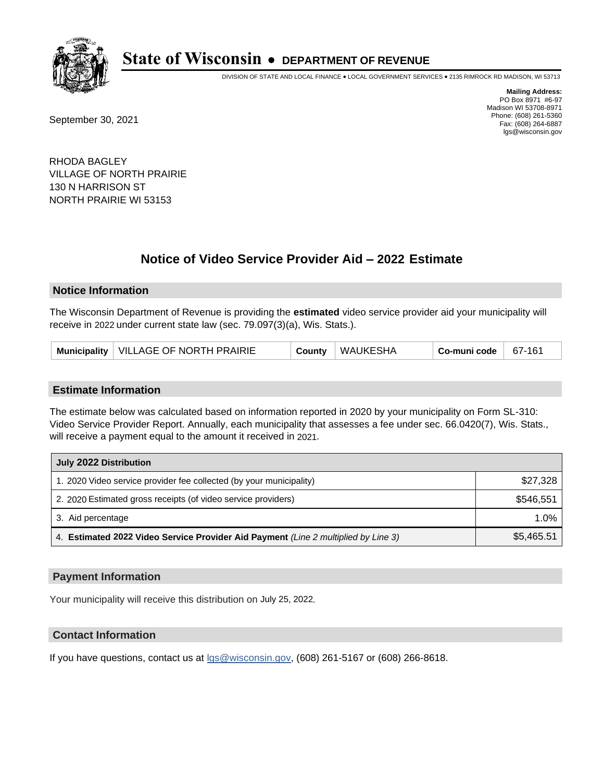

DIVISION OF STATE AND LOCAL FINANCE • LOCAL GOVERNMENT SERVICES • 2135 RIMROCK RD MADISON, WI 53713

September 30, 2021

**Mailing Address:** PO Box 8971 #6-97 Madison WI 53708-8971 Phone: (608) 261-5360 Fax: (608) 264-6887 lgs@wisconsin.gov

RHODA BAGLEY VILLAGE OF NORTH PRAIRIE 130 N HARRISON ST NORTH PRAIRIE WI 53153

## **Notice of Video Service Provider Aid - 2022 Estimate**

### **Notice Information**

The Wisconsin Department of Revenue is providing the **estimated** video service provider aid your municipality will receive in 2022 under current state law (sec. 79.097(3)(a), Wis. Stats.).

| Municipality   VILLAGE OF NORTH PRAIRIE | County | WAUKESHA | Co-muni code | 67-161 |
|-----------------------------------------|--------|----------|--------------|--------|
|-----------------------------------------|--------|----------|--------------|--------|

#### **Estimate Information**

The estimate below was calculated based on information reported in 2020 by your municipality on Form SL-310: Video Service Provider Report. Annually, each municipality that assesses a fee under sec. 66.0420(7), Wis. Stats., will receive a payment equal to the amount it received in 2021.

| July 2022 Distribution                                                             |            |
|------------------------------------------------------------------------------------|------------|
| 1. 2020 Video service provider fee collected (by your municipality)                | \$27,328   |
| 2. 2020 Estimated gross receipts (of video service providers)                      | \$546,551  |
| 3. Aid percentage                                                                  | 1.0%       |
| 4. Estimated 2022 Video Service Provider Aid Payment (Line 2 multiplied by Line 3) | \$5,465.51 |

#### **Payment Information**

Your municipality will receive this distribution on July 25, 2022.

## **Contact Information**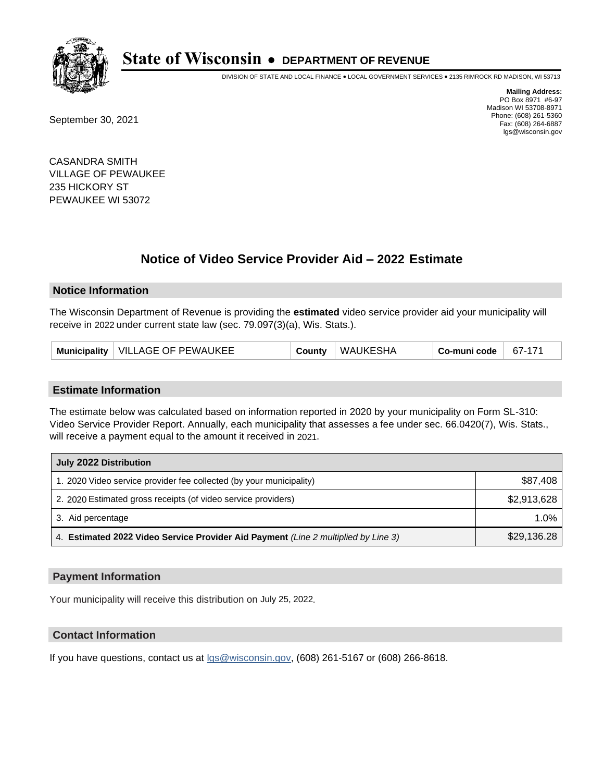

DIVISION OF STATE AND LOCAL FINANCE • LOCAL GOVERNMENT SERVICES • 2135 RIMROCK RD MADISON, WI 53713

September 30, 2021

**Mailing Address:** PO Box 8971 #6-97 Madison WI 53708-8971 Phone: (608) 261-5360 Fax: (608) 264-6887 lgs@wisconsin.gov

CASANDRA SMITH VILLAGE OF PEWAUKEE 235 HICKORY ST PEWAUKEE WI 53072

## **Notice of Video Service Provider Aid - 2022 Estimate**

#### **Notice Information**

The Wisconsin Department of Revenue is providing the **estimated** video service provider aid your municipality will receive in 2022 under current state law (sec. 79.097(3)(a), Wis. Stats.).

| Municipality   VILLAGE OF PEWAUKEE | County | <b>WAUKESHA</b> | Co-muni code | 67-171 |
|------------------------------------|--------|-----------------|--------------|--------|
|------------------------------------|--------|-----------------|--------------|--------|

#### **Estimate Information**

The estimate below was calculated based on information reported in 2020 by your municipality on Form SL-310: Video Service Provider Report. Annually, each municipality that assesses a fee under sec. 66.0420(7), Wis. Stats., will receive a payment equal to the amount it received in 2021.

| July 2022 Distribution                                                             |             |
|------------------------------------------------------------------------------------|-------------|
| 1. 2020 Video service provider fee collected (by your municipality)                | \$87,408    |
| 2. 2020 Estimated gross receipts (of video service providers)                      | \$2,913,628 |
| 3. Aid percentage                                                                  | 1.0%        |
| 4. Estimated 2022 Video Service Provider Aid Payment (Line 2 multiplied by Line 3) | \$29,136.28 |

#### **Payment Information**

Your municipality will receive this distribution on July 25, 2022.

## **Contact Information**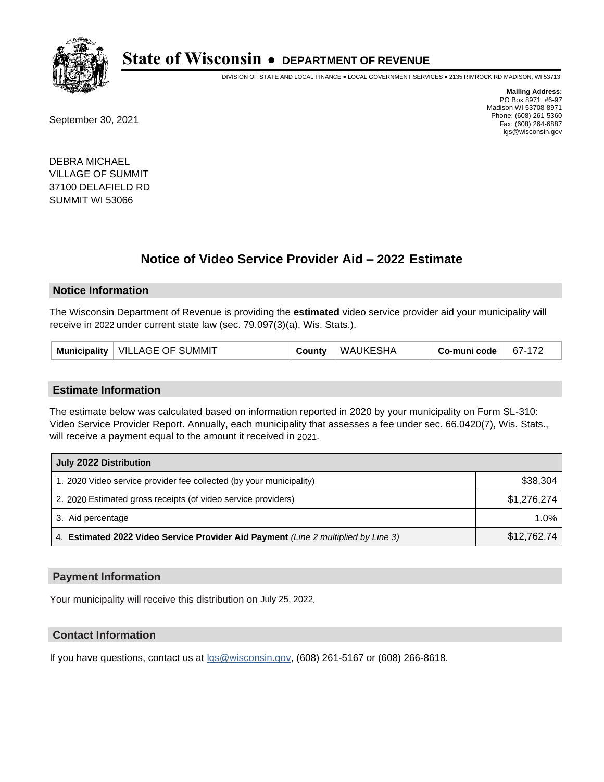

DIVISION OF STATE AND LOCAL FINANCE • LOCAL GOVERNMENT SERVICES • 2135 RIMROCK RD MADISON, WI 53713

September 30, 2021

**Mailing Address:** PO Box 8971 #6-97 Madison WI 53708-8971 Phone: (608) 261-5360 Fax: (608) 264-6887 lgs@wisconsin.gov

DEBRA MICHAEL VILLAGE OF SUMMIT 37100 DELAFIELD RD SUMMIT WI 53066

## **Notice of Video Service Provider Aid - 2022 Estimate**

#### **Notice Information**

The Wisconsin Department of Revenue is providing the **estimated** video service provider aid your municipality will receive in 2022 under current state law (sec. 79.097(3)(a), Wis. Stats.).

| Municipality   VILLAGE OF SUMMIT | County | <b>WAUKESHA</b> | Co-muni code | 67-172 |
|----------------------------------|--------|-----------------|--------------|--------|
|----------------------------------|--------|-----------------|--------------|--------|

#### **Estimate Information**

The estimate below was calculated based on information reported in 2020 by your municipality on Form SL-310: Video Service Provider Report. Annually, each municipality that assesses a fee under sec. 66.0420(7), Wis. Stats., will receive a payment equal to the amount it received in 2021.

| July 2022 Distribution                                                             |             |
|------------------------------------------------------------------------------------|-------------|
| 1. 2020 Video service provider fee collected (by your municipality)                | \$38,304    |
| 2. 2020 Estimated gross receipts (of video service providers)                      | \$1.276.274 |
| 3. Aid percentage                                                                  | 1.0%        |
| 4. Estimated 2022 Video Service Provider Aid Payment (Line 2 multiplied by Line 3) | \$12,762.74 |

#### **Payment Information**

Your municipality will receive this distribution on July 25, 2022.

### **Contact Information**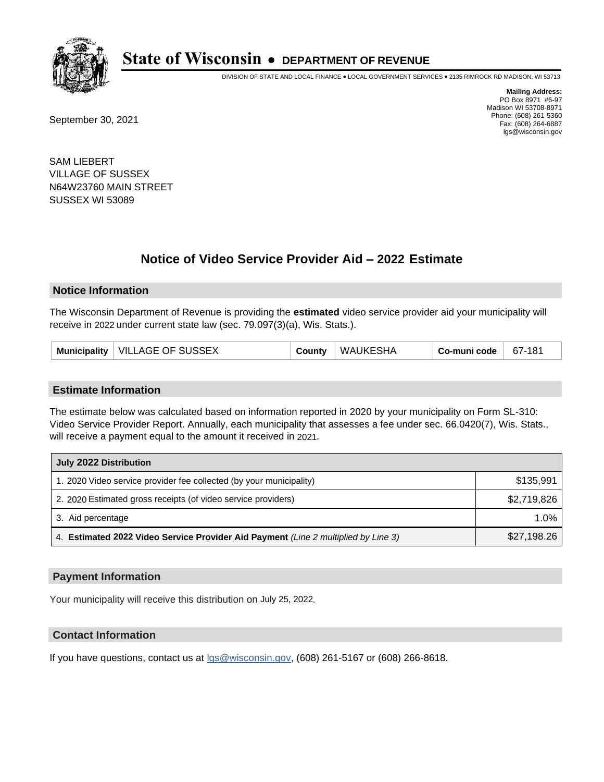

DIVISION OF STATE AND LOCAL FINANCE • LOCAL GOVERNMENT SERVICES • 2135 RIMROCK RD MADISON, WI 53713

September 30, 2021

**Mailing Address:** PO Box 8971 #6-97 Madison WI 53708-8971 Phone: (608) 261-5360 Fax: (608) 264-6887 lgs@wisconsin.gov

SAM LIEBERT VILLAGE OF SUSSEX N64W23760 MAIN STREET SUSSEX WI 53089

## **Notice of Video Service Provider Aid - 2022 Estimate**

#### **Notice Information**

The Wisconsin Department of Revenue is providing the **estimated** video service provider aid your municipality will receive in 2022 under current state law (sec. 79.097(3)(a), Wis. Stats.).

| Municipality   VILLAGE OF SUSSEX | County | WAUKESHA | Co-muni code | 67-181 |
|----------------------------------|--------|----------|--------------|--------|
|----------------------------------|--------|----------|--------------|--------|

#### **Estimate Information**

The estimate below was calculated based on information reported in 2020 by your municipality on Form SL-310: Video Service Provider Report. Annually, each municipality that assesses a fee under sec. 66.0420(7), Wis. Stats., will receive a payment equal to the amount it received in 2021.

| July 2022 Distribution                                                             |             |
|------------------------------------------------------------------------------------|-------------|
| 1. 2020 Video service provider fee collected (by your municipality)                | \$135,991   |
| 2. 2020 Estimated gross receipts (of video service providers)                      | \$2,719,826 |
| 3. Aid percentage                                                                  | $1.0\%$     |
| 4. Estimated 2022 Video Service Provider Aid Payment (Line 2 multiplied by Line 3) | \$27,198.26 |

#### **Payment Information**

Your municipality will receive this distribution on July 25, 2022.

## **Contact Information**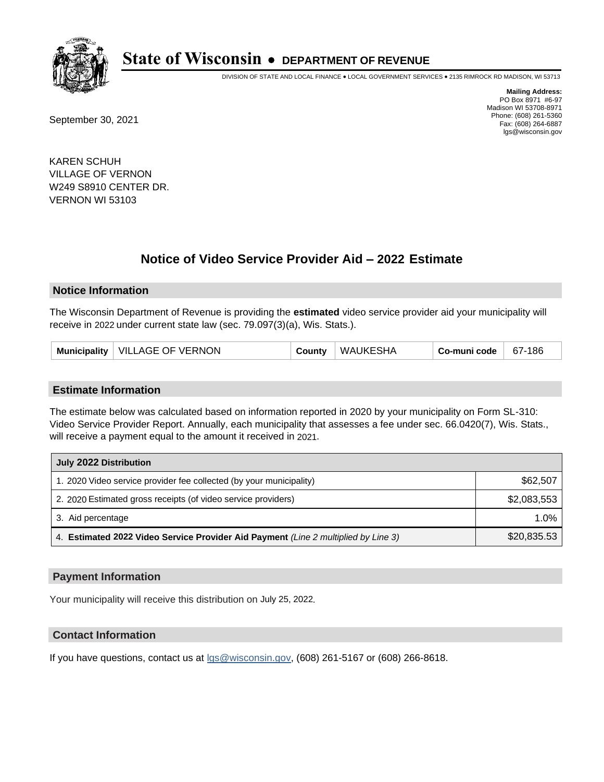

DIVISION OF STATE AND LOCAL FINANCE • LOCAL GOVERNMENT SERVICES • 2135 RIMROCK RD MADISON, WI 53713

September 30, 2021

**Mailing Address:** PO Box 8971 #6-97 Madison WI 53708-8971 Phone: (608) 261-5360 Fax: (608) 264-6887 lgs@wisconsin.gov

KAREN SCHUH VILLAGE OF VERNON W249 S8910 CENTER DR. VERNON WI 53103

## **Notice of Video Service Provider Aid - 2022 Estimate**

#### **Notice Information**

The Wisconsin Department of Revenue is providing the **estimated** video service provider aid your municipality will receive in 2022 under current state law (sec. 79.097(3)(a), Wis. Stats.).

| Municipality   VILLAGE OF VERNON | County | WAUKESHA | $\overline{\phantom{a}}$ Co-muni code $\overline{\phantom{a}}$ | $67-186$ |
|----------------------------------|--------|----------|----------------------------------------------------------------|----------|
|----------------------------------|--------|----------|----------------------------------------------------------------|----------|

#### **Estimate Information**

The estimate below was calculated based on information reported in 2020 by your municipality on Form SL-310: Video Service Provider Report. Annually, each municipality that assesses a fee under sec. 66.0420(7), Wis. Stats., will receive a payment equal to the amount it received in 2021.

| July 2022 Distribution                                                             |             |  |  |  |
|------------------------------------------------------------------------------------|-------------|--|--|--|
| 1. 2020 Video service provider fee collected (by your municipality)                | \$62,507    |  |  |  |
| 2. 2020 Estimated gross receipts (of video service providers)                      | \$2,083,553 |  |  |  |
| 3. Aid percentage                                                                  | $1.0\%$     |  |  |  |
| 4. Estimated 2022 Video Service Provider Aid Payment (Line 2 multiplied by Line 3) | \$20,835.53 |  |  |  |

#### **Payment Information**

Your municipality will receive this distribution on July 25, 2022.

## **Contact Information**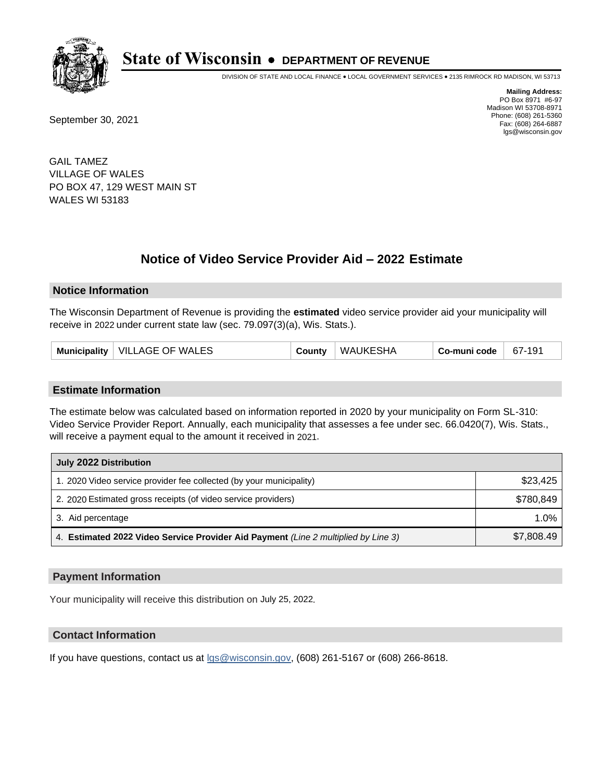

DIVISION OF STATE AND LOCAL FINANCE • LOCAL GOVERNMENT SERVICES • 2135 RIMROCK RD MADISON, WI 53713

September 30, 2021

**Mailing Address:** PO Box 8971 #6-97 Madison WI 53708-8971 Phone: (608) 261-5360 Fax: (608) 264-6887 lgs@wisconsin.gov

GAIL TAMEZ VILLAGE OF WALES PO BOX 47, 129 WEST MAIN ST WALES WI 53183

## **Notice of Video Service Provider Aid - 2022 Estimate**

#### **Notice Information**

The Wisconsin Department of Revenue is providing the **estimated** video service provider aid your municipality will receive in 2022 under current state law (sec. 79.097(3)(a), Wis. Stats.).

| Municipality   VILLAGE OF WALES | County | WAUKESHA | Co-muni code | 67-191 |
|---------------------------------|--------|----------|--------------|--------|
|---------------------------------|--------|----------|--------------|--------|

#### **Estimate Information**

The estimate below was calculated based on information reported in 2020 by your municipality on Form SL-310: Video Service Provider Report. Annually, each municipality that assesses a fee under sec. 66.0420(7), Wis. Stats., will receive a payment equal to the amount it received in 2021.

| July 2022 Distribution                                                             |            |  |  |  |
|------------------------------------------------------------------------------------|------------|--|--|--|
| 1. 2020 Video service provider fee collected (by your municipality)                | \$23,425   |  |  |  |
| 2. 2020 Estimated gross receipts (of video service providers)                      | \$780.849  |  |  |  |
| 3. Aid percentage                                                                  | $1.0\%$    |  |  |  |
| 4. Estimated 2022 Video Service Provider Aid Payment (Line 2 multiplied by Line 3) | \$7,808.49 |  |  |  |

#### **Payment Information**

Your municipality will receive this distribution on July 25, 2022.

## **Contact Information**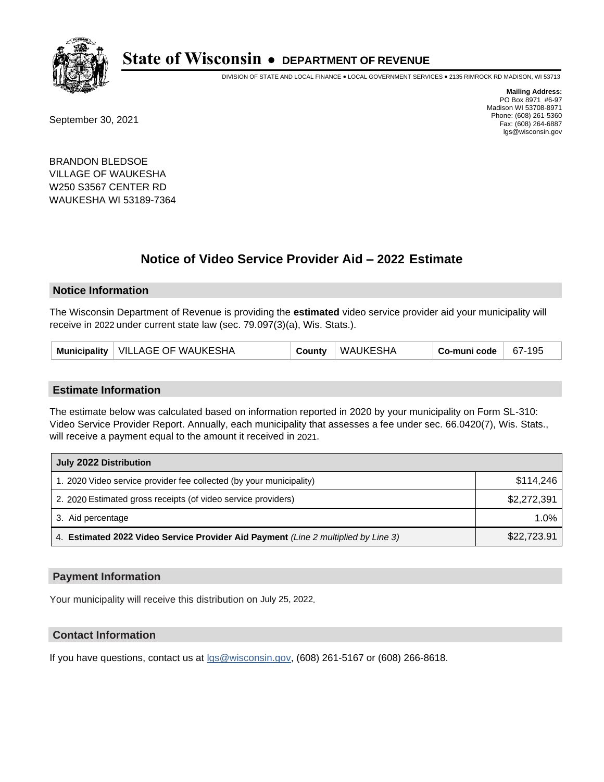

DIVISION OF STATE AND LOCAL FINANCE • LOCAL GOVERNMENT SERVICES • 2135 RIMROCK RD MADISON, WI 53713

September 30, 2021

**Mailing Address:** PO Box 8971 #6-97 Madison WI 53708-8971 Phone: (608) 261-5360 Fax: (608) 264-6887 lgs@wisconsin.gov

BRANDON BLEDSOE VILLAGE OF WAUKESHA W250 S3567 CENTER RD WAUKESHA WI 53189-7364

## **Notice of Video Service Provider Aid - 2022 Estimate**

#### **Notice Information**

The Wisconsin Department of Revenue is providing the **estimated** video service provider aid your municipality will receive in 2022 under current state law (sec. 79.097(3)(a), Wis. Stats.).

#### **Estimate Information**

The estimate below was calculated based on information reported in 2020 by your municipality on Form SL-310: Video Service Provider Report. Annually, each municipality that assesses a fee under sec. 66.0420(7), Wis. Stats., will receive a payment equal to the amount it received in 2021.

| July 2022 Distribution                                                             |             |  |  |  |
|------------------------------------------------------------------------------------|-------------|--|--|--|
| 1. 2020 Video service provider fee collected (by your municipality)                | \$114,246   |  |  |  |
| 2. 2020 Estimated gross receipts (of video service providers)                      | \$2,272,391 |  |  |  |
| 3. Aid percentage                                                                  | 1.0%        |  |  |  |
| 4. Estimated 2022 Video Service Provider Aid Payment (Line 2 multiplied by Line 3) | \$22,723.91 |  |  |  |

#### **Payment Information**

Your municipality will receive this distribution on July 25, 2022.

## **Contact Information**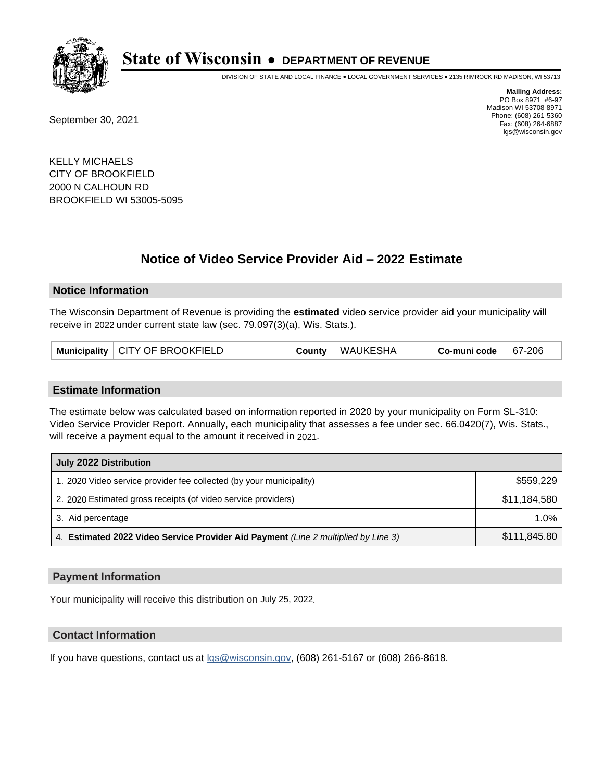

DIVISION OF STATE AND LOCAL FINANCE • LOCAL GOVERNMENT SERVICES • 2135 RIMROCK RD MADISON, WI 53713

September 30, 2021

**Mailing Address:** PO Box 8971 #6-97 Madison WI 53708-8971 Phone: (608) 261-5360 Fax: (608) 264-6887 lgs@wisconsin.gov

KELLY MICHAELS CITY OF BROOKFIELD 2000 N CALHOUN RD BROOKFIELD WI 53005-5095

## **Notice of Video Service Provider Aid - 2022 Estimate**

#### **Notice Information**

The Wisconsin Department of Revenue is providing the **estimated** video service provider aid your municipality will receive in 2022 under current state law (sec. 79.097(3)(a), Wis. Stats.).

|  | Municipality   CITY OF BROOKFIELD | County | <b>WAUKESHA</b> | Co-muni code | 67-206 |
|--|-----------------------------------|--------|-----------------|--------------|--------|
|--|-----------------------------------|--------|-----------------|--------------|--------|

#### **Estimate Information**

The estimate below was calculated based on information reported in 2020 by your municipality on Form SL-310: Video Service Provider Report. Annually, each municipality that assesses a fee under sec. 66.0420(7), Wis. Stats., will receive a payment equal to the amount it received in 2021.

| July 2022 Distribution                                                             |              |  |  |  |
|------------------------------------------------------------------------------------|--------------|--|--|--|
| 1. 2020 Video service provider fee collected (by your municipality)                | \$559,229    |  |  |  |
| 2. 2020 Estimated gross receipts (of video service providers)                      | \$11,184,580 |  |  |  |
| 3. Aid percentage                                                                  | $1.0\%$      |  |  |  |
| 4. Estimated 2022 Video Service Provider Aid Payment (Line 2 multiplied by Line 3) | \$111,845.80 |  |  |  |

#### **Payment Information**

Your municipality will receive this distribution on July 25, 2022.

## **Contact Information**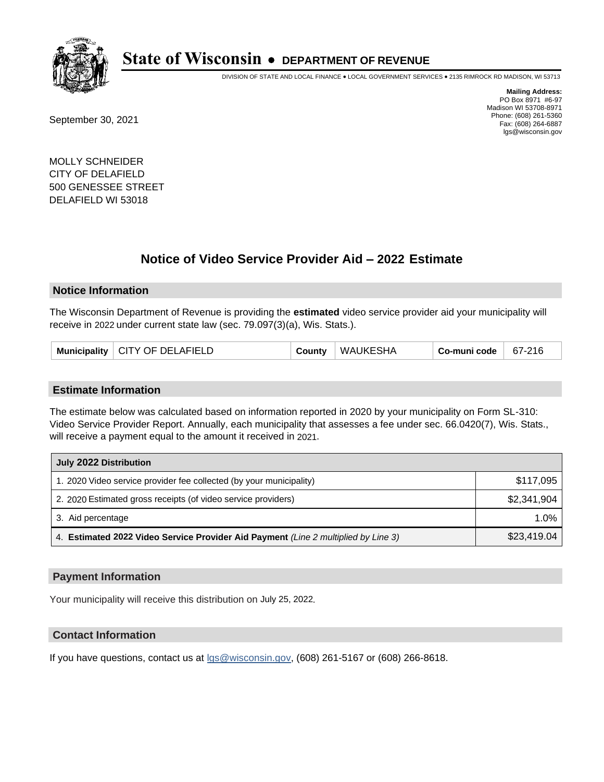

DIVISION OF STATE AND LOCAL FINANCE • LOCAL GOVERNMENT SERVICES • 2135 RIMROCK RD MADISON, WI 53713

September 30, 2021

**Mailing Address:** PO Box 8971 #6-97 Madison WI 53708-8971 Phone: (608) 261-5360 Fax: (608) 264-6887 lgs@wisconsin.gov

MOLLY SCHNEIDER CITY OF DELAFIELD 500 GENESSEE STREET DELAFIELD WI 53018

## **Notice of Video Service Provider Aid - 2022 Estimate**

#### **Notice Information**

The Wisconsin Department of Revenue is providing the **estimated** video service provider aid your municipality will receive in 2022 under current state law (sec. 79.097(3)(a), Wis. Stats.).

| Municipality   CITY OF DELAFIELD |  | County | <b>WAUKESHA</b> | Co-muni code | 67-216 |
|----------------------------------|--|--------|-----------------|--------------|--------|
|----------------------------------|--|--------|-----------------|--------------|--------|

#### **Estimate Information**

The estimate below was calculated based on information reported in 2020 by your municipality on Form SL-310: Video Service Provider Report. Annually, each municipality that assesses a fee under sec. 66.0420(7), Wis. Stats., will receive a payment equal to the amount it received in 2021.

| July 2022 Distribution                                                             |             |  |  |  |
|------------------------------------------------------------------------------------|-------------|--|--|--|
| 1. 2020 Video service provider fee collected (by your municipality)                | \$117,095   |  |  |  |
| 2. 2020 Estimated gross receipts (of video service providers)                      | \$2,341,904 |  |  |  |
| 3. Aid percentage                                                                  | $1.0\%$     |  |  |  |
| 4. Estimated 2022 Video Service Provider Aid Payment (Line 2 multiplied by Line 3) | \$23,419.04 |  |  |  |

#### **Payment Information**

Your municipality will receive this distribution on July 25, 2022.

## **Contact Information**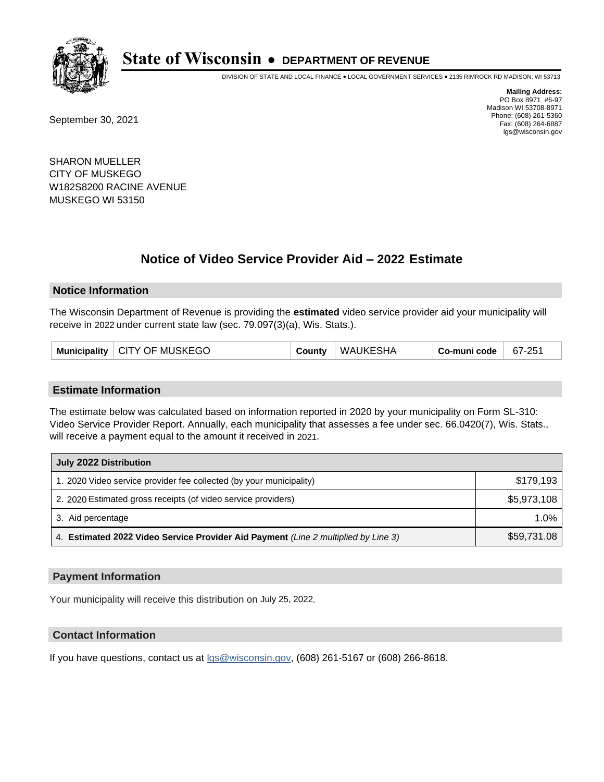

DIVISION OF STATE AND LOCAL FINANCE • LOCAL GOVERNMENT SERVICES • 2135 RIMROCK RD MADISON, WI 53713

September 30, 2021

**Mailing Address:** PO Box 8971 #6-97 Madison WI 53708-8971 Phone: (608) 261-5360 Fax: (608) 264-6887 lgs@wisconsin.gov

SHARON MUELLER CITY OF MUSKEGO W182S8200 RACINE AVENUE MUSKEGO WI 53150

## **Notice of Video Service Provider Aid - 2022 Estimate**

#### **Notice Information**

The Wisconsin Department of Revenue is providing the **estimated** video service provider aid your municipality will receive in 2022 under current state law (sec. 79.097(3)(a), Wis. Stats.).

| Municipality   CITY OF MUSKEGO | County | WAUKESHA | Co-muni code | 67-251 |
|--------------------------------|--------|----------|--------------|--------|
|--------------------------------|--------|----------|--------------|--------|

#### **Estimate Information**

The estimate below was calculated based on information reported in 2020 by your municipality on Form SL-310: Video Service Provider Report. Annually, each municipality that assesses a fee under sec. 66.0420(7), Wis. Stats., will receive a payment equal to the amount it received in 2021.

| July 2022 Distribution                                                             |             |  |  |  |
|------------------------------------------------------------------------------------|-------------|--|--|--|
| 1. 2020 Video service provider fee collected (by your municipality)                | \$179,193   |  |  |  |
| 2. 2020 Estimated gross receipts (of video service providers)                      | \$5,973,108 |  |  |  |
| 3. Aid percentage                                                                  | 1.0%        |  |  |  |
| 4. Estimated 2022 Video Service Provider Aid Payment (Line 2 multiplied by Line 3) | \$59,731.08 |  |  |  |

#### **Payment Information**

Your municipality will receive this distribution on July 25, 2022.

## **Contact Information**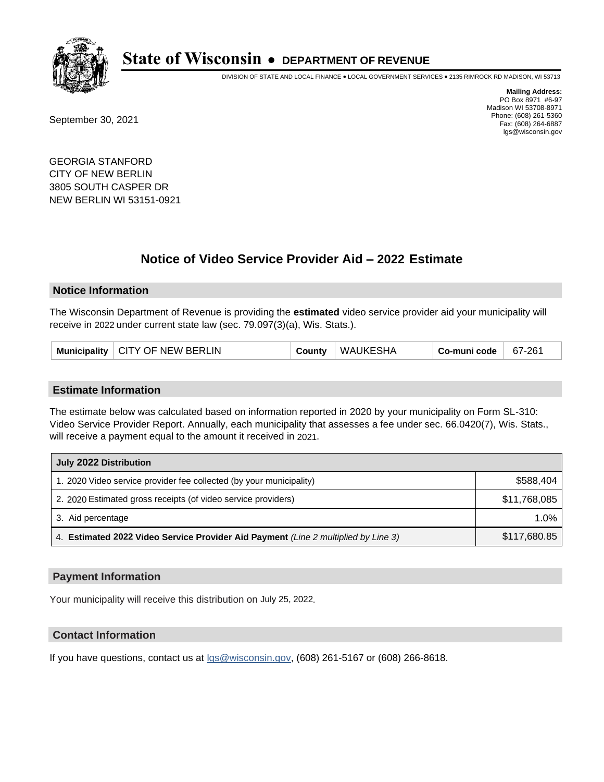

DIVISION OF STATE AND LOCAL FINANCE • LOCAL GOVERNMENT SERVICES • 2135 RIMROCK RD MADISON, WI 53713

September 30, 2021

**Mailing Address:** PO Box 8971 #6-97 Madison WI 53708-8971 Phone: (608) 261-5360 Fax: (608) 264-6887 lgs@wisconsin.gov

GEORGIA STANFORD CITY OF NEW BERLIN 3805 SOUTH CASPER DR NEW BERLIN WI 53151-0921

## **Notice of Video Service Provider Aid - 2022 Estimate**

#### **Notice Information**

The Wisconsin Department of Revenue is providing the **estimated** video service provider aid your municipality will receive in 2022 under current state law (sec. 79.097(3)(a), Wis. Stats.).

| Municipality   CITY OF NEW BERLIN | County | WAUKESHA | Co-muni code | 67-261 |
|-----------------------------------|--------|----------|--------------|--------|
|-----------------------------------|--------|----------|--------------|--------|

#### **Estimate Information**

The estimate below was calculated based on information reported in 2020 by your municipality on Form SL-310: Video Service Provider Report. Annually, each municipality that assesses a fee under sec. 66.0420(7), Wis. Stats., will receive a payment equal to the amount it received in 2021.

| July 2022 Distribution                                                             |              |
|------------------------------------------------------------------------------------|--------------|
| 1. 2020 Video service provider fee collected (by your municipality)                | \$588.404    |
| 2. 2020 Estimated gross receipts (of video service providers)                      | \$11,768,085 |
| 3. Aid percentage                                                                  | 1.0%         |
| 4. Estimated 2022 Video Service Provider Aid Payment (Line 2 multiplied by Line 3) | \$117,680.85 |

#### **Payment Information**

Your municipality will receive this distribution on July 25, 2022.

## **Contact Information**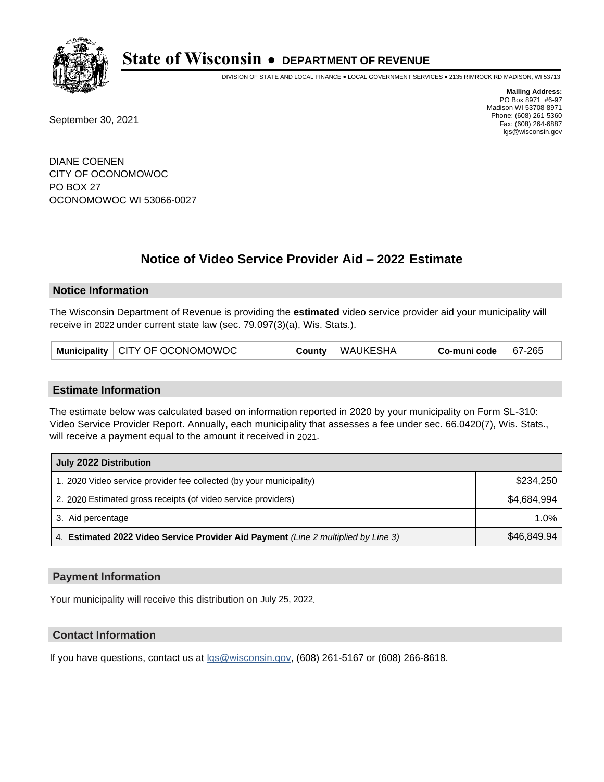

DIVISION OF STATE AND LOCAL FINANCE • LOCAL GOVERNMENT SERVICES • 2135 RIMROCK RD MADISON, WI 53713

September 30, 2021

**Mailing Address:** PO Box 8971 #6-97 Madison WI 53708-8971 Phone: (608) 261-5360 Fax: (608) 264-6887 lgs@wisconsin.gov

DIANE COENEN CITY OF OCONOMOWOC PO BOX 27 OCONOMOWOC WI 53066-0027

# **Notice of Video Service Provider Aid - 2022 Estimate**

#### **Notice Information**

The Wisconsin Department of Revenue is providing the **estimated** video service provider aid your municipality will receive in 2022 under current state law (sec. 79.097(3)(a), Wis. Stats.).

| Municipality   CITY OF OCONOMOWOC | County | WAUKESHA | Co-muni code | 67-265 |
|-----------------------------------|--------|----------|--------------|--------|
|-----------------------------------|--------|----------|--------------|--------|

#### **Estimate Information**

The estimate below was calculated based on information reported in 2020 by your municipality on Form SL-310: Video Service Provider Report. Annually, each municipality that assesses a fee under sec. 66.0420(7), Wis. Stats., will receive a payment equal to the amount it received in 2021.

| July 2022 Distribution                                                             |             |
|------------------------------------------------------------------------------------|-------------|
| 1. 2020 Video service provider fee collected (by your municipality)                | \$234,250   |
| 2. 2020 Estimated gross receipts (of video service providers)                      | \$4.684.994 |
| 3. Aid percentage                                                                  | $1.0\%$     |
| 4. Estimated 2022 Video Service Provider Aid Payment (Line 2 multiplied by Line 3) | \$46,849.94 |

#### **Payment Information**

Your municipality will receive this distribution on July 25, 2022.

## **Contact Information**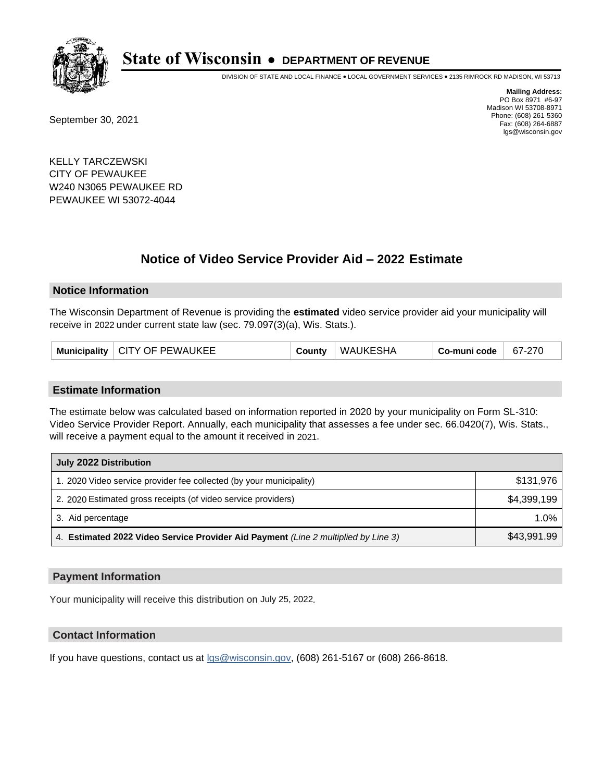

DIVISION OF STATE AND LOCAL FINANCE • LOCAL GOVERNMENT SERVICES • 2135 RIMROCK RD MADISON, WI 53713

September 30, 2021

**Mailing Address:** PO Box 8971 #6-97 Madison WI 53708-8971 Phone: (608) 261-5360 Fax: (608) 264-6887 lgs@wisconsin.gov

KELLY TARCZEWSKI CITY OF PEWAUKEE W240 N3065 PEWAUKEE RD PEWAUKEE WI 53072-4044

## **Notice of Video Service Provider Aid - 2022 Estimate**

#### **Notice Information**

The Wisconsin Department of Revenue is providing the **estimated** video service provider aid your municipality will receive in 2022 under current state law (sec. 79.097(3)(a), Wis. Stats.).

|  | Municipality   CITY OF PEWAUKEE | County | WAUKESHA | Co-muni code | 67-270 |
|--|---------------------------------|--------|----------|--------------|--------|
|--|---------------------------------|--------|----------|--------------|--------|

#### **Estimate Information**

The estimate below was calculated based on information reported in 2020 by your municipality on Form SL-310: Video Service Provider Report. Annually, each municipality that assesses a fee under sec. 66.0420(7), Wis. Stats., will receive a payment equal to the amount it received in 2021.

| July 2022 Distribution                                                             |             |
|------------------------------------------------------------------------------------|-------------|
| 1. 2020 Video service provider fee collected (by your municipality)                | \$131,976   |
| 2. 2020 Estimated gross receipts (of video service providers)                      | \$4,399,199 |
| 3. Aid percentage                                                                  | 1.0%        |
| 4. Estimated 2022 Video Service Provider Aid Payment (Line 2 multiplied by Line 3) | \$43,991.99 |

#### **Payment Information**

Your municipality will receive this distribution on July 25, 2022.

### **Contact Information**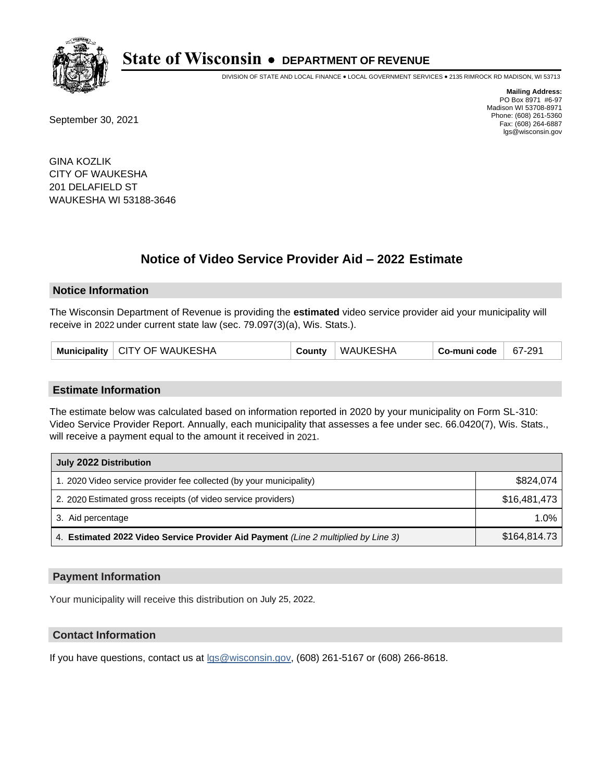

DIVISION OF STATE AND LOCAL FINANCE • LOCAL GOVERNMENT SERVICES • 2135 RIMROCK RD MADISON, WI 53713

September 30, 2021

**Mailing Address:** PO Box 8971 #6-97 Madison WI 53708-8971 Phone: (608) 261-5360 Fax: (608) 264-6887 lgs@wisconsin.gov

GINA KOZLIK CITY OF WAUKESHA 201 DELAFIELD ST WAUKESHA WI 53188-3646

## **Notice of Video Service Provider Aid - 2022 Estimate**

#### **Notice Information**

The Wisconsin Department of Revenue is providing the **estimated** video service provider aid your municipality will receive in 2022 under current state law (sec. 79.097(3)(a), Wis. Stats.).

| Municipality   CITY OF WAUKESHA | County | WAUKESHA | Co-muni code | 67-291 |
|---------------------------------|--------|----------|--------------|--------|
|---------------------------------|--------|----------|--------------|--------|

#### **Estimate Information**

The estimate below was calculated based on information reported in 2020 by your municipality on Form SL-310: Video Service Provider Report. Annually, each municipality that assesses a fee under sec. 66.0420(7), Wis. Stats., will receive a payment equal to the amount it received in 2021.

| July 2022 Distribution                                                             |              |
|------------------------------------------------------------------------------------|--------------|
| 1. 2020 Video service provider fee collected (by your municipality)                | \$824.074    |
| 2. 2020 Estimated gross receipts (of video service providers)                      | \$16.481.473 |
| 3. Aid percentage                                                                  | $1.0\%$      |
| 4. Estimated 2022 Video Service Provider Aid Payment (Line 2 multiplied by Line 3) | \$164,814.73 |

#### **Payment Information**

Your municipality will receive this distribution on July 25, 2022.

## **Contact Information**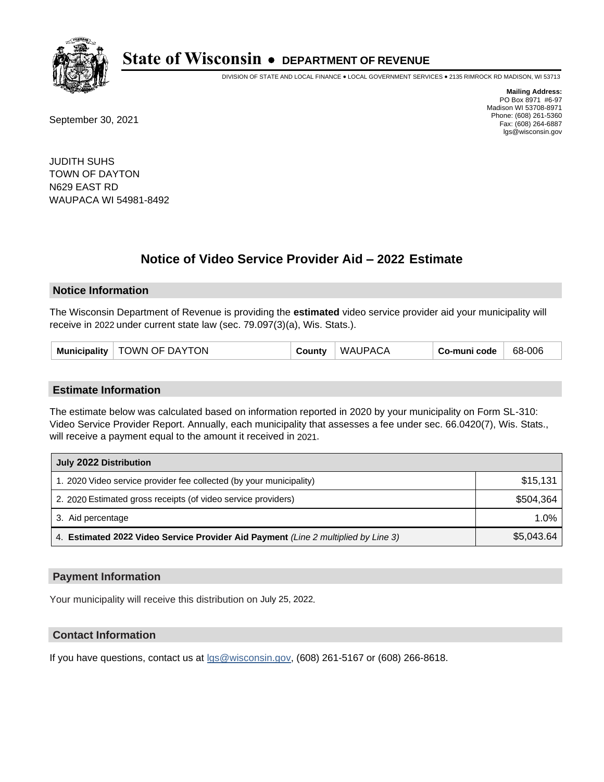

DIVISION OF STATE AND LOCAL FINANCE • LOCAL GOVERNMENT SERVICES • 2135 RIMROCK RD MADISON, WI 53713

September 30, 2021

**Mailing Address:** PO Box 8971 #6-97 Madison WI 53708-8971 Phone: (608) 261-5360 Fax: (608) 264-6887 lgs@wisconsin.gov

JUDITH SUHS TOWN OF DAYTON N629 EAST RD WAUPACA WI 54981-8492

## **Notice of Video Service Provider Aid - 2022 Estimate**

#### **Notice Information**

The Wisconsin Department of Revenue is providing the **estimated** video service provider aid your municipality will receive in 2022 under current state law (sec. 79.097(3)(a), Wis. Stats.).

| <b>Municipality</b> | TOWN OF DAYTON | County | <b>WAUPACA</b> | Co-muni code | 68-006 |
|---------------------|----------------|--------|----------------|--------------|--------|
|---------------------|----------------|--------|----------------|--------------|--------|

#### **Estimate Information**

The estimate below was calculated based on information reported in 2020 by your municipality on Form SL-310: Video Service Provider Report. Annually, each municipality that assesses a fee under sec. 66.0420(7), Wis. Stats., will receive a payment equal to the amount it received in 2021.

| July 2022 Distribution                                                             |            |
|------------------------------------------------------------------------------------|------------|
| 1. 2020 Video service provider fee collected (by your municipality)                | \$15,131   |
| 2. 2020 Estimated gross receipts (of video service providers)                      | \$504.364  |
| 3. Aid percentage                                                                  | 1.0%       |
| 4. Estimated 2022 Video Service Provider Aid Payment (Line 2 multiplied by Line 3) | \$5,043.64 |

#### **Payment Information**

Your municipality will receive this distribution on July 25, 2022.

## **Contact Information**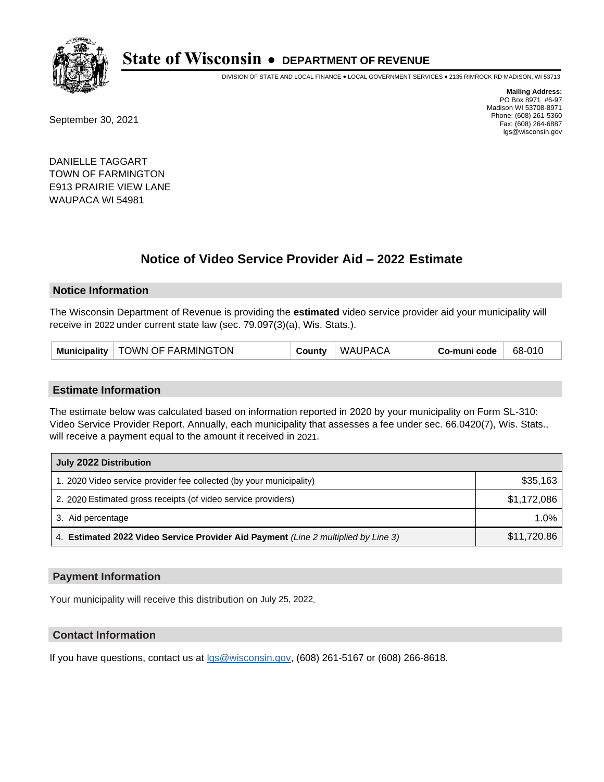

DIVISION OF STATE AND LOCAL FINANCE • LOCAL GOVERNMENT SERVICES • 2135 RIMROCK RD MADISON, WI 53713

September 30, 2021

**Mailing Address:** PO Box 8971 #6-97 Madison WI 53708-8971 Phone: (608) 261-5360 Fax: (608) 264-6887 lgs@wisconsin.gov

DANIELLE TAGGART TOWN OF FARMINGTON E913 PRAIRIE VIEW LANE WAUPACA WI 54981

## **Notice of Video Service Provider Aid - 2022 Estimate**

#### **Notice Information**

The Wisconsin Department of Revenue is providing the **estimated** video service provider aid your municipality will receive in 2022 under current state law (sec. 79.097(3)(a), Wis. Stats.).

| Municipality   TOWN OF FARMINGTON | County | <b>WAUPACA</b> | Co-muni code | 68-010 |
|-----------------------------------|--------|----------------|--------------|--------|
|-----------------------------------|--------|----------------|--------------|--------|

#### **Estimate Information**

The estimate below was calculated based on information reported in 2020 by your municipality on Form SL-310: Video Service Provider Report. Annually, each municipality that assesses a fee under sec. 66.0420(7), Wis. Stats., will receive a payment equal to the amount it received in 2021.

| July 2022 Distribution                                                             |             |
|------------------------------------------------------------------------------------|-------------|
| 1. 2020 Video service provider fee collected (by your municipality)                | \$35,163    |
| 2. 2020 Estimated gross receipts (of video service providers)                      | \$1,172,086 |
| 3. Aid percentage                                                                  | 1.0%        |
| 4. Estimated 2022 Video Service Provider Aid Payment (Line 2 multiplied by Line 3) | \$11,720.86 |

#### **Payment Information**

Your municipality will receive this distribution on July 25, 2022.

## **Contact Information**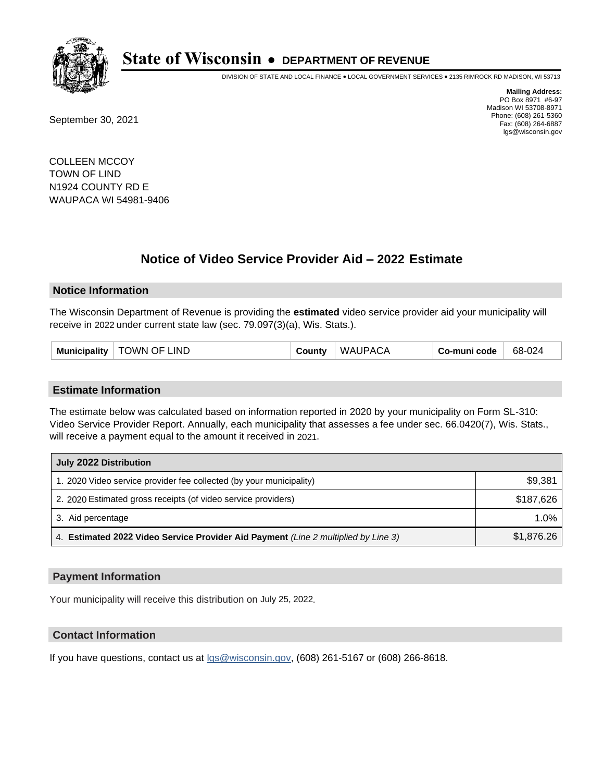

DIVISION OF STATE AND LOCAL FINANCE • LOCAL GOVERNMENT SERVICES • 2135 RIMROCK RD MADISON, WI 53713

September 30, 2021

**Mailing Address:** PO Box 8971 #6-97 Madison WI 53708-8971 Phone: (608) 261-5360 Fax: (608) 264-6887 lgs@wisconsin.gov

COLLEEN MCCOY TOWN OF LIND N1924 COUNTY RD E WAUPACA WI 54981-9406

## **Notice of Video Service Provider Aid - 2022 Estimate**

#### **Notice Information**

The Wisconsin Department of Revenue is providing the **estimated** video service provider aid your municipality will receive in 2022 under current state law (sec. 79.097(3)(a), Wis. Stats.).

| <b>TOWN OF LIND</b><br>Municipality | County | <b>WAUPACA</b> | Co-muni code | 68-024 |
|-------------------------------------|--------|----------------|--------------|--------|
|-------------------------------------|--------|----------------|--------------|--------|

#### **Estimate Information**

The estimate below was calculated based on information reported in 2020 by your municipality on Form SL-310: Video Service Provider Report. Annually, each municipality that assesses a fee under sec. 66.0420(7), Wis. Stats., will receive a payment equal to the amount it received in 2021.

| July 2022 Distribution                                                             |            |  |  |  |
|------------------------------------------------------------------------------------|------------|--|--|--|
| 1. 2020 Video service provider fee collected (by your municipality)                | \$9,381    |  |  |  |
| 2. 2020 Estimated gross receipts (of video service providers)                      | \$187.626  |  |  |  |
| 3. Aid percentage                                                                  | 1.0%       |  |  |  |
| 4. Estimated 2022 Video Service Provider Aid Payment (Line 2 multiplied by Line 3) | \$1,876.26 |  |  |  |

#### **Payment Information**

Your municipality will receive this distribution on July 25, 2022.

## **Contact Information**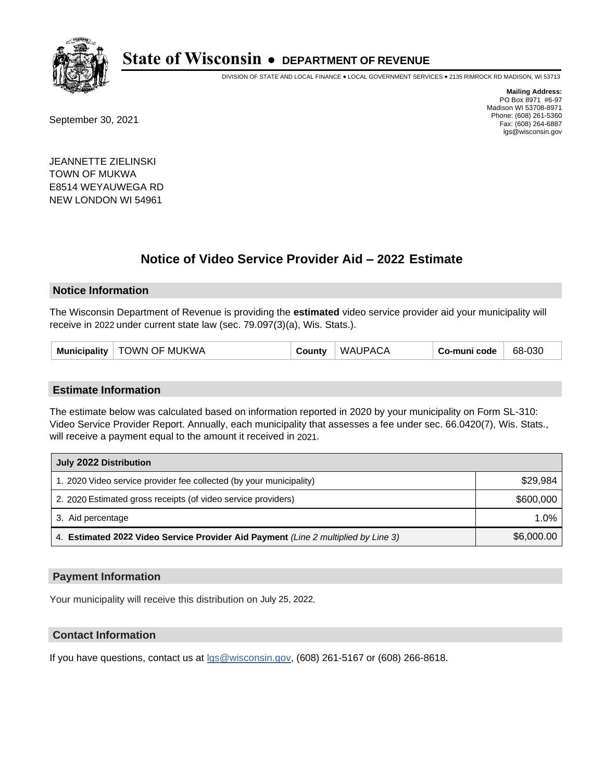

DIVISION OF STATE AND LOCAL FINANCE • LOCAL GOVERNMENT SERVICES • 2135 RIMROCK RD MADISON, WI 53713

September 30, 2021

**Mailing Address:** PO Box 8971 #6-97 Madison WI 53708-8971 Phone: (608) 261-5360 Fax: (608) 264-6887 lgs@wisconsin.gov

JEANNETTE ZIELINSKI TOWN OF MUKWA E8514 WEYAUWEGA RD NEW LONDON WI 54961

## **Notice of Video Service Provider Aid - 2022 Estimate**

#### **Notice Information**

The Wisconsin Department of Revenue is providing the **estimated** video service provider aid your municipality will receive in 2022 under current state law (sec. 79.097(3)(a), Wis. Stats.).

| TOWN OF MUKWA<br>Municipality | Sountγ | <b>WAUPACA</b> | Co-muni code | 68-030 |
|-------------------------------|--------|----------------|--------------|--------|
|-------------------------------|--------|----------------|--------------|--------|

#### **Estimate Information**

The estimate below was calculated based on information reported in 2020 by your municipality on Form SL-310: Video Service Provider Report. Annually, each municipality that assesses a fee under sec. 66.0420(7), Wis. Stats., will receive a payment equal to the amount it received in 2021.

| July 2022 Distribution                                                             |            |  |  |  |
|------------------------------------------------------------------------------------|------------|--|--|--|
| 1. 2020 Video service provider fee collected (by your municipality)                | \$29,984   |  |  |  |
| 2. 2020 Estimated gross receipts (of video service providers)                      | \$600,000  |  |  |  |
| 3. Aid percentage                                                                  | 1.0%       |  |  |  |
| 4. Estimated 2022 Video Service Provider Aid Payment (Line 2 multiplied by Line 3) | \$6,000.00 |  |  |  |

#### **Payment Information**

Your municipality will receive this distribution on July 25, 2022.

## **Contact Information**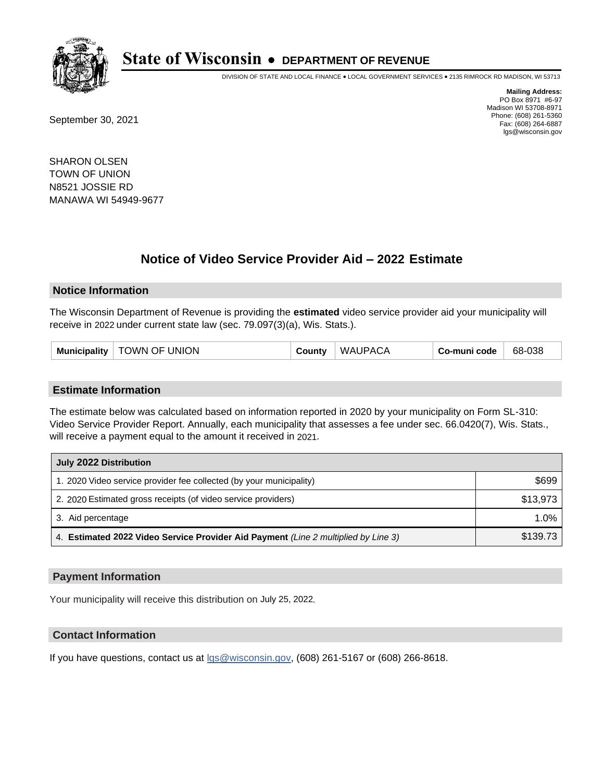

DIVISION OF STATE AND LOCAL FINANCE • LOCAL GOVERNMENT SERVICES • 2135 RIMROCK RD MADISON, WI 53713

September 30, 2021

**Mailing Address:** PO Box 8971 #6-97 Madison WI 53708-8971 Phone: (608) 261-5360 Fax: (608) 264-6887 lgs@wisconsin.gov

SHARON OLSEN TOWN OF UNION N8521 JOSSIE RD MANAWA WI 54949-9677

## **Notice of Video Service Provider Aid - 2022 Estimate**

#### **Notice Information**

The Wisconsin Department of Revenue is providing the **estimated** video service provider aid your municipality will receive in 2022 under current state law (sec. 79.097(3)(a), Wis. Stats.).

#### **Estimate Information**

The estimate below was calculated based on information reported in 2020 by your municipality on Form SL-310: Video Service Provider Report. Annually, each municipality that assesses a fee under sec. 66.0420(7), Wis. Stats., will receive a payment equal to the amount it received in 2021.

| July 2022 Distribution                                                             |          |  |  |
|------------------------------------------------------------------------------------|----------|--|--|
| 1. 2020 Video service provider fee collected (by your municipality)                | \$699    |  |  |
| 2. 2020 Estimated gross receipts (of video service providers)                      | \$13,973 |  |  |
| 3. Aid percentage                                                                  | $1.0\%$  |  |  |
| 4. Estimated 2022 Video Service Provider Aid Payment (Line 2 multiplied by Line 3) | \$139.73 |  |  |

#### **Payment Information**

Your municipality will receive this distribution on July 25, 2022.

## **Contact Information**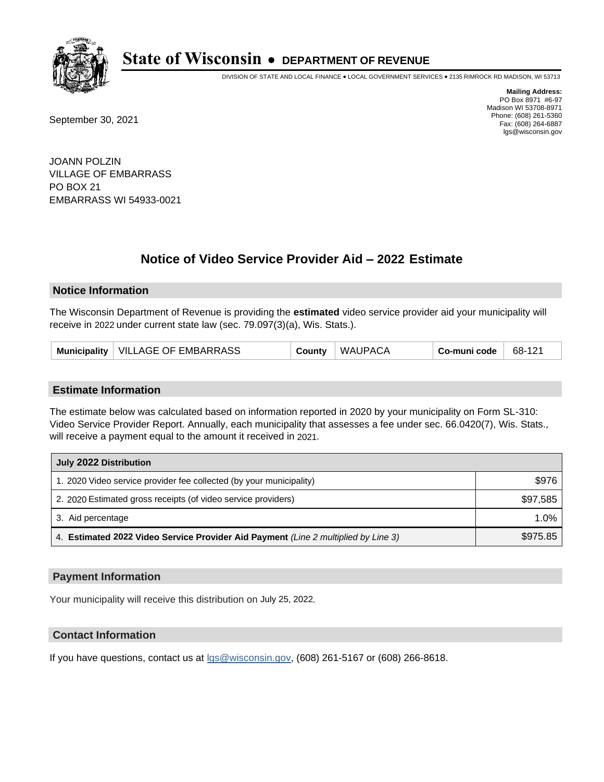

DIVISION OF STATE AND LOCAL FINANCE • LOCAL GOVERNMENT SERVICES • 2135 RIMROCK RD MADISON, WI 53713

September 30, 2021

**Mailing Address:** PO Box 8971 #6-97 Madison WI 53708-8971 Phone: (608) 261-5360 Fax: (608) 264-6887 lgs@wisconsin.gov

JOANN POLZIN VILLAGE OF EMBARRASS PO BOX 21 EMBARRASS WI 54933-0021

# **Notice of Video Service Provider Aid - 2022 Estimate**

### **Notice Information**

The Wisconsin Department of Revenue is providing the **estimated** video service provider aid your municipality will receive in 2022 under current state law (sec. 79.097(3)(a), Wis. Stats.).

| Municipality   VILLAGE OF EMBARRASS | County | <b>WAUPACA</b> | Co-muni code | 68-121 |
|-------------------------------------|--------|----------------|--------------|--------|
|-------------------------------------|--------|----------------|--------------|--------|

#### **Estimate Information**

The estimate below was calculated based on information reported in 2020 by your municipality on Form SL-310: Video Service Provider Report. Annually, each municipality that assesses a fee under sec. 66.0420(7), Wis. Stats., will receive a payment equal to the amount it received in 2021.

| July 2022 Distribution                                                             |          |  |  |
|------------------------------------------------------------------------------------|----------|--|--|
| 1. 2020 Video service provider fee collected (by your municipality)                | \$976    |  |  |
| 2. 2020 Estimated gross receipts (of video service providers)                      | \$97,585 |  |  |
| 3. Aid percentage                                                                  | $1.0\%$  |  |  |
| 4. Estimated 2022 Video Service Provider Aid Payment (Line 2 multiplied by Line 3) | \$975.85 |  |  |

#### **Payment Information**

Your municipality will receive this distribution on July 25, 2022.

## **Contact Information**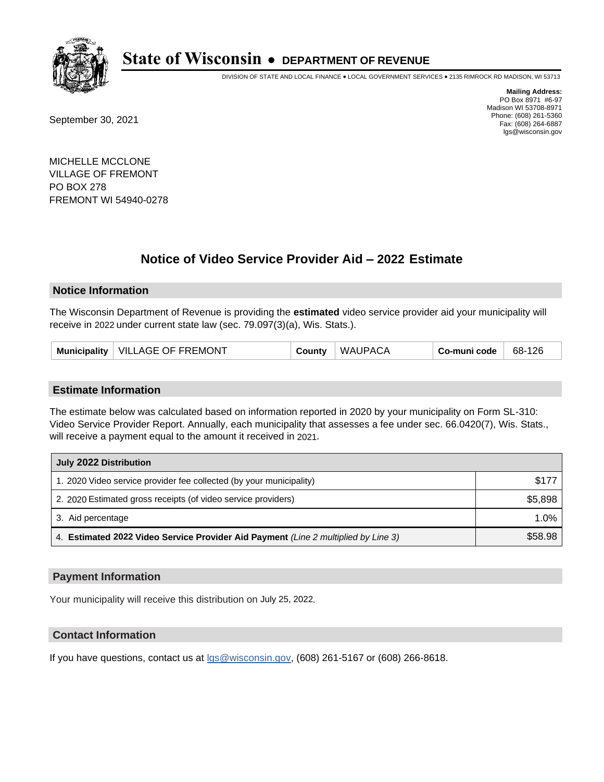

DIVISION OF STATE AND LOCAL FINANCE • LOCAL GOVERNMENT SERVICES • 2135 RIMROCK RD MADISON, WI 53713

September 30, 2021

**Mailing Address:** PO Box 8971 #6-97 Madison WI 53708-8971 Phone: (608) 261-5360 Fax: (608) 264-6887 lgs@wisconsin.gov

MICHELLE MCCLONE VILLAGE OF FREMONT PO BOX 278 FREMONT WI 54940-0278

## **Notice of Video Service Provider Aid - 2022 Estimate**

### **Notice Information**

The Wisconsin Department of Revenue is providing the **estimated** video service provider aid your municipality will receive in 2022 under current state law (sec. 79.097(3)(a), Wis. Stats.).

| Municipality   VILLAGE OF FREMONT | County | <b>WAUPACA</b> | Co-muni code | 68-126 |
|-----------------------------------|--------|----------------|--------------|--------|
|-----------------------------------|--------|----------------|--------------|--------|

#### **Estimate Information**

The estimate below was calculated based on information reported in 2020 by your municipality on Form SL-310: Video Service Provider Report. Annually, each municipality that assesses a fee under sec. 66.0420(7), Wis. Stats., will receive a payment equal to the amount it received in 2021.

| July 2022 Distribution                                                             |         |
|------------------------------------------------------------------------------------|---------|
| 1. 2020 Video service provider fee collected (by your municipality)                | \$177   |
| 2. 2020 Estimated gross receipts (of video service providers)                      | \$5,898 |
| 3. Aid percentage                                                                  | 1.0%    |
| 4. Estimated 2022 Video Service Provider Aid Payment (Line 2 multiplied by Line 3) | \$58.98 |

#### **Payment Information**

Your municipality will receive this distribution on July 25, 2022.

## **Contact Information**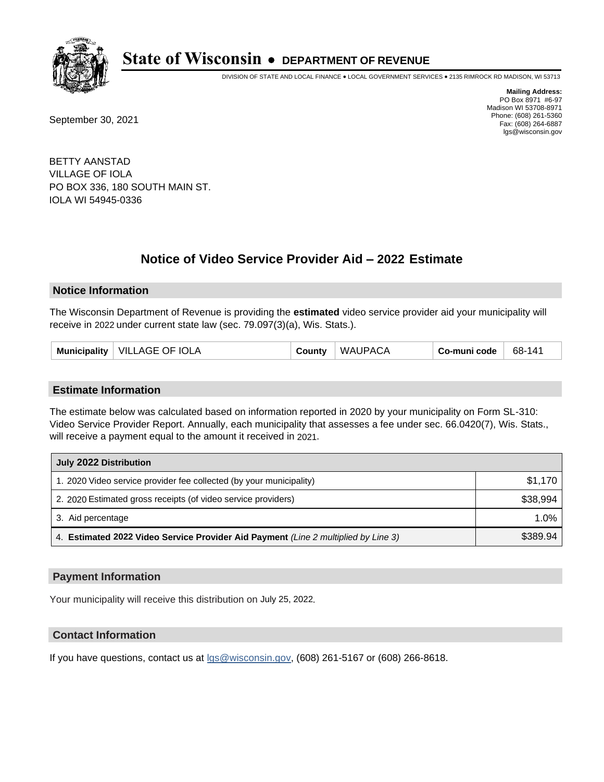

DIVISION OF STATE AND LOCAL FINANCE • LOCAL GOVERNMENT SERVICES • 2135 RIMROCK RD MADISON, WI 53713

September 30, 2021

**Mailing Address:** PO Box 8971 #6-97 Madison WI 53708-8971 Phone: (608) 261-5360 Fax: (608) 264-6887 lgs@wisconsin.gov

BETTY AANSTAD VILLAGE OF IOLA PO BOX 336, 180 SOUTH MAIN ST. IOLA WI 54945-0336

## **Notice of Video Service Provider Aid - 2022 Estimate**

#### **Notice Information**

The Wisconsin Department of Revenue is providing the **estimated** video service provider aid your municipality will receive in 2022 under current state law (sec. 79.097(3)(a), Wis. Stats.).

| Municipality   VILLAGE OF IOLA | County | <b>WAUPACA</b> | Co-muni code | 68-141 |
|--------------------------------|--------|----------------|--------------|--------|
|--------------------------------|--------|----------------|--------------|--------|

#### **Estimate Information**

The estimate below was calculated based on information reported in 2020 by your municipality on Form SL-310: Video Service Provider Report. Annually, each municipality that assesses a fee under sec. 66.0420(7), Wis. Stats., will receive a payment equal to the amount it received in 2021.

| July 2022 Distribution                                                             |          |
|------------------------------------------------------------------------------------|----------|
| 1. 2020 Video service provider fee collected (by your municipality)                | \$1,170  |
| 2. 2020 Estimated gross receipts (of video service providers)                      | \$38,994 |
| 3. Aid percentage                                                                  | 1.0%     |
| 4. Estimated 2022 Video Service Provider Aid Payment (Line 2 multiplied by Line 3) | \$389.94 |

#### **Payment Information**

Your municipality will receive this distribution on July 25, 2022.

## **Contact Information**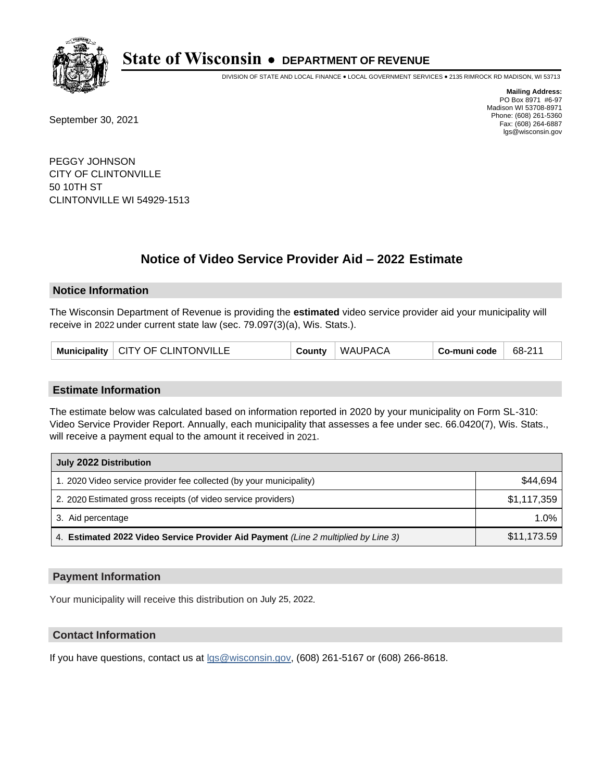

DIVISION OF STATE AND LOCAL FINANCE • LOCAL GOVERNMENT SERVICES • 2135 RIMROCK RD MADISON, WI 53713

September 30, 2021

**Mailing Address:** PO Box 8971 #6-97 Madison WI 53708-8971 Phone: (608) 261-5360 Fax: (608) 264-6887 lgs@wisconsin.gov

PEGGY JOHNSON CITY OF CLINTONVILLE 50 10TH ST CLINTONVILLE WI 54929-1513

## **Notice of Video Service Provider Aid - 2022 Estimate**

### **Notice Information**

The Wisconsin Department of Revenue is providing the **estimated** video service provider aid your municipality will receive in 2022 under current state law (sec. 79.097(3)(a), Wis. Stats.).

|  | Municipality   CITY OF CLINTONVILLE | County | <b>WAUPACA</b> | ⊦ Co-muni code | $+68-21$ |
|--|-------------------------------------|--------|----------------|----------------|----------|
|--|-------------------------------------|--------|----------------|----------------|----------|

#### **Estimate Information**

The estimate below was calculated based on information reported in 2020 by your municipality on Form SL-310: Video Service Provider Report. Annually, each municipality that assesses a fee under sec. 66.0420(7), Wis. Stats., will receive a payment equal to the amount it received in 2021.

| July 2022 Distribution                                                             |             |
|------------------------------------------------------------------------------------|-------------|
| 1. 2020 Video service provider fee collected (by your municipality)                | \$44,694    |
| 2. 2020 Estimated gross receipts (of video service providers)                      | \$1,117,359 |
| 3. Aid percentage                                                                  | 1.0%        |
| 4. Estimated 2022 Video Service Provider Aid Payment (Line 2 multiplied by Line 3) | \$11,173.59 |

#### **Payment Information**

Your municipality will receive this distribution on July 25, 2022.

## **Contact Information**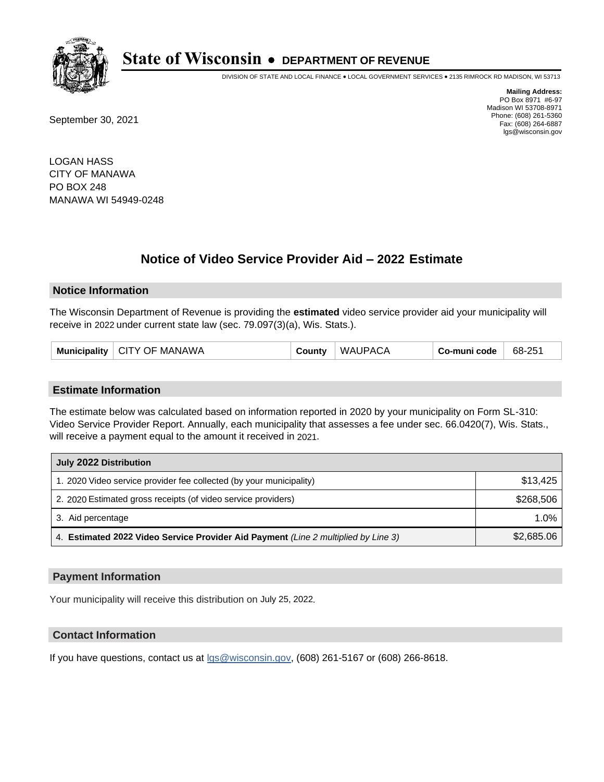

DIVISION OF STATE AND LOCAL FINANCE • LOCAL GOVERNMENT SERVICES • 2135 RIMROCK RD MADISON, WI 53713

September 30, 2021

**Mailing Address:** PO Box 8971 #6-97 Madison WI 53708-8971 Phone: (608) 261-5360 Fax: (608) 264-6887 lgs@wisconsin.gov

LOGAN HASS CITY OF MANAWA PO BOX 248 MANAWA WI 54949-0248

# **Notice of Video Service Provider Aid - 2022 Estimate**

### **Notice Information**

The Wisconsin Department of Revenue is providing the **estimated** video service provider aid your municipality will receive in 2022 under current state law (sec. 79.097(3)(a), Wis. Stats.).

| Municipality   CITY OF MANAWA | County | <b>WAUPACA</b> | Co-muni code | 68-251 |
|-------------------------------|--------|----------------|--------------|--------|
|-------------------------------|--------|----------------|--------------|--------|

#### **Estimate Information**

The estimate below was calculated based on information reported in 2020 by your municipality on Form SL-310: Video Service Provider Report. Annually, each municipality that assesses a fee under sec. 66.0420(7), Wis. Stats., will receive a payment equal to the amount it received in 2021.

| July 2022 Distribution                                                             |            |  |  |  |
|------------------------------------------------------------------------------------|------------|--|--|--|
| 1. 2020 Video service provider fee collected (by your municipality)                | \$13,425   |  |  |  |
| 2. 2020 Estimated gross receipts (of video service providers)                      | \$268,506  |  |  |  |
| 3. Aid percentage                                                                  | $1.0\%$    |  |  |  |
| 4. Estimated 2022 Video Service Provider Aid Payment (Line 2 multiplied by Line 3) | \$2,685.06 |  |  |  |

#### **Payment Information**

Your municipality will receive this distribution on July 25, 2022.

## **Contact Information**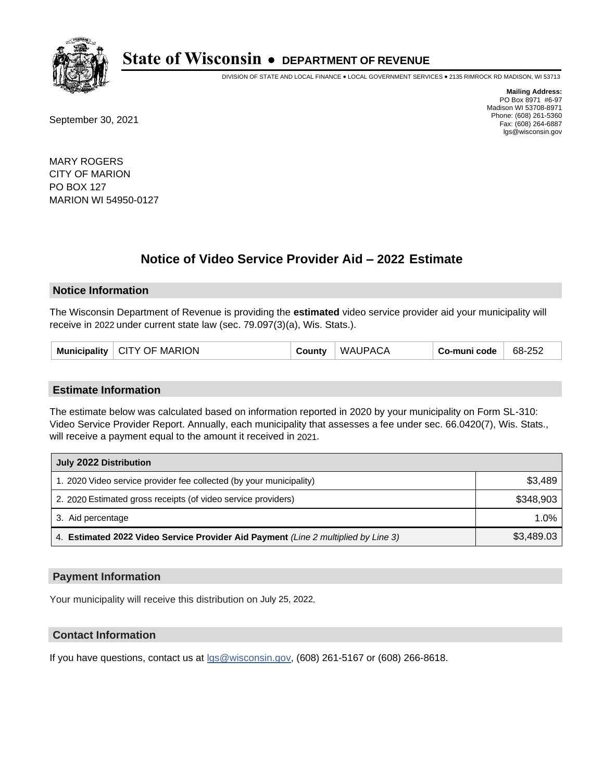

DIVISION OF STATE AND LOCAL FINANCE • LOCAL GOVERNMENT SERVICES • 2135 RIMROCK RD MADISON, WI 53713

September 30, 2021

**Mailing Address:** PO Box 8971 #6-97 Madison WI 53708-8971 Phone: (608) 261-5360 Fax: (608) 264-6887 lgs@wisconsin.gov

MARY ROGERS CITY OF MARION PO BOX 127 MARION WI 54950-0127

# **Notice of Video Service Provider Aid - 2022 Estimate**

#### **Notice Information**

The Wisconsin Department of Revenue is providing the **estimated** video service provider aid your municipality will receive in 2022 under current state law (sec. 79.097(3)(a), Wis. Stats.).

| Municipality $\vert$ CITY OF MARION | County | <b>WAUPACA</b> | Co-muni code | 68-252 |
|-------------------------------------|--------|----------------|--------------|--------|
|-------------------------------------|--------|----------------|--------------|--------|

#### **Estimate Information**

The estimate below was calculated based on information reported in 2020 by your municipality on Form SL-310: Video Service Provider Report. Annually, each municipality that assesses a fee under sec. 66.0420(7), Wis. Stats., will receive a payment equal to the amount it received in 2021.

| July 2022 Distribution                                                             |            |  |  |  |
|------------------------------------------------------------------------------------|------------|--|--|--|
| 1. 2020 Video service provider fee collected (by your municipality)                | \$3,489    |  |  |  |
| 2. 2020 Estimated gross receipts (of video service providers)                      | \$348,903  |  |  |  |
| 3. Aid percentage                                                                  | 1.0%       |  |  |  |
| 4. Estimated 2022 Video Service Provider Aid Payment (Line 2 multiplied by Line 3) | \$3,489.03 |  |  |  |

#### **Payment Information**

Your municipality will receive this distribution on July 25, 2022.

## **Contact Information**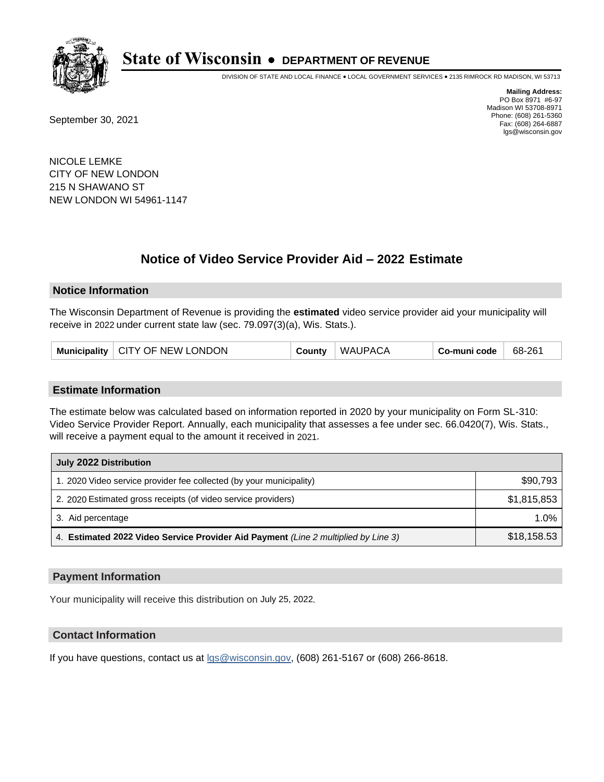

DIVISION OF STATE AND LOCAL FINANCE • LOCAL GOVERNMENT SERVICES • 2135 RIMROCK RD MADISON, WI 53713

September 30, 2021

**Mailing Address:** PO Box 8971 #6-97 Madison WI 53708-8971 Phone: (608) 261-5360 Fax: (608) 264-6887 lgs@wisconsin.gov

NICOLE LEMKE CITY OF NEW LONDON 215 N SHAWANO ST NEW LONDON WI 54961-1147

## **Notice of Video Service Provider Aid - 2022 Estimate**

#### **Notice Information**

The Wisconsin Department of Revenue is providing the **estimated** video service provider aid your municipality will receive in 2022 under current state law (sec. 79.097(3)(a), Wis. Stats.).

|  | Municipality   CITY OF NEW LONDON | County | <b>WAUPACA</b> | Co-muni code | 68-261 |
|--|-----------------------------------|--------|----------------|--------------|--------|
|--|-----------------------------------|--------|----------------|--------------|--------|

#### **Estimate Information**

The estimate below was calculated based on information reported in 2020 by your municipality on Form SL-310: Video Service Provider Report. Annually, each municipality that assesses a fee under sec. 66.0420(7), Wis. Stats., will receive a payment equal to the amount it received in 2021.

| July 2022 Distribution                                                             |             |
|------------------------------------------------------------------------------------|-------------|
| 1. 2020 Video service provider fee collected (by your municipality)                | \$90,793    |
| 2. 2020 Estimated gross receipts (of video service providers)                      | \$1,815,853 |
| 3. Aid percentage                                                                  | 1.0%        |
| 4. Estimated 2022 Video Service Provider Aid Payment (Line 2 multiplied by Line 3) | \$18,158.53 |

#### **Payment Information**

Your municipality will receive this distribution on July 25, 2022.

## **Contact Information**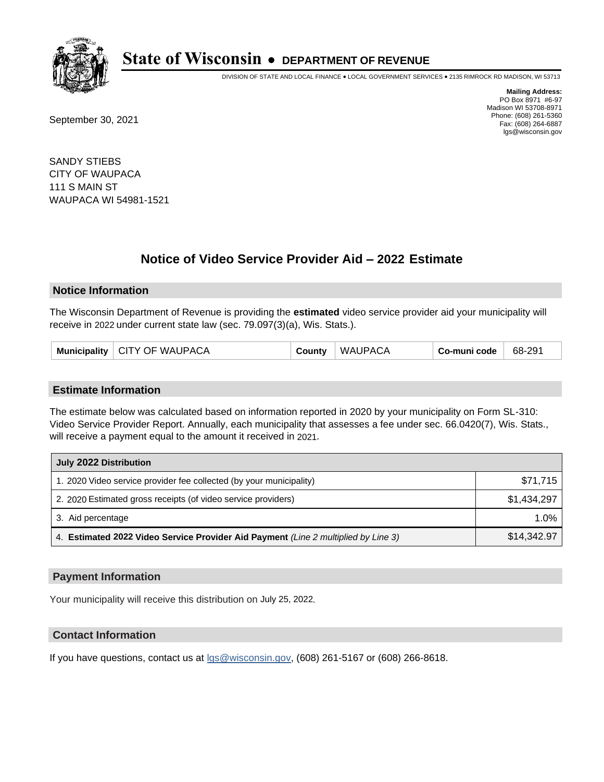

DIVISION OF STATE AND LOCAL FINANCE • LOCAL GOVERNMENT SERVICES • 2135 RIMROCK RD MADISON, WI 53713

September 30, 2021

**Mailing Address:** PO Box 8971 #6-97 Madison WI 53708-8971 Phone: (608) 261-5360 Fax: (608) 264-6887 lgs@wisconsin.gov

SANDY STIEBS CITY OF WAUPACA 111 S MAIN ST WAUPACA WI 54981-1521

## **Notice of Video Service Provider Aid - 2022 Estimate**

#### **Notice Information**

The Wisconsin Department of Revenue is providing the **estimated** video service provider aid your municipality will receive in 2022 under current state law (sec. 79.097(3)(a), Wis. Stats.).

| Municipality   CITY OF WAUPACA | County | <b>WAUPACA</b> | Co-muni code | 68-291 |
|--------------------------------|--------|----------------|--------------|--------|
|--------------------------------|--------|----------------|--------------|--------|

#### **Estimate Information**

The estimate below was calculated based on information reported in 2020 by your municipality on Form SL-310: Video Service Provider Report. Annually, each municipality that assesses a fee under sec. 66.0420(7), Wis. Stats., will receive a payment equal to the amount it received in 2021.

| July 2022 Distribution                                                             |             |  |  |  |
|------------------------------------------------------------------------------------|-------------|--|--|--|
| 1. 2020 Video service provider fee collected (by your municipality)                | \$71,715    |  |  |  |
| 2. 2020 Estimated gross receipts (of video service providers)                      | \$1.434.297 |  |  |  |
| 3. Aid percentage                                                                  | 1.0%        |  |  |  |
| 4. Estimated 2022 Video Service Provider Aid Payment (Line 2 multiplied by Line 3) | \$14,342.97 |  |  |  |

### **Payment Information**

Your municipality will receive this distribution on July 25, 2022.

### **Contact Information**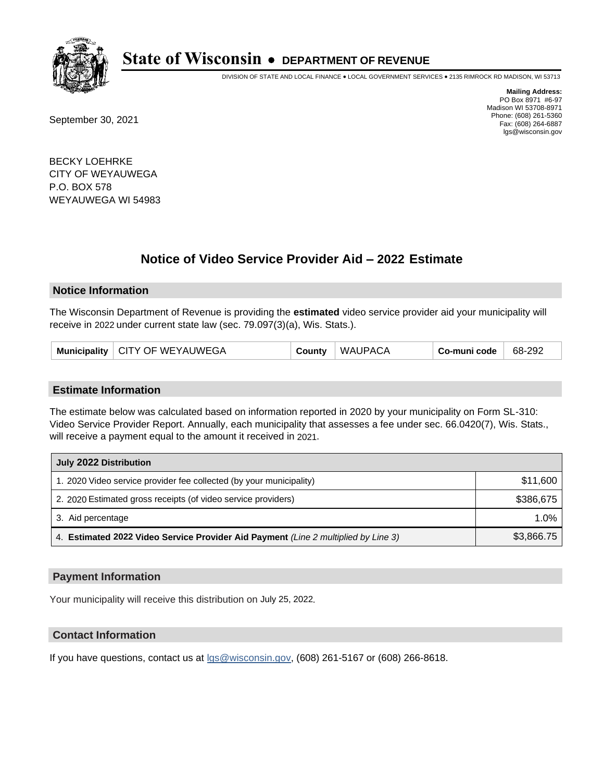

DIVISION OF STATE AND LOCAL FINANCE • LOCAL GOVERNMENT SERVICES • 2135 RIMROCK RD MADISON, WI 53713

September 30, 2021

**Mailing Address:** PO Box 8971 #6-97 Madison WI 53708-8971 Phone: (608) 261-5360 Fax: (608) 264-6887 lgs@wisconsin.gov

BECKY LOEHRKE CITY OF WEYAUWEGA P.O. BOX 578 WEYAUWEGA WI 54983

## **Notice of Video Service Provider Aid - 2022 Estimate**

#### **Notice Information**

The Wisconsin Department of Revenue is providing the **estimated** video service provider aid your municipality will receive in 2022 under current state law (sec. 79.097(3)(a), Wis. Stats.).

|  | Municipality   CITY OF WEYAUWEGA | County | <b>WAUPACA</b> | Co-muni code | 68-292 |
|--|----------------------------------|--------|----------------|--------------|--------|
|--|----------------------------------|--------|----------------|--------------|--------|

#### **Estimate Information**

The estimate below was calculated based on information reported in 2020 by your municipality on Form SL-310: Video Service Provider Report. Annually, each municipality that assesses a fee under sec. 66.0420(7), Wis. Stats., will receive a payment equal to the amount it received in 2021.

| July 2022 Distribution                                                             |            |  |  |  |
|------------------------------------------------------------------------------------|------------|--|--|--|
| 1. 2020 Video service provider fee collected (by your municipality)                | \$11,600   |  |  |  |
| 2. 2020 Estimated gross receipts (of video service providers)                      | \$386.675  |  |  |  |
| 3. Aid percentage                                                                  | $1.0\%$    |  |  |  |
| 4. Estimated 2022 Video Service Provider Aid Payment (Line 2 multiplied by Line 3) | \$3,866.75 |  |  |  |

### **Payment Information**

Your municipality will receive this distribution on July 25, 2022.

## **Contact Information**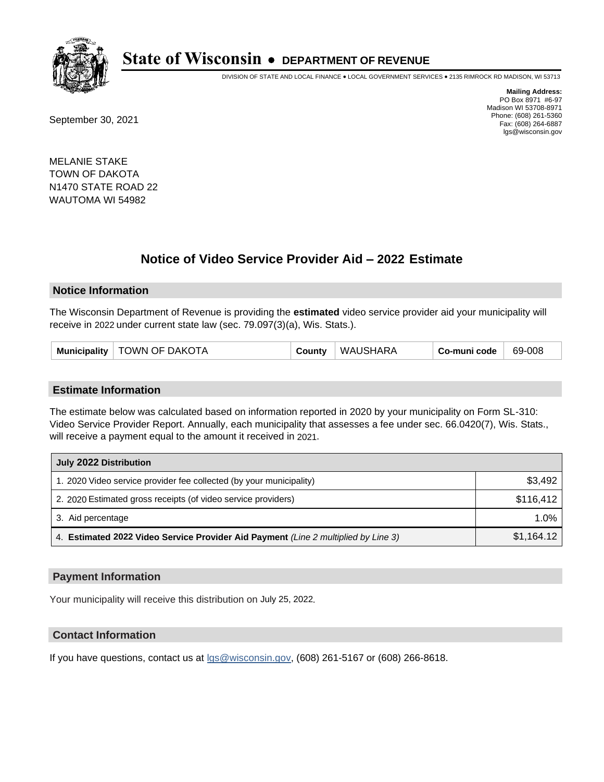

DIVISION OF STATE AND LOCAL FINANCE • LOCAL GOVERNMENT SERVICES • 2135 RIMROCK RD MADISON, WI 53713

September 30, 2021

**Mailing Address:** PO Box 8971 #6-97 Madison WI 53708-8971 Phone: (608) 261-5360 Fax: (608) 264-6887 lgs@wisconsin.gov

MELANIE STAKE TOWN OF DAKOTA N1470 STATE ROAD 22 WAUTOMA WI 54982

## **Notice of Video Service Provider Aid - 2022 Estimate**

#### **Notice Information**

The Wisconsin Department of Revenue is providing the **estimated** video service provider aid your municipality will receive in 2022 under current state law (sec. 79.097(3)(a), Wis. Stats.).

| Municipality   TOWN OF DAKOTA | County | WAUSHARA | Co-muni code | 69-008 |
|-------------------------------|--------|----------|--------------|--------|
|-------------------------------|--------|----------|--------------|--------|

#### **Estimate Information**

The estimate below was calculated based on information reported in 2020 by your municipality on Form SL-310: Video Service Provider Report. Annually, each municipality that assesses a fee under sec. 66.0420(7), Wis. Stats., will receive a payment equal to the amount it received in 2021.

| July 2022 Distribution                                                             |            |
|------------------------------------------------------------------------------------|------------|
| 1. 2020 Video service provider fee collected (by your municipality)                | \$3,492    |
| 2. 2020 Estimated gross receipts (of video service providers)                      | \$116,412  |
| 3. Aid percentage                                                                  | $1.0\%$    |
| 4. Estimated 2022 Video Service Provider Aid Payment (Line 2 multiplied by Line 3) | \$1,164.12 |

#### **Payment Information**

Your municipality will receive this distribution on July 25, 2022.

## **Contact Information**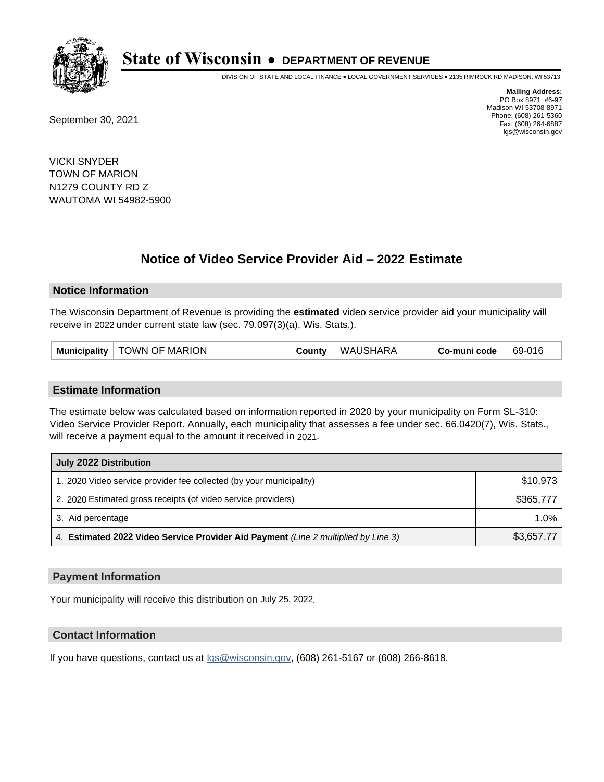

DIVISION OF STATE AND LOCAL FINANCE • LOCAL GOVERNMENT SERVICES • 2135 RIMROCK RD MADISON, WI 53713

September 30, 2021

**Mailing Address:** PO Box 8971 #6-97 Madison WI 53708-8971 Phone: (608) 261-5360 Fax: (608) 264-6887 lgs@wisconsin.gov

VICKI SNYDER TOWN OF MARION N1279 COUNTY RD Z WAUTOMA WI 54982-5900

## **Notice of Video Service Provider Aid - 2022 Estimate**

#### **Notice Information**

The Wisconsin Department of Revenue is providing the **estimated** video service provider aid your municipality will receive in 2022 under current state law (sec. 79.097(3)(a), Wis. Stats.).

| Municipality   TOWN OF MARION | County | WAUSHARA | Co-muni code | 69-016 |
|-------------------------------|--------|----------|--------------|--------|
|-------------------------------|--------|----------|--------------|--------|

#### **Estimate Information**

The estimate below was calculated based on information reported in 2020 by your municipality on Form SL-310: Video Service Provider Report. Annually, each municipality that assesses a fee under sec. 66.0420(7), Wis. Stats., will receive a payment equal to the amount it received in 2021.

| July 2022 Distribution                                                             |            |
|------------------------------------------------------------------------------------|------------|
| 1. 2020 Video service provider fee collected (by your municipality)                | \$10,973   |
| 2. 2020 Estimated gross receipts (of video service providers)                      | \$365,777  |
| 3. Aid percentage                                                                  | 1.0%       |
| 4. Estimated 2022 Video Service Provider Aid Payment (Line 2 multiplied by Line 3) | \$3,657.77 |

#### **Payment Information**

Your municipality will receive this distribution on July 25, 2022.

## **Contact Information**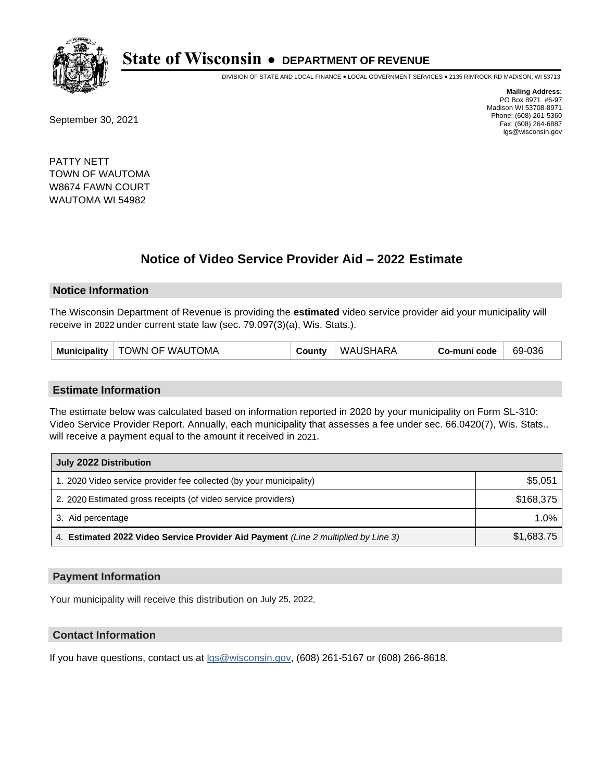

DIVISION OF STATE AND LOCAL FINANCE • LOCAL GOVERNMENT SERVICES • 2135 RIMROCK RD MADISON, WI 53713

September 30, 2021

**Mailing Address:** PO Box 8971 #6-97 Madison WI 53708-8971 Phone: (608) 261-5360 Fax: (608) 264-6887 lgs@wisconsin.gov

PATTY NETT TOWN OF WAUTOMA W8674 FAWN COURT WAUTOMA WI 54982

## **Notice of Video Service Provider Aid - 2022 Estimate**

#### **Notice Information**

The Wisconsin Department of Revenue is providing the **estimated** video service provider aid your municipality will receive in 2022 under current state law (sec. 79.097(3)(a), Wis. Stats.).

| Municipality   TOWN OF WAUTOMA | County | WAUSHARA | Co-muni code | 69-036 |
|--------------------------------|--------|----------|--------------|--------|
|--------------------------------|--------|----------|--------------|--------|

#### **Estimate Information**

The estimate below was calculated based on information reported in 2020 by your municipality on Form SL-310: Video Service Provider Report. Annually, each municipality that assesses a fee under sec. 66.0420(7), Wis. Stats., will receive a payment equal to the amount it received in 2021.

| July 2022 Distribution                                                             |            |
|------------------------------------------------------------------------------------|------------|
| 1. 2020 Video service provider fee collected (by your municipality)                | \$5,051    |
| 2. 2020 Estimated gross receipts (of video service providers)                      | \$168.375  |
| 3. Aid percentage                                                                  | 1.0%       |
| 4. Estimated 2022 Video Service Provider Aid Payment (Line 2 multiplied by Line 3) | \$1,683.75 |

#### **Payment Information**

Your municipality will receive this distribution on July 25, 2022.

## **Contact Information**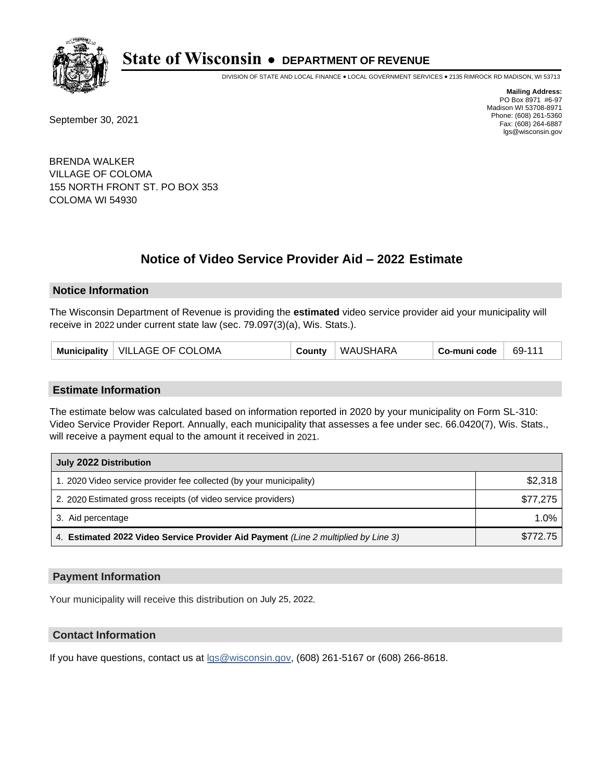

DIVISION OF STATE AND LOCAL FINANCE • LOCAL GOVERNMENT SERVICES • 2135 RIMROCK RD MADISON, WI 53713

September 30, 2021

**Mailing Address:** PO Box 8971 #6-97 Madison WI 53708-8971 Phone: (608) 261-5360 Fax: (608) 264-6887 lgs@wisconsin.gov

BRENDA WALKER VILLAGE OF COLOMA 155 NORTH FRONT ST. PO BOX 353 COLOMA WI 54930

# **Notice of Video Service Provider Aid - 2022 Estimate**

#### **Notice Information**

The Wisconsin Department of Revenue is providing the **estimated** video service provider aid your municipality will receive in 2022 under current state law (sec. 79.097(3)(a), Wis. Stats.).

| Municipality   VILLAGE OF COLOMA | County | WAUSHARA | Co-muni code | $+69-11$ <sup>4</sup> |
|----------------------------------|--------|----------|--------------|-----------------------|
|----------------------------------|--------|----------|--------------|-----------------------|

#### **Estimate Information**

The estimate below was calculated based on information reported in 2020 by your municipality on Form SL-310: Video Service Provider Report. Annually, each municipality that assesses a fee under sec. 66.0420(7), Wis. Stats., will receive a payment equal to the amount it received in 2021.

| July 2022 Distribution                                                             |          |
|------------------------------------------------------------------------------------|----------|
| 1. 2020 Video service provider fee collected (by your municipality)                | \$2,318  |
| 2. 2020 Estimated gross receipts (of video service providers)                      | \$77,275 |
| 3. Aid percentage                                                                  | 1.0%     |
| 4. Estimated 2022 Video Service Provider Aid Payment (Line 2 multiplied by Line 3) | \$772.75 |

#### **Payment Information**

Your municipality will receive this distribution on July 25, 2022.

## **Contact Information**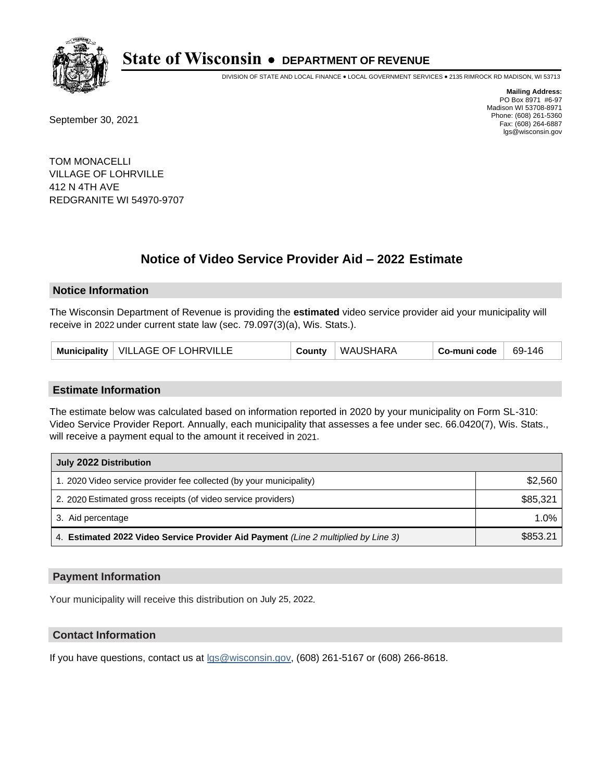

DIVISION OF STATE AND LOCAL FINANCE • LOCAL GOVERNMENT SERVICES • 2135 RIMROCK RD MADISON, WI 53713

September 30, 2021

**Mailing Address:** PO Box 8971 #6-97 Madison WI 53708-8971 Phone: (608) 261-5360 Fax: (608) 264-6887 lgs@wisconsin.gov

TOM MONACELLI VILLAGE OF LOHRVILLE 412 N 4TH AVE REDGRANITE WI 54970-9707

## **Notice of Video Service Provider Aid - 2022 Estimate**

#### **Notice Information**

The Wisconsin Department of Revenue is providing the **estimated** video service provider aid your municipality will receive in 2022 under current state law (sec. 79.097(3)(a), Wis. Stats.).

| Municipality   VILLAGE OF LOHRVILLE | County | <b>WAUSHARA</b> | Co-muni code | 69-146 |
|-------------------------------------|--------|-----------------|--------------|--------|
|-------------------------------------|--------|-----------------|--------------|--------|

#### **Estimate Information**

The estimate below was calculated based on information reported in 2020 by your municipality on Form SL-310: Video Service Provider Report. Annually, each municipality that assesses a fee under sec. 66.0420(7), Wis. Stats., will receive a payment equal to the amount it received in 2021.

| July 2022 Distribution                                                             |          |
|------------------------------------------------------------------------------------|----------|
| 1. 2020 Video service provider fee collected (by your municipality)                | \$2,560  |
| 2. 2020 Estimated gross receipts (of video service providers)                      | \$85.321 |
| 3. Aid percentage                                                                  | $1.0\%$  |
| 4. Estimated 2022 Video Service Provider Aid Payment (Line 2 multiplied by Line 3) | \$853.21 |

#### **Payment Information**

Your municipality will receive this distribution on July 25, 2022.

## **Contact Information**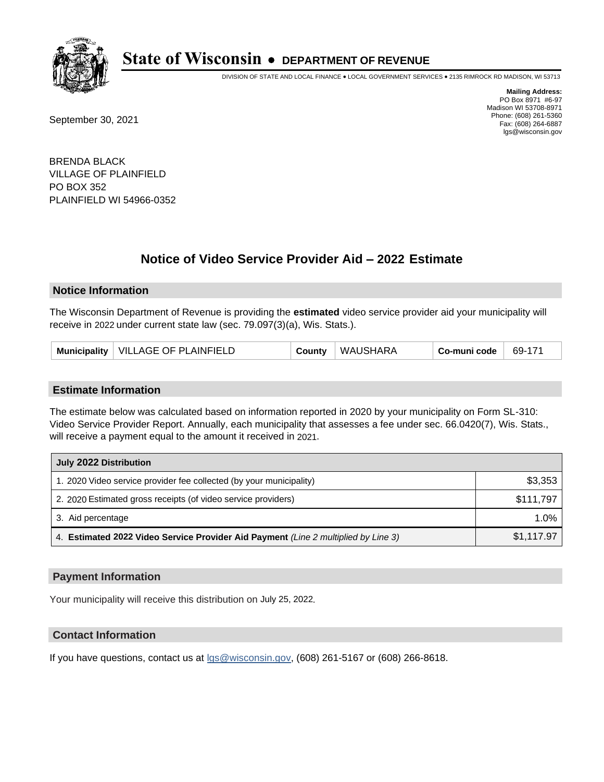

DIVISION OF STATE AND LOCAL FINANCE • LOCAL GOVERNMENT SERVICES • 2135 RIMROCK RD MADISON, WI 53713

September 30, 2021

**Mailing Address:** PO Box 8971 #6-97 Madison WI 53708-8971 Phone: (608) 261-5360 Fax: (608) 264-6887 lgs@wisconsin.gov

BRENDA BLACK VILLAGE OF PLAINFIELD PO BOX 352 PLAINFIELD WI 54966-0352

## **Notice of Video Service Provider Aid - 2022 Estimate**

#### **Notice Information**

The Wisconsin Department of Revenue is providing the **estimated** video service provider aid your municipality will receive in 2022 under current state law (sec. 79.097(3)(a), Wis. Stats.).

| Municipality   VILLAGE OF PLAINFIELD | County | <b>WAUSHARA</b> | Co-muni code | 69-171 |
|--------------------------------------|--------|-----------------|--------------|--------|
|--------------------------------------|--------|-----------------|--------------|--------|

#### **Estimate Information**

The estimate below was calculated based on information reported in 2020 by your municipality on Form SL-310: Video Service Provider Report. Annually, each municipality that assesses a fee under sec. 66.0420(7), Wis. Stats., will receive a payment equal to the amount it received in 2021.

| July 2022 Distribution                                                             |            |
|------------------------------------------------------------------------------------|------------|
| 1. 2020 Video service provider fee collected (by your municipality)                | \$3,353    |
| 2. 2020 Estimated gross receipts (of video service providers)                      | \$111,797  |
| 3. Aid percentage                                                                  | 1.0%       |
| 4. Estimated 2022 Video Service Provider Aid Payment (Line 2 multiplied by Line 3) | \$1,117.97 |

#### **Payment Information**

Your municipality will receive this distribution on July 25, 2022.

## **Contact Information**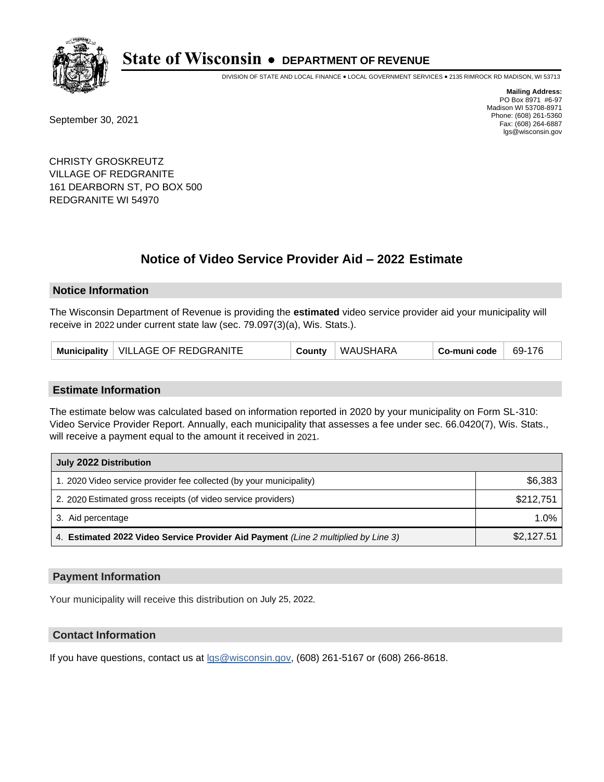

DIVISION OF STATE AND LOCAL FINANCE • LOCAL GOVERNMENT SERVICES • 2135 RIMROCK RD MADISON, WI 53713

September 30, 2021

**Mailing Address:** PO Box 8971 #6-97 Madison WI 53708-8971 Phone: (608) 261-5360 Fax: (608) 264-6887 lgs@wisconsin.gov

CHRISTY GROSKREUTZ VILLAGE OF REDGRANITE 161 DEARBORN ST, PO BOX 500 REDGRANITE WI 54970

## **Notice of Video Service Provider Aid - 2022 Estimate**

#### **Notice Information**

The Wisconsin Department of Revenue is providing the **estimated** video service provider aid your municipality will receive in 2022 under current state law (sec. 79.097(3)(a), Wis. Stats.).

| Municipality   VILLAGE OF REDGRANITE<br>County | WAUSHARA | Co-muni code | 69-176 |
|------------------------------------------------|----------|--------------|--------|
|------------------------------------------------|----------|--------------|--------|

#### **Estimate Information**

The estimate below was calculated based on information reported in 2020 by your municipality on Form SL-310: Video Service Provider Report. Annually, each municipality that assesses a fee under sec. 66.0420(7), Wis. Stats., will receive a payment equal to the amount it received in 2021.

| July 2022 Distribution                                                             |            |  |
|------------------------------------------------------------------------------------|------------|--|
| 1. 2020 Video service provider fee collected (by your municipality)                | \$6,383    |  |
| 2. 2020 Estimated gross receipts (of video service providers)                      | \$212,751  |  |
| 3. Aid percentage                                                                  | $1.0\%$    |  |
| 4. Estimated 2022 Video Service Provider Aid Payment (Line 2 multiplied by Line 3) | \$2,127.51 |  |

#### **Payment Information**

Your municipality will receive this distribution on July 25, 2022.

## **Contact Information**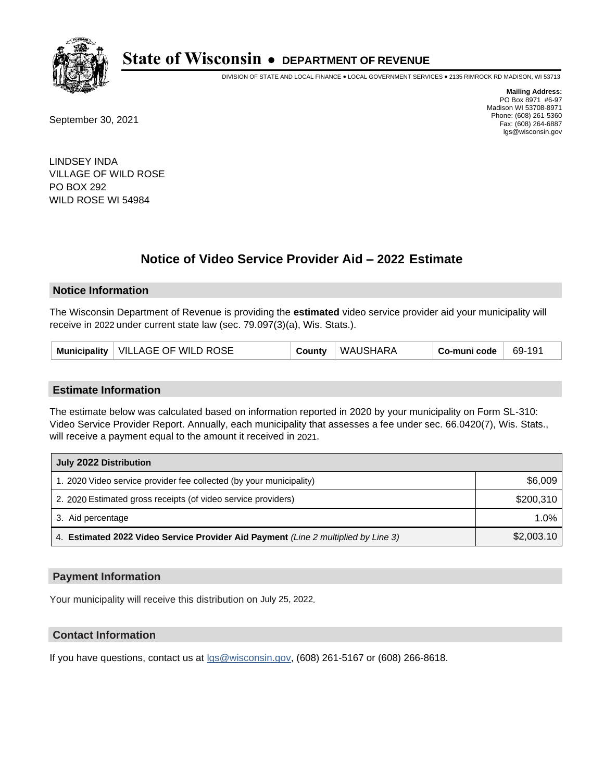

DIVISION OF STATE AND LOCAL FINANCE • LOCAL GOVERNMENT SERVICES • 2135 RIMROCK RD MADISON, WI 53713

September 30, 2021

**Mailing Address:** PO Box 8971 #6-97 Madison WI 53708-8971 Phone: (608) 261-5360 Fax: (608) 264-6887 lgs@wisconsin.gov

LINDSEY INDA VILLAGE OF WILD ROSE PO BOX 292 WILD ROSE WI 54984

# **Notice of Video Service Provider Aid - 2022 Estimate**

### **Notice Information**

The Wisconsin Department of Revenue is providing the **estimated** video service provider aid your municipality will receive in 2022 under current state law (sec. 79.097(3)(a), Wis. Stats.).

#### **Estimate Information**

The estimate below was calculated based on information reported in 2020 by your municipality on Form SL-310: Video Service Provider Report. Annually, each municipality that assesses a fee under sec. 66.0420(7), Wis. Stats., will receive a payment equal to the amount it received in 2021.

| July 2022 Distribution                                                             |            |  |
|------------------------------------------------------------------------------------|------------|--|
| 1. 2020 Video service provider fee collected (by your municipality)                | \$6,009    |  |
| 2. 2020 Estimated gross receipts (of video service providers)                      | \$200.310  |  |
| 3. Aid percentage                                                                  | $1.0\%$    |  |
| 4. Estimated 2022 Video Service Provider Aid Payment (Line 2 multiplied by Line 3) | \$2,003.10 |  |

#### **Payment Information**

Your municipality will receive this distribution on July 25, 2022.

## **Contact Information**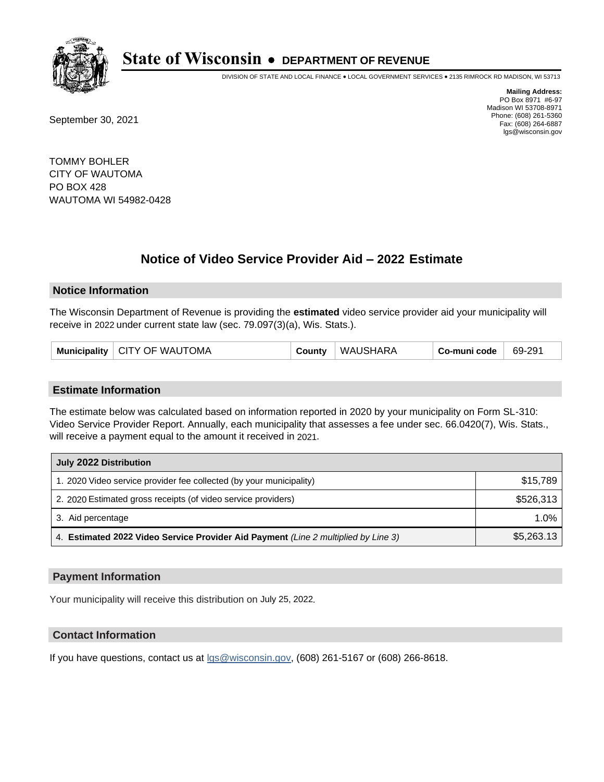

DIVISION OF STATE AND LOCAL FINANCE • LOCAL GOVERNMENT SERVICES • 2135 RIMROCK RD MADISON, WI 53713

September 30, 2021

**Mailing Address:** PO Box 8971 #6-97 Madison WI 53708-8971 Phone: (608) 261-5360 Fax: (608) 264-6887 lgs@wisconsin.gov

TOMMY BOHLER CITY OF WAUTOMA PO BOX 428 WAUTOMA WI 54982-0428

# **Notice of Video Service Provider Aid - 2022 Estimate**

#### **Notice Information**

The Wisconsin Department of Revenue is providing the **estimated** video service provider aid your municipality will receive in 2022 under current state law (sec. 79.097(3)(a), Wis. Stats.).

| Municipality   CITY OF WAUTOMA | <b>County</b> | <sup>∣</sup> WAUSHARA | Co-muni code | 69-291 |
|--------------------------------|---------------|-----------------------|--------------|--------|
|--------------------------------|---------------|-----------------------|--------------|--------|

#### **Estimate Information**

The estimate below was calculated based on information reported in 2020 by your municipality on Form SL-310: Video Service Provider Report. Annually, each municipality that assesses a fee under sec. 66.0420(7), Wis. Stats., will receive a payment equal to the amount it received in 2021.

| July 2022 Distribution                                                             |            |  |
|------------------------------------------------------------------------------------|------------|--|
| 1. 2020 Video service provider fee collected (by your municipality)                | \$15,789   |  |
| 2. 2020 Estimated gross receipts (of video service providers)                      | \$526,313  |  |
| 3. Aid percentage                                                                  | $1.0\%$    |  |
| 4. Estimated 2022 Video Service Provider Aid Payment (Line 2 multiplied by Line 3) | \$5,263.13 |  |

#### **Payment Information**

Your municipality will receive this distribution on July 25, 2022.

## **Contact Information**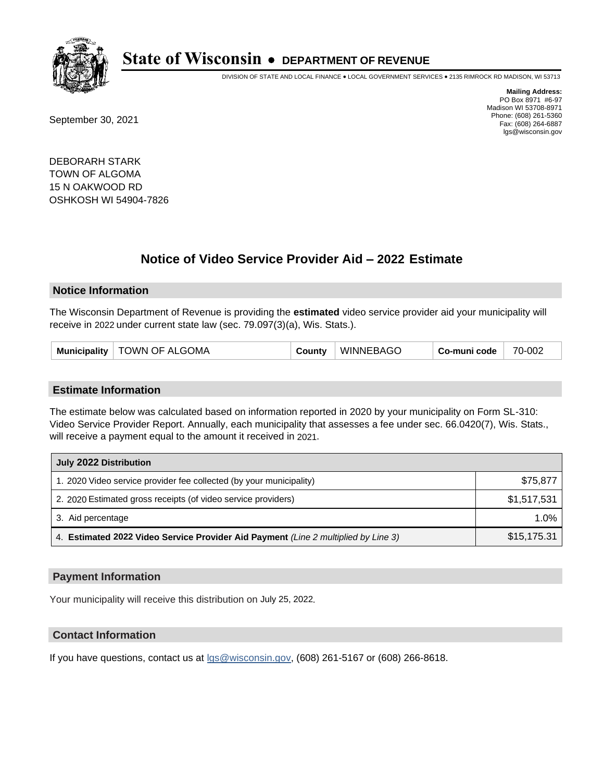

DIVISION OF STATE AND LOCAL FINANCE • LOCAL GOVERNMENT SERVICES • 2135 RIMROCK RD MADISON, WI 53713

September 30, 2021

**Mailing Address:** PO Box 8971 #6-97 Madison WI 53708-8971 Phone: (608) 261-5360 Fax: (608) 264-6887 lgs@wisconsin.gov

DEBORARH STARK TOWN OF ALGOMA 15 N OAKWOOD RD OSHKOSH WI 54904-7826

## **Notice of Video Service Provider Aid - 2022 Estimate**

#### **Notice Information**

The Wisconsin Department of Revenue is providing the **estimated** video service provider aid your municipality will receive in 2022 under current state law (sec. 79.097(3)(a), Wis. Stats.).

#### **Estimate Information**

The estimate below was calculated based on information reported in 2020 by your municipality on Form SL-310: Video Service Provider Report. Annually, each municipality that assesses a fee under sec. 66.0420(7), Wis. Stats., will receive a payment equal to the amount it received in 2021.

| July 2022 Distribution                                                             |             |  |
|------------------------------------------------------------------------------------|-------------|--|
| 1. 2020 Video service provider fee collected (by your municipality)                | \$75,877    |  |
| 2. 2020 Estimated gross receipts (of video service providers)                      | \$1,517,531 |  |
| 3. Aid percentage                                                                  | 1.0%        |  |
| 4. Estimated 2022 Video Service Provider Aid Payment (Line 2 multiplied by Line 3) | \$15,175.31 |  |

#### **Payment Information**

Your municipality will receive this distribution on July 25, 2022.

## **Contact Information**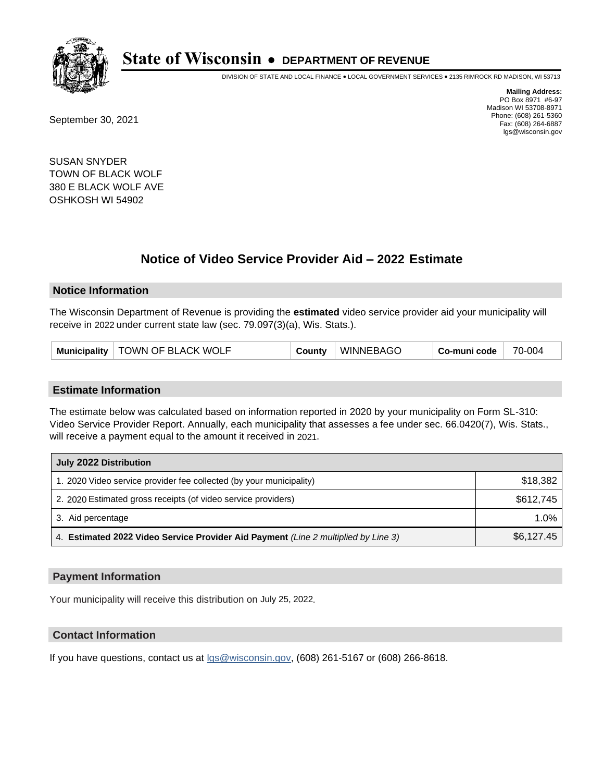

DIVISION OF STATE AND LOCAL FINANCE • LOCAL GOVERNMENT SERVICES • 2135 RIMROCK RD MADISON, WI 53713

September 30, 2021

**Mailing Address:** PO Box 8971 #6-97 Madison WI 53708-8971 Phone: (608) 261-5360 Fax: (608) 264-6887 lgs@wisconsin.gov

SUSAN SNYDER TOWN OF BLACK WOLF 380 E BLACK WOLF AVE OSHKOSH WI 54902

## **Notice of Video Service Provider Aid - 2022 Estimate**

#### **Notice Information**

The Wisconsin Department of Revenue is providing the **estimated** video service provider aid your municipality will receive in 2022 under current state law (sec. 79.097(3)(a), Wis. Stats.).

| Municipality   TOWN OF BLACK WOLF | County | <b>WINNEBAGO</b> | Co-muni code | 70-004 |
|-----------------------------------|--------|------------------|--------------|--------|
|-----------------------------------|--------|------------------|--------------|--------|

#### **Estimate Information**

The estimate below was calculated based on information reported in 2020 by your municipality on Form SL-310: Video Service Provider Report. Annually, each municipality that assesses a fee under sec. 66.0420(7), Wis. Stats., will receive a payment equal to the amount it received in 2021.

| July 2022 Distribution                                                             |            |  |
|------------------------------------------------------------------------------------|------------|--|
| 1. 2020 Video service provider fee collected (by your municipality)                | \$18,382   |  |
| 2. 2020 Estimated gross receipts (of video service providers)                      | \$612.745  |  |
| 3. Aid percentage                                                                  | 1.0%       |  |
| 4. Estimated 2022 Video Service Provider Aid Payment (Line 2 multiplied by Line 3) | \$6,127.45 |  |

#### **Payment Information**

Your municipality will receive this distribution on July 25, 2022.

## **Contact Information**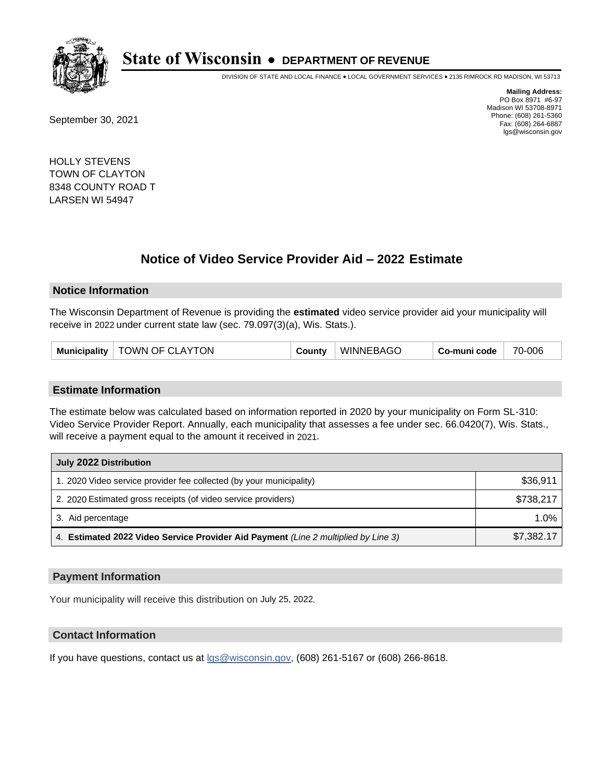

DIVISION OF STATE AND LOCAL FINANCE • LOCAL GOVERNMENT SERVICES • 2135 RIMROCK RD MADISON, WI 53713

September 30, 2021

**Mailing Address:** PO Box 8971 #6-97 Madison WI 53708-8971 Phone: (608) 261-5360 Fax: (608) 264-6887 lgs@wisconsin.gov

HOLLY STEVENS TOWN OF CLAYTON 8348 COUNTY ROAD T LARSEN WI 54947

## **Notice of Video Service Provider Aid - 2022 Estimate**

#### **Notice Information**

The Wisconsin Department of Revenue is providing the **estimated** video service provider aid your municipality will receive in 2022 under current state law (sec. 79.097(3)(a), Wis. Stats.).

| Municipality   TOWN OF CLAYTON |  | County | <b>WINNEBAGO</b> | Co-muni code | 70-006 |
|--------------------------------|--|--------|------------------|--------------|--------|
|--------------------------------|--|--------|------------------|--------------|--------|

#### **Estimate Information**

The estimate below was calculated based on information reported in 2020 by your municipality on Form SL-310: Video Service Provider Report. Annually, each municipality that assesses a fee under sec. 66.0420(7), Wis. Stats., will receive a payment equal to the amount it received in 2021.

| July 2022 Distribution                                                             |            |  |
|------------------------------------------------------------------------------------|------------|--|
| 1. 2020 Video service provider fee collected (by your municipality)                | \$36,911   |  |
| 2. 2020 Estimated gross receipts (of video service providers)                      | \$738.217  |  |
| 3. Aid percentage                                                                  | 1.0%       |  |
| 4. Estimated 2022 Video Service Provider Aid Payment (Line 2 multiplied by Line 3) | \$7,382.17 |  |

#### **Payment Information**

Your municipality will receive this distribution on July 25, 2022.

## **Contact Information**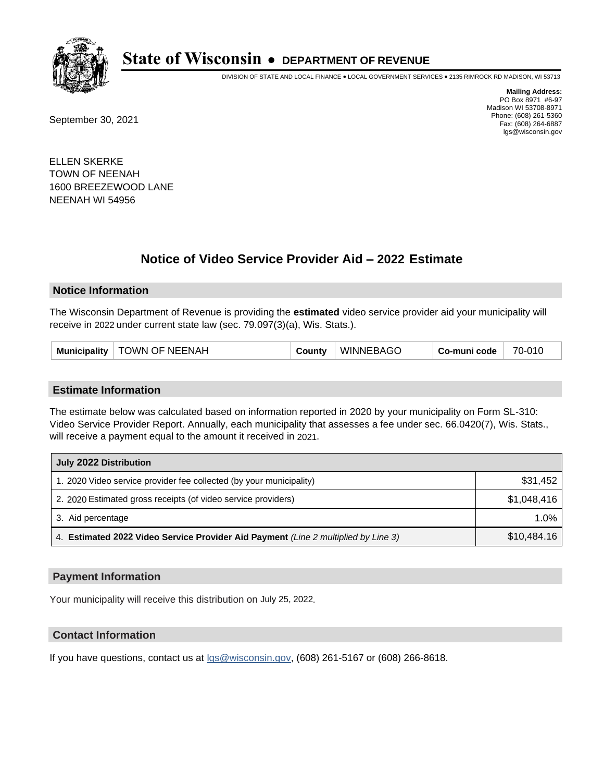

DIVISION OF STATE AND LOCAL FINANCE • LOCAL GOVERNMENT SERVICES • 2135 RIMROCK RD MADISON, WI 53713

September 30, 2021

**Mailing Address:** PO Box 8971 #6-97 Madison WI 53708-8971 Phone: (608) 261-5360 Fax: (608) 264-6887 lgs@wisconsin.gov

ELLEN SKERKE TOWN OF NEENAH 1600 BREEZEWOOD LANE NEENAH WI 54956

## **Notice of Video Service Provider Aid - 2022 Estimate**

#### **Notice Information**

The Wisconsin Department of Revenue is providing the **estimated** video service provider aid your municipality will receive in 2022 under current state law (sec. 79.097(3)(a), Wis. Stats.).

|  | Municipality   TOWN OF NEENAH | County | <b>WINNEBAGO</b> | Co-muni code | 70-010 |
|--|-------------------------------|--------|------------------|--------------|--------|
|--|-------------------------------|--------|------------------|--------------|--------|

#### **Estimate Information**

The estimate below was calculated based on information reported in 2020 by your municipality on Form SL-310: Video Service Provider Report. Annually, each municipality that assesses a fee under sec. 66.0420(7), Wis. Stats., will receive a payment equal to the amount it received in 2021.

| July 2022 Distribution                                                             |             |  |
|------------------------------------------------------------------------------------|-------------|--|
| 1. 2020 Video service provider fee collected (by your municipality)                | \$31,452    |  |
| 2. 2020 Estimated gross receipts (of video service providers)                      | \$1.048.416 |  |
| 3. Aid percentage                                                                  | $1.0\%$     |  |
| 4. Estimated 2022 Video Service Provider Aid Payment (Line 2 multiplied by Line 3) | \$10,484.16 |  |

#### **Payment Information**

Your municipality will receive this distribution on July 25, 2022.

## **Contact Information**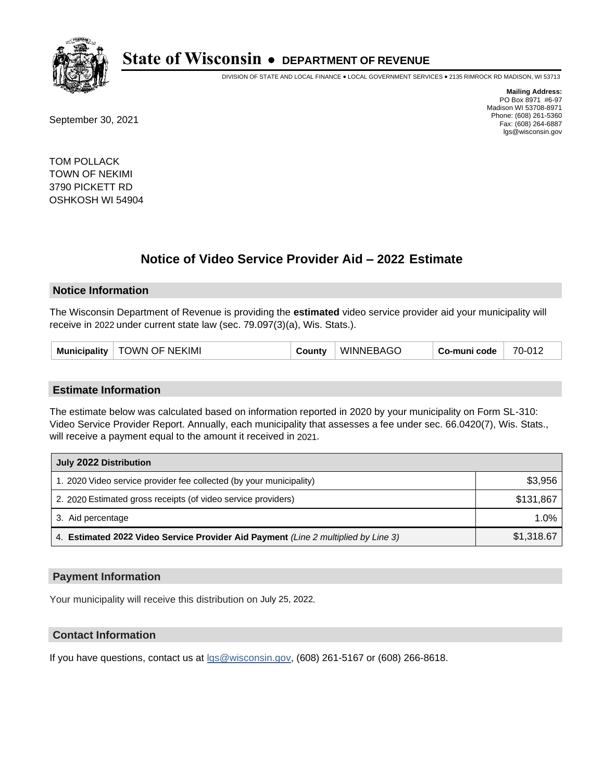

DIVISION OF STATE AND LOCAL FINANCE • LOCAL GOVERNMENT SERVICES • 2135 RIMROCK RD MADISON, WI 53713

September 30, 2021

**Mailing Address:** PO Box 8971 #6-97 Madison WI 53708-8971 Phone: (608) 261-5360 Fax: (608) 264-6887 lgs@wisconsin.gov

TOM POLLACK TOWN OF NEKIMI 3790 PICKETT RD OSHKOSH WI 54904

## **Notice of Video Service Provider Aid - 2022 Estimate**

#### **Notice Information**

The Wisconsin Department of Revenue is providing the **estimated** video service provider aid your municipality will receive in 2022 under current state law (sec. 79.097(3)(a), Wis. Stats.).

#### **Estimate Information**

The estimate below was calculated based on information reported in 2020 by your municipality on Form SL-310: Video Service Provider Report. Annually, each municipality that assesses a fee under sec. 66.0420(7), Wis. Stats., will receive a payment equal to the amount it received in 2021.

| July 2022 Distribution                                                             |            |  |
|------------------------------------------------------------------------------------|------------|--|
| 1. 2020 Video service provider fee collected (by your municipality)                | \$3,956    |  |
| 2. 2020 Estimated gross receipts (of video service providers)                      | \$131,867  |  |
| 3. Aid percentage                                                                  | 1.0%       |  |
| 4. Estimated 2022 Video Service Provider Aid Payment (Line 2 multiplied by Line 3) | \$1,318.67 |  |

#### **Payment Information**

Your municipality will receive this distribution on July 25, 2022.

## **Contact Information**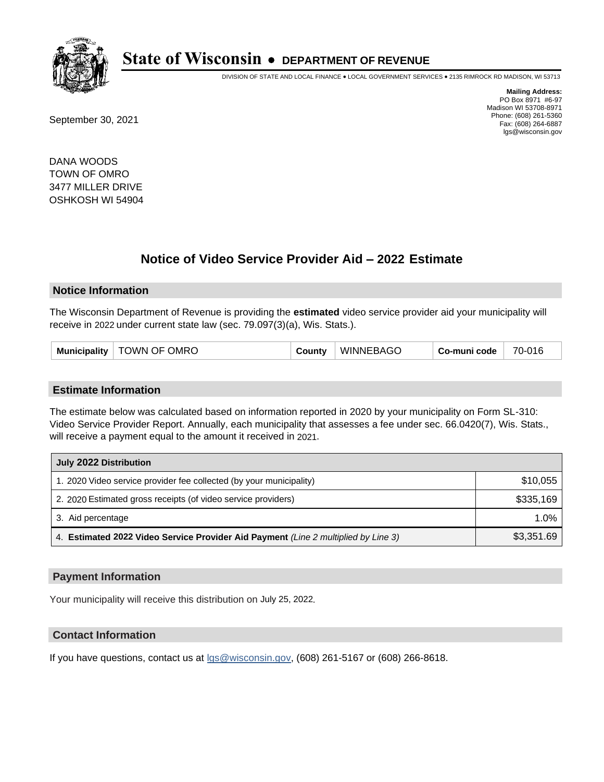

DIVISION OF STATE AND LOCAL FINANCE • LOCAL GOVERNMENT SERVICES • 2135 RIMROCK RD MADISON, WI 53713

September 30, 2021

**Mailing Address:** PO Box 8971 #6-97 Madison WI 53708-8971 Phone: (608) 261-5360 Fax: (608) 264-6887 lgs@wisconsin.gov

DANA WOODS TOWN OF OMRO 3477 MILLER DRIVE OSHKOSH WI 54904

## **Notice of Video Service Provider Aid - 2022 Estimate**

#### **Notice Information**

The Wisconsin Department of Revenue is providing the **estimated** video service provider aid your municipality will receive in 2022 under current state law (sec. 79.097(3)(a), Wis. Stats.).

#### **Estimate Information**

The estimate below was calculated based on information reported in 2020 by your municipality on Form SL-310: Video Service Provider Report. Annually, each municipality that assesses a fee under sec. 66.0420(7), Wis. Stats., will receive a payment equal to the amount it received in 2021.

| July 2022 Distribution                                                             |            |  |
|------------------------------------------------------------------------------------|------------|--|
| 1. 2020 Video service provider fee collected (by your municipality)                | \$10,055   |  |
| 2. 2020 Estimated gross receipts (of video service providers)                      | \$335.169  |  |
| 3. Aid percentage                                                                  | 1.0%       |  |
| 4. Estimated 2022 Video Service Provider Aid Payment (Line 2 multiplied by Line 3) | \$3,351.69 |  |

#### **Payment Information**

Your municipality will receive this distribution on July 25, 2022.

## **Contact Information**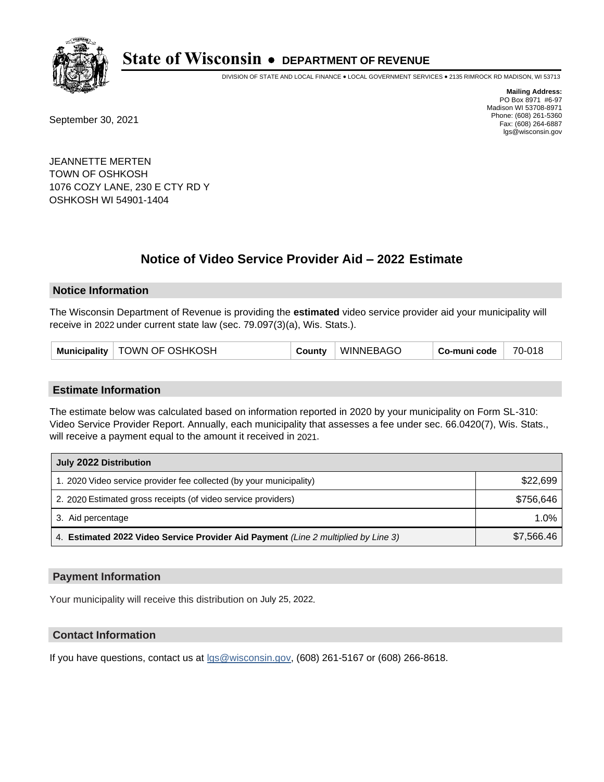

DIVISION OF STATE AND LOCAL FINANCE • LOCAL GOVERNMENT SERVICES • 2135 RIMROCK RD MADISON, WI 53713

September 30, 2021

**Mailing Address:** PO Box 8971 #6-97 Madison WI 53708-8971 Phone: (608) 261-5360 Fax: (608) 264-6887 lgs@wisconsin.gov

JEANNETTE MERTEN TOWN OF OSHKOSH 1076 COZY LANE, 230 E CTY RD Y OSHKOSH WI 54901-1404

# **Notice of Video Service Provider Aid - 2022 Estimate**

#### **Notice Information**

The Wisconsin Department of Revenue is providing the **estimated** video service provider aid your municipality will receive in 2022 under current state law (sec. 79.097(3)(a), Wis. Stats.).

| Municipality   TOWN OF OSHKOSH | County | <b>WINNEBAGO</b> | Co-muni code | 70-018 |
|--------------------------------|--------|------------------|--------------|--------|
|--------------------------------|--------|------------------|--------------|--------|

#### **Estimate Information**

The estimate below was calculated based on information reported in 2020 by your municipality on Form SL-310: Video Service Provider Report. Annually, each municipality that assesses a fee under sec. 66.0420(7), Wis. Stats., will receive a payment equal to the amount it received in 2021.

| July 2022 Distribution                                                             |            |  |
|------------------------------------------------------------------------------------|------------|--|
| 1. 2020 Video service provider fee collected (by your municipality)                | \$22,699   |  |
| 2. 2020 Estimated gross receipts (of video service providers)                      | \$756.646  |  |
| 3. Aid percentage                                                                  | $1.0\%$    |  |
| 4. Estimated 2022 Video Service Provider Aid Payment (Line 2 multiplied by Line 3) | \$7,566.46 |  |

#### **Payment Information**

Your municipality will receive this distribution on July 25, 2022.

## **Contact Information**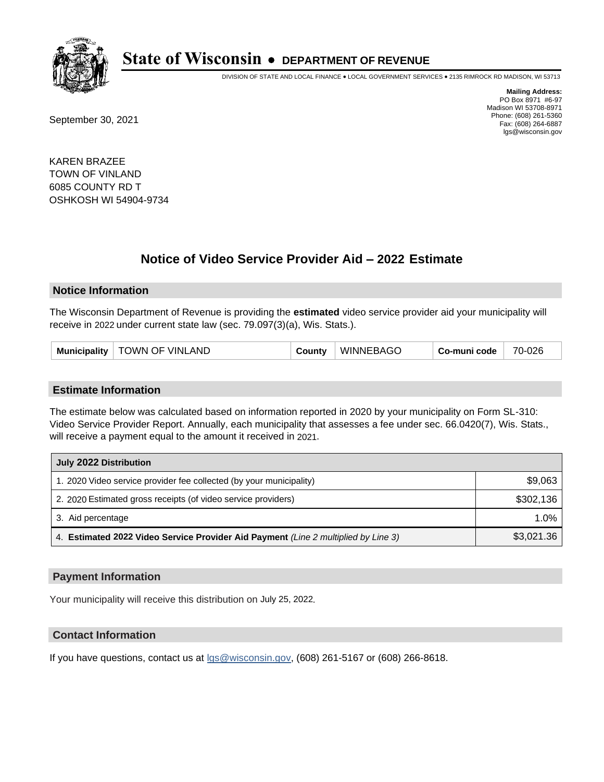

DIVISION OF STATE AND LOCAL FINANCE • LOCAL GOVERNMENT SERVICES • 2135 RIMROCK RD MADISON, WI 53713

September 30, 2021

**Mailing Address:** PO Box 8971 #6-97 Madison WI 53708-8971 Phone: (608) 261-5360 Fax: (608) 264-6887 lgs@wisconsin.gov

KAREN BRAZEE TOWN OF VINLAND 6085 COUNTY RD T OSHKOSH WI 54904-9734

## **Notice of Video Service Provider Aid - 2022 Estimate**

#### **Notice Information**

The Wisconsin Department of Revenue is providing the **estimated** video service provider aid your municipality will receive in 2022 under current state law (sec. 79.097(3)(a), Wis. Stats.).

#### **Estimate Information**

The estimate below was calculated based on information reported in 2020 by your municipality on Form SL-310: Video Service Provider Report. Annually, each municipality that assesses a fee under sec. 66.0420(7), Wis. Stats., will receive a payment equal to the amount it received in 2021.

| July 2022 Distribution                                                             |            |  |
|------------------------------------------------------------------------------------|------------|--|
| 1. 2020 Video service provider fee collected (by your municipality)                | \$9,063    |  |
| 2. 2020 Estimated gross receipts (of video service providers)                      | \$302.136  |  |
| 3. Aid percentage                                                                  | $1.0\%$    |  |
| 4. Estimated 2022 Video Service Provider Aid Payment (Line 2 multiplied by Line 3) | \$3,021.36 |  |

#### **Payment Information**

Your municipality will receive this distribution on July 25, 2022.

## **Contact Information**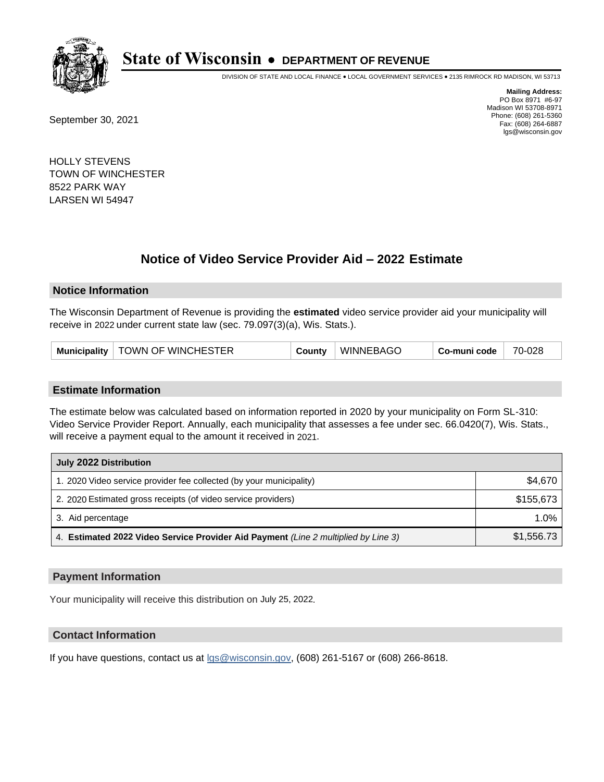

DIVISION OF STATE AND LOCAL FINANCE • LOCAL GOVERNMENT SERVICES • 2135 RIMROCK RD MADISON, WI 53713

September 30, 2021

**Mailing Address:** PO Box 8971 #6-97 Madison WI 53708-8971 Phone: (608) 261-5360 Fax: (608) 264-6887 lgs@wisconsin.gov

HOLLY STEVENS TOWN OF WINCHESTER 8522 PARK WAY LARSEN WI 54947

## **Notice of Video Service Provider Aid - 2022 Estimate**

#### **Notice Information**

The Wisconsin Department of Revenue is providing the **estimated** video service provider aid your municipality will receive in 2022 under current state law (sec. 79.097(3)(a), Wis. Stats.).

#### **Estimate Information**

The estimate below was calculated based on information reported in 2020 by your municipality on Form SL-310: Video Service Provider Report. Annually, each municipality that assesses a fee under sec. 66.0420(7), Wis. Stats., will receive a payment equal to the amount it received in 2021.

| July 2022 Distribution                                                             |            |  |
|------------------------------------------------------------------------------------|------------|--|
| 1. 2020 Video service provider fee collected (by your municipality)                | \$4,670    |  |
| 2. 2020 Estimated gross receipts (of video service providers)                      | \$155,673  |  |
| 3. Aid percentage                                                                  | $1.0\%$    |  |
| 4. Estimated 2022 Video Service Provider Aid Payment (Line 2 multiplied by Line 3) | \$1,556.73 |  |

#### **Payment Information**

Your municipality will receive this distribution on July 25, 2022.

## **Contact Information**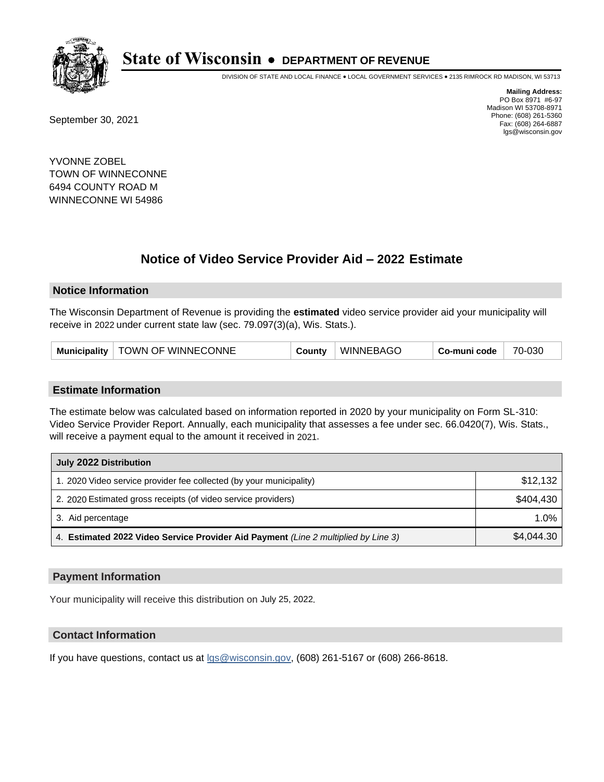

DIVISION OF STATE AND LOCAL FINANCE • LOCAL GOVERNMENT SERVICES • 2135 RIMROCK RD MADISON, WI 53713

September 30, 2021

**Mailing Address:** PO Box 8971 #6-97 Madison WI 53708-8971 Phone: (608) 261-5360 Fax: (608) 264-6887 lgs@wisconsin.gov

YVONNE ZOBEL TOWN OF WINNECONNE 6494 COUNTY ROAD M WINNECONNE WI 54986

## **Notice of Video Service Provider Aid - 2022 Estimate**

#### **Notice Information**

The Wisconsin Department of Revenue is providing the **estimated** video service provider aid your municipality will receive in 2022 under current state law (sec. 79.097(3)(a), Wis. Stats.).

| TOWN OF WINNECONNE<br>WINNEBAGC<br>70-030<br><b>Municipality</b><br>Co-muni code<br>شcunt∨ |
|--------------------------------------------------------------------------------------------|
|--------------------------------------------------------------------------------------------|

#### **Estimate Information**

The estimate below was calculated based on information reported in 2020 by your municipality on Form SL-310: Video Service Provider Report. Annually, each municipality that assesses a fee under sec. 66.0420(7), Wis. Stats., will receive a payment equal to the amount it received in 2021.

| July 2022 Distribution                                                             |            |
|------------------------------------------------------------------------------------|------------|
| 1. 2020 Video service provider fee collected (by your municipality)                | \$12,132   |
| 2. 2020 Estimated gross receipts (of video service providers)                      | \$404.430  |
| 3. Aid percentage                                                                  | $1.0\%$    |
| 4. Estimated 2022 Video Service Provider Aid Payment (Line 2 multiplied by Line 3) | \$4,044.30 |

#### **Payment Information**

Your municipality will receive this distribution on July 25, 2022.

## **Contact Information**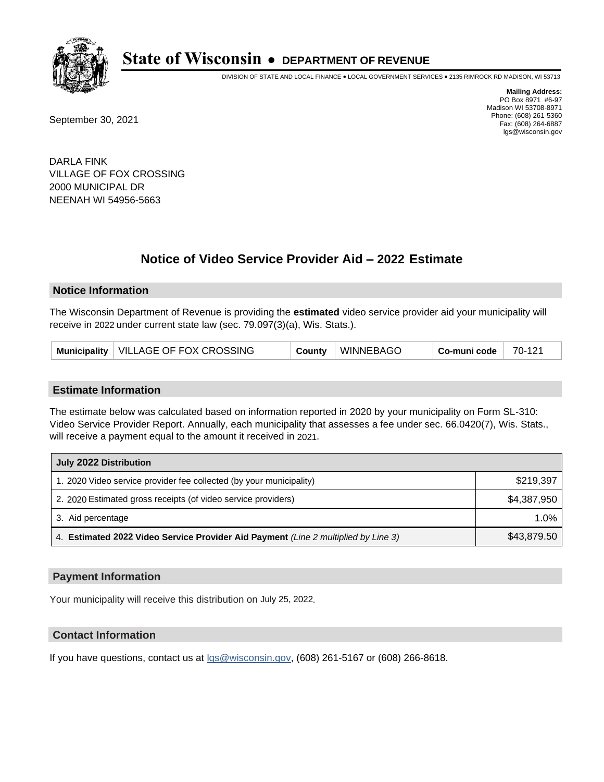

DIVISION OF STATE AND LOCAL FINANCE • LOCAL GOVERNMENT SERVICES • 2135 RIMROCK RD MADISON, WI 53713

September 30, 2021

**Mailing Address:** PO Box 8971 #6-97 Madison WI 53708-8971 Phone: (608) 261-5360 Fax: (608) 264-6887 lgs@wisconsin.gov

DARLA FINK VILLAGE OF FOX CROSSING 2000 MUNICIPAL DR NEENAH WI 54956-5663

## **Notice of Video Service Provider Aid - 2022 Estimate**

### **Notice Information**

The Wisconsin Department of Revenue is providing the **estimated** video service provider aid your municipality will receive in 2022 under current state law (sec. 79.097(3)(a), Wis. Stats.).

| Municipality   VILLAGE OF FOX CROSSING | County | WINNEBAGO | Co-muni code | 70-121 |
|----------------------------------------|--------|-----------|--------------|--------|
|----------------------------------------|--------|-----------|--------------|--------|

#### **Estimate Information**

The estimate below was calculated based on information reported in 2020 by your municipality on Form SL-310: Video Service Provider Report. Annually, each municipality that assesses a fee under sec. 66.0420(7), Wis. Stats., will receive a payment equal to the amount it received in 2021.

| July 2022 Distribution                                                             |             |
|------------------------------------------------------------------------------------|-------------|
| 1. 2020 Video service provider fee collected (by your municipality)                | \$219.397   |
| 2. 2020 Estimated gross receipts (of video service providers)                      | \$4,387,950 |
| 3. Aid percentage                                                                  | $1.0\%$     |
| 4. Estimated 2022 Video Service Provider Aid Payment (Line 2 multiplied by Line 3) | \$43,879.50 |

#### **Payment Information**

Your municipality will receive this distribution on July 25, 2022.

## **Contact Information**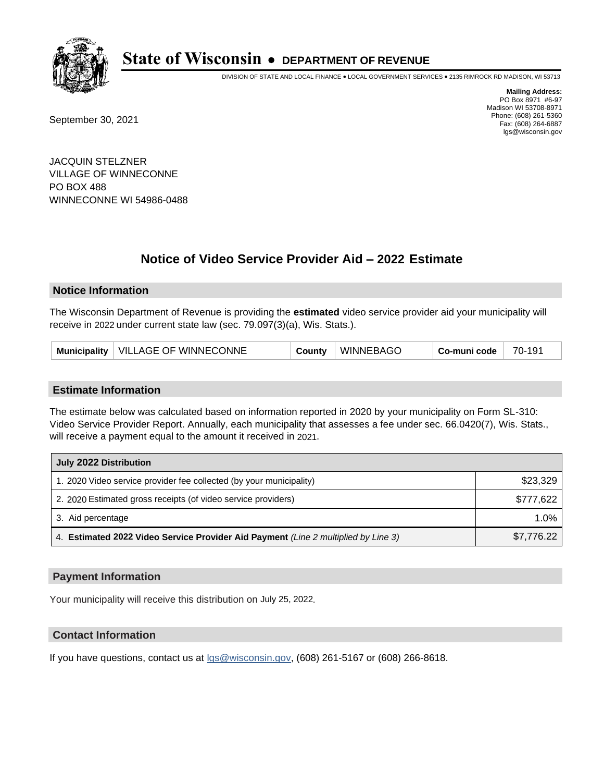

DIVISION OF STATE AND LOCAL FINANCE • LOCAL GOVERNMENT SERVICES • 2135 RIMROCK RD MADISON, WI 53713

September 30, 2021

**Mailing Address:** PO Box 8971 #6-97 Madison WI 53708-8971 Phone: (608) 261-5360 Fax: (608) 264-6887 lgs@wisconsin.gov

JACQUIN STELZNER VILLAGE OF WINNECONNE PO BOX 488 WINNECONNE WI 54986-0488

# **Notice of Video Service Provider Aid - 2022 Estimate**

### **Notice Information**

The Wisconsin Department of Revenue is providing the **estimated** video service provider aid your municipality will receive in 2022 under current state law (sec. 79.097(3)(a), Wis. Stats.).

| Municipality   VILLAGE OF WINNECONNE | County | <b>WINNEBAGO</b> | <b>Co-muni code</b> | 70-191 |
|--------------------------------------|--------|------------------|---------------------|--------|
|--------------------------------------|--------|------------------|---------------------|--------|

#### **Estimate Information**

The estimate below was calculated based on information reported in 2020 by your municipality on Form SL-310: Video Service Provider Report. Annually, each municipality that assesses a fee under sec. 66.0420(7), Wis. Stats., will receive a payment equal to the amount it received in 2021.

| July 2022 Distribution                                                             |            |
|------------------------------------------------------------------------------------|------------|
| 1. 2020 Video service provider fee collected (by your municipality)                | \$23,329   |
| 2. 2020 Estimated gross receipts (of video service providers)                      | \$777.622  |
| 3. Aid percentage                                                                  | $1.0\%$    |
| 4. Estimated 2022 Video Service Provider Aid Payment (Line 2 multiplied by Line 3) | \$7,776.22 |

#### **Payment Information**

Your municipality will receive this distribution on July 25, 2022.

## **Contact Information**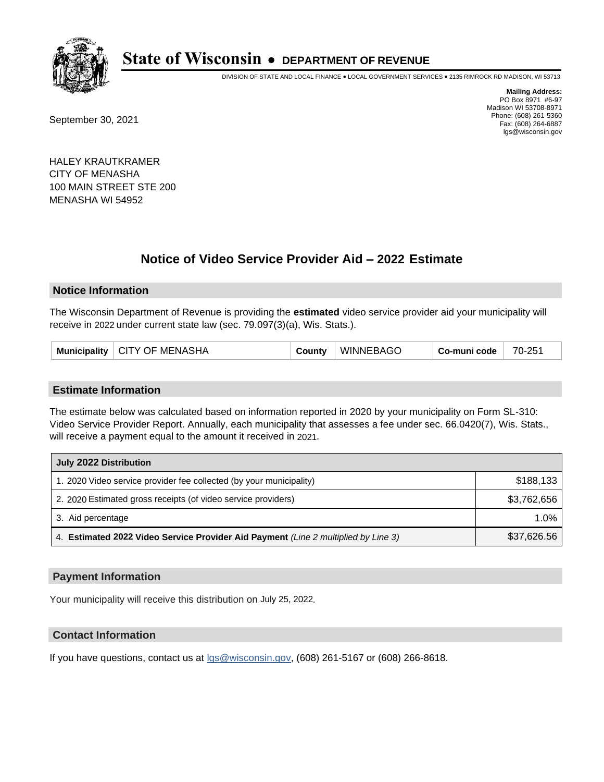

DIVISION OF STATE AND LOCAL FINANCE • LOCAL GOVERNMENT SERVICES • 2135 RIMROCK RD MADISON, WI 53713

September 30, 2021

**Mailing Address:** PO Box 8971 #6-97 Madison WI 53708-8971 Phone: (608) 261-5360 Fax: (608) 264-6887 lgs@wisconsin.gov

HALEY KRAUTKRAMER CITY OF MENASHA 100 MAIN STREET STE 200 MENASHA WI 54952

## **Notice of Video Service Provider Aid - 2022 Estimate**

#### **Notice Information**

The Wisconsin Department of Revenue is providing the **estimated** video service provider aid your municipality will receive in 2022 under current state law (sec. 79.097(3)(a), Wis. Stats.).

| Municipality   CITY OF MENASHA | County | WINNEBAGO | $Co$ -muni code $\parallel$ | 70-251 |
|--------------------------------|--------|-----------|-----------------------------|--------|
|--------------------------------|--------|-----------|-----------------------------|--------|

#### **Estimate Information**

The estimate below was calculated based on information reported in 2020 by your municipality on Form SL-310: Video Service Provider Report. Annually, each municipality that assesses a fee under sec. 66.0420(7), Wis. Stats., will receive a payment equal to the amount it received in 2021.

| July 2022 Distribution                                                             |             |
|------------------------------------------------------------------------------------|-------------|
| 1. 2020 Video service provider fee collected (by your municipality)                | \$188,133   |
| 2. 2020 Estimated gross receipts (of video service providers)                      | \$3,762,656 |
| 3. Aid percentage                                                                  | $1.0\%$     |
| 4. Estimated 2022 Video Service Provider Aid Payment (Line 2 multiplied by Line 3) | \$37,626.56 |

#### **Payment Information**

Your municipality will receive this distribution on July 25, 2022.

## **Contact Information**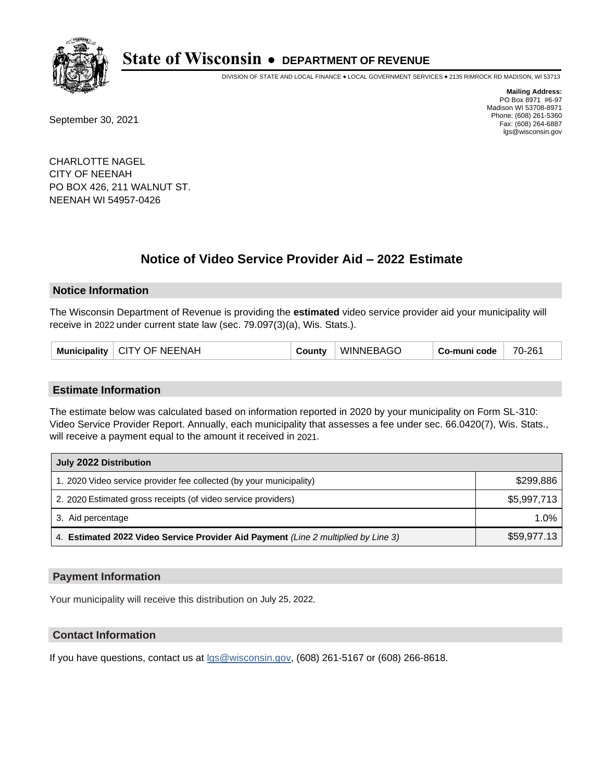

DIVISION OF STATE AND LOCAL FINANCE • LOCAL GOVERNMENT SERVICES • 2135 RIMROCK RD MADISON, WI 53713

September 30, 2021

**Mailing Address:** PO Box 8971 #6-97 Madison WI 53708-8971 Phone: (608) 261-5360 Fax: (608) 264-6887 lgs@wisconsin.gov

CHARLOTTE NAGEL CITY OF NEENAH PO BOX 426, 211 WALNUT ST. NEENAH WI 54957-0426

## **Notice of Video Service Provider Aid - 2022 Estimate**

#### **Notice Information**

The Wisconsin Department of Revenue is providing the **estimated** video service provider aid your municipality will receive in 2022 under current state law (sec. 79.097(3)(a), Wis. Stats.).

| Municipality   CITY OF NEENAH | County | <b>WINNEBAGO</b> | Co-muni code | 70-261 |
|-------------------------------|--------|------------------|--------------|--------|
|-------------------------------|--------|------------------|--------------|--------|

#### **Estimate Information**

The estimate below was calculated based on information reported in 2020 by your municipality on Form SL-310: Video Service Provider Report. Annually, each municipality that assesses a fee under sec. 66.0420(7), Wis. Stats., will receive a payment equal to the amount it received in 2021.

| July 2022 Distribution                                                             |             |
|------------------------------------------------------------------------------------|-------------|
| 1. 2020 Video service provider fee collected (by your municipality)                | \$299.886   |
| 2. 2020 Estimated gross receipts (of video service providers)                      | \$5,997,713 |
| 3. Aid percentage                                                                  | $1.0\%$     |
| 4. Estimated 2022 Video Service Provider Aid Payment (Line 2 multiplied by Line 3) | \$59,977.13 |

#### **Payment Information**

Your municipality will receive this distribution on July 25, 2022.

## **Contact Information**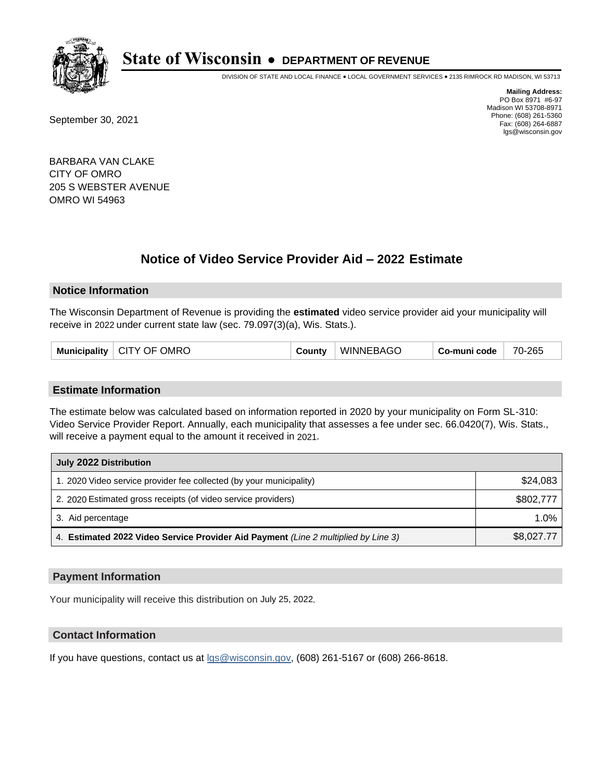

DIVISION OF STATE AND LOCAL FINANCE • LOCAL GOVERNMENT SERVICES • 2135 RIMROCK RD MADISON, WI 53713

September 30, 2021

**Mailing Address:** PO Box 8971 #6-97 Madison WI 53708-8971 Phone: (608) 261-5360 Fax: (608) 264-6887 lgs@wisconsin.gov

BARBARA VAN CLAKE CITY OF OMRO 205 S WEBSTER AVENUE OMRO WI 54963

# **Notice of Video Service Provider Aid - 2022 Estimate**

### **Notice Information**

The Wisconsin Department of Revenue is providing the **estimated** video service provider aid your municipality will receive in 2022 under current state law (sec. 79.097(3)(a), Wis. Stats.).

|  | <b>Municipality</b> | <b>OMRC</b><br><b>CITY OF</b> | こountv | <b>WINNEBAGO</b> | Co-muni code | -265<br>$70 -$ |
|--|---------------------|-------------------------------|--------|------------------|--------------|----------------|
|--|---------------------|-------------------------------|--------|------------------|--------------|----------------|

#### **Estimate Information**

The estimate below was calculated based on information reported in 2020 by your municipality on Form SL-310: Video Service Provider Report. Annually, each municipality that assesses a fee under sec. 66.0420(7), Wis. Stats., will receive a payment equal to the amount it received in 2021.

| July 2022 Distribution                                                             |            |
|------------------------------------------------------------------------------------|------------|
| 1. 2020 Video service provider fee collected (by your municipality)                | \$24,083   |
| 2. 2020 Estimated gross receipts (of video service providers)                      | \$802,777  |
| 3. Aid percentage                                                                  | 1.0%       |
| 4. Estimated 2022 Video Service Provider Aid Payment (Line 2 multiplied by Line 3) | \$8,027.77 |

#### **Payment Information**

Your municipality will receive this distribution on July 25, 2022.

## **Contact Information**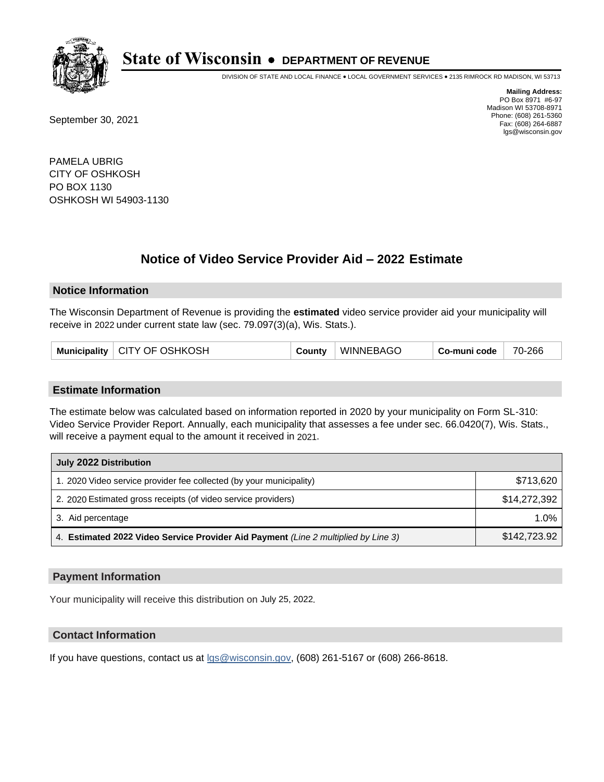

DIVISION OF STATE AND LOCAL FINANCE • LOCAL GOVERNMENT SERVICES • 2135 RIMROCK RD MADISON, WI 53713

September 30, 2021

**Mailing Address:** PO Box 8971 #6-97 Madison WI 53708-8971 Phone: (608) 261-5360 Fax: (608) 264-6887 lgs@wisconsin.gov

PAMELA UBRIG CITY OF OSHKOSH PO BOX 1130 OSHKOSH WI 54903-1130

## **Notice of Video Service Provider Aid - 2022 Estimate**

#### **Notice Information**

The Wisconsin Department of Revenue is providing the **estimated** video service provider aid your municipality will receive in 2022 under current state law (sec. 79.097(3)(a), Wis. Stats.).

| Municipality   CITY OF OSHKOSH | County | WINNEBAGO | Co-muni code | 70-266 |
|--------------------------------|--------|-----------|--------------|--------|
|--------------------------------|--------|-----------|--------------|--------|

#### **Estimate Information**

The estimate below was calculated based on information reported in 2020 by your municipality on Form SL-310: Video Service Provider Report. Annually, each municipality that assesses a fee under sec. 66.0420(7), Wis. Stats., will receive a payment equal to the amount it received in 2021.

| July 2022 Distribution                                                             |              |  |  |
|------------------------------------------------------------------------------------|--------------|--|--|
| 1. 2020 Video service provider fee collected (by your municipality)                | \$713,620    |  |  |
| 2. 2020 Estimated gross receipts (of video service providers)                      | \$14,272,392 |  |  |
| 3. Aid percentage                                                                  | $1.0\%$      |  |  |
| 4. Estimated 2022 Video Service Provider Aid Payment (Line 2 multiplied by Line 3) | \$142,723.92 |  |  |

#### **Payment Information**

Your municipality will receive this distribution on July 25, 2022.

## **Contact Information**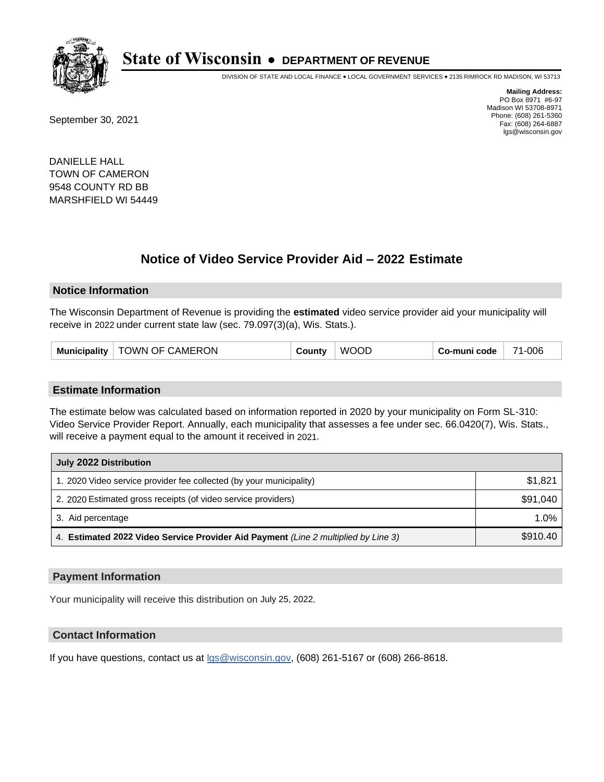

DIVISION OF STATE AND LOCAL FINANCE • LOCAL GOVERNMENT SERVICES • 2135 RIMROCK RD MADISON, WI 53713

September 30, 2021

**Mailing Address:** PO Box 8971 #6-97 Madison WI 53708-8971 Phone: (608) 261-5360 Fax: (608) 264-6887 lgs@wisconsin.gov

DANIELLE HALL TOWN OF CAMERON 9548 COUNTY RD BB MARSHFIELD WI 54449

## **Notice of Video Service Provider Aid - 2022 Estimate**

#### **Notice Information**

The Wisconsin Department of Revenue is providing the **estimated** video service provider aid your municipality will receive in 2022 under current state law (sec. 79.097(3)(a), Wis. Stats.).

| <b>Municipality</b> | TOWN OF CAMERON | ∶ountv | COL<br>W. | Co-muni code | 1-006<br>74 |
|---------------------|-----------------|--------|-----------|--------------|-------------|
|---------------------|-----------------|--------|-----------|--------------|-------------|

#### **Estimate Information**

The estimate below was calculated based on information reported in 2020 by your municipality on Form SL-310: Video Service Provider Report. Annually, each municipality that assesses a fee under sec. 66.0420(7), Wis. Stats., will receive a payment equal to the amount it received in 2021.

| July 2022 Distribution                                                             |          |  |  |  |
|------------------------------------------------------------------------------------|----------|--|--|--|
| 1. 2020 Video service provider fee collected (by your municipality)                | \$1,821  |  |  |  |
| 2. 2020 Estimated gross receipts (of video service providers)                      | \$91,040 |  |  |  |
| 3. Aid percentage                                                                  | 1.0%     |  |  |  |
| 4. Estimated 2022 Video Service Provider Aid Payment (Line 2 multiplied by Line 3) | \$910.40 |  |  |  |

#### **Payment Information**

Your municipality will receive this distribution on July 25, 2022.

## **Contact Information**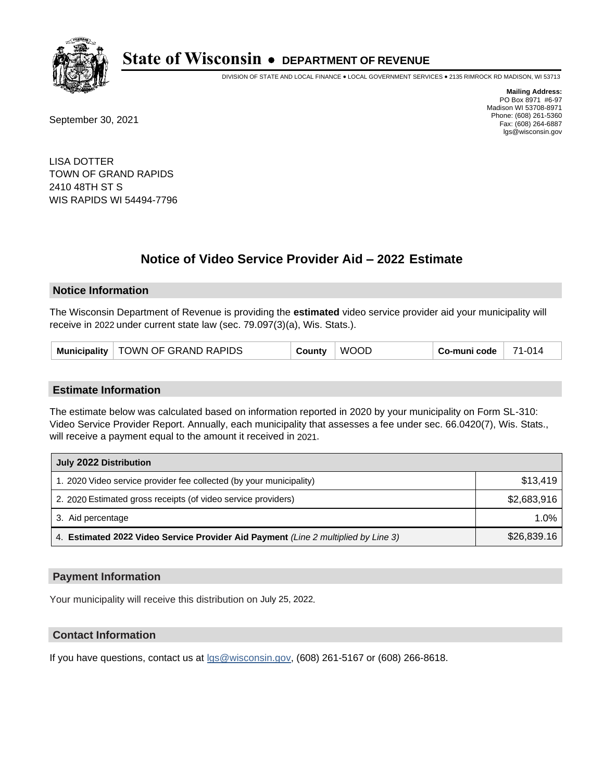

DIVISION OF STATE AND LOCAL FINANCE • LOCAL GOVERNMENT SERVICES • 2135 RIMROCK RD MADISON, WI 53713

September 30, 2021

**Mailing Address:** PO Box 8971 #6-97 Madison WI 53708-8971 Phone: (608) 261-5360 Fax: (608) 264-6887 lgs@wisconsin.gov

LISA DOTTER TOWN OF GRAND RAPIDS 2410 48TH ST S WIS RAPIDS WI 54494-7796

## **Notice of Video Service Provider Aid - 2022 Estimate**

#### **Notice Information**

The Wisconsin Department of Revenue is providing the **estimated** video service provider aid your municipality will receive in 2022 under current state law (sec. 79.097(3)(a), Wis. Stats.).

#### **Estimate Information**

The estimate below was calculated based on information reported in 2020 by your municipality on Form SL-310: Video Service Provider Report. Annually, each municipality that assesses a fee under sec. 66.0420(7), Wis. Stats., will receive a payment equal to the amount it received in 2021.

| July 2022 Distribution                                                             |             |  |  |
|------------------------------------------------------------------------------------|-------------|--|--|
| 1. 2020 Video service provider fee collected (by your municipality)                | \$13,419    |  |  |
| 2. 2020 Estimated gross receipts (of video service providers)                      | \$2,683,916 |  |  |
| 3. Aid percentage                                                                  | 1.0%        |  |  |
| 4. Estimated 2022 Video Service Provider Aid Payment (Line 2 multiplied by Line 3) | \$26,839.16 |  |  |

#### **Payment Information**

Your municipality will receive this distribution on July 25, 2022.

## **Contact Information**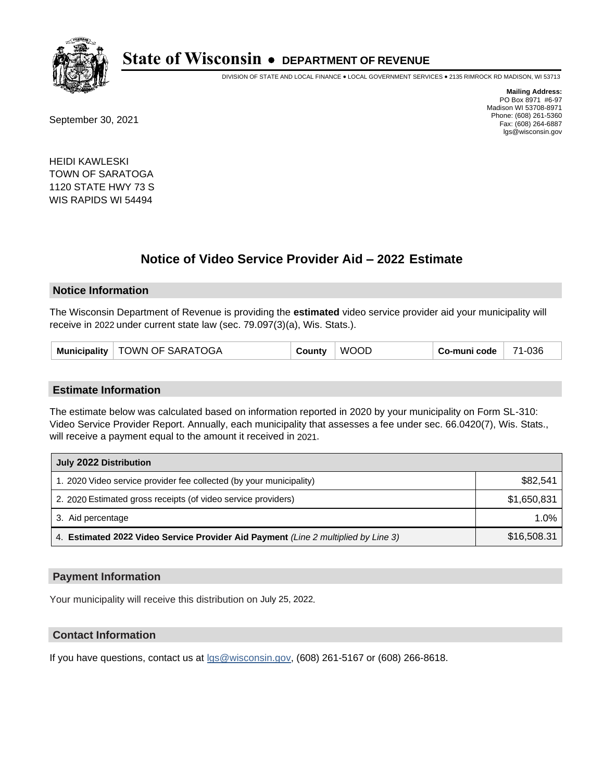

DIVISION OF STATE AND LOCAL FINANCE • LOCAL GOVERNMENT SERVICES • 2135 RIMROCK RD MADISON, WI 53713

September 30, 2021

**Mailing Address:** PO Box 8971 #6-97 Madison WI 53708-8971 Phone: (608) 261-5360 Fax: (608) 264-6887 lgs@wisconsin.gov

HEIDI KAWLESKI TOWN OF SARATOGA 1120 STATE HWY 73 S WIS RAPIDS WI 54494

## **Notice of Video Service Provider Aid - 2022 Estimate**

#### **Notice Information**

The Wisconsin Department of Revenue is providing the **estimated** video service provider aid your municipality will receive in 2022 under current state law (sec. 79.097(3)(a), Wis. Stats.).

| <b>Municipality</b> | TOWN OF SARATOGA | County | <b>WOOD</b> | Co-muni code | 71-036 |
|---------------------|------------------|--------|-------------|--------------|--------|
|---------------------|------------------|--------|-------------|--------------|--------|

#### **Estimate Information**

The estimate below was calculated based on information reported in 2020 by your municipality on Form SL-310: Video Service Provider Report. Annually, each municipality that assesses a fee under sec. 66.0420(7), Wis. Stats., will receive a payment equal to the amount it received in 2021.

| July 2022 Distribution                                                             |             |  |  |
|------------------------------------------------------------------------------------|-------------|--|--|
| 1. 2020 Video service provider fee collected (by your municipality)                | \$82.541    |  |  |
| 2. 2020 Estimated gross receipts (of video service providers)                      | \$1,650,831 |  |  |
| 3. Aid percentage                                                                  | 1.0%        |  |  |
| 4. Estimated 2022 Video Service Provider Aid Payment (Line 2 multiplied by Line 3) | \$16,508.31 |  |  |

#### **Payment Information**

Your municipality will receive this distribution on July 25, 2022.

#### **Contact Information**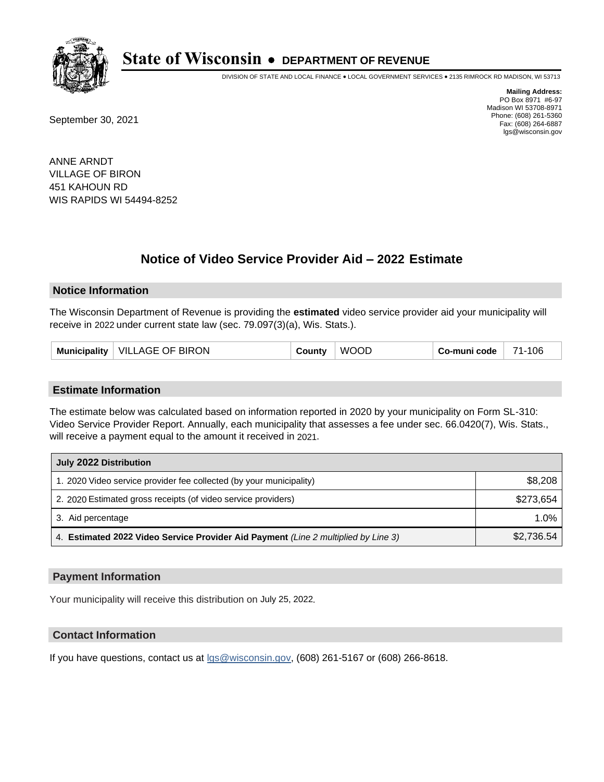

DIVISION OF STATE AND LOCAL FINANCE • LOCAL GOVERNMENT SERVICES • 2135 RIMROCK RD MADISON, WI 53713

September 30, 2021

**Mailing Address:** PO Box 8971 #6-97 Madison WI 53708-8971 Phone: (608) 261-5360 Fax: (608) 264-6887 lgs@wisconsin.gov

ANNE ARNDT VILLAGE OF BIRON 451 KAHOUN RD WIS RAPIDS WI 54494-8252

## **Notice of Video Service Provider Aid - 2022 Estimate**

#### **Notice Information**

The Wisconsin Department of Revenue is providing the **estimated** video service provider aid your municipality will receive in 2022 under current state law (sec. 79.097(3)(a), Wis. Stats.).

| VILLAGE OF BIRON<br>Municipality | County | <b>WOOD</b> | Co-muni code | 71-106 |
|----------------------------------|--------|-------------|--------------|--------|
|----------------------------------|--------|-------------|--------------|--------|

#### **Estimate Information**

The estimate below was calculated based on information reported in 2020 by your municipality on Form SL-310: Video Service Provider Report. Annually, each municipality that assesses a fee under sec. 66.0420(7), Wis. Stats., will receive a payment equal to the amount it received in 2021.

| July 2022 Distribution                                                             |            |  |  |
|------------------------------------------------------------------------------------|------------|--|--|
| 1. 2020 Video service provider fee collected (by your municipality)                | \$8,208    |  |  |
| 2. 2020 Estimated gross receipts (of video service providers)                      | \$273.654  |  |  |
| 3. Aid percentage                                                                  | $1.0\%$    |  |  |
| 4. Estimated 2022 Video Service Provider Aid Payment (Line 2 multiplied by Line 3) | \$2,736.54 |  |  |

#### **Payment Information**

Your municipality will receive this distribution on July 25, 2022.

## **Contact Information**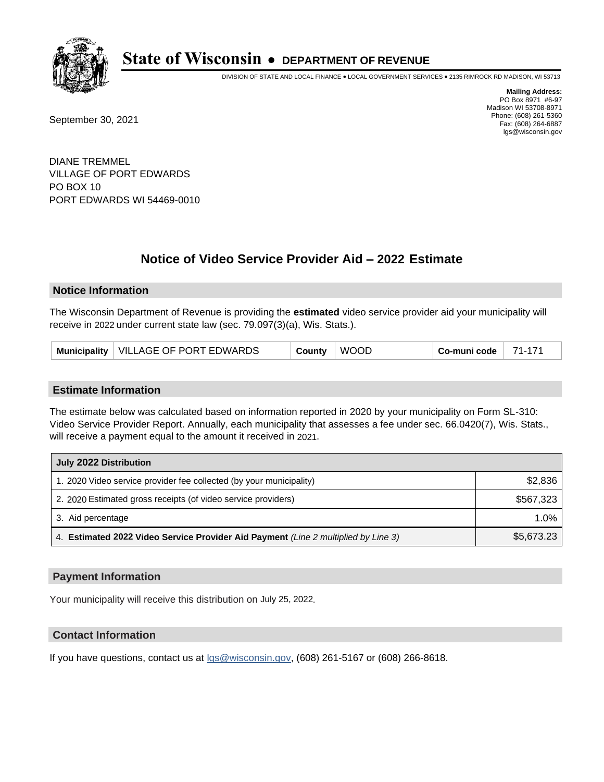

DIVISION OF STATE AND LOCAL FINANCE • LOCAL GOVERNMENT SERVICES • 2135 RIMROCK RD MADISON, WI 53713

September 30, 2021

**Mailing Address:** PO Box 8971 #6-97 Madison WI 53708-8971 Phone: (608) 261-5360 Fax: (608) 264-6887 lgs@wisconsin.gov

DIANE TREMMEL VILLAGE OF PORT EDWARDS PO BOX 10 PORT EDWARDS WI 54469-0010

## **Notice of Video Service Provider Aid - 2022 Estimate**

#### **Notice Information**

The Wisconsin Department of Revenue is providing the **estimated** video service provider aid your municipality will receive in 2022 under current state law (sec. 79.097(3)(a), Wis. Stats.).

| Municipality   VILLAGE OF PORT EDWARDS<br>County | <b>WOOD</b> | Co-muni code | 71-171 |
|--------------------------------------------------|-------------|--------------|--------|
|--------------------------------------------------|-------------|--------------|--------|

#### **Estimate Information**

The estimate below was calculated based on information reported in 2020 by your municipality on Form SL-310: Video Service Provider Report. Annually, each municipality that assesses a fee under sec. 66.0420(7), Wis. Stats., will receive a payment equal to the amount it received in 2021.

| July 2022 Distribution                                                             |            |  |  |
|------------------------------------------------------------------------------------|------------|--|--|
| 1. 2020 Video service provider fee collected (by your municipality)                | \$2,836    |  |  |
| 2. 2020 Estimated gross receipts (of video service providers)                      | \$567,323  |  |  |
| 3. Aid percentage                                                                  | $1.0\%$    |  |  |
| 4. Estimated 2022 Video Service Provider Aid Payment (Line 2 multiplied by Line 3) | \$5,673.23 |  |  |

#### **Payment Information**

Your municipality will receive this distribution on July 25, 2022.

## **Contact Information**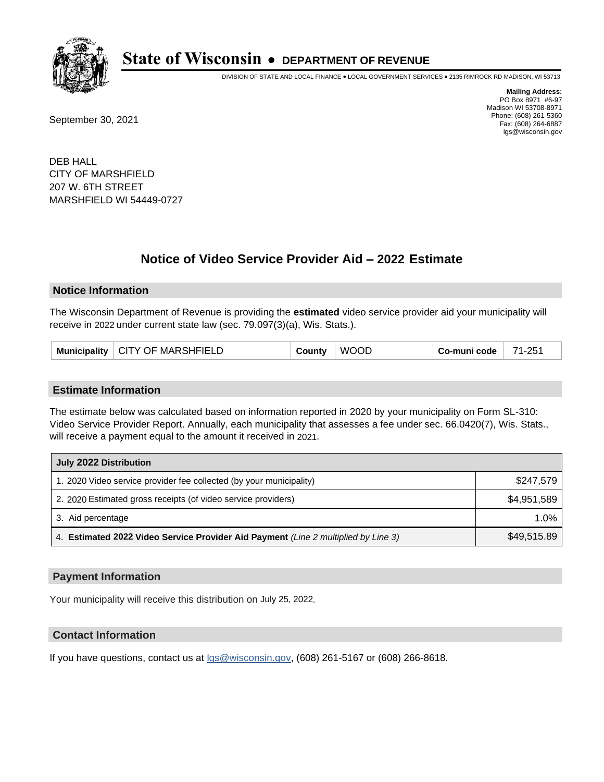

DIVISION OF STATE AND LOCAL FINANCE • LOCAL GOVERNMENT SERVICES • 2135 RIMROCK RD MADISON, WI 53713

September 30, 2021

**Mailing Address:** PO Box 8971 #6-97 Madison WI 53708-8971 Phone: (608) 261-5360 Fax: (608) 264-6887 lgs@wisconsin.gov

DEB HALL CITY OF MARSHFIELD 207 W. 6TH STREET MARSHFIELD WI 54449-0727

## **Notice of Video Service Provider Aid - 2022 Estimate**

#### **Notice Information**

The Wisconsin Department of Revenue is providing the **estimated** video service provider aid your municipality will receive in 2022 under current state law (sec. 79.097(3)(a), Wis. Stats.).

| Municipality   CITY OF MARSHFIELD | ا ountv | <b>WOOD</b> | Co-muni code | 71-251 |
|-----------------------------------|---------|-------------|--------------|--------|
|-----------------------------------|---------|-------------|--------------|--------|

#### **Estimate Information**

The estimate below was calculated based on information reported in 2020 by your municipality on Form SL-310: Video Service Provider Report. Annually, each municipality that assesses a fee under sec. 66.0420(7), Wis. Stats., will receive a payment equal to the amount it received in 2021.

| July 2022 Distribution                                                             |             |  |  |
|------------------------------------------------------------------------------------|-------------|--|--|
| 1. 2020 Video service provider fee collected (by your municipality)                | \$247,579   |  |  |
| 2. 2020 Estimated gross receipts (of video service providers)                      | \$4.951.589 |  |  |
| 3. Aid percentage                                                                  | 1.0%        |  |  |
| 4. Estimated 2022 Video Service Provider Aid Payment (Line 2 multiplied by Line 3) | \$49,515.89 |  |  |

#### **Payment Information**

Your municipality will receive this distribution on July 25, 2022.

## **Contact Information**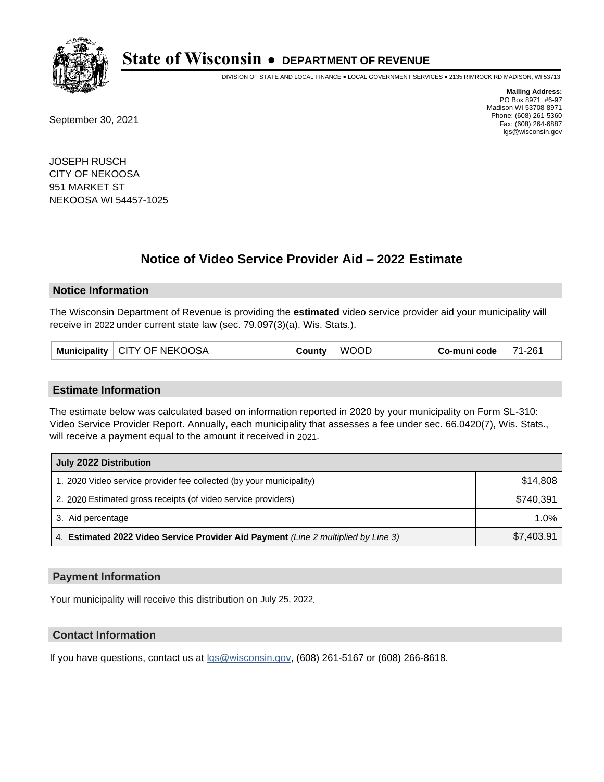

DIVISION OF STATE AND LOCAL FINANCE • LOCAL GOVERNMENT SERVICES • 2135 RIMROCK RD MADISON, WI 53713

September 30, 2021

**Mailing Address:** PO Box 8971 #6-97 Madison WI 53708-8971 Phone: (608) 261-5360 Fax: (608) 264-6887 lgs@wisconsin.gov

JOSEPH RUSCH CITY OF NEKOOSA 951 MARKET ST NEKOOSA WI 54457-1025

## **Notice of Video Service Provider Aid - 2022 Estimate**

#### **Notice Information**

The Wisconsin Department of Revenue is providing the **estimated** video service provider aid your municipality will receive in 2022 under current state law (sec. 79.097(3)(a), Wis. Stats.).

| Municipality   CITY OF NEKOOSA | County | <b>WOOD</b> | Co-muni code | 71-261 |
|--------------------------------|--------|-------------|--------------|--------|
|--------------------------------|--------|-------------|--------------|--------|

#### **Estimate Information**

The estimate below was calculated based on information reported in 2020 by your municipality on Form SL-310: Video Service Provider Report. Annually, each municipality that assesses a fee under sec. 66.0420(7), Wis. Stats., will receive a payment equal to the amount it received in 2021.

| July 2022 Distribution                                                             |            |  |  |
|------------------------------------------------------------------------------------|------------|--|--|
| 1. 2020 Video service provider fee collected (by your municipality)                | \$14,808   |  |  |
| 2. 2020 Estimated gross receipts (of video service providers)                      | \$740.391  |  |  |
| 3. Aid percentage                                                                  | 1.0%       |  |  |
| 4. Estimated 2022 Video Service Provider Aid Payment (Line 2 multiplied by Line 3) | \$7,403.91 |  |  |

#### **Payment Information**

Your municipality will receive this distribution on July 25, 2022.

## **Contact Information**